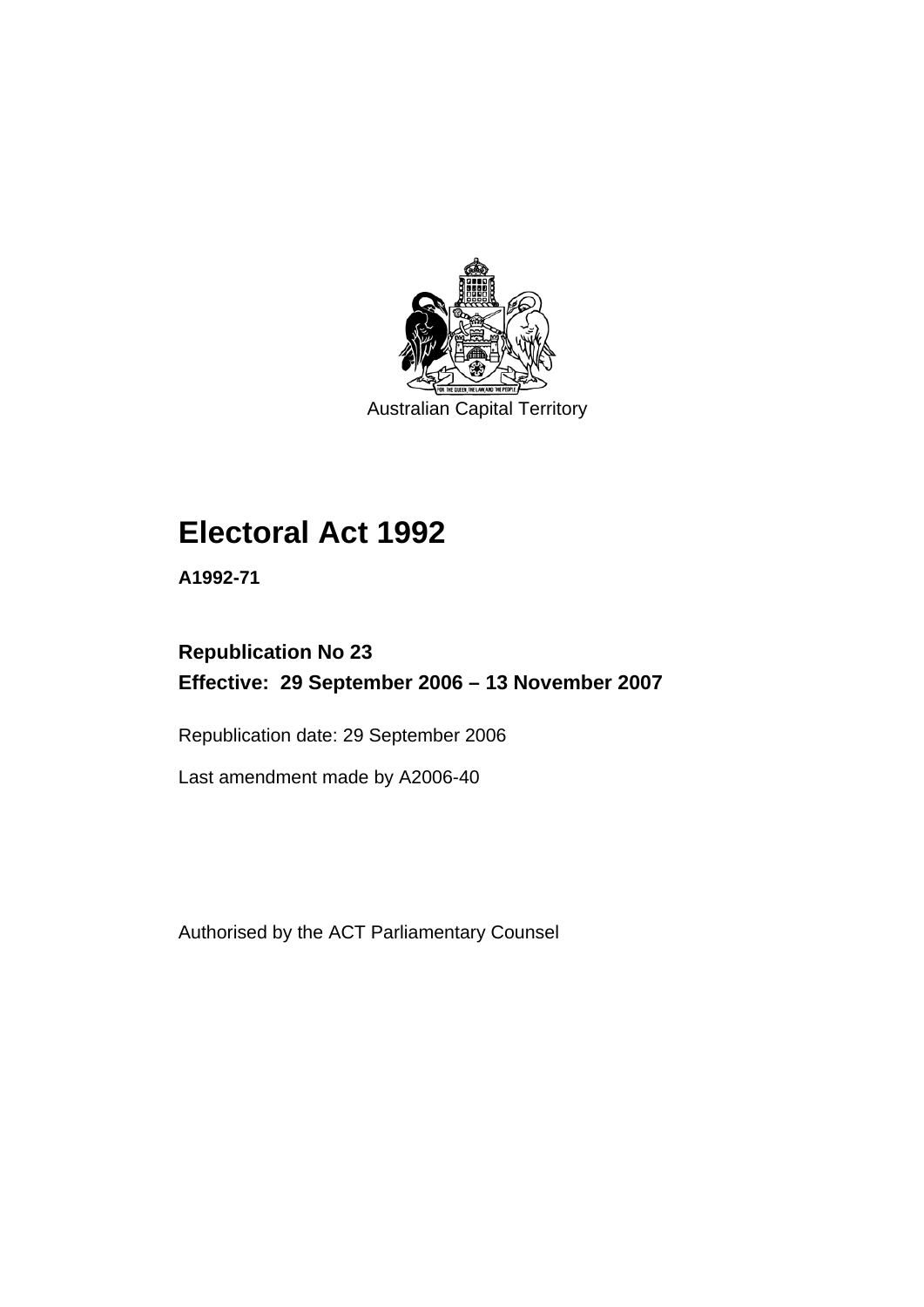

Australian Capital Territory

# **[Electoral Act 1992](#page-18-0)**

**A1992-71** 

# **Republication No 23 Effective: 29 September 2006 – 13 November 2007**

Republication date: 29 September 2006

Last amendment made by A2006-40

Authorised by the ACT Parliamentary Counsel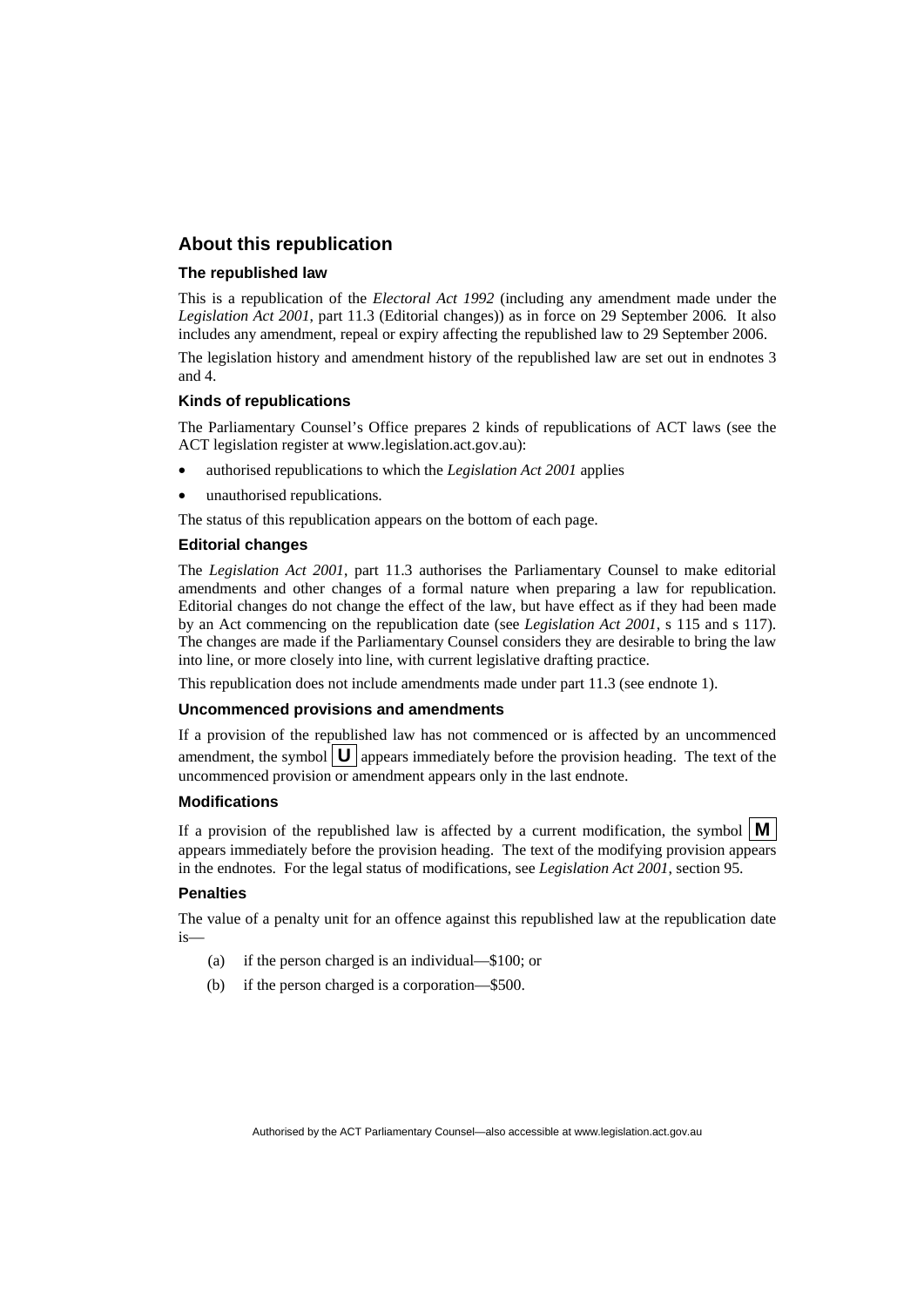#### **About this republication**

#### **The republished law**

This is a republication of the *Electoral Act 1992* (including any amendment made under the *Legislation Act 2001*, part 11.3 (Editorial changes)) as in force on 29 September 2006*.* It also includes any amendment, repeal or expiry affecting the republished law to 29 September 2006.

The legislation history and amendment history of the republished law are set out in endnotes 3 and 4.

#### **Kinds of republications**

The Parliamentary Counsel's Office prepares 2 kinds of republications of ACT laws (see the ACT legislation register at www.legislation.act.gov.au):

- authorised republications to which the *Legislation Act 2001* applies
- unauthorised republications.

The status of this republication appears on the bottom of each page.

#### **Editorial changes**

The *Legislation Act 2001*, part 11.3 authorises the Parliamentary Counsel to make editorial amendments and other changes of a formal nature when preparing a law for republication. Editorial changes do not change the effect of the law, but have effect as if they had been made by an Act commencing on the republication date (see *Legislation Act 2001*, s 115 and s 117). The changes are made if the Parliamentary Counsel considers they are desirable to bring the law into line, or more closely into line, with current legislative drafting practice.

This republication does not include amendments made under part 11.3 (see endnote 1).

#### **Uncommenced provisions and amendments**

If a provision of the republished law has not commenced or is affected by an uncommenced amendment, the symbol  $\mathbf{U}$  appears immediately before the provision heading. The text of the uncommenced provision or amendment appears only in the last endnote.

#### **Modifications**

If a provision of the republished law is affected by a current modification, the symbol  $\mathbf{M}$ appears immediately before the provision heading. The text of the modifying provision appears in the endnotes. For the legal status of modifications, see *Legislation Act 2001*, section 95.

#### **Penalties**

The value of a penalty unit for an offence against this republished law at the republication date is—

- (a) if the person charged is an individual—\$100; or
- (b) if the person charged is a corporation—\$500.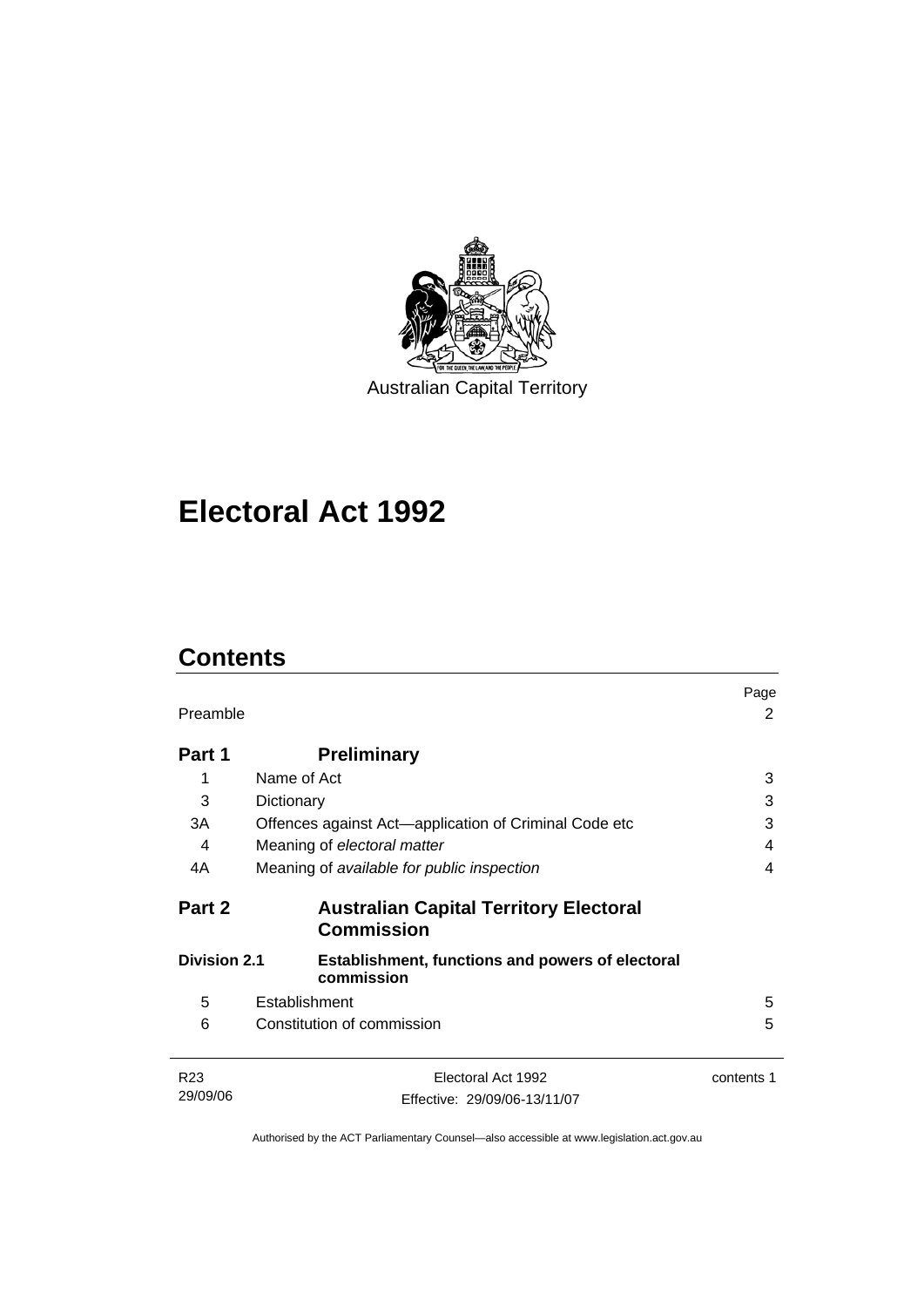

Australian Capital Territory

# **[Electoral Act 1992](#page-18-0)**

# **Contents**

| Preamble            |                                                                       |            |
|---------------------|-----------------------------------------------------------------------|------------|
| Part 1              | <b>Preliminary</b>                                                    |            |
| 1                   | Name of Act                                                           | 3          |
| 3                   | Dictionary                                                            | 3          |
| 3A                  | Offences against Act—application of Criminal Code etc                 | 3          |
| 4                   | Meaning of electoral matter                                           | 4          |
| 4A                  | Meaning of available for public inspection                            | 4          |
| Part 2              | <b>Australian Capital Territory Electoral</b><br><b>Commission</b>    |            |
| <b>Division 2.1</b> | <b>Establishment, functions and powers of electoral</b><br>commission |            |
| 5                   | Establishment                                                         | 5          |
| 6                   | Constitution of commission                                            | 5          |
| R <sub>23</sub>     | Electoral Act 1992                                                    | contents 1 |
| 29/09/06            | Effective: 29/09/06-13/11/07                                          |            |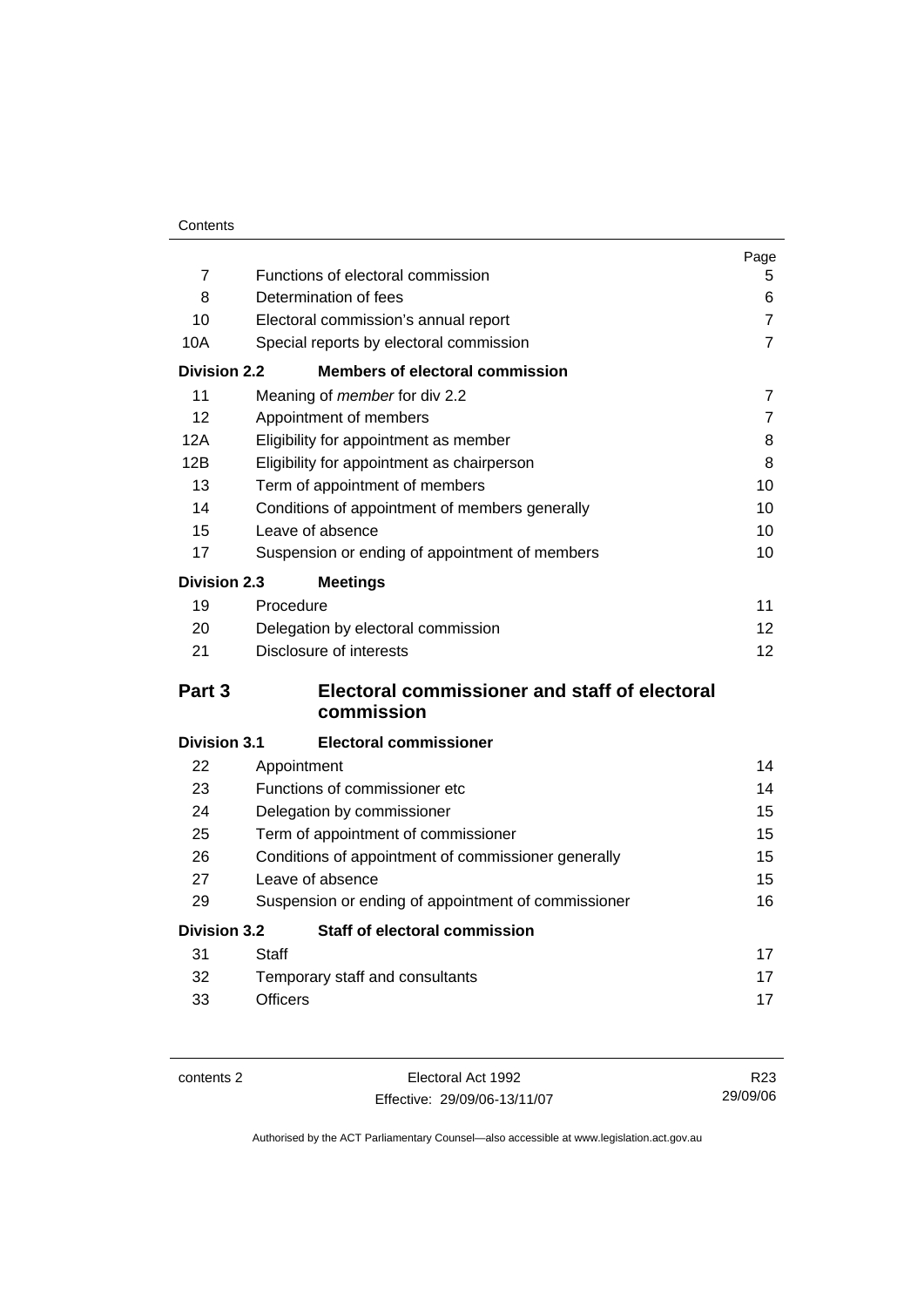|                     |                                                      | Page            |
|---------------------|------------------------------------------------------|-----------------|
| 7                   | Functions of electoral commission                    | 5               |
| 8                   | Determination of fees                                | 6               |
| 10                  | Electoral commission's annual report                 | $\overline{7}$  |
| 10A                 | Special reports by electoral commission              | $\overline{7}$  |
| <b>Division 2.2</b> | <b>Members of electoral commission</b>               |                 |
| 11                  | Meaning of <i>member</i> for div 2.2                 | $\overline{7}$  |
| 12                  | Appointment of members                               | $\overline{7}$  |
| 12A                 | Eligibility for appointment as member                | 8               |
| 12B                 | Eligibility for appointment as chairperson           | 8               |
| 13                  | Term of appointment of members                       | 10              |
| 14                  | Conditions of appointment of members generally       | 10              |
| 15                  | Leave of absence                                     | 10              |
| 17                  | Suspension or ending of appointment of members       | 10              |
| <b>Division 2.3</b> | <b>Meetings</b>                                      |                 |
| 19                  | Procedure                                            | 11              |
| 20                  | Delegation by electoral commission                   | 12 <sup>2</sup> |
| 21                  | Disclosure of interests                              | 12 <sup>2</sup> |
| Part 3              | <b>Electoral commissioner and staff of electoral</b> |                 |
|                     | commission                                           |                 |
| <b>Division 3.1</b> | <b>Electoral commissioner</b>                        |                 |
| 22                  | Appointment                                          | 14              |
| 23                  | Functions of commissioner etc                        | 14              |
| 24                  | Delegation by commissioner                           | 15              |
| 25                  | Term of appointment of commissioner                  | 15              |
| 26                  | Conditions of appointment of commissioner generally  | 15              |
| 27                  | Leave of absence                                     | 15              |
| 29                  | Suspension or ending of appointment of commissioner  | 16              |
| <b>Division 3.2</b> | <b>Staff of electoral commission</b>                 |                 |
| 31                  | Staff                                                | 17              |
| 32                  | Temporary staff and consultants                      | 17              |
| 33                  | <b>Officers</b>                                      | 17              |

contents 2 Electoral Act 1992 Effective: 29/09/06-13/11/07

R23 29/09/06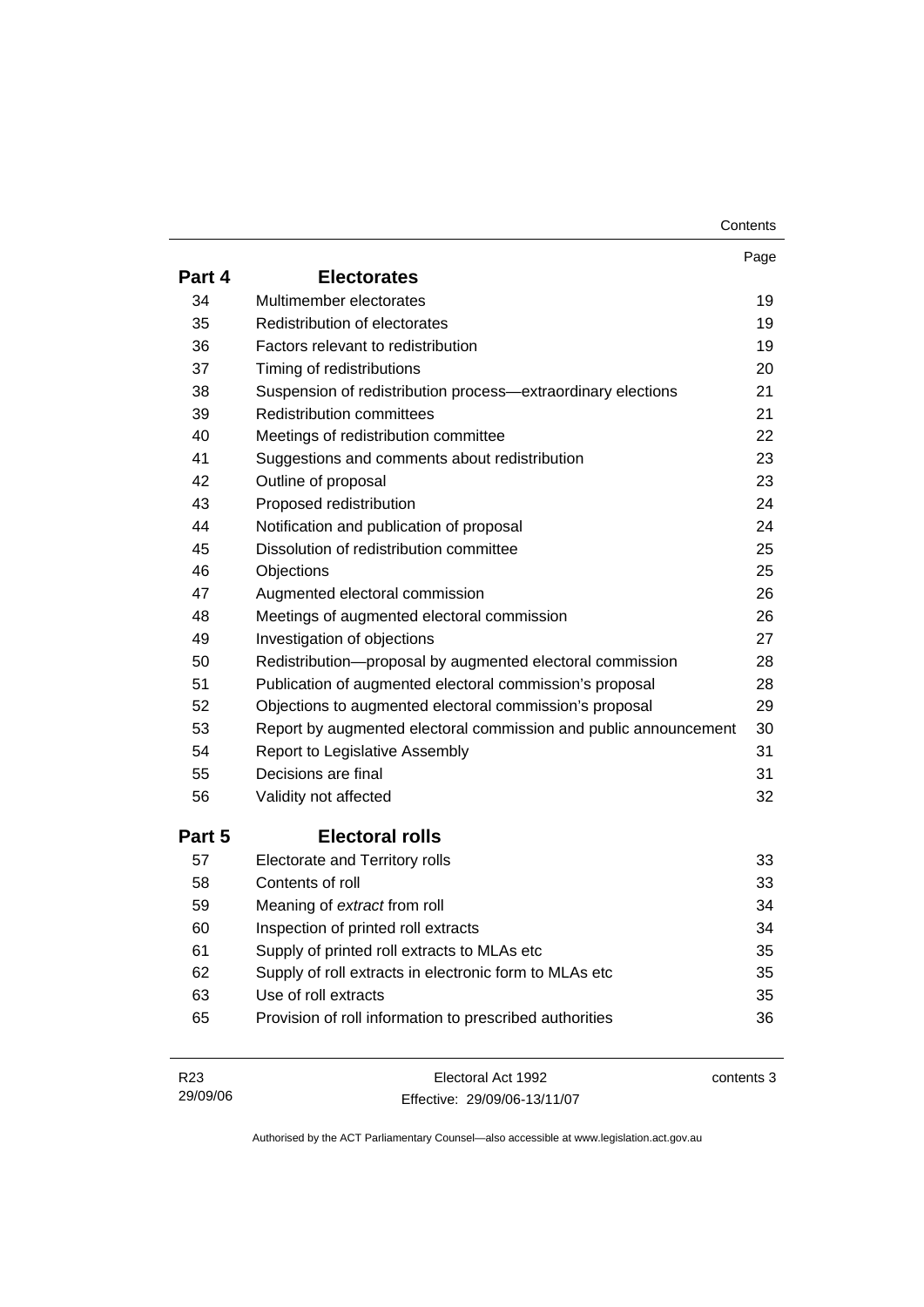| Contents |
|----------|
|----------|

|                 |                                                                  | Page       |
|-----------------|------------------------------------------------------------------|------------|
| Part 4          | <b>Electorates</b>                                               |            |
| 34              | Multimember electorates                                          | 19         |
| 35              | Redistribution of electorates                                    | 19         |
| 36              | Factors relevant to redistribution                               | 19         |
| 37              | Timing of redistributions                                        | 20         |
| 38              | Suspension of redistribution process-extraordinary elections     | 21         |
| 39              | <b>Redistribution committees</b>                                 | 21         |
| 40              | Meetings of redistribution committee                             | 22         |
| 41              | Suggestions and comments about redistribution                    | 23         |
| 42              | Outline of proposal                                              | 23         |
| 43              | Proposed redistribution                                          | 24         |
| 44              | Notification and publication of proposal                         | 24         |
| 45              | Dissolution of redistribution committee                          | 25         |
| 46              | Objections                                                       | 25         |
| 47              | Augmented electoral commission                                   | 26         |
| 48              | Meetings of augmented electoral commission                       | 26         |
| 49              | Investigation of objections                                      | 27         |
| 50              | Redistribution-proposal by augmented electoral commission        | 28         |
| 51              | Publication of augmented electoral commission's proposal         | 28         |
| 52              | Objections to augmented electoral commission's proposal          | 29         |
| 53              | Report by augmented electoral commission and public announcement | 30         |
| 54              | Report to Legislative Assembly                                   | 31         |
| 55              | Decisions are final                                              | 31         |
| 56              | Validity not affected                                            | 32         |
| Part 5          | <b>Electoral rolls</b>                                           |            |
| 57              | <b>Electorate and Territory rolls</b>                            | 33         |
| 58              | Contents of roll                                                 | 33         |
| 59              | Meaning of extract from roll                                     | 34         |
| 60              | Inspection of printed roll extracts                              | 34         |
| 61              | Supply of printed roll extracts to MLAs etc                      | 35         |
| 62              | Supply of roll extracts in electronic form to MLAs etc           | 35         |
| 63              | Use of roll extracts                                             | 35         |
| 65              | Provision of roll information to prescribed authorities          | 36         |
|                 |                                                                  |            |
| R <sub>23</sub> | Electoral Act 1992                                               | contents 3 |

Effective: 29/09/06-13/11/07

29/09/06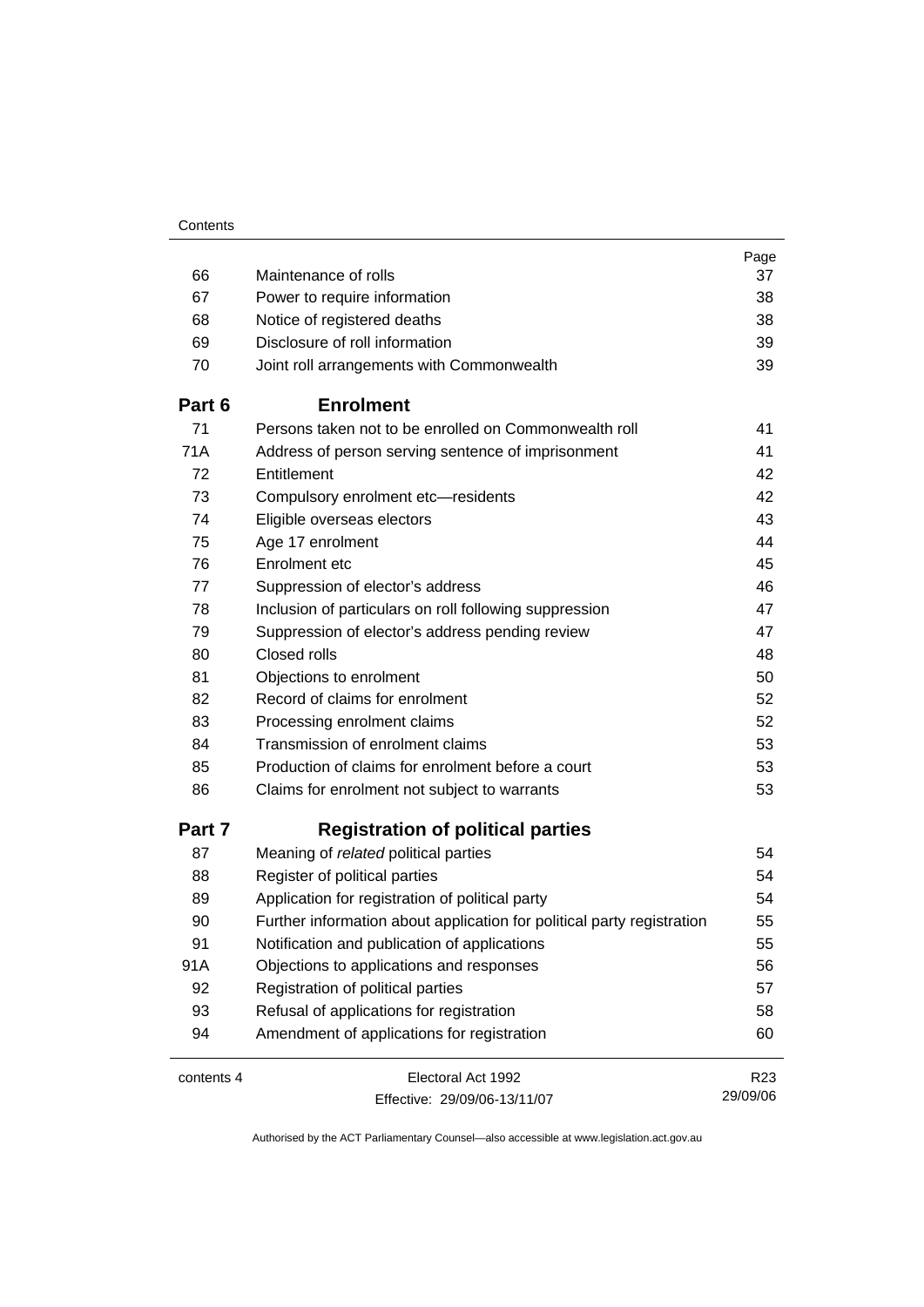|            |                                                                        | Page            |
|------------|------------------------------------------------------------------------|-----------------|
| 66         | Maintenance of rolls                                                   | 37              |
| 67         | Power to require information                                           | 38              |
| 68         | Notice of registered deaths                                            | 38              |
| 69         | Disclosure of roll information                                         | 39              |
| 70         | Joint roll arrangements with Commonwealth                              | 39              |
| Part 6     | <b>Enrolment</b>                                                       |                 |
| 71         | Persons taken not to be enrolled on Commonwealth roll                  | 41              |
| 71A        | Address of person serving sentence of imprisonment                     | 41              |
| 72         | Entitlement                                                            | 42              |
| 73         | Compulsory enrolment etc-residents                                     | 42              |
| 74         | Eligible overseas electors                                             | 43              |
| 75         | Age 17 enrolment                                                       | 44              |
| 76         | Enrolment etc                                                          | 45              |
| 77         | Suppression of elector's address                                       | 46              |
| 78         | Inclusion of particulars on roll following suppression                 | 47              |
| 79         | Suppression of elector's address pending review                        | 47              |
| 80         | Closed rolls                                                           | 48              |
| 81         | Objections to enrolment                                                | 50              |
| 82         | Record of claims for enrolment                                         | 52              |
| 83         | Processing enrolment claims                                            | 52              |
| 84         | Transmission of enrolment claims                                       | 53              |
| 85         | Production of claims for enrolment before a court                      | 53              |
| 86         | Claims for enrolment not subject to warrants                           | 53              |
| Part 7     | <b>Registration of political parties</b>                               |                 |
| 87         | Meaning of related political parties                                   | 54              |
| 88         | Register of political parties                                          | 54              |
| 89         | Application for registration of political party                        | 54              |
| 90         | Further information about application for political party registration | 55              |
| 91         | Notification and publication of applications                           | 55              |
| 91A        | Objections to applications and responses                               | 56              |
| 92         | Registration of political parties                                      | 57              |
| 93         | Refusal of applications for registration                               | 58              |
| 94         | Amendment of applications for registration                             | 60              |
| contents 4 | Electoral Act 1992                                                     | R <sub>23</sub> |
|            | Effective: 29/09/06-13/11/07                                           | 29/09/06        |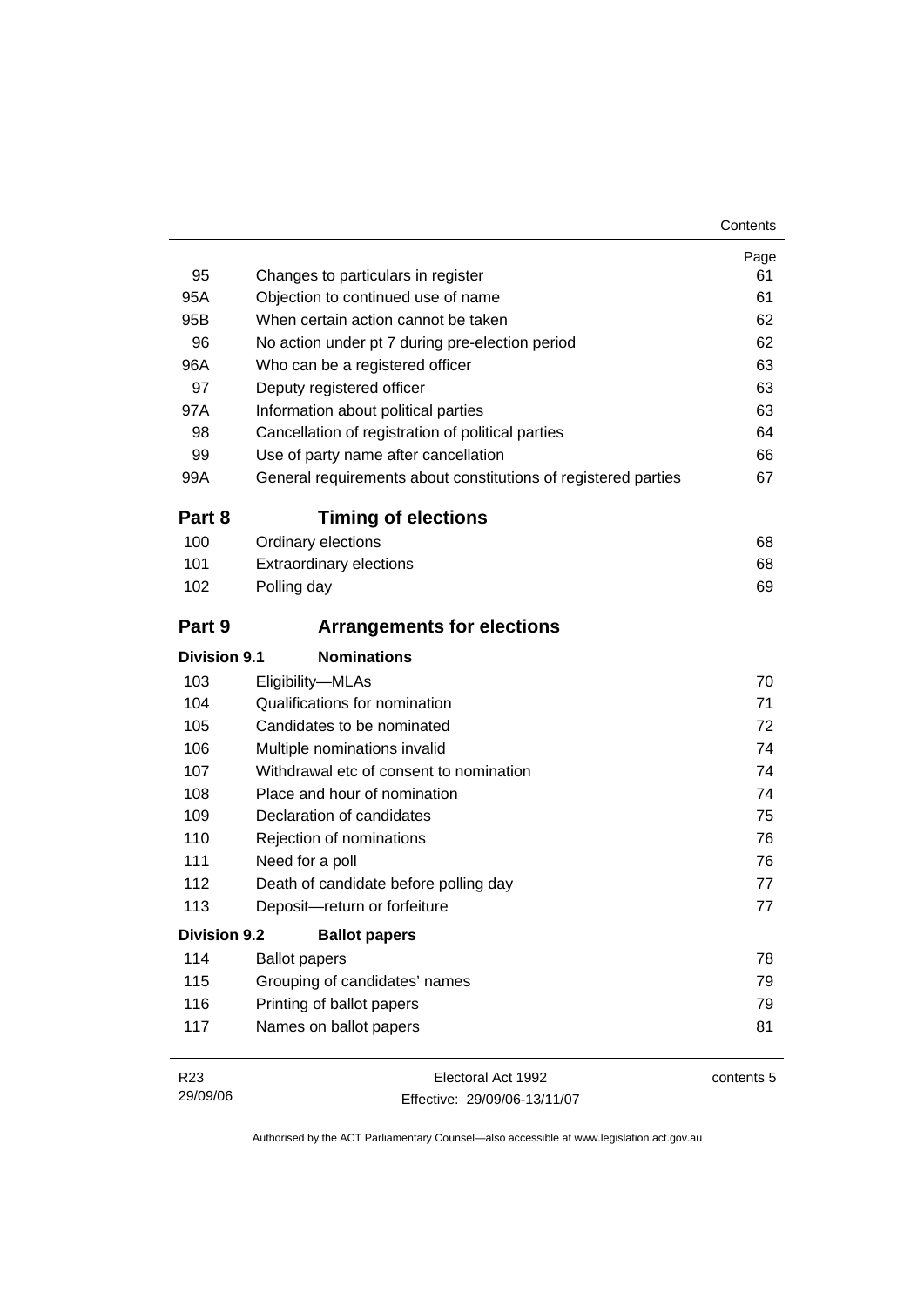| 95                  | Changes to particulars in register                             | Page<br>61 |
|---------------------|----------------------------------------------------------------|------------|
| 95A                 | Objection to continued use of name                             | 61         |
| 95B                 | When certain action cannot be taken                            | 62         |
| 96                  | No action under pt 7 during pre-election period                | 62         |
| 96A                 | Who can be a registered officer                                | 63         |
| 97                  | Deputy registered officer                                      | 63         |
| 97A                 | Information about political parties                            | 63         |
| 98                  | Cancellation of registration of political parties              | 64         |
| 99                  | Use of party name after cancellation                           | 66         |
| 99A                 | General requirements about constitutions of registered parties | 67         |
| Part 8              | <b>Timing of elections</b>                                     |            |
| 100                 | Ordinary elections                                             | 68         |
| 101                 | <b>Extraordinary elections</b>                                 | 68         |
| 102                 | Polling day                                                    | 69         |
| Part 9              | <b>Arrangements for elections</b>                              |            |
| Division 9.1        | <b>Nominations</b>                                             |            |
| 103                 | Eligibility-MLAs                                               | 70         |
| 104                 | Qualifications for nomination                                  | 71         |
| 105                 | Candidates to be nominated                                     | 72         |
| 106                 | Multiple nominations invalid                                   | 74         |
| 107                 | Withdrawal etc of consent to nomination                        | 74         |
| 108                 | Place and hour of nomination                                   | 74         |
| 109                 | Declaration of candidates                                      | 75         |
| 110                 | Rejection of nominations                                       | 76         |
| 111                 | Need for a poll                                                | 76         |
| 112                 | Death of candidate before polling day                          | 77         |
| 113                 | Deposit-return or forfeiture                                   | 77         |
| <b>Division 9.2</b> | <b>Ballot papers</b>                                           |            |
| 114                 | <b>Ballot papers</b>                                           | 78         |
| 115                 | Grouping of candidates' names                                  | 79         |
| 116                 | Printing of ballot papers                                      | 79         |
| 117                 | Names on ballot papers                                         | 81         |

| R <sub>23</sub> | Electoral Act 1992           | contents 5 |
|-----------------|------------------------------|------------|
| 29/09/06        | Effective: 29/09/06-13/11/07 |            |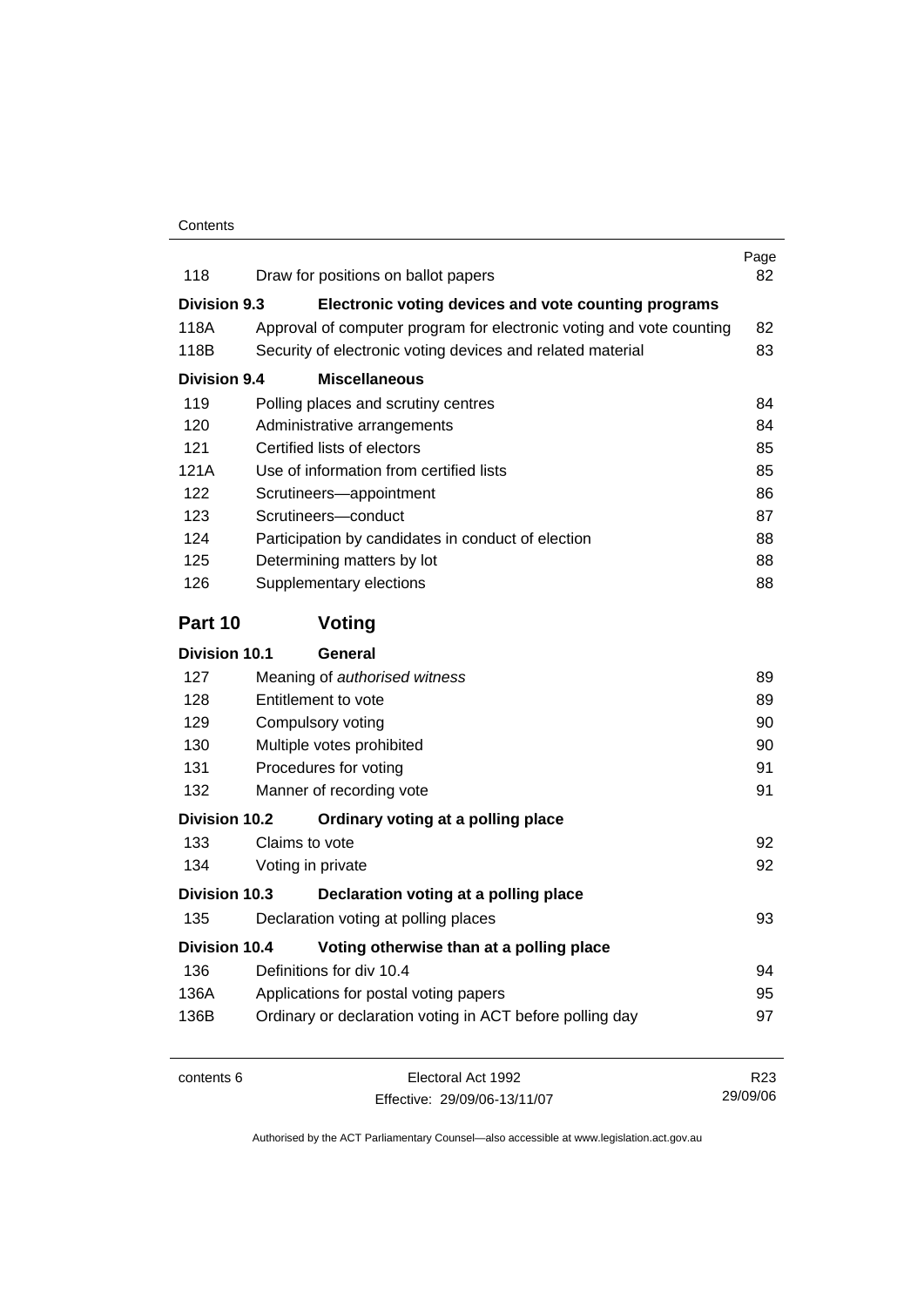| 118                  | Draw for positions on ballot papers                                  | Page<br>82      |
|----------------------|----------------------------------------------------------------------|-----------------|
| <b>Division 9.3</b>  | Electronic voting devices and vote counting programs                 |                 |
| 118A                 | Approval of computer program for electronic voting and vote counting | 82              |
| 118B                 | Security of electronic voting devices and related material           | 83              |
| <b>Division 9.4</b>  | <b>Miscellaneous</b>                                                 |                 |
| 119                  | Polling places and scrutiny centres                                  | 84              |
| 120                  | Administrative arrangements                                          | 84              |
| 121                  | Certified lists of electors                                          | 85              |
| 121A                 | Use of information from certified lists                              | 85              |
| 122                  | Scrutineers-appointment                                              | 86              |
| 123                  | Scrutineers-conduct                                                  | 87              |
| 124                  | Participation by candidates in conduct of election                   | 88              |
| 125                  | Determining matters by lot                                           | 88              |
| 126                  | Supplementary elections                                              | 88              |
| Part 10              | Voting                                                               |                 |
| <b>Division 10.1</b> | <b>General</b>                                                       |                 |
| 127                  | Meaning of authorised witness                                        | 89              |
| 128                  | Entitlement to vote                                                  | 89              |
| 129                  | Compulsory voting                                                    | 90              |
| 130                  | Multiple votes prohibited                                            | 90              |
| 131                  | Procedures for voting                                                | 91              |
| 132                  | Manner of recording vote                                             | 91              |
| <b>Division 10.2</b> | Ordinary voting at a polling place                                   |                 |
| 133                  | Claims to vote                                                       | 92              |
| 134                  | Voting in private                                                    | 92              |
| Division 10.3        | Declaration voting at a polling place                                |                 |
| 135                  | Declaration voting at polling places                                 | 93              |
| <b>Division 10.4</b> | Voting otherwise than at a polling place                             |                 |
| 136                  | Definitions for div 10.4                                             | 94              |
| 136A                 | Applications for postal voting papers                                | 95              |
| 136B                 | Ordinary or declaration voting in ACT before polling day             | 97              |
| contents 6           | Electoral Act 1992                                                   | R <sub>23</sub> |

Effective: 29/09/06-13/11/07

29/09/06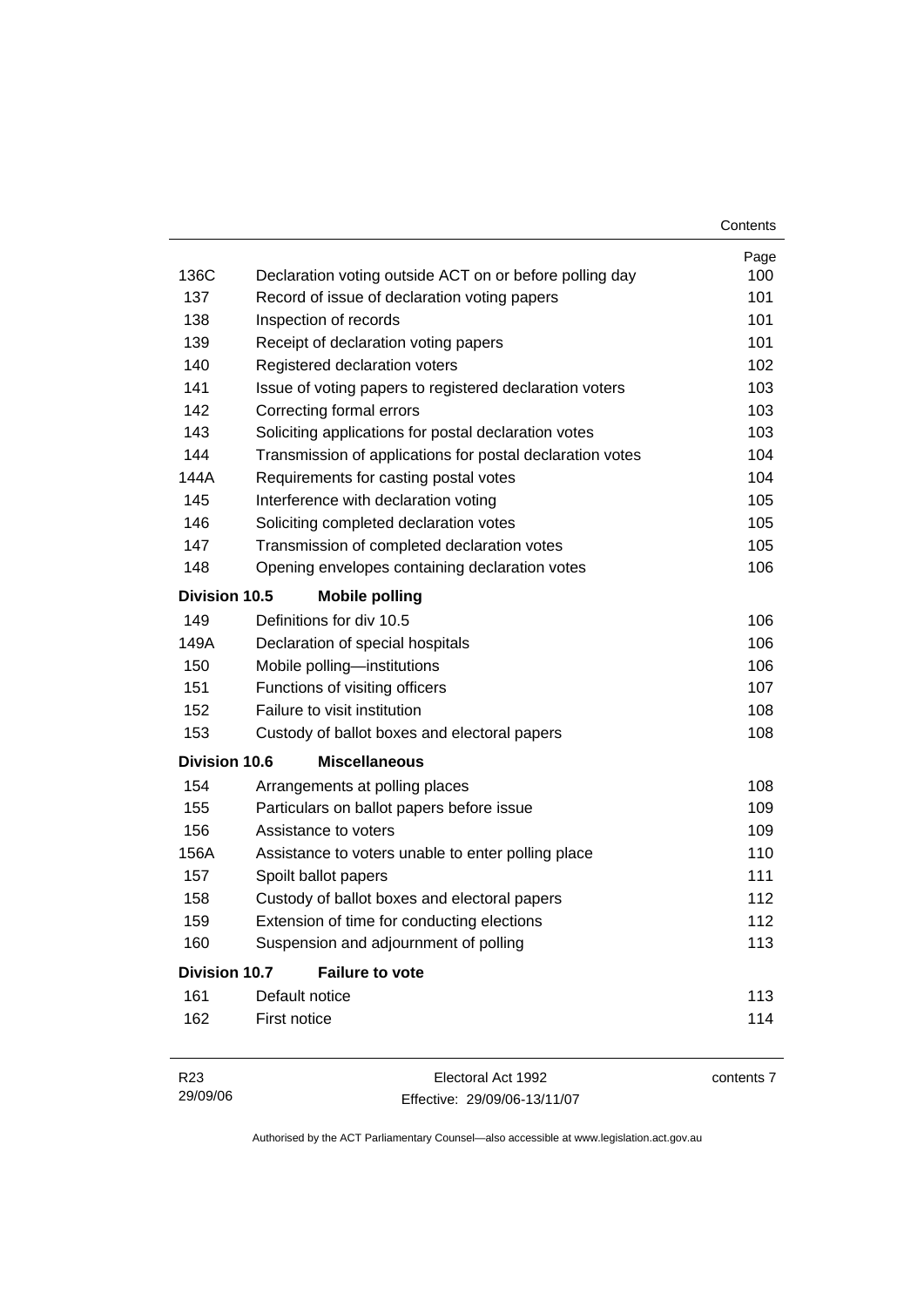|                      |                                                           | Contents   |
|----------------------|-----------------------------------------------------------|------------|
|                      |                                                           | Page       |
| 136C                 | Declaration voting outside ACT on or before polling day   | 100        |
| 137                  | Record of issue of declaration voting papers              | 101        |
| 138                  | Inspection of records                                     | 101        |
| 139                  | Receipt of declaration voting papers                      | 101        |
| 140                  | Registered declaration voters                             | 102        |
| 141                  | Issue of voting papers to registered declaration voters   | 103        |
| 142                  | Correcting formal errors                                  | 103        |
| 143                  | Soliciting applications for postal declaration votes      | 103        |
| 144                  | Transmission of applications for postal declaration votes | 104        |
| 144A                 | Requirements for casting postal votes                     | 104        |
| 145                  | Interference with declaration voting                      | 105        |
| 146                  | Soliciting completed declaration votes                    | 105        |
| 147                  | Transmission of completed declaration votes               | 105        |
| 148                  | Opening envelopes containing declaration votes            | 106        |
| <b>Division 10.5</b> | <b>Mobile polling</b>                                     |            |
| 149                  | Definitions for div 10.5                                  | 106        |
| 149A                 | Declaration of special hospitals                          | 106        |
| 150                  | Mobile polling-institutions                               | 106        |
| 151                  | Functions of visiting officers                            | 107        |
| 152                  | Failure to visit institution                              | 108        |
| 153                  | Custody of ballot boxes and electoral papers              | 108        |
| <b>Division 10.6</b> | <b>Miscellaneous</b>                                      |            |
| 154                  | Arrangements at polling places                            | 108        |
| 155                  | Particulars on ballot papers before issue                 | 109        |
| 156                  | Assistance to voters                                      | 109        |
| 156A                 | Assistance to voters unable to enter polling place        | 110        |
| 157                  | Spoilt ballot papers                                      | 111        |
| 158                  | Custody of ballot boxes and electoral papers              | 112        |
| 159                  | Extension of time for conducting elections                | 112        |
| 160                  | Suspension and adjournment of polling                     | 113        |
| <b>Division 10.7</b> | <b>Failure to vote</b>                                    |            |
| 161                  | Default notice                                            | 113        |
| 162                  | First notice                                              | 114        |
| R <sub>23</sub>      | Electoral Act 1992                                        | contents 7 |

| .        | ----------------             | --------- |
|----------|------------------------------|-----------|
| 29/09/06 | Effective: 29/09/06-13/11/07 |           |
|          |                              |           |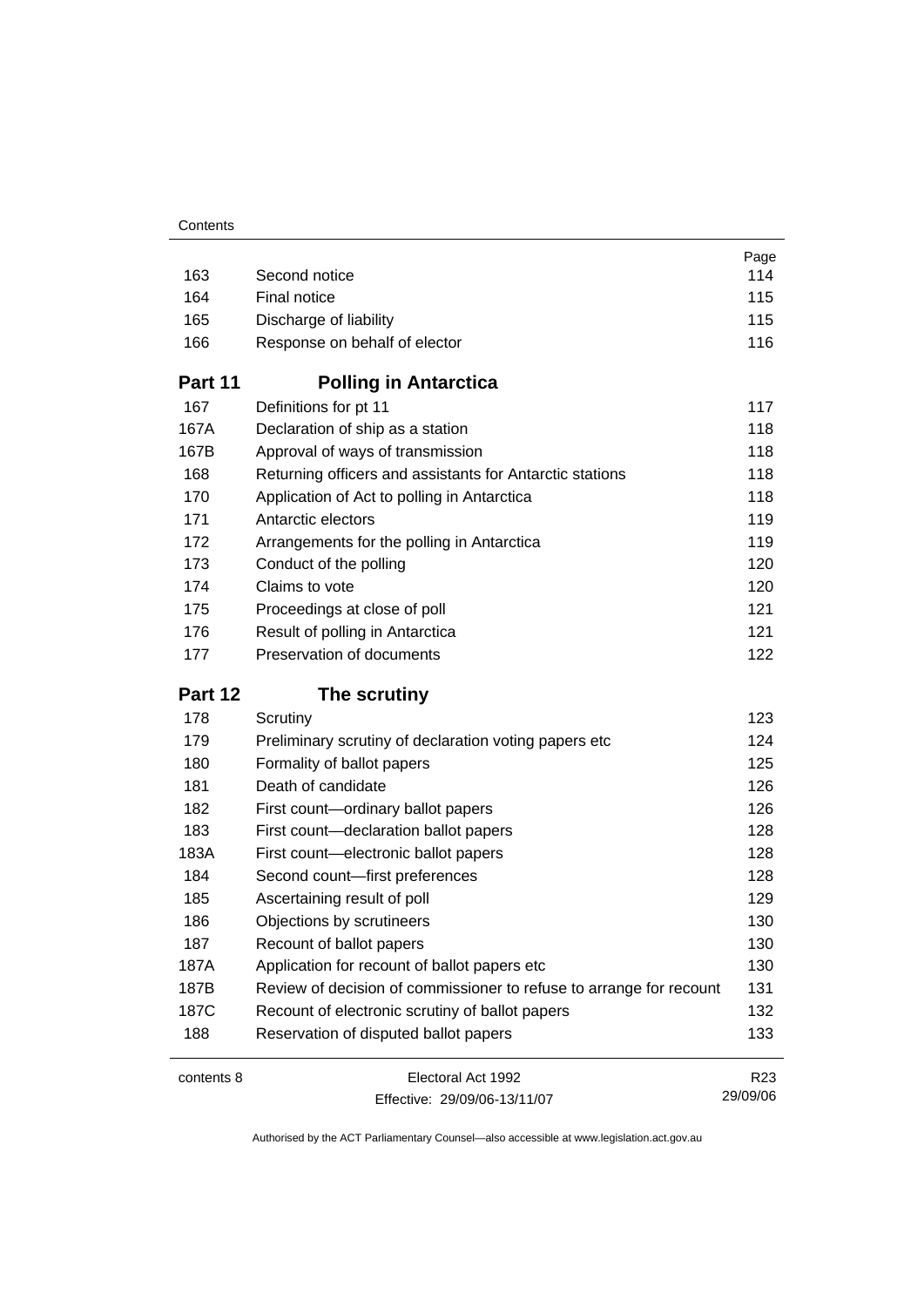|            |                                                                     | Page            |
|------------|---------------------------------------------------------------------|-----------------|
| 163        | Second notice                                                       | 114             |
| 164        | Final notice                                                        | 115             |
| 165        | Discharge of liability                                              | 115             |
| 166        | Response on behalf of elector                                       | 116             |
| Part 11    | <b>Polling in Antarctica</b>                                        |                 |
| 167        | Definitions for pt 11                                               | 117             |
| 167A       | Declaration of ship as a station                                    | 118             |
| 167B       | Approval of ways of transmission                                    | 118             |
| 168        | Returning officers and assistants for Antarctic stations            | 118             |
| 170        | Application of Act to polling in Antarctica                         | 118             |
| 171        | Antarctic electors                                                  | 119             |
| 172        | Arrangements for the polling in Antarctica                          | 119             |
| 173        | Conduct of the polling                                              | 120             |
| 174        | Claims to vote                                                      | 120             |
| 175        | Proceedings at close of poll                                        | 121             |
| 176        | Result of polling in Antarctica                                     | 121             |
| 177        | Preservation of documents                                           | 122             |
| Part 12    | The scrutiny                                                        |                 |
| 178        | Scrutiny                                                            | 123             |
| 179        | Preliminary scrutiny of declaration voting papers etc               | 124             |
| 180        | Formality of ballot papers                                          | 125             |
| 181        | Death of candidate                                                  | 126             |
| 182        | First count-ordinary ballot papers                                  | 126             |
| 183        | First count-declaration ballot papers                               | 128             |
| 183A       | First count-electronic ballot papers                                | 128             |
| 184        | Second count-first preferences                                      | 128             |
| 185        | Ascertaining result of poll                                         | 129             |
| 186        | Objections by scrutineers                                           | 130             |
| 187        | Recount of ballot papers                                            | 130             |
| 187A       | Application for recount of ballot papers etc                        | 130             |
| 187B       | Review of decision of commissioner to refuse to arrange for recount | 131             |
| 187C       | Recount of electronic scrutiny of ballot papers                     | 132             |
| 188        | Reservation of disputed ballot papers                               | 133             |
| contents 8 | Electoral Act 1992                                                  | R <sub>23</sub> |
|            | Effective: 29/09/06-13/11/07                                        | 29/09/06        |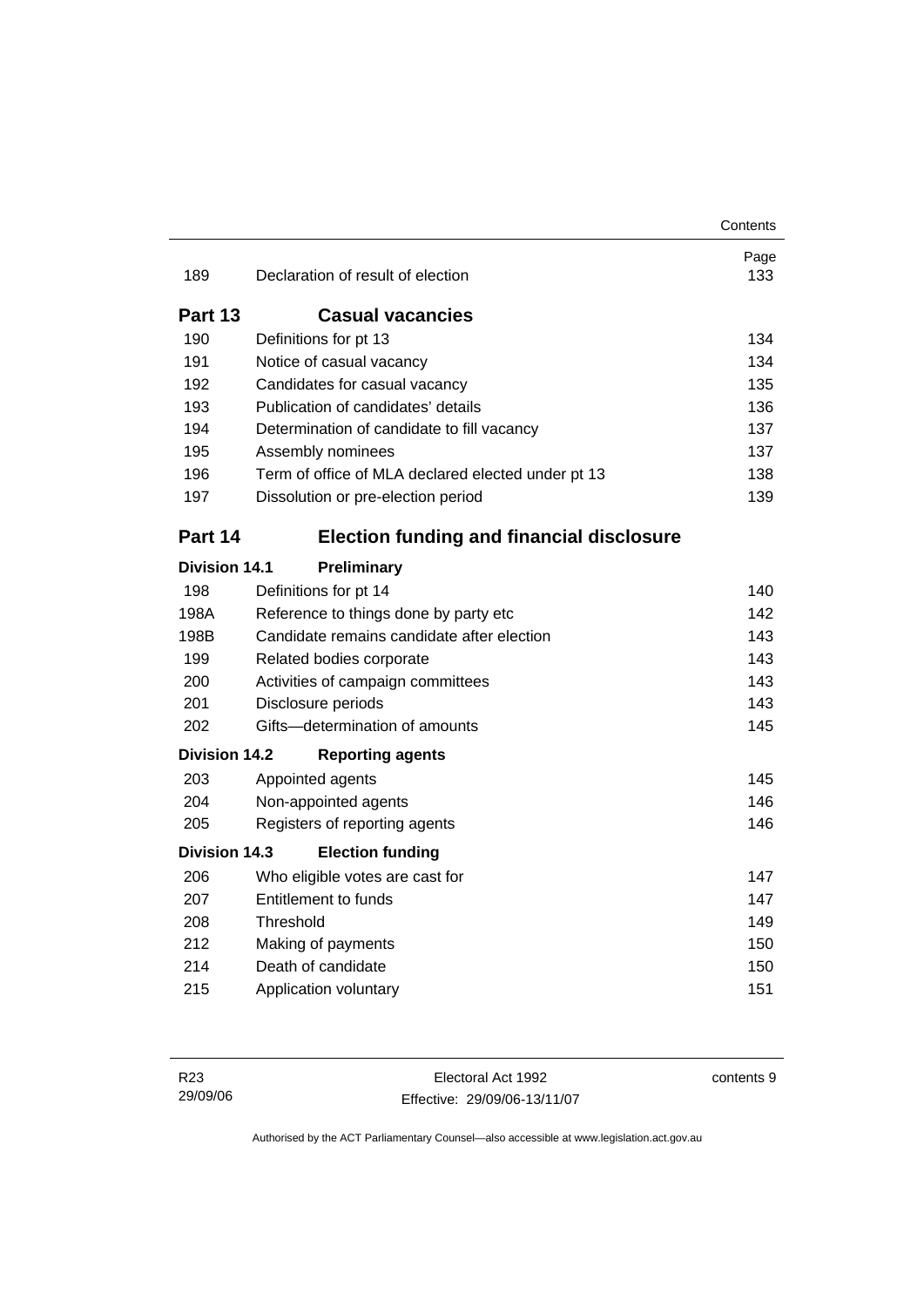|                      |                                                    | Contents    |
|----------------------|----------------------------------------------------|-------------|
| 189                  | Declaration of result of election                  | Page<br>133 |
| Part 13              | <b>Casual vacancies</b>                            |             |
| 190                  | Definitions for pt 13                              | 134         |
| 191                  | Notice of casual vacancy                           | 134         |
| 192                  | Candidates for casual vacancy                      | 135         |
| 193                  | Publication of candidates' details                 | 136         |
| 194                  | Determination of candidate to fill vacancy         | 137         |
| 195                  | Assembly nominees                                  | 137         |
| 196                  | Term of office of MLA declared elected under pt 13 | 138         |
| 197                  | Dissolution or pre-election period                 | 139         |
| Part 14              | <b>Election funding and financial disclosure</b>   |             |
| <b>Division 14.1</b> | Preliminary                                        |             |
| 198                  | Definitions for pt 14                              | 140         |
| 198A                 | Reference to things done by party etc              | 142         |
| 198B                 | Candidate remains candidate after election         | 143         |
| 199                  | Related bodies corporate                           | 143         |
| 200                  | Activities of campaign committees                  | 143         |
| 201                  | Disclosure periods                                 | 143         |
| 202                  | Gifts-determination of amounts                     | 145         |
| <b>Division 14.2</b> | <b>Reporting agents</b>                            |             |
| 203                  | Appointed agents                                   | 145         |
| 204                  | Non-appointed agents                               | 146         |
| 205                  | Registers of reporting agents                      | 146         |
| <b>Division 14.3</b> | <b>Election funding</b>                            |             |
| 206                  | Who eligible votes are cast for                    | 147         |
| 207                  | <b>Entitlement to funds</b>                        | 147         |
| 208                  | Threshold                                          | 149         |
| 212                  | Making of payments                                 | 150         |
| 214                  | Death of candidate                                 | 150         |
| 215                  | Application voluntary                              | 151         |

contents 9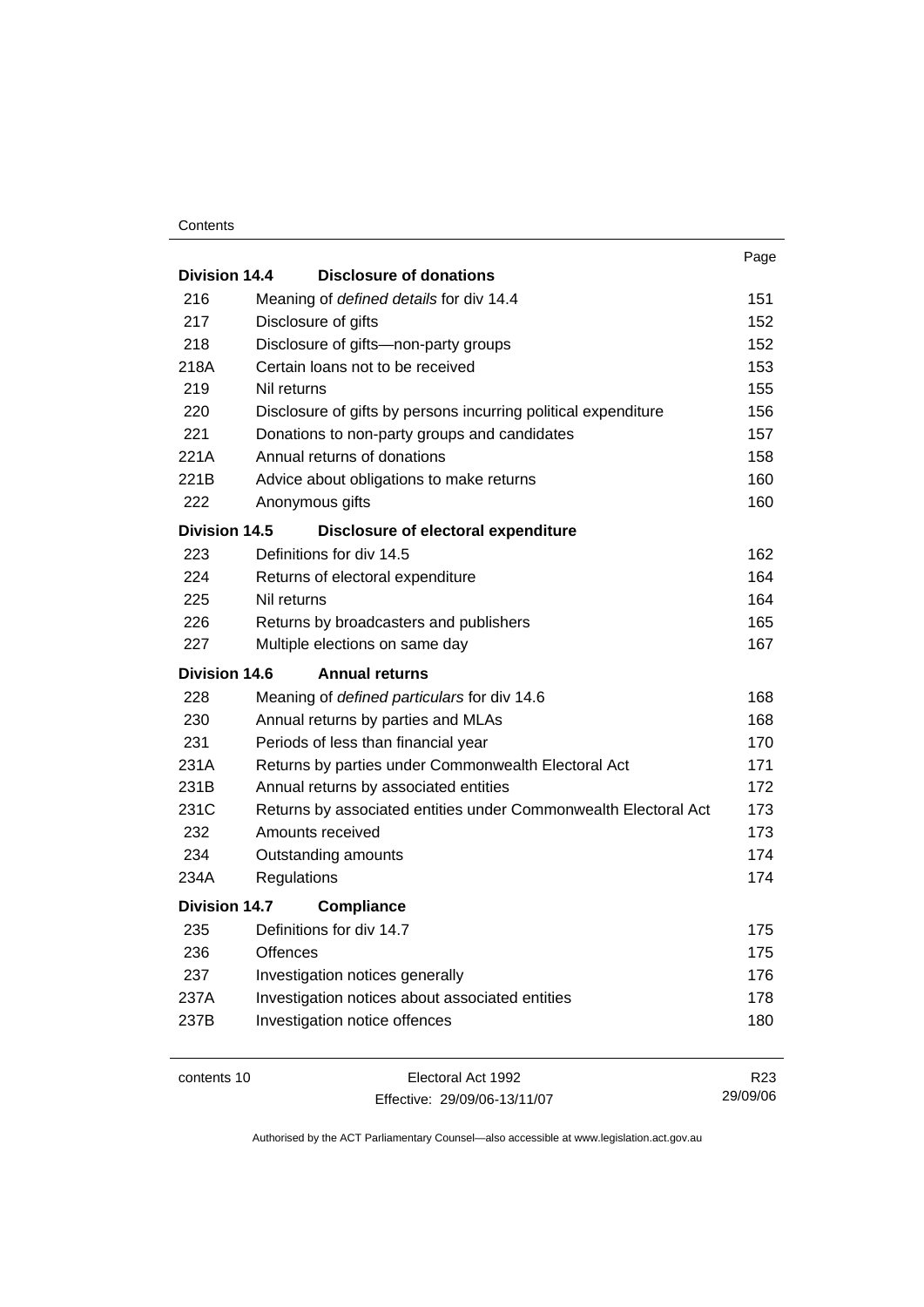#### **Contents**

|                      |                                                                 | Page |
|----------------------|-----------------------------------------------------------------|------|
| <b>Division 14.4</b> | <b>Disclosure of donations</b>                                  |      |
| 216                  | Meaning of defined details for div 14.4                         | 151  |
| 217                  | Disclosure of gifts                                             | 152  |
| 218                  | Disclosure of gifts-non-party groups                            | 152  |
| 218A                 | Certain loans not to be received                                | 153  |
| 219                  | Nil returns                                                     | 155  |
| 220                  | Disclosure of gifts by persons incurring political expenditure  | 156  |
| 221                  | Donations to non-party groups and candidates                    | 157  |
| 221A                 | Annual returns of donations                                     | 158  |
| 221B                 | Advice about obligations to make returns                        | 160  |
| 222                  | Anonymous gifts                                                 | 160  |
| Division 14.5        | Disclosure of electoral expenditure                             |      |
| 223                  | Definitions for div 14.5                                        | 162  |
| 224                  | Returns of electoral expenditure                                | 164  |
| 225                  | Nil returns                                                     | 164  |
| 226                  | Returns by broadcasters and publishers                          | 165  |
| 227                  | Multiple elections on same day                                  | 167  |
| <b>Division 14.6</b> | <b>Annual returns</b>                                           |      |
| 228                  | Meaning of defined particulars for div 14.6                     | 168  |
| 230                  | Annual returns by parties and MLAs                              | 168  |
| 231                  | Periods of less than financial year                             | 170  |
| 231A                 | Returns by parties under Commonwealth Electoral Act             | 171  |
| 231B                 | Annual returns by associated entities                           | 172  |
| 231C                 | Returns by associated entities under Commonwealth Electoral Act | 173  |
| 232                  | Amounts received                                                | 173  |
| 234                  | Outstanding amounts                                             | 174  |
| 234A                 | Regulations                                                     | 174  |
| <b>Division 14.7</b> | <b>Compliance</b>                                               |      |
| 235                  | Definitions for div 14.7                                        | 175  |
| 236                  | <b>Offences</b>                                                 | 175  |
| 237                  | Investigation notices generally                                 | 176  |
| 237A                 | Investigation notices about associated entities                 | 178  |
| 237B                 | Investigation notice offences                                   | 180  |
|                      |                                                                 |      |
|                      |                                                                 |      |

contents 10 Electoral Act 1992 Effective: 29/09/06-13/11/07

R23 29/09/06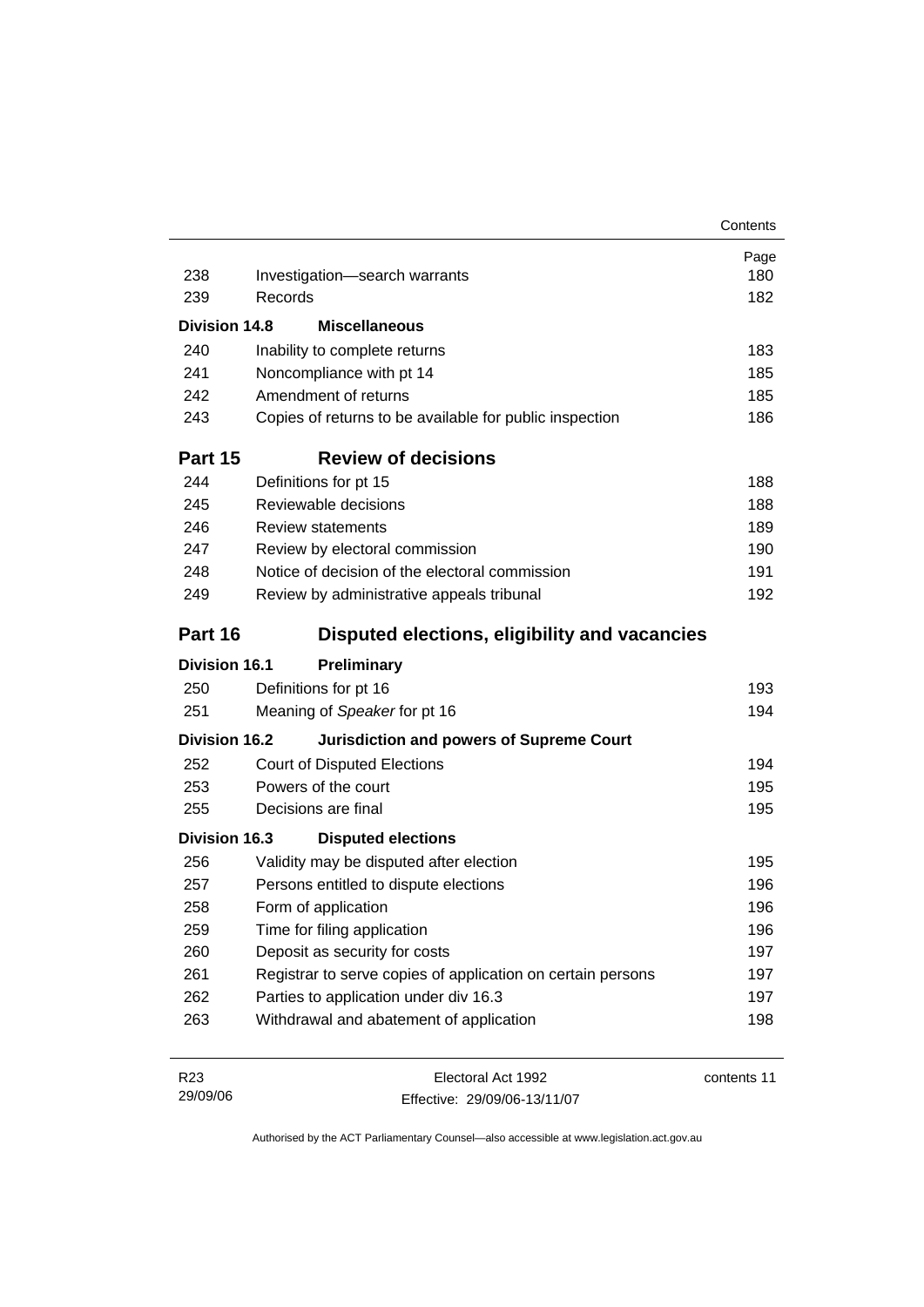|                      |                                                             | Contents    |
|----------------------|-------------------------------------------------------------|-------------|
|                      |                                                             | Page        |
| 238                  | Investigation-search warrants                               | 180         |
| 239                  | Records                                                     | 182         |
| Division 14.8        | <b>Miscellaneous</b>                                        |             |
| 240                  | Inability to complete returns                               | 183         |
| 241                  | Noncompliance with pt 14                                    | 185         |
| 242                  | Amendment of returns                                        | 185         |
| 243                  | Copies of returns to be available for public inspection     | 186         |
| Part 15              | <b>Review of decisions</b>                                  |             |
| 244                  | Definitions for pt 15                                       | 188         |
| 245                  | Reviewable decisions                                        | 188         |
| 246                  | <b>Review statements</b>                                    | 189         |
| 247                  | Review by electoral commission                              | 190         |
| 248                  | Notice of decision of the electoral commission              | 191         |
| 249                  | Review by administrative appeals tribunal                   | 192         |
| Part 16              | Disputed elections, eligibility and vacancies               |             |
| <b>Division 16.1</b> | <b>Preliminary</b>                                          |             |
| 250                  | Definitions for pt 16                                       | 193         |
| 251                  | Meaning of Speaker for pt 16                                | 194         |
| Division 16.2        | <b>Jurisdiction and powers of Supreme Court</b>             |             |
| 252                  | <b>Court of Disputed Elections</b>                          | 194         |
| 253                  | Powers of the court                                         | 195         |
| 255                  | Decisions are final                                         | 195         |
| <b>Division 16.3</b> | <b>Disputed elections</b>                                   |             |
| 256                  | Validity may be disputed after election                     | 195         |
| 257                  | Persons entitled to dispute elections                       | 196         |
| 258                  | Form of application                                         | 196         |
| 259                  | Time for filing application                                 | 196         |
| 260                  | Deposit as security for costs                               | 197         |
| 261                  | Registrar to serve copies of application on certain persons | 197         |
| 262                  | Parties to application under div 16.3                       | 197         |
| 263                  | Withdrawal and abatement of application                     | 198         |
| R <sub>23</sub>      | Electoral Act 1992                                          | contents 11 |
| 29/09/06             | Effective: 29/09/06-13/11/07                                |             |

Effective: 29/09/06-13/11/07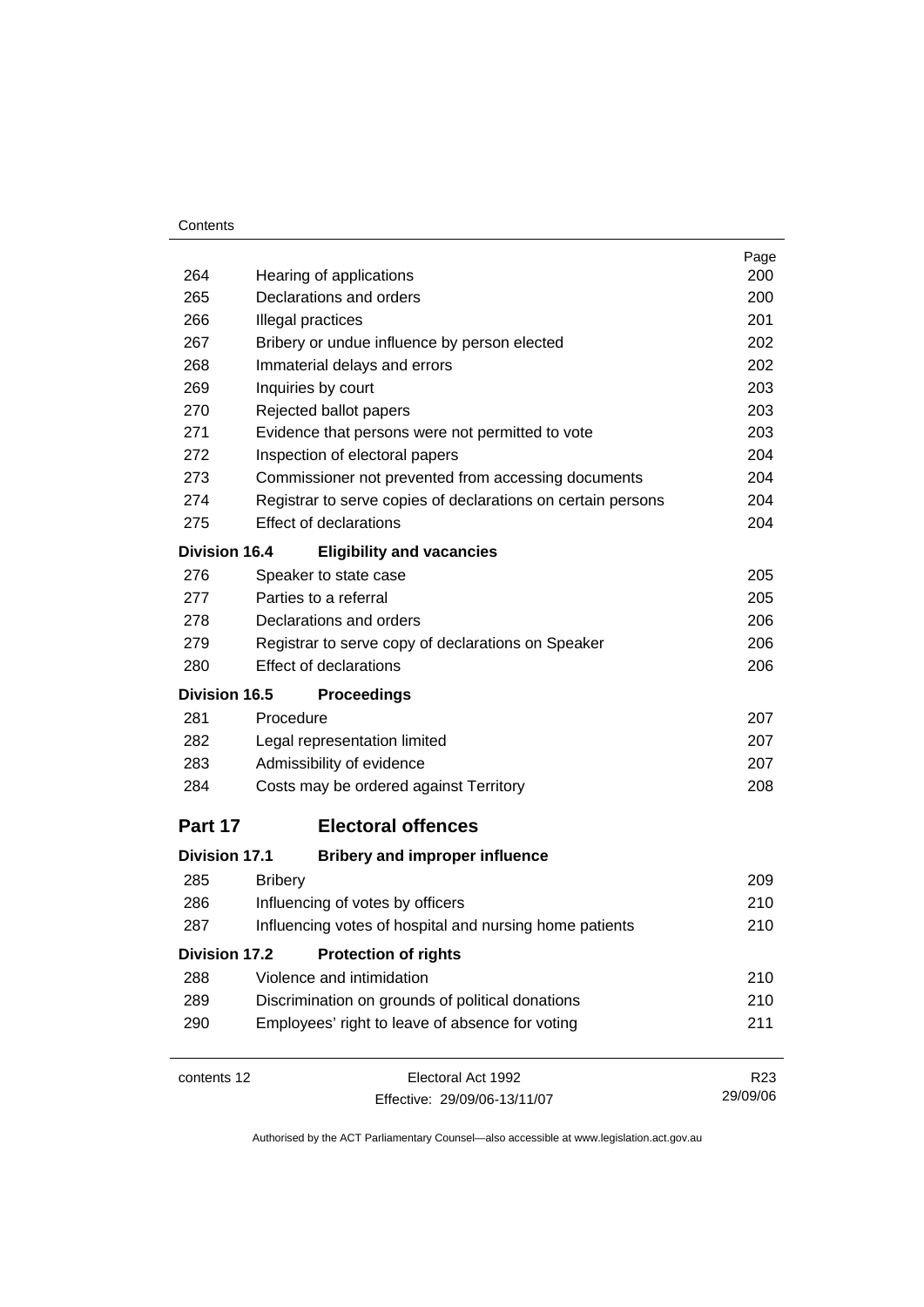#### **Contents**

|                      |                   |                                                              | Page            |
|----------------------|-------------------|--------------------------------------------------------------|-----------------|
| 264                  |                   | Hearing of applications                                      | 200             |
| 265                  |                   | Declarations and orders                                      | 200             |
| 266                  | Illegal practices |                                                              | 201             |
| 267                  |                   | Bribery or undue influence by person elected                 | 202             |
| 268                  |                   | Immaterial delays and errors                                 | 202             |
| 269                  |                   | Inquiries by court                                           | 203             |
| 270                  |                   | Rejected ballot papers                                       | 203             |
| 271                  |                   | Evidence that persons were not permitted to vote             | 203             |
| 272                  |                   | Inspection of electoral papers                               | 204             |
| 273                  |                   | Commissioner not prevented from accessing documents          | 204             |
| 274                  |                   | Registrar to serve copies of declarations on certain persons | 204             |
| 275                  |                   | <b>Effect of declarations</b>                                | 204             |
| <b>Division 16.4</b> |                   | <b>Eligibility and vacancies</b>                             |                 |
| 276                  |                   | Speaker to state case                                        | 205             |
| 277                  |                   | Parties to a referral                                        | 205             |
| 278                  |                   | Declarations and orders                                      | 206             |
| 279                  |                   | Registrar to serve copy of declarations on Speaker           | 206             |
| 280                  |                   | <b>Effect of declarations</b>                                | 206             |
| <b>Division 16.5</b> |                   | <b>Proceedings</b>                                           |                 |
| 281                  | Procedure         |                                                              | 207             |
| 282                  |                   | Legal representation limited                                 | 207             |
| 283                  |                   | Admissibility of evidence                                    | 207             |
| 284                  |                   | Costs may be ordered against Territory                       | 208             |
| Part 17              |                   | <b>Electoral offences</b>                                    |                 |
| <b>Division 17.1</b> |                   | <b>Bribery and improper influence</b>                        |                 |
| 285                  | <b>Bribery</b>    |                                                              | 209             |
| 286                  |                   | Influencing of votes by officers                             | 210             |
| 287                  |                   | Influencing votes of hospital and nursing home patients      | 210             |
| <b>Division 17.2</b> |                   | <b>Protection of rights</b>                                  |                 |
| 288                  |                   | Violence and intimidation                                    | 210             |
| 289                  |                   | Discrimination on grounds of political donations             | 210             |
| 290                  |                   | Employees' right to leave of absence for voting              | 211             |
| contents 12          |                   | Electoral Act 1992                                           | R <sub>23</sub> |
|                      |                   | Effective: 29/09/06-13/11/07                                 | 29/09/06        |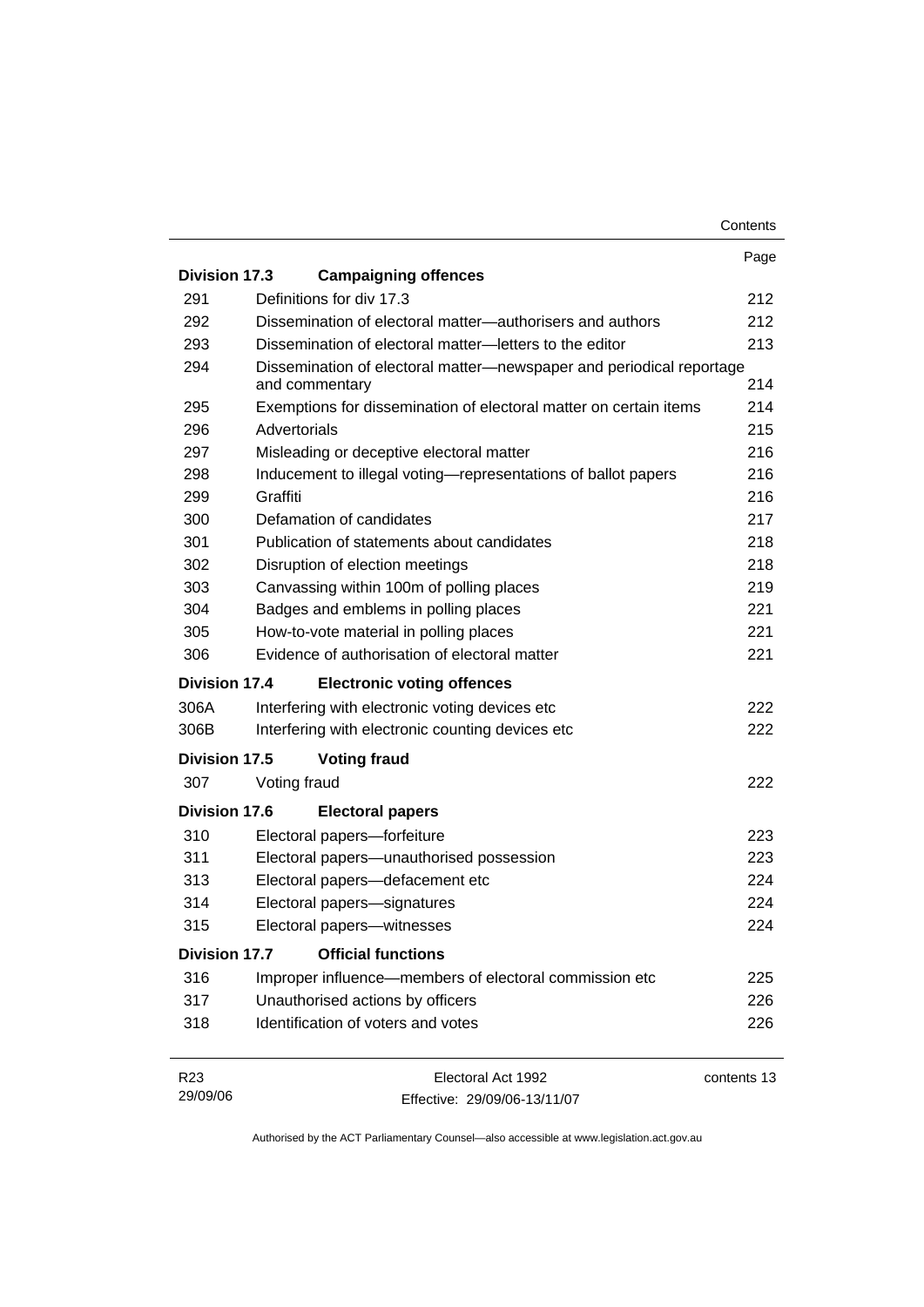|                      |                                                                   |                                                                      | Contents    |  |
|----------------------|-------------------------------------------------------------------|----------------------------------------------------------------------|-------------|--|
|                      |                                                                   |                                                                      | Page        |  |
| Division 17.3        |                                                                   | <b>Campaigning offences</b>                                          |             |  |
| 291                  | Definitions for div 17.3                                          |                                                                      | 212         |  |
| 292                  |                                                                   | Dissemination of electoral matter—authorisers and authors            | 212         |  |
| 293                  |                                                                   | Dissemination of electoral matter-letters to the editor              | 213         |  |
| 294                  | and commentary                                                    | Dissemination of electoral matter-newspaper and periodical reportage | 214         |  |
| 295                  | Exemptions for dissemination of electoral matter on certain items |                                                                      |             |  |
| 296                  | Advertorials                                                      |                                                                      |             |  |
| 297                  |                                                                   | Misleading or deceptive electoral matter                             | 216         |  |
| 298                  |                                                                   | Inducement to illegal voting-representations of ballot papers        | 216         |  |
| 299                  | Graffiti                                                          |                                                                      | 216         |  |
| 300                  | Defamation of candidates                                          |                                                                      | 217         |  |
| 301                  |                                                                   | Publication of statements about candidates                           | 218         |  |
| 302                  | Disruption of election meetings                                   |                                                                      | 218         |  |
| 303                  |                                                                   | Canvassing within 100m of polling places                             | 219         |  |
| 304                  |                                                                   | Badges and emblems in polling places                                 | 221         |  |
| 305                  |                                                                   | How-to-vote material in polling places                               | 221         |  |
| 306                  |                                                                   | Evidence of authorisation of electoral matter                        | 221         |  |
| Division 17.4        |                                                                   | <b>Electronic voting offences</b>                                    |             |  |
| 306A                 |                                                                   | Interfering with electronic voting devices etc                       | 222         |  |
| 306B                 |                                                                   | Interfering with electronic counting devices etc                     | 222         |  |
| Division 17.5        | <b>Voting fraud</b>                                               |                                                                      |             |  |
| 307                  | Voting fraud                                                      |                                                                      | 222         |  |
| <b>Division 17.6</b> |                                                                   | <b>Electoral papers</b>                                              |             |  |
| 310                  | Electoral papers-forfeiture                                       |                                                                      | 223         |  |
| 311                  |                                                                   | Electoral papers-unauthorised possession                             | 223         |  |
| 313                  | Electoral papers-defacement etc                                   |                                                                      | 224         |  |
| 314                  | Electoral papers-signatures                                       |                                                                      | 224         |  |
| 315                  | Electoral papers-witnesses                                        |                                                                      | 224         |  |
| Division 17.7        |                                                                   | <b>Official functions</b>                                            |             |  |
| 316                  |                                                                   | Improper influence—members of electoral commission etc               | 225         |  |
| 317                  | Unauthorised actions by officers                                  |                                                                      | 226         |  |
| 318                  | Identification of voters and votes                                |                                                                      | 226         |  |
|                      |                                                                   |                                                                      |             |  |
| R <sub>23</sub>      |                                                                   | Electoral Act 1992                                                   | contents 13 |  |

| R <sub>23</sub> | Electoral Act 1992           | contents 13 |
|-----------------|------------------------------|-------------|
| 29/09/06        | Effective: 29/09/06-13/11/07 |             |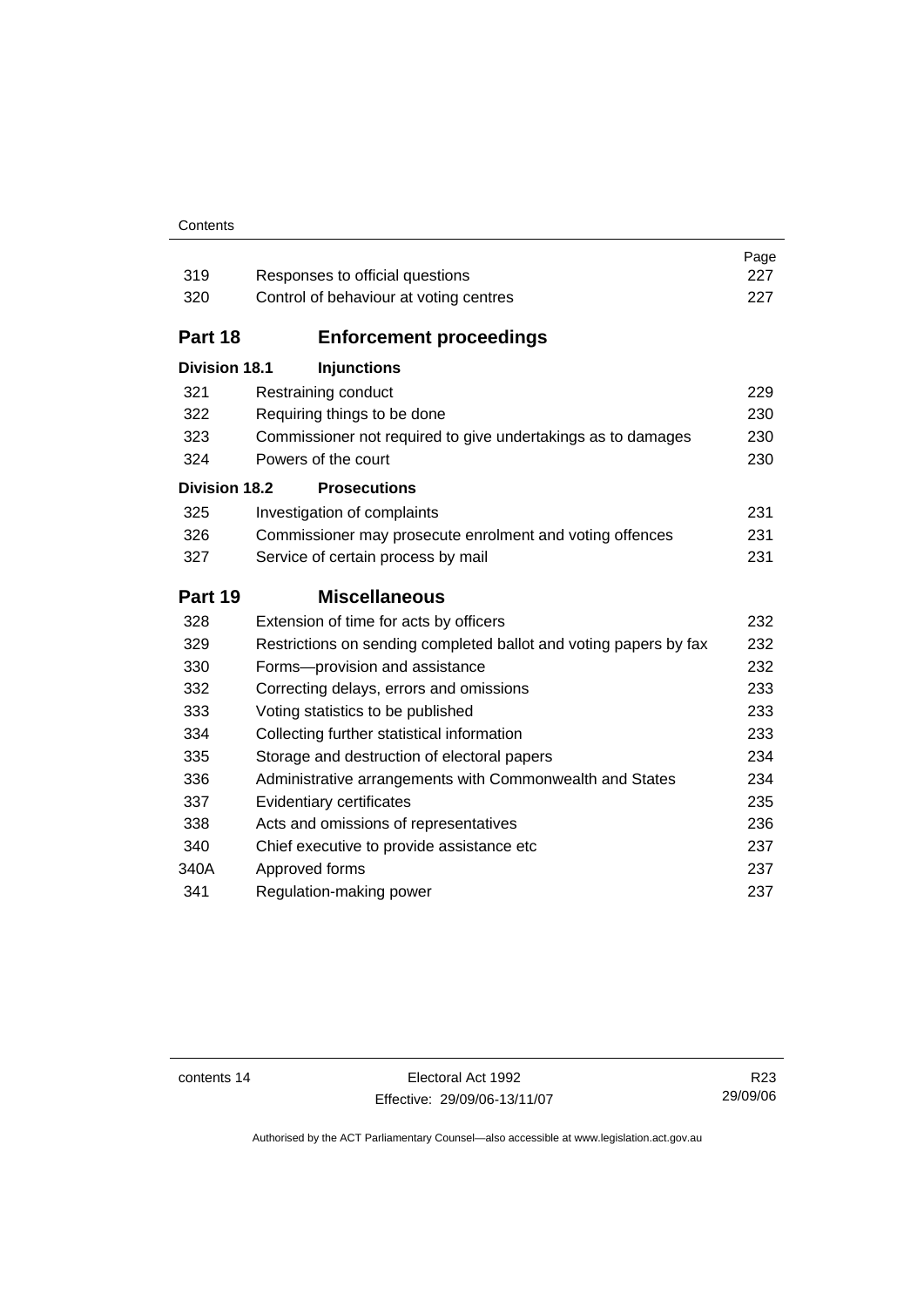#### **Contents**

| 319                  | Responses to official questions                                   | Page<br>227 |
|----------------------|-------------------------------------------------------------------|-------------|
| 320                  | Control of behaviour at voting centres                            | 227         |
|                      |                                                                   |             |
| Part 18              | <b>Enforcement proceedings</b>                                    |             |
| <b>Division 18.1</b> | <b>Injunctions</b>                                                |             |
| 321                  | Restraining conduct                                               | 229         |
| 322                  | Requiring things to be done                                       | 230         |
| 323                  | Commissioner not required to give undertakings as to damages      | 230         |
| 324                  | Powers of the court                                               | 230         |
| <b>Division 18.2</b> | <b>Prosecutions</b>                                               |             |
| 325                  | Investigation of complaints                                       | 231         |
| 326                  | Commissioner may prosecute enrolment and voting offences          | 231         |
| 327                  | Service of certain process by mail                                | 231         |
| Part 19              | <b>Miscellaneous</b>                                              |             |
|                      |                                                                   |             |
| 328                  | Extension of time for acts by officers                            | 232         |
| 329                  | Restrictions on sending completed ballot and voting papers by fax | 232         |
| 330                  | Forms-provision and assistance                                    | 232         |
| 332                  | Correcting delays, errors and omissions                           | 233         |
| 333                  | Voting statistics to be published                                 | 233         |
| 334                  | Collecting further statistical information                        | 233         |
| 335                  | Storage and destruction of electoral papers                       | 234         |
| 336                  | Administrative arrangements with Commonwealth and States          | 234         |
| 337                  | Evidentiary certificates                                          | 235         |
| 338                  | Acts and omissions of representatives                             | 236         |
| 340                  | Chief executive to provide assistance etc                         | 237         |
| 340A                 | Approved forms                                                    | 237         |
| 341                  | Regulation-making power                                           | 237         |

contents 14 Electoral Act 1992 Effective: 29/09/06-13/11/07

R23 29/09/06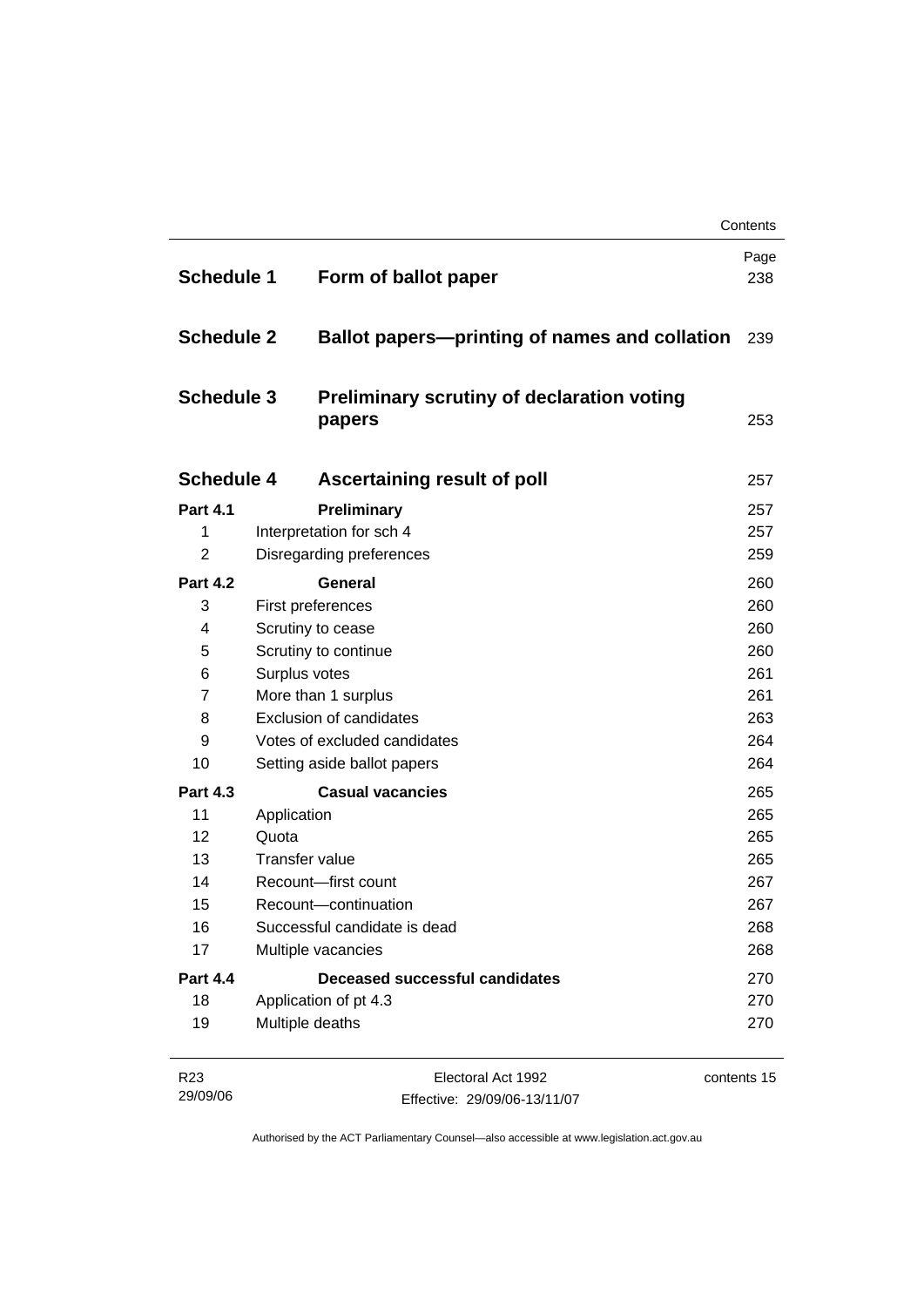|                   |                             |                                                      | Contents    |  |
|-------------------|-----------------------------|------------------------------------------------------|-------------|--|
| <b>Schedule 1</b> |                             | Form of ballot paper                                 | Page<br>238 |  |
| <b>Schedule 2</b> |                             | <b>Ballot papers—printing of names and collation</b> | 239         |  |
| <b>Schedule 3</b> |                             | Preliminary scrutiny of declaration voting<br>papers | 253         |  |
| <b>Schedule 4</b> |                             | Ascertaining result of poll                          | 257         |  |
| <b>Part 4.1</b>   |                             | Preliminary                                          | 257         |  |
| 1                 |                             | Interpretation for sch 4                             | 257         |  |
| $\overline{2}$    |                             | Disregarding preferences                             | 259         |  |
| <b>Part 4.2</b>   |                             | <b>General</b>                                       | 260         |  |
| 3                 |                             | First preferences                                    | 260         |  |
| 4                 |                             | Scrutiny to cease                                    |             |  |
| 5                 |                             | Scrutiny to continue                                 |             |  |
| 6                 |                             | Surplus votes                                        |             |  |
| $\overline{7}$    |                             | More than 1 surplus                                  |             |  |
| 8                 |                             | <b>Exclusion of candidates</b>                       |             |  |
| 9                 |                             | Votes of excluded candidates                         |             |  |
| 10                | Setting aside ballot papers |                                                      | 264         |  |
| <b>Part 4.3</b>   |                             | <b>Casual vacancies</b>                              | 265         |  |
| 11                | Application                 |                                                      | 265         |  |
| 12                | Quota                       |                                                      | 265         |  |
| 13                |                             | <b>Transfer value</b>                                | 265         |  |
| 14                |                             | Recount-first count                                  | 267         |  |
| 15                |                             | Recount-continuation                                 |             |  |
| 16                |                             | Successful candidate is dead                         | 268         |  |
| 17                |                             | Multiple vacancies                                   | 268         |  |
| <b>Part 4.4</b>   |                             | Deceased successful candidates                       | 270         |  |
| 18                |                             | Application of pt 4.3                                | 270         |  |
| 19                |                             | Multiple deaths                                      | 270         |  |

| R23      | Electoral Act 1992           | contents 15 |
|----------|------------------------------|-------------|
| 29/09/06 | Effective: 29/09/06-13/11/07 |             |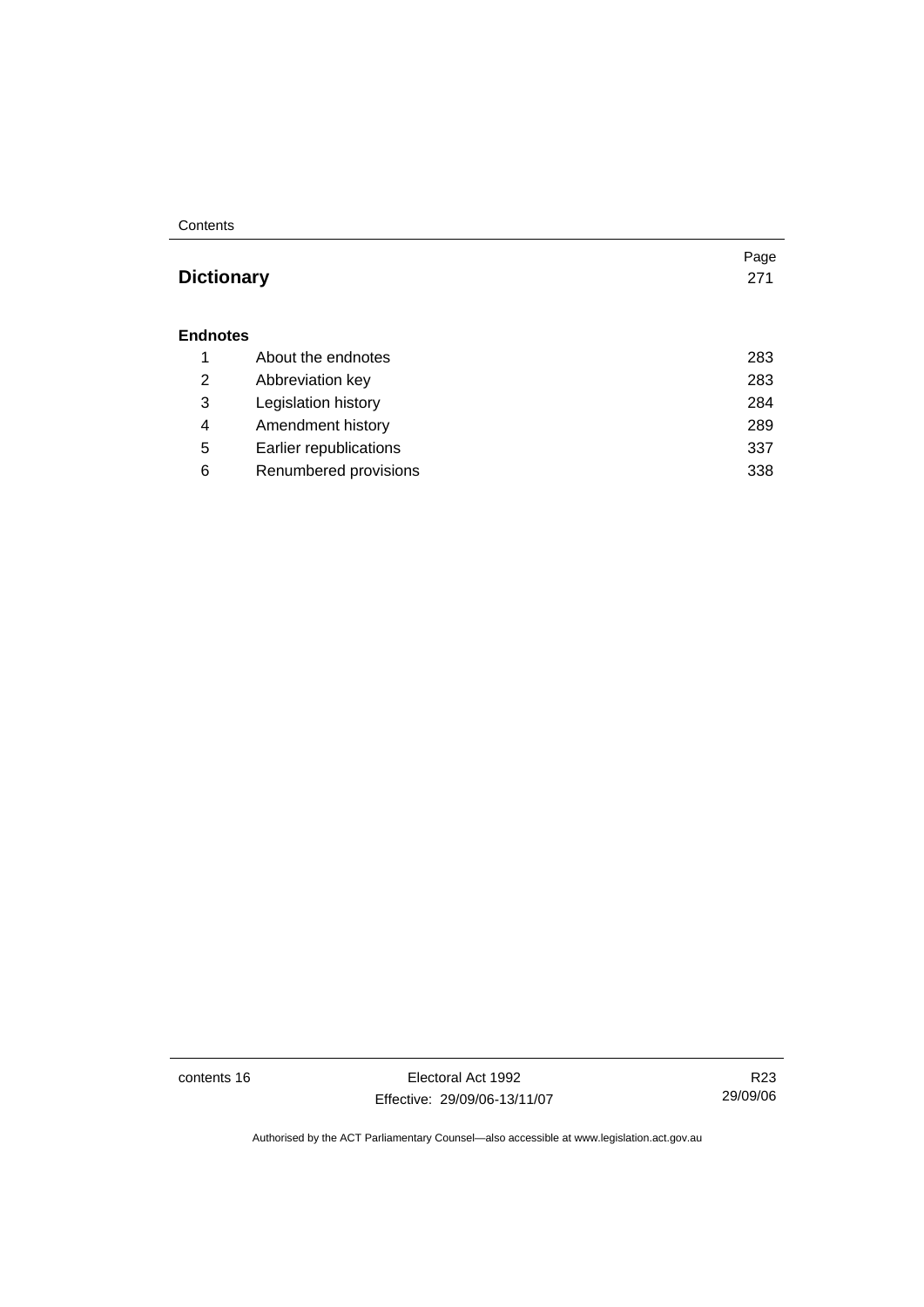#### **Contents**

# **Dictionary** [271](#page-288-0)

#### **Endnotes**

|   | About the endnotes     | 283 |
|---|------------------------|-----|
| 2 | Abbreviation key       | 283 |
| 3 | Legislation history    | 284 |
| 4 | Amendment history      | 289 |
| 5 | Earlier republications | 337 |
| 6 | Renumbered provisions  | 338 |

contents 16 Electoral Act 1992 Effective: 29/09/06-13/11/07

R23 29/09/06

Page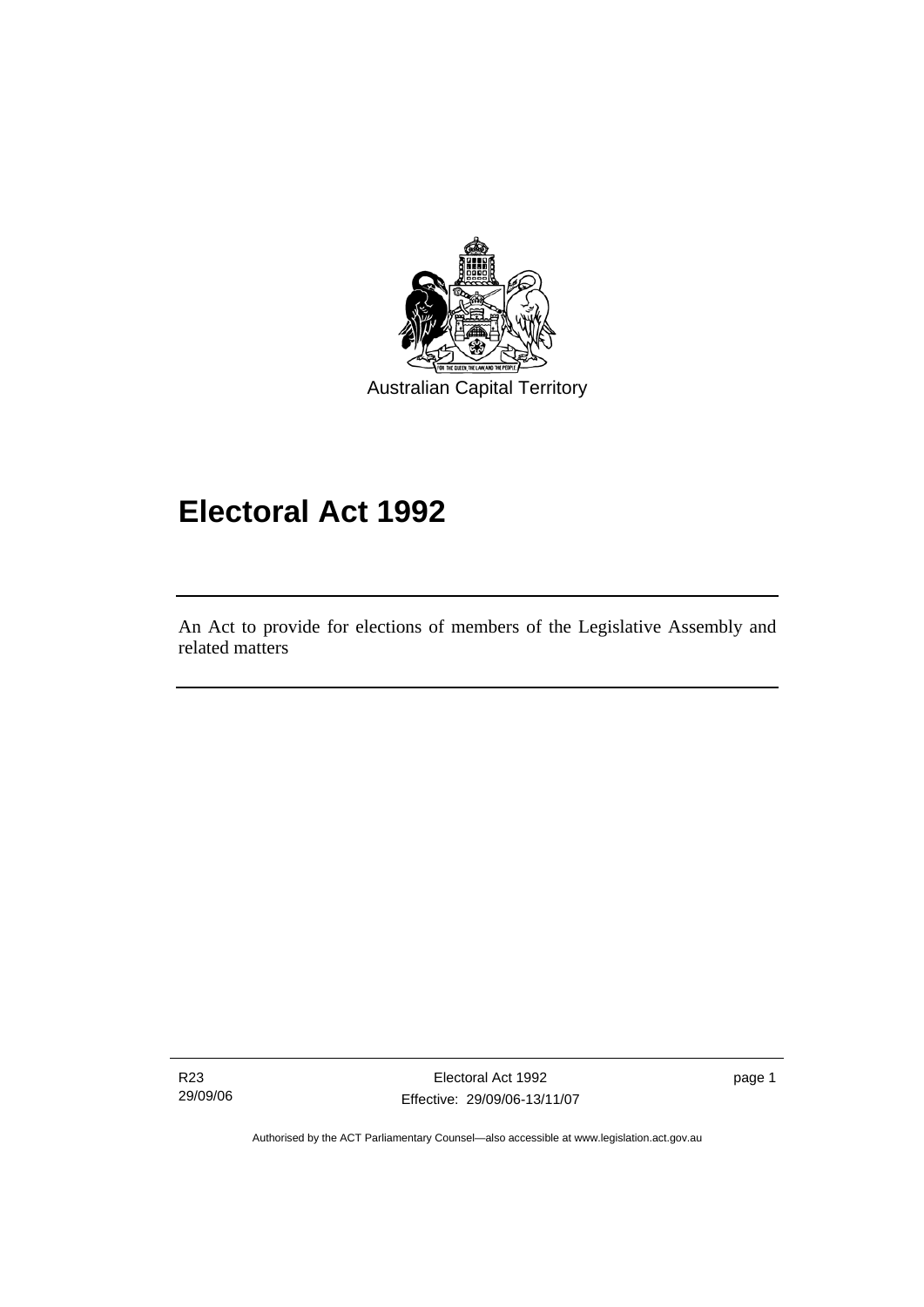<span id="page-18-0"></span>

# **Electoral Act 1992**

An Act to provide for elections of members of the Legislative Assembly and related matters

R23 29/09/06

l

Electoral Act 1992 Effective: 29/09/06-13/11/07 page 1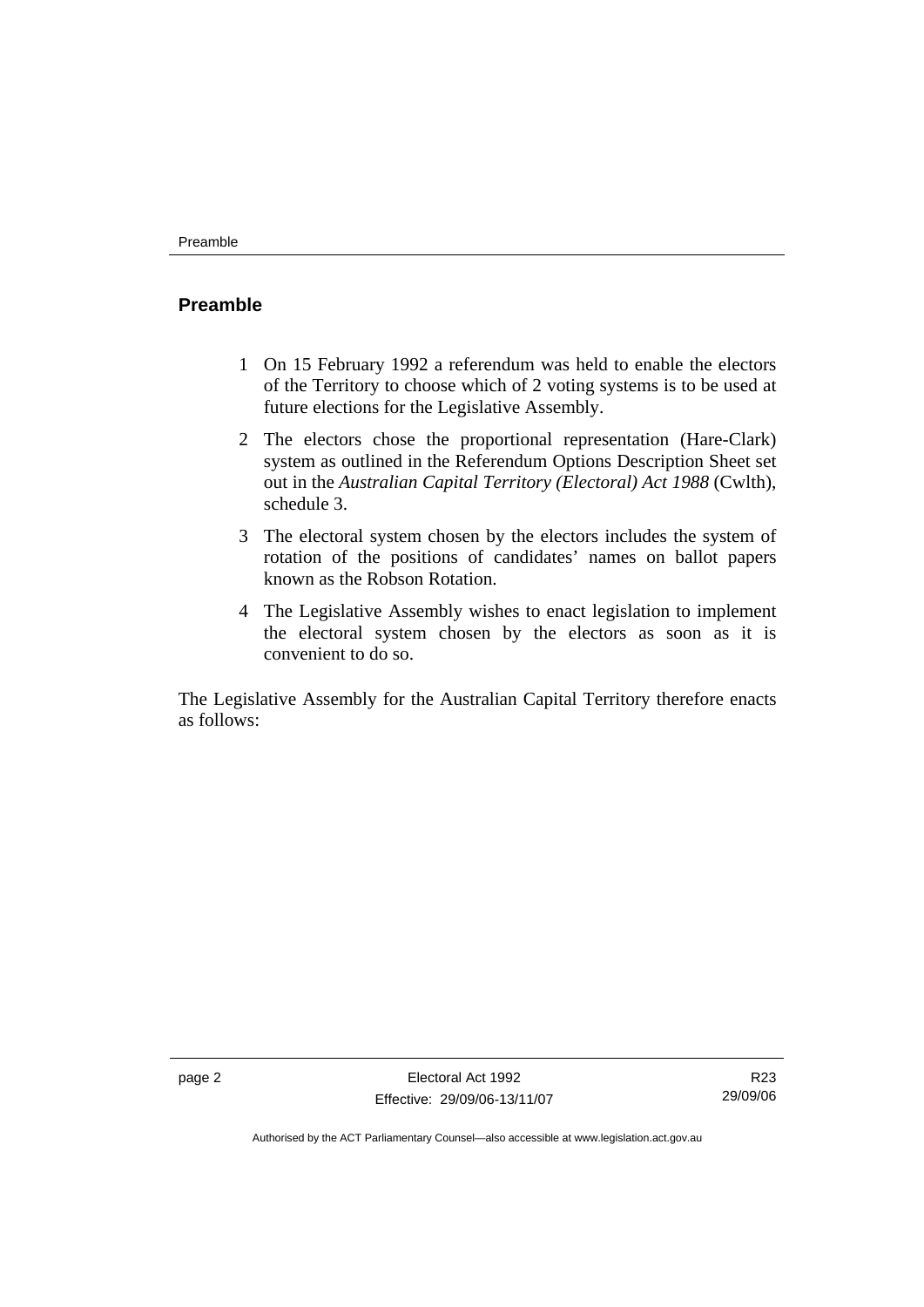### <span id="page-19-0"></span>**Preamble**

- 1 On 15 February 1992 a referendum was held to enable the electors of the Territory to choose which of 2 voting systems is to be used at future elections for the Legislative Assembly.
- 2 The electors chose the proportional representation (Hare-Clark) system as outlined in the Referendum Options Description Sheet set out in the *Australian Capital Territory (Electoral) Act 1988* (Cwlth), schedule 3.
- 3 The electoral system chosen by the electors includes the system of rotation of the positions of candidates' names on ballot papers known as the Robson Rotation.
- 4 The Legislative Assembly wishes to enact legislation to implement the electoral system chosen by the electors as soon as it is convenient to do so.

The Legislative Assembly for the Australian Capital Territory therefore enacts as follows:

R23 29/09/06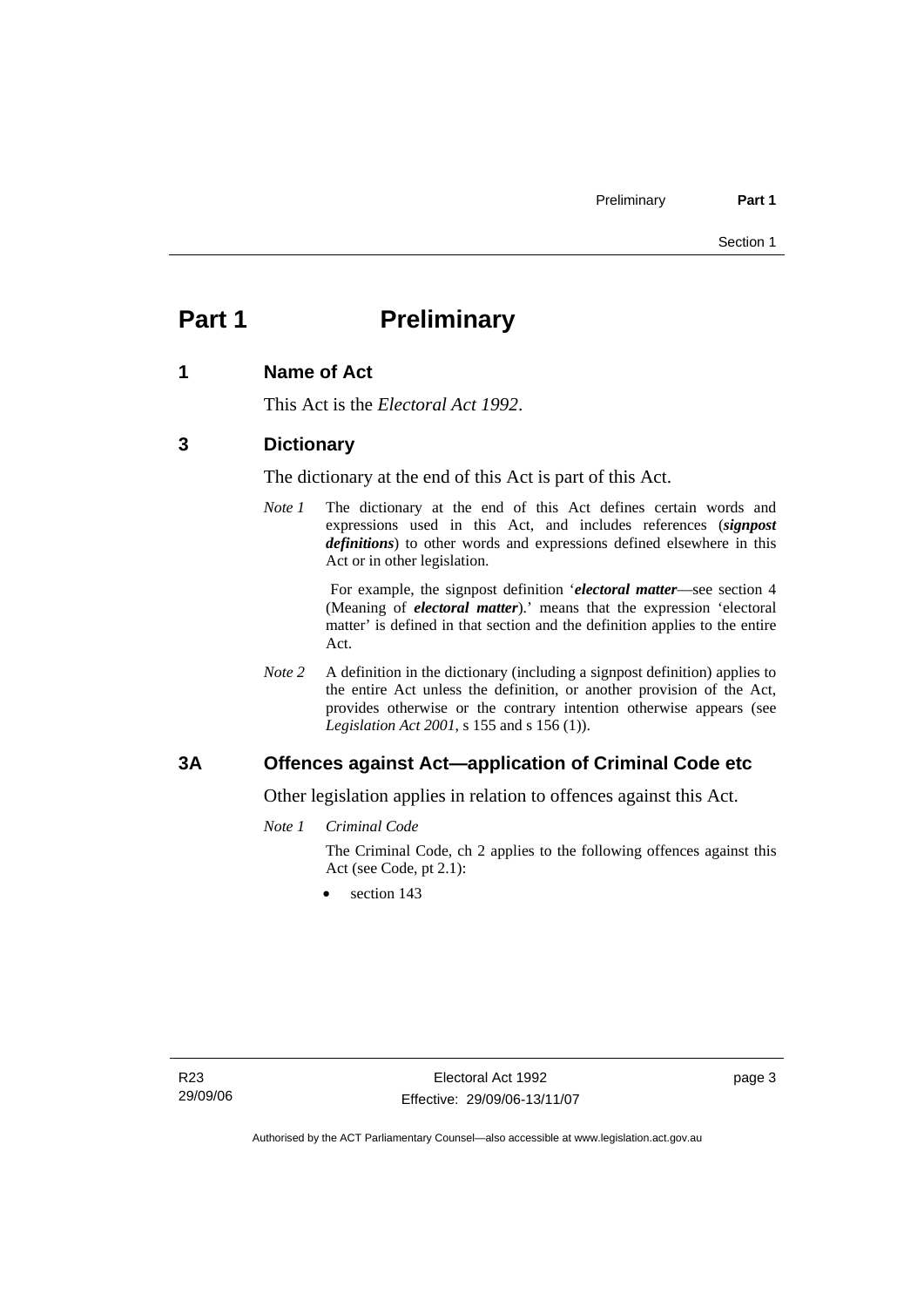# <span id="page-20-0"></span>**Part 1** Preliminary

### **1 Name of Act**

This Act is the *Electoral Act 1992*.

### **3 Dictionary**

The dictionary at the end of this Act is part of this Act.

*Note 1* The dictionary at the end of this Act defines certain words and expressions used in this Act, and includes references (*signpost definitions*) to other words and expressions defined elsewhere in this Act or in other legislation.

> For example, the signpost definition '*electoral matter*—see section 4 (Meaning of *electoral matter*).' means that the expression 'electoral matter' is defined in that section and the definition applies to the entire Act.

*Note 2* A definition in the dictionary (including a signpost definition) applies to the entire Act unless the definition, or another provision of the Act, provides otherwise or the contrary intention otherwise appears (see *Legislation Act 2001*, s 155 and s 156 (1)).

### **3A Offences against Act—application of Criminal Code etc**

Other legislation applies in relation to offences against this Act.

*Note 1 Criminal Code*

The Criminal Code, ch 2 applies to the following offences against this Act (see Code, pt 2.1):

section 143

page 3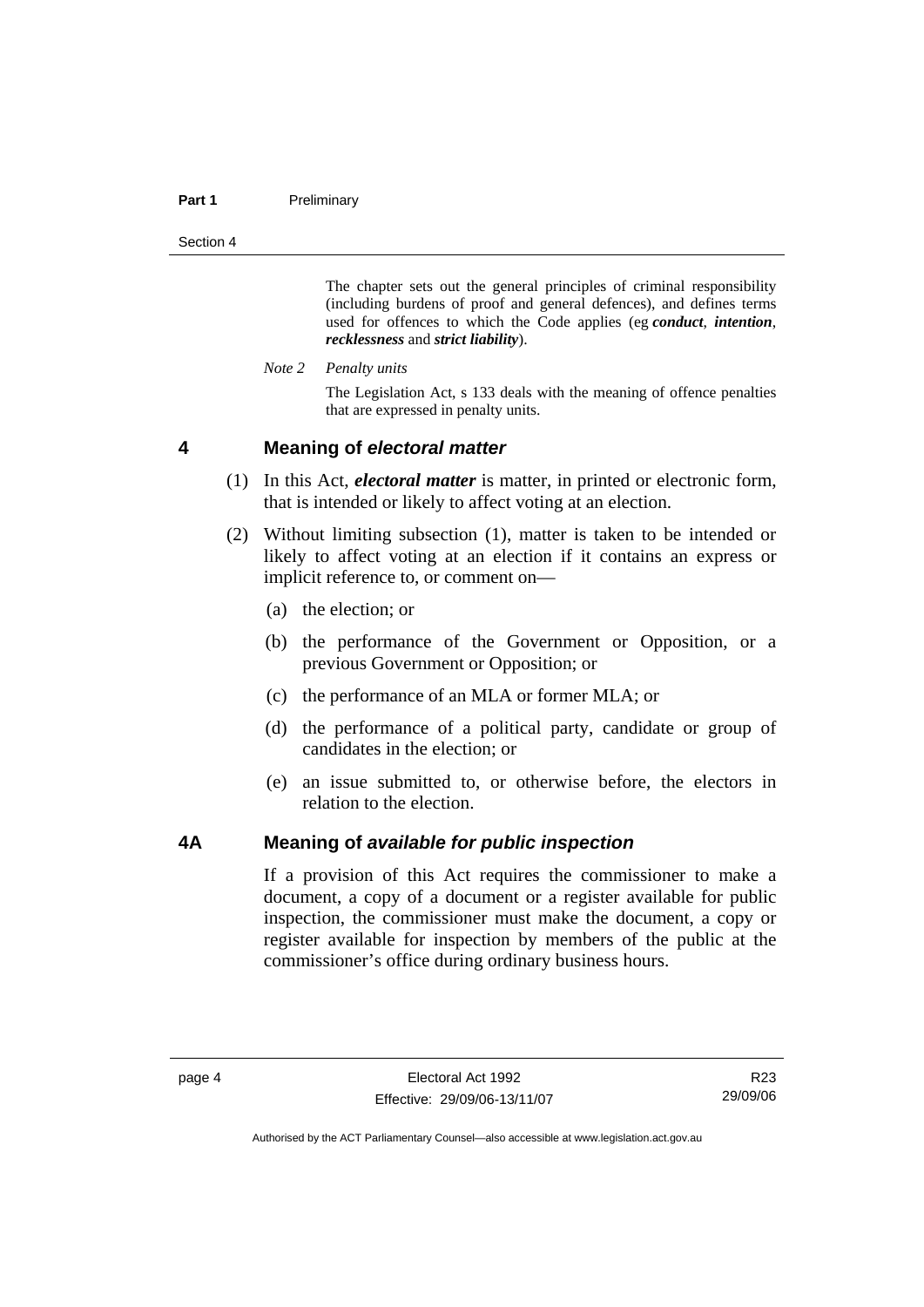#### <span id="page-21-0"></span>**Part 1** Preliminary

Section 4

The chapter sets out the general principles of criminal responsibility (including burdens of proof and general defences), and defines terms used for offences to which the Code applies (eg *conduct*, *intention*, *recklessness* and *strict liability*).

*Note 2 Penalty units* 

The Legislation Act, s 133 deals with the meaning of offence penalties that are expressed in penalty units.

#### **4 Meaning of** *electoral matter*

- (1) In this Act, *electoral matter* is matter, in printed or electronic form, that is intended or likely to affect voting at an election.
- (2) Without limiting subsection (1), matter is taken to be intended or likely to affect voting at an election if it contains an express or implicit reference to, or comment on—
	- (a) the election; or
	- (b) the performance of the Government or Opposition, or a previous Government or Opposition; or
	- (c) the performance of an MLA or former MLA; or
	- (d) the performance of a political party, candidate or group of candidates in the election; or
	- (e) an issue submitted to, or otherwise before, the electors in relation to the election.

#### **4A Meaning of** *available for public inspection*

If a provision of this Act requires the commissioner to make a document, a copy of a document or a register available for public inspection, the commissioner must make the document, a copy or register available for inspection by members of the public at the commissioner's office during ordinary business hours.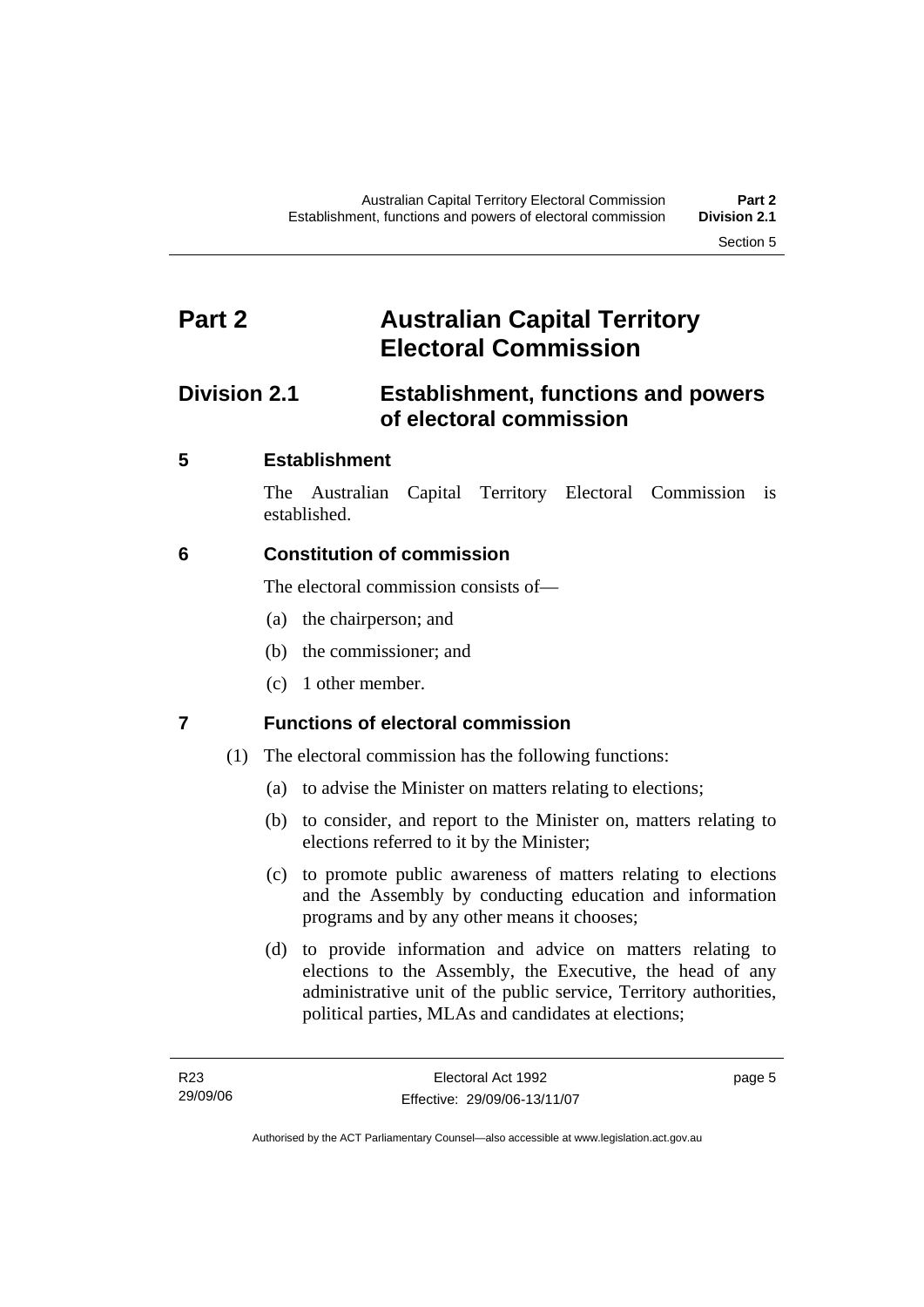# <span id="page-22-0"></span>**Part 2 Australian Capital Territory Electoral Commission**

# **Division 2.1 Establishment, functions and powers of electoral commission**

# **5 Establishment**

The Australian Capital Territory Electoral Commission is established.

# **6 Constitution of commission**

The electoral commission consists of—

- (a) the chairperson; and
- (b) the commissioner; and
- (c) 1 other member.

# **7 Functions of electoral commission**

- (1) The electoral commission has the following functions:
	- (a) to advise the Minister on matters relating to elections;
	- (b) to consider, and report to the Minister on, matters relating to elections referred to it by the Minister;
	- (c) to promote public awareness of matters relating to elections and the Assembly by conducting education and information programs and by any other means it chooses;
	- (d) to provide information and advice on matters relating to elections to the Assembly, the Executive, the head of any administrative unit of the public service, Territory authorities, political parties, MLAs and candidates at elections;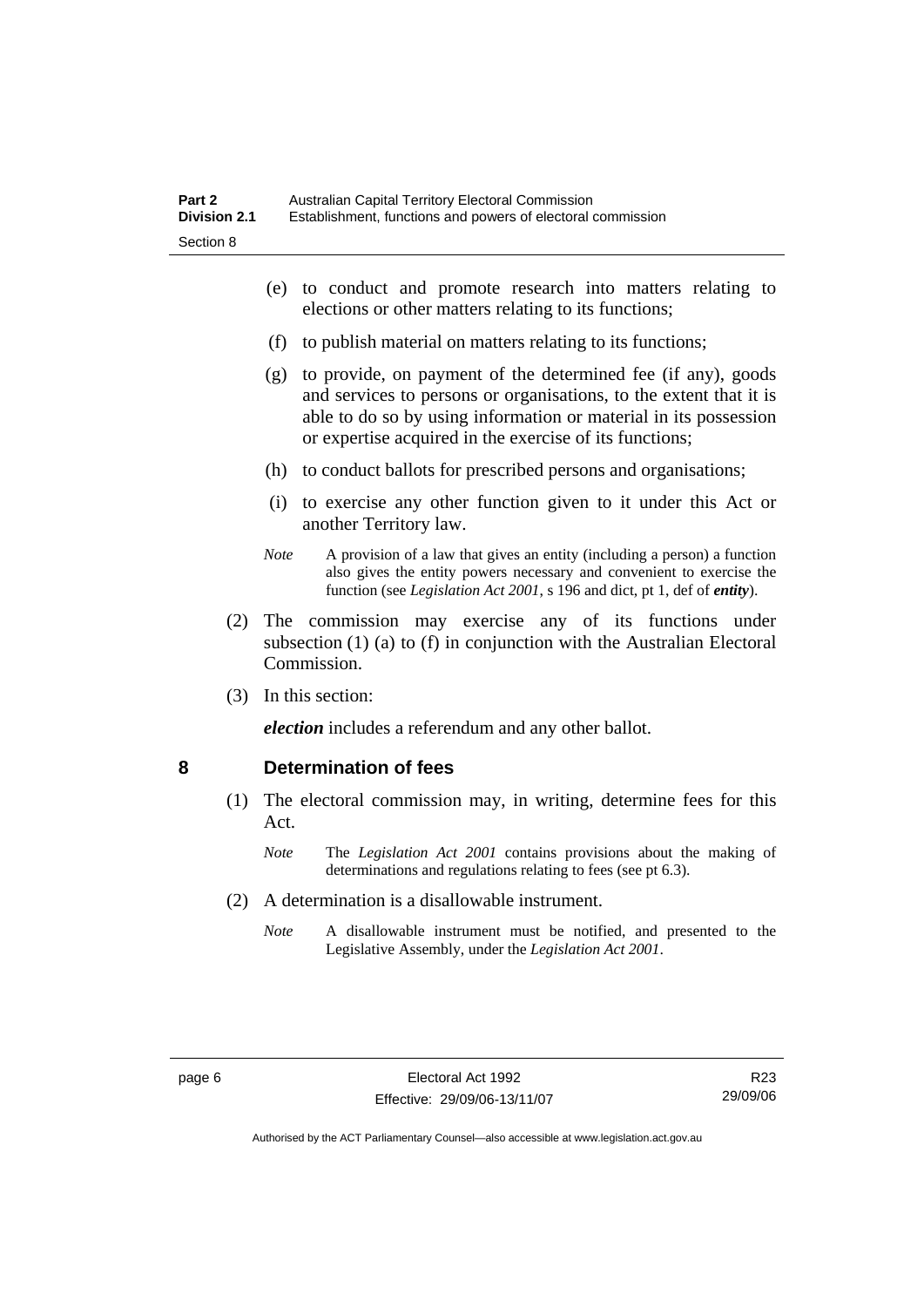- <span id="page-23-0"></span> (e) to conduct and promote research into matters relating to elections or other matters relating to its functions;
- (f) to publish material on matters relating to its functions;
- (g) to provide, on payment of the determined fee (if any), goods and services to persons or organisations, to the extent that it is able to do so by using information or material in its possession or expertise acquired in the exercise of its functions;
- (h) to conduct ballots for prescribed persons and organisations;
- (i) to exercise any other function given to it under this Act or another Territory law.
- *Note* A provision of a law that gives an entity (including a person) a function also gives the entity powers necessary and convenient to exercise the function (see *Legislation Act 2001*, s 196 and dict, pt 1, def of *entity*).
- (2) The commission may exercise any of its functions under subsection (1) (a) to (f) in conjunction with the Australian Electoral Commission.
- (3) In this section:

*election* includes a referendum and any other ballot.

#### **8 Determination of fees**

- (1) The electoral commission may, in writing, determine fees for this Act.
	- *Note* The *Legislation Act 2001* contains provisions about the making of determinations and regulations relating to fees (see pt 6.3).
- (2) A determination is a disallowable instrument.
	- *Note* A disallowable instrument must be notified, and presented to the Legislative Assembly, under the *Legislation Act 2001*.

R23 29/09/06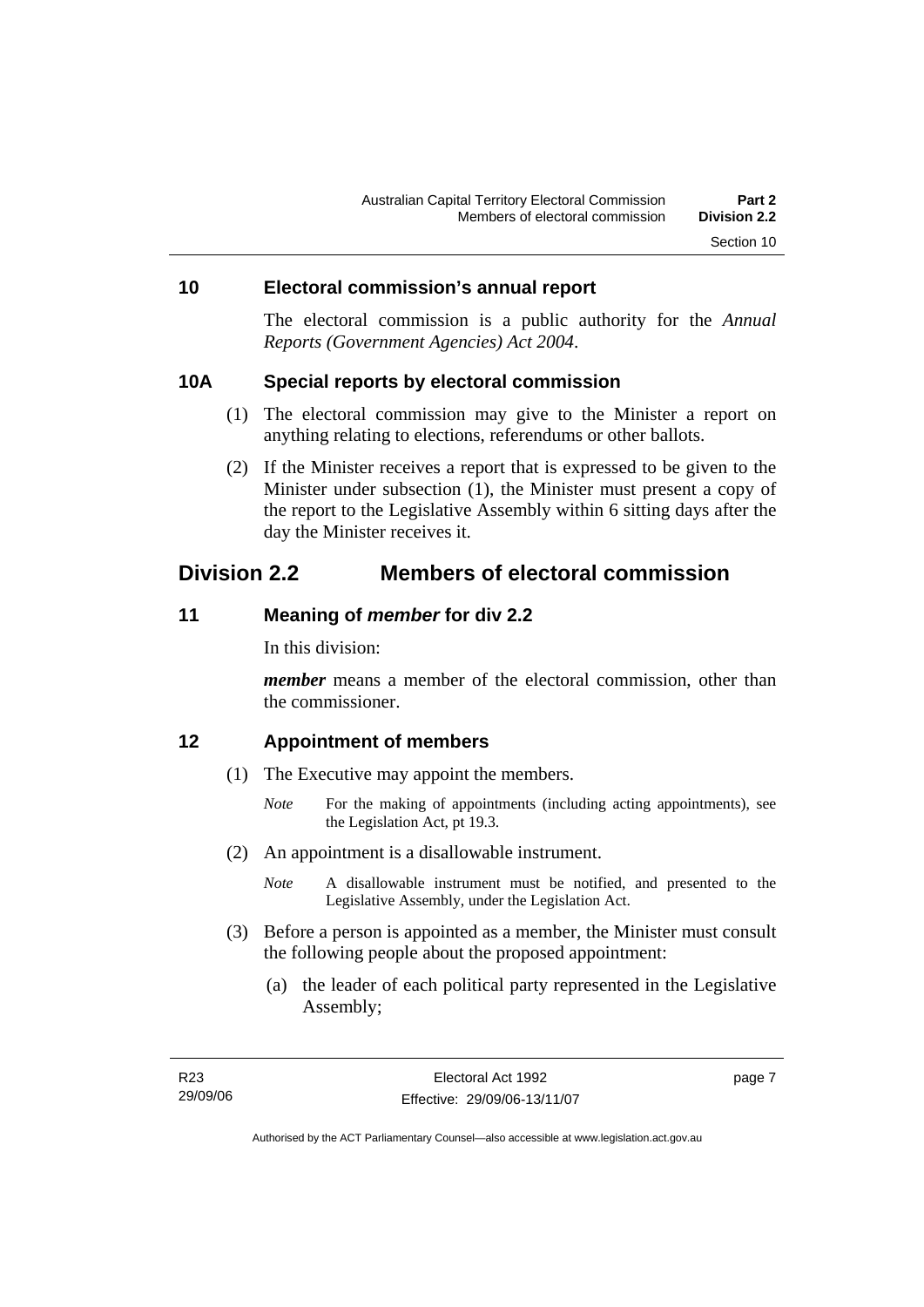#### <span id="page-24-0"></span>**10 Electoral commission's annual report**

The electoral commission is a public authority for the *Annual Reports (Government Agencies) Act 2004*.

#### **10A Special reports by electoral commission**

- (1) The electoral commission may give to the Minister a report on anything relating to elections, referendums or other ballots.
- (2) If the Minister receives a report that is expressed to be given to the Minister under subsection (1), the Minister must present a copy of the report to the Legislative Assembly within 6 sitting days after the day the Minister receives it.

# **Division 2.2 Members of electoral commission**

#### **11 Meaning of** *member* **for div 2.2**

In this division:

*member* means a member of the electoral commission, other than the commissioner.

#### **12 Appointment of members**

- (1) The Executive may appoint the members.
	- *Note* For the making of appointments (including acting appointments), see the Legislation Act, pt 19.3.
- (2) An appointment is a disallowable instrument.
	- *Note* A disallowable instrument must be notified, and presented to the Legislative Assembly, under the Legislation Act.
- (3) Before a person is appointed as a member, the Minister must consult the following people about the proposed appointment:
	- (a) the leader of each political party represented in the Legislative Assembly;

page 7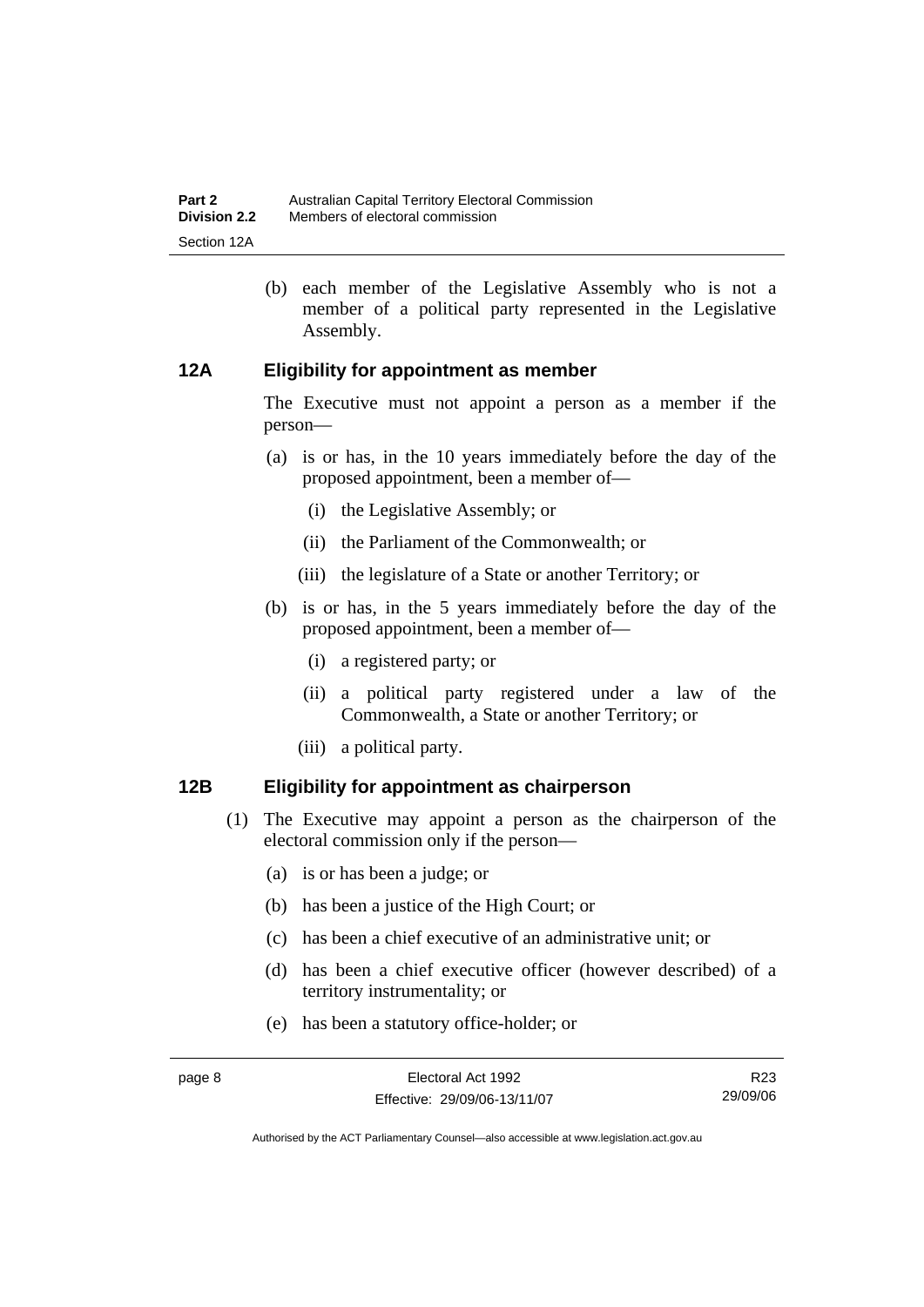<span id="page-25-0"></span> (b) each member of the Legislative Assembly who is not a member of a political party represented in the Legislative Assembly.

### **12A Eligibility for appointment as member**

The Executive must not appoint a person as a member if the person—

- (a) is or has, in the 10 years immediately before the day of the proposed appointment, been a member of—
	- (i) the Legislative Assembly; or
	- (ii) the Parliament of the Commonwealth; or
	- (iii) the legislature of a State or another Territory; or
- (b) is or has, in the 5 years immediately before the day of the proposed appointment, been a member of—
	- (i) a registered party; or
	- (ii) a political party registered under a law of the Commonwealth, a State or another Territory; or
	- (iii) a political party.

#### **12B Eligibility for appointment as chairperson**

- (1) The Executive may appoint a person as the chairperson of the electoral commission only if the person—
	- (a) is or has been a judge; or
	- (b) has been a justice of the High Court; or
	- (c) has been a chief executive of an administrative unit; or
	- (d) has been a chief executive officer (however described) of a territory instrumentality; or
	- (e) has been a statutory office-holder; or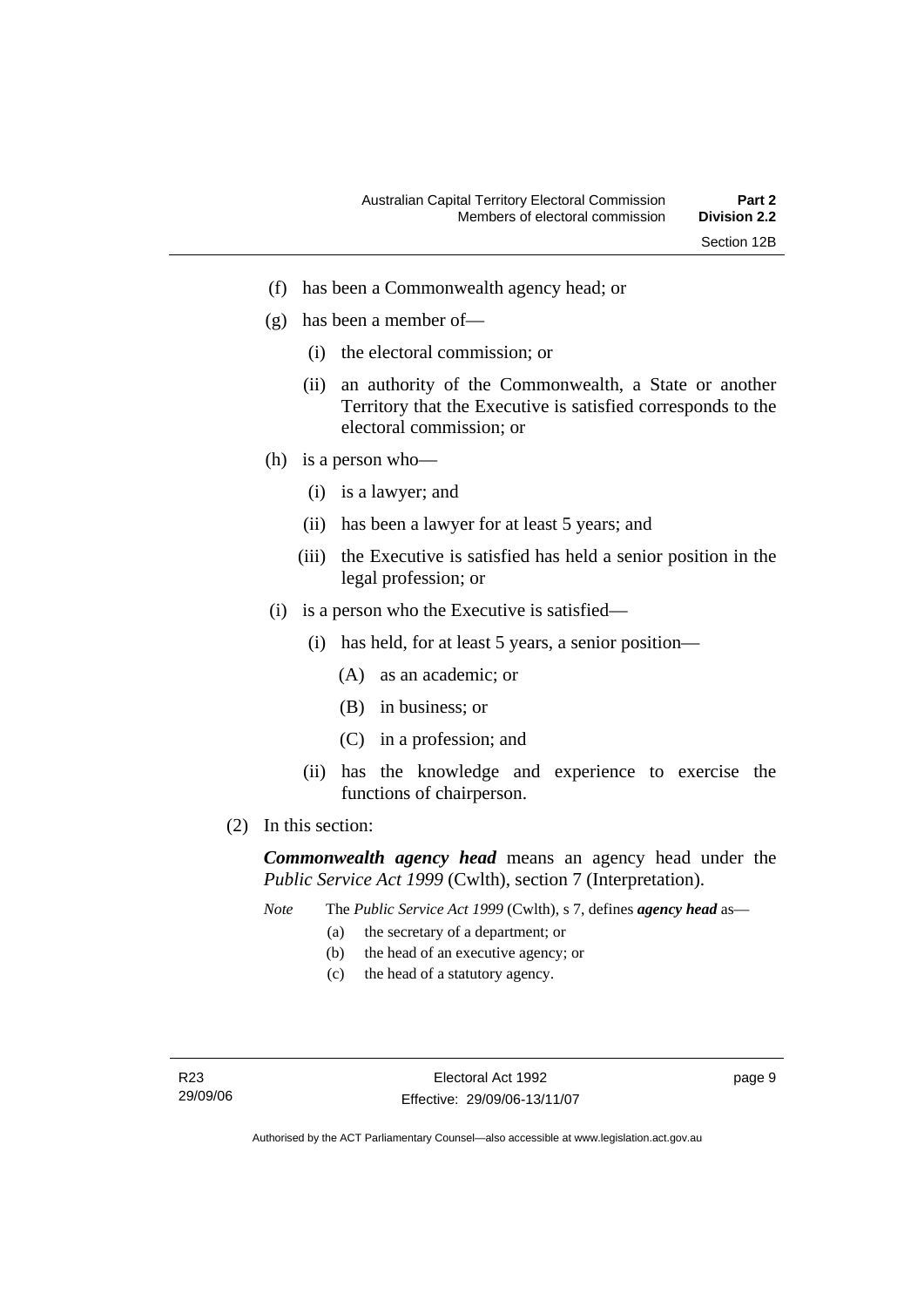- (f) has been a Commonwealth agency head; or
- (g) has been a member of—
	- (i) the electoral commission; or
	- (ii) an authority of the Commonwealth, a State or another Territory that the Executive is satisfied corresponds to the electoral commission; or
- (h) is a person who—
	- (i) is a lawyer; and
	- (ii) has been a lawyer for at least 5 years; and
	- (iii) the Executive is satisfied has held a senior position in the legal profession; or
- (i) is a person who the Executive is satisfied—
	- (i) has held, for at least 5 years, a senior position—
		- (A) as an academic; or
		- (B) in business; or
		- (C) in a profession; and
	- (ii) has the knowledge and experience to exercise the functions of chairperson.
- (2) In this section:

*Commonwealth agency head* means an agency head under the *Public Service Act 1999* (Cwlth), section 7 (Interpretation).

- *Note* The *Public Service Act 1999* (Cwlth), s 7, defines *agency head* as—
	- (a) the secretary of a department; or
	- (b) the head of an executive agency; or
	- (c) the head of a statutory agency.

page 9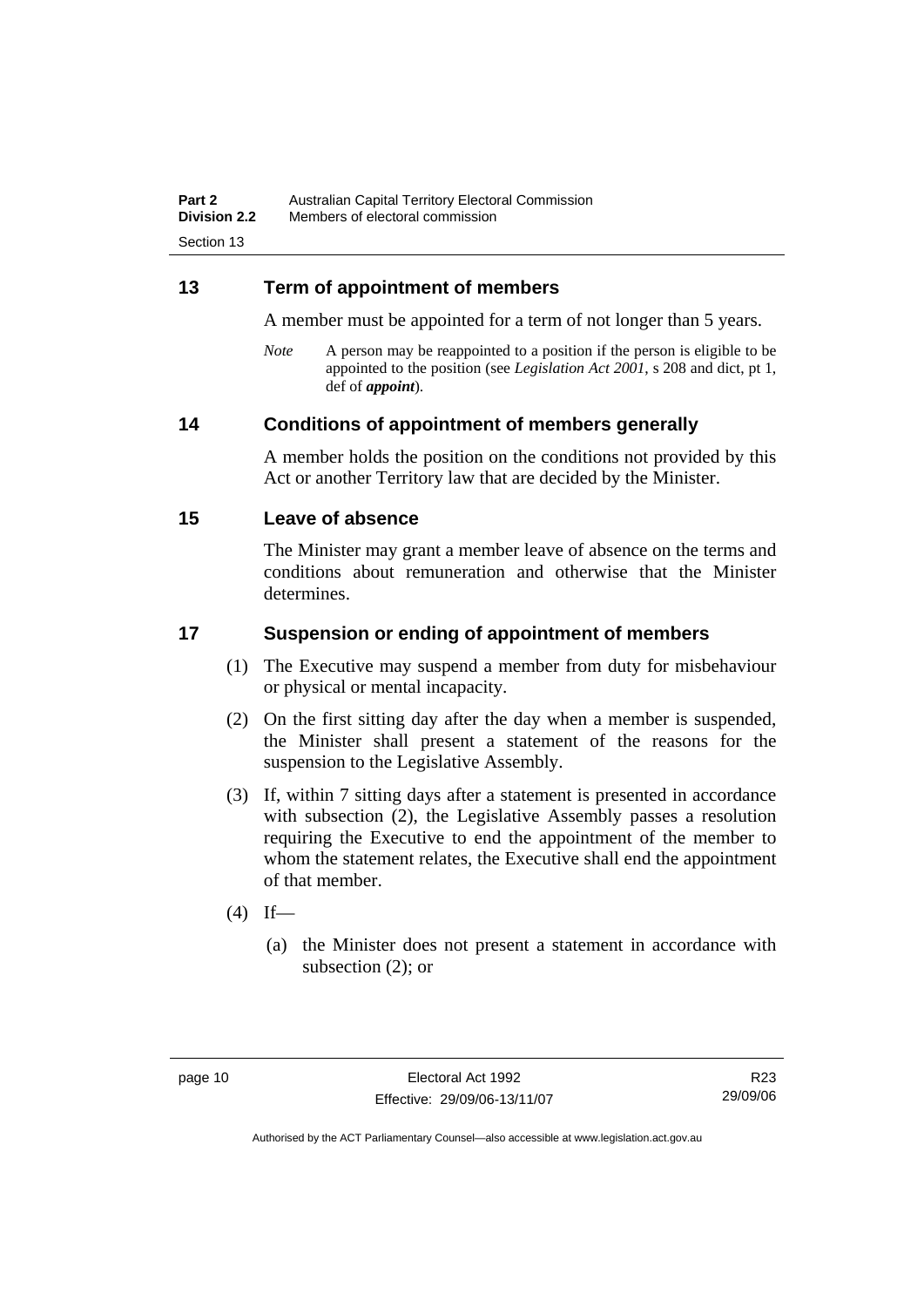### <span id="page-27-0"></span>**13 Term of appointment of members**

A member must be appointed for a term of not longer than 5 years.

*Note* A person may be reappointed to a position if the person is eligible to be appointed to the position (see *Legislation Act 2001*, s 208 and dict, pt 1, def of *appoint*).

### **14 Conditions of appointment of members generally**

A member holds the position on the conditions not provided by this Act or another Territory law that are decided by the Minister.

#### **15 Leave of absence**

The Minister may grant a member leave of absence on the terms and conditions about remuneration and otherwise that the Minister determines.

### **17 Suspension or ending of appointment of members**

- (1) The Executive may suspend a member from duty for misbehaviour or physical or mental incapacity.
- (2) On the first sitting day after the day when a member is suspended, the Minister shall present a statement of the reasons for the suspension to the Legislative Assembly.
- (3) If, within 7 sitting days after a statement is presented in accordance with subsection (2), the Legislative Assembly passes a resolution requiring the Executive to end the appointment of the member to whom the statement relates, the Executive shall end the appointment of that member.
- $(4)$  If—
	- (a) the Minister does not present a statement in accordance with subsection (2); or

R23 29/09/06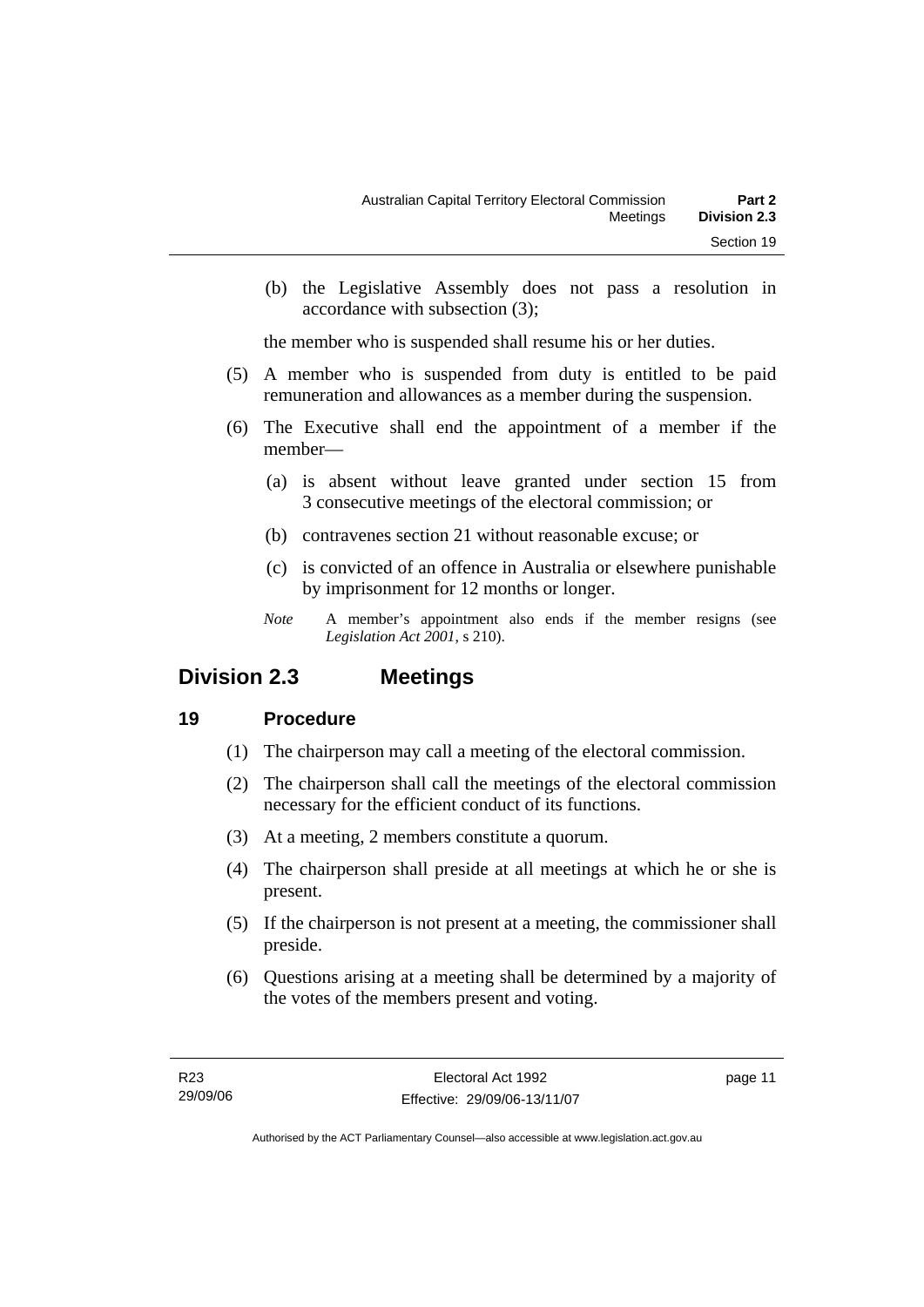<span id="page-28-0"></span> (b) the Legislative Assembly does not pass a resolution in accordance with subsection (3);

the member who is suspended shall resume his or her duties.

- (5) A member who is suspended from duty is entitled to be paid remuneration and allowances as a member during the suspension.
- (6) The Executive shall end the appointment of a member if the member—
	- (a) is absent without leave granted under section 15 from 3 consecutive meetings of the electoral commission; or
	- (b) contravenes section 21 without reasonable excuse; or
	- (c) is convicted of an offence in Australia or elsewhere punishable by imprisonment for 12 months or longer.
	- *Note* A member's appointment also ends if the member resigns (see *Legislation Act 2001*, s 210).

# **Division 2.3 Meetings**

# **19 Procedure**

- (1) The chairperson may call a meeting of the electoral commission.
- (2) The chairperson shall call the meetings of the electoral commission necessary for the efficient conduct of its functions.
- (3) At a meeting, 2 members constitute a quorum.
- (4) The chairperson shall preside at all meetings at which he or she is present.
- (5) If the chairperson is not present at a meeting, the commissioner shall preside.
- (6) Questions arising at a meeting shall be determined by a majority of the votes of the members present and voting.

page 11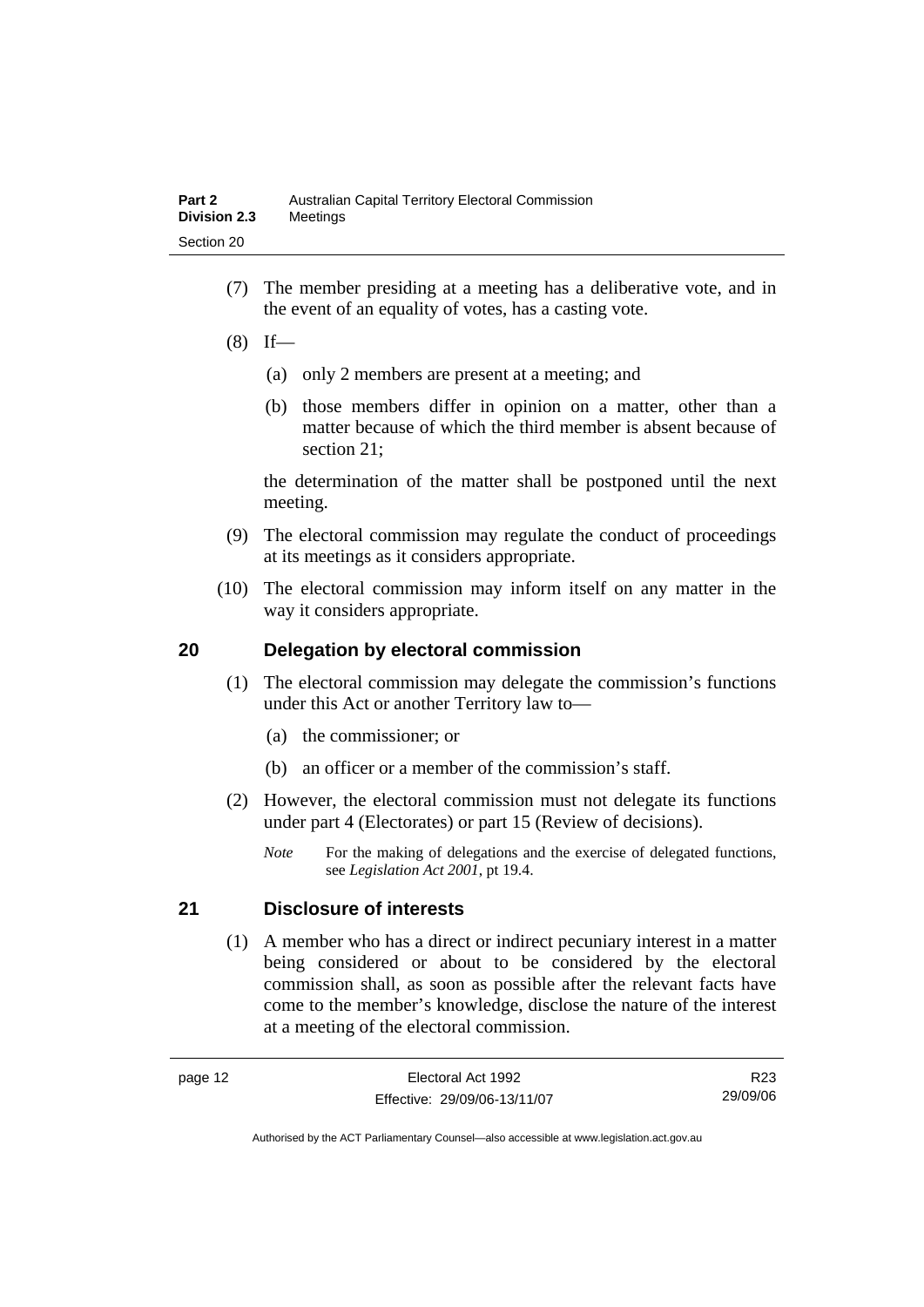- <span id="page-29-0"></span> (7) The member presiding at a meeting has a deliberative vote, and in the event of an equality of votes, has a casting vote.
- $(8)$  If—
	- (a) only 2 members are present at a meeting; and
	- (b) those members differ in opinion on a matter, other than a matter because of which the third member is absent because of section 21;

the determination of the matter shall be postponed until the next meeting.

- (9) The electoral commission may regulate the conduct of proceedings at its meetings as it considers appropriate.
- (10) The electoral commission may inform itself on any matter in the way it considers appropriate.

### **20 Delegation by electoral commission**

- (1) The electoral commission may delegate the commission's functions under this Act or another Territory law to—
	- (a) the commissioner; or
	- (b) an officer or a member of the commission's staff.
- (2) However, the electoral commission must not delegate its functions under part 4 (Electorates) or part 15 (Review of decisions).
	- *Note* For the making of delegations and the exercise of delegated functions, see *Legislation Act 2001*, pt 19.4.

# **21 Disclosure of interests**

 (1) A member who has a direct or indirect pecuniary interest in a matter being considered or about to be considered by the electoral commission shall, as soon as possible after the relevant facts have come to the member's knowledge, disclose the nature of the interest at a meeting of the electoral commission.

R23 29/09/06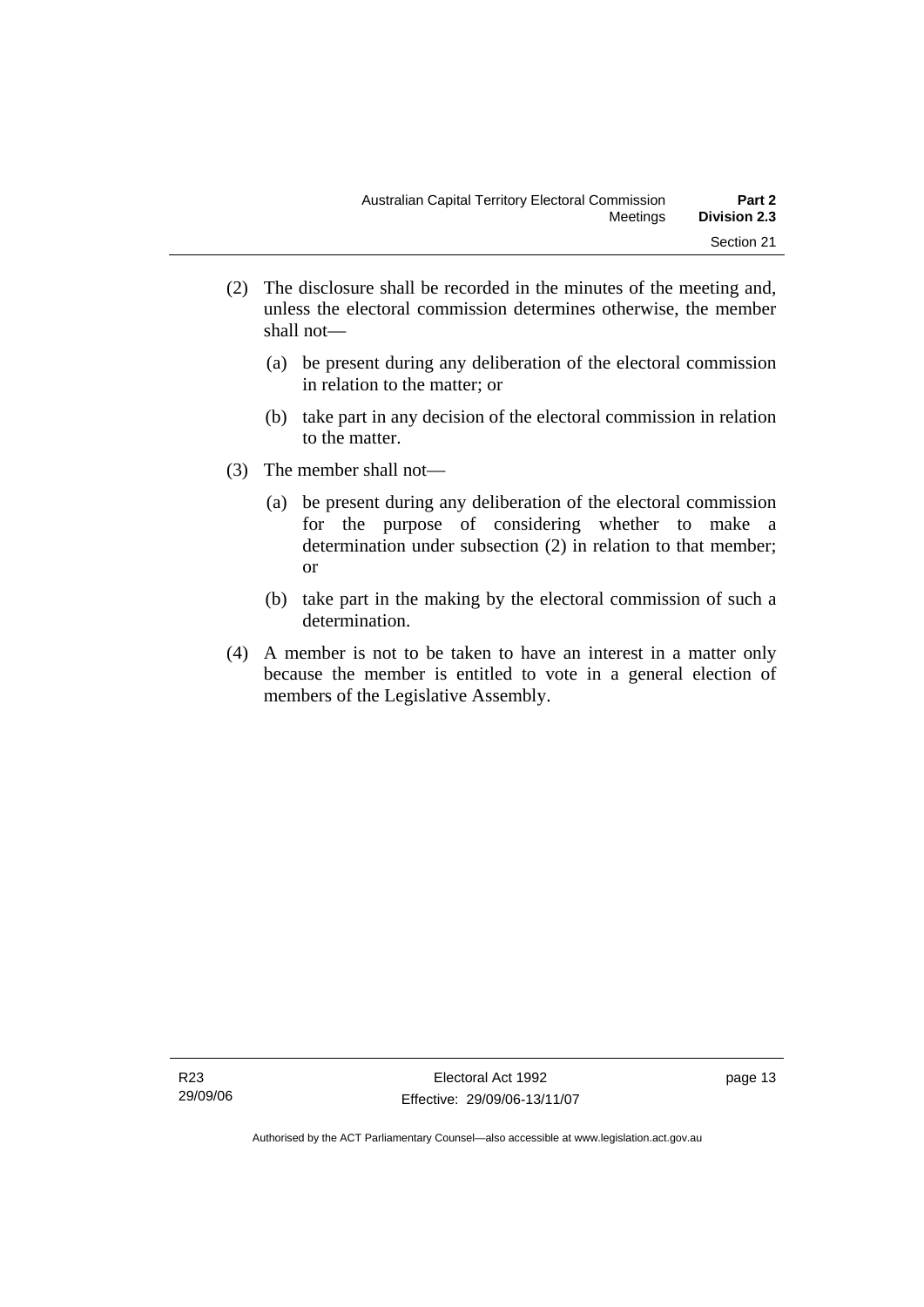- (2) The disclosure shall be recorded in the minutes of the meeting and, unless the electoral commission determines otherwise, the member shall not—
	- (a) be present during any deliberation of the electoral commission in relation to the matter; or
	- (b) take part in any decision of the electoral commission in relation to the matter.
- (3) The member shall not—
	- (a) be present during any deliberation of the electoral commission for the purpose of considering whether to make a determination under subsection (2) in relation to that member; or
	- (b) take part in the making by the electoral commission of such a determination.
- (4) A member is not to be taken to have an interest in a matter only because the member is entitled to vote in a general election of members of the Legislative Assembly.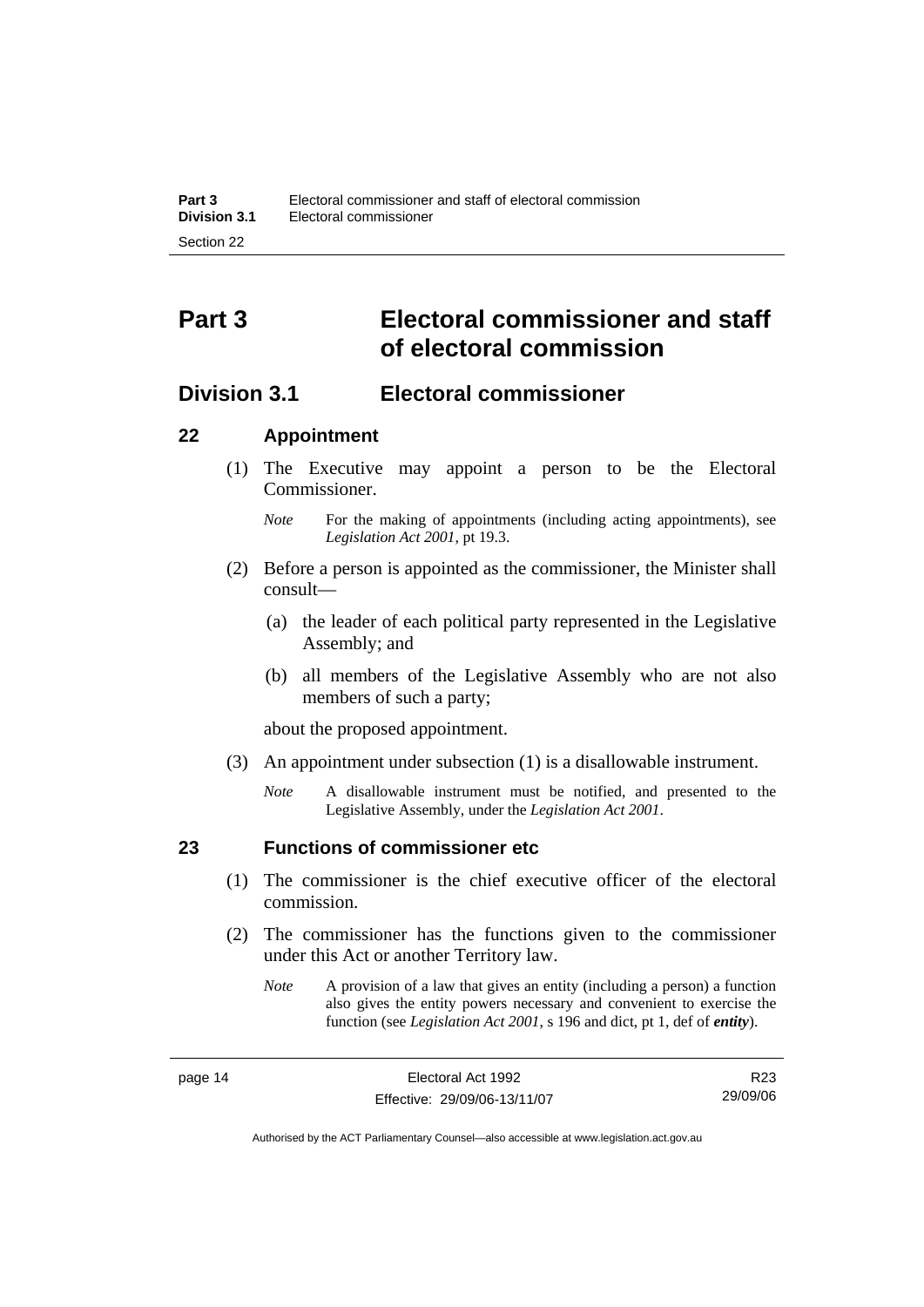# <span id="page-31-0"></span>**Part 3 Electoral commissioner and staff of electoral commission**

# **Division 3.1 Electoral commissioner**

### **22 Appointment**

- (1) The Executive may appoint a person to be the Electoral Commissioner.
	- *Note* For the making of appointments (including acting appointments), see *Legislation Act 2001*, pt 19.3.
- (2) Before a person is appointed as the commissioner, the Minister shall consult—
	- (a) the leader of each political party represented in the Legislative Assembly; and
	- (b) all members of the Legislative Assembly who are not also members of such a party;

about the proposed appointment.

- (3) An appointment under subsection (1) is a disallowable instrument.
	- *Note* A disallowable instrument must be notified, and presented to the Legislative Assembly, under the *Legislation Act 2001*.

# **23 Functions of commissioner etc**

- (1) The commissioner is the chief executive officer of the electoral commission.
- (2) The commissioner has the functions given to the commissioner under this Act or another Territory law.
	- *Note* A provision of a law that gives an entity (including a person) a function also gives the entity powers necessary and convenient to exercise the function (see *Legislation Act 2001*, s 196 and dict, pt 1, def of *entity*).

R23 29/09/06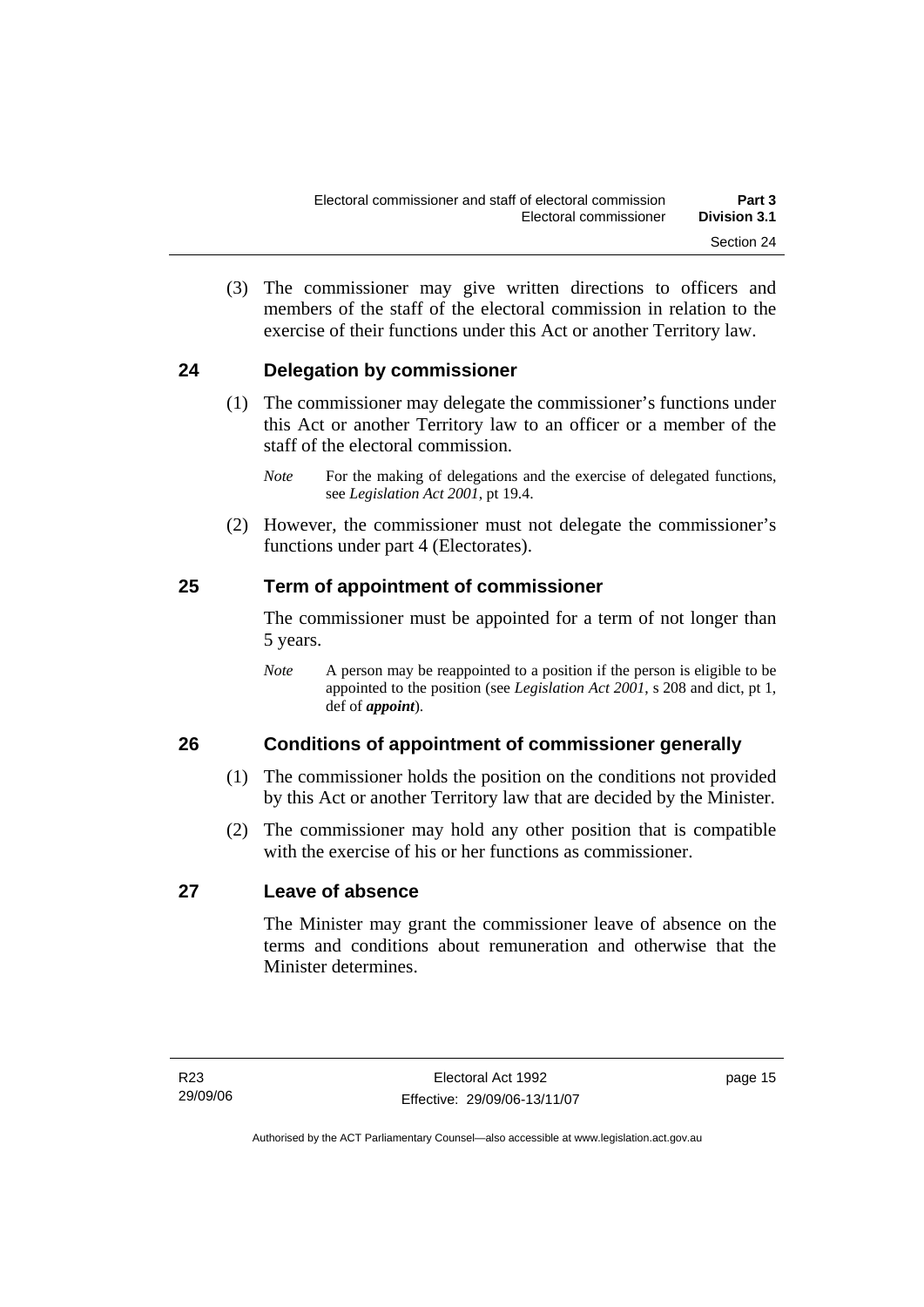<span id="page-32-0"></span> (3) The commissioner may give written directions to officers and members of the staff of the electoral commission in relation to the exercise of their functions under this Act or another Territory law.

# **24 Delegation by commissioner**

- (1) The commissioner may delegate the commissioner's functions under this Act or another Territory law to an officer or a member of the staff of the electoral commission.
	- *Note* For the making of delegations and the exercise of delegated functions, see *Legislation Act 2001*, pt 19.4.
- (2) However, the commissioner must not delegate the commissioner's functions under part 4 (Electorates).

# **25 Term of appointment of commissioner**

The commissioner must be appointed for a term of not longer than 5 years.

*Note* A person may be reappointed to a position if the person is eligible to be appointed to the position (see *Legislation Act 2001*, s 208 and dict, pt 1, def of *appoint*).

# **26 Conditions of appointment of commissioner generally**

- (1) The commissioner holds the position on the conditions not provided by this Act or another Territory law that are decided by the Minister.
- (2) The commissioner may hold any other position that is compatible with the exercise of his or her functions as commissioner.

# **27 Leave of absence**

The Minister may grant the commissioner leave of absence on the terms and conditions about remuneration and otherwise that the Minister determines.

page 15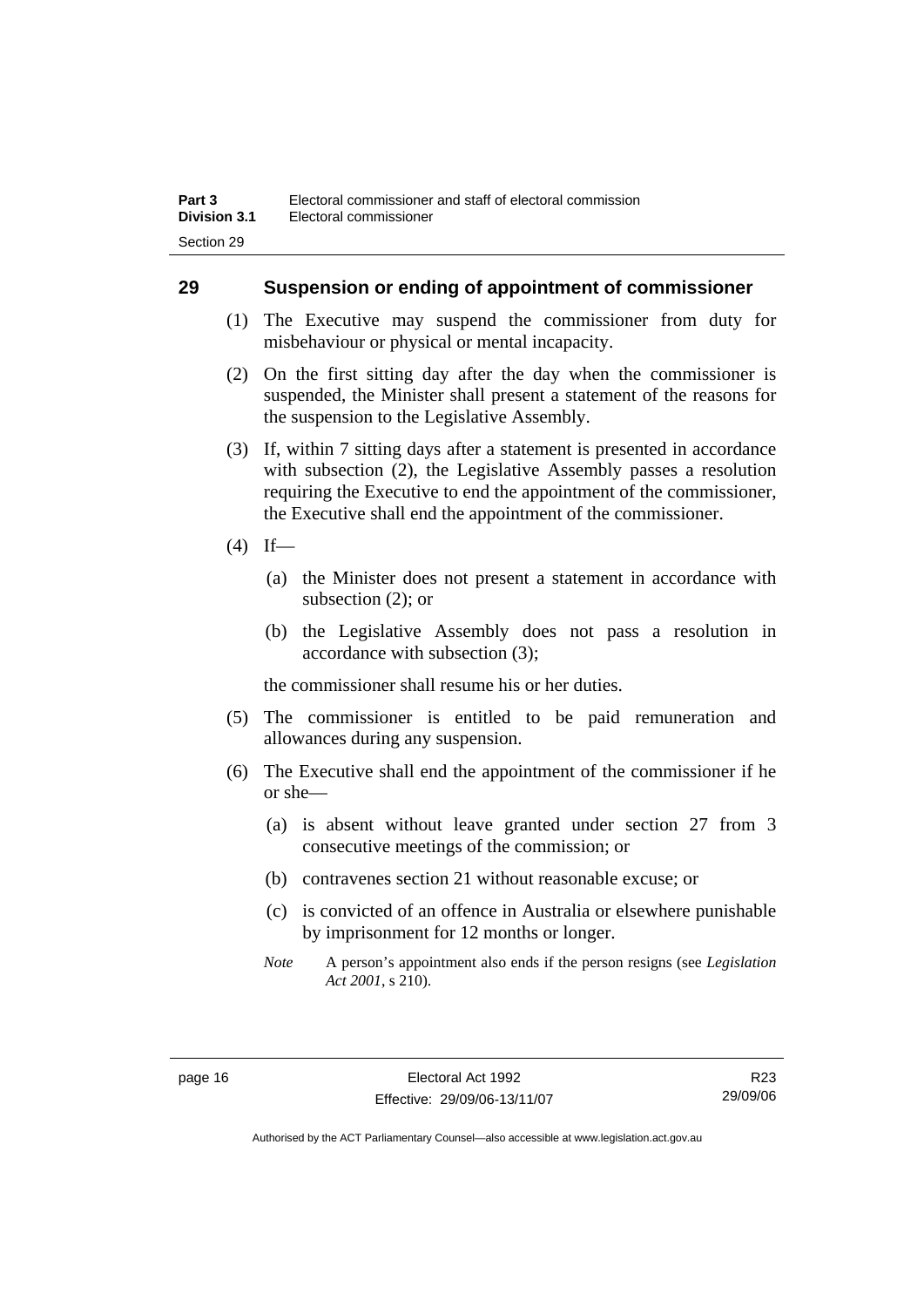### <span id="page-33-0"></span>**29 Suspension or ending of appointment of commissioner**

- (1) The Executive may suspend the commissioner from duty for misbehaviour or physical or mental incapacity.
- (2) On the first sitting day after the day when the commissioner is suspended, the Minister shall present a statement of the reasons for the suspension to the Legislative Assembly.
- (3) If, within 7 sitting days after a statement is presented in accordance with subsection (2), the Legislative Assembly passes a resolution requiring the Executive to end the appointment of the commissioner, the Executive shall end the appointment of the commissioner.
- $(4)$  If—
	- (a) the Minister does not present a statement in accordance with subsection (2); or
	- (b) the Legislative Assembly does not pass a resolution in accordance with subsection (3);

the commissioner shall resume his or her duties.

- (5) The commissioner is entitled to be paid remuneration and allowances during any suspension.
- (6) The Executive shall end the appointment of the commissioner if he or she—
	- (a) is absent without leave granted under section 27 from 3 consecutive meetings of the commission; or
	- (b) contravenes section 21 without reasonable excuse; or
	- (c) is convicted of an offence in Australia or elsewhere punishable by imprisonment for 12 months or longer.
	- *Note* A person's appointment also ends if the person resigns (see *Legislation Act 2001*, s 210).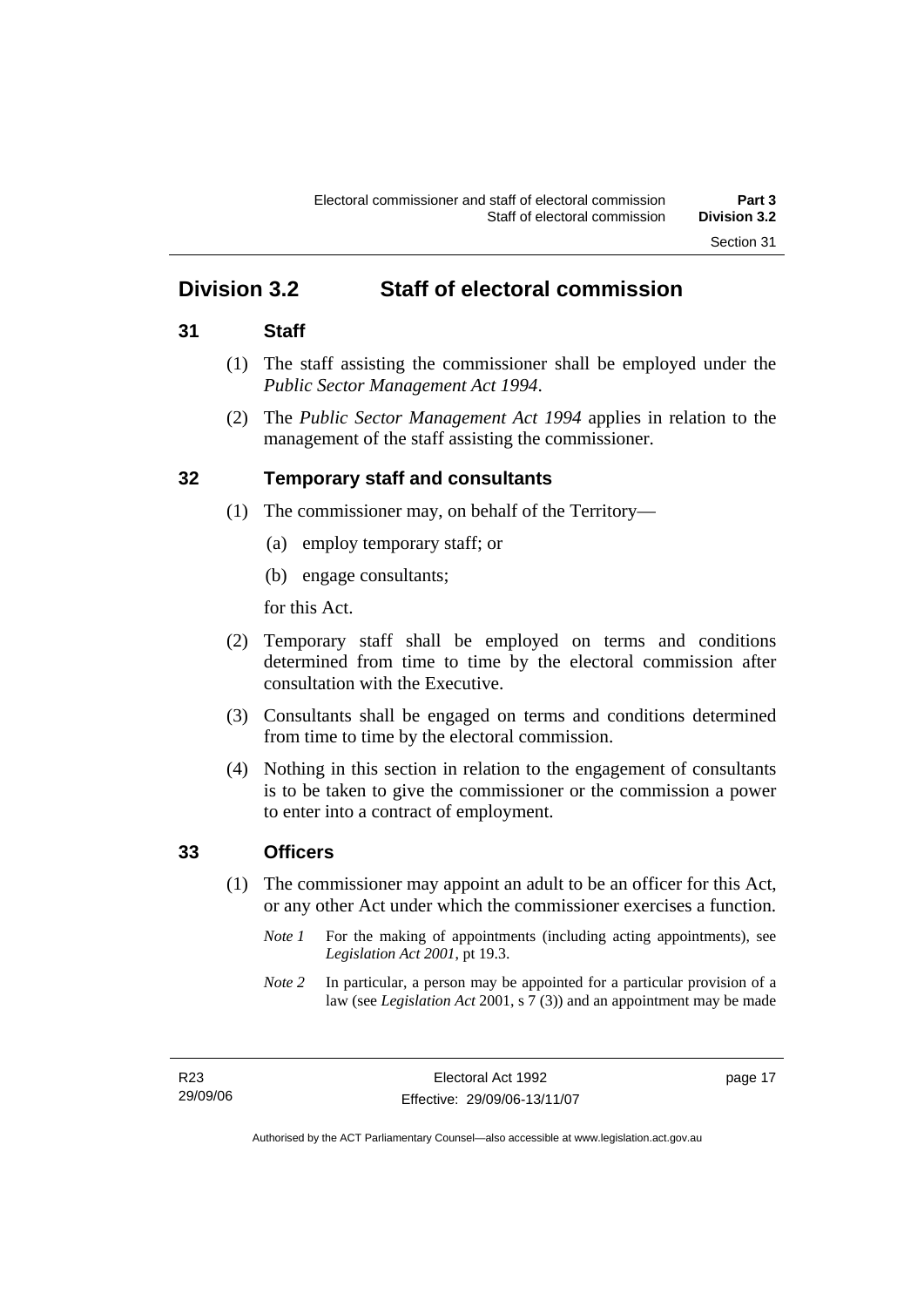# <span id="page-34-0"></span>**Division 3.2 Staff of electoral commission**

### **31 Staff**

- (1) The staff assisting the commissioner shall be employed under the *Public Sector Management Act 1994*.
- (2) The *Public Sector Management Act 1994* applies in relation to the management of the staff assisting the commissioner.

# **32 Temporary staff and consultants**

- (1) The commissioner may, on behalf of the Territory—
	- (a) employ temporary staff; or
	- (b) engage consultants;

for this Act.

- (2) Temporary staff shall be employed on terms and conditions determined from time to time by the electoral commission after consultation with the Executive.
- (3) Consultants shall be engaged on terms and conditions determined from time to time by the electoral commission.
- (4) Nothing in this section in relation to the engagement of consultants is to be taken to give the commissioner or the commission a power to enter into a contract of employment.

# **33 Officers**

- (1) The commissioner may appoint an adult to be an officer for this Act, or any other Act under which the commissioner exercises a function.
	- *Note 1* For the making of appointments (including acting appointments), see *Legislation Act 2001*, pt 19.3.
	- *Note 2* In particular, a person may be appointed for a particular provision of a law (see *Legislation Act* 2001, s 7 (3)) and an appointment may be made

page 17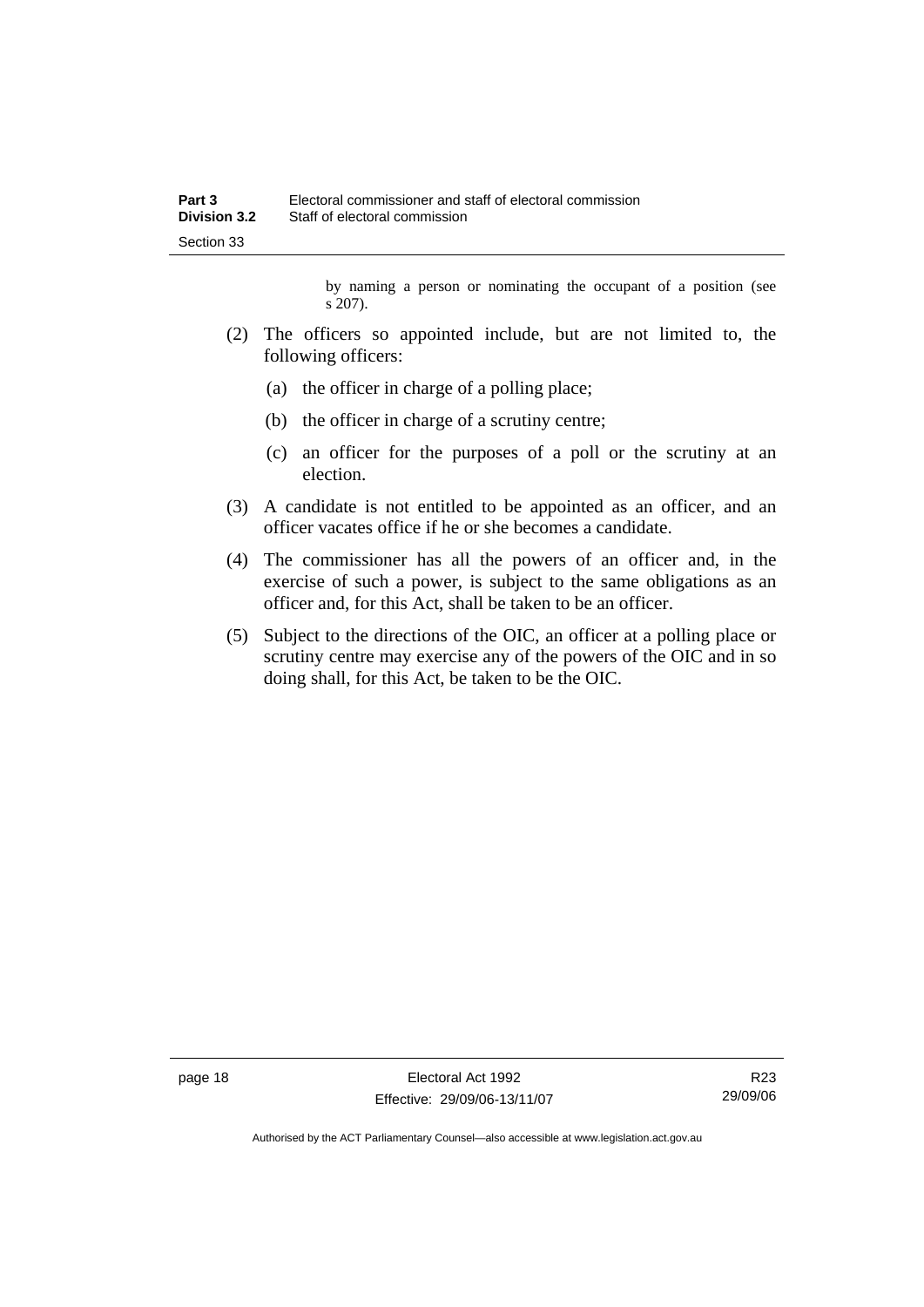by naming a person or nominating the occupant of a position (see s 207).

- (2) The officers so appointed include, but are not limited to, the following officers:
	- (a) the officer in charge of a polling place;
	- (b) the officer in charge of a scrutiny centre;
	- (c) an officer for the purposes of a poll or the scrutiny at an election.
- (3) A candidate is not entitled to be appointed as an officer, and an officer vacates office if he or she becomes a candidate.
- (4) The commissioner has all the powers of an officer and, in the exercise of such a power, is subject to the same obligations as an officer and, for this Act, shall be taken to be an officer.
- (5) Subject to the directions of the OIC, an officer at a polling place or scrutiny centre may exercise any of the powers of the OIC and in so doing shall, for this Act, be taken to be the OIC.

page 18 **Electoral Act 1992** Effective: 29/09/06-13/11/07

R23 29/09/06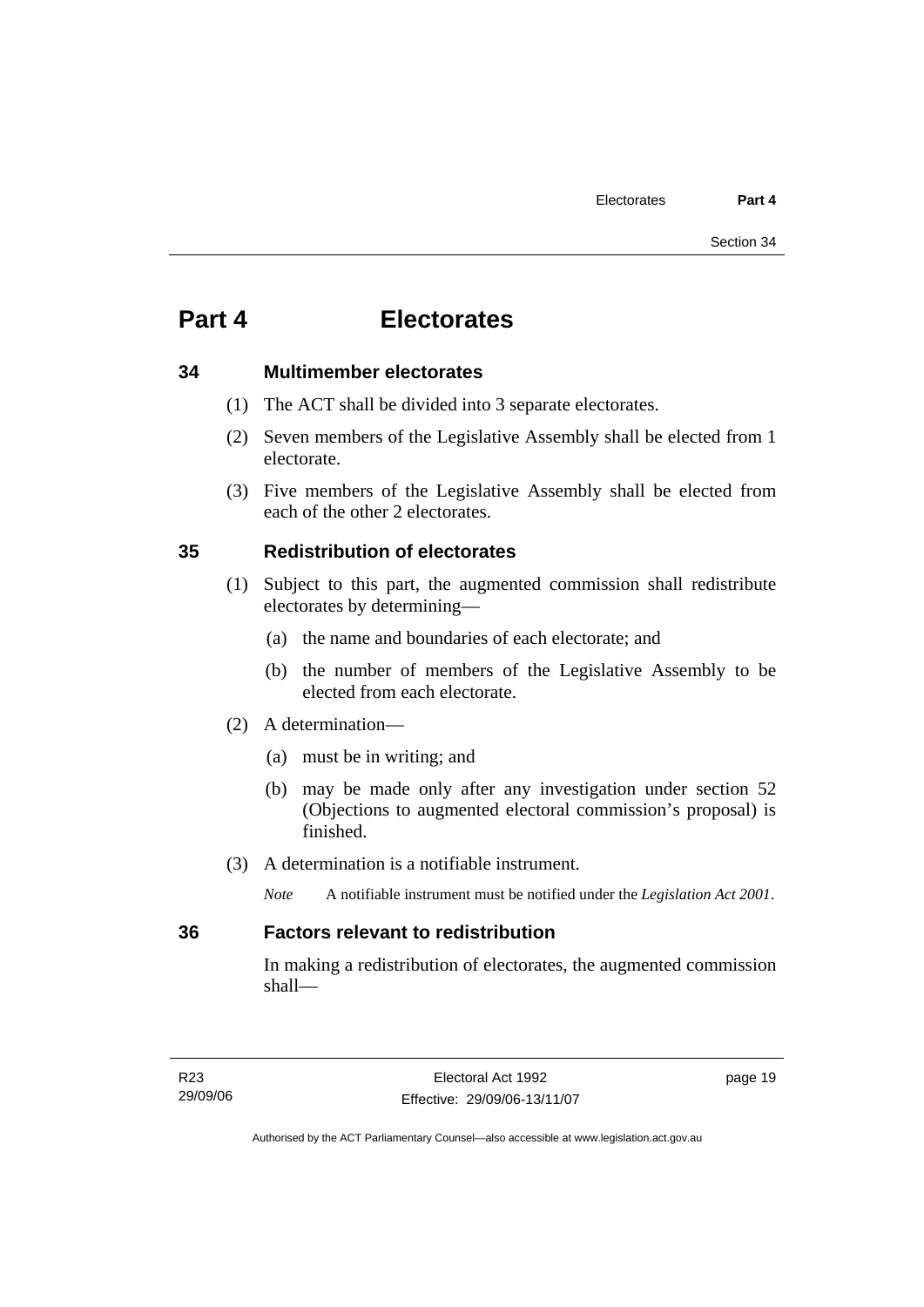### **34 Multimember electorates**

- (1) The ACT shall be divided into 3 separate electorates.
- (2) Seven members of the Legislative Assembly shall be elected from 1 electorate.
- (3) Five members of the Legislative Assembly shall be elected from each of the other 2 electorates.

### **35 Redistribution of electorates**

- (1) Subject to this part, the augmented commission shall redistribute electorates by determining—
	- (a) the name and boundaries of each electorate; and
	- (b) the number of members of the Legislative Assembly to be elected from each electorate.
- (2) A determination—
	- (a) must be in writing; and
	- (b) may be made only after any investigation under section 52 (Objections to augmented electoral commission's proposal) is finished.
- (3) A determination is a notifiable instrument.
	- *Note* A notifiable instrument must be notified under the *Legislation Act 2001*.

### **36 Factors relevant to redistribution**

In making a redistribution of electorates, the augmented commission shall—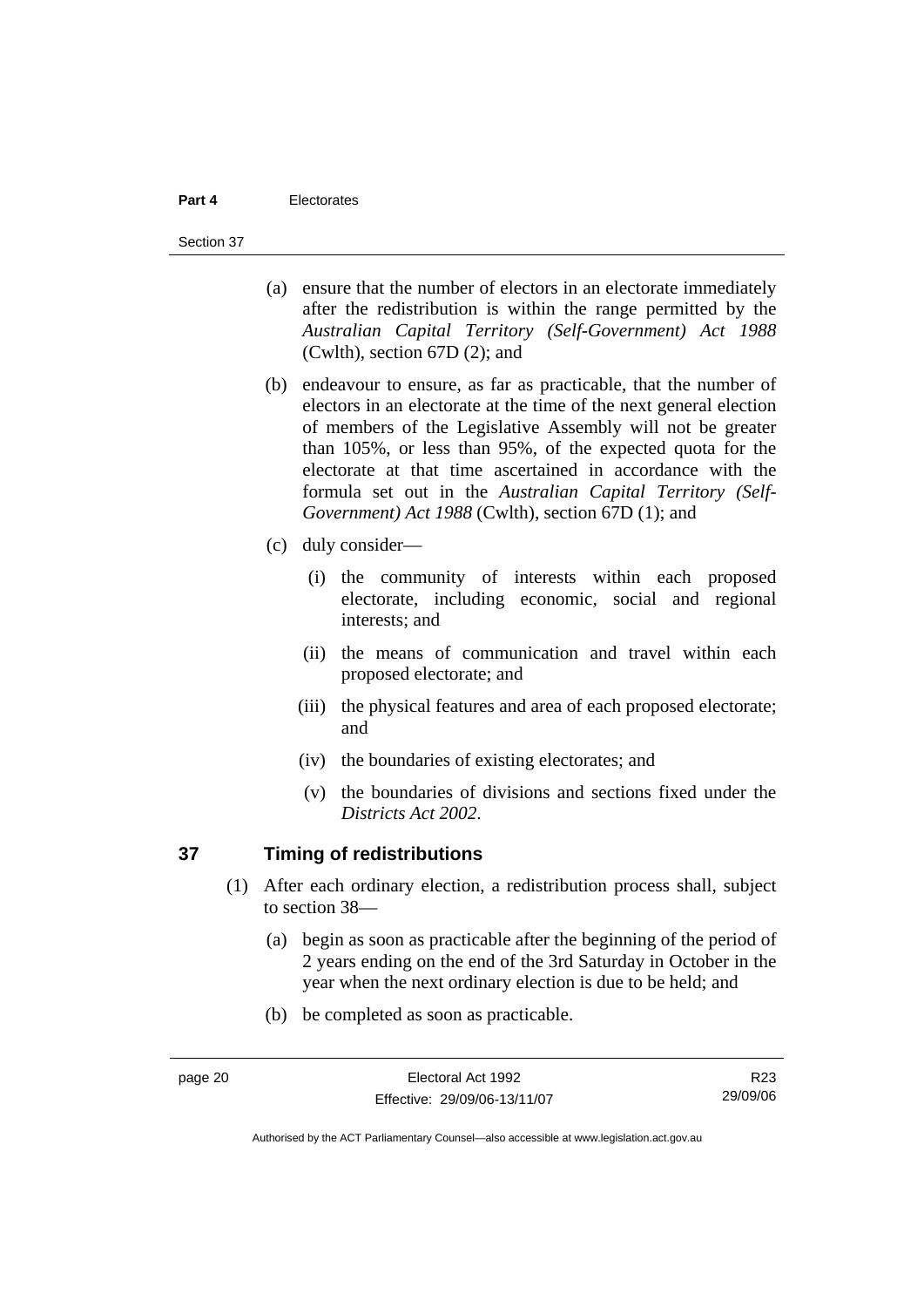#### Section 37

- (a) ensure that the number of electors in an electorate immediately after the redistribution is within the range permitted by the *Australian Capital Territory (Self-Government) Act 1988*  (Cwlth), section 67D (2); and
- (b) endeavour to ensure, as far as practicable, that the number of electors in an electorate at the time of the next general election of members of the Legislative Assembly will not be greater than 105%, or less than 95%, of the expected quota for the electorate at that time ascertained in accordance with the formula set out in the *Australian Capital Territory (Self-Government) Act 1988* (Cwlth), section 67D (1); and
- (c) duly consider—
	- (i) the community of interests within each proposed electorate, including economic, social and regional interests; and
	- (ii) the means of communication and travel within each proposed electorate; and
	- (iii) the physical features and area of each proposed electorate; and
	- (iv) the boundaries of existing electorates; and
	- (v) the boundaries of divisions and sections fixed under the *Districts Act 2002*.

### **37 Timing of redistributions**

- (1) After each ordinary election, a redistribution process shall, subject to section 38—
	- (a) begin as soon as practicable after the beginning of the period of 2 years ending on the end of the 3rd Saturday in October in the year when the next ordinary election is due to be held; and
	- (b) be completed as soon as practicable.

R23 29/09/06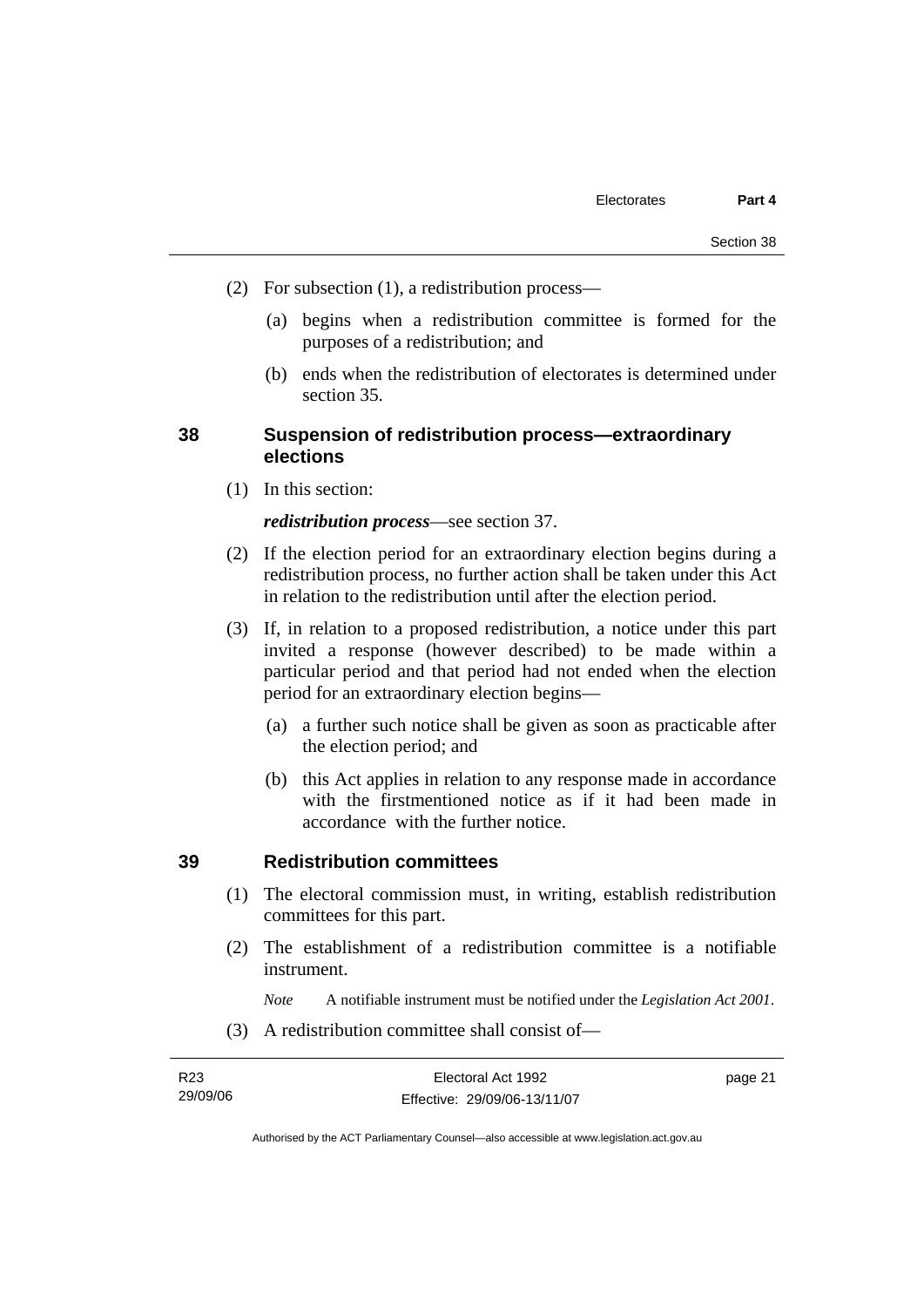- (2) For subsection (1), a redistribution process—
	- (a) begins when a redistribution committee is formed for the purposes of a redistribution; and
	- (b) ends when the redistribution of electorates is determined under section 35.

#### **38 Suspension of redistribution process—extraordinary elections**

(1) In this section:

#### *redistribution process*—see section 37.

- (2) If the election period for an extraordinary election begins during a redistribution process, no further action shall be taken under this Act in relation to the redistribution until after the election period.
- (3) If, in relation to a proposed redistribution, a notice under this part invited a response (however described) to be made within a particular period and that period had not ended when the election period for an extraordinary election begins—
	- (a) a further such notice shall be given as soon as practicable after the election period; and
	- (b) this Act applies in relation to any response made in accordance with the firstmentioned notice as if it had been made in accordance with the further notice.

#### **39 Redistribution committees**

- (1) The electoral commission must, in writing, establish redistribution committees for this part.
- (2) The establishment of a redistribution committee is a notifiable instrument.

*Note* A notifiable instrument must be notified under the *Legislation Act 2001*.

(3) A redistribution committee shall consist of—

| R23      | Electoral Act 1992           | page 21 |
|----------|------------------------------|---------|
| 29/09/06 | Effective: 29/09/06-13/11/07 |         |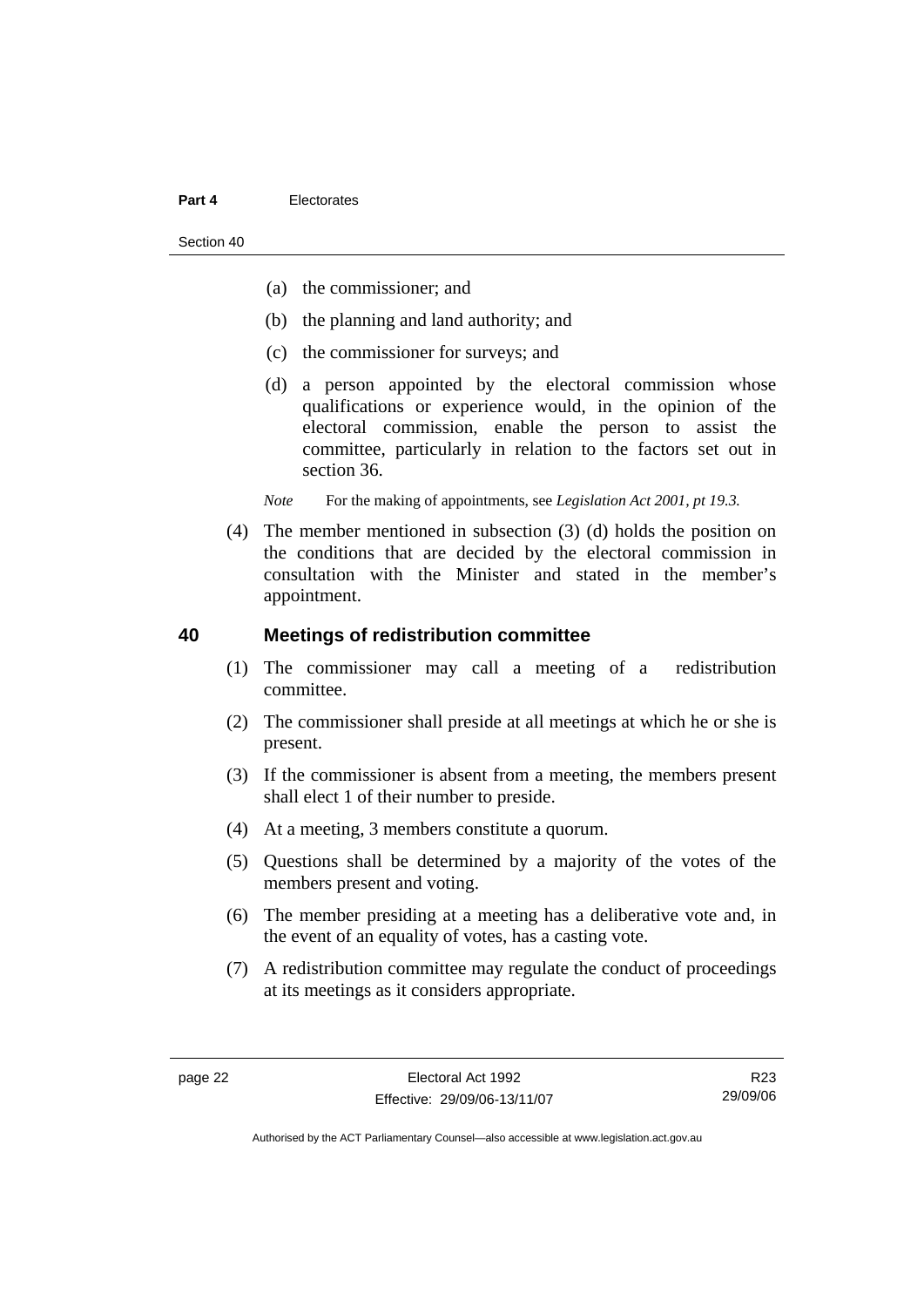Section 40

- (a) the commissioner; and
- (b) the planning and land authority; and
- (c) the commissioner for surveys; and
- (d) a person appointed by the electoral commission whose qualifications or experience would, in the opinion of the electoral commission, enable the person to assist the committee, particularly in relation to the factors set out in section 36.

*Note* For the making of appointments, see *Legislation Act 2001, pt 19.3.* 

 (4) The member mentioned in subsection (3) (d) holds the position on the conditions that are decided by the electoral commission in consultation with the Minister and stated in the member's appointment.

#### **40 Meetings of redistribution committee**

- (1) The commissioner may call a meeting of a redistribution committee.
- (2) The commissioner shall preside at all meetings at which he or she is present.
- (3) If the commissioner is absent from a meeting, the members present shall elect 1 of their number to preside.
- (4) At a meeting, 3 members constitute a quorum.
- (5) Questions shall be determined by a majority of the votes of the members present and voting.
- (6) The member presiding at a meeting has a deliberative vote and, in the event of an equality of votes, has a casting vote.
- (7) A redistribution committee may regulate the conduct of proceedings at its meetings as it considers appropriate.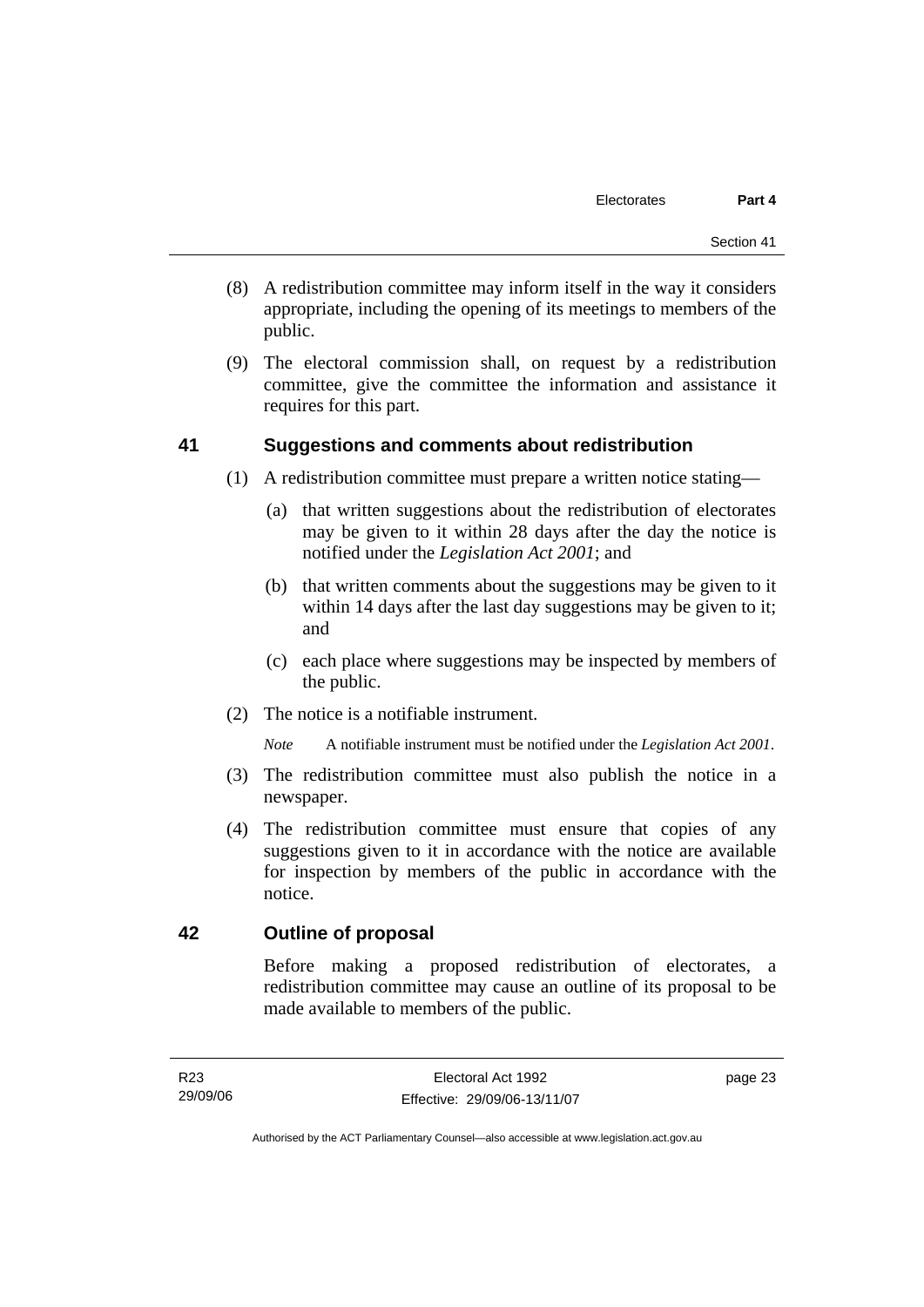- (8) A redistribution committee may inform itself in the way it considers appropriate, including the opening of its meetings to members of the public.
- (9) The electoral commission shall, on request by a redistribution committee, give the committee the information and assistance it requires for this part.

### **41 Suggestions and comments about redistribution**

- (1) A redistribution committee must prepare a written notice stating—
	- (a) that written suggestions about the redistribution of electorates may be given to it within 28 days after the day the notice is notified under the *Legislation Act 2001*; and
	- (b) that written comments about the suggestions may be given to it within 14 days after the last day suggestions may be given to it; and
	- (c) each place where suggestions may be inspected by members of the public.
- (2) The notice is a notifiable instrument.

*Note* A notifiable instrument must be notified under the *Legislation Act 2001*.

- (3) The redistribution committee must also publish the notice in a newspaper.
- (4) The redistribution committee must ensure that copies of any suggestions given to it in accordance with the notice are available for inspection by members of the public in accordance with the notice.

### **42 Outline of proposal**

Before making a proposed redistribution of electorates, a redistribution committee may cause an outline of its proposal to be made available to members of the public.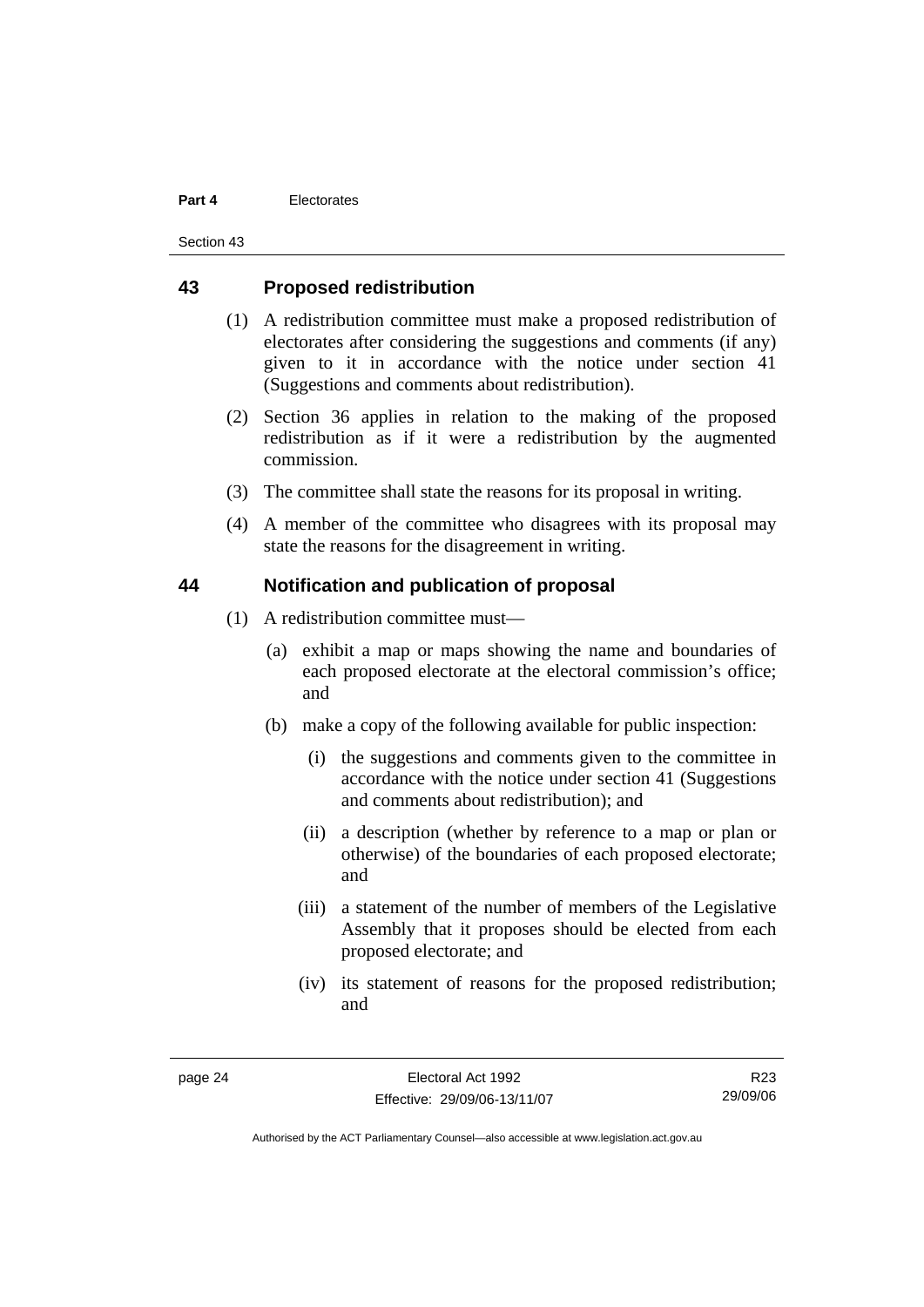Section 43

#### **43 Proposed redistribution**

- (1) A redistribution committee must make a proposed redistribution of electorates after considering the suggestions and comments (if any) given to it in accordance with the notice under section 41 (Suggestions and comments about redistribution).
- (2) Section 36 applies in relation to the making of the proposed redistribution as if it were a redistribution by the augmented commission.
- (3) The committee shall state the reasons for its proposal in writing.
- (4) A member of the committee who disagrees with its proposal may state the reasons for the disagreement in writing.

### **44 Notification and publication of proposal**

- (1) A redistribution committee must—
	- (a) exhibit a map or maps showing the name and boundaries of each proposed electorate at the electoral commission's office; and
	- (b) make a copy of the following available for public inspection:
		- (i) the suggestions and comments given to the committee in accordance with the notice under section 41 (Suggestions and comments about redistribution); and
		- (ii) a description (whether by reference to a map or plan or otherwise) of the boundaries of each proposed electorate; and
		- (iii) a statement of the number of members of the Legislative Assembly that it proposes should be elected from each proposed electorate; and
		- (iv) its statement of reasons for the proposed redistribution; and

R23 29/09/06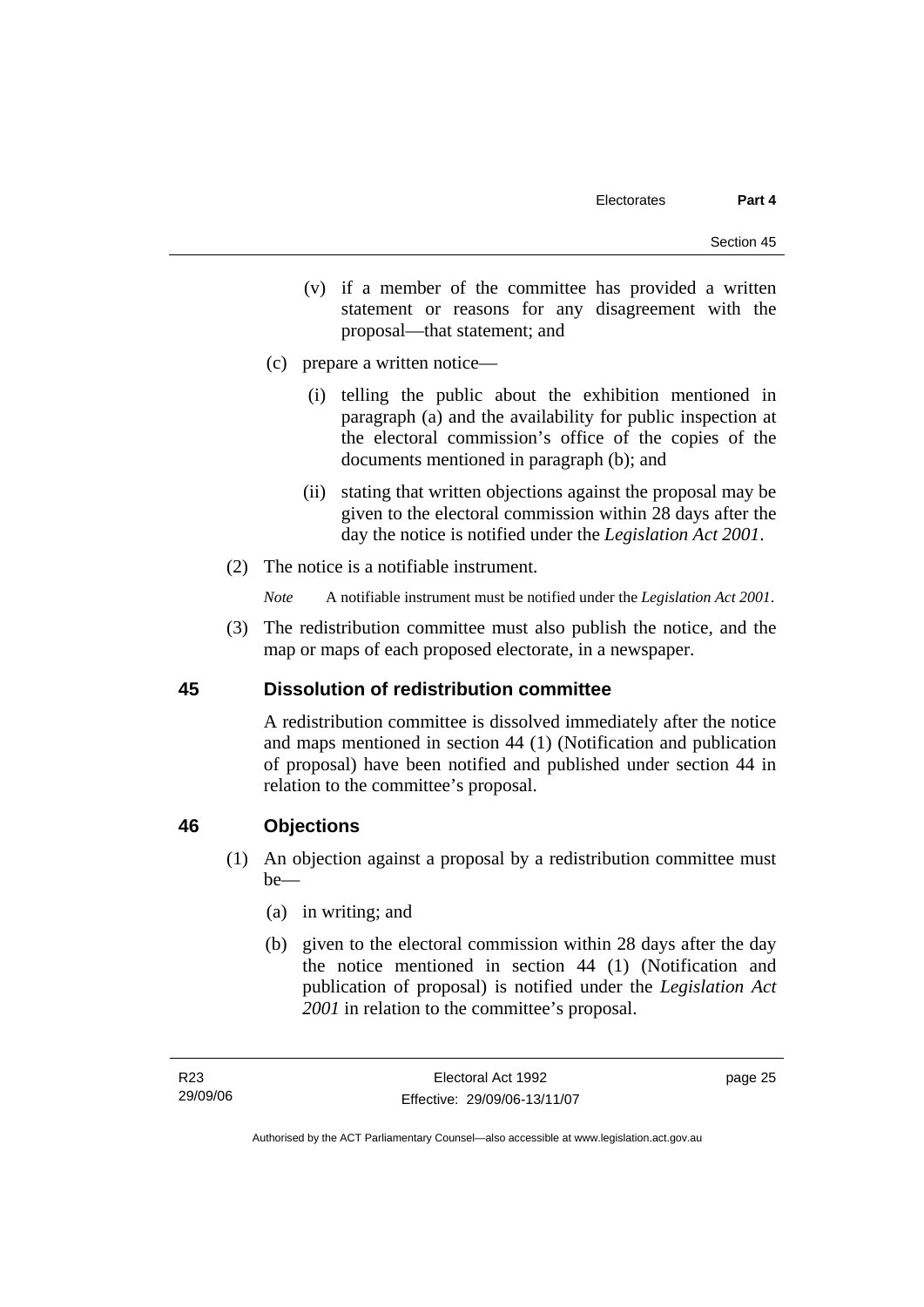- (v) if a member of the committee has provided a written statement or reasons for any disagreement with the proposal—that statement; and
- (c) prepare a written notice—
	- (i) telling the public about the exhibition mentioned in paragraph (a) and the availability for public inspection at the electoral commission's office of the copies of the documents mentioned in paragraph (b); and
	- (ii) stating that written objections against the proposal may be given to the electoral commission within 28 days after the day the notice is notified under the *Legislation Act 2001*.
- (2) The notice is a notifiable instrument.
	- *Note* A notifiable instrument must be notified under the *Legislation Act 2001*.
- (3) The redistribution committee must also publish the notice, and the map or maps of each proposed electorate, in a newspaper.

### **45 Dissolution of redistribution committee**

A redistribution committee is dissolved immediately after the notice and maps mentioned in section 44 (1) (Notification and publication of proposal) have been notified and published under section 44 in relation to the committee's proposal.

### **46 Objections**

- (1) An objection against a proposal by a redistribution committee must be—
	- (a) in writing; and
	- (b) given to the electoral commission within 28 days after the day the notice mentioned in section 44 (1) (Notification and publication of proposal) is notified under the *Legislation Act 2001* in relation to the committee's proposal.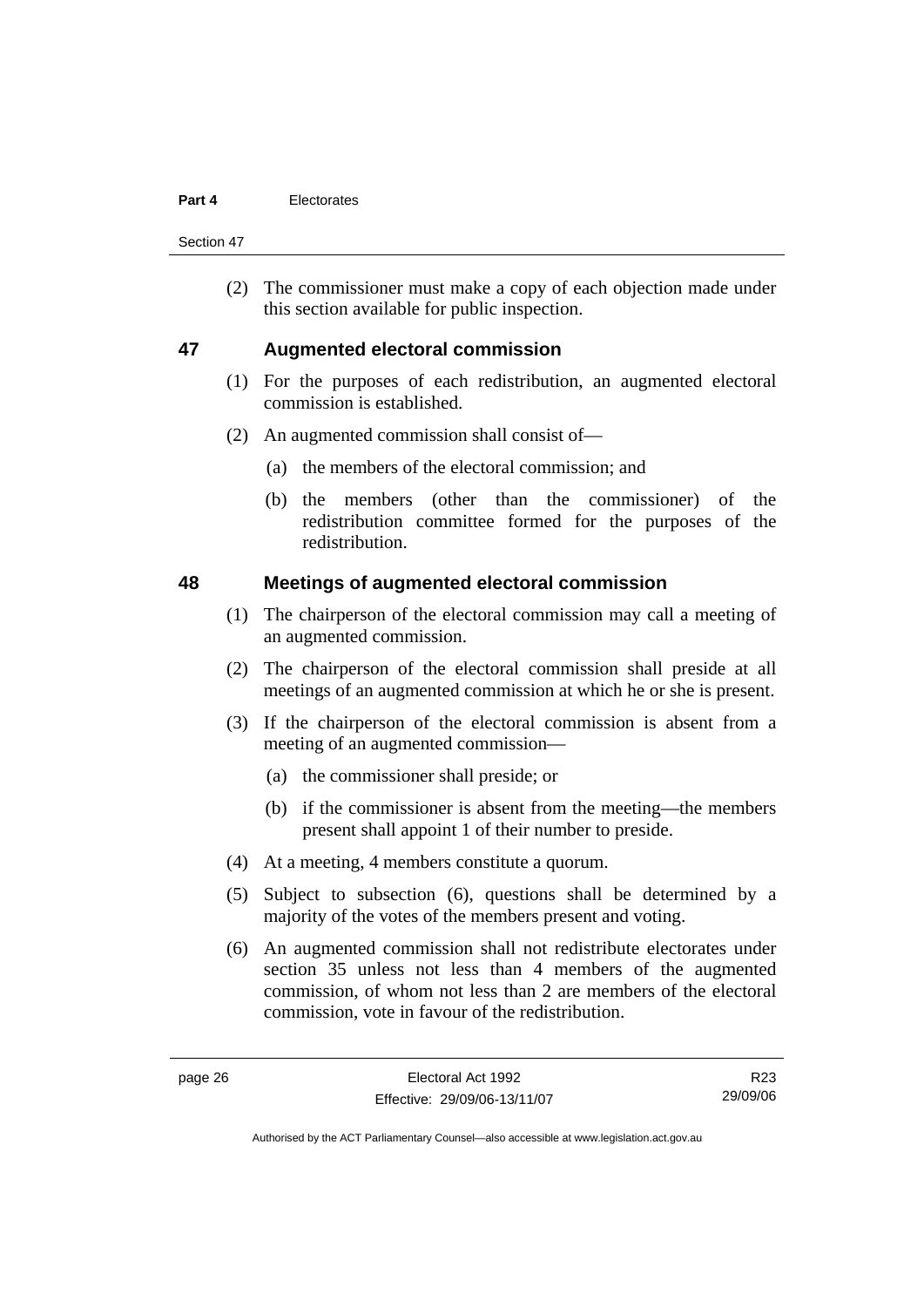Section 47

 (2) The commissioner must make a copy of each objection made under this section available for public inspection.

### **47 Augmented electoral commission**

- (1) For the purposes of each redistribution, an augmented electoral commission is established.
- (2) An augmented commission shall consist of—
	- (a) the members of the electoral commission; and
	- (b) the members (other than the commissioner) of the redistribution committee formed for the purposes of the redistribution.

#### **48 Meetings of augmented electoral commission**

- (1) The chairperson of the electoral commission may call a meeting of an augmented commission.
- (2) The chairperson of the electoral commission shall preside at all meetings of an augmented commission at which he or she is present.
- (3) If the chairperson of the electoral commission is absent from a meeting of an augmented commission—
	- (a) the commissioner shall preside; or
	- (b) if the commissioner is absent from the meeting—the members present shall appoint 1 of their number to preside.
- (4) At a meeting, 4 members constitute a quorum.
- (5) Subject to subsection (6), questions shall be determined by a majority of the votes of the members present and voting.
- (6) An augmented commission shall not redistribute electorates under section 35 unless not less than 4 members of the augmented commission, of whom not less than 2 are members of the electoral commission, vote in favour of the redistribution.

R23 29/09/06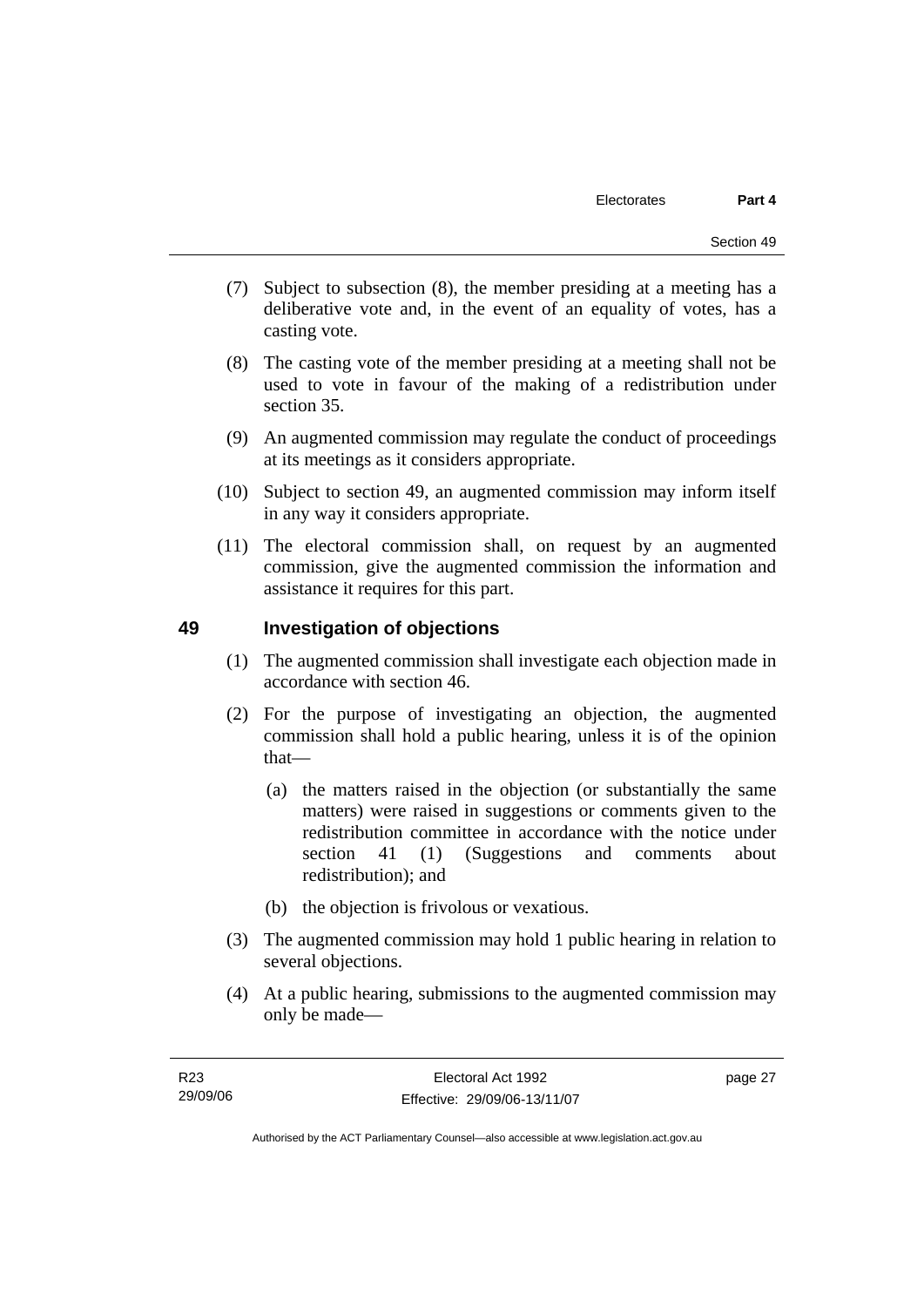- (7) Subject to subsection (8), the member presiding at a meeting has a deliberative vote and, in the event of an equality of votes, has a casting vote.
- (8) The casting vote of the member presiding at a meeting shall not be used to vote in favour of the making of a redistribution under section 35.
- (9) An augmented commission may regulate the conduct of proceedings at its meetings as it considers appropriate.
- (10) Subject to section 49, an augmented commission may inform itself in any way it considers appropriate.
- (11) The electoral commission shall, on request by an augmented commission, give the augmented commission the information and assistance it requires for this part.

### **49 Investigation of objections**

- (1) The augmented commission shall investigate each objection made in accordance with section 46.
- (2) For the purpose of investigating an objection, the augmented commission shall hold a public hearing, unless it is of the opinion that—
	- (a) the matters raised in the objection (or substantially the same matters) were raised in suggestions or comments given to the redistribution committee in accordance with the notice under section 41 (1) (Suggestions and comments about redistribution); and
	- (b) the objection is frivolous or vexatious.
- (3) The augmented commission may hold 1 public hearing in relation to several objections.
- (4) At a public hearing, submissions to the augmented commission may only be made—

page 27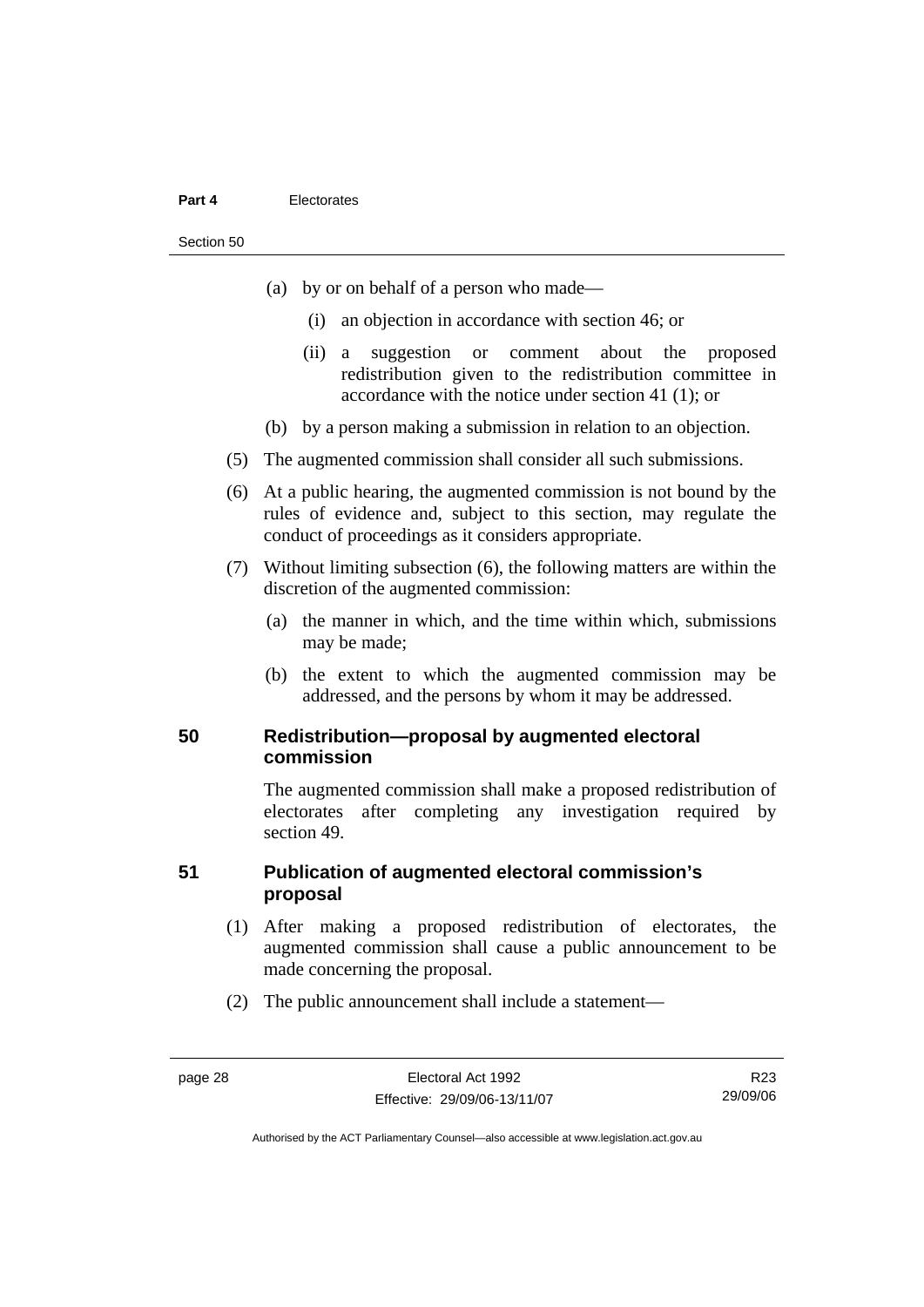#### Section 50

- (a) by or on behalf of a person who made—
	- (i) an objection in accordance with section 46; or
	- (ii) a suggestion or comment about the proposed redistribution given to the redistribution committee in accordance with the notice under section 41 (1); or
- (b) by a person making a submission in relation to an objection.
- (5) The augmented commission shall consider all such submissions.
- (6) At a public hearing, the augmented commission is not bound by the rules of evidence and, subject to this section, may regulate the conduct of proceedings as it considers appropriate.
- (7) Without limiting subsection (6), the following matters are within the discretion of the augmented commission:
	- (a) the manner in which, and the time within which, submissions may be made;
	- (b) the extent to which the augmented commission may be addressed, and the persons by whom it may be addressed.

#### **50 Redistribution—proposal by augmented electoral commission**

The augmented commission shall make a proposed redistribution of electorates after completing any investigation required by section 49.

### **51 Publication of augmented electoral commission's proposal**

- (1) After making a proposed redistribution of electorates, the augmented commission shall cause a public announcement to be made concerning the proposal.
- (2) The public announcement shall include a statement—

R23 29/09/06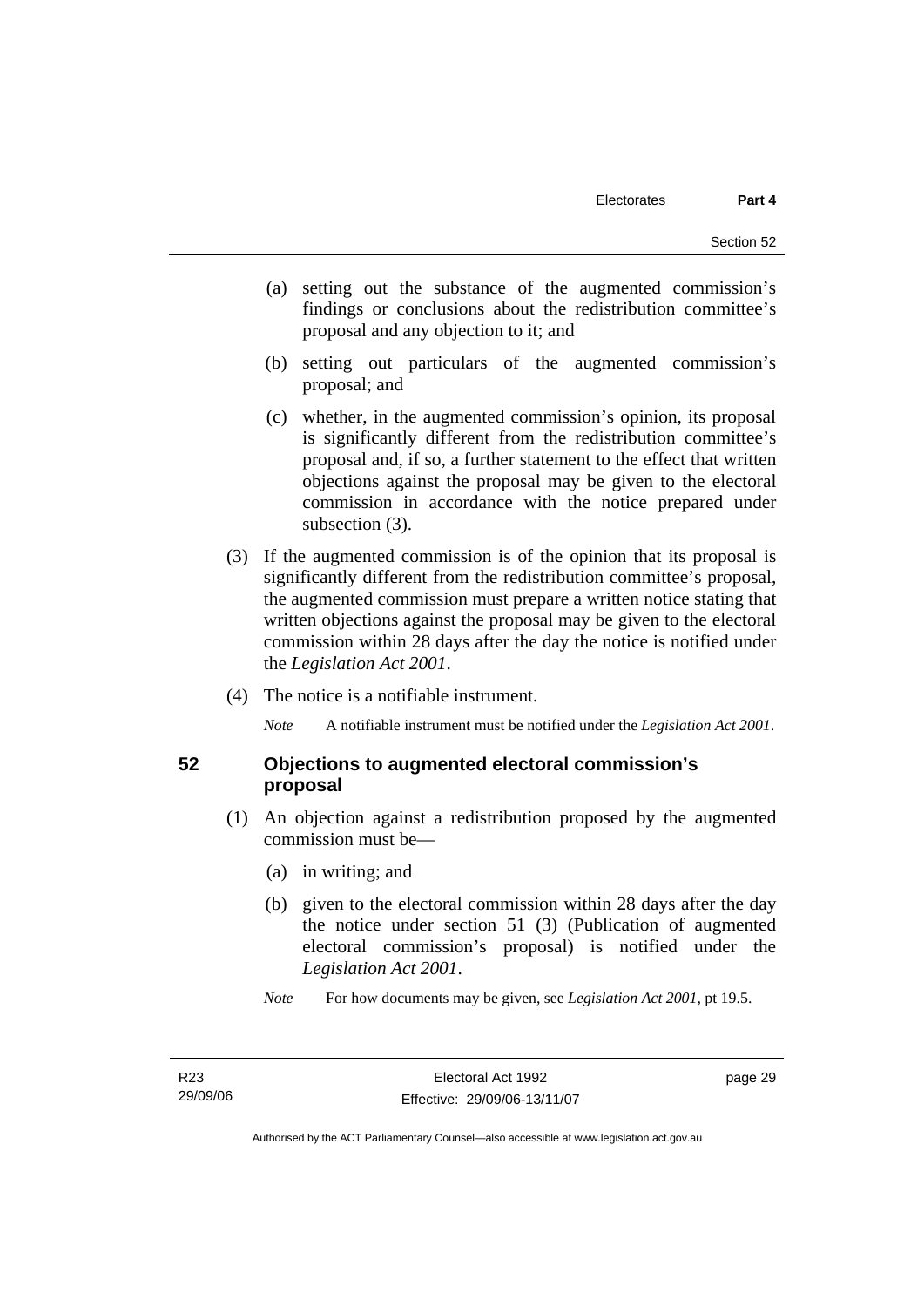- (a) setting out the substance of the augmented commission's findings or conclusions about the redistribution committee's proposal and any objection to it; and
- (b) setting out particulars of the augmented commission's proposal; and
- (c) whether, in the augmented commission's opinion, its proposal is significantly different from the redistribution committee's proposal and, if so, a further statement to the effect that written objections against the proposal may be given to the electoral commission in accordance with the notice prepared under subsection  $(3)$ .
- (3) If the augmented commission is of the opinion that its proposal is significantly different from the redistribution committee's proposal, the augmented commission must prepare a written notice stating that written objections against the proposal may be given to the electoral commission within 28 days after the day the notice is notified under the *Legislation Act 2001*.
- (4) The notice is a notifiable instrument.

*Note* A notifiable instrument must be notified under the *Legislation Act 2001*.

#### **52 Objections to augmented electoral commission's proposal**

- (1) An objection against a redistribution proposed by the augmented commission must be—
	- (a) in writing; and
	- (b) given to the electoral commission within 28 days after the day the notice under section 51 (3) (Publication of augmented electoral commission's proposal) is notified under the *Legislation Act 2001*.
	- *Note* For how documents may be given, see *Legislation Act 2001*, pt 19.5.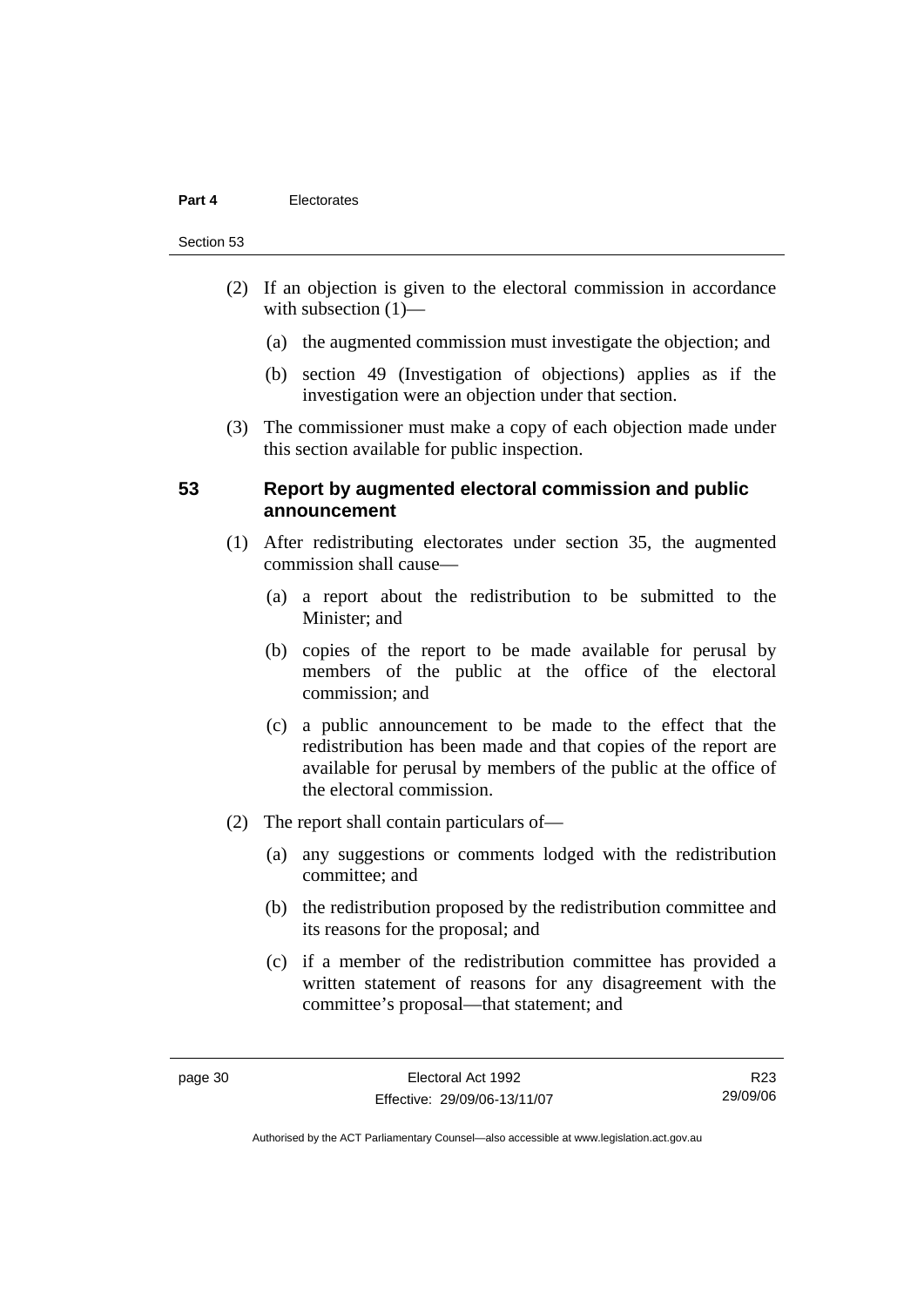#### Section 53

- (2) If an objection is given to the electoral commission in accordance with subsection  $(1)$ —
	- (a) the augmented commission must investigate the objection; and
	- (b) section 49 (Investigation of objections) applies as if the investigation were an objection under that section.
- (3) The commissioner must make a copy of each objection made under this section available for public inspection.

#### **53 Report by augmented electoral commission and public announcement**

- (1) After redistributing electorates under section 35, the augmented commission shall cause—
	- (a) a report about the redistribution to be submitted to the Minister; and
	- (b) copies of the report to be made available for perusal by members of the public at the office of the electoral commission; and
	- (c) a public announcement to be made to the effect that the redistribution has been made and that copies of the report are available for perusal by members of the public at the office of the electoral commission.
- (2) The report shall contain particulars of—
	- (a) any suggestions or comments lodged with the redistribution committee; and
	- (b) the redistribution proposed by the redistribution committee and its reasons for the proposal; and
	- (c) if a member of the redistribution committee has provided a written statement of reasons for any disagreement with the committee's proposal—that statement; and

R23 29/09/06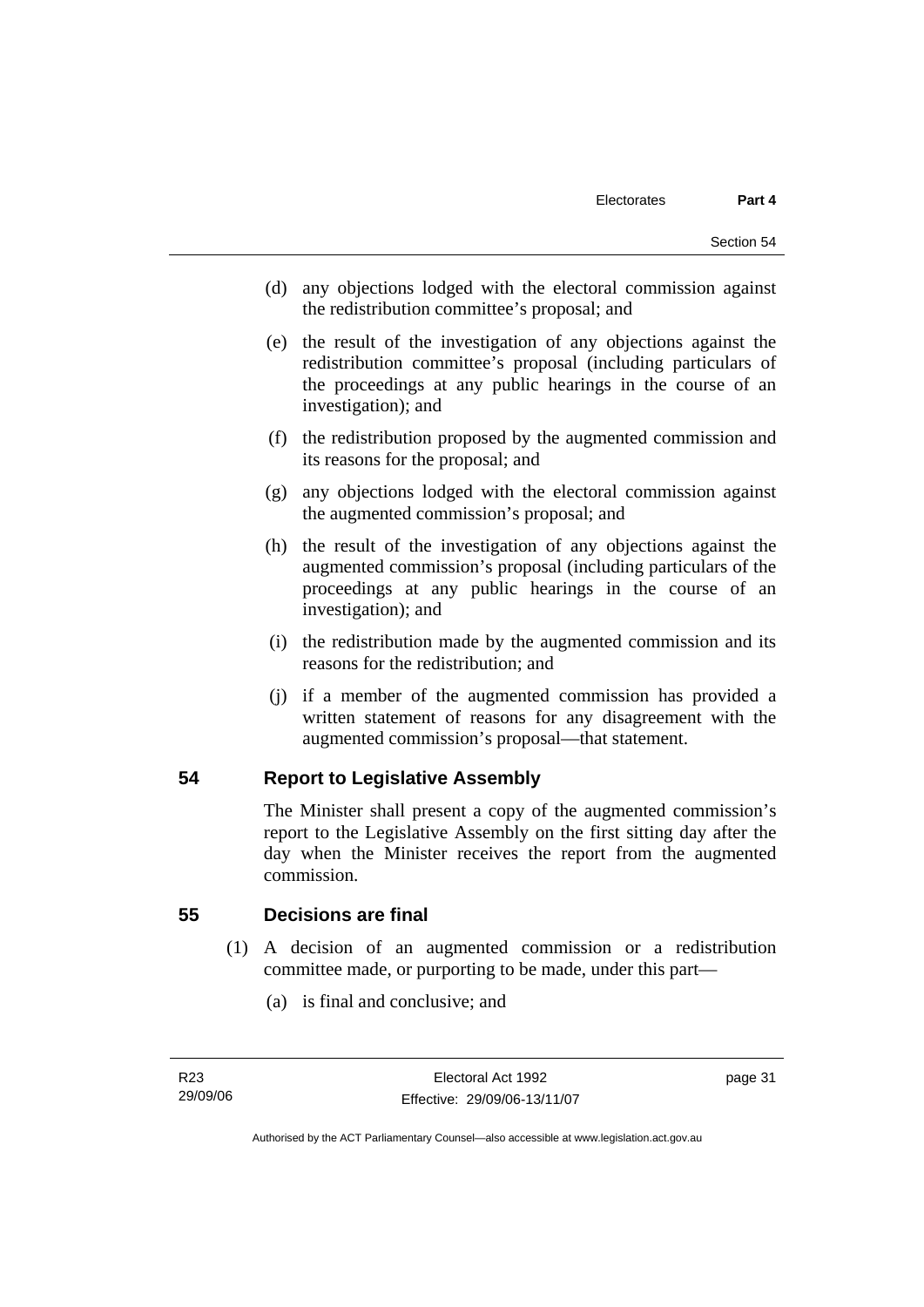- (d) any objections lodged with the electoral commission against the redistribution committee's proposal; and
- (e) the result of the investigation of any objections against the redistribution committee's proposal (including particulars of the proceedings at any public hearings in the course of an investigation); and
- (f) the redistribution proposed by the augmented commission and its reasons for the proposal; and
- (g) any objections lodged with the electoral commission against the augmented commission's proposal; and
- (h) the result of the investigation of any objections against the augmented commission's proposal (including particulars of the proceedings at any public hearings in the course of an investigation); and
- (i) the redistribution made by the augmented commission and its reasons for the redistribution; and
- (j) if a member of the augmented commission has provided a written statement of reasons for any disagreement with the augmented commission's proposal—that statement.

#### **54 Report to Legislative Assembly**

The Minister shall present a copy of the augmented commission's report to the Legislative Assembly on the first sitting day after the day when the Minister receives the report from the augmented commission.

#### **55 Decisions are final**

- (1) A decision of an augmented commission or a redistribution committee made, or purporting to be made, under this part—
	- (a) is final and conclusive; and

Authorised by the ACT Parliamentary Counsel—also accessible at www.legislation.act.gov.au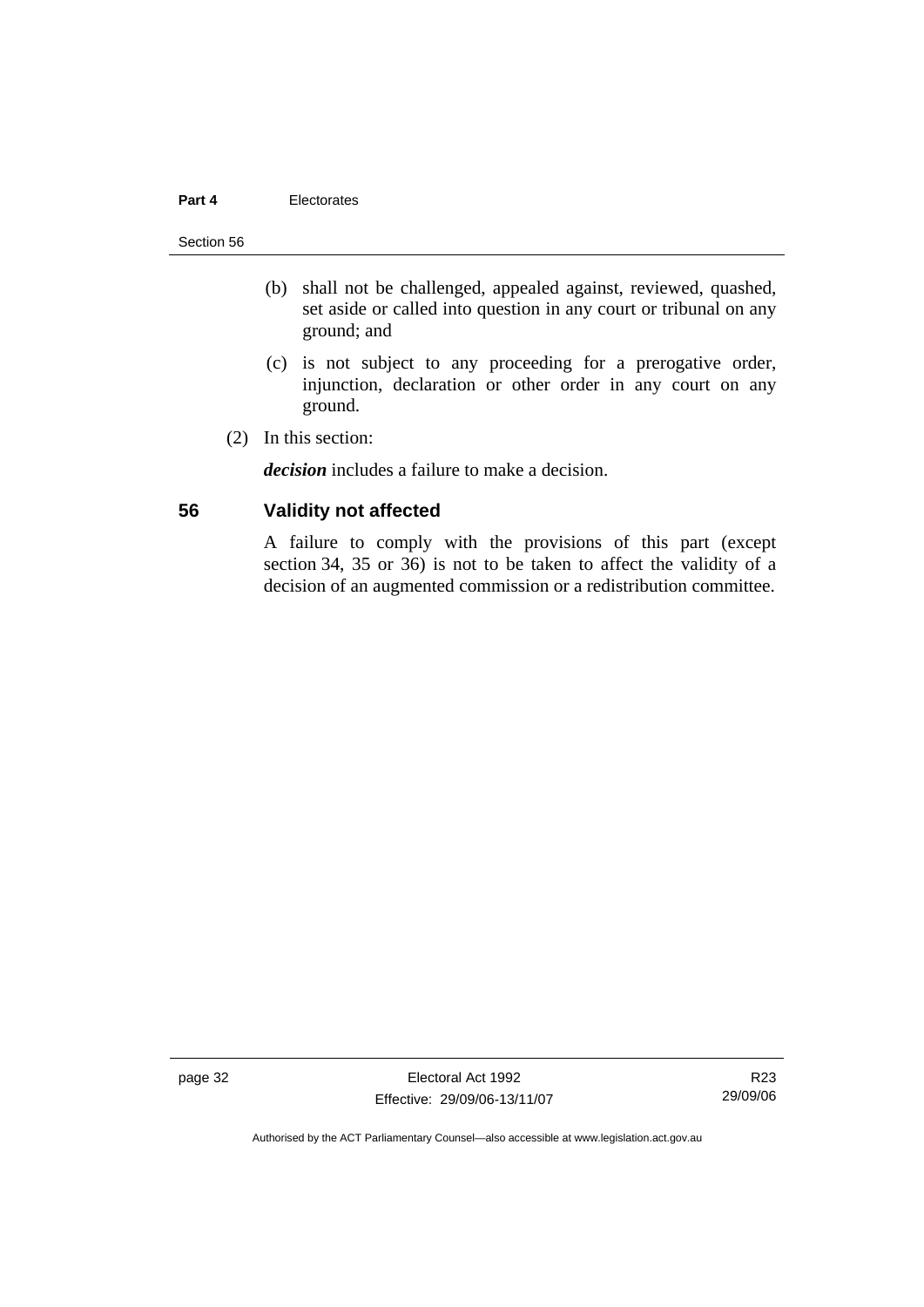#### Section 56

- (b) shall not be challenged, appealed against, reviewed, quashed, set aside or called into question in any court or tribunal on any ground; and
- (c) is not subject to any proceeding for a prerogative order, injunction, declaration or other order in any court on any ground.
- (2) In this section:

*decision* includes a failure to make a decision.

### **56 Validity not affected**

A failure to comply with the provisions of this part (except section 34, 35 or 36) is not to be taken to affect the validity of a decision of an augmented commission or a redistribution committee.

page 32 Electoral Act 1992 Effective: 29/09/06-13/11/07

R23 29/09/06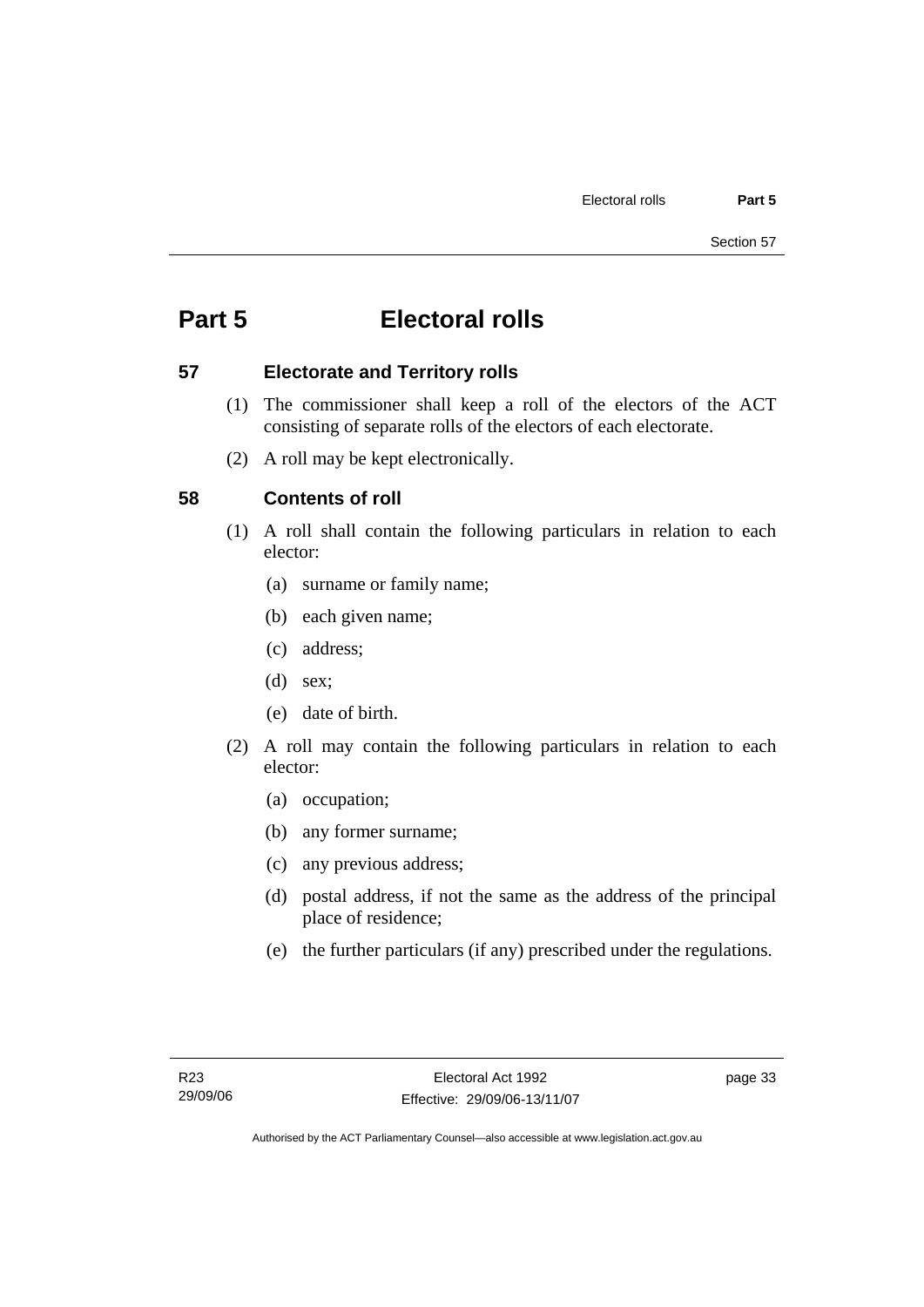# **Part 5 Electoral rolls**

### **57 Electorate and Territory rolls**

- (1) The commissioner shall keep a roll of the electors of the ACT consisting of separate rolls of the electors of each electorate.
- (2) A roll may be kept electronically.

## **58 Contents of roll**

- (1) A roll shall contain the following particulars in relation to each elector:
	- (a) surname or family name;
	- (b) each given name;
	- (c) address;
	- (d) sex;
	- (e) date of birth.
- (2) A roll may contain the following particulars in relation to each elector:
	- (a) occupation;
	- (b) any former surname;
	- (c) any previous address;
	- (d) postal address, if not the same as the address of the principal place of residence;
	- (e) the further particulars (if any) prescribed under the regulations.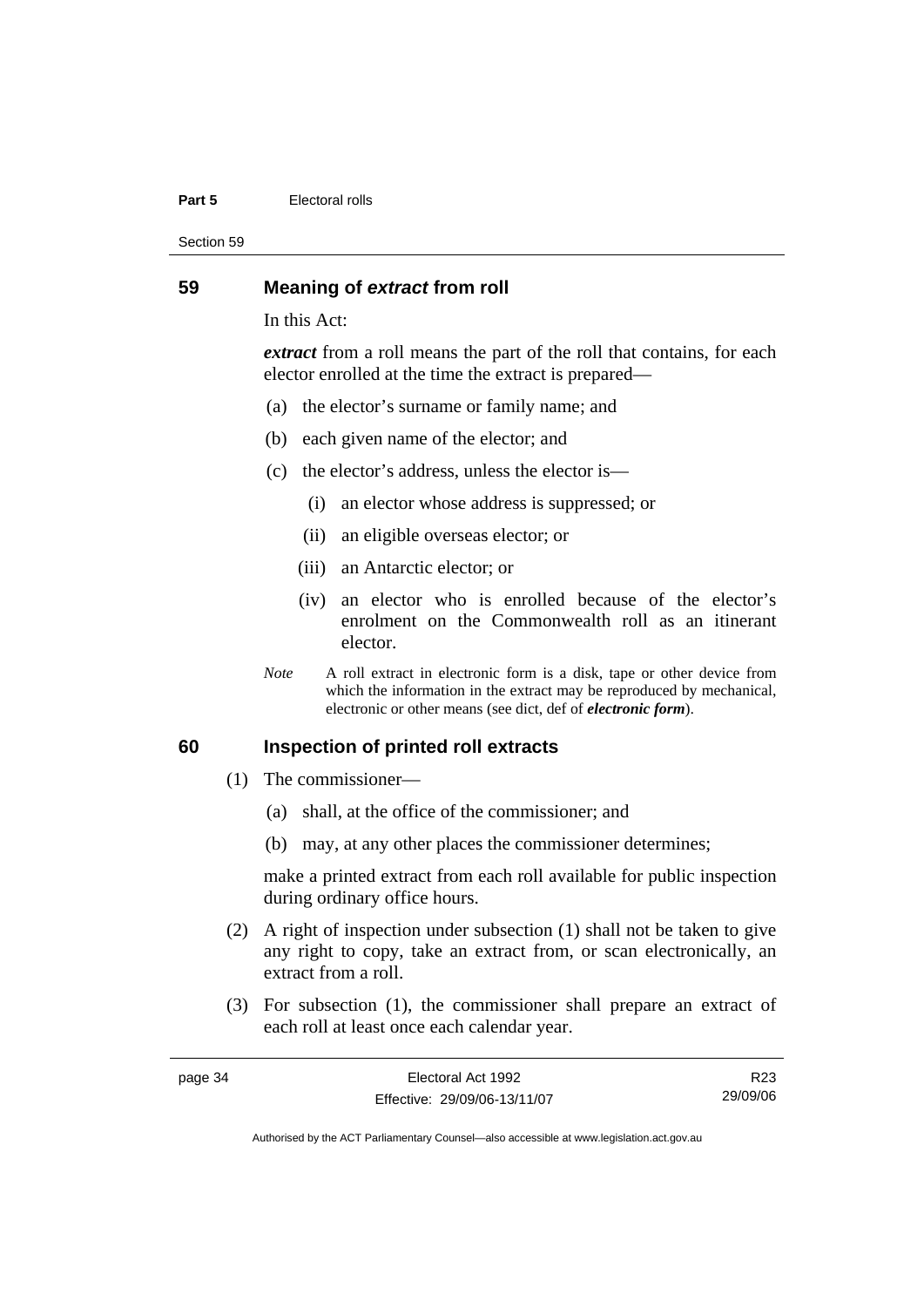#### **Part 5 Electoral rolls**

Section 59

#### **59 Meaning of** *extract* **from roll**

In this Act:

*extract* from a roll means the part of the roll that contains, for each elector enrolled at the time the extract is prepared—

- (a) the elector's surname or family name; and
- (b) each given name of the elector; and
- (c) the elector's address, unless the elector is—
	- (i) an elector whose address is suppressed; or
	- (ii) an eligible overseas elector; or
	- (iii) an Antarctic elector; or
	- (iv) an elector who is enrolled because of the elector's enrolment on the Commonwealth roll as an itinerant elector.
- *Note* A roll extract in electronic form is a disk, tape or other device from which the information in the extract may be reproduced by mechanical, electronic or other means (see dict, def of *electronic form*).

#### **60 Inspection of printed roll extracts**

- (1) The commissioner—
	- (a) shall, at the office of the commissioner; and
	- (b) may, at any other places the commissioner determines;

make a printed extract from each roll available for public inspection during ordinary office hours.

- (2) A right of inspection under subsection (1) shall not be taken to give any right to copy, take an extract from, or scan electronically, an extract from a roll.
- (3) For subsection (1), the commissioner shall prepare an extract of each roll at least once each calendar year.

| page 34 | Electoral Act 1992           | R23      |
|---------|------------------------------|----------|
|         | Effective: 29/09/06-13/11/07 | 29/09/06 |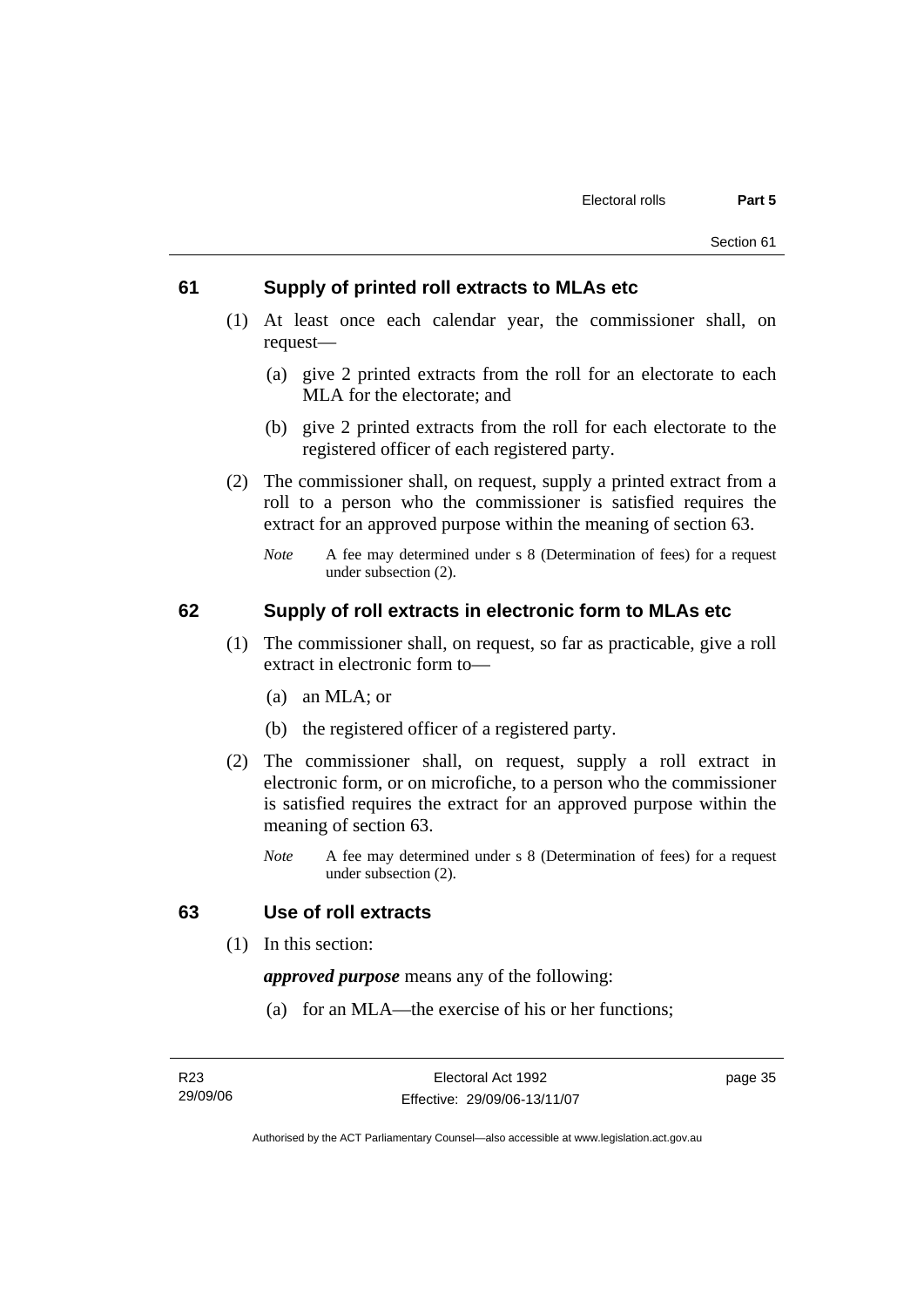#### **61 Supply of printed roll extracts to MLAs etc**

- (1) At least once each calendar year, the commissioner shall, on request—
	- (a) give 2 printed extracts from the roll for an electorate to each MLA for the electorate; and
	- (b) give 2 printed extracts from the roll for each electorate to the registered officer of each registered party.
- (2) The commissioner shall, on request, supply a printed extract from a roll to a person who the commissioner is satisfied requires the extract for an approved purpose within the meaning of section 63.
	- *Note* A fee may determined under s 8 (Determination of fees) for a request under subsection (2).

### **62 Supply of roll extracts in electronic form to MLAs etc**

- (1) The commissioner shall, on request, so far as practicable, give a roll extract in electronic form to—
	- (a) an MLA; or
	- (b) the registered officer of a registered party.
- (2) The commissioner shall, on request, supply a roll extract in electronic form, or on microfiche, to a person who the commissioner is satisfied requires the extract for an approved purpose within the meaning of section 63.
	- *Note* A fee may determined under s 8 (Determination of fees) for a request under subsection (2).

#### **63 Use of roll extracts**

(1) In this section:

*approved purpose* means any of the following:

(a) for an MLA—the exercise of his or her functions;

page 35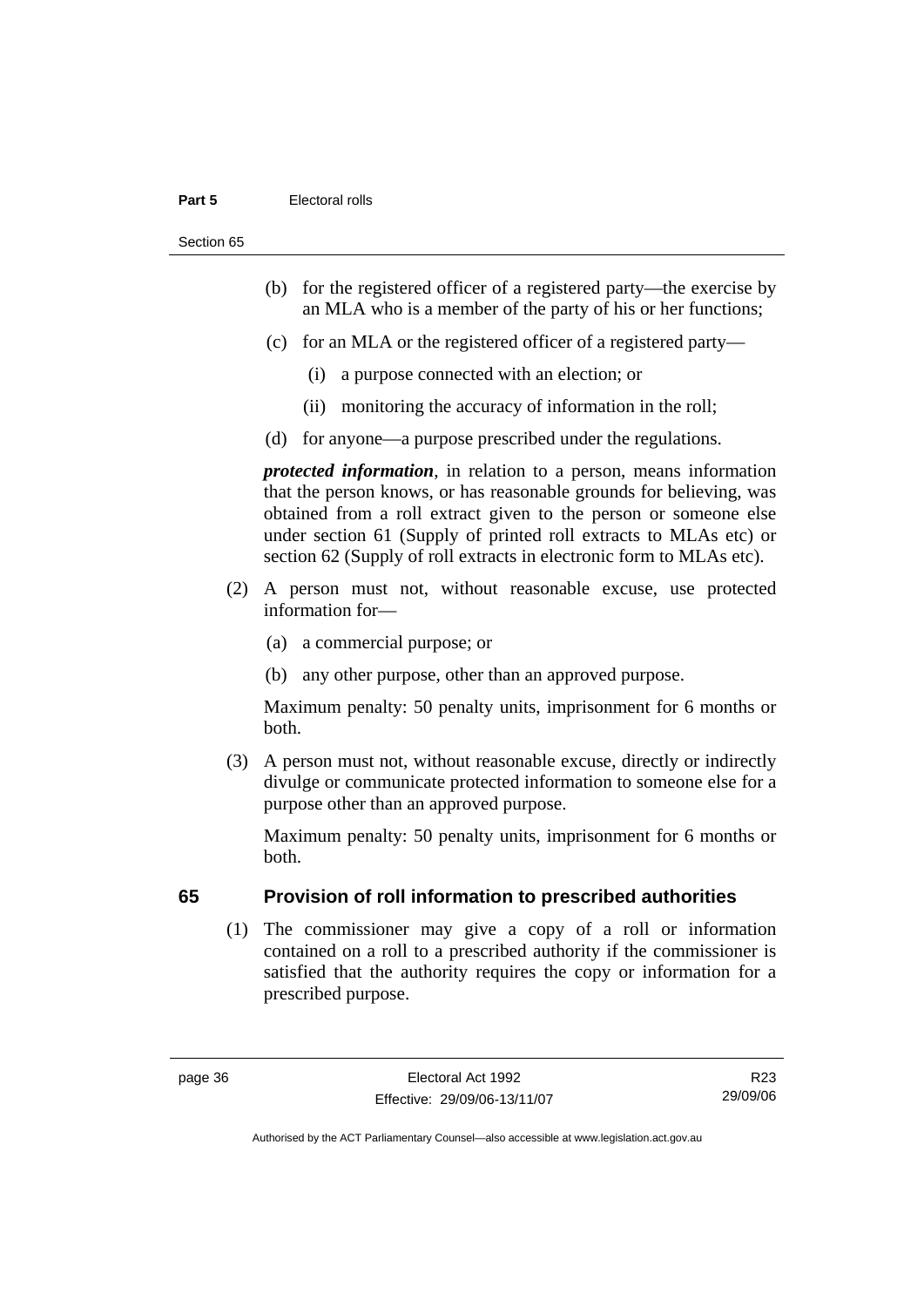#### **Part 5 Electoral rolls**

Section 65

- (b) for the registered officer of a registered party—the exercise by an MLA who is a member of the party of his or her functions;
- (c) for an MLA or the registered officer of a registered party—
	- (i) a purpose connected with an election; or
	- (ii) monitoring the accuracy of information in the roll;
- (d) for anyone—a purpose prescribed under the regulations.

*protected information*, in relation to a person, means information that the person knows, or has reasonable grounds for believing, was obtained from a roll extract given to the person or someone else under section 61 (Supply of printed roll extracts to MLAs etc) or section 62 (Supply of roll extracts in electronic form to MLAs etc).

- (2) A person must not, without reasonable excuse, use protected information for—
	- (a) a commercial purpose; or
	- (b) any other purpose, other than an approved purpose.

Maximum penalty: 50 penalty units, imprisonment for 6 months or both.

 (3) A person must not, without reasonable excuse, directly or indirectly divulge or communicate protected information to someone else for a purpose other than an approved purpose.

Maximum penalty: 50 penalty units, imprisonment for 6 months or both.

### **65 Provision of roll information to prescribed authorities**

 (1) The commissioner may give a copy of a roll or information contained on a roll to a prescribed authority if the commissioner is satisfied that the authority requires the copy or information for a prescribed purpose.

R23 29/09/06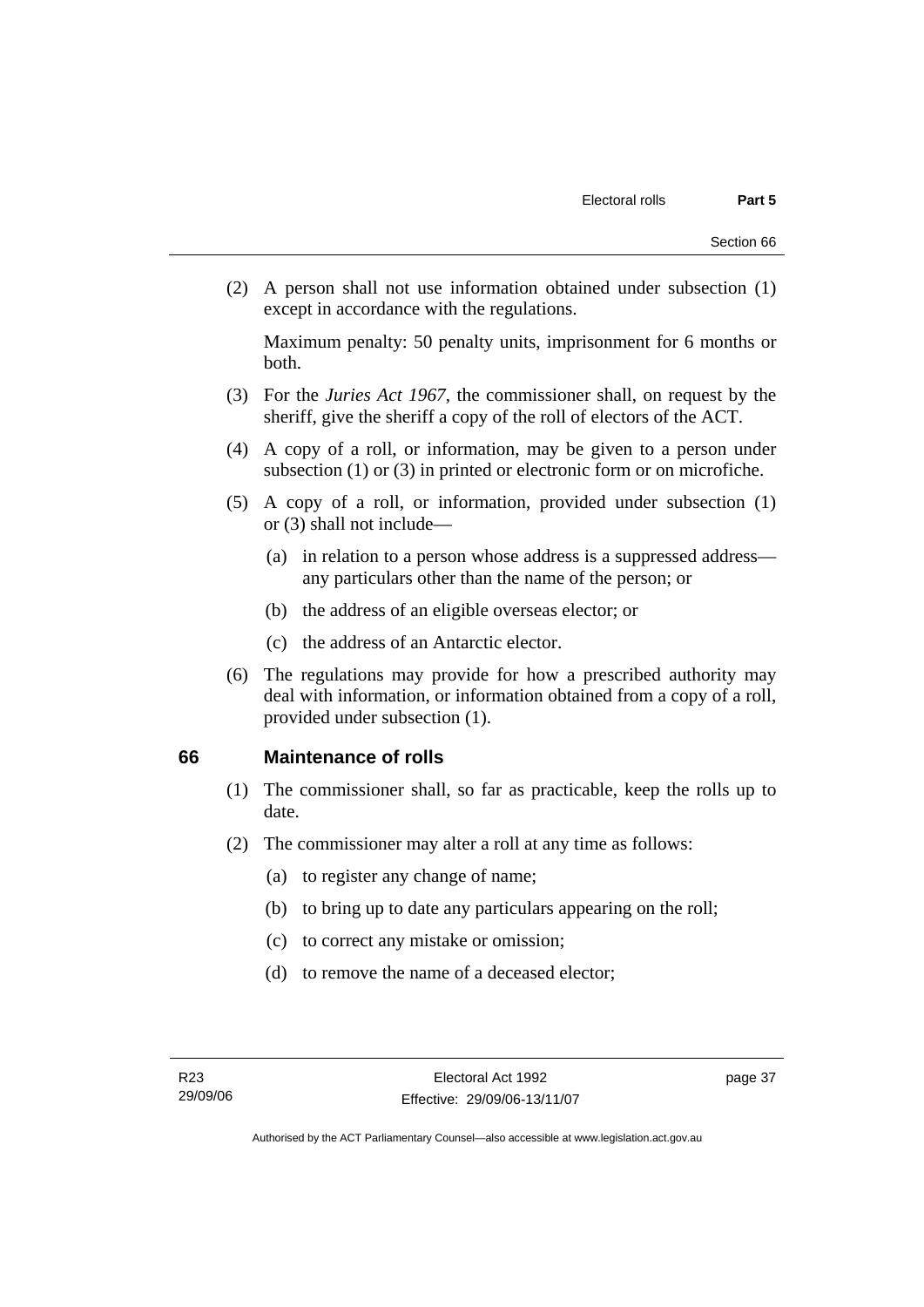(2) A person shall not use information obtained under subsection (1) except in accordance with the regulations.

Maximum penalty: 50 penalty units, imprisonment for 6 months or both.

- (3) For the *Juries Act 1967*, the commissioner shall, on request by the sheriff, give the sheriff a copy of the roll of electors of the ACT.
- (4) A copy of a roll, or information, may be given to a person under subsection (1) or (3) in printed or electronic form or on microfiche.
- (5) A copy of a roll, or information, provided under subsection (1) or (3) shall not include—
	- (a) in relation to a person whose address is a suppressed address any particulars other than the name of the person; or
	- (b) the address of an eligible overseas elector; or
	- (c) the address of an Antarctic elector.
- (6) The regulations may provide for how a prescribed authority may deal with information, or information obtained from a copy of a roll, provided under subsection (1).

### **66 Maintenance of rolls**

- (1) The commissioner shall, so far as practicable, keep the rolls up to date.
- (2) The commissioner may alter a roll at any time as follows:
	- (a) to register any change of name;
	- (b) to bring up to date any particulars appearing on the roll;
	- (c) to correct any mistake or omission;
	- (d) to remove the name of a deceased elector;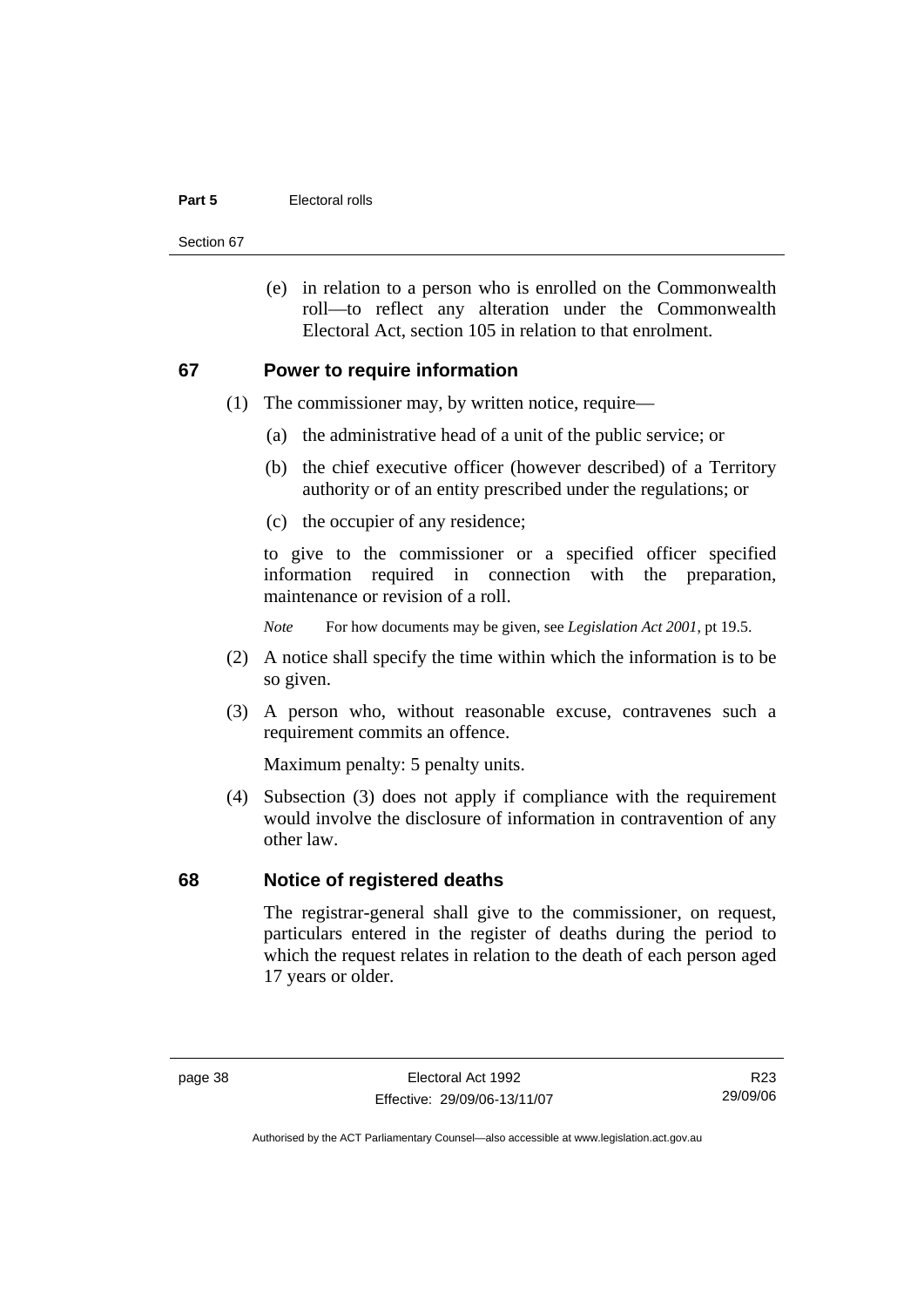#### **Part 5 Electoral rolls**

Section 67

 (e) in relation to a person who is enrolled on the Commonwealth roll—to reflect any alteration under the Commonwealth Electoral Act, section 105 in relation to that enrolment.

#### **67 Power to require information**

- (1) The commissioner may, by written notice, require—
	- (a) the administrative head of a unit of the public service; or
	- (b) the chief executive officer (however described) of a Territory authority or of an entity prescribed under the regulations; or
	- (c) the occupier of any residence;

to give to the commissioner or a specified officer specified information required in connection with the preparation, maintenance or revision of a roll.

*Note* For how documents may be given, see *Legislation Act 2001*, pt 19.5.

- (2) A notice shall specify the time within which the information is to be so given.
- (3) A person who, without reasonable excuse, contravenes such a requirement commits an offence.

Maximum penalty: 5 penalty units.

 (4) Subsection (3) does not apply if compliance with the requirement would involve the disclosure of information in contravention of any other law.

#### **68 Notice of registered deaths**

The registrar-general shall give to the commissioner, on request, particulars entered in the register of deaths during the period to which the request relates in relation to the death of each person aged 17 years or older.

R23 29/09/06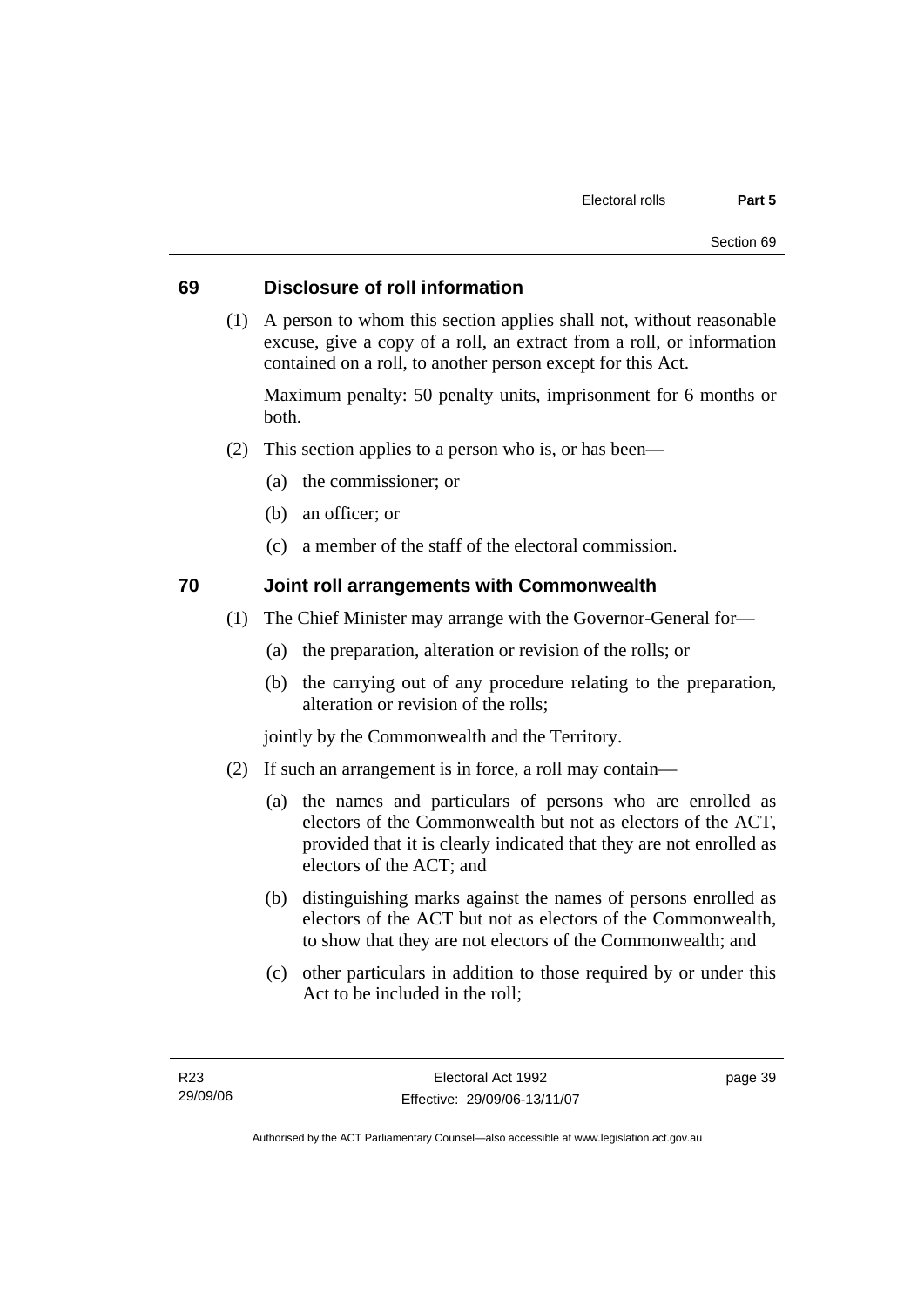### **69 Disclosure of roll information**

 (1) A person to whom this section applies shall not, without reasonable excuse, give a copy of a roll, an extract from a roll, or information contained on a roll, to another person except for this Act.

Maximum penalty: 50 penalty units, imprisonment for 6 months or both.

- (2) This section applies to a person who is, or has been—
	- (a) the commissioner; or
	- (b) an officer; or
	- (c) a member of the staff of the electoral commission.

### **70 Joint roll arrangements with Commonwealth**

- (1) The Chief Minister may arrange with the Governor-General for—
	- (a) the preparation, alteration or revision of the rolls; or
	- (b) the carrying out of any procedure relating to the preparation, alteration or revision of the rolls;

jointly by the Commonwealth and the Territory.

- (2) If such an arrangement is in force, a roll may contain—
	- (a) the names and particulars of persons who are enrolled as electors of the Commonwealth but not as electors of the ACT, provided that it is clearly indicated that they are not enrolled as electors of the ACT; and
	- (b) distinguishing marks against the names of persons enrolled as electors of the ACT but not as electors of the Commonwealth, to show that they are not electors of the Commonwealth; and
	- (c) other particulars in addition to those required by or under this Act to be included in the roll;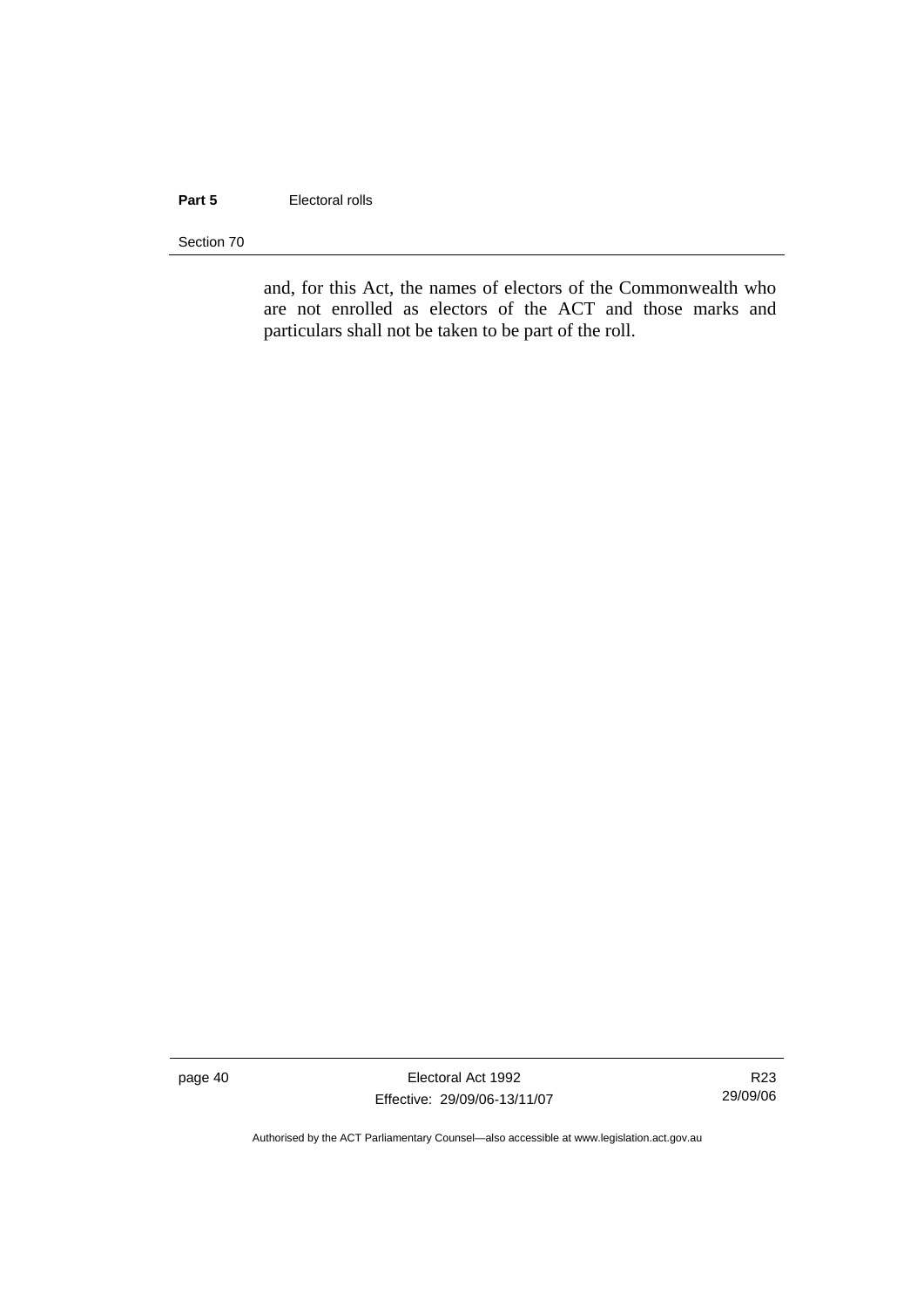#### **Part 5 Electoral rolls**

Section 70

and, for this Act, the names of electors of the Commonwealth who are not enrolled as electors of the ACT and those marks and particulars shall not be taken to be part of the roll.

page 40 Electoral Act 1992 Effective: 29/09/06-13/11/07

R23 29/09/06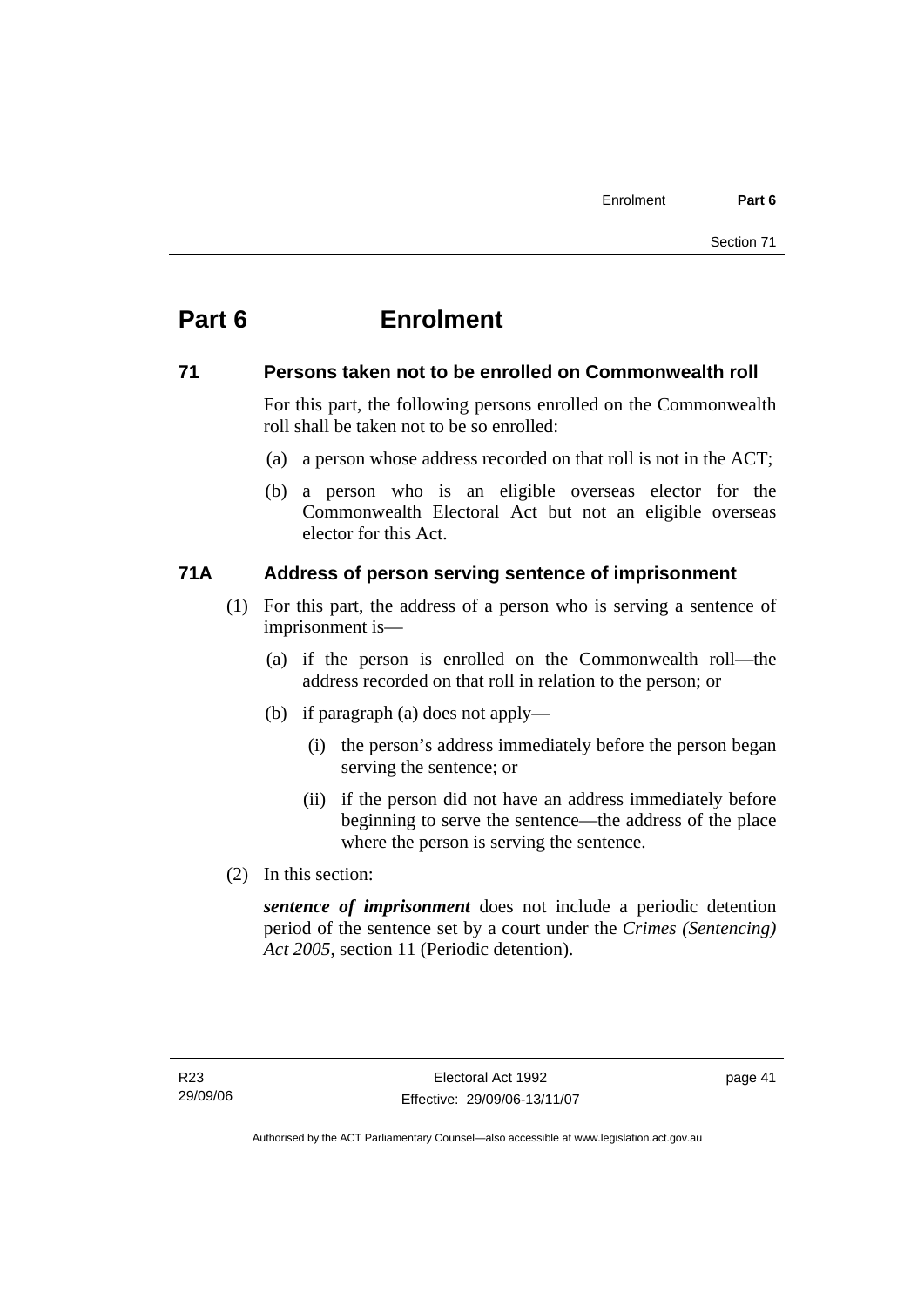# **Part 6 Enrolment**

### **71 Persons taken not to be enrolled on Commonwealth roll**

For this part, the following persons enrolled on the Commonwealth roll shall be taken not to be so enrolled:

- (a) a person whose address recorded on that roll is not in the ACT;
- (b) a person who is an eligible overseas elector for the Commonwealth Electoral Act but not an eligible overseas elector for this Act.

### **71A Address of person serving sentence of imprisonment**

- (1) For this part, the address of a person who is serving a sentence of imprisonment is—
	- (a) if the person is enrolled on the Commonwealth roll—the address recorded on that roll in relation to the person; or
	- (b) if paragraph (a) does not apply—
		- (i) the person's address immediately before the person began serving the sentence; or
		- (ii) if the person did not have an address immediately before beginning to serve the sentence—the address of the place where the person is serving the sentence.
- (2) In this section:

*sentence of imprisonment* does not include a periodic detention period of the sentence set by a court under the *Crimes (Sentencing) Act 2005*, section 11 (Periodic detention).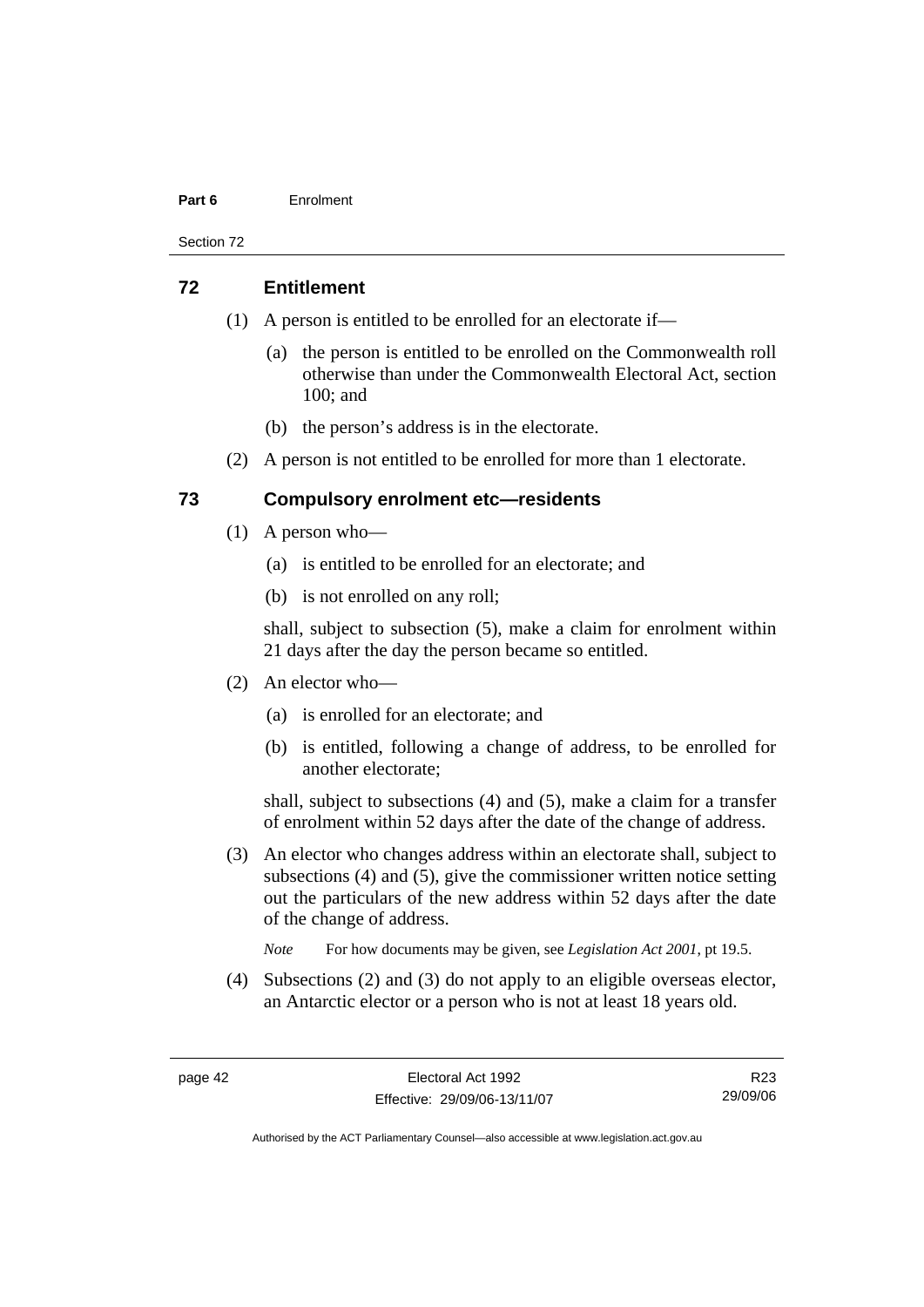#### **Part 6** Enrolment

Section 72

#### **72 Entitlement**

- (1) A person is entitled to be enrolled for an electorate if—
	- (a) the person is entitled to be enrolled on the Commonwealth roll otherwise than under the Commonwealth Electoral Act, section 100; and
	- (b) the person's address is in the electorate.
- (2) A person is not entitled to be enrolled for more than 1 electorate.

### **73 Compulsory enrolment etc—residents**

- (1) A person who—
	- (a) is entitled to be enrolled for an electorate; and
	- (b) is not enrolled on any roll;

shall, subject to subsection (5), make a claim for enrolment within 21 days after the day the person became so entitled.

- (2) An elector who—
	- (a) is enrolled for an electorate; and
	- (b) is entitled, following a change of address, to be enrolled for another electorate;

shall, subject to subsections (4) and (5), make a claim for a transfer of enrolment within 52 days after the date of the change of address.

- (3) An elector who changes address within an electorate shall, subject to subsections (4) and (5), give the commissioner written notice setting out the particulars of the new address within 52 days after the date of the change of address.
	- *Note* For how documents may be given, see *Legislation Act 2001*, pt 19.5.
- (4) Subsections (2) and (3) do not apply to an eligible overseas elector, an Antarctic elector or a person who is not at least 18 years old.

R23 29/09/06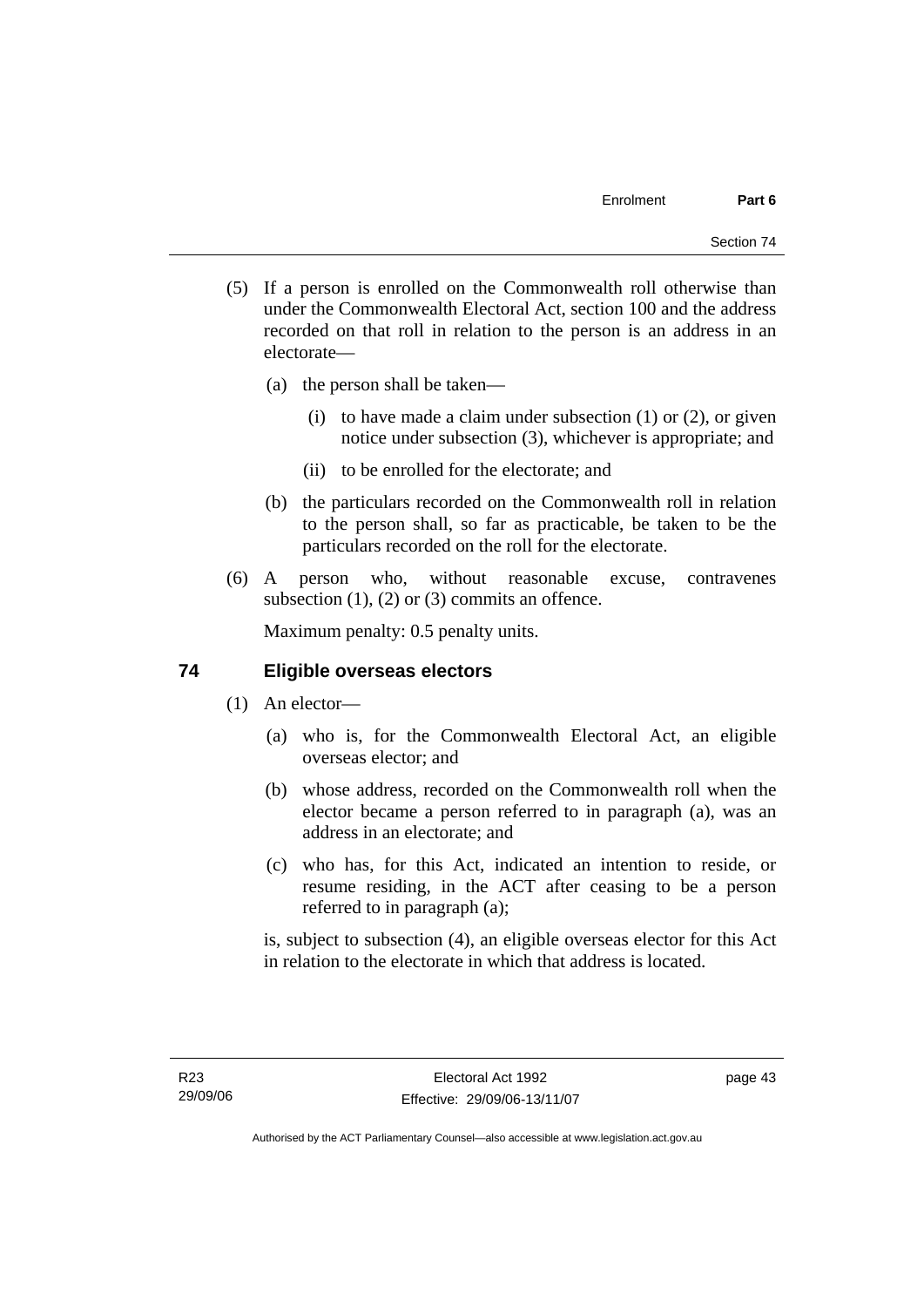- (5) If a person is enrolled on the Commonwealth roll otherwise than under the Commonwealth Electoral Act, section 100 and the address recorded on that roll in relation to the person is an address in an electorate—
	- (a) the person shall be taken—
		- (i) to have made a claim under subsection  $(1)$  or  $(2)$ , or given notice under subsection (3), whichever is appropriate; and
		- (ii) to be enrolled for the electorate; and
	- (b) the particulars recorded on the Commonwealth roll in relation to the person shall, so far as practicable, be taken to be the particulars recorded on the roll for the electorate.
- (6) A person who, without reasonable excuse, contravenes subsection  $(1)$ ,  $(2)$  or  $(3)$  commits an offence.

Maximum penalty: 0.5 penalty units.

### **74 Eligible overseas electors**

- (1) An elector—
	- (a) who is, for the Commonwealth Electoral Act, an eligible overseas elector; and
	- (b) whose address, recorded on the Commonwealth roll when the elector became a person referred to in paragraph (a), was an address in an electorate; and
	- (c) who has, for this Act, indicated an intention to reside, or resume residing, in the ACT after ceasing to be a person referred to in paragraph (a);

is, subject to subsection (4), an eligible overseas elector for this Act in relation to the electorate in which that address is located.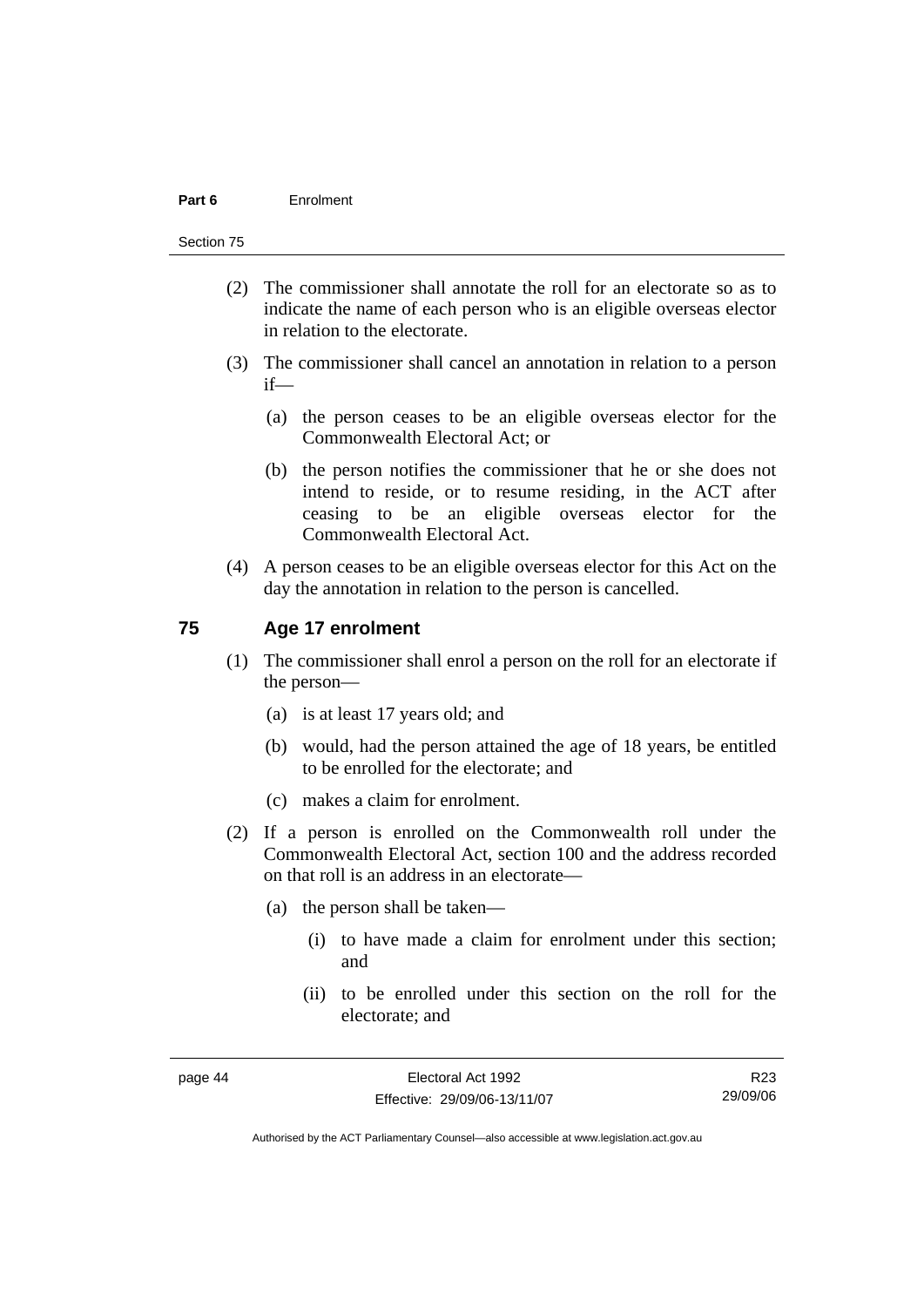#### **Part 6** Enrolment

#### Section 75

- (2) The commissioner shall annotate the roll for an electorate so as to indicate the name of each person who is an eligible overseas elector in relation to the electorate.
- (3) The commissioner shall cancel an annotation in relation to a person if—
	- (a) the person ceases to be an eligible overseas elector for the Commonwealth Electoral Act; or
	- (b) the person notifies the commissioner that he or she does not intend to reside, or to resume residing, in the ACT after ceasing to be an eligible overseas elector for the Commonwealth Electoral Act.
- (4) A person ceases to be an eligible overseas elector for this Act on the day the annotation in relation to the person is cancelled.

#### **75 Age 17 enrolment**

- (1) The commissioner shall enrol a person on the roll for an electorate if the person—
	- (a) is at least 17 years old; and
	- (b) would, had the person attained the age of 18 years, be entitled to be enrolled for the electorate; and
	- (c) makes a claim for enrolment.
- (2) If a person is enrolled on the Commonwealth roll under the Commonwealth Electoral Act, section 100 and the address recorded on that roll is an address in an electorate—
	- (a) the person shall be taken—
		- (i) to have made a claim for enrolment under this section; and
		- (ii) to be enrolled under this section on the roll for the electorate; and

R23 29/09/06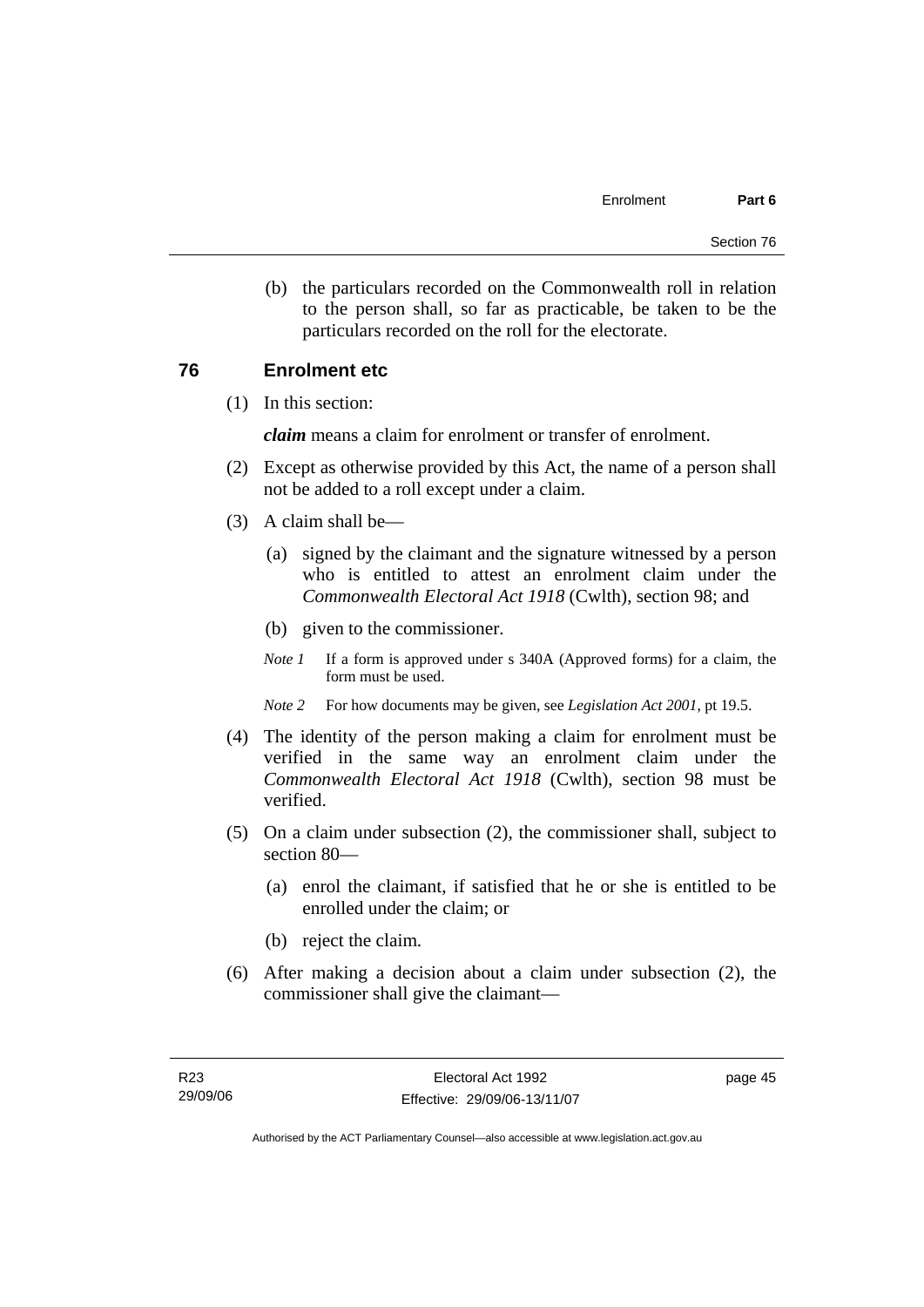(b) the particulars recorded on the Commonwealth roll in relation to the person shall, so far as practicable, be taken to be the particulars recorded on the roll for the electorate.

### **76 Enrolment etc**

(1) In this section:

*claim* means a claim for enrolment or transfer of enrolment.

- (2) Except as otherwise provided by this Act, the name of a person shall not be added to a roll except under a claim.
- (3) A claim shall be—
	- (a) signed by the claimant and the signature witnessed by a person who is entitled to attest an enrolment claim under the *Commonwealth Electoral Act 1918* (Cwlth), section 98; and
	- (b) given to the commissioner.
	- *Note 1* If a form is approved under s 340A (Approved forms) for a claim, the form must be used.
	- *Note 2* For how documents may be given, see *Legislation Act 2001*, pt 19.5.
- (4) The identity of the person making a claim for enrolment must be verified in the same way an enrolment claim under the *Commonwealth Electoral Act 1918* (Cwlth), section 98 must be verified.
- (5) On a claim under subsection (2), the commissioner shall, subject to section 80—
	- (a) enrol the claimant, if satisfied that he or she is entitled to be enrolled under the claim; or
	- (b) reject the claim.
- (6) After making a decision about a claim under subsection (2), the commissioner shall give the claimant—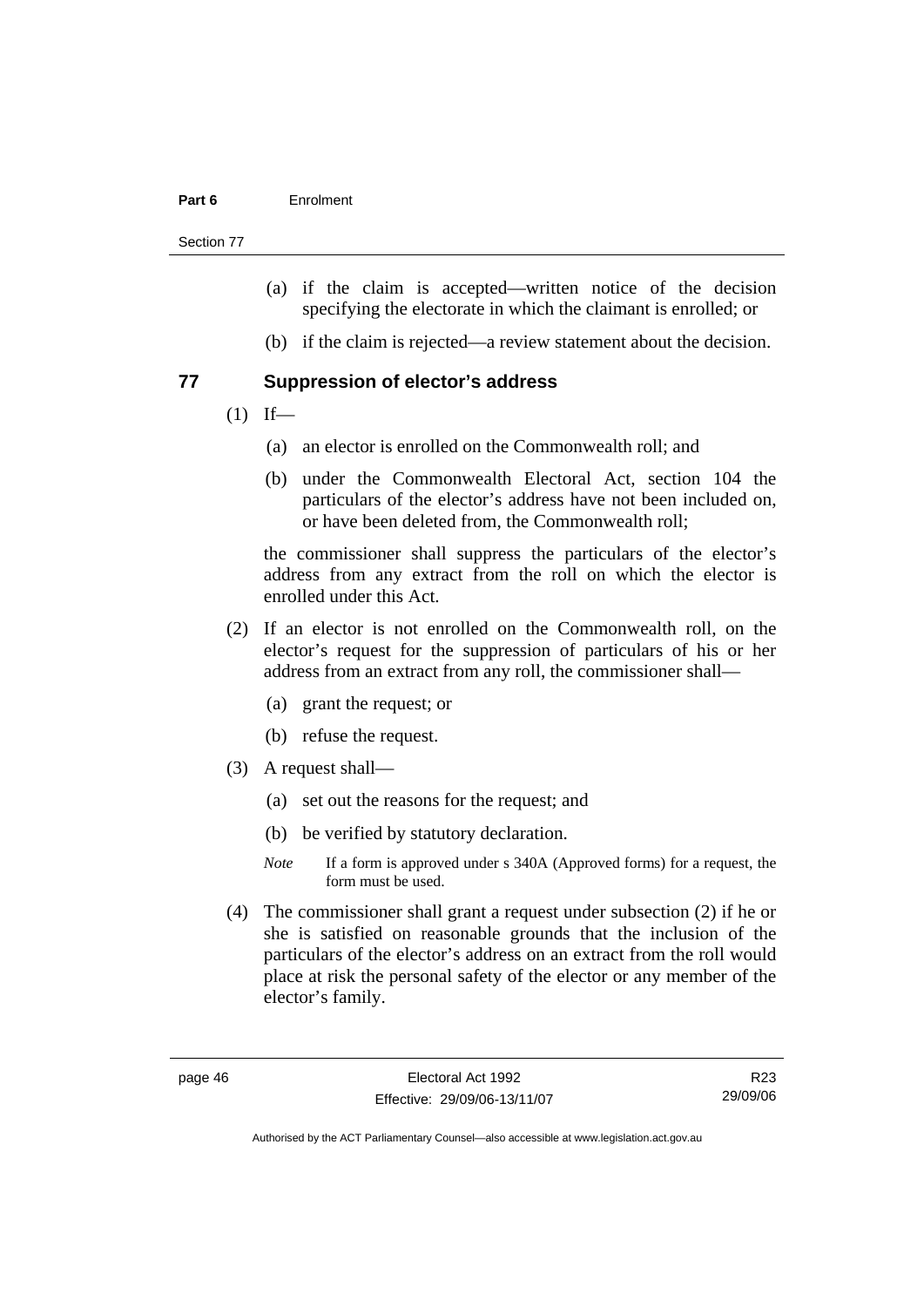#### **Part 6** Enrolment

Section 77

- (a) if the claim is accepted—written notice of the decision specifying the electorate in which the claimant is enrolled; or
- (b) if the claim is rejected—a review statement about the decision.

#### **77 Suppression of elector's address**

- $(1)$  If—
	- (a) an elector is enrolled on the Commonwealth roll; and
	- (b) under the Commonwealth Electoral Act, section 104 the particulars of the elector's address have not been included on, or have been deleted from, the Commonwealth roll;

the commissioner shall suppress the particulars of the elector's address from any extract from the roll on which the elector is enrolled under this Act.

- (2) If an elector is not enrolled on the Commonwealth roll, on the elector's request for the suppression of particulars of his or her address from an extract from any roll, the commissioner shall—
	- (a) grant the request; or
	- (b) refuse the request.
- (3) A request shall—
	- (a) set out the reasons for the request; and
	- (b) be verified by statutory declaration.
	- *Note* If a form is approved under s 340A (Approved forms) for a request, the form must be used.
- (4) The commissioner shall grant a request under subsection (2) if he or she is satisfied on reasonable grounds that the inclusion of the particulars of the elector's address on an extract from the roll would place at risk the personal safety of the elector or any member of the elector's family.

R23 29/09/06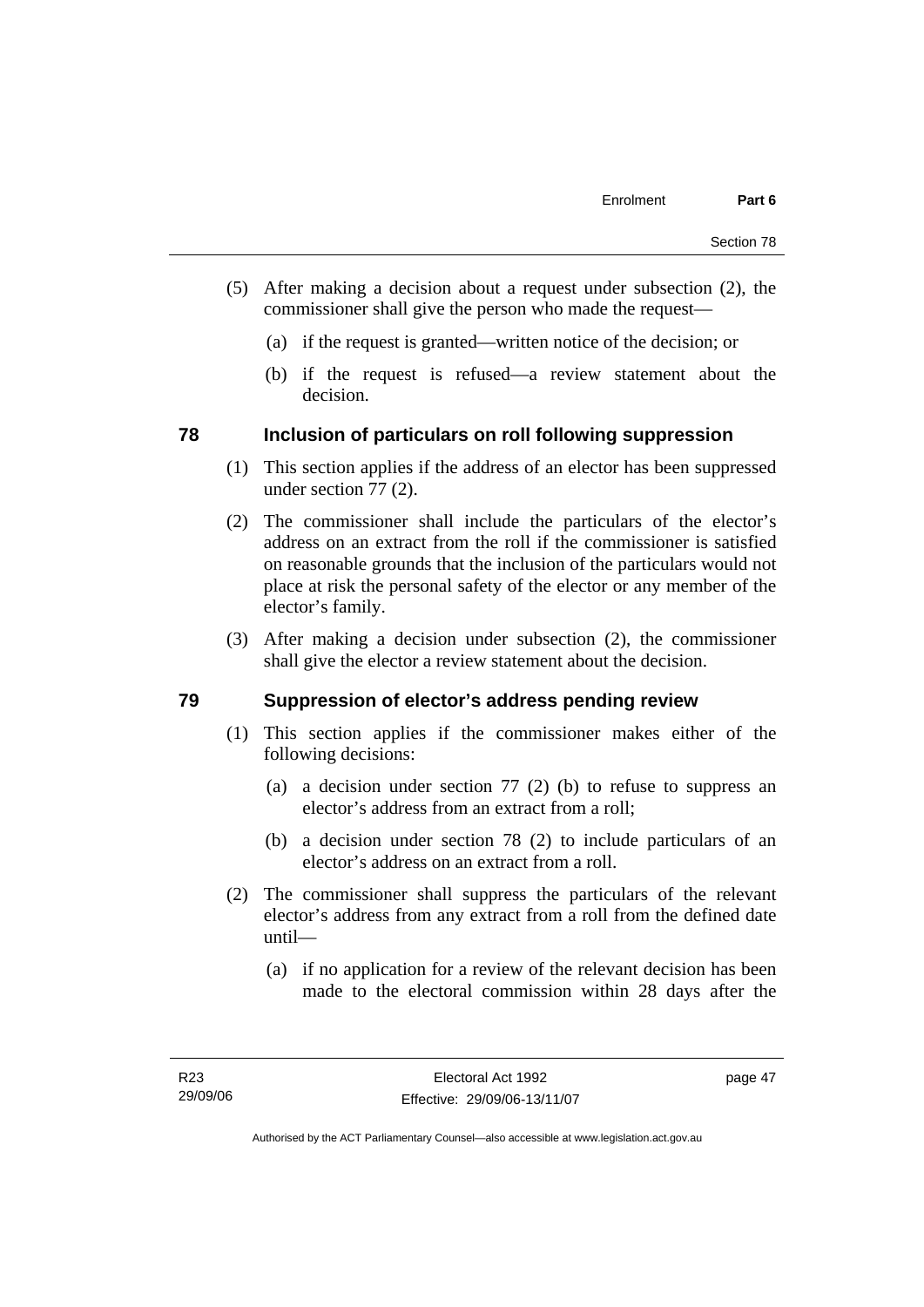- (5) After making a decision about a request under subsection (2), the commissioner shall give the person who made the request—
	- (a) if the request is granted—written notice of the decision; or
	- (b) if the request is refused—a review statement about the decision.

### **78 Inclusion of particulars on roll following suppression**

- (1) This section applies if the address of an elector has been suppressed under section 77 (2).
- (2) The commissioner shall include the particulars of the elector's address on an extract from the roll if the commissioner is satisfied on reasonable grounds that the inclusion of the particulars would not place at risk the personal safety of the elector or any member of the elector's family.
- (3) After making a decision under subsection (2), the commissioner shall give the elector a review statement about the decision.

### **79 Suppression of elector's address pending review**

- (1) This section applies if the commissioner makes either of the following decisions:
	- (a) a decision under section 77 (2) (b) to refuse to suppress an elector's address from an extract from a roll;
	- (b) a decision under section 78 (2) to include particulars of an elector's address on an extract from a roll.
- (2) The commissioner shall suppress the particulars of the relevant elector's address from any extract from a roll from the defined date until—
	- (a) if no application for a review of the relevant decision has been made to the electoral commission within 28 days after the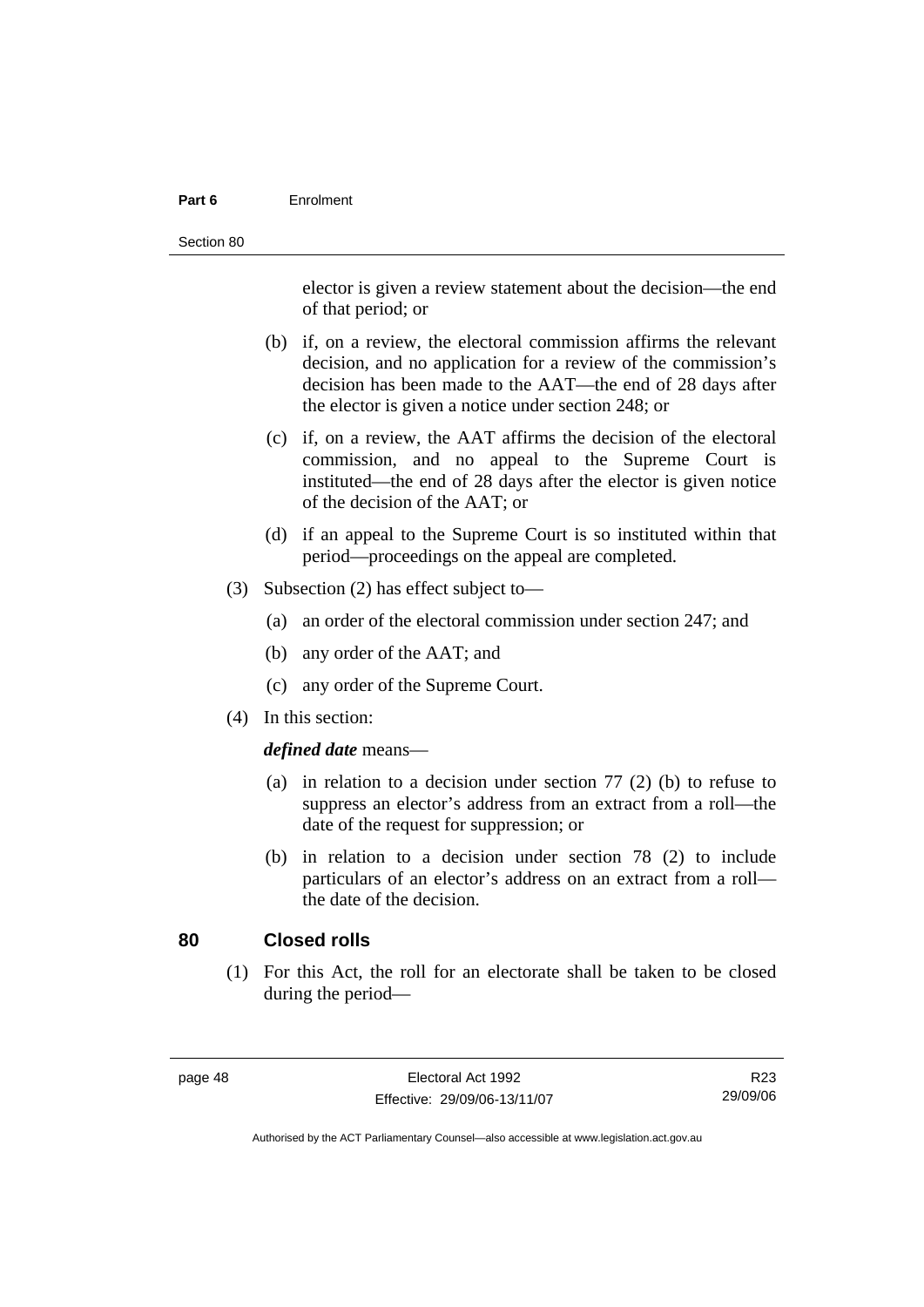#### **Part 6** Enrolment

elector is given a review statement about the decision—the end of that period; or

- (b) if, on a review, the electoral commission affirms the relevant decision, and no application for a review of the commission's decision has been made to the AAT—the end of 28 days after the elector is given a notice under section 248; or
- (c) if, on a review, the AAT affirms the decision of the electoral commission, and no appeal to the Supreme Court is instituted—the end of 28 days after the elector is given notice of the decision of the AAT; or
- (d) if an appeal to the Supreme Court is so instituted within that period—proceedings on the appeal are completed.
- (3) Subsection (2) has effect subject to—
	- (a) an order of the electoral commission under section 247; and
	- (b) any order of the AAT; and
	- (c) any order of the Supreme Court.
- (4) In this section:

#### *defined date* means—

- (a) in relation to a decision under section 77 (2) (b) to refuse to suppress an elector's address from an extract from a roll—the date of the request for suppression; or
- (b) in relation to a decision under section 78 (2) to include particulars of an elector's address on an extract from a roll the date of the decision.

### **80 Closed rolls**

 (1) For this Act, the roll for an electorate shall be taken to be closed during the period—

| page | 48 |
|------|----|
|------|----|

R23 29/09/06

Authorised by the ACT Parliamentary Counsel—also accessible at www.legislation.act.gov.au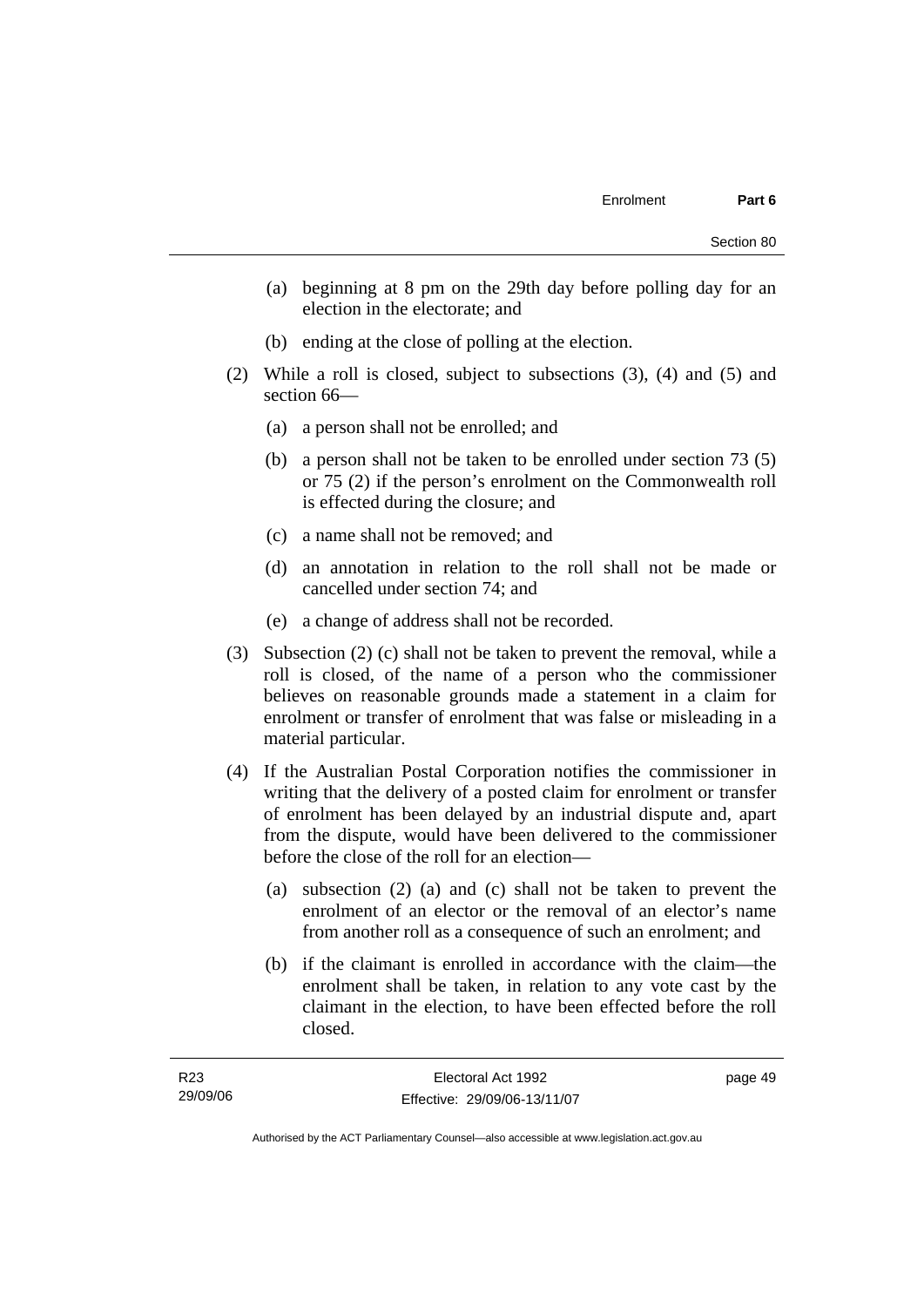- (a) beginning at 8 pm on the 29th day before polling day for an election in the electorate; and
- (b) ending at the close of polling at the election.
- (2) While a roll is closed, subject to subsections (3), (4) and (5) and section 66—
	- (a) a person shall not be enrolled; and
	- (b) a person shall not be taken to be enrolled under section 73 (5) or 75 (2) if the person's enrolment on the Commonwealth roll is effected during the closure; and
	- (c) a name shall not be removed; and
	- (d) an annotation in relation to the roll shall not be made or cancelled under section 74; and
	- (e) a change of address shall not be recorded.
- (3) Subsection (2) (c) shall not be taken to prevent the removal, while a roll is closed, of the name of a person who the commissioner believes on reasonable grounds made a statement in a claim for enrolment or transfer of enrolment that was false or misleading in a material particular.
- (4) If the Australian Postal Corporation notifies the commissioner in writing that the delivery of a posted claim for enrolment or transfer of enrolment has been delayed by an industrial dispute and, apart from the dispute, would have been delivered to the commissioner before the close of the roll for an election—
	- (a) subsection (2) (a) and (c) shall not be taken to prevent the enrolment of an elector or the removal of an elector's name from another roll as a consequence of such an enrolment; and
	- (b) if the claimant is enrolled in accordance with the claim—the enrolment shall be taken, in relation to any vote cast by the claimant in the election, to have been effected before the roll closed.

page 49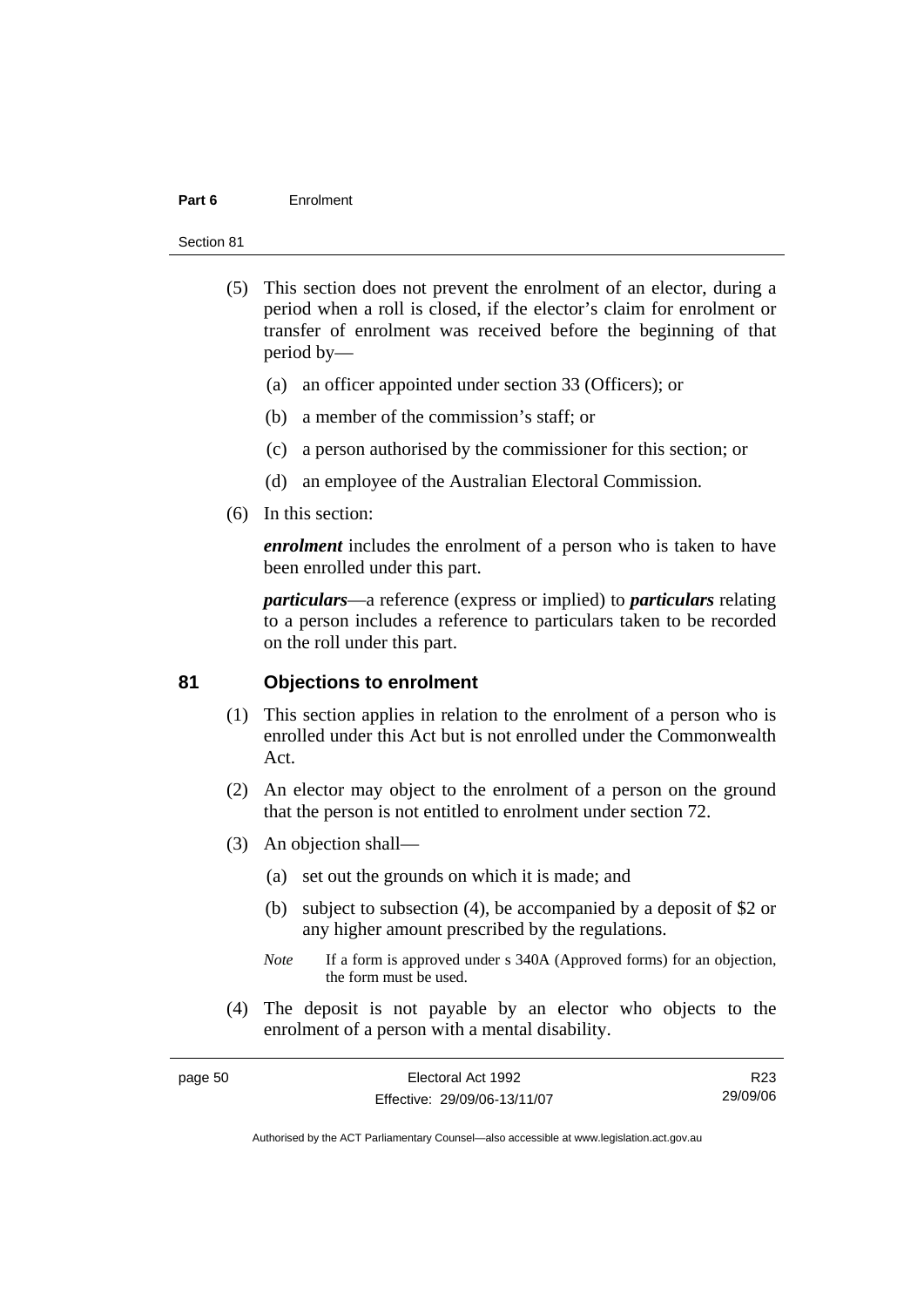#### **Part 6** Enrolment

#### Section 81

- (5) This section does not prevent the enrolment of an elector, during a period when a roll is closed, if the elector's claim for enrolment or transfer of enrolment was received before the beginning of that period by—
	- (a) an officer appointed under section 33 (Officers); or
	- (b) a member of the commission's staff; or
	- (c) a person authorised by the commissioner for this section; or
	- (d) an employee of the Australian Electoral Commission.
- (6) In this section:

*enrolment* includes the enrolment of a person who is taken to have been enrolled under this part.

*particulars*—a reference (express or implied) to *particulars* relating to a person includes a reference to particulars taken to be recorded on the roll under this part.

### **81 Objections to enrolment**

- (1) This section applies in relation to the enrolment of a person who is enrolled under this Act but is not enrolled under the Commonwealth Act.
- (2) An elector may object to the enrolment of a person on the ground that the person is not entitled to enrolment under section 72.
- (3) An objection shall—
	- (a) set out the grounds on which it is made; and
	- (b) subject to subsection (4), be accompanied by a deposit of \$2 or any higher amount prescribed by the regulations.
	- *Note* If a form is approved under s 340A (Approved forms) for an objection, the form must be used.
- (4) The deposit is not payable by an elector who objects to the enrolment of a person with a mental disability.

| page 50 | Electoral Act 1992           | R23      |
|---------|------------------------------|----------|
|         | Effective: 29/09/06-13/11/07 | 29/09/06 |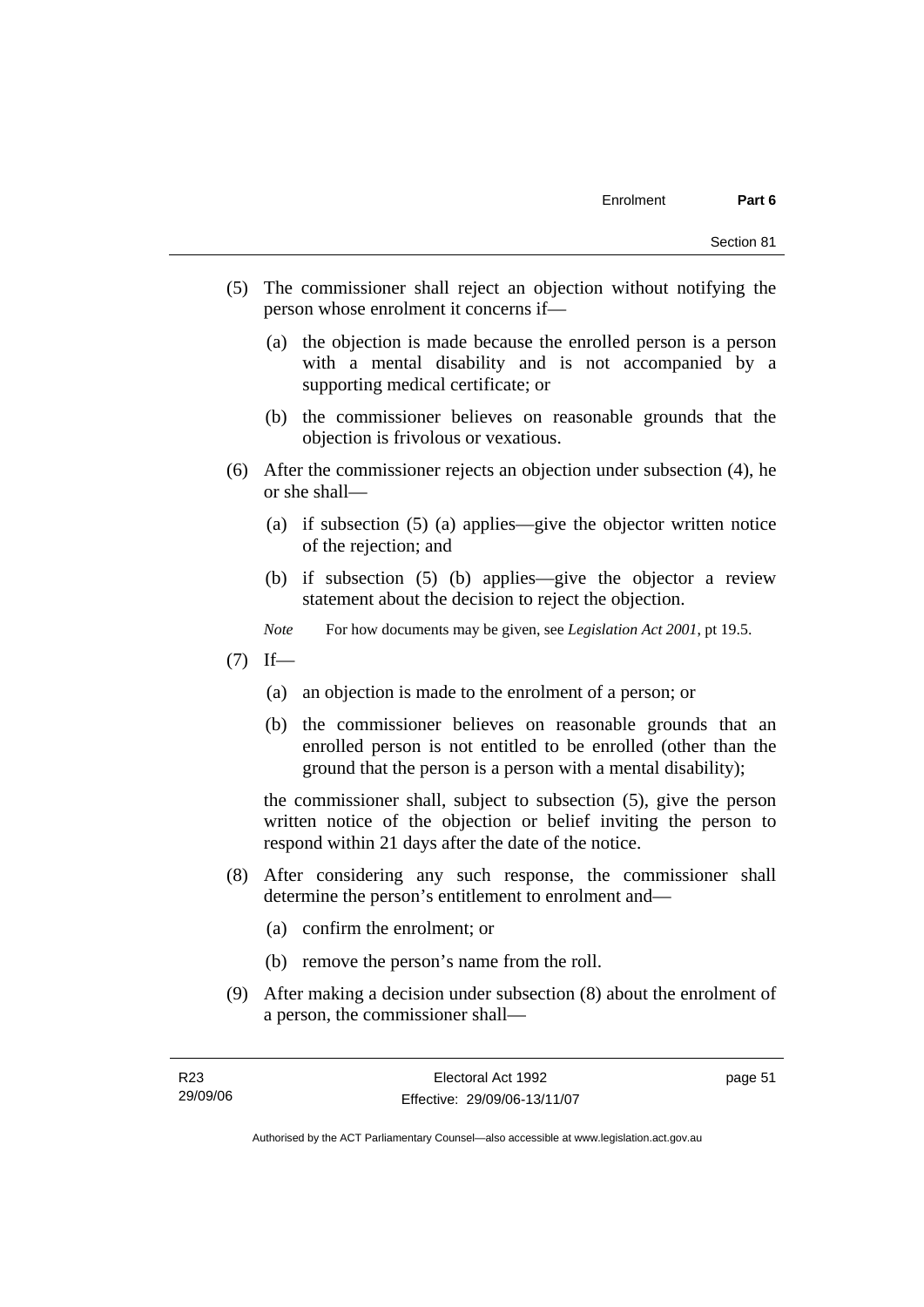- (5) The commissioner shall reject an objection without notifying the person whose enrolment it concerns if—
	- (a) the objection is made because the enrolled person is a person with a mental disability and is not accompanied by a supporting medical certificate; or
	- (b) the commissioner believes on reasonable grounds that the objection is frivolous or vexatious.
- (6) After the commissioner rejects an objection under subsection (4), he or she shall—
	- (a) if subsection (5) (a) applies—give the objector written notice of the rejection; and
	- (b) if subsection (5) (b) applies—give the objector a review statement about the decision to reject the objection.
	- *Note* For how documents may be given, see *Legislation Act 2001*, pt 19.5.
- $(7)$  If—
	- (a) an objection is made to the enrolment of a person; or
	- (b) the commissioner believes on reasonable grounds that an enrolled person is not entitled to be enrolled (other than the ground that the person is a person with a mental disability);

the commissioner shall, subject to subsection (5), give the person written notice of the objection or belief inviting the person to respond within 21 days after the date of the notice.

- (8) After considering any such response, the commissioner shall determine the person's entitlement to enrolment and—
	- (a) confirm the enrolment; or
	- (b) remove the person's name from the roll.
- (9) After making a decision under subsection (8) about the enrolment of a person, the commissioner shall—

page 51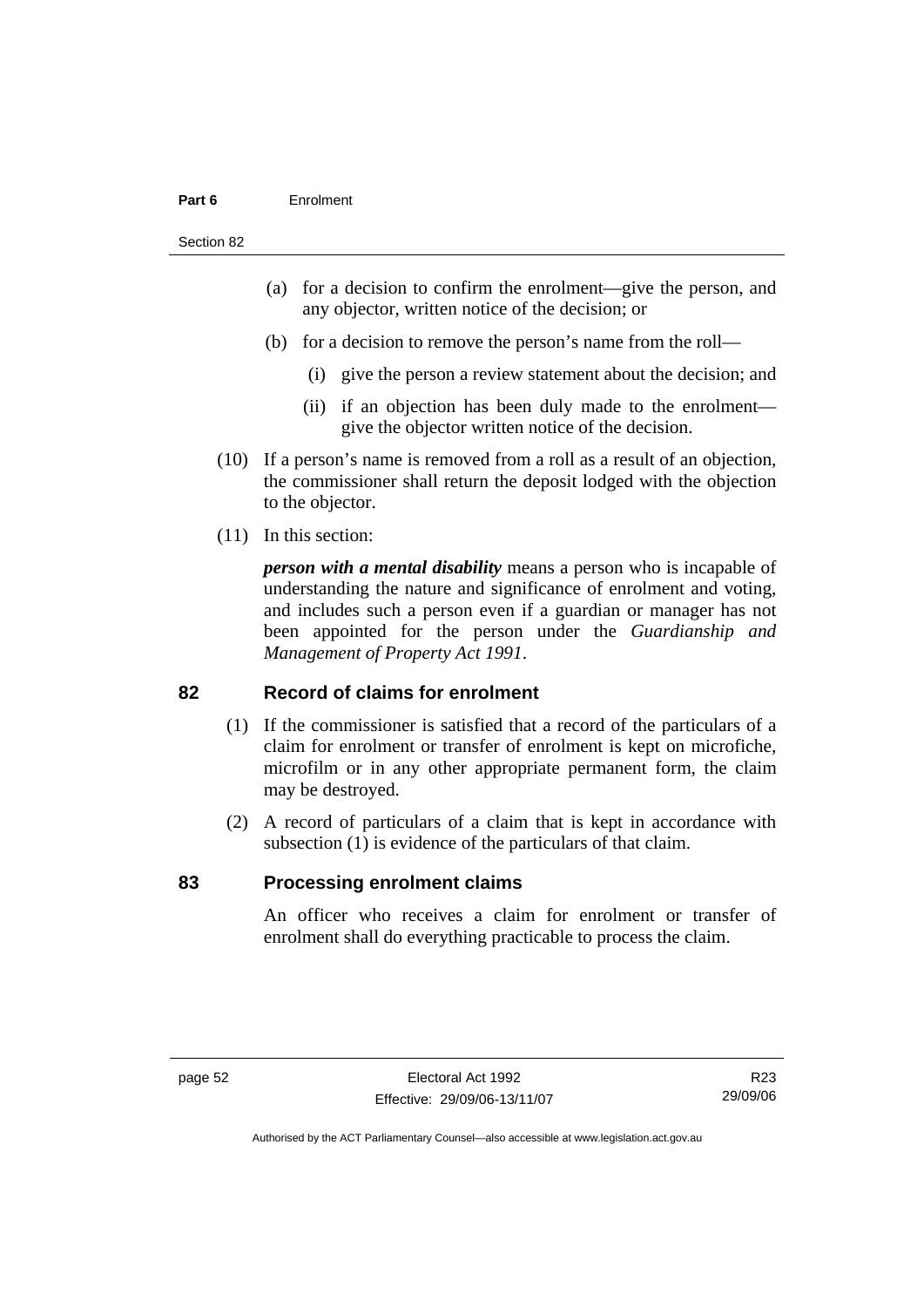#### **Part 6** Enrolment

#### Section 82

- (a) for a decision to confirm the enrolment—give the person, and any objector, written notice of the decision; or
- (b) for a decision to remove the person's name from the roll—
	- (i) give the person a review statement about the decision; and
	- (ii) if an objection has been duly made to the enrolment give the objector written notice of the decision.
- (10) If a person's name is removed from a roll as a result of an objection, the commissioner shall return the deposit lodged with the objection to the objector.
- (11) In this section:

*person with a mental disability* means a person who is incapable of understanding the nature and significance of enrolment and voting, and includes such a person even if a guardian or manager has not been appointed for the person under the *Guardianship and Management of Property Act 1991*.

#### **82 Record of claims for enrolment**

- (1) If the commissioner is satisfied that a record of the particulars of a claim for enrolment or transfer of enrolment is kept on microfiche, microfilm or in any other appropriate permanent form, the claim may be destroyed.
- (2) A record of particulars of a claim that is kept in accordance with subsection (1) is evidence of the particulars of that claim.

#### **83 Processing enrolment claims**

An officer who receives a claim for enrolment or transfer of enrolment shall do everything practicable to process the claim.

R23 29/09/06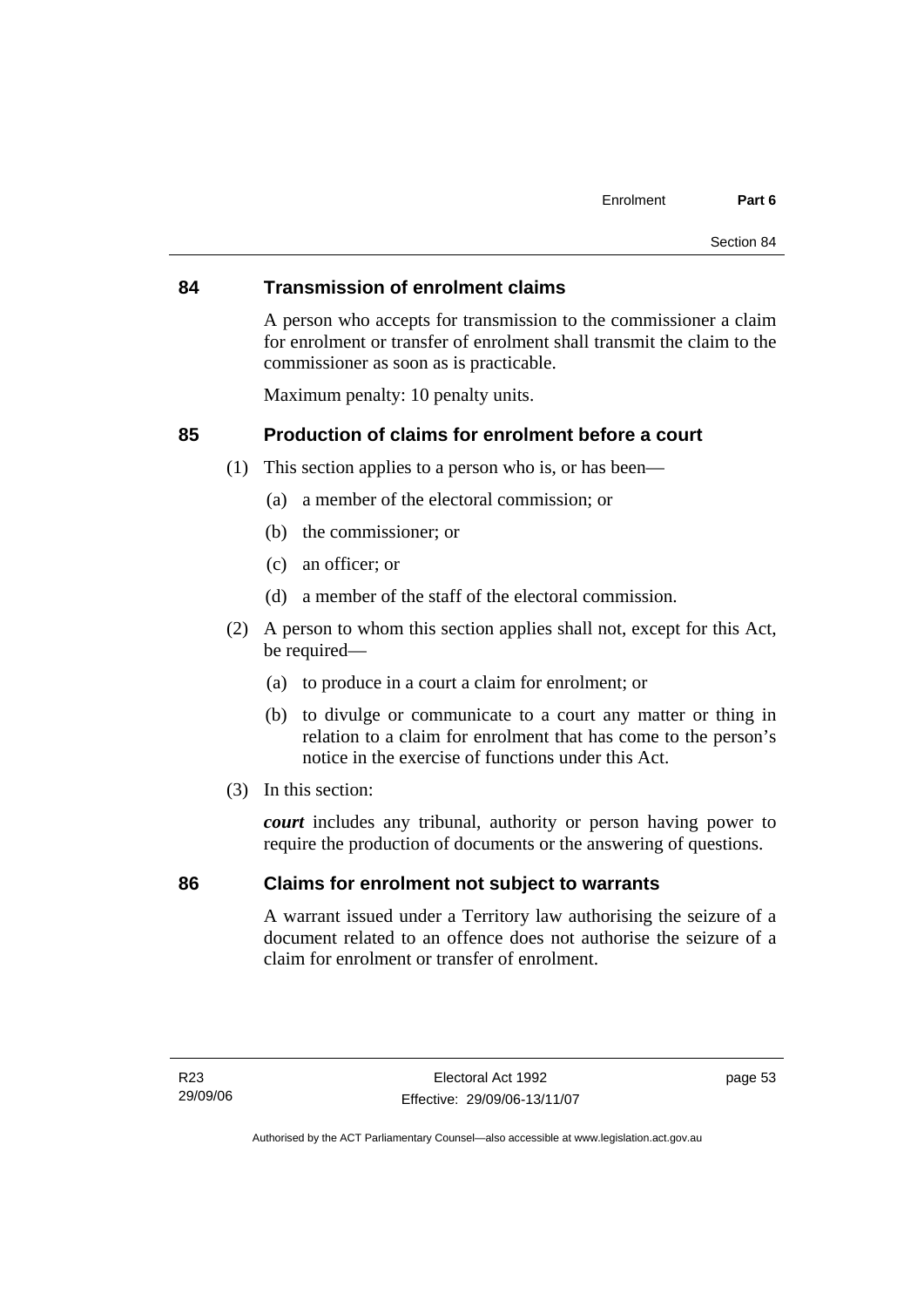#### **84 Transmission of enrolment claims**

A person who accepts for transmission to the commissioner a claim for enrolment or transfer of enrolment shall transmit the claim to the commissioner as soon as is practicable.

Maximum penalty: 10 penalty units.

### **85 Production of claims for enrolment before a court**

- (1) This section applies to a person who is, or has been—
	- (a) a member of the electoral commission; or
	- (b) the commissioner; or
	- (c) an officer; or
	- (d) a member of the staff of the electoral commission.
- (2) A person to whom this section applies shall not, except for this Act, be required—
	- (a) to produce in a court a claim for enrolment; or
	- (b) to divulge or communicate to a court any matter or thing in relation to a claim for enrolment that has come to the person's notice in the exercise of functions under this Act.
- (3) In this section:

*court* includes any tribunal, authority or person having power to require the production of documents or the answering of questions.

### **86 Claims for enrolment not subject to warrants**

A warrant issued under a Territory law authorising the seizure of a document related to an offence does not authorise the seizure of a claim for enrolment or transfer of enrolment.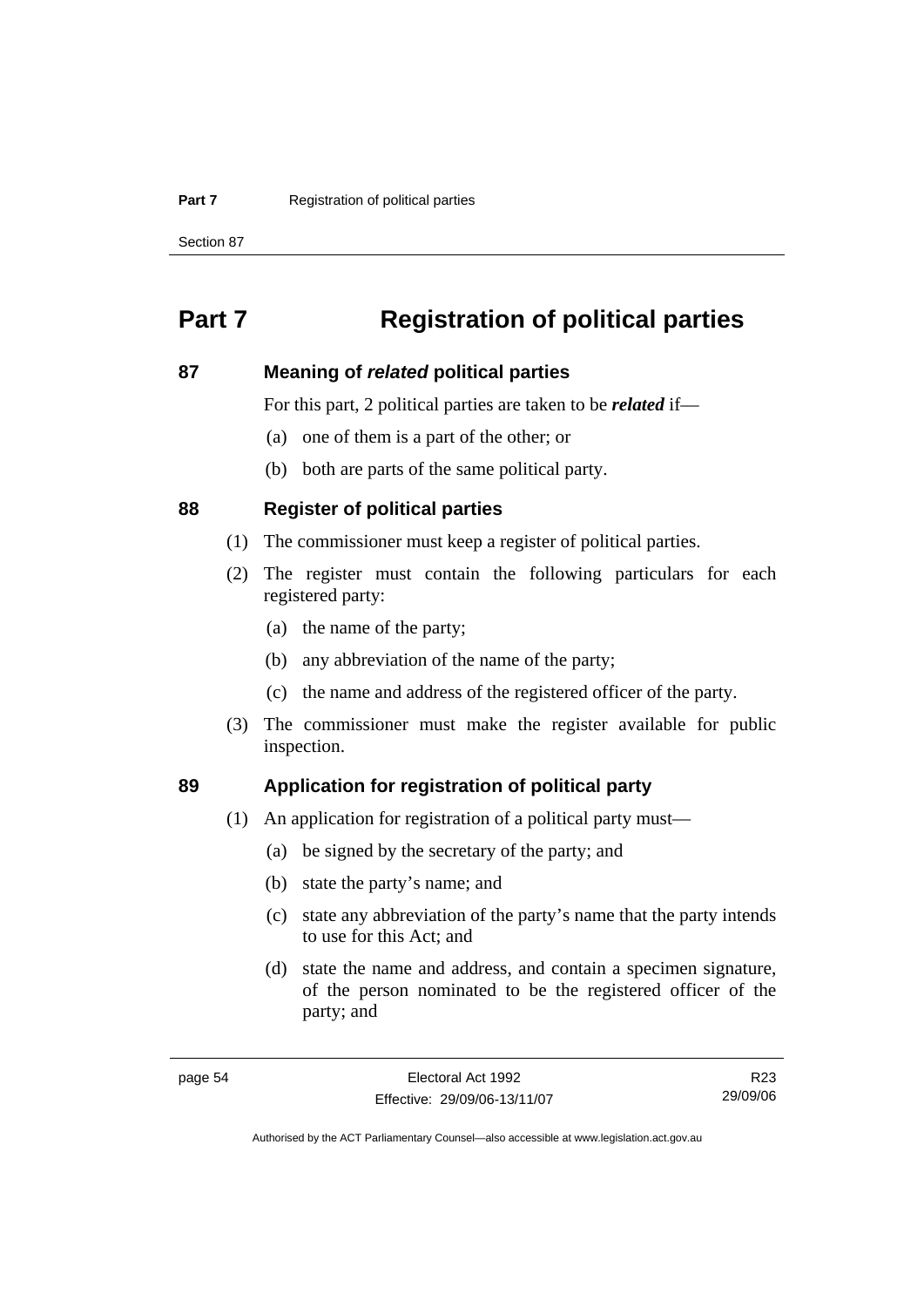#### **Part 7 Registration of political parties**

Section 87

## **Part 7 Registration of political parties**

#### **87 Meaning of** *related* **political parties**

For this part, 2 political parties are taken to be *related* if—

- (a) one of them is a part of the other; or
- (b) both are parts of the same political party.

#### **88 Register of political parties**

- (1) The commissioner must keep a register of political parties.
- (2) The register must contain the following particulars for each registered party:
	- (a) the name of the party;
	- (b) any abbreviation of the name of the party;
	- (c) the name and address of the registered officer of the party.
- (3) The commissioner must make the register available for public inspection.

### **89 Application for registration of political party**

- (1) An application for registration of a political party must—
	- (a) be signed by the secretary of the party; and
	- (b) state the party's name; and
	- (c) state any abbreviation of the party's name that the party intends to use for this Act; and
	- (d) state the name and address, and contain a specimen signature, of the person nominated to be the registered officer of the party; and

R23 29/09/06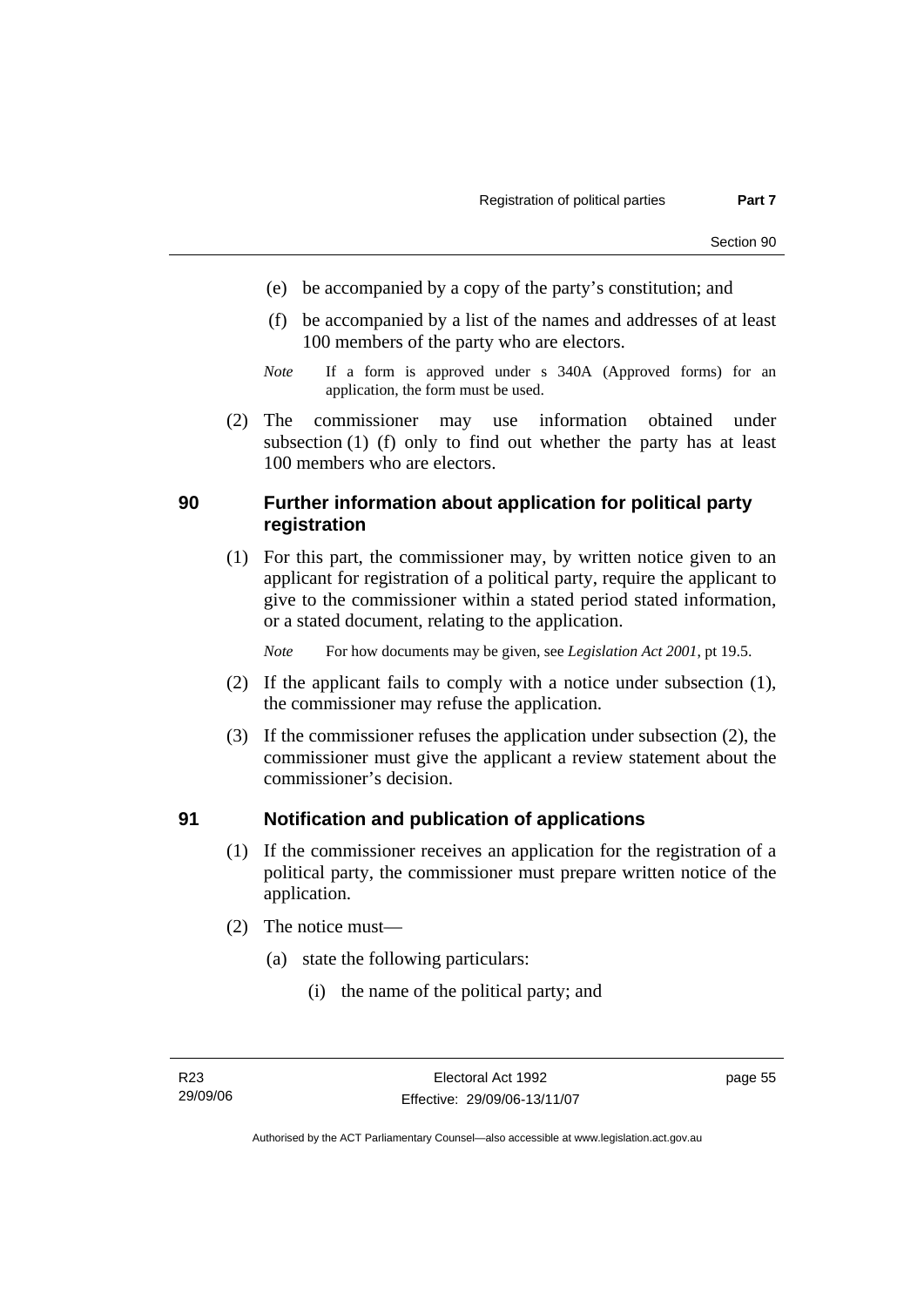- (e) be accompanied by a copy of the party's constitution; and
- (f) be accompanied by a list of the names and addresses of at least 100 members of the party who are electors.
- *Note* If a form is approved under s 340A (Approved forms) for an application, the form must be used.
- (2) The commissioner may use information obtained under subsection (1) (f) only to find out whether the party has at least 100 members who are electors.

### **90 Further information about application for political party registration**

 (1) For this part, the commissioner may, by written notice given to an applicant for registration of a political party, require the applicant to give to the commissioner within a stated period stated information, or a stated document, relating to the application.

*Note* For how documents may be given, see *Legislation Act 2001*, pt 19.5.

- (2) If the applicant fails to comply with a notice under subsection (1), the commissioner may refuse the application.
- (3) If the commissioner refuses the application under subsection (2), the commissioner must give the applicant a review statement about the commissioner's decision.

### **91 Notification and publication of applications**

- (1) If the commissioner receives an application for the registration of a political party, the commissioner must prepare written notice of the application.
- (2) The notice must—
	- (a) state the following particulars:
		- (i) the name of the political party; and

page 55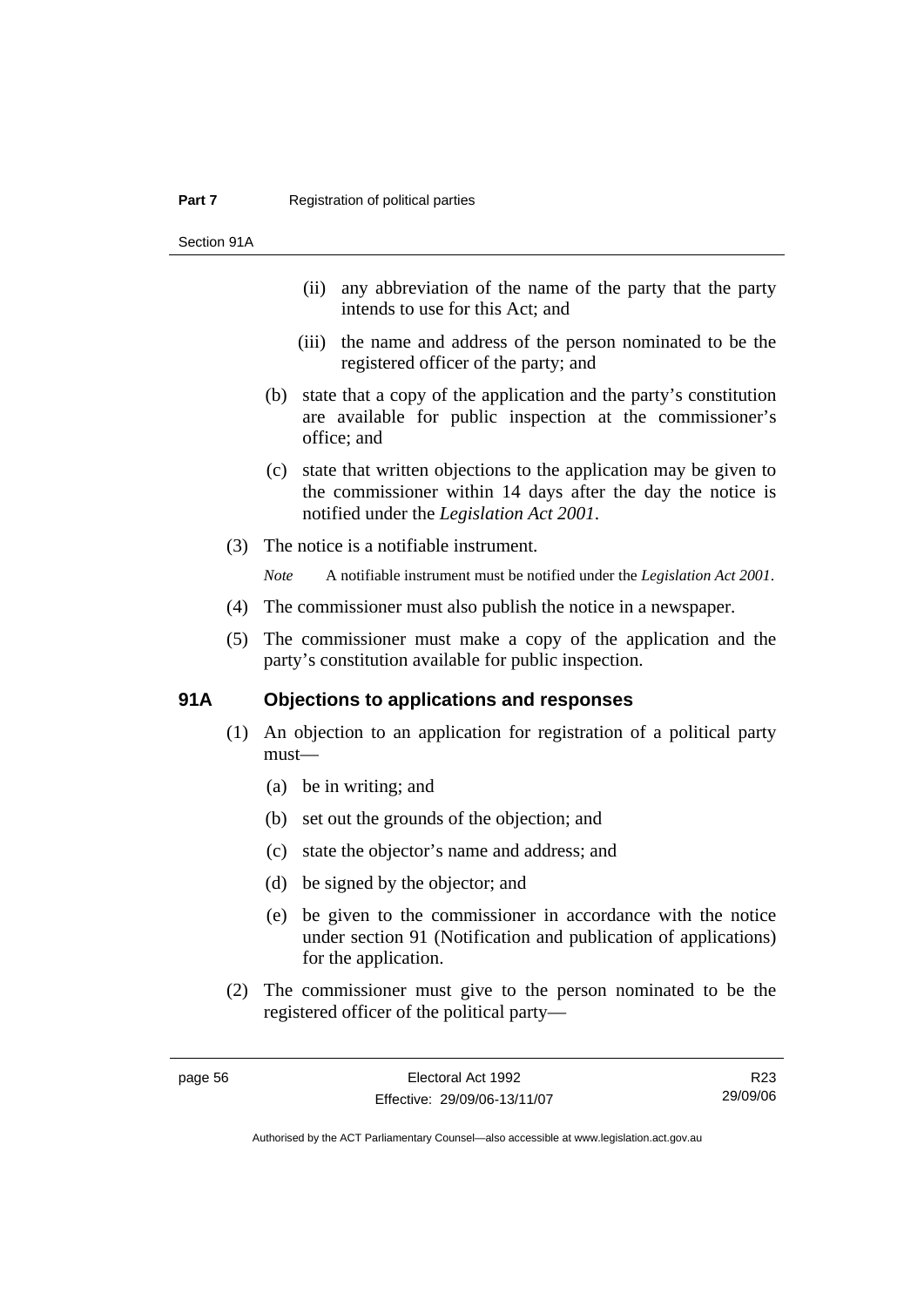Section 91A

- (ii) any abbreviation of the name of the party that the party intends to use for this Act; and
- (iii) the name and address of the person nominated to be the registered officer of the party; and
- (b) state that a copy of the application and the party's constitution are available for public inspection at the commissioner's office; and
- (c) state that written objections to the application may be given to the commissioner within 14 days after the day the notice is notified under the *Legislation Act 2001*.
- (3) The notice is a notifiable instrument.

*Note* A notifiable instrument must be notified under the *Legislation Act 2001*.

- (4) The commissioner must also publish the notice in a newspaper.
- (5) The commissioner must make a copy of the application and the party's constitution available for public inspection.

### **91A Objections to applications and responses**

- (1) An objection to an application for registration of a political party must—
	- (a) be in writing; and
	- (b) set out the grounds of the objection; and
	- (c) state the objector's name and address; and
	- (d) be signed by the objector; and
	- (e) be given to the commissioner in accordance with the notice under section 91 (Notification and publication of applications) for the application.
- (2) The commissioner must give to the person nominated to be the registered officer of the political party—

R23 29/09/06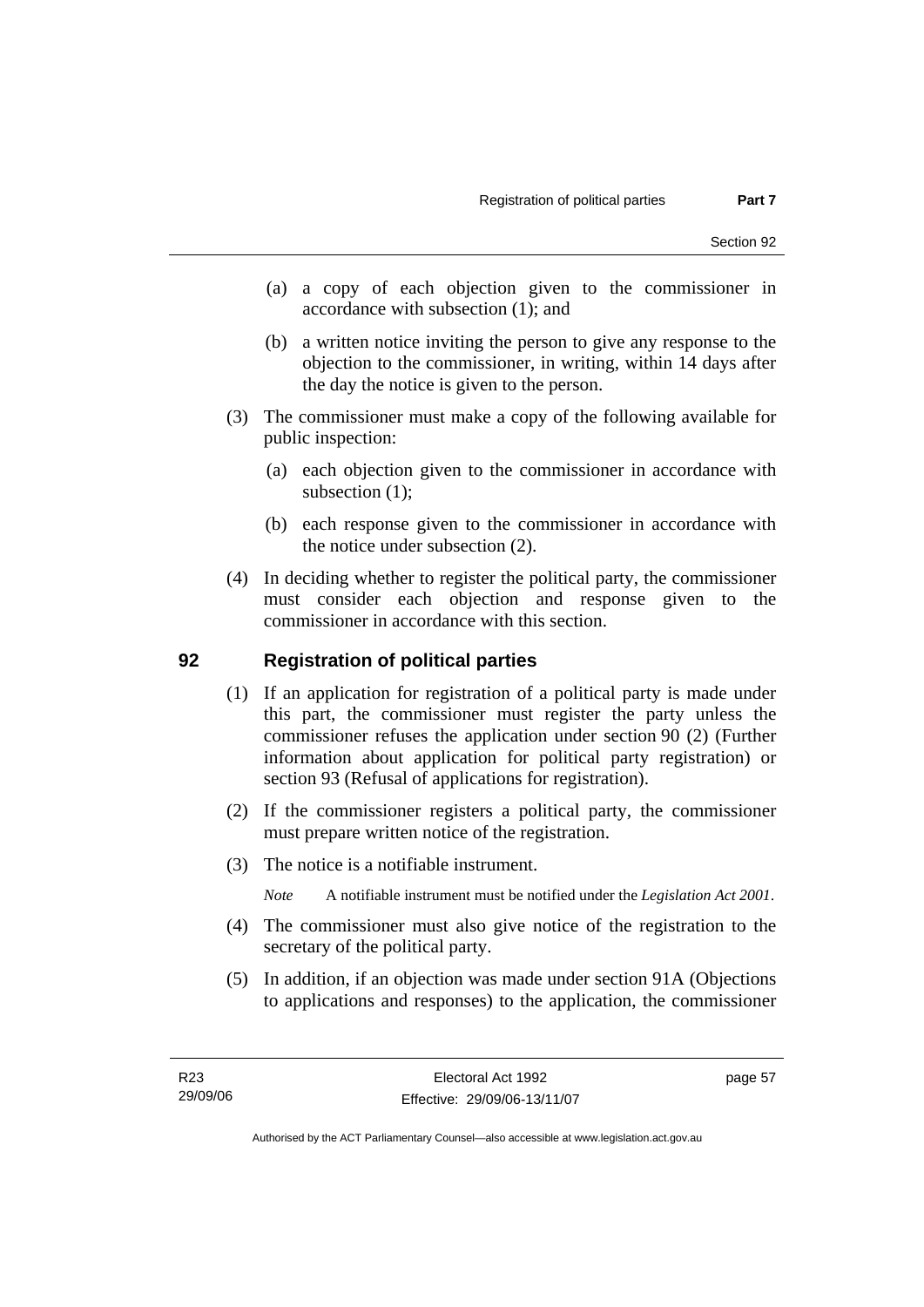- (a) a copy of each objection given to the commissioner in accordance with subsection (1); and
- (b) a written notice inviting the person to give any response to the objection to the commissioner, in writing, within 14 days after the day the notice is given to the person.
- (3) The commissioner must make a copy of the following available for public inspection:
	- (a) each objection given to the commissioner in accordance with subsection (1);
	- (b) each response given to the commissioner in accordance with the notice under subsection (2).
- (4) In deciding whether to register the political party, the commissioner must consider each objection and response given to the commissioner in accordance with this section.

### **92 Registration of political parties**

- (1) If an application for registration of a political party is made under this part, the commissioner must register the party unless the commissioner refuses the application under section 90 (2) (Further information about application for political party registration) or section 93 (Refusal of applications for registration).
- (2) If the commissioner registers a political party, the commissioner must prepare written notice of the registration.
- (3) The notice is a notifiable instrument.
	- *Note* A notifiable instrument must be notified under the *Legislation Act 2001*.
- (4) The commissioner must also give notice of the registration to the secretary of the political party.
- (5) In addition, if an objection was made under section 91A (Objections to applications and responses) to the application, the commissioner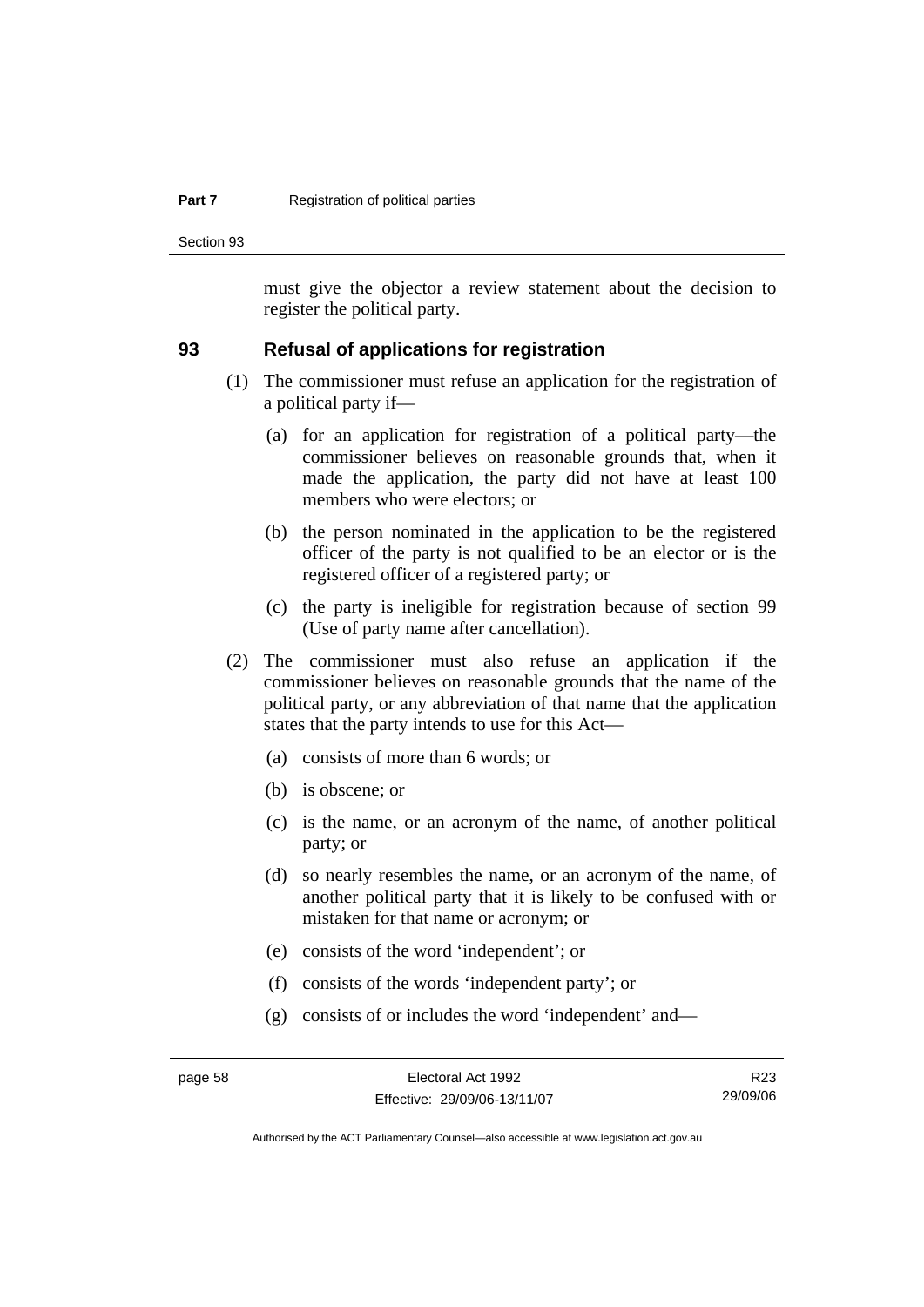#### **Part 7 Registration of political parties**

Section 93

must give the objector a review statement about the decision to register the political party.

### **93 Refusal of applications for registration**

- (1) The commissioner must refuse an application for the registration of a political party if—
	- (a) for an application for registration of a political party—the commissioner believes on reasonable grounds that, when it made the application, the party did not have at least 100 members who were electors; or
	- (b) the person nominated in the application to be the registered officer of the party is not qualified to be an elector or is the registered officer of a registered party; or
	- (c) the party is ineligible for registration because of section 99 (Use of party name after cancellation).
- (2) The commissioner must also refuse an application if the commissioner believes on reasonable grounds that the name of the political party, or any abbreviation of that name that the application states that the party intends to use for this Act—
	- (a) consists of more than 6 words; or
	- (b) is obscene; or
	- (c) is the name, or an acronym of the name, of another political party; or
	- (d) so nearly resembles the name, or an acronym of the name, of another political party that it is likely to be confused with or mistaken for that name or acronym; or
	- (e) consists of the word 'independent'; or
	- (f) consists of the words 'independent party'; or
	- (g) consists of or includes the word 'independent' and—

R23 29/09/06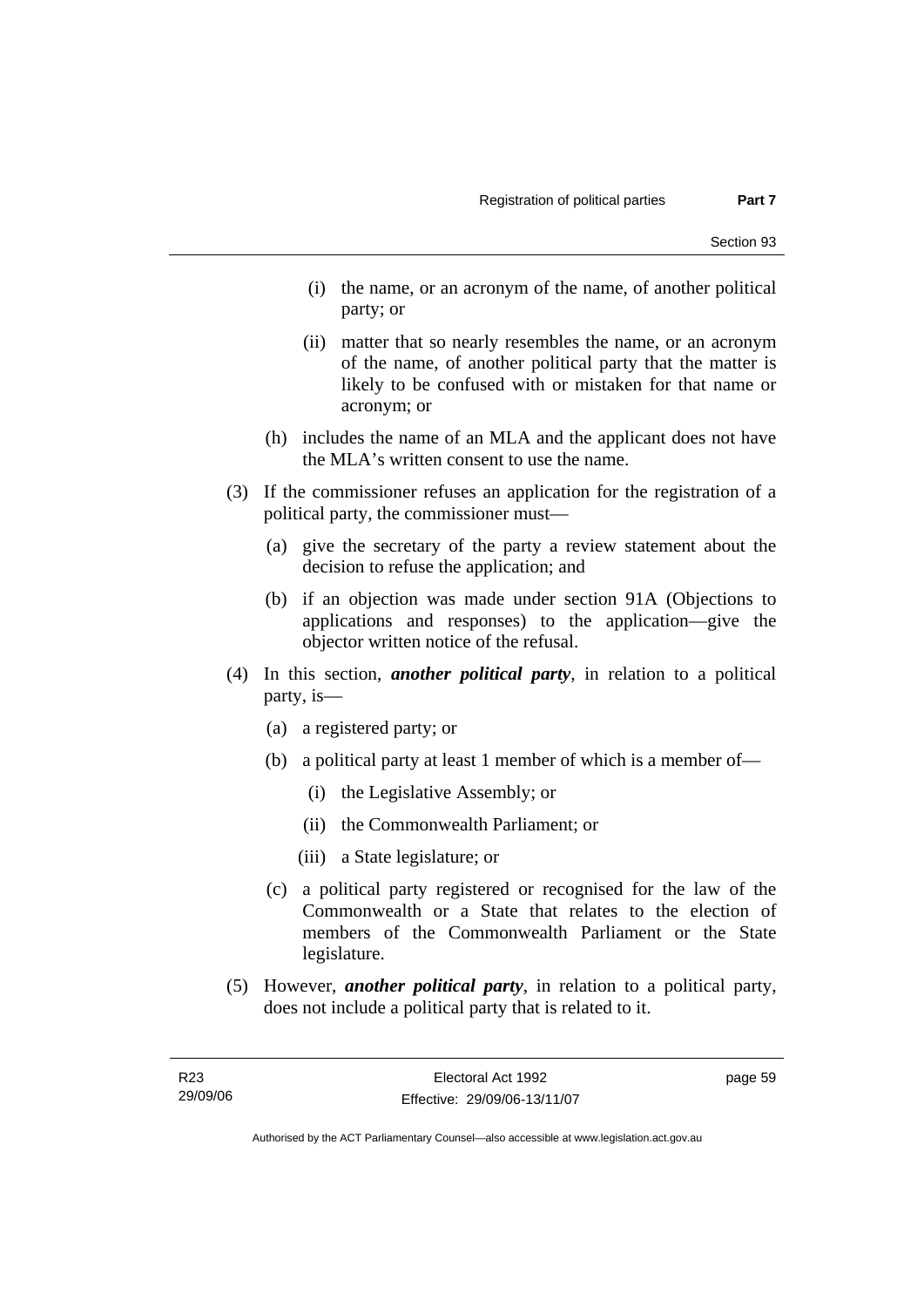- (i) the name, or an acronym of the name, of another political party; or
- (ii) matter that so nearly resembles the name, or an acronym of the name, of another political party that the matter is likely to be confused with or mistaken for that name or acronym; or
- (h) includes the name of an MLA and the applicant does not have the MLA's written consent to use the name.
- (3) If the commissioner refuses an application for the registration of a political party, the commissioner must—
	- (a) give the secretary of the party a review statement about the decision to refuse the application; and
	- (b) if an objection was made under section 91A (Objections to applications and responses) to the application—give the objector written notice of the refusal.
- (4) In this section, *another political party*, in relation to a political party, is—
	- (a) a registered party; or
	- (b) a political party at least 1 member of which is a member of—
		- (i) the Legislative Assembly; or
		- (ii) the Commonwealth Parliament; or
		- (iii) a State legislature; or
	- (c) a political party registered or recognised for the law of the Commonwealth or a State that relates to the election of members of the Commonwealth Parliament or the State legislature.
- (5) However, *another political party*, in relation to a political party, does not include a political party that is related to it.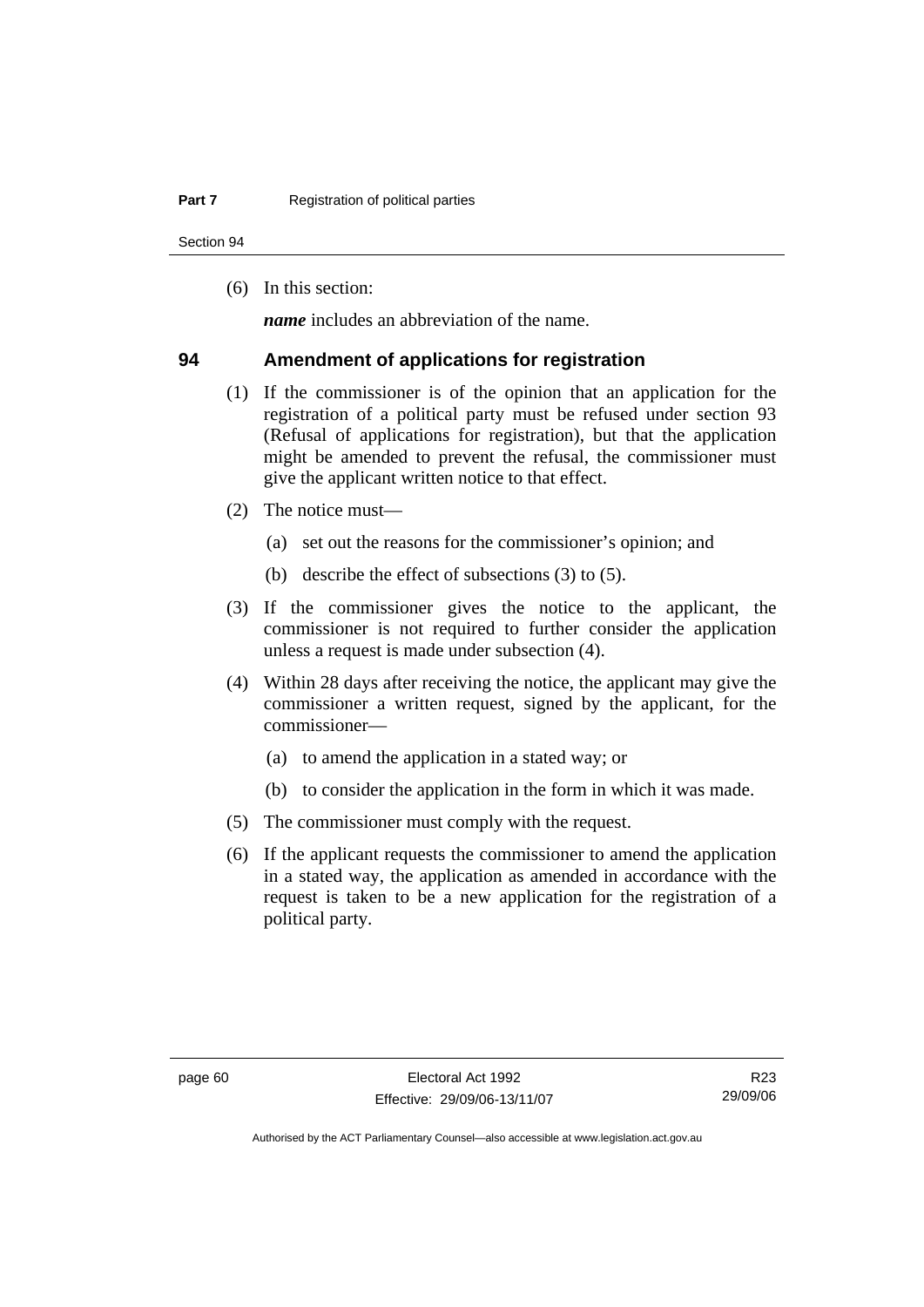Section 94

(6) In this section:

*name* includes an abbreviation of the name.

#### **94 Amendment of applications for registration**

- (1) If the commissioner is of the opinion that an application for the registration of a political party must be refused under section 93 (Refusal of applications for registration), but that the application might be amended to prevent the refusal, the commissioner must give the applicant written notice to that effect.
- (2) The notice must—
	- (a) set out the reasons for the commissioner's opinion; and
	- (b) describe the effect of subsections (3) to (5).
- (3) If the commissioner gives the notice to the applicant, the commissioner is not required to further consider the application unless a request is made under subsection (4).
- (4) Within 28 days after receiving the notice, the applicant may give the commissioner a written request, signed by the applicant, for the commissioner—
	- (a) to amend the application in a stated way; or
	- (b) to consider the application in the form in which it was made.
- (5) The commissioner must comply with the request.
- (6) If the applicant requests the commissioner to amend the application in a stated way, the application as amended in accordance with the request is taken to be a new application for the registration of a political party.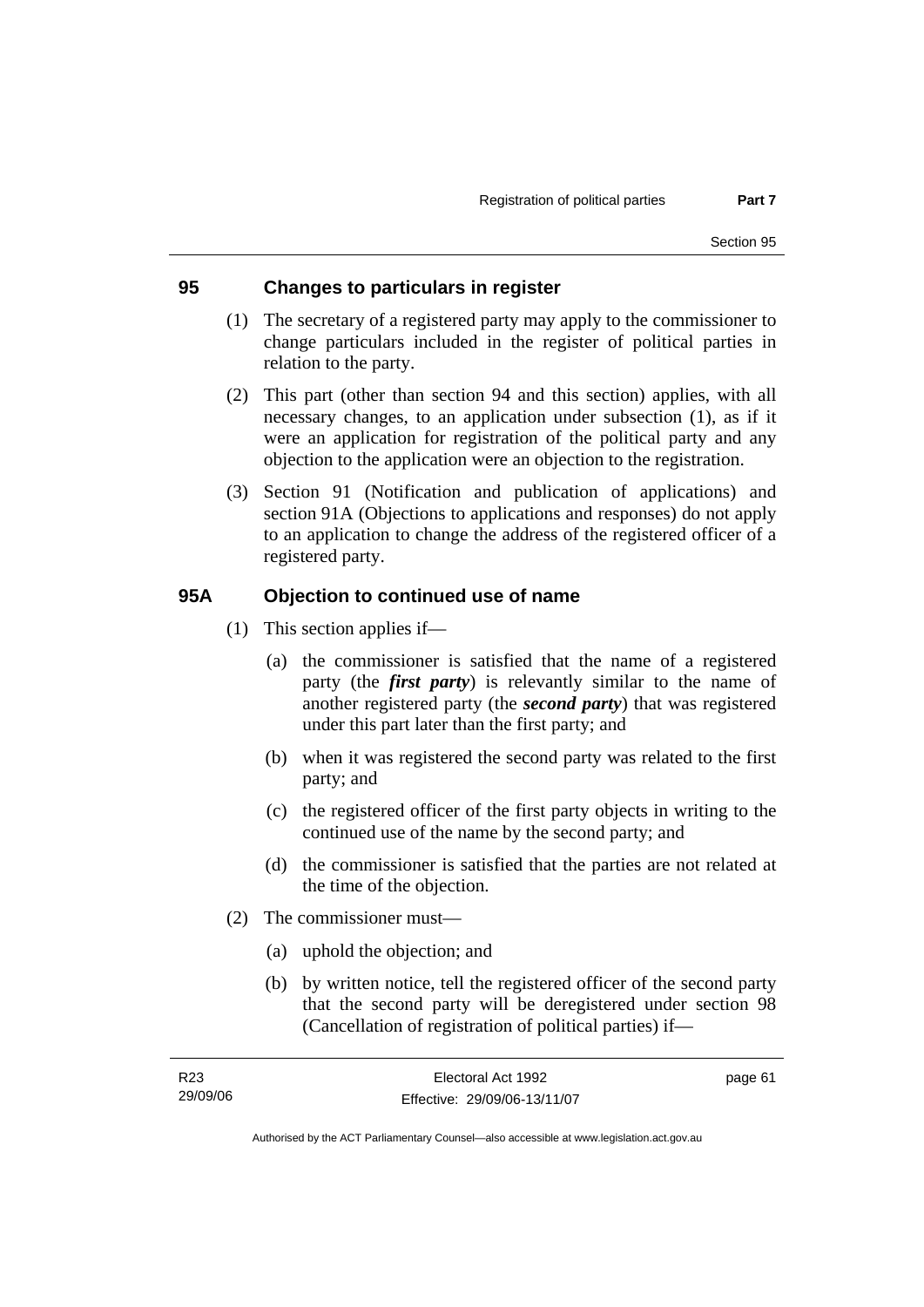### **95 Changes to particulars in register**

- (1) The secretary of a registered party may apply to the commissioner to change particulars included in the register of political parties in relation to the party.
- (2) This part (other than section 94 and this section) applies, with all necessary changes, to an application under subsection (1), as if it were an application for registration of the political party and any objection to the application were an objection to the registration.
- (3) Section 91 (Notification and publication of applications) and section 91A (Objections to applications and responses) do not apply to an application to change the address of the registered officer of a registered party.

### **95A Objection to continued use of name**

- (1) This section applies if—
	- (a) the commissioner is satisfied that the name of a registered party (the *first party*) is relevantly similar to the name of another registered party (the *second party*) that was registered under this part later than the first party; and
	- (b) when it was registered the second party was related to the first party; and
	- (c) the registered officer of the first party objects in writing to the continued use of the name by the second party; and
	- (d) the commissioner is satisfied that the parties are not related at the time of the objection.
- (2) The commissioner must—
	- (a) uphold the objection; and
	- (b) by written notice, tell the registered officer of the second party that the second party will be deregistered under section 98 (Cancellation of registration of political parties) if—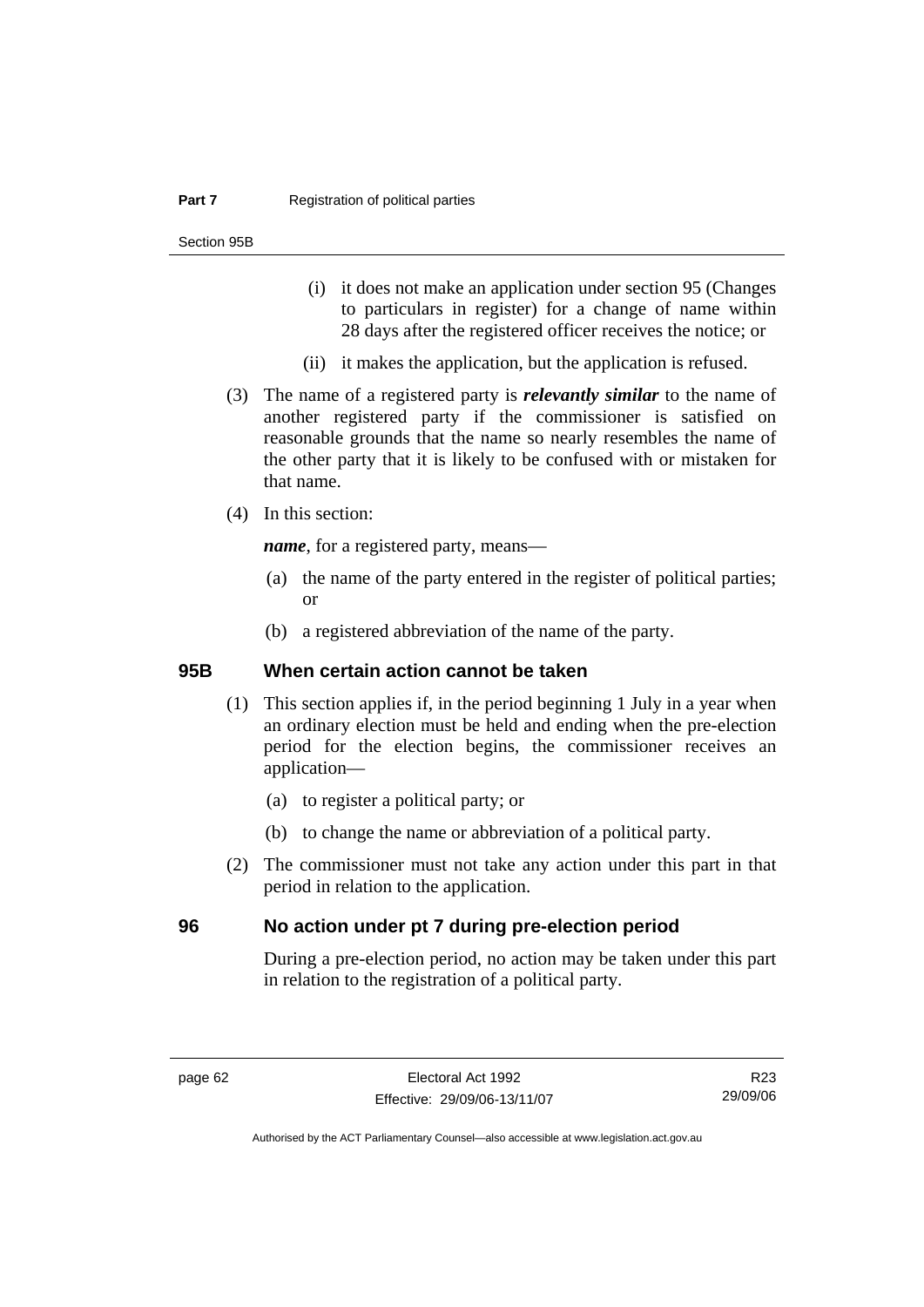#### **Part 7 Registration of political parties**

Section 95B

- (i) it does not make an application under section 95 (Changes to particulars in register) for a change of name within 28 days after the registered officer receives the notice; or
- (ii) it makes the application, but the application is refused.
- (3) The name of a registered party is *relevantly similar* to the name of another registered party if the commissioner is satisfied on reasonable grounds that the name so nearly resembles the name of the other party that it is likely to be confused with or mistaken for that name.
- (4) In this section:

*name*, for a registered party, means—

- (a) the name of the party entered in the register of political parties; or
- (b) a registered abbreviation of the name of the party.

#### **95B When certain action cannot be taken**

- (1) This section applies if, in the period beginning 1 July in a year when an ordinary election must be held and ending when the pre-election period for the election begins, the commissioner receives an application—
	- (a) to register a political party; or
	- (b) to change the name or abbreviation of a political party.
- (2) The commissioner must not take any action under this part in that period in relation to the application.

### **96 No action under pt 7 during pre-election period**

During a pre-election period, no action may be taken under this part in relation to the registration of a political party.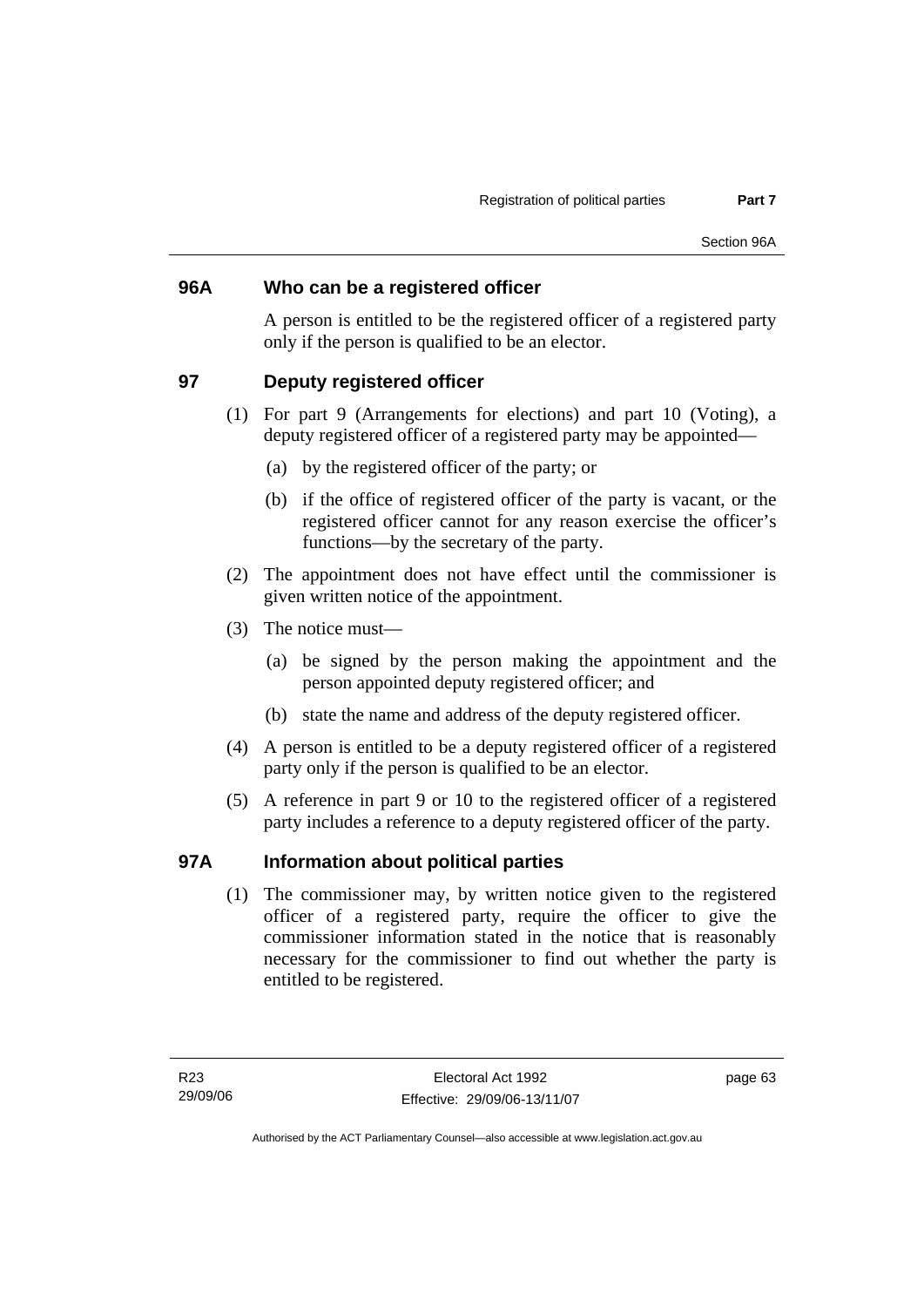### **96A Who can be a registered officer**

A person is entitled to be the registered officer of a registered party only if the person is qualified to be an elector.

### **97 Deputy registered officer**

- (1) For part 9 (Arrangements for elections) and part 10 (Voting), a deputy registered officer of a registered party may be appointed—
	- (a) by the registered officer of the party; or
	- (b) if the office of registered officer of the party is vacant, or the registered officer cannot for any reason exercise the officer's functions—by the secretary of the party.
- (2) The appointment does not have effect until the commissioner is given written notice of the appointment.
- (3) The notice must—
	- (a) be signed by the person making the appointment and the person appointed deputy registered officer; and
	- (b) state the name and address of the deputy registered officer.
- (4) A person is entitled to be a deputy registered officer of a registered party only if the person is qualified to be an elector.
- (5) A reference in part 9 or 10 to the registered officer of a registered party includes a reference to a deputy registered officer of the party.

### **97A Information about political parties**

 (1) The commissioner may, by written notice given to the registered officer of a registered party, require the officer to give the commissioner information stated in the notice that is reasonably necessary for the commissioner to find out whether the party is entitled to be registered.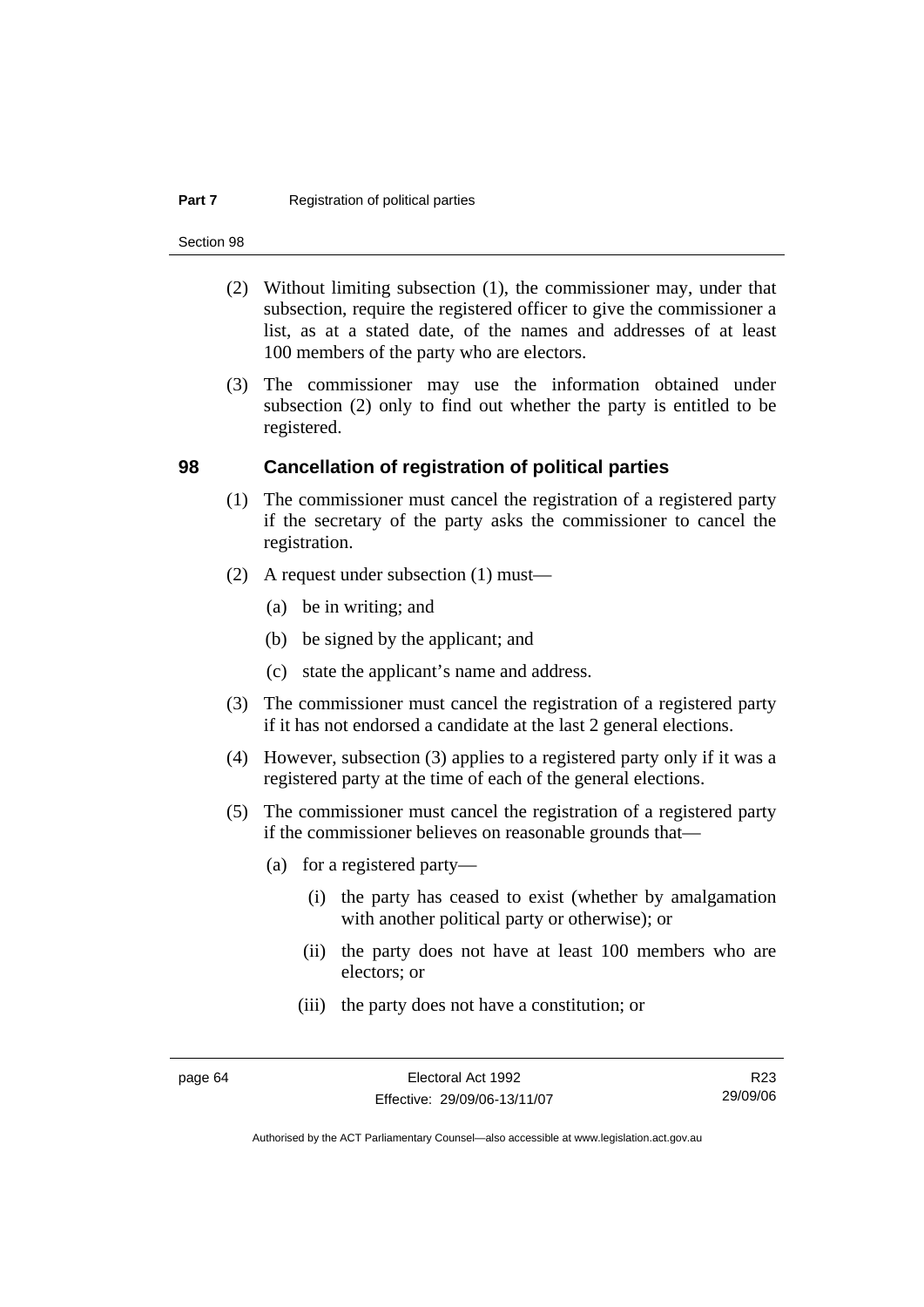#### **Part 7 Registration of political parties**

Section 98

- (2) Without limiting subsection (1), the commissioner may, under that subsection, require the registered officer to give the commissioner a list, as at a stated date, of the names and addresses of at least 100 members of the party who are electors.
- (3) The commissioner may use the information obtained under subsection (2) only to find out whether the party is entitled to be registered.

#### **98 Cancellation of registration of political parties**

- (1) The commissioner must cancel the registration of a registered party if the secretary of the party asks the commissioner to cancel the registration.
- (2) A request under subsection (1) must—
	- (a) be in writing; and
	- (b) be signed by the applicant; and
	- (c) state the applicant's name and address.
- (3) The commissioner must cancel the registration of a registered party if it has not endorsed a candidate at the last 2 general elections.
- (4) However, subsection (3) applies to a registered party only if it was a registered party at the time of each of the general elections.
- (5) The commissioner must cancel the registration of a registered party if the commissioner believes on reasonable grounds that—
	- (a) for a registered party—
		- (i) the party has ceased to exist (whether by amalgamation with another political party or otherwise); or
		- (ii) the party does not have at least 100 members who are electors; or
		- (iii) the party does not have a constitution; or

R23 29/09/06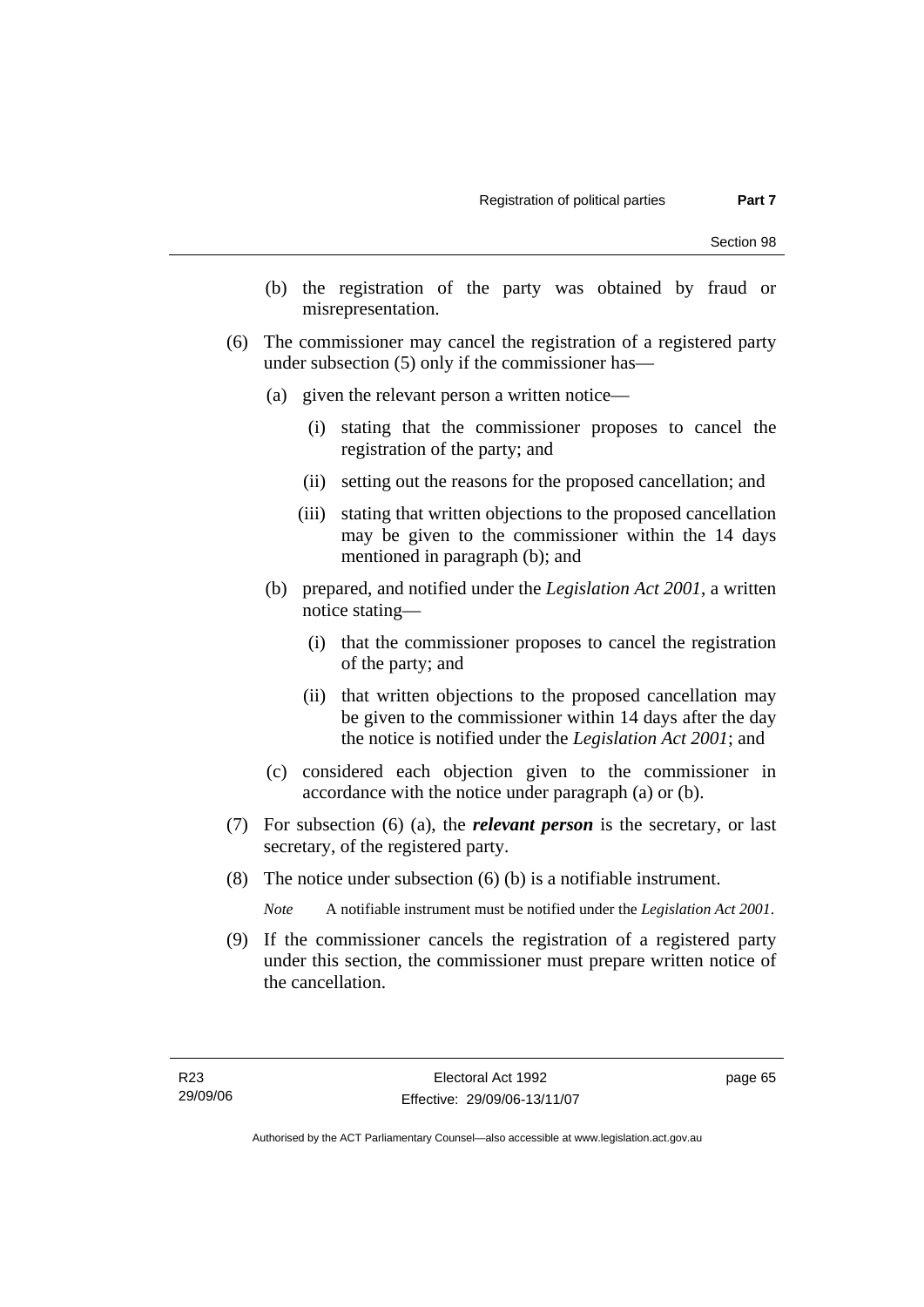- (b) the registration of the party was obtained by fraud or misrepresentation.
- (6) The commissioner may cancel the registration of a registered party under subsection (5) only if the commissioner has—
	- (a) given the relevant person a written notice—
		- (i) stating that the commissioner proposes to cancel the registration of the party; and
		- (ii) setting out the reasons for the proposed cancellation; and
		- (iii) stating that written objections to the proposed cancellation may be given to the commissioner within the 14 days mentioned in paragraph (b); and
	- (b) prepared, and notified under the *Legislation Act 2001*, a written notice stating—
		- (i) that the commissioner proposes to cancel the registration of the party; and
		- (ii) that written objections to the proposed cancellation may be given to the commissioner within 14 days after the day the notice is notified under the *Legislation Act 2001*; and
	- (c) considered each objection given to the commissioner in accordance with the notice under paragraph (a) or (b).
- (7) For subsection (6) (a), the *relevant person* is the secretary, or last secretary, of the registered party.
- (8) The notice under subsection (6) (b) is a notifiable instrument.

*Note* A notifiable instrument must be notified under the *Legislation Act 2001*.

 (9) If the commissioner cancels the registration of a registered party under this section, the commissioner must prepare written notice of the cancellation.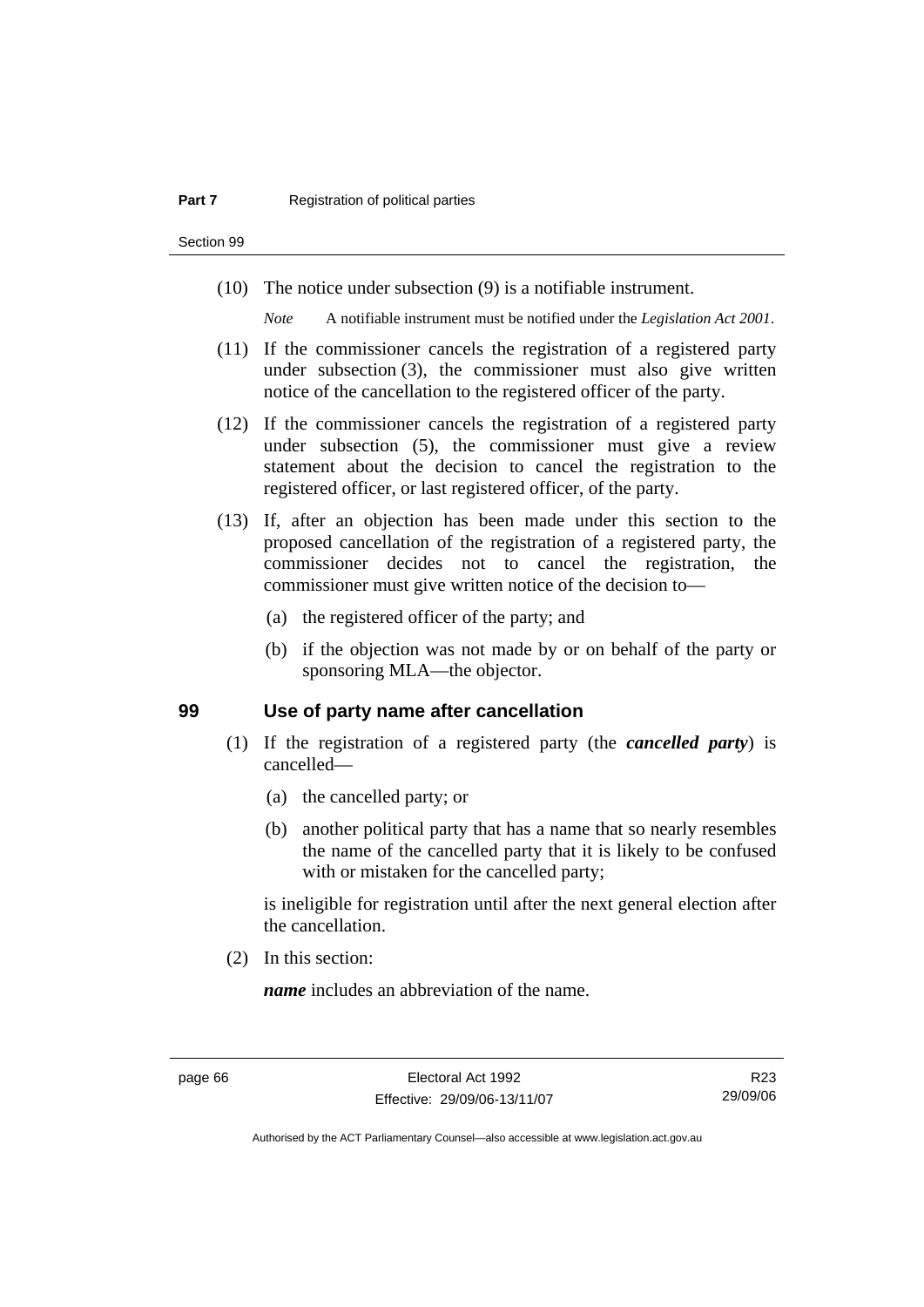Section 99

(10) The notice under subsection (9) is a notifiable instrument.

*Note* A notifiable instrument must be notified under the *Legislation Act 2001*.

- (11) If the commissioner cancels the registration of a registered party under subsection (3), the commissioner must also give written notice of the cancellation to the registered officer of the party.
- (12) If the commissioner cancels the registration of a registered party under subsection (5), the commissioner must give a review statement about the decision to cancel the registration to the registered officer, or last registered officer, of the party.
- (13) If, after an objection has been made under this section to the proposed cancellation of the registration of a registered party, the commissioner decides not to cancel the registration, the commissioner must give written notice of the decision to—
	- (a) the registered officer of the party; and
	- (b) if the objection was not made by or on behalf of the party or sponsoring MLA—the objector.

#### **99 Use of party name after cancellation**

- (1) If the registration of a registered party (the *cancelled party*) is cancelled—
	- (a) the cancelled party; or
	- (b) another political party that has a name that so nearly resembles the name of the cancelled party that it is likely to be confused with or mistaken for the cancelled party;

is ineligible for registration until after the next general election after the cancellation.

(2) In this section:

*name* includes an abbreviation of the name.

R23 29/09/06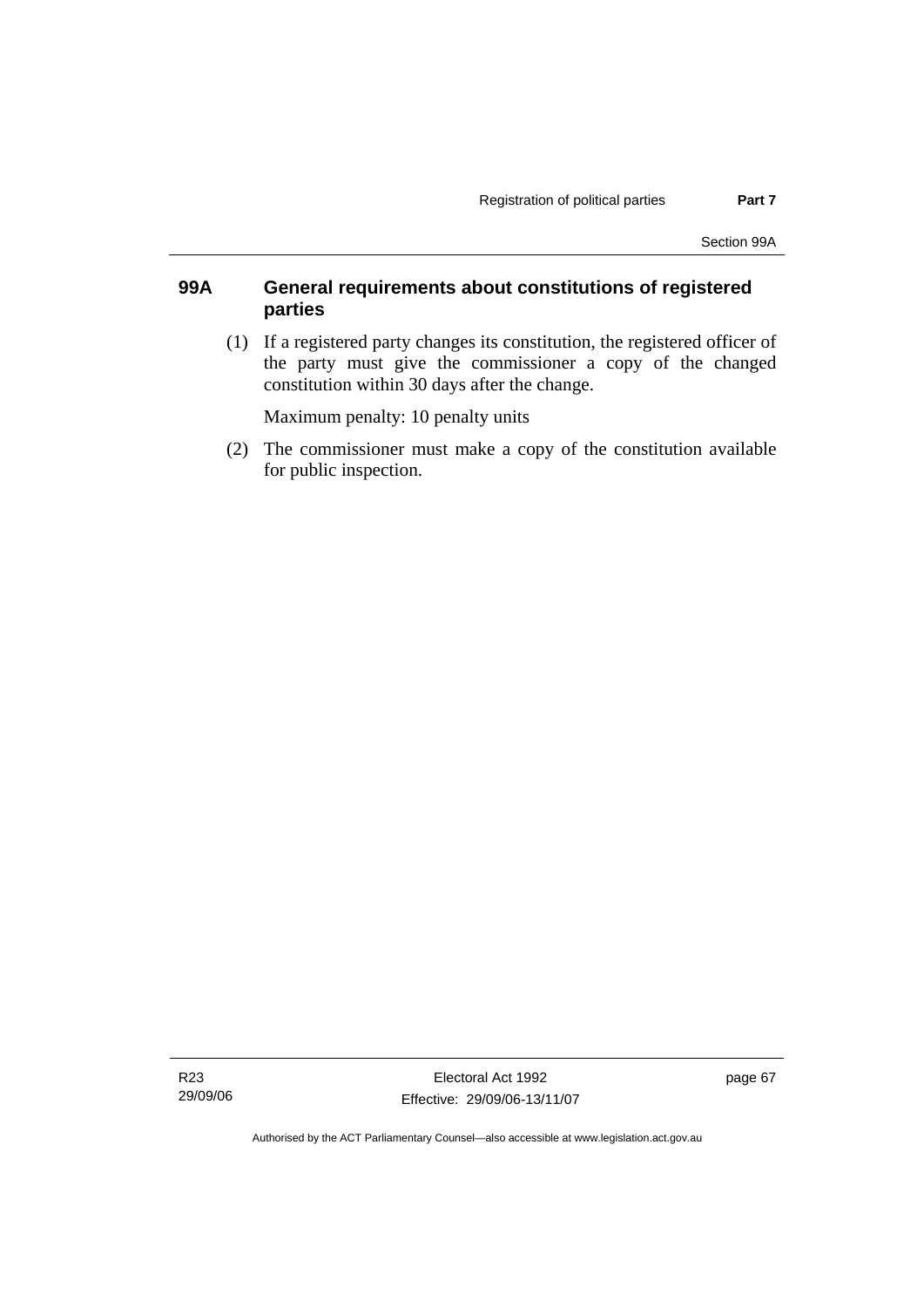### **99A General requirements about constitutions of registered parties**

 (1) If a registered party changes its constitution, the registered officer of the party must give the commissioner a copy of the changed constitution within 30 days after the change.

Maximum penalty: 10 penalty units

 (2) The commissioner must make a copy of the constitution available for public inspection.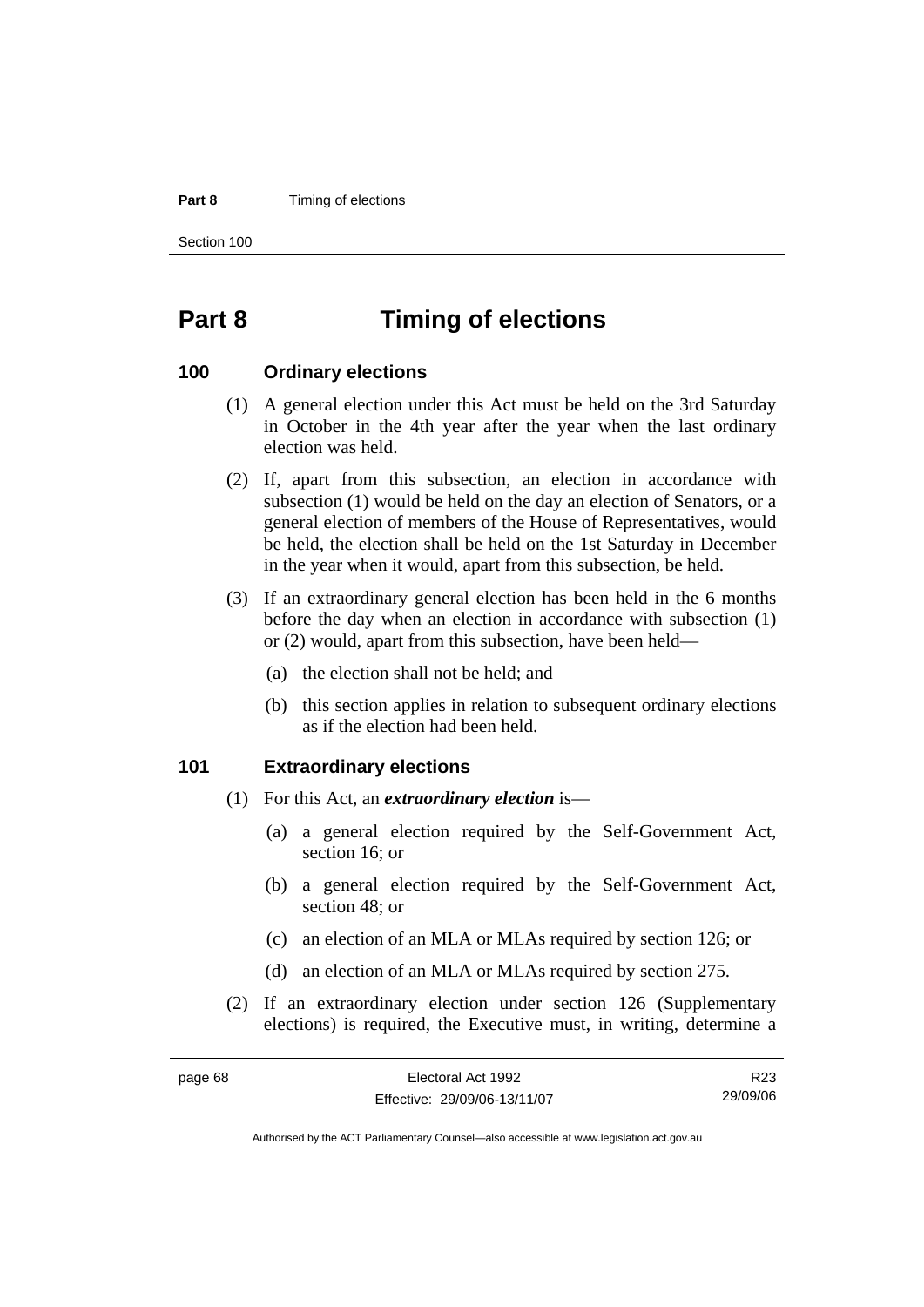#### **Part 8 Timing of elections**

Section 100

page 68

# **Part 8 Timing of elections**

#### **100 Ordinary elections**

- (1) A general election under this Act must be held on the 3rd Saturday in October in the 4th year after the year when the last ordinary election was held.
- (2) If, apart from this subsection, an election in accordance with subsection (1) would be held on the day an election of Senators, or a general election of members of the House of Representatives, would be held, the election shall be held on the 1st Saturday in December in the year when it would, apart from this subsection, be held.
- (3) If an extraordinary general election has been held in the 6 months before the day when an election in accordance with subsection (1) or (2) would, apart from this subsection, have been held—
	- (a) the election shall not be held; and
	- (b) this section applies in relation to subsequent ordinary elections as if the election had been held.

#### **101 Extraordinary elections**

- (1) For this Act, an *extraordinary election* is—
	- (a) a general election required by the Self-Government Act, section 16; or
	- (b) a general election required by the Self-Government Act, section 48; or
	- (c) an election of an MLA or MLAs required by section 126; or
	- (d) an election of an MLA or MLAs required by section 275.
- (2) If an extraordinary election under section 126 (Supplementary elections) is required, the Executive must, in writing, determine a

| Electoral Act 1992           | R23      |
|------------------------------|----------|
| Effective: 29/09/06-13/11/07 | 29/09/06 |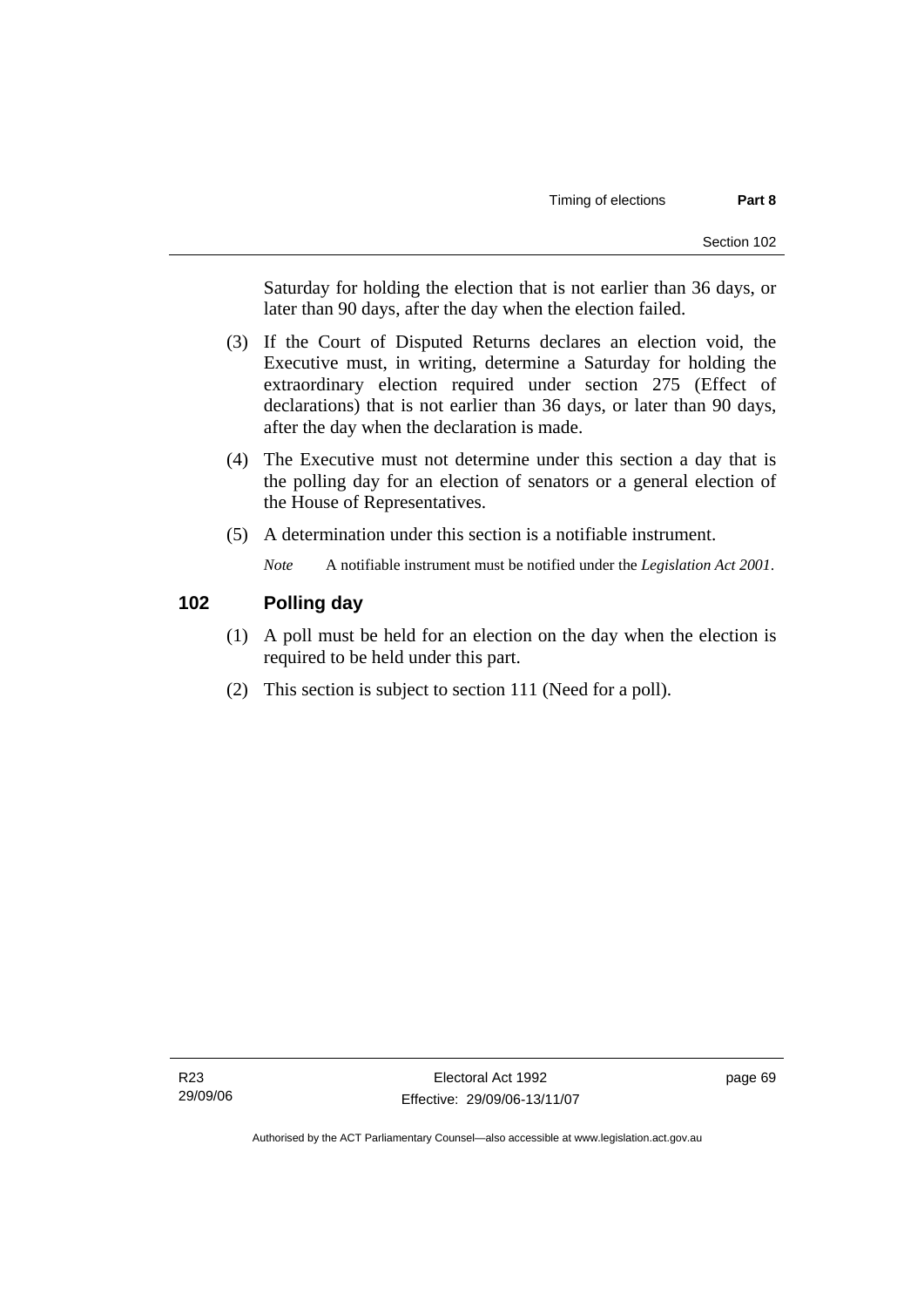Saturday for holding the election that is not earlier than 36 days, or later than 90 days, after the day when the election failed.

- (3) If the Court of Disputed Returns declares an election void, the Executive must, in writing, determine a Saturday for holding the extraordinary election required under section 275 (Effect of declarations) that is not earlier than 36 days, or later than 90 days, after the day when the declaration is made.
- (4) The Executive must not determine under this section a day that is the polling day for an election of senators or a general election of the House of Representatives.
- (5) A determination under this section is a notifiable instrument.

*Note* A notifiable instrument must be notified under the *Legislation Act 2001*.

### **102 Polling day**

- (1) A poll must be held for an election on the day when the election is required to be held under this part.
- (2) This section is subject to section 111 (Need for a poll).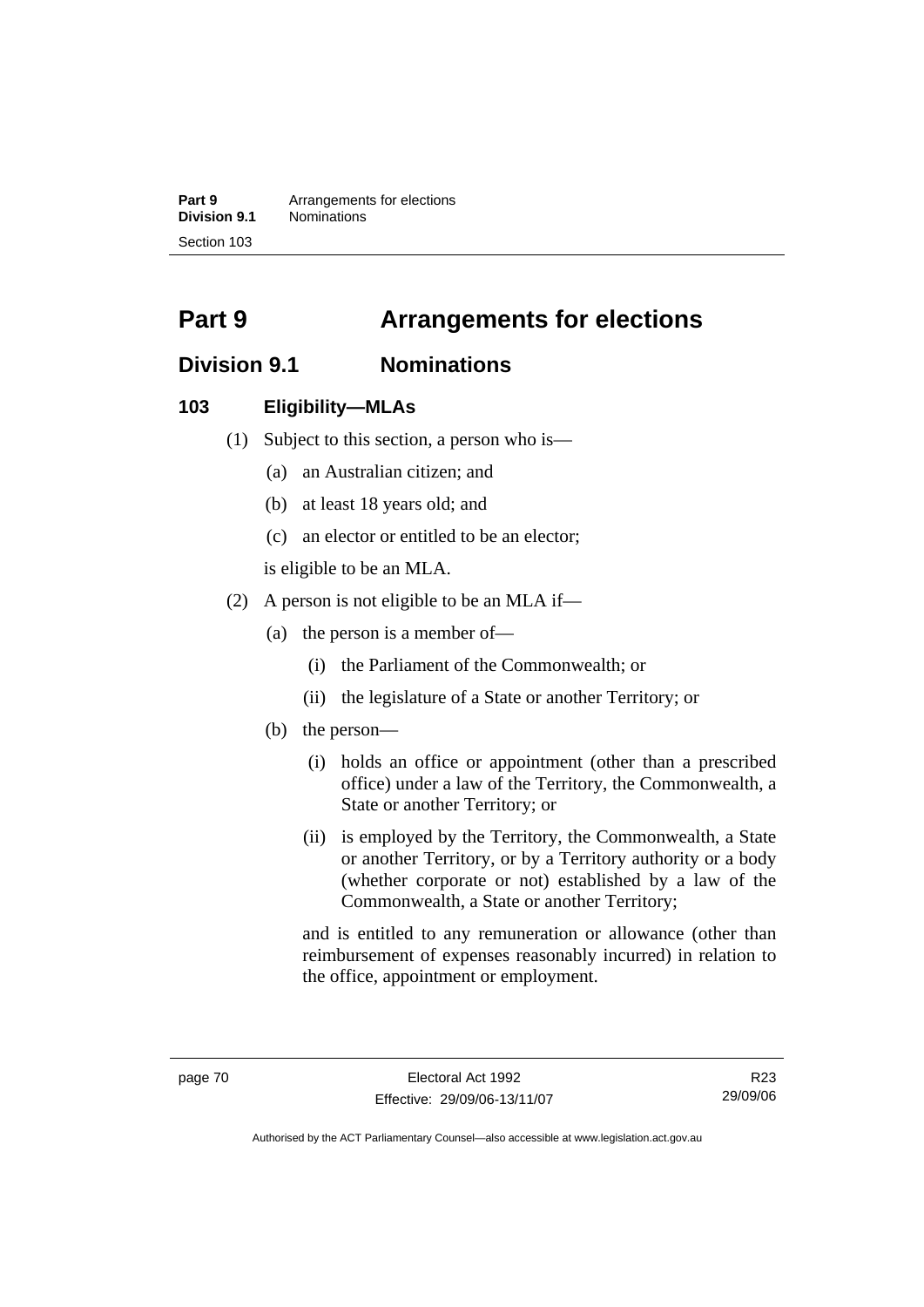**Part 9 Arrangements for elections Division 9.1** Nominations Section 103

# **Part 9 Arrangements for elections**

# **Division 9.1 Nominations**

### **103 Eligibility—MLAs**

- (1) Subject to this section, a person who is—
	- (a) an Australian citizen; and
	- (b) at least 18 years old; and
	- (c) an elector or entitled to be an elector;

is eligible to be an MLA.

- (2) A person is not eligible to be an MLA if—
	- (a) the person is a member of—
		- (i) the Parliament of the Commonwealth; or
		- (ii) the legislature of a State or another Territory; or
	- (b) the person—
		- (i) holds an office or appointment (other than a prescribed office) under a law of the Territory, the Commonwealth, a State or another Territory; or
		- (ii) is employed by the Territory, the Commonwealth, a State or another Territory, or by a Territory authority or a body (whether corporate or not) established by a law of the Commonwealth, a State or another Territory;

and is entitled to any remuneration or allowance (other than reimbursement of expenses reasonably incurred) in relation to the office, appointment or employment.

R23 29/09/06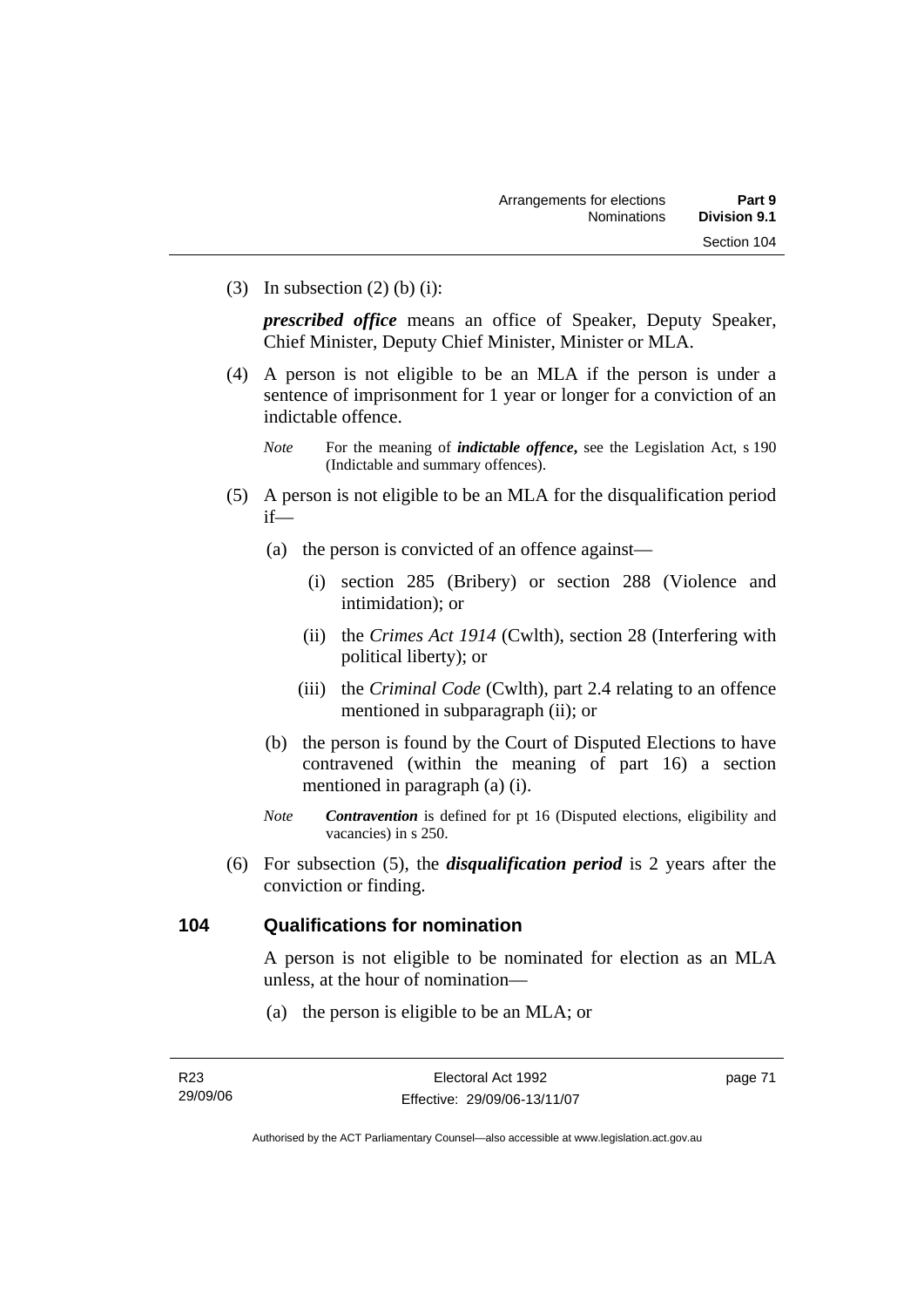(3) In subsection  $(2)$  (b) (i):

*prescribed office* means an office of Speaker, Deputy Speaker, Chief Minister, Deputy Chief Minister, Minister or MLA.

- (4) A person is not eligible to be an MLA if the person is under a sentence of imprisonment for 1 year or longer for a conviction of an indictable offence.
	- *Note* For the meaning of *indictable offence*, see the Legislation Act, s 190 (Indictable and summary offences).
- (5) A person is not eligible to be an MLA for the disqualification period if—
	- (a) the person is convicted of an offence against—
		- (i) section 285 (Bribery) or section 288 (Violence and intimidation); or
		- (ii) the *Crimes Act 1914* (Cwlth), section 28 (Interfering with political liberty); or
		- (iii) the *Criminal Code* (Cwlth), part 2.4 relating to an offence mentioned in subparagraph (ii); or
	- (b) the person is found by the Court of Disputed Elections to have contravened (within the meaning of part 16) a section mentioned in paragraph (a) (i).
	- *Note Contravention* is defined for pt 16 (Disputed elections, eligibility and vacancies) in s 250.
- (6) For subsection (5), the *disqualification period* is 2 years after the conviction or finding.

### **104 Qualifications for nomination**

A person is not eligible to be nominated for election as an MLA unless, at the hour of nomination—

(a) the person is eligible to be an MLA; or

Authorised by the ACT Parliamentary Counsel—also accessible at www.legislation.act.gov.au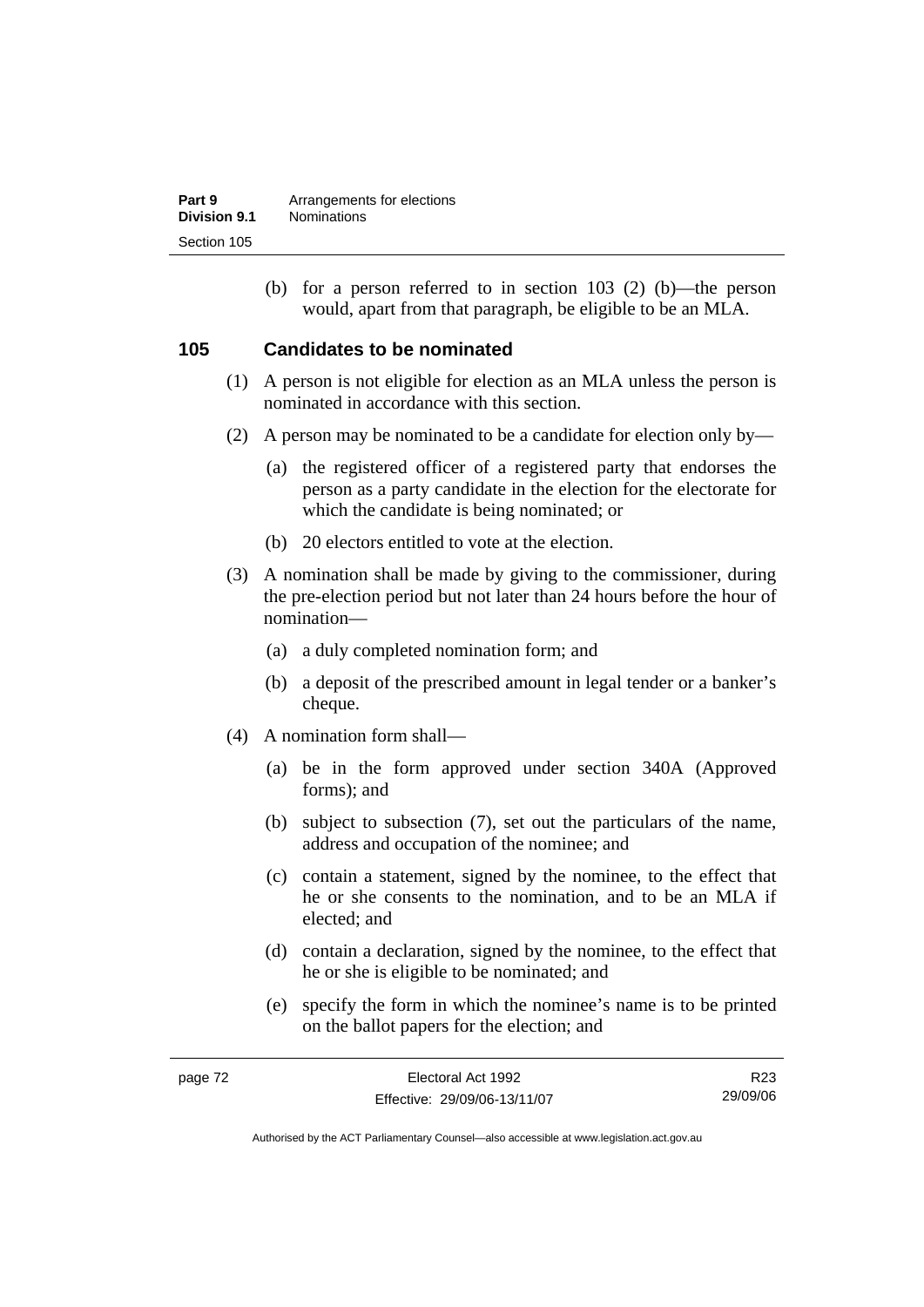| Part 9       | Arrangements for elections |
|--------------|----------------------------|
| Division 9.1 | <b>Nominations</b>         |
| Section 105  |                            |

 (b) for a person referred to in section 103 (2) (b)—the person would, apart from that paragraph, be eligible to be an MLA.

### **105 Candidates to be nominated**

- (1) A person is not eligible for election as an MLA unless the person is nominated in accordance with this section.
- (2) A person may be nominated to be a candidate for election only by—
	- (a) the registered officer of a registered party that endorses the person as a party candidate in the election for the electorate for which the candidate is being nominated; or
	- (b) 20 electors entitled to vote at the election.
- (3) A nomination shall be made by giving to the commissioner, during the pre-election period but not later than 24 hours before the hour of nomination—
	- (a) a duly completed nomination form; and
	- (b) a deposit of the prescribed amount in legal tender or a banker's cheque.
- (4) A nomination form shall—
	- (a) be in the form approved under section 340A (Approved forms); and
	- (b) subject to subsection (7), set out the particulars of the name, address and occupation of the nominee; and
	- (c) contain a statement, signed by the nominee, to the effect that he or she consents to the nomination, and to be an MLA if elected; and
	- (d) contain a declaration, signed by the nominee, to the effect that he or she is eligible to be nominated; and
	- (e) specify the form in which the nominee's name is to be printed on the ballot papers for the election; and

| page 72 | Electoral Act 1992           | R23      |
|---------|------------------------------|----------|
|         | Effective: 29/09/06-13/11/07 | 29/09/06 |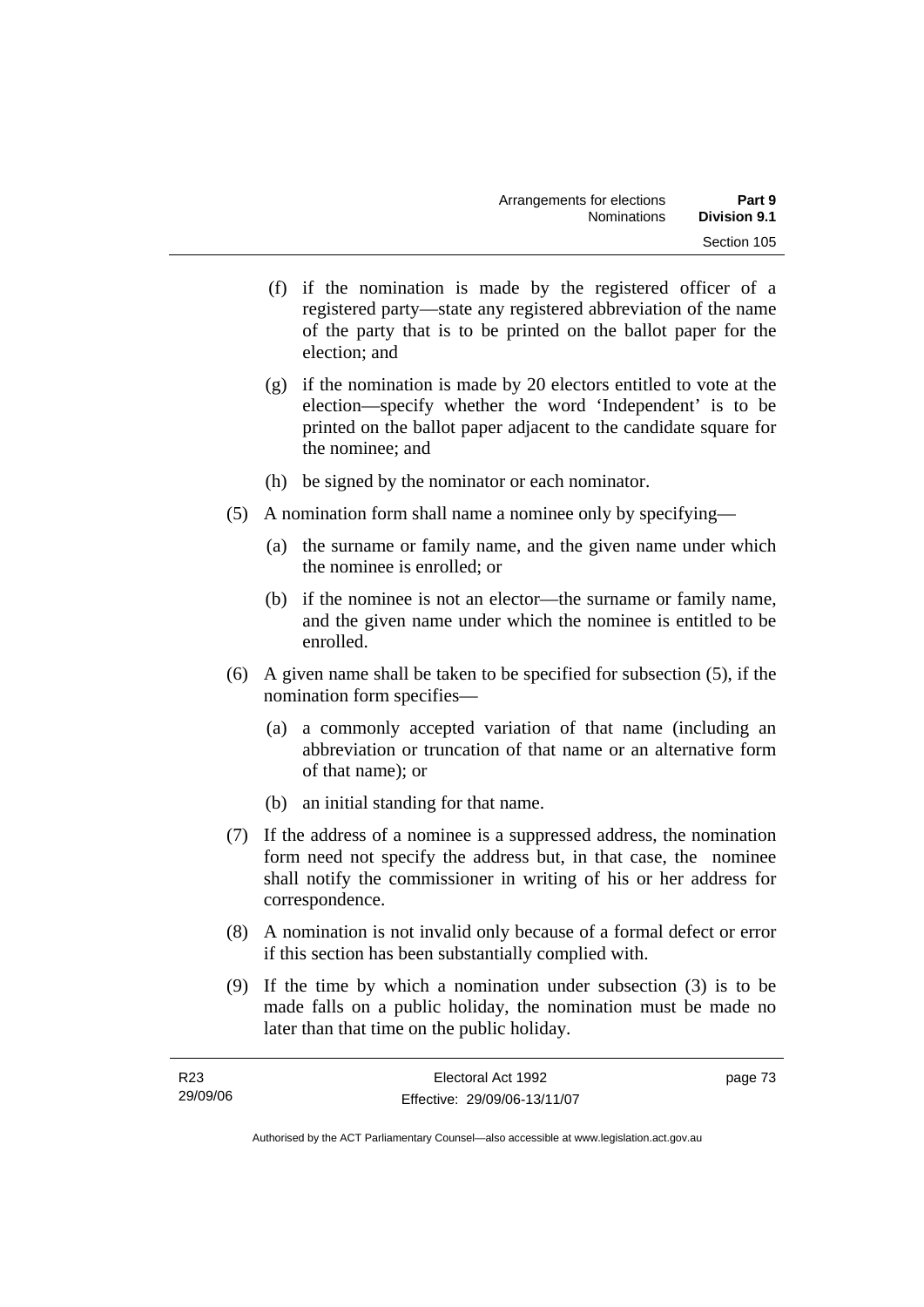- (f) if the nomination is made by the registered officer of a registered party—state any registered abbreviation of the name of the party that is to be printed on the ballot paper for the election; and
- (g) if the nomination is made by 20 electors entitled to vote at the election—specify whether the word 'Independent' is to be printed on the ballot paper adjacent to the candidate square for the nominee; and
- (h) be signed by the nominator or each nominator.
- (5) A nomination form shall name a nominee only by specifying—
	- (a) the surname or family name, and the given name under which the nominee is enrolled; or
	- (b) if the nominee is not an elector—the surname or family name, and the given name under which the nominee is entitled to be enrolled.
- (6) A given name shall be taken to be specified for subsection (5), if the nomination form specifies—
	- (a) a commonly accepted variation of that name (including an abbreviation or truncation of that name or an alternative form of that name); or
	- (b) an initial standing for that name.
- (7) If the address of a nominee is a suppressed address, the nomination form need not specify the address but, in that case, the nominee shall notify the commissioner in writing of his or her address for correspondence.
- (8) A nomination is not invalid only because of a formal defect or error if this section has been substantially complied with.
- (9) If the time by which a nomination under subsection (3) is to be made falls on a public holiday, the nomination must be made no later than that time on the public holiday.

| R23      | Electoral Act 1992           | page 73 |
|----------|------------------------------|---------|
| 29/09/06 | Effective: 29/09/06-13/11/07 |         |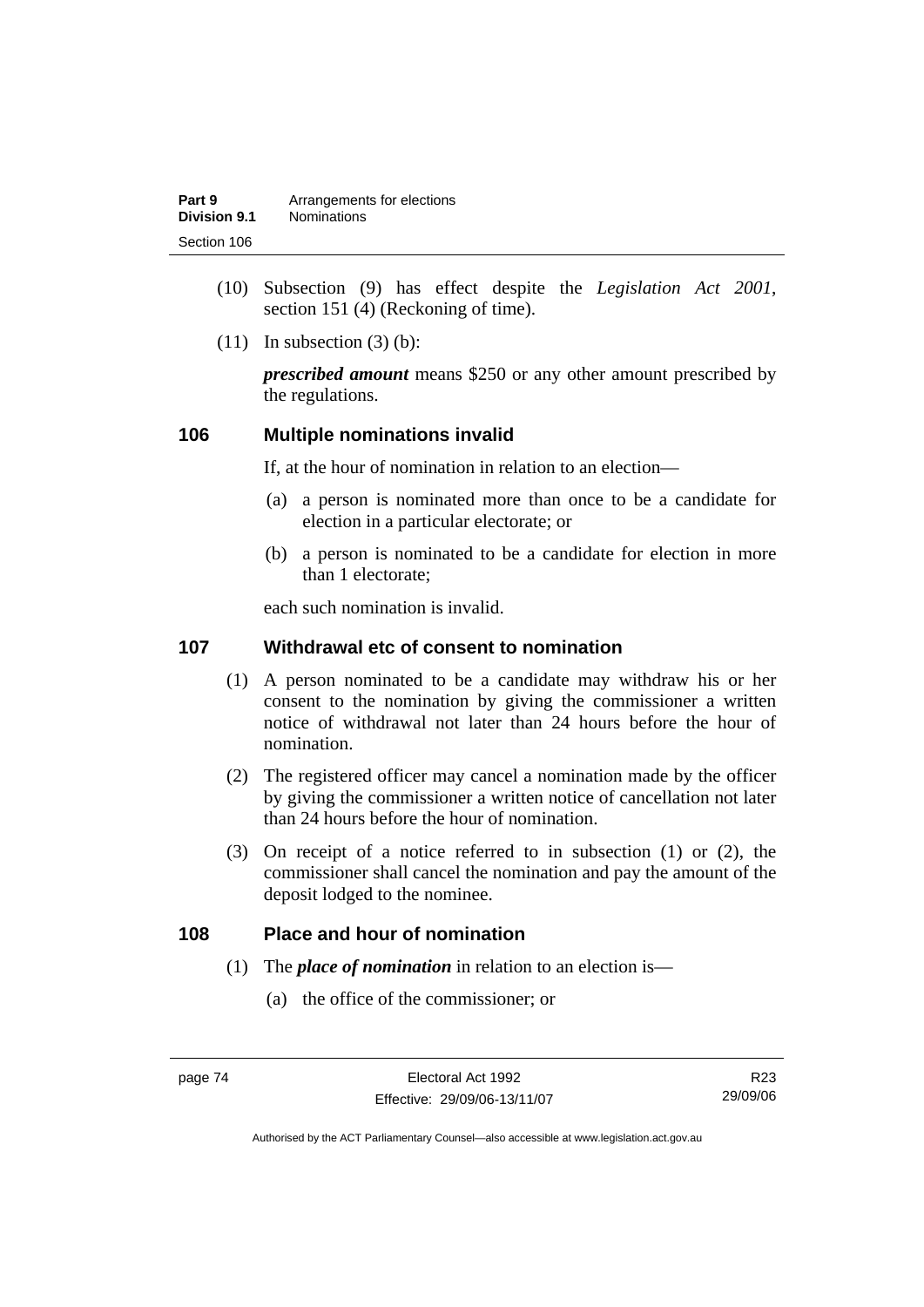| Part 9       | Arrangements for elections |
|--------------|----------------------------|
| Division 9.1 | <b>Nominations</b>         |
| Section 106  |                            |

- (10) Subsection (9) has effect despite the *Legislation Act 2001*, section 151 (4) (Reckoning of time).
- $(11)$  In subsection  $(3)$  (b):

*prescribed amount* means \$250 or any other amount prescribed by the regulations.

#### **106 Multiple nominations invalid**

If, at the hour of nomination in relation to an election—

- (a) a person is nominated more than once to be a candidate for election in a particular electorate; or
- (b) a person is nominated to be a candidate for election in more than 1 electorate;

each such nomination is invalid.

### **107 Withdrawal etc of consent to nomination**

- (1) A person nominated to be a candidate may withdraw his or her consent to the nomination by giving the commissioner a written notice of withdrawal not later than 24 hours before the hour of nomination.
- (2) The registered officer may cancel a nomination made by the officer by giving the commissioner a written notice of cancellation not later than 24 hours before the hour of nomination.
- (3) On receipt of a notice referred to in subsection (1) or (2), the commissioner shall cancel the nomination and pay the amount of the deposit lodged to the nominee.

### **108 Place and hour of nomination**

- (1) The *place of nomination* in relation to an election is—
	- (a) the office of the commissioner; or

R23 29/09/06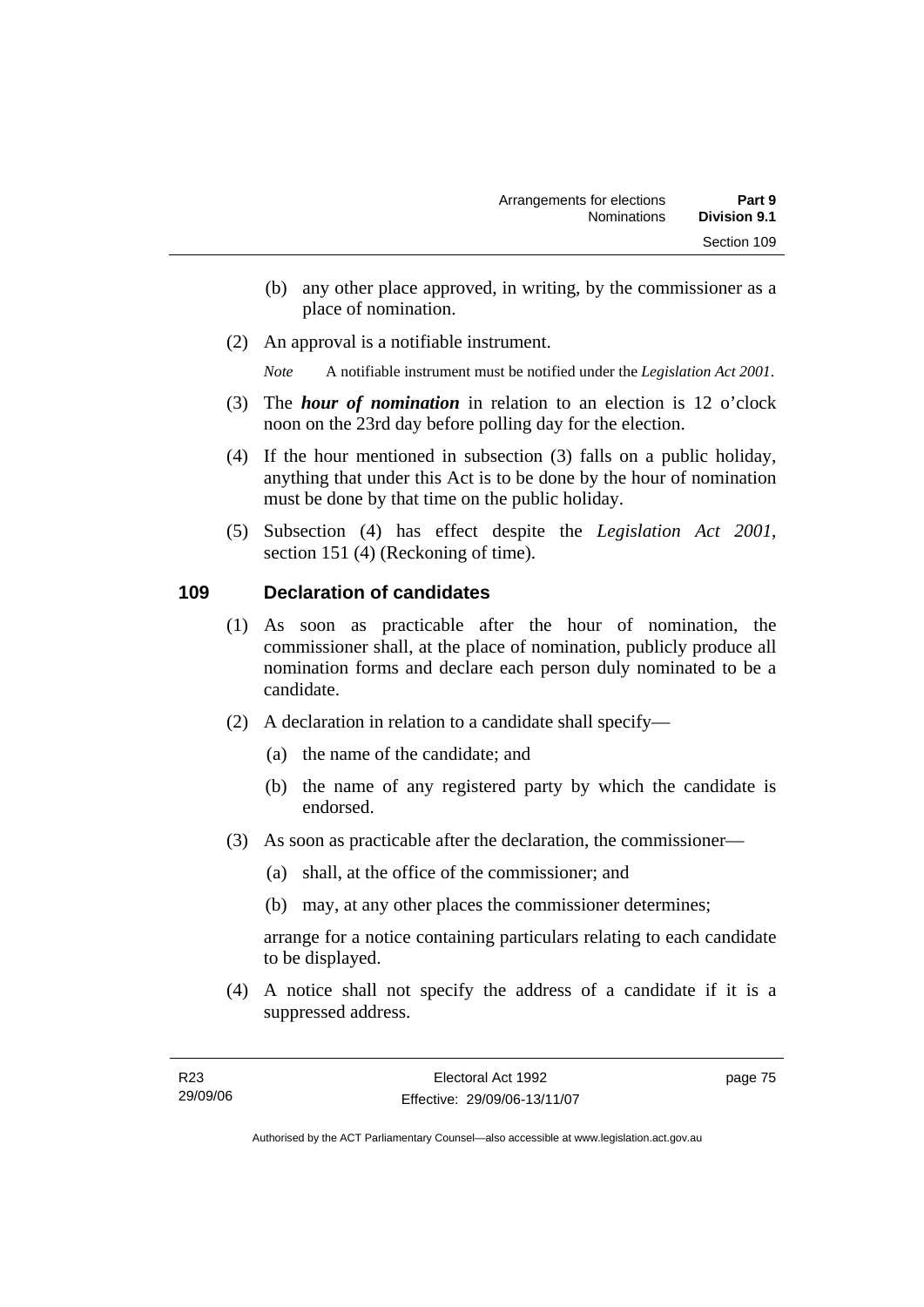- (b) any other place approved, in writing, by the commissioner as a place of nomination.
- (2) An approval is a notifiable instrument.

*Note* A notifiable instrument must be notified under the *Legislation Act 2001*.

- (3) The *hour of nomination* in relation to an election is 12 o'clock noon on the 23rd day before polling day for the election.
- (4) If the hour mentioned in subsection (3) falls on a public holiday, anything that under this Act is to be done by the hour of nomination must be done by that time on the public holiday.
- (5) Subsection (4) has effect despite the *Legislation Act 2001*, section 151 (4) (Reckoning of time).

### **109 Declaration of candidates**

- (1) As soon as practicable after the hour of nomination, the commissioner shall, at the place of nomination, publicly produce all nomination forms and declare each person duly nominated to be a candidate.
- (2) A declaration in relation to a candidate shall specify—
	- (a) the name of the candidate; and
	- (b) the name of any registered party by which the candidate is endorsed.
- (3) As soon as practicable after the declaration, the commissioner—
	- (a) shall, at the office of the commissioner; and
	- (b) may, at any other places the commissioner determines;

arrange for a notice containing particulars relating to each candidate to be displayed.

 (4) A notice shall not specify the address of a candidate if it is a suppressed address.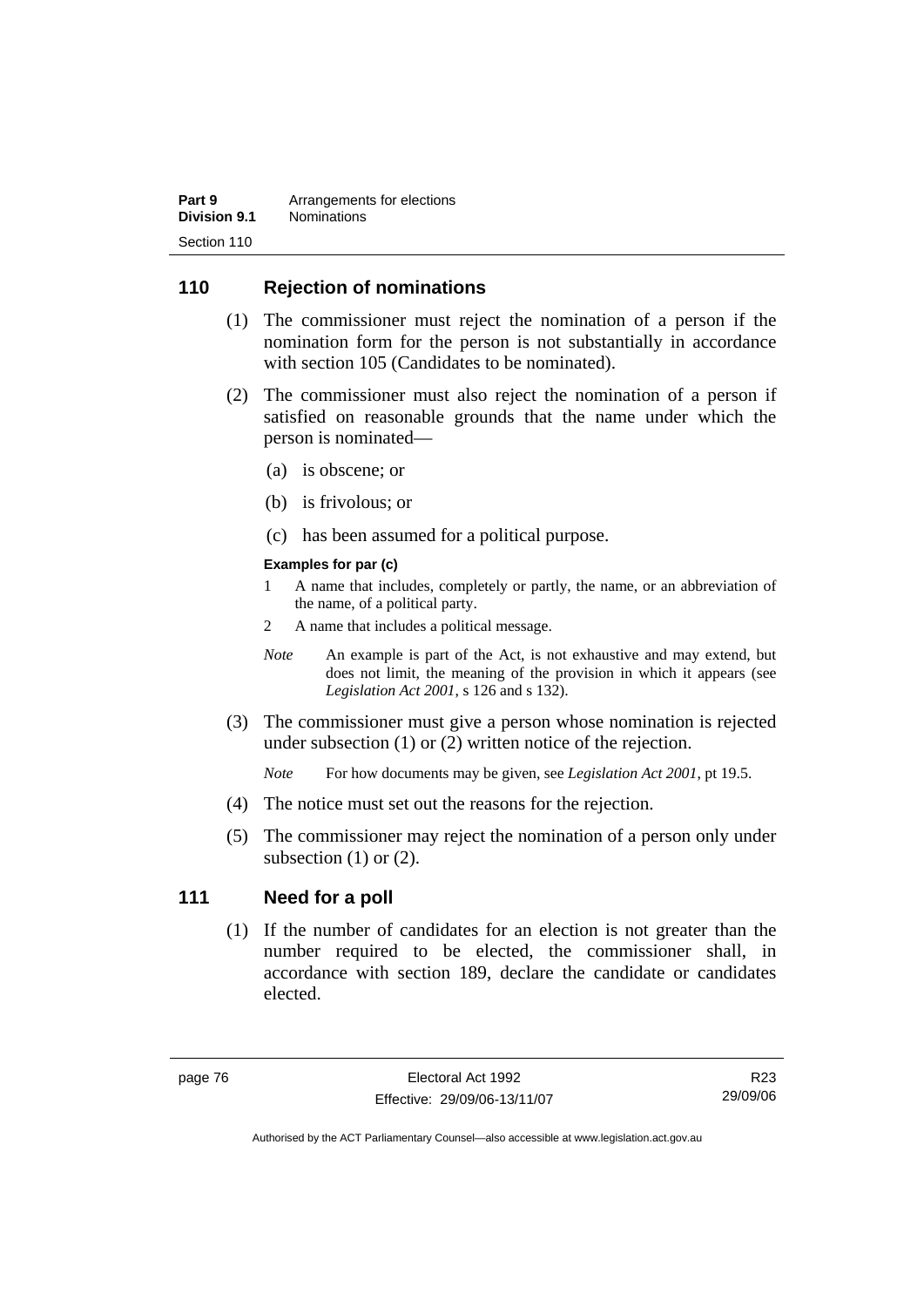| Part 9       | Arrangements for elections |
|--------------|----------------------------|
| Division 9.1 | <b>Nominations</b>         |
| Section 110  |                            |

### **110 Rejection of nominations**

- (1) The commissioner must reject the nomination of a person if the nomination form for the person is not substantially in accordance with section 105 (Candidates to be nominated).
- (2) The commissioner must also reject the nomination of a person if satisfied on reasonable grounds that the name under which the person is nominated—
	- (a) is obscene; or
	- (b) is frivolous; or
	- (c) has been assumed for a political purpose.

#### **Examples for par (c)**

- 1 A name that includes, completely or partly, the name, or an abbreviation of the name, of a political party.
- 2 A name that includes a political message.
- *Note* An example is part of the Act, is not exhaustive and may extend, but does not limit, the meaning of the provision in which it appears (see *Legislation Act 2001*, s 126 and s 132).
- (3) The commissioner must give a person whose nomination is rejected under subsection (1) or (2) written notice of the rejection.

*Note* For how documents may be given, see *Legislation Act 2001*, pt 19.5.

- (4) The notice must set out the reasons for the rejection.
- (5) The commissioner may reject the nomination of a person only under subsection  $(1)$  or  $(2)$ .

#### **111 Need for a poll**

 (1) If the number of candidates for an election is not greater than the number required to be elected, the commissioner shall, in accordance with section 189, declare the candidate or candidates elected.

R23 29/09/06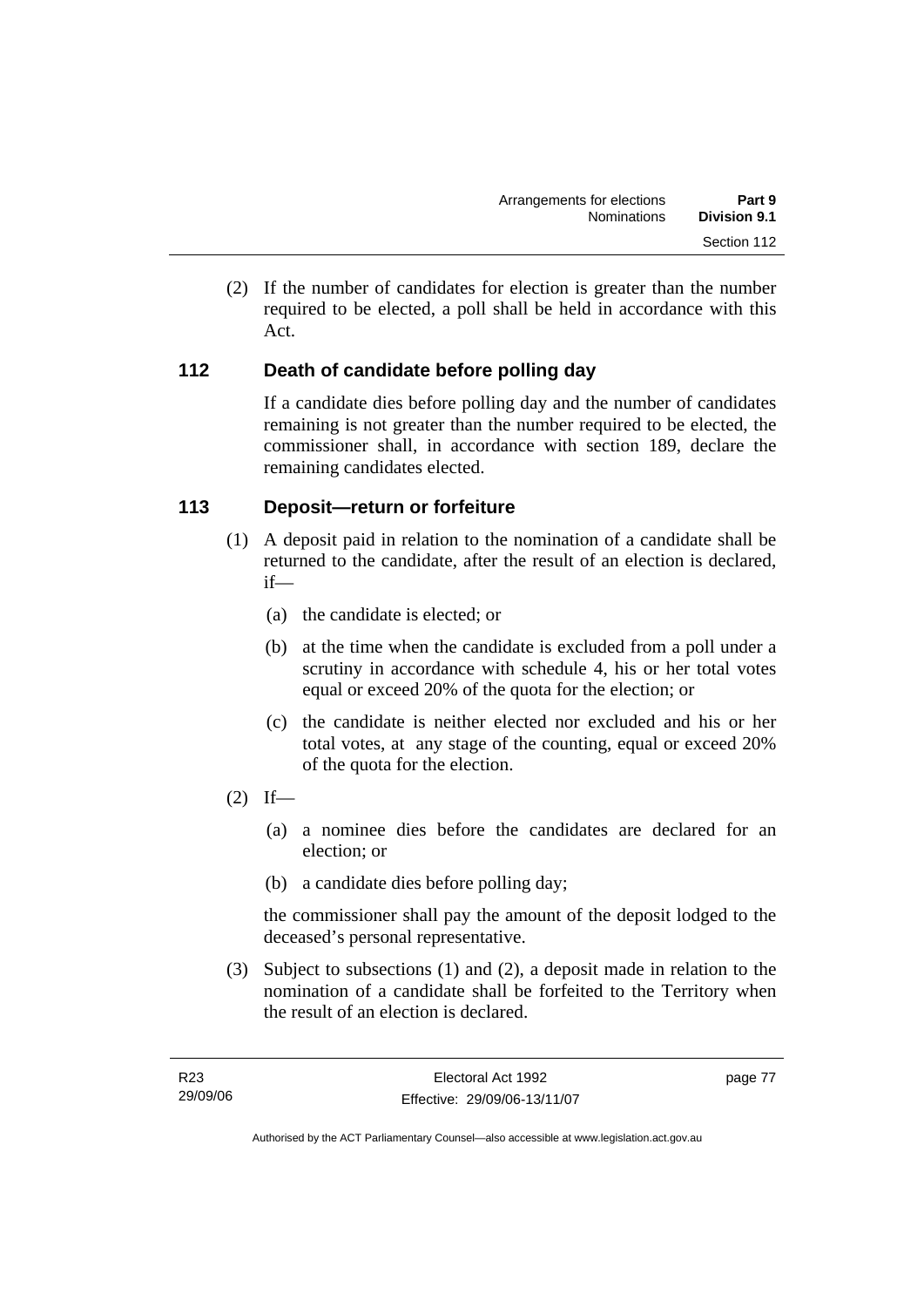(2) If the number of candidates for election is greater than the number required to be elected, a poll shall be held in accordance with this Act.

## **112 Death of candidate before polling day**

If a candidate dies before polling day and the number of candidates remaining is not greater than the number required to be elected, the commissioner shall, in accordance with section 189, declare the remaining candidates elected.

### **113 Deposit—return or forfeiture**

- (1) A deposit paid in relation to the nomination of a candidate shall be returned to the candidate, after the result of an election is declared, if—
	- (a) the candidate is elected; or
	- (b) at the time when the candidate is excluded from a poll under a scrutiny in accordance with schedule 4, his or her total votes equal or exceed 20% of the quota for the election; or
	- (c) the candidate is neither elected nor excluded and his or her total votes, at any stage of the counting, equal or exceed 20% of the quota for the election.
- $(2)$  If—
	- (a) a nominee dies before the candidates are declared for an election; or
	- (b) a candidate dies before polling day;

the commissioner shall pay the amount of the deposit lodged to the deceased's personal representative.

 (3) Subject to subsections (1) and (2), a deposit made in relation to the nomination of a candidate shall be forfeited to the Territory when the result of an election is declared.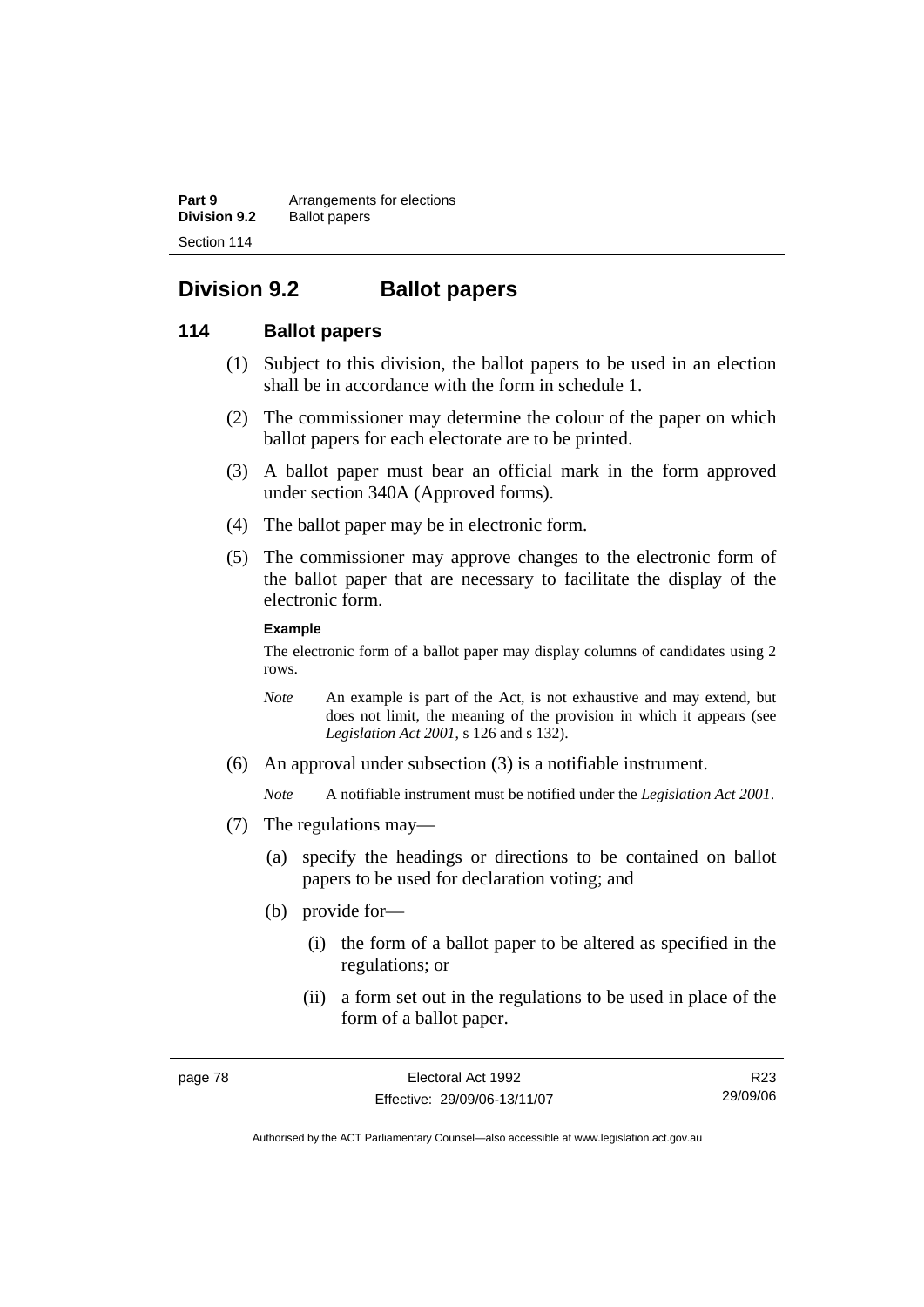**Part 9 Arrangements for elections Division 9.2** Ballot papers Section 114

# **Division 9.2 Ballot papers**

### **114 Ballot papers**

- (1) Subject to this division, the ballot papers to be used in an election shall be in accordance with the form in schedule 1.
- (2) The commissioner may determine the colour of the paper on which ballot papers for each electorate are to be printed.
- (3) A ballot paper must bear an official mark in the form approved under section 340A (Approved forms).
- (4) The ballot paper may be in electronic form.
- (5) The commissioner may approve changes to the electronic form of the ballot paper that are necessary to facilitate the display of the electronic form.

#### **Example**

The electronic form of a ballot paper may display columns of candidates using 2 rows.

- *Note* An example is part of the Act, is not exhaustive and may extend, but does not limit, the meaning of the provision in which it appears (see *Legislation Act 2001*, s 126 and s 132).
- (6) An approval under subsection (3) is a notifiable instrument.

*Note* A notifiable instrument must be notified under the *Legislation Act 2001*.

- (7) The regulations may—
	- (a) specify the headings or directions to be contained on ballot papers to be used for declaration voting; and
	- (b) provide for—
		- (i) the form of a ballot paper to be altered as specified in the regulations; or
		- (ii) a form set out in the regulations to be used in place of the form of a ballot paper.

R23 29/09/06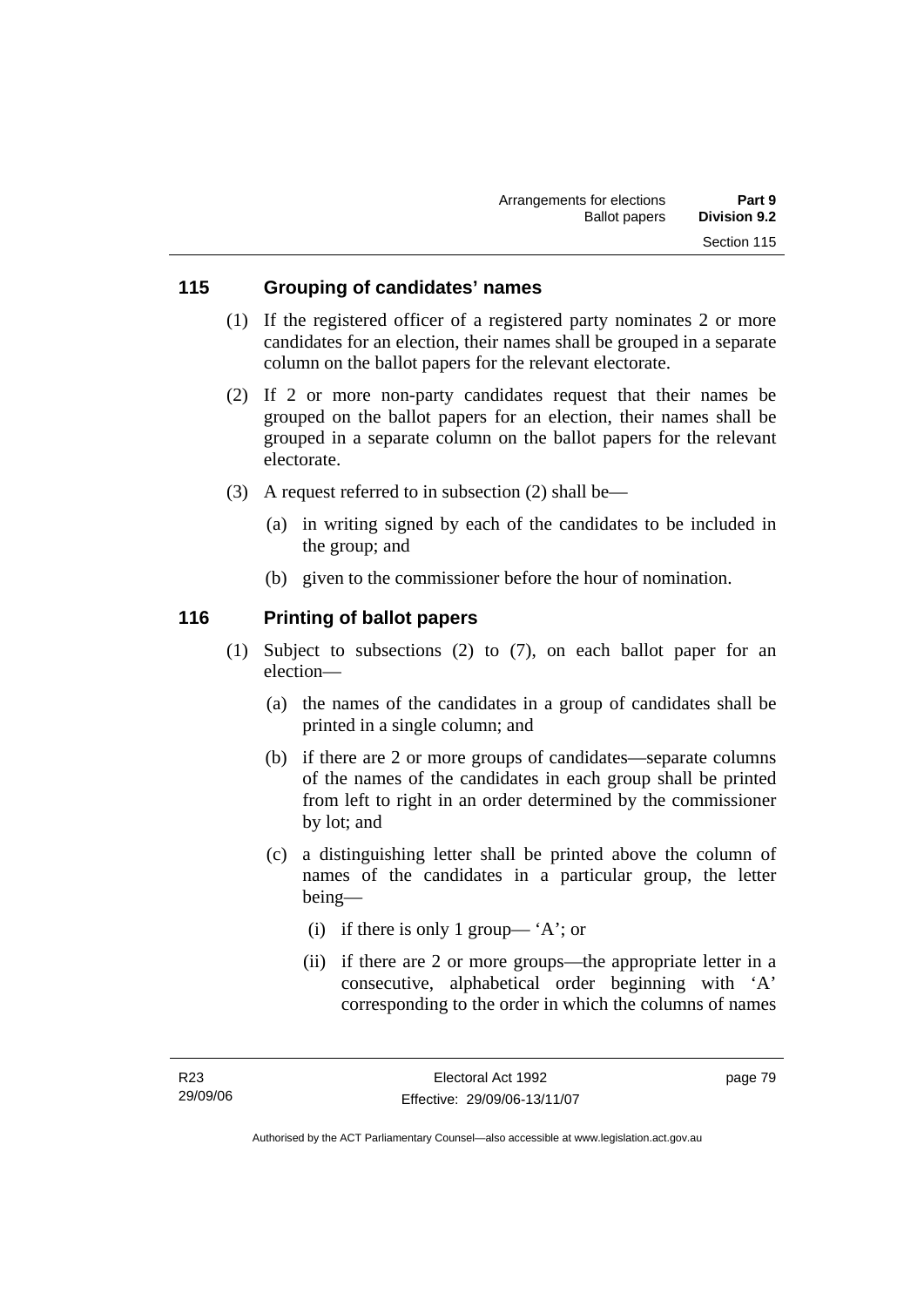### **115 Grouping of candidates' names**

- (1) If the registered officer of a registered party nominates 2 or more candidates for an election, their names shall be grouped in a separate column on the ballot papers for the relevant electorate.
- (2) If 2 or more non-party candidates request that their names be grouped on the ballot papers for an election, their names shall be grouped in a separate column on the ballot papers for the relevant electorate.
- (3) A request referred to in subsection (2) shall be—
	- (a) in writing signed by each of the candidates to be included in the group; and
	- (b) given to the commissioner before the hour of nomination.

### **116 Printing of ballot papers**

- (1) Subject to subsections (2) to (7), on each ballot paper for an election—
	- (a) the names of the candidates in a group of candidates shall be printed in a single column; and
	- (b) if there are 2 or more groups of candidates—separate columns of the names of the candidates in each group shall be printed from left to right in an order determined by the commissioner by lot; and
	- (c) a distinguishing letter shall be printed above the column of names of the candidates in a particular group, the letter being—
		- (i) if there is only 1 group— 'A'; or
		- (ii) if there are 2 or more groups—the appropriate letter in a consecutive, alphabetical order beginning with 'A' corresponding to the order in which the columns of names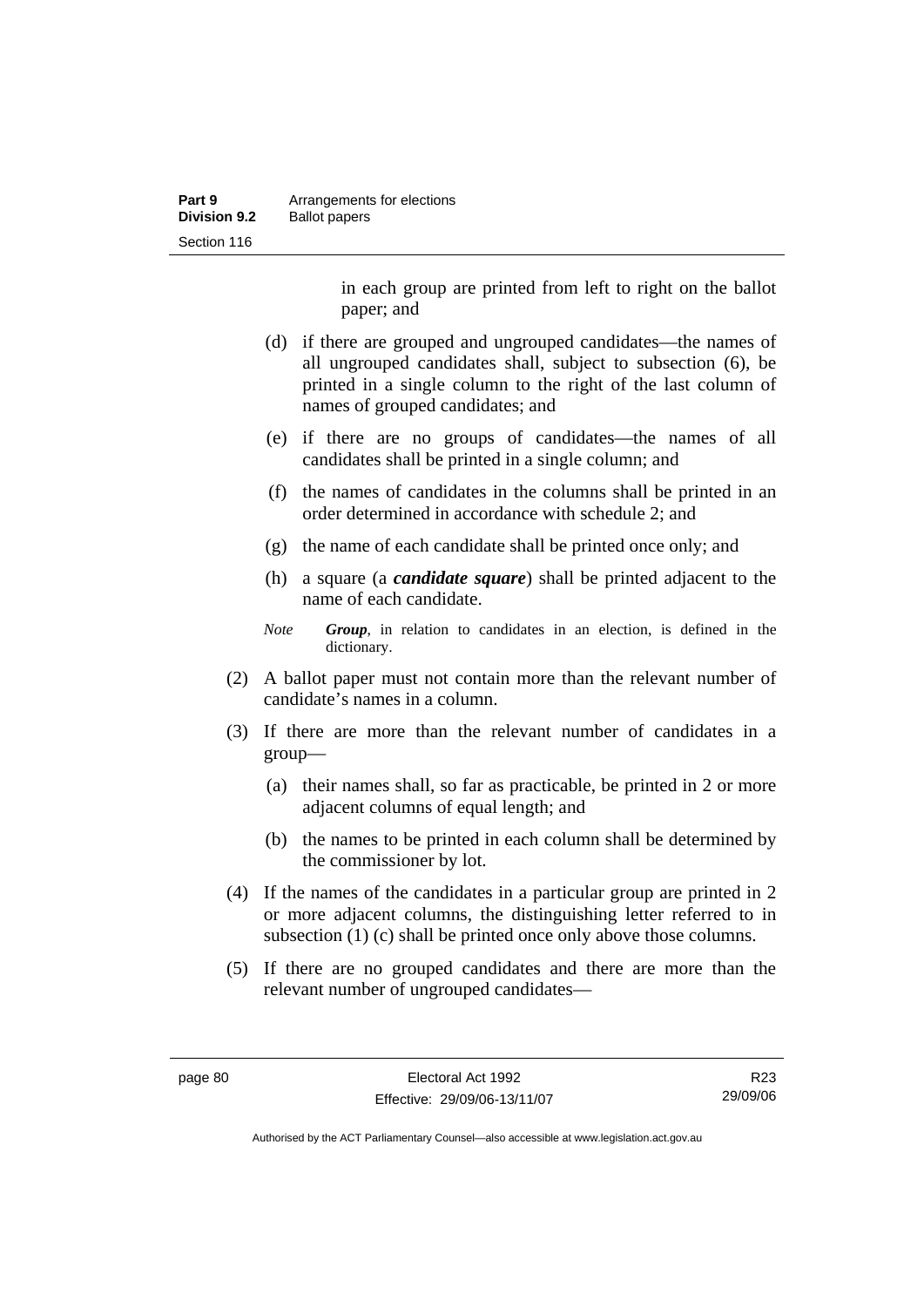| Part 9              | Arrangements for elections |
|---------------------|----------------------------|
| <b>Division 9.2</b> | <b>Ballot papers</b>       |
| Section 116         |                            |

in each group are printed from left to right on the ballot paper; and

- (d) if there are grouped and ungrouped candidates—the names of all ungrouped candidates shall, subject to subsection (6), be printed in a single column to the right of the last column of names of grouped candidates; and
- (e) if there are no groups of candidates—the names of all candidates shall be printed in a single column; and
- (f) the names of candidates in the columns shall be printed in an order determined in accordance with schedule 2; and
- (g) the name of each candidate shall be printed once only; and
- (h) a square (a *candidate square*) shall be printed adjacent to the name of each candidate.
- *Note Group*, in relation to candidates in an election, is defined in the dictionary.
- (2) A ballot paper must not contain more than the relevant number of candidate's names in a column.
- (3) If there are more than the relevant number of candidates in a group—
	- (a) their names shall, so far as practicable, be printed in 2 or more adjacent columns of equal length; and
	- (b) the names to be printed in each column shall be determined by the commissioner by lot.
- (4) If the names of the candidates in a particular group are printed in 2 or more adjacent columns, the distinguishing letter referred to in subsection (1) (c) shall be printed once only above those columns.
- (5) If there are no grouped candidates and there are more than the relevant number of ungrouped candidates—

R23 29/09/06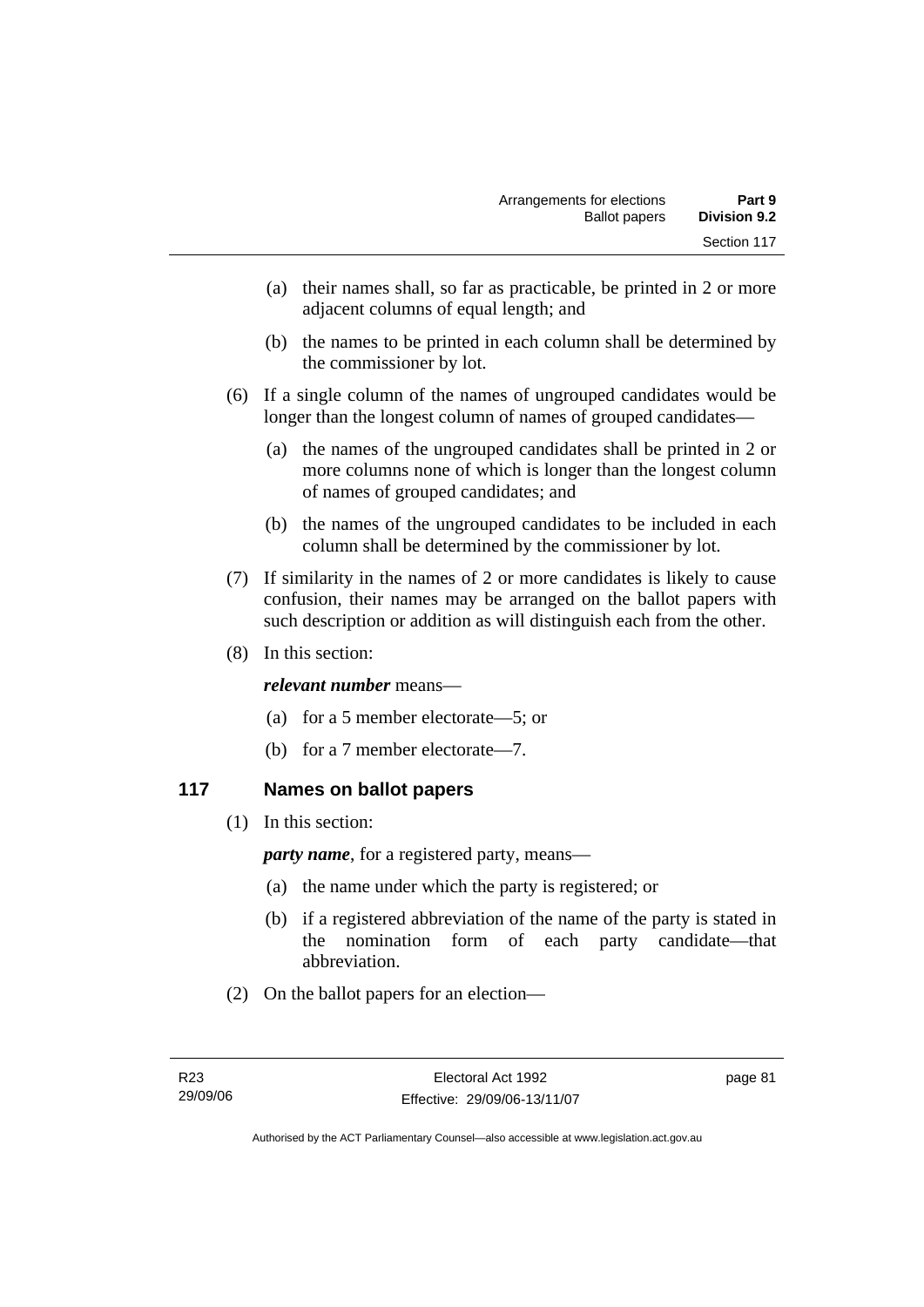- (a) their names shall, so far as practicable, be printed in 2 or more adjacent columns of equal length; and
- (b) the names to be printed in each column shall be determined by the commissioner by lot.
- (6) If a single column of the names of ungrouped candidates would be longer than the longest column of names of grouped candidates—
	- (a) the names of the ungrouped candidates shall be printed in 2 or more columns none of which is longer than the longest column of names of grouped candidates; and
	- (b) the names of the ungrouped candidates to be included in each column shall be determined by the commissioner by lot.
- (7) If similarity in the names of 2 or more candidates is likely to cause confusion, their names may be arranged on the ballot papers with such description or addition as will distinguish each from the other.
- (8) In this section:

### *relevant number* means—

- (a) for a 5 member electorate—5; or
- (b) for a 7 member electorate—7.

### **117 Names on ballot papers**

(1) In this section:

*party name*, for a registered party, means—

- (a) the name under which the party is registered; or
- (b) if a registered abbreviation of the name of the party is stated in the nomination form of each party candidate—that abbreviation.
- (2) On the ballot papers for an election—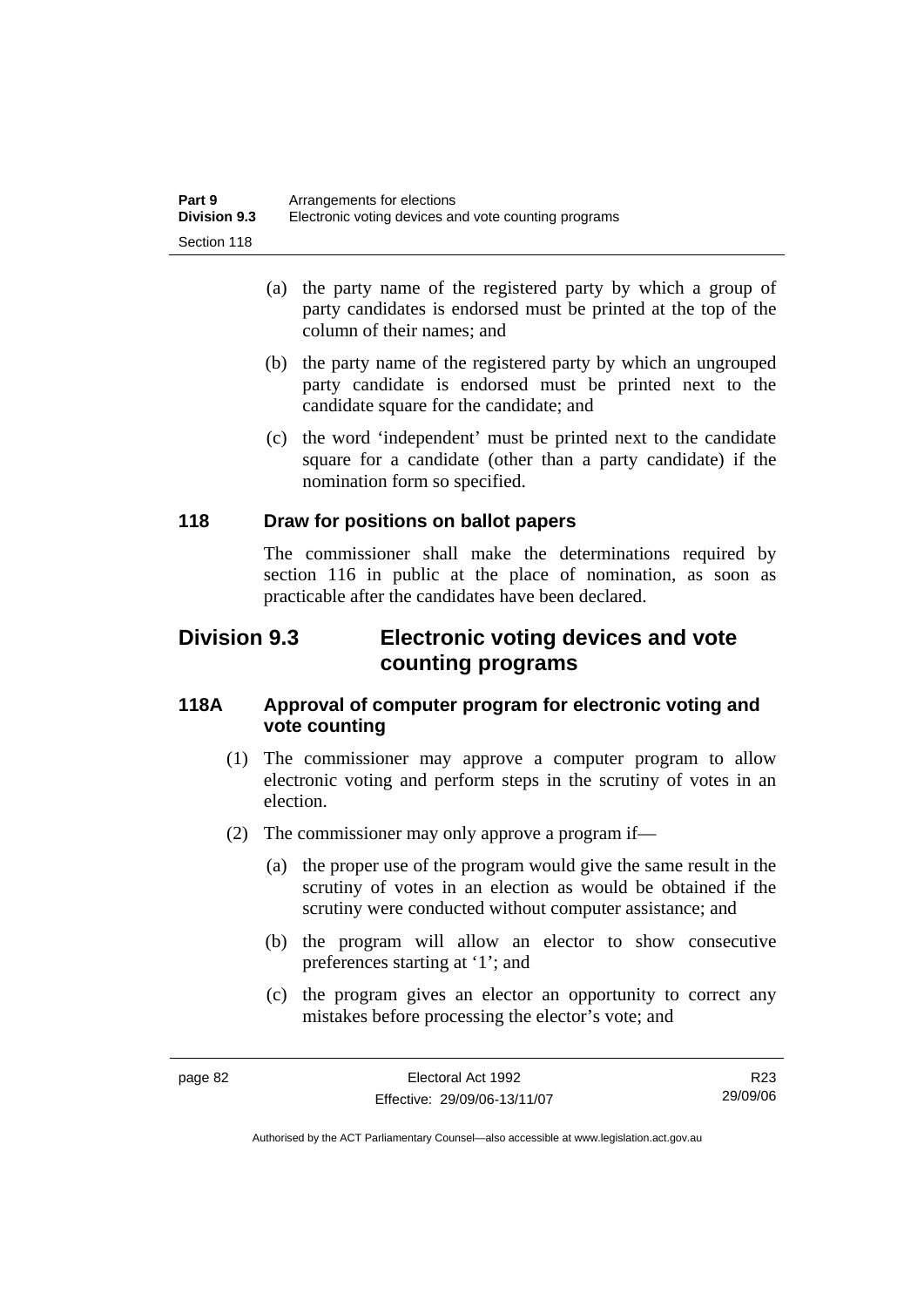| Part 9              | Arrangements for elections                           |
|---------------------|------------------------------------------------------|
| <b>Division 9.3</b> | Electronic voting devices and vote counting programs |
| Section 118         |                                                      |

- (a) the party name of the registered party by which a group of party candidates is endorsed must be printed at the top of the column of their names; and
- (b) the party name of the registered party by which an ungrouped party candidate is endorsed must be printed next to the candidate square for the candidate; and
- (c) the word 'independent' must be printed next to the candidate square for a candidate (other than a party candidate) if the nomination form so specified.

### **118 Draw for positions on ballot papers**

The commissioner shall make the determinations required by section 116 in public at the place of nomination, as soon as practicable after the candidates have been declared.

# **Division 9.3 Electronic voting devices and vote counting programs**

### **118A Approval of computer program for electronic voting and vote counting**

- (1) The commissioner may approve a computer program to allow electronic voting and perform steps in the scrutiny of votes in an election.
- (2) The commissioner may only approve a program if—
	- (a) the proper use of the program would give the same result in the scrutiny of votes in an election as would be obtained if the scrutiny were conducted without computer assistance; and
	- (b) the program will allow an elector to show consecutive preferences starting at '1'; and
	- (c) the program gives an elector an opportunity to correct any mistakes before processing the elector's vote; and

R23 29/09/06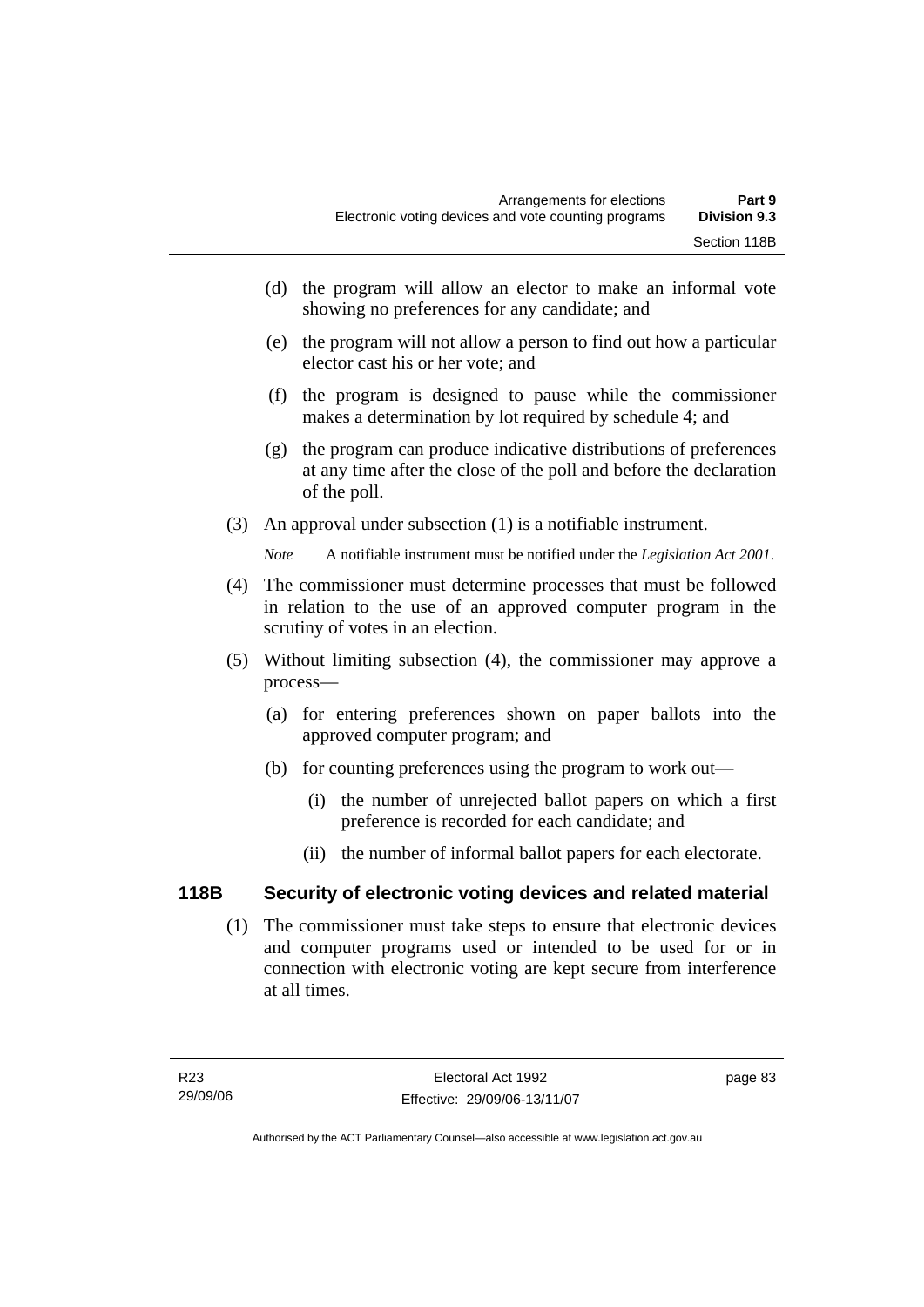- (d) the program will allow an elector to make an informal vote showing no preferences for any candidate; and
- (e) the program will not allow a person to find out how a particular elector cast his or her vote; and
- (f) the program is designed to pause while the commissioner makes a determination by lot required by schedule 4; and
- (g) the program can produce indicative distributions of preferences at any time after the close of the poll and before the declaration of the poll.
- (3) An approval under subsection (1) is a notifiable instrument.

*Note* A notifiable instrument must be notified under the *Legislation Act 2001*.

- (4) The commissioner must determine processes that must be followed in relation to the use of an approved computer program in the scrutiny of votes in an election.
- (5) Without limiting subsection (4), the commissioner may approve a process—
	- (a) for entering preferences shown on paper ballots into the approved computer program; and
	- (b) for counting preferences using the program to work out—
		- (i) the number of unrejected ballot papers on which a first preference is recorded for each candidate; and
		- (ii) the number of informal ballot papers for each electorate.

### **118B Security of electronic voting devices and related material**

 (1) The commissioner must take steps to ensure that electronic devices and computer programs used or intended to be used for or in connection with electronic voting are kept secure from interference at all times.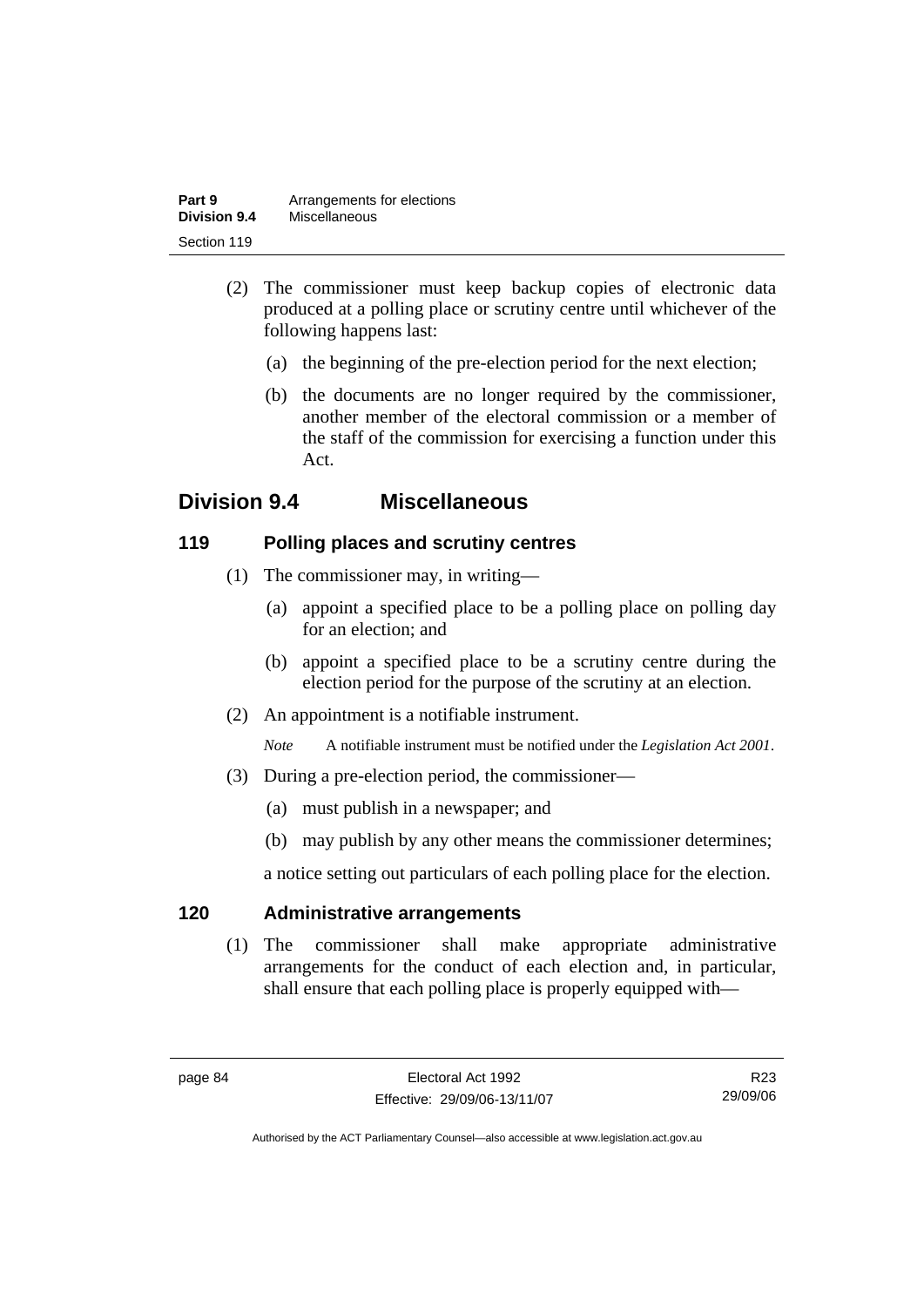| Part 9              | Arrangements for elections |
|---------------------|----------------------------|
| <b>Division 9.4</b> | Miscellaneous              |
| Section 119         |                            |

- (2) The commissioner must keep backup copies of electronic data produced at a polling place or scrutiny centre until whichever of the following happens last:
	- (a) the beginning of the pre-election period for the next election;
	- (b) the documents are no longer required by the commissioner, another member of the electoral commission or a member of the staff of the commission for exercising a function under this Act.

# **Division 9.4 Miscellaneous**

### **119 Polling places and scrutiny centres**

- (1) The commissioner may, in writing—
	- (a) appoint a specified place to be a polling place on polling day for an election; and
	- (b) appoint a specified place to be a scrutiny centre during the election period for the purpose of the scrutiny at an election.
- (2) An appointment is a notifiable instrument.

*Note* A notifiable instrument must be notified under the *Legislation Act 2001*.

- (3) During a pre-election period, the commissioner—
	- (a) must publish in a newspaper; and
	- (b) may publish by any other means the commissioner determines;

a notice setting out particulars of each polling place for the election.

### **120 Administrative arrangements**

 (1) The commissioner shall make appropriate administrative arrangements for the conduct of each election and, in particular, shall ensure that each polling place is properly equipped with—

R23 29/09/06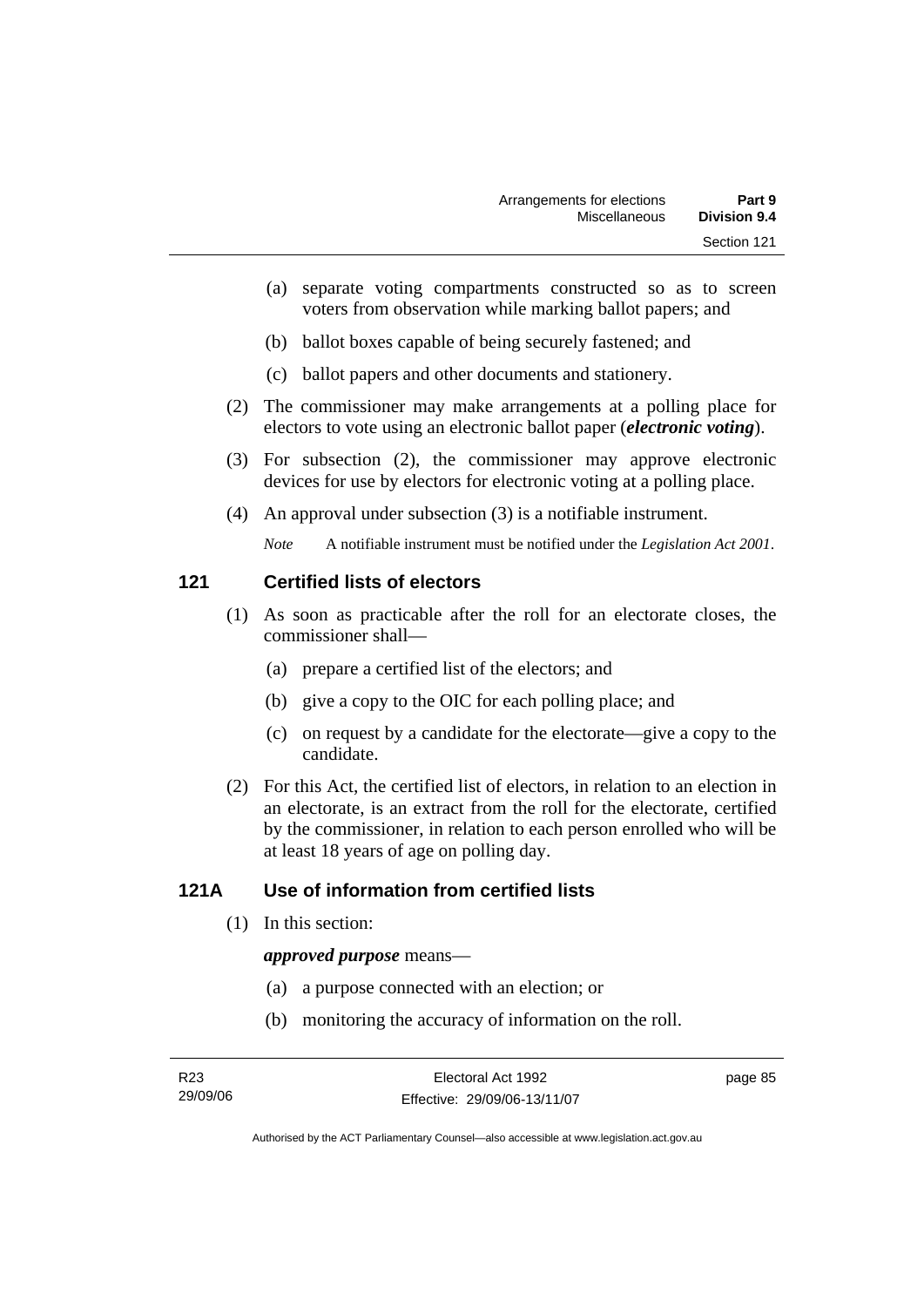- (a) separate voting compartments constructed so as to screen voters from observation while marking ballot papers; and
- (b) ballot boxes capable of being securely fastened; and
- (c) ballot papers and other documents and stationery.
- (2) The commissioner may make arrangements at a polling place for electors to vote using an electronic ballot paper (*electronic voting*).
- (3) For subsection (2), the commissioner may approve electronic devices for use by electors for electronic voting at a polling place.
- (4) An approval under subsection (3) is a notifiable instrument.

*Note* A notifiable instrument must be notified under the *Legislation Act 2001*.

### **121 Certified lists of electors**

- (1) As soon as practicable after the roll for an electorate closes, the commissioner shall—
	- (a) prepare a certified list of the electors; and
	- (b) give a copy to the OIC for each polling place; and
	- (c) on request by a candidate for the electorate—give a copy to the candidate.
- (2) For this Act, the certified list of electors, in relation to an election in an electorate, is an extract from the roll for the electorate, certified by the commissioner, in relation to each person enrolled who will be at least 18 years of age on polling day.

### **121A Use of information from certified lists**

(1) In this section:

#### *approved purpose* means—

- (a) a purpose connected with an election; or
- (b) monitoring the accuracy of information on the roll.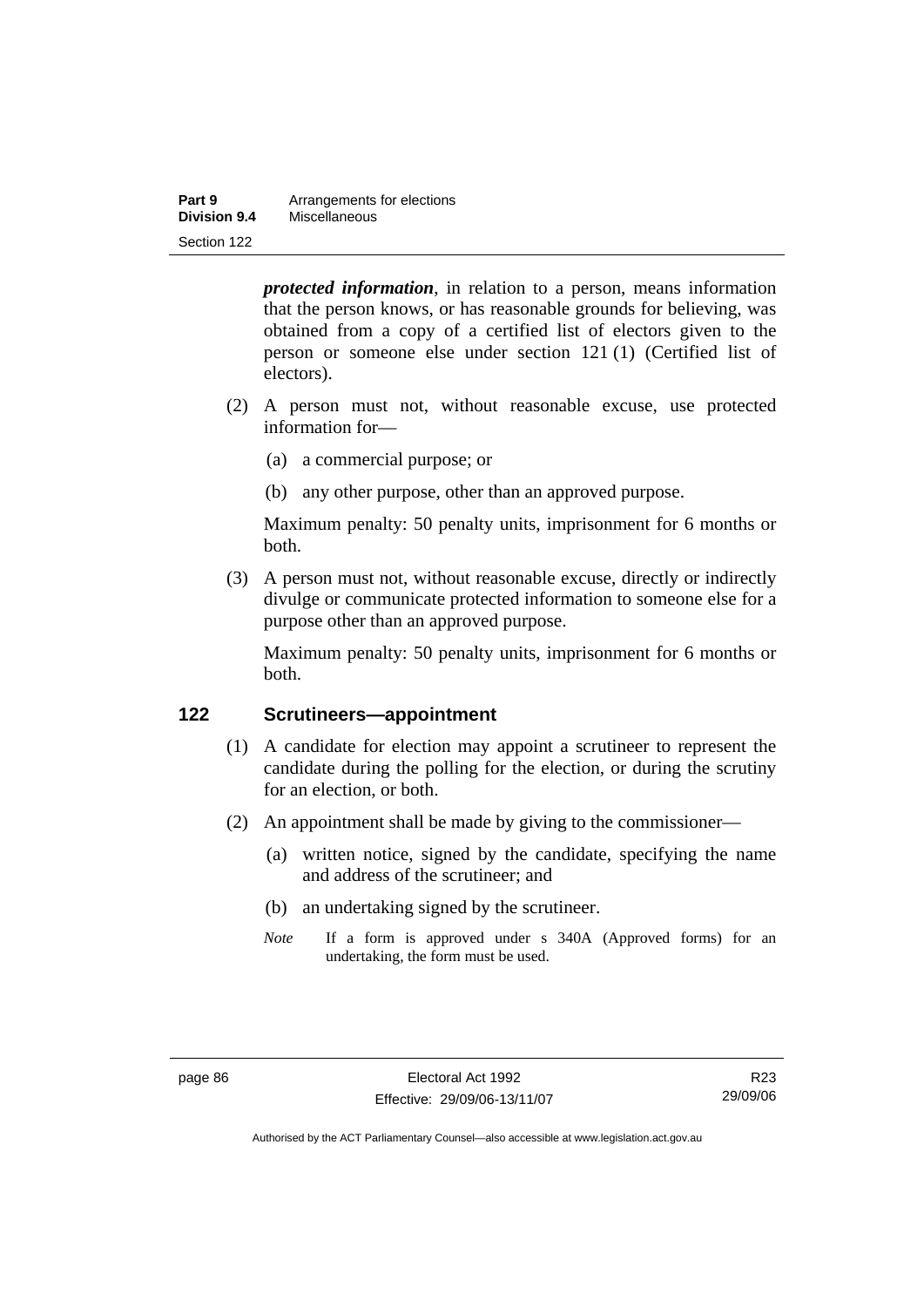| Part 9       | Arrangements for elections |
|--------------|----------------------------|
| Division 9.4 | Miscellaneous              |
| Section 122  |                            |

*protected information*, in relation to a person, means information that the person knows, or has reasonable grounds for believing, was obtained from a copy of a certified list of electors given to the person or someone else under section 121 (1) (Certified list of electors).

- (2) A person must not, without reasonable excuse, use protected information for—
	- (a) a commercial purpose; or
	- (b) any other purpose, other than an approved purpose.

Maximum penalty: 50 penalty units, imprisonment for 6 months or both.

 (3) A person must not, without reasonable excuse, directly or indirectly divulge or communicate protected information to someone else for a purpose other than an approved purpose.

Maximum penalty: 50 penalty units, imprisonment for 6 months or both.

### **122 Scrutineers—appointment**

- (1) A candidate for election may appoint a scrutineer to represent the candidate during the polling for the election, or during the scrutiny for an election, or both.
- (2) An appointment shall be made by giving to the commissioner—
	- (a) written notice, signed by the candidate, specifying the name and address of the scrutineer; and
	- (b) an undertaking signed by the scrutineer.
	- *Note* If a form is approved under s 340A (Approved forms) for an undertaking, the form must be used.

R23 29/09/06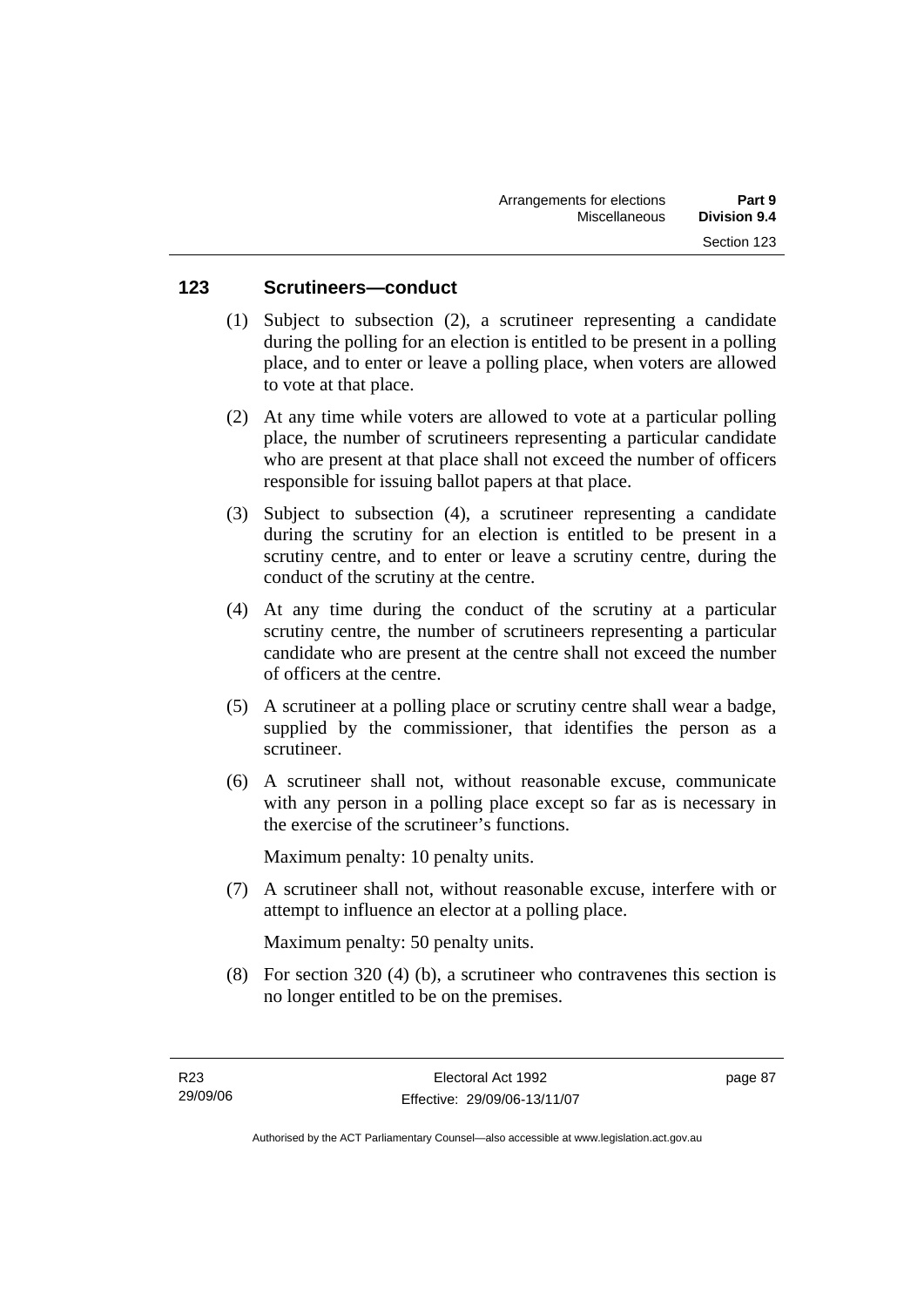### **123 Scrutineers—conduct**

- (1) Subject to subsection (2), a scrutineer representing a candidate during the polling for an election is entitled to be present in a polling place, and to enter or leave a polling place, when voters are allowed to vote at that place.
- (2) At any time while voters are allowed to vote at a particular polling place, the number of scrutineers representing a particular candidate who are present at that place shall not exceed the number of officers responsible for issuing ballot papers at that place.
- (3) Subject to subsection (4), a scrutineer representing a candidate during the scrutiny for an election is entitled to be present in a scrutiny centre, and to enter or leave a scrutiny centre, during the conduct of the scrutiny at the centre.
- (4) At any time during the conduct of the scrutiny at a particular scrutiny centre, the number of scrutineers representing a particular candidate who are present at the centre shall not exceed the number of officers at the centre.
- (5) A scrutineer at a polling place or scrutiny centre shall wear a badge, supplied by the commissioner, that identifies the person as a scrutineer.
- (6) A scrutineer shall not, without reasonable excuse, communicate with any person in a polling place except so far as is necessary in the exercise of the scrutineer's functions.

Maximum penalty: 10 penalty units.

 (7) A scrutineer shall not, without reasonable excuse, interfere with or attempt to influence an elector at a polling place.

Maximum penalty: 50 penalty units.

 (8) For section 320 (4) (b), a scrutineer who contravenes this section is no longer entitled to be on the premises.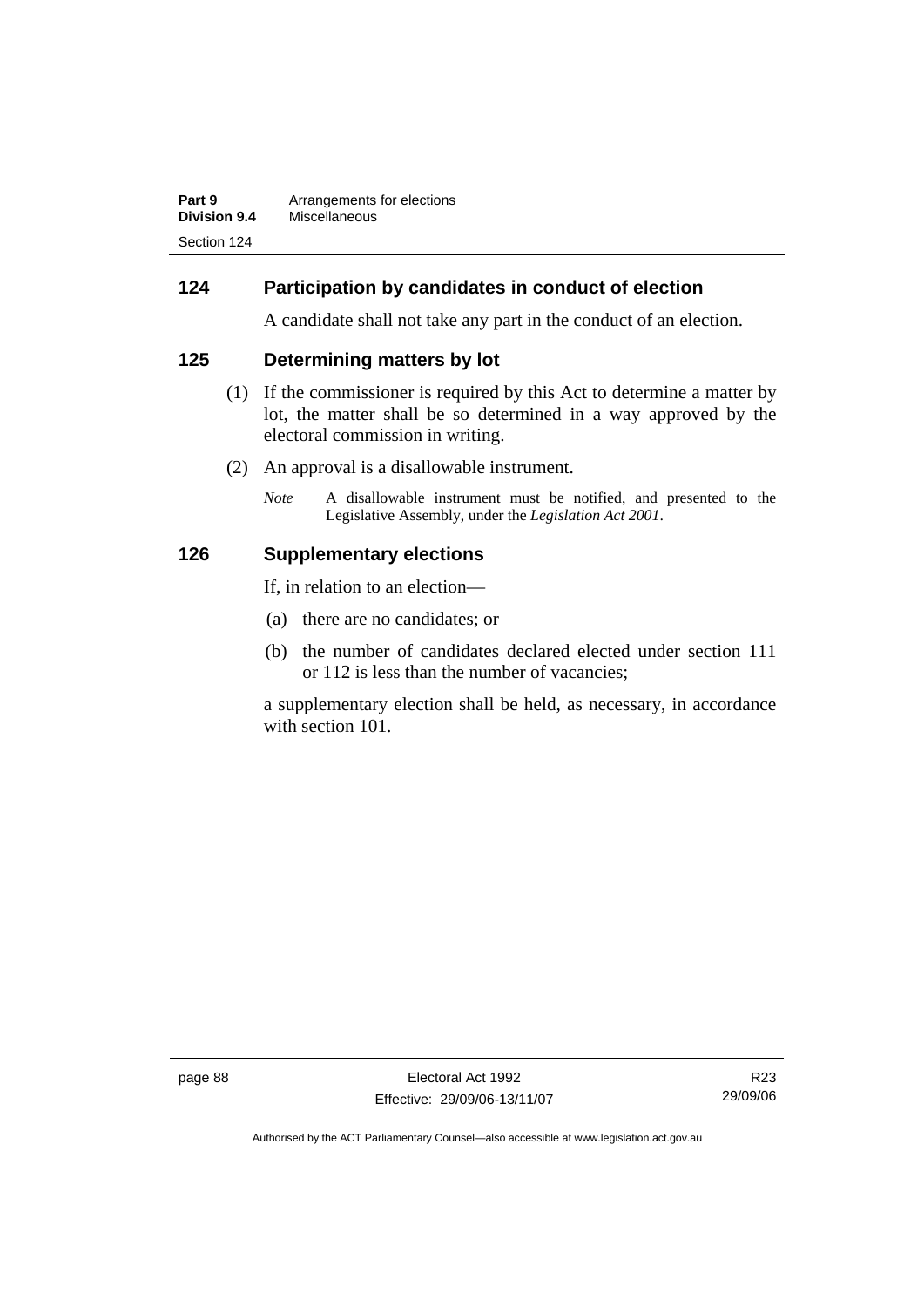| Part 9       | Arrangements for elections |
|--------------|----------------------------|
| Division 9.4 | Miscellaneous              |
| Section 124  |                            |

### **124 Participation by candidates in conduct of election**

A candidate shall not take any part in the conduct of an election.

### **125 Determining matters by lot**

- (1) If the commissioner is required by this Act to determine a matter by lot, the matter shall be so determined in a way approved by the electoral commission in writing.
- (2) An approval is a disallowable instrument.
	- *Note* A disallowable instrument must be notified, and presented to the Legislative Assembly, under the *Legislation Act 2001*.

### **126 Supplementary elections**

If, in relation to an election—

- (a) there are no candidates; or
- (b) the number of candidates declared elected under section 111 or 112 is less than the number of vacancies;

a supplementary election shall be held, as necessary, in accordance with section 101.

page 88 Electoral Act 1992 Effective: 29/09/06-13/11/07

R23 29/09/06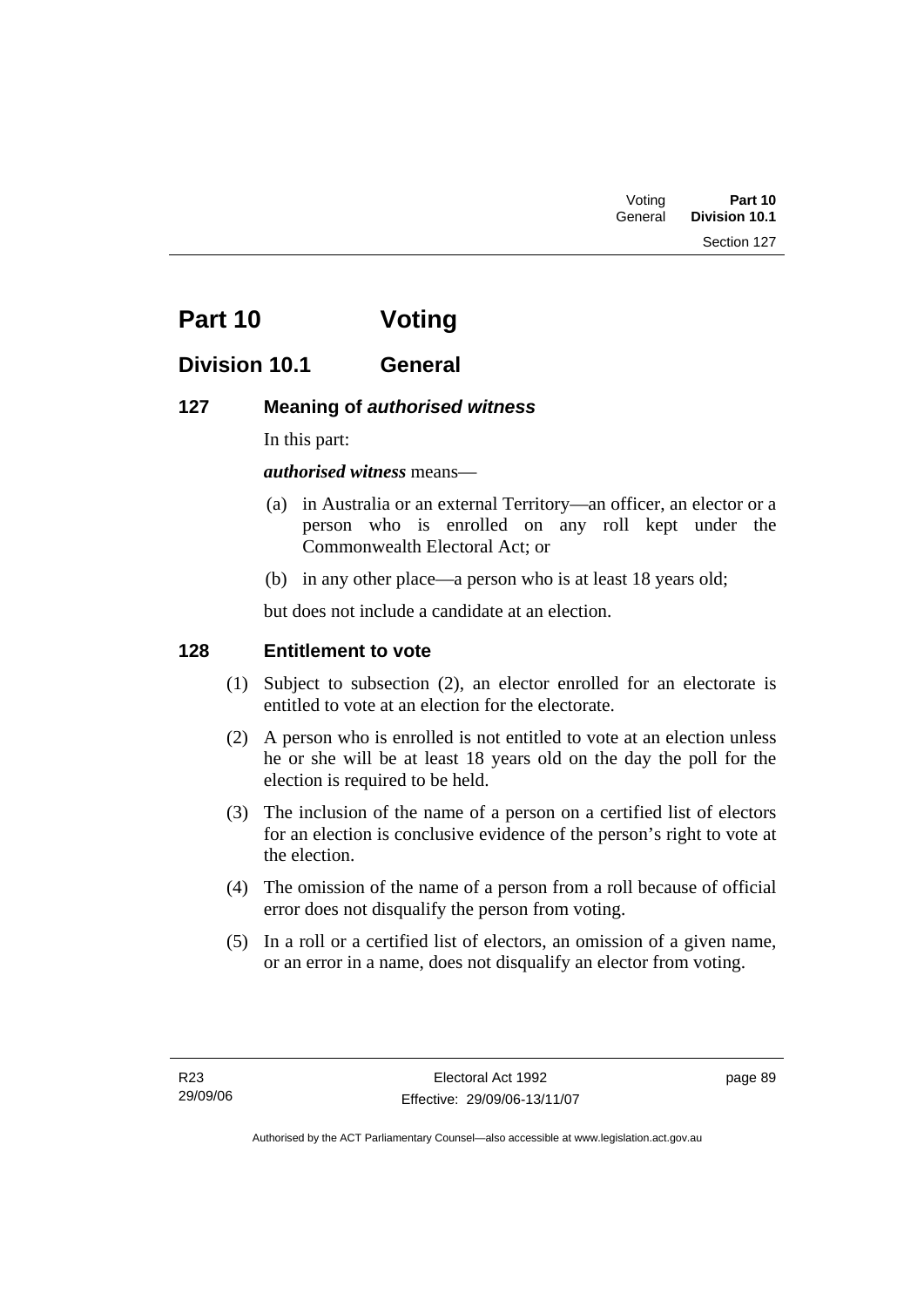Section 127

# **Part 10 Voting**

# **Division 10.1 General**

## **127 Meaning of** *authorised witness*

In this part:

### *authorised witness* means—

- (a) in Australia or an external Territory—an officer, an elector or a person who is enrolled on any roll kept under the Commonwealth Electoral Act; or
- (b) in any other place—a person who is at least 18 years old;

but does not include a candidate at an election.

### **128 Entitlement to vote**

- (1) Subject to subsection (2), an elector enrolled for an electorate is entitled to vote at an election for the electorate.
- (2) A person who is enrolled is not entitled to vote at an election unless he or she will be at least 18 years old on the day the poll for the election is required to be held.
- (3) The inclusion of the name of a person on a certified list of electors for an election is conclusive evidence of the person's right to vote at the election.
- (4) The omission of the name of a person from a roll because of official error does not disqualify the person from voting.
- (5) In a roll or a certified list of electors, an omission of a given name, or an error in a name, does not disqualify an elector from voting.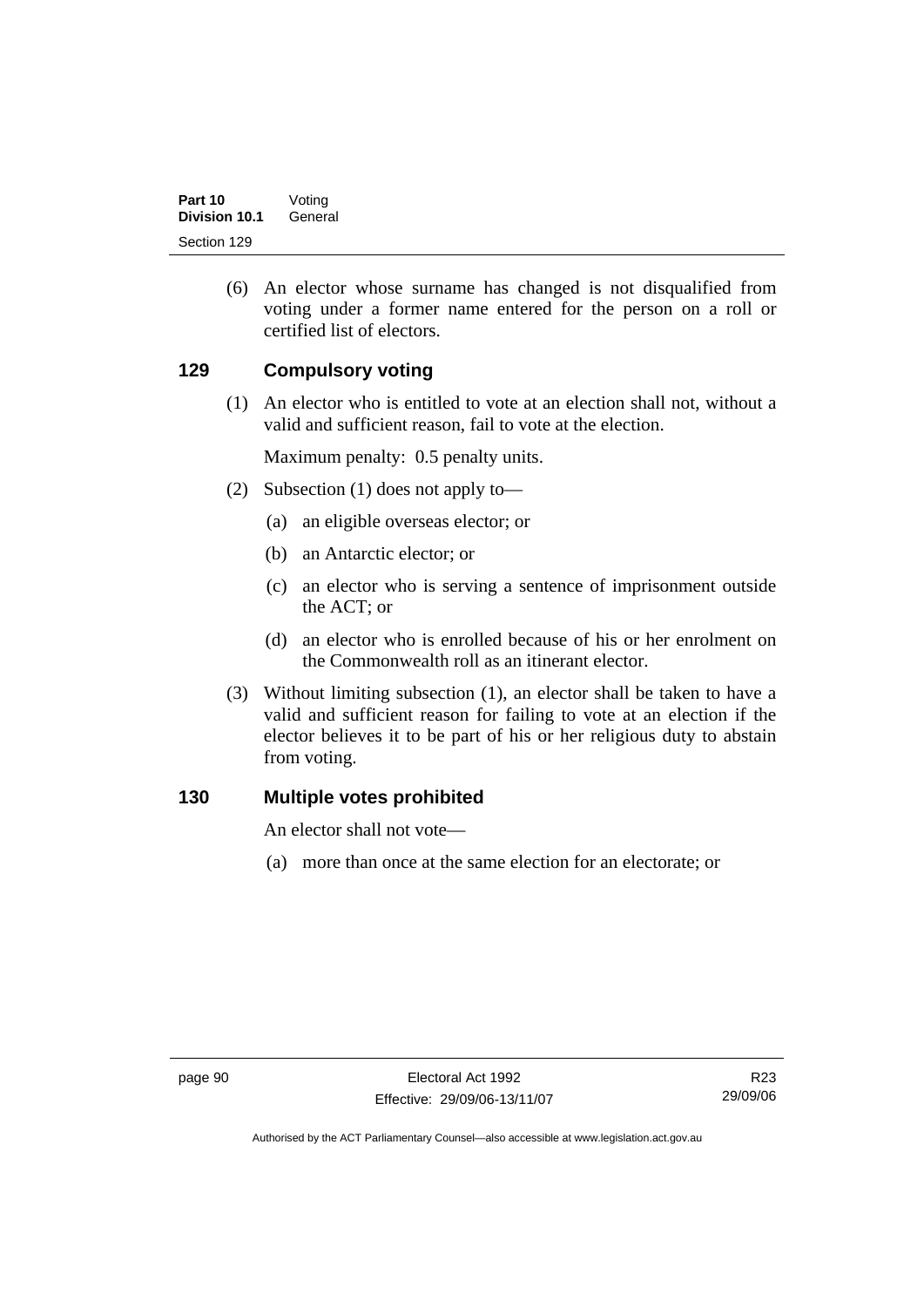(6) An elector whose surname has changed is not disqualified from voting under a former name entered for the person on a roll or certified list of electors.

### **129 Compulsory voting**

 (1) An elector who is entitled to vote at an election shall not, without a valid and sufficient reason, fail to vote at the election.

Maximum penalty: 0.5 penalty units.

- (2) Subsection (1) does not apply to—
	- (a) an eligible overseas elector; or
	- (b) an Antarctic elector; or
	- (c) an elector who is serving a sentence of imprisonment outside the ACT; or
	- (d) an elector who is enrolled because of his or her enrolment on the Commonwealth roll as an itinerant elector.
- (3) Without limiting subsection (1), an elector shall be taken to have a valid and sufficient reason for failing to vote at an election if the elector believes it to be part of his or her religious duty to abstain from voting.

### **130 Multiple votes prohibited**

An elector shall not vote—

(a) more than once at the same election for an electorate; or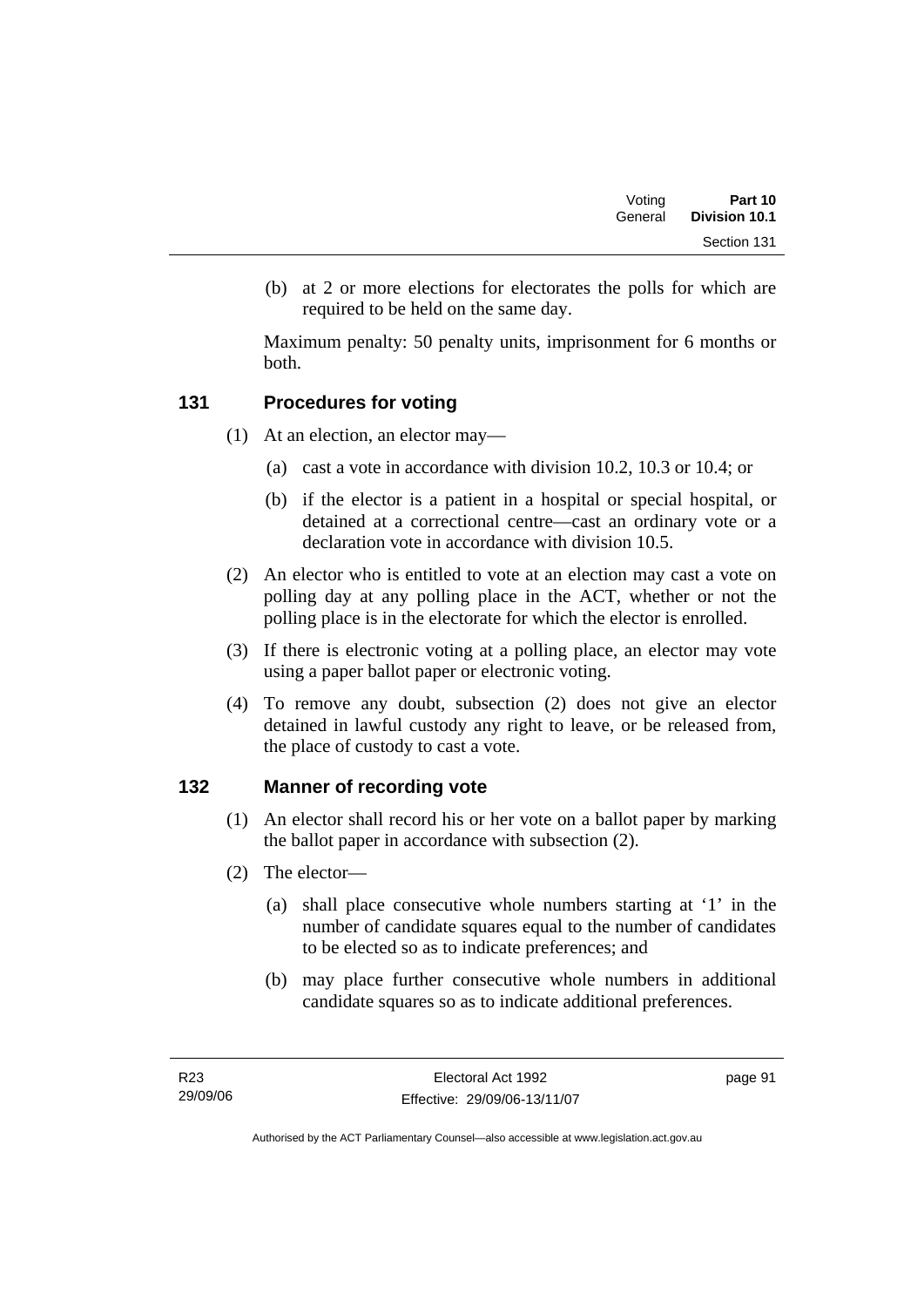| Voting  | Part 10       |  |
|---------|---------------|--|
| General | Division 10.1 |  |
|         | Section 131   |  |

 (b) at 2 or more elections for electorates the polls for which are required to be held on the same day.

Maximum penalty: 50 penalty units, imprisonment for 6 months or both.

### **131 Procedures for voting**

- (1) At an election, an elector may—
	- (a) cast a vote in accordance with division 10.2, 10.3 or 10.4; or
	- (b) if the elector is a patient in a hospital or special hospital, or detained at a correctional centre—cast an ordinary vote or a declaration vote in accordance with division 10.5.
- (2) An elector who is entitled to vote at an election may cast a vote on polling day at any polling place in the ACT, whether or not the polling place is in the electorate for which the elector is enrolled.
- (3) If there is electronic voting at a polling place, an elector may vote using a paper ballot paper or electronic voting.
- (4) To remove any doubt, subsection (2) does not give an elector detained in lawful custody any right to leave, or be released from, the place of custody to cast a vote.

## **132 Manner of recording vote**

- (1) An elector shall record his or her vote on a ballot paper by marking the ballot paper in accordance with subsection (2).
- (2) The elector—
	- (a) shall place consecutive whole numbers starting at '1' in the number of candidate squares equal to the number of candidates to be elected so as to indicate preferences; and
	- (b) may place further consecutive whole numbers in additional candidate squares so as to indicate additional preferences.

page 91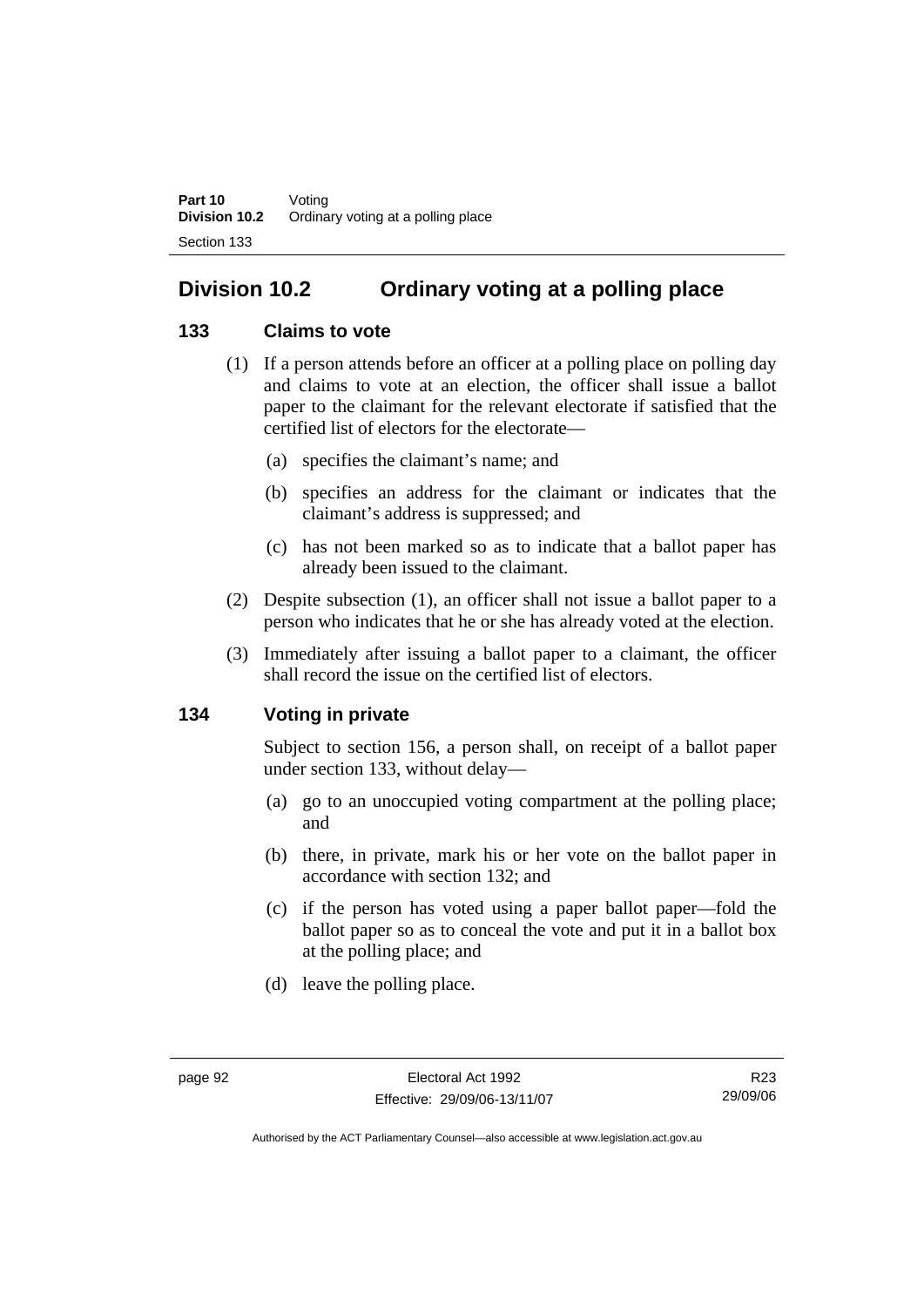# **Division 10.2 Ordinary voting at a polling place**

## **133 Claims to vote**

- (1) If a person attends before an officer at a polling place on polling day and claims to vote at an election, the officer shall issue a ballot paper to the claimant for the relevant electorate if satisfied that the certified list of electors for the electorate—
	- (a) specifies the claimant's name; and
	- (b) specifies an address for the claimant or indicates that the claimant's address is suppressed; and
	- (c) has not been marked so as to indicate that a ballot paper has already been issued to the claimant.
- (2) Despite subsection (1), an officer shall not issue a ballot paper to a person who indicates that he or she has already voted at the election.
- (3) Immediately after issuing a ballot paper to a claimant, the officer shall record the issue on the certified list of electors.

### **134 Voting in private**

Subject to section 156, a person shall, on receipt of a ballot paper under section 133, without delay—

- (a) go to an unoccupied voting compartment at the polling place; and
- (b) there, in private, mark his or her vote on the ballot paper in accordance with section 132; and
- (c) if the person has voted using a paper ballot paper—fold the ballot paper so as to conceal the vote and put it in a ballot box at the polling place; and
- (d) leave the polling place.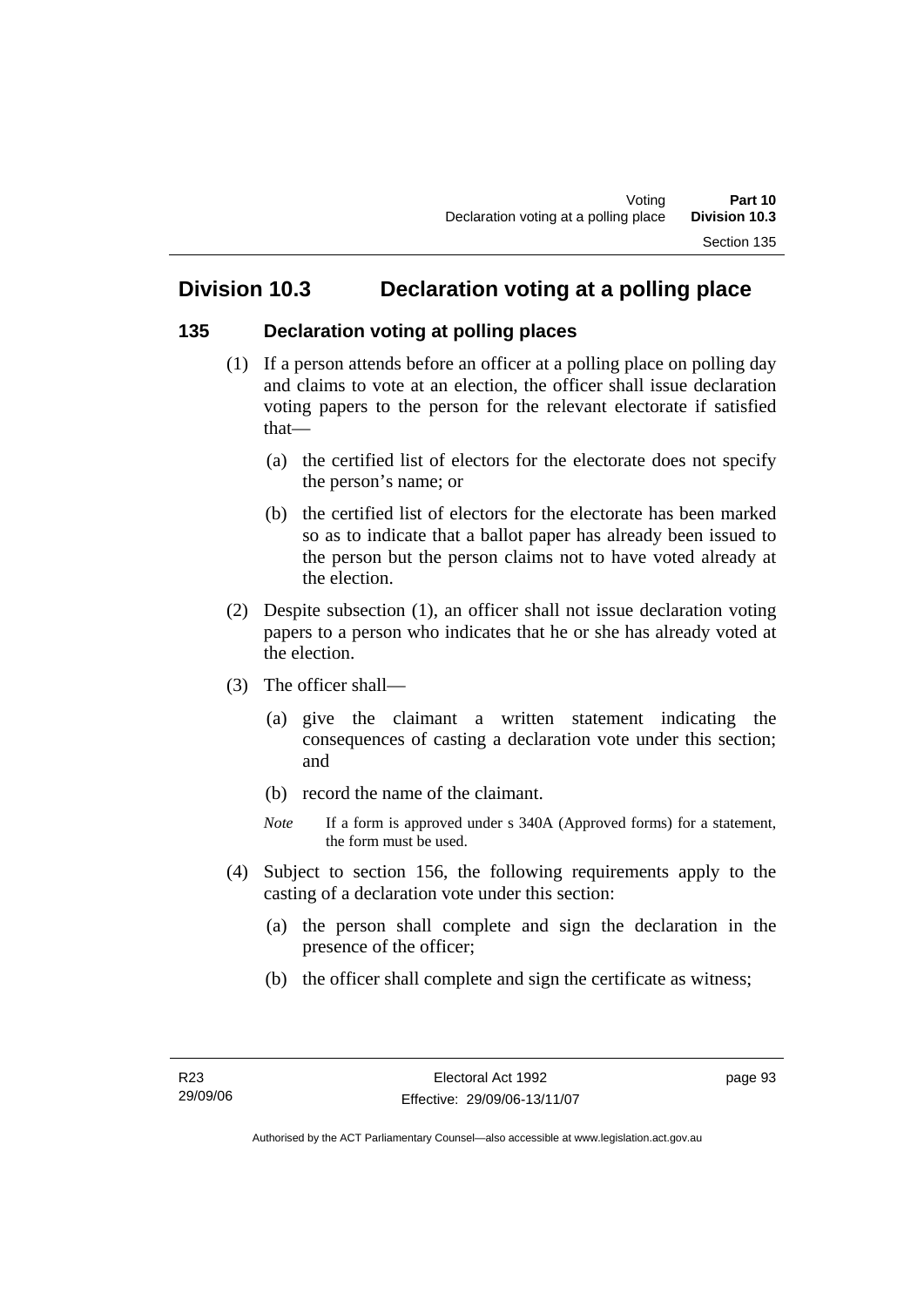# **Division 10.3 Declaration voting at a polling place**

## **135 Declaration voting at polling places**

- (1) If a person attends before an officer at a polling place on polling day and claims to vote at an election, the officer shall issue declaration voting papers to the person for the relevant electorate if satisfied that—
	- (a) the certified list of electors for the electorate does not specify the person's name; or
	- (b) the certified list of electors for the electorate has been marked so as to indicate that a ballot paper has already been issued to the person but the person claims not to have voted already at the election.
- (2) Despite subsection (1), an officer shall not issue declaration voting papers to a person who indicates that he or she has already voted at the election.
- (3) The officer shall—
	- (a) give the claimant a written statement indicating the consequences of casting a declaration vote under this section; and
	- (b) record the name of the claimant.
	- *Note* If a form is approved under s 340A (Approved forms) for a statement, the form must be used.
- (4) Subject to section 156, the following requirements apply to the casting of a declaration vote under this section:
	- (a) the person shall complete and sign the declaration in the presence of the officer;
	- (b) the officer shall complete and sign the certificate as witness;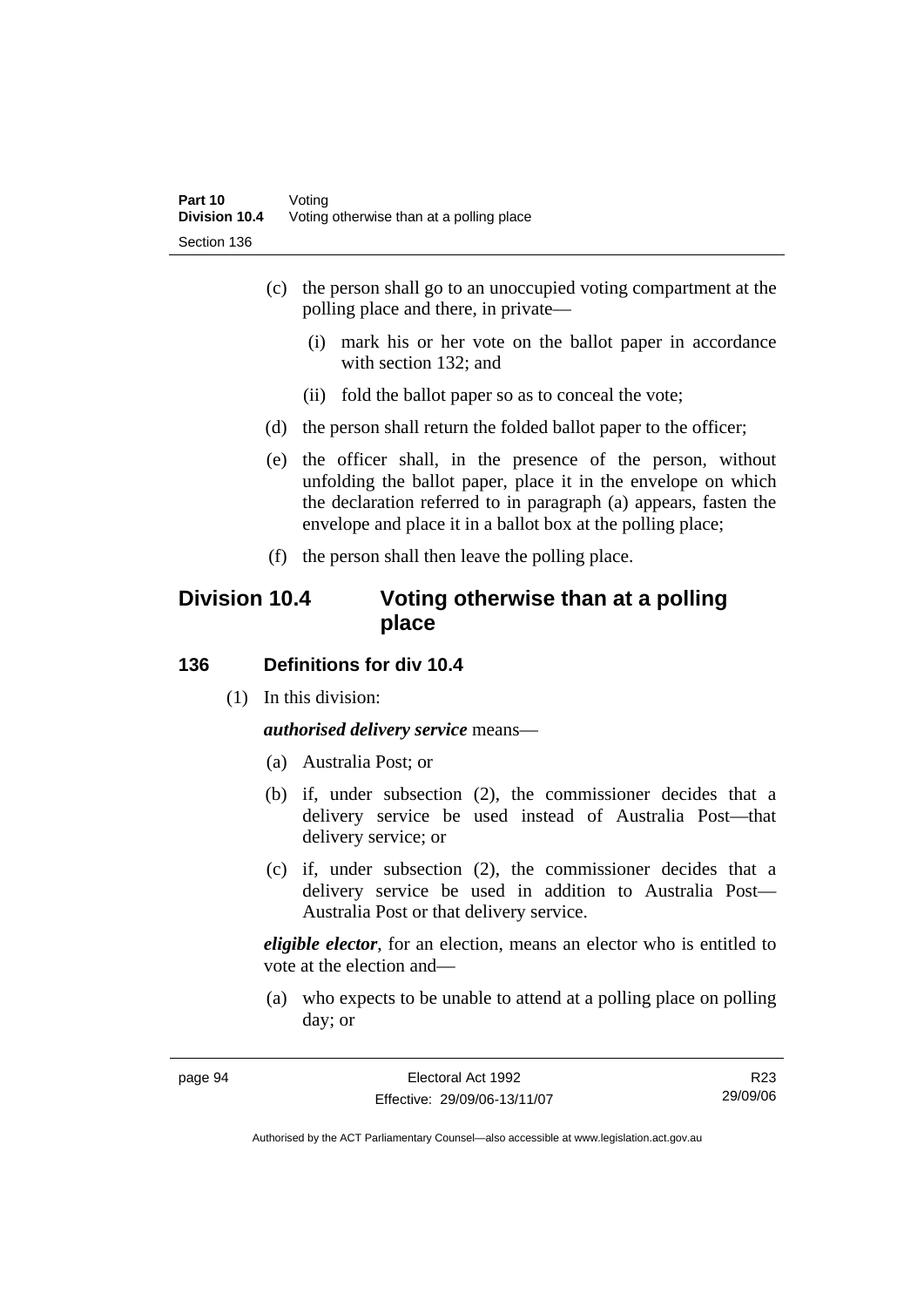- (c) the person shall go to an unoccupied voting compartment at the polling place and there, in private—
	- (i) mark his or her vote on the ballot paper in accordance with section 132; and
	- (ii) fold the ballot paper so as to conceal the vote;
- (d) the person shall return the folded ballot paper to the officer;
- (e) the officer shall, in the presence of the person, without unfolding the ballot paper, place it in the envelope on which the declaration referred to in paragraph (a) appears, fasten the envelope and place it in a ballot box at the polling place;
- (f) the person shall then leave the polling place.

# **Division 10.4 Voting otherwise than at a polling place**

#### **136 Definitions for div 10.4**

(1) In this division:

*authorised delivery service* means—

- (a) Australia Post; or
- (b) if, under subsection (2), the commissioner decides that a delivery service be used instead of Australia Post—that delivery service; or
- (c) if, under subsection (2), the commissioner decides that a delivery service be used in addition to Australia Post— Australia Post or that delivery service.

*eligible elector*, for an election, means an elector who is entitled to vote at the election and—

 (a) who expects to be unable to attend at a polling place on polling day; or

R23 29/09/06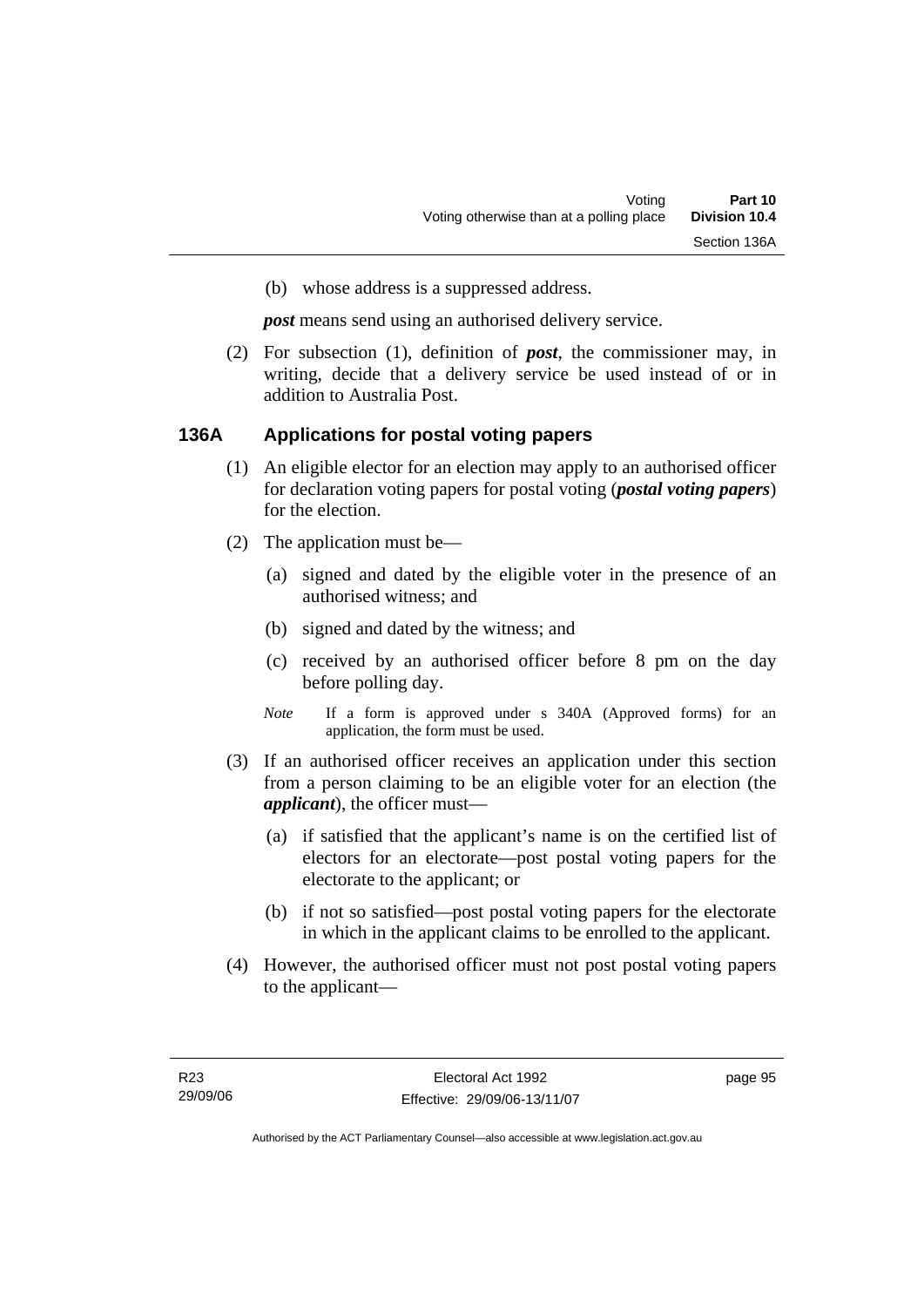(b) whose address is a suppressed address.

*post* means send using an authorised delivery service.

 (2) For subsection (1), definition of *post*, the commissioner may, in writing, decide that a delivery service be used instead of or in addition to Australia Post.

#### **136A Applications for postal voting papers**

- (1) An eligible elector for an election may apply to an authorised officer for declaration voting papers for postal voting (*postal voting papers*) for the election.
- (2) The application must be—
	- (a) signed and dated by the eligible voter in the presence of an authorised witness; and
	- (b) signed and dated by the witness; and
	- (c) received by an authorised officer before 8 pm on the day before polling day.
	- *Note* If a form is approved under s 340A (Approved forms) for an application, the form must be used.
- (3) If an authorised officer receives an application under this section from a person claiming to be an eligible voter for an election (the *applicant*), the officer must—
	- (a) if satisfied that the applicant's name is on the certified list of electors for an electorate—post postal voting papers for the electorate to the applicant; or
	- (b) if not so satisfied—post postal voting papers for the electorate in which in the applicant claims to be enrolled to the applicant.
- (4) However, the authorised officer must not post postal voting papers to the applicant—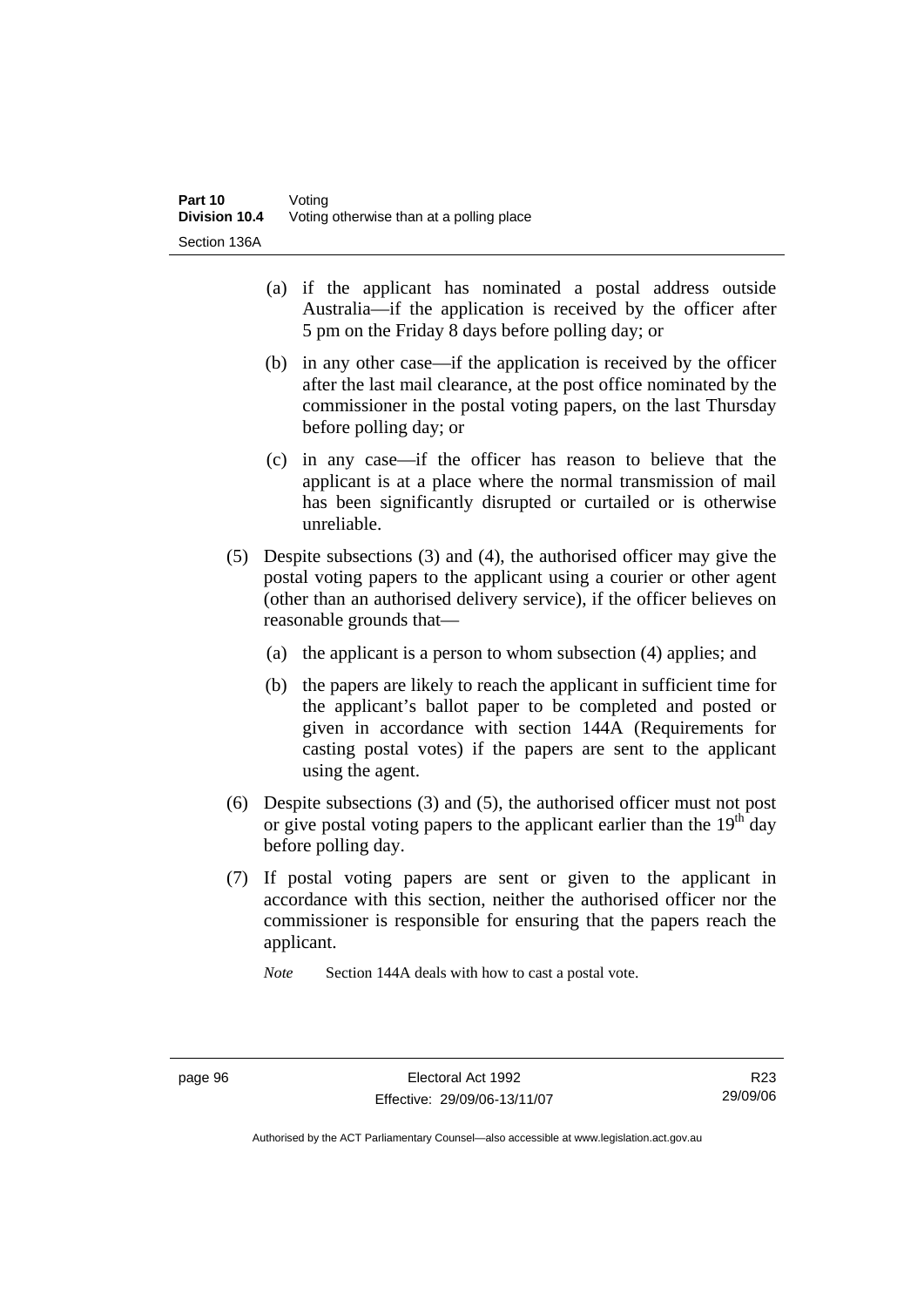- (a) if the applicant has nominated a postal address outside Australia—if the application is received by the officer after 5 pm on the Friday 8 days before polling day; or
- (b) in any other case—if the application is received by the officer after the last mail clearance, at the post office nominated by the commissioner in the postal voting papers, on the last Thursday before polling day; or
- (c) in any case—if the officer has reason to believe that the applicant is at a place where the normal transmission of mail has been significantly disrupted or curtailed or is otherwise unreliable.
- (5) Despite subsections (3) and (4), the authorised officer may give the postal voting papers to the applicant using a courier or other agent (other than an authorised delivery service), if the officer believes on reasonable grounds that—
	- (a) the applicant is a person to whom subsection (4) applies; and
	- (b) the papers are likely to reach the applicant in sufficient time for the applicant's ballot paper to be completed and posted or given in accordance with section 144A (Requirements for casting postal votes) if the papers are sent to the applicant using the agent.
- (6) Despite subsections (3) and (5), the authorised officer must not post or give postal voting papers to the applicant earlier than the  $19<sup>th</sup>$  day before polling day.
- (7) If postal voting papers are sent or given to the applicant in accordance with this section, neither the authorised officer nor the commissioner is responsible for ensuring that the papers reach the applicant.

*Note* Section 144A deals with how to cast a postal vote.

R23 29/09/06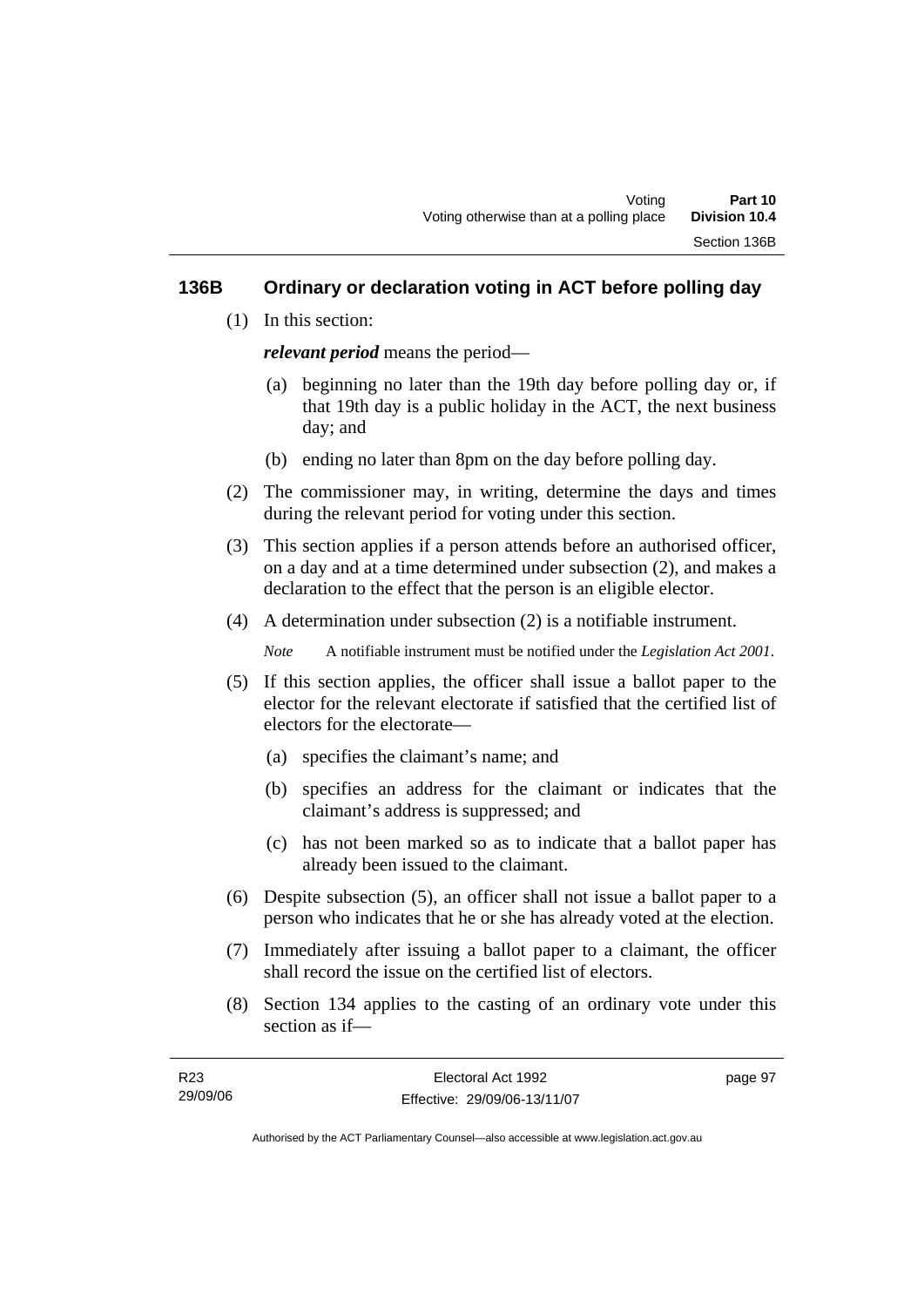### **136B Ordinary or declaration voting in ACT before polling day**

(1) In this section:

*relevant period* means the period—

- (a) beginning no later than the 19th day before polling day or, if that 19th day is a public holiday in the ACT, the next business day; and
- (b) ending no later than 8pm on the day before polling day.
- (2) The commissioner may, in writing, determine the days and times during the relevant period for voting under this section.
- (3) This section applies if a person attends before an authorised officer, on a day and at a time determined under subsection (2), and makes a declaration to the effect that the person is an eligible elector.
- (4) A determination under subsection (2) is a notifiable instrument.

*Note* A notifiable instrument must be notified under the *Legislation Act 2001*.

- (5) If this section applies, the officer shall issue a ballot paper to the elector for the relevant electorate if satisfied that the certified list of electors for the electorate—
	- (a) specifies the claimant's name; and
	- (b) specifies an address for the claimant or indicates that the claimant's address is suppressed; and
	- (c) has not been marked so as to indicate that a ballot paper has already been issued to the claimant.
- (6) Despite subsection (5), an officer shall not issue a ballot paper to a person who indicates that he or she has already voted at the election.
- (7) Immediately after issuing a ballot paper to a claimant, the officer shall record the issue on the certified list of electors.
- (8) Section 134 applies to the casting of an ordinary vote under this section as if—

| R23      | Electoral Act 1992           | page 97 |
|----------|------------------------------|---------|
| 29/09/06 | Effective: 29/09/06-13/11/07 |         |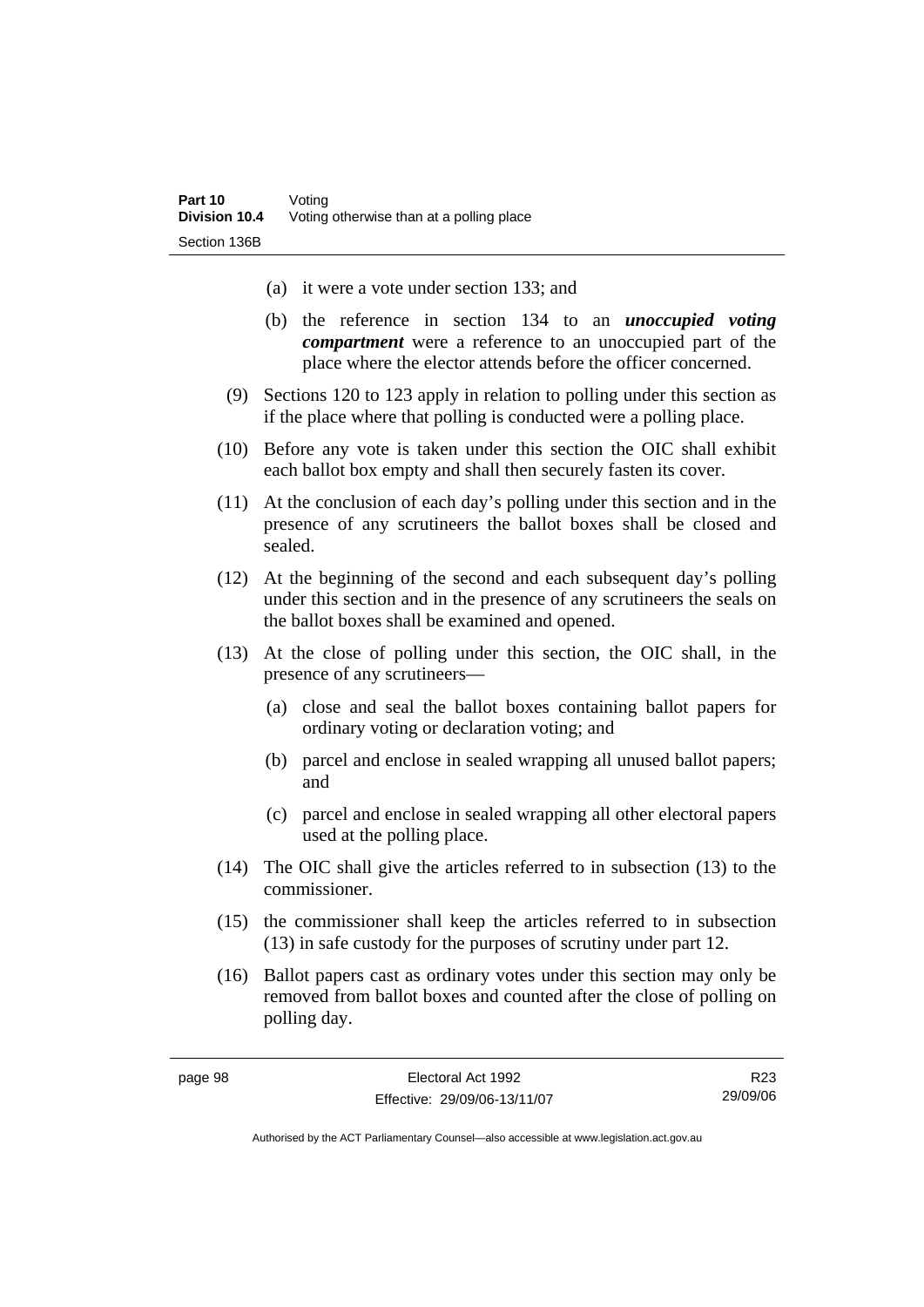- (a) it were a vote under section 133; and
- (b) the reference in section 134 to an *unoccupied voting compartment* were a reference to an unoccupied part of the place where the elector attends before the officer concerned.
- (9) Sections 120 to 123 apply in relation to polling under this section as if the place where that polling is conducted were a polling place.
- (10) Before any vote is taken under this section the OIC shall exhibit each ballot box empty and shall then securely fasten its cover.
- (11) At the conclusion of each day's polling under this section and in the presence of any scrutineers the ballot boxes shall be closed and sealed.
- (12) At the beginning of the second and each subsequent day's polling under this section and in the presence of any scrutineers the seals on the ballot boxes shall be examined and opened.
- (13) At the close of polling under this section, the OIC shall, in the presence of any scrutineers—
	- (a) close and seal the ballot boxes containing ballot papers for ordinary voting or declaration voting; and
	- (b) parcel and enclose in sealed wrapping all unused ballot papers; and
	- (c) parcel and enclose in sealed wrapping all other electoral papers used at the polling place.
- (14) The OIC shall give the articles referred to in subsection (13) to the commissioner.
- (15) the commissioner shall keep the articles referred to in subsection (13) in safe custody for the purposes of scrutiny under part 12.
- (16) Ballot papers cast as ordinary votes under this section may only be removed from ballot boxes and counted after the close of polling on polling day.

R23 29/09/06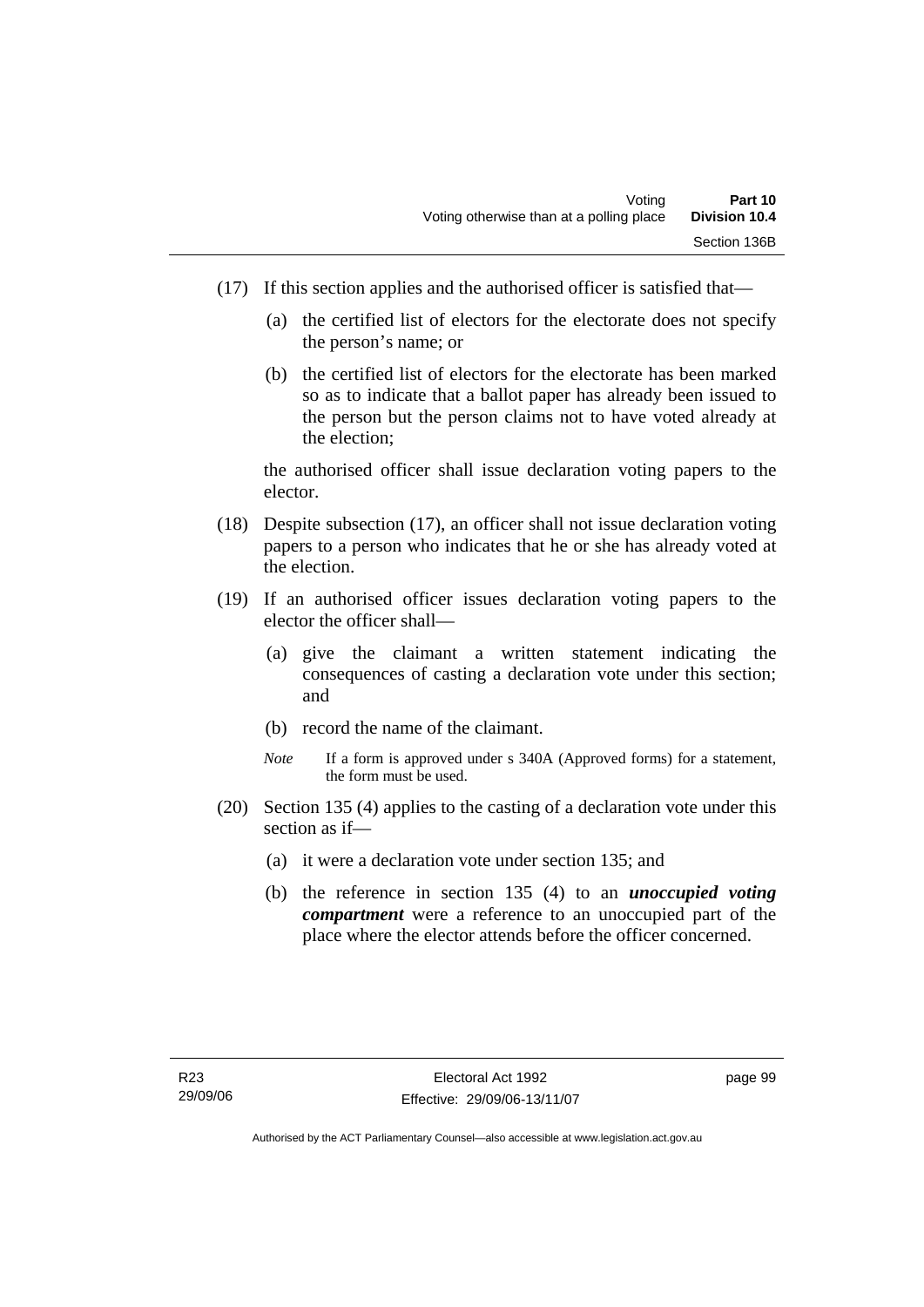- (17) If this section applies and the authorised officer is satisfied that—
	- (a) the certified list of electors for the electorate does not specify the person's name; or
	- (b) the certified list of electors for the electorate has been marked so as to indicate that a ballot paper has already been issued to the person but the person claims not to have voted already at the election;

the authorised officer shall issue declaration voting papers to the elector.

- (18) Despite subsection (17), an officer shall not issue declaration voting papers to a person who indicates that he or she has already voted at the election.
- (19) If an authorised officer issues declaration voting papers to the elector the officer shall—
	- (a) give the claimant a written statement indicating the consequences of casting a declaration vote under this section; and
	- (b) record the name of the claimant.
	- *Note* If a form is approved under s 340A (Approved forms) for a statement, the form must be used.
- (20) Section 135 (4) applies to the casting of a declaration vote under this section as if—
	- (a) it were a declaration vote under section 135; and
	- (b) the reference in section 135 (4) to an *unoccupied voting compartment* were a reference to an unoccupied part of the place where the elector attends before the officer concerned.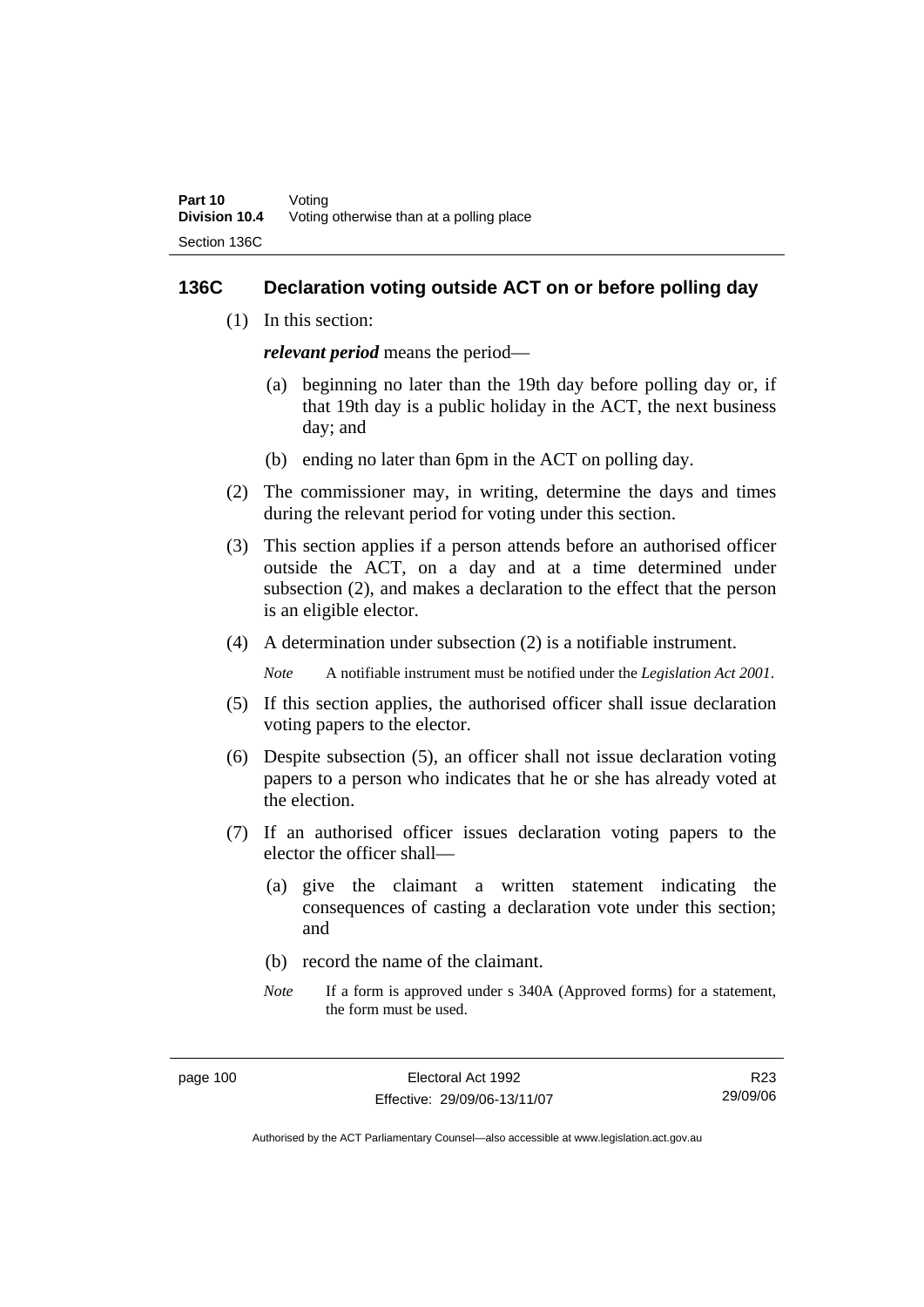### **136C Declaration voting outside ACT on or before polling day**

(1) In this section:

*relevant period* means the period—

- (a) beginning no later than the 19th day before polling day or, if that 19th day is a public holiday in the ACT, the next business day; and
- (b) ending no later than 6pm in the ACT on polling day.
- (2) The commissioner may, in writing, determine the days and times during the relevant period for voting under this section.
- (3) This section applies if a person attends before an authorised officer outside the ACT, on a day and at a time determined under subsection (2), and makes a declaration to the effect that the person is an eligible elector.
- (4) A determination under subsection (2) is a notifiable instrument.

*Note* A notifiable instrument must be notified under the *Legislation Act 2001*.

- (5) If this section applies, the authorised officer shall issue declaration voting papers to the elector.
- (6) Despite subsection (5), an officer shall not issue declaration voting papers to a person who indicates that he or she has already voted at the election.
- (7) If an authorised officer issues declaration voting papers to the elector the officer shall—
	- (a) give the claimant a written statement indicating the consequences of casting a declaration vote under this section; and
	- (b) record the name of the claimant.
	- *Note* If a form is approved under s 340A (Approved forms) for a statement, the form must be used.

R23 29/09/06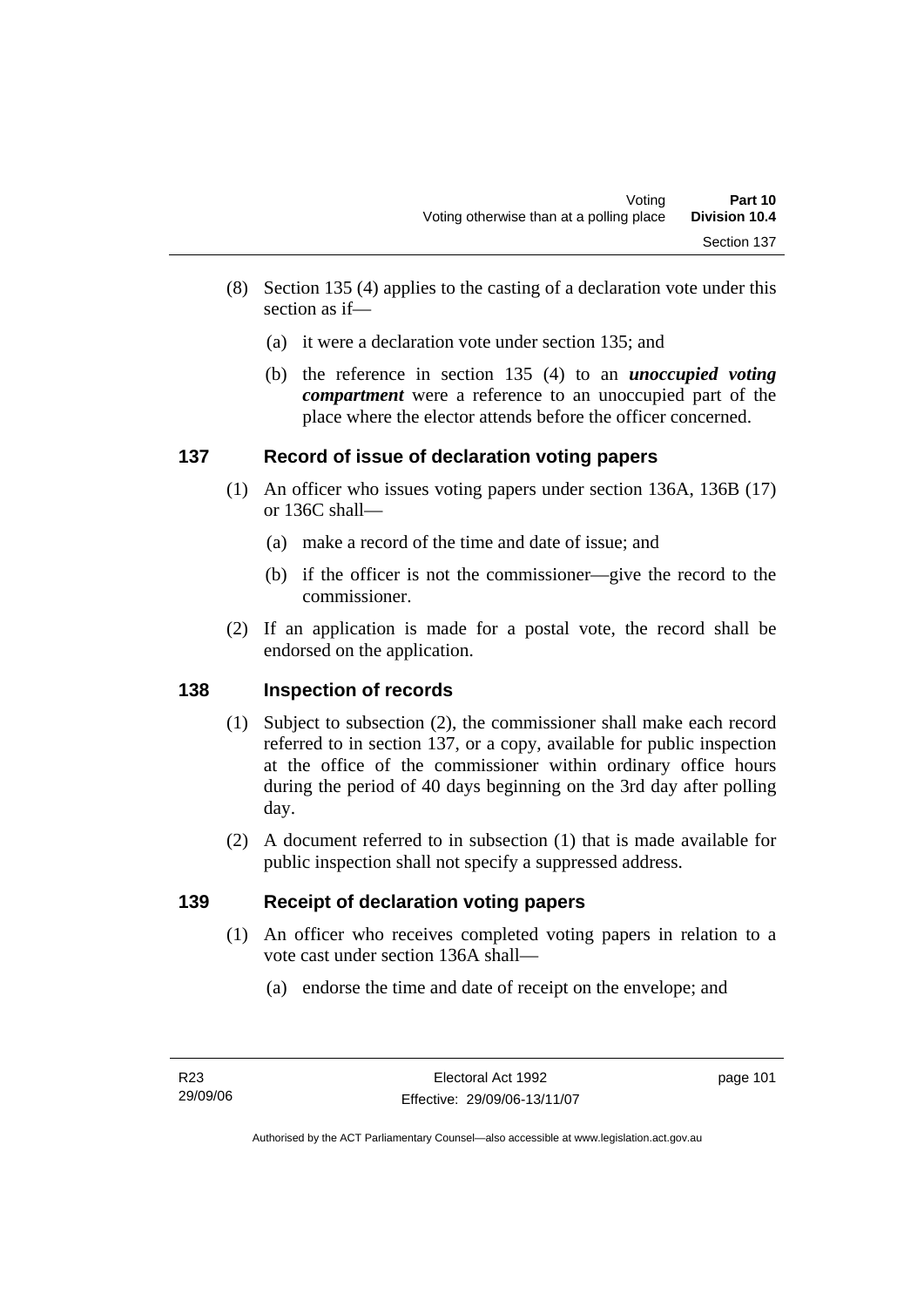- (8) Section 135 (4) applies to the casting of a declaration vote under this section as if—
	- (a) it were a declaration vote under section 135; and
	- (b) the reference in section 135 (4) to an *unoccupied voting compartment* were a reference to an unoccupied part of the place where the elector attends before the officer concerned.

## **137 Record of issue of declaration voting papers**

- (1) An officer who issues voting papers under section 136A, 136B (17) or 136C shall—
	- (a) make a record of the time and date of issue; and
	- (b) if the officer is not the commissioner—give the record to the commissioner.
- (2) If an application is made for a postal vote, the record shall be endorsed on the application.

## **138 Inspection of records**

- (1) Subject to subsection (2), the commissioner shall make each record referred to in section 137, or a copy, available for public inspection at the office of the commissioner within ordinary office hours during the period of 40 days beginning on the 3rd day after polling day.
- (2) A document referred to in subsection (1) that is made available for public inspection shall not specify a suppressed address.

## **139 Receipt of declaration voting papers**

- (1) An officer who receives completed voting papers in relation to a vote cast under section 136A shall—
	- (a) endorse the time and date of receipt on the envelope; and

page 101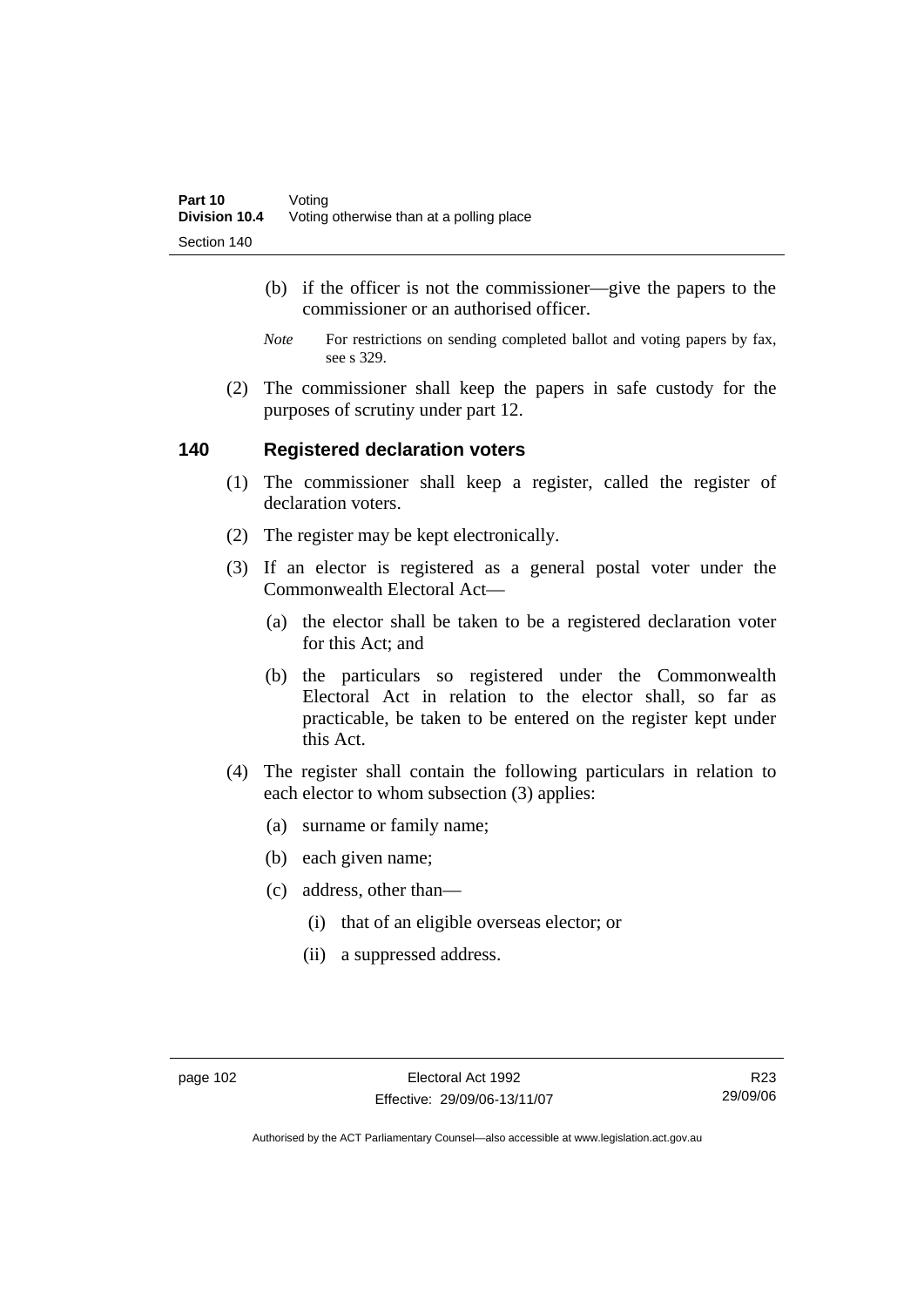- (b) if the officer is not the commissioner—give the papers to the commissioner or an authorised officer.
- *Note* For restrictions on sending completed ballot and voting papers by fax, see s 329.
- (2) The commissioner shall keep the papers in safe custody for the purposes of scrutiny under part 12.

### **140 Registered declaration voters**

- (1) The commissioner shall keep a register, called the register of declaration voters.
- (2) The register may be kept electronically.
- (3) If an elector is registered as a general postal voter under the Commonwealth Electoral Act—
	- (a) the elector shall be taken to be a registered declaration voter for this Act; and
	- (b) the particulars so registered under the Commonwealth Electoral Act in relation to the elector shall, so far as practicable, be taken to be entered on the register kept under this Act.
- (4) The register shall contain the following particulars in relation to each elector to whom subsection (3) applies:
	- (a) surname or family name;
	- (b) each given name;
	- (c) address, other than—
		- (i) that of an eligible overseas elector; or
		- (ii) a suppressed address.

R23 29/09/06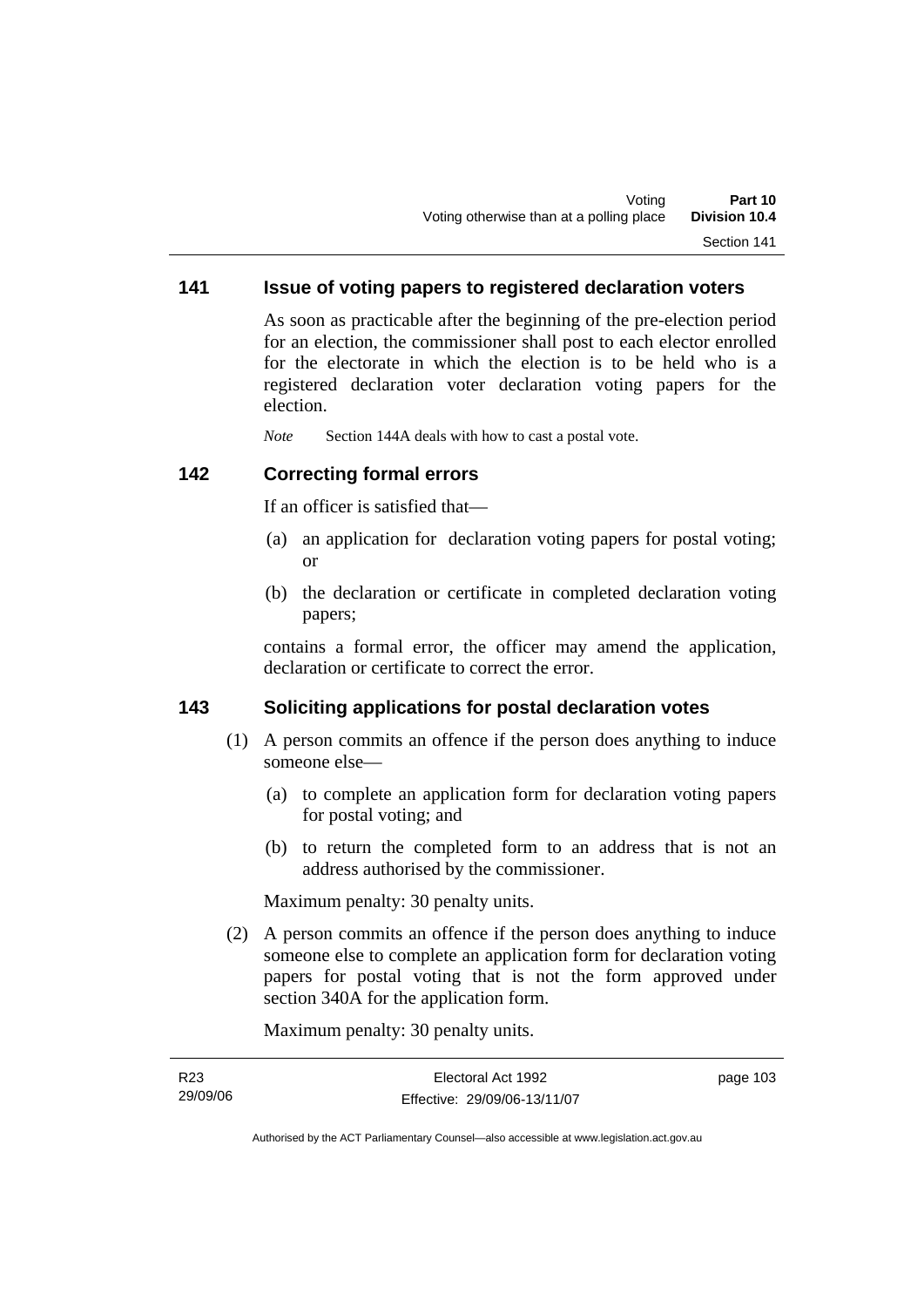### **141 Issue of voting papers to registered declaration voters**

As soon as practicable after the beginning of the pre-election period for an election, the commissioner shall post to each elector enrolled for the electorate in which the election is to be held who is a registered declaration voter declaration voting papers for the election.

*Note* Section 144A deals with how to cast a postal vote.

### **142 Correcting formal errors**

If an officer is satisfied that—

- (a) an application for declaration voting papers for postal voting; or
- (b) the declaration or certificate in completed declaration voting papers;

contains a formal error, the officer may amend the application, declaration or certificate to correct the error.

### **143 Soliciting applications for postal declaration votes**

- (1) A person commits an offence if the person does anything to induce someone else—
	- (a) to complete an application form for declaration voting papers for postal voting; and
	- (b) to return the completed form to an address that is not an address authorised by the commissioner.

Maximum penalty: 30 penalty units.

 (2) A person commits an offence if the person does anything to induce someone else to complete an application form for declaration voting papers for postal voting that is not the form approved under section 340A for the application form.

Maximum penalty: 30 penalty units.

| R23      | Electoral Act 1992           | page 103 |
|----------|------------------------------|----------|
| 29/09/06 | Effective: 29/09/06-13/11/07 |          |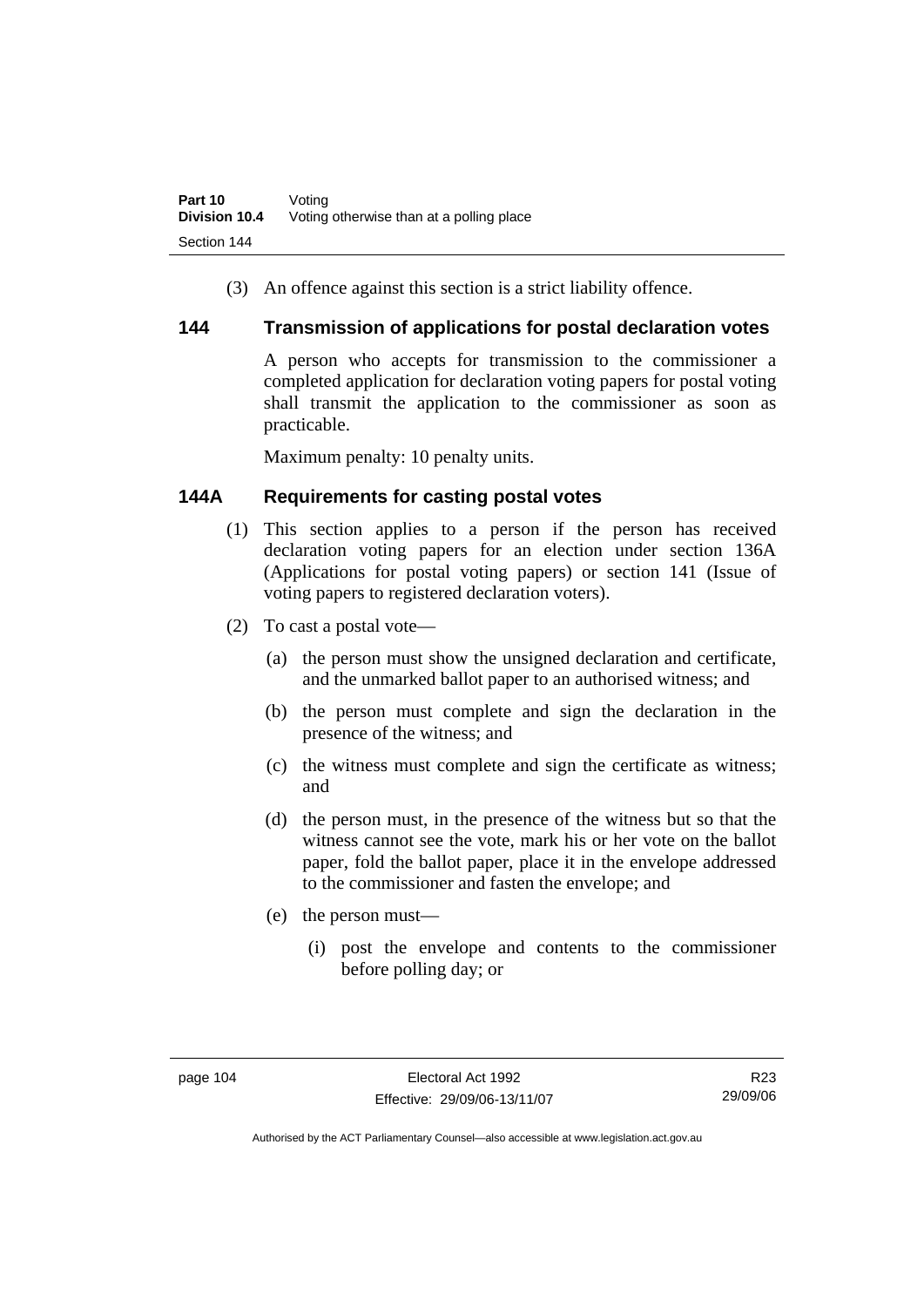(3) An offence against this section is a strict liability offence.

### **144 Transmission of applications for postal declaration votes**

A person who accepts for transmission to the commissioner a completed application for declaration voting papers for postal voting shall transmit the application to the commissioner as soon as practicable.

Maximum penalty: 10 penalty units.

## **144A Requirements for casting postal votes**

- (1) This section applies to a person if the person has received declaration voting papers for an election under section 136A (Applications for postal voting papers) or section 141 (Issue of voting papers to registered declaration voters).
- (2) To cast a postal vote—
	- (a) the person must show the unsigned declaration and certificate, and the unmarked ballot paper to an authorised witness; and
	- (b) the person must complete and sign the declaration in the presence of the witness; and
	- (c) the witness must complete and sign the certificate as witness; and
	- (d) the person must, in the presence of the witness but so that the witness cannot see the vote, mark his or her vote on the ballot paper, fold the ballot paper, place it in the envelope addressed to the commissioner and fasten the envelope; and
	- (e) the person must—
		- (i) post the envelope and contents to the commissioner before polling day; or

R23 29/09/06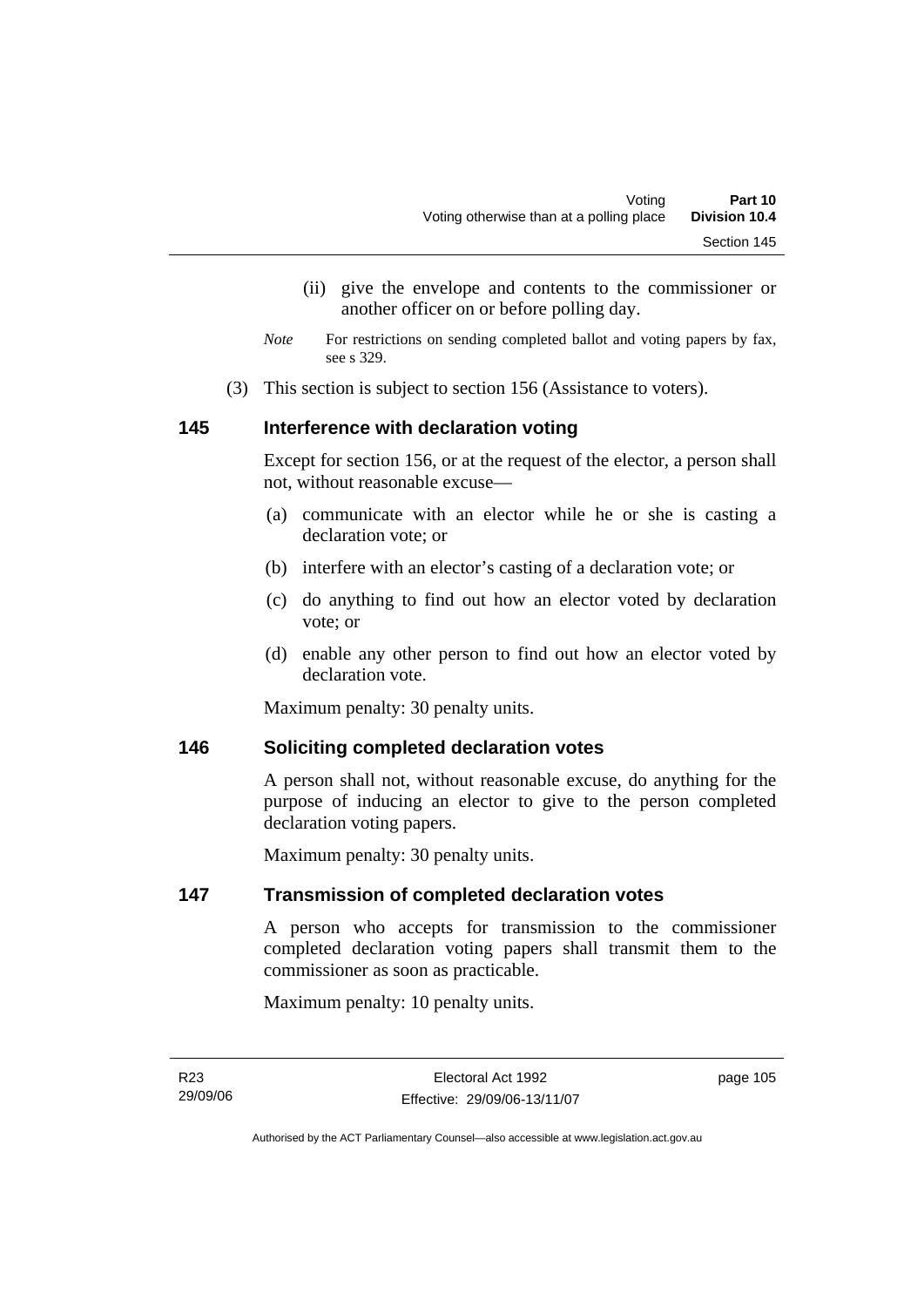- (ii) give the envelope and contents to the commissioner or another officer on or before polling day.
- *Note* For restrictions on sending completed ballot and voting papers by fax, see s 329.
- (3) This section is subject to section 156 (Assistance to voters).

### **145 Interference with declaration voting**

Except for section 156, or at the request of the elector, a person shall not, without reasonable excuse—

- (a) communicate with an elector while he or she is casting a declaration vote; or
- (b) interfere with an elector's casting of a declaration vote; or
- (c) do anything to find out how an elector voted by declaration vote; or
- (d) enable any other person to find out how an elector voted by declaration vote.

Maximum penalty: 30 penalty units.

### **146 Soliciting completed declaration votes**

A person shall not, without reasonable excuse, do anything for the purpose of inducing an elector to give to the person completed declaration voting papers.

Maximum penalty: 30 penalty units.

### **147 Transmission of completed declaration votes**

A person who accepts for transmission to the commissioner completed declaration voting papers shall transmit them to the commissioner as soon as practicable.

Maximum penalty: 10 penalty units.

page 105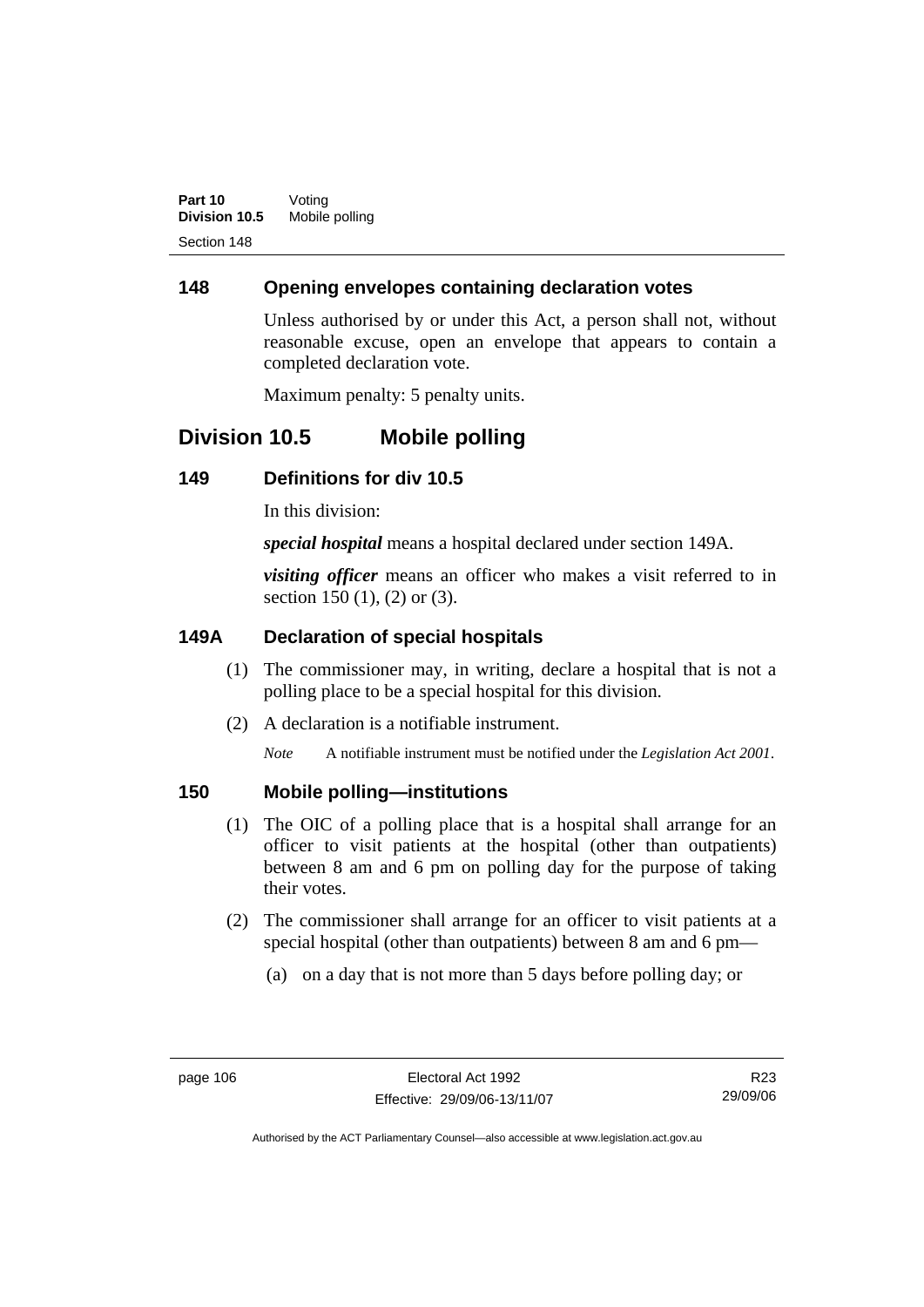### **148 Opening envelopes containing declaration votes**

Unless authorised by or under this Act, a person shall not, without reasonable excuse, open an envelope that appears to contain a completed declaration vote.

Maximum penalty: 5 penalty units.

# **Division 10.5 Mobile polling**

### **149 Definitions for div 10.5**

In this division:

*special hospital* means a hospital declared under section 149A.

*visiting officer* means an officer who makes a visit referred to in section 150 (1), (2) or (3).

### **149A Declaration of special hospitals**

- (1) The commissioner may, in writing, declare a hospital that is not a polling place to be a special hospital for this division.
- (2) A declaration is a notifiable instrument.

*Note* A notifiable instrument must be notified under the *Legislation Act 2001*.

### **150 Mobile polling—institutions**

- (1) The OIC of a polling place that is a hospital shall arrange for an officer to visit patients at the hospital (other than outpatients) between 8 am and 6 pm on polling day for the purpose of taking their votes.
- (2) The commissioner shall arrange for an officer to visit patients at a special hospital (other than outpatients) between 8 am and 6 pm—
	- (a) on a day that is not more than 5 days before polling day; or

R23 29/09/06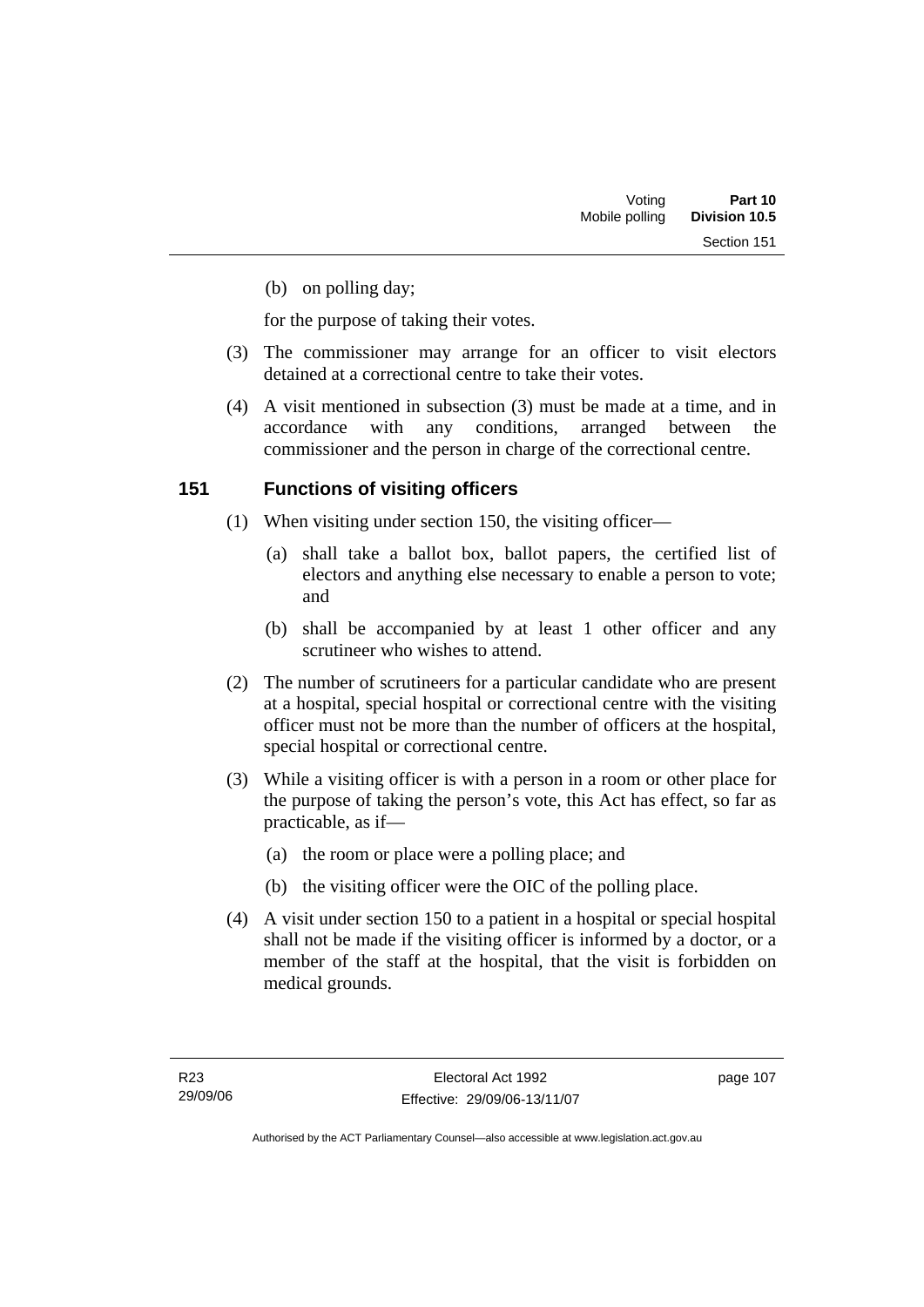(b) on polling day;

for the purpose of taking their votes.

- (3) The commissioner may arrange for an officer to visit electors detained at a correctional centre to take their votes.
- (4) A visit mentioned in subsection (3) must be made at a time, and in accordance with any conditions, arranged between the commissioner and the person in charge of the correctional centre.

## **151 Functions of visiting officers**

- (1) When visiting under section 150, the visiting officer—
	- (a) shall take a ballot box, ballot papers, the certified list of electors and anything else necessary to enable a person to vote; and
	- (b) shall be accompanied by at least 1 other officer and any scrutineer who wishes to attend.
- (2) The number of scrutineers for a particular candidate who are present at a hospital, special hospital or correctional centre with the visiting officer must not be more than the number of officers at the hospital, special hospital or correctional centre.
- (3) While a visiting officer is with a person in a room or other place for the purpose of taking the person's vote, this Act has effect, so far as practicable, as if—
	- (a) the room or place were a polling place; and
	- (b) the visiting officer were the OIC of the polling place.
- (4) A visit under section 150 to a patient in a hospital or special hospital shall not be made if the visiting officer is informed by a doctor, or a member of the staff at the hospital, that the visit is forbidden on medical grounds.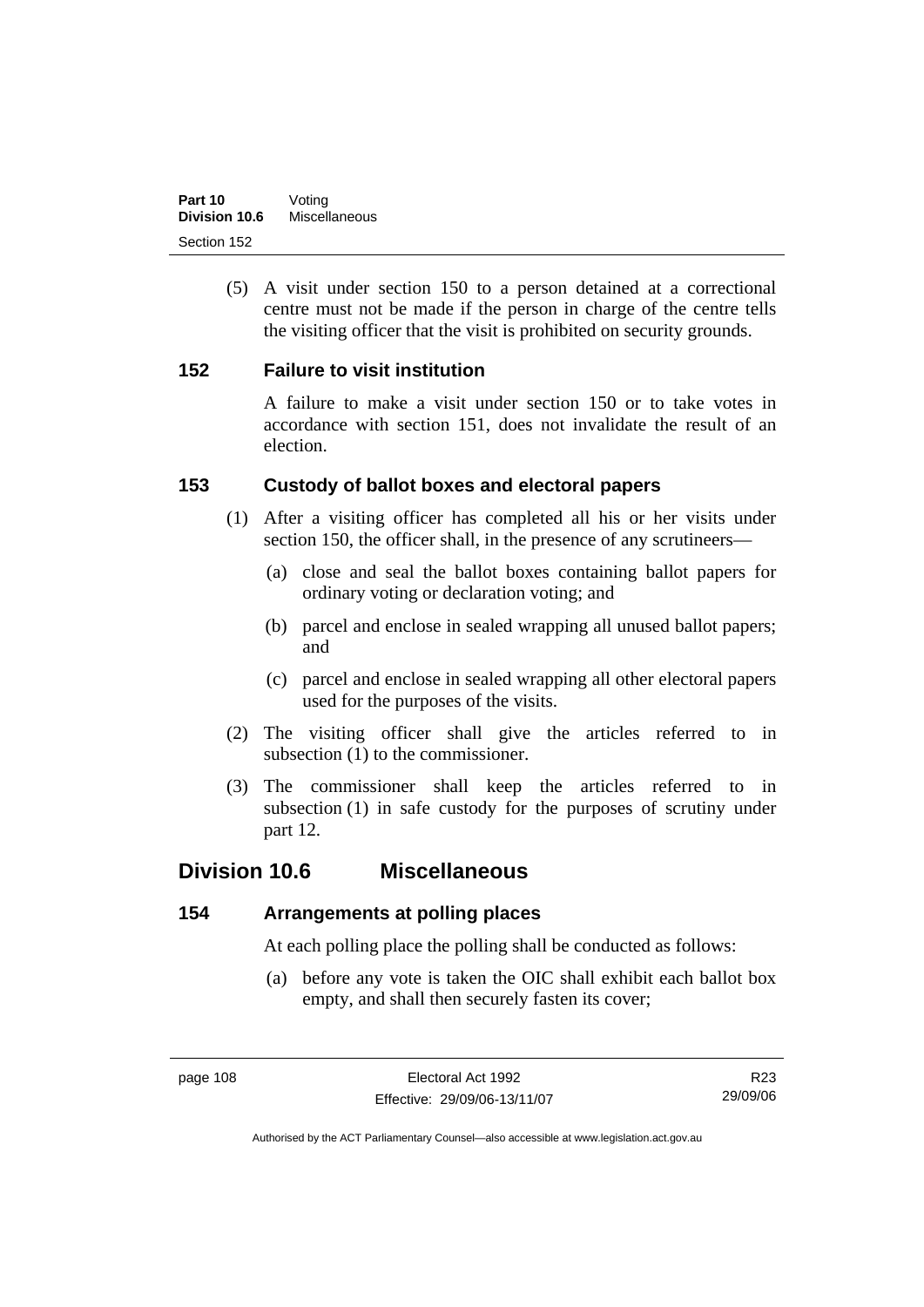(5) A visit under section 150 to a person detained at a correctional centre must not be made if the person in charge of the centre tells the visiting officer that the visit is prohibited on security grounds.

### **152 Failure to visit institution**

A failure to make a visit under section 150 or to take votes in accordance with section 151, does not invalidate the result of an election.

### **153 Custody of ballot boxes and electoral papers**

- (1) After a visiting officer has completed all his or her visits under section 150, the officer shall, in the presence of any scrutineers—
	- (a) close and seal the ballot boxes containing ballot papers for ordinary voting or declaration voting; and
	- (b) parcel and enclose in sealed wrapping all unused ballot papers; and
	- (c) parcel and enclose in sealed wrapping all other electoral papers used for the purposes of the visits.
- (2) The visiting officer shall give the articles referred to in subsection (1) to the commissioner.
- (3) The commissioner shall keep the articles referred to in subsection (1) in safe custody for the purposes of scrutiny under part 12.

## **Division 10.6 Miscellaneous**

### **154 Arrangements at polling places**

At each polling place the polling shall be conducted as follows:

 (a) before any vote is taken the OIC shall exhibit each ballot box empty, and shall then securely fasten its cover;

R23 29/09/06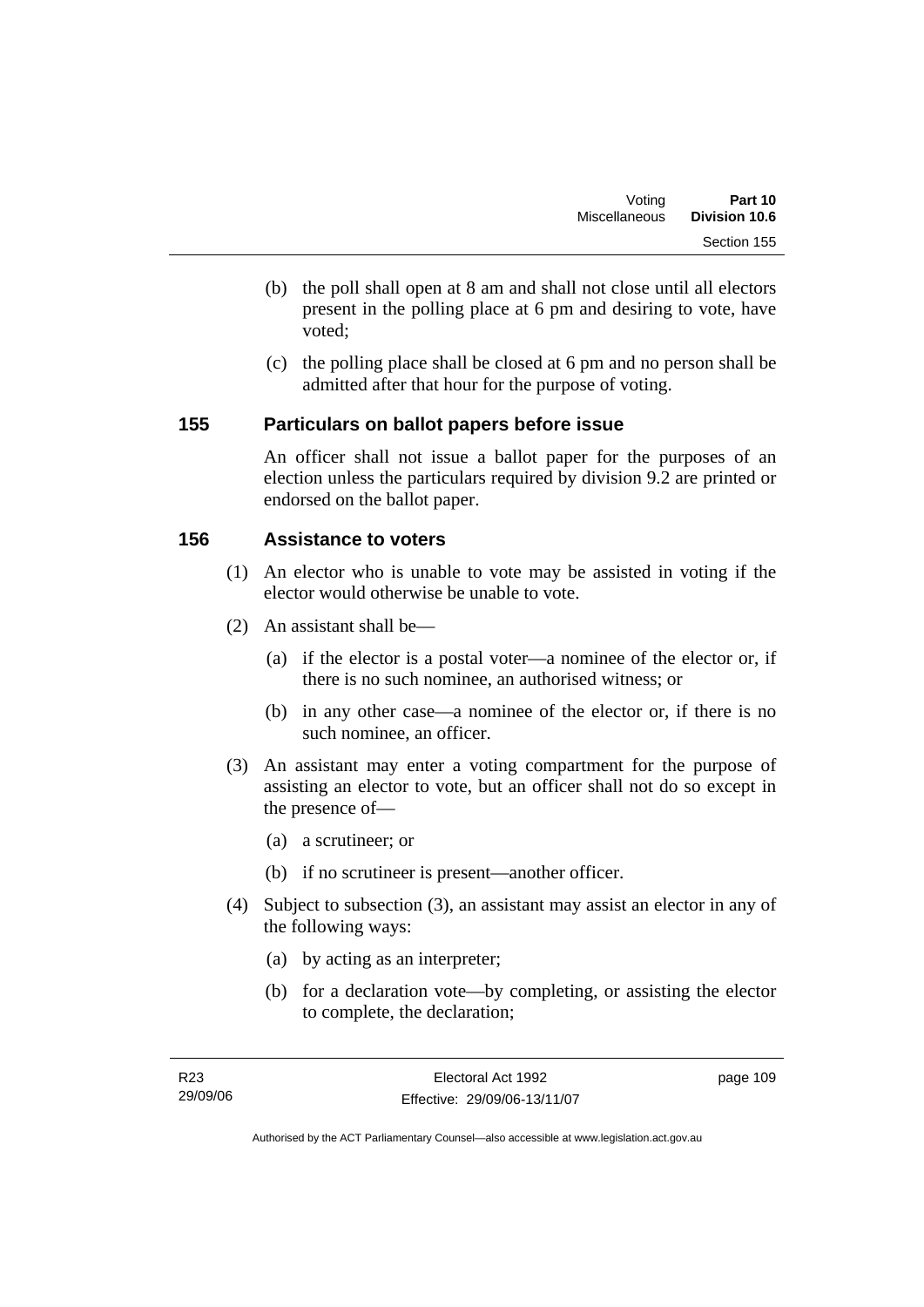- (b) the poll shall open at 8 am and shall not close until all electors present in the polling place at 6 pm and desiring to vote, have voted;
- (c) the polling place shall be closed at 6 pm and no person shall be admitted after that hour for the purpose of voting.

### **155 Particulars on ballot papers before issue**

An officer shall not issue a ballot paper for the purposes of an election unless the particulars required by division 9.2 are printed or endorsed on the ballot paper.

## **156 Assistance to voters**

- (1) An elector who is unable to vote may be assisted in voting if the elector would otherwise be unable to vote.
- (2) An assistant shall be—
	- (a) if the elector is a postal voter—a nominee of the elector or, if there is no such nominee, an authorised witness; or
	- (b) in any other case—a nominee of the elector or, if there is no such nominee, an officer.
- (3) An assistant may enter a voting compartment for the purpose of assisting an elector to vote, but an officer shall not do so except in the presence of—
	- (a) a scrutineer; or
	- (b) if no scrutineer is present—another officer.
- (4) Subject to subsection (3), an assistant may assist an elector in any of the following ways:
	- (a) by acting as an interpreter;
	- (b) for a declaration vote—by completing, or assisting the elector to complete, the declaration;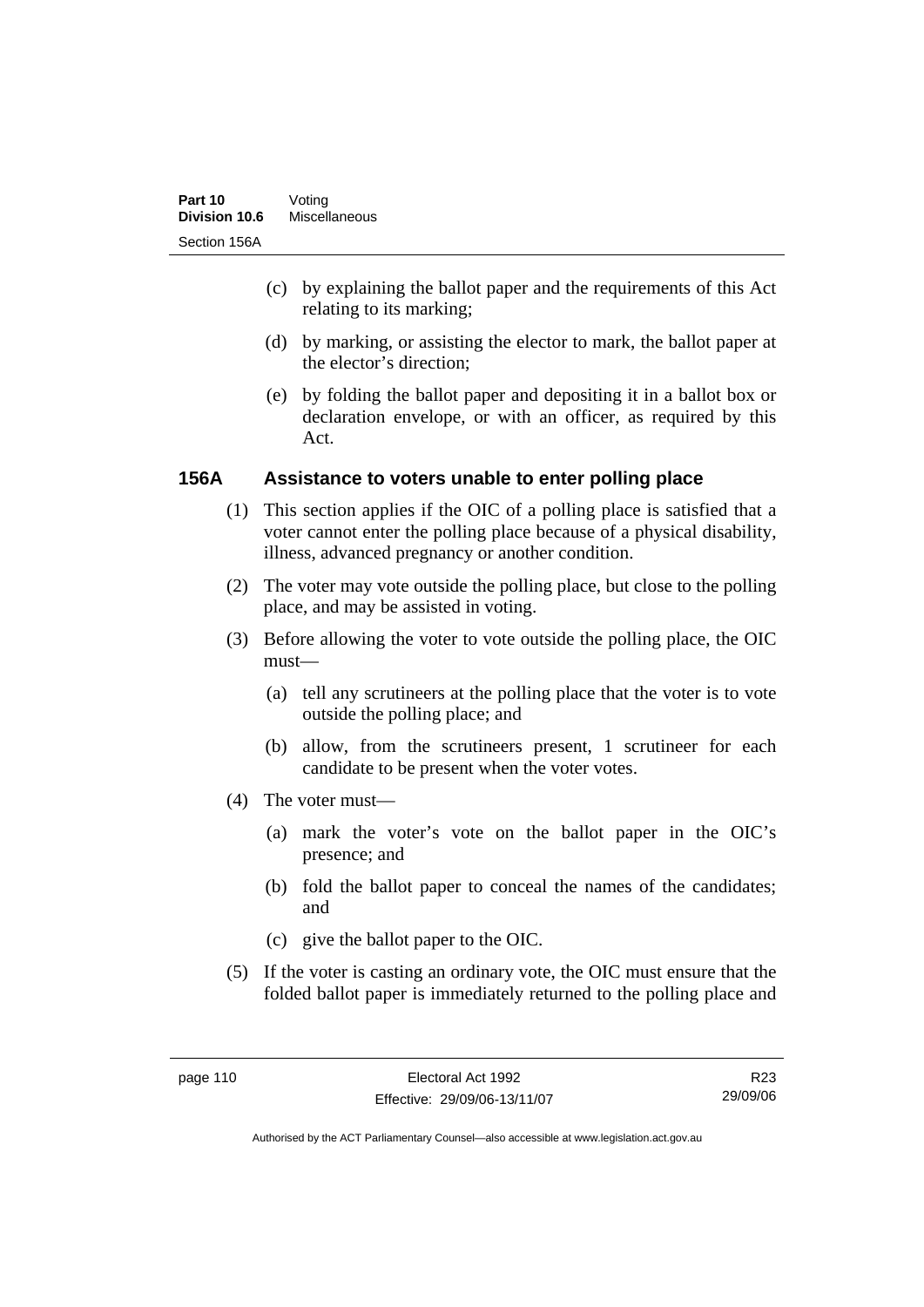- (c) by explaining the ballot paper and the requirements of this Act relating to its marking;
- (d) by marking, or assisting the elector to mark, the ballot paper at the elector's direction;
- (e) by folding the ballot paper and depositing it in a ballot box or declaration envelope, or with an officer, as required by this Act.

### **156A Assistance to voters unable to enter polling place**

- (1) This section applies if the OIC of a polling place is satisfied that a voter cannot enter the polling place because of a physical disability, illness, advanced pregnancy or another condition.
- (2) The voter may vote outside the polling place, but close to the polling place, and may be assisted in voting.
- (3) Before allowing the voter to vote outside the polling place, the OIC must—
	- (a) tell any scrutineers at the polling place that the voter is to vote outside the polling place; and
	- (b) allow, from the scrutineers present, 1 scrutineer for each candidate to be present when the voter votes.
- (4) The voter must—
	- (a) mark the voter's vote on the ballot paper in the OIC's presence; and
	- (b) fold the ballot paper to conceal the names of the candidates; and
	- (c) give the ballot paper to the OIC.
- (5) If the voter is casting an ordinary vote, the OIC must ensure that the folded ballot paper is immediately returned to the polling place and

R23 29/09/06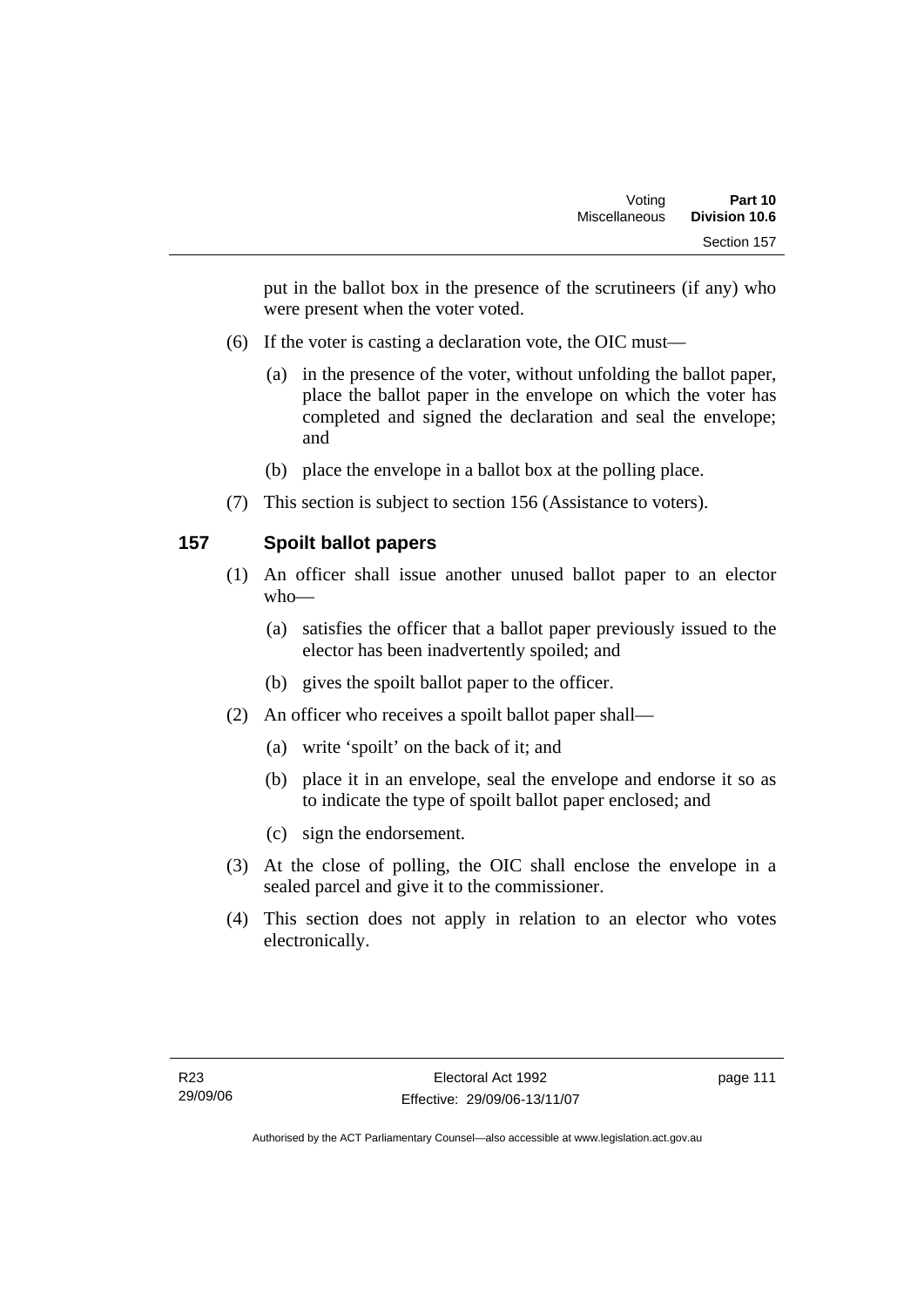put in the ballot box in the presence of the scrutineers (if any) who were present when the voter voted.

- (6) If the voter is casting a declaration vote, the OIC must—
	- (a) in the presence of the voter, without unfolding the ballot paper, place the ballot paper in the envelope on which the voter has completed and signed the declaration and seal the envelope; and
	- (b) place the envelope in a ballot box at the polling place.
- (7) This section is subject to section 156 (Assistance to voters).

## **157 Spoilt ballot papers**

- (1) An officer shall issue another unused ballot paper to an elector who—
	- (a) satisfies the officer that a ballot paper previously issued to the elector has been inadvertently spoiled; and
	- (b) gives the spoilt ballot paper to the officer.
- (2) An officer who receives a spoilt ballot paper shall—
	- (a) write 'spoilt' on the back of it; and
	- (b) place it in an envelope, seal the envelope and endorse it so as to indicate the type of spoilt ballot paper enclosed; and
	- (c) sign the endorsement.
- (3) At the close of polling, the OIC shall enclose the envelope in a sealed parcel and give it to the commissioner.
- (4) This section does not apply in relation to an elector who votes electronically.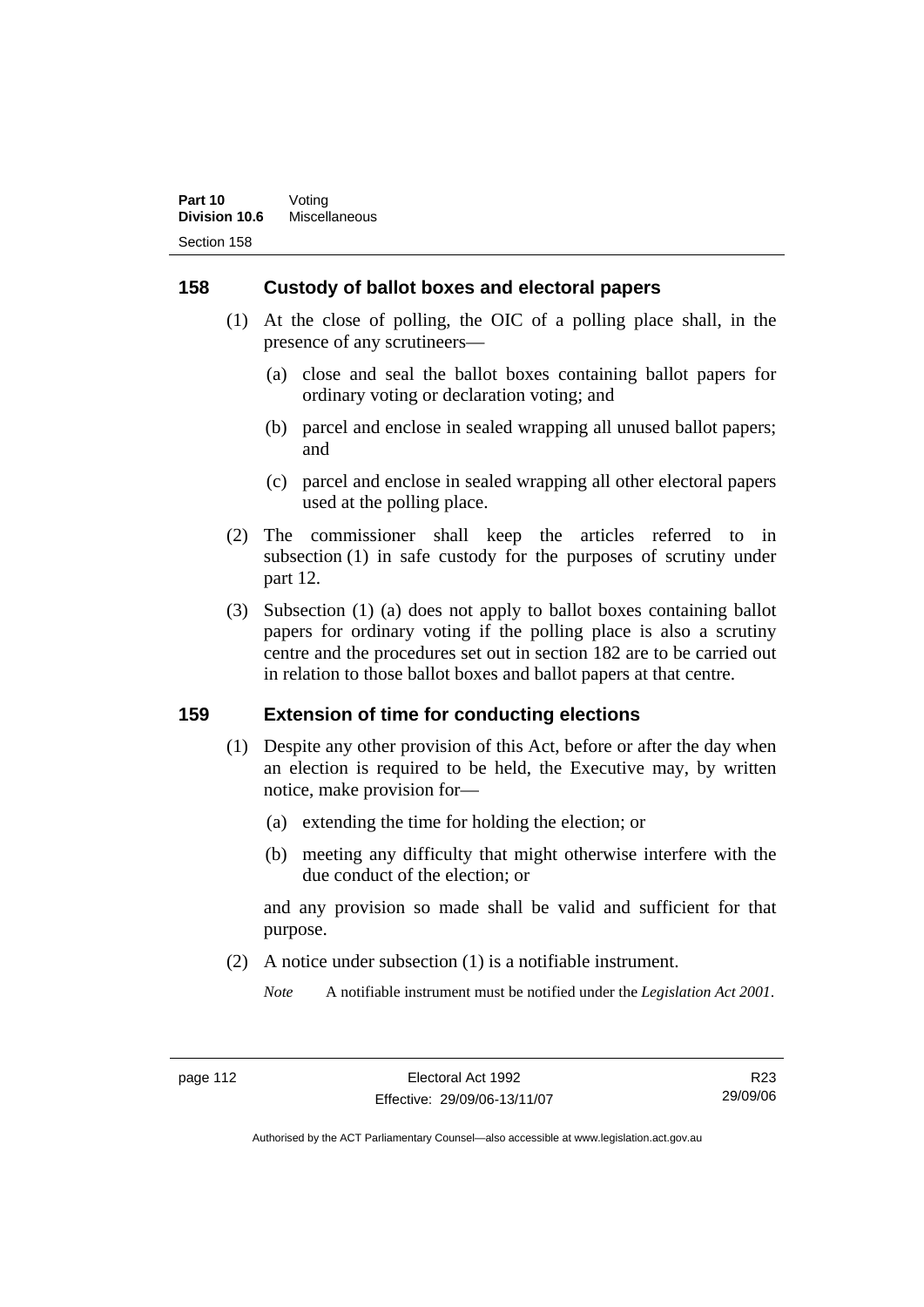### **158 Custody of ballot boxes and electoral papers**

- (1) At the close of polling, the OIC of a polling place shall, in the presence of any scrutineers—
	- (a) close and seal the ballot boxes containing ballot papers for ordinary voting or declaration voting; and
	- (b) parcel and enclose in sealed wrapping all unused ballot papers; and
	- (c) parcel and enclose in sealed wrapping all other electoral papers used at the polling place.
- (2) The commissioner shall keep the articles referred to in subsection (1) in safe custody for the purposes of scrutiny under part 12.
- (3) Subsection (1) (a) does not apply to ballot boxes containing ballot papers for ordinary voting if the polling place is also a scrutiny centre and the procedures set out in section 182 are to be carried out in relation to those ballot boxes and ballot papers at that centre.

### **159 Extension of time for conducting elections**

- (1) Despite any other provision of this Act, before or after the day when an election is required to be held, the Executive may, by written notice, make provision for—
	- (a) extending the time for holding the election; or
	- (b) meeting any difficulty that might otherwise interfere with the due conduct of the election; or

and any provision so made shall be valid and sufficient for that purpose.

(2) A notice under subsection (1) is a notifiable instrument.

*Note* A notifiable instrument must be notified under the *Legislation Act 2001*.

R23 29/09/06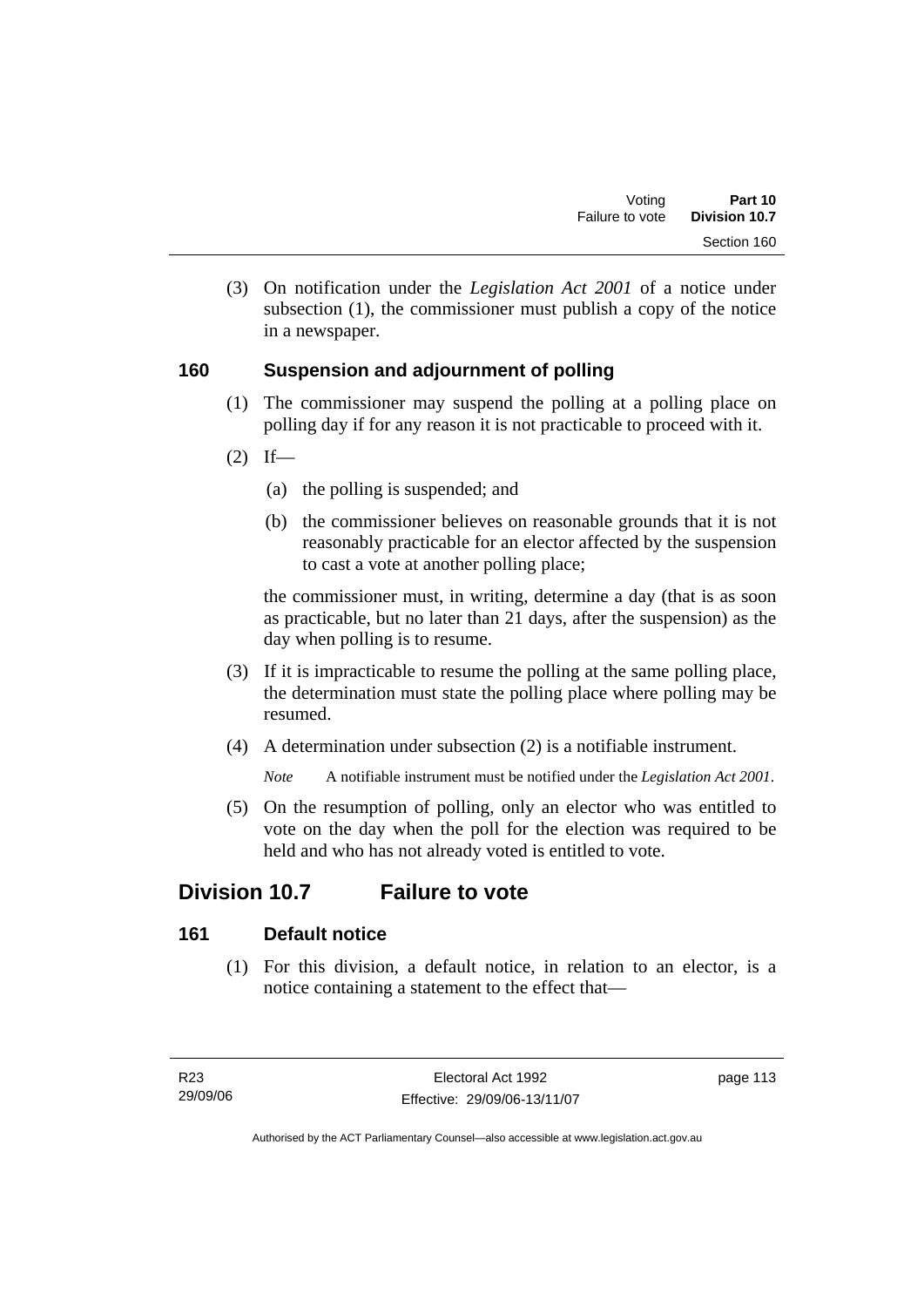(3) On notification under the *Legislation Act 2001* of a notice under subsection (1), the commissioner must publish a copy of the notice in a newspaper.

## **160 Suspension and adjournment of polling**

- (1) The commissioner may suspend the polling at a polling place on polling day if for any reason it is not practicable to proceed with it.
- $(2)$  If—
	- (a) the polling is suspended; and
	- (b) the commissioner believes on reasonable grounds that it is not reasonably practicable for an elector affected by the suspension to cast a vote at another polling place;

the commissioner must, in writing, determine a day (that is as soon as practicable, but no later than 21 days, after the suspension) as the day when polling is to resume.

- (3) If it is impracticable to resume the polling at the same polling place, the determination must state the polling place where polling may be resumed.
- (4) A determination under subsection (2) is a notifiable instrument.

*Note* A notifiable instrument must be notified under the *Legislation Act 2001*.

 (5) On the resumption of polling, only an elector who was entitled to vote on the day when the poll for the election was required to be held and who has not already voted is entitled to vote.

# **Division 10.7 Failure to vote**

## **161 Default notice**

 (1) For this division, a default notice, in relation to an elector, is a notice containing a statement to the effect that—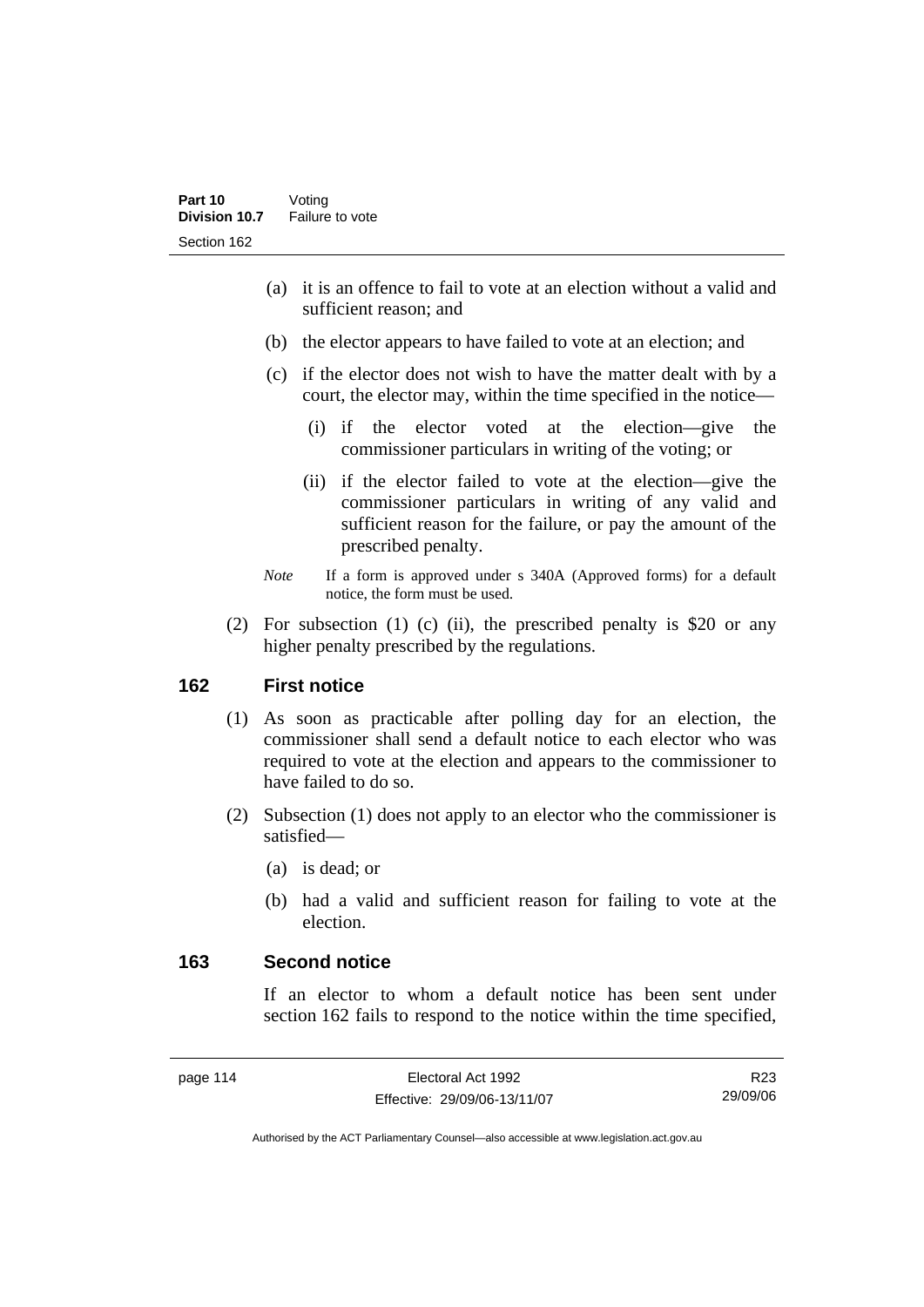- (a) it is an offence to fail to vote at an election without a valid and sufficient reason; and
- (b) the elector appears to have failed to vote at an election; and
- (c) if the elector does not wish to have the matter dealt with by a court, the elector may, within the time specified in the notice—
	- (i) if the elector voted at the election—give the commissioner particulars in writing of the voting; or
	- (ii) if the elector failed to vote at the election—give the commissioner particulars in writing of any valid and sufficient reason for the failure, or pay the amount of the prescribed penalty.
- *Note* If a form is approved under s 340A (Approved forms) for a default notice, the form must be used.
- (2) For subsection (1) (c) (ii), the prescribed penalty is \$20 or any higher penalty prescribed by the regulations.

## **162 First notice**

- (1) As soon as practicable after polling day for an election, the commissioner shall send a default notice to each elector who was required to vote at the election and appears to the commissioner to have failed to do so.
- (2) Subsection (1) does not apply to an elector who the commissioner is satisfied—
	- (a) is dead; or
	- (b) had a valid and sufficient reason for failing to vote at the election.

### **163 Second notice**

If an elector to whom a default notice has been sent under section 162 fails to respond to the notice within the time specified,

R23 29/09/06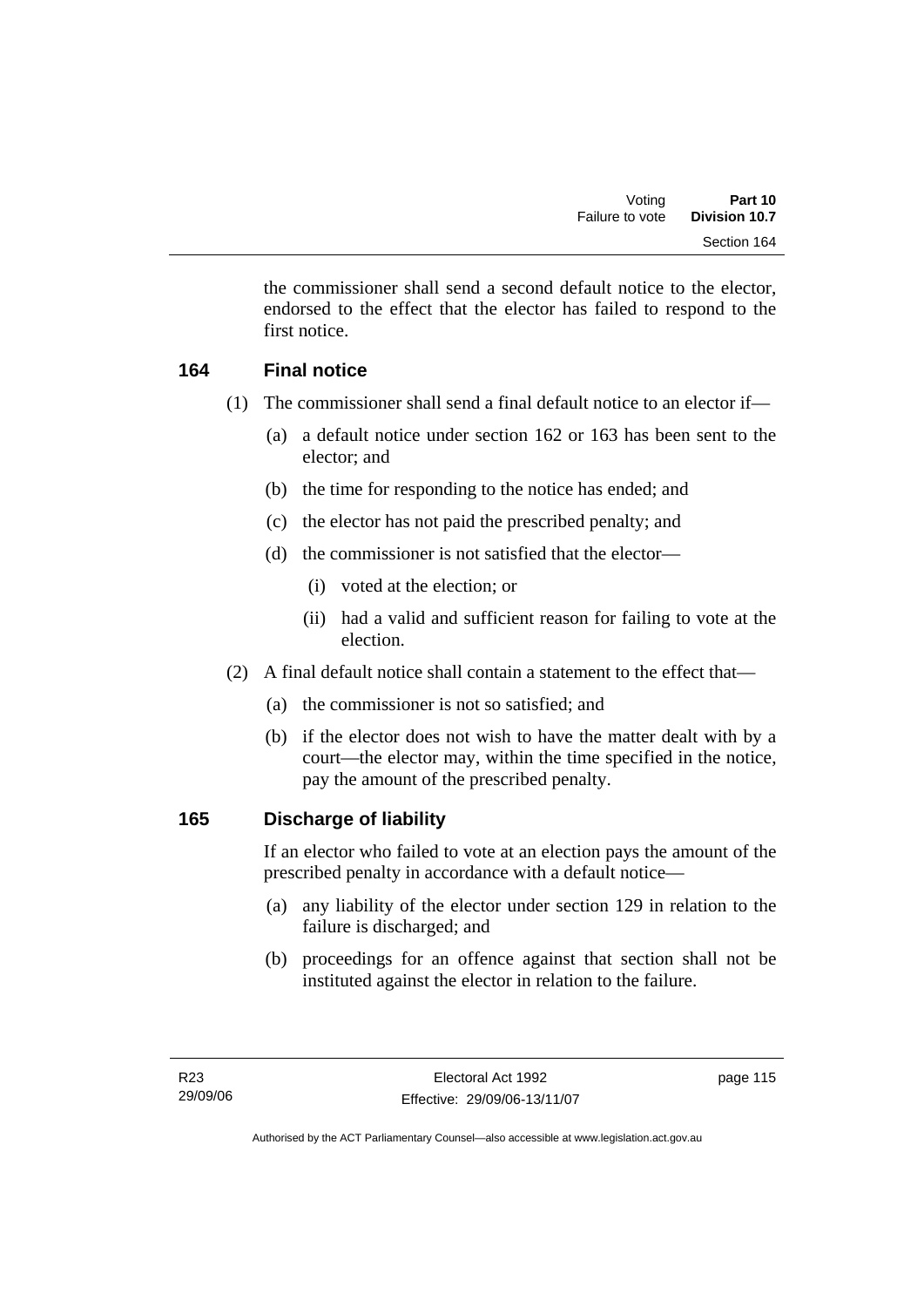the commissioner shall send a second default notice to the elector, endorsed to the effect that the elector has failed to respond to the first notice.

## **164 Final notice**

- (1) The commissioner shall send a final default notice to an elector if—
	- (a) a default notice under section 162 or 163 has been sent to the elector; and
	- (b) the time for responding to the notice has ended; and
	- (c) the elector has not paid the prescribed penalty; and
	- (d) the commissioner is not satisfied that the elector—
		- (i) voted at the election; or
		- (ii) had a valid and sufficient reason for failing to vote at the election.
- (2) A final default notice shall contain a statement to the effect that—
	- (a) the commissioner is not so satisfied; and
	- (b) if the elector does not wish to have the matter dealt with by a court—the elector may, within the time specified in the notice, pay the amount of the prescribed penalty.

## **165 Discharge of liability**

If an elector who failed to vote at an election pays the amount of the prescribed penalty in accordance with a default notice—

- (a) any liability of the elector under section 129 in relation to the failure is discharged; and
- (b) proceedings for an offence against that section shall not be instituted against the elector in relation to the failure.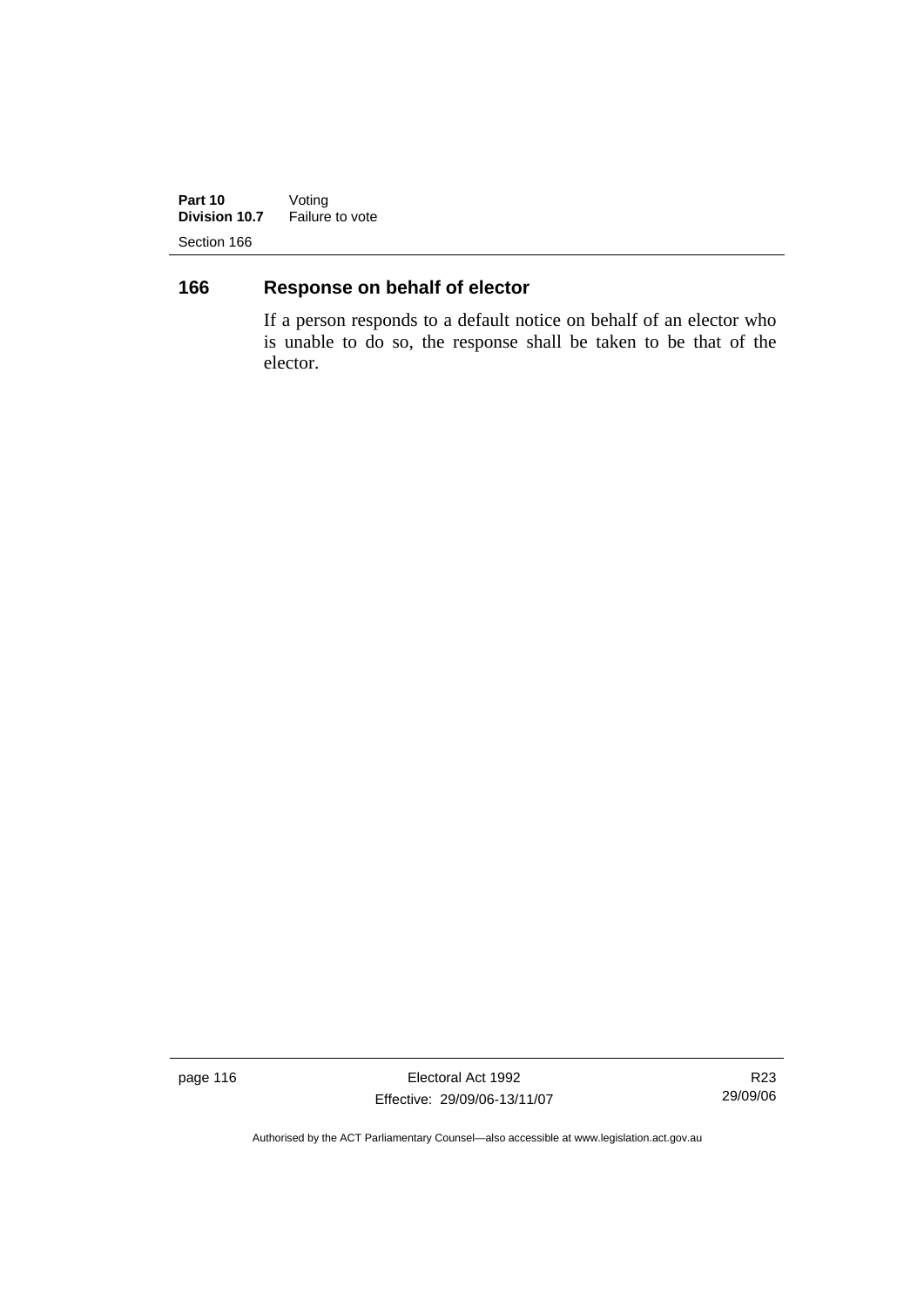**Part 10** Voting **Division 10.7** Failure to vote Section 166

# **166 Response on behalf of elector**

If a person responds to a default notice on behalf of an elector who is unable to do so, the response shall be taken to be that of the elector.

page 116 **Electoral Act 1992** Effective: 29/09/06-13/11/07

R23 29/09/06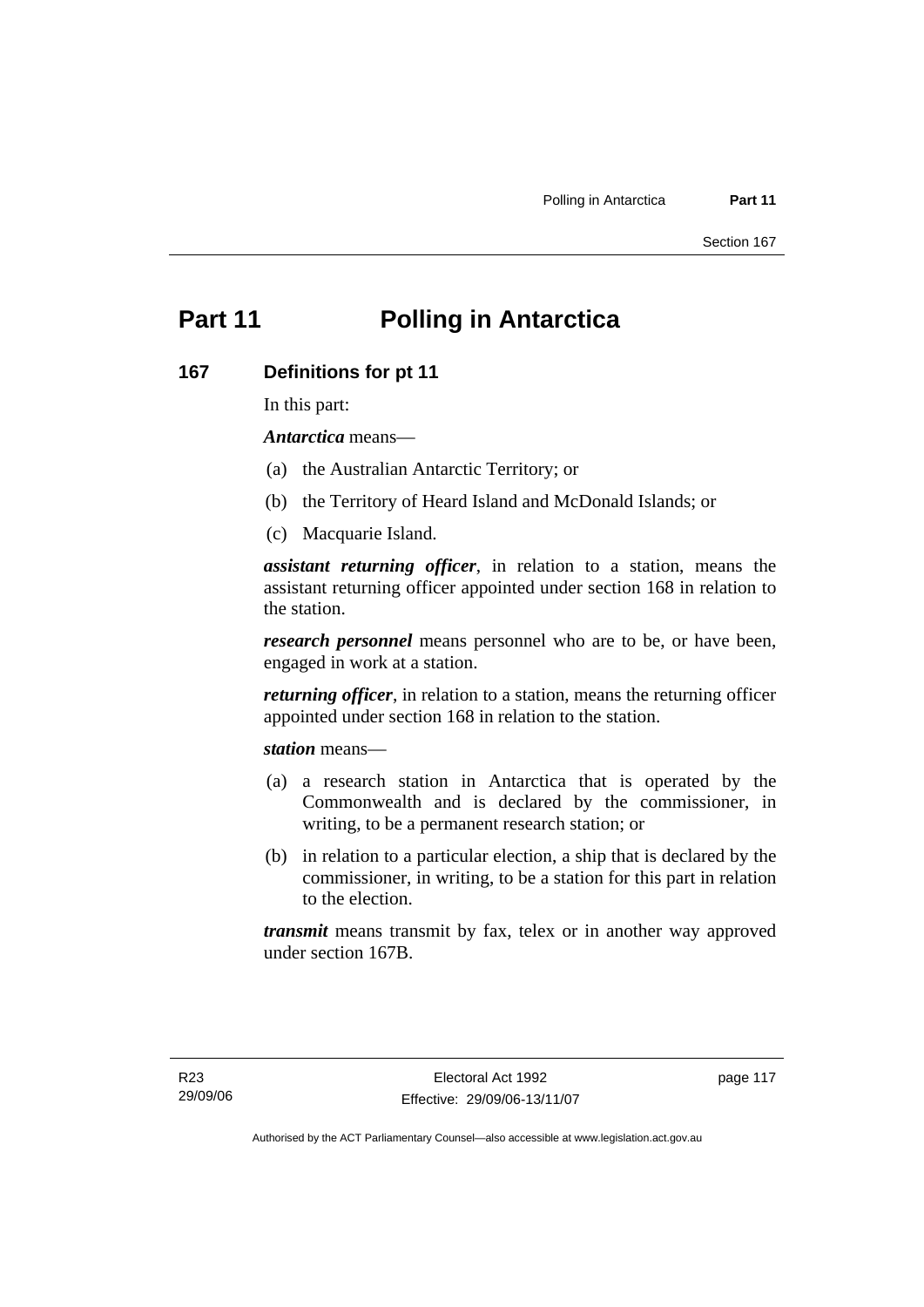# **Part 11 Polling in Antarctica**

#### **167 Definitions for pt 11**

In this part:

*Antarctica* means—

- (a) the Australian Antarctic Territory; or
- (b) the Territory of Heard Island and McDonald Islands; or
- (c) Macquarie Island.

*assistant returning officer*, in relation to a station, means the assistant returning officer appointed under section 168 in relation to the station.

*research personnel* means personnel who are to be, or have been, engaged in work at a station.

*returning officer*, in relation to a station, means the returning officer appointed under section 168 in relation to the station.

*station* means—

- (a) a research station in Antarctica that is operated by the Commonwealth and is declared by the commissioner, in writing, to be a permanent research station; or
- (b) in relation to a particular election, a ship that is declared by the commissioner, in writing, to be a station for this part in relation to the election.

*transmit* means transmit by fax, telex or in another way approved under section 167B.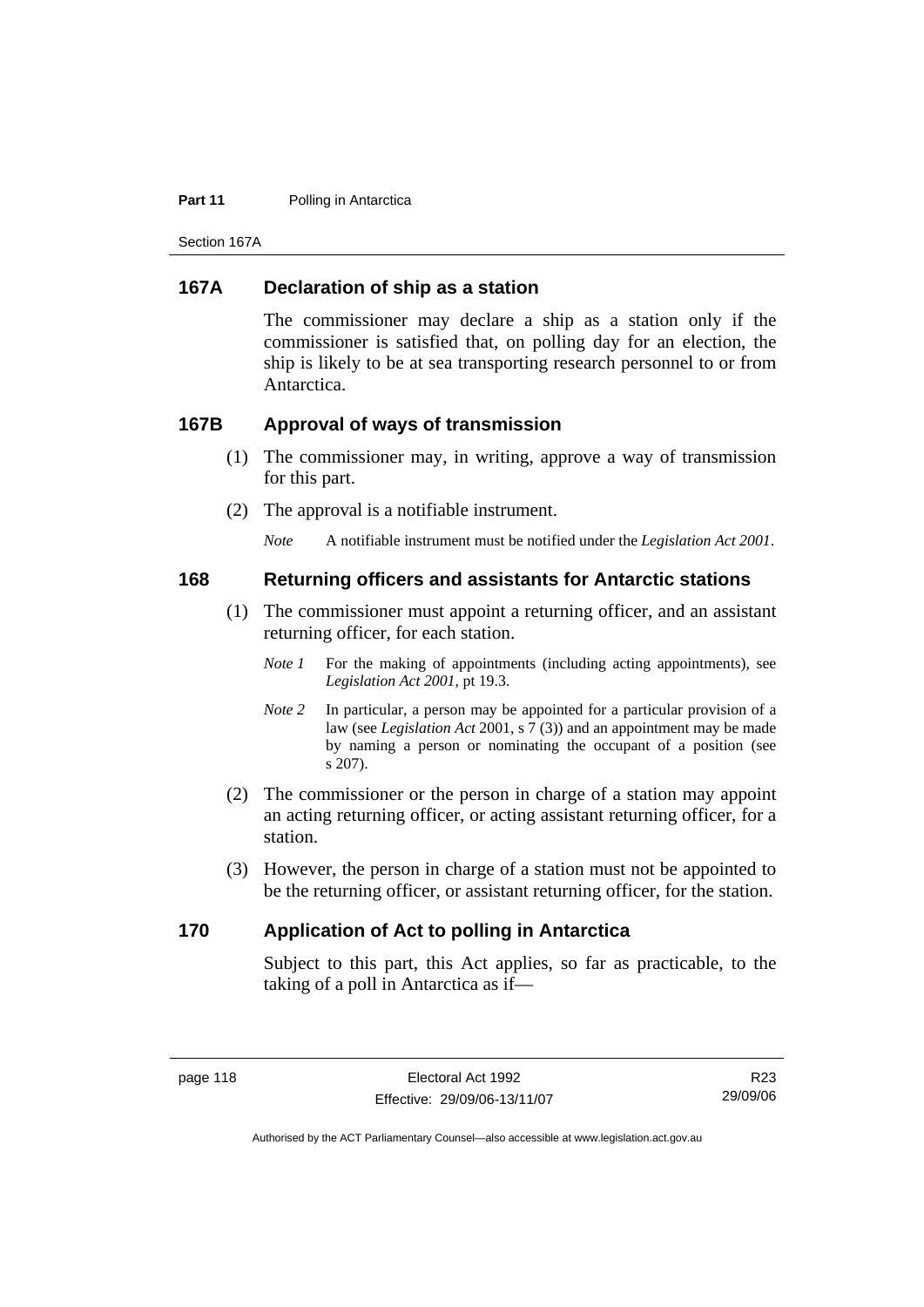#### **Part 11** Polling in Antarctica

Section 167A

### **167A Declaration of ship as a station**

The commissioner may declare a ship as a station only if the commissioner is satisfied that, on polling day for an election, the ship is likely to be at sea transporting research personnel to or from Antarctica.

#### **167B Approval of ways of transmission**

- (1) The commissioner may, in writing, approve a way of transmission for this part.
- (2) The approval is a notifiable instrument.

*Note* A notifiable instrument must be notified under the *Legislation Act 2001*.

#### **168 Returning officers and assistants for Antarctic stations**

- (1) The commissioner must appoint a returning officer, and an assistant returning officer, for each station.
	- *Note 1* For the making of appointments (including acting appointments), see *Legislation Act 2001*, pt 19.3.
	- *Note 2* In particular, a person may be appointed for a particular provision of a law (see *Legislation Act* 2001, s 7 (3)) and an appointment may be made by naming a person or nominating the occupant of a position (see s 207).
- (2) The commissioner or the person in charge of a station may appoint an acting returning officer, or acting assistant returning officer, for a station.
- (3) However, the person in charge of a station must not be appointed to be the returning officer, or assistant returning officer, for the station.

#### **170 Application of Act to polling in Antarctica**

Subject to this part, this Act applies, so far as practicable, to the taking of a poll in Antarctica as if—

R23 29/09/06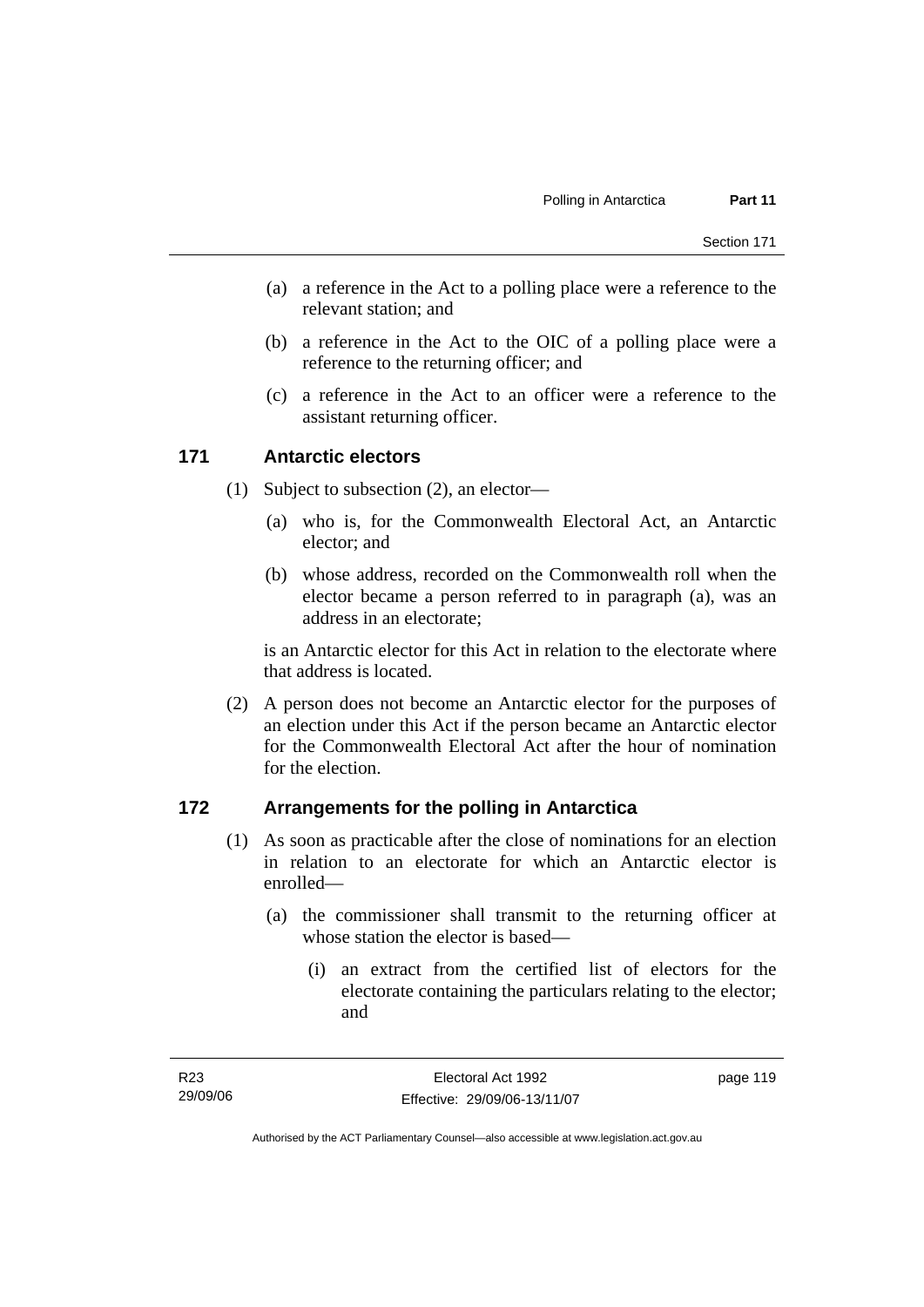- (a) a reference in the Act to a polling place were a reference to the relevant station; and
- (b) a reference in the Act to the OIC of a polling place were a reference to the returning officer; and
- (c) a reference in the Act to an officer were a reference to the assistant returning officer.

#### **171 Antarctic electors**

- (1) Subject to subsection (2), an elector—
	- (a) who is, for the Commonwealth Electoral Act, an Antarctic elector; and
	- (b) whose address, recorded on the Commonwealth roll when the elector became a person referred to in paragraph (a), was an address in an electorate;

is an Antarctic elector for this Act in relation to the electorate where that address is located.

 (2) A person does not become an Antarctic elector for the purposes of an election under this Act if the person became an Antarctic elector for the Commonwealth Electoral Act after the hour of nomination for the election.

#### **172 Arrangements for the polling in Antarctica**

- (1) As soon as practicable after the close of nominations for an election in relation to an electorate for which an Antarctic elector is enrolled—
	- (a) the commissioner shall transmit to the returning officer at whose station the elector is based—
		- (i) an extract from the certified list of electors for the electorate containing the particulars relating to the elector; and

Authorised by the ACT Parliamentary Counsel—also accessible at www.legislation.act.gov.au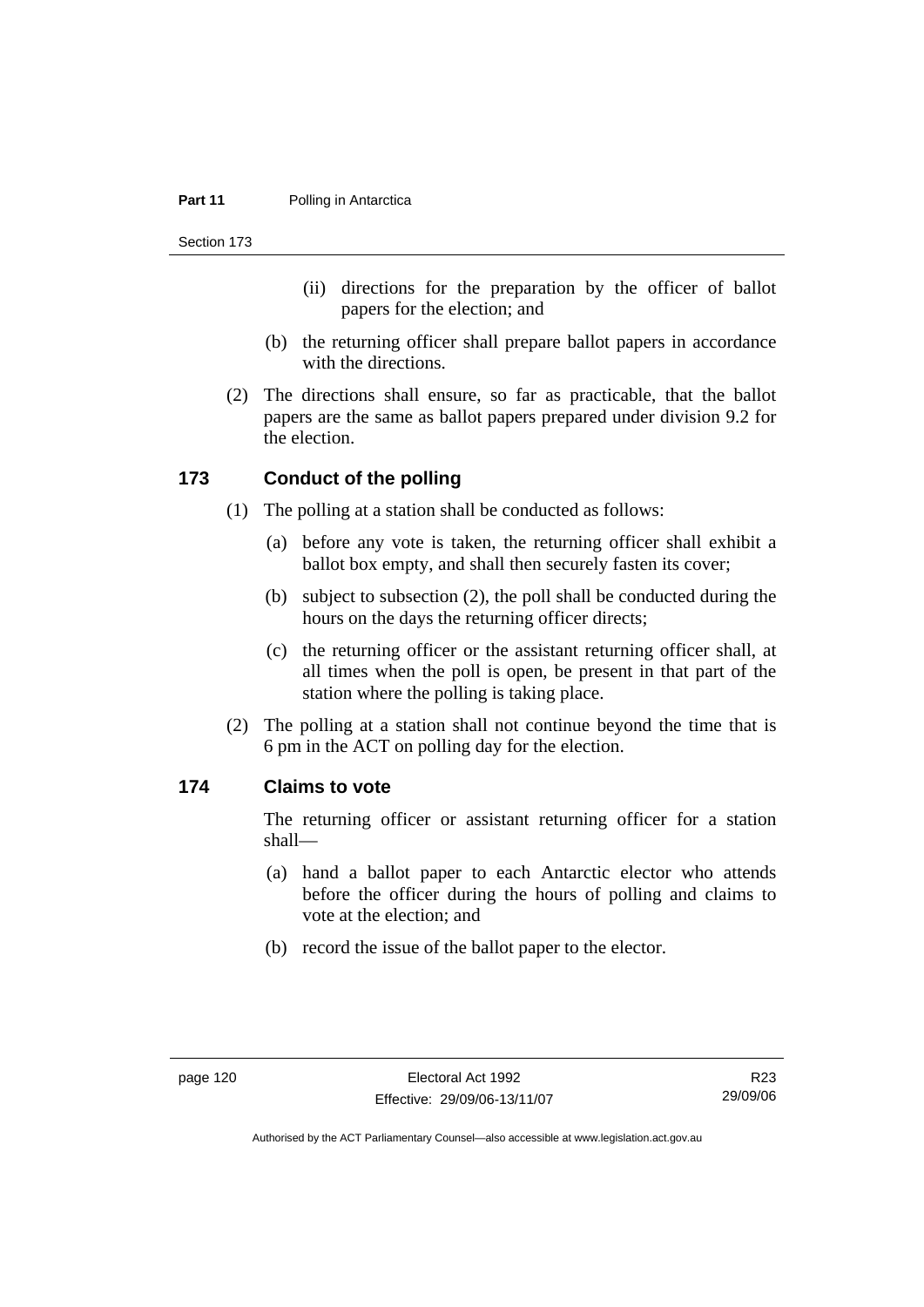#### **Part 11** Polling in Antarctica

Section 173

- (ii) directions for the preparation by the officer of ballot papers for the election; and
- (b) the returning officer shall prepare ballot papers in accordance with the directions.
- (2) The directions shall ensure, so far as practicable, that the ballot papers are the same as ballot papers prepared under division 9.2 for the election.

### **173 Conduct of the polling**

- (1) The polling at a station shall be conducted as follows:
	- (a) before any vote is taken, the returning officer shall exhibit a ballot box empty, and shall then securely fasten its cover;
	- (b) subject to subsection (2), the poll shall be conducted during the hours on the days the returning officer directs;
	- (c) the returning officer or the assistant returning officer shall, at all times when the poll is open, be present in that part of the station where the polling is taking place.
- (2) The polling at a station shall not continue beyond the time that is 6 pm in the ACT on polling day for the election.

### **174 Claims to vote**

The returning officer or assistant returning officer for a station shall—

- (a) hand a ballot paper to each Antarctic elector who attends before the officer during the hours of polling and claims to vote at the election; and
- (b) record the issue of the ballot paper to the elector.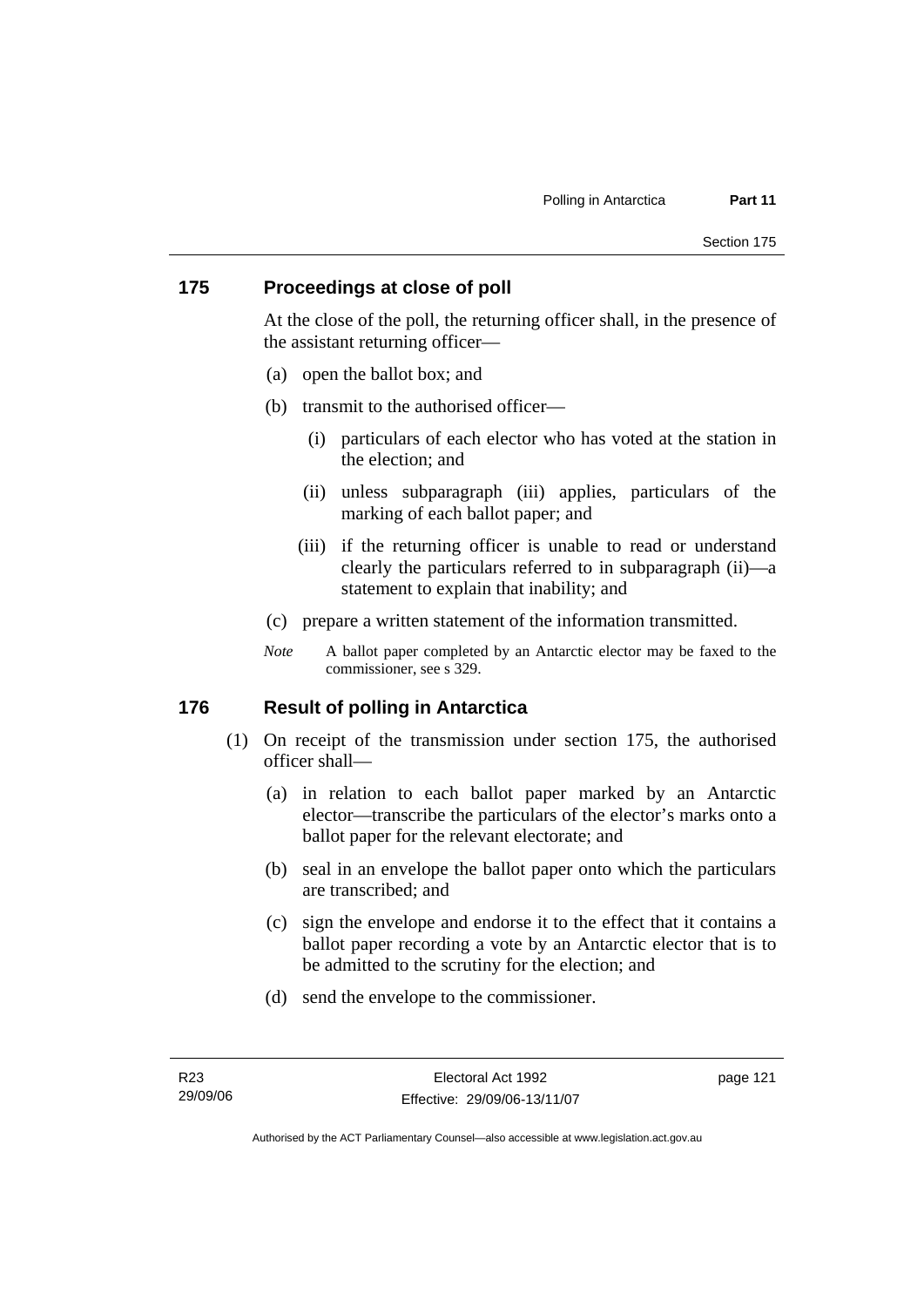#### **175 Proceedings at close of poll**

At the close of the poll, the returning officer shall, in the presence of the assistant returning officer—

- (a) open the ballot box; and
- (b) transmit to the authorised officer—
	- (i) particulars of each elector who has voted at the station in the election; and
	- (ii) unless subparagraph (iii) applies, particulars of the marking of each ballot paper; and
	- (iii) if the returning officer is unable to read or understand clearly the particulars referred to in subparagraph (ii)—a statement to explain that inability; and
- (c) prepare a written statement of the information transmitted.
- *Note* A ballot paper completed by an Antarctic elector may be faxed to the commissioner, see s 329.

#### **176 Result of polling in Antarctica**

- (1) On receipt of the transmission under section 175, the authorised officer shall—
	- (a) in relation to each ballot paper marked by an Antarctic elector—transcribe the particulars of the elector's marks onto a ballot paper for the relevant electorate; and
	- (b) seal in an envelope the ballot paper onto which the particulars are transcribed; and
	- (c) sign the envelope and endorse it to the effect that it contains a ballot paper recording a vote by an Antarctic elector that is to be admitted to the scrutiny for the election; and
	- (d) send the envelope to the commissioner.

page 121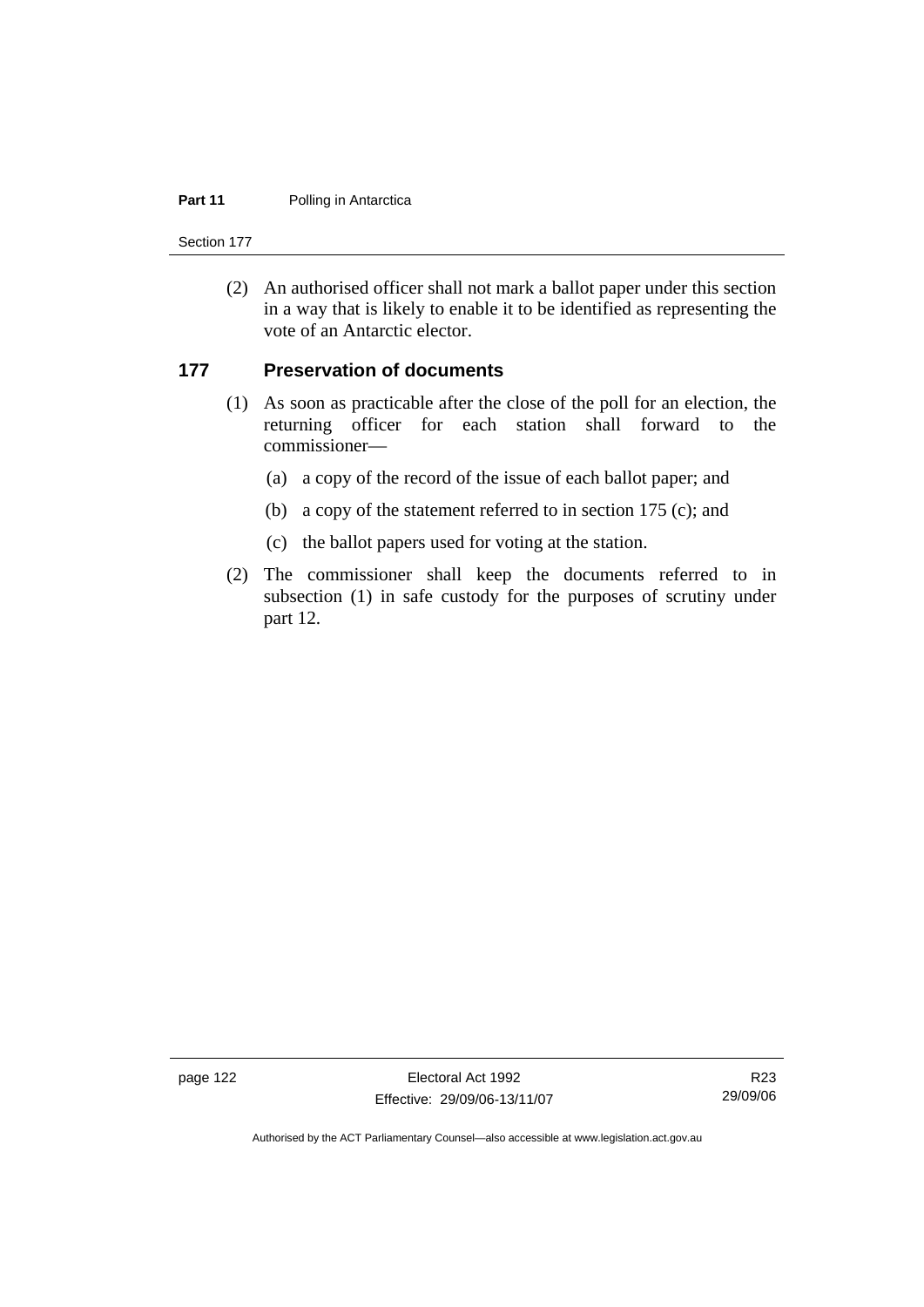#### **Part 11** Polling in Antarctica

Section 177

 (2) An authorised officer shall not mark a ballot paper under this section in a way that is likely to enable it to be identified as representing the vote of an Antarctic elector.

#### **177 Preservation of documents**

- (1) As soon as practicable after the close of the poll for an election, the returning officer for each station shall forward to the commissioner—
	- (a) a copy of the record of the issue of each ballot paper; and
	- (b) a copy of the statement referred to in section 175 (c); and
	- (c) the ballot papers used for voting at the station.
- (2) The commissioner shall keep the documents referred to in subsection (1) in safe custody for the purposes of scrutiny under part 12.

page 122 Electoral Act 1992 Effective: 29/09/06-13/11/07

R23 29/09/06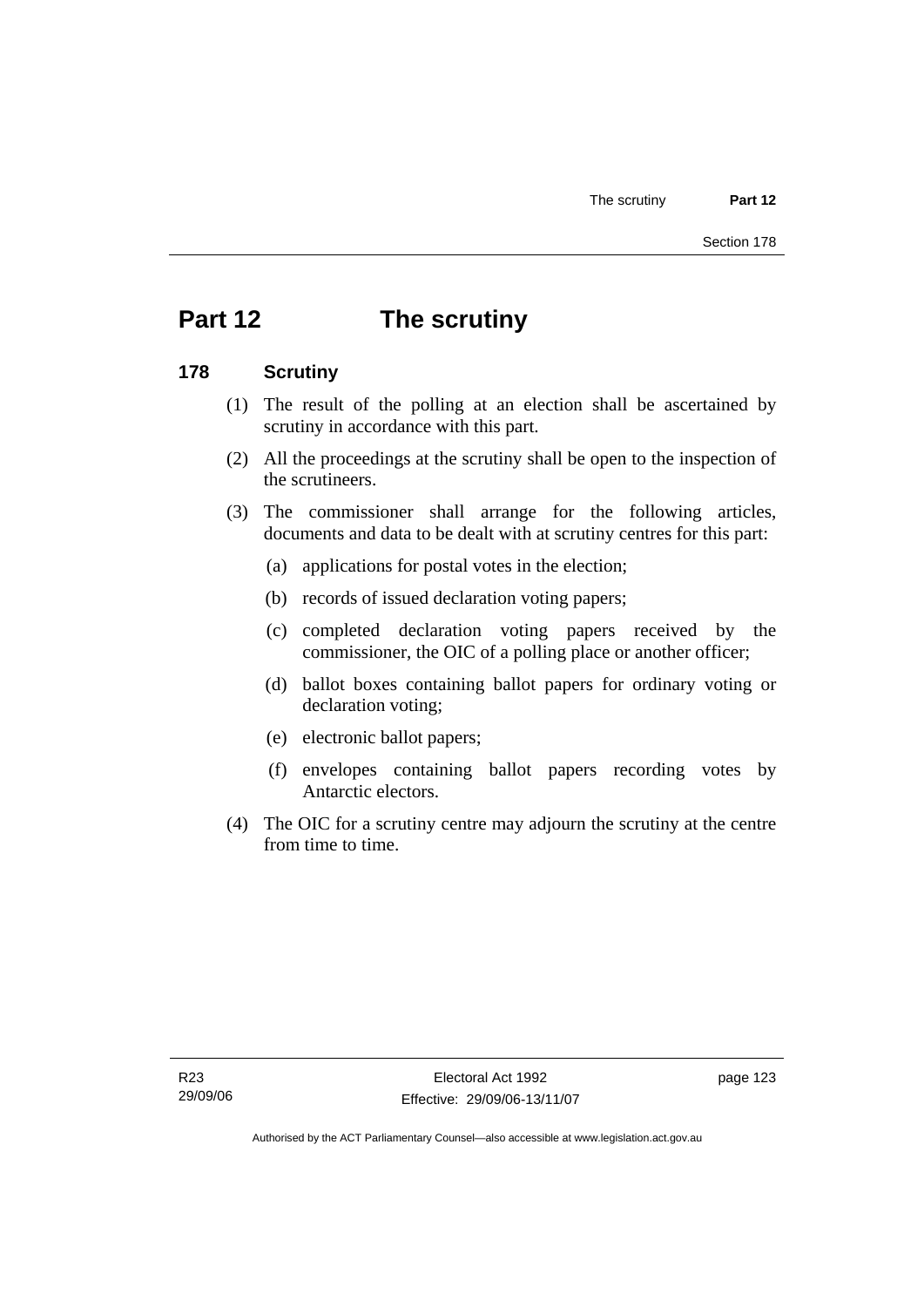# **Part 12 The scrutiny**

#### **178 Scrutiny**

- (1) The result of the polling at an election shall be ascertained by scrutiny in accordance with this part.
- (2) All the proceedings at the scrutiny shall be open to the inspection of the scrutineers.
- (3) The commissioner shall arrange for the following articles, documents and data to be dealt with at scrutiny centres for this part:
	- (a) applications for postal votes in the election;
	- (b) records of issued declaration voting papers;
	- (c) completed declaration voting papers received by the commissioner, the OIC of a polling place or another officer;
	- (d) ballot boxes containing ballot papers for ordinary voting or declaration voting;
	- (e) electronic ballot papers;
	- (f) envelopes containing ballot papers recording votes by Antarctic electors.
- (4) The OIC for a scrutiny centre may adjourn the scrutiny at the centre from time to time.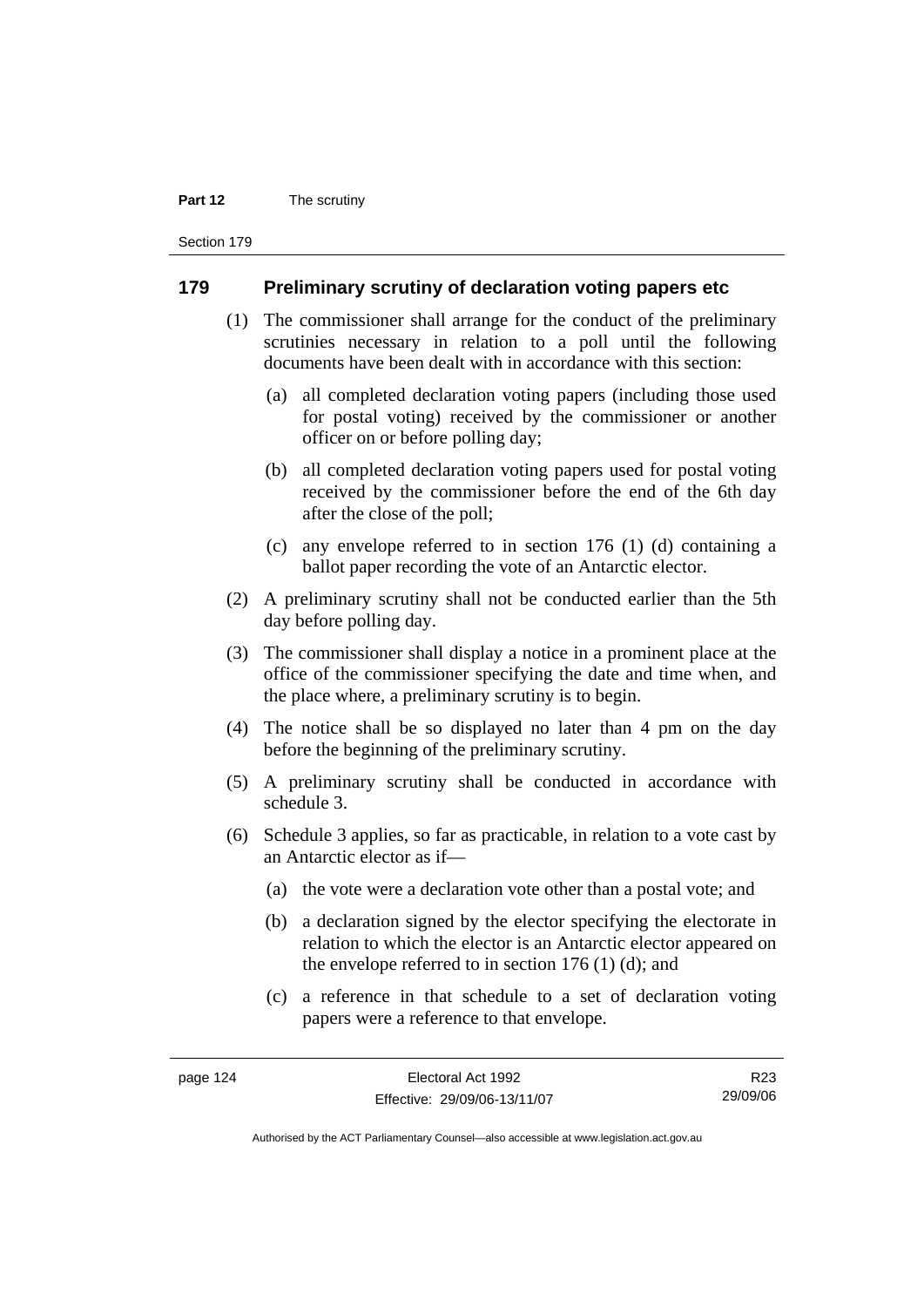#### **Part 12** The scrutiny

Section 179

#### **179 Preliminary scrutiny of declaration voting papers etc**

- (1) The commissioner shall arrange for the conduct of the preliminary scrutinies necessary in relation to a poll until the following documents have been dealt with in accordance with this section:
	- (a) all completed declaration voting papers (including those used for postal voting) received by the commissioner or another officer on or before polling day;
	- (b) all completed declaration voting papers used for postal voting received by the commissioner before the end of the 6th day after the close of the poll;
	- (c) any envelope referred to in section 176 (1) (d) containing a ballot paper recording the vote of an Antarctic elector.
- (2) A preliminary scrutiny shall not be conducted earlier than the 5th day before polling day.
- (3) The commissioner shall display a notice in a prominent place at the office of the commissioner specifying the date and time when, and the place where, a preliminary scrutiny is to begin.
- (4) The notice shall be so displayed no later than 4 pm on the day before the beginning of the preliminary scrutiny.
- (5) A preliminary scrutiny shall be conducted in accordance with schedule 3.
- (6) Schedule 3 applies, so far as practicable, in relation to a vote cast by an Antarctic elector as if—
	- (a) the vote were a declaration vote other than a postal vote; and
	- (b) a declaration signed by the elector specifying the electorate in relation to which the elector is an Antarctic elector appeared on the envelope referred to in section 176 (1) (d); and
	- (c) a reference in that schedule to a set of declaration voting papers were a reference to that envelope.

R23 29/09/06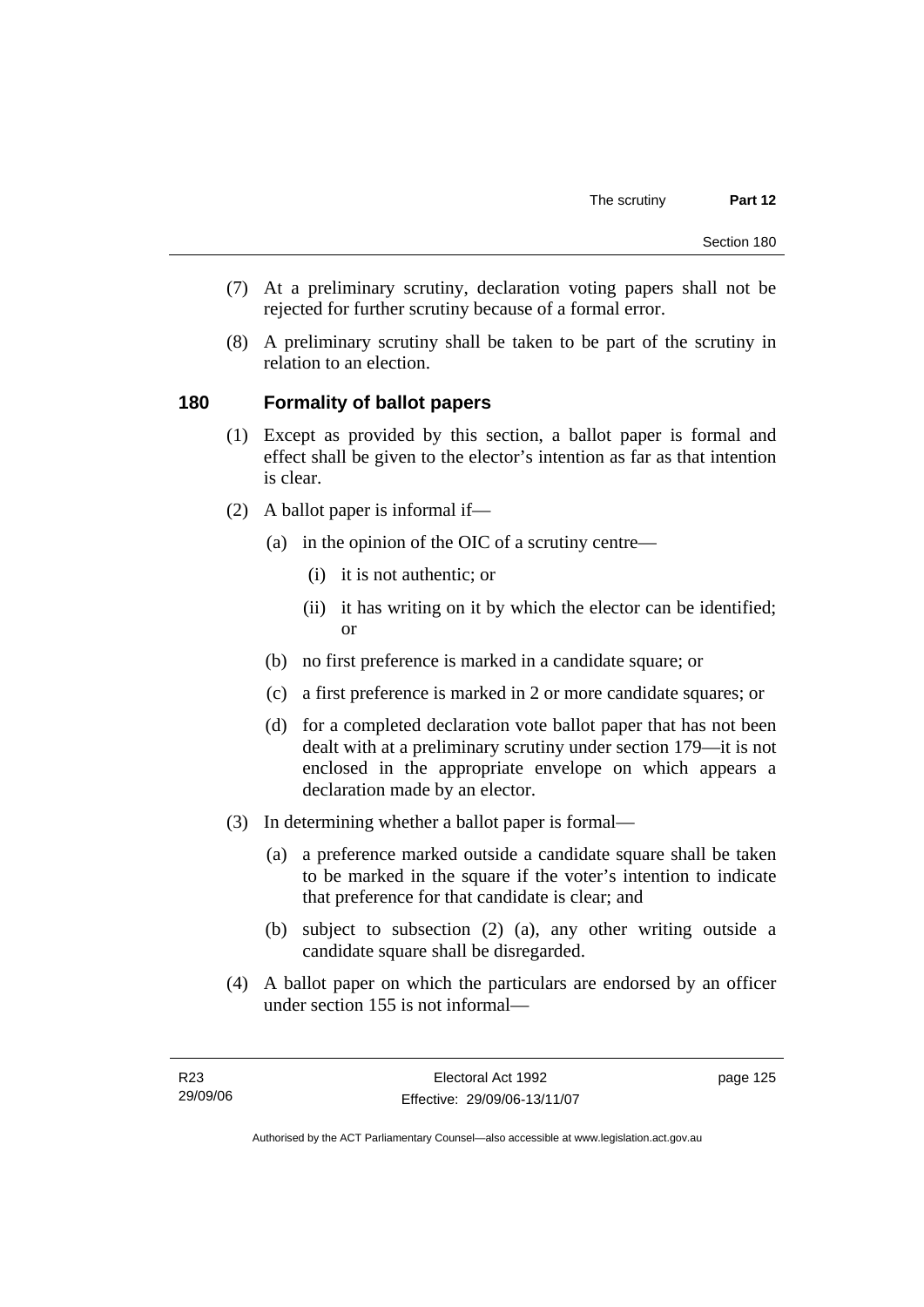- (7) At a preliminary scrutiny, declaration voting papers shall not be rejected for further scrutiny because of a formal error.
- (8) A preliminary scrutiny shall be taken to be part of the scrutiny in relation to an election.

### **180 Formality of ballot papers**

- (1) Except as provided by this section, a ballot paper is formal and effect shall be given to the elector's intention as far as that intention is clear.
- (2) A ballot paper is informal if—
	- (a) in the opinion of the OIC of a scrutiny centre—
		- (i) it is not authentic; or
		- (ii) it has writing on it by which the elector can be identified; or
	- (b) no first preference is marked in a candidate square; or
	- (c) a first preference is marked in 2 or more candidate squares; or
	- (d) for a completed declaration vote ballot paper that has not been dealt with at a preliminary scrutiny under section 179—it is not enclosed in the appropriate envelope on which appears a declaration made by an elector.
- (3) In determining whether a ballot paper is formal—
	- (a) a preference marked outside a candidate square shall be taken to be marked in the square if the voter's intention to indicate that preference for that candidate is clear; and
	- (b) subject to subsection (2) (a), any other writing outside a candidate square shall be disregarded.
- (4) A ballot paper on which the particulars are endorsed by an officer under section 155 is not informal—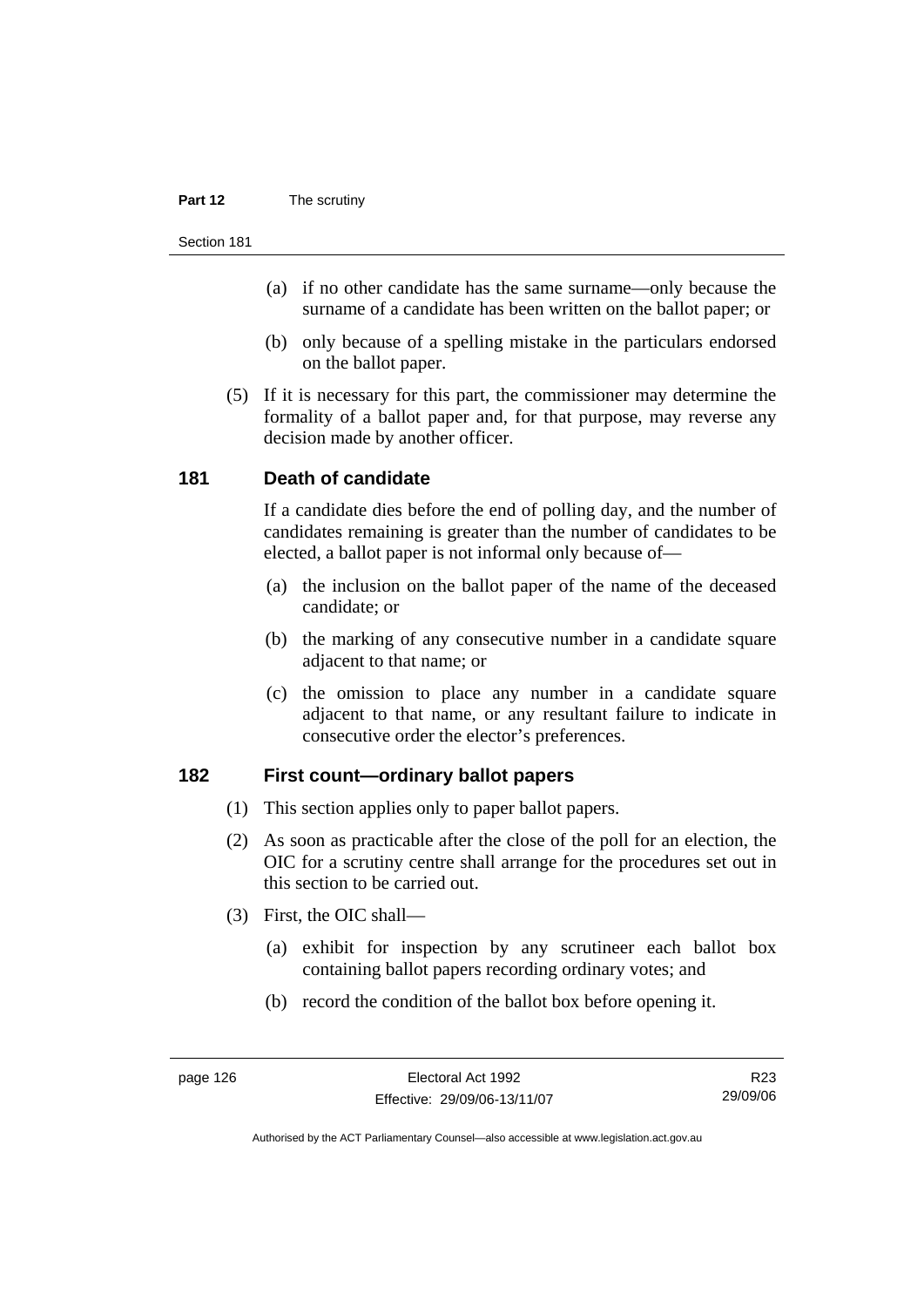#### **Part 12** The scrutiny

#### Section 181

- (a) if no other candidate has the same surname—only because the surname of a candidate has been written on the ballot paper; or
- (b) only because of a spelling mistake in the particulars endorsed on the ballot paper.
- (5) If it is necessary for this part, the commissioner may determine the formality of a ballot paper and, for that purpose, may reverse any decision made by another officer.

#### **181 Death of candidate**

If a candidate dies before the end of polling day, and the number of candidates remaining is greater than the number of candidates to be elected, a ballot paper is not informal only because of—

- (a) the inclusion on the ballot paper of the name of the deceased candidate; or
- (b) the marking of any consecutive number in a candidate square adjacent to that name; or
- (c) the omission to place any number in a candidate square adjacent to that name, or any resultant failure to indicate in consecutive order the elector's preferences.

#### **182 First count—ordinary ballot papers**

- (1) This section applies only to paper ballot papers.
- (2) As soon as practicable after the close of the poll for an election, the OIC for a scrutiny centre shall arrange for the procedures set out in this section to be carried out.
- (3) First, the OIC shall—
	- (a) exhibit for inspection by any scrutineer each ballot box containing ballot papers recording ordinary votes; and
	- (b) record the condition of the ballot box before opening it.

R23 29/09/06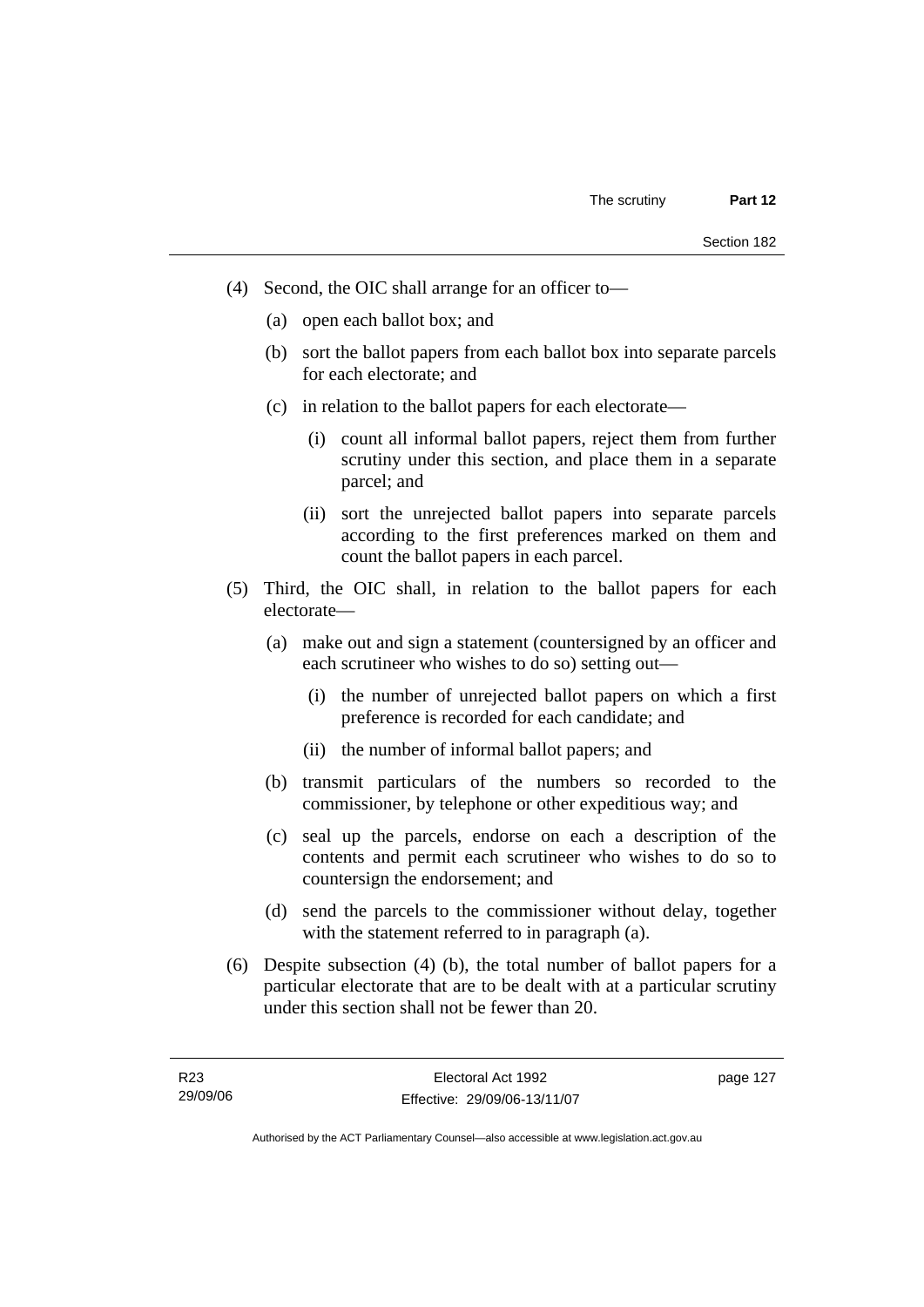- (4) Second, the OIC shall arrange for an officer to—
	- (a) open each ballot box; and
	- (b) sort the ballot papers from each ballot box into separate parcels for each electorate; and
	- (c) in relation to the ballot papers for each electorate—
		- (i) count all informal ballot papers, reject them from further scrutiny under this section, and place them in a separate parcel; and
		- (ii) sort the unrejected ballot papers into separate parcels according to the first preferences marked on them and count the ballot papers in each parcel.
- (5) Third, the OIC shall, in relation to the ballot papers for each electorate—
	- (a) make out and sign a statement (countersigned by an officer and each scrutineer who wishes to do so) setting out—
		- (i) the number of unrejected ballot papers on which a first preference is recorded for each candidate; and
		- (ii) the number of informal ballot papers; and
	- (b) transmit particulars of the numbers so recorded to the commissioner, by telephone or other expeditious way; and
	- (c) seal up the parcels, endorse on each a description of the contents and permit each scrutineer who wishes to do so to countersign the endorsement; and
	- (d) send the parcels to the commissioner without delay, together with the statement referred to in paragraph (a).
- (6) Despite subsection (4) (b), the total number of ballot papers for a particular electorate that are to be dealt with at a particular scrutiny under this section shall not be fewer than 20.

Authorised by the ACT Parliamentary Counsel—also accessible at www.legislation.act.gov.au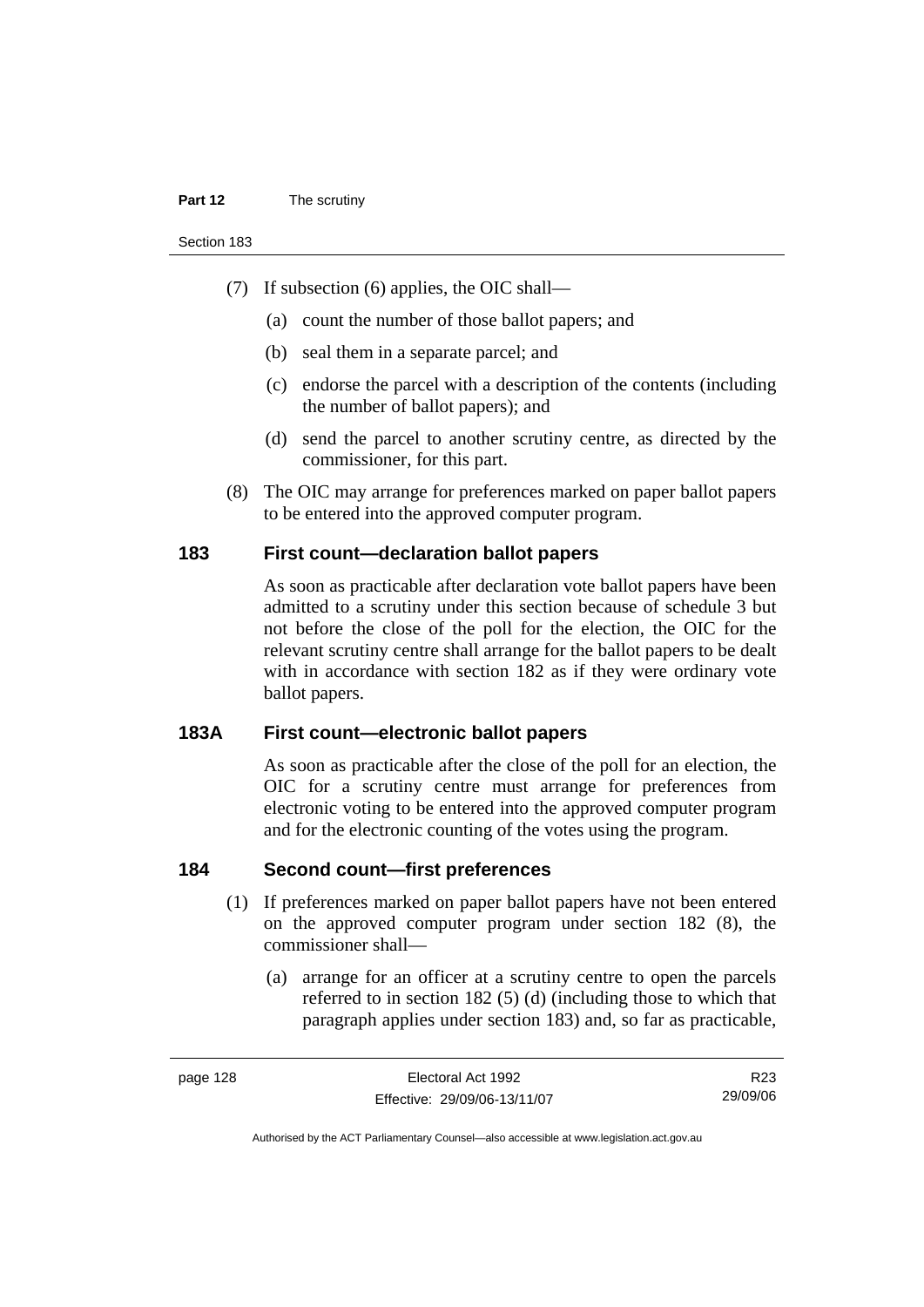#### **Part 12** The scrutiny

Section 183

- (7) If subsection (6) applies, the OIC shall—
	- (a) count the number of those ballot papers; and
	- (b) seal them in a separate parcel; and
	- (c) endorse the parcel with a description of the contents (including the number of ballot papers); and
	- (d) send the parcel to another scrutiny centre, as directed by the commissioner, for this part.
- (8) The OIC may arrange for preferences marked on paper ballot papers to be entered into the approved computer program.

#### **183 First count—declaration ballot papers**

As soon as practicable after declaration vote ballot papers have been admitted to a scrutiny under this section because of schedule 3 but not before the close of the poll for the election, the OIC for the relevant scrutiny centre shall arrange for the ballot papers to be dealt with in accordance with section 182 as if they were ordinary vote ballot papers.

#### **183A First count—electronic ballot papers**

As soon as practicable after the close of the poll for an election, the OIC for a scrutiny centre must arrange for preferences from electronic voting to be entered into the approved computer program and for the electronic counting of the votes using the program.

#### **184 Second count—first preferences**

- (1) If preferences marked on paper ballot papers have not been entered on the approved computer program under section 182 (8), the commissioner shall—
	- (a) arrange for an officer at a scrutiny centre to open the parcels referred to in section 182 (5) (d) (including those to which that paragraph applies under section 183) and, so far as practicable,

R23 29/09/06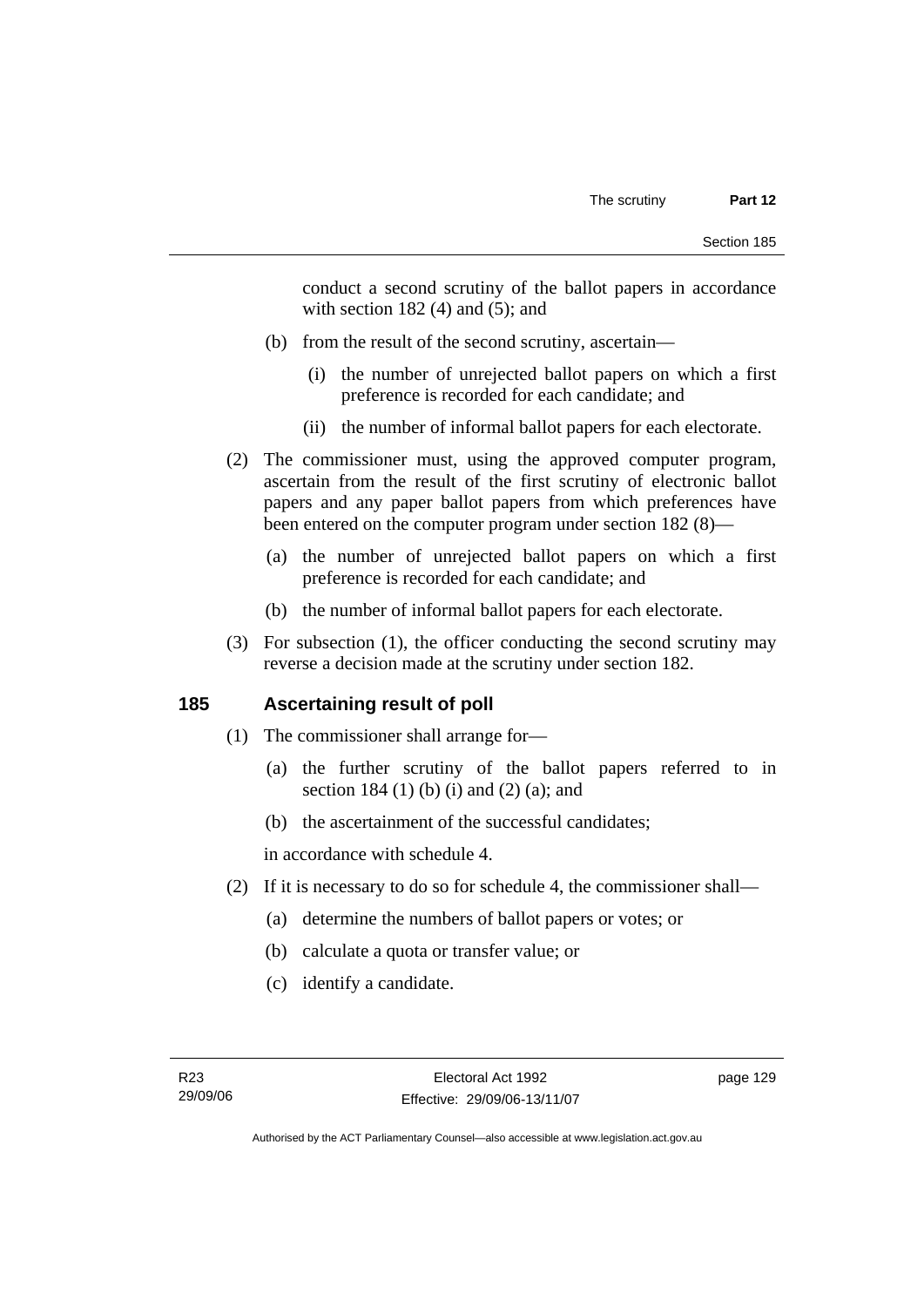conduct a second scrutiny of the ballot papers in accordance with section  $182(4)$  and  $(5)$ ; and

- (b) from the result of the second scrutiny, ascertain—
	- (i) the number of unrejected ballot papers on which a first preference is recorded for each candidate; and
	- (ii) the number of informal ballot papers for each electorate.
- (2) The commissioner must, using the approved computer program, ascertain from the result of the first scrutiny of electronic ballot papers and any paper ballot papers from which preferences have been entered on the computer program under section 182 (8)—
	- (a) the number of unrejected ballot papers on which a first preference is recorded for each candidate; and
	- (b) the number of informal ballot papers for each electorate.
- (3) For subsection (1), the officer conducting the second scrutiny may reverse a decision made at the scrutiny under section 182.

## **185 Ascertaining result of poll**

- (1) The commissioner shall arrange for—
	- (a) the further scrutiny of the ballot papers referred to in section 184 (1) (b) (i) and (2) (a); and
	- (b) the ascertainment of the successful candidates;

in accordance with schedule 4.

- (2) If it is necessary to do so for schedule 4, the commissioner shall—
	- (a) determine the numbers of ballot papers or votes; or
	- (b) calculate a quota or transfer value; or
	- (c) identify a candidate.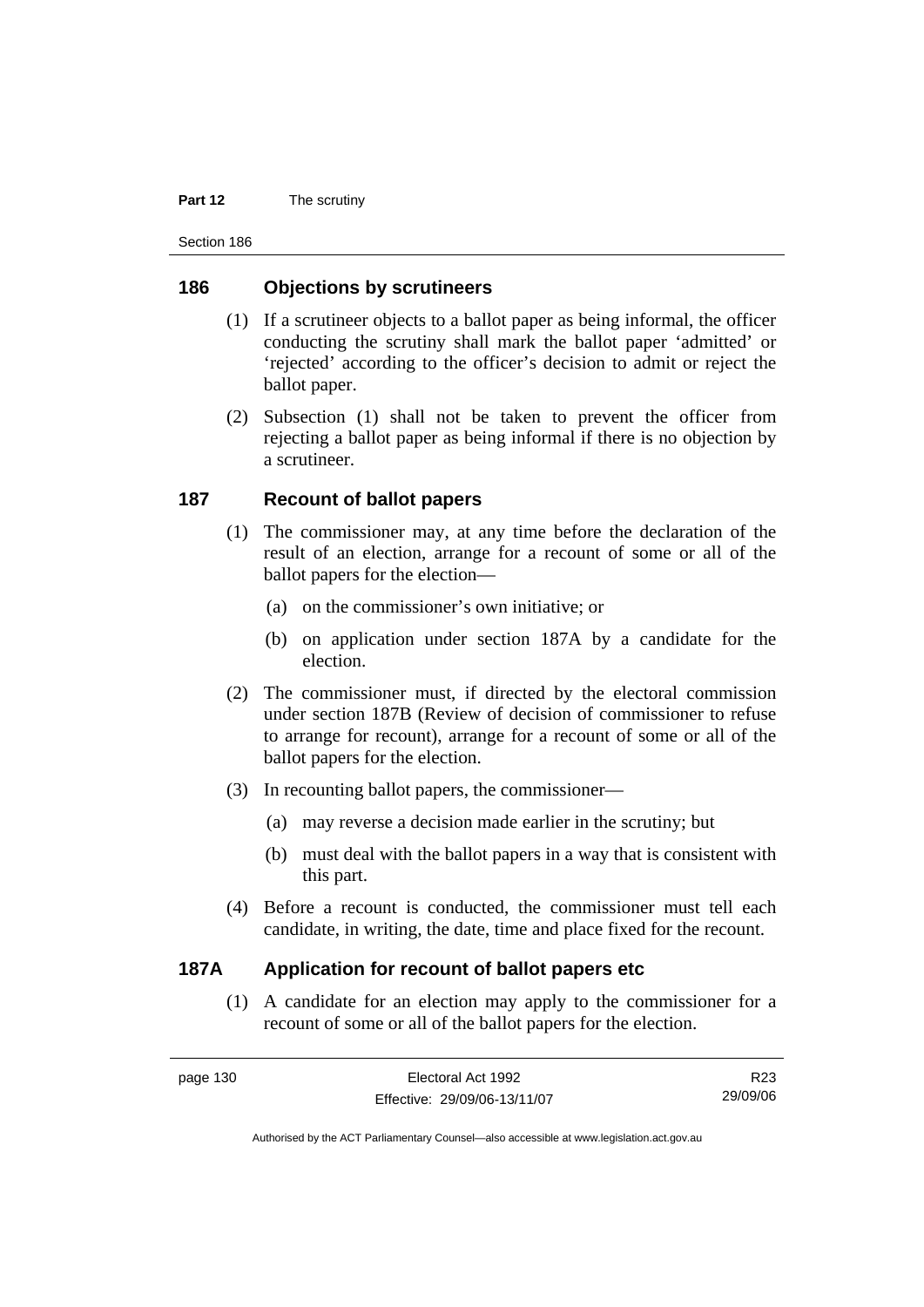#### **Part 12** The scrutiny

Section 186

#### **186 Objections by scrutineers**

- (1) If a scrutineer objects to a ballot paper as being informal, the officer conducting the scrutiny shall mark the ballot paper 'admitted' or 'rejected' according to the officer's decision to admit or reject the ballot paper.
- (2) Subsection (1) shall not be taken to prevent the officer from rejecting a ballot paper as being informal if there is no objection by a scrutineer.

#### **187 Recount of ballot papers**

- (1) The commissioner may, at any time before the declaration of the result of an election, arrange for a recount of some or all of the ballot papers for the election—
	- (a) on the commissioner's own initiative; or
	- (b) on application under section 187A by a candidate for the election.
- (2) The commissioner must, if directed by the electoral commission under section 187B (Review of decision of commissioner to refuse to arrange for recount), arrange for a recount of some or all of the ballot papers for the election.
- (3) In recounting ballot papers, the commissioner—
	- (a) may reverse a decision made earlier in the scrutiny; but
	- (b) must deal with the ballot papers in a way that is consistent with this part.
- (4) Before a recount is conducted, the commissioner must tell each candidate, in writing, the date, time and place fixed for the recount.

#### **187A Application for recount of ballot papers etc**

 (1) A candidate for an election may apply to the commissioner for a recount of some or all of the ballot papers for the election.

R23 29/09/06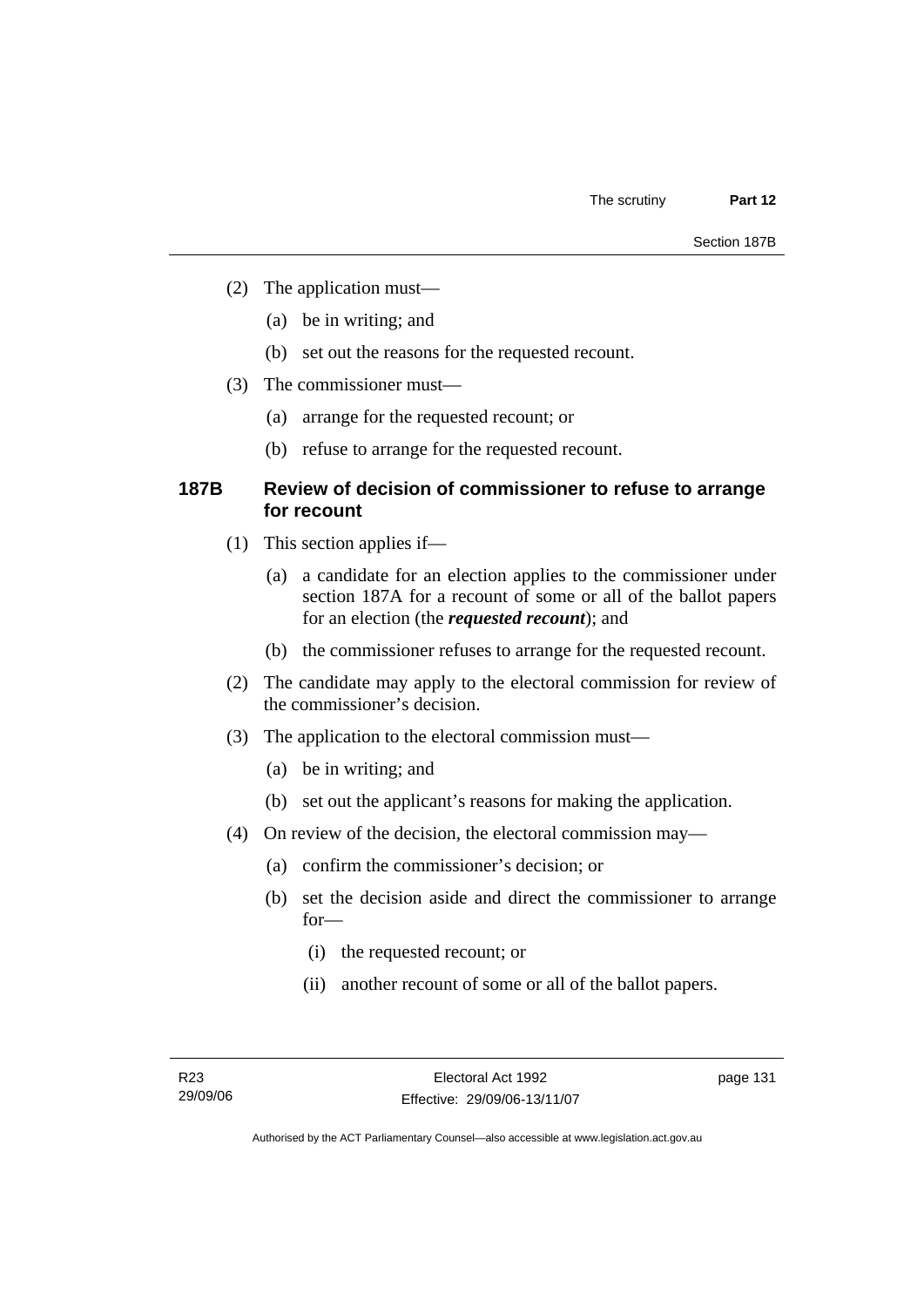- (2) The application must—
	- (a) be in writing; and
	- (b) set out the reasons for the requested recount.
- (3) The commissioner must—
	- (a) arrange for the requested recount; or
	- (b) refuse to arrange for the requested recount.

#### **187B Review of decision of commissioner to refuse to arrange for recount**

- (1) This section applies if—
	- (a) a candidate for an election applies to the commissioner under section 187A for a recount of some or all of the ballot papers for an election (the *requested recount*); and
	- (b) the commissioner refuses to arrange for the requested recount.
- (2) The candidate may apply to the electoral commission for review of the commissioner's decision.
- (3) The application to the electoral commission must—
	- (a) be in writing; and
	- (b) set out the applicant's reasons for making the application.
- (4) On review of the decision, the electoral commission may—
	- (a) confirm the commissioner's decision; or
	- (b) set the decision aside and direct the commissioner to arrange for—
		- (i) the requested recount; or
		- (ii) another recount of some or all of the ballot papers.

Authorised by the ACT Parliamentary Counsel—also accessible at www.legislation.act.gov.au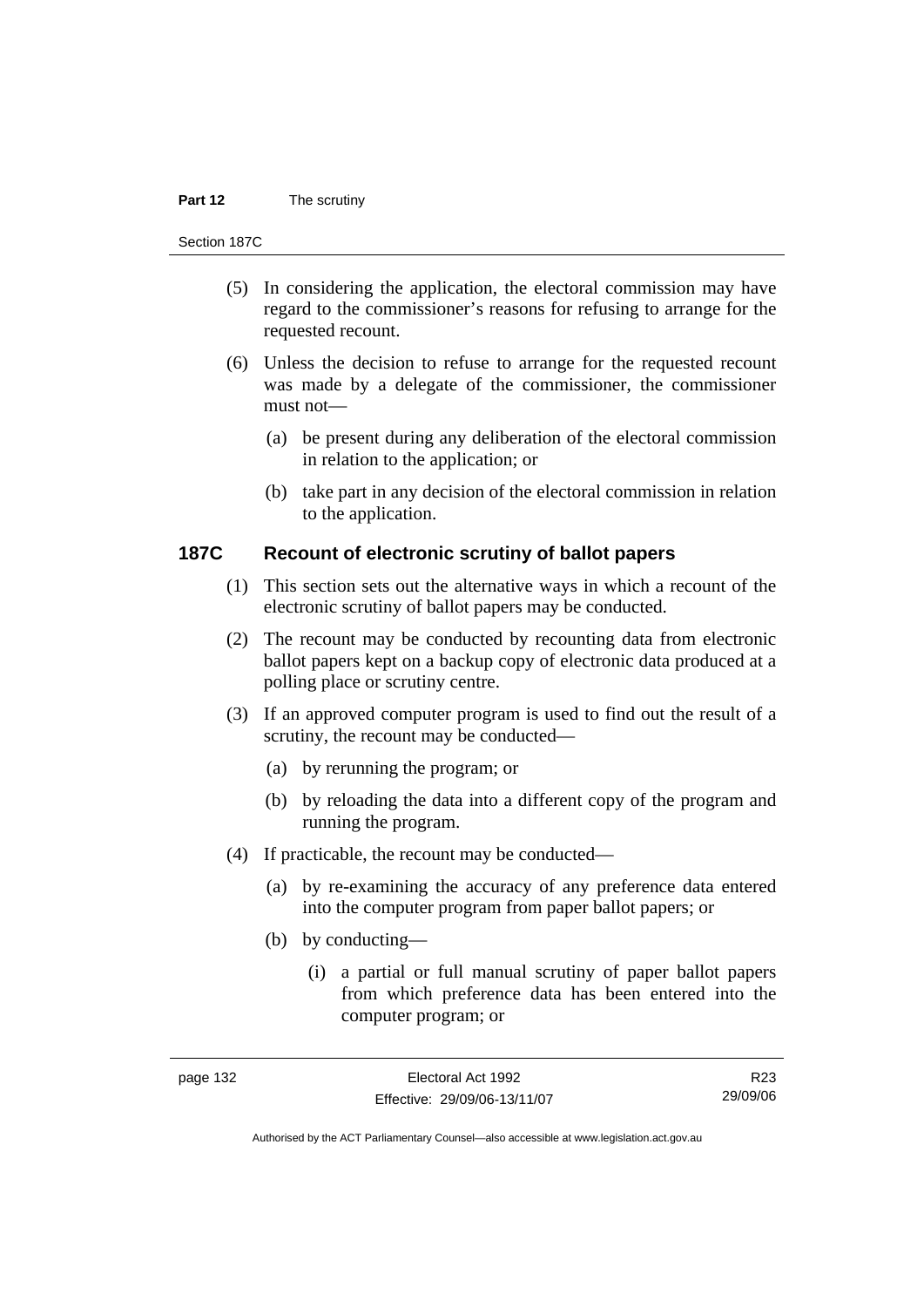#### **Part 12** The scrutiny

#### Section 187C

- (5) In considering the application, the electoral commission may have regard to the commissioner's reasons for refusing to arrange for the requested recount.
- (6) Unless the decision to refuse to arrange for the requested recount was made by a delegate of the commissioner, the commissioner must not—
	- (a) be present during any deliberation of the electoral commission in relation to the application; or
	- (b) take part in any decision of the electoral commission in relation to the application.

#### **187C Recount of electronic scrutiny of ballot papers**

- (1) This section sets out the alternative ways in which a recount of the electronic scrutiny of ballot papers may be conducted.
- (2) The recount may be conducted by recounting data from electronic ballot papers kept on a backup copy of electronic data produced at a polling place or scrutiny centre.
- (3) If an approved computer program is used to find out the result of a scrutiny, the recount may be conducted—
	- (a) by rerunning the program; or
	- (b) by reloading the data into a different copy of the program and running the program.
- (4) If practicable, the recount may be conducted—
	- (a) by re-examining the accuracy of any preference data entered into the computer program from paper ballot papers; or
	- (b) by conducting—
		- (i) a partial or full manual scrutiny of paper ballot papers from which preference data has been entered into the computer program; or

R23 29/09/06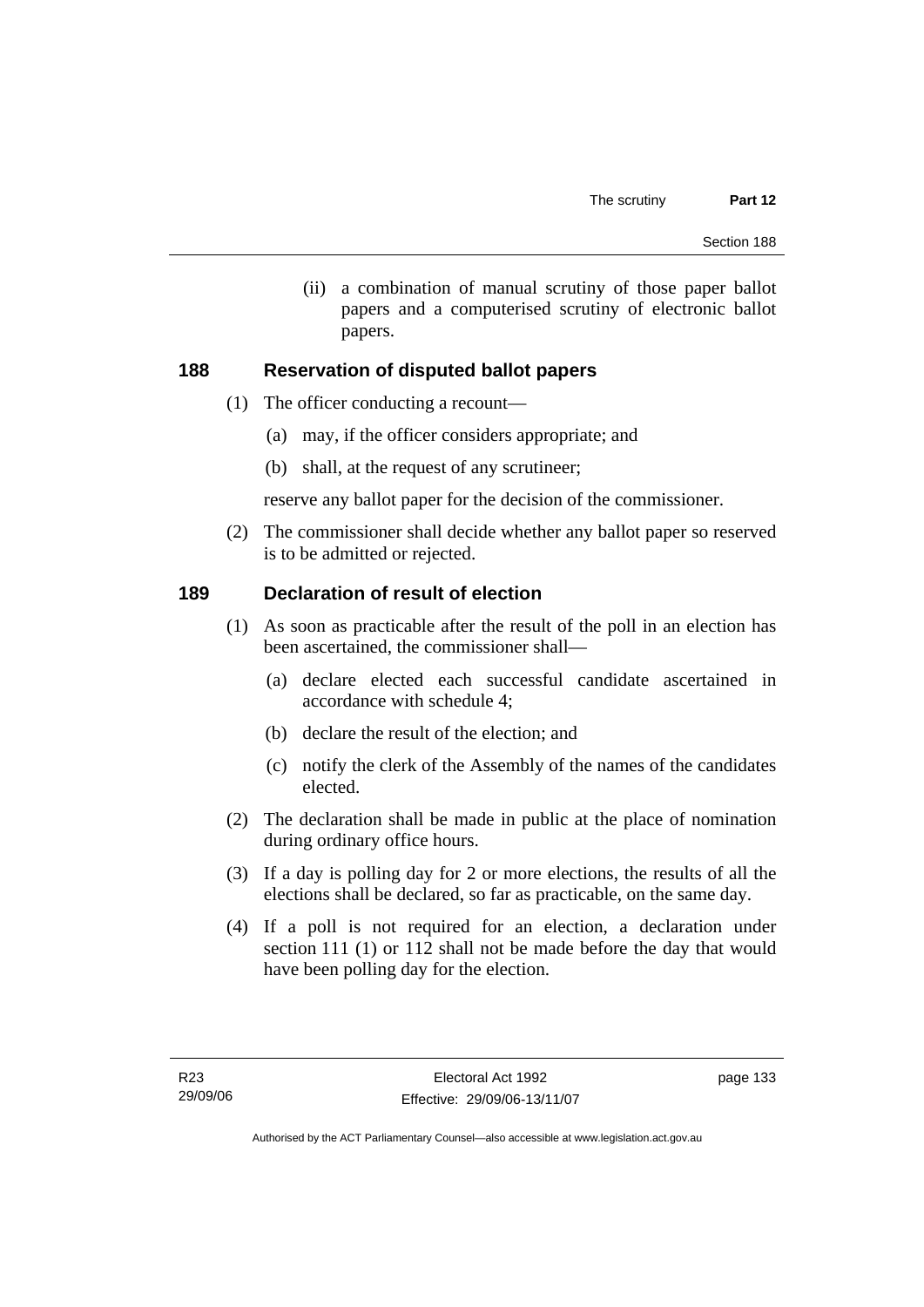(ii) a combination of manual scrutiny of those paper ballot papers and a computerised scrutiny of electronic ballot papers.

### **188 Reservation of disputed ballot papers**

- (1) The officer conducting a recount—
	- (a) may, if the officer considers appropriate; and
	- (b) shall, at the request of any scrutineer;

reserve any ballot paper for the decision of the commissioner.

 (2) The commissioner shall decide whether any ballot paper so reserved is to be admitted or rejected.

### **189 Declaration of result of election**

- (1) As soon as practicable after the result of the poll in an election has been ascertained, the commissioner shall—
	- (a) declare elected each successful candidate ascertained in accordance with schedule 4;
	- (b) declare the result of the election; and
	- (c) notify the clerk of the Assembly of the names of the candidates elected.
- (2) The declaration shall be made in public at the place of nomination during ordinary office hours.
- (3) If a day is polling day for 2 or more elections, the results of all the elections shall be declared, so far as practicable, on the same day.
- (4) If a poll is not required for an election, a declaration under section 111 (1) or 112 shall not be made before the day that would have been polling day for the election.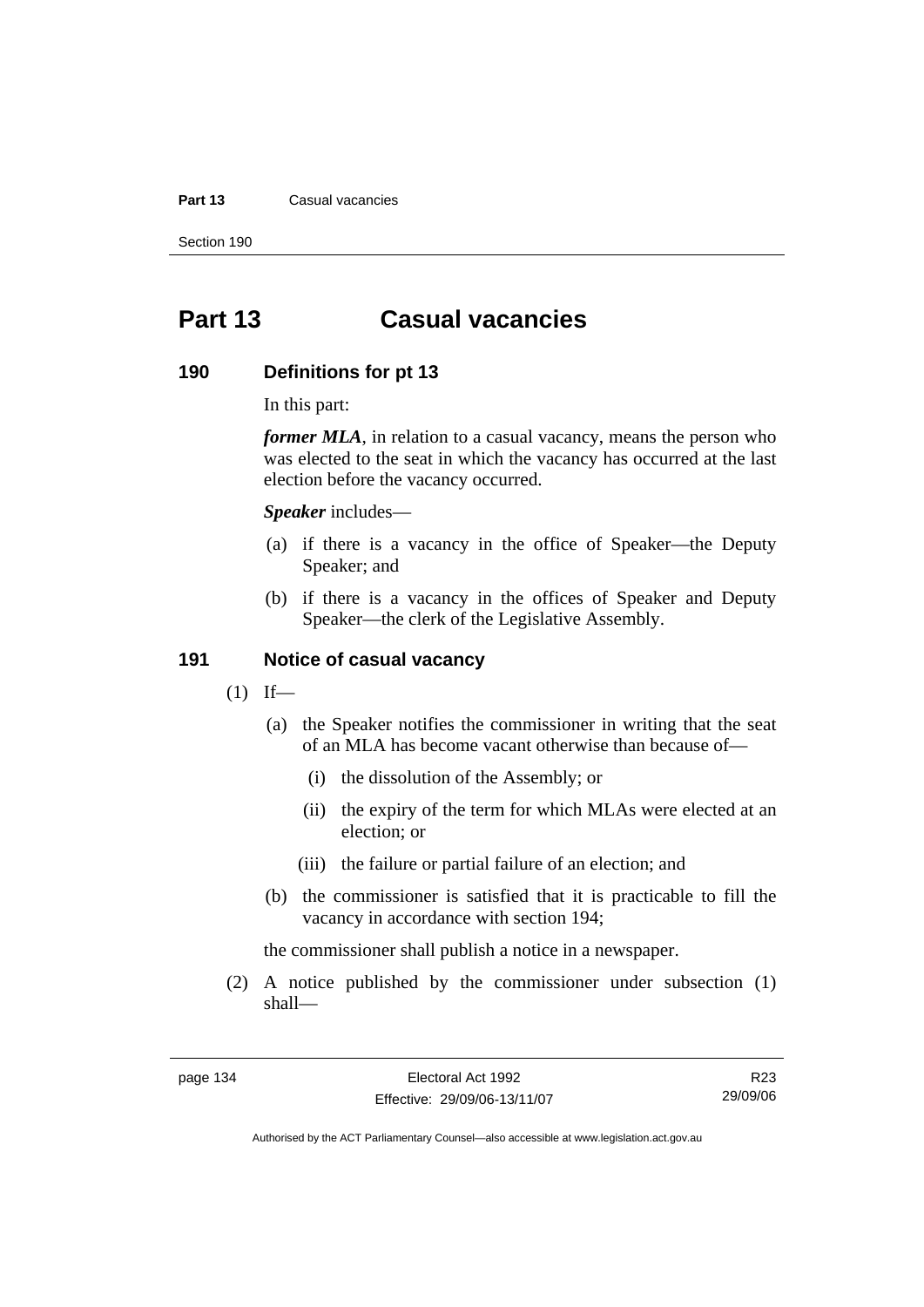#### **Part 13** Casual vacancies

Section 190

# **Part 13 Casual vacancies**

#### **190 Definitions for pt 13**

In this part:

*former MLA*, in relation to a casual vacancy, means the person who was elected to the seat in which the vacancy has occurred at the last election before the vacancy occurred.

*Speaker* includes—

- (a) if there is a vacancy in the office of Speaker—the Deputy Speaker; and
- (b) if there is a vacancy in the offices of Speaker and Deputy Speaker—the clerk of the Legislative Assembly.

#### **191 Notice of casual vacancy**

- $(1)$  If—
	- (a) the Speaker notifies the commissioner in writing that the seat of an MLA has become vacant otherwise than because of—
		- (i) the dissolution of the Assembly; or
		- (ii) the expiry of the term for which MLAs were elected at an election; or
		- (iii) the failure or partial failure of an election; and
	- (b) the commissioner is satisfied that it is practicable to fill the vacancy in accordance with section 194;

the commissioner shall publish a notice in a newspaper.

 (2) A notice published by the commissioner under subsection (1) shall—

R23 29/09/06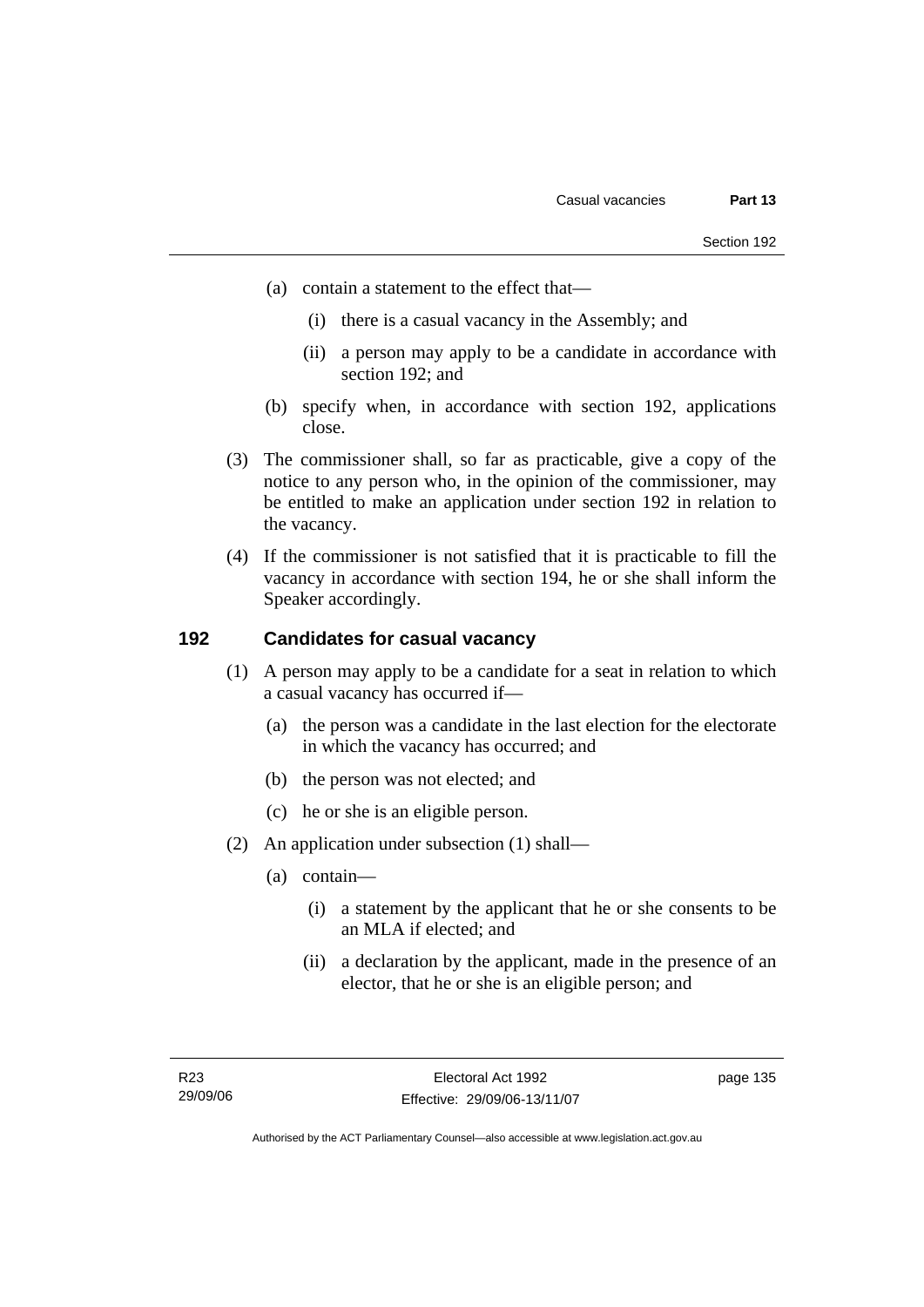- (a) contain a statement to the effect that—
	- (i) there is a casual vacancy in the Assembly; and
	- (ii) a person may apply to be a candidate in accordance with section 192; and
- (b) specify when, in accordance with section 192, applications close.
- (3) The commissioner shall, so far as practicable, give a copy of the notice to any person who, in the opinion of the commissioner, may be entitled to make an application under section 192 in relation to the vacancy.
- (4) If the commissioner is not satisfied that it is practicable to fill the vacancy in accordance with section 194, he or she shall inform the Speaker accordingly.

## **192 Candidates for casual vacancy**

- (1) A person may apply to be a candidate for a seat in relation to which a casual vacancy has occurred if—
	- (a) the person was a candidate in the last election for the electorate in which the vacancy has occurred; and
	- (b) the person was not elected; and
	- (c) he or she is an eligible person.
- (2) An application under subsection (1) shall—
	- (a) contain—
		- (i) a statement by the applicant that he or she consents to be an MLA if elected; and
		- (ii) a declaration by the applicant, made in the presence of an elector, that he or she is an eligible person; and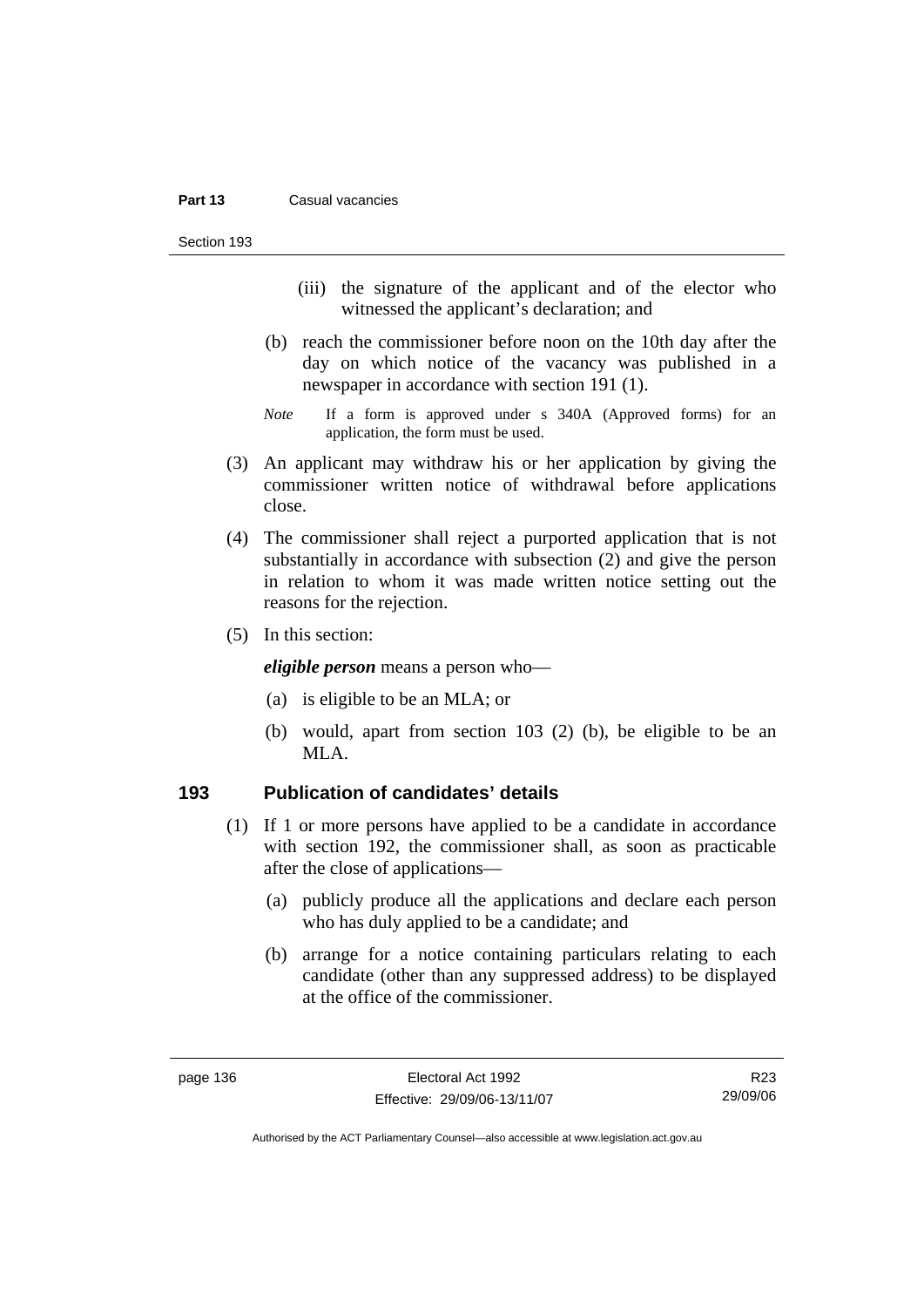#### **Part 13** Casual vacancies

Section 193

- (iii) the signature of the applicant and of the elector who witnessed the applicant's declaration; and
- (b) reach the commissioner before noon on the 10th day after the day on which notice of the vacancy was published in a newspaper in accordance with section 191 (1).
- *Note* If a form is approved under s 340A (Approved forms) for an application, the form must be used.
- (3) An applicant may withdraw his or her application by giving the commissioner written notice of withdrawal before applications close.
- (4) The commissioner shall reject a purported application that is not substantially in accordance with subsection (2) and give the person in relation to whom it was made written notice setting out the reasons for the rejection.
- (5) In this section:

*eligible person* means a person who—

- (a) is eligible to be an MLA; or
- (b) would, apart from section 103 (2) (b), be eligible to be an MLA.

#### **193 Publication of candidates' details**

- (1) If 1 or more persons have applied to be a candidate in accordance with section 192, the commissioner shall, as soon as practicable after the close of applications—
	- (a) publicly produce all the applications and declare each person who has duly applied to be a candidate; and
	- (b) arrange for a notice containing particulars relating to each candidate (other than any suppressed address) to be displayed at the office of the commissioner.

R23 29/09/06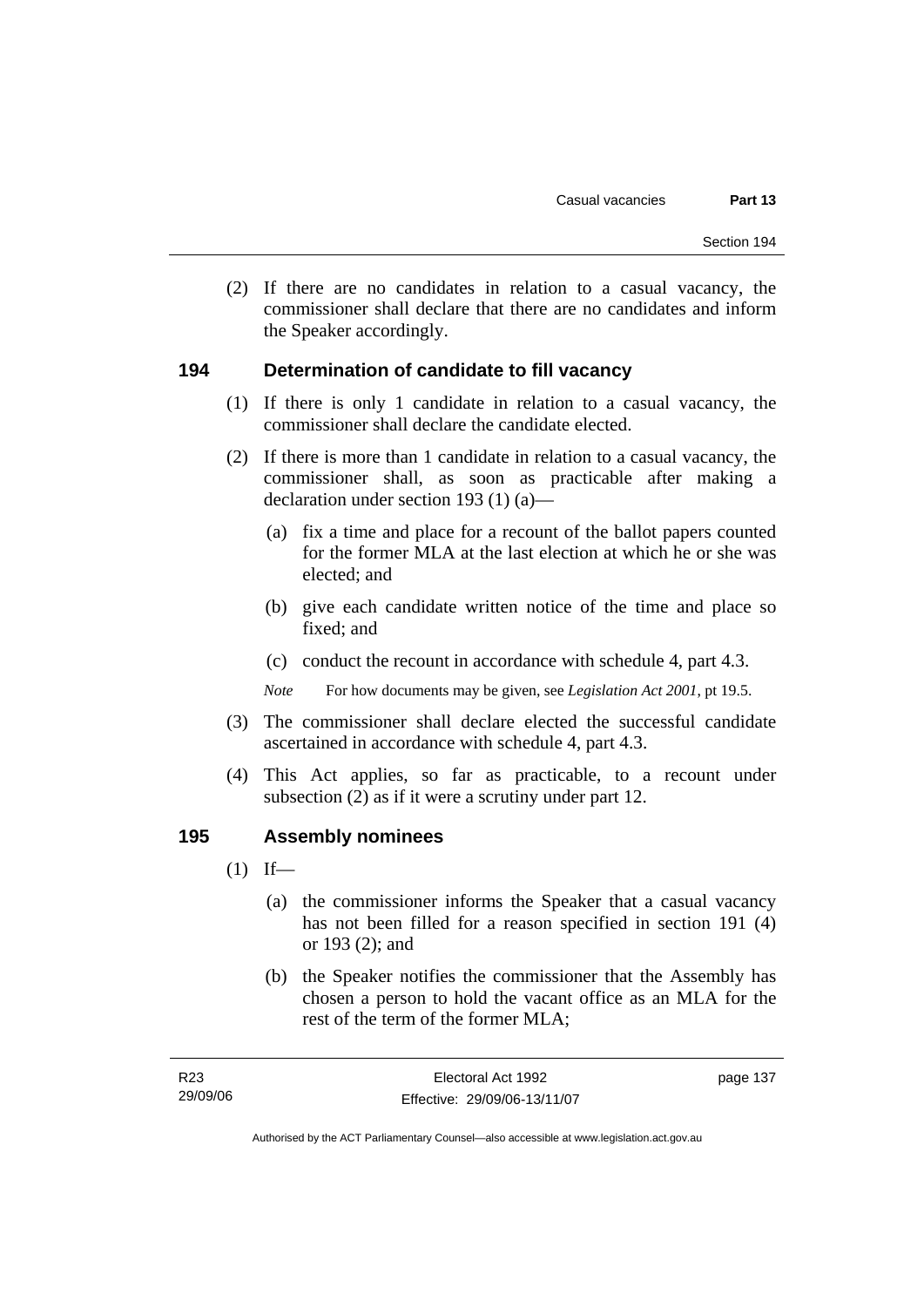(2) If there are no candidates in relation to a casual vacancy, the commissioner shall declare that there are no candidates and inform the Speaker accordingly.

#### **194 Determination of candidate to fill vacancy**

- (1) If there is only 1 candidate in relation to a casual vacancy, the commissioner shall declare the candidate elected.
- (2) If there is more than 1 candidate in relation to a casual vacancy, the commissioner shall, as soon as practicable after making a declaration under section 193 (1) (a)—
	- (a) fix a time and place for a recount of the ballot papers counted for the former MLA at the last election at which he or she was elected; and
	- (b) give each candidate written notice of the time and place so fixed; and
	- (c) conduct the recount in accordance with schedule 4, part 4.3.

*Note* For how documents may be given, see *Legislation Act 2001*, pt 19.5.

- (3) The commissioner shall declare elected the successful candidate ascertained in accordance with schedule 4, part 4.3.
- (4) This Act applies, so far as practicable, to a recount under subsection (2) as if it were a scrutiny under part 12.

#### **195 Assembly nominees**

- $(1)$  If—
	- (a) the commissioner informs the Speaker that a casual vacancy has not been filled for a reason specified in section 191 (4) or 193 (2); and
	- (b) the Speaker notifies the commissioner that the Assembly has chosen a person to hold the vacant office as an MLA for the rest of the term of the former MLA;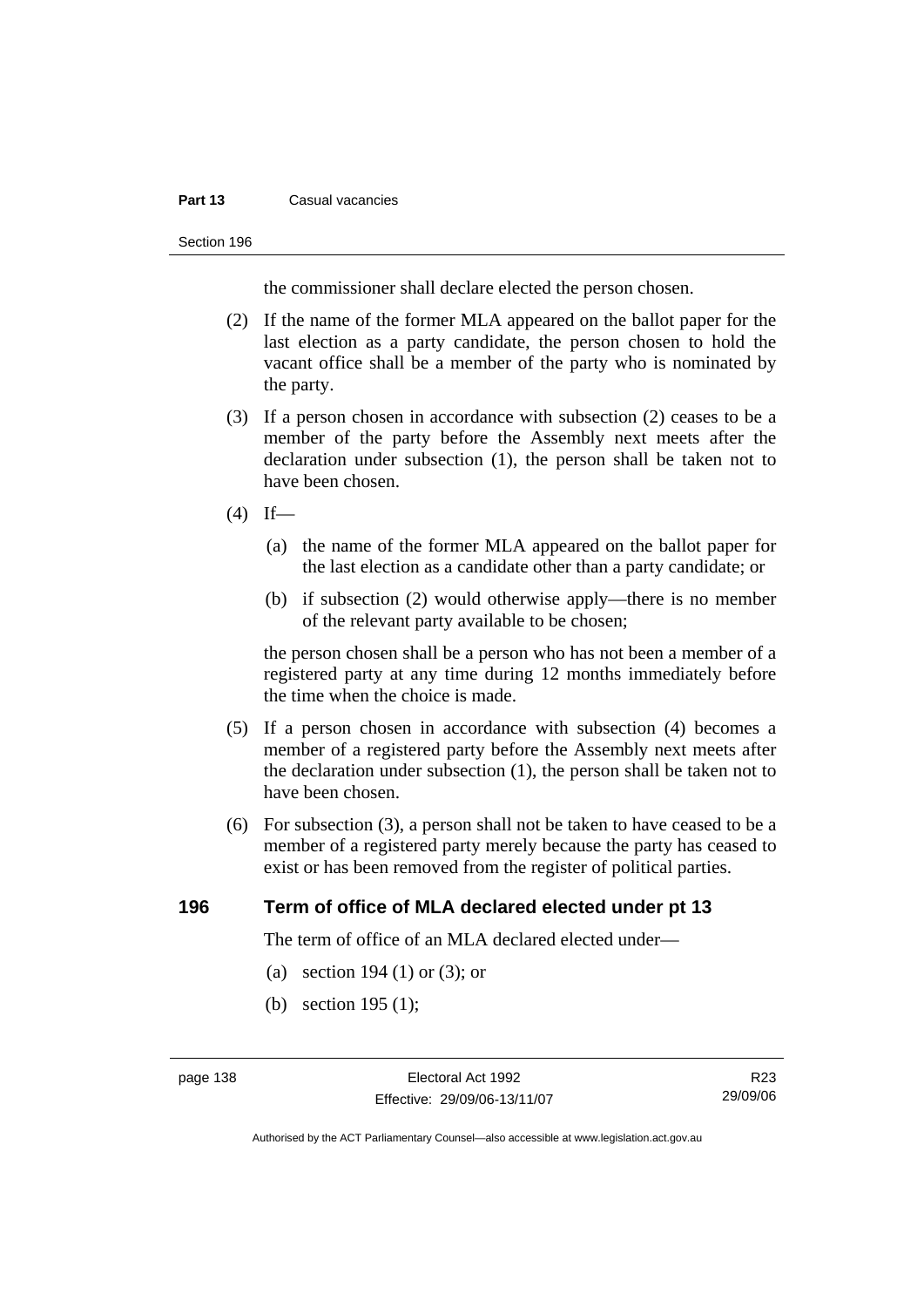#### **Part 13 Casual vacancies**

#### Section 196

the commissioner shall declare elected the person chosen.

- (2) If the name of the former MLA appeared on the ballot paper for the last election as a party candidate, the person chosen to hold the vacant office shall be a member of the party who is nominated by the party.
- (3) If a person chosen in accordance with subsection (2) ceases to be a member of the party before the Assembly next meets after the declaration under subsection (1), the person shall be taken not to have been chosen.
- $(4)$  If—
	- (a) the name of the former MLA appeared on the ballot paper for the last election as a candidate other than a party candidate; or
	- (b) if subsection (2) would otherwise apply—there is no member of the relevant party available to be chosen;

the person chosen shall be a person who has not been a member of a registered party at any time during 12 months immediately before the time when the choice is made.

- (5) If a person chosen in accordance with subsection (4) becomes a member of a registered party before the Assembly next meets after the declaration under subsection (1), the person shall be taken not to have been chosen.
- (6) For subsection (3), a person shall not be taken to have ceased to be a member of a registered party merely because the party has ceased to exist or has been removed from the register of political parties.

#### **196 Term of office of MLA declared elected under pt 13**

The term of office of an MLA declared elected under—

- (a) section 194 (1) or (3); or
- (b) section 195 (1);

R23 29/09/06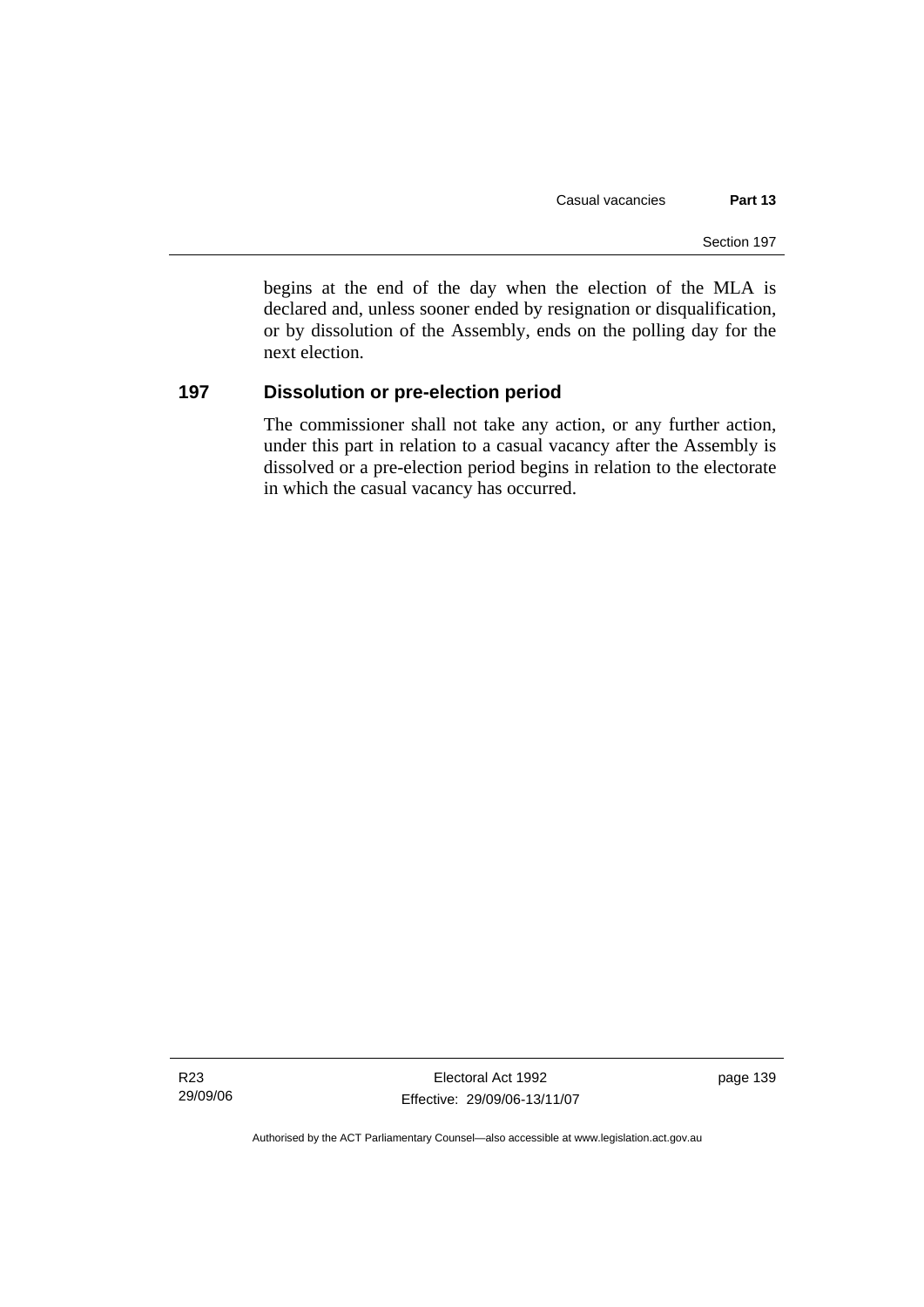begins at the end of the day when the election of the MLA is declared and, unless sooner ended by resignation or disqualification, or by dissolution of the Assembly, ends on the polling day for the next election.

## **197 Dissolution or pre-election period**

The commissioner shall not take any action, or any further action, under this part in relation to a casual vacancy after the Assembly is dissolved or a pre-election period begins in relation to the electorate in which the casual vacancy has occurred.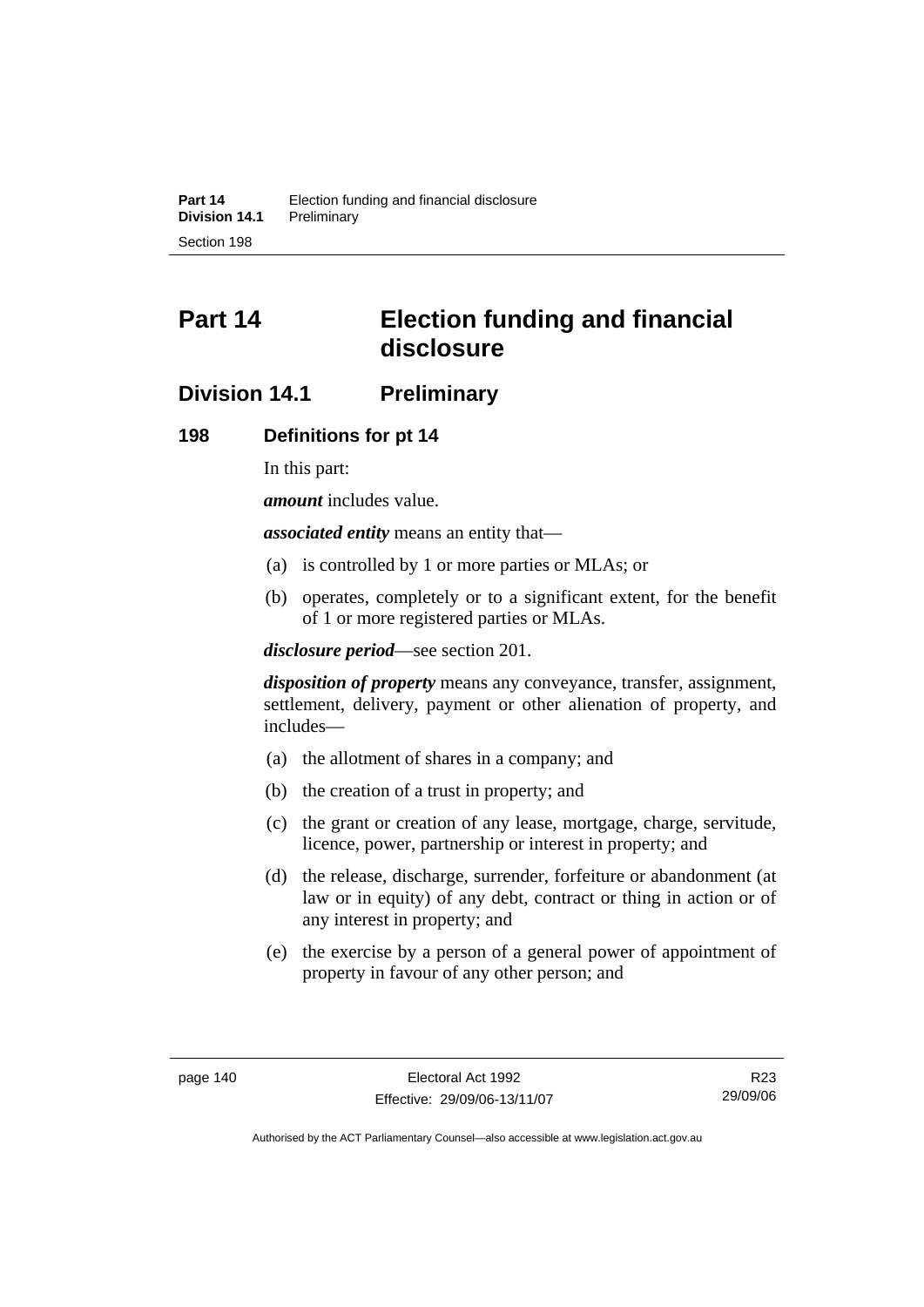# **Part 14 Election funding and financial disclosure**

# **Division 14.1 Preliminary**

#### **198 Definitions for pt 14**

In this part:

*amount* includes value.

*associated entity* means an entity that—

- (a) is controlled by 1 or more parties or MLAs; or
- (b) operates, completely or to a significant extent, for the benefit of 1 or more registered parties or MLAs.

*disclosure period*—see section 201.

*disposition of property* means any conveyance, transfer, assignment, settlement, delivery, payment or other alienation of property, and includes—

- (a) the allotment of shares in a company; and
- (b) the creation of a trust in property; and
- (c) the grant or creation of any lease, mortgage, charge, servitude, licence, power, partnership or interest in property; and
- (d) the release, discharge, surrender, forfeiture or abandonment (at law or in equity) of any debt, contract or thing in action or of any interest in property; and
- (e) the exercise by a person of a general power of appointment of property in favour of any other person; and

R23 29/09/06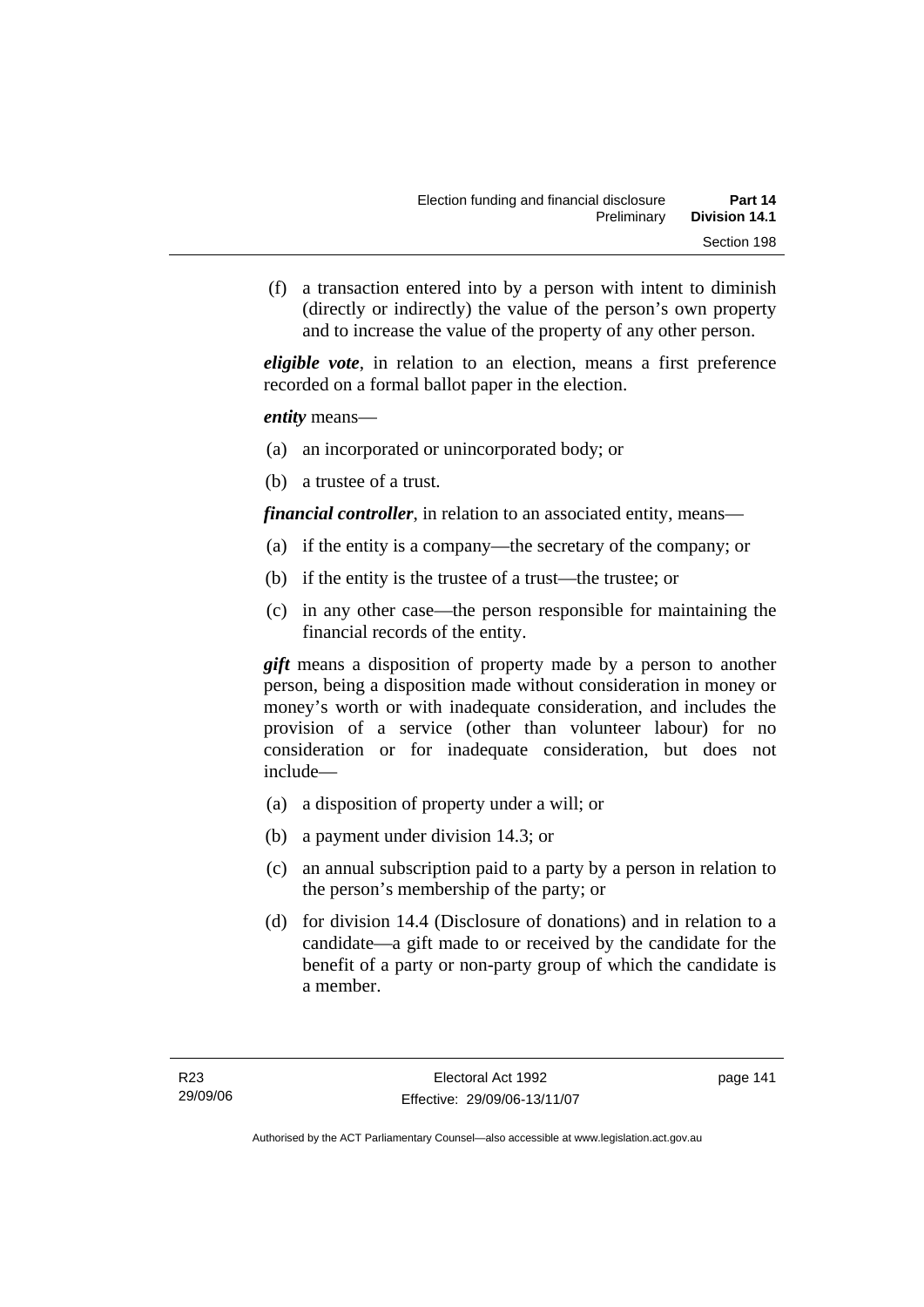(f) a transaction entered into by a person with intent to diminish (directly or indirectly) the value of the person's own property and to increase the value of the property of any other person.

*eligible vote*, in relation to an election, means a first preference recorded on a formal ballot paper in the election.

*entity* means—

- (a) an incorporated or unincorporated body; or
- (b) a trustee of a trust.

*financial controller*, in relation to an associated entity, means—

- (a) if the entity is a company—the secretary of the company; or
- (b) if the entity is the trustee of a trust—the trustee; or
- (c) in any other case—the person responsible for maintaining the financial records of the entity.

*gift* means a disposition of property made by a person to another person, being a disposition made without consideration in money or money's worth or with inadequate consideration, and includes the provision of a service (other than volunteer labour) for no consideration or for inadequate consideration, but does not include—

- (a) a disposition of property under a will; or
- (b) a payment under division 14.3; or
- (c) an annual subscription paid to a party by a person in relation to the person's membership of the party; or
- (d) for division 14.4 (Disclosure of donations) and in relation to a candidate—a gift made to or received by the candidate for the benefit of a party or non-party group of which the candidate is a member.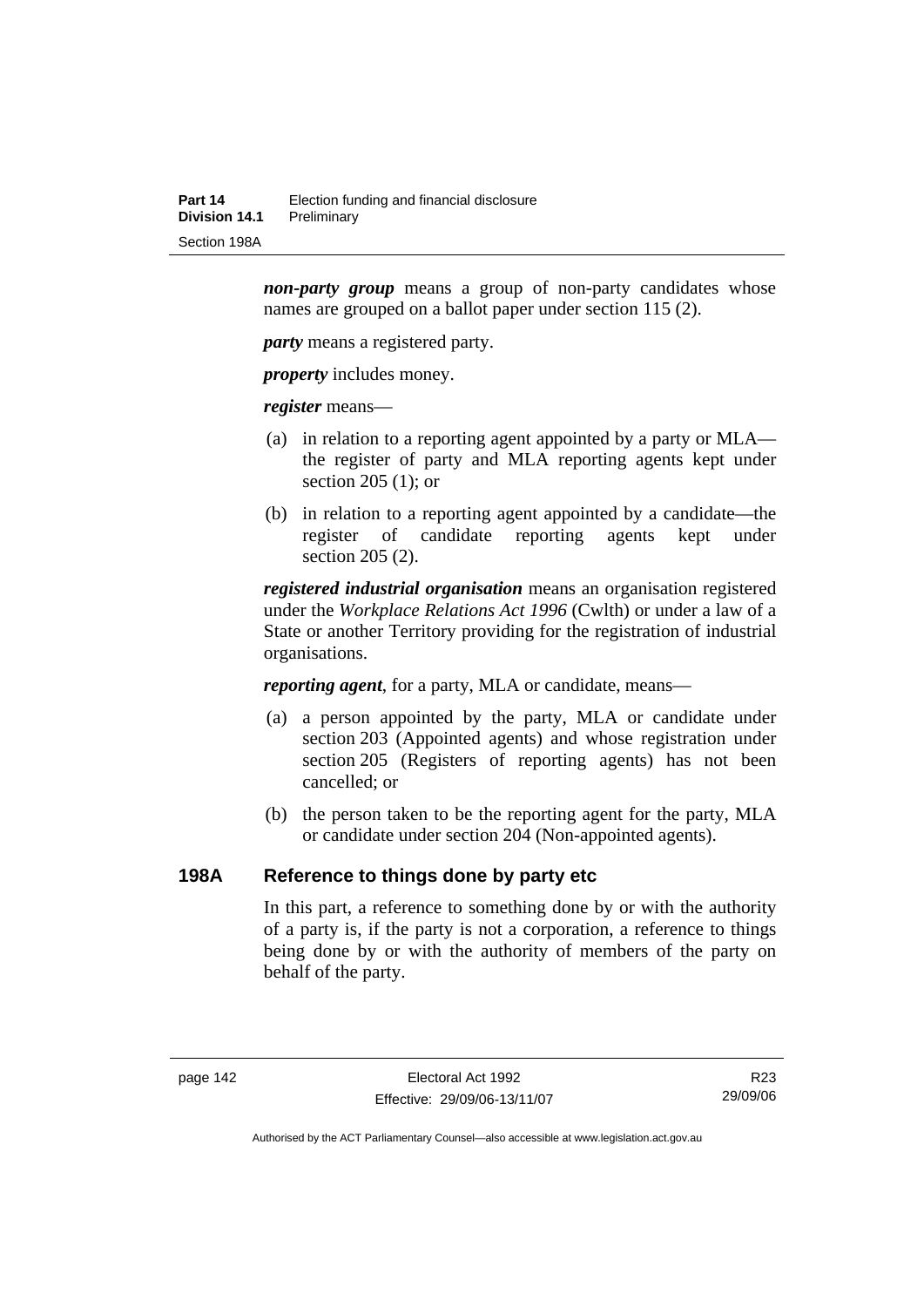*non-party group* means a group of non-party candidates whose names are grouped on a ballot paper under section 115 (2).

*party* means a registered party.

*property* includes money.

*register* means—

- (a) in relation to a reporting agent appointed by a party or MLA the register of party and MLA reporting agents kept under section 205 (1); or
- (b) in relation to a reporting agent appointed by a candidate—the register of candidate reporting agents kept under section 205 (2).

*registered industrial organisation* means an organisation registered under the *Workplace Relations Act 1996* (Cwlth) or under a law of a State or another Territory providing for the registration of industrial organisations.

*reporting agent*, for a party, MLA or candidate, means—

- (a) a person appointed by the party, MLA or candidate under section 203 (Appointed agents) and whose registration under section 205 (Registers of reporting agents) has not been cancelled; or
- (b) the person taken to be the reporting agent for the party, MLA or candidate under section 204 (Non-appointed agents).

#### **198A Reference to things done by party etc**

In this part, a reference to something done by or with the authority of a party is, if the party is not a corporation, a reference to things being done by or with the authority of members of the party on behalf of the party.

R23 29/09/06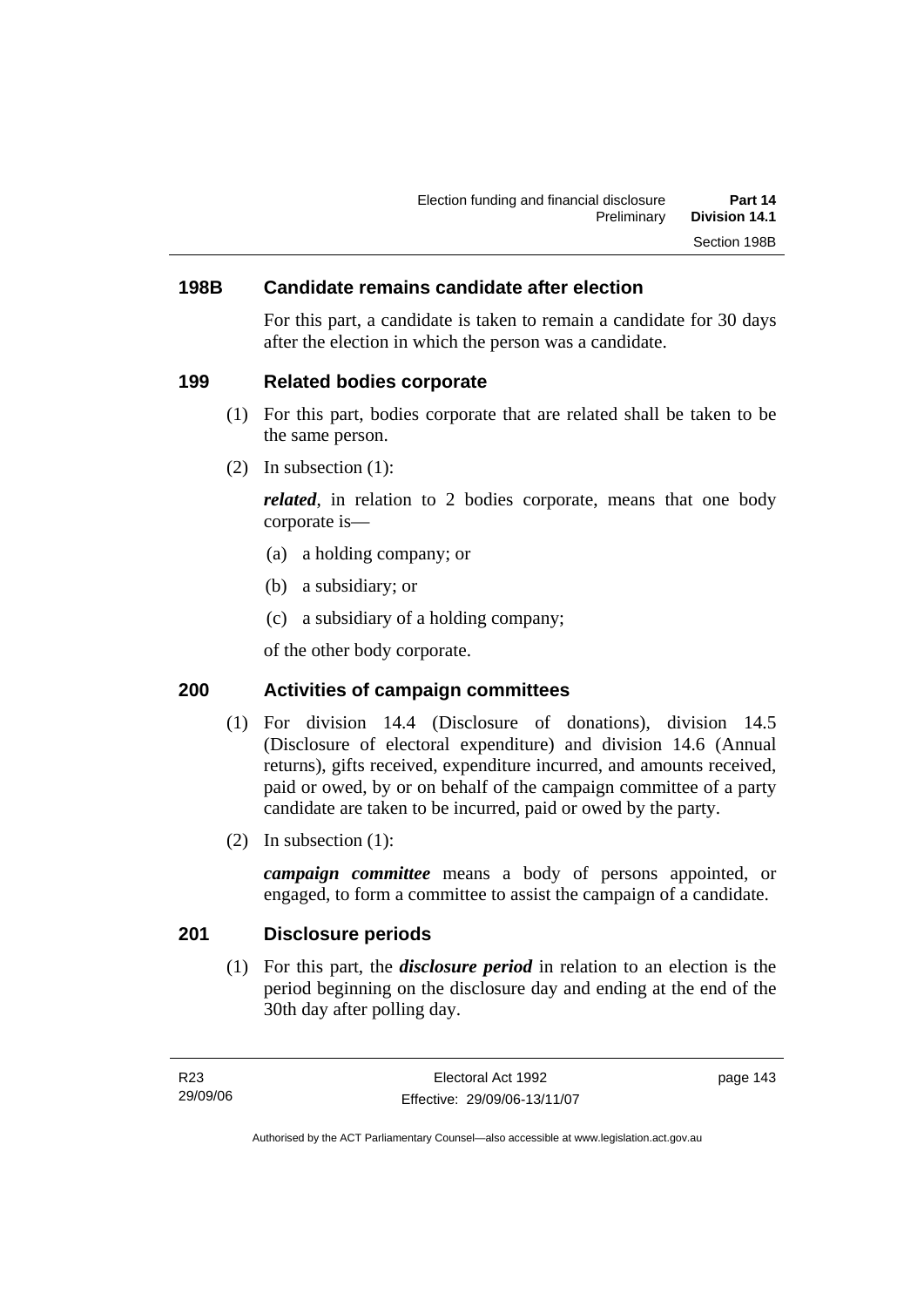### **198B Candidate remains candidate after election**

For this part, a candidate is taken to remain a candidate for 30 days after the election in which the person was a candidate.

#### **199 Related bodies corporate**

- (1) For this part, bodies corporate that are related shall be taken to be the same person.
- (2) In subsection (1):

*related*, in relation to 2 bodies corporate, means that one body corporate is—

- (a) a holding company; or
- (b) a subsidiary; or
- (c) a subsidiary of a holding company;

of the other body corporate.

### **200 Activities of campaign committees**

- (1) For division 14.4 (Disclosure of donations), division 14.5 (Disclosure of electoral expenditure) and division 14.6 (Annual returns), gifts received, expenditure incurred, and amounts received, paid or owed, by or on behalf of the campaign committee of a party candidate are taken to be incurred, paid or owed by the party.
- (2) In subsection (1):

*campaign committee* means a body of persons appointed, or engaged, to form a committee to assist the campaign of a candidate.

#### **201 Disclosure periods**

 (1) For this part, the *disclosure period* in relation to an election is the period beginning on the disclosure day and ending at the end of the 30th day after polling day.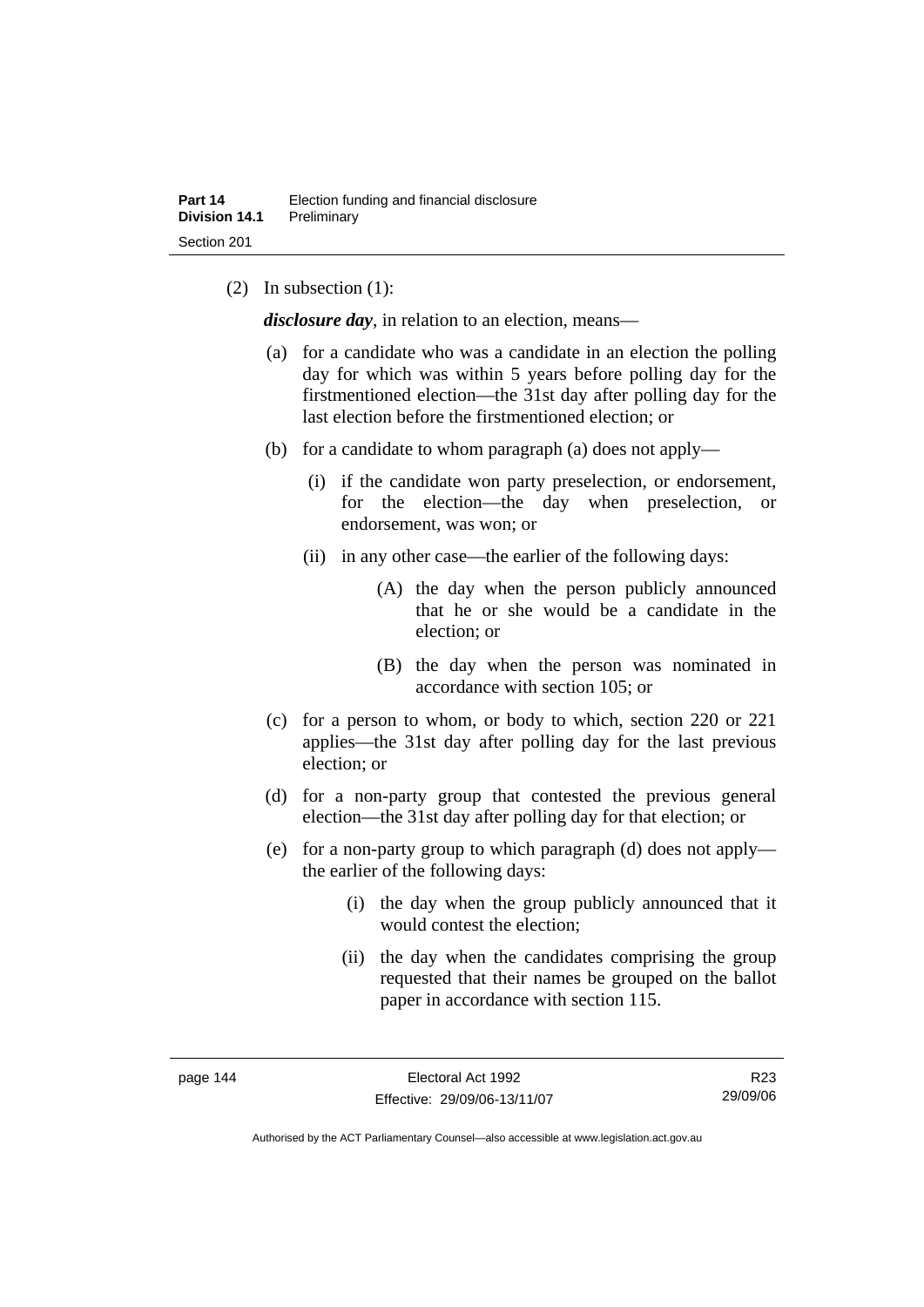(2) In subsection (1):

*disclosure day*, in relation to an election, means—

- (a) for a candidate who was a candidate in an election the polling day for which was within 5 years before polling day for the firstmentioned election—the 31st day after polling day for the last election before the firstmentioned election; or
- (b) for a candidate to whom paragraph (a) does not apply—
	- (i) if the candidate won party preselection, or endorsement, for the election—the day when preselection, or endorsement, was won; or
	- (ii) in any other case—the earlier of the following days:
		- (A) the day when the person publicly announced that he or she would be a candidate in the election; or
		- (B) the day when the person was nominated in accordance with section 105; or
- (c) for a person to whom, or body to which, section 220 or 221 applies—the 31st day after polling day for the last previous election; or
- (d) for a non-party group that contested the previous general election—the 31st day after polling day for that election; or
- (e) for a non-party group to which paragraph (d) does not apply the earlier of the following days:
	- (i) the day when the group publicly announced that it would contest the election;
	- (ii) the day when the candidates comprising the group requested that their names be grouped on the ballot paper in accordance with section 115.

R23 29/09/06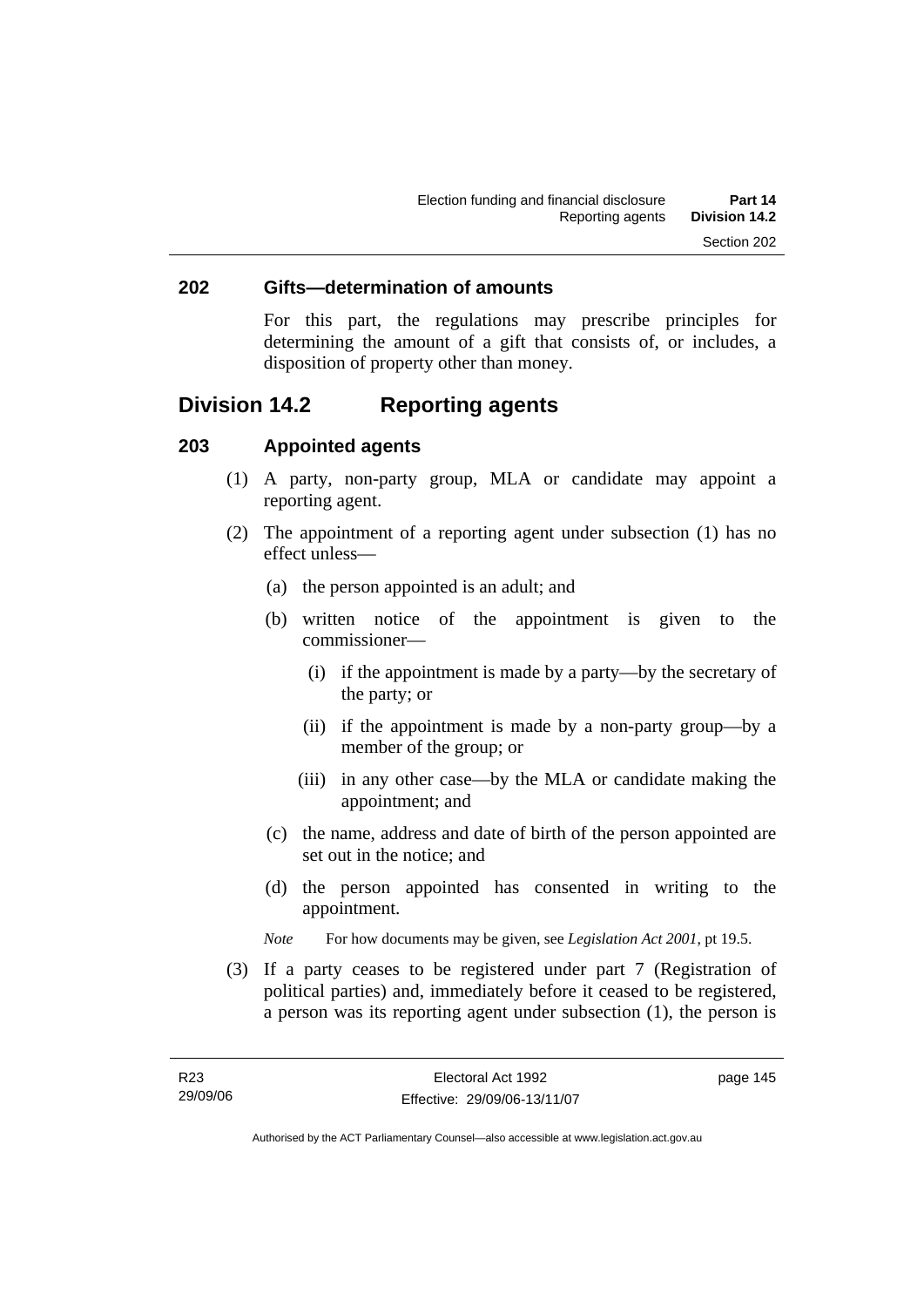#### **202 Gifts—determination of amounts**

For this part, the regulations may prescribe principles for determining the amount of a gift that consists of, or includes, a disposition of property other than money.

# **Division 14.2 Reporting agents**

#### **203 Appointed agents**

- (1) A party, non-party group, MLA or candidate may appoint a reporting agent.
- (2) The appointment of a reporting agent under subsection (1) has no effect unless—
	- (a) the person appointed is an adult; and
	- (b) written notice of the appointment is given to the commissioner—
		- (i) if the appointment is made by a party—by the secretary of the party; or
		- (ii) if the appointment is made by a non-party group—by a member of the group; or
		- (iii) in any other case—by the MLA or candidate making the appointment; and
	- (c) the name, address and date of birth of the person appointed are set out in the notice; and
	- (d) the person appointed has consented in writing to the appointment.
	- *Note* For how documents may be given, see *Legislation Act 2001*, pt 19.5.
- (3) If a party ceases to be registered under part 7 (Registration of political parties) and, immediately before it ceased to be registered, a person was its reporting agent under subsection (1), the person is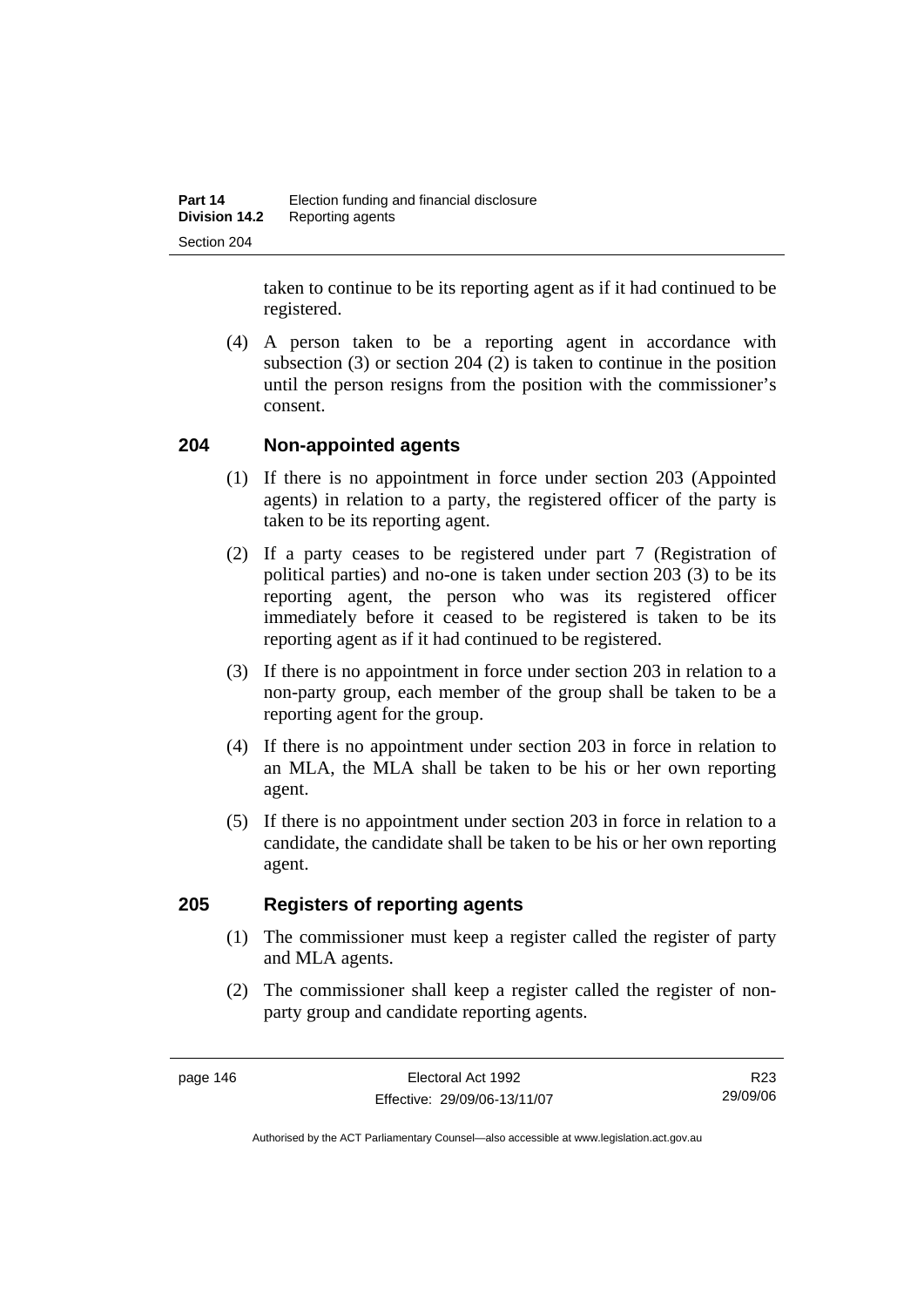taken to continue to be its reporting agent as if it had continued to be registered.

 (4) A person taken to be a reporting agent in accordance with subsection (3) or section 204 (2) is taken to continue in the position until the person resigns from the position with the commissioner's consent.

### **204 Non-appointed agents**

- (1) If there is no appointment in force under section 203 (Appointed agents) in relation to a party, the registered officer of the party is taken to be its reporting agent.
- (2) If a party ceases to be registered under part 7 (Registration of political parties) and no-one is taken under section 203 (3) to be its reporting agent, the person who was its registered officer immediately before it ceased to be registered is taken to be its reporting agent as if it had continued to be registered.
- (3) If there is no appointment in force under section 203 in relation to a non-party group, each member of the group shall be taken to be a reporting agent for the group.
- (4) If there is no appointment under section 203 in force in relation to an MLA, the MLA shall be taken to be his or her own reporting agent.
- (5) If there is no appointment under section 203 in force in relation to a candidate, the candidate shall be taken to be his or her own reporting agent.

#### **205 Registers of reporting agents**

- (1) The commissioner must keep a register called the register of party and MLA agents.
- (2) The commissioner shall keep a register called the register of nonparty group and candidate reporting agents.

R23 29/09/06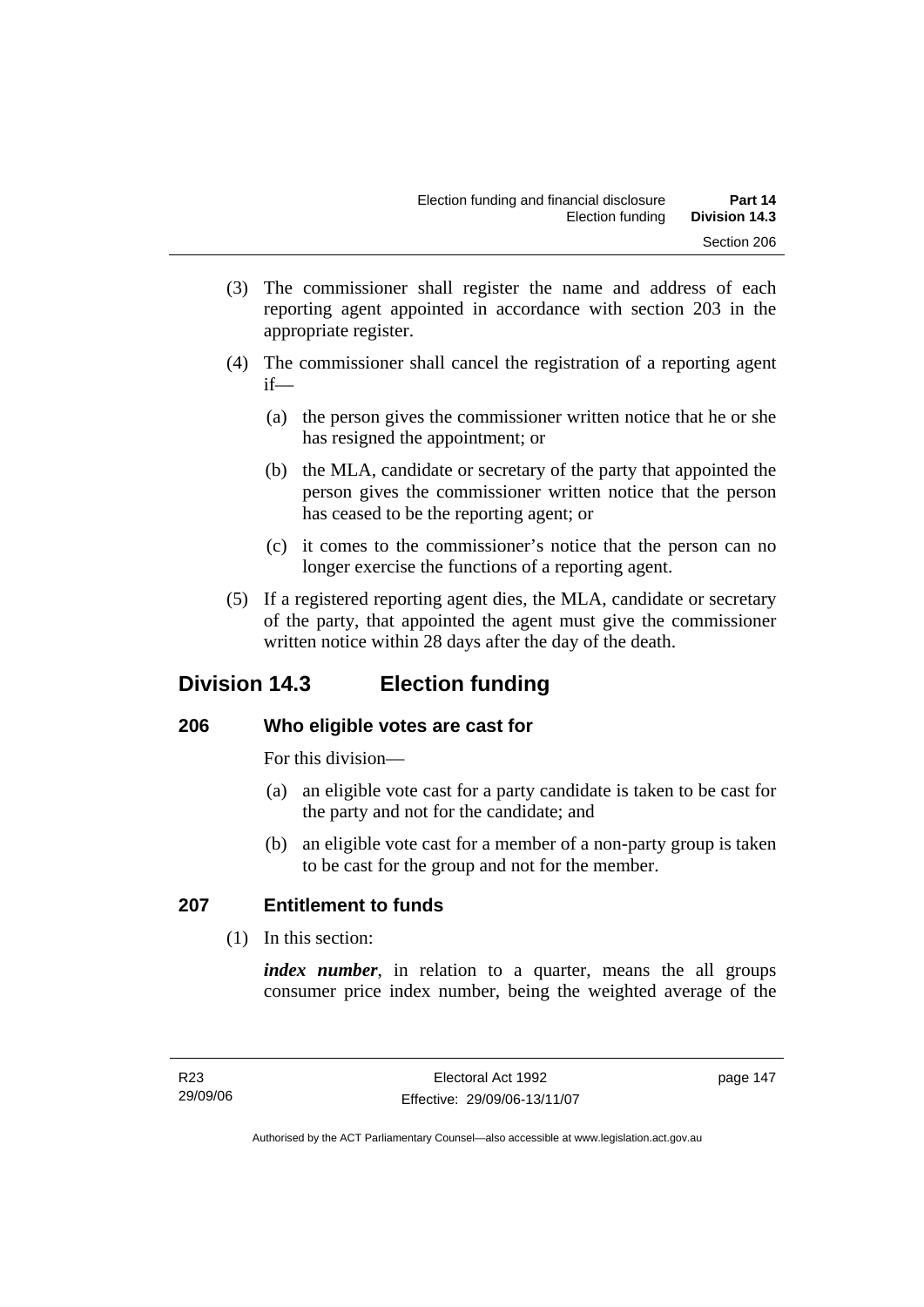- (3) The commissioner shall register the name and address of each reporting agent appointed in accordance with section 203 in the appropriate register.
- (4) The commissioner shall cancel the registration of a reporting agent if—
	- (a) the person gives the commissioner written notice that he or she has resigned the appointment; or
	- (b) the MLA, candidate or secretary of the party that appointed the person gives the commissioner written notice that the person has ceased to be the reporting agent; or
	- (c) it comes to the commissioner's notice that the person can no longer exercise the functions of a reporting agent.
- (5) If a registered reporting agent dies, the MLA, candidate or secretary of the party, that appointed the agent must give the commissioner written notice within 28 days after the day of the death.

# **Division 14.3 Election funding**

## **206 Who eligible votes are cast for**

For this division—

- (a) an eligible vote cast for a party candidate is taken to be cast for the party and not for the candidate; and
- (b) an eligible vote cast for a member of a non-party group is taken to be cast for the group and not for the member.

# **207 Entitlement to funds**

(1) In this section:

*index number*, in relation to a quarter, means the all groups consumer price index number, being the weighted average of the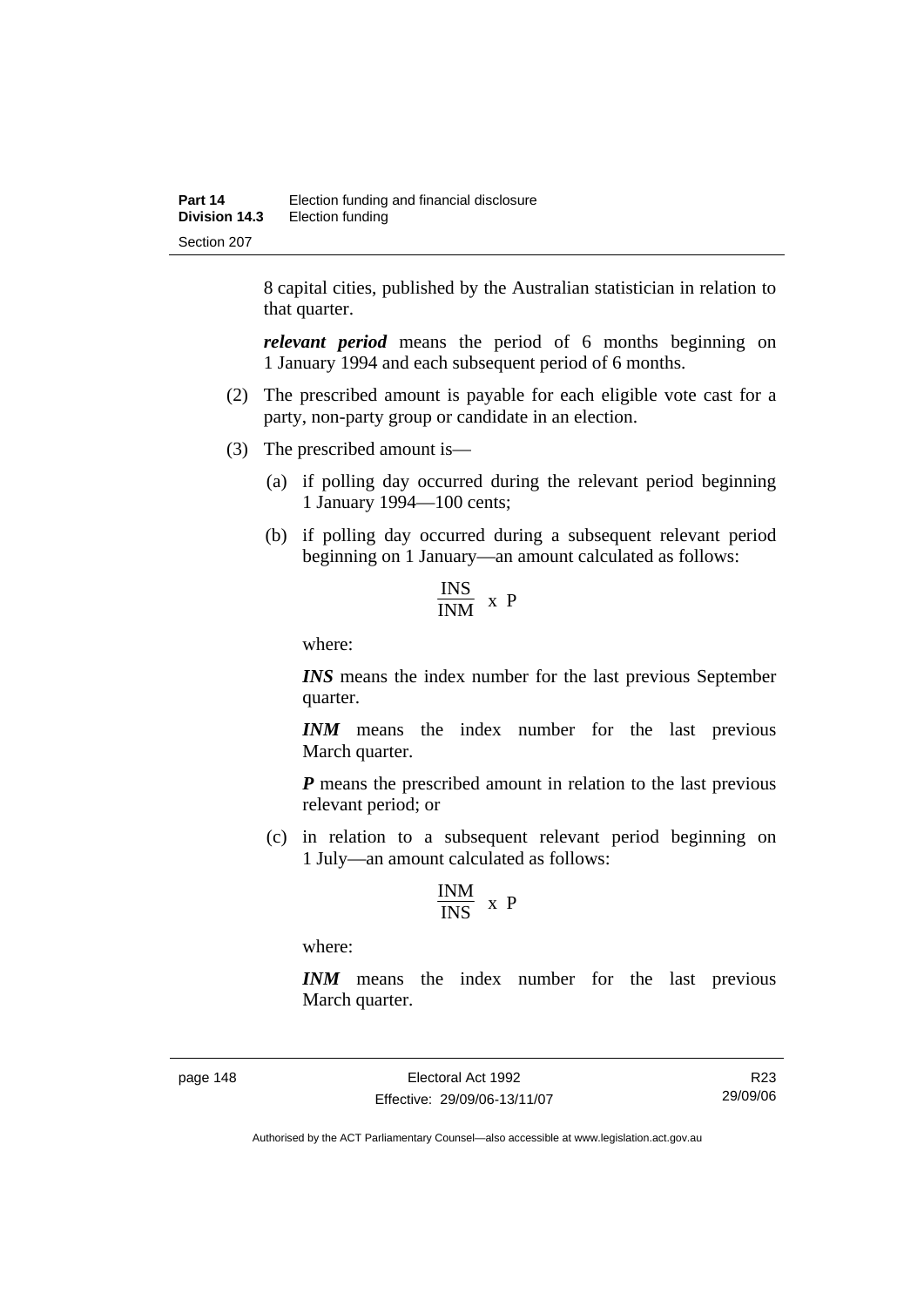8 capital cities, published by the Australian statistician in relation to that quarter.

*relevant period* means the period of 6 months beginning on 1 January 1994 and each subsequent period of 6 months.

- (2) The prescribed amount is payable for each eligible vote cast for a party, non-party group or candidate in an election.
- (3) The prescribed amount is—
	- (a) if polling day occurred during the relevant period beginning 1 January 1994—100 cents;
	- (b) if polling day occurred during a subsequent relevant period beginning on 1 January—an amount calculated as follows:

$$
\frac{INS}{INM} \times P
$$

where:

*INS* means the index number for the last previous September quarter.

*INM* means the index number for the last previous March quarter.

*P* means the prescribed amount in relation to the last previous relevant period; or

 (c) in relation to a subsequent relevant period beginning on 1 July—an amount calculated as follows:

$$
\frac{INM}{INS} \ x \ P
$$

where:

*INM* means the index number for the last previous March quarter.

page 148 Electoral Act 1992 Effective: 29/09/06-13/11/07

R23 29/09/06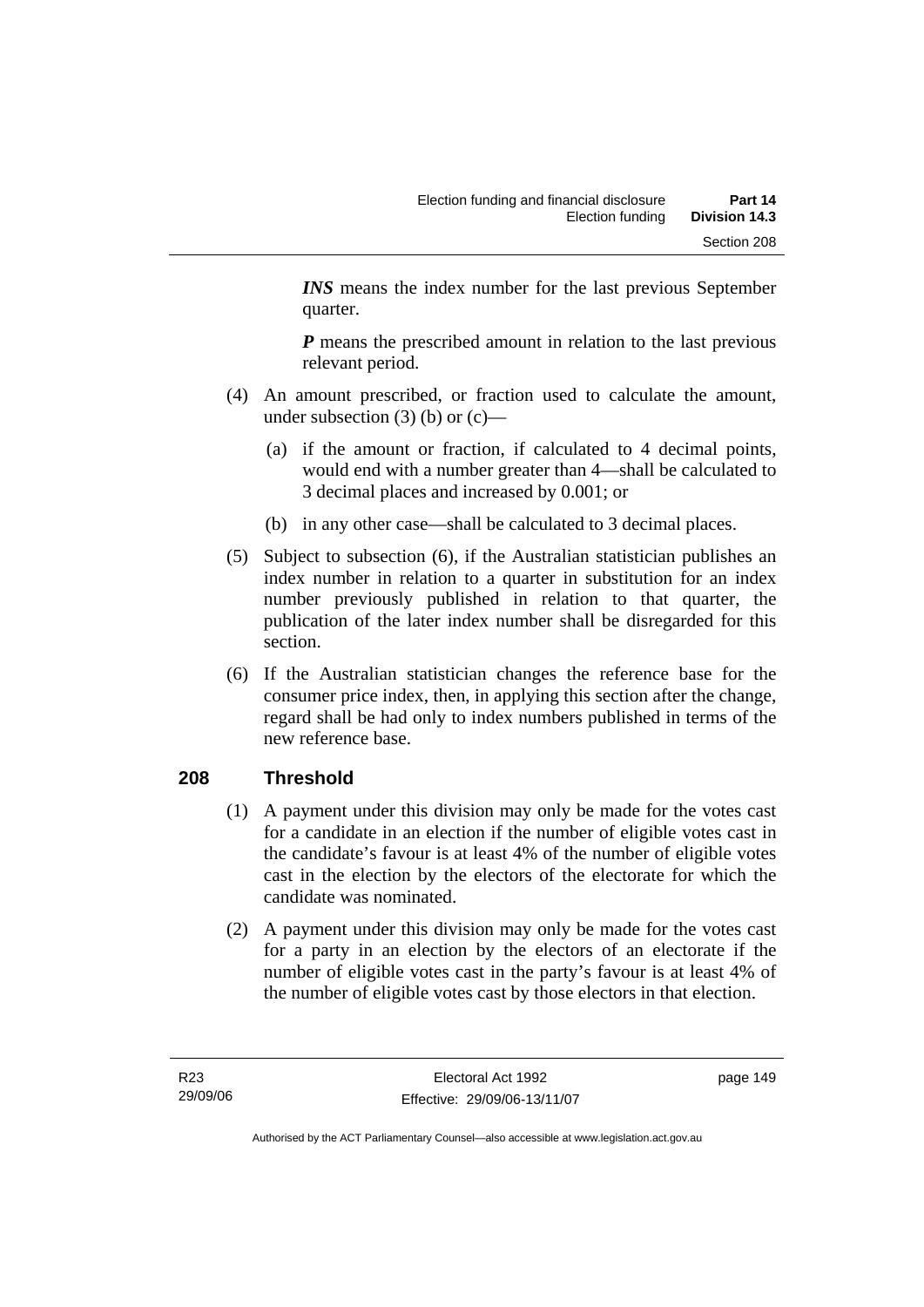*INS* means the index number for the last previous September quarter.

*P* means the prescribed amount in relation to the last previous relevant period.

- (4) An amount prescribed, or fraction used to calculate the amount, under subsection  $(3)$  (b) or  $(c)$ —
	- (a) if the amount or fraction, if calculated to 4 decimal points, would end with a number greater than 4—shall be calculated to 3 decimal places and increased by 0.001; or
	- (b) in any other case—shall be calculated to 3 decimal places.
- (5) Subject to subsection (6), if the Australian statistician publishes an index number in relation to a quarter in substitution for an index number previously published in relation to that quarter, the publication of the later index number shall be disregarded for this section.
- (6) If the Australian statistician changes the reference base for the consumer price index, then, in applying this section after the change, regard shall be had only to index numbers published in terms of the new reference base.

# **208 Threshold**

- (1) A payment under this division may only be made for the votes cast for a candidate in an election if the number of eligible votes cast in the candidate's favour is at least 4% of the number of eligible votes cast in the election by the electors of the electorate for which the candidate was nominated.
- (2) A payment under this division may only be made for the votes cast for a party in an election by the electors of an electorate if the number of eligible votes cast in the party's favour is at least 4% of the number of eligible votes cast by those electors in that election.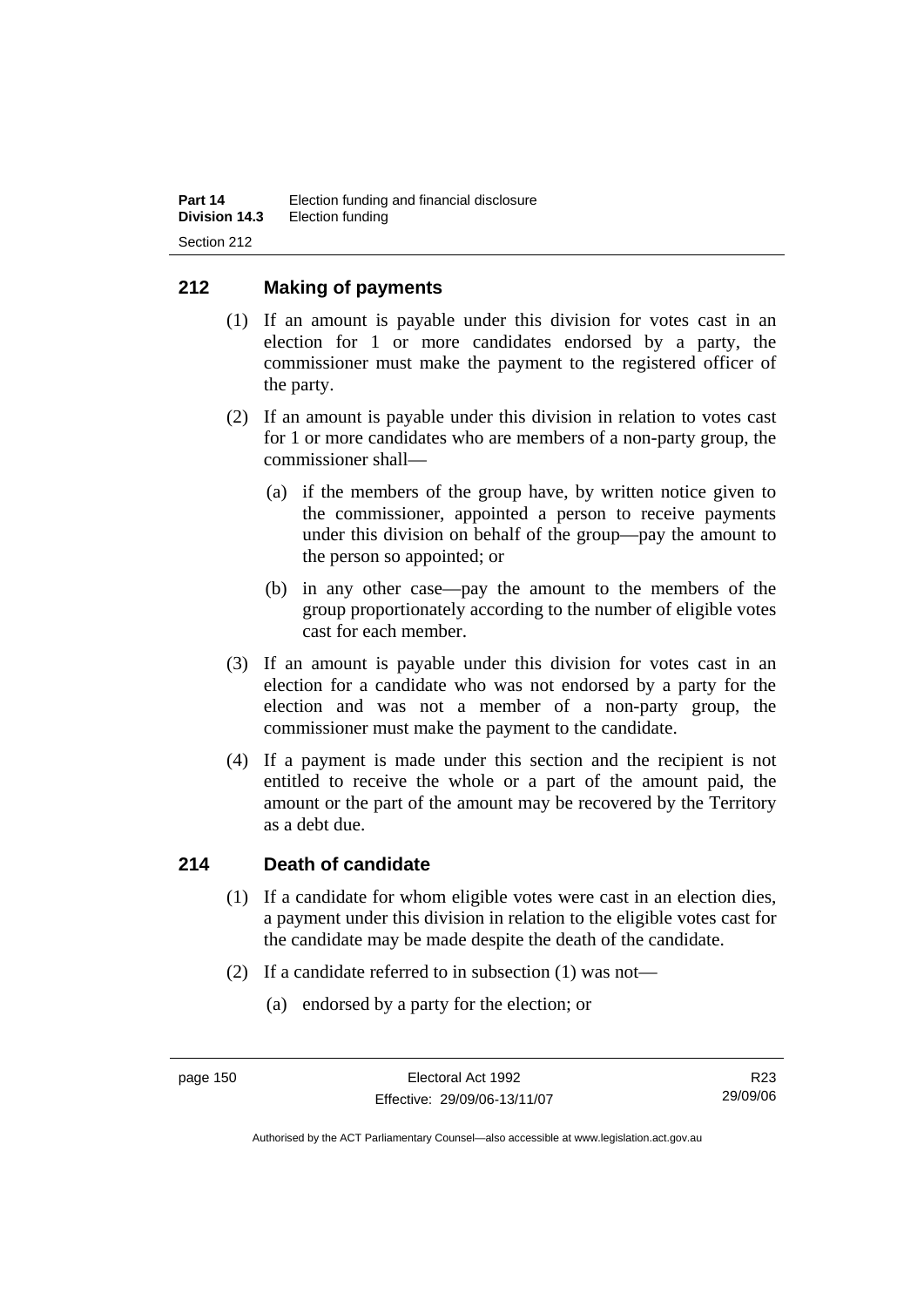## **212 Making of payments**

- (1) If an amount is payable under this division for votes cast in an election for 1 or more candidates endorsed by a party, the commissioner must make the payment to the registered officer of the party.
- (2) If an amount is payable under this division in relation to votes cast for 1 or more candidates who are members of a non-party group, the commissioner shall—
	- (a) if the members of the group have, by written notice given to the commissioner, appointed a person to receive payments under this division on behalf of the group—pay the amount to the person so appointed; or
	- (b) in any other case—pay the amount to the members of the group proportionately according to the number of eligible votes cast for each member.
- (3) If an amount is payable under this division for votes cast in an election for a candidate who was not endorsed by a party for the election and was not a member of a non-party group, the commissioner must make the payment to the candidate.
- (4) If a payment is made under this section and the recipient is not entitled to receive the whole or a part of the amount paid, the amount or the part of the amount may be recovered by the Territory as a debt due.

#### **214 Death of candidate**

- (1) If a candidate for whom eligible votes were cast in an election dies, a payment under this division in relation to the eligible votes cast for the candidate may be made despite the death of the candidate.
- (2) If a candidate referred to in subsection (1) was not—
	- (a) endorsed by a party for the election; or

R23 29/09/06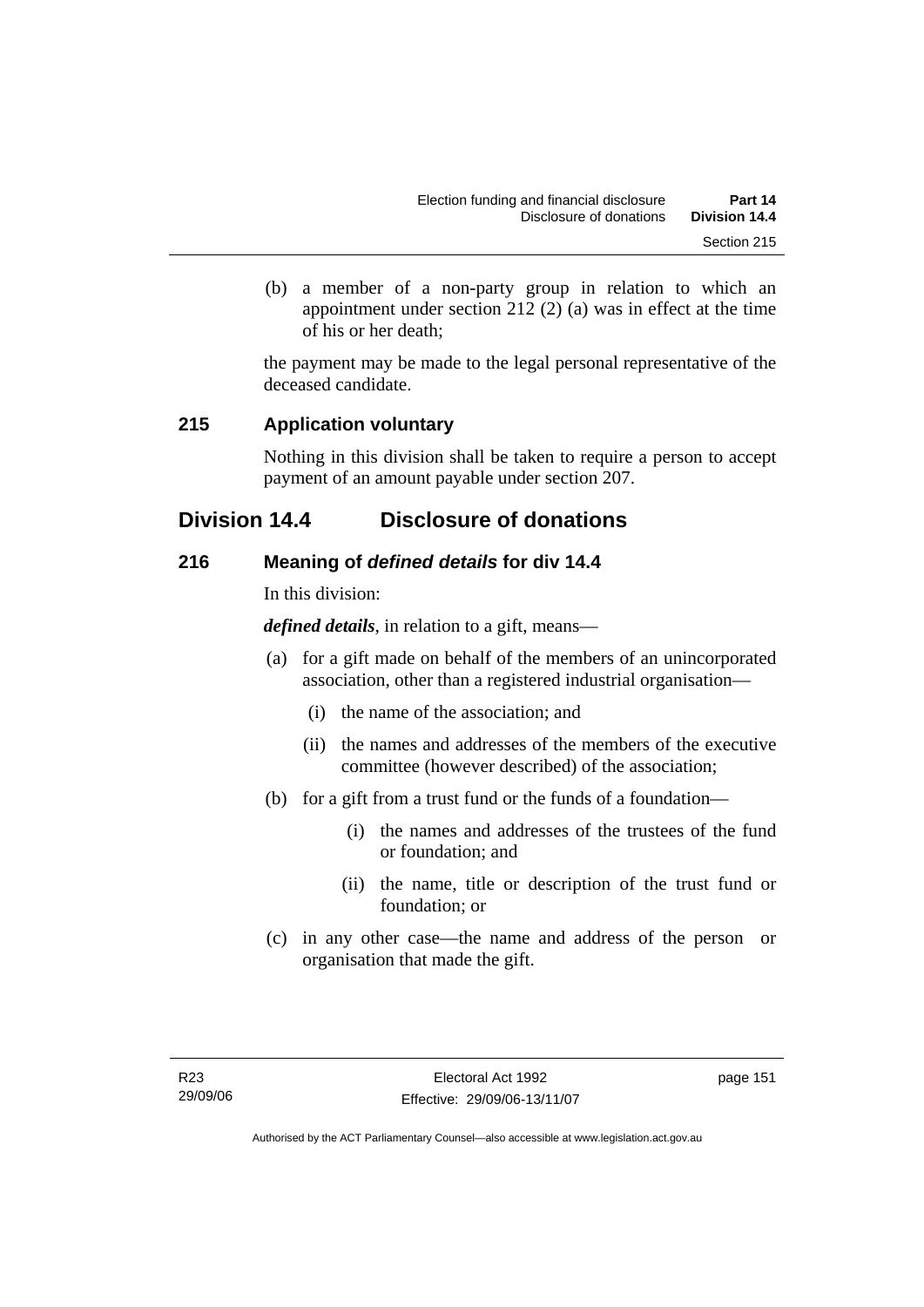(b) a member of a non-party group in relation to which an appointment under section 212 (2) (a) was in effect at the time of his or her death;

the payment may be made to the legal personal representative of the deceased candidate.

### **215 Application voluntary**

Nothing in this division shall be taken to require a person to accept payment of an amount payable under section 207.

# **Division 14.4 Disclosure of donations**

### **216 Meaning of** *defined details* **for div 14.4**

In this division:

*defined details*, in relation to a gift, means—

- (a) for a gift made on behalf of the members of an unincorporated association, other than a registered industrial organisation—
	- (i) the name of the association; and
	- (ii) the names and addresses of the members of the executive committee (however described) of the association;
- (b) for a gift from a trust fund or the funds of a foundation—
	- (i) the names and addresses of the trustees of the fund or foundation; and
	- (ii) the name, title or description of the trust fund or foundation; or
- (c) in any other case—the name and address of the person or organisation that made the gift.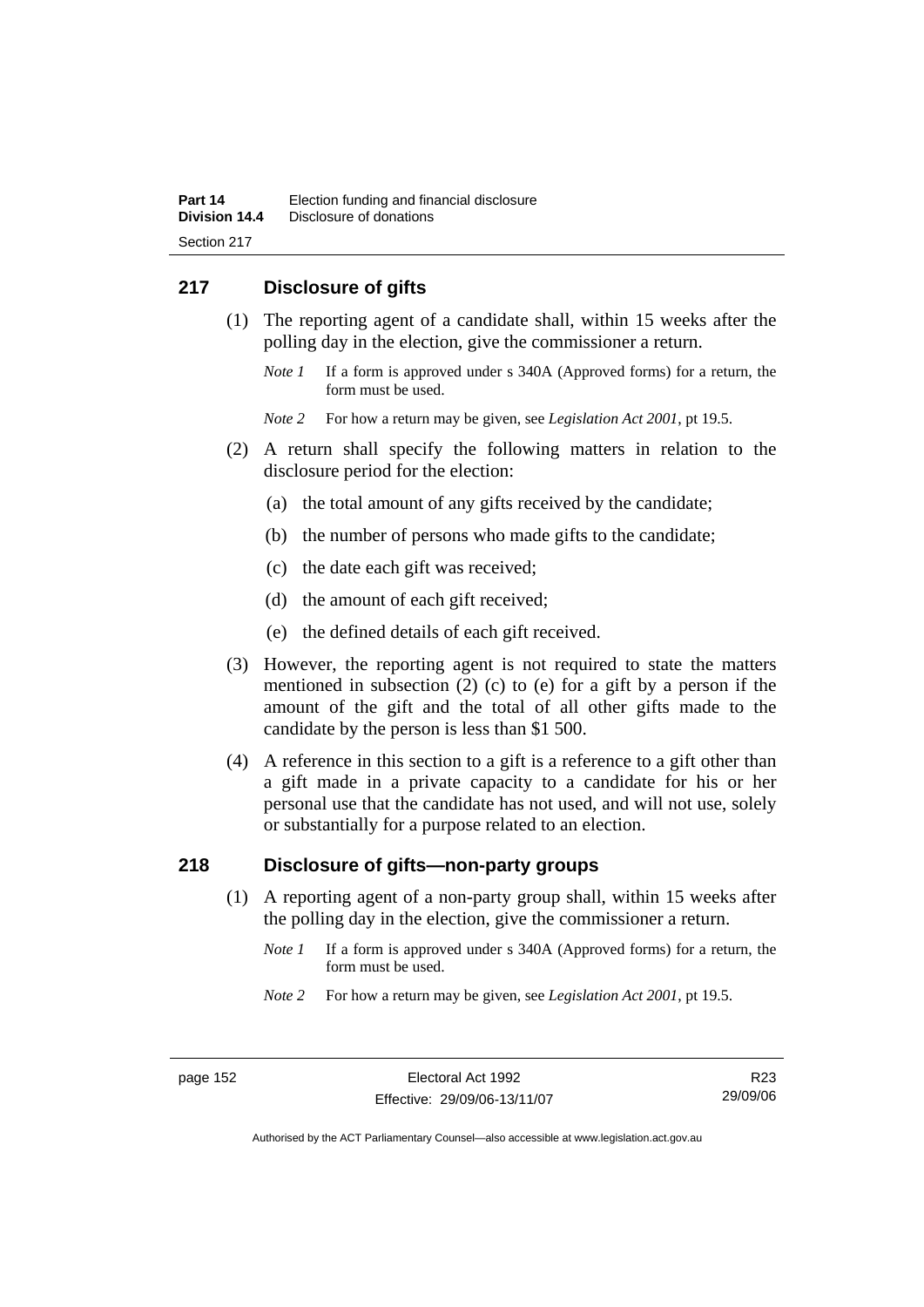# **217 Disclosure of gifts**

- (1) The reporting agent of a candidate shall, within 15 weeks after the polling day in the election, give the commissioner a return.
	- *Note 1* If a form is approved under s 340A (Approved forms) for a return, the form must be used.
	- *Note 2* For how a return may be given, see *Legislation Act 2001*, pt 19.5.
- (2) A return shall specify the following matters in relation to the disclosure period for the election:
	- (a) the total amount of any gifts received by the candidate;
	- (b) the number of persons who made gifts to the candidate;
	- (c) the date each gift was received;
	- (d) the amount of each gift received;
	- (e) the defined details of each gift received.
- (3) However, the reporting agent is not required to state the matters mentioned in subsection (2) (c) to (e) for a gift by a person if the amount of the gift and the total of all other gifts made to the candidate by the person is less than \$1 500.
- (4) A reference in this section to a gift is a reference to a gift other than a gift made in a private capacity to a candidate for his or her personal use that the candidate has not used, and will not use, solely or substantially for a purpose related to an election.

## **218 Disclosure of gifts—non-party groups**

- (1) A reporting agent of a non-party group shall, within 15 weeks after the polling day in the election, give the commissioner a return.
	- *Note 1* If a form is approved under s 340A (Approved forms) for a return, the form must be used.
	- *Note 2* For how a return may be given, see *Legislation Act 2001*, pt 19.5.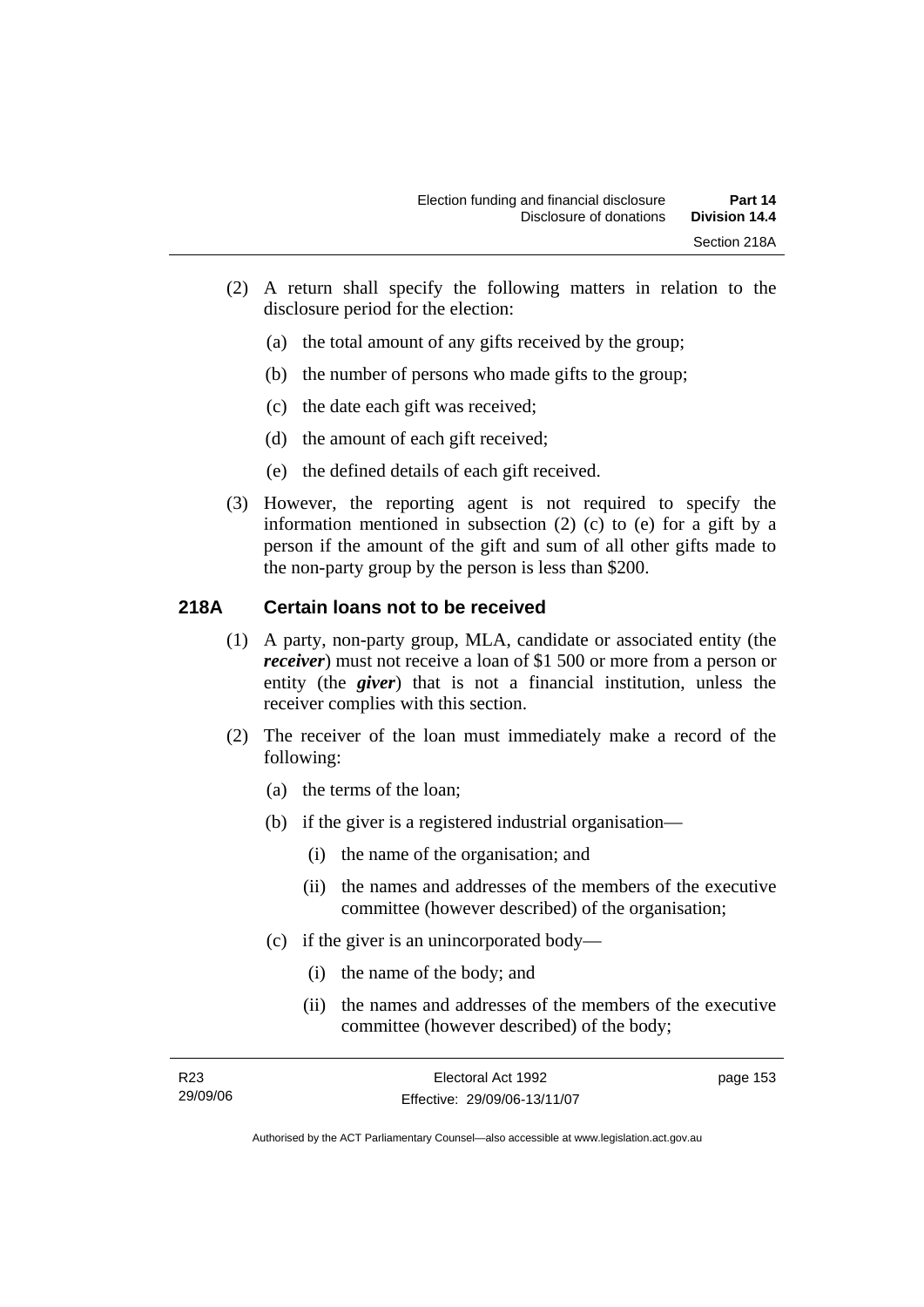- (2) A return shall specify the following matters in relation to the disclosure period for the election:
	- (a) the total amount of any gifts received by the group;
	- (b) the number of persons who made gifts to the group;
	- (c) the date each gift was received;
	- (d) the amount of each gift received;
	- (e) the defined details of each gift received.
- (3) However, the reporting agent is not required to specify the information mentioned in subsection (2) (c) to (e) for a gift by a person if the amount of the gift and sum of all other gifts made to the non-party group by the person is less than \$200.

### **218A Certain loans not to be received**

- (1) A party, non-party group, MLA, candidate or associated entity (the *receiver*) must not receive a loan of \$1 500 or more from a person or entity (the *giver*) that is not a financial institution, unless the receiver complies with this section.
- (2) The receiver of the loan must immediately make a record of the following:
	- (a) the terms of the loan;
	- (b) if the giver is a registered industrial organisation—
		- (i) the name of the organisation; and
		- (ii) the names and addresses of the members of the executive committee (however described) of the organisation;
	- (c) if the giver is an unincorporated body—
		- (i) the name of the body; and
		- (ii) the names and addresses of the members of the executive committee (however described) of the body;

| R23      | Electoral Act 1992           | page 153 |
|----------|------------------------------|----------|
| 29/09/06 | Effective: 29/09/06-13/11/07 |          |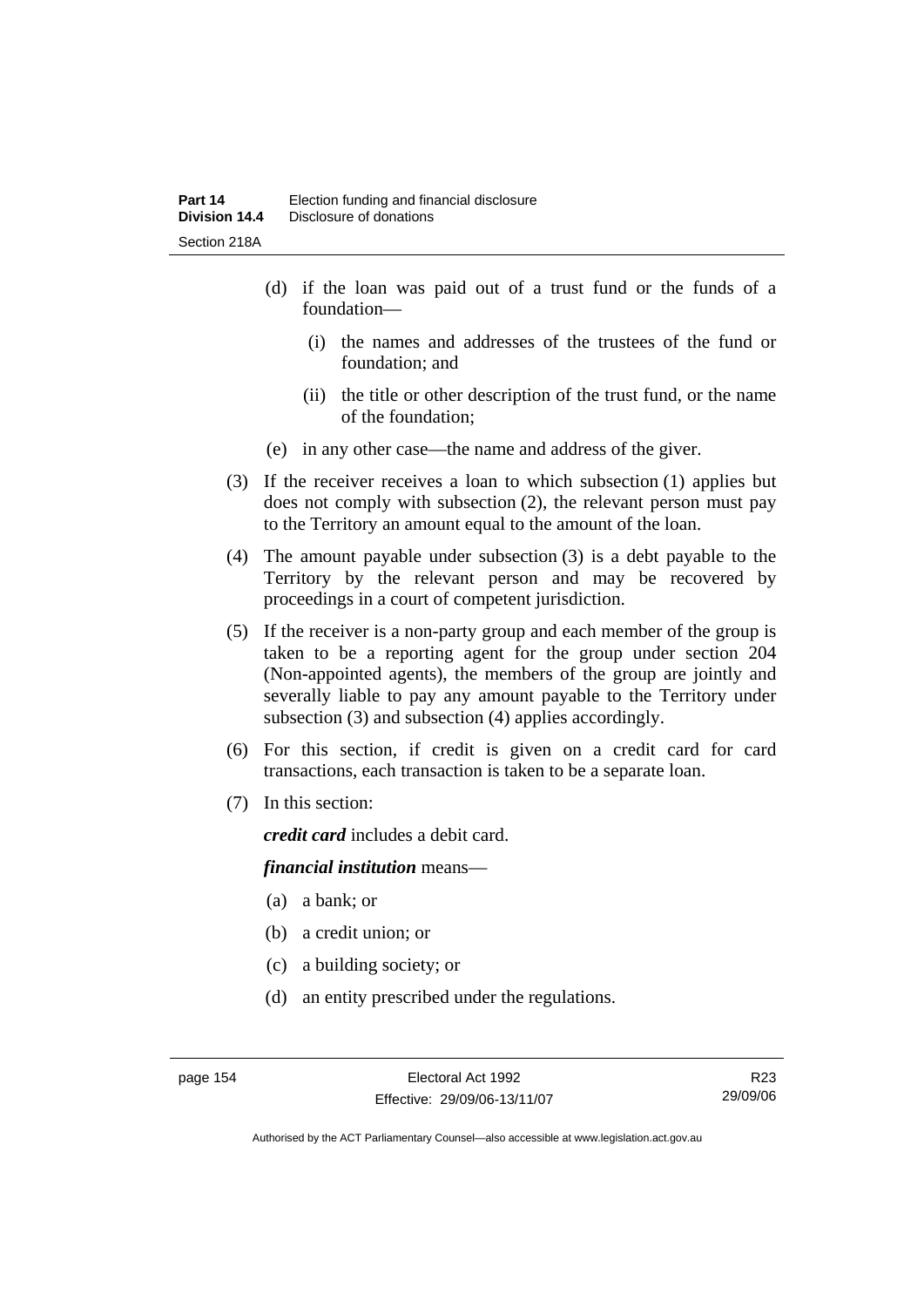- (d) if the loan was paid out of a trust fund or the funds of a foundation—
	- (i) the names and addresses of the trustees of the fund or foundation; and
	- (ii) the title or other description of the trust fund, or the name of the foundation;
- (e) in any other case—the name and address of the giver.
- (3) If the receiver receives a loan to which subsection (1) applies but does not comply with subsection (2), the relevant person must pay to the Territory an amount equal to the amount of the loan.
- (4) The amount payable under subsection (3) is a debt payable to the Territory by the relevant person and may be recovered by proceedings in a court of competent jurisdiction.
- (5) If the receiver is a non-party group and each member of the group is taken to be a reporting agent for the group under section 204 (Non-appointed agents), the members of the group are jointly and severally liable to pay any amount payable to the Territory under subsection (3) and subsection (4) applies accordingly.
- (6) For this section, if credit is given on a credit card for card transactions, each transaction is taken to be a separate loan.
- (7) In this section:

*credit card* includes a debit card.

#### *financial institution* means—

- (a) a bank; or
- (b) a credit union; or
- (c) a building society; or
- (d) an entity prescribed under the regulations.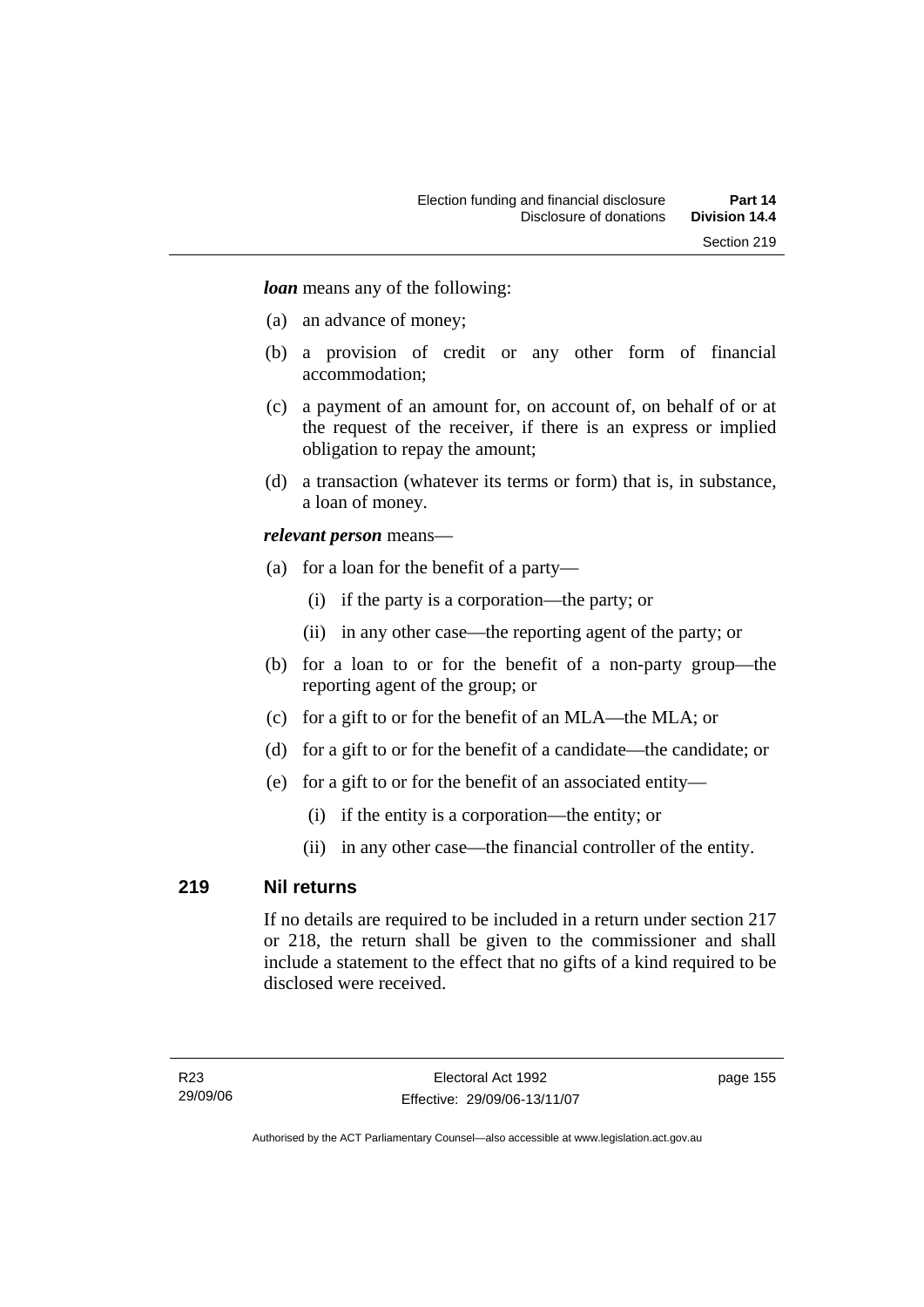*loan* means any of the following:

- (a) an advance of money;
- (b) a provision of credit or any other form of financial accommodation;
- (c) a payment of an amount for, on account of, on behalf of or at the request of the receiver, if there is an express or implied obligation to repay the amount;
- (d) a transaction (whatever its terms or form) that is, in substance, a loan of money.

#### *relevant person* means—

- (a) for a loan for the benefit of a party—
	- (i) if the party is a corporation—the party; or
	- (ii) in any other case—the reporting agent of the party; or
- (b) for a loan to or for the benefit of a non-party group—the reporting agent of the group; or
- (c) for a gift to or for the benefit of an MLA—the MLA; or
- (d) for a gift to or for the benefit of a candidate—the candidate; or
- (e) for a gift to or for the benefit of an associated entity—
	- (i) if the entity is a corporation—the entity; or
	- (ii) in any other case—the financial controller of the entity.

#### **219 Nil returns**

If no details are required to be included in a return under section 217 or 218, the return shall be given to the commissioner and shall include a statement to the effect that no gifts of a kind required to be disclosed were received.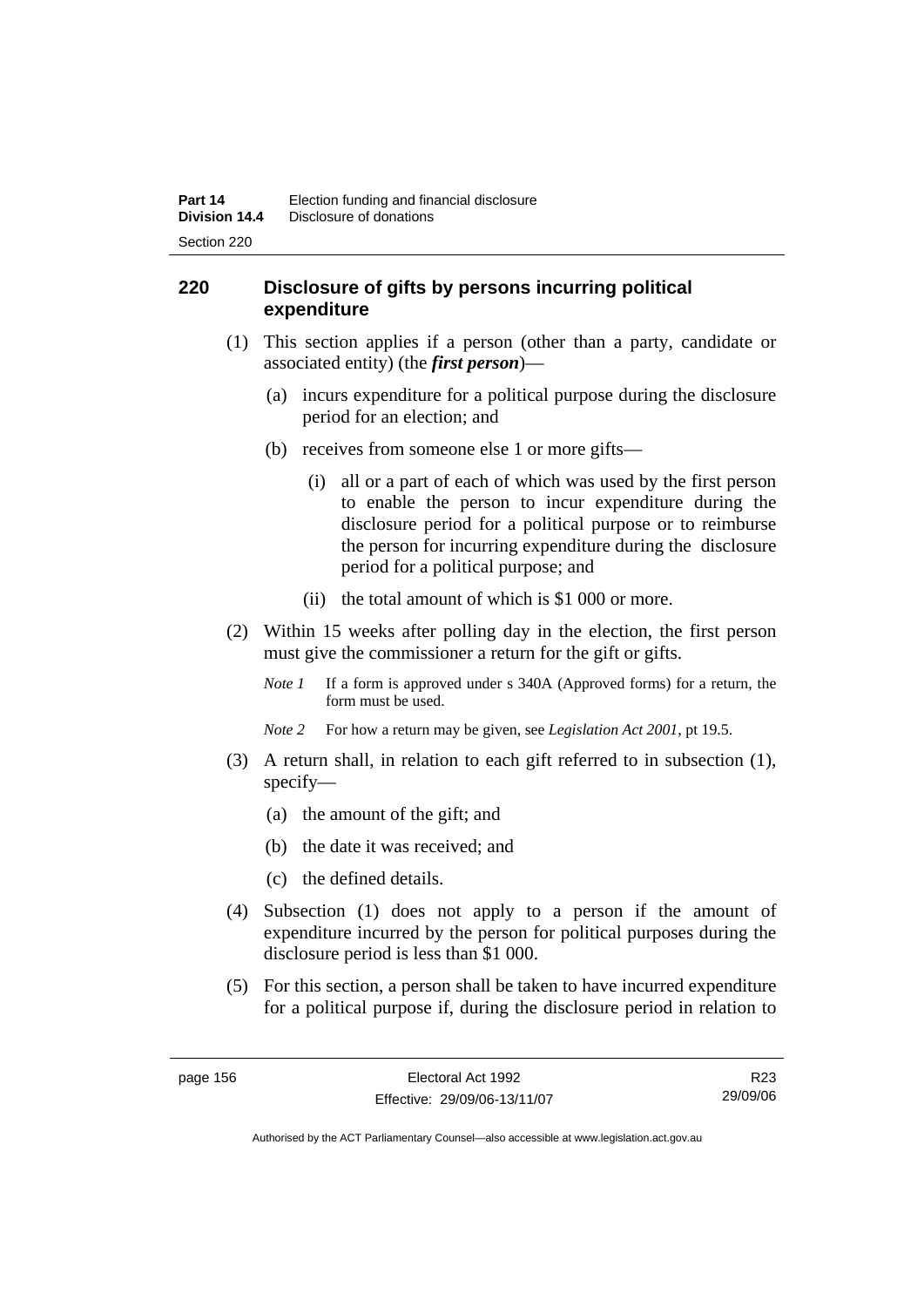## **220 Disclosure of gifts by persons incurring political expenditure**

- (1) This section applies if a person (other than a party, candidate or associated entity) (the *first person*)—
	- (a) incurs expenditure for a political purpose during the disclosure period for an election; and
	- (b) receives from someone else 1 or more gifts—
		- (i) all or a part of each of which was used by the first person to enable the person to incur expenditure during the disclosure period for a political purpose or to reimburse the person for incurring expenditure during the disclosure period for a political purpose; and
		- (ii) the total amount of which is \$1 000 or more.
- (2) Within 15 weeks after polling day in the election, the first person must give the commissioner a return for the gift or gifts.
	- *Note 1* If a form is approved under s 340A (Approved forms) for a return, the form must be used.
	- *Note 2* For how a return may be given, see *Legislation Act 2001*, pt 19.5.
- (3) A return shall, in relation to each gift referred to in subsection (1), specify—
	- (a) the amount of the gift; and
	- (b) the date it was received; and
	- (c) the defined details.
- (4) Subsection (1) does not apply to a person if the amount of expenditure incurred by the person for political purposes during the disclosure period is less than \$1 000.
- (5) For this section, a person shall be taken to have incurred expenditure for a political purpose if, during the disclosure period in relation to

R23 29/09/06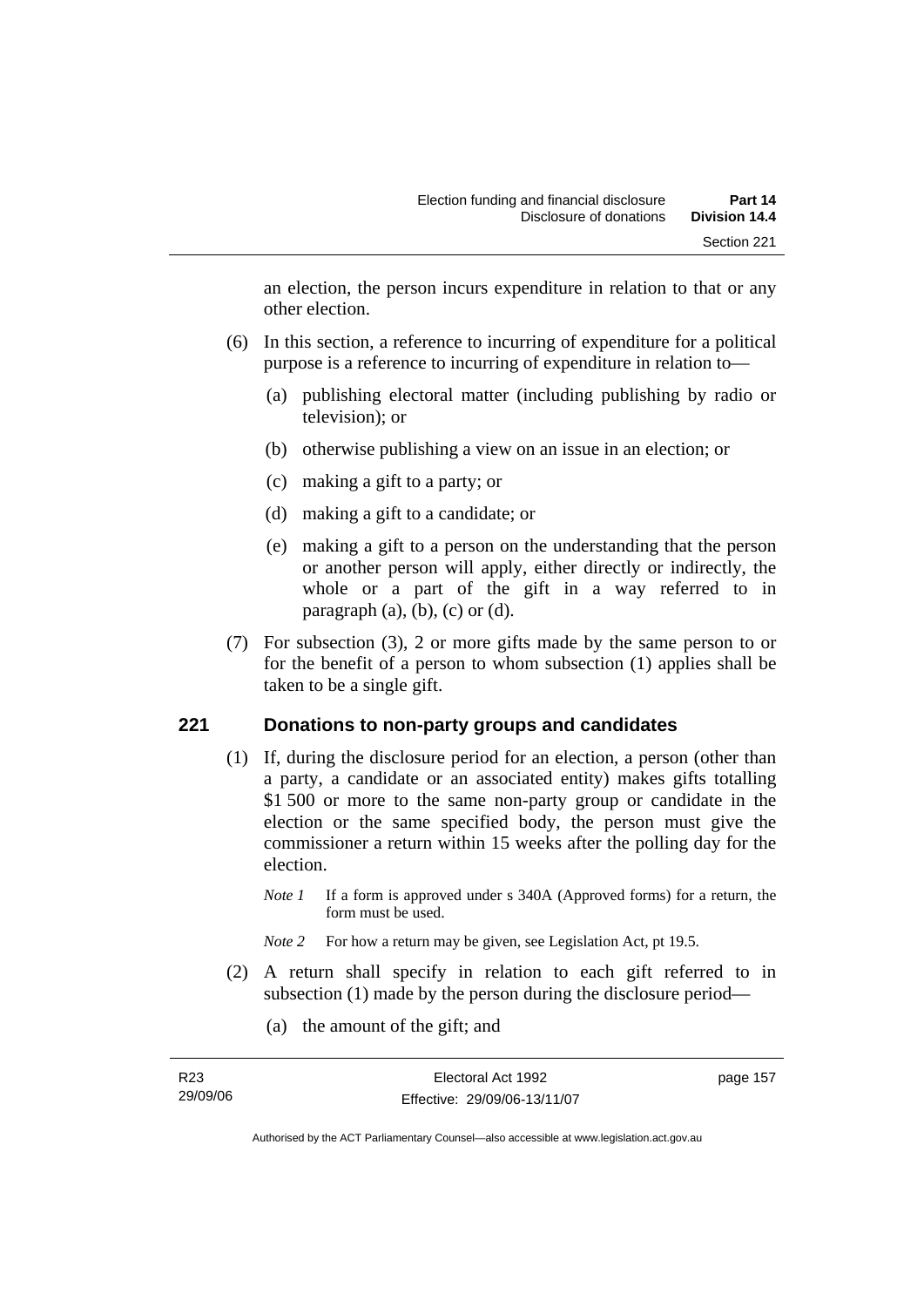an election, the person incurs expenditure in relation to that or any other election.

- (6) In this section, a reference to incurring of expenditure for a political purpose is a reference to incurring of expenditure in relation to—
	- (a) publishing electoral matter (including publishing by radio or television); or
	- (b) otherwise publishing a view on an issue in an election; or
	- (c) making a gift to a party; or
	- (d) making a gift to a candidate; or
	- (e) making a gift to a person on the understanding that the person or another person will apply, either directly or indirectly, the whole or a part of the gift in a way referred to in paragraph  $(a)$ ,  $(b)$ ,  $(c)$  or  $(d)$ .
- (7) For subsection (3), 2 or more gifts made by the same person to or for the benefit of a person to whom subsection (1) applies shall be taken to be a single gift.

#### **221 Donations to non-party groups and candidates**

- (1) If, during the disclosure period for an election, a person (other than a party, a candidate or an associated entity) makes gifts totalling \$1 500 or more to the same non-party group or candidate in the election or the same specified body, the person must give the commissioner a return within 15 weeks after the polling day for the election.
	- *Note 1* If a form is approved under s 340A (Approved forms) for a return, the form must be used.
	- *Note* 2 For how a return may be given, see Legislation Act, pt 19.5.
- (2) A return shall specify in relation to each gift referred to in subsection (1) made by the person during the disclosure period—
	- (a) the amount of the gift; and

| R23      | Electoral Act 1992           | page 157 |
|----------|------------------------------|----------|
| 29/09/06 | Effective: 29/09/06-13/11/07 |          |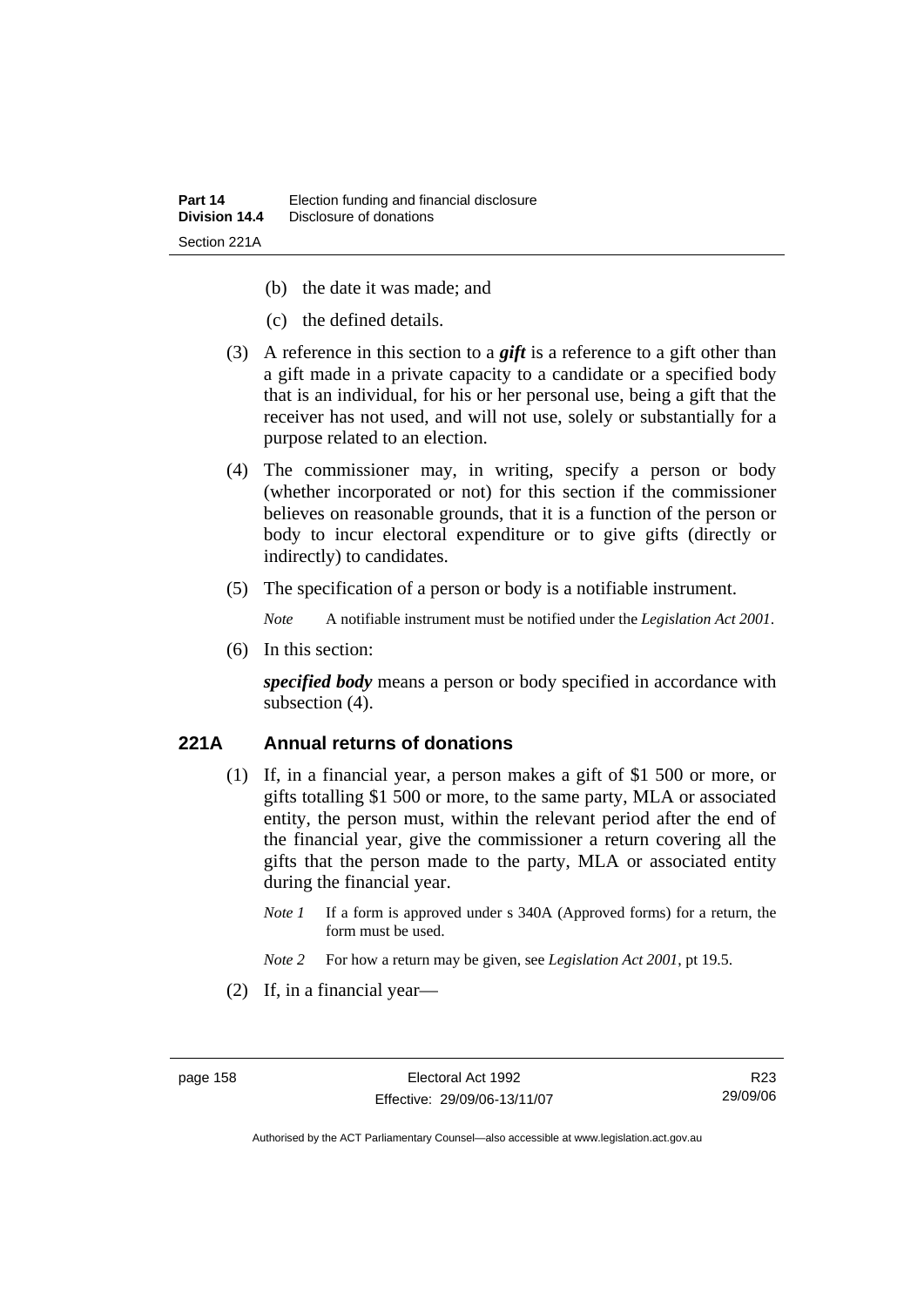- (b) the date it was made; and
- (c) the defined details.
- (3) A reference in this section to a *gift* is a reference to a gift other than a gift made in a private capacity to a candidate or a specified body that is an individual, for his or her personal use, being a gift that the receiver has not used, and will not use, solely or substantially for a purpose related to an election.
- (4) The commissioner may, in writing, specify a person or body (whether incorporated or not) for this section if the commissioner believes on reasonable grounds, that it is a function of the person or body to incur electoral expenditure or to give gifts (directly or indirectly) to candidates.
- (5) The specification of a person or body is a notifiable instrument.

*Note* A notifiable instrument must be notified under the *Legislation Act 2001*.

(6) In this section:

*specified body* means a person or body specified in accordance with subsection  $(4)$ .

#### **221A Annual returns of donations**

- (1) If, in a financial year, a person makes a gift of \$1 500 or more, or gifts totalling \$1 500 or more, to the same party, MLA or associated entity, the person must, within the relevant period after the end of the financial year, give the commissioner a return covering all the gifts that the person made to the party, MLA or associated entity during the financial year.
	- *Note 1* If a form is approved under s 340A (Approved forms) for a return, the form must be used.
	- *Note 2* For how a return may be given, see *Legislation Act 2001*, pt 19.5.
- (2) If, in a financial year—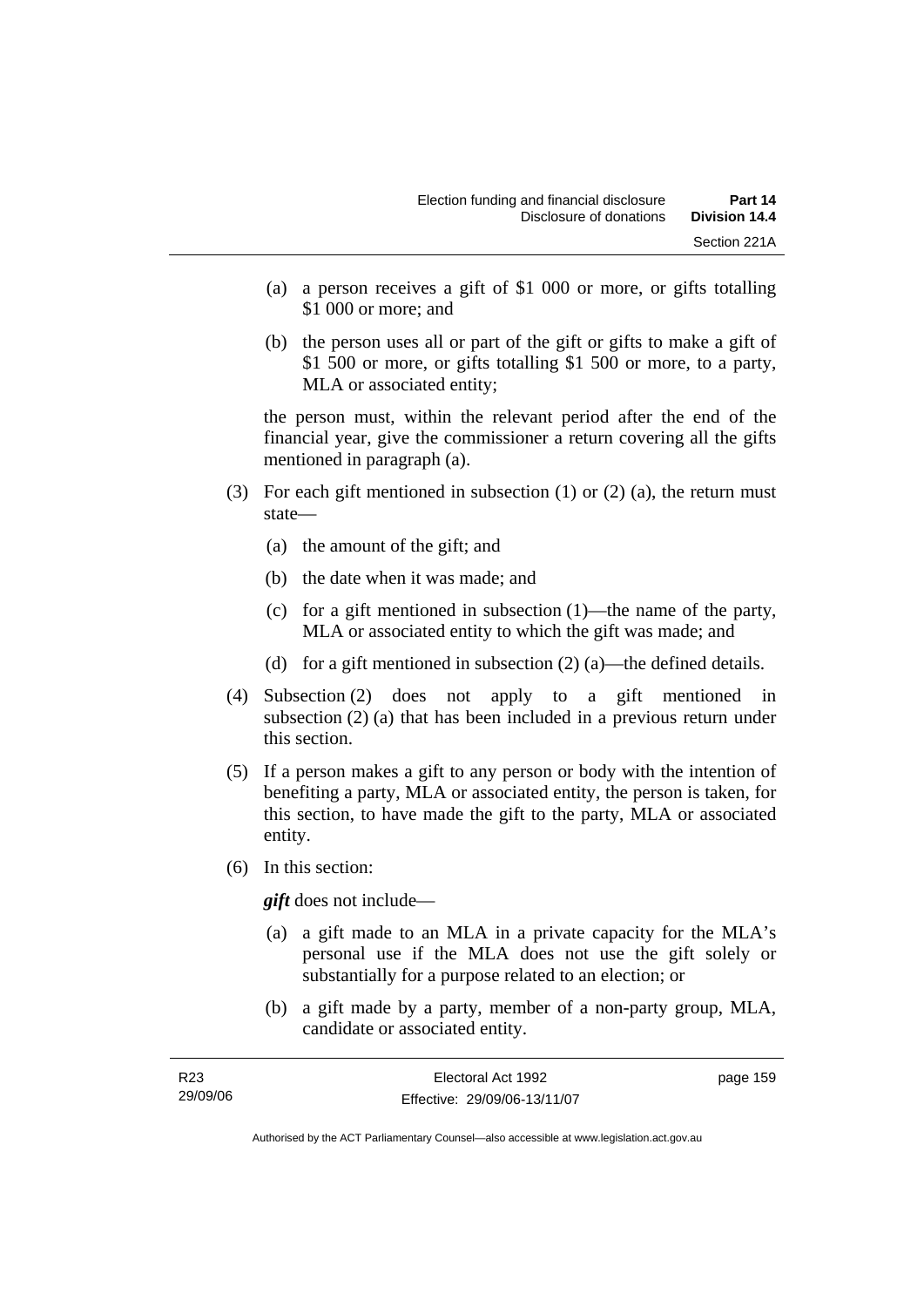- (a) a person receives a gift of \$1 000 or more, or gifts totalling \$1 000 or more; and
- (b) the person uses all or part of the gift or gifts to make a gift of \$1 500 or more, or gifts totalling \$1 500 or more, to a party, MLA or associated entity;

the person must, within the relevant period after the end of the financial year, give the commissioner a return covering all the gifts mentioned in paragraph (a).

- (3) For each gift mentioned in subsection (1) or (2) (a), the return must state—
	- (a) the amount of the gift; and
	- (b) the date when it was made; and
	- (c) for a gift mentioned in subsection (1)—the name of the party, MLA or associated entity to which the gift was made; and
	- (d) for a gift mentioned in subsection  $(2)$  (a)—the defined details.
- (4) Subsection (2) does not apply to a gift mentioned in subsection (2) (a) that has been included in a previous return under this section.
- (5) If a person makes a gift to any person or body with the intention of benefiting a party, MLA or associated entity, the person is taken, for this section, to have made the gift to the party, MLA or associated entity.
- (6) In this section:

*gift* does not include—

- (a) a gift made to an MLA in a private capacity for the MLA's personal use if the MLA does not use the gift solely or substantially for a purpose related to an election; or
- (b) a gift made by a party, member of a non-party group, MLA, candidate or associated entity.

| R <sub>23</sub> | Electoral Act 1992           | page 159 |
|-----------------|------------------------------|----------|
| 29/09/06        | Effective: 29/09/06-13/11/07 |          |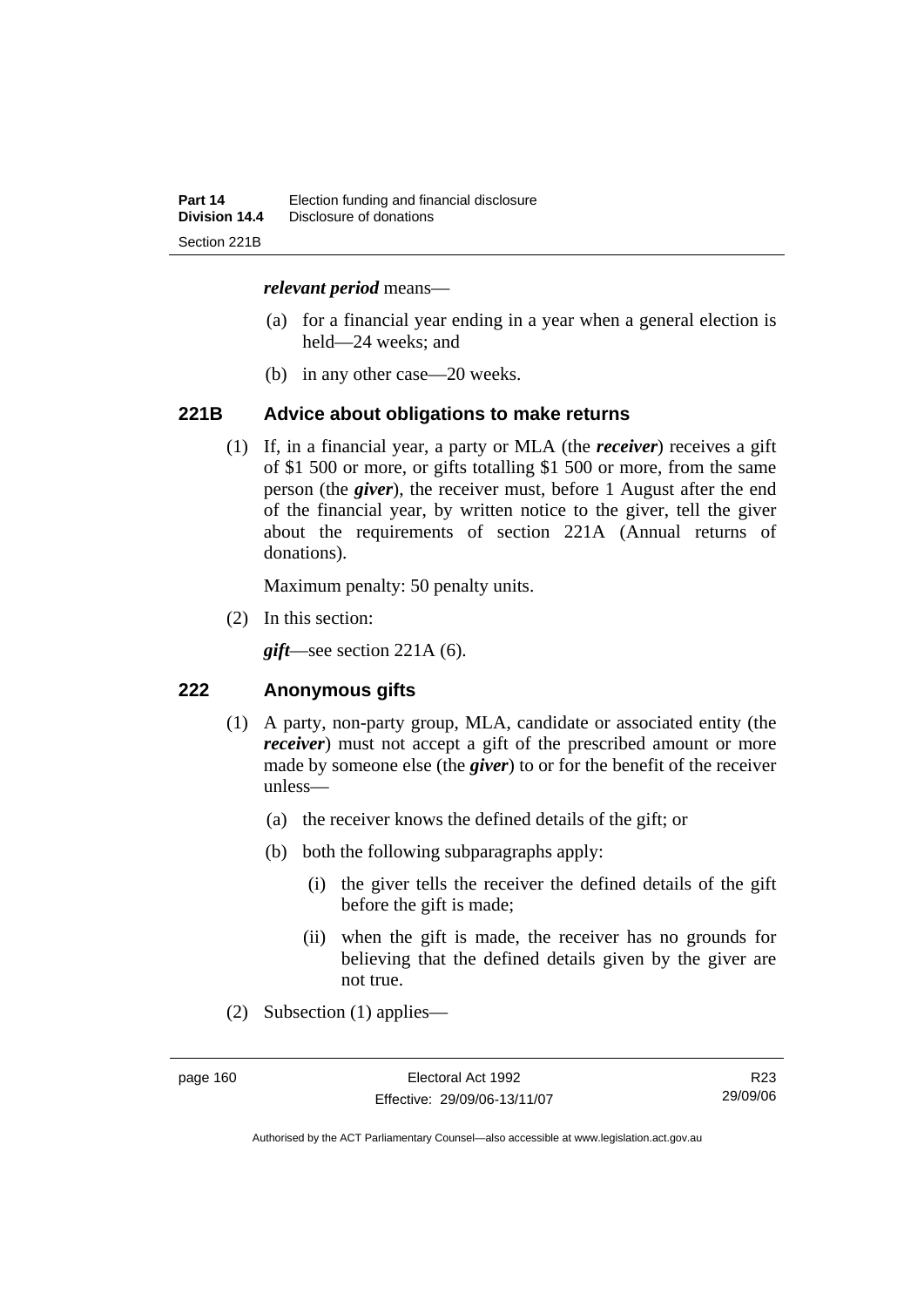#### *relevant period* means—

- (a) for a financial year ending in a year when a general election is held—24 weeks; and
- (b) in any other case—20 weeks.

#### **221B Advice about obligations to make returns**

 (1) If, in a financial year, a party or MLA (the *receiver*) receives a gift of \$1 500 or more, or gifts totalling \$1 500 or more, from the same person (the *giver*), the receiver must, before 1 August after the end of the financial year, by written notice to the giver, tell the giver about the requirements of section 221A (Annual returns of donations).

Maximum penalty: 50 penalty units.

(2) In this section:

*gift*—see section 221A (6).

#### **222 Anonymous gifts**

- (1) A party, non-party group, MLA, candidate or associated entity (the *receiver*) must not accept a gift of the prescribed amount or more made by someone else (the *giver*) to or for the benefit of the receiver unless—
	- (a) the receiver knows the defined details of the gift; or
	- (b) both the following subparagraphs apply:
		- (i) the giver tells the receiver the defined details of the gift before the gift is made;
		- (ii) when the gift is made, the receiver has no grounds for believing that the defined details given by the giver are not true.
- (2) Subsection (1) applies—

R23 29/09/06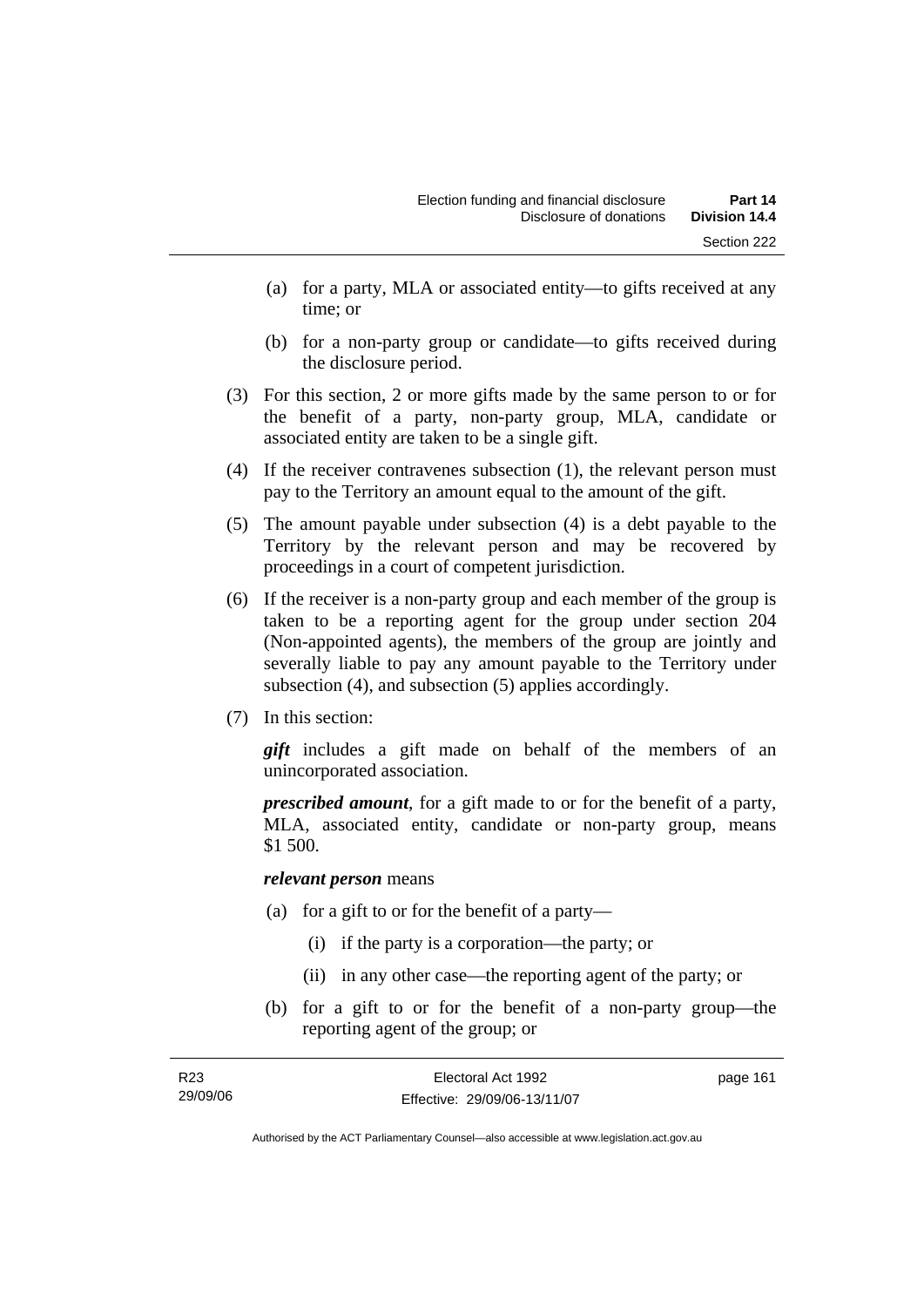- (a) for a party, MLA or associated entity—to gifts received at any time; or
- (b) for a non-party group or candidate—to gifts received during the disclosure period.
- (3) For this section, 2 or more gifts made by the same person to or for the benefit of a party, non-party group, MLA, candidate or associated entity are taken to be a single gift.
- (4) If the receiver contravenes subsection (1), the relevant person must pay to the Territory an amount equal to the amount of the gift.
- (5) The amount payable under subsection (4) is a debt payable to the Territory by the relevant person and may be recovered by proceedings in a court of competent jurisdiction.
- (6) If the receiver is a non-party group and each member of the group is taken to be a reporting agent for the group under section 204 (Non-appointed agents), the members of the group are jointly and severally liable to pay any amount payable to the Territory under subsection (4), and subsection (5) applies accordingly.
- (7) In this section:

*gift* includes a gift made on behalf of the members of an unincorporated association.

*prescribed amount*, for a gift made to or for the benefit of a party, MLA, associated entity, candidate or non-party group, means \$1 500.

#### *relevant person* means

- (a) for a gift to or for the benefit of a party—
	- (i) if the party is a corporation—the party; or
	- (ii) in any other case—the reporting agent of the party; or
- (b) for a gift to or for the benefit of a non-party group—the reporting agent of the group; or

| R23      | Electoral Act 1992           | page 161 |
|----------|------------------------------|----------|
| 29/09/06 | Effective: 29/09/06-13/11/07 |          |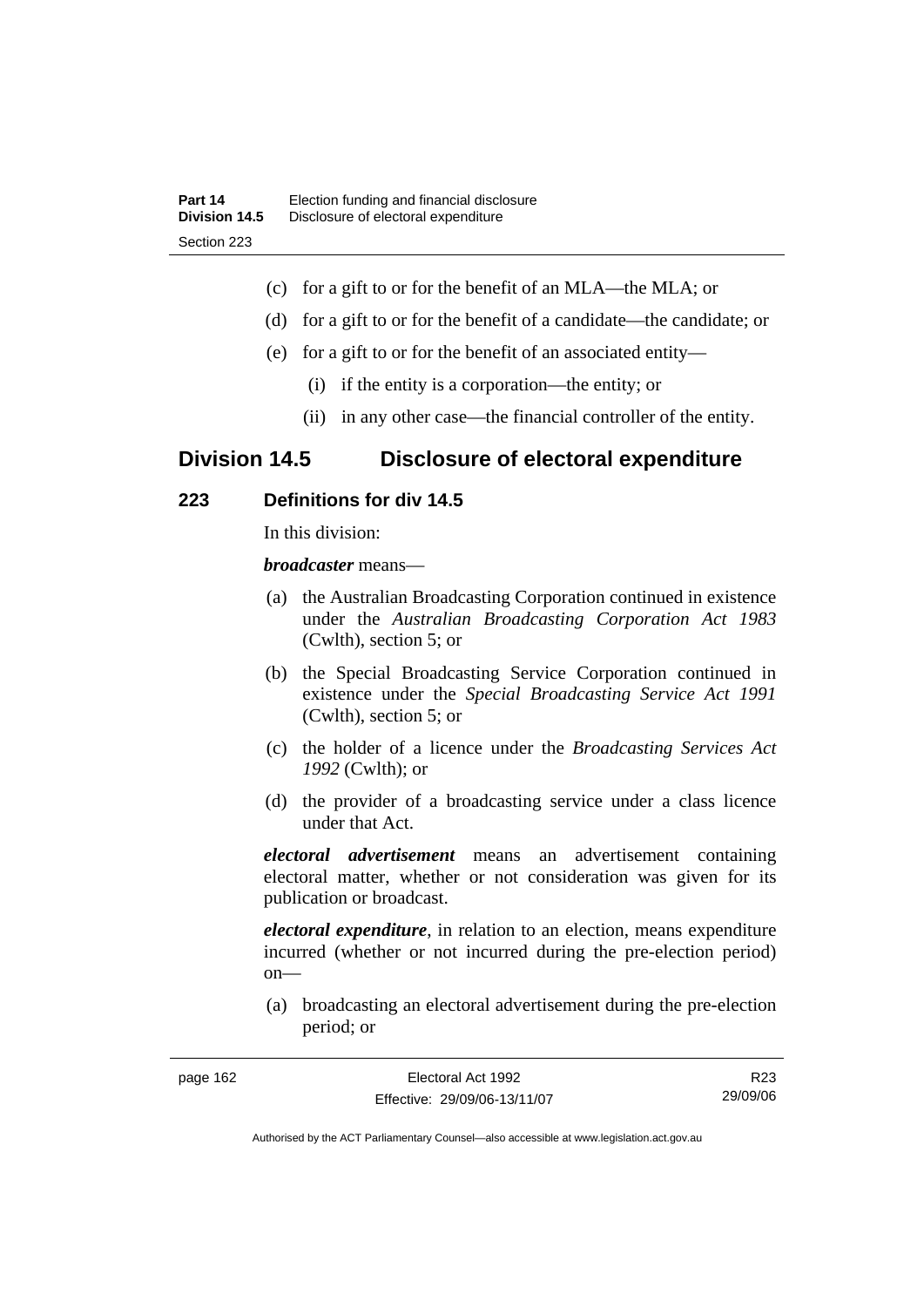- (c) for a gift to or for the benefit of an MLA—the MLA; or
- (d) for a gift to or for the benefit of a candidate—the candidate; or
- (e) for a gift to or for the benefit of an associated entity—
	- (i) if the entity is a corporation—the entity; or
	- (ii) in any other case—the financial controller of the entity.

# **Division 14.5 Disclosure of electoral expenditure**

## **223 Definitions for div 14.5**

In this division:

*broadcaster* means—

- (a) the Australian Broadcasting Corporation continued in existence under the *Australian Broadcasting Corporation Act 1983* (Cwlth), section 5; or
- (b) the Special Broadcasting Service Corporation continued in existence under the *Special Broadcasting Service Act 1991*  (Cwlth), section 5; or
- (c) the holder of a licence under the *Broadcasting Services Act 1992* (Cwlth); or
- (d) the provider of a broadcasting service under a class licence under that Act.

*electoral advertisement* means an advertisement containing electoral matter, whether or not consideration was given for its publication or broadcast.

*electoral expenditure*, in relation to an election, means expenditure incurred (whether or not incurred during the pre-election period) on—

 (a) broadcasting an electoral advertisement during the pre-election period; or

| page 162 |  |
|----------|--|
|----------|--|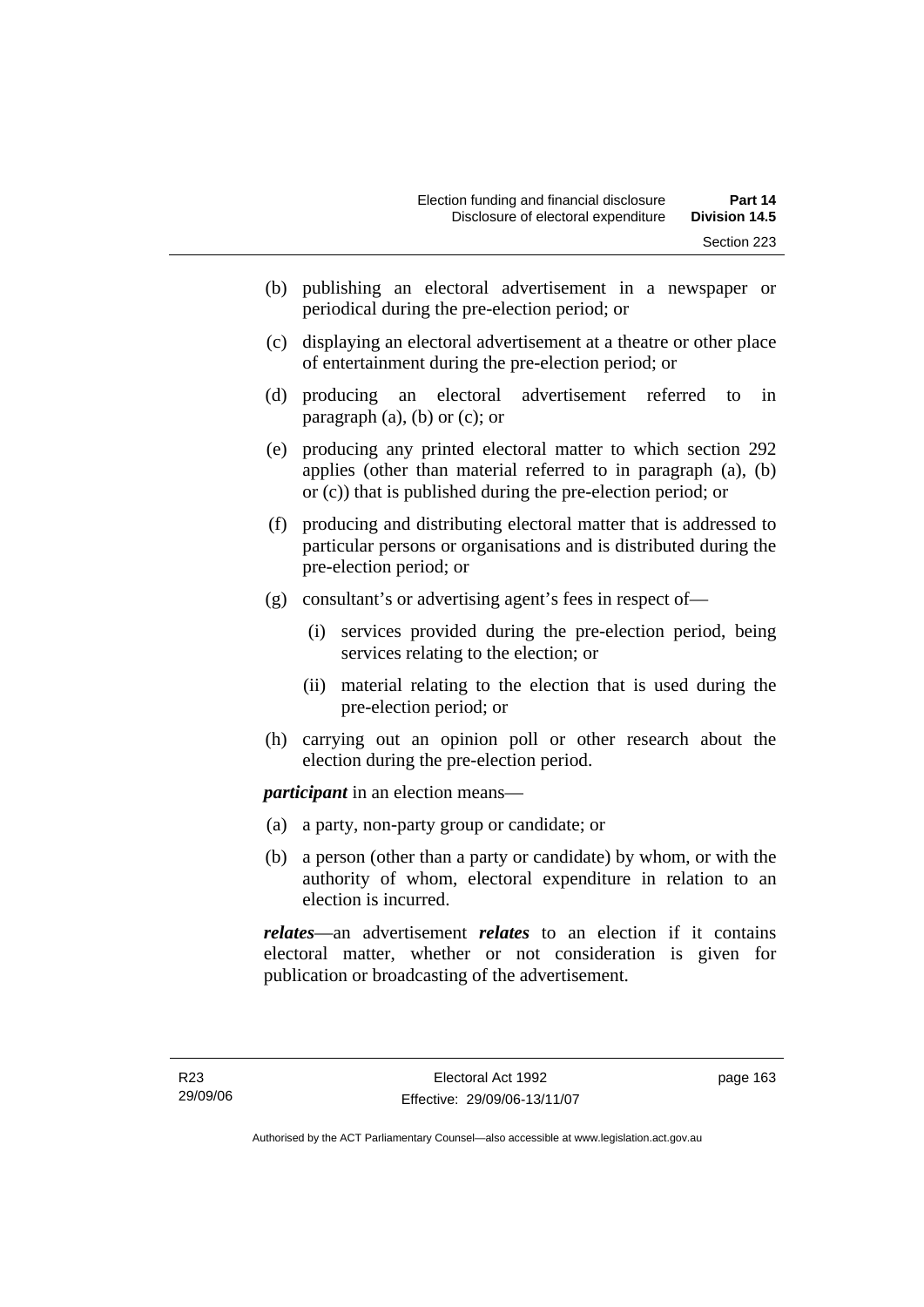- (b) publishing an electoral advertisement in a newspaper or periodical during the pre-election period; or
- (c) displaying an electoral advertisement at a theatre or other place of entertainment during the pre-election period; or
- (d) producing an electoral advertisement referred to in paragraph  $(a)$ ,  $(b)$  or  $(c)$ ; or
- (e) producing any printed electoral matter to which section 292 applies (other than material referred to in paragraph (a), (b) or (c)) that is published during the pre-election period; or
- (f) producing and distributing electoral matter that is addressed to particular persons or organisations and is distributed during the pre-election period; or
- (g) consultant's or advertising agent's fees in respect of—
	- (i) services provided during the pre-election period, being services relating to the election; or
	- (ii) material relating to the election that is used during the pre-election period; or
- (h) carrying out an opinion poll or other research about the election during the pre-election period.

*participant* in an election means—

- (a) a party, non-party group or candidate; or
- (b) a person (other than a party or candidate) by whom, or with the authority of whom, electoral expenditure in relation to an election is incurred.

*relates*—an advertisement *relates* to an election if it contains electoral matter, whether or not consideration is given for publication or broadcasting of the advertisement.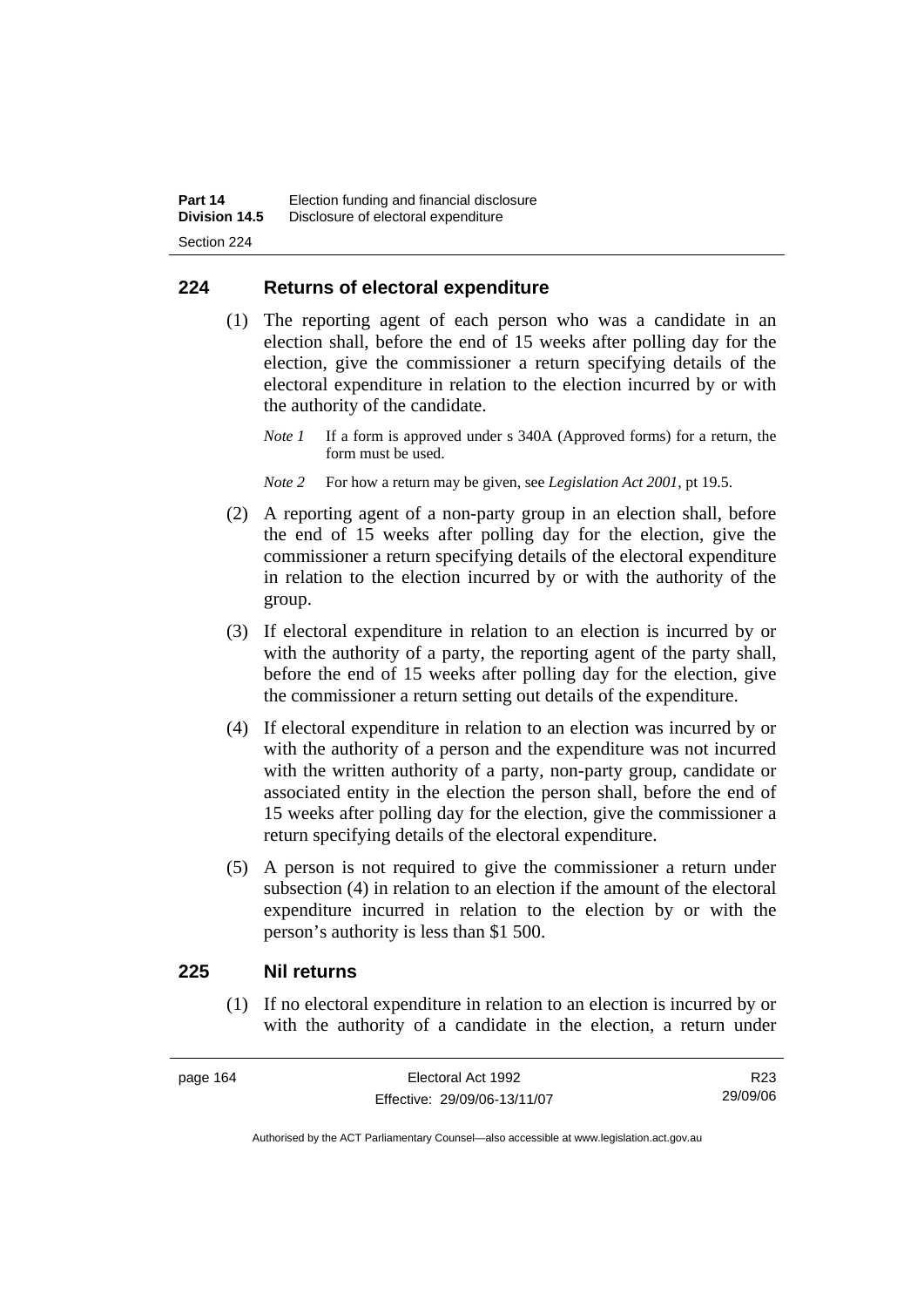# **224 Returns of electoral expenditure**

 (1) The reporting agent of each person who was a candidate in an election shall, before the end of 15 weeks after polling day for the election, give the commissioner a return specifying details of the electoral expenditure in relation to the election incurred by or with the authority of the candidate.

*Note 1* If a form is approved under s 340A (Approved forms) for a return, the form must be used.

- *Note 2* For how a return may be given, see *Legislation Act 2001*, pt 19.5.
- (2) A reporting agent of a non-party group in an election shall, before the end of 15 weeks after polling day for the election, give the commissioner a return specifying details of the electoral expenditure in relation to the election incurred by or with the authority of the group.
- (3) If electoral expenditure in relation to an election is incurred by or with the authority of a party, the reporting agent of the party shall, before the end of 15 weeks after polling day for the election, give the commissioner a return setting out details of the expenditure.
- (4) If electoral expenditure in relation to an election was incurred by or with the authority of a person and the expenditure was not incurred with the written authority of a party, non-party group, candidate or associated entity in the election the person shall, before the end of 15 weeks after polling day for the election, give the commissioner a return specifying details of the electoral expenditure.
- (5) A person is not required to give the commissioner a return under subsection (4) in relation to an election if the amount of the electoral expenditure incurred in relation to the election by or with the person's authority is less than \$1 500.

### **225 Nil returns**

 (1) If no electoral expenditure in relation to an election is incurred by or with the authority of a candidate in the election, a return under

R23 29/09/06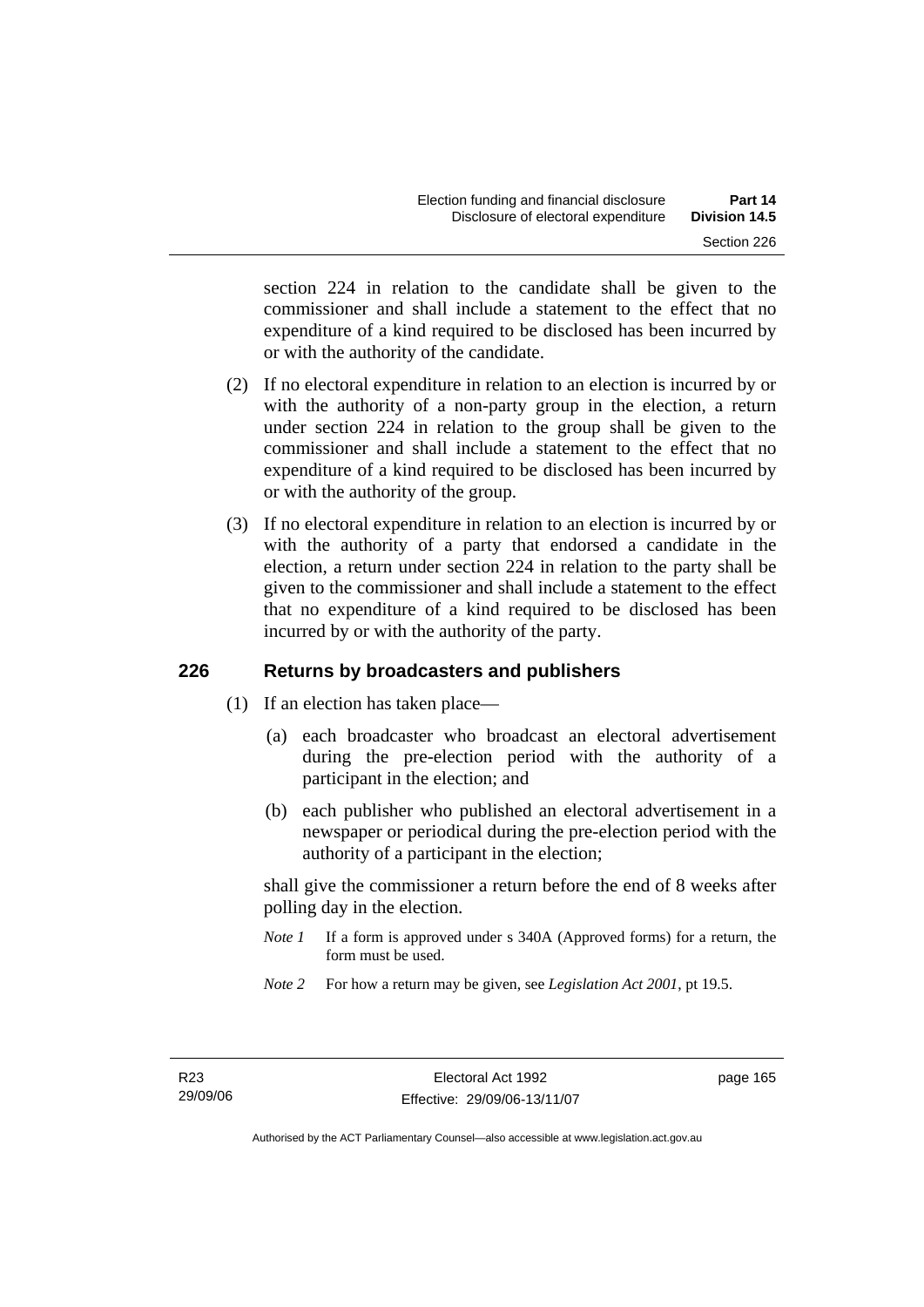section 224 in relation to the candidate shall be given to the commissioner and shall include a statement to the effect that no expenditure of a kind required to be disclosed has been incurred by or with the authority of the candidate.

- (2) If no electoral expenditure in relation to an election is incurred by or with the authority of a non-party group in the election, a return under section 224 in relation to the group shall be given to the commissioner and shall include a statement to the effect that no expenditure of a kind required to be disclosed has been incurred by or with the authority of the group.
- (3) If no electoral expenditure in relation to an election is incurred by or with the authority of a party that endorsed a candidate in the election, a return under section 224 in relation to the party shall be given to the commissioner and shall include a statement to the effect that no expenditure of a kind required to be disclosed has been incurred by or with the authority of the party.

# **226 Returns by broadcasters and publishers**

- (1) If an election has taken place—
	- (a) each broadcaster who broadcast an electoral advertisement during the pre-election period with the authority of a participant in the election; and
	- (b) each publisher who published an electoral advertisement in a newspaper or periodical during the pre-election period with the authority of a participant in the election;

shall give the commissioner a return before the end of 8 weeks after polling day in the election.

- *Note 1* If a form is approved under s 340A (Approved forms) for a return, the form must be used.
- *Note 2* For how a return may be given, see *Legislation Act 2001*, pt 19.5.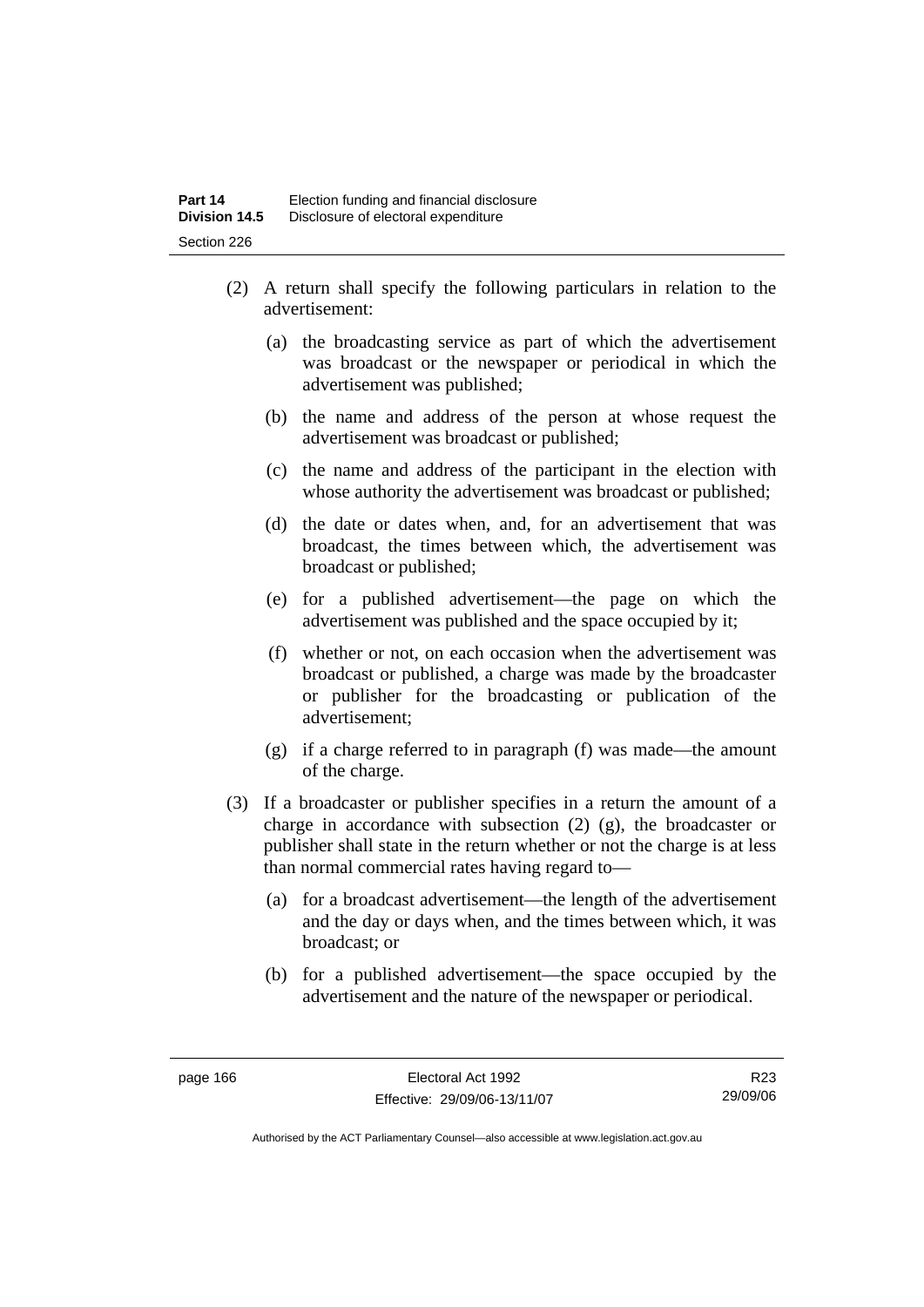- (2) A return shall specify the following particulars in relation to the advertisement:
	- (a) the broadcasting service as part of which the advertisement was broadcast or the newspaper or periodical in which the advertisement was published;
	- (b) the name and address of the person at whose request the advertisement was broadcast or published;
	- (c) the name and address of the participant in the election with whose authority the advertisement was broadcast or published;
	- (d) the date or dates when, and, for an advertisement that was broadcast, the times between which, the advertisement was broadcast or published;
	- (e) for a published advertisement—the page on which the advertisement was published and the space occupied by it;
	- (f) whether or not, on each occasion when the advertisement was broadcast or published, a charge was made by the broadcaster or publisher for the broadcasting or publication of the advertisement;
	- (g) if a charge referred to in paragraph (f) was made—the amount of the charge.
- (3) If a broadcaster or publisher specifies in a return the amount of a charge in accordance with subsection (2) (g), the broadcaster or publisher shall state in the return whether or not the charge is at less than normal commercial rates having regard to—
	- (a) for a broadcast advertisement—the length of the advertisement and the day or days when, and the times between which, it was broadcast; or
	- (b) for a published advertisement—the space occupied by the advertisement and the nature of the newspaper or periodical.

R23 29/09/06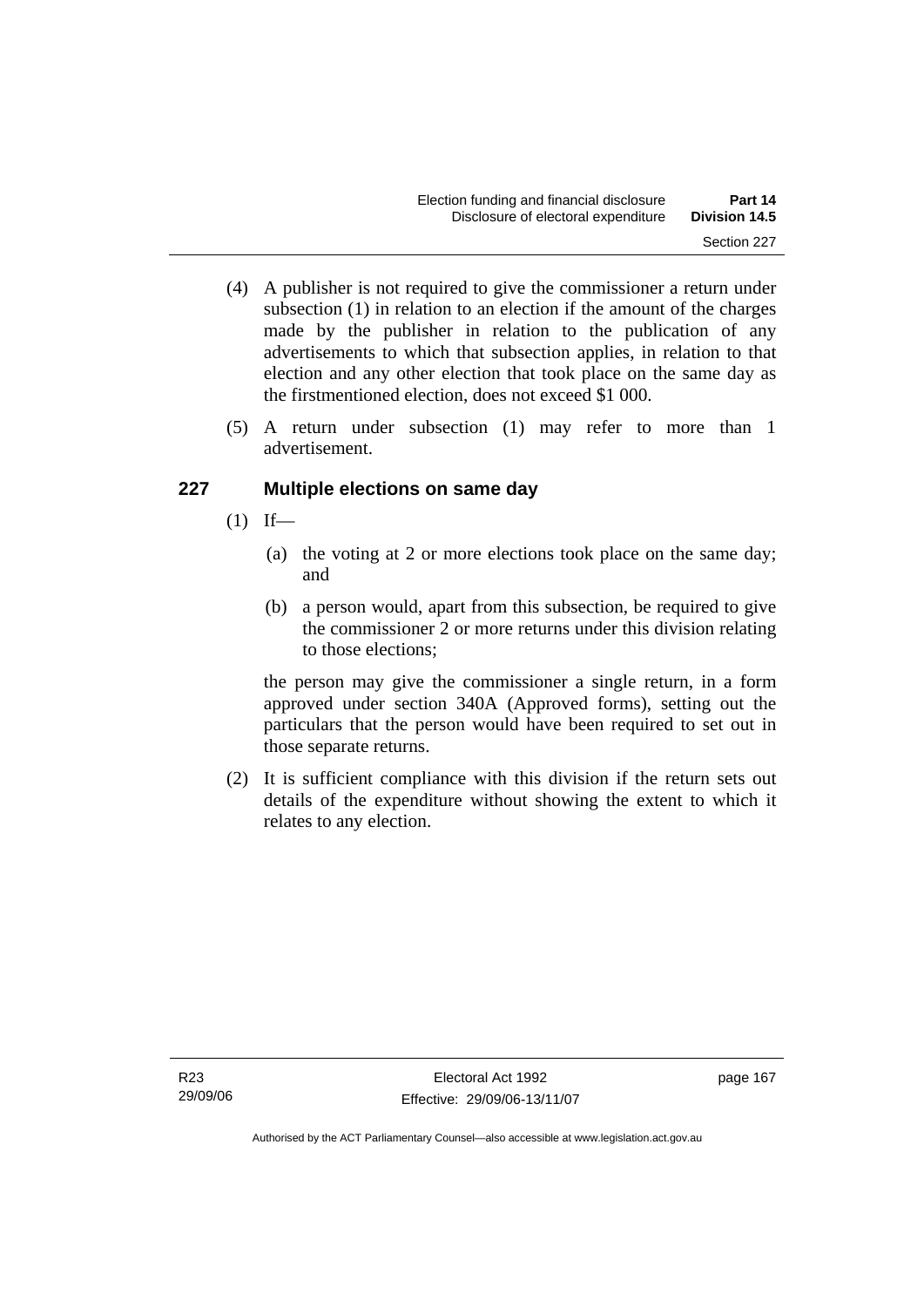- (4) A publisher is not required to give the commissioner a return under subsection (1) in relation to an election if the amount of the charges made by the publisher in relation to the publication of any advertisements to which that subsection applies, in relation to that election and any other election that took place on the same day as the firstmentioned election, does not exceed \$1 000.
- (5) A return under subsection (1) may refer to more than 1 advertisement.

# **227 Multiple elections on same day**

- $(1)$  If—
	- (a) the voting at 2 or more elections took place on the same day; and
	- (b) a person would, apart from this subsection, be required to give the commissioner 2 or more returns under this division relating to those elections;

the person may give the commissioner a single return, in a form approved under section 340A (Approved forms), setting out the particulars that the person would have been required to set out in those separate returns.

 (2) It is sufficient compliance with this division if the return sets out details of the expenditure without showing the extent to which it relates to any election.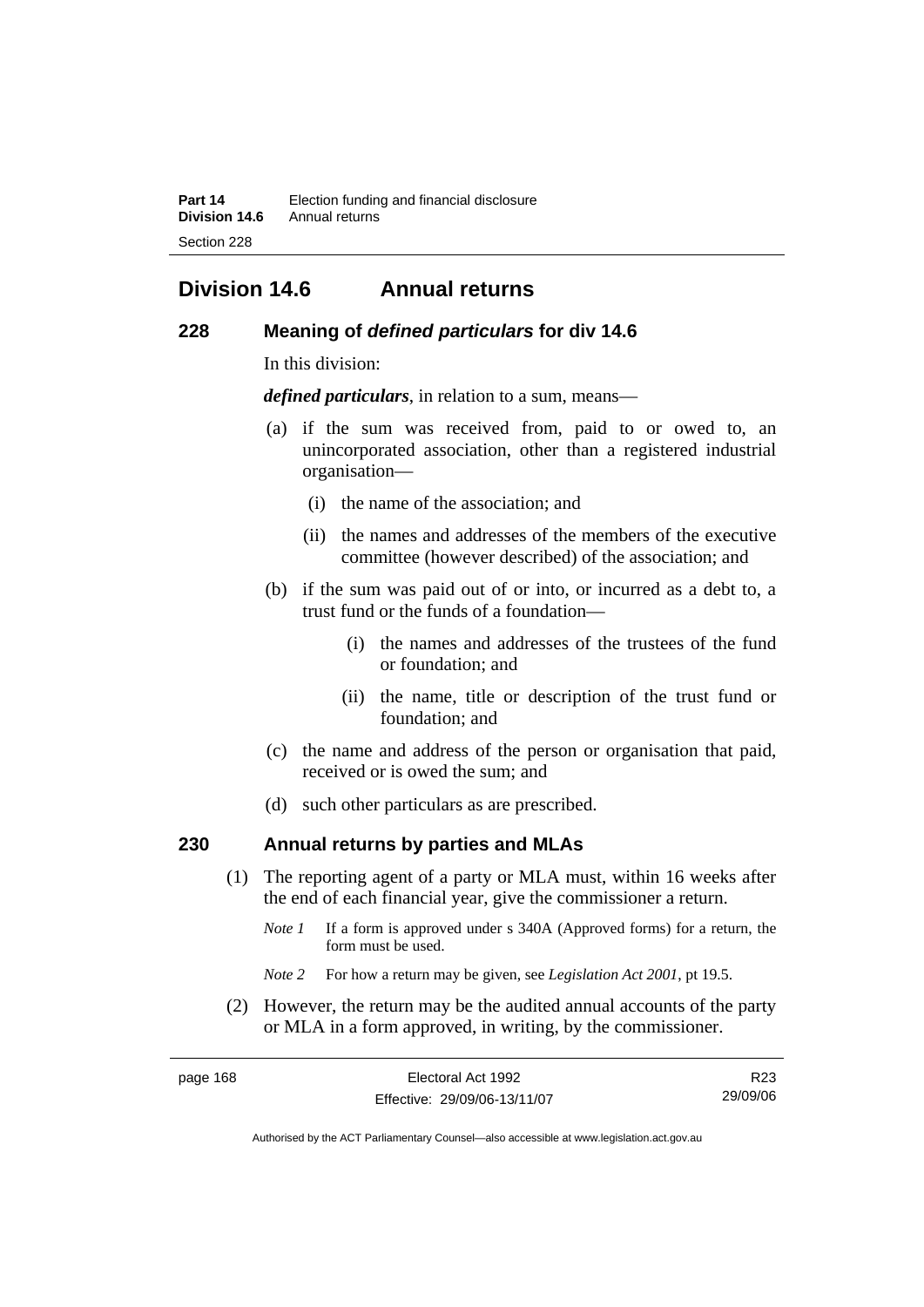# **Division 14.6 Annual returns**

### **228 Meaning of** *defined particulars* **for div 14.6**

In this division:

*defined particulars*, in relation to a sum, means—

- (a) if the sum was received from, paid to or owed to, an unincorporated association, other than a registered industrial organisation—
	- (i) the name of the association; and
	- (ii) the names and addresses of the members of the executive committee (however described) of the association; and
- (b) if the sum was paid out of or into, or incurred as a debt to, a trust fund or the funds of a foundation—
	- (i) the names and addresses of the trustees of the fund or foundation; and
	- (ii) the name, title or description of the trust fund or foundation; and
- (c) the name and address of the person or organisation that paid, received or is owed the sum; and
- (d) such other particulars as are prescribed.

# **230 Annual returns by parties and MLAs**

- (1) The reporting agent of a party or MLA must, within 16 weeks after the end of each financial year, give the commissioner a return.
	- *Note 1* If a form is approved under s 340A (Approved forms) for a return, the form must be used.
	- *Note 2* For how a return may be given, see *Legislation Act 2001*, pt 19.5.
- (2) However, the return may be the audited annual accounts of the party or MLA in a form approved, in writing, by the commissioner.

| page 168 | Electoral Act 1992           | R23      |
|----------|------------------------------|----------|
|          | Effective: 29/09/06-13/11/07 | 29/09/06 |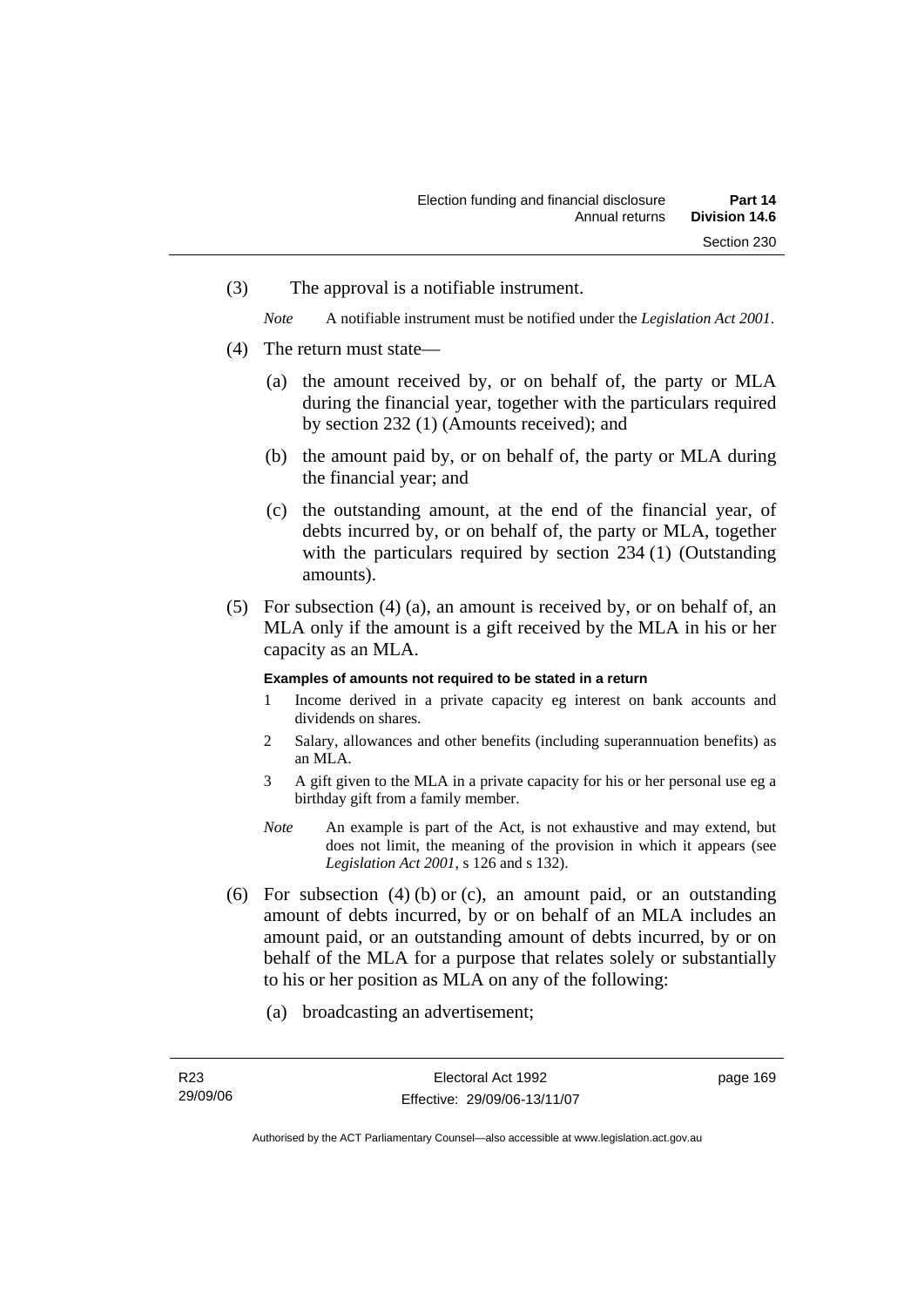(3) The approval is a notifiable instrument.

*Note* A notifiable instrument must be notified under the *Legislation Act 2001*.

- (4) The return must state—
	- (a) the amount received by, or on behalf of, the party or MLA during the financial year, together with the particulars required by section 232 (1) (Amounts received); and
	- (b) the amount paid by, or on behalf of, the party or MLA during the financial year; and
	- (c) the outstanding amount, at the end of the financial year, of debts incurred by, or on behalf of, the party or MLA, together with the particulars required by section 234 (1) (Outstanding amounts).
- (5) For subsection (4) (a), an amount is received by, or on behalf of, an MLA only if the amount is a gift received by the MLA in his or her capacity as an MLA.

### **Examples of amounts not required to be stated in a return**

- 1 Income derived in a private capacity eg interest on bank accounts and dividends on shares.
- 2 Salary, allowances and other benefits (including superannuation benefits) as an MLA.
- 3 A gift given to the MLA in a private capacity for his or her personal use eg a birthday gift from a family member.
- *Note* An example is part of the Act, is not exhaustive and may extend, but does not limit, the meaning of the provision in which it appears (see *Legislation Act 2001*, s 126 and s 132).
- (6) For subsection  $(4)$  (b) or (c), an amount paid, or an outstanding amount of debts incurred, by or on behalf of an MLA includes an amount paid, or an outstanding amount of debts incurred, by or on behalf of the MLA for a purpose that relates solely or substantially to his or her position as MLA on any of the following:
	- (a) broadcasting an advertisement;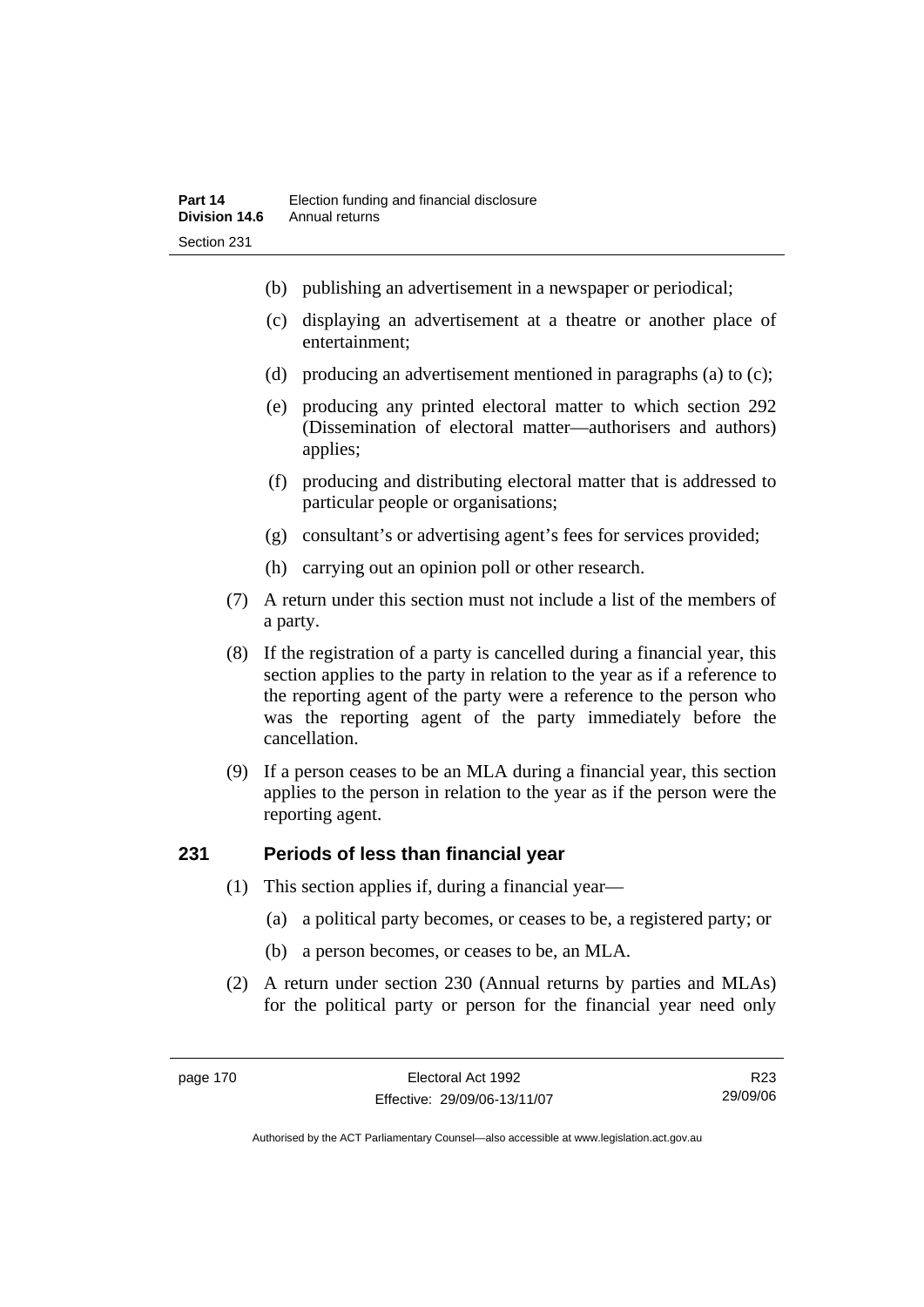- (b) publishing an advertisement in a newspaper or periodical;
- (c) displaying an advertisement at a theatre or another place of entertainment;
- (d) producing an advertisement mentioned in paragraphs (a) to (c);
- (e) producing any printed electoral matter to which section 292 (Dissemination of electoral matter—authorisers and authors) applies;
- (f) producing and distributing electoral matter that is addressed to particular people or organisations;
- (g) consultant's or advertising agent's fees for services provided;
- (h) carrying out an opinion poll or other research.
- (7) A return under this section must not include a list of the members of a party.
- (8) If the registration of a party is cancelled during a financial year, this section applies to the party in relation to the year as if a reference to the reporting agent of the party were a reference to the person who was the reporting agent of the party immediately before the cancellation.
- (9) If a person ceases to be an MLA during a financial year, this section applies to the person in relation to the year as if the person were the reporting agent.

# **231 Periods of less than financial year**

- (1) This section applies if, during a financial year—
	- (a) a political party becomes, or ceases to be, a registered party; or
	- (b) a person becomes, or ceases to be, an MLA.
- (2) A return under section 230 (Annual returns by parties and MLAs) for the political party or person for the financial year need only

R23 29/09/06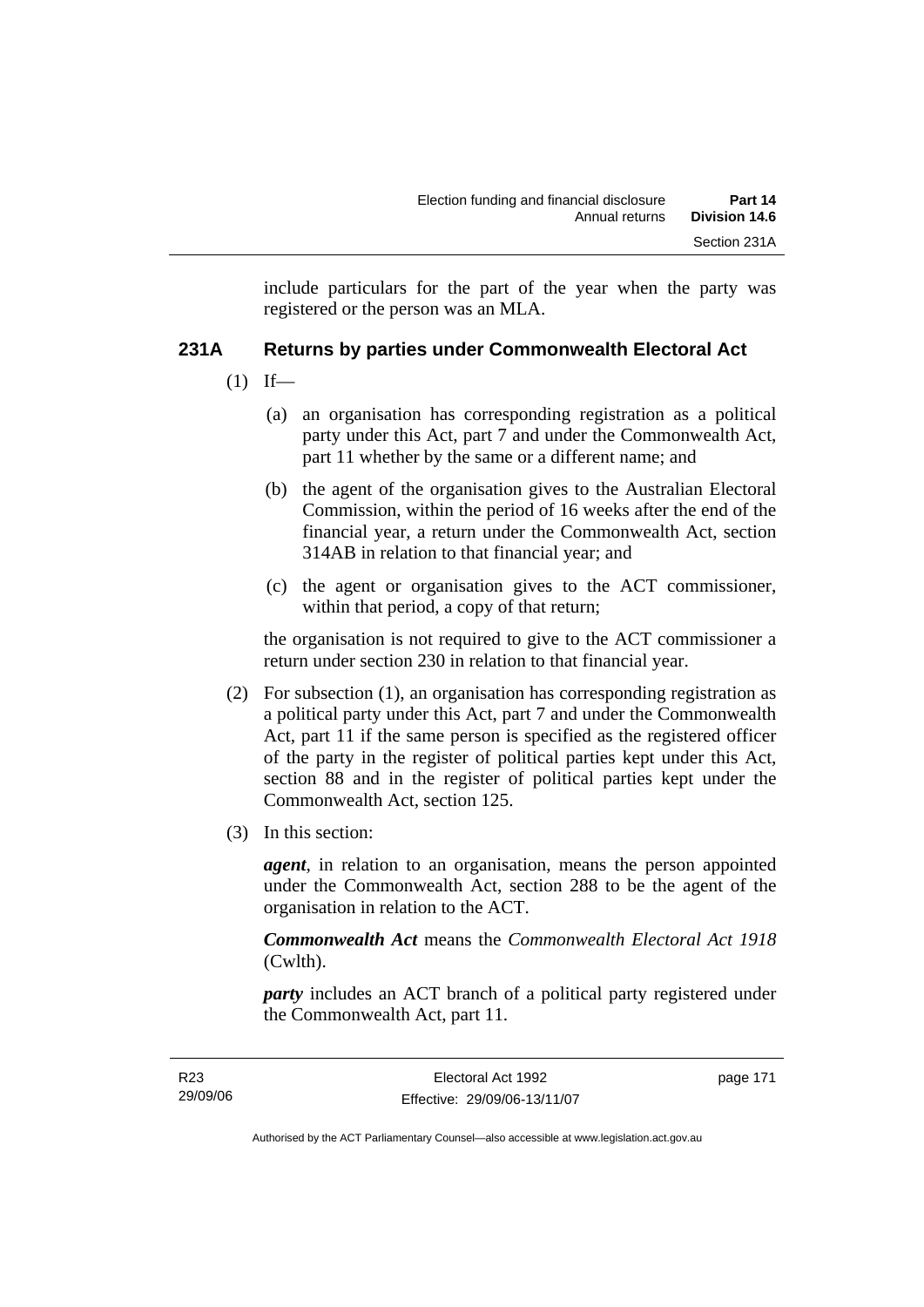include particulars for the part of the year when the party was registered or the person was an MLA.

# **231A Returns by parties under Commonwealth Electoral Act**

- $(1)$  If—
	- (a) an organisation has corresponding registration as a political party under this Act, part 7 and under the Commonwealth Act, part 11 whether by the same or a different name; and
	- (b) the agent of the organisation gives to the Australian Electoral Commission, within the period of 16 weeks after the end of the financial year, a return under the Commonwealth Act, section 314AB in relation to that financial year; and
	- (c) the agent or organisation gives to the ACT commissioner, within that period, a copy of that return;

the organisation is not required to give to the ACT commissioner a return under section 230 in relation to that financial year.

- (2) For subsection (1), an organisation has corresponding registration as a political party under this Act, part 7 and under the Commonwealth Act, part 11 if the same person is specified as the registered officer of the party in the register of political parties kept under this Act, section 88 and in the register of political parties kept under the Commonwealth Act, section 125.
- (3) In this section:

*agent*, in relation to an organisation, means the person appointed under the Commonwealth Act, section 288 to be the agent of the organisation in relation to the ACT.

*Commonwealth Act* means the *Commonwealth Electoral Act 1918* (Cwlth).

*party* includes an ACT branch of a political party registered under the Commonwealth Act, part 11.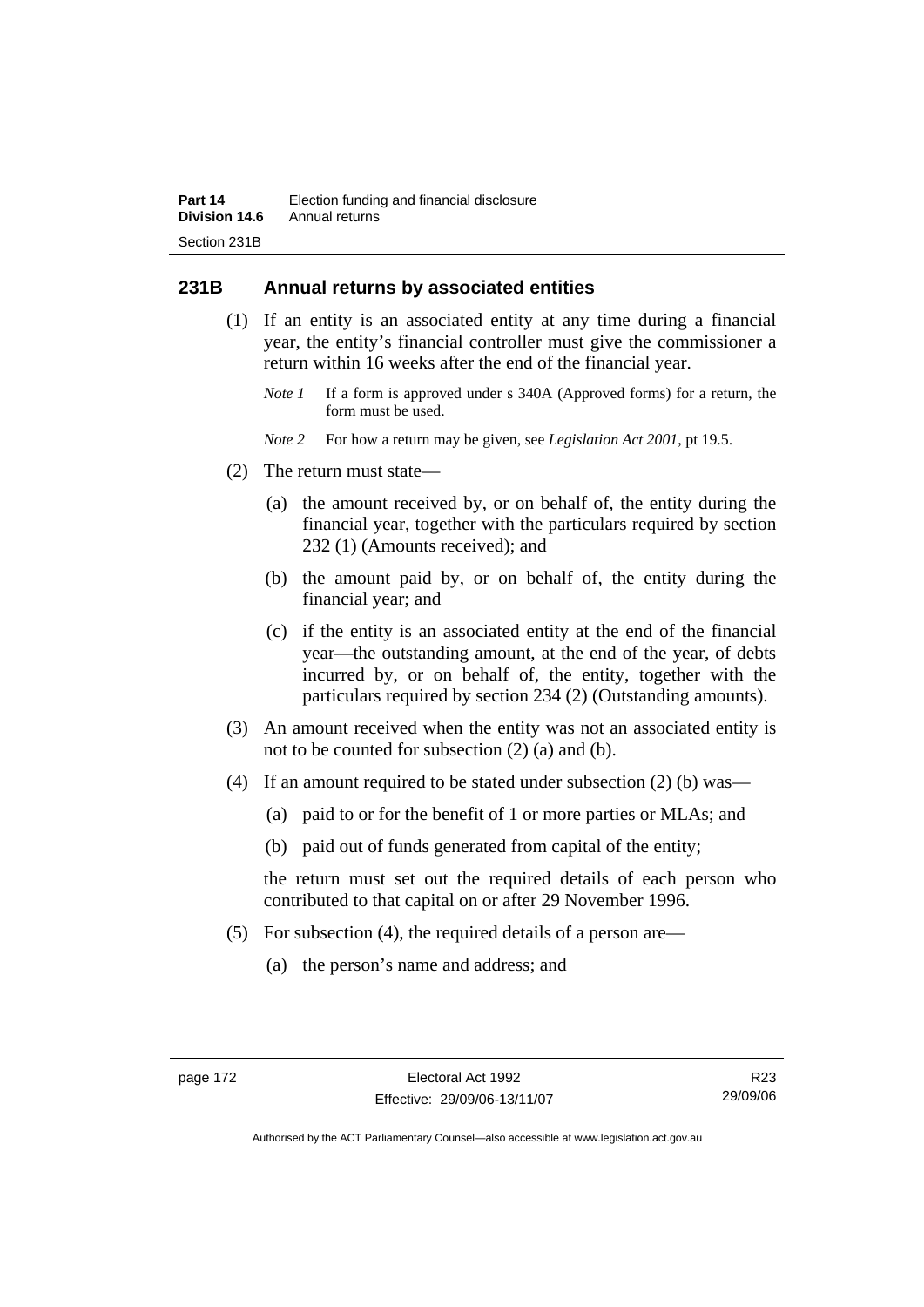# **231B Annual returns by associated entities**

- (1) If an entity is an associated entity at any time during a financial year, the entity's financial controller must give the commissioner a return within 16 weeks after the end of the financial year.
	- *Note 1* If a form is approved under s 340A (Approved forms) for a return, the form must be used.
	- *Note 2* For how a return may be given, see *Legislation Act 2001*, pt 19.5.
- (2) The return must state—
	- (a) the amount received by, or on behalf of, the entity during the financial year, together with the particulars required by section 232 (1) (Amounts received); and
	- (b) the amount paid by, or on behalf of, the entity during the financial year; and
	- (c) if the entity is an associated entity at the end of the financial year—the outstanding amount, at the end of the year, of debts incurred by, or on behalf of, the entity, together with the particulars required by section 234 (2) (Outstanding amounts).
- (3) An amount received when the entity was not an associated entity is not to be counted for subsection (2) (a) and (b).
- (4) If an amount required to be stated under subsection (2) (b) was—
	- (a) paid to or for the benefit of 1 or more parties or MLAs; and
	- (b) paid out of funds generated from capital of the entity;

the return must set out the required details of each person who contributed to that capital on or after 29 November 1996.

- (5) For subsection (4), the required details of a person are—
	- (a) the person's name and address; and

R23 29/09/06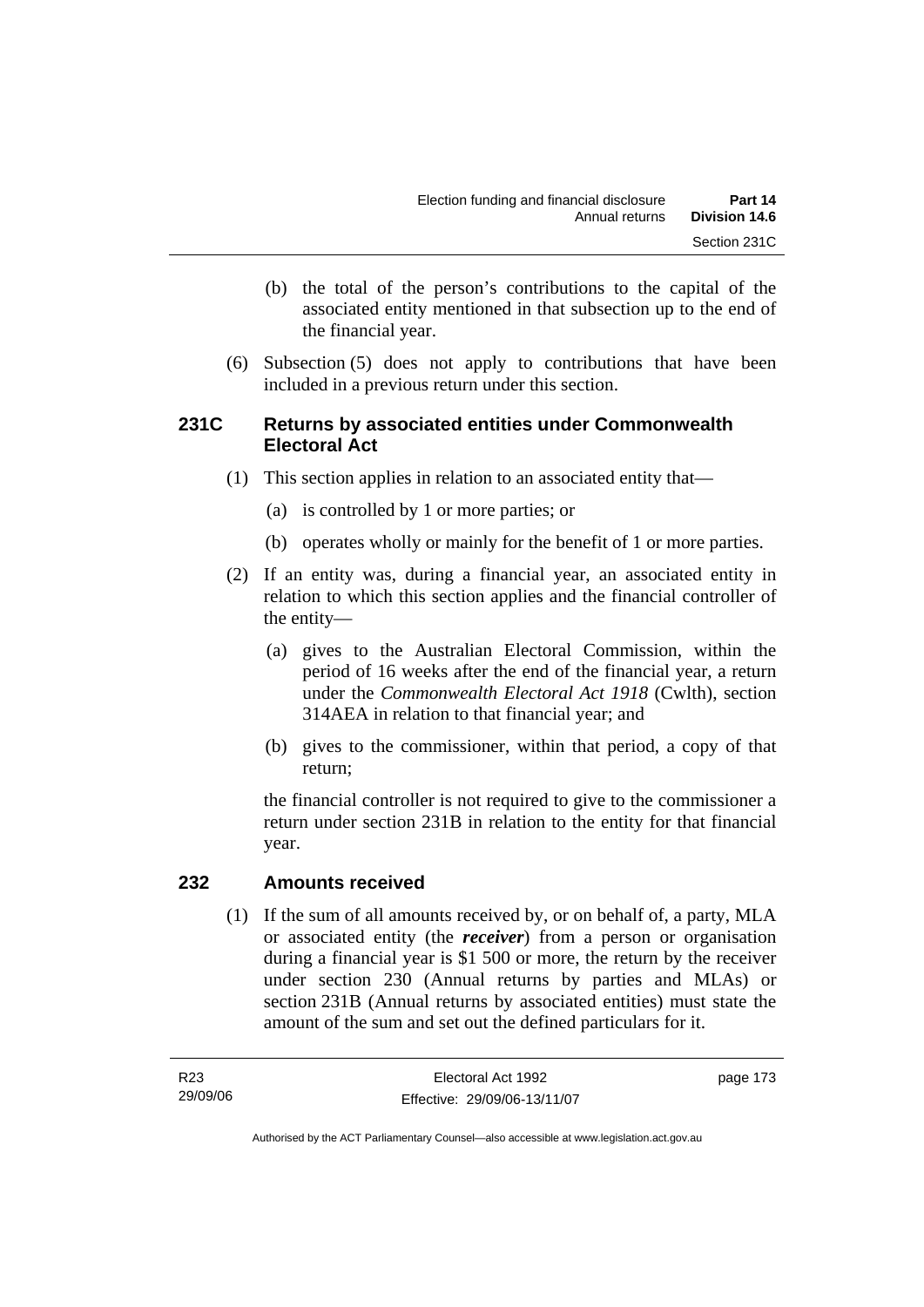- (b) the total of the person's contributions to the capital of the associated entity mentioned in that subsection up to the end of the financial year.
- (6) Subsection (5) does not apply to contributions that have been included in a previous return under this section.

# **231C Returns by associated entities under Commonwealth Electoral Act**

- (1) This section applies in relation to an associated entity that—
	- (a) is controlled by 1 or more parties; or
	- (b) operates wholly or mainly for the benefit of 1 or more parties.
- (2) If an entity was, during a financial year, an associated entity in relation to which this section applies and the financial controller of the entity—
	- (a) gives to the Australian Electoral Commission, within the period of 16 weeks after the end of the financial year, a return under the *Commonwealth Electoral Act 1918* (Cwlth), section 314AEA in relation to that financial year; and
	- (b) gives to the commissioner, within that period, a copy of that return;

the financial controller is not required to give to the commissioner a return under section 231B in relation to the entity for that financial year.

### **232 Amounts received**

 (1) If the sum of all amounts received by, or on behalf of, a party, MLA or associated entity (the *receiver*) from a person or organisation during a financial year is \$1 500 or more, the return by the receiver under section 230 (Annual returns by parties and MLAs) or section 231B (Annual returns by associated entities) must state the amount of the sum and set out the defined particulars for it.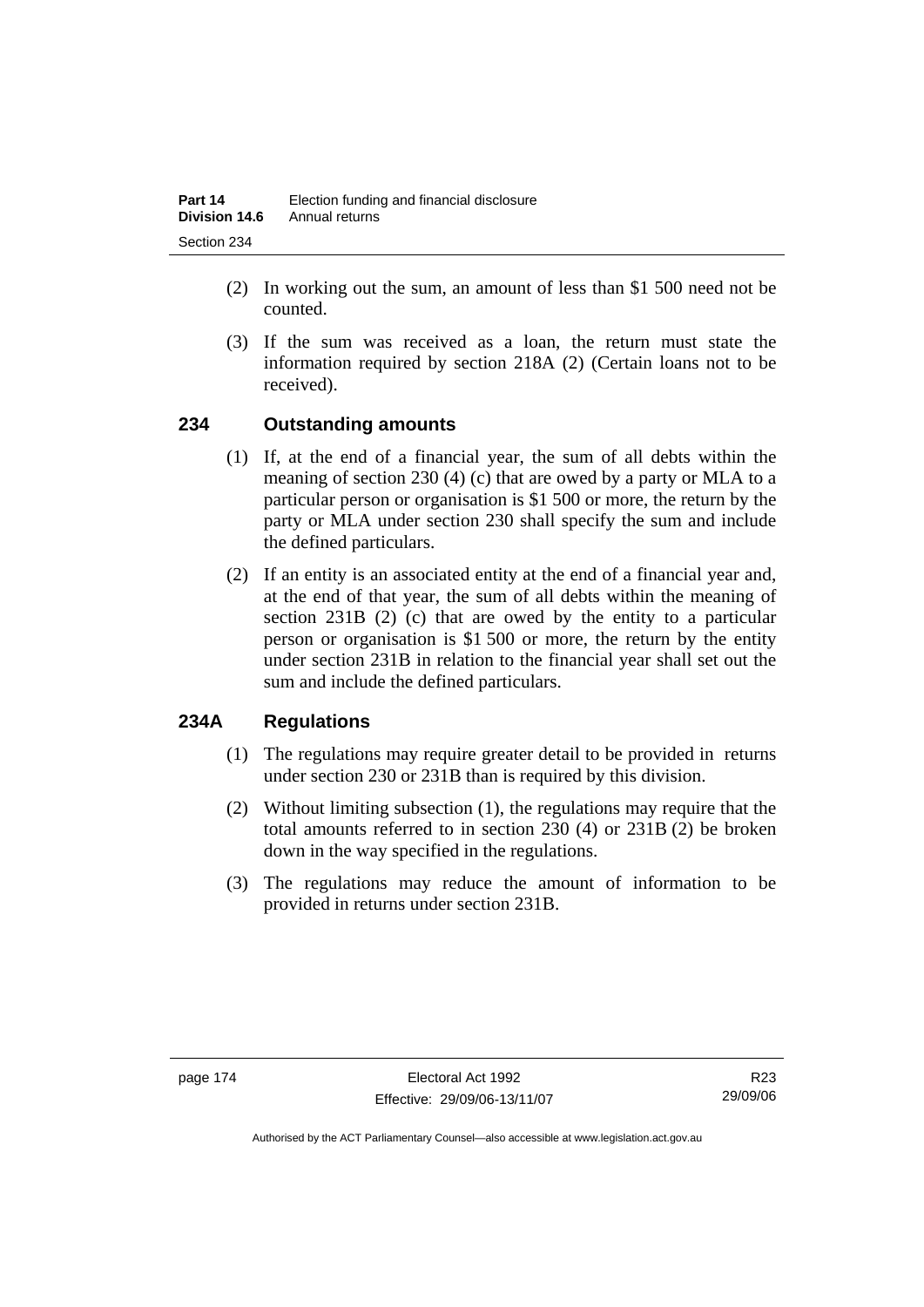- (2) In working out the sum, an amount of less than \$1 500 need not be counted.
- (3) If the sum was received as a loan, the return must state the information required by section 218A (2) (Certain loans not to be received).

# **234 Outstanding amounts**

- (1) If, at the end of a financial year, the sum of all debts within the meaning of section 230 (4) (c) that are owed by a party or MLA to a particular person or organisation is \$1 500 or more, the return by the party or MLA under section 230 shall specify the sum and include the defined particulars.
- (2) If an entity is an associated entity at the end of a financial year and, at the end of that year, the sum of all debts within the meaning of section 231B (2) (c) that are owed by the entity to a particular person or organisation is \$1 500 or more, the return by the entity under section 231B in relation to the financial year shall set out the sum and include the defined particulars.

# **234A Regulations**

- (1) The regulations may require greater detail to be provided in returns under section 230 or 231B than is required by this division.
- (2) Without limiting subsection (1), the regulations may require that the total amounts referred to in section 230 (4) or 231B (2) be broken down in the way specified in the regulations.
- (3) The regulations may reduce the amount of information to be provided in returns under section 231B.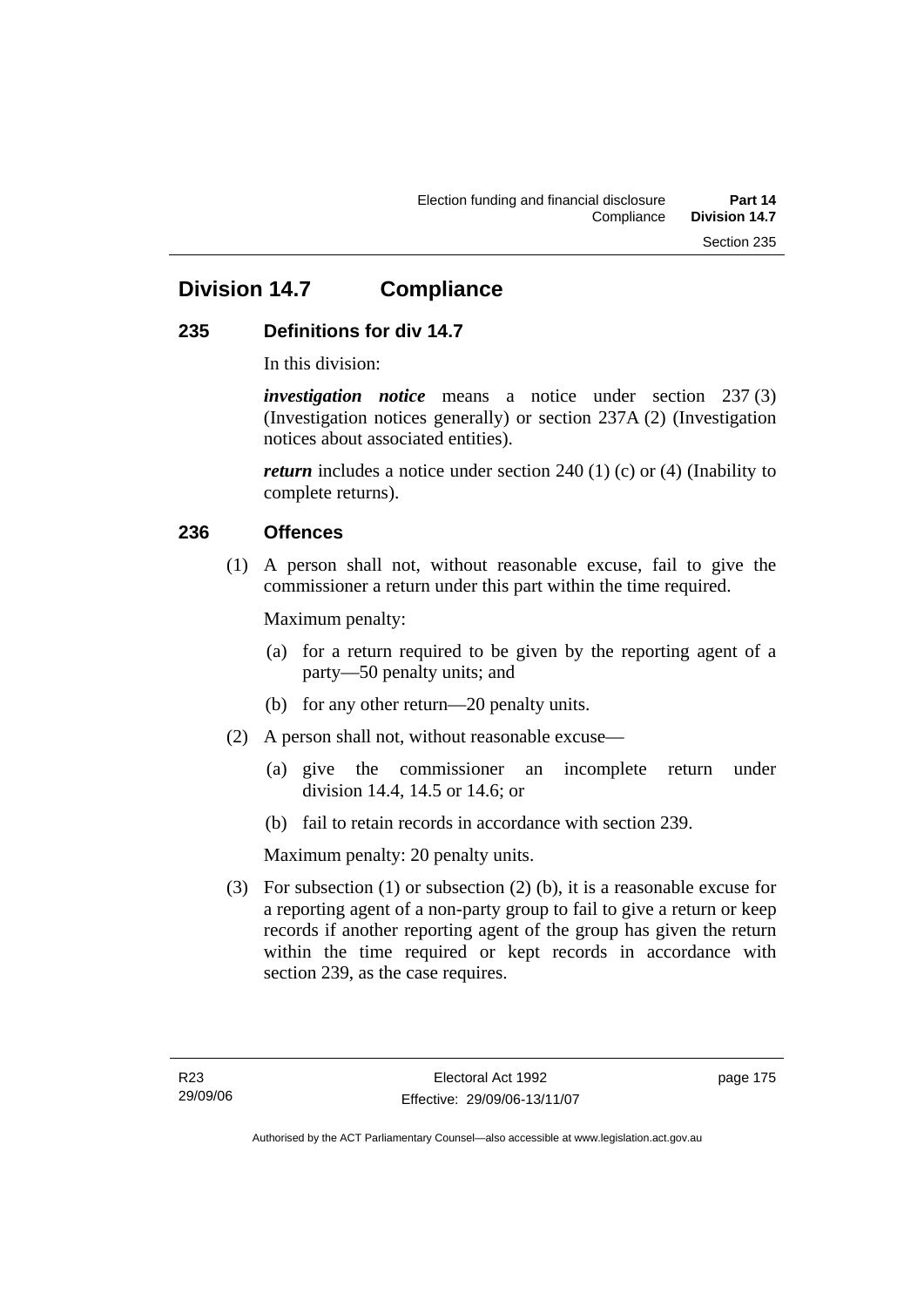# **Division 14.7 Compliance**

# **235 Definitions for div 14.7**

In this division:

*investigation notice* means a notice under section 237 (3) (Investigation notices generally) or section 237A (2) (Investigation notices about associated entities).

*return* includes a notice under section 240 (1) (c) or (4) (Inability to complete returns).

# **236 Offences**

 (1) A person shall not, without reasonable excuse, fail to give the commissioner a return under this part within the time required.

Maximum penalty:

- (a) for a return required to be given by the reporting agent of a party—50 penalty units; and
- (b) for any other return—20 penalty units.
- (2) A person shall not, without reasonable excuse—
	- (a) give the commissioner an incomplete return under division 14.4, 14.5 or 14.6; or
	- (b) fail to retain records in accordance with section 239.

Maximum penalty: 20 penalty units.

 (3) For subsection (1) or subsection (2) (b), it is a reasonable excuse for a reporting agent of a non-party group to fail to give a return or keep records if another reporting agent of the group has given the return within the time required or kept records in accordance with section 239, as the case requires.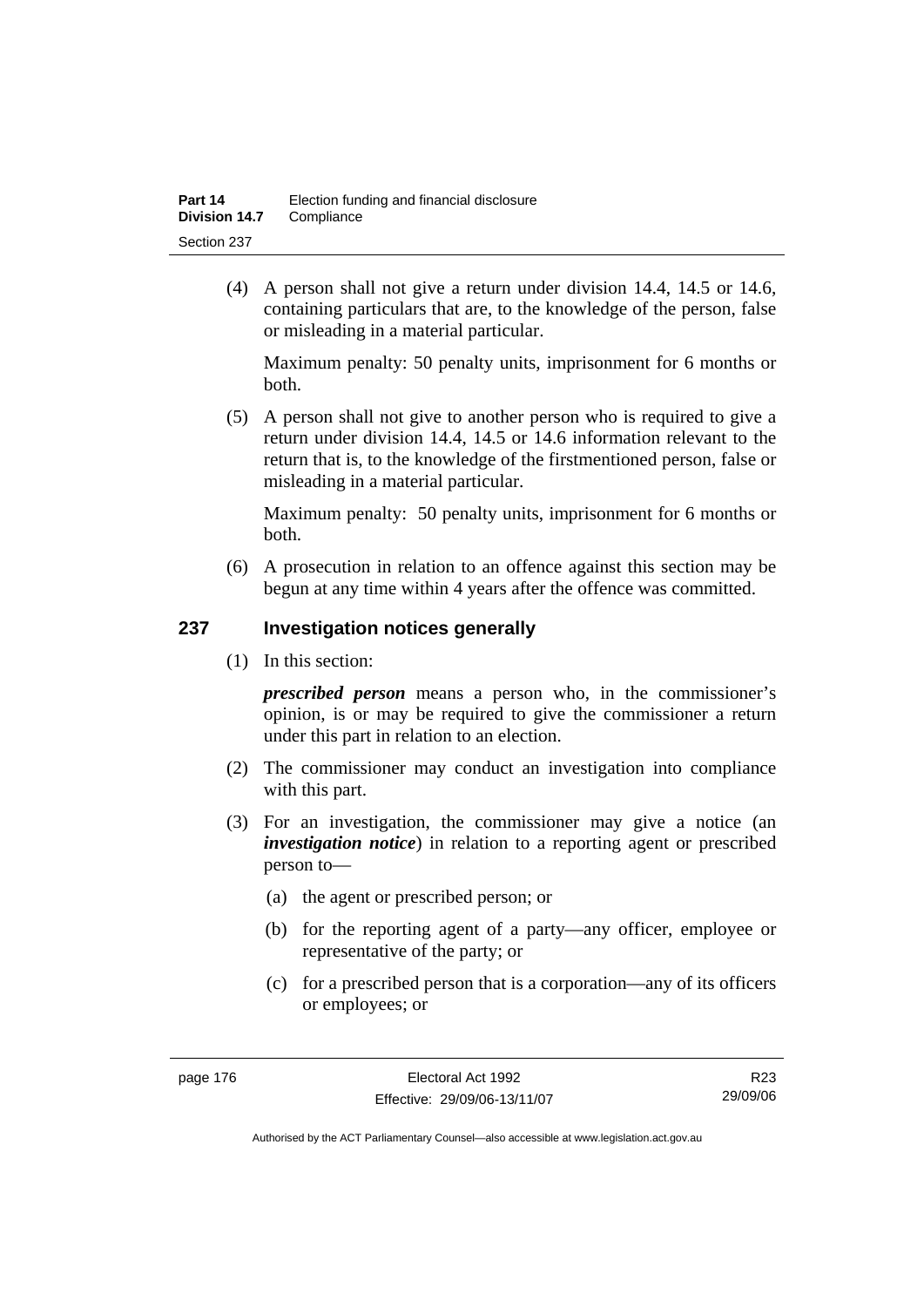(4) A person shall not give a return under division 14.4, 14.5 or 14.6, containing particulars that are, to the knowledge of the person, false or misleading in a material particular.

Maximum penalty: 50 penalty units, imprisonment for 6 months or both.

 (5) A person shall not give to another person who is required to give a return under division 14.4, 14.5 or 14.6 information relevant to the return that is, to the knowledge of the firstmentioned person, false or misleading in a material particular.

Maximum penalty: 50 penalty units, imprisonment for 6 months or both.

 (6) A prosecution in relation to an offence against this section may be begun at any time within 4 years after the offence was committed.

### **237 Investigation notices generally**

(1) In this section:

*prescribed person* means a person who, in the commissioner's opinion, is or may be required to give the commissioner a return under this part in relation to an election.

- (2) The commissioner may conduct an investigation into compliance with this part.
- (3) For an investigation, the commissioner may give a notice (an *investigation notice*) in relation to a reporting agent or prescribed person to—
	- (a) the agent or prescribed person; or
	- (b) for the reporting agent of a party—any officer, employee or representative of the party; or
	- (c) for a prescribed person that is a corporation—any of its officers or employees; or

R23 29/09/06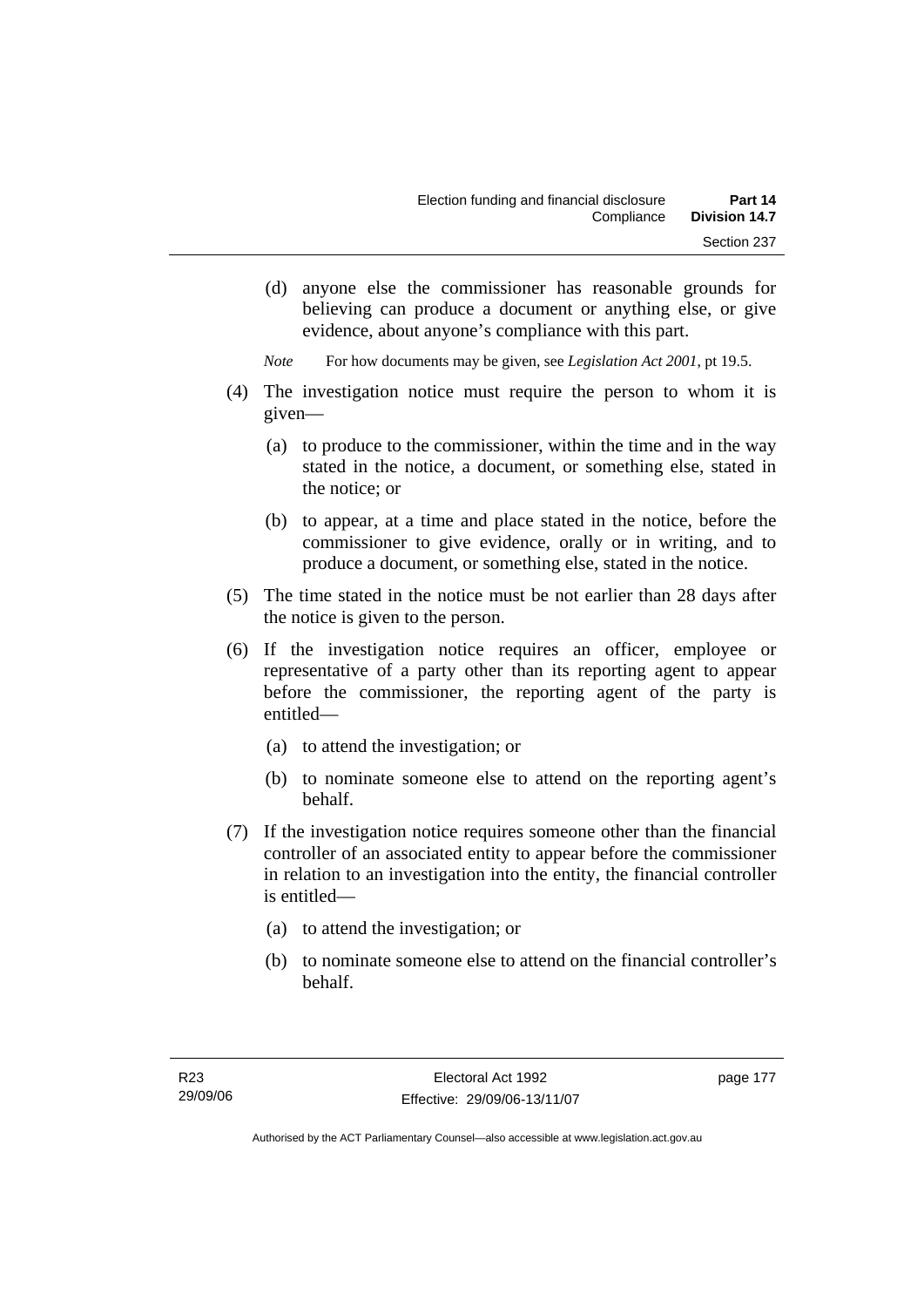(d) anyone else the commissioner has reasonable grounds for believing can produce a document or anything else, or give evidence, about anyone's compliance with this part.

*Note* For how documents may be given, see *Legislation Act 2001*, pt 19.5.

- (4) The investigation notice must require the person to whom it is given—
	- (a) to produce to the commissioner, within the time and in the way stated in the notice, a document, or something else, stated in the notice; or
	- (b) to appear, at a time and place stated in the notice, before the commissioner to give evidence, orally or in writing, and to produce a document, or something else, stated in the notice.
- (5) The time stated in the notice must be not earlier than 28 days after the notice is given to the person.
- (6) If the investigation notice requires an officer, employee or representative of a party other than its reporting agent to appear before the commissioner, the reporting agent of the party is entitled—
	- (a) to attend the investigation; or
	- (b) to nominate someone else to attend on the reporting agent's behalf.
- (7) If the investigation notice requires someone other than the financial controller of an associated entity to appear before the commissioner in relation to an investigation into the entity, the financial controller is entitled—
	- (a) to attend the investigation; or
	- (b) to nominate someone else to attend on the financial controller's behalf.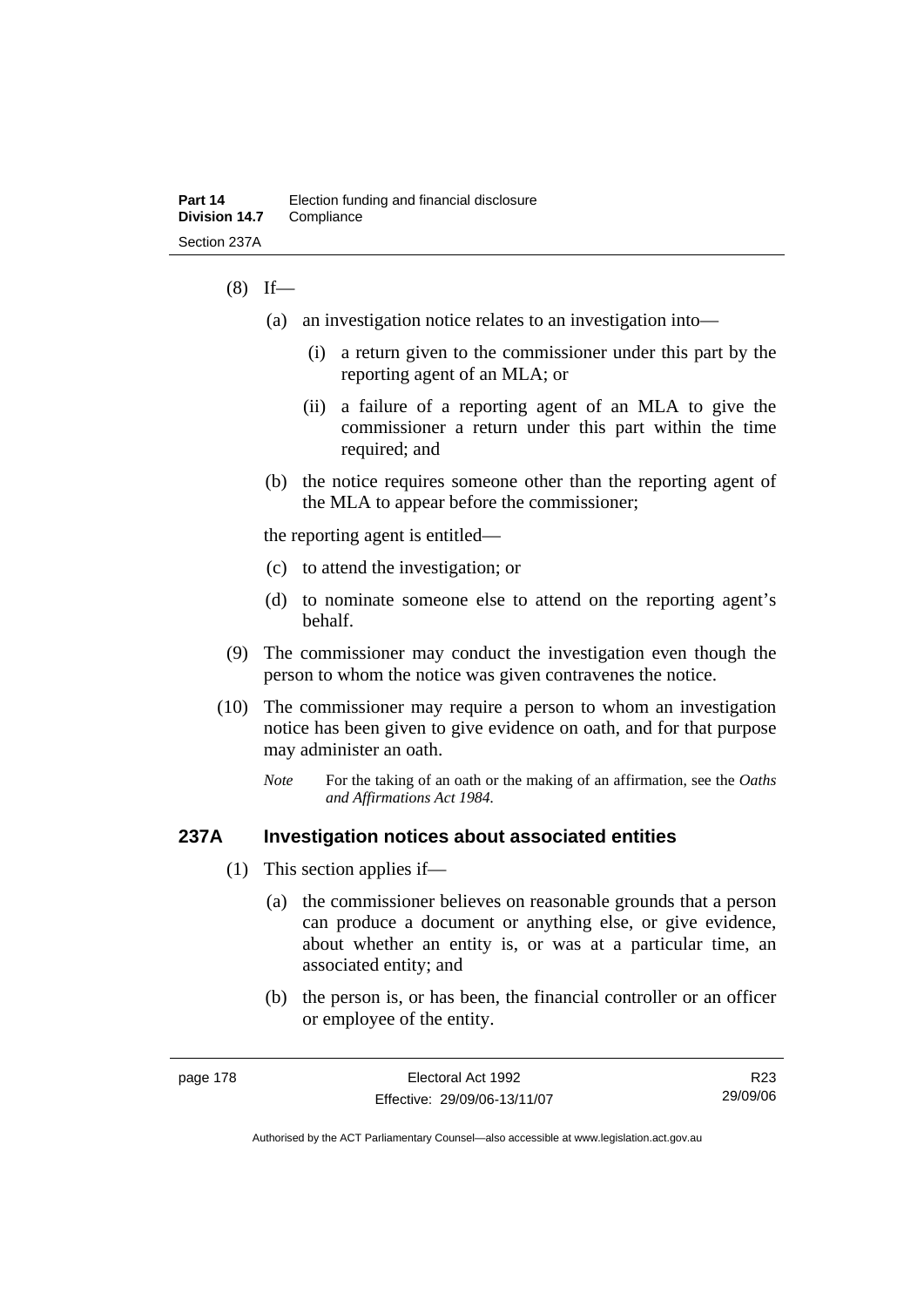### $(8)$  If—

- (a) an investigation notice relates to an investigation into—
	- (i) a return given to the commissioner under this part by the reporting agent of an MLA; or
	- (ii) a failure of a reporting agent of an MLA to give the commissioner a return under this part within the time required; and
- (b) the notice requires someone other than the reporting agent of the MLA to appear before the commissioner;

the reporting agent is entitled—

- (c) to attend the investigation; or
- (d) to nominate someone else to attend on the reporting agent's behalf.
- (9) The commissioner may conduct the investigation even though the person to whom the notice was given contravenes the notice.
- (10) The commissioner may require a person to whom an investigation notice has been given to give evidence on oath, and for that purpose may administer an oath.
	- *Note* For the taking of an oath or the making of an affirmation, see the *Oaths and Affirmations Act 1984.*

### **237A Investigation notices about associated entities**

- (1) This section applies if—
	- (a) the commissioner believes on reasonable grounds that a person can produce a document or anything else, or give evidence, about whether an entity is, or was at a particular time, an associated entity; and
	- (b) the person is, or has been, the financial controller or an officer or employee of the entity.

R23 29/09/06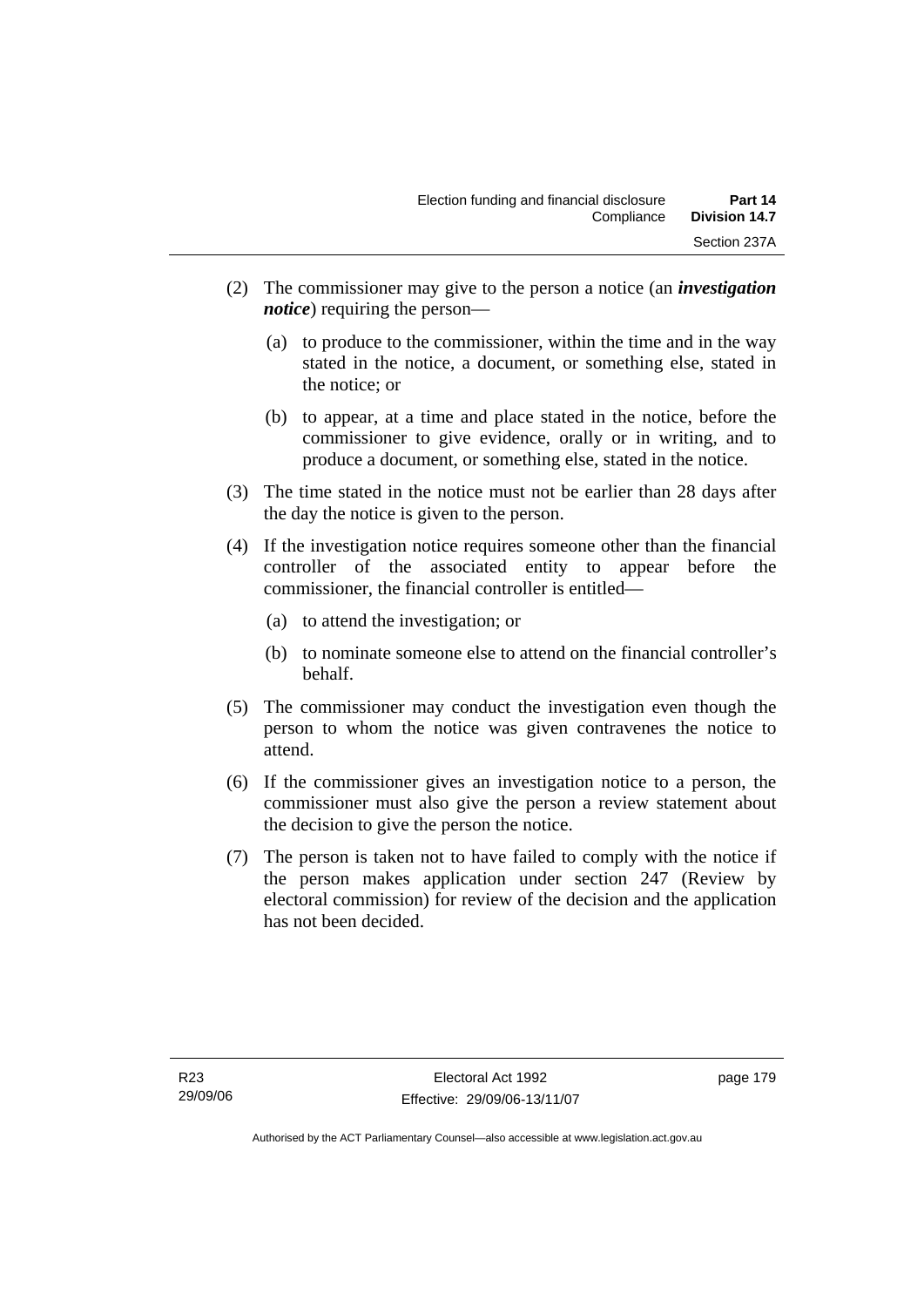- (2) The commissioner may give to the person a notice (an *investigation notice*) requiring the person—
	- (a) to produce to the commissioner, within the time and in the way stated in the notice, a document, or something else, stated in the notice; or
	- (b) to appear, at a time and place stated in the notice, before the commissioner to give evidence, orally or in writing, and to produce a document, or something else, stated in the notice.
- (3) The time stated in the notice must not be earlier than 28 days after the day the notice is given to the person.
- (4) If the investigation notice requires someone other than the financial controller of the associated entity to appear before the commissioner, the financial controller is entitled—
	- (a) to attend the investigation; or
	- (b) to nominate someone else to attend on the financial controller's behalf.
- (5) The commissioner may conduct the investigation even though the person to whom the notice was given contravenes the notice to attend.
- (6) If the commissioner gives an investigation notice to a person, the commissioner must also give the person a review statement about the decision to give the person the notice.
- (7) The person is taken not to have failed to comply with the notice if the person makes application under section 247 (Review by electoral commission) for review of the decision and the application has not been decided.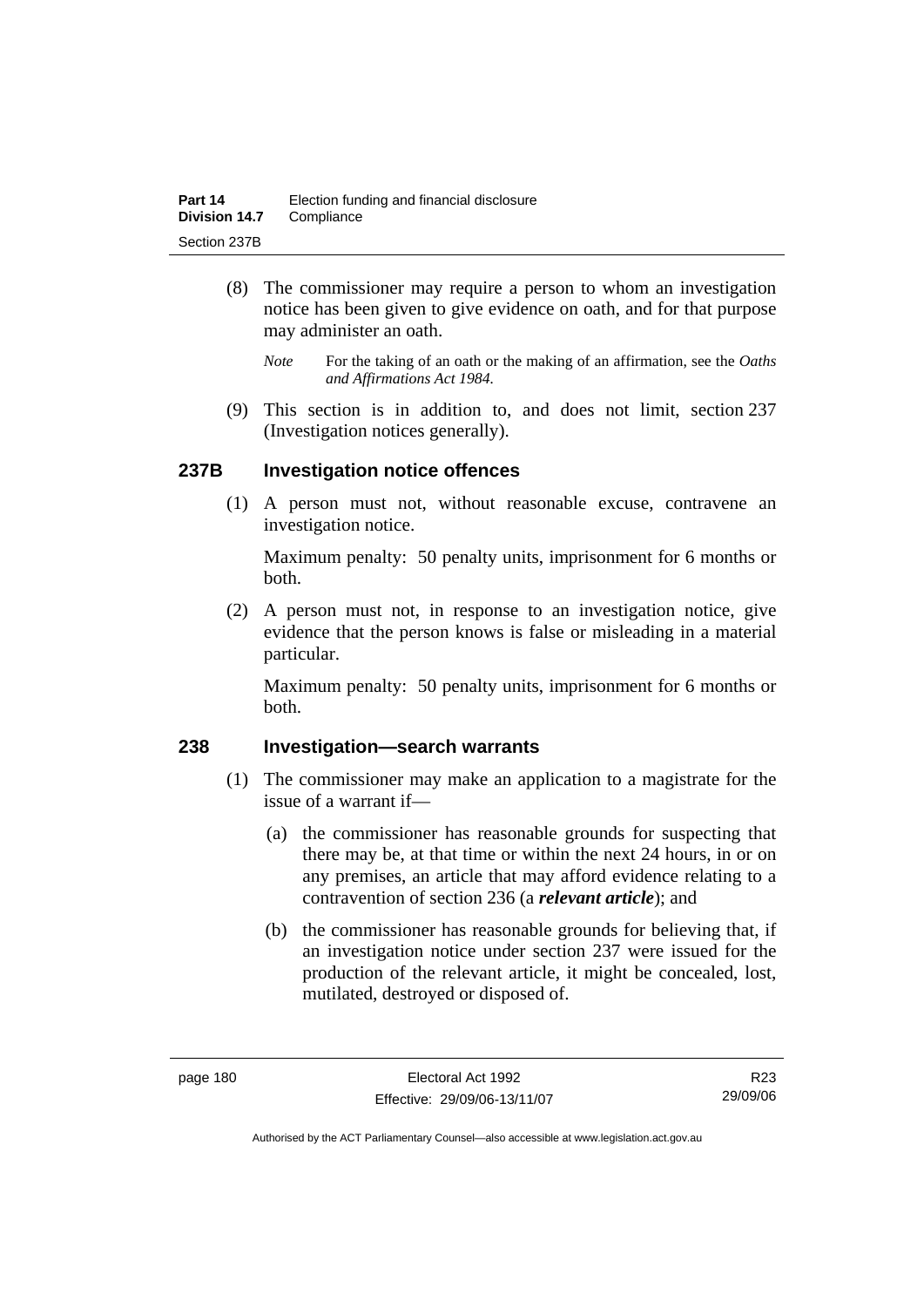- (8) The commissioner may require a person to whom an investigation notice has been given to give evidence on oath, and for that purpose may administer an oath.
	- *Note* For the taking of an oath or the making of an affirmation, see the *Oaths and Affirmations Act 1984.*
- (9) This section is in addition to, and does not limit, section 237 (Investigation notices generally).

# **237B Investigation notice offences**

 (1) A person must not, without reasonable excuse, contravene an investigation notice.

Maximum penalty: 50 penalty units, imprisonment for 6 months or both.

 (2) A person must not, in response to an investigation notice, give evidence that the person knows is false or misleading in a material particular.

Maximum penalty: 50 penalty units, imprisonment for 6 months or both.

### **238 Investigation—search warrants**

- (1) The commissioner may make an application to a magistrate for the issue of a warrant if—
	- (a) the commissioner has reasonable grounds for suspecting that there may be, at that time or within the next 24 hours, in or on any premises, an article that may afford evidence relating to a contravention of section 236 (a *relevant article*); and
	- (b) the commissioner has reasonable grounds for believing that, if an investigation notice under section 237 were issued for the production of the relevant article, it might be concealed, lost, mutilated, destroyed or disposed of.

R23 29/09/06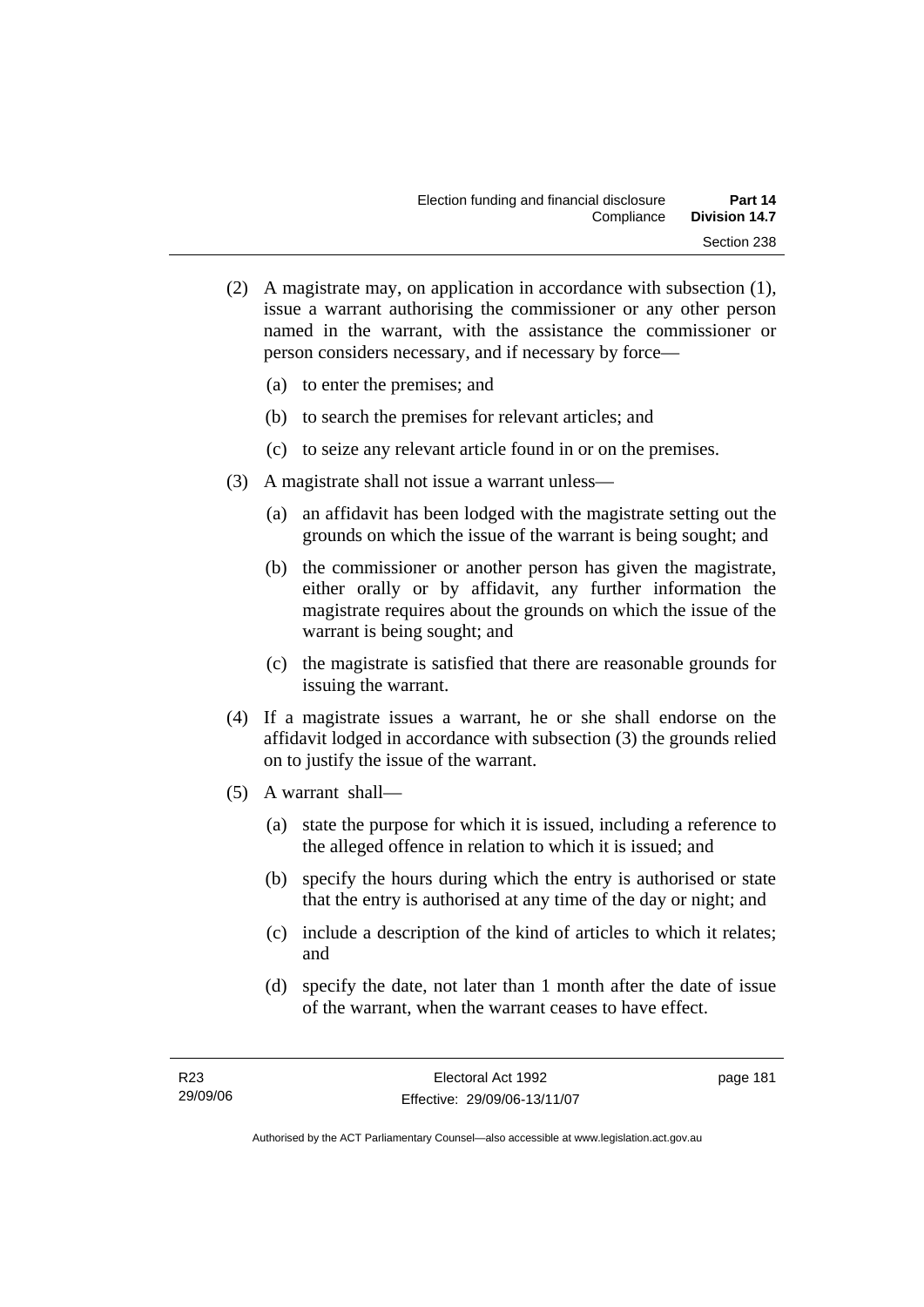- (2) A magistrate may, on application in accordance with subsection (1), issue a warrant authorising the commissioner or any other person named in the warrant, with the assistance the commissioner or person considers necessary, and if necessary by force—
	- (a) to enter the premises; and
	- (b) to search the premises for relevant articles; and
	- (c) to seize any relevant article found in or on the premises.
- (3) A magistrate shall not issue a warrant unless—
	- (a) an affidavit has been lodged with the magistrate setting out the grounds on which the issue of the warrant is being sought; and
	- (b) the commissioner or another person has given the magistrate, either orally or by affidavit, any further information the magistrate requires about the grounds on which the issue of the warrant is being sought; and
	- (c) the magistrate is satisfied that there are reasonable grounds for issuing the warrant.
- (4) If a magistrate issues a warrant, he or she shall endorse on the affidavit lodged in accordance with subsection (3) the grounds relied on to justify the issue of the warrant.
- (5) A warrant shall—
	- (a) state the purpose for which it is issued, including a reference to the alleged offence in relation to which it is issued; and
	- (b) specify the hours during which the entry is authorised or state that the entry is authorised at any time of the day or night; and
	- (c) include a description of the kind of articles to which it relates; and
	- (d) specify the date, not later than 1 month after the date of issue of the warrant, when the warrant ceases to have effect.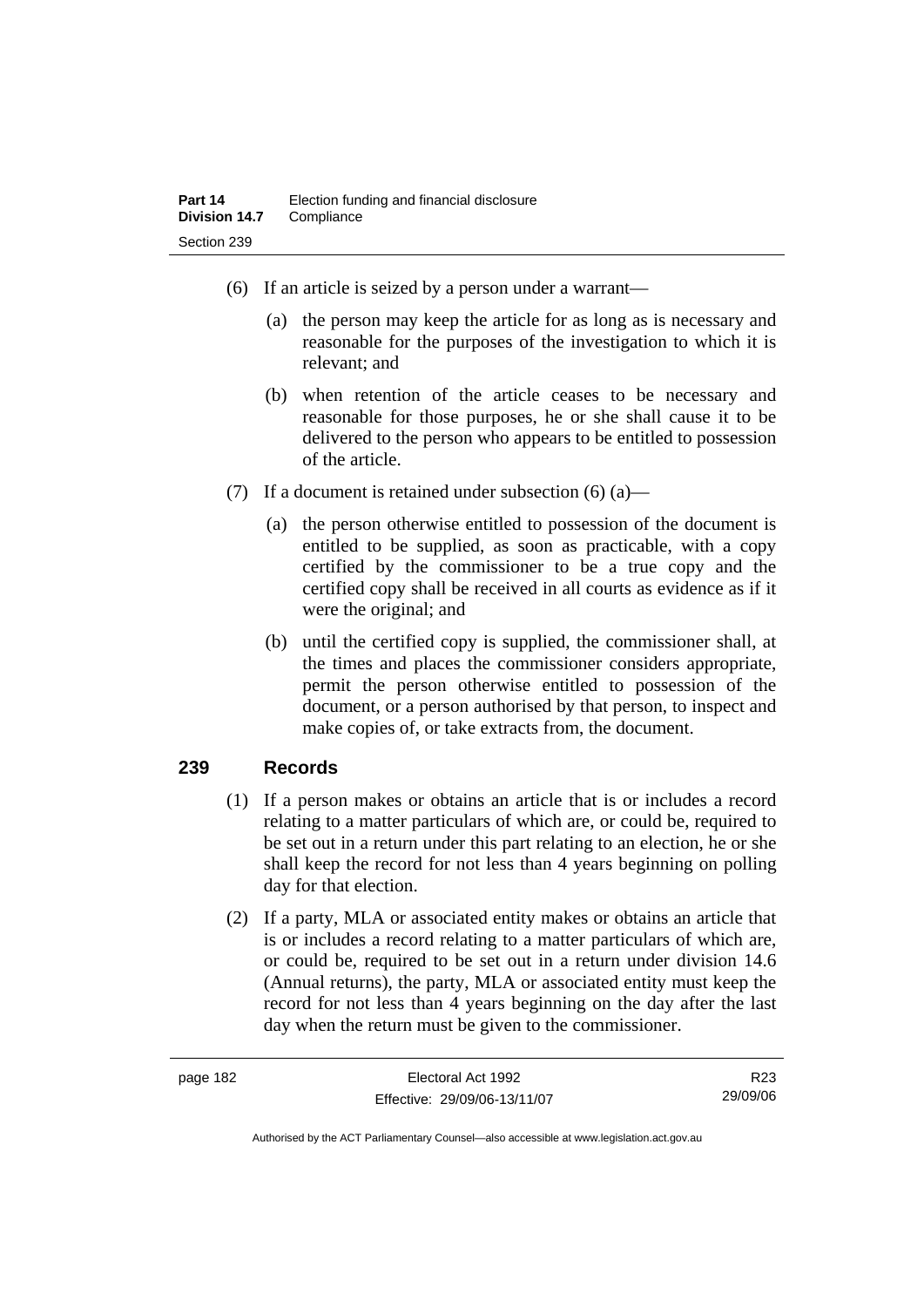- (6) If an article is seized by a person under a warrant—
	- (a) the person may keep the article for as long as is necessary and reasonable for the purposes of the investigation to which it is relevant; and
	- (b) when retention of the article ceases to be necessary and reasonable for those purposes, he or she shall cause it to be delivered to the person who appears to be entitled to possession of the article.
- (7) If a document is retained under subsection  $(6)$  (a)—
	- (a) the person otherwise entitled to possession of the document is entitled to be supplied, as soon as practicable, with a copy certified by the commissioner to be a true copy and the certified copy shall be received in all courts as evidence as if it were the original; and
	- (b) until the certified copy is supplied, the commissioner shall, at the times and places the commissioner considers appropriate, permit the person otherwise entitled to possession of the document, or a person authorised by that person, to inspect and make copies of, or take extracts from, the document.

### **239 Records**

- (1) If a person makes or obtains an article that is or includes a record relating to a matter particulars of which are, or could be, required to be set out in a return under this part relating to an election, he or she shall keep the record for not less than 4 years beginning on polling day for that election.
- (2) If a party, MLA or associated entity makes or obtains an article that is or includes a record relating to a matter particulars of which are, or could be, required to be set out in a return under division 14.6 (Annual returns), the party, MLA or associated entity must keep the record for not less than 4 years beginning on the day after the last day when the return must be given to the commissioner.

R23 29/09/06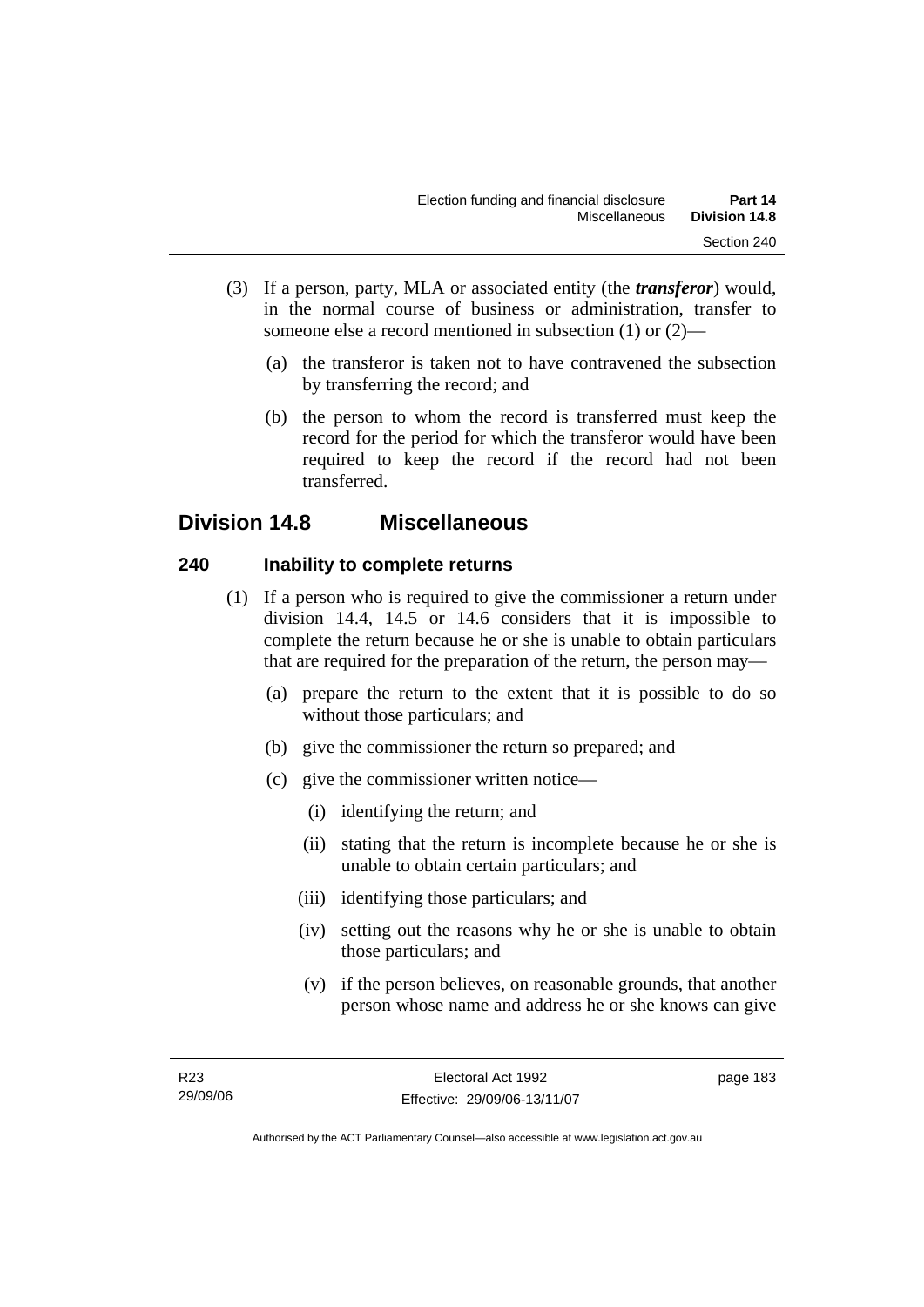- (3) If a person, party, MLA or associated entity (the *transferor*) would, in the normal course of business or administration, transfer to someone else a record mentioned in subsection (1) or (2)—
	- (a) the transferor is taken not to have contravened the subsection by transferring the record; and
	- (b) the person to whom the record is transferred must keep the record for the period for which the transferor would have been required to keep the record if the record had not been transferred.

# **Division 14.8 Miscellaneous**

# **240 Inability to complete returns**

- (1) If a person who is required to give the commissioner a return under division 14.4, 14.5 or 14.6 considers that it is impossible to complete the return because he or she is unable to obtain particulars that are required for the preparation of the return, the person may—
	- (a) prepare the return to the extent that it is possible to do so without those particulars; and
	- (b) give the commissioner the return so prepared; and
	- (c) give the commissioner written notice—
		- (i) identifying the return; and
		- (ii) stating that the return is incomplete because he or she is unable to obtain certain particulars; and
		- (iii) identifying those particulars; and
		- (iv) setting out the reasons why he or she is unable to obtain those particulars; and
		- (v) if the person believes, on reasonable grounds, that another person whose name and address he or she knows can give

page 183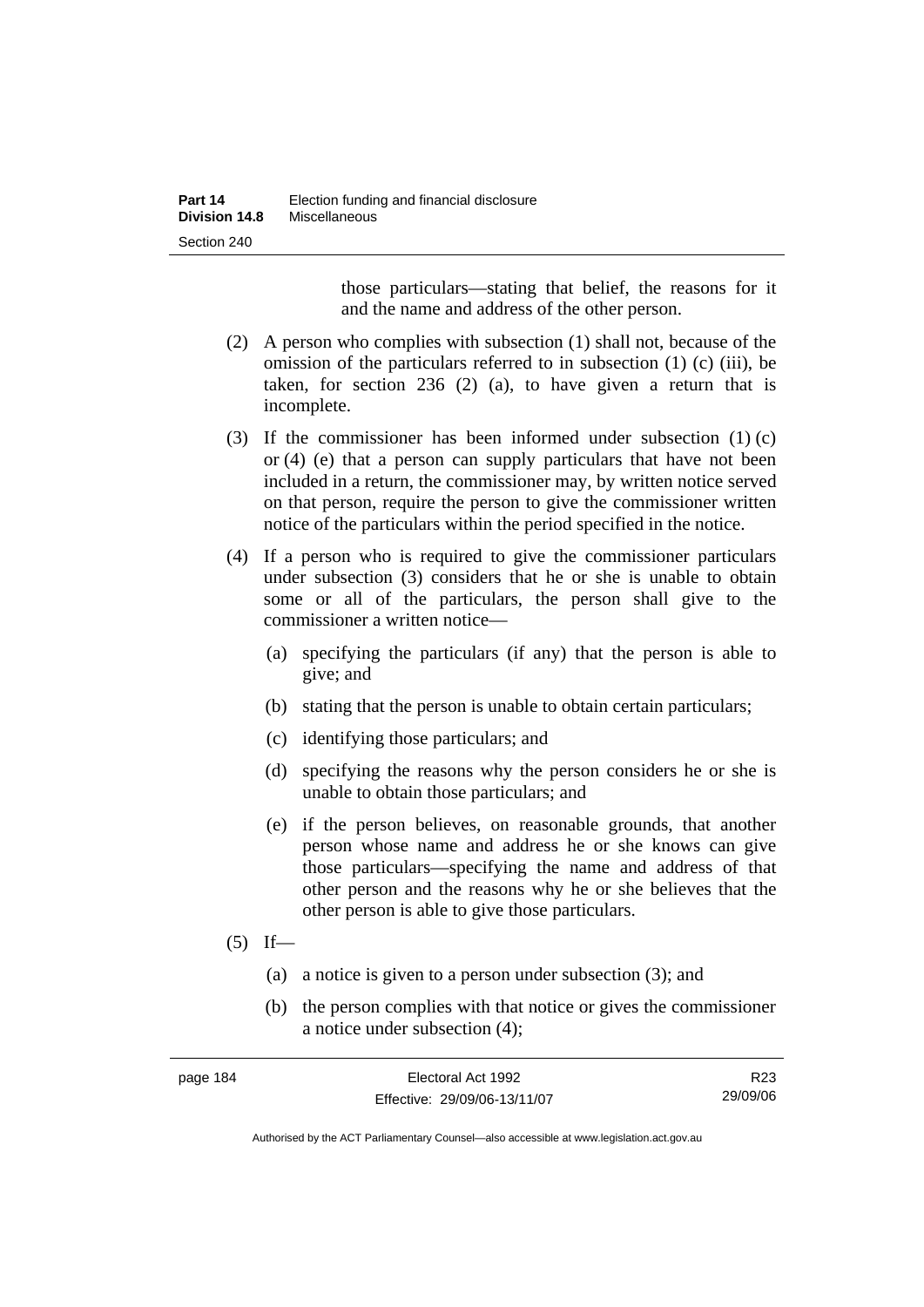those particulars—stating that belief, the reasons for it and the name and address of the other person.

- (2) A person who complies with subsection (1) shall not, because of the omission of the particulars referred to in subsection (1) (c) (iii), be taken, for section 236 (2) (a), to have given a return that is incomplete.
- (3) If the commissioner has been informed under subsection (1) (c) or (4) (e) that a person can supply particulars that have not been included in a return, the commissioner may, by written notice served on that person, require the person to give the commissioner written notice of the particulars within the period specified in the notice.
- (4) If a person who is required to give the commissioner particulars under subsection (3) considers that he or she is unable to obtain some or all of the particulars, the person shall give to the commissioner a written notice—
	- (a) specifying the particulars (if any) that the person is able to give; and
	- (b) stating that the person is unable to obtain certain particulars;
	- (c) identifying those particulars; and
	- (d) specifying the reasons why the person considers he or she is unable to obtain those particulars; and
	- (e) if the person believes, on reasonable grounds, that another person whose name and address he or she knows can give those particulars—specifying the name and address of that other person and the reasons why he or she believes that the other person is able to give those particulars.
- $(5)$  If—
	- (a) a notice is given to a person under subsection (3); and
	- (b) the person complies with that notice or gives the commissioner a notice under subsection (4);

| page 184 | Electoral Act 1992           | R <sub>23</sub> |
|----------|------------------------------|-----------------|
|          | Effective: 29/09/06-13/11/07 | 29/09/06        |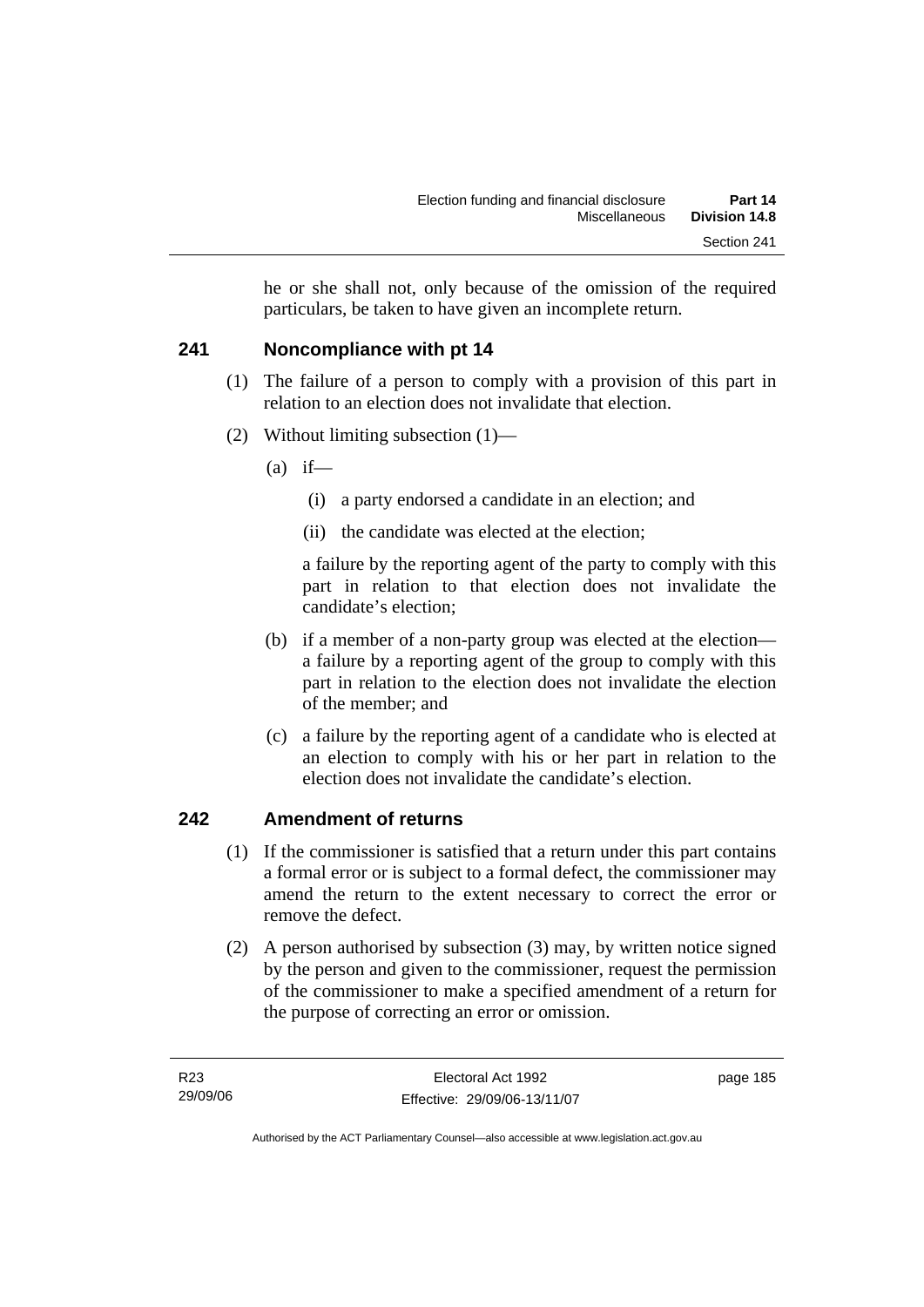he or she shall not, only because of the omission of the required particulars, be taken to have given an incomplete return.

# **241 Noncompliance with pt 14**

- (1) The failure of a person to comply with a provision of this part in relation to an election does not invalidate that election.
- (2) Without limiting subsection (1)—
	- $(a)$  if—
		- (i) a party endorsed a candidate in an election; and
		- (ii) the candidate was elected at the election;

a failure by the reporting agent of the party to comply with this part in relation to that election does not invalidate the candidate's election;

- (b) if a member of a non-party group was elected at the election a failure by a reporting agent of the group to comply with this part in relation to the election does not invalidate the election of the member; and
- (c) a failure by the reporting agent of a candidate who is elected at an election to comply with his or her part in relation to the election does not invalidate the candidate's election.

# **242 Amendment of returns**

- (1) If the commissioner is satisfied that a return under this part contains a formal error or is subject to a formal defect, the commissioner may amend the return to the extent necessary to correct the error or remove the defect.
- (2) A person authorised by subsection (3) may, by written notice signed by the person and given to the commissioner, request the permission of the commissioner to make a specified amendment of a return for the purpose of correcting an error or omission.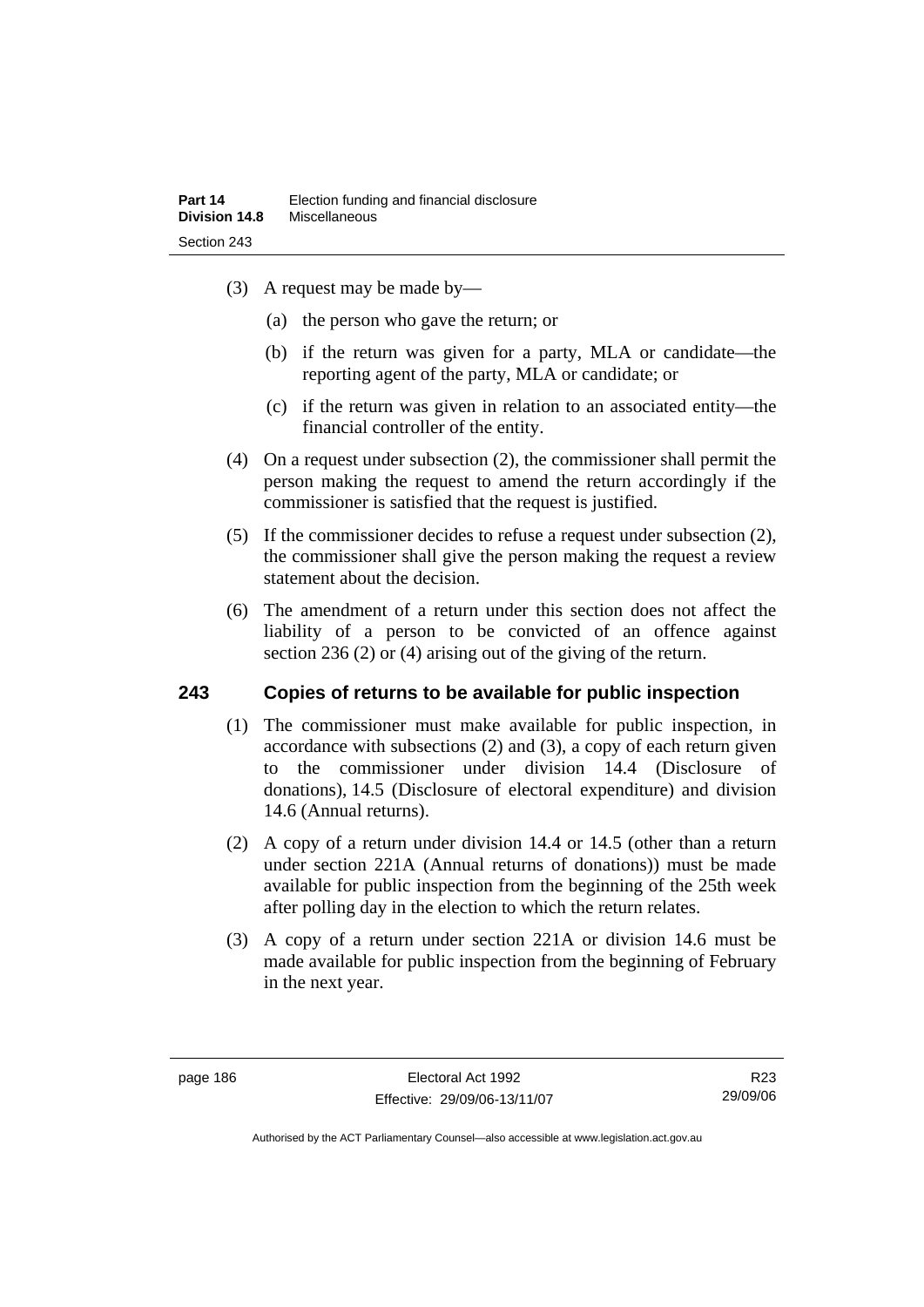- (3) A request may be made by—
	- (a) the person who gave the return; or
	- (b) if the return was given for a party, MLA or candidate—the reporting agent of the party, MLA or candidate; or
	- (c) if the return was given in relation to an associated entity—the financial controller of the entity.
- (4) On a request under subsection (2), the commissioner shall permit the person making the request to amend the return accordingly if the commissioner is satisfied that the request is justified.
- (5) If the commissioner decides to refuse a request under subsection (2), the commissioner shall give the person making the request a review statement about the decision.
- (6) The amendment of a return under this section does not affect the liability of a person to be convicted of an offence against section 236 (2) or (4) arising out of the giving of the return.

# **243 Copies of returns to be available for public inspection**

- (1) The commissioner must make available for public inspection, in accordance with subsections (2) and (3), a copy of each return given to the commissioner under division 14.4 (Disclosure of donations), 14.5 (Disclosure of electoral expenditure) and division 14.6 (Annual returns).
- (2) A copy of a return under division 14.4 or 14.5 (other than a return under section 221A (Annual returns of donations)) must be made available for public inspection from the beginning of the 25th week after polling day in the election to which the return relates.
- (3) A copy of a return under section 221A or division 14.6 must be made available for public inspection from the beginning of February in the next year.

R23 29/09/06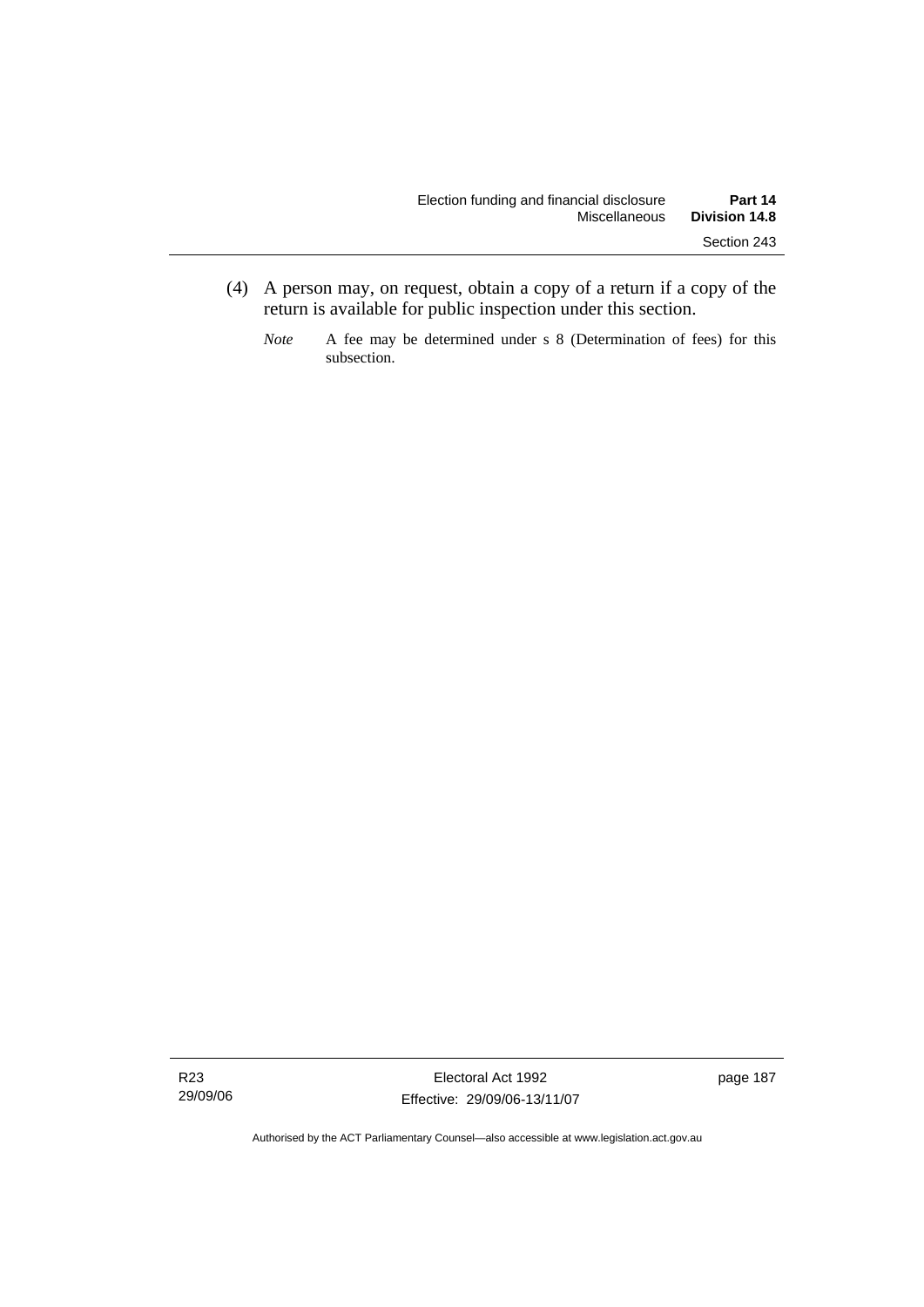- (4) A person may, on request, obtain a copy of a return if a copy of the return is available for public inspection under this section.
	- *Note* A fee may be determined under s 8 (Determination of fees) for this subsection.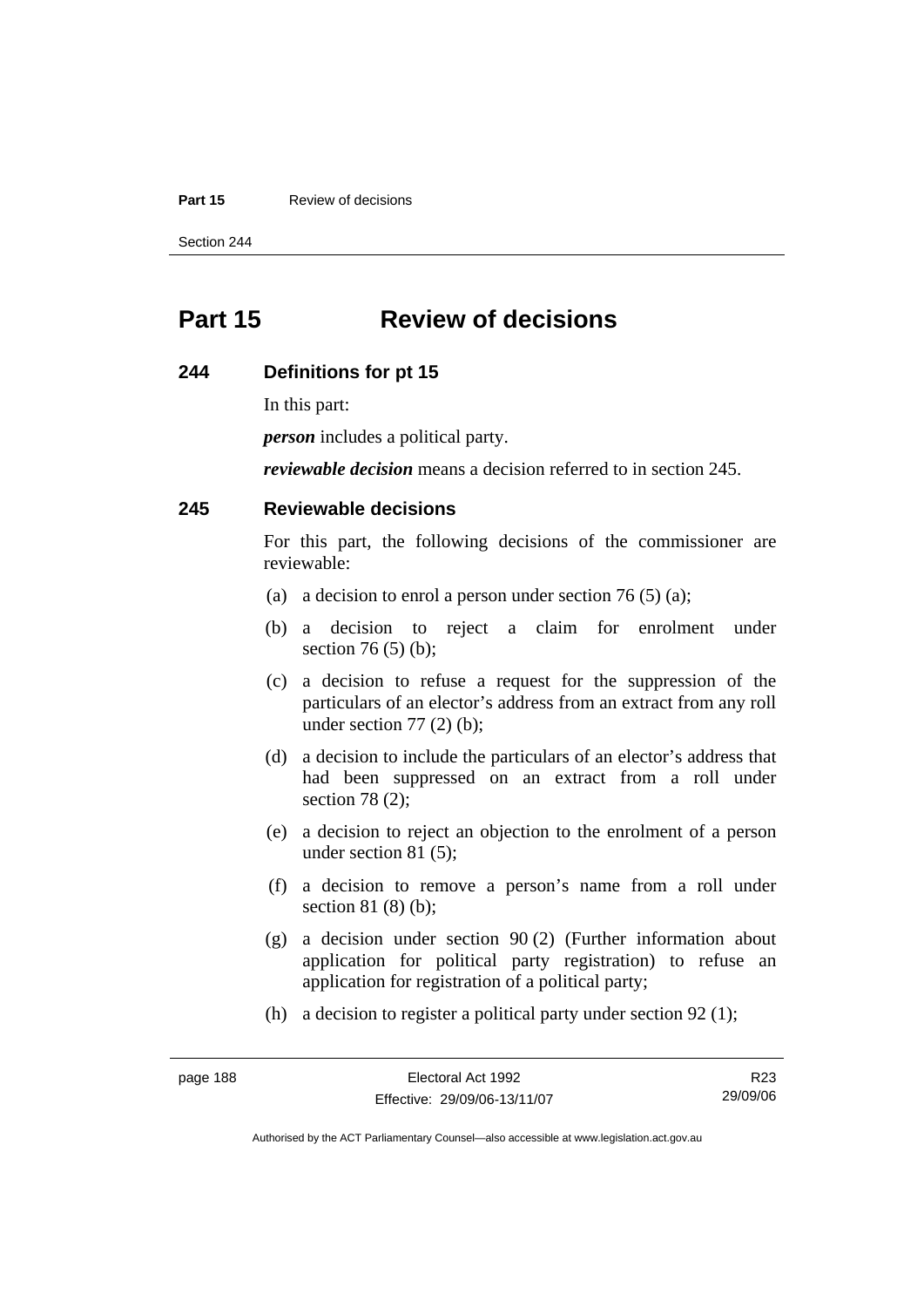#### **Part 15 Review of decisions**

Section 244

# **Part 15 Review of decisions**

#### **244 Definitions for pt 15**

In this part:

*person* includes a political party.

*reviewable decision* means a decision referred to in section 245.

### **245 Reviewable decisions**

For this part, the following decisions of the commissioner are reviewable:

- (a) a decision to enrol a person under section 76 (5) (a);
- (b) a decision to reject a claim for enrolment under section 76 (5) (b);
- (c) a decision to refuse a request for the suppression of the particulars of an elector's address from an extract from any roll under section  $77(2)$  (b);
- (d) a decision to include the particulars of an elector's address that had been suppressed on an extract from a roll under section 78 (2);
- (e) a decision to reject an objection to the enrolment of a person under section 81 (5);
- (f) a decision to remove a person's name from a roll under section 81 (8) (b);
- (g) a decision under section 90 (2) (Further information about application for political party registration) to refuse an application for registration of a political party;
- (h) a decision to register a political party under section 92 (1);

| page 188 |  |
|----------|--|
|----------|--|

R23 29/09/06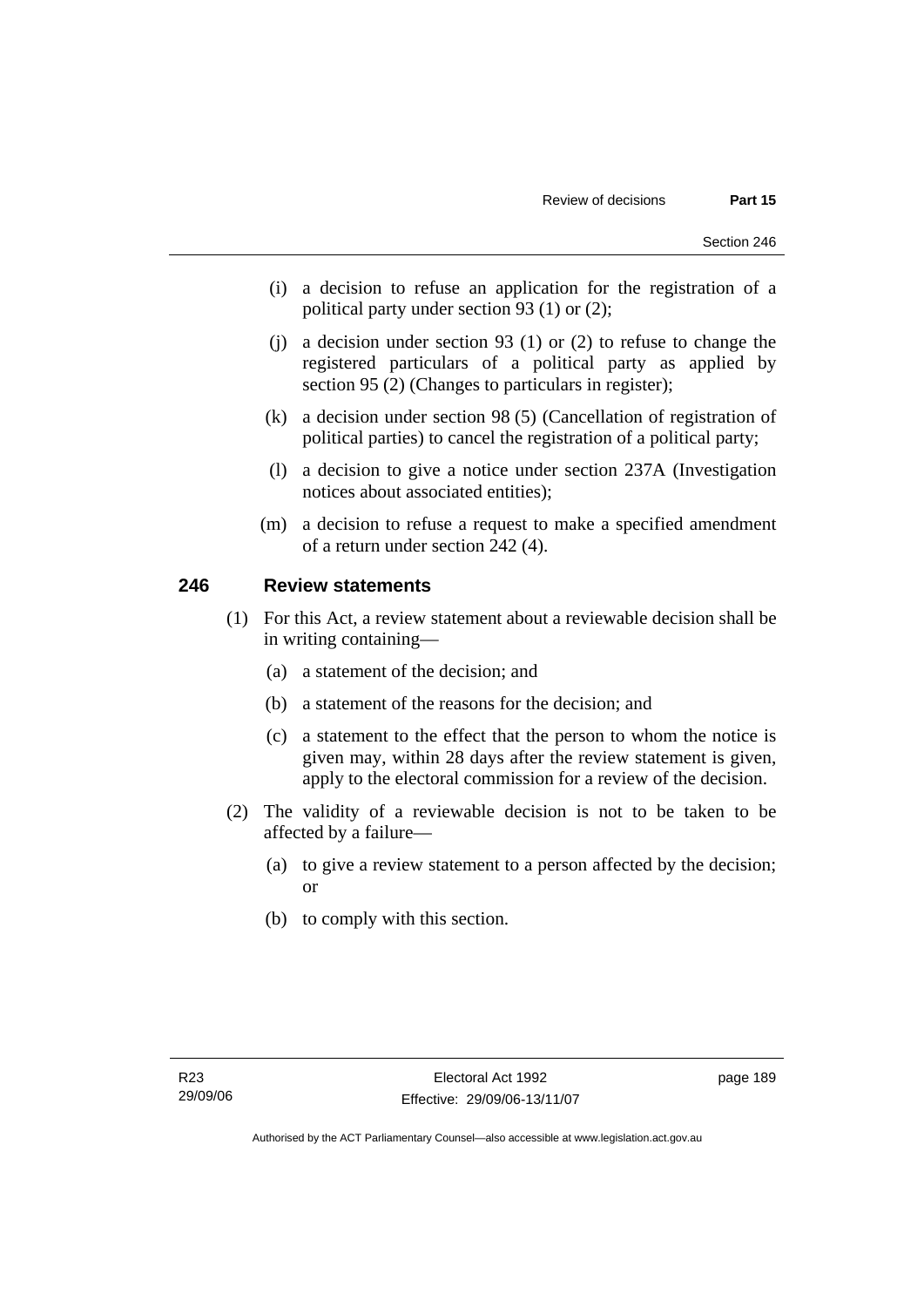- (i) a decision to refuse an application for the registration of a political party under section 93 (1) or (2);
- (j) a decision under section 93 (1) or (2) to refuse to change the registered particulars of a political party as applied by section 95 (2) (Changes to particulars in register);
- (k) a decision under section 98 (5) (Cancellation of registration of political parties) to cancel the registration of a political party;
- (l) a decision to give a notice under section 237A (Investigation notices about associated entities);
- (m) a decision to refuse a request to make a specified amendment of a return under section 242 (4).

# **246 Review statements**

- (1) For this Act, a review statement about a reviewable decision shall be in writing containing—
	- (a) a statement of the decision; and
	- (b) a statement of the reasons for the decision; and
	- (c) a statement to the effect that the person to whom the notice is given may, within 28 days after the review statement is given, apply to the electoral commission for a review of the decision.
- (2) The validity of a reviewable decision is not to be taken to be affected by a failure—
	- (a) to give a review statement to a person affected by the decision; or
	- (b) to comply with this section.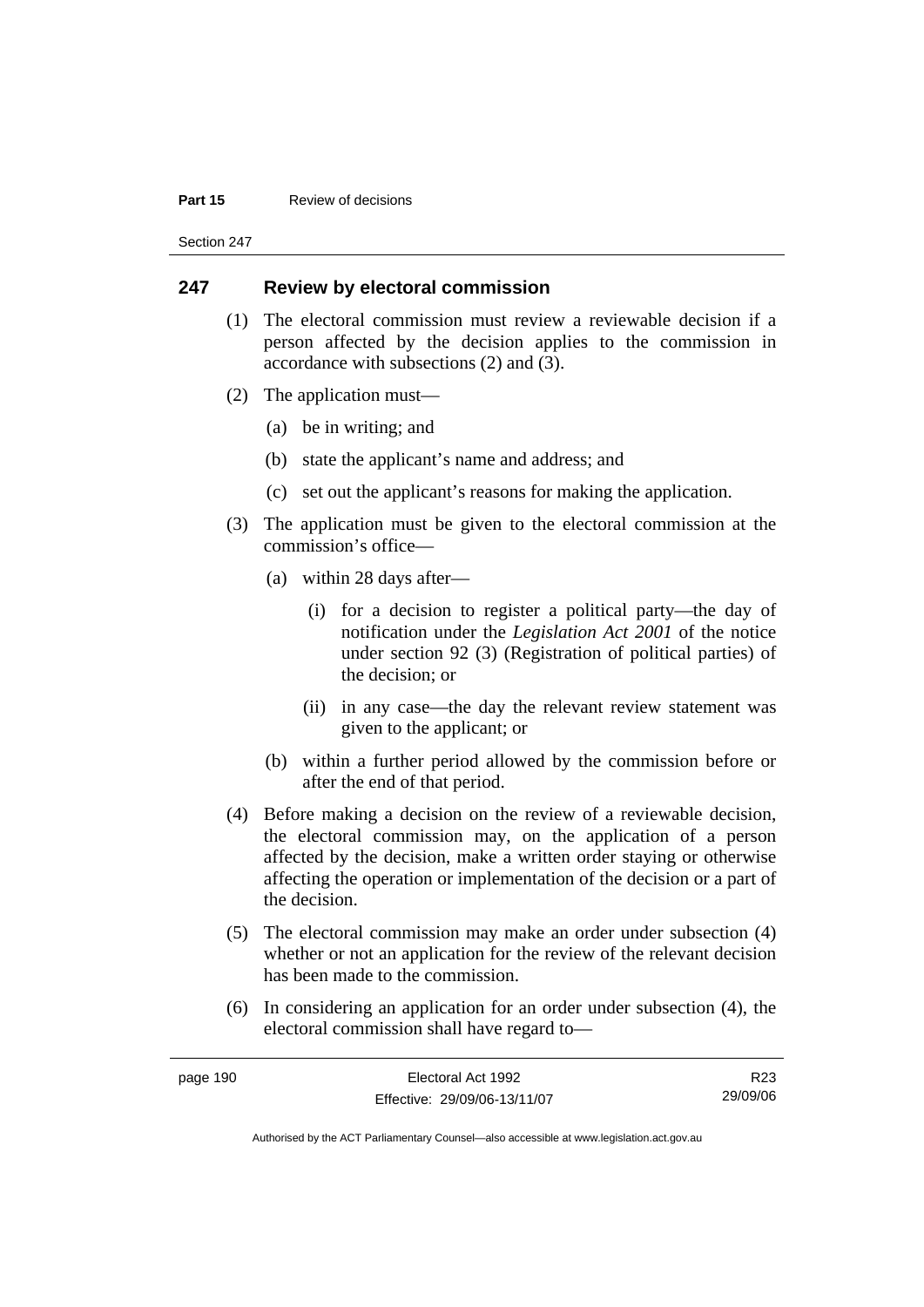#### **Part 15 Review of decisions**

Section 247

### **247 Review by electoral commission**

- (1) The electoral commission must review a reviewable decision if a person affected by the decision applies to the commission in accordance with subsections (2) and (3).
- (2) The application must—
	- (a) be in writing; and
	- (b) state the applicant's name and address; and
	- (c) set out the applicant's reasons for making the application.
- (3) The application must be given to the electoral commission at the commission's office—
	- (a) within 28 days after—
		- (i) for a decision to register a political party—the day of notification under the *Legislation Act 2001* of the notice under section 92 (3) (Registration of political parties) of the decision; or
		- (ii) in any case—the day the relevant review statement was given to the applicant; or
	- (b) within a further period allowed by the commission before or after the end of that period.
- (4) Before making a decision on the review of a reviewable decision, the electoral commission may, on the application of a person affected by the decision, make a written order staying or otherwise affecting the operation or implementation of the decision or a part of the decision.
- (5) The electoral commission may make an order under subsection (4) whether or not an application for the review of the relevant decision has been made to the commission.
- (6) In considering an application for an order under subsection (4), the electoral commission shall have regard to—

| page 190 | Electoral Act 1992           | R23      |
|----------|------------------------------|----------|
|          | Effective: 29/09/06-13/11/07 | 29/09/06 |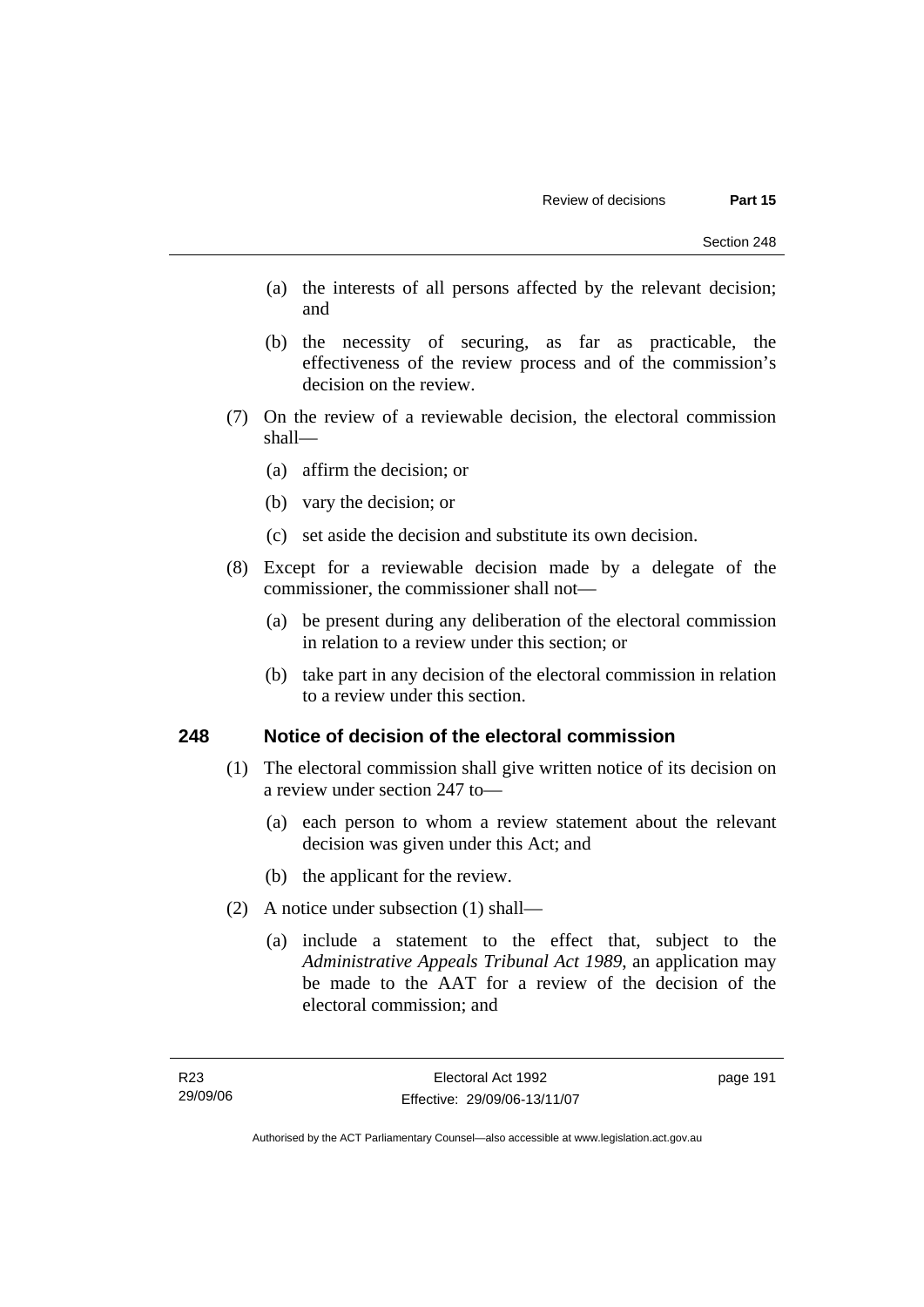- (a) the interests of all persons affected by the relevant decision; and
- (b) the necessity of securing, as far as practicable, the effectiveness of the review process and of the commission's decision on the review.
- (7) On the review of a reviewable decision, the electoral commission shall—
	- (a) affirm the decision; or
	- (b) vary the decision; or
	- (c) set aside the decision and substitute its own decision.
- (8) Except for a reviewable decision made by a delegate of the commissioner, the commissioner shall not—
	- (a) be present during any deliberation of the electoral commission in relation to a review under this section; or
	- (b) take part in any decision of the electoral commission in relation to a review under this section.

### **248 Notice of decision of the electoral commission**

- (1) The electoral commission shall give written notice of its decision on a review under section 247 to—
	- (a) each person to whom a review statement about the relevant decision was given under this Act; and
	- (b) the applicant for the review.
- (2) A notice under subsection (1) shall—
	- (a) include a statement to the effect that, subject to the *Administrative Appeals Tribunal Act 1989*, an application may be made to the AAT for a review of the decision of the electoral commission; and

page 191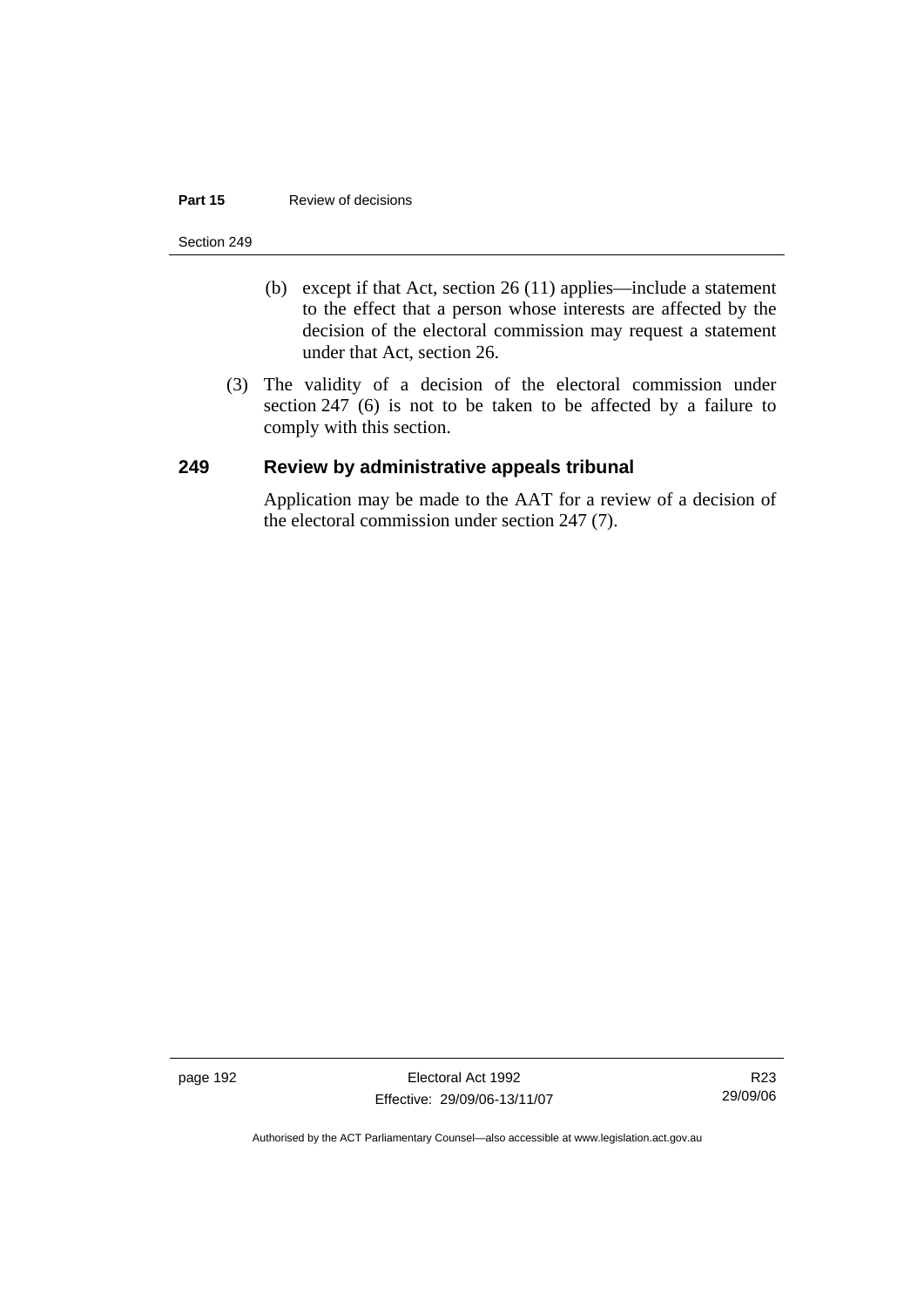#### **Part 15 Review of decisions**

#### Section 249

- (b) except if that Act, section 26 (11) applies—include a statement to the effect that a person whose interests are affected by the decision of the electoral commission may request a statement under that Act, section 26.
- (3) The validity of a decision of the electoral commission under section 247 (6) is not to be taken to be affected by a failure to comply with this section.

### **249 Review by administrative appeals tribunal**

Application may be made to the AAT for a review of a decision of the electoral commission under section 247 (7).

page 192 Electoral Act 1992 Effective: 29/09/06-13/11/07

R23 29/09/06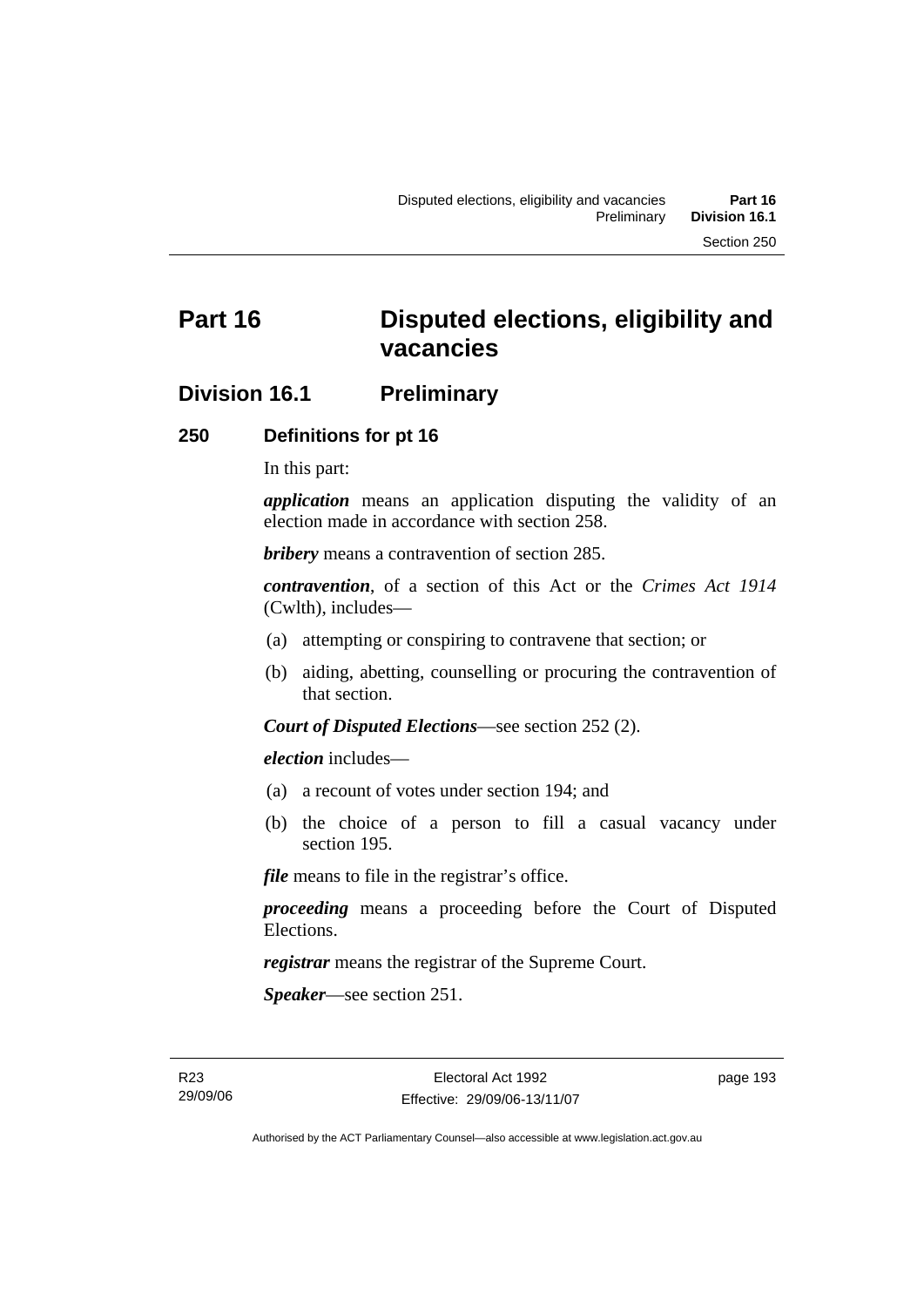# **Division 16.1 Preliminary**

### **250 Definitions for pt 16**

In this part:

*application* means an application disputing the validity of an election made in accordance with section 258.

*bribery* means a contravention of section 285.

*contravention*, of a section of this Act or the *Crimes Act 1914* (Cwlth), includes—

- (a) attempting or conspiring to contravene that section; or
- (b) aiding, abetting, counselling or procuring the contravention of that section.

*Court of Disputed Elections*—see section 252 (2).

*election* includes—

- (a) a recount of votes under section 194; and
- (b) the choice of a person to fill a casual vacancy under section 195.

*file* means to file in the registrar's office.

*proceeding* means a proceeding before the Court of Disputed Elections.

*registrar* means the registrar of the Supreme Court.

*Speaker*—see section 251.

R23 29/09/06 page 193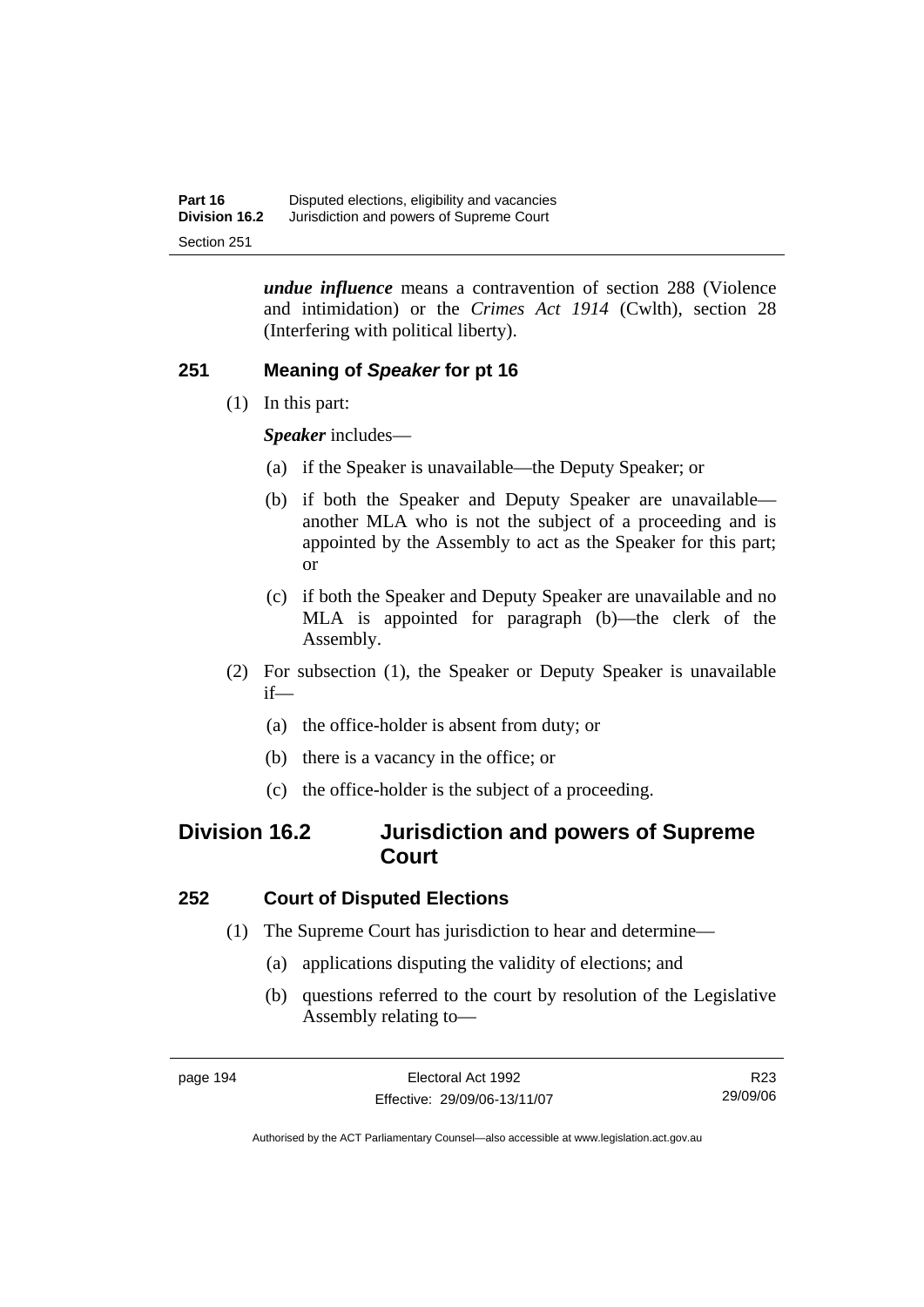*undue influence* means a contravention of section 288 (Violence and intimidation) or the *Crimes Act 1914* (Cwlth), section 28 (Interfering with political liberty).

# **251 Meaning of** *Speaker* **for pt 16**

(1) In this part:

*Speaker* includes—

- (a) if the Speaker is unavailable—the Deputy Speaker; or
- (b) if both the Speaker and Deputy Speaker are unavailable another MLA who is not the subject of a proceeding and is appointed by the Assembly to act as the Speaker for this part; or
- (c) if both the Speaker and Deputy Speaker are unavailable and no MLA is appointed for paragraph (b)—the clerk of the Assembly.
- (2) For subsection (1), the Speaker or Deputy Speaker is unavailable if—
	- (a) the office-holder is absent from duty; or
	- (b) there is a vacancy in the office; or
	- (c) the office-holder is the subject of a proceeding.

# **Division 16.2 Jurisdiction and powers of Supreme Court**

# **252 Court of Disputed Elections**

- (1) The Supreme Court has jurisdiction to hear and determine—
	- (a) applications disputing the validity of elections; and
	- (b) questions referred to the court by resolution of the Legislative Assembly relating to—

R23 29/09/06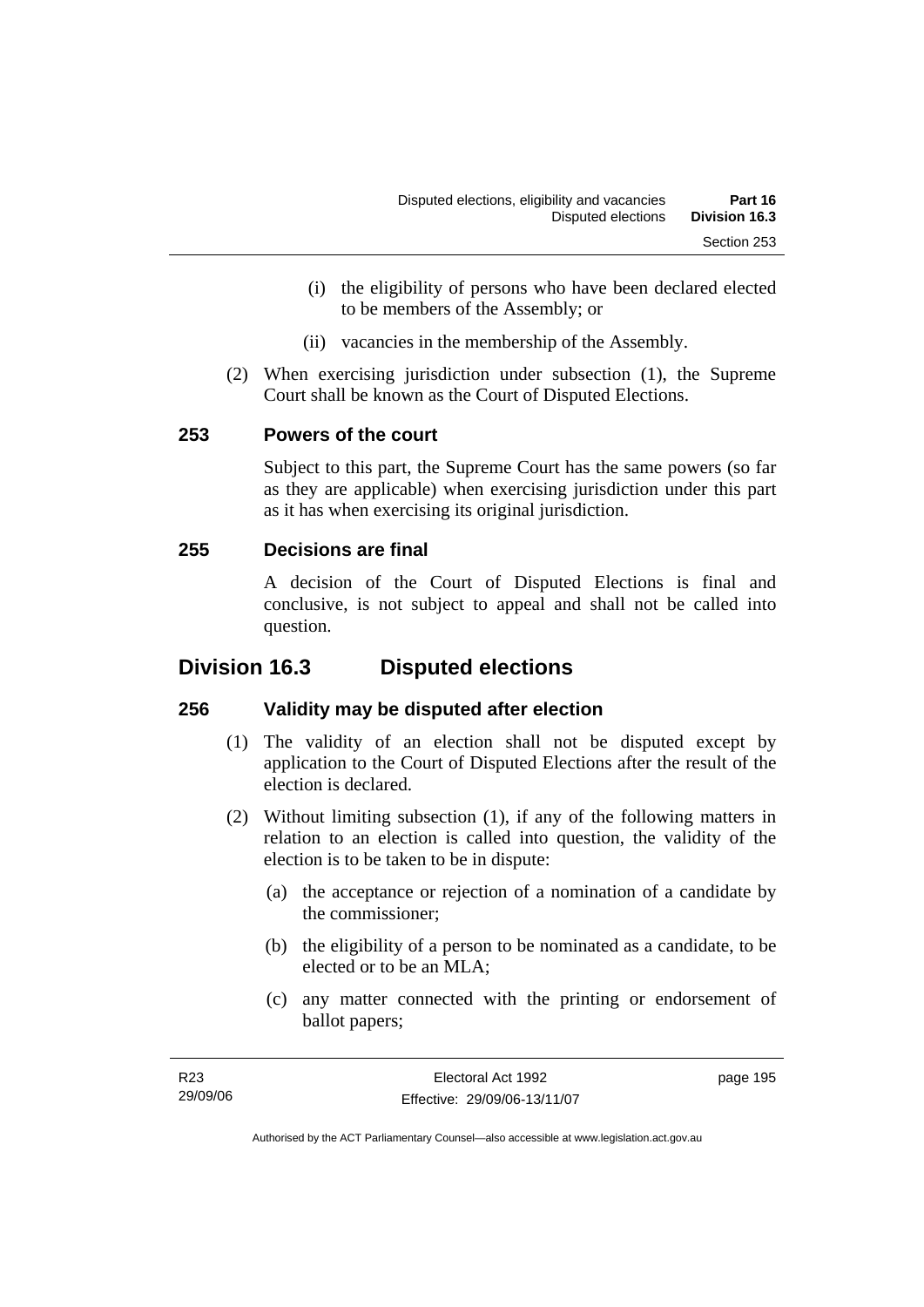- (i) the eligibility of persons who have been declared elected to be members of the Assembly; or
- (ii) vacancies in the membership of the Assembly.
- (2) When exercising jurisdiction under subsection (1), the Supreme Court shall be known as the Court of Disputed Elections.

# **253 Powers of the court**

Subject to this part, the Supreme Court has the same powers (so far as they are applicable) when exercising jurisdiction under this part as it has when exercising its original jurisdiction.

# **255 Decisions are final**

A decision of the Court of Disputed Elections is final and conclusive, is not subject to appeal and shall not be called into question.

# **Division 16.3 Disputed elections**

# **256 Validity may be disputed after election**

- (1) The validity of an election shall not be disputed except by application to the Court of Disputed Elections after the result of the election is declared.
- (2) Without limiting subsection (1), if any of the following matters in relation to an election is called into question, the validity of the election is to be taken to be in dispute:
	- (a) the acceptance or rejection of a nomination of a candidate by the commissioner;
	- (b) the eligibility of a person to be nominated as a candidate, to be elected or to be an MLA;
	- (c) any matter connected with the printing or endorsement of ballot papers;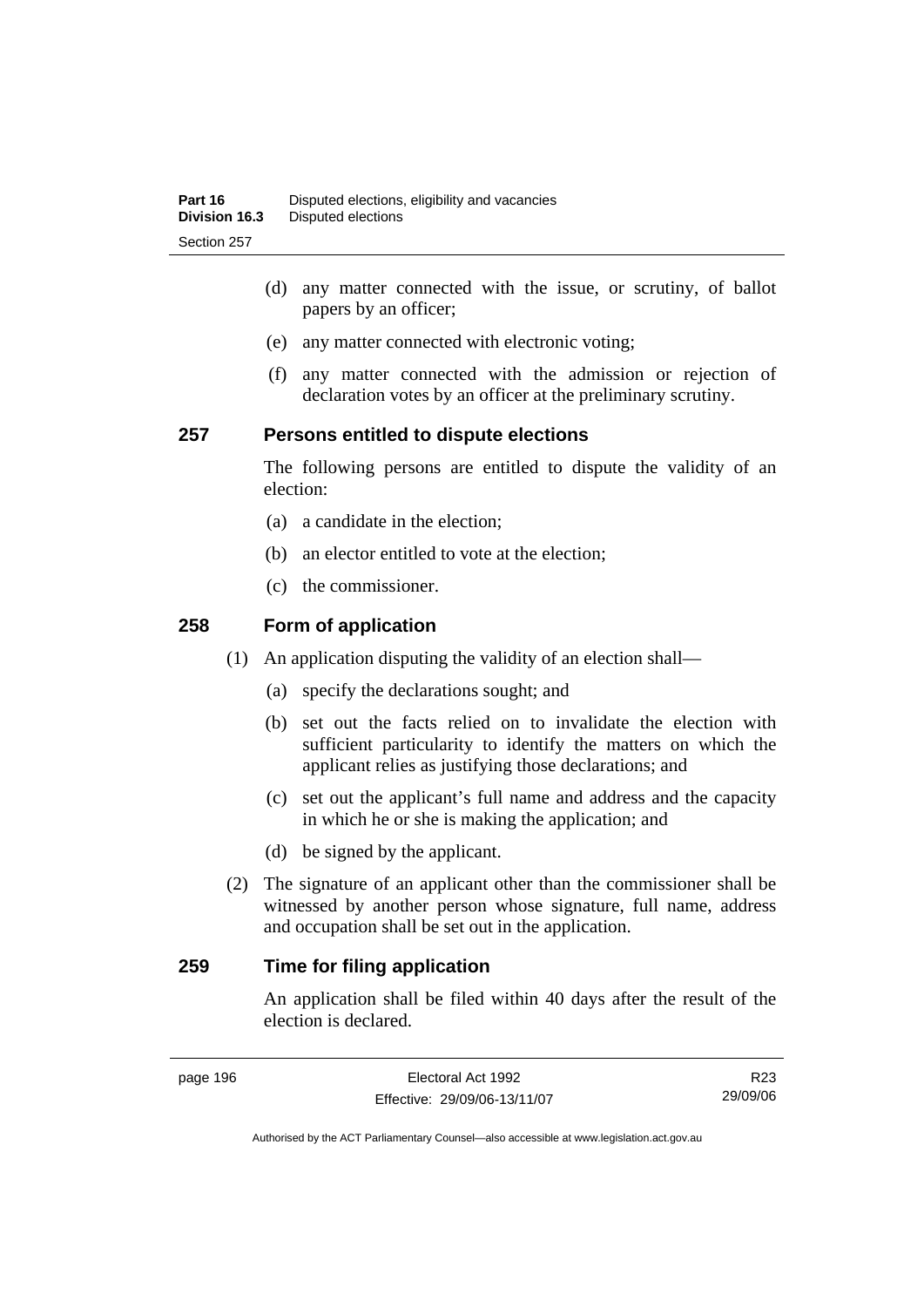- (d) any matter connected with the issue, or scrutiny, of ballot papers by an officer;
- (e) any matter connected with electronic voting;
- (f) any matter connected with the admission or rejection of declaration votes by an officer at the preliminary scrutiny.

### **257 Persons entitled to dispute elections**

The following persons are entitled to dispute the validity of an election:

- (a) a candidate in the election;
- (b) an elector entitled to vote at the election;
- (c) the commissioner.

### **258 Form of application**

- (1) An application disputing the validity of an election shall—
	- (a) specify the declarations sought; and
	- (b) set out the facts relied on to invalidate the election with sufficient particularity to identify the matters on which the applicant relies as justifying those declarations; and
	- (c) set out the applicant's full name and address and the capacity in which he or she is making the application; and
	- (d) be signed by the applicant.
- (2) The signature of an applicant other than the commissioner shall be witnessed by another person whose signature, full name, address and occupation shall be set out in the application.

# **259 Time for filing application**

An application shall be filed within 40 days after the result of the election is declared.

R23 29/09/06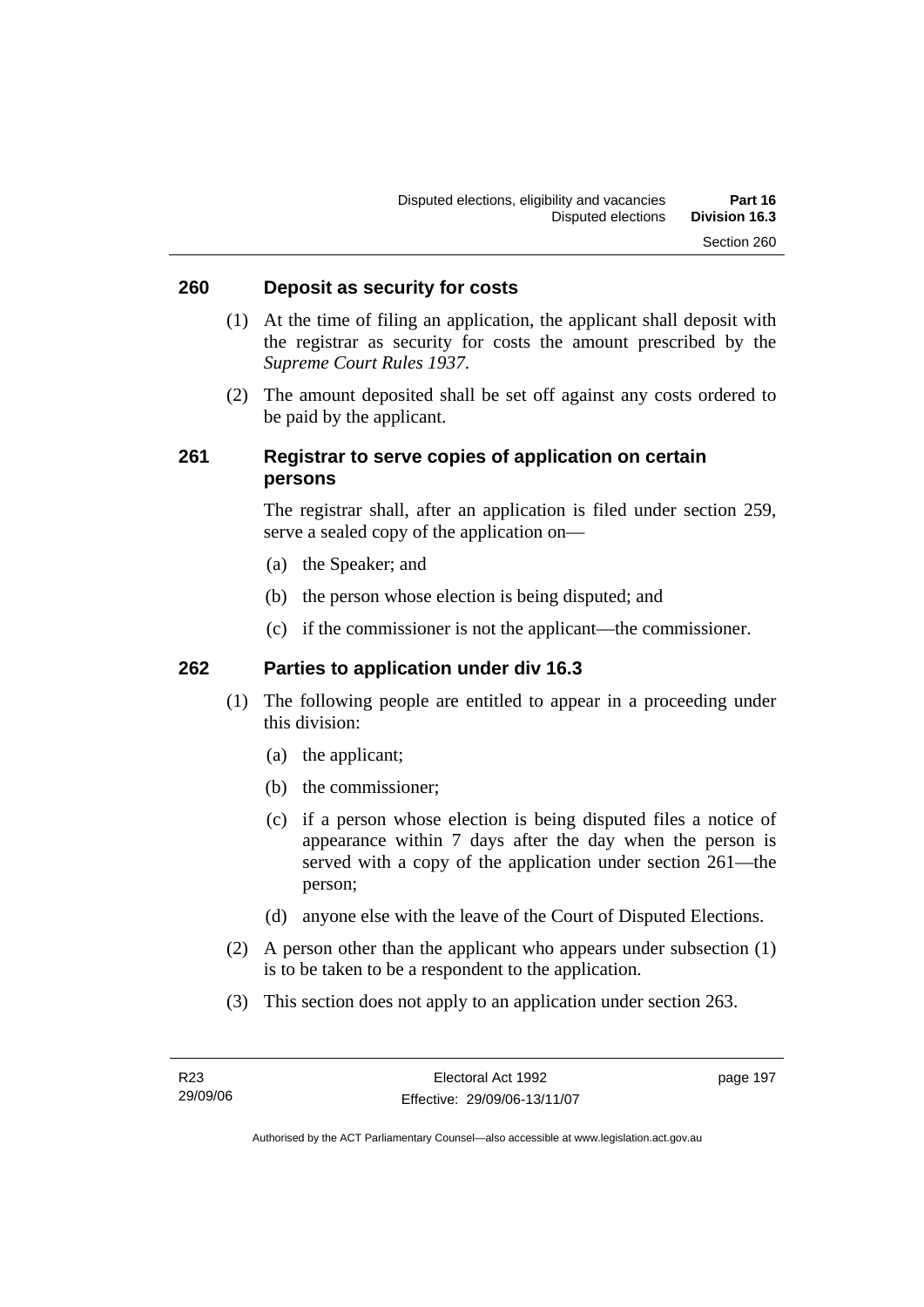### **260 Deposit as security for costs**

- (1) At the time of filing an application, the applicant shall deposit with the registrar as security for costs the amount prescribed by the *Supreme Court Rules 1937*.
- (2) The amount deposited shall be set off against any costs ordered to be paid by the applicant.

### **261 Registrar to serve copies of application on certain persons**

The registrar shall, after an application is filed under section 259, serve a sealed copy of the application on—

- (a) the Speaker; and
- (b) the person whose election is being disputed; and
- (c) if the commissioner is not the applicant—the commissioner.

### **262 Parties to application under div 16.3**

- (1) The following people are entitled to appear in a proceeding under this division:
	- (a) the applicant;
	- (b) the commissioner;
	- (c) if a person whose election is being disputed files a notice of appearance within 7 days after the day when the person is served with a copy of the application under section 261—the person;
	- (d) anyone else with the leave of the Court of Disputed Elections.
- (2) A person other than the applicant who appears under subsection (1) is to be taken to be a respondent to the application.
- (3) This section does not apply to an application under section 263.

page 197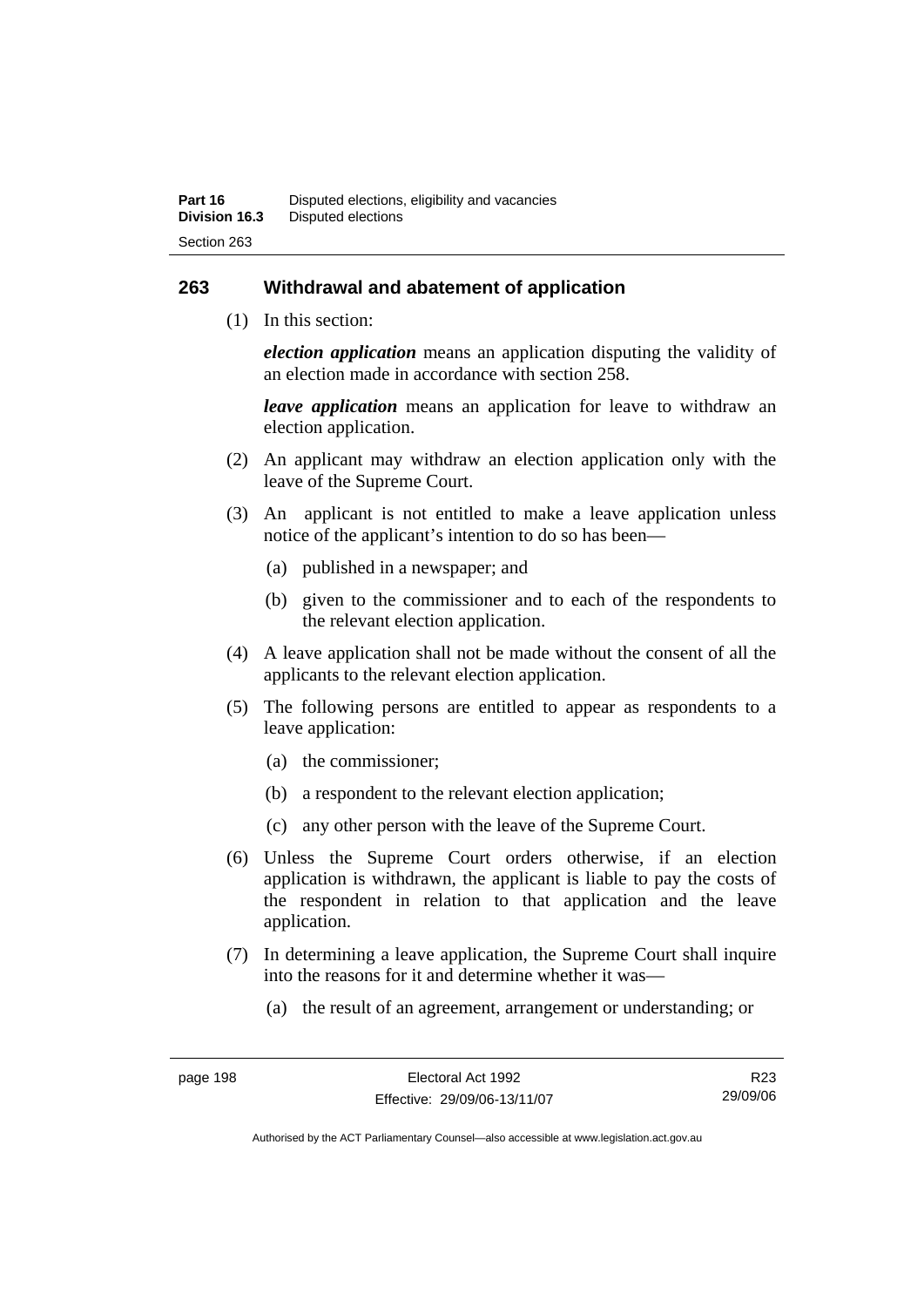### **263 Withdrawal and abatement of application**

(1) In this section:

*election application* means an application disputing the validity of an election made in accordance with section 258.

*leave application* means an application for leave to withdraw an election application.

- (2) An applicant may withdraw an election application only with the leave of the Supreme Court.
- (3) An applicant is not entitled to make a leave application unless notice of the applicant's intention to do so has been—
	- (a) published in a newspaper; and
	- (b) given to the commissioner and to each of the respondents to the relevant election application.
- (4) A leave application shall not be made without the consent of all the applicants to the relevant election application.
- (5) The following persons are entitled to appear as respondents to a leave application:
	- (a) the commissioner;
	- (b) a respondent to the relevant election application;
	- (c) any other person with the leave of the Supreme Court.
- (6) Unless the Supreme Court orders otherwise, if an election application is withdrawn, the applicant is liable to pay the costs of the respondent in relation to that application and the leave application.
- (7) In determining a leave application, the Supreme Court shall inquire into the reasons for it and determine whether it was—
	- (a) the result of an agreement, arrangement or understanding; or

R23 29/09/06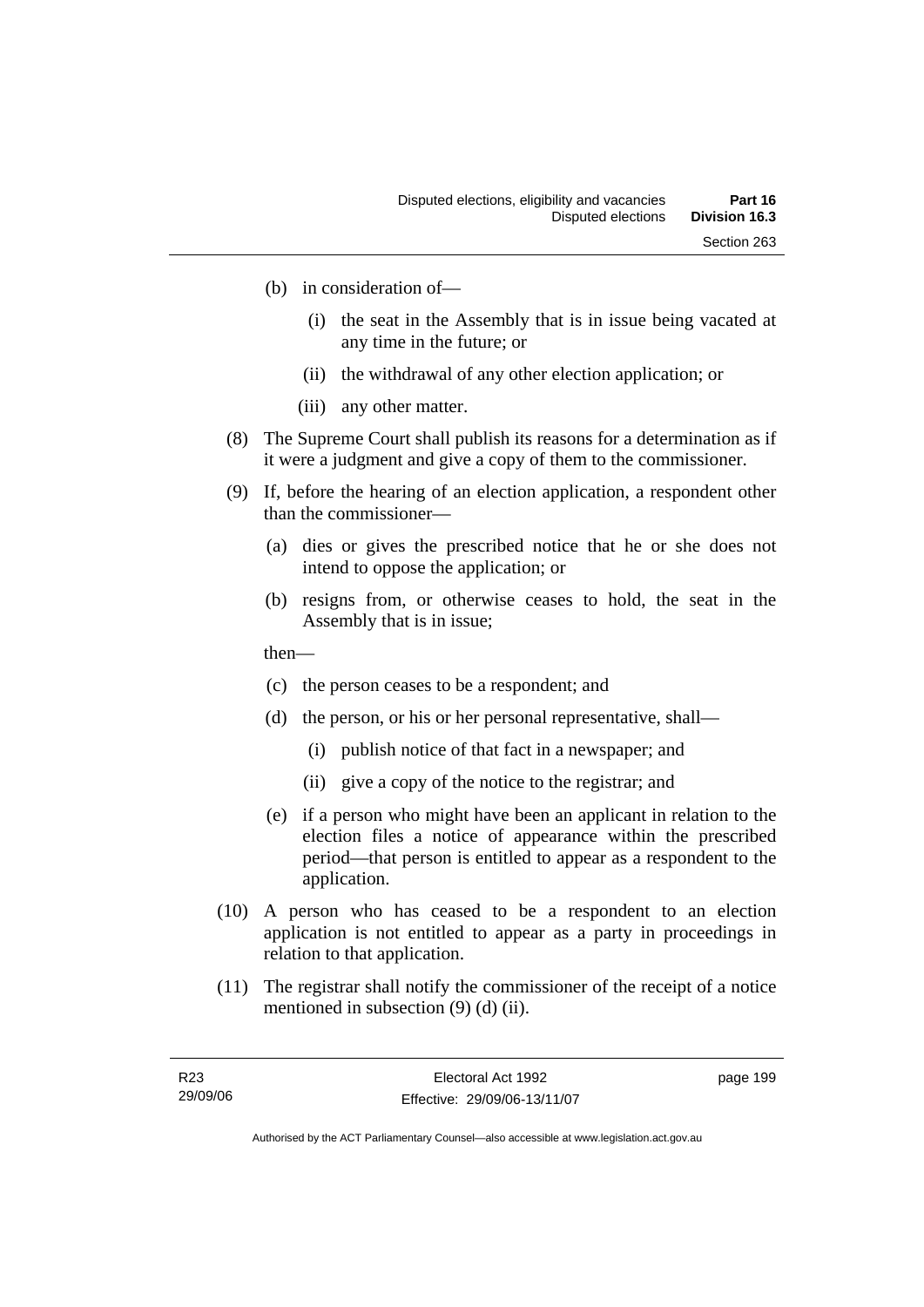- (b) in consideration of—
	- (i) the seat in the Assembly that is in issue being vacated at any time in the future; or
	- (ii) the withdrawal of any other election application; or
	- (iii) any other matter.
- (8) The Supreme Court shall publish its reasons for a determination as if it were a judgment and give a copy of them to the commissioner.
- (9) If, before the hearing of an election application, a respondent other than the commissioner—
	- (a) dies or gives the prescribed notice that he or she does not intend to oppose the application; or
	- (b) resigns from, or otherwise ceases to hold, the seat in the Assembly that is in issue;
	- then—
	- (c) the person ceases to be a respondent; and
	- (d) the person, or his or her personal representative, shall—
		- (i) publish notice of that fact in a newspaper; and
		- (ii) give a copy of the notice to the registrar; and
	- (e) if a person who might have been an applicant in relation to the election files a notice of appearance within the prescribed period—that person is entitled to appear as a respondent to the application.
- (10) A person who has ceased to be a respondent to an election application is not entitled to appear as a party in proceedings in relation to that application.
- (11) The registrar shall notify the commissioner of the receipt of a notice mentioned in subsection (9) (d) (ii).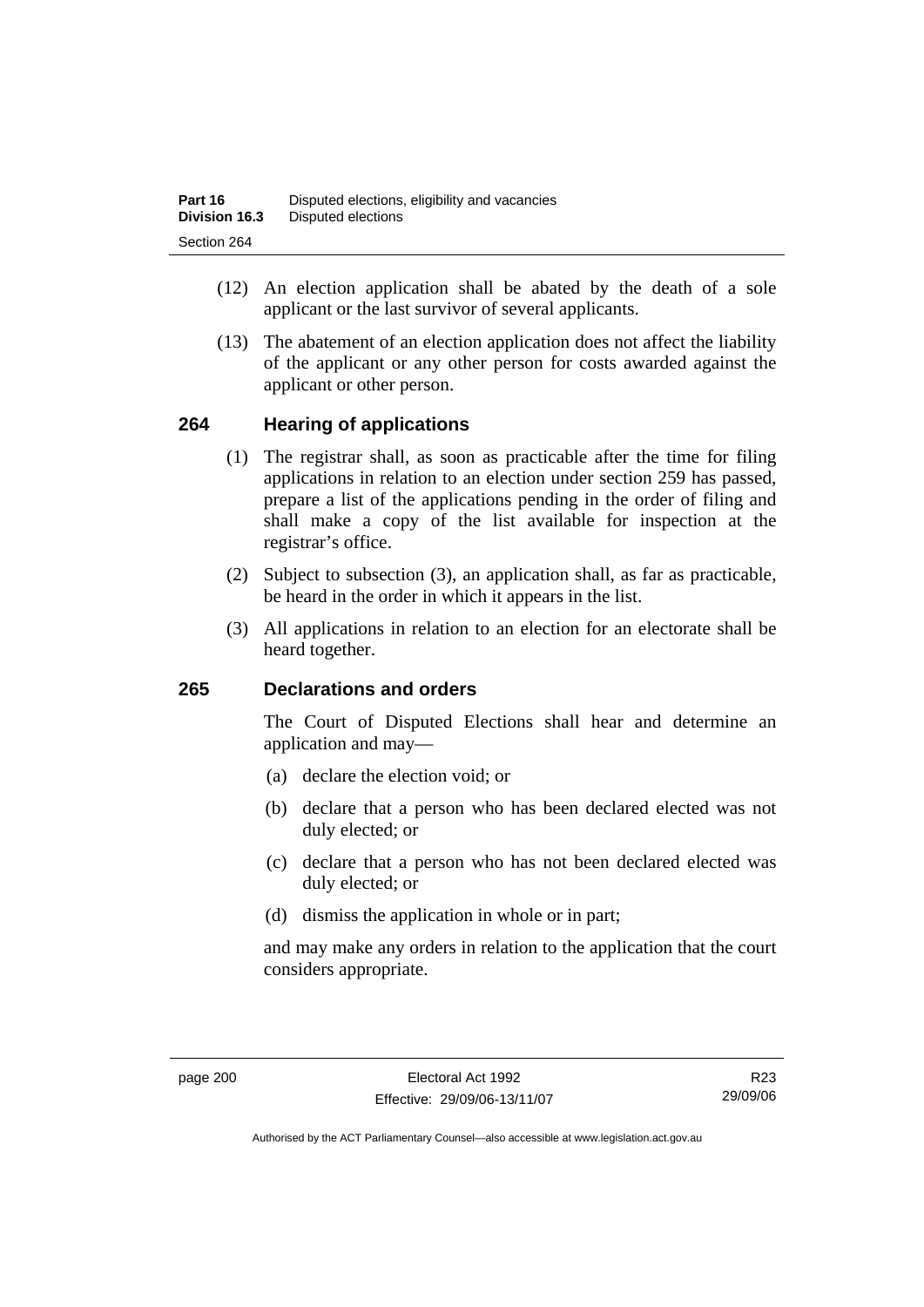- (12) An election application shall be abated by the death of a sole applicant or the last survivor of several applicants.
- (13) The abatement of an election application does not affect the liability of the applicant or any other person for costs awarded against the applicant or other person.

#### **264 Hearing of applications**

- (1) The registrar shall, as soon as practicable after the time for filing applications in relation to an election under section 259 has passed, prepare a list of the applications pending in the order of filing and shall make a copy of the list available for inspection at the registrar's office.
- (2) Subject to subsection (3), an application shall, as far as practicable, be heard in the order in which it appears in the list.
- (3) All applications in relation to an election for an electorate shall be heard together.

#### **265 Declarations and orders**

The Court of Disputed Elections shall hear and determine an application and may—

- (a) declare the election void; or
- (b) declare that a person who has been declared elected was not duly elected; or
- (c) declare that a person who has not been declared elected was duly elected; or
- (d) dismiss the application in whole or in part;

and may make any orders in relation to the application that the court considers appropriate.

R23 29/09/06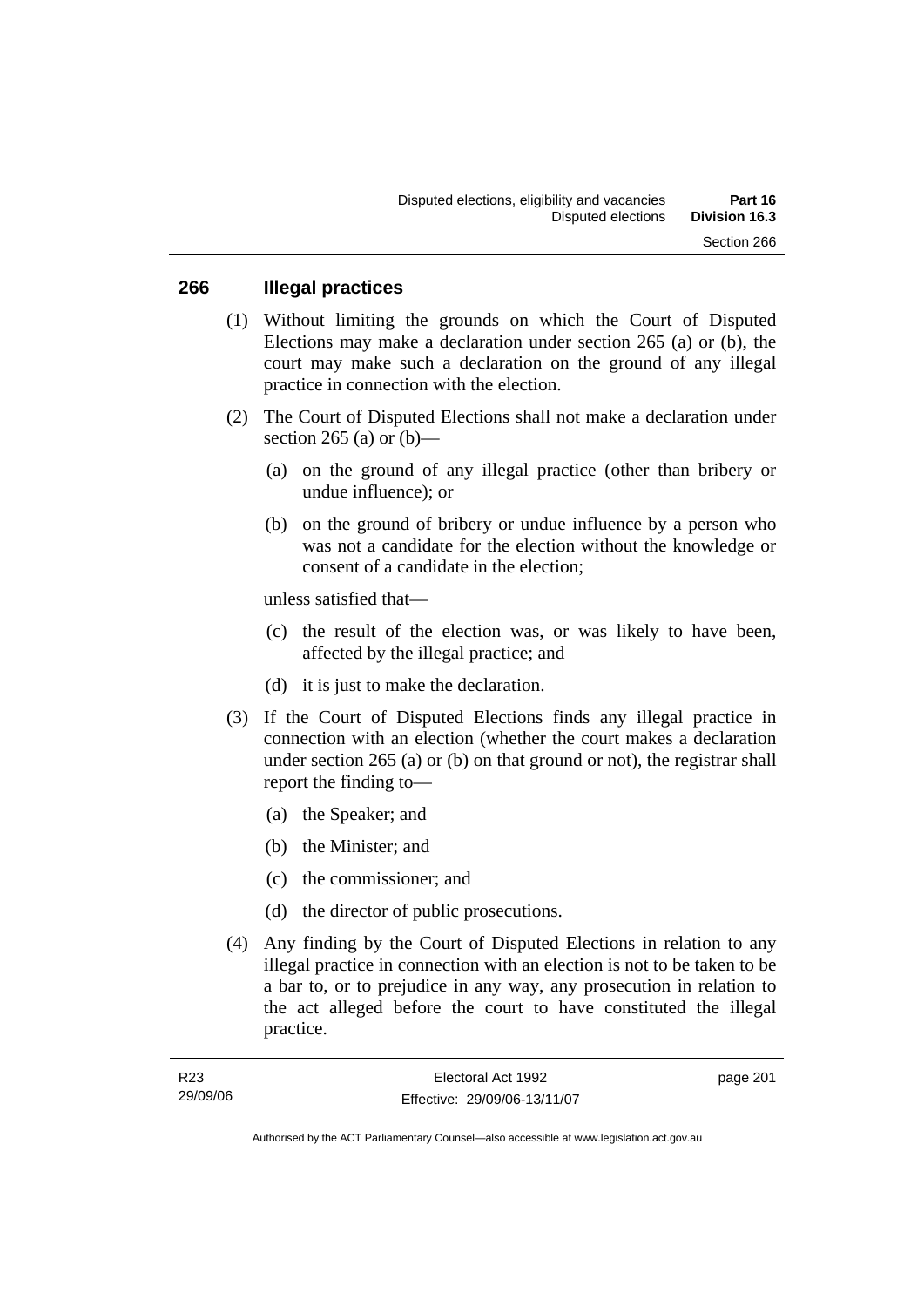#### **266 Illegal practices**

- (1) Without limiting the grounds on which the Court of Disputed Elections may make a declaration under section 265 (a) or (b), the court may make such a declaration on the ground of any illegal practice in connection with the election.
- (2) The Court of Disputed Elections shall not make a declaration under section 265 (a) or  $(b)$ —
	- (a) on the ground of any illegal practice (other than bribery or undue influence); or
	- (b) on the ground of bribery or undue influence by a person who was not a candidate for the election without the knowledge or consent of a candidate in the election;

unless satisfied that—

- (c) the result of the election was, or was likely to have been, affected by the illegal practice; and
- (d) it is just to make the declaration.
- (3) If the Court of Disputed Elections finds any illegal practice in connection with an election (whether the court makes a declaration under section 265 (a) or (b) on that ground or not), the registrar shall report the finding to—
	- (a) the Speaker; and
	- (b) the Minister; and
	- (c) the commissioner; and
	- (d) the director of public prosecutions.
- (4) Any finding by the Court of Disputed Elections in relation to any illegal practice in connection with an election is not to be taken to be a bar to, or to prejudice in any way, any prosecution in relation to the act alleged before the court to have constituted the illegal practice.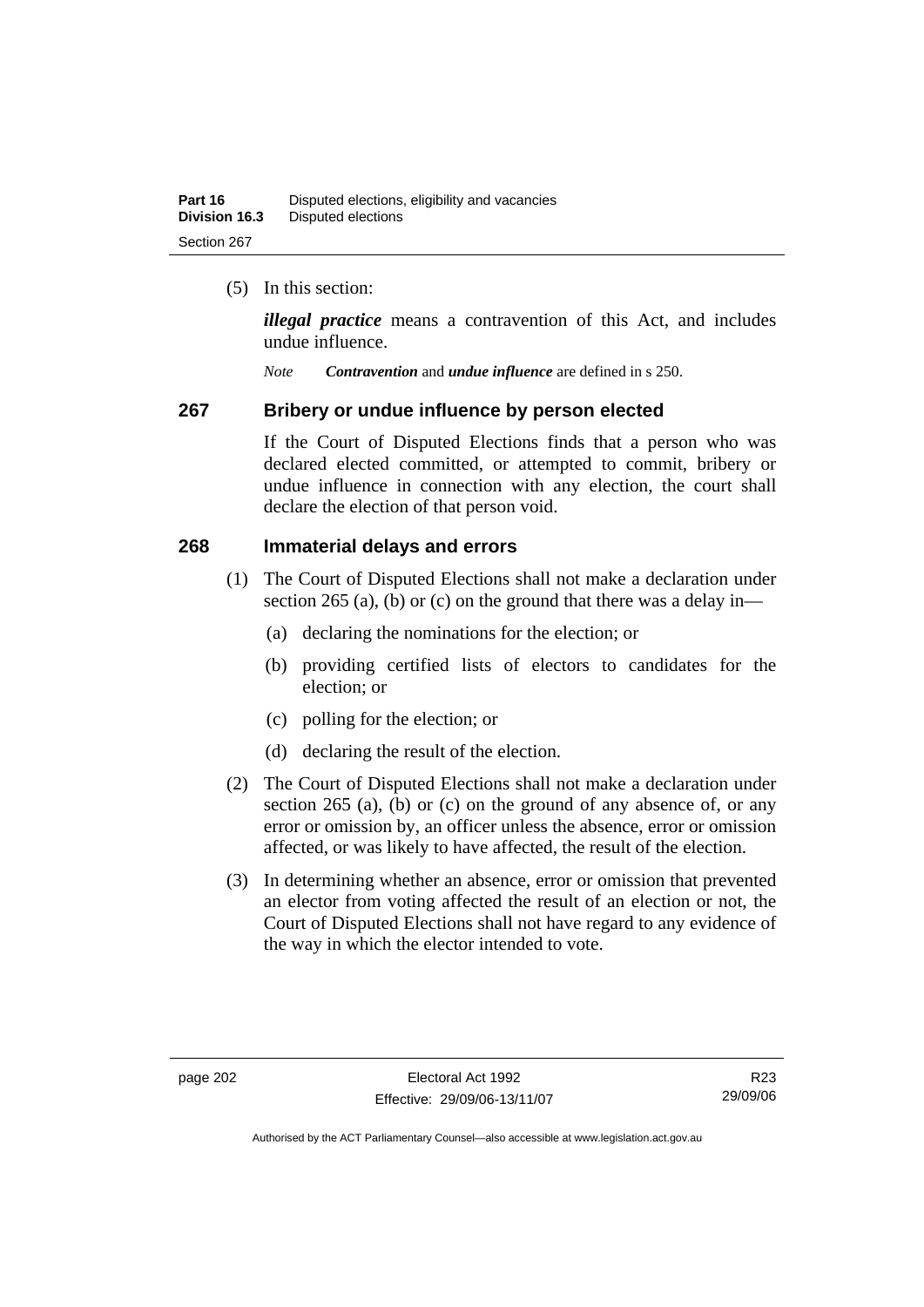(5) In this section:

*illegal practice* means a contravention of this Act, and includes undue influence.

*Note Contravention* and *undue influence* are defined in s 250.

#### **267 Bribery or undue influence by person elected**

If the Court of Disputed Elections finds that a person who was declared elected committed, or attempted to commit, bribery or undue influence in connection with any election, the court shall declare the election of that person void.

#### **268 Immaterial delays and errors**

- (1) The Court of Disputed Elections shall not make a declaration under section 265 (a), (b) or (c) on the ground that there was a delay in—
	- (a) declaring the nominations for the election; or
	- (b) providing certified lists of electors to candidates for the election; or
	- (c) polling for the election; or
	- (d) declaring the result of the election.
- (2) The Court of Disputed Elections shall not make a declaration under section 265 (a), (b) or (c) on the ground of any absence of, or any error or omission by, an officer unless the absence, error or omission affected, or was likely to have affected, the result of the election.
- (3) In determining whether an absence, error or omission that prevented an elector from voting affected the result of an election or not, the Court of Disputed Elections shall not have regard to any evidence of the way in which the elector intended to vote.

R23 29/09/06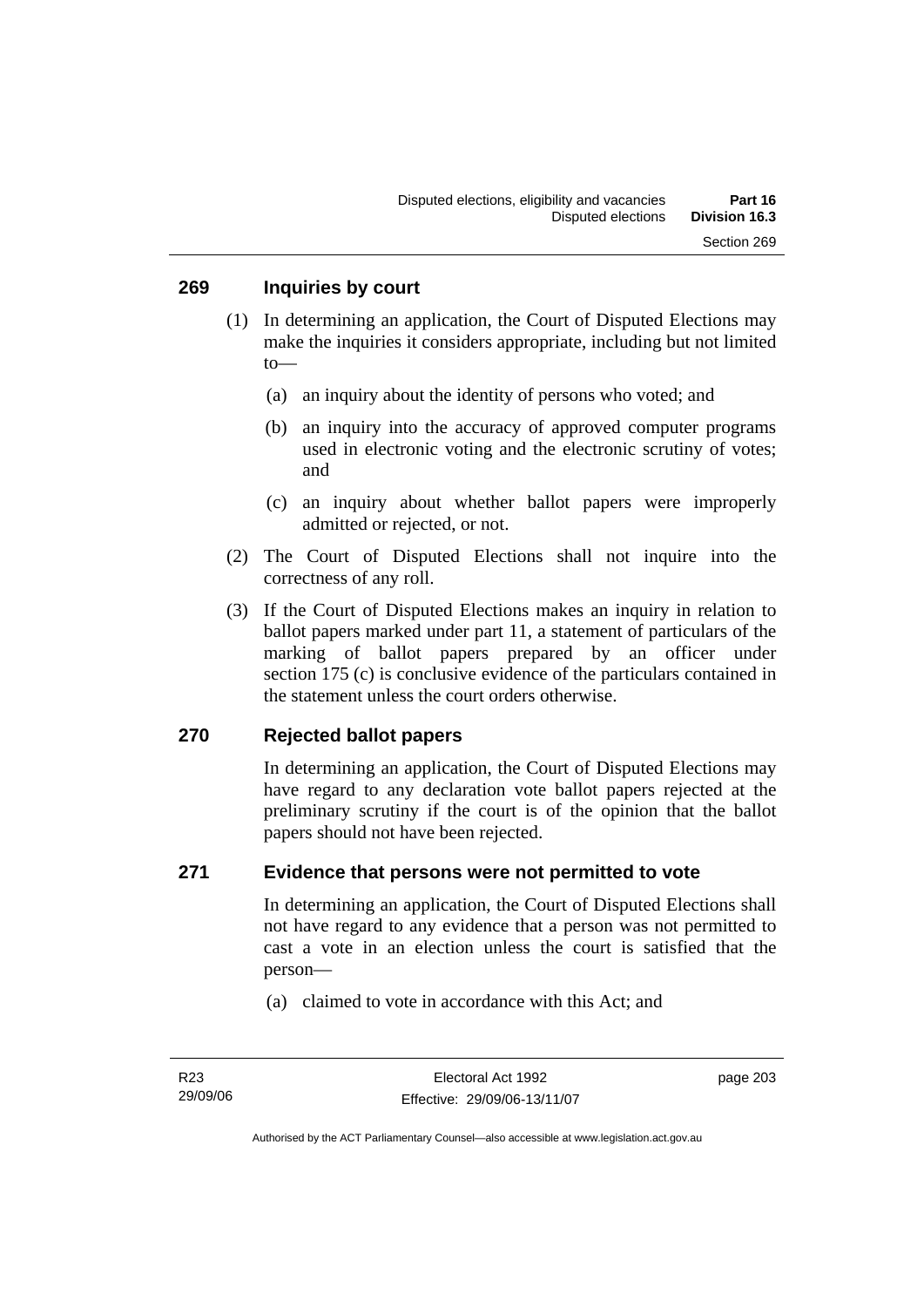- (1) In determining an application, the Court of Disputed Elections may make the inquiries it considers appropriate, including but not limited to—
	- (a) an inquiry about the identity of persons who voted; and
	- (b) an inquiry into the accuracy of approved computer programs used in electronic voting and the electronic scrutiny of votes; and
	- (c) an inquiry about whether ballot papers were improperly admitted or rejected, or not.
- (2) The Court of Disputed Elections shall not inquire into the correctness of any roll.
- (3) If the Court of Disputed Elections makes an inquiry in relation to ballot papers marked under part 11, a statement of particulars of the marking of ballot papers prepared by an officer under section 175 (c) is conclusive evidence of the particulars contained in the statement unless the court orders otherwise.

#### **270 Rejected ballot papers**

In determining an application, the Court of Disputed Elections may have regard to any declaration vote ballot papers rejected at the preliminary scrutiny if the court is of the opinion that the ballot papers should not have been rejected.

#### **271 Evidence that persons were not permitted to vote**

In determining an application, the Court of Disputed Elections shall not have regard to any evidence that a person was not permitted to cast a vote in an election unless the court is satisfied that the person—

(a) claimed to vote in accordance with this Act; and

Authorised by the ACT Parliamentary Counsel—also accessible at www.legislation.act.gov.au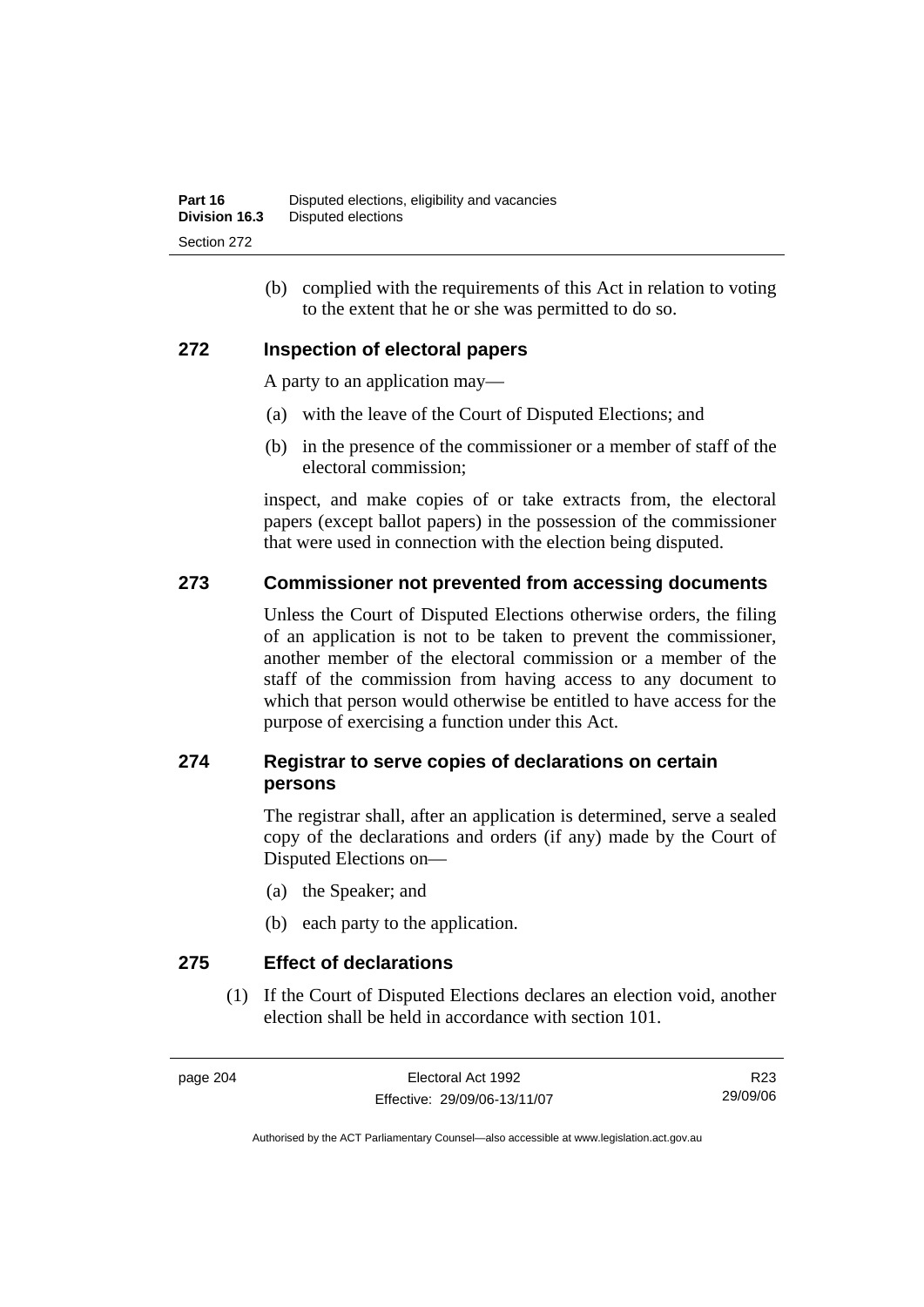(b) complied with the requirements of this Act in relation to voting to the extent that he or she was permitted to do so.

#### **272 Inspection of electoral papers**

A party to an application may—

- (a) with the leave of the Court of Disputed Elections; and
- (b) in the presence of the commissioner or a member of staff of the electoral commission;

inspect, and make copies of or take extracts from, the electoral papers (except ballot papers) in the possession of the commissioner that were used in connection with the election being disputed.

#### **273 Commissioner not prevented from accessing documents**

Unless the Court of Disputed Elections otherwise orders, the filing of an application is not to be taken to prevent the commissioner, another member of the electoral commission or a member of the staff of the commission from having access to any document to which that person would otherwise be entitled to have access for the purpose of exercising a function under this Act.

### **274 Registrar to serve copies of declarations on certain persons**

The registrar shall, after an application is determined, serve a sealed copy of the declarations and orders (if any) made by the Court of Disputed Elections on—

- (a) the Speaker; and
- (b) each party to the application.

**275 Effect of declarations** 

 (1) If the Court of Disputed Elections declares an election void, another election shall be held in accordance with section 101.

page 204 Electoral Act 1992 Effective: 29/09/06-13/11/07

R23 29/09/06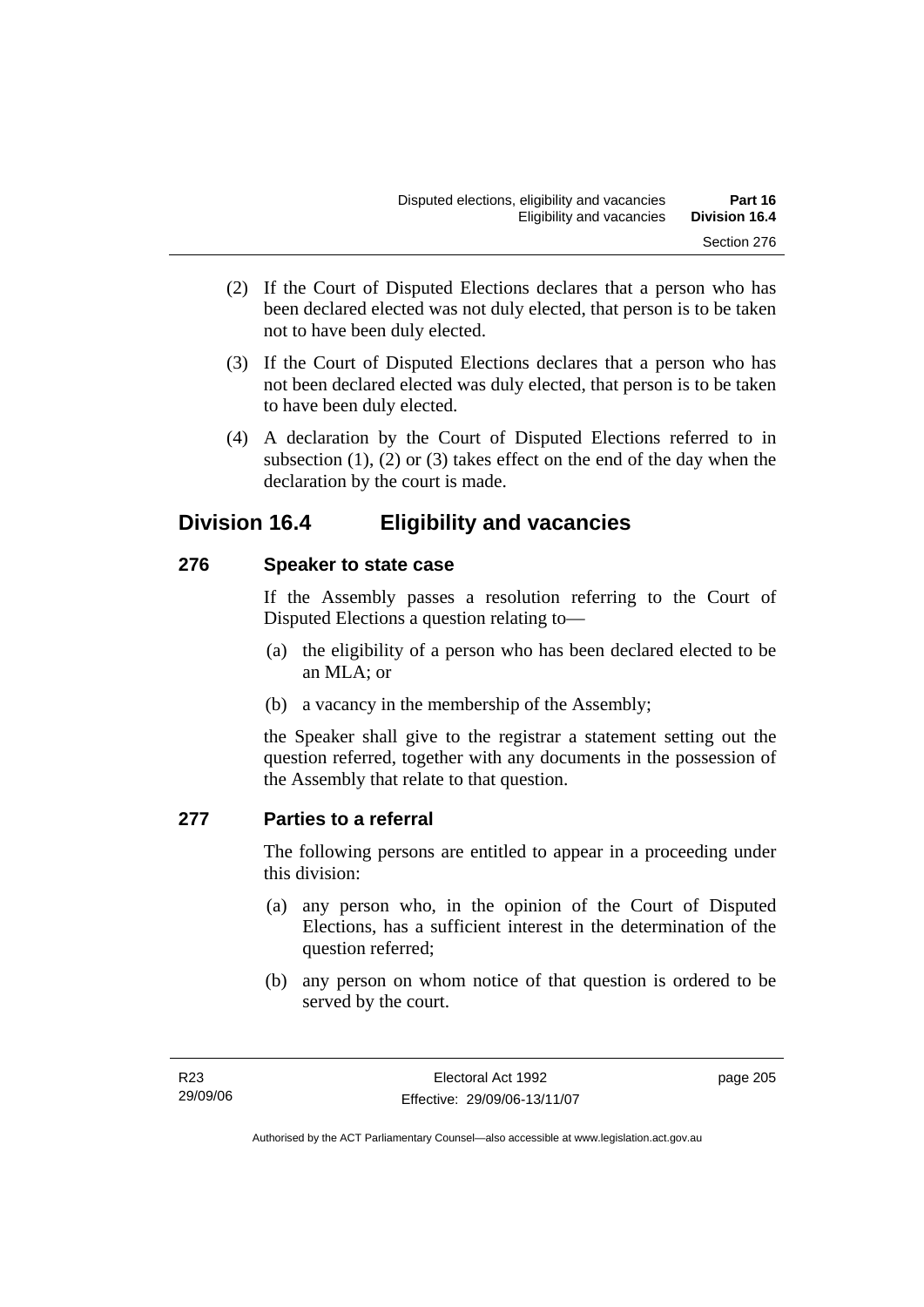- (2) If the Court of Disputed Elections declares that a person who has been declared elected was not duly elected, that person is to be taken not to have been duly elected.
- (3) If the Court of Disputed Elections declares that a person who has not been declared elected was duly elected, that person is to be taken to have been duly elected.
- (4) A declaration by the Court of Disputed Elections referred to in subsection  $(1)$ ,  $(2)$  or  $(3)$  takes effect on the end of the day when the declaration by the court is made.

# **Division 16.4 Eligibility and vacancies**

### **276 Speaker to state case**

If the Assembly passes a resolution referring to the Court of Disputed Elections a question relating to—

- (a) the eligibility of a person who has been declared elected to be an MLA; or
- (b) a vacancy in the membership of the Assembly;

the Speaker shall give to the registrar a statement setting out the question referred, together with any documents in the possession of the Assembly that relate to that question.

### **277 Parties to a referral**

The following persons are entitled to appear in a proceeding under this division:

- (a) any person who, in the opinion of the Court of Disputed Elections, has a sufficient interest in the determination of the question referred;
- (b) any person on whom notice of that question is ordered to be served by the court.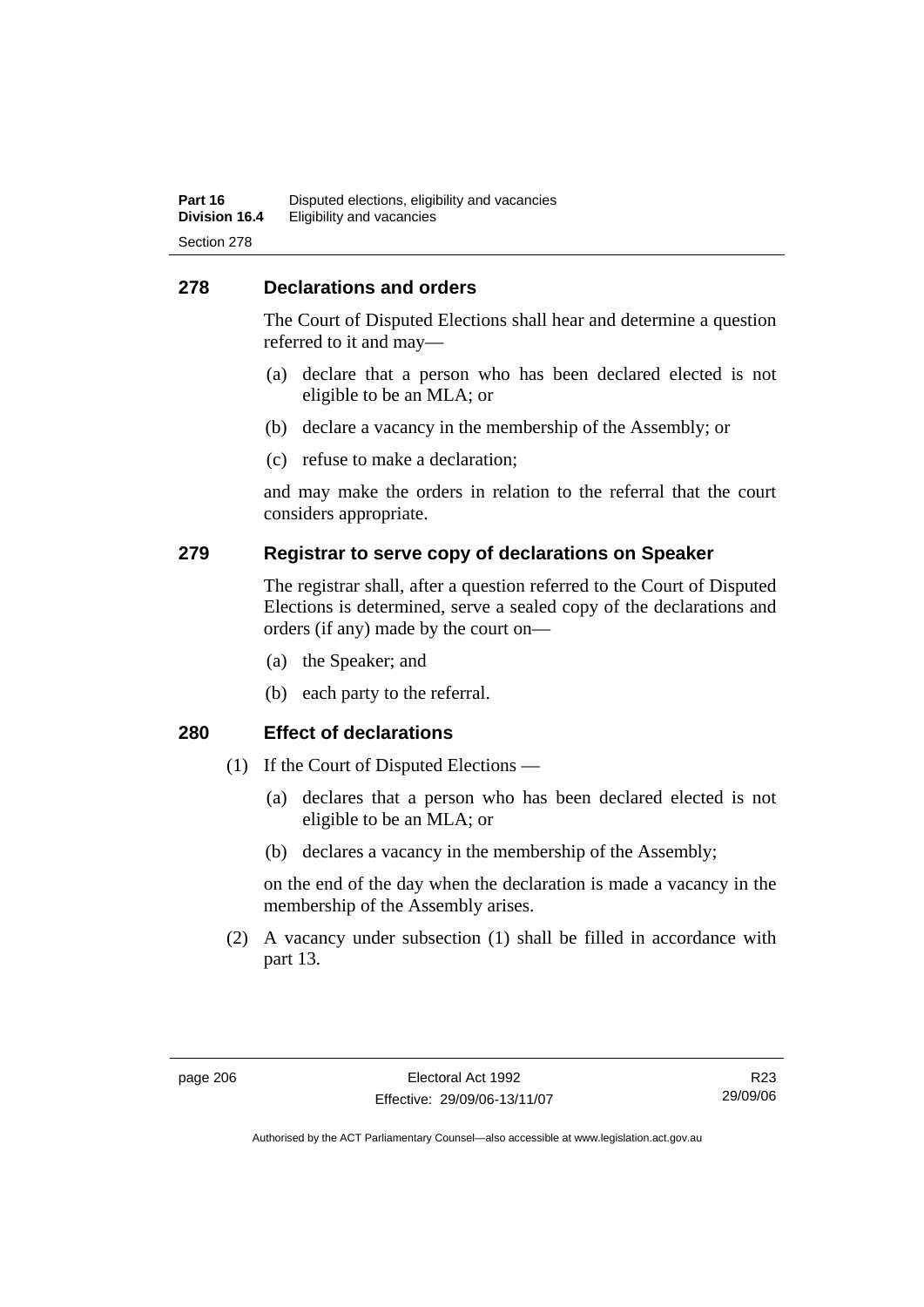#### **278 Declarations and orders**

The Court of Disputed Elections shall hear and determine a question referred to it and may—

- (a) declare that a person who has been declared elected is not eligible to be an MLA; or
- (b) declare a vacancy in the membership of the Assembly; or
- (c) refuse to make a declaration;

and may make the orders in relation to the referral that the court considers appropriate.

#### **279 Registrar to serve copy of declarations on Speaker**

The registrar shall, after a question referred to the Court of Disputed Elections is determined, serve a sealed copy of the declarations and orders (if any) made by the court on—

- (a) the Speaker; and
- (b) each party to the referral.

#### **280 Effect of declarations**

- (1) If the Court of Disputed Elections
	- (a) declares that a person who has been declared elected is not eligible to be an MLA; or
	- (b) declares a vacancy in the membership of the Assembly;

on the end of the day when the declaration is made a vacancy in the membership of the Assembly arises.

 (2) A vacancy under subsection (1) shall be filled in accordance with part 13.

R23 29/09/06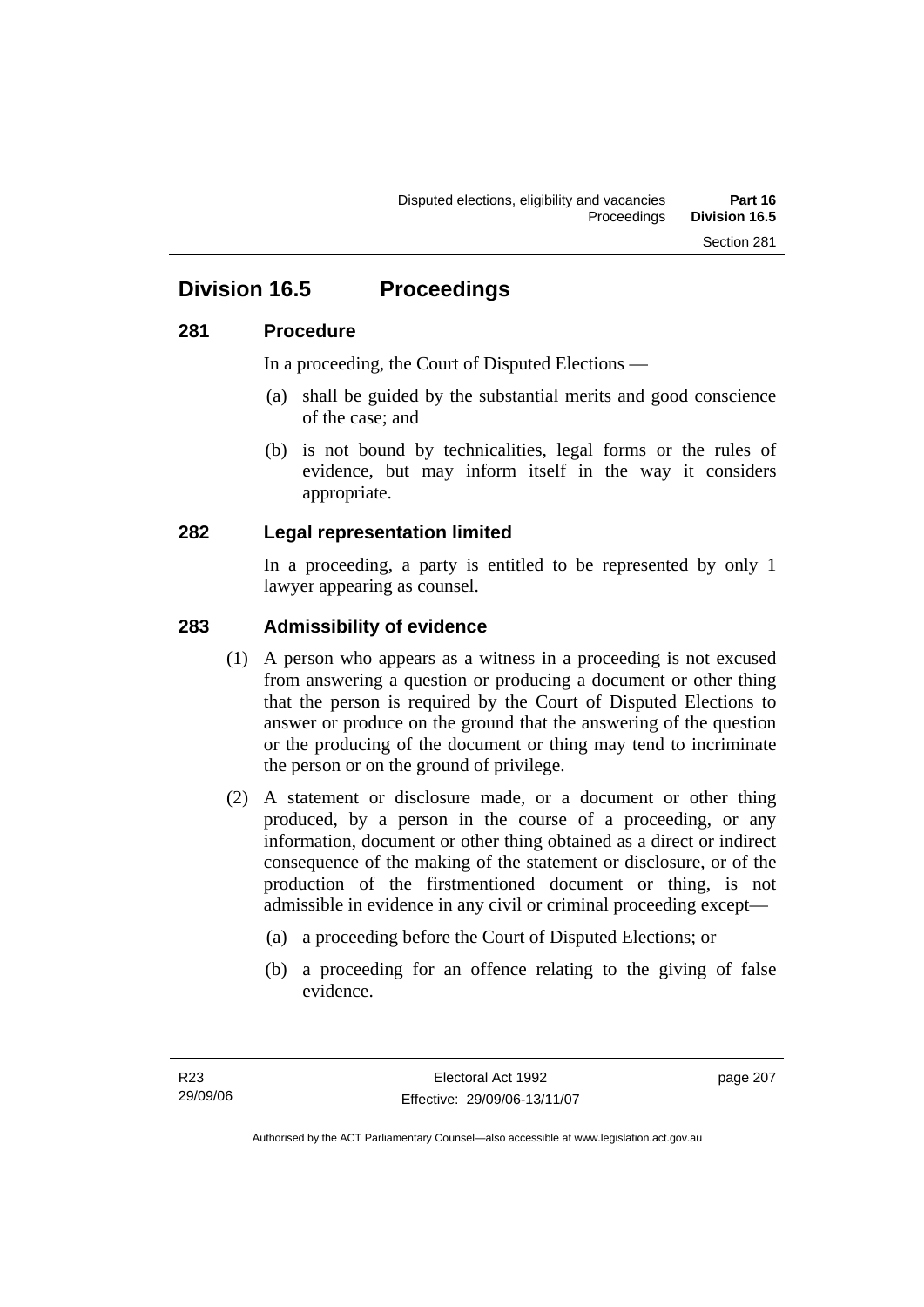# **Division 16.5 Proceedings**

#### **281 Procedure**

In a proceeding, the Court of Disputed Elections —

- (a) shall be guided by the substantial merits and good conscience of the case; and
- (b) is not bound by technicalities, legal forms or the rules of evidence, but may inform itself in the way it considers appropriate.

#### **282 Legal representation limited**

In a proceeding, a party is entitled to be represented by only 1 lawyer appearing as counsel.

#### **283 Admissibility of evidence**

- (1) A person who appears as a witness in a proceeding is not excused from answering a question or producing a document or other thing that the person is required by the Court of Disputed Elections to answer or produce on the ground that the answering of the question or the producing of the document or thing may tend to incriminate the person or on the ground of privilege.
- (2) A statement or disclosure made, or a document or other thing produced, by a person in the course of a proceeding, or any information, document or other thing obtained as a direct or indirect consequence of the making of the statement or disclosure, or of the production of the firstmentioned document or thing, is not admissible in evidence in any civil or criminal proceeding except—
	- (a) a proceeding before the Court of Disputed Elections; or
	- (b) a proceeding for an offence relating to the giving of false evidence.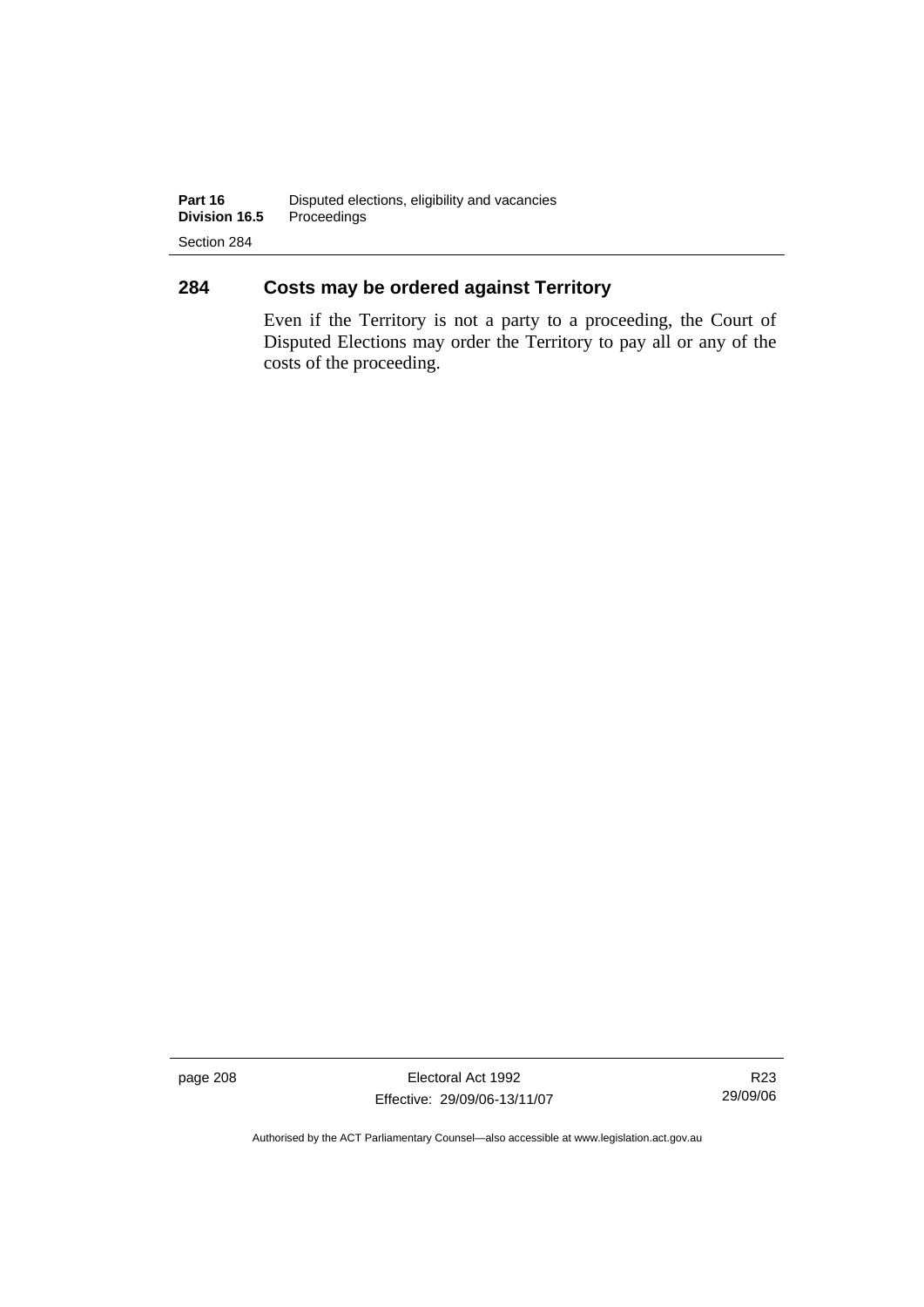# **284 Costs may be ordered against Territory**

Even if the Territory is not a party to a proceeding, the Court of Disputed Elections may order the Territory to pay all or any of the costs of the proceeding.

page 208 Electoral Act 1992 Effective: 29/09/06-13/11/07

R23 29/09/06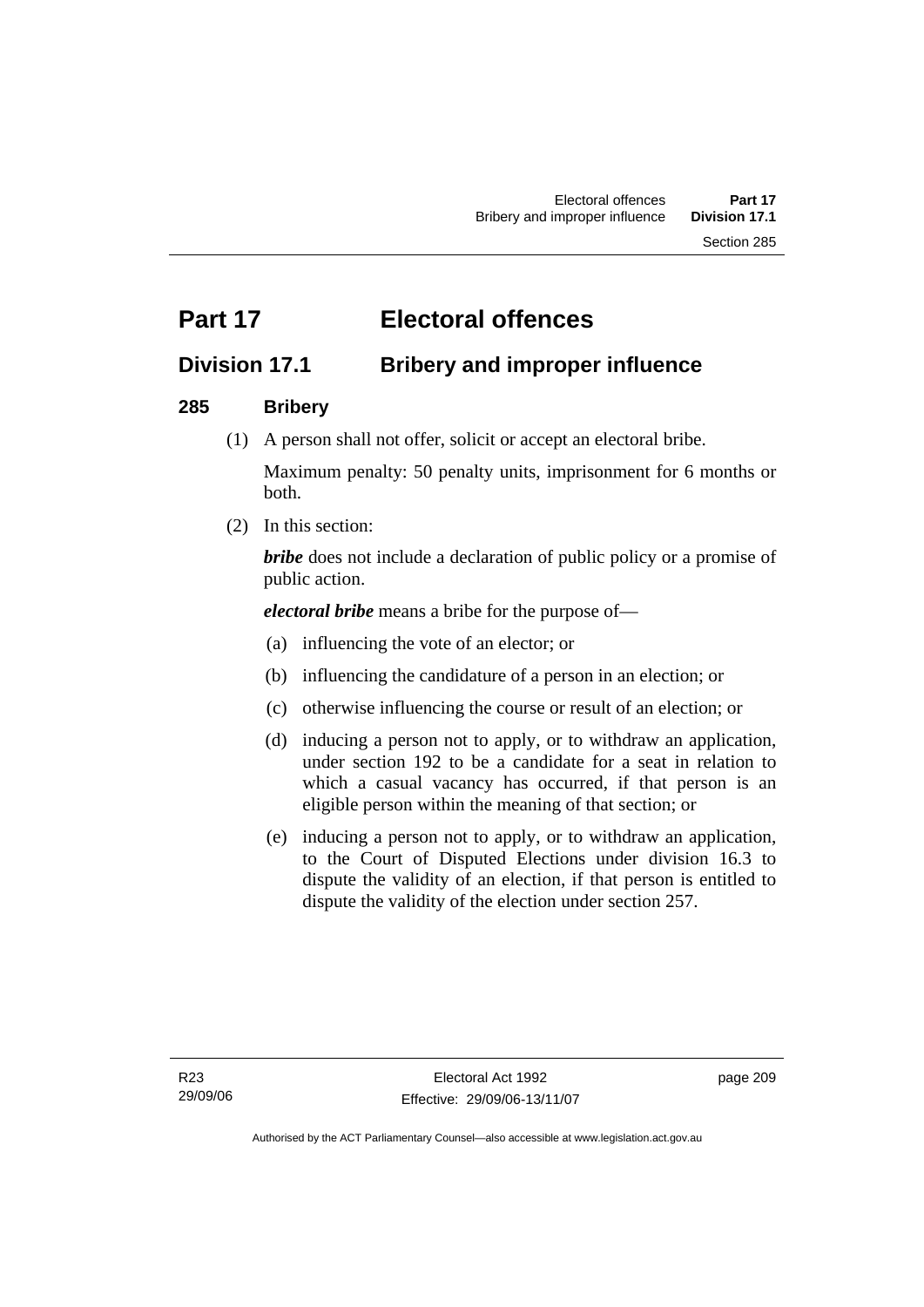# **Part 17 Electoral offences**

# **Division 17.1 Bribery and improper influence**

# **285 Bribery**

(1) A person shall not offer, solicit or accept an electoral bribe.

Maximum penalty: 50 penalty units, imprisonment for 6 months or both.

(2) In this section:

*bribe* does not include a declaration of public policy or a promise of public action.

*electoral bribe* means a bribe for the purpose of—

- (a) influencing the vote of an elector; or
- (b) influencing the candidature of a person in an election; or
- (c) otherwise influencing the course or result of an election; or
- (d) inducing a person not to apply, or to withdraw an application, under section 192 to be a candidate for a seat in relation to which a casual vacancy has occurred, if that person is an eligible person within the meaning of that section; or
- (e) inducing a person not to apply, or to withdraw an application, to the Court of Disputed Elections under division 16.3 to dispute the validity of an election, if that person is entitled to dispute the validity of the election under section 257.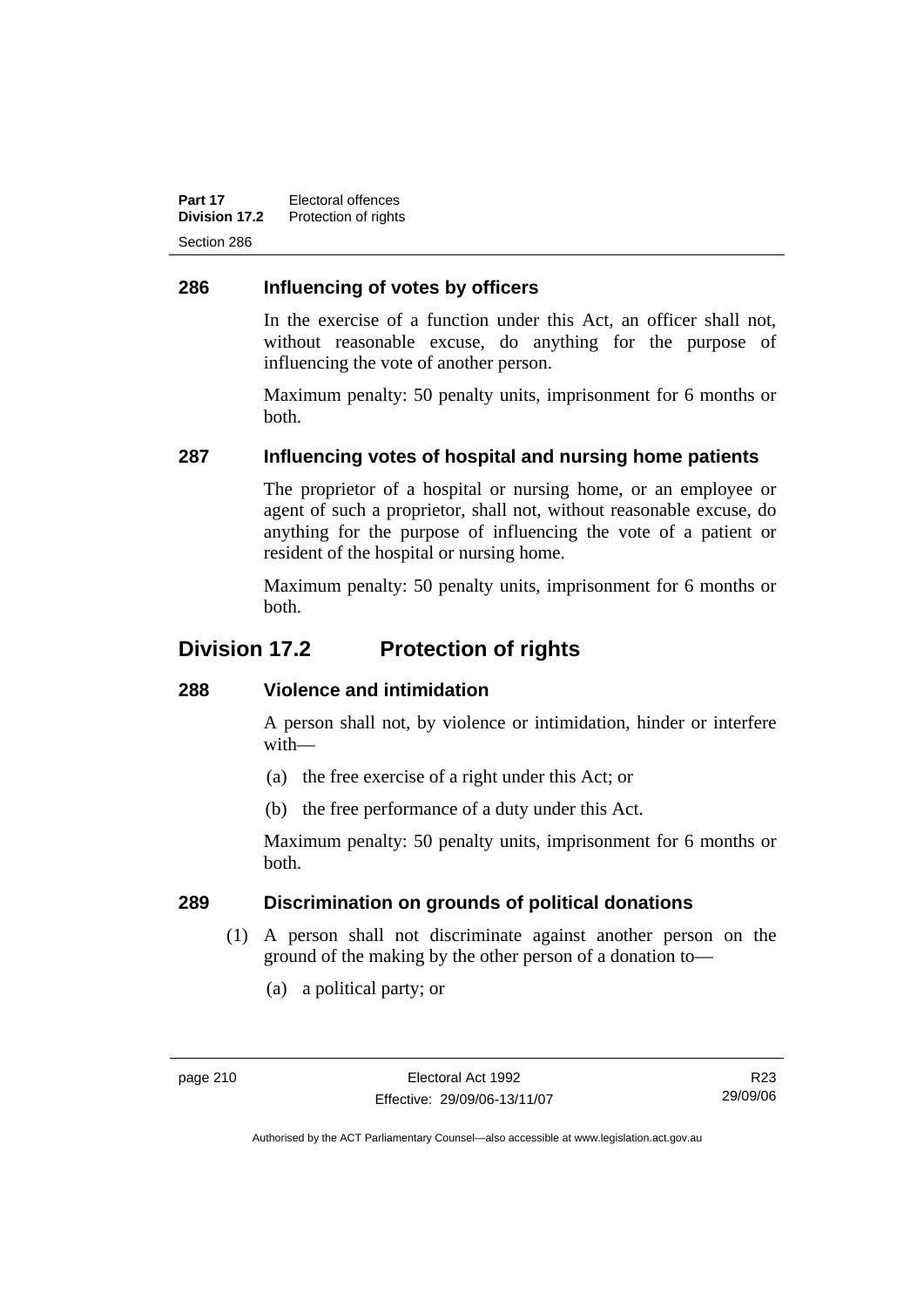**Part 17** Electoral offences **Division 17.2** Protection of rights Section 286

# **286 Influencing of votes by officers**

In the exercise of a function under this Act, an officer shall not, without reasonable excuse, do anything for the purpose of influencing the vote of another person.

Maximum penalty: 50 penalty units, imprisonment for 6 months or both.

#### **287 Influencing votes of hospital and nursing home patients**

The proprietor of a hospital or nursing home, or an employee or agent of such a proprietor, shall not, without reasonable excuse, do anything for the purpose of influencing the vote of a patient or resident of the hospital or nursing home.

Maximum penalty: 50 penalty units, imprisonment for 6 months or both.

# **Division 17.2 Protection of rights**

#### **288 Violence and intimidation**

A person shall not, by violence or intimidation, hinder or interfere with—

- (a) the free exercise of a right under this Act; or
- (b) the free performance of a duty under this Act.

Maximum penalty: 50 penalty units, imprisonment for 6 months or both.

#### **289 Discrimination on grounds of political donations**

- (1) A person shall not discriminate against another person on the ground of the making by the other person of a donation to—
	- (a) a political party; or

R23 29/09/06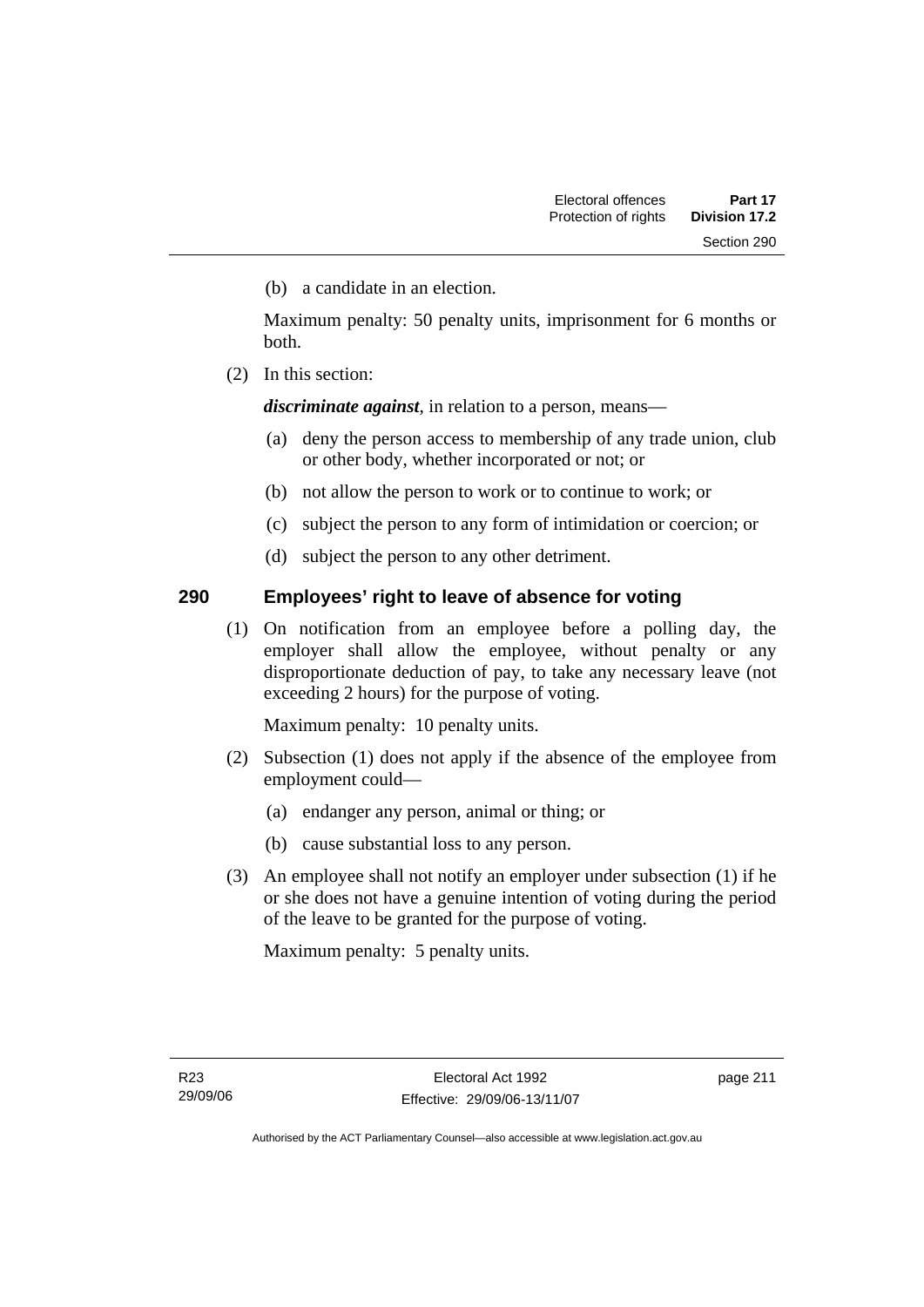(b) a candidate in an election.

Maximum penalty: 50 penalty units, imprisonment for 6 months or both.

(2) In this section:

*discriminate against*, in relation to a person, means—

- (a) deny the person access to membership of any trade union, club or other body, whether incorporated or not; or
- (b) not allow the person to work or to continue to work; or
- (c) subject the person to any form of intimidation or coercion; or
- (d) subject the person to any other detriment.

#### **290 Employees' right to leave of absence for voting**

 (1) On notification from an employee before a polling day, the employer shall allow the employee, without penalty or any disproportionate deduction of pay, to take any necessary leave (not exceeding 2 hours) for the purpose of voting.

Maximum penalty: 10 penalty units.

- (2) Subsection (1) does not apply if the absence of the employee from employment could—
	- (a) endanger any person, animal or thing; or
	- (b) cause substantial loss to any person.
- (3) An employee shall not notify an employer under subsection (1) if he or she does not have a genuine intention of voting during the period of the leave to be granted for the purpose of voting.

Maximum penalty: 5 penalty units.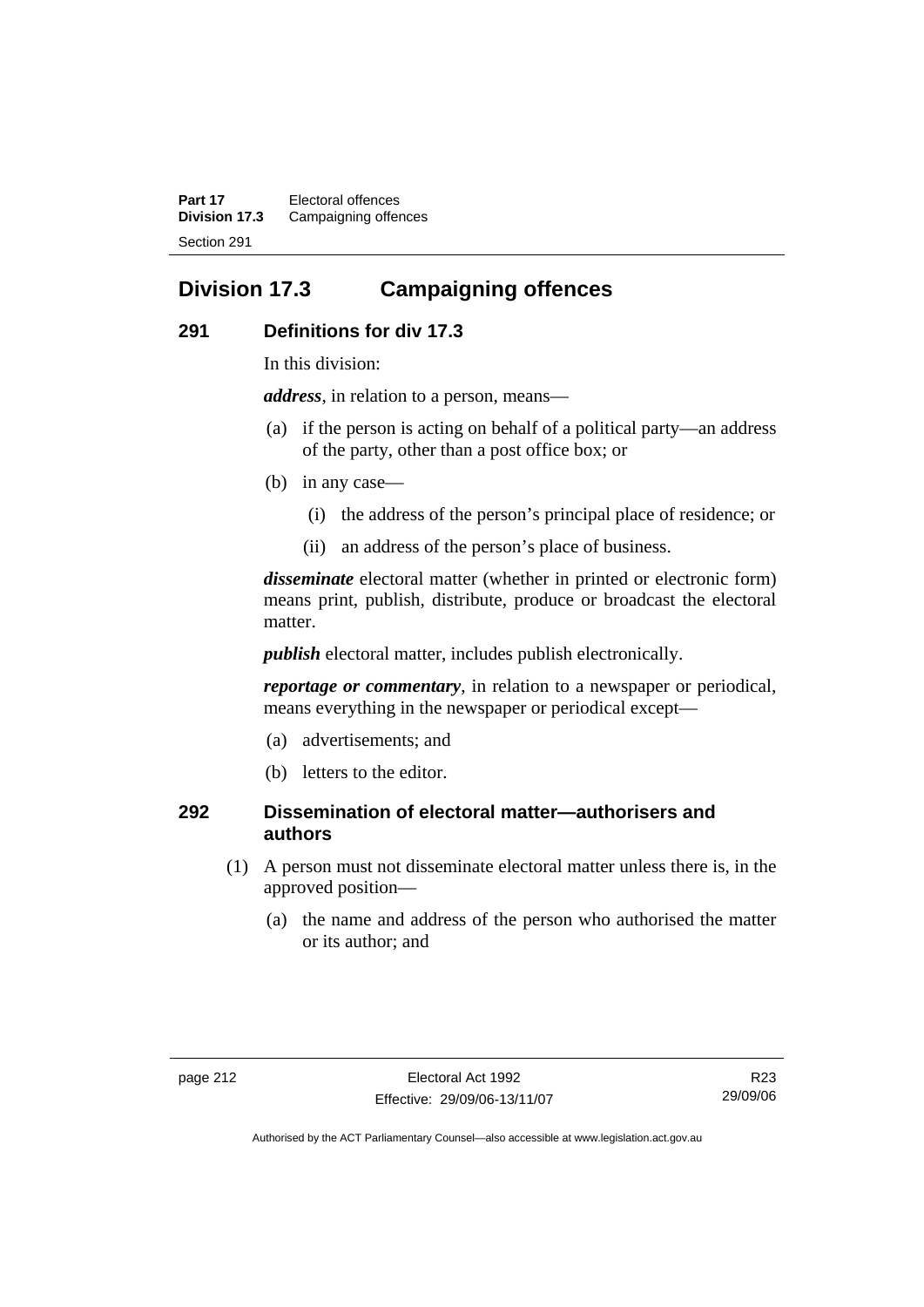**Part 17** Electoral offences **Division 17.3** Campaigning offences Section 291

# **Division 17.3 Campaigning offences**

#### **291 Definitions for div 17.3**

In this division:

*address*, in relation to a person, means—

- (a) if the person is acting on behalf of a political party—an address of the party, other than a post office box; or
- (b) in any case—
	- (i) the address of the person's principal place of residence; or
	- (ii) an address of the person's place of business.

*disseminate* electoral matter (whether in printed or electronic form) means print, publish, distribute, produce or broadcast the electoral matter.

*publish* electoral matter, includes publish electronically.

*reportage or commentary*, in relation to a newspaper or periodical, means everything in the newspaper or periodical except—

- (a) advertisements; and
- (b) letters to the editor.

#### **292 Dissemination of electoral matter—authorisers and authors**

- (1) A person must not disseminate electoral matter unless there is, in the approved position—
	- (a) the name and address of the person who authorised the matter or its author; and

R23 29/09/06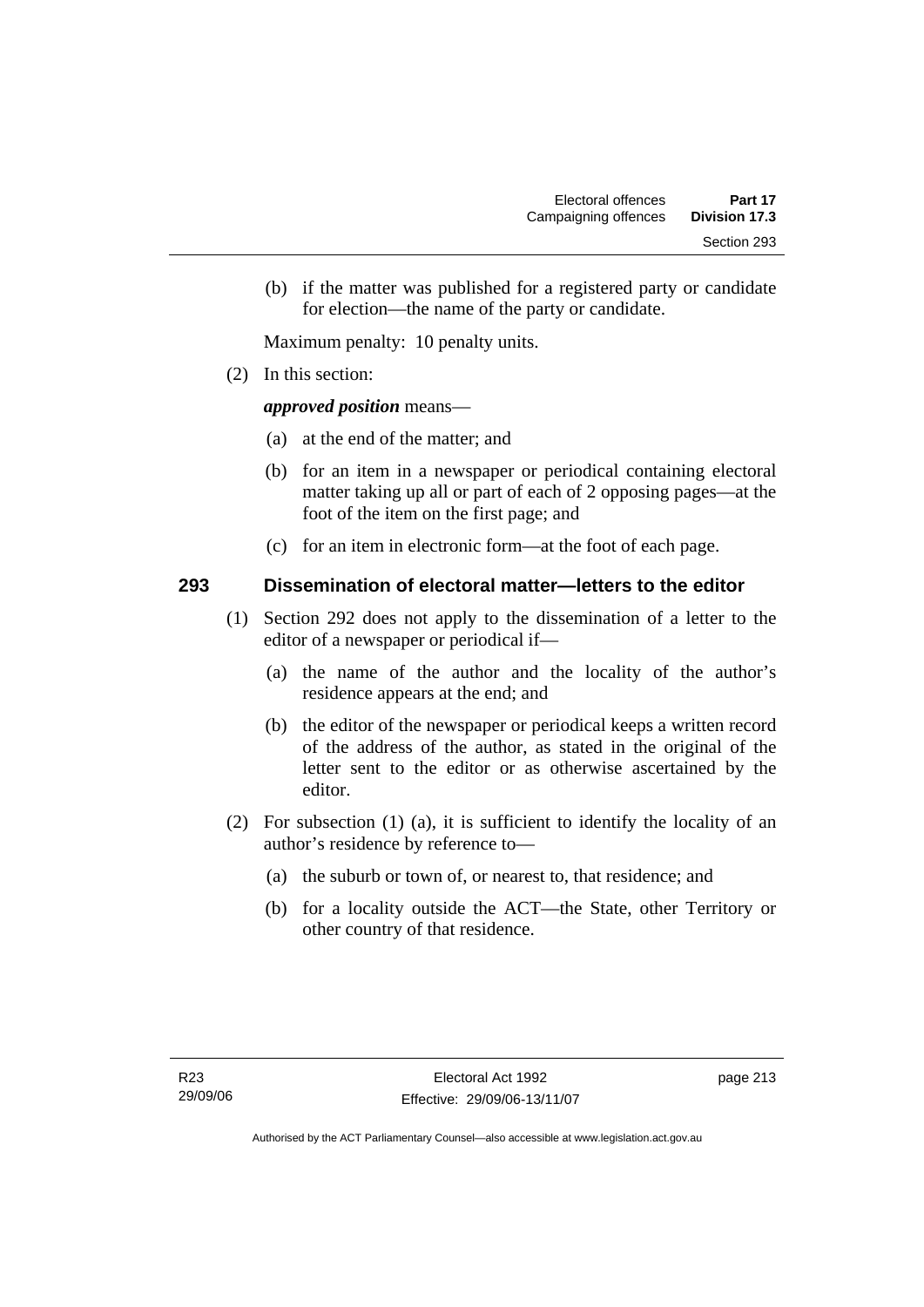(b) if the matter was published for a registered party or candidate for election—the name of the party or candidate.

Maximum penalty: 10 penalty units.

(2) In this section:

#### *approved position* means—

- (a) at the end of the matter; and
- (b) for an item in a newspaper or periodical containing electoral matter taking up all or part of each of 2 opposing pages—at the foot of the item on the first page; and
- (c) for an item in electronic form—at the foot of each page.

#### **293 Dissemination of electoral matter—letters to the editor**

- (1) Section 292 does not apply to the dissemination of a letter to the editor of a newspaper or periodical if—
	- (a) the name of the author and the locality of the author's residence appears at the end; and
	- (b) the editor of the newspaper or periodical keeps a written record of the address of the author, as stated in the original of the letter sent to the editor or as otherwise ascertained by the editor.
- (2) For subsection (1) (a), it is sufficient to identify the locality of an author's residence by reference to—
	- (a) the suburb or town of, or nearest to, that residence; and
	- (b) for a locality outside the ACT—the State, other Territory or other country of that residence.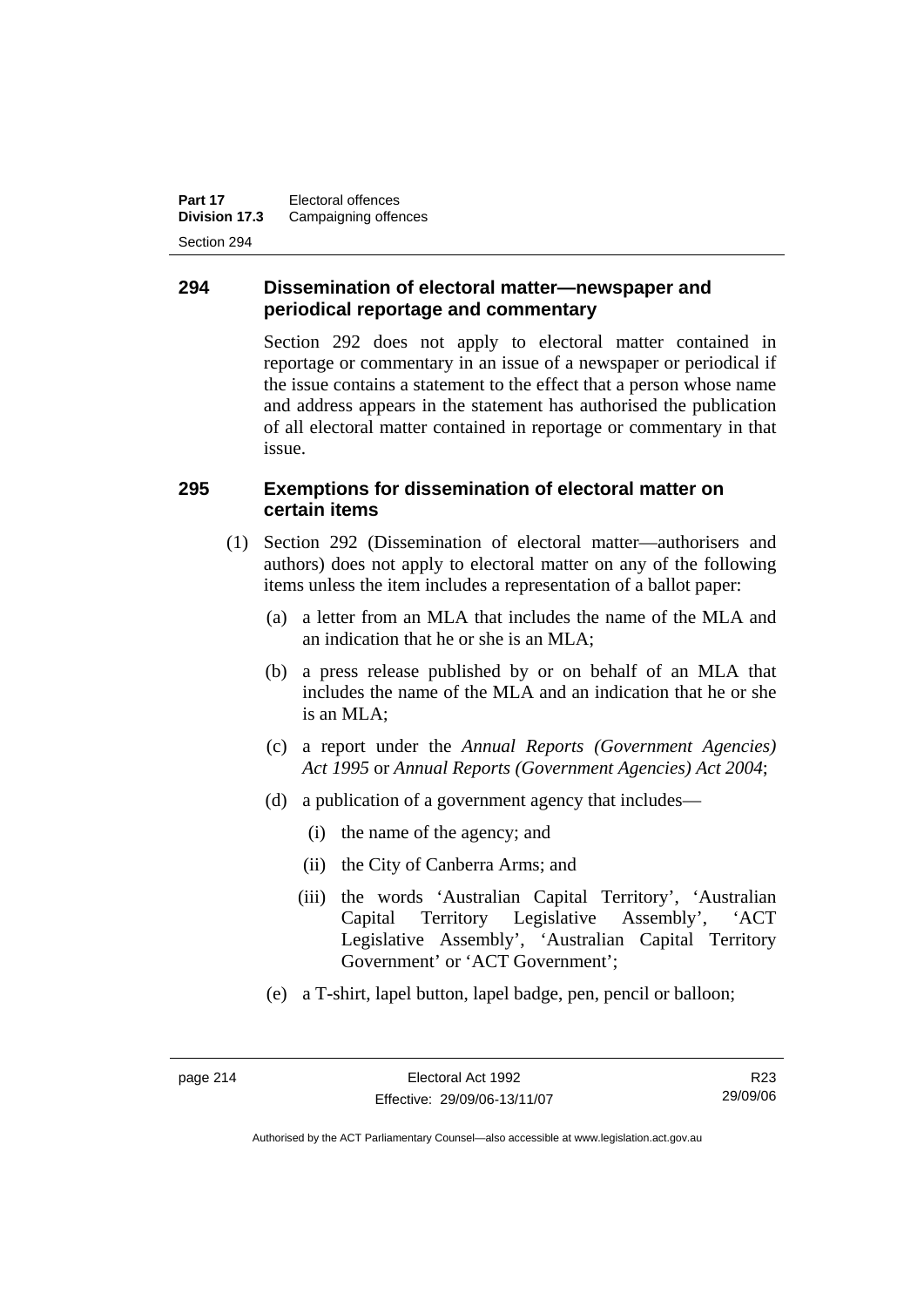**Part 17** Electoral offences **Division 17.3** Campaigning offences Section 294

#### **294 Dissemination of electoral matter—newspaper and periodical reportage and commentary**

Section 292 does not apply to electoral matter contained in reportage or commentary in an issue of a newspaper or periodical if the issue contains a statement to the effect that a person whose name and address appears in the statement has authorised the publication of all electoral matter contained in reportage or commentary in that issue.

#### **295 Exemptions for dissemination of electoral matter on certain items**

- (1) Section 292 (Dissemination of electoral matter—authorisers and authors) does not apply to electoral matter on any of the following items unless the item includes a representation of a ballot paper:
	- (a) a letter from an MLA that includes the name of the MLA and an indication that he or she is an MLA;
	- (b) a press release published by or on behalf of an MLA that includes the name of the MLA and an indication that he or she is an MLA;
	- (c) a report under the *Annual Reports (Government Agencies) Act 1995* or *Annual Reports (Government Agencies) Act 2004*;
	- (d) a publication of a government agency that includes—
		- (i) the name of the agency; and
		- (ii) the City of Canberra Arms; and
		- (iii) the words 'Australian Capital Territory', 'Australian Capital Territory Legislative Assembly', 'ACT Legislative Assembly', 'Australian Capital Territory Government' or 'ACT Government';
	- (e) a T-shirt, lapel button, lapel badge, pen, pencil or balloon;

R23 29/09/06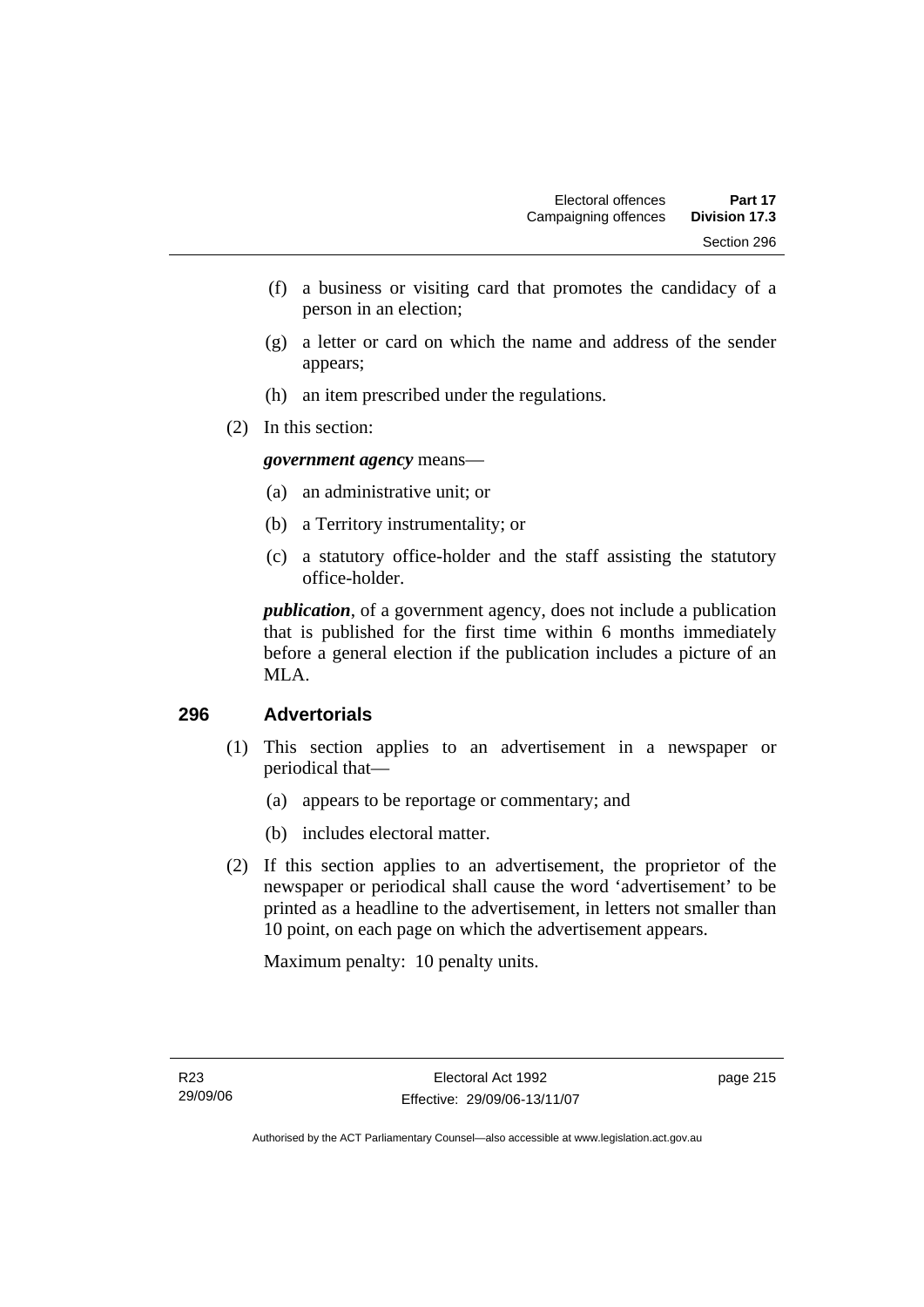- (f) a business or visiting card that promotes the candidacy of a person in an election;
- (g) a letter or card on which the name and address of the sender appears;
- (h) an item prescribed under the regulations.
- (2) In this section:

*government agency* means—

- (a) an administrative unit; or
- (b) a Territory instrumentality; or
- (c) a statutory office-holder and the staff assisting the statutory office-holder.

*publication*, of a government agency, does not include a publication that is published for the first time within 6 months immediately before a general election if the publication includes a picture of an MLA.

#### **296 Advertorials**

- (1) This section applies to an advertisement in a newspaper or periodical that—
	- (a) appears to be reportage or commentary; and
	- (b) includes electoral matter.
- (2) If this section applies to an advertisement, the proprietor of the newspaper or periodical shall cause the word 'advertisement' to be printed as a headline to the advertisement, in letters not smaller than 10 point, on each page on which the advertisement appears.

Maximum penalty: 10 penalty units.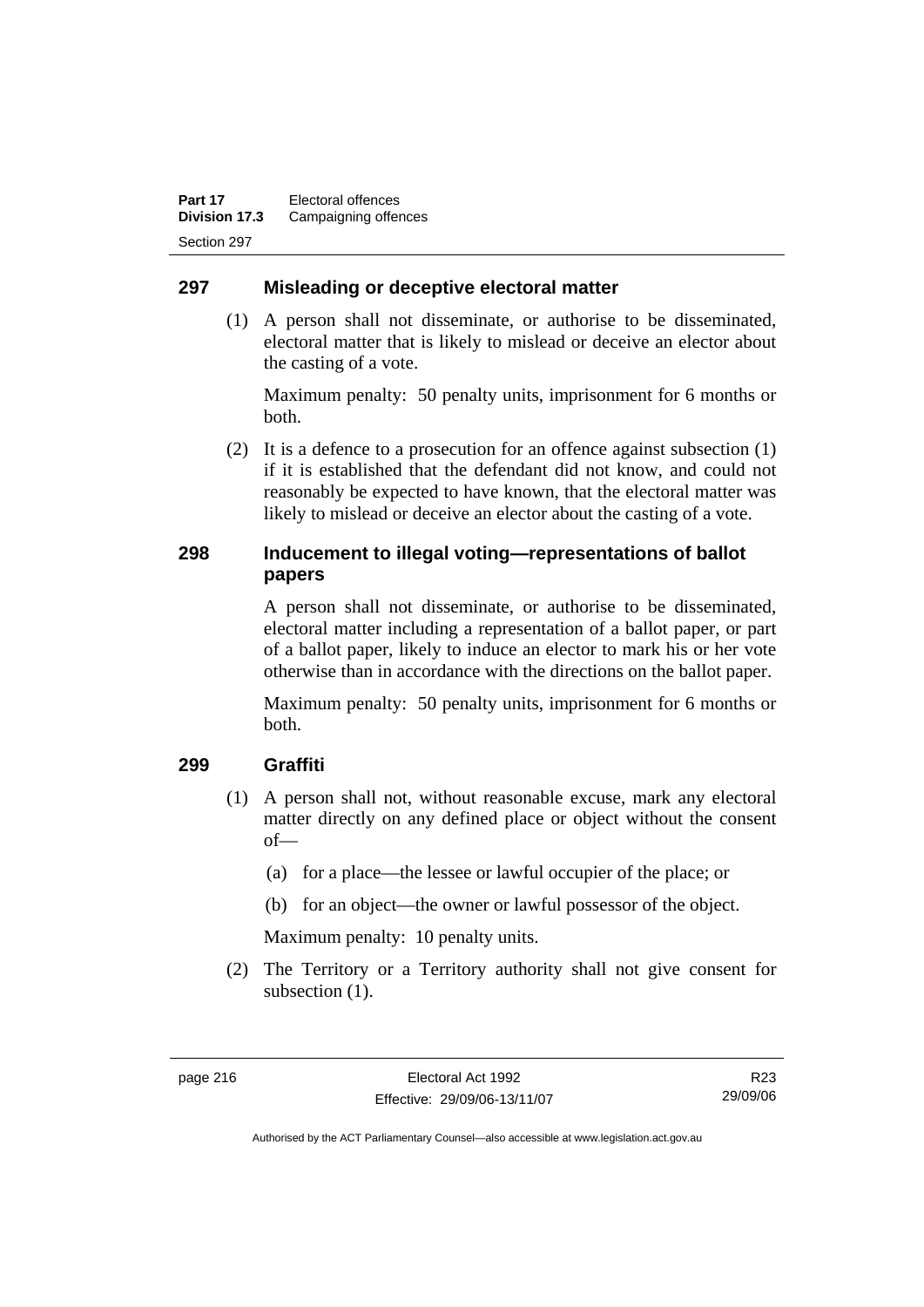#### **297 Misleading or deceptive electoral matter**

 (1) A person shall not disseminate, or authorise to be disseminated, electoral matter that is likely to mislead or deceive an elector about the casting of a vote.

Maximum penalty: 50 penalty units, imprisonment for 6 months or both.

 (2) It is a defence to a prosecution for an offence against subsection (1) if it is established that the defendant did not know, and could not reasonably be expected to have known, that the electoral matter was likely to mislead or deceive an elector about the casting of a vote.

### **298 Inducement to illegal voting—representations of ballot papers**

A person shall not disseminate, or authorise to be disseminated, electoral matter including a representation of a ballot paper, or part of a ballot paper, likely to induce an elector to mark his or her vote otherwise than in accordance with the directions on the ballot paper.

Maximum penalty: 50 penalty units, imprisonment for 6 months or both.

#### **299 Graffiti**

- (1) A person shall not, without reasonable excuse, mark any electoral matter directly on any defined place or object without the consent of—
	- (a) for a place—the lessee or lawful occupier of the place; or
	- (b) for an object—the owner or lawful possessor of the object.

Maximum penalty: 10 penalty units.

 (2) The Territory or a Territory authority shall not give consent for subsection  $(1)$ .

R23 29/09/06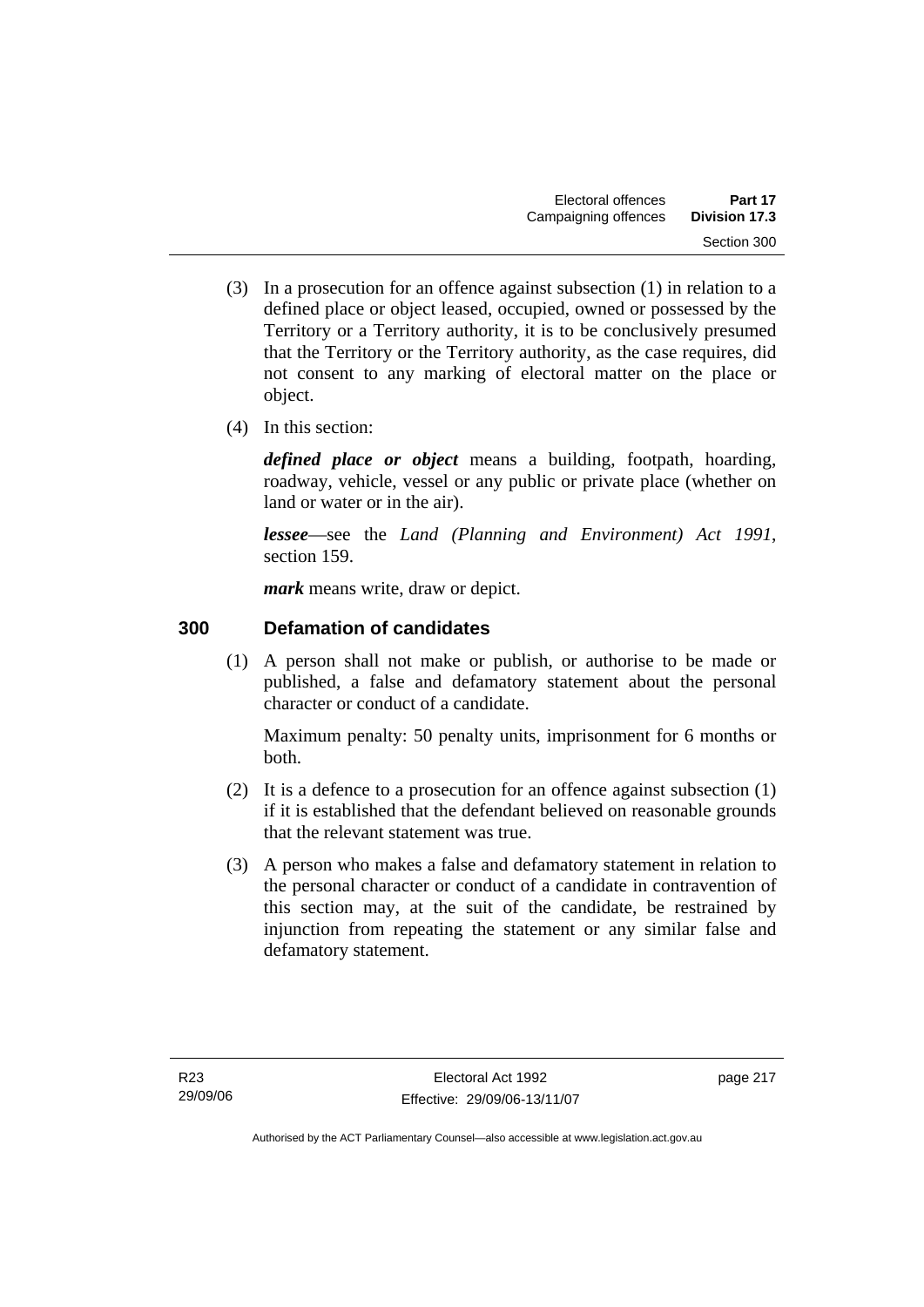- (3) In a prosecution for an offence against subsection (1) in relation to a defined place or object leased, occupied, owned or possessed by the Territory or a Territory authority, it is to be conclusively presumed that the Territory or the Territory authority, as the case requires, did not consent to any marking of electoral matter on the place or object.
- (4) In this section:

*defined place or object* means a building, footpath, hoarding, roadway, vehicle, vessel or any public or private place (whether on land or water or in the air).

*lessee*—see the *Land (Planning and Environment) Act 1991*, section 159.

*mark* means write, draw or depict.

# **300 Defamation of candidates**

 (1) A person shall not make or publish, or authorise to be made or published, a false and defamatory statement about the personal character or conduct of a candidate.

Maximum penalty: 50 penalty units, imprisonment for 6 months or both.

- (2) It is a defence to a prosecution for an offence against subsection (1) if it is established that the defendant believed on reasonable grounds that the relevant statement was true.
- (3) A person who makes a false and defamatory statement in relation to the personal character or conduct of a candidate in contravention of this section may, at the suit of the candidate, be restrained by injunction from repeating the statement or any similar false and defamatory statement.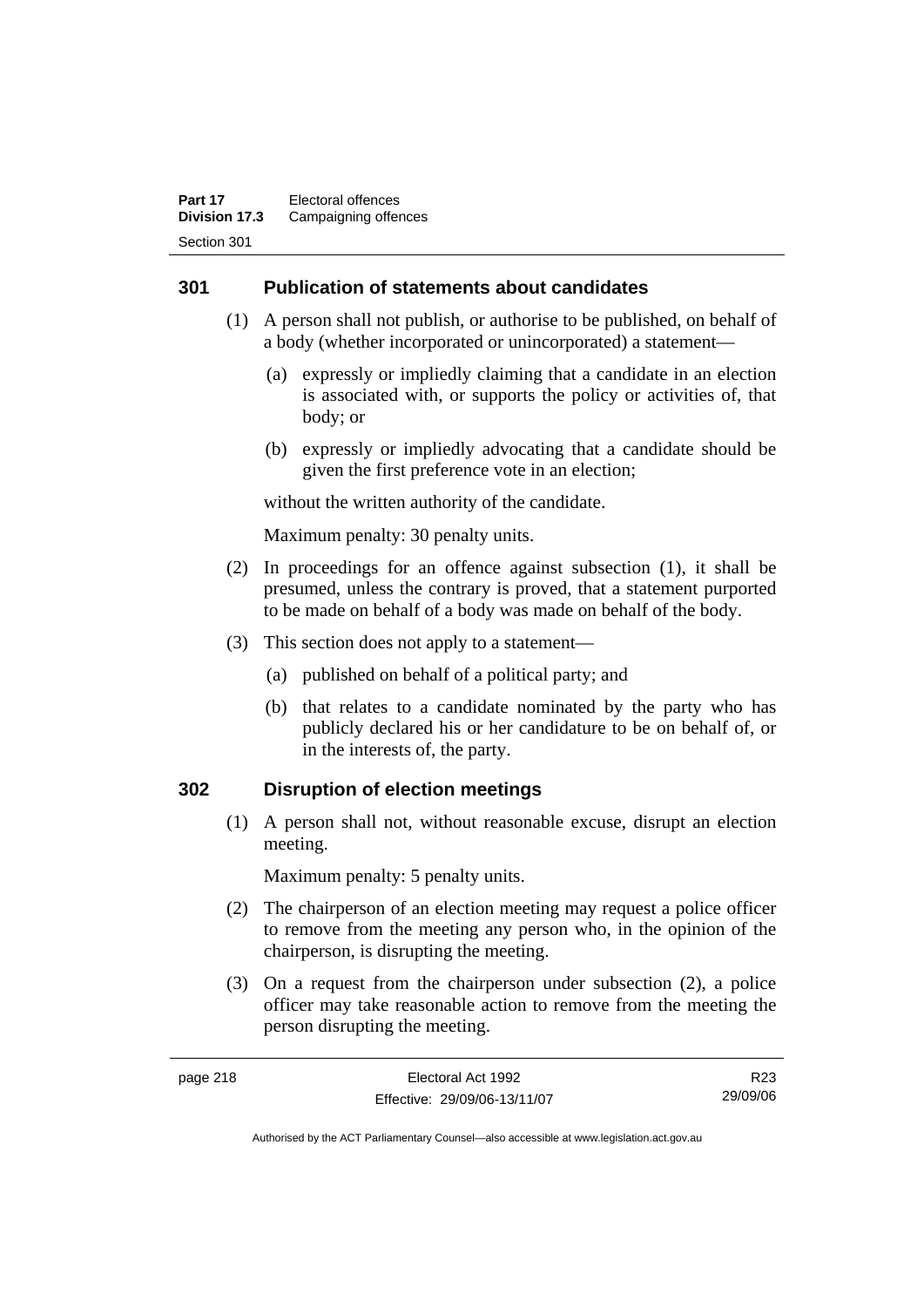#### **301 Publication of statements about candidates**

- (1) A person shall not publish, or authorise to be published, on behalf of a body (whether incorporated or unincorporated) a statement—
	- (a) expressly or impliedly claiming that a candidate in an election is associated with, or supports the policy or activities of, that body; or
	- (b) expressly or impliedly advocating that a candidate should be given the first preference vote in an election;

without the written authority of the candidate.

Maximum penalty: 30 penalty units.

- (2) In proceedings for an offence against subsection (1), it shall be presumed, unless the contrary is proved, that a statement purported to be made on behalf of a body was made on behalf of the body.
- (3) This section does not apply to a statement—
	- (a) published on behalf of a political party; and
	- (b) that relates to a candidate nominated by the party who has publicly declared his or her candidature to be on behalf of, or in the interests of, the party.

#### **302 Disruption of election meetings**

 (1) A person shall not, without reasonable excuse, disrupt an election meeting.

Maximum penalty: 5 penalty units.

- (2) The chairperson of an election meeting may request a police officer to remove from the meeting any person who, in the opinion of the chairperson, is disrupting the meeting.
- (3) On a request from the chairperson under subsection (2), a police officer may take reasonable action to remove from the meeting the person disrupting the meeting.

R23 29/09/06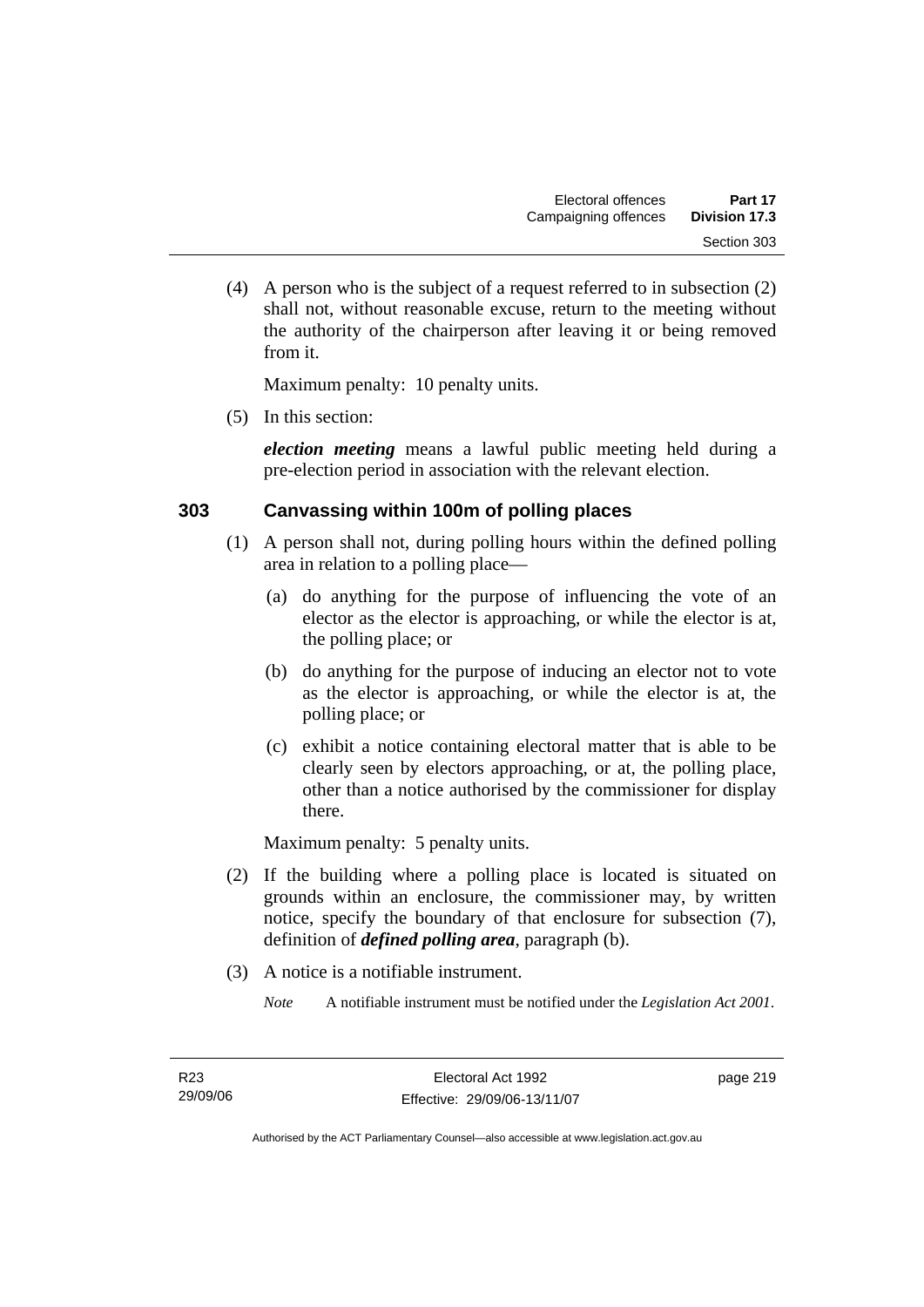(4) A person who is the subject of a request referred to in subsection (2) shall not, without reasonable excuse, return to the meeting without the authority of the chairperson after leaving it or being removed from it.

Maximum penalty: 10 penalty units.

(5) In this section:

*election meeting* means a lawful public meeting held during a pre-election period in association with the relevant election.

#### **303 Canvassing within 100m of polling places**

- (1) A person shall not, during polling hours within the defined polling area in relation to a polling place—
	- (a) do anything for the purpose of influencing the vote of an elector as the elector is approaching, or while the elector is at, the polling place; or
	- (b) do anything for the purpose of inducing an elector not to vote as the elector is approaching, or while the elector is at, the polling place; or
	- (c) exhibit a notice containing electoral matter that is able to be clearly seen by electors approaching, or at, the polling place, other than a notice authorised by the commissioner for display there.

Maximum penalty: 5 penalty units.

- (2) If the building where a polling place is located is situated on grounds within an enclosure, the commissioner may, by written notice, specify the boundary of that enclosure for subsection (7), definition of *defined polling area*, paragraph (b).
- (3) A notice is a notifiable instrument.
	- *Note* A notifiable instrument must be notified under the *Legislation Act 2001*.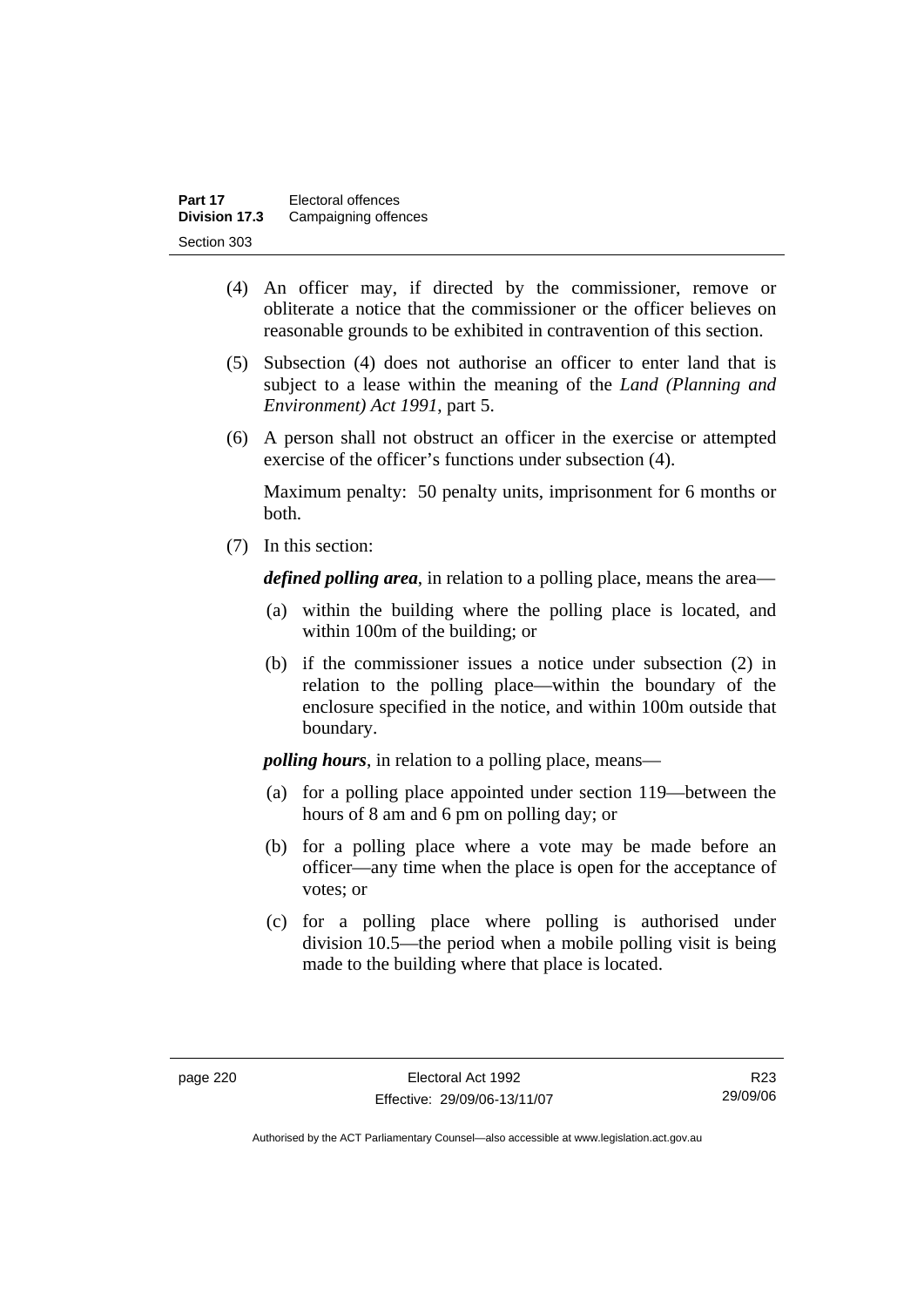| Part 17              | Electoral offences   |
|----------------------|----------------------|
| <b>Division 17.3</b> | Campaigning offences |
| Section 303          |                      |

- (4) An officer may, if directed by the commissioner, remove or obliterate a notice that the commissioner or the officer believes on reasonable grounds to be exhibited in contravention of this section.
- (5) Subsection (4) does not authorise an officer to enter land that is subject to a lease within the meaning of the *Land (Planning and Environment) Act 1991*, part 5.
- (6) A person shall not obstruct an officer in the exercise or attempted exercise of the officer's functions under subsection (4).

Maximum penalty: 50 penalty units, imprisonment for 6 months or both.

(7) In this section:

*defined polling area*, in relation to a polling place, means the area—

- (a) within the building where the polling place is located, and within 100m of the building; or
- (b) if the commissioner issues a notice under subsection (2) in relation to the polling place—within the boundary of the enclosure specified in the notice, and within 100m outside that boundary.

*polling hours*, in relation to a polling place, means—

- (a) for a polling place appointed under section 119—between the hours of 8 am and 6 pm on polling day; or
- (b) for a polling place where a vote may be made before an officer—any time when the place is open for the acceptance of votes; or
- (c) for a polling place where polling is authorised under division 10.5—the period when a mobile polling visit is being made to the building where that place is located.

R23 29/09/06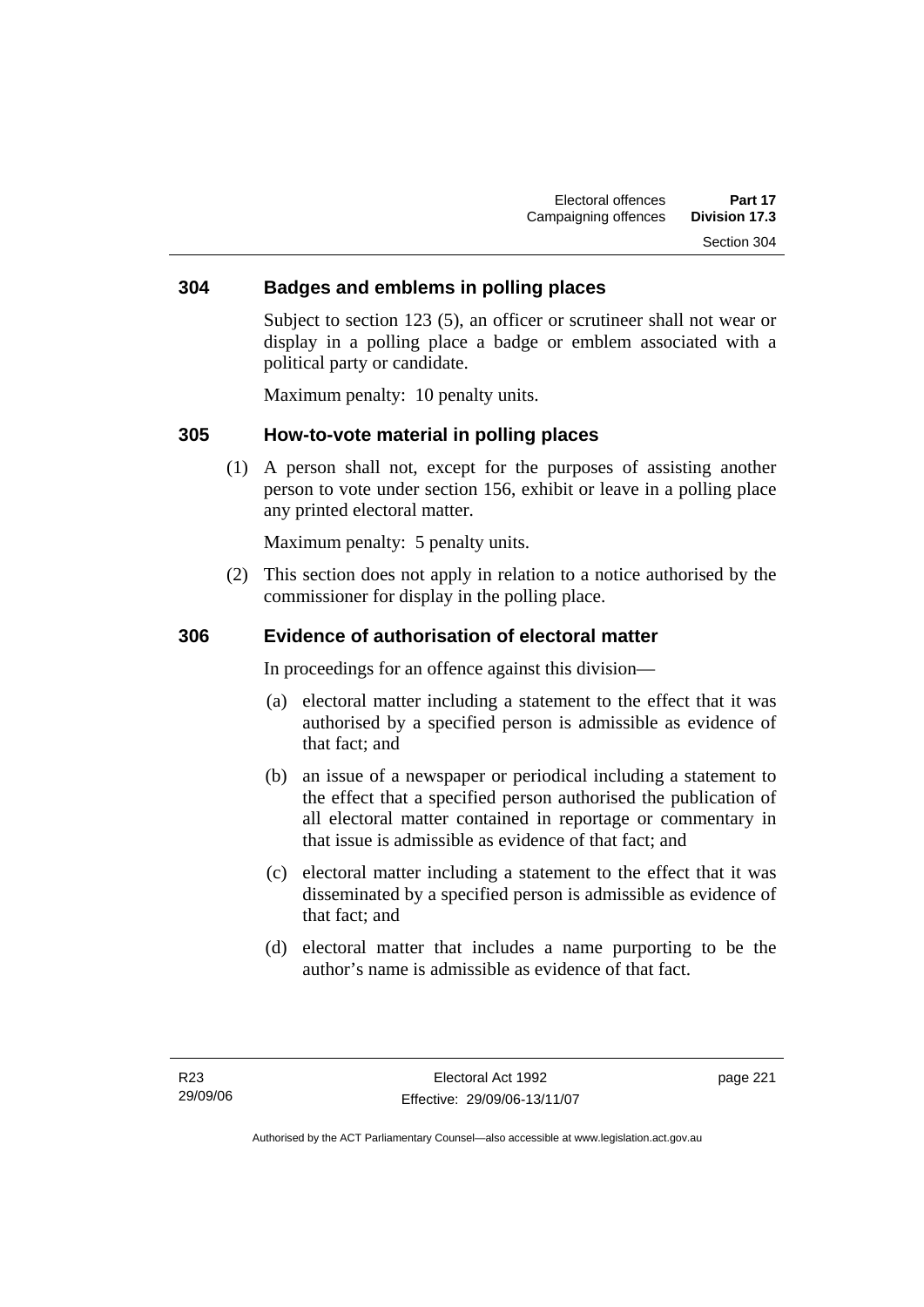#### **304 Badges and emblems in polling places**

Subject to section 123 (5), an officer or scrutineer shall not wear or display in a polling place a badge or emblem associated with a political party or candidate.

Maximum penalty: 10 penalty units.

#### **305 How-to-vote material in polling places**

 (1) A person shall not, except for the purposes of assisting another person to vote under section 156, exhibit or leave in a polling place any printed electoral matter.

Maximum penalty: 5 penalty units.

 (2) This section does not apply in relation to a notice authorised by the commissioner for display in the polling place.

#### **306 Evidence of authorisation of electoral matter**

In proceedings for an offence against this division—

- (a) electoral matter including a statement to the effect that it was authorised by a specified person is admissible as evidence of that fact; and
- (b) an issue of a newspaper or periodical including a statement to the effect that a specified person authorised the publication of all electoral matter contained in reportage or commentary in that issue is admissible as evidence of that fact; and
- (c) electoral matter including a statement to the effect that it was disseminated by a specified person is admissible as evidence of that fact; and
- (d) electoral matter that includes a name purporting to be the author's name is admissible as evidence of that fact.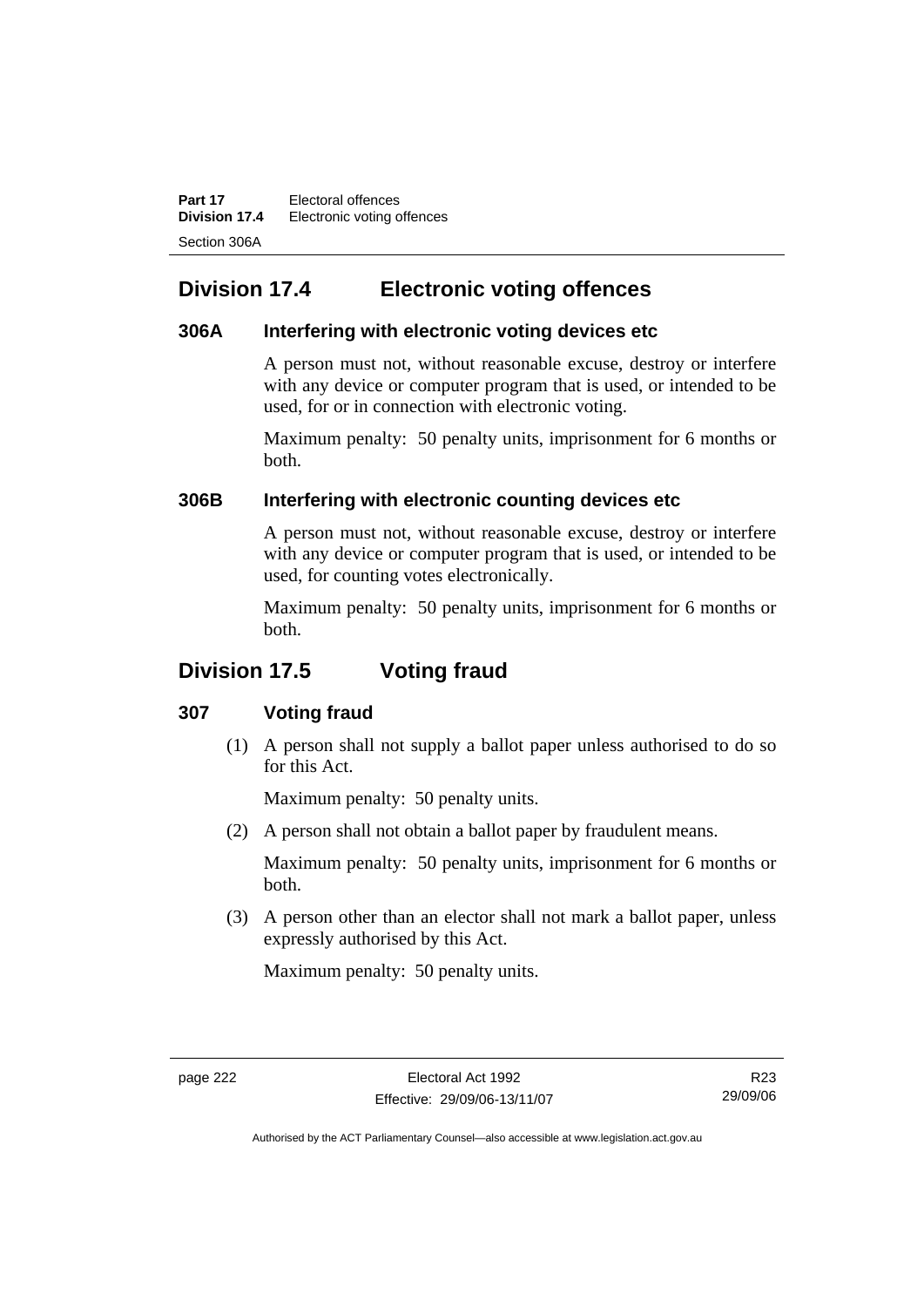**Part 17** Electoral offences **Division 17.4** Electronic voting offences Section 306A

# **Division 17.4 Electronic voting offences**

#### **306A Interfering with electronic voting devices etc**

A person must not, without reasonable excuse, destroy or interfere with any device or computer program that is used, or intended to be used, for or in connection with electronic voting.

Maximum penalty: 50 penalty units, imprisonment for 6 months or both.

#### **306B Interfering with electronic counting devices etc**

A person must not, without reasonable excuse, destroy or interfere with any device or computer program that is used, or intended to be used, for counting votes electronically.

Maximum penalty: 50 penalty units, imprisonment for 6 months or both.

# **Division 17.5 Voting fraud**

### **307 Voting fraud**

 (1) A person shall not supply a ballot paper unless authorised to do so for this Act.

Maximum penalty: 50 penalty units.

(2) A person shall not obtain a ballot paper by fraudulent means.

Maximum penalty: 50 penalty units, imprisonment for 6 months or both.

 (3) A person other than an elector shall not mark a ballot paper, unless expressly authorised by this Act.

Maximum penalty: 50 penalty units.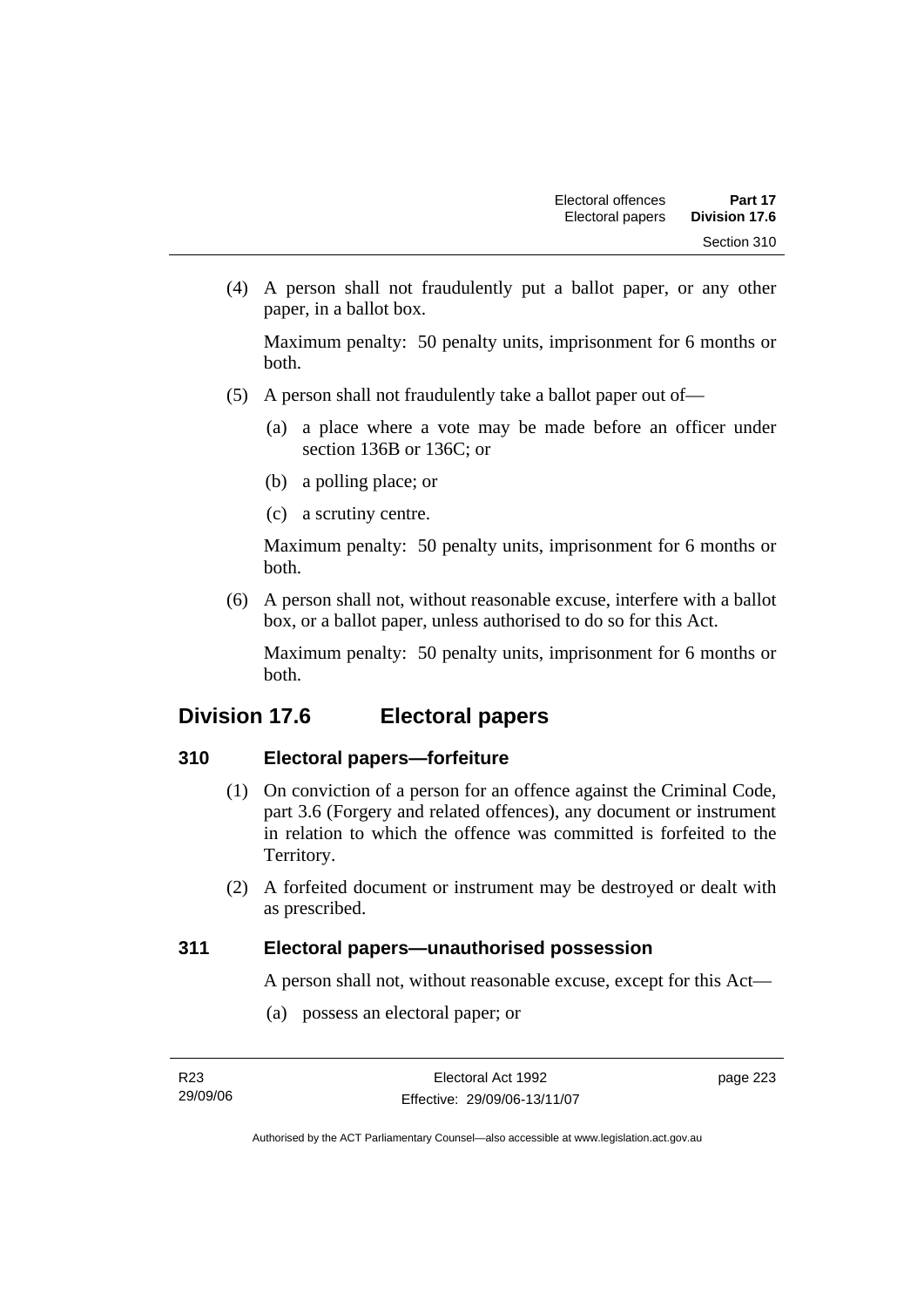(4) A person shall not fraudulently put a ballot paper, or any other paper, in a ballot box.

Maximum penalty: 50 penalty units, imprisonment for 6 months or both.

- (5) A person shall not fraudulently take a ballot paper out of—
	- (a) a place where a vote may be made before an officer under section 136B or 136C; or
	- (b) a polling place; or
	- (c) a scrutiny centre.

Maximum penalty: 50 penalty units, imprisonment for 6 months or both.

 (6) A person shall not, without reasonable excuse, interfere with a ballot box, or a ballot paper, unless authorised to do so for this Act.

Maximum penalty: 50 penalty units, imprisonment for 6 months or both.

# **Division 17.6 Electoral papers**

### **310 Electoral papers—forfeiture**

- (1) On conviction of a person for an offence against the Criminal Code, part 3.6 (Forgery and related offences), any document or instrument in relation to which the offence was committed is forfeited to the Territory.
- (2) A forfeited document or instrument may be destroyed or dealt with as prescribed.

### **311 Electoral papers—unauthorised possession**

A person shall not, without reasonable excuse, except for this Act—

(a) possess an electoral paper; or

page 223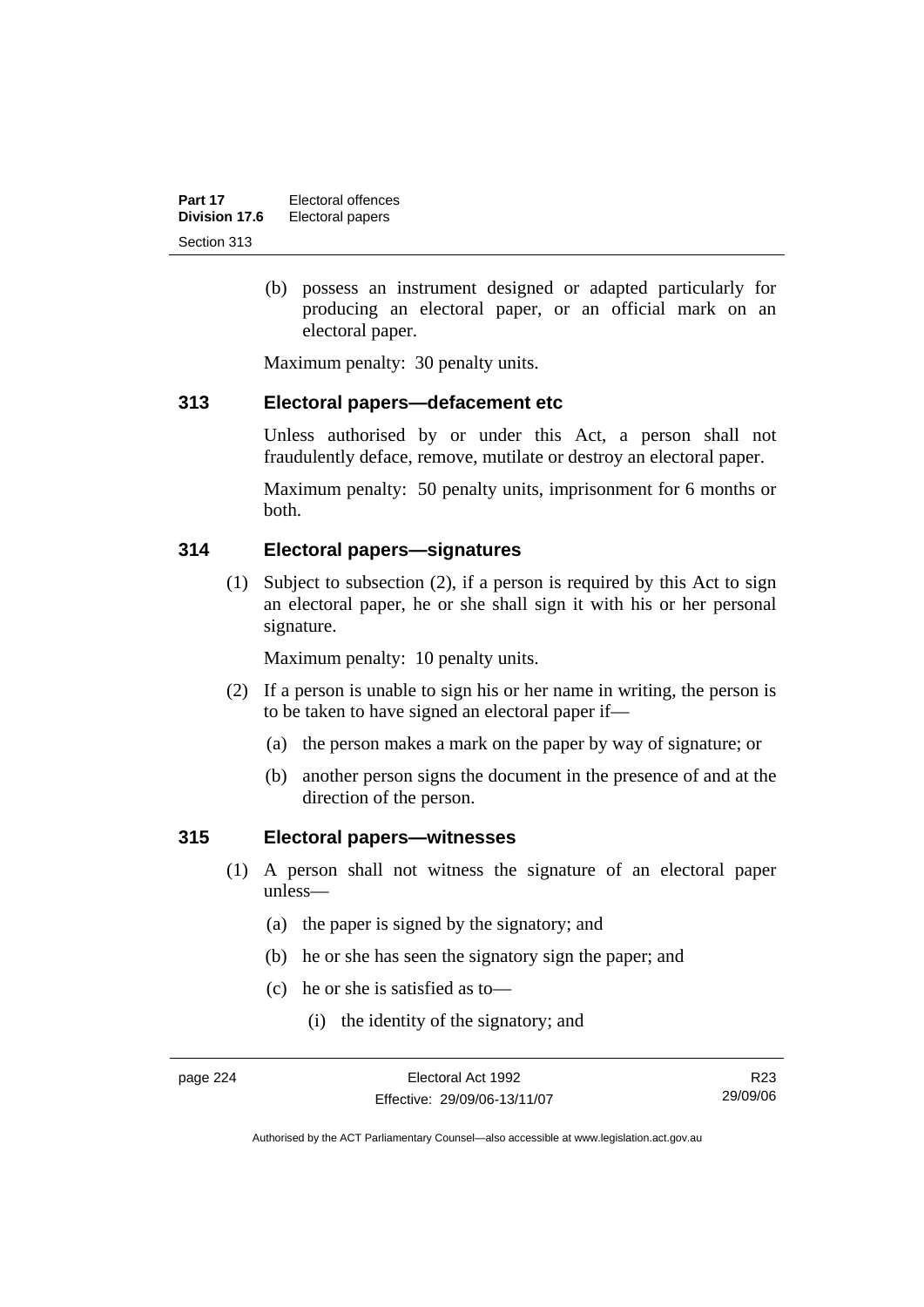| Part 17       | Electoral offences |
|---------------|--------------------|
| Division 17.6 | Electoral papers   |
| Section 313   |                    |

 (b) possess an instrument designed or adapted particularly for producing an electoral paper, or an official mark on an electoral paper.

Maximum penalty: 30 penalty units.

#### **313 Electoral papers—defacement etc**

Unless authorised by or under this Act, a person shall not fraudulently deface, remove, mutilate or destroy an electoral paper.

Maximum penalty: 50 penalty units, imprisonment for 6 months or both.

#### **314 Electoral papers—signatures**

 (1) Subject to subsection (2), if a person is required by this Act to sign an electoral paper, he or she shall sign it with his or her personal signature.

Maximum penalty: 10 penalty units.

- (2) If a person is unable to sign his or her name in writing, the person is to be taken to have signed an electoral paper if—
	- (a) the person makes a mark on the paper by way of signature; or
	- (b) another person signs the document in the presence of and at the direction of the person.

#### **315 Electoral papers—witnesses**

- (1) A person shall not witness the signature of an electoral paper unless—
	- (a) the paper is signed by the signatory; and
	- (b) he or she has seen the signatory sign the paper; and
	- (c) he or she is satisfied as to—
		- (i) the identity of the signatory; and

R23 29/09/06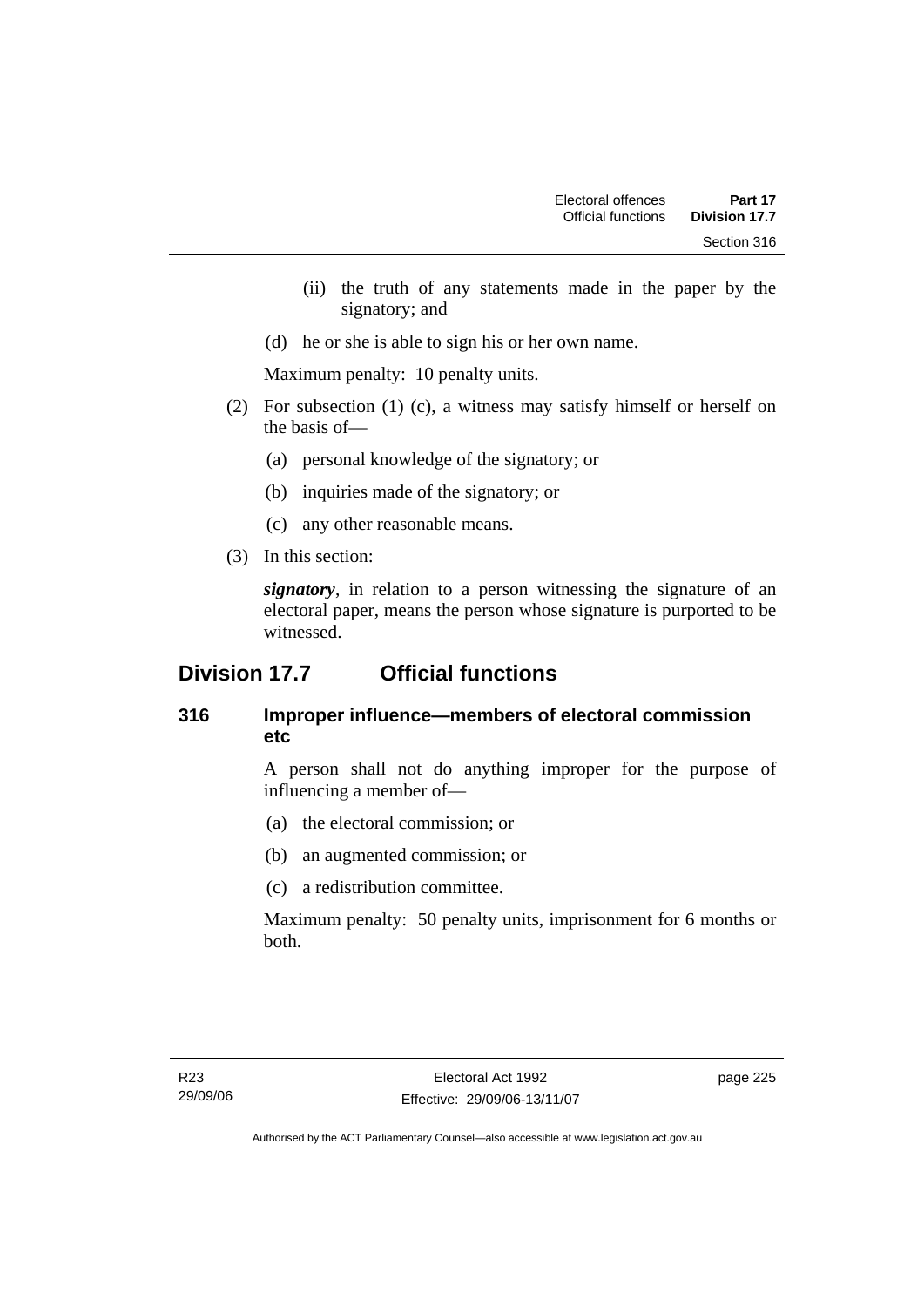- (ii) the truth of any statements made in the paper by the signatory; and
- (d) he or she is able to sign his or her own name.

Maximum penalty: 10 penalty units.

- (2) For subsection (1) (c), a witness may satisfy himself or herself on the basis of—
	- (a) personal knowledge of the signatory; or
	- (b) inquiries made of the signatory; or
	- (c) any other reasonable means.
- (3) In this section:

*signatory*, in relation to a person witnessing the signature of an electoral paper, means the person whose signature is purported to be witnessed.

# **Division 17.7 Official functions**

# **316 Improper influence—members of electoral commission etc**

A person shall not do anything improper for the purpose of influencing a member of—

- (a) the electoral commission; or
- (b) an augmented commission; or
- (c) a redistribution committee.

Maximum penalty: 50 penalty units, imprisonment for 6 months or both.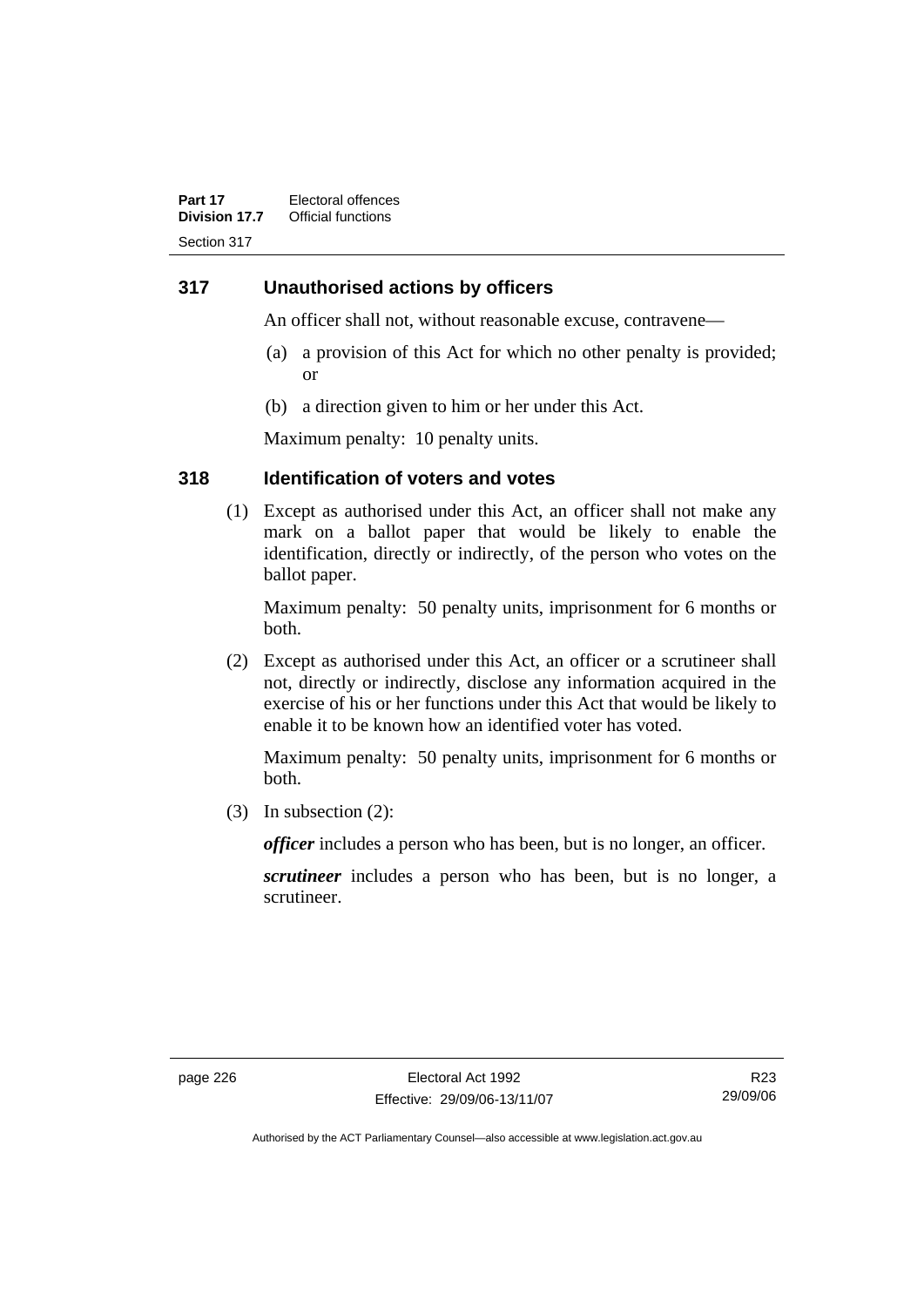#### **317 Unauthorised actions by officers**

An officer shall not, without reasonable excuse, contravene—

- (a) a provision of this Act for which no other penalty is provided; or
- (b) a direction given to him or her under this Act.

Maximum penalty: 10 penalty units.

#### **318 Identification of voters and votes**

 (1) Except as authorised under this Act, an officer shall not make any mark on a ballot paper that would be likely to enable the identification, directly or indirectly, of the person who votes on the ballot paper.

Maximum penalty: 50 penalty units, imprisonment for 6 months or both.

 (2) Except as authorised under this Act, an officer or a scrutineer shall not, directly or indirectly, disclose any information acquired in the exercise of his or her functions under this Act that would be likely to enable it to be known how an identified voter has voted.

Maximum penalty: 50 penalty units, imprisonment for 6 months or both.

(3) In subsection (2):

*officer* includes a person who has been, but is no longer, an officer.

*scrutineer* includes a person who has been, but is no longer, a scrutineer.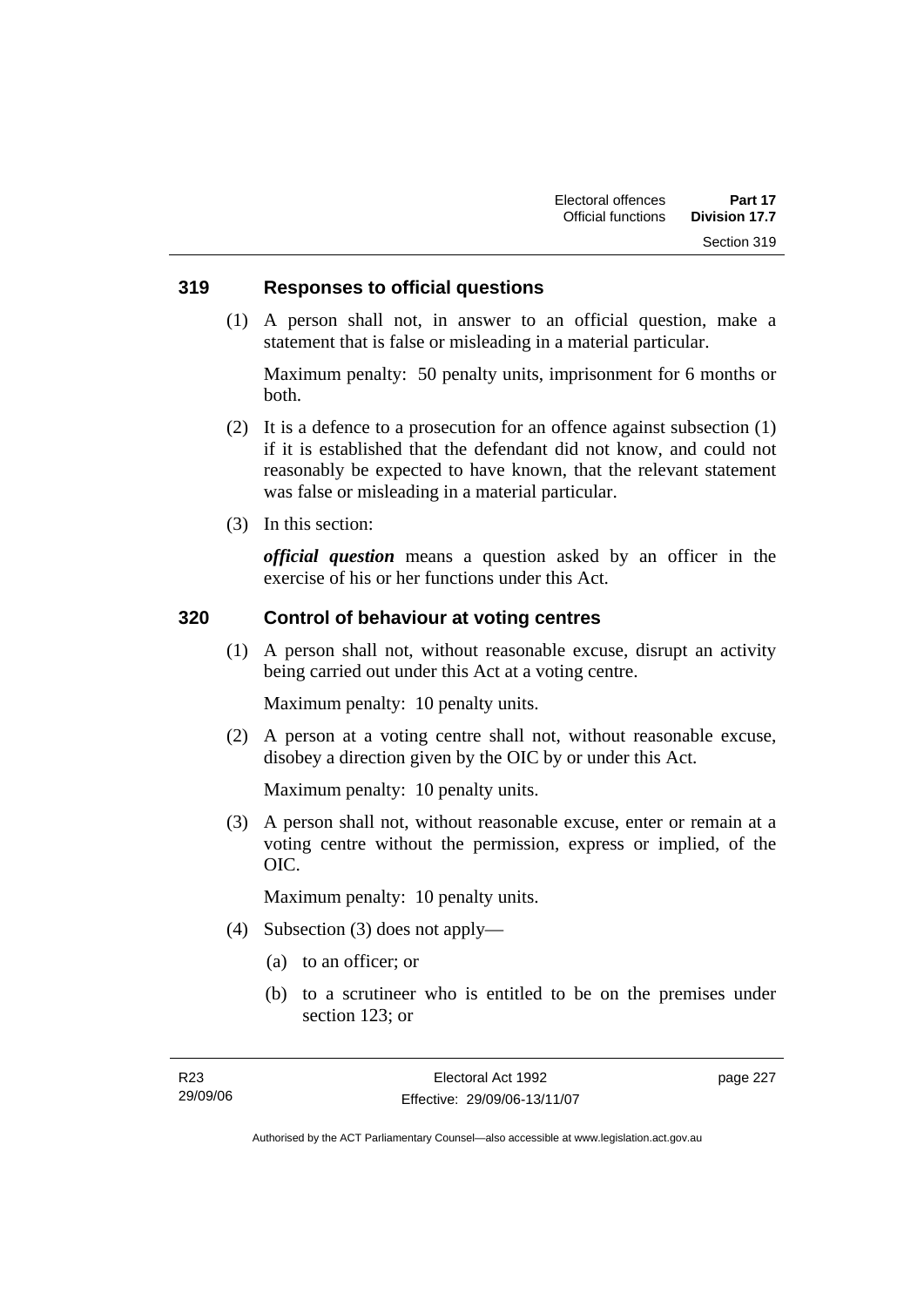#### **319 Responses to official questions**

 (1) A person shall not, in answer to an official question, make a statement that is false or misleading in a material particular.

Maximum penalty: 50 penalty units, imprisonment for 6 months or both.

- (2) It is a defence to a prosecution for an offence against subsection (1) if it is established that the defendant did not know, and could not reasonably be expected to have known, that the relevant statement was false or misleading in a material particular.
- (3) In this section:

*official question* means a question asked by an officer in the exercise of his or her functions under this Act.

#### **320 Control of behaviour at voting centres**

 (1) A person shall not, without reasonable excuse, disrupt an activity being carried out under this Act at a voting centre.

Maximum penalty: 10 penalty units.

 (2) A person at a voting centre shall not, without reasonable excuse, disobey a direction given by the OIC by or under this Act.

Maximum penalty: 10 penalty units.

 (3) A person shall not, without reasonable excuse, enter or remain at a voting centre without the permission, express or implied, of the OIC.

Maximum penalty: 10 penalty units.

- (4) Subsection (3) does not apply—
	- (a) to an officer; or
	- (b) to a scrutineer who is entitled to be on the premises under section 123; or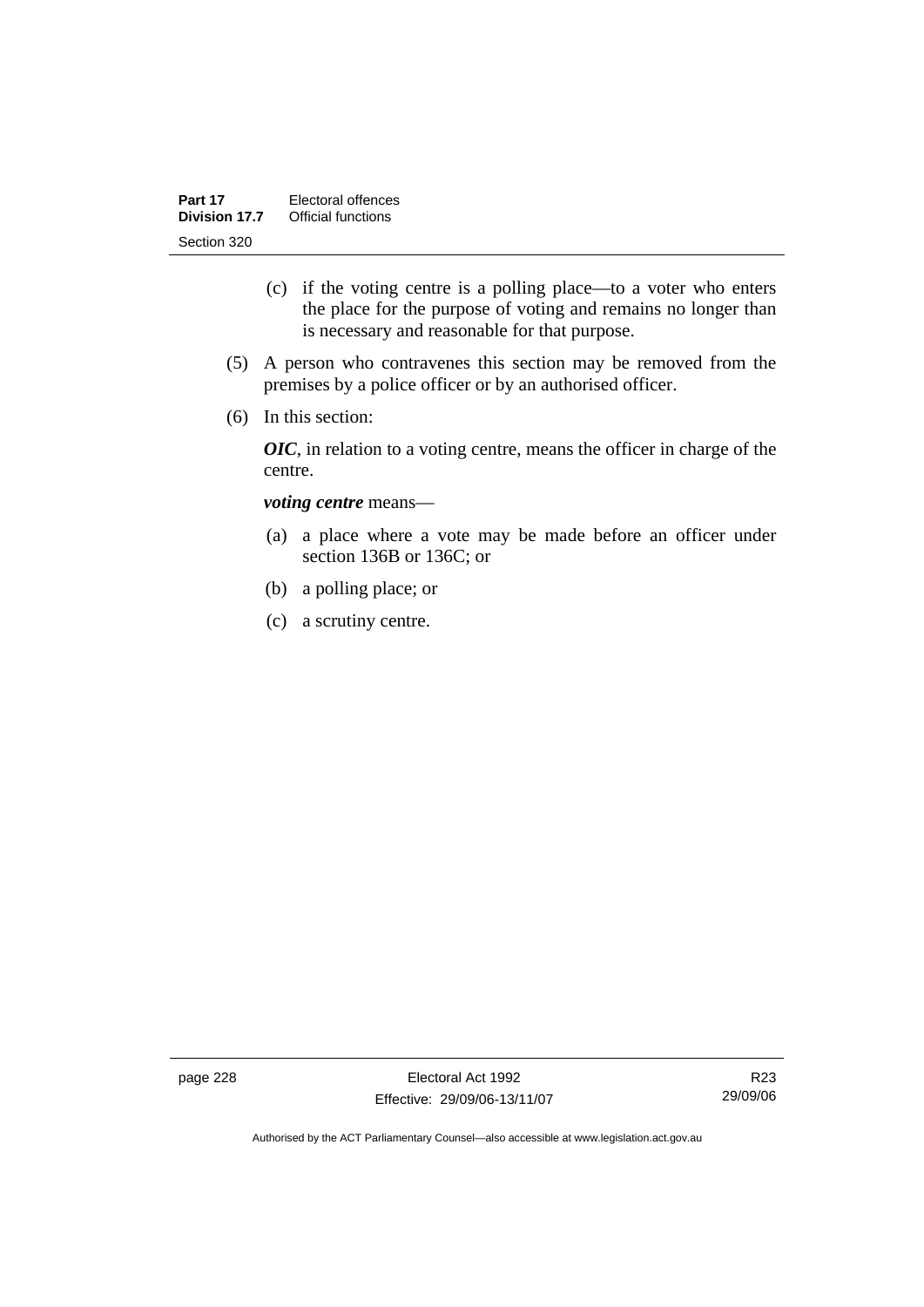- (c) if the voting centre is a polling place—to a voter who enters the place for the purpose of voting and remains no longer than is necessary and reasonable for that purpose.
- (5) A person who contravenes this section may be removed from the premises by a police officer or by an authorised officer.
- (6) In this section:

*OIC*, in relation to a voting centre, means the officer in charge of the centre.

#### *voting centre* means—

- (a) a place where a vote may be made before an officer under section 136B or 136C; or
- (b) a polling place; or
- (c) a scrutiny centre.

page 228 Electoral Act 1992 Effective: 29/09/06-13/11/07

R23 29/09/06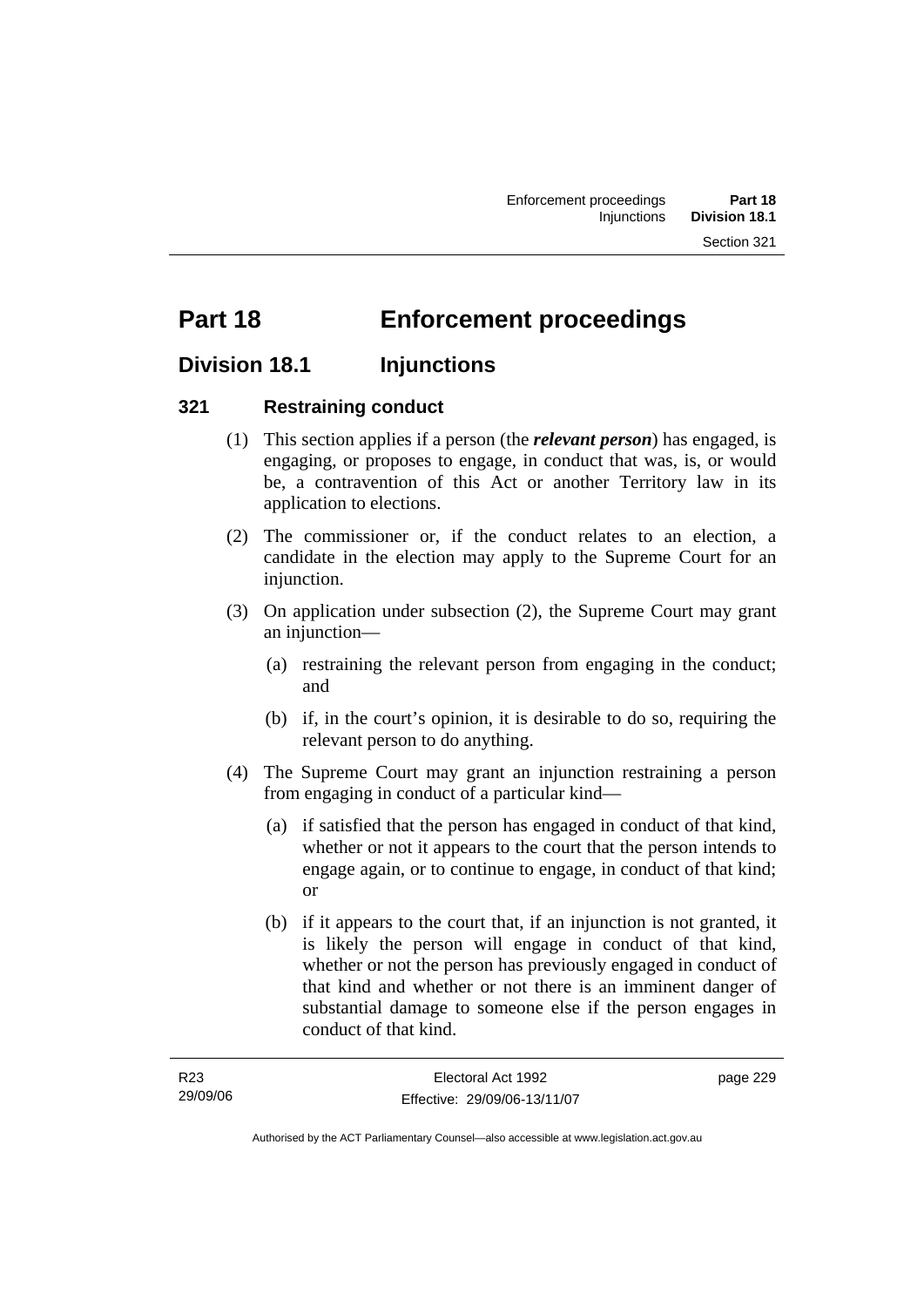# **Part 18 Enforcement proceedings**

# **Division 18.1 Injunctions**

### **321 Restraining conduct**

- (1) This section applies if a person (the *relevant person*) has engaged, is engaging, or proposes to engage, in conduct that was, is, or would be, a contravention of this Act or another Territory law in its application to elections.
- (2) The commissioner or, if the conduct relates to an election, a candidate in the election may apply to the Supreme Court for an injunction.
- (3) On application under subsection (2), the Supreme Court may grant an injunction—
	- (a) restraining the relevant person from engaging in the conduct; and
	- (b) if, in the court's opinion, it is desirable to do so, requiring the relevant person to do anything.
- (4) The Supreme Court may grant an injunction restraining a person from engaging in conduct of a particular kind—
	- (a) if satisfied that the person has engaged in conduct of that kind, whether or not it appears to the court that the person intends to engage again, or to continue to engage, in conduct of that kind; or
	- (b) if it appears to the court that, if an injunction is not granted, it is likely the person will engage in conduct of that kind, whether or not the person has previously engaged in conduct of that kind and whether or not there is an imminent danger of substantial damage to someone else if the person engages in conduct of that kind.

| R23      | Electoral Act 1992           | page 229 |
|----------|------------------------------|----------|
| 29/09/06 | Effective: 29/09/06-13/11/07 |          |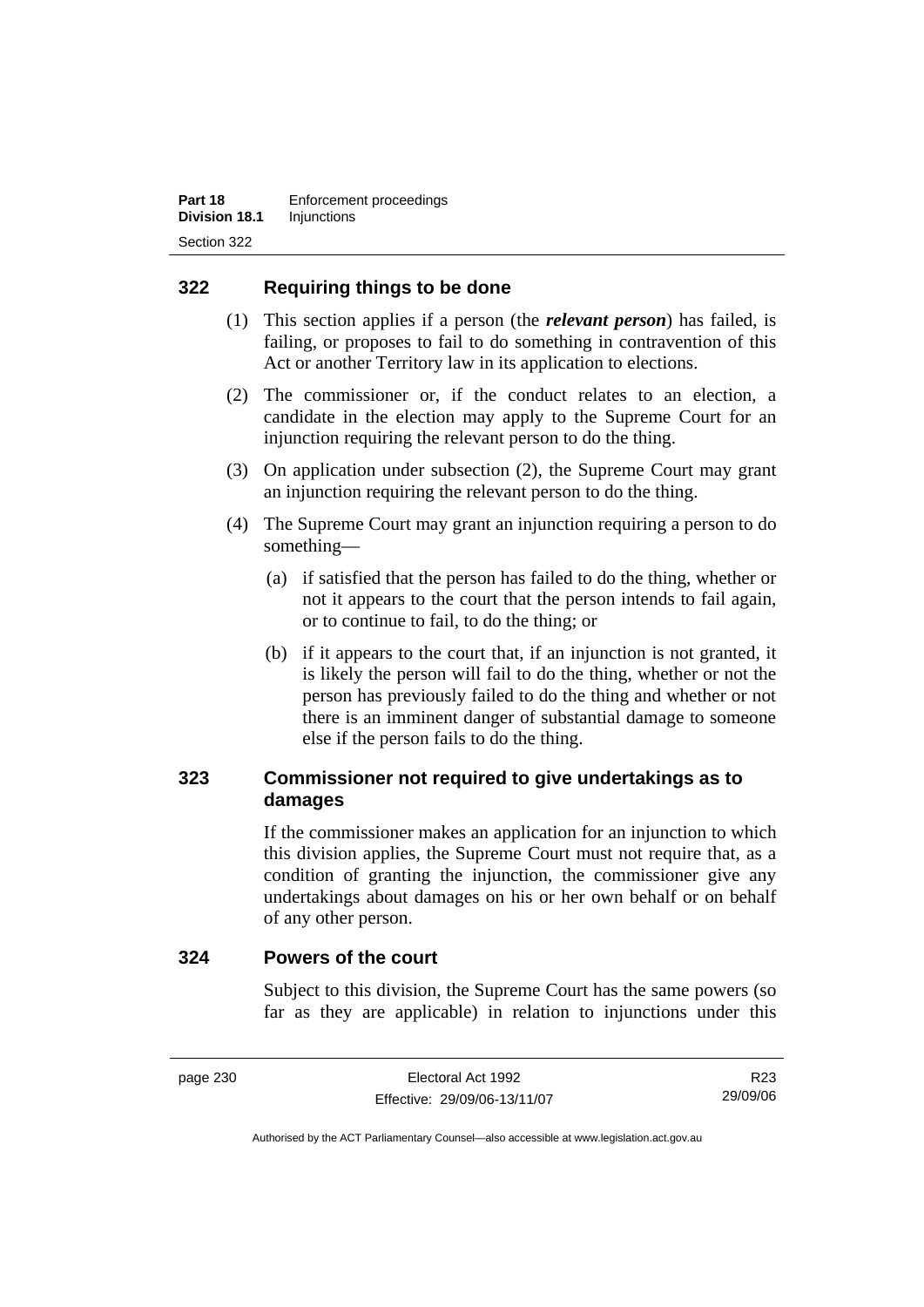### **322 Requiring things to be done**

- (1) This section applies if a person (the *relevant person*) has failed, is failing, or proposes to fail to do something in contravention of this Act or another Territory law in its application to elections.
- (2) The commissioner or, if the conduct relates to an election, a candidate in the election may apply to the Supreme Court for an injunction requiring the relevant person to do the thing.
- (3) On application under subsection (2), the Supreme Court may grant an injunction requiring the relevant person to do the thing.
- (4) The Supreme Court may grant an injunction requiring a person to do something—
	- (a) if satisfied that the person has failed to do the thing, whether or not it appears to the court that the person intends to fail again, or to continue to fail, to do the thing; or
	- (b) if it appears to the court that, if an injunction is not granted, it is likely the person will fail to do the thing, whether or not the person has previously failed to do the thing and whether or not there is an imminent danger of substantial damage to someone else if the person fails to do the thing.

# **323 Commissioner not required to give undertakings as to damages**

If the commissioner makes an application for an injunction to which this division applies, the Supreme Court must not require that, as a condition of granting the injunction, the commissioner give any undertakings about damages on his or her own behalf or on behalf of any other person.

#### **324 Powers of the court**

Subject to this division, the Supreme Court has the same powers (so far as they are applicable) in relation to injunctions under this

R23 29/09/06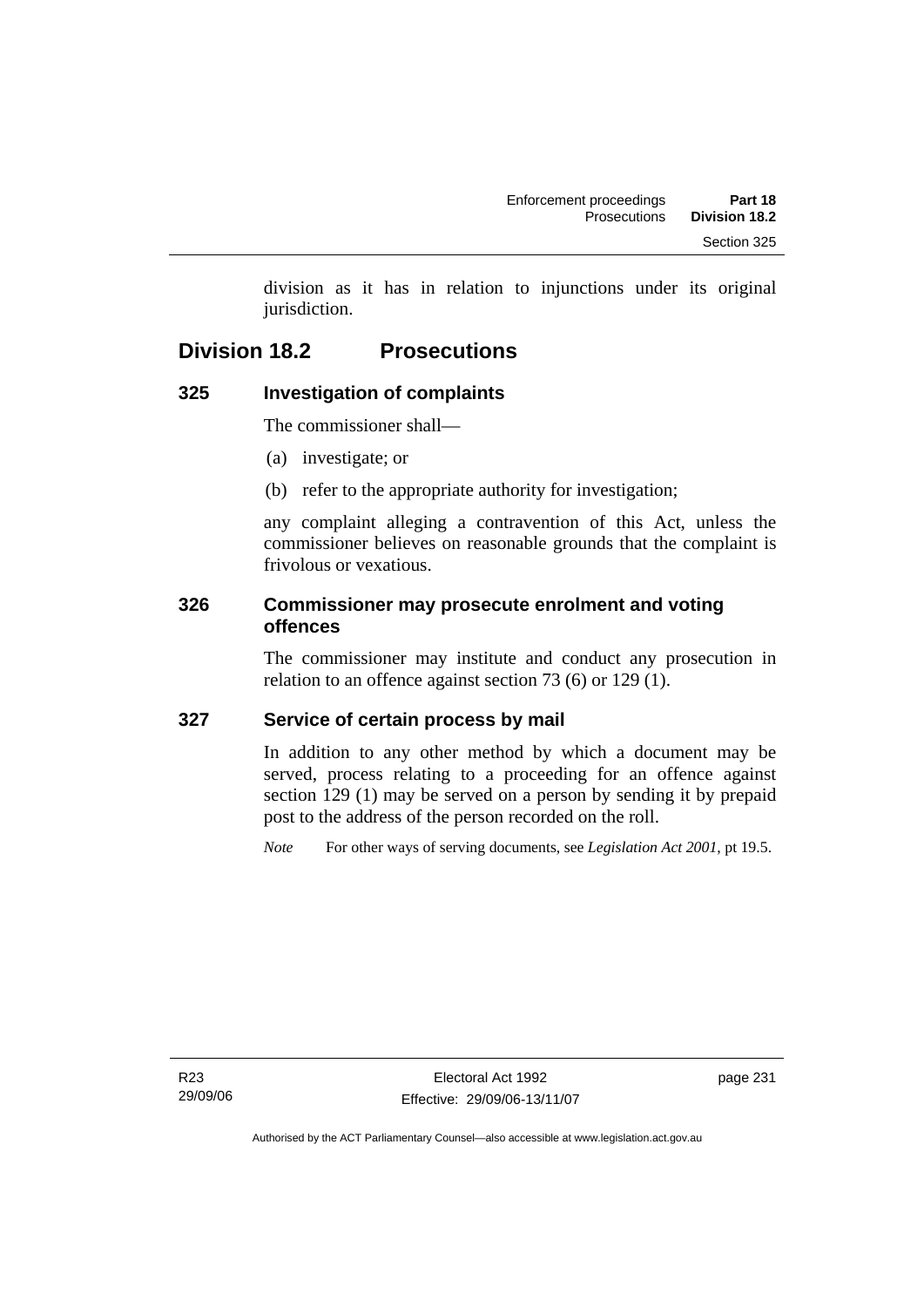division as it has in relation to injunctions under its original jurisdiction.

# **Division 18.2 Prosecutions**

# **325 Investigation of complaints**

The commissioner shall—

- (a) investigate; or
- (b) refer to the appropriate authority for investigation;

any complaint alleging a contravention of this Act, unless the commissioner believes on reasonable grounds that the complaint is frivolous or vexatious.

### **326 Commissioner may prosecute enrolment and voting offences**

The commissioner may institute and conduct any prosecution in relation to an offence against section 73 (6) or 129 (1).

### **327 Service of certain process by mail**

In addition to any other method by which a document may be served, process relating to a proceeding for an offence against section 129 (1) may be served on a person by sending it by prepaid post to the address of the person recorded on the roll.

*Note* For other ways of serving documents, see *Legislation Act 2001*, pt 19.5.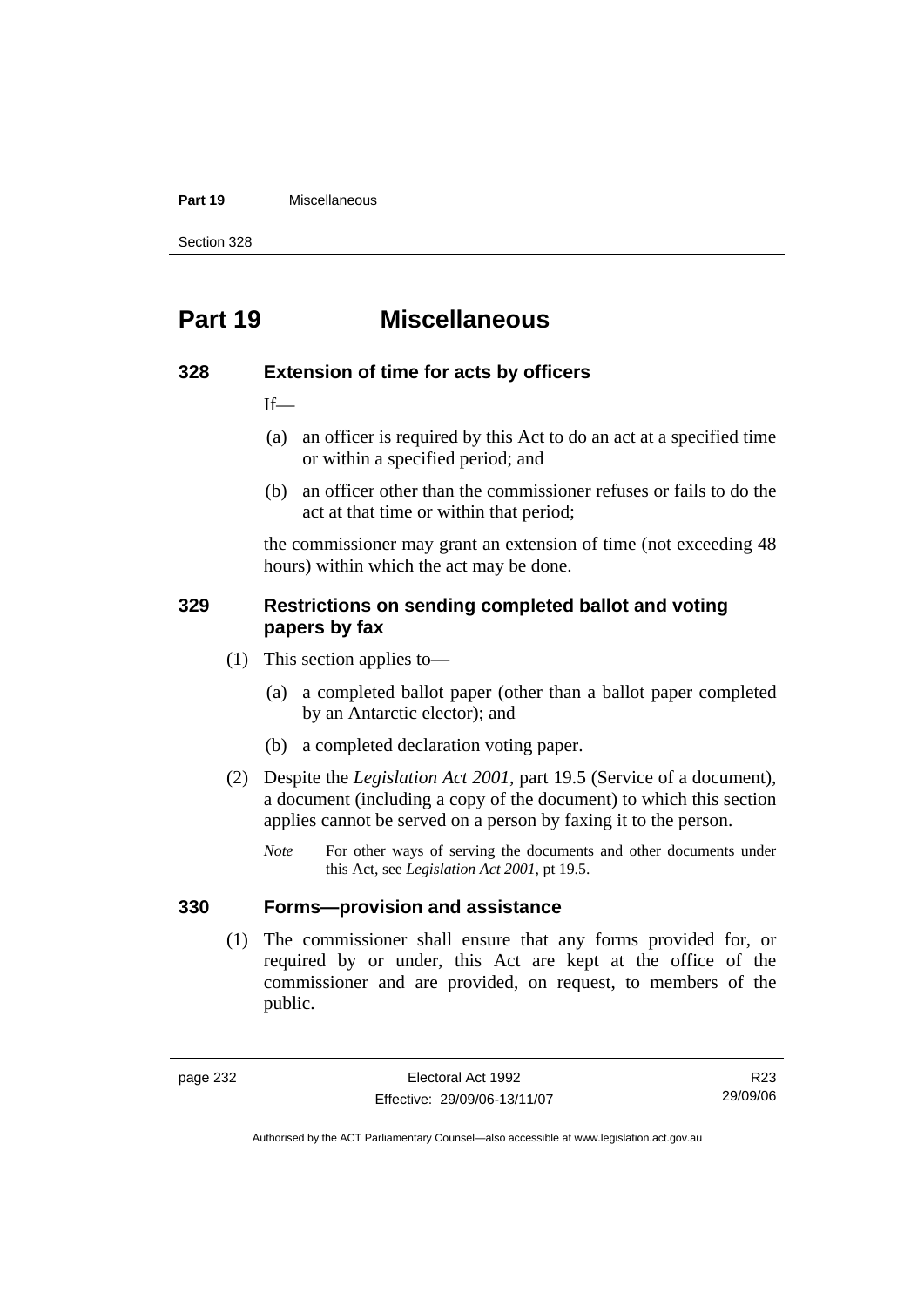#### **Part 19** Miscellaneous

Section 328

# **Part 19 Miscellaneous**

#### **328 Extension of time for acts by officers**

 $If$ —

- (a) an officer is required by this Act to do an act at a specified time or within a specified period; and
- (b) an officer other than the commissioner refuses or fails to do the act at that time or within that period;

the commissioner may grant an extension of time (not exceeding 48 hours) within which the act may be done.

#### **329 Restrictions on sending completed ballot and voting papers by fax**

- (1) This section applies to—
	- (a) a completed ballot paper (other than a ballot paper completed by an Antarctic elector); and
	- (b) a completed declaration voting paper.
- (2) Despite the *Legislation Act 2001*, part 19.5 (Service of a document), a document (including a copy of the document) to which this section applies cannot be served on a person by faxing it to the person.
	- *Note* For other ways of serving the documents and other documents under this Act, see *Legislation Act 2001*, pt 19.5.

#### **330 Forms—provision and assistance**

 (1) The commissioner shall ensure that any forms provided for, or required by or under, this Act are kept at the office of the commissioner and are provided, on request, to members of the public.

R23 29/09/06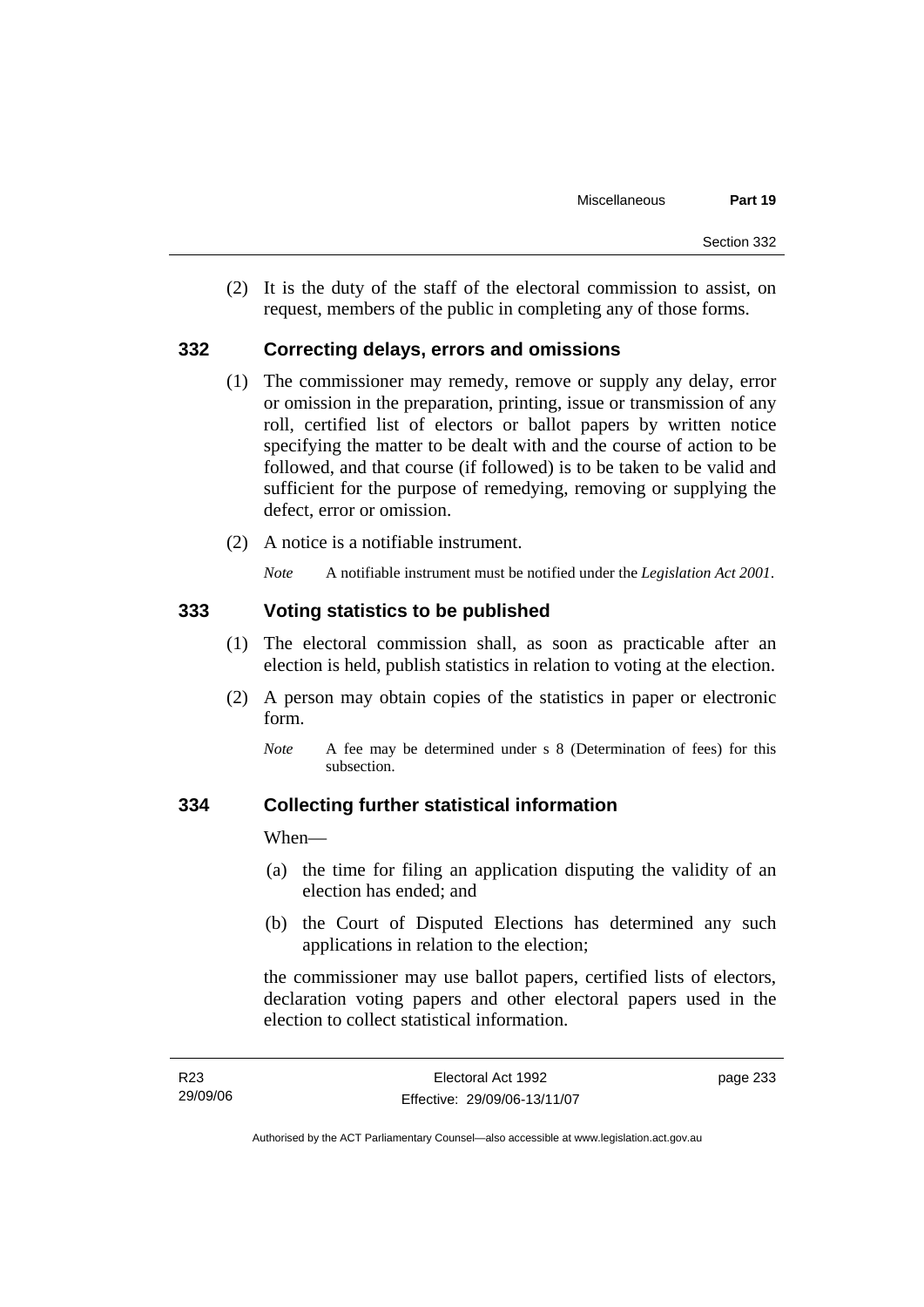(2) It is the duty of the staff of the electoral commission to assist, on request, members of the public in completing any of those forms.

#### **332 Correcting delays, errors and omissions**

- (1) The commissioner may remedy, remove or supply any delay, error or omission in the preparation, printing, issue or transmission of any roll, certified list of electors or ballot papers by written notice specifying the matter to be dealt with and the course of action to be followed, and that course (if followed) is to be taken to be valid and sufficient for the purpose of remedying, removing or supplying the defect, error or omission.
- (2) A notice is a notifiable instrument.

*Note* A notifiable instrument must be notified under the *Legislation Act 2001*.

#### **333 Voting statistics to be published**

- (1) The electoral commission shall, as soon as practicable after an election is held, publish statistics in relation to voting at the election.
- (2) A person may obtain copies of the statistics in paper or electronic form.
	- *Note* A fee may be determined under s 8 (Determination of fees) for this subsection.

#### **334 Collecting further statistical information**

When—

- (a) the time for filing an application disputing the validity of an election has ended; and
- (b) the Court of Disputed Elections has determined any such applications in relation to the election;

the commissioner may use ballot papers, certified lists of electors, declaration voting papers and other electoral papers used in the election to collect statistical information.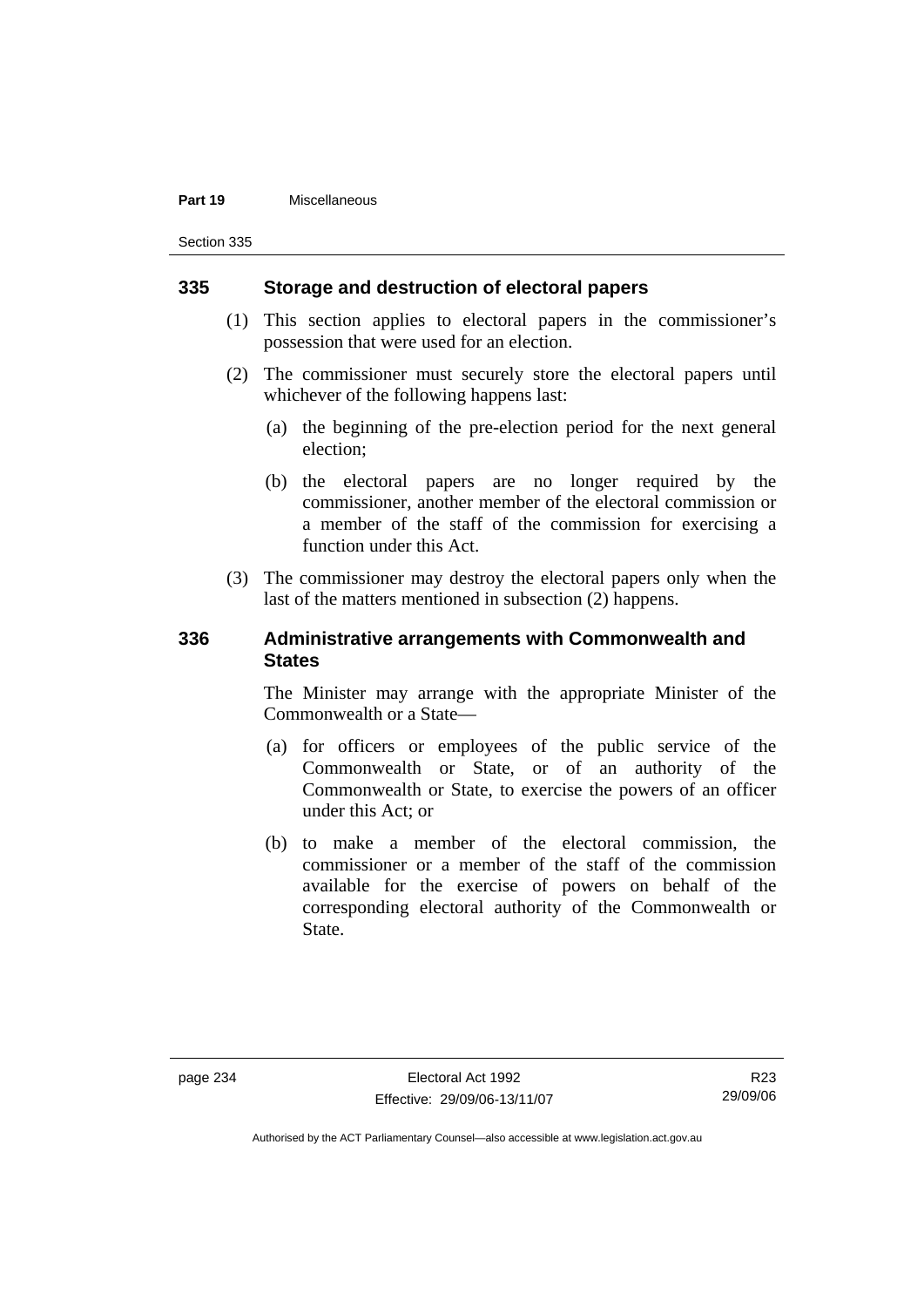#### **Part 19** Miscellaneous

Section 335

#### **335 Storage and destruction of electoral papers**

- (1) This section applies to electoral papers in the commissioner's possession that were used for an election.
- (2) The commissioner must securely store the electoral papers until whichever of the following happens last:
	- (a) the beginning of the pre-election period for the next general election;
	- (b) the electoral papers are no longer required by the commissioner, another member of the electoral commission or a member of the staff of the commission for exercising a function under this Act.
- (3) The commissioner may destroy the electoral papers only when the last of the matters mentioned in subsection (2) happens.

#### **336 Administrative arrangements with Commonwealth and States**

The Minister may arrange with the appropriate Minister of the Commonwealth or a State—

- (a) for officers or employees of the public service of the Commonwealth or State, or of an authority of the Commonwealth or State, to exercise the powers of an officer under this Act; or
- (b) to make a member of the electoral commission, the commissioner or a member of the staff of the commission available for the exercise of powers on behalf of the corresponding electoral authority of the Commonwealth or State.

R23 29/09/06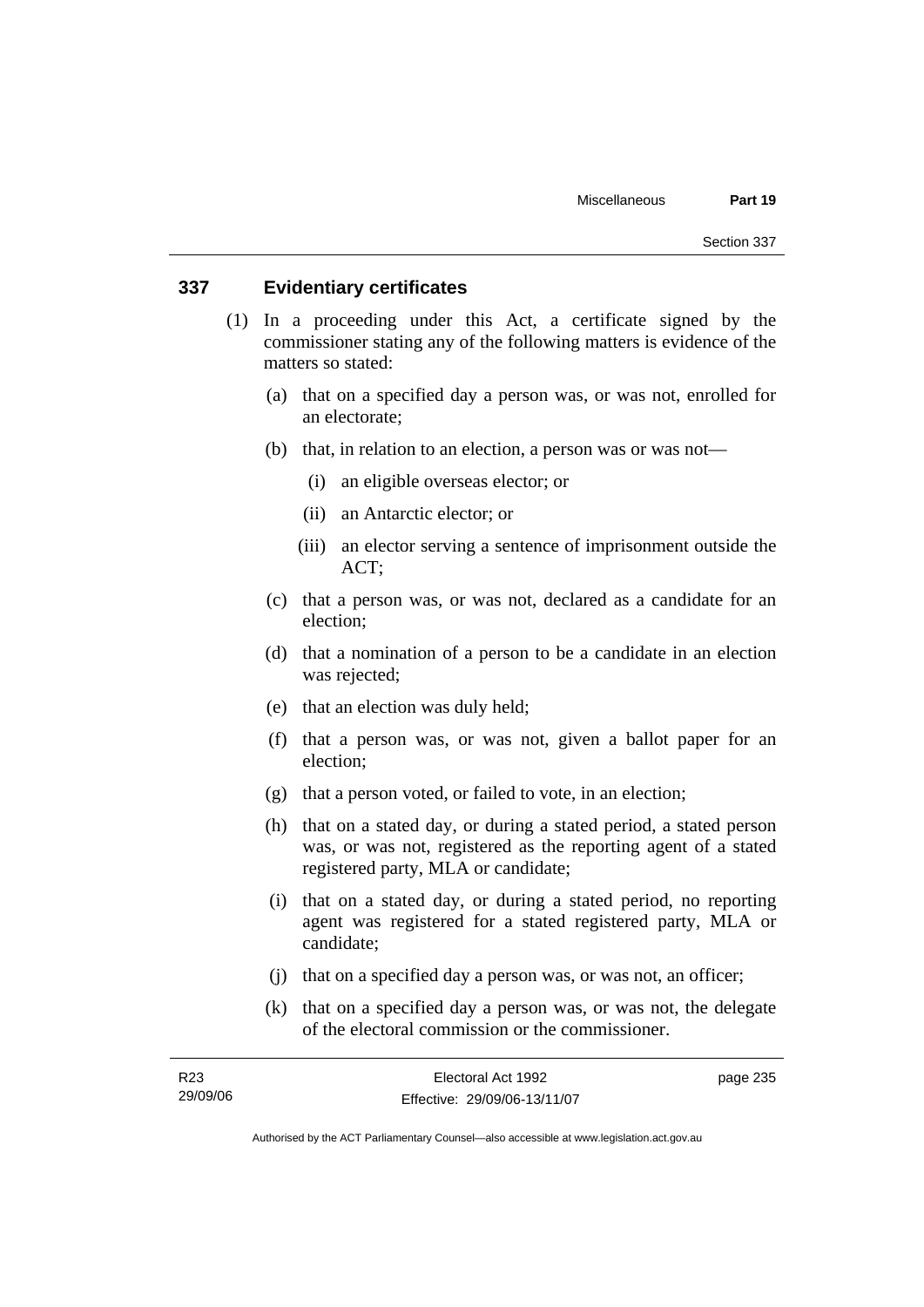#### **337 Evidentiary certificates**

- (1) In a proceeding under this Act, a certificate signed by the commissioner stating any of the following matters is evidence of the matters so stated:
	- (a) that on a specified day a person was, or was not, enrolled for an electorate;
	- (b) that, in relation to an election, a person was or was not—
		- (i) an eligible overseas elector; or
		- (ii) an Antarctic elector; or
		- (iii) an elector serving a sentence of imprisonment outside the ACT;
	- (c) that a person was, or was not, declared as a candidate for an election;
	- (d) that a nomination of a person to be a candidate in an election was rejected;
	- (e) that an election was duly held;
	- (f) that a person was, or was not, given a ballot paper for an election;
	- (g) that a person voted, or failed to vote, in an election;
	- (h) that on a stated day, or during a stated period, a stated person was, or was not, registered as the reporting agent of a stated registered party, MLA or candidate;
	- (i) that on a stated day, or during a stated period, no reporting agent was registered for a stated registered party, MLA or candidate;
	- (j) that on a specified day a person was, or was not, an officer;
	- (k) that on a specified day a person was, or was not, the delegate of the electoral commission or the commissioner.

| R23      | Electoral Act 1992           | page 235 |
|----------|------------------------------|----------|
| 29/09/06 | Effective: 29/09/06-13/11/07 |          |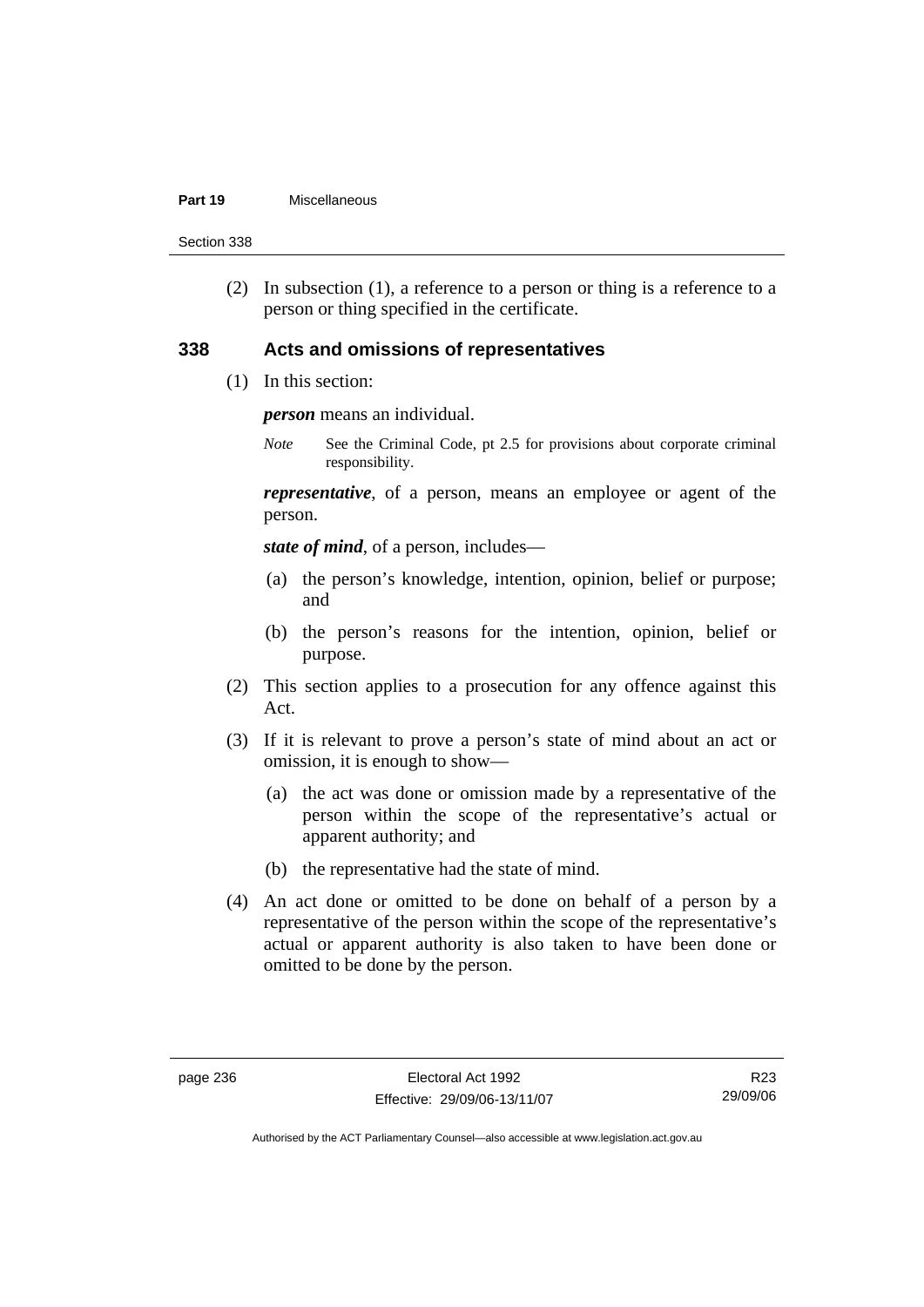#### **Part 19** Miscellaneous

Section 338

 (2) In subsection (1), a reference to a person or thing is a reference to a person or thing specified in the certificate.

#### **338 Acts and omissions of representatives**

(1) In this section:

*person* means an individual.

*Note* See the Criminal Code, pt 2.5 for provisions about corporate criminal responsibility.

*representative*, of a person, means an employee or agent of the person.

*state of mind*, of a person, includes—

- (a) the person's knowledge, intention, opinion, belief or purpose; and
- (b) the person's reasons for the intention, opinion, belief or purpose.
- (2) This section applies to a prosecution for any offence against this Act.
- (3) If it is relevant to prove a person's state of mind about an act or omission, it is enough to show—
	- (a) the act was done or omission made by a representative of the person within the scope of the representative's actual or apparent authority; and
	- (b) the representative had the state of mind.
- (4) An act done or omitted to be done on behalf of a person by a representative of the person within the scope of the representative's actual or apparent authority is also taken to have been done or omitted to be done by the person.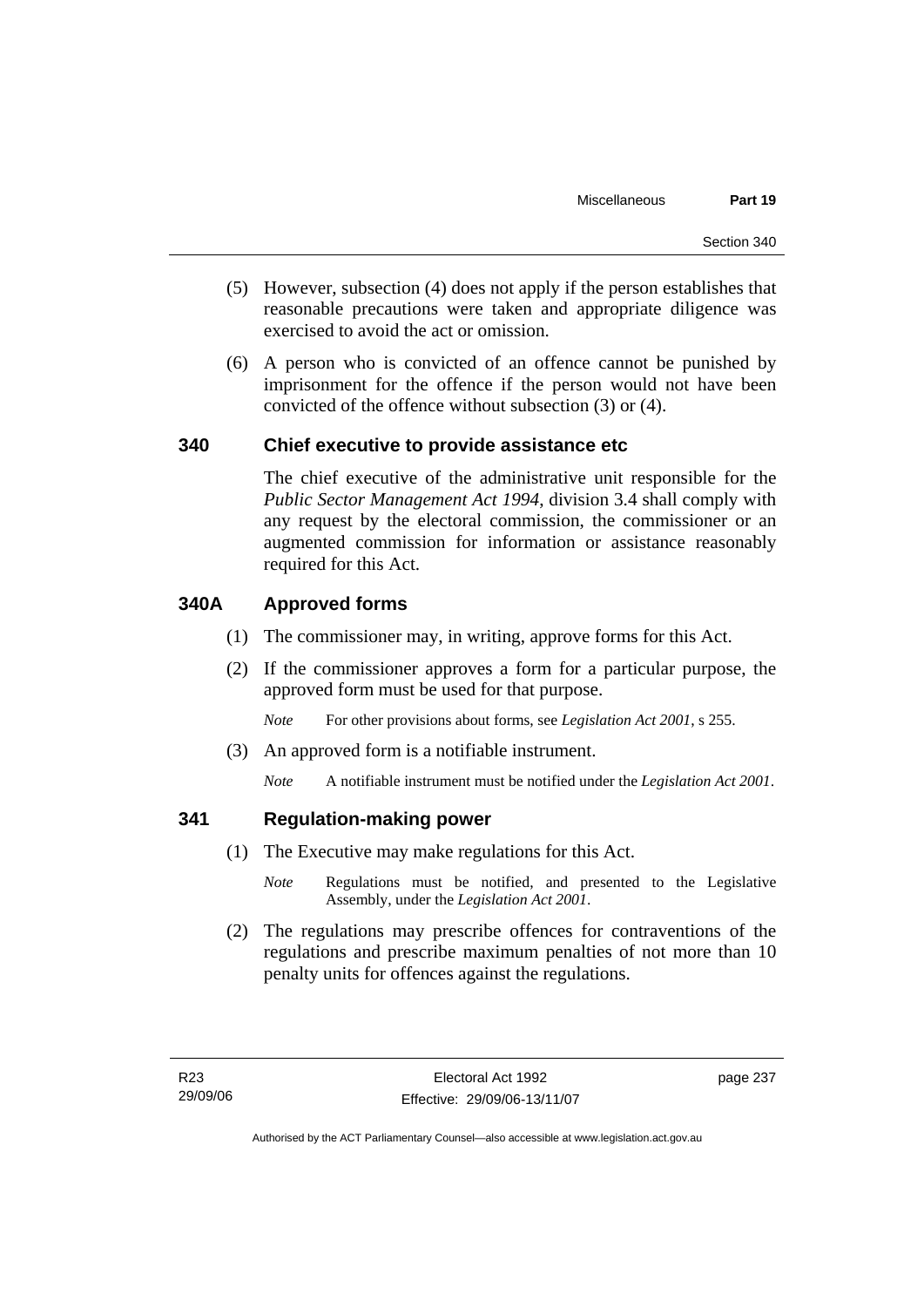- (5) However, subsection (4) does not apply if the person establishes that reasonable precautions were taken and appropriate diligence was exercised to avoid the act or omission.
- (6) A person who is convicted of an offence cannot be punished by imprisonment for the offence if the person would not have been convicted of the offence without subsection (3) or (4).

### **340 Chief executive to provide assistance etc**

The chief executive of the administrative unit responsible for the *Public Sector Management Act 1994*, division 3.4 shall comply with any request by the electoral commission, the commissioner or an augmented commission for information or assistance reasonably required for this Act.

### **340A Approved forms**

- (1) The commissioner may, in writing, approve forms for this Act.
- (2) If the commissioner approves a form for a particular purpose, the approved form must be used for that purpose.

*Note* For other provisions about forms, see *Legislation Act 2001*, s 255.

(3) An approved form is a notifiable instrument.

*Note* A notifiable instrument must be notified under the *Legislation Act 2001*.

### **341 Regulation-making power**

- (1) The Executive may make regulations for this Act.
	- *Note* Regulations must be notified, and presented to the Legislative Assembly, under the *Legislation Act 2001*.
- (2) The regulations may prescribe offences for contraventions of the regulations and prescribe maximum penalties of not more than 10 penalty units for offences against the regulations.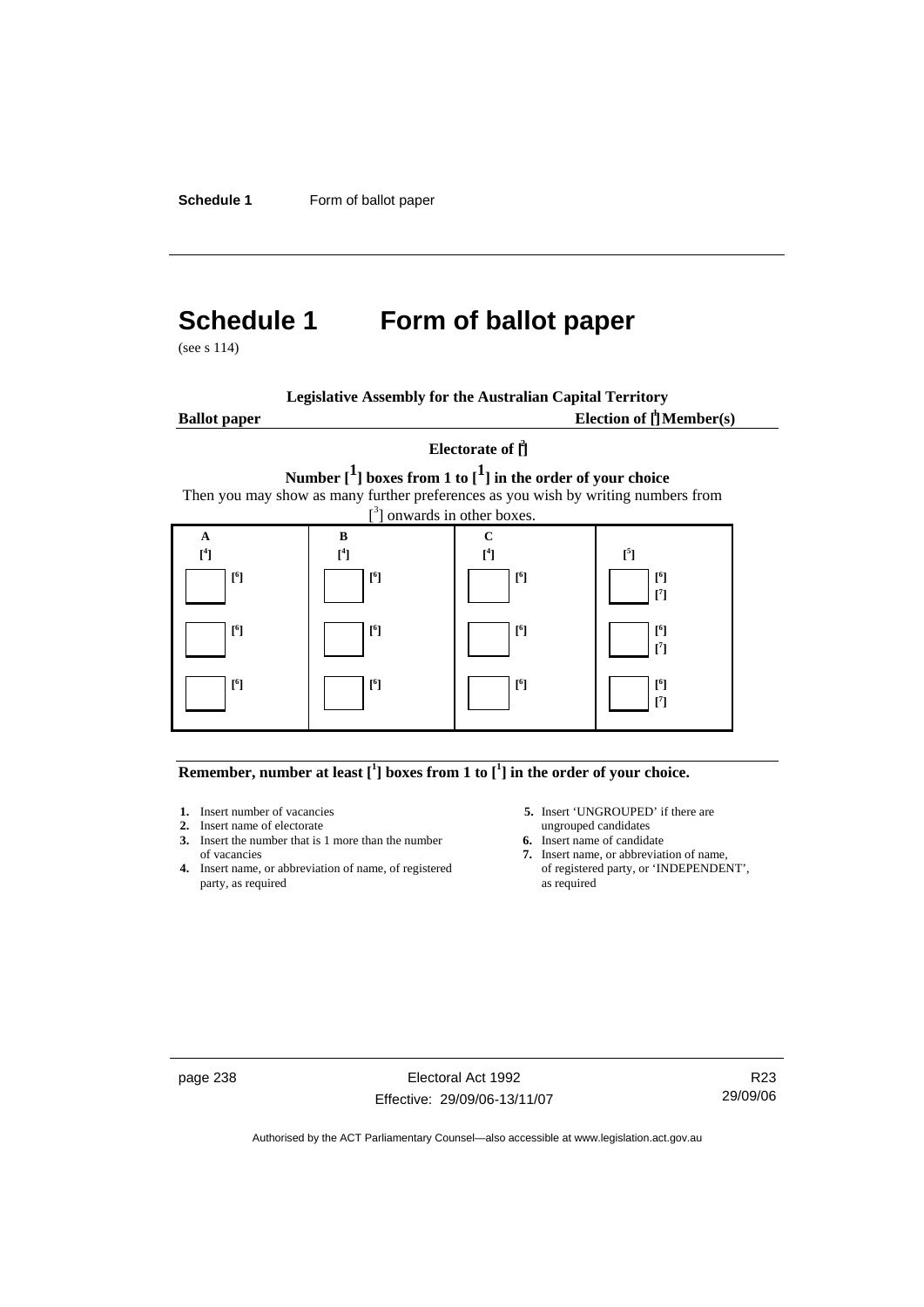**Schedule 1** Form of ballot paper

# **Schedule 1 Form of ballot paper**

(see s 114)

| <b>Legislative Assembly for the Australian Capital Territory</b> |  |  |  |  |  |  |  |
|------------------------------------------------------------------|--|--|--|--|--|--|--|
|------------------------------------------------------------------|--|--|--|--|--|--|--|

**Ballot paper** 

Election of  $\mathbf{\hat{\mathsf{\Gamma}}}$  Member(s)

### **Electorate of [ 2 ] Number [1] boxes from 1 to [1] in the order of your choice**  Then you may show as many further preferences as you wish by writing numbers from

[<sup>3</sup>] onwards in other boxes. **A [ 4 ] B [ 4 ] C [ 4 ] [ 5**  $\begin{bmatrix} 4 \end{bmatrix}$   $\begin{bmatrix} 4 \end{bmatrix}$   $\begin{bmatrix} 4 \end{bmatrix}$   $\begin{bmatrix} 4 \end{bmatrix}$   $\begin{bmatrix} 5 \end{bmatrix}$  **[ 6 ] [ 6 ] [ 6 ] [ 6 ] [ 7 ] [ 6 ] [ 6 ] [ 6 ] [ 6 ] [ 7 ] [ 6 ] [ 6 ] [ 6 ] [ 6 ] [ 7 ]** 

#### **Remember, number at least**  $\begin{bmatrix} 1 \end{bmatrix}$  boxes from 1 to  $\begin{bmatrix} 1 \end{bmatrix}$  in the order of your choice.

- 
- **2.** Insert name of electorate ungrouped candidates<br> **3.** Insert the number that is 1 more than the number<br> **6.** Insert name of candidate **3.** Insert the number that is 1 more than the number
- **4.** Insert name, or abbreviation of name, of registered party, as required as required
- **1.** Insert number of vacancies **5.** Insert 'UNGROUPED' if there are **2.** Insert name of electorate **1.** Insert name of electorate
	-
	- of vacancies **7.** Insert name, or abbreviation of name,  $\frac{1}{2}$  Insert name, or abbreviation of name, of registered party, or 'INDEPENDENT',

page 238 Electoral Act 1992 Effective: 29/09/06-13/11/07

R23 29/09/06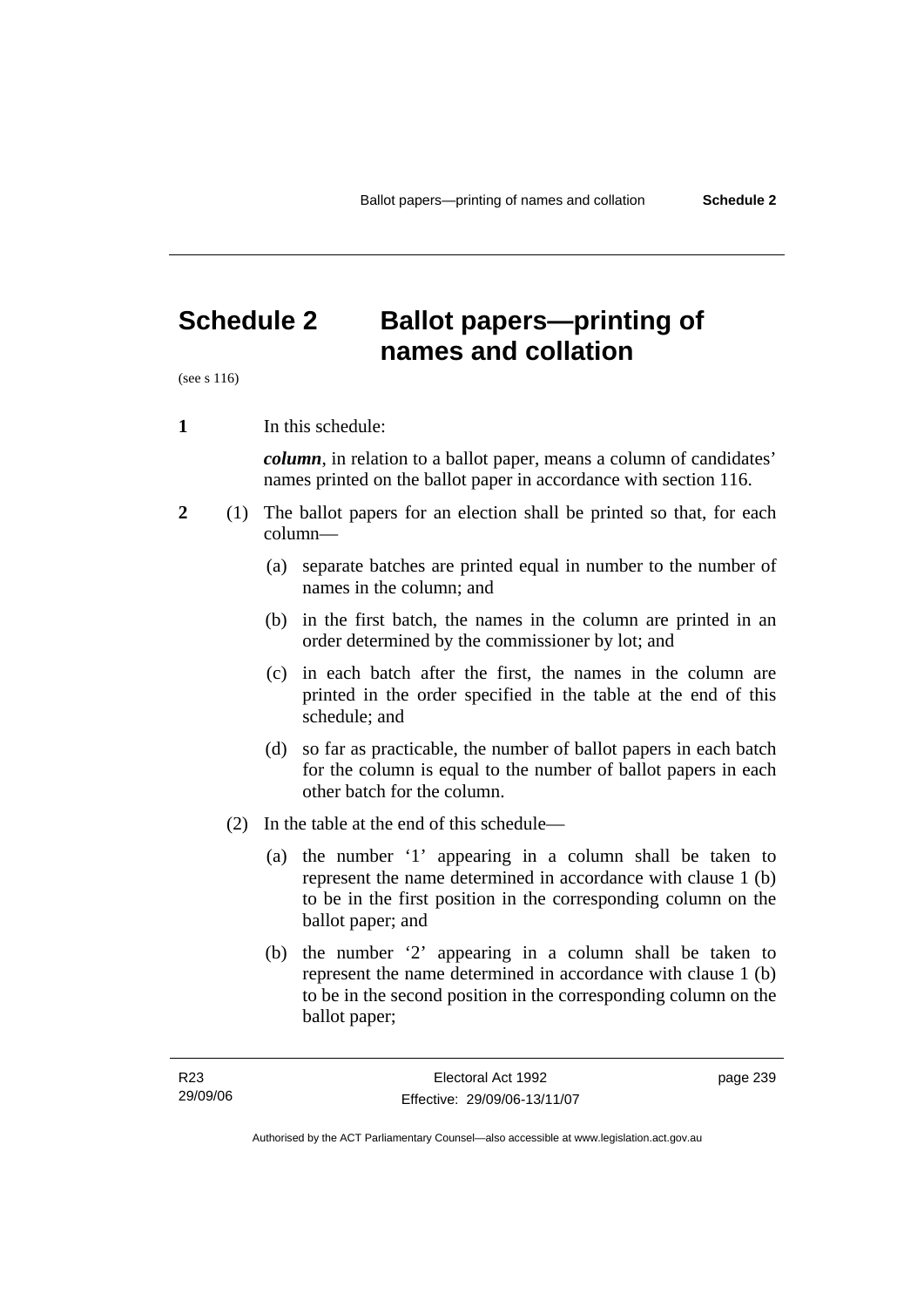**names and collation** 

# **Schedule 2 Ballot papers—printing of**

(see s 116)

**1** In this schedule:

*column*, in relation to a ballot paper, means a column of candidates' names printed on the ballot paper in accordance with section 116.

- **2** (1) The ballot papers for an election shall be printed so that, for each column—
	- (a) separate batches are printed equal in number to the number of names in the column; and
	- (b) in the first batch, the names in the column are printed in an order determined by the commissioner by lot; and
	- (c) in each batch after the first, the names in the column are printed in the order specified in the table at the end of this schedule; and
	- (d) so far as practicable, the number of ballot papers in each batch for the column is equal to the number of ballot papers in each other batch for the column.
	- (2) In the table at the end of this schedule—
		- (a) the number '1' appearing in a column shall be taken to represent the name determined in accordance with clause 1 (b) to be in the first position in the corresponding column on the ballot paper; and
		- (b) the number '2' appearing in a column shall be taken to represent the name determined in accordance with clause 1 (b) to be in the second position in the corresponding column on the ballot paper;

page 239

Authorised by the ACT Parliamentary Counsel—also accessible at www.legislation.act.gov.au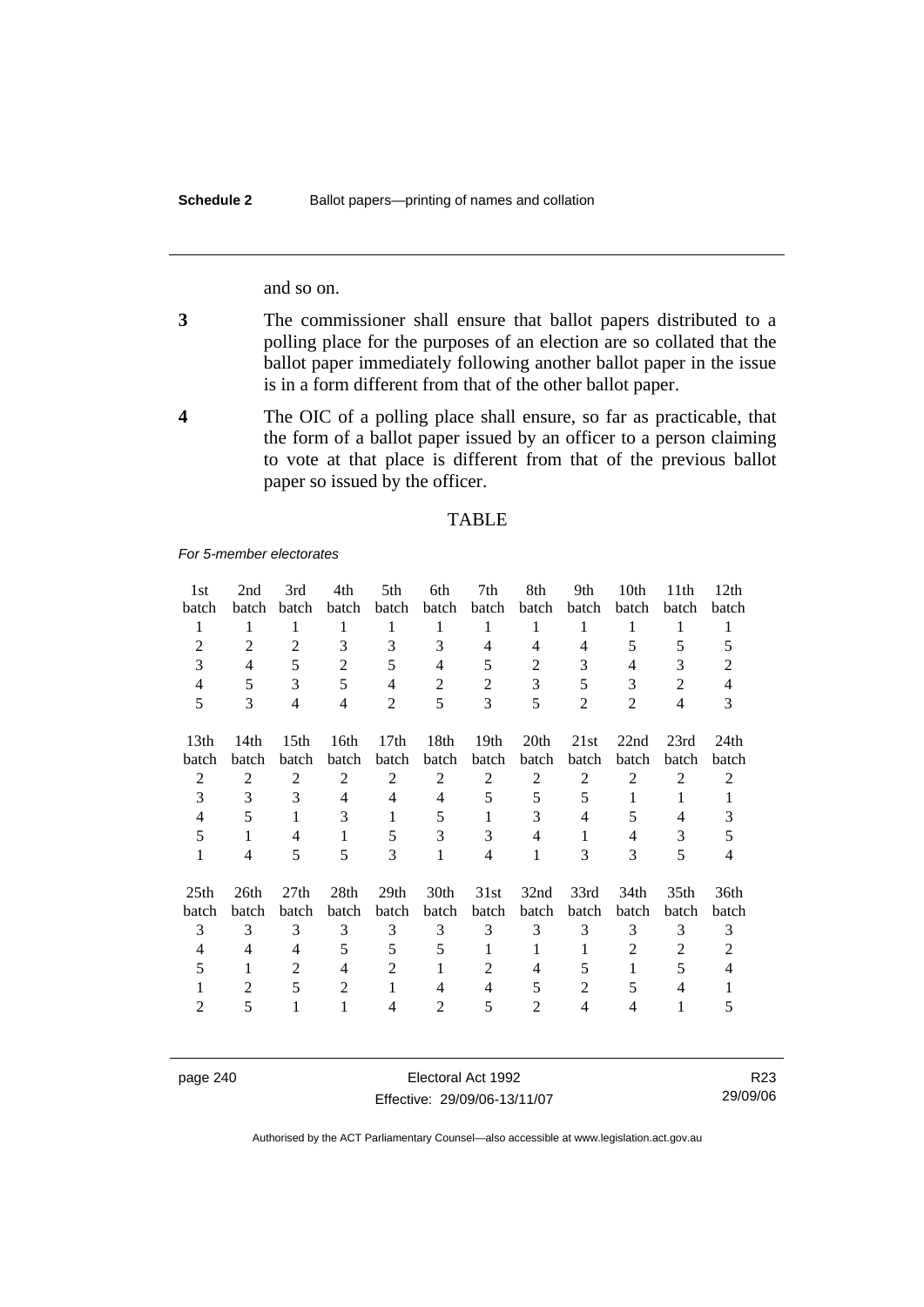and so on.

- **3** The commissioner shall ensure that ballot papers distributed to a polling place for the purposes of an election are so collated that the ballot paper immediately following another ballot paper in the issue is in a form different from that of the other ballot paper.
- **4** The OIC of a polling place shall ensure, so far as practicable, that the form of a ballot paper issued by an officer to a person claiming to vote at that place is different from that of the previous ballot paper so issued by the officer.

#### TABLE

*For 5-member electorates*

| 1st              | 2nd            | 3rd              | 4th            | 5th              | 6th            | 7th              | 8th            | 9th            | 10th             | 11 <sup>th</sup> | 12th           |
|------------------|----------------|------------------|----------------|------------------|----------------|------------------|----------------|----------------|------------------|------------------|----------------|
| batch            | batch          | batch            | batch          | batch            | batch          | batch            | batch          | batch          | batch            | batch            | batch          |
| 1                | 1              | 1                | 1              | 1                | 1              | 1                | 1              | 1              | 1                | 1                | $\mathbf{1}$   |
| $\overline{2}$   | 2              | $\overline{2}$   | 3              | 3                | 3              | 4                | 4              | $\overline{4}$ | 5                | 5                | 5              |
| 3                | $\overline{4}$ | 5                | $\overline{2}$ | 5                | 4              | 5                | $\overline{c}$ | 3              | 4                | 3                | $\overline{2}$ |
| 4                | 5              | 3                | 5              | $\overline{4}$   | $\overline{2}$ | 2                | 3              | 5              | 3                | 2                | $\overline{4}$ |
| 5                | 3              | $\overline{4}$   | $\overline{4}$ | 2                | 5              | 3                | 5              | $\overline{2}$ | $\overline{2}$   | $\overline{4}$   | 3              |
| 13 <sub>th</sub> | 14th           | 15 <sup>th</sup> | 16th           | 17th             | 18th           | 19 <sub>th</sub> | 20th           | 21st           | 22nd             | 23rd             | 24th           |
| batch            | batch          | batch            | batch          | batch            | batch          | batch            | batch          | batch          | batch            | batch            | batch          |
| $\overline{2}$   | 2              | 2                | 2              | $\overline{2}$   | $\overline{2}$ | $\overline{c}$   | 2              | 2              | 2                | $\mathfrak{2}$   | 2              |
| 3                | 3              | 3                | 4              | 4                | 4              | 5                | 5              | 5              | $\mathbf{1}$     | 1                | $\mathbf{1}$   |
| 4                | 5              | 1                | 3              | 1                | 5              | 1                | 3              | 4              | 5                | 4                | 3              |
| 5                | $\mathbf{1}$   | $\overline{4}$   | $\mathbf{1}$   | 5                | 3              | 3                | $\overline{4}$ | 1              | $\overline{4}$   | 3                | 5              |
| 1                | 4              | 5                | 5              | 3                | 1              | 4                | 1              | 3              | 3                | 5                | 4              |
| 25 <sub>th</sub> | 26th           | 27 <sub>th</sub> | 28th           | 29 <sub>th</sub> | 30th           | 31st             | 32nd           | 33rd           | 34 <sub>th</sub> | 35 <sub>th</sub> | 36th           |
| batch            | batch          | batch            | batch          | batch            | batch          | batch            | batch          | batch          | batch            | batch            | batch          |
| 3                | 3              | 3                | 3              | 3                | 3              | 3                | 3              | 3              | 3                | 3                | 3              |
| 4                | 4              | $\overline{4}$   | 5              | 5                | 5              | 1                | 1              | 1              | 2                | 2                | $\overline{c}$ |
| 5                | 1              | 2                | $\overline{4}$ | $\overline{2}$   | 1              | 2                | 4              | 5              | $\mathbf{1}$     | 5                | $\overline{4}$ |
| 1                | $\overline{2}$ | 5                | $\overline{2}$ | 1                | 4              | 4                | 5              | 2              | 5                | 4                | 1              |
| $\overline{2}$   | 5              | 1                | 1              | 4                | 2              | 5                | 2              | 4              | 4                | 1                | 5              |

page 240 Electoral Act 1992 Effective: 29/09/06-13/11/07

R23 29/09/06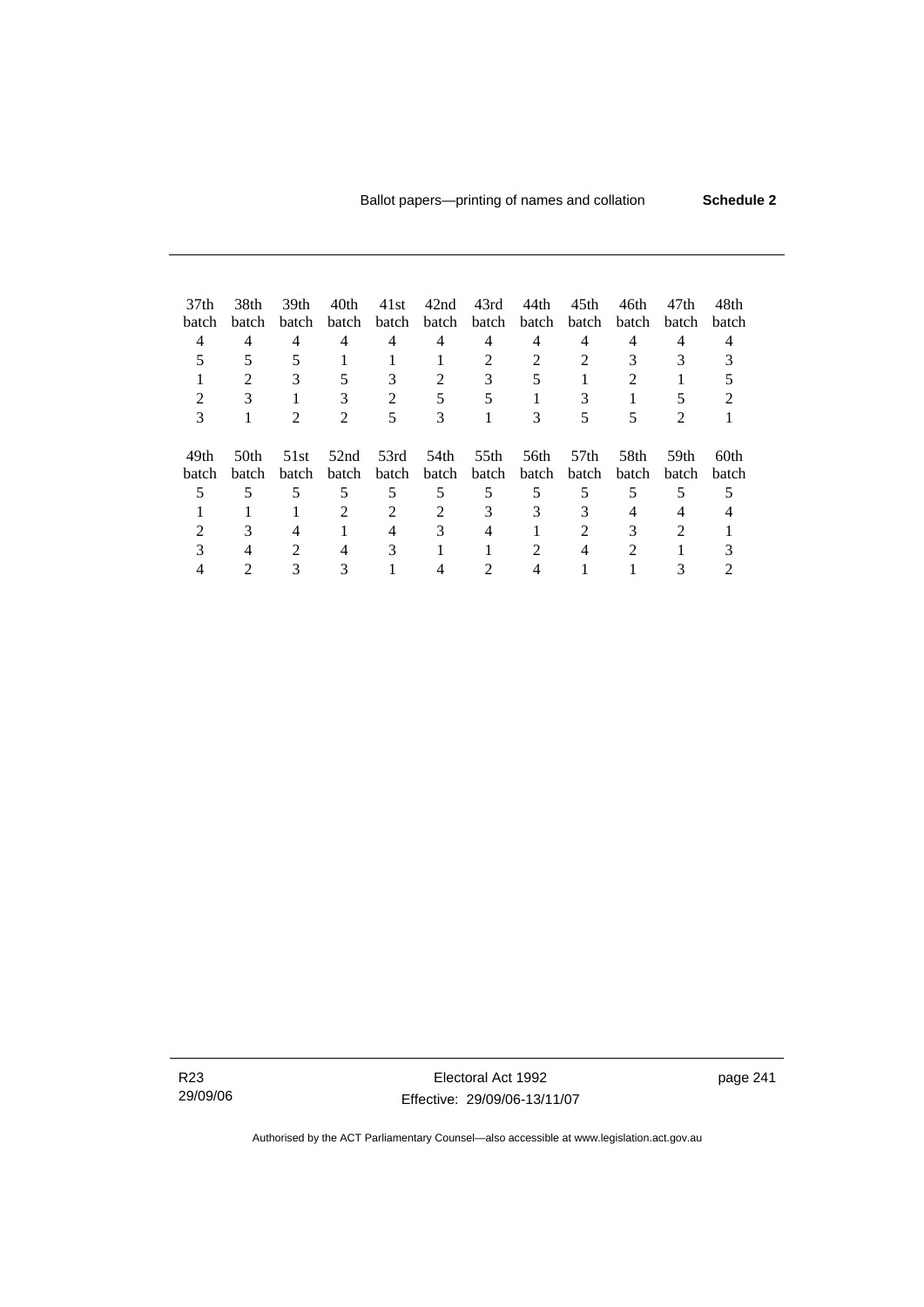| 37 <sub>th</sub><br>batch<br>4<br>2<br>3 | 38th<br>batch<br>4<br>2<br>3 | 39th<br><b>batch</b><br>4<br>3<br>$\mathfrak{D}$ | 40th<br>batch<br>4<br>5<br>3<br>$\overline{\mathcal{L}}$ | 41st<br>batch<br>4<br>3<br>$\mathfrak{D}$<br>5 | 42nd<br>batch<br>4<br>2<br>5<br>3 | 43rd<br>batch<br>4<br>$\mathfrak{D}$<br>3<br>5 | 44th<br>batch<br>4<br>$\mathfrak{D}$<br>5<br>3 | 45th<br>batch<br>4<br>$\mathfrak{D}$<br>3<br>5 | 46th<br>batch<br>4<br>3<br>2<br>5 | 47th<br>batch<br>4<br>3<br>2 | 48th<br>batch |  |
|------------------------------------------|------------------------------|--------------------------------------------------|----------------------------------------------------------|------------------------------------------------|-----------------------------------|------------------------------------------------|------------------------------------------------|------------------------------------------------|-----------------------------------|------------------------------|---------------|--|
| 49th<br>batch                            | 50th<br>batch                | 51st<br>batch                                    | 52nd<br>batch                                            | 53rd<br>batch                                  | 54th<br>batch                     | 55th<br>batch                                  | 56th<br><b>batch</b>                           | 57 <sub>th</sub><br><b>batch</b>               | 58th<br>batch                     | 59th<br><b>batch</b>         | 60th<br>batch |  |
| 5                                        | 5                            | 5                                                | 5                                                        | 5                                              | 5                                 | 5                                              | 5                                              | 5                                              | 5                                 | 5                            |               |  |
|                                          |                              |                                                  | 2                                                        | 2                                              | $\mathfrak{D}$                    | 3                                              | 3                                              | 3                                              | 4                                 | 4                            |               |  |
|                                          | 3                            | 4                                                |                                                          | 4                                              | 3                                 | 4                                              |                                                | $\mathfrak{D}$                                 | 3                                 | $\mathfrak{D}$               |               |  |
| 3                                        | 4                            | $\mathfrak{D}$                                   | 4                                                        | 3                                              |                                   |                                                |                                                | 4                                              | 2                                 |                              |               |  |
|                                          |                              |                                                  |                                                          |                                                |                                   |                                                |                                                |                                                |                                   |                              |               |  |

R23 29/09/06

Electoral Act 1992 Effective: 29/09/06-13/11/07 page 241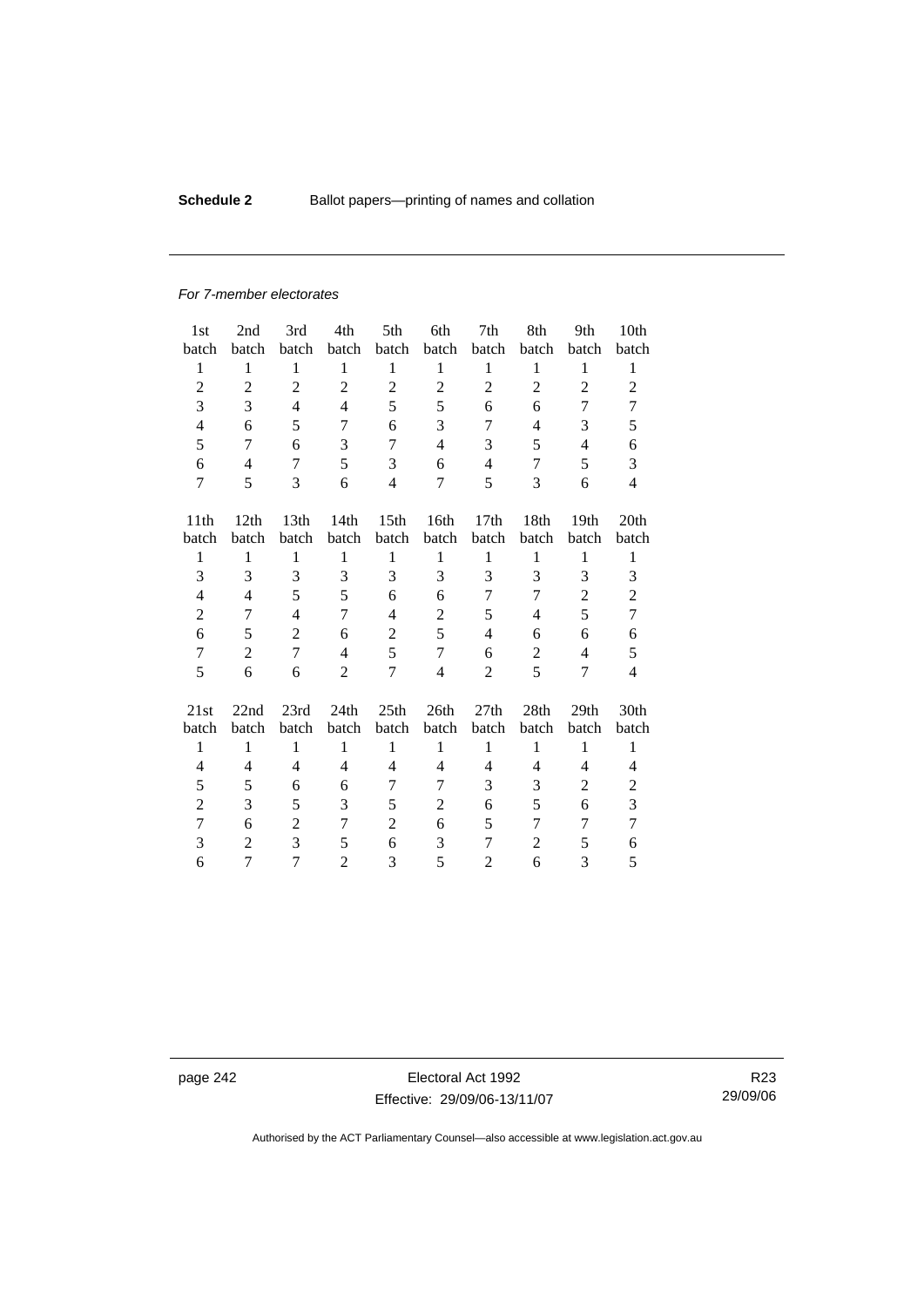### **Schedule 2 Ballot papers—printing of names and collation**

#### *For 7-member electorates*

| 1st                      | 2nd            | 3rd            | 4th            | 5th              | 6th            | 7th            | 8th                                                          | 9th              | 10th           |
|--------------------------|----------------|----------------|----------------|------------------|----------------|----------------|--------------------------------------------------------------|------------------|----------------|
| batch                    | batch          | batch          | batch          | batch            | batch          | batch          | batch                                                        | batch            | batch          |
| 1                        | 1              | 1              | $\mathbf{1}$   | $\mathbf{1}$     | $\mathbf{1}$   | $\mathbf{1}$   | 1                                                            | 1                | 1              |
| $\overline{2}$           | $\overline{2}$ | $\overline{c}$ | $\overline{2}$ | $\overline{2}$   | $\mathbf{2}$   | $\overline{2}$ | $\overline{2}$                                               | $\overline{2}$   | 2              |
| 3                        | 3              | $\overline{4}$ | $\overline{4}$ | 5                | 5              | 6              | 6                                                            | 7                | 7              |
| $\overline{\mathcal{L}}$ | 6              | 5              | 7              | 6                | 3              | 7              | $\overline{4}$                                               | 3                | 5              |
| 5                        | 7              | 6              | 3              | 7                | $\overline{4}$ | 3              | 5                                                            | $\overline{4}$   | 6              |
| 6                        | $\overline{4}$ | 7              | 5              | 3                | 6              | $\overline{4}$ | 7                                                            | 5                | 3              |
| $\overline{7}$           | 5              | 3              | 6              | $\overline{4}$   | 7              | 5              | 3                                                            | 6                | $\overline{4}$ |
| 11th                     | 12th           | 13th           | 14th           | 15 <sub>th</sub> | 16th           | 17th           | 18th                                                         | 19th             | 20th           |
| batch                    | batch          | batch          | batch          | batch            | batch          | batch          | batch                                                        | batch            | batch          |
| $\mathbf{1}$             | $\mathbf{1}$   | $\mathbf{1}$   | $\mathbf{1}$   | $\mathbf{1}$     | $\mathbf{1}$   | $\mathbf{1}$   | $\mathbf{1}$                                                 | $\mathbf{1}$     | $\mathbf{1}$   |
| 3                        | 3              | $\overline{3}$ | 3              | 3                | 3              | 3              | 3                                                            | 3                | 3              |
| 4                        | 4              | 5              | 5              | 6                | 6              | 7              | 7                                                            | $\overline{2}$   | $\overline{c}$ |
| $\overline{c}$           | 7              | $\overline{4}$ | $\overline{7}$ | $\overline{4}$   | $\overline{c}$ | 5              | 4                                                            | 5                | 7              |
| 6                        | 5              | $\overline{2}$ | 6              | $\overline{c}$   | 5              | $\overline{4}$ | 6                                                            | 6                | 6              |
| $\overline{7}$           | $\overline{c}$ | 7              | $\overline{4}$ | 5                | 7              | 6              | $\mathbf{2}$                                                 | $\overline{4}$   | 5              |
| 5                        | 6              | 6              | $\overline{2}$ | $\overline{7}$   | $\overline{4}$ | $\overline{2}$ | 5                                                            | 7                | $\overline{4}$ |
|                          |                |                |                |                  |                |                |                                                              |                  |                |
| 21st                     | 22nd           | 23rd           | 24th           | 25th             | 26th           | 27th           | 28th                                                         | 29 <sub>th</sub> | 30th           |
| batch                    | batch          | batch          | batch          | batch            | batch          | batch          | batch                                                        | batch            | batch          |
| $\mathbf{1}$             | $\mathbf{1}$   | $\mathbf{1}$   | 1              | $\mathbf{1}$     | $\mathbf{1}$   | $\mathbf{1}$   | $\mathbf{1}$                                                 | $\mathbf{1}$     | $\mathbf{1}$   |
| $\overline{4}$           | 4              | 4              | 4              | 4                | 4              | 4              | 4                                                            | $\overline{4}$   | 4              |
| 5                        | 5              | 6              | 6              | 7                | 7              | 3              | 3                                                            | $\overline{2}$   | $\overline{2}$ |
| $\overline{2}$           | 3              | 5              | 3              | 5                | $\overline{2}$ | 6              | 5                                                            | 6                | 3              |
| 7                        | 6              | $\overline{c}$ | 7              | $\overline{2}$   | 6              | 5              | 7                                                            | 7                | $\overline{7}$ |
| 3                        | $\overline{2}$ | 3              | 5              | 6                | 3              | 7              | $\mathfrak{2}% =\mathfrak{2}\left( \mathfrak{2}\right) ^{2}$ | 5                | 6              |
| 6                        | 7              | 7              | $\overline{2}$ | 3                | 5              | $\overline{2}$ | 6                                                            | 3                | 5              |

page 242 Electoral Act 1992 Effective: 29/09/06-13/11/07

R23 29/09/06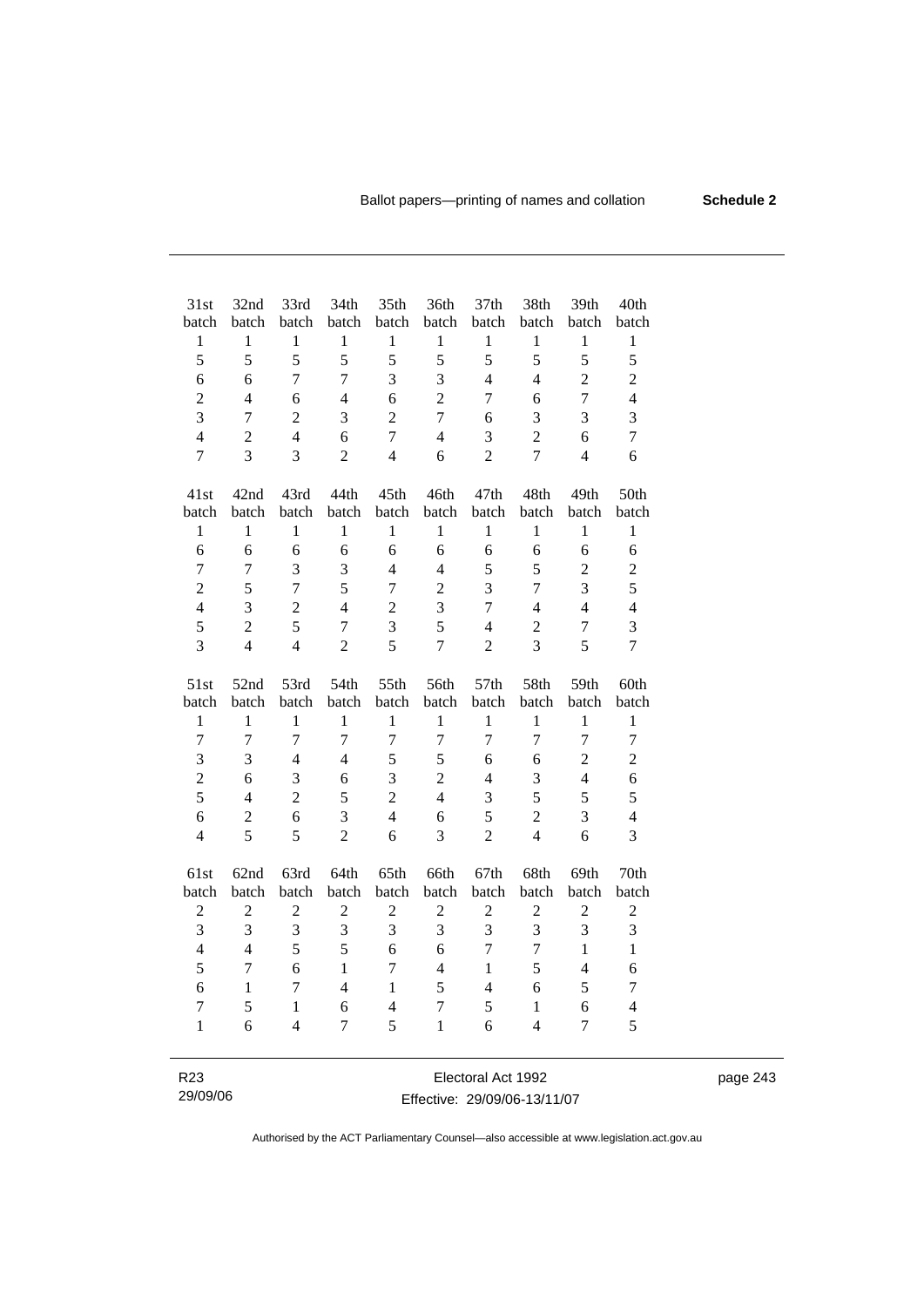| 31st             | 32nd           | 33rd           | 34th                     | 35th           | 36th             | 37th           | 38th           | 39th           | 40th           |
|------------------|----------------|----------------|--------------------------|----------------|------------------|----------------|----------------|----------------|----------------|
| batch            | batch          | batch          | batch                    | batch          | batch            | batch          | batch          | batch          | batch          |
| $\mathbf{1}$     | $\mathbf{1}$   | $\mathbf{1}$   | $\mathbf{1}$             | $\mathbf{1}$   | $\mathbf{1}$     | $\mathbf{1}$   | $\mathbf{1}$   | $\mathbf{1}$   | $\mathbf{1}$   |
| 5                | 5              | 5              | 5                        | 5              | 5                | 5              | 5              | 5              | 5              |
| 6                | 6              | $\tau$         | $\overline{7}$           | 3              | 3                | $\overline{4}$ | $\overline{4}$ | $\overline{2}$ | $\mathbf{2}$   |
| $\overline{c}$   | $\overline{4}$ | 6              | $\overline{4}$           | 6              | $\overline{2}$   | $\overline{7}$ | 6              | $\overline{7}$ | $\overline{4}$ |
| 3                | $\overline{7}$ | $\overline{c}$ | 3                        | $\overline{c}$ | $\overline{7}$   | 6              | 3              | 3              | 3              |
| $\overline{4}$   | $\overline{2}$ | $\overline{4}$ | 6                        | $\tau$         | $\overline{4}$   | 3              | $\overline{2}$ | 6              | $\tau$         |
| $\overline{7}$   | 3              | 3              | $\overline{2}$           | $\overline{4}$ | 6                | $\overline{c}$ | $\overline{7}$ | $\overline{4}$ | 6              |
| 41st             | 42nd           | 43rd           | 44th                     | 45th           | 46th             | 47th           | 48th           | 49th           | 50th           |
| batch            | batch          | batch          | batch                    | batch          | batch            | batch          | batch          | batch          | batch          |
| $\mathbf{1}$     | $\mathbf{1}$   | $\mathbf{1}$   | $\mathbf{1}$             | $\mathbf{1}$   | $\mathbf{1}$     | $\mathbf{1}$   | $\mathbf{1}$   | $\mathbf{1}$   | $\,1$          |
| 6                | 6              | 6              | 6                        | 6              | 6                | 6              | 6              | 6              | 6              |
| $\overline{7}$   | $\overline{7}$ | $\overline{3}$ | $\overline{3}$           | $\overline{4}$ | $\overline{4}$   | 5              | 5              | $\overline{2}$ | $\overline{c}$ |
| $\overline{c}$   | 5              | $\overline{7}$ | 5                        | $\overline{7}$ | $\overline{2}$   | $\overline{3}$ | $\overline{7}$ | 3              | 5              |
| $\overline{4}$   | 3              | $\overline{2}$ | $\overline{4}$           | $\overline{2}$ | 3                | $\overline{7}$ | $\overline{4}$ | $\overline{4}$ | $\overline{4}$ |
| 5                | $\overline{c}$ | 5              | $\overline{7}$           | 3              | 5                | $\overline{4}$ | $\sqrt{2}$     | $\overline{7}$ | 3              |
| $\overline{3}$   | $\overline{4}$ | $\overline{4}$ | $\overline{2}$           | 5              | $\tau$           | $\overline{2}$ | 3              | 5              | $\tau$         |
| 51st             | 52nd           | 53rd           | 54th                     | 55th           | 56th             | 57th           | 58th           | 59th           | 60th           |
| batch            | batch          | batch          | batch                    | batch          | batch            | batch          | batch          | batch          | batch          |
| $\mathbf{1}$     | $\mathbf{1}$   | 1              | $\mathbf{1}$             | $\mathbf{1}$   | $\mathbf{1}$     | $\mathbf{1}$   | $\mathbf{1}$   | $\mathbf{1}$   | $\mathbf{1}$   |
| $\overline{7}$   | $\overline{7}$ | $\overline{7}$ | $\overline{7}$           | $\overline{7}$ | $\overline{7}$   | $\overline{7}$ | $\overline{7}$ | $\overline{7}$ | $\tau$         |
| 3                | 3              | $\overline{4}$ | $\overline{4}$           | 5              | 5                | 6              | 6              | $\overline{2}$ | $\overline{2}$ |
| $\overline{2}$   | 6              | 3              | 6                        | 3              | $\overline{2}$   | $\overline{4}$ | 3              | $\overline{4}$ | 6              |
| 5                | $\overline{4}$ | $\overline{2}$ | 5                        | $\overline{2}$ | $\overline{4}$   | 3              | 5              | 5              | 5              |
| 6                | $\overline{2}$ | 6              | 3                        | $\overline{4}$ | 6                | 5              | $\overline{2}$ | 3              | $\overline{4}$ |
| $\overline{4}$   | 5              | 5              | $\overline{2}$           | 6              | 3                | $\overline{2}$ | $\overline{4}$ | 6              | 3              |
| 61st             | 62nd           | 63rd           | 64th                     | 65th           | 66th             | 67th           | 68th           | 69th           | 70th           |
| batch            | batch          | batch          | batch                    | batch          | batch            | batch          | batch          | batch          | batch          |
| $\boldsymbol{2}$ | $\overline{2}$ | $\overline{2}$ | $\overline{2}$           | $\overline{2}$ | $\overline{2}$   | $\overline{2}$ | $\overline{2}$ | $\overline{2}$ | $\mathbf{2}$   |
| $\overline{3}$   | 3              | 3              | 3                        | 3              | 3                | 3              | 3              | 3              | 3              |
| $\overline{4}$   | $\overline{4}$ | 5              | 5                        | 6              | 6                | $\overline{7}$ | $\overline{7}$ | $\mathbf{1}$   | $\mathbf{1}$   |
| 5                | $\overline{7}$ | 6              | $\mathbf{1}$             | $\overline{7}$ | $\overline{4}$   | $\mathbf{1}$   | 5              | $\overline{4}$ | 6              |
| 6                | $\mathbf{1}$   | $\overline{7}$ | $\overline{\mathcal{L}}$ | $\mathbf{1}$   | 5                | $\overline{4}$ | 6              | 5              | 7              |
| $\boldsymbol{7}$ | 5              | $\mathbf{1}$   | 6                        | $\overline{4}$ | $\boldsymbol{7}$ | 5              | $\mathbf{1}$   | 6              | $\overline{4}$ |
| $\mathbf{1}$     | 6              | $\overline{4}$ | 7                        | 5              | $\mathbf{1}$     | 6              | $\overline{4}$ | $\overline{7}$ | 5              |
|                  |                |                |                          |                |                  |                |                |                |                |

R23 29/09/06

Electoral Act 1992 Effective: 29/09/06-13/11/07 page 243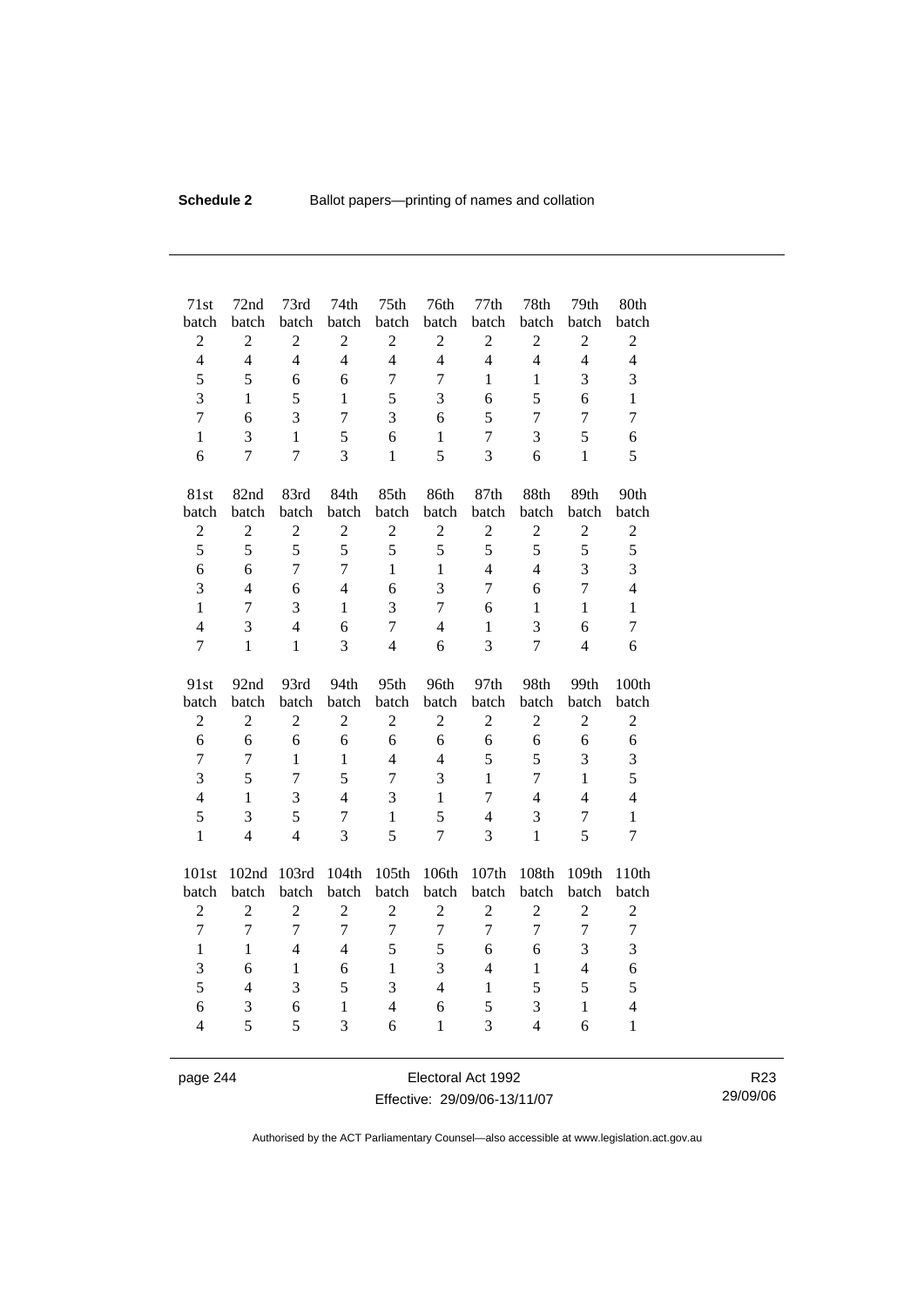| 71st<br>batch<br>$\overline{c}$<br>$\overline{4}$ | 72nd<br>batch<br>$\boldsymbol{2}$<br>$\overline{4}$ | 73rd<br>batch<br>$\overline{c}$<br>$\overline{4}$ | 74th<br>batch<br>$\overline{2}$<br>$\overline{4}$ | 75th<br>batch<br>$\boldsymbol{2}$<br>$\overline{4}$ | 76th<br>batch<br>$\mathbf{2}$<br>$\overline{4}$ | 77th<br>batch<br>$\sqrt{2}$<br>$\overline{4}$ | 78th<br>batch<br>$\overline{2}$<br>$\overline{4}$ | 79th<br>batch<br>$\boldsymbol{2}$<br>$\overline{4}$ | 80th<br>batch<br>$\mathbf{2}$<br>$\overline{4}$ |
|---------------------------------------------------|-----------------------------------------------------|---------------------------------------------------|---------------------------------------------------|-----------------------------------------------------|-------------------------------------------------|-----------------------------------------------|---------------------------------------------------|-----------------------------------------------------|-------------------------------------------------|
| 5                                                 | 5                                                   | 6                                                 | 6                                                 | $\overline{7}$                                      | $\overline{7}$                                  | $\mathbf{1}$                                  | $\mathbf{1}$                                      | 3                                                   | 3                                               |
| 3                                                 | $\mathbf{1}$                                        | 5                                                 | $\mathbf{1}$                                      | 5                                                   | 3                                               | 6                                             | 5                                                 | 6                                                   | $\mathbf{1}$                                    |
| $\overline{7}$                                    | 6                                                   | 3                                                 | $\overline{7}$                                    | 3                                                   | 6                                               | 5                                             | $\overline{7}$                                    | $\overline{7}$                                      | 7                                               |
| $\mathbf{1}$                                      | 3                                                   | $\mathbf{1}$                                      | 5                                                 | 6                                                   | $\mathbf{1}$                                    | $\tau$                                        | 3                                                 | 5                                                   | 6                                               |
| 6                                                 | $\overline{7}$                                      | $\overline{7}$                                    | $\overline{3}$                                    | $\mathbf{1}$                                        | 5                                               | 3                                             | 6                                                 | $\mathbf{1}$                                        | 5                                               |
| 81st                                              | 82nd                                                | 83rd                                              | 84th                                              | 85th                                                | 86th                                            | 87th                                          | 88th                                              | 89th                                                | 90th                                            |
| batch                                             | batch                                               | batch                                             | batch                                             | batch                                               | batch                                           | batch                                         | batch                                             | batch                                               | batch                                           |
| $\overline{2}$                                    | $\overline{2}$                                      | $\overline{c}$                                    | $\overline{2}$                                    | $\overline{2}$                                      | $\overline{2}$                                  | $\overline{2}$                                | $\overline{2}$                                    | $\overline{2}$                                      | $\mathbf{2}$                                    |
| 5                                                 | 5                                                   | 5                                                 | 5                                                 | 5                                                   | 5                                               | 5                                             | 5                                                 | 5                                                   | 5                                               |
| 6                                                 | 6                                                   | $\overline{7}$                                    | $\overline{7}$                                    | $\mathbf{1}$                                        | $\mathbf{1}$                                    | $\overline{4}$                                | $\overline{4}$                                    | 3                                                   | 3                                               |
| 3                                                 | $\overline{4}$                                      | 6                                                 | $\overline{4}$                                    | 6                                                   | 3                                               | $\overline{7}$                                | 6                                                 | $\overline{7}$                                      | $\overline{4}$                                  |
| $\mathbf{1}$                                      | 7                                                   | 3                                                 | $\mathbf{1}$                                      | 3                                                   | $\overline{7}$                                  | 6                                             | $\mathbf{1}$                                      | $\mathbf{1}$                                        | $\mathbf{1}$                                    |
| $\overline{4}$                                    | 3                                                   | $\overline{4}$                                    | 6                                                 | $\overline{7}$                                      | $\overline{4}$                                  | $\mathbf{1}$                                  | 3                                                 | 6                                                   | $\tau$                                          |
| $\overline{7}$                                    | $\mathbf{1}$                                        | $\mathbf{1}$                                      | 3                                                 | $\overline{4}$                                      | 6                                               | 3                                             | $\overline{7}$                                    | $\overline{4}$                                      | 6                                               |
|                                                   |                                                     |                                                   |                                                   |                                                     |                                                 |                                               |                                                   |                                                     |                                                 |
| 91st                                              | 92nd                                                | 93rd                                              | 94th                                              | 95th                                                | 96th                                            | 97th                                          | 98th                                              | 99th                                                | 100th                                           |
| batch                                             | batch                                               | batch                                             | batch                                             | batch                                               | batch                                           | batch                                         | batch                                             | batch                                               | batch                                           |
| $\overline{c}$                                    | $\overline{2}$                                      | $\overline{2}$                                    | $\overline{2}$                                    | $\overline{2}$                                      | $\overline{2}$                                  | $\overline{2}$                                | $\overline{2}$                                    | $\overline{2}$                                      | $\mathbf{2}$                                    |
| 6                                                 | 6                                                   | 6                                                 | 6                                                 | 6                                                   | 6                                               | 6                                             | 6                                                 | 6                                                   | 6                                               |
| $\overline{7}$                                    | $\overline{7}$                                      | $\mathbf{1}$                                      | $\mathbf{1}$                                      | $\overline{4}$                                      | $\overline{4}$                                  | 5                                             | 5                                                 | 3                                                   | 3                                               |
| $\overline{3}$                                    | 5                                                   | $\overline{7}$                                    | 5                                                 | $\overline{7}$                                      | 3                                               | $\mathbf{1}$                                  | $\overline{7}$                                    | $\mathbf{1}$                                        | 5                                               |
| $\overline{4}$                                    | $\mathbf{1}$                                        | $\overline{3}$                                    | $\overline{4}$                                    | 3                                                   | $\mathbf{1}$                                    | $\overline{7}$                                | $\overline{4}$                                    | $\overline{4}$                                      | $\overline{4}$                                  |
| 5                                                 | 3                                                   | 5                                                 | $\overline{7}$                                    | $\mathbf{1}$                                        | 5                                               | $\overline{4}$                                | 3                                                 | $\overline{7}$                                      | $\mathbf{1}$                                    |
| $\mathbf{1}$                                      | $\overline{4}$                                      | $\overline{4}$                                    | 3                                                 | 5                                                   | $\overline{7}$                                  | 3                                             | $\mathbf{1}$                                      | 5                                                   | $\overline{7}$                                  |
| 101st                                             | 102nd                                               | 103rd                                             | 104th                                             | 105th                                               | 106th                                           | 107th                                         | 108th                                             | 109th                                               | 110th                                           |
| batch                                             | batch                                               | batch                                             | batch                                             | batch                                               | batch                                           | batch                                         | batch                                             | batch                                               | batch                                           |
| $\mathfrak 2$                                     | $\overline{2}$                                      | $\overline{c}$                                    | $\overline{2}$                                    | $\mathfrak{2}$                                      | $\overline{2}$                                  | $\mathfrak 2$                                 | $\overline{c}$                                    | $\mathfrak{2}$                                      | $\mathbf{2}$                                    |
| $\overline{7}$                                    | $\overline{7}$                                      | $\overline{7}$                                    | $\overline{7}$                                    | $\overline{7}$                                      | $\overline{7}$                                  | $\overline{7}$                                | $\overline{7}$                                    | $\overline{7}$                                      | $\tau$                                          |
| $\mathbf{1}$                                      | $\mathbf{1}$                                        | $\overline{4}$                                    | $\overline{4}$                                    | 5                                                   | 5                                               | 6                                             | 6                                                 | 3                                                   | 3                                               |
| 3                                                 | 6                                                   | $\mathbf{1}$                                      | 6                                                 | $\mathbf{1}$                                        | 3                                               | $\overline{4}$                                | $\mathbf{1}$                                      | $\overline{4}$                                      | 6                                               |
| 5                                                 | $\overline{4}$                                      | 3                                                 | 5                                                 | 3                                                   | $\overline{4}$                                  | $\mathbf{1}$                                  | 5                                                 | 5                                                   | 5                                               |
| 6<br>$\overline{4}$                               | 3<br>5                                              | 6<br>5                                            | $\mathbf{1}$<br>3                                 | $\overline{4}$<br>6                                 | 6<br>$\mathbf{1}$                               | 5<br>3                                        | 3<br>$\overline{4}$                               | $\mathbf{1}$<br>6                                   | $\overline{4}$<br>$\mathbf{1}$                  |

page 244 Electoral Act 1992 Effective: 29/09/06-13/11/07

R23 29/09/06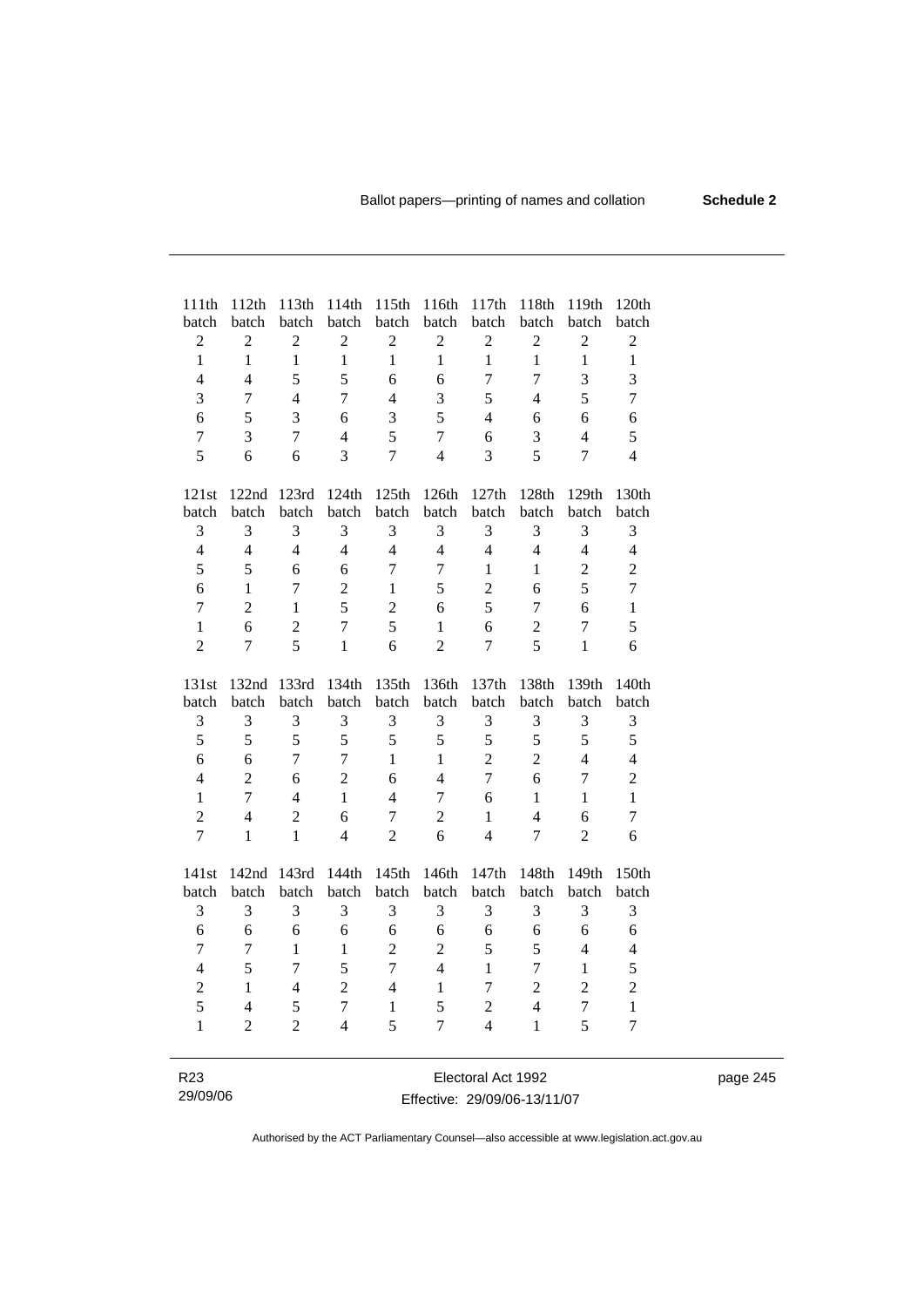page 245

| 111th<br>batch   | 112th<br>batch | 113th<br>batch | 114th<br>batch      | 115th<br>batch   | 116th<br>batch | 117th<br>batch | 118th<br>batch          | 119th<br>batch | 120th<br>batch   |
|------------------|----------------|----------------|---------------------|------------------|----------------|----------------|-------------------------|----------------|------------------|
| $\sqrt{2}$       | $\overline{2}$ | $\overline{c}$ | $\sqrt{2}$          | $\overline{2}$   | $\overline{c}$ | $\overline{c}$ | $\overline{c}$          | $\overline{2}$ | $\sqrt{2}$       |
| $\mathbf{1}$     | $\mathbf{1}$   | $\mathbf{1}$   | $\mathbf{1}$        | $\mathbf{1}$     | $\mathbf{1}$   | $\mathbf{1}$   | $\mathbf{1}$            | $\mathbf{1}$   | $\mathbf{1}$     |
| $\overline{4}$   | $\overline{4}$ | 5              | 5                   | 6                | 6              | $\overline{7}$ | $\overline{7}$          | 3              | 3                |
| 3                | $\overline{7}$ | $\overline{4}$ | $\overline{7}$      | $\overline{4}$   | 3              | 5              | $\overline{4}$          | 5              | $\boldsymbol{7}$ |
| 6                | 5              | 3              |                     | 3                | 5              | $\overline{4}$ |                         | 6              |                  |
| $\overline{7}$   | 3              | $\overline{7}$ | 6<br>$\overline{4}$ | 5                | $\overline{7}$ | 6              | 6<br>3                  | $\overline{4}$ | 6<br>$\sqrt{5}$  |
| 5                | 6              | 6              | $\overline{3}$      | $\boldsymbol{7}$ | $\overline{4}$ | 3              | 5                       | $\overline{7}$ | $\overline{4}$   |
|                  |                |                |                     |                  |                |                |                         |                |                  |
| 121st            | 122nd          | 123rd          | 124th               | 125th            | 126th          | 127th          | 128th                   | 129th          | 130th            |
| batch            | batch          | batch          | batch               | batch            | batch          | batch          | batch                   | batch          | batch            |
| 3                | 3              | 3              | 3                   | 3                | 3              | 3              | 3                       | 3              | 3                |
| $\overline{4}$   | $\overline{4}$ | $\overline{4}$ | $\overline{4}$      | $\overline{4}$   | $\overline{4}$ | $\overline{4}$ | $\overline{4}$          | $\overline{4}$ | $\overline{4}$   |
| 5                | 5              | 6              | 6                   | $\overline{7}$   | $\overline{7}$ | $\mathbf{1}$   | $\mathbf{1}$            | $\overline{2}$ | $\overline{2}$   |
| 6                | $\mathbf{1}$   | $\overline{7}$ | $\overline{2}$      | $\mathbf{1}$     | 5              | $\overline{2}$ | 6                       | 5              | $\overline{7}$   |
| $\boldsymbol{7}$ | $\overline{2}$ | $\mathbf{1}$   | 5                   | $\overline{2}$   | 6              | 5              | $\overline{7}$          | 6              | $\mathbf{1}$     |
| $\mathbf{1}$     | 6              | $\overline{c}$ | $\overline{7}$      | 5                | $\mathbf{1}$   | 6              | $\overline{c}$          | $\overline{7}$ | 5                |
| $\overline{2}$   | $\overline{7}$ | 5              | $\mathbf{1}$        | 6                | $\overline{2}$ | $\overline{7}$ | 5                       | $\mathbf{1}$   | 6                |
| 131st            | 132nd          | 133rd          | 134th               | 135th            | 136th          | 137th          | 138th                   | 139th          | 140th            |
| batch            | batch          | batch          | batch               | batch            | batch          | batch          | batch                   | batch          | batch            |
| $\mathfrak{Z}$   | 3              | 3              | $\mathfrak{Z}$      | $\mathfrak{Z}$   | 3              | 3              | 3                       | 3              | 3                |
| 5                | 5              | 5              | 5                   | 5                | 5              | 5              | 5                       | 5              | 5                |
| 6                | 6              | $\overline{7}$ | $\overline{7}$      | $\mathbf{1}$     | $\mathbf{1}$   | $\overline{2}$ | $\overline{2}$          | $\overline{4}$ | $\overline{4}$   |
| $\overline{4}$   | $\overline{2}$ | 6              | $\overline{2}$      | 6                | $\overline{4}$ | $\overline{7}$ | 6                       | $\overline{7}$ | $\overline{2}$   |
| $\mathbf{1}$     | $\overline{7}$ | $\overline{4}$ | $\mathbf{1}$        | $\overline{4}$   | $\overline{7}$ | 6              | $\mathbf{1}$            | $\mathbf{1}$   | $\mathbf{1}$     |
| $\overline{2}$   | $\overline{4}$ | $\overline{c}$ | 6                   | $\overline{7}$   | $\overline{2}$ | $\mathbf{1}$   | $\overline{4}$          | 6              | $\boldsymbol{7}$ |
| $\overline{7}$   | $\mathbf{1}$   | $\mathbf{1}$   | $\overline{4}$      | $\overline{2}$   | 6              | $\overline{4}$ | 7                       | $\overline{2}$ | 6                |
| 141st            | 142nd          | 143rd          | 144th               | 145th            | 146th          | 147th          | 148th                   | 149th          | 150th            |
| batch            | batch          | batch          | batch               | batch            | batch          | batch          | batch                   | batch          | batch            |
| 3                | 3              | 3              | 3                   | 3                | 3              | 3              | 3                       | 3              | 3                |
| 6                | 6              | 6              | 6                   | 6                | 6              | 6              | 6                       | 6              | 6                |
| $\overline{7}$   | $\tau$         | $\mathbf{1}$   | 1                   | $\overline{2}$   | $\overline{2}$ | 5              | 5                       | $\overline{4}$ | $\overline{4}$   |
| $\overline{4}$   | 5              | $\overline{7}$ | 5                   | $\overline{7}$   | $\overline{4}$ | $\mathbf{1}$   | $\overline{7}$          | $\mathbf{1}$   | 5                |
| $\overline{2}$   | $\mathbf{1}$   | $\overline{4}$ | $\overline{2}$      | $\overline{4}$   | $\mathbf{1}$   | $\overline{7}$ | $\overline{2}$          | $\overline{2}$ | $\overline{2}$   |
| 5                | $\overline{4}$ | 5              | $\overline{7}$      | $\mathbf{1}$     | 5              | $\overline{2}$ | $\overline{\mathbf{4}}$ | $\overline{7}$ | $\mathbf{1}$     |
| $\mathbf{1}$     | $\overline{2}$ | $\overline{2}$ | $\overline{4}$      | 5                | $\overline{7}$ | $\overline{4}$ | $\mathbf{1}$            | 5              | $\tau$           |
|                  |                |                |                     |                  |                |                |                         |                |                  |

| R23      | Electoral Act 1992           |
|----------|------------------------------|
| 29/09/06 | Effective: 29/09/06-13/11/07 |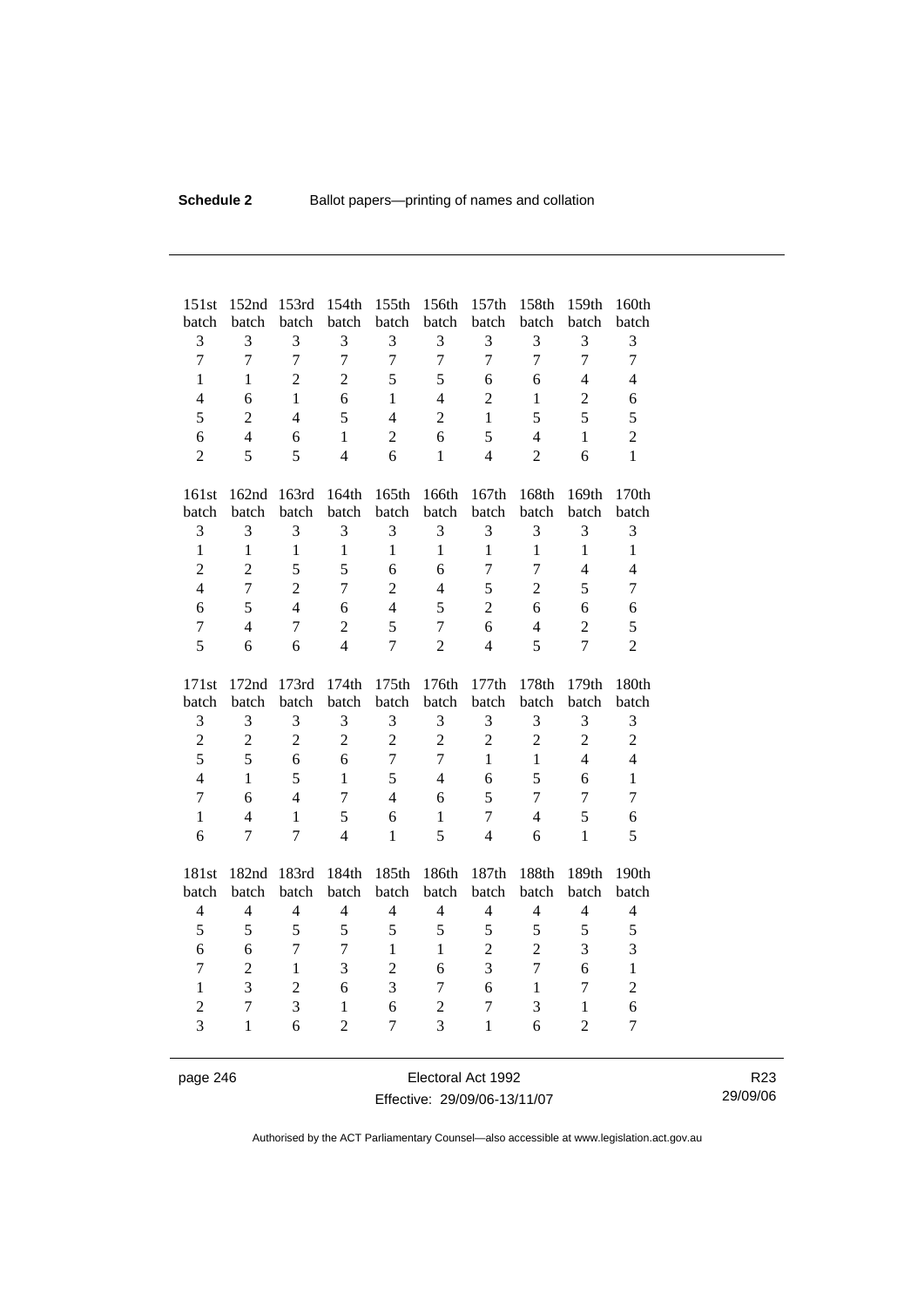| 151st               | 152nd                    | 153rd               | 154th               | 155th               | 156th               | 157th               | 158th               | 159th               | 160th               |
|---------------------|--------------------------|---------------------|---------------------|---------------------|---------------------|---------------------|---------------------|---------------------|---------------------|
| batch               | batch                    | batch               | batch               | batch               | batch               | batch               | batch               | batch               | batch               |
| 3<br>$\overline{7}$ | 3<br>$\overline{7}$      | 3<br>$\overline{7}$ | 3<br>$\overline{7}$ | 3<br>$\overline{7}$ | 3<br>$\overline{7}$ | 3<br>$\overline{7}$ | 3<br>$\overline{7}$ | 3<br>$\overline{7}$ | 3<br>$\overline{7}$ |
|                     |                          |                     |                     |                     |                     |                     |                     |                     |                     |
| $\mathbf{1}$        | $\mathbf{1}$             | $\overline{2}$      | $\overline{2}$      | 5                   | 5                   | 6                   | 6                   | $\overline{4}$      | $\overline{4}$      |
| $\overline{4}$      | 6                        | $\mathbf{1}$        | 6                   | $\mathbf{1}$        | $\overline{4}$      | $\overline{2}$      | $\mathbf{1}$        | $\overline{2}$      | 6                   |
| 5                   | $\overline{2}$           | $\overline{4}$      | 5                   | $\overline{4}$      | $\overline{2}$      | $\mathbf{1}$        | 5                   | 5                   | 5                   |
| 6                   | $\overline{4}$           | 6                   | 1                   | $\overline{2}$      | 6                   | 5                   | $\overline{4}$      | $\mathbf{1}$        | $\overline{c}$      |
| $\overline{2}$      | 5                        | 5                   | $\overline{4}$      | 6                   | $\mathbf{1}$        | $\overline{4}$      | $\overline{2}$      | 6                   | $\mathbf{1}$        |
| 161st               | 162nd                    | 163rd               | 164th               | 165th               | 166th               | 167th               | 168th               | 169th               | 170th               |
| batch               | batch                    | batch               | batch               | batch               | batch               | batch               | batch               | batch               | batch               |
| 3                   | 3                        | 3                   | 3                   | 3                   | 3                   | 3                   | 3                   | 3                   | 3                   |
| $\mathbf{1}$        | $\mathbf{1}$             | $\mathbf{1}$        | $\mathbf{1}$        | $\mathbf{1}$        | $\mathbf{1}$        | $\mathbf{1}$        | $\mathbf{1}$        | $\mathbf{1}$        | $\mathbf{1}$        |
| $\overline{2}$      | $\overline{2}$           | 5                   | 5                   | 6                   | 6                   | $\overline{7}$      | $\overline{7}$      | $\overline{4}$      | $\overline{4}$      |
| $\overline{4}$      | $\overline{7}$           | $\overline{c}$      | $\overline{7}$      | $\overline{2}$      | $\overline{4}$      | 5                   | $\overline{2}$      | 5                   | $\tau$              |
| 6                   | 5                        | $\overline{4}$      | 6                   | $\overline{4}$      | 5                   | $\overline{2}$      | 6                   | 6                   | 6                   |
| $\overline{7}$      | $\overline{4}$           | $\overline{7}$      | $\overline{2}$      | 5                   | $\tau$              | 6                   | $\overline{4}$      | $\overline{2}$      | 5                   |
| 5                   | 6                        | 6                   | $\overline{4}$      | $\overline{7}$      | $\overline{2}$      | $\overline{4}$      | 5                   | $\overline{7}$      | $\overline{2}$      |
|                     |                          |                     |                     |                     |                     |                     |                     |                     |                     |
| 171st               | 172nd                    | 173rd               | 174th               | 175th               | 176th               | 177th               | 178th               | 179th               | 180th               |
| batch               | batch                    | batch               | batch               | batch               | batch               | batch               | batch               | batch               | batch               |
| 3                   | 3                        | 3                   | 3                   | 3                   | 3                   | 3                   | 3                   | 3                   | 3                   |
| $\overline{2}$      | $\boldsymbol{2}$         | $\overline{2}$      | $\overline{2}$      | $\overline{2}$      | $\overline{2}$      | $\overline{2}$      | $\overline{2}$      | $\overline{2}$      | $\overline{c}$      |
| 5                   | 5                        | 6                   | 6                   | $\tau$              | 7                   | $\mathbf{1}$        | $\mathbf{1}$        | $\overline{4}$      | $\overline{4}$      |
| $\overline{4}$      | $\mathbf{1}$             | 5                   | $\mathbf{1}$        | 5                   | $\overline{4}$      | 6                   | 5                   | 6                   | $\mathbf{1}$        |
| $\overline{7}$      | 6                        | $\overline{4}$      | $\overline{7}$      | $\overline{4}$      | 6                   | 5                   | $\overline{7}$      | $\overline{7}$      | $\overline{7}$      |
| $\mathbf{1}$        | $\overline{\mathcal{L}}$ | $\mathbf{1}$        | 5                   | 6                   | $\mathbf{1}$        | $\overline{7}$      | $\overline{4}$      | 5                   | 6                   |
| 6                   | $\overline{7}$           | $\overline{7}$      | $\overline{4}$      | $\mathbf{1}$        | 5                   | $\overline{4}$      | 6                   | $\mathbf{1}$        | 5                   |
| 181st               | 182nd                    | 183rd               | 184th               | 185th               | 186th               | 187th               | 188th               | 189th               | 190th               |
| batch               | batch                    | batch               | batch               | batch               | batch               | batch               | batch               | batch               | batch               |
| $\overline{4}$      | $\overline{4}$           | $\overline{4}$      | $\overline{4}$      | $\overline{4}$      | $\overline{4}$      | $\overline{4}$      | $\overline{4}$      | $\overline{4}$      | $\overline{4}$      |
| 5                   | 5                        | 5                   | 5                   | 5                   | 5                   | 5                   | 5                   | 5                   | 5                   |
| 6                   | 6                        | $\overline{7}$      | $\overline{7}$      | $\mathbf{1}$        | $\mathbf{1}$        | $\overline{2}$      | $\overline{2}$      | 3                   | 3                   |
| 7                   | $\overline{2}$           | $\mathbf{1}$        | 3                   | $\overline{2}$      | 6                   | $\overline{3}$      | $\overline{7}$      | 6                   | $\mathbf{1}$        |
| $\mathbf{1}$        | 3                        | $\overline{2}$      | 6                   | 3                   | 7                   | 6                   | $\mathbf{1}$        | $\overline{7}$      | $\overline{c}$      |
| $\overline{2}$      | $\overline{7}$           | 3                   | $\mathbf{1}$        | 6                   | $\overline{c}$      | $\overline{7}$      | 3                   | $\mathbf{1}$        | 6                   |
| $\overline{3}$      | $\mathbf{1}$             | 6                   | $\overline{2}$      | $\overline{7}$      | 3                   | $\mathbf{1}$        | 6                   | $\overline{2}$      | 7                   |

page 246 Electoral Act 1992 Effective: 29/09/06-13/11/07

R23 29/09/06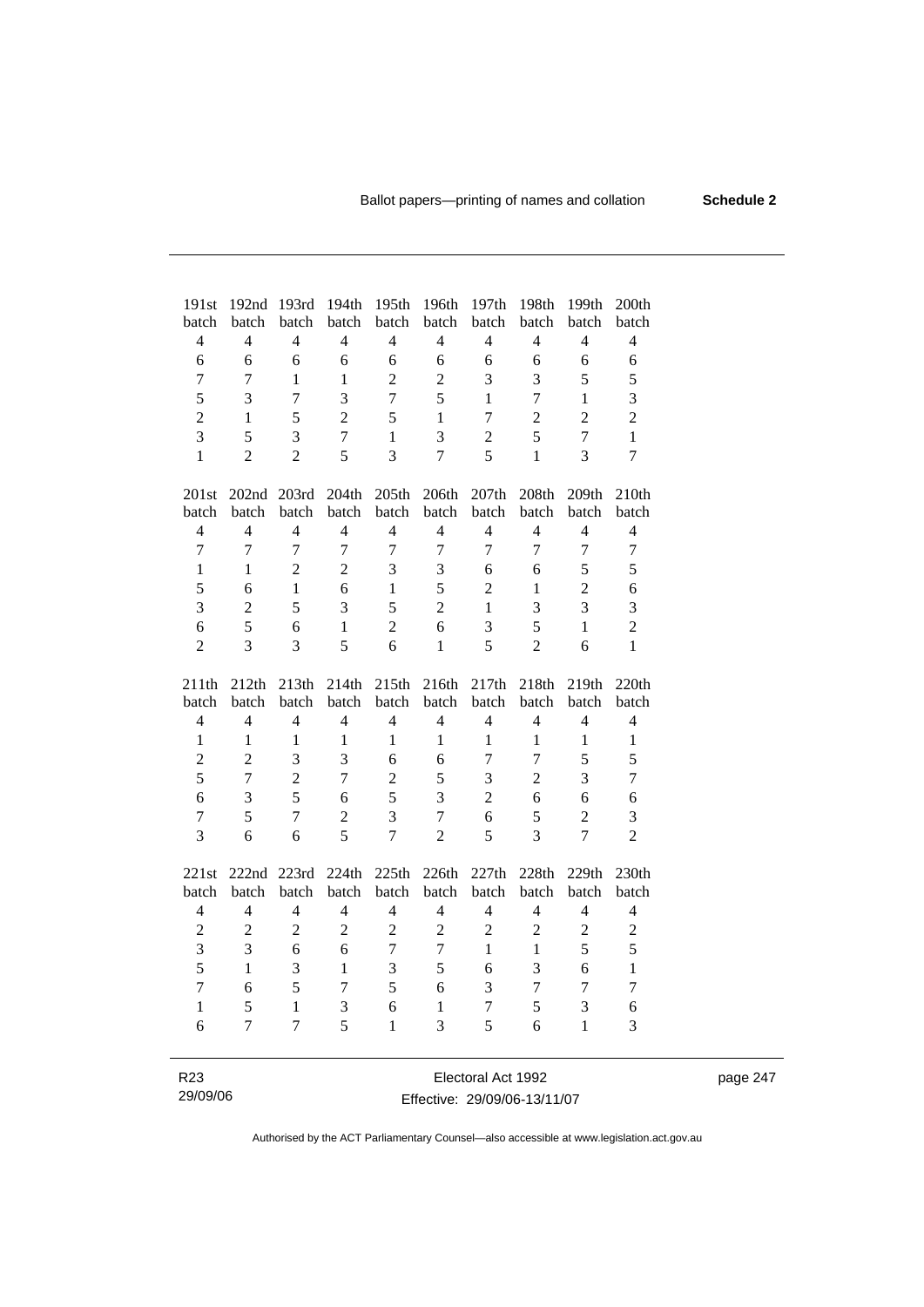| 191st                    | 192nd             | 193rd          | 194th          | 195th                    | 196th          | 197th                    | 198th                    | 199th          | 200th                   |
|--------------------------|-------------------|----------------|----------------|--------------------------|----------------|--------------------------|--------------------------|----------------|-------------------------|
| batch                    | batch             | batch          | batch          | batch                    | batch          | batch                    | batch                    | batch          | batch                   |
| $\overline{4}$           | $\overline{4}$    | $\overline{4}$ | $\overline{4}$ | $\overline{4}$           | $\overline{4}$ | $\overline{4}$           | $\overline{4}$           | $\overline{4}$ | $\overline{4}$          |
| 6                        | 6                 | 6              | 6              | 6                        | 6              | 6                        | 6                        | 6              | 6                       |
| 7                        | 7                 | 1              | 1              | $\overline{2}$           | $\overline{2}$ | 3                        | 3                        | 5              | 5                       |
| 5                        | 3                 | $\tau$         | $\overline{3}$ | $\overline{7}$           | 5              | $\mathbf{1}$             | $\overline{7}$           | $\mathbf{1}$   | $\overline{\mathbf{3}}$ |
| $\overline{2}$           | 1                 | 5              | $\overline{2}$ | 5                        | $\mathbf{1}$   | $\overline{7}$           | $\overline{2}$           | $\overline{2}$ | $\overline{2}$          |
| $\overline{3}$           | 5                 | 3              | $\overline{7}$ | $\mathbf{1}$             | $\overline{3}$ | $\overline{2}$           | 5                        | $\overline{7}$ | $\mathbf{1}$            |
| $\mathbf{1}$             | $\overline{2}$    | $\overline{2}$ | 5              | $\overline{3}$           | $\overline{7}$ | 5                        | 1                        | 3              | $\overline{7}$          |
| 201st                    | 202 <sub>nd</sub> | 203rd          | 204th          | 205th                    | 206th          | 207th                    | 208th                    | 209th          | 210th                   |
| batch                    | batch             | batch          | batch          | batch                    | batch          | batch                    | batch                    | batch          | batch                   |
| $\overline{4}$           | $\overline{4}$    | $\overline{4}$ | $\overline{4}$ | $\overline{4}$           | $\overline{4}$ | $\overline{4}$           | $\overline{4}$           | $\overline{4}$ | 4                       |
| $\overline{7}$           | $\overline{7}$    | $\overline{7}$ | $\overline{7}$ | $\overline{7}$           | $\overline{7}$ | $\overline{7}$           | $\overline{7}$           | $\overline{7}$ | $\boldsymbol{7}$        |
| $\mathbf{1}$             | $\mathbf{1}$      | $\overline{2}$ | $\overline{2}$ | 3                        | 3              | 6                        | 6                        | 5              | 5                       |
| 5                        | 6                 | 1              | 6              | $\mathbf{1}$             | 5              | $\overline{2}$           | 1                        | $\overline{2}$ | 6                       |
| $\overline{3}$           | $\overline{2}$    | 5              | $\overline{3}$ | 5                        | $\overline{2}$ | $\mathbf{1}$             | 3                        | 3              | 3                       |
| 6                        | 5                 | 6              | 1              | $\overline{2}$           | 6              | 3                        | 5                        | $\mathbf{1}$   | $\sqrt{2}$              |
| $\overline{2}$           | $\overline{3}$    | 3              | 5              | 6                        | $\mathbf{1}$   | 5                        | $\overline{2}$           | 6              | $\mathbf{1}$            |
| 211th                    | 212th             | 213th          | 214th          | 215th                    | 216th          | 217th                    | 218th                    | 219th          | 220th                   |
| batch                    | batch             | batch          | batch          | batch                    | batch          | batch                    | batch                    | batch          | batch                   |
| $\overline{\mathcal{L}}$ | 4                 | $\overline{4}$ | $\overline{4}$ | $\overline{\mathcal{L}}$ | $\overline{4}$ | $\overline{\mathcal{L}}$ | $\overline{\mathcal{L}}$ | $\overline{4}$ | $\overline{4}$          |
| 1                        | $\mathbf{1}$      | $\mathbf{1}$   | $\mathbf{1}$   | 1                        | 1              | 1                        | 1                        | 1              | 1                       |
| $\overline{2}$           | $\overline{2}$    | 3              | 3              | 6                        | 6              | $\overline{7}$           | $\overline{7}$           | 5              | 5                       |
| 5                        | $\overline{7}$    | $\overline{2}$ | $\overline{7}$ | $\overline{2}$           | 5              | 3                        | $\overline{2}$           | 3              | $\boldsymbol{7}$        |
| 6                        | $\mathfrak{Z}$    | 5              | 6              | 5                        | 3              | $\overline{2}$           | 6                        | 6              | 6                       |
| $\overline{7}$           | 5                 | $\overline{7}$ | $\overline{2}$ | 3                        | $\overline{7}$ | 6                        | 5                        | $\overline{2}$ | 3                       |
| 3                        | 6                 | 6              | 5              | $\overline{7}$           | $\overline{2}$ | 5                        | $\overline{3}$           | $\overline{7}$ | $\overline{2}$          |
|                          |                   |                |                |                          |                |                          |                          |                |                         |
| 221st                    | 222nd             | 223rd          | 224th          | 225th                    | 226th          | 227th                    | 228th                    | 229th          | 230th                   |
| batch                    | batch             | batch          | batch          | batch                    | batch          | batch                    | batch                    | batch          | batch                   |
| $\overline{\mathcal{L}}$ | $\overline{4}$    | $\overline{4}$ | $\overline{4}$ | $\overline{\mathcal{L}}$ | $\overline{4}$ | 4                        | $\overline{4}$           | $\overline{4}$ | $\overline{4}$          |
| $\overline{2}$           | $\overline{c}$    | $\overline{2}$ | $\overline{2}$ | $\overline{2}$           | $\overline{2}$ | $\overline{2}$           | $\mathfrak{2}$           | $\overline{2}$ | $\sqrt{2}$              |
| $\overline{3}$           | 3                 | 6              | 6              | $\overline{7}$           | $\overline{7}$ | $\mathbf{1}$             | $\mathbf{1}$             | 5              | 5                       |
| 5                        | $\mathbf{1}$      | 3              | $\mathbf{1}$   | $\overline{3}$           | 5              | 6                        | $\overline{3}$           | 6              | $\mathbf{1}$            |
| $\overline{7}$           | 6                 | 5              | $\overline{7}$ | 5                        | 6              | 3                        | $\tau$                   | $\overline{7}$ | $\tau$                  |
| $\mathbf{1}$             | 5                 | $\mathbf{1}$   | 3              | 6                        | $\mathbf{1}$   | $\tau$                   | 5                        | $\overline{3}$ | 6                       |
| 6                        | $\overline{7}$    | $\overline{7}$ | 5              | $\mathbf{1}$             | $\overline{3}$ | 5                        | 6                        | 1              | 3                       |
|                          |                   |                |                |                          |                |                          |                          |                |                         |
| R <sub>23</sub>          |                   |                |                |                          |                | Electoral Act 1992       |                          |                |                         |

### Effective: 29/09/06-13/11/07

29/09/06

 $\overline{\phantom{0}}$ 

page 247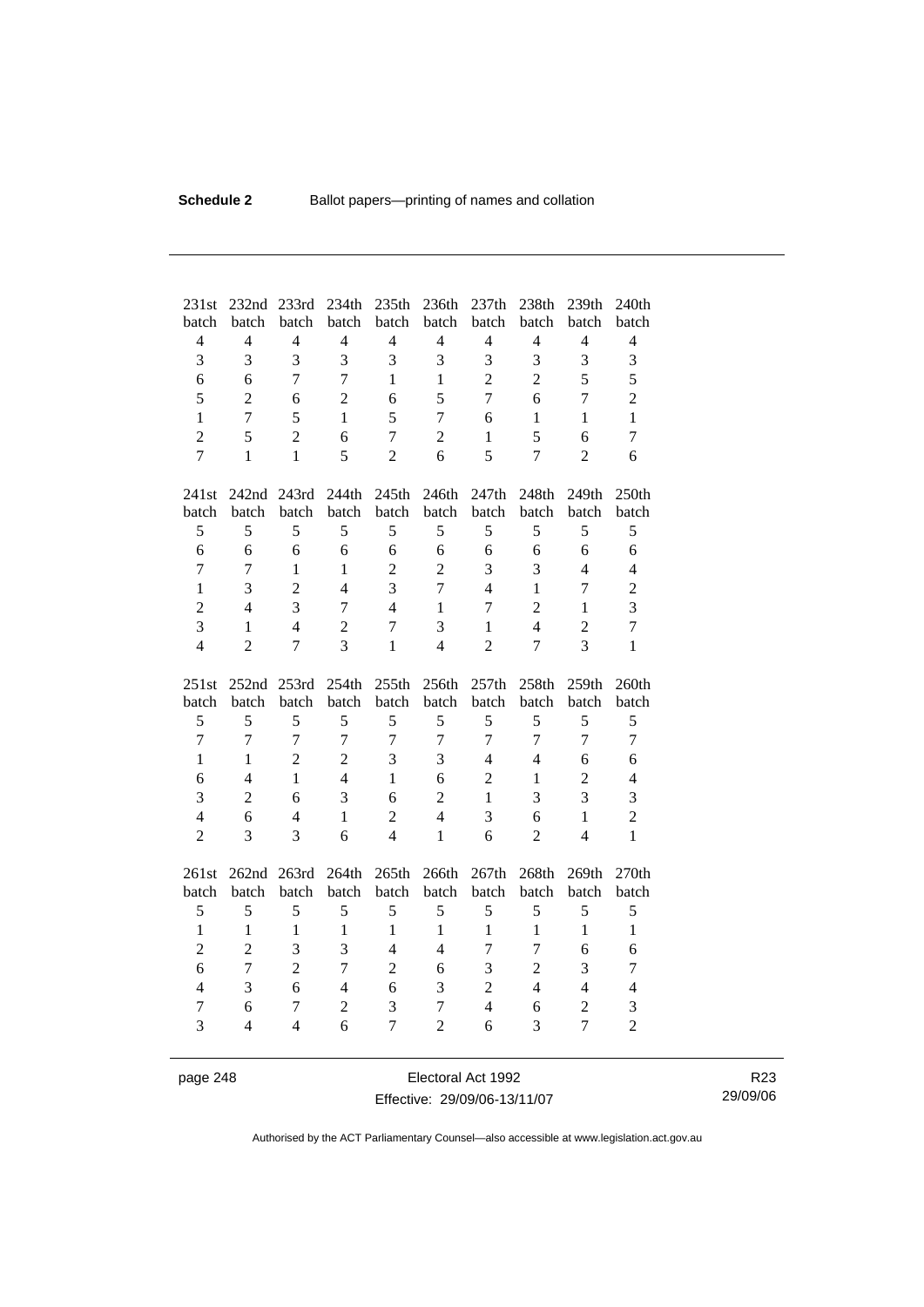| 231st          | 232nd               | 233rd                   | 234th                    | 235th               | 236th               | 237th               | 238th          | 239th                            | 240th               |
|----------------|---------------------|-------------------------|--------------------------|---------------------|---------------------|---------------------|----------------|----------------------------------|---------------------|
| batch          | batch               | batch                   | batch                    | batch               | batch               | batch               | batch          | batch                            | batch               |
| $\overline{4}$ | $\overline{4}$      | $\overline{4}$          | $\overline{4}$           | $\overline{4}$      | $\overline{4}$      | $\overline{4}$      | $\overline{4}$ | $\overline{4}$                   | $\overline{4}$      |
| 3              | 3                   | $\overline{\mathbf{3}}$ | $\overline{3}$           | 3                   | 3                   | 3                   | 3              | 3                                | 3                   |
| 6              | 6                   | $\overline{7}$          | $\overline{7}$           | $\mathbf{1}$        | $\mathbf{1}$        | $\overline{2}$      | $\overline{2}$ | 5                                | 5                   |
| 5              | $\overline{2}$      | 6                       | $\overline{2}$           | 6                   | 5                   | $\overline{7}$      | 6              | $\overline{7}$                   | $\overline{c}$      |
| $\mathbf{1}$   | $\overline{7}$      | 5                       | $\mathbf{1}$             | 5                   | 7                   | 6                   | $\mathbf{1}$   | $\mathbf{1}$                     | $\mathbf{1}$        |
| $\overline{2}$ | 5                   | $\overline{2}$          | 6                        | $\overline{7}$      | $\overline{2}$      | $\mathbf{1}$        | 5              | 6                                | 7                   |
| $\overline{7}$ | $\mathbf{1}$        | $\mathbf{1}$            | 5                        | $\overline{2}$      | 6                   | 5                   | $\overline{7}$ | $\overline{2}$                   | 6                   |
| 241st          |                     | 242nd 243rd             | 244th                    | 245th               | 246th               | 247th               | 248th          | 249th                            | 250th               |
| batch          | batch               | batch                   | batch                    | batch               | batch               | batch               | batch          | batch                            | batch               |
| 5              | 5                   | 5                       | 5                        | 5                   | 5                   | 5                   | 5              | 5                                | 5                   |
| 6              | 6                   | 6                       | 6                        | 6                   | 6                   | 6                   | 6              | 6                                | 6                   |
| $\overline{7}$ | 7                   | $\mathbf{1}$            | $\mathbf{1}$             | $\overline{2}$      | $\overline{2}$      | 3                   | 3              | $\overline{4}$                   | $\overline{4}$      |
| $\mathbf{1}$   | 3                   | $\overline{2}$          | $\overline{\mathcal{L}}$ | 3                   | $\overline{7}$      | $\overline{4}$      | $\mathbf{1}$   | $\overline{7}$                   | $\mathbf{2}$        |
| $\overline{c}$ | $\overline{4}$      | 3                       | $\overline{7}$           | $\overline{4}$      | 1                   | $\overline{7}$      | $\overline{2}$ | $\mathbf{1}$                     | 3                   |
| 3              | $\mathbf{1}$        | $\overline{4}$          | $\overline{2}$           | $\overline{7}$      | 3                   | $\mathbf{1}$        | $\overline{4}$ | $\overline{2}$                   | $\overline{7}$      |
| $\overline{4}$ | $\overline{2}$      | $\overline{7}$          | 3                        | $\mathbf{1}$        | $\overline{4}$      | $\overline{2}$      | 7              | 3                                | 1                   |
|                |                     |                         |                          |                     |                     |                     |                |                                  |                     |
|                | 252nd               | 253rd                   | 254th                    | 255th               | 256th               | 257th               | 258th          | 259th                            | 260th               |
| 251st<br>batch | batch               | batch                   | batch                    | batch               | batch               | batch               | batch          | batch                            | batch               |
| 5              | 5                   | 5                       | 5                        | 5                   | 5                   | 5                   | 5              | 5                                | 5                   |
| $\overline{7}$ | $\overline{7}$      | $\overline{7}$          | $\overline{7}$           | $\overline{7}$      | $\overline{7}$      | $\overline{7}$      | $\overline{7}$ | $\overline{7}$                   | $\overline{7}$      |
| $\mathbf{1}$   | $\mathbf{1}$        | $\overline{2}$          | $\overline{2}$           | 3                   | 3                   | $\overline{4}$      | $\overline{4}$ | 6                                | 6                   |
| 6              | $\overline{4}$      | $\mathbf{1}$            | $\overline{4}$           | $\mathbf{1}$        | 6                   | $\overline{2}$      | $\mathbf{1}$   | $\overline{2}$                   | $\overline{4}$      |
| 3              | $\overline{2}$      | 6                       | 3                        | 6                   | $\overline{2}$      | $\mathbf{1}$        | 3              | 3                                | 3                   |
| $\overline{4}$ | 6                   | $\overline{4}$          | $\mathbf{1}$             | $\overline{2}$      | $\overline{4}$      | 3                   | 6              | $\mathbf{1}$                     | $\overline{2}$      |
| $\overline{c}$ | 3                   | 3                       | 6                        | $\overline{4}$      | $\mathbf{1}$        | 6                   | $\overline{2}$ | $\overline{4}$                   | $\mathbf{1}$        |
|                |                     |                         |                          |                     |                     |                     |                |                                  |                     |
| 261st          | 262nd 263rd         |                         | 264th                    | 265th               | 266th               | 267th               | 268th          | 269th                            | 270th               |
| batch          | batch               | batch                   | batch                    | batch               | batch               | batch               | batch          | batch                            | batch               |
| 5              | 5                   | 5                       | 5                        | 5                   | 5                   | 5                   | 5              | 5                                | 5                   |
| $\mathbf{1}$   | $\mathbf{1}$        | $\mathbf{1}$            | $\mathbf{1}$             | $\mathbf{1}$        | $\mathbf{1}$        | $\mathbf{1}$        | $\mathbf{1}$   | $\mathbf{1}$                     | $\mathbf{1}$        |
| $\overline{2}$ | $\overline{2}$      | 3                       | 3                        | $\overline{4}$      | $\overline{4}$      | $\tau$              | $\overline{7}$ | 6                                | 6                   |
| 6              | $\overline{7}$      | $\overline{2}$          | $\overline{7}$           | $\overline{2}$      | 6                   | 3                   | $\overline{2}$ | 3                                | 7                   |
| $\overline{4}$ | 3                   | 6                       | $\overline{4}$           | 6                   | 3                   | $\overline{c}$      | $\overline{4}$ | $\overline{4}$                   | $\overline{4}$      |
| $\tau$<br>3    | 6<br>$\overline{4}$ | 7<br>$\overline{4}$     | $\overline{c}$<br>6      | 3<br>$\overline{7}$ | 7<br>$\overline{c}$ | $\overline{4}$<br>6 | 6<br>3         | $\overline{2}$<br>$\overline{7}$ | 3<br>$\overline{2}$ |

page 248 Electoral Act 1992 Effective: 29/09/06-13/11/07

R23 29/09/06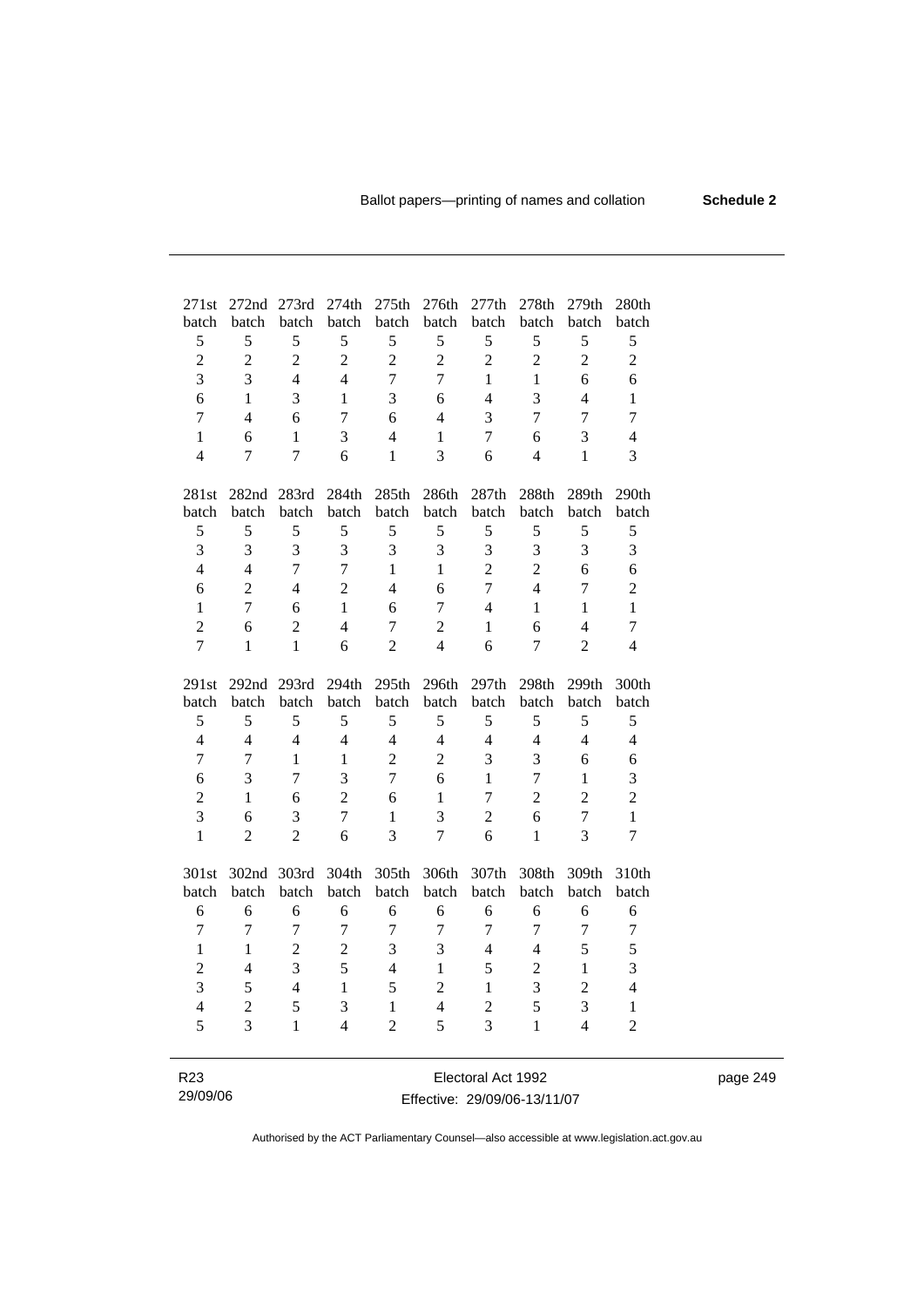page 249

| 271st          | 272nd            | 273rd          | 274th          | 275th            | 276th          | 277th          | 278th          | 279th          | 280th          |
|----------------|------------------|----------------|----------------|------------------|----------------|----------------|----------------|----------------|----------------|
| batch          | batch            | batch          | batch          | batch            | batch          | batch          | batch          | batch          | batch          |
| 5              | 5                | 5              | 5              | 5                | 5              | 5              | 5              | 5              | 5              |
| $\overline{c}$ | $\overline{2}$   | $\overline{2}$ | $\overline{2}$ | $\overline{2}$   | $\overline{2}$ | $\overline{2}$ | $\overline{2}$ | $\overline{2}$ | $\overline{c}$ |
| $\overline{3}$ | 3                | $\overline{4}$ | 4              | $\overline{7}$   | $\overline{7}$ | $\mathbf{1}$   | 1              | 6              | 6              |
| 6              | $\mathbf{1}$     | 3              | 1              | 3                | 6              | $\overline{4}$ | 3              | $\overline{4}$ | $\mathbf{1}$   |
| $\overline{7}$ | $\overline{4}$   | 6              | 7              | 6                | $\overline{4}$ | 3              | $\overline{7}$ | $\overline{7}$ | $\tau$         |
| $\mathbf{1}$   | 6                | $\mathbf{1}$   | 3              | $\overline{4}$   | $\mathbf{1}$   | $\overline{7}$ | 6              | 3              | $\overline{4}$ |
| $\overline{4}$ | $\boldsymbol{7}$ | $\overline{7}$ | 6              | $\mathbf{1}$     | 3              | 6              | $\overline{4}$ | $\mathbf{1}$   | 3              |
|                |                  |                |                |                  |                |                |                |                |                |
| 281st          | 282nd            | 283rd          | 284th          | 285th            | 286th          | 287th          | 288th          | 289th          | 290th          |
| batch          | batch            | batch          | batch          | batch            | batch          | batch          | batch          | batch          | batch          |
| 5              | 5                | 5              | 5              | 5                | 5              | 5              | 5              | 5              | 5              |
| 3              | 3                | 3              | 3              | 3                | 3              | 3              | 3              | 3              | 3              |
| $\overline{4}$ | $\overline{4}$   | $\overline{7}$ | $\overline{7}$ | $\mathbf{1}$     | $\mathbf{1}$   | $\overline{2}$ | $\overline{2}$ | 6              | 6              |
| 6              | $\overline{2}$   | $\overline{4}$ | $\overline{2}$ | $\overline{4}$   | 6              | $\overline{7}$ | $\overline{4}$ | $\overline{7}$ | $\overline{c}$ |
| $\mathbf{1}$   | $\overline{7}$   | 6              | $\mathbf{1}$   | 6                | $\overline{7}$ | $\overline{4}$ | $\mathbf{1}$   | $\mathbf{1}$   | $\mathbf{1}$   |
| $\overline{2}$ | 6                | $\overline{c}$ | $\overline{4}$ | $\boldsymbol{7}$ | $\overline{2}$ | $\mathbf{1}$   | 6              | $\overline{4}$ | $\tau$         |
| $\overline{7}$ | $\mathbf{1}$     | $\mathbf{1}$   | 6              | $\overline{2}$   | $\overline{4}$ | 6              | $\tau$         | $\overline{2}$ | $\overline{4}$ |
|                |                  |                |                |                  |                |                |                |                |                |
| 291st          | 292nd 293rd      |                | 294th          | 295th            | 296th          | 297th          | 298th          | 299th          | 300th          |
| batch          | batch            | batch          | batch          | batch            | batch          | batch          | batch          | batch          | batch          |
| 5              | 5                | 5              | 5              | 5                | 5              | 5              | 5              | 5              | 5              |
| $\overline{4}$ | $\overline{4}$   | $\overline{4}$ | $\overline{4}$ | $\overline{4}$   | $\overline{4}$ | $\overline{4}$ | $\overline{4}$ | $\overline{4}$ | $\overline{4}$ |
| $\tau$         | $\overline{7}$   | $\mathbf{1}$   | 1              | $\overline{2}$   | $\overline{2}$ | 3              | 3              | 6              | 6              |
| 6              | 3                | $\overline{7}$ | 3              | $\overline{7}$   | 6              | $\mathbf{1}$   | $\overline{7}$ | $\mathbf{1}$   | 3              |
| $\overline{2}$ | $\mathbf{1}$     | 6              | $\overline{2}$ | 6                | $\mathbf{1}$   | $\overline{7}$ | $\overline{2}$ | $\overline{2}$ | $\overline{c}$ |
| 3              | 6                | 3              | $\overline{7}$ | $\mathbf{1}$     | $\overline{3}$ | $\overline{2}$ | 6              | $\overline{7}$ | $\mathbf{1}$   |
| $\mathbf{1}$   | $\overline{2}$   | $\overline{2}$ | 6              | 3                | $\overline{7}$ | 6              | $\mathbf{1}$   | 3              | $\tau$         |
|                |                  |                |                |                  |                |                |                |                |                |
| 301st          | 302nd            | 303rd          | 304th          | 305th            | 306th          | 307th          | 308th          | 309th          | 310th          |
| batch          | batch            | batch          | batch          | batch            | batch          | batch          | batch          | batch          | batch          |
| 6              | 6                | 6              | 6              | 6                | 6              | 6              | 6              | 6              | 6              |
| $\overline{7}$ | $\overline{7}$   | $\overline{7}$ | $\overline{7}$ | $\overline{7}$   | $\overline{7}$ | $\overline{7}$ | $\overline{7}$ | $\overline{7}$ | $\tau$         |
| $\mathbf{1}$   | $\mathbf{1}$     | $\overline{2}$ | $\overline{2}$ | 3                | 3              | $\overline{4}$ | $\overline{4}$ | 5              | 5              |
| $\overline{c}$ | $\overline{4}$   | 3              | 5              | $\overline{4}$   | $\mathbf{1}$   | 5              | $\overline{c}$ | 1              | 3              |
| $\overline{3}$ | 5                | $\overline{4}$ | $\mathbf{1}$   | 5                | $\overline{2}$ | $\mathbf{1}$   | 3              | $\overline{2}$ | $\overline{4}$ |
| $\overline{4}$ | $\overline{2}$   | 5              | 3              | $\mathbf{1}$     | $\overline{4}$ | $\overline{2}$ | 5              | 3              | $\mathbf{1}$   |
| 5              | 3                | $\mathbf{1}$   | $\overline{4}$ | $\overline{2}$   | 5              | $\overline{3}$ | $\mathbf{1}$   | $\overline{4}$ | $\overline{2}$ |
|                |                  |                |                |                  |                |                |                |                |                |
|                |                  |                |                |                  |                |                |                |                |                |

| R23      | Electoral Act 1992           |
|----------|------------------------------|
| 29/09/06 | Effective: 29/09/06-13/11/07 |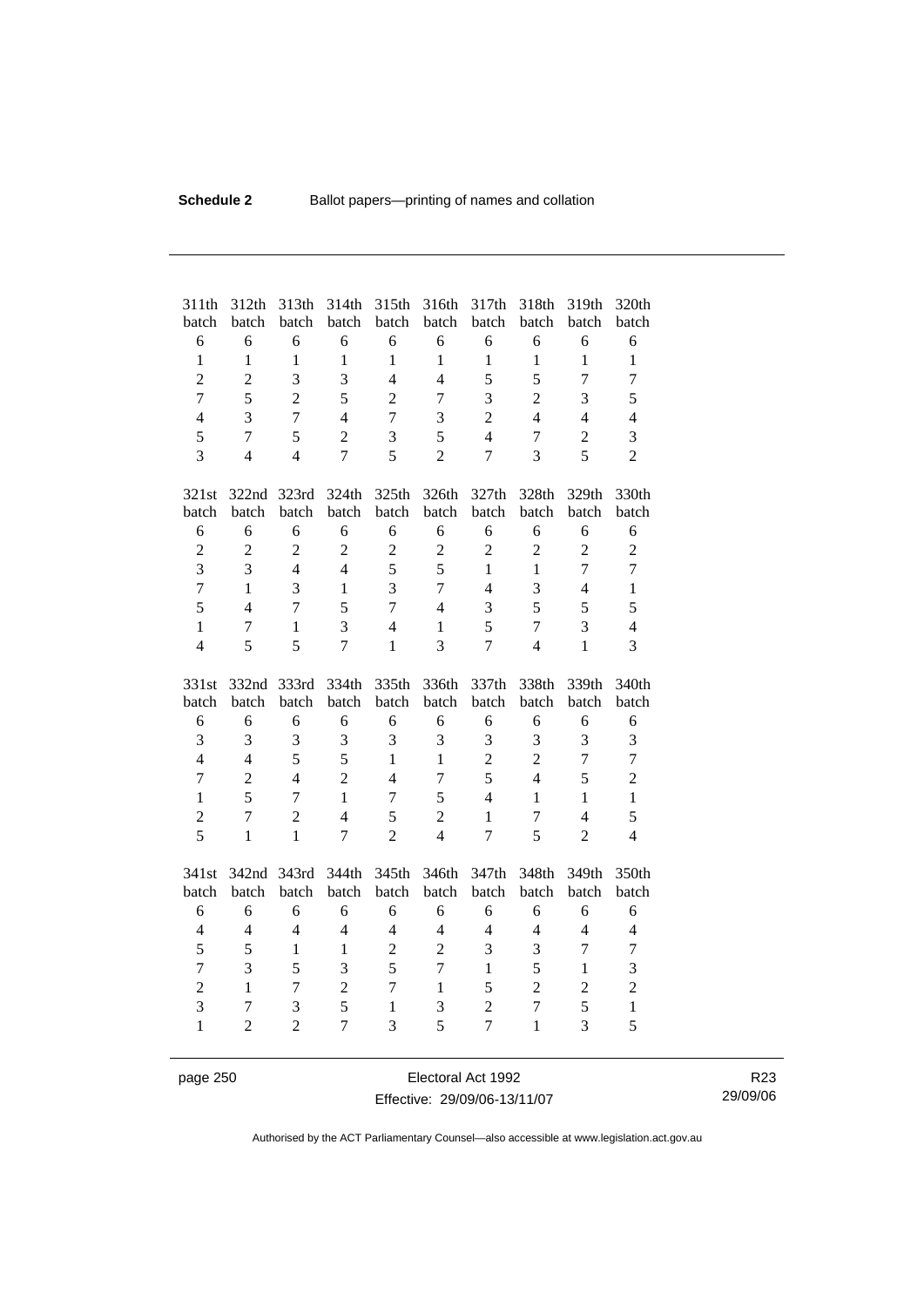| 311th<br>batch                 | 312th<br>batch      | 313th<br>batch      | 314th<br>batch      | 315th<br>batch    | 316th<br>batch | 317th<br>batch                   | 318th<br>batch                 | 319th<br>batch | 320th<br>batch    |
|--------------------------------|---------------------|---------------------|---------------------|-------------------|----------------|----------------------------------|--------------------------------|----------------|-------------------|
| 6                              | 6                   | 6                   | 6                   | 6                 | 6              | 6                                | 6                              | 6              | 6                 |
| $\mathbf{1}$                   | $\mathbf{1}$        | $\mathbf{1}$        | $\mathbf{1}$        | $\mathbf{1}$      | $\mathbf{1}$   | $\mathbf{1}$                     | $\mathbf{1}$                   | $\mathbf{1}$   | $\mathbf{1}$      |
| $\overline{2}$                 | $\overline{2}$      | 3                   | 3                   | $\overline{4}$    | $\overline{4}$ | 5                                | 5                              | $\overline{7}$ | $\overline{7}$    |
| $\overline{7}$                 | 5                   | $\overline{2}$      | 5                   | $\overline{2}$    | 7              | 3                                | $\overline{2}$                 | $\overline{3}$ | 5                 |
| $\overline{4}$                 | 3                   | $\overline{7}$      | $\overline{4}$      | $\overline{7}$    | 3              | $\overline{2}$                   | $\overline{4}$                 | $\overline{4}$ | $\overline{4}$    |
| 5                              | $\overline{7}$      | 5                   | $\overline{2}$      | 3                 | 5              | $\overline{4}$                   | $\overline{7}$                 | $\overline{c}$ | 3                 |
| $\overline{3}$                 | $\overline{4}$      | $\overline{4}$      | $\overline{7}$      | 5                 | $\overline{2}$ | $\overline{7}$                   | 3                              | 5              | $\overline{2}$    |
|                                |                     |                     |                     |                   |                |                                  |                                |                |                   |
| 321st                          | 322nd 323rd         |                     | 324th               | 325th             | 326th          | 327th                            | 328th                          | 329th          | 330th             |
| batch                          | batch               | batch               | batch               | batch             | batch          | batch                            | batch                          | batch          | batch             |
| 6                              | 6                   | 6                   | 6                   | 6                 | 6              | 6                                | 6                              | 6              | 6                 |
| $\overline{2}$                 | $\overline{2}$      | $\overline{2}$      | $\overline{2}$      | $\overline{c}$    | $\overline{c}$ | $\overline{c}$                   | $\overline{2}$                 | $\overline{2}$ | $\overline{c}$    |
| $\overline{3}$                 | 3                   | $\overline{4}$      | $\overline{4}$      | 5                 | 5              | $\mathbf{1}$                     | $\mathbf{1}$                   | $\overline{7}$ | $\overline{7}$    |
| $\overline{7}$                 | $\mathbf{1}$        | 3                   | $\mathbf{1}$        | 3                 | $\overline{7}$ | $\overline{4}$                   | 3                              | $\overline{4}$ | $\mathbf{1}$      |
| 5                              | $\overline{4}$      | $\overline{7}$      | 5                   | $\overline{7}$    | $\overline{4}$ | 3                                | 5                              | 5              | 5                 |
| $\mathbf{1}$                   | $\tau$              | $\mathbf{1}$        | 3                   | $\overline{4}$    | $\mathbf{1}$   | 5                                | $\overline{7}$                 | 3              | $\overline{4}$    |
| $\overline{4}$                 | 5                   | 5                   | 7                   | 1                 | 3              | $\overline{7}$                   | $\overline{\mathcal{L}}$       | $\mathbf{1}$   | 3                 |
|                                |                     |                     |                     |                   |                |                                  |                                |                |                   |
|                                |                     |                     |                     |                   |                |                                  |                                |                |                   |
| 331st<br>batch                 | 332nd<br>batch      | 333rd<br>batch      | 334th<br>batch      | 335th<br>batch    | 336th<br>batch | 337th<br>batch                   | 338th<br>batch                 | 339th<br>batch | 340th<br>batch    |
| 6                              | 6                   | 6                   | 6                   | 6                 | 6              | 6                                | 6                              | 6              | 6                 |
| 3                              | 3                   | 3                   | 3                   | 3                 | 3              | 3                                | 3                              | 3              | 3                 |
| $\overline{4}$                 | $\overline{4}$      | 5                   | 5                   | $\mathbf{1}$      | $\mathbf{1}$   | $\overline{2}$                   | $\overline{c}$                 | $\overline{7}$ | $\overline{7}$    |
| $\overline{7}$                 | $\sqrt{2}$          | $\overline{4}$      | $\overline{2}$      | $\overline{4}$    | 7              | 5                                | $\overline{4}$                 | 5              | $\overline{c}$    |
| $\mathbf{1}$                   | 5                   | $\overline{7}$      | $\mathbf{1}$        | $\overline{7}$    | 5              | $\overline{4}$                   | $\mathbf{1}$                   | $\mathbf{1}$   | $\mathbf{1}$      |
| $\overline{2}$                 | $\overline{7}$      | $\overline{2}$      | $\overline{4}$      | 5                 | $\overline{2}$ | $\mathbf{1}$                     | $\overline{7}$                 | $\overline{4}$ | 5                 |
| 5                              | $\mathbf{1}$        | $\mathbf{1}$        | $\overline{7}$      | $\overline{2}$    | $\overline{4}$ | $\overline{7}$                   | 5                              | $\overline{2}$ | $\overline{4}$    |
|                                |                     |                     |                     |                   |                |                                  |                                |                |                   |
| 341st                          | 342nd 343rd         |                     | 344th               | 345th             | 346th          | 347th                            | 348th                          | 349th          | 350th             |
| batch                          | batch               | batch               | batch               | batch             | batch          | batch                            | batch                          | batch          | batch             |
| 6                              | 6                   | 6                   | 6                   | 6                 | 6              | 6                                | 6                              | 6              | 6                 |
| $\overline{4}$                 | $\overline{4}$      | $\overline{4}$      | $\overline{4}$      | $\overline{4}$    | $\overline{4}$ | $\overline{4}$                   | $\overline{4}$                 | $\overline{4}$ | $\overline{4}$    |
| 5                              | 5                   | $\mathbf{1}$        | $\mathbf{1}$        | $\overline{2}$    | $\overline{2}$ | 3                                | 3                              | 7              | $\tau$            |
| $\overline{7}$                 | 3                   | 5                   | 3                   | 5                 | $\overline{7}$ | $\mathbf{1}$                     | 5                              | $\mathbf{1}$   | 3                 |
| $\overline{c}$                 | $\mathbf{1}$        | $\overline{7}$      | $\overline{c}$      | $\overline{7}$    | $\mathbf{1}$   | 5                                | $\overline{2}$                 | $\overline{c}$ | $\overline{c}$    |
| $\overline{3}$<br>$\mathbf{1}$ | 7<br>$\overline{2}$ | 3<br>$\overline{2}$ | 5<br>$\overline{7}$ | $\mathbf{1}$<br>3 | 3<br>5         | $\overline{2}$<br>$\overline{7}$ | $\overline{7}$<br>$\mathbf{1}$ | 5<br>3         | $\mathbf{1}$<br>5 |

page 250 Electoral Act 1992 Effective: 29/09/06-13/11/07

R23 29/09/06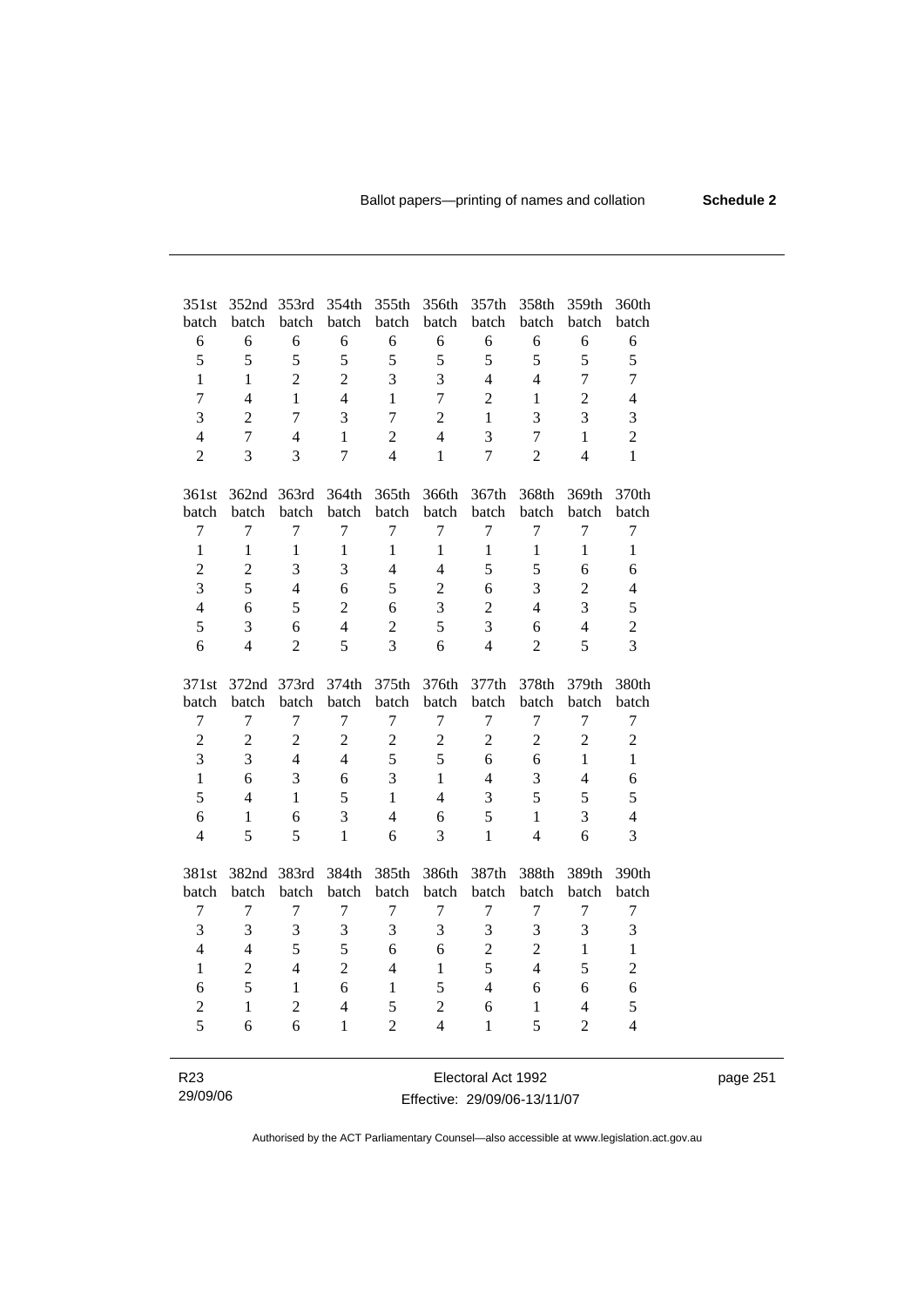| 351st            | 352nd<br>batch | 353rd<br>batch | 354th<br>batch | 355th<br>batch   | 356th<br>batch | 357th<br>batch   | 358th<br>batch          | 359th<br>batch          | 360th<br>batch   |
|------------------|----------------|----------------|----------------|------------------|----------------|------------------|-------------------------|-------------------------|------------------|
| batch<br>6       | 6              | 6              | 6              | 6                | 6              | 6                | 6                       | 6                       | 6                |
| 5                | 5              | 5              | 5              | 5                | 5              | 5                | 5                       | 5                       |                  |
| $\mathbf{1}$     |                |                |                |                  |                |                  |                         |                         | 5                |
|                  | $\mathbf{1}$   | $\overline{2}$ | $\overline{2}$ | 3                | 3              | $\overline{4}$   | $\overline{4}$          | $\overline{7}$          | $\overline{7}$   |
| $\overline{7}$   | $\overline{4}$ | $\mathbf{1}$   | $\overline{4}$ | $\mathbf{1}$     | $\overline{7}$ | $\overline{2}$   | $\mathbf{1}$            | $\overline{2}$          | $\overline{4}$   |
| 3                | $\overline{2}$ | $\tau$         | 3              | $\boldsymbol{7}$ | $\overline{c}$ | 1                | $\overline{\mathbf{3}}$ | $\overline{3}$          | 3                |
| $\overline{4}$   | $\overline{7}$ | $\overline{4}$ | $\mathbf{1}$   | $\overline{c}$   | $\overline{4}$ | 3                | $\overline{7}$          | $\mathbf{1}$            | $\overline{2}$   |
| $\overline{2}$   | $\overline{3}$ | $\overline{3}$ | $\overline{7}$ | $\overline{4}$   | $\mathbf{1}$   | $\overline{7}$   | $\overline{2}$          | $\overline{4}$          | $\mathbf{1}$     |
| 361st            | 362nd          | 363rd          | 364th          | 365th            | 366th          | 367th            | 368th                   | 369th                   | 370th            |
| batch            | batch          | batch          | batch          | batch            | batch          | batch            | batch                   | batch                   | batch            |
| $\boldsymbol{7}$ | 7              | 7              | 7              | $\overline{7}$   | 7              | $\boldsymbol{7}$ | $\overline{7}$          | $\boldsymbol{7}$        | $\boldsymbol{7}$ |
| $\mathbf{1}$     | $\mathbf{1}$   | $\mathbf{1}$   | $\mathbf{1}$   | $\mathbf{1}$     | $\mathbf{1}$   | $\mathbf{1}$     | $\mathbf{1}$            | $\mathbf{1}$            | $\mathbf{1}$     |
| $\overline{c}$   | $\overline{c}$ | 3              | 3              | $\overline{4}$   | $\overline{4}$ | 5                | 5                       | 6                       | 6                |
| $\overline{3}$   | 5              | $\overline{4}$ | 6              | 5                | $\overline{2}$ | 6                | $\overline{3}$          | $\overline{c}$          | 4                |
| $\overline{4}$   | 6              | 5              | $\overline{2}$ | 6                | 3              | $\overline{2}$   | $\overline{4}$          | 3                       | 5                |
| 5                | 3              | 6              | $\overline{4}$ | $\overline{2}$   | 5              | 3                | 6                       | $\overline{4}$          | $\overline{c}$   |
| 6                | $\overline{4}$ | $\overline{2}$ | 5              | $\overline{3}$   | 6              | $\overline{4}$   | $\overline{2}$          | 5                       | 3                |
| 371st            | 372nd          | 373rd          | 374th          | 375th            | 376th          | 377th            | 378th                   | 379th                   | 380th            |
| batch            | batch          | batch          | batch          | batch            | batch          | batch            | batch                   | batch                   | batch            |
| $\tau$           | 7              | 7              | 7              | $\boldsymbol{7}$ | 7              | $\tau$           | $\tau$                  | $\boldsymbol{7}$        | 7                |
| $\sqrt{2}$       | $\overline{2}$ | $\overline{2}$ | $\overline{2}$ | $\overline{2}$   | $\sqrt{2}$     | $\overline{c}$   | $\overline{c}$          | $\overline{c}$          | $\overline{c}$   |
| 3                | 3              | $\overline{4}$ | $\overline{4}$ | 5                | 5              | 6                | 6                       | $\mathbf{1}$            | $\mathbf{1}$     |
| $\mathbf{1}$     | 6              | 3              | 6              | 3                | $\mathbf{1}$   | $\overline{4}$   | $\overline{3}$          | $\overline{4}$          | 6                |
| 5                | $\overline{4}$ | $\mathbf{1}$   | 5              | $\mathbf{1}$     | $\overline{4}$ | 3                | 5                       | 5                       | 5                |
| 6                | $\mathbf{1}$   | 6              | 3              | $\overline{4}$   | 6              | 5                | $\mathbf{1}$            | 3                       | $\overline{4}$   |
| $\overline{4}$   | 5              | 5              | $\mathbf{1}$   | 6                | 3              | $\mathbf{1}$     | $\overline{4}$          | 6                       | 3                |
|                  |                |                |                |                  |                |                  |                         |                         |                  |
| 381st            | 382nd          | 383rd          | 384th          | 385th            | 386th          | 387th            | 388th                   | 389th                   | 390th            |
| batch            | batch          | batch          | batch          | batch            | batch          | batch            | batch                   | batch                   | batch            |
| $\tau$           | $\overline{7}$ | $\tau$         | $\tau$         | $\tau$           | $\tau$         | $\tau$           | $\tau$                  | $\overline{7}$          | $\boldsymbol{7}$ |
| 3                | $\overline{3}$ | 3              | 3              | 3                | 3              | 3                | 3                       | 3                       | 3                |
| $\overline{4}$   | $\overline{4}$ | 5              | 5              | 6                | 6              | $\overline{c}$   | $\overline{c}$          | $\mathbf{1}$            | $\,1$            |
| $\mathbf{1}$     | $\overline{2}$ | $\overline{4}$ | $\overline{2}$ | $\overline{4}$   | $\mathbf{1}$   | 5                | $\overline{4}$          | 5                       | $\overline{c}$   |
| 6                | 5              | $\mathbf{1}$   | 6              | 1                | 5              | $\overline{4}$   | 6                       | 6                       | 6                |
| $\overline{2}$   | $\mathbf{1}$   | $\overline{2}$ | $\overline{4}$ | 5                | $\overline{c}$ | 6                | $\mathbf{1}$            | $\overline{\mathbf{4}}$ | 5                |
| 5                | 6              | 6              | 1              | $\overline{2}$   | $\overline{4}$ | $\mathbf{1}$     | 5                       | $\overline{2}$          | $\overline{4}$   |
|                  |                |                |                |                  |                |                  |                         |                         |                  |

| R23      | Electoral Act 1992           | page 251 |
|----------|------------------------------|----------|
| 29/09/06 | Effective: 29/09/06-13/11/07 |          |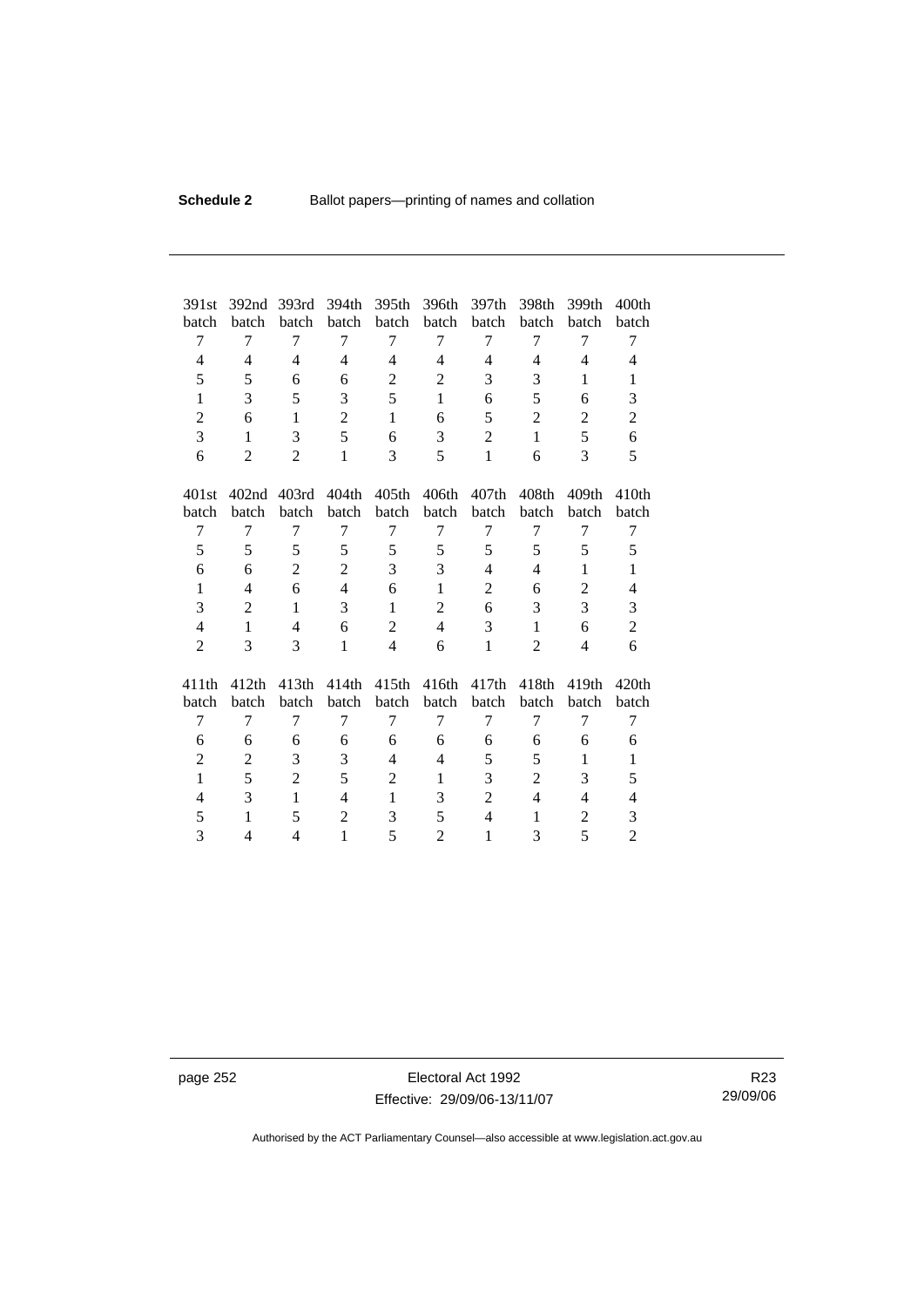| 391st          | 392nd             | 393rd             | 394th          | 395th             | 396th          | 397th          | 398th             | 399th             | 400 <sub>th</sub> |
|----------------|-------------------|-------------------|----------------|-------------------|----------------|----------------|-------------------|-------------------|-------------------|
| batch          | batch             | batch             | batch          | batch             | batch          | batch          | batch             | batch             | batch             |
| 7              | 7                 | 7                 | 7              | 7                 | $\tau$         | 7              | 7                 | 7                 | 7                 |
| $\overline{4}$ | $\overline{4}$    | $\overline{4}$    | 4              | $\overline{4}$    | $\overline{4}$ | 4              | 4                 | $\overline{4}$    | 4                 |
| 5              | 5                 | 6                 | 6              | $\mathbf{2}$      | $\overline{2}$ | 3              | 3                 | 1                 | $\mathbf{1}$      |
| $\mathbf{1}$   | 3                 | 5                 | 3              | 5                 | $\mathbf{1}$   | 6              | 5                 | 6                 | 3                 |
| $\overline{2}$ | 6                 | $\mathbf{1}$      | $\overline{c}$ | 1                 | 6              | 5              | $\overline{2}$    | $\overline{2}$    | $\overline{c}$    |
| 3              | $\mathbf{1}$      | 3                 | $\overline{5}$ | 6                 | 3              | $\overline{2}$ | $\mathbf{1}$      | 5                 | 6                 |
| 6              | $\overline{2}$    | $\overline{2}$    | $\mathbf{1}$   | 3                 | 5              | $\mathbf{1}$   | 6                 | 3                 | 5                 |
|                |                   |                   |                |                   |                |                |                   |                   |                   |
| 401st          | 402 <sub>nd</sub> | 403rd             | 404th          | 405th             | 406th          | 407th          | 408th             | 409 <sub>th</sub> | 410 <sub>th</sub> |
| batch          | batch             | batch             | batch          | batch             | batch          | batch          | batch             | batch             | batch             |
| 7              | 7                 | 7                 | 7              | 7                 | 7              | 7              | 7                 | 7                 | 7                 |
| 5              | 5                 | 5                 | 5              | 5                 | 5              | 5              | 5                 | 5                 | 5                 |
| 6              | 6                 | $\overline{2}$    | $\overline{c}$ | 3                 | 3              | 4              | 4                 | 1                 | $\mathbf{1}$      |
| $\mathbf{1}$   | $\overline{4}$    | 6                 | $\overline{4}$ | 6                 | $\mathbf{1}$   | $\overline{2}$ | 6                 | $\overline{2}$    | $\overline{4}$    |
| 3              | 2                 | $\mathbf{1}$      | 3              | $\mathbf{1}$      | $\overline{2}$ | 6              | 3                 | 3                 | 3                 |
| $\overline{4}$ | $\mathbf{1}$      | $\overline{4}$    | 6              | $\overline{2}$    | $\overline{4}$ | 3              | 1                 | 6                 | $\overline{c}$    |
| $\overline{2}$ | 3                 | 3                 | 1              | $\overline{4}$    | 6              | $\mathbf{1}$   | $\overline{2}$    | 4                 | 6                 |
|                |                   |                   |                |                   |                |                |                   |                   |                   |
| 411th          | 412th             | 413 <sub>th</sub> | 414th          | 415 <sub>th</sub> | 416th          | 417th          | 418 <sub>th</sub> | 419th             | 420 <sub>th</sub> |
| batch          | batch             | batch             | batch          | batch             | batch          | batch          | batch             | batch             | batch             |
| 7              | 7                 | 7                 | 7              | 7                 | 7              | 7              | 7                 | 7                 | 7                 |
| 6              | 6                 | 6                 | 6              | 6                 | 6              | 6              | 6                 | 6                 | 6                 |
| 2              | 2                 | 3                 | 3              | $\overline{4}$    | $\overline{4}$ | 5              | 5                 | $\mathbf{1}$      | $\mathbf{1}$      |
| $\mathbf{1}$   | 5                 | $\overline{c}$    | 5              | $\overline{2}$    | $\mathbf{1}$   | 3              | $\overline{c}$    | 3                 | 5                 |
| $\overline{4}$ | 3                 | $\mathbf{1}$      | $\overline{4}$ | 1                 | 3              | $\overline{2}$ | $\overline{4}$    | 4                 | 4                 |
| 5              | 1                 | 5                 | $\overline{2}$ | 3                 | 5              | $\overline{4}$ | 1                 | 2                 | 3                 |
| 3              | 4                 | 4                 | $\mathbf{1}$   | 5                 | $\overline{2}$ | 1              | 3                 | 5                 | $\overline{2}$    |

page 252 Electoral Act 1992 Effective: 29/09/06-13/11/07

R23 29/09/06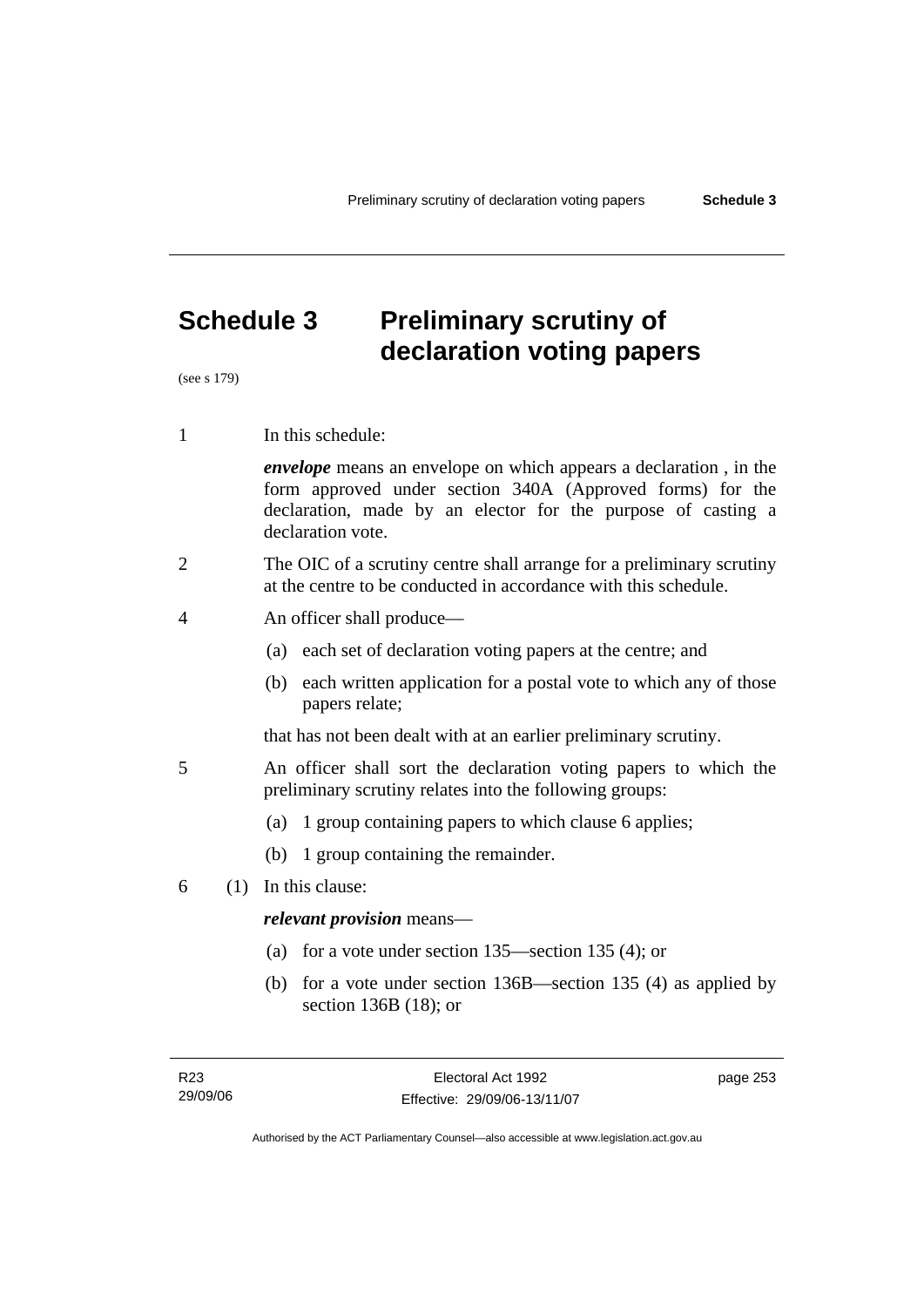# **Schedule 3 Preliminary scrutiny of declaration voting papers**

(see s 179)

1 In this schedule:

*envelope* means an envelope on which appears a declaration , in the form approved under section 340A (Approved forms) for the declaration, made by an elector for the purpose of casting a declaration vote.

- 2 The OIC of a scrutiny centre shall arrange for a preliminary scrutiny at the centre to be conducted in accordance with this schedule.
- 4 An officer shall produce—
	- (a) each set of declaration voting papers at the centre; and
	- (b) each written application for a postal vote to which any of those papers relate;

that has not been dealt with at an earlier preliminary scrutiny.

- 5 An officer shall sort the declaration voting papers to which the preliminary scrutiny relates into the following groups:
	- (a) 1 group containing papers to which clause 6 applies;
	- (b) 1 group containing the remainder.
- 6 (1) In this clause:

### *relevant provision* means—

- (a) for a vote under section 135—section 135 (4); or
- (b) for a vote under section 136B—section 135 (4) as applied by section 136B (18); or

page 253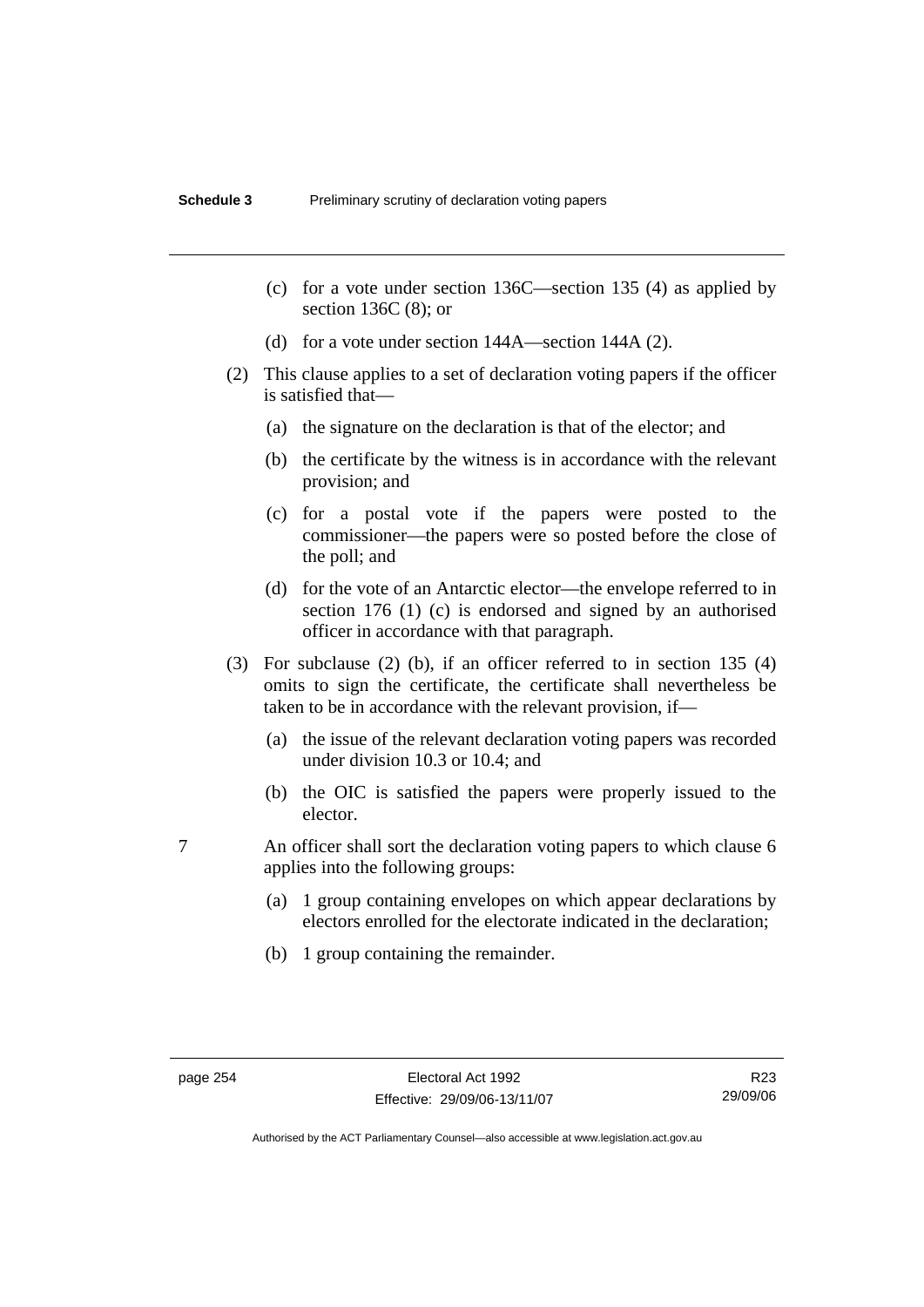- (c) for a vote under section 136C—section 135 (4) as applied by section 136C (8); or
- (d) for a vote under section 144A—section 144A (2).
- (2) This clause applies to a set of declaration voting papers if the officer is satisfied that—
	- (a) the signature on the declaration is that of the elector; and
	- (b) the certificate by the witness is in accordance with the relevant provision; and
	- (c) for a postal vote if the papers were posted to the commissioner—the papers were so posted before the close of the poll; and
	- (d) for the vote of an Antarctic elector—the envelope referred to in section 176 (1) (c) is endorsed and signed by an authorised officer in accordance with that paragraph.
- (3) For subclause (2) (b), if an officer referred to in section 135 (4) omits to sign the certificate, the certificate shall nevertheless be taken to be in accordance with the relevant provision, if—
	- (a) the issue of the relevant declaration voting papers was recorded under division 10.3 or 10.4; and
	- (b) the OIC is satisfied the papers were properly issued to the elector.
- 7 An officer shall sort the declaration voting papers to which clause 6 applies into the following groups:
	- (a) 1 group containing envelopes on which appear declarations by electors enrolled for the electorate indicated in the declaration;
	- (b) 1 group containing the remainder.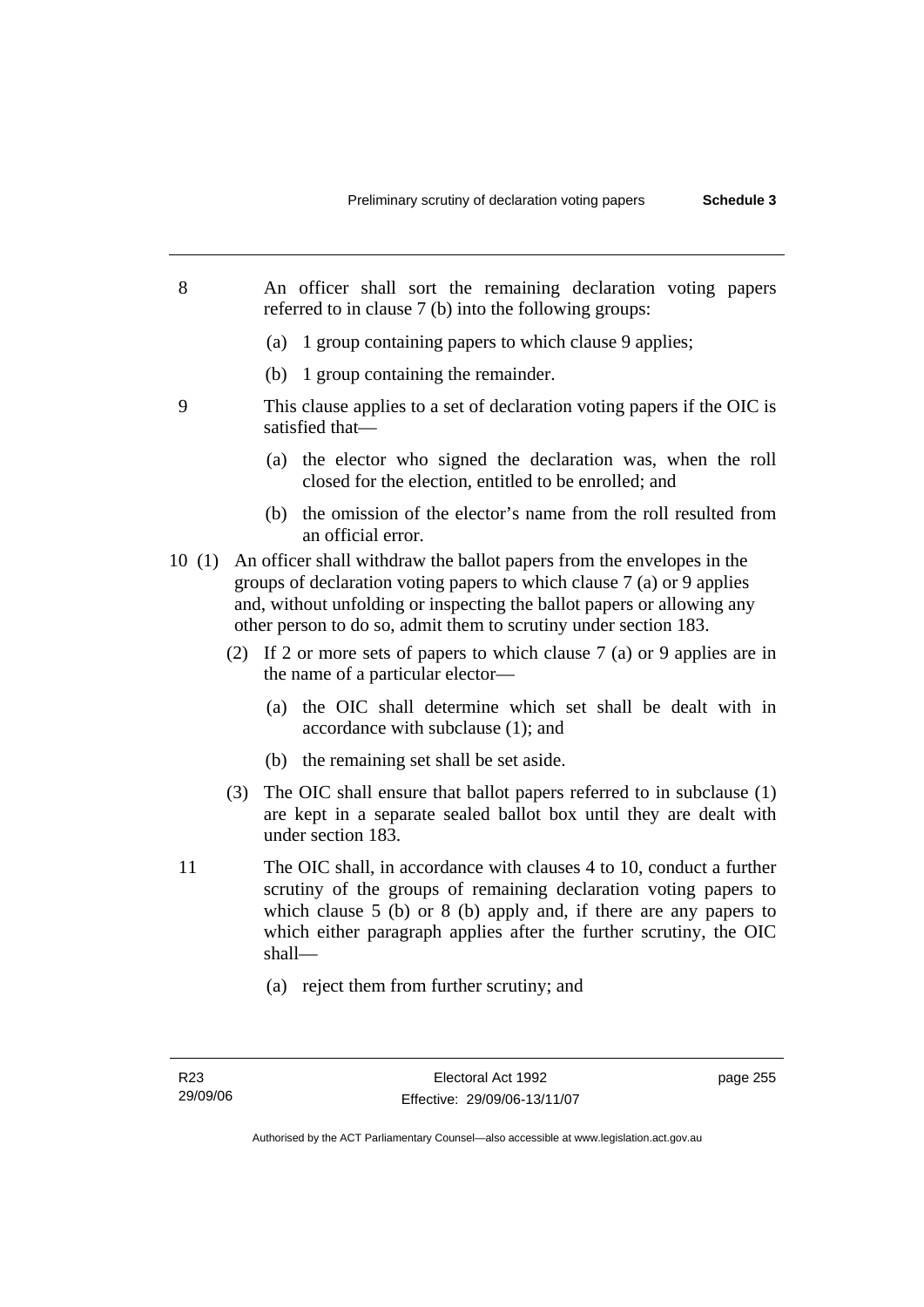- 8 An officer shall sort the remaining declaration voting papers referred to in clause 7 (b) into the following groups:
	- (a) 1 group containing papers to which clause 9 applies;
	- (b) 1 group containing the remainder.
- 9 This clause applies to a set of declaration voting papers if the OIC is satisfied that—
	- (a) the elector who signed the declaration was, when the roll closed for the election, entitled to be enrolled; and
	- (b) the omission of the elector's name from the roll resulted from an official error.
- 10 (1) An officer shall withdraw the ballot papers from the envelopes in the groups of declaration voting papers to which clause 7 (a) or 9 applies and, without unfolding or inspecting the ballot papers or allowing any other person to do so, admit them to scrutiny under section 183.
	- (2) If 2 or more sets of papers to which clause 7 (a) or 9 applies are in the name of a particular elector—
		- (a) the OIC shall determine which set shall be dealt with in accordance with subclause (1); and
		- (b) the remaining set shall be set aside.
	- (3) The OIC shall ensure that ballot papers referred to in subclause (1) are kept in a separate sealed ballot box until they are dealt with under section 183.
- 11 The OIC shall, in accordance with clauses 4 to 10, conduct a further scrutiny of the groups of remaining declaration voting papers to which clause 5 (b) or 8 (b) apply and, if there are any papers to which either paragraph applies after the further scrutiny, the OIC shall—
	- (a) reject them from further scrutiny; and

page 255

Authorised by the ACT Parliamentary Counsel—also accessible at www.legislation.act.gov.au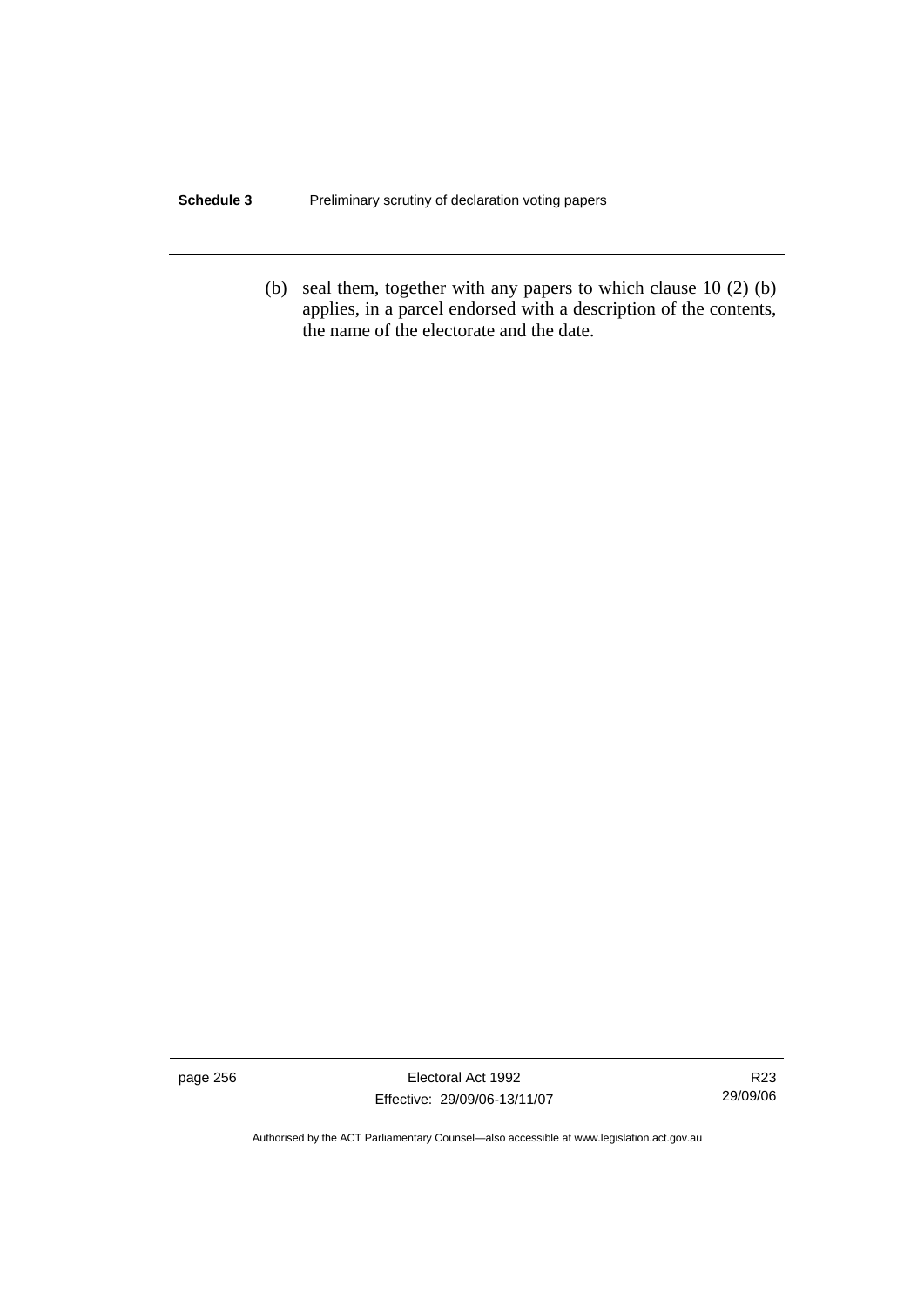### **Schedule 3** Preliminary scrutiny of declaration voting papers

 (b) seal them, together with any papers to which clause 10 (2) (b) applies, in a parcel endorsed with a description of the contents, the name of the electorate and the date.

page 256 Electoral Act 1992 Effective: 29/09/06-13/11/07

R23 29/09/06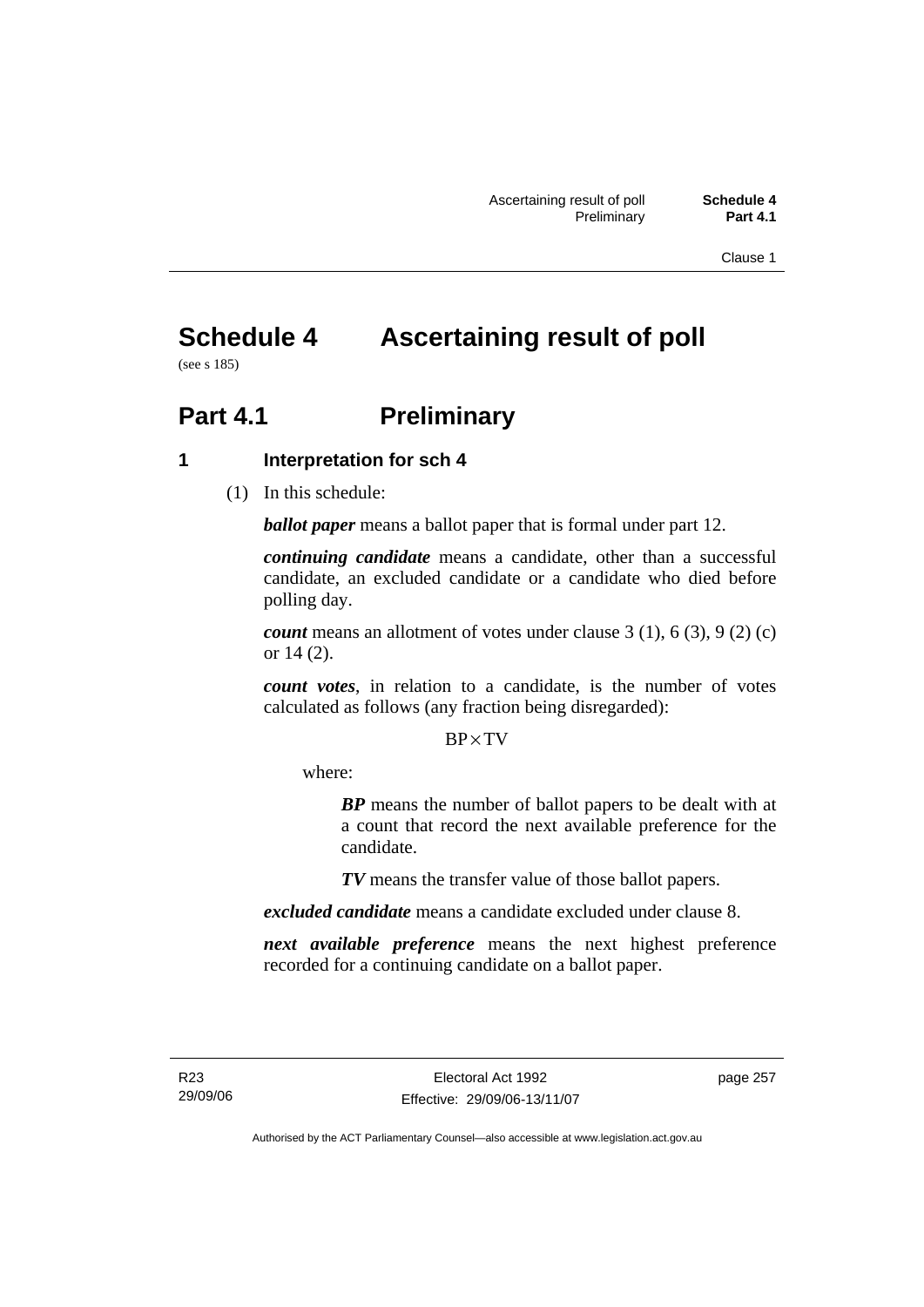Clause 1

# **Schedule 4 Ascertaining result of poll**

(see s 185)

# **Part 4.1** Preliminary

### **1 Interpretation for sch 4**

(1) In this schedule:

*ballot paper* means a ballot paper that is formal under part 12.

*continuing candidate* means a candidate, other than a successful candidate, an excluded candidate or a candidate who died before polling day.

*count* means an allotment of votes under clause 3 (1), 6 (3), 9 (2) (c) or 14 (2).

*count votes*, in relation to a candidate, is the number of votes calculated as follows (any fraction being disregarded):

### BP× TV

where:

*BP* means the number of ballot papers to be dealt with at a count that record the next available preference for the candidate.

*TV* means the transfer value of those ballot papers.

*excluded candidate* means a candidate excluded under clause 8.

*next available preference* means the next highest preference recorded for a continuing candidate on a ballot paper.

page 257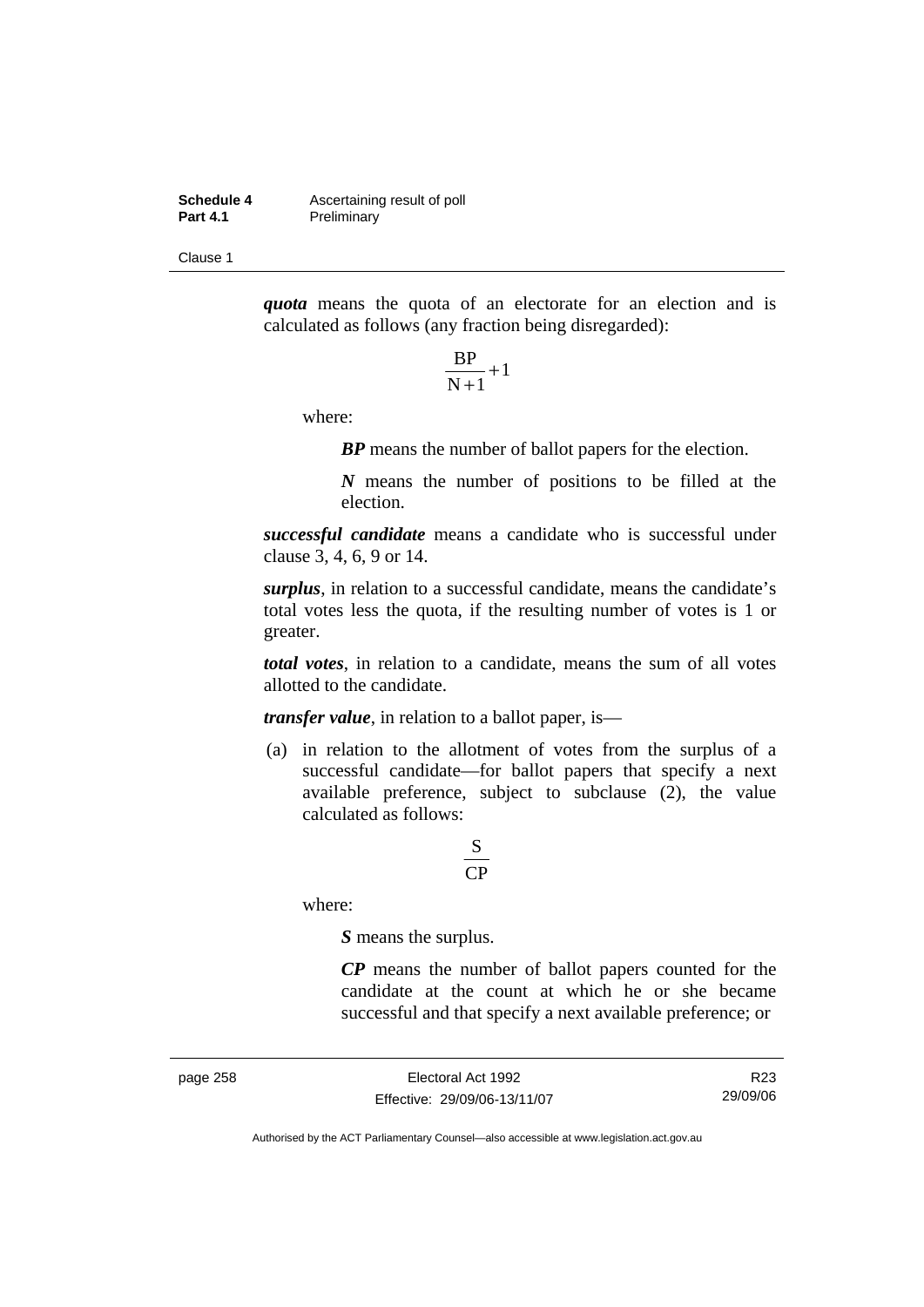**Schedule 4 Ascertaining result of poll**<br>**Part 4.1 Preliminary Preliminary** 

Clause 1

*quota* means the quota of an electorate for an election and is calculated as follows (any fraction being disregarded):

$$
\frac{\text{BP}}{\text{N}+1}+1
$$

where:

*BP* means the number of ballot papers for the election.

*N* means the number of positions to be filled at the election.

*successful candidate* means a candidate who is successful under clause 3, 4, 6, 9 or 14.

*surplus*, in relation to a successful candidate, means the candidate's total votes less the quota, if the resulting number of votes is 1 or greater.

*total votes*, in relation to a candidate, means the sum of all votes allotted to the candidate.

*transfer value*, in relation to a ballot paper, is—

 (a) in relation to the allotment of votes from the surplus of a successful candidate—for ballot papers that specify a next available preference, subject to subclause (2), the value calculated as follows:

### CP S

where:

*S* means the surplus.

*CP* means the number of ballot papers counted for the candidate at the count at which he or she became successful and that specify a next available preference; or

page 258 Electoral Act 1992 Effective: 29/09/06-13/11/07

R23 29/09/06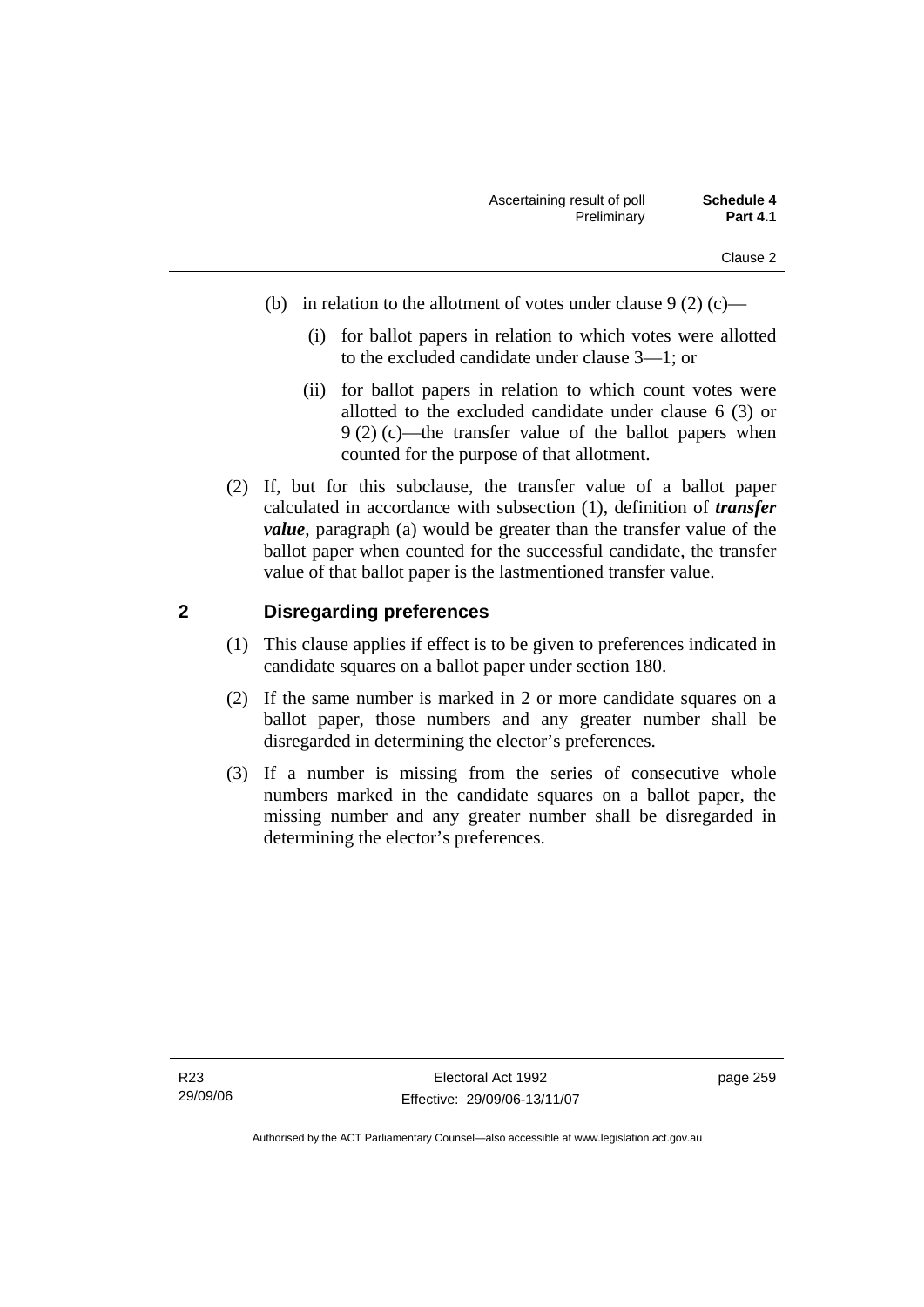- (b) in relation to the allotment of votes under clause  $9(2)$  (c)—
	- (i) for ballot papers in relation to which votes were allotted to the excluded candidate under clause 3—1; or
	- (ii) for ballot papers in relation to which count votes were allotted to the excluded candidate under clause 6 (3) or 9 (2) (c)—the transfer value of the ballot papers when counted for the purpose of that allotment.
- (2) If, but for this subclause, the transfer value of a ballot paper calculated in accordance with subsection (1), definition of *transfer value*, paragraph (a) would be greater than the transfer value of the ballot paper when counted for the successful candidate, the transfer value of that ballot paper is the lastmentioned transfer value.

### **2 Disregarding preferences**

- (1) This clause applies if effect is to be given to preferences indicated in candidate squares on a ballot paper under section 180.
- (2) If the same number is marked in 2 or more candidate squares on a ballot paper, those numbers and any greater number shall be disregarded in determining the elector's preferences.
- (3) If a number is missing from the series of consecutive whole numbers marked in the candidate squares on a ballot paper, the missing number and any greater number shall be disregarded in determining the elector's preferences.

page 259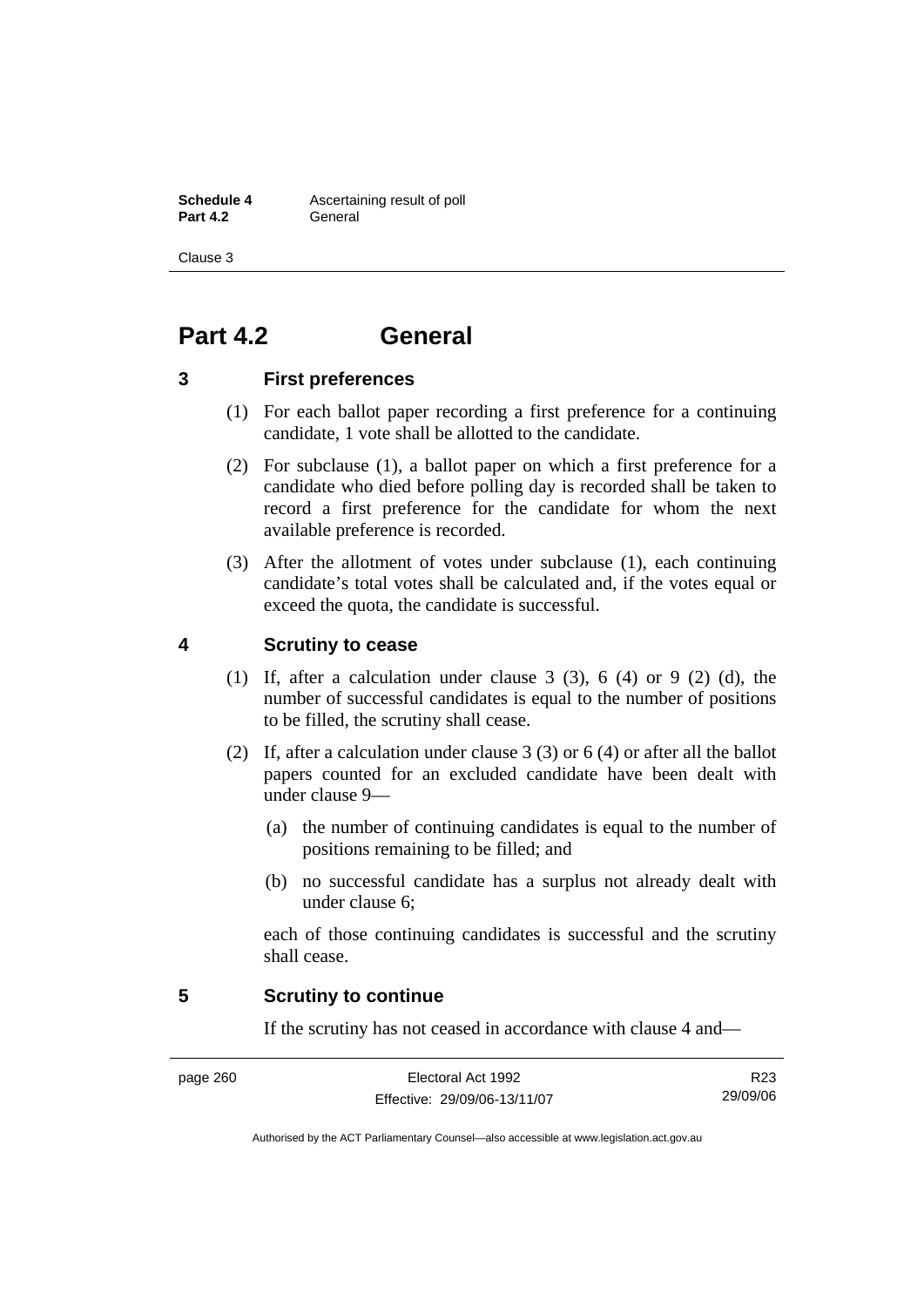**Schedule 4 Ascertaining result of poll Part 4.2** General

Clause 3

# **Part 4.2 General**

### **3 First preferences**

- (1) For each ballot paper recording a first preference for a continuing candidate, 1 vote shall be allotted to the candidate.
- (2) For subclause (1), a ballot paper on which a first preference for a candidate who died before polling day is recorded shall be taken to record a first preference for the candidate for whom the next available preference is recorded.
- (3) After the allotment of votes under subclause (1), each continuing candidate's total votes shall be calculated and, if the votes equal or exceed the quota, the candidate is successful.

### **4 Scrutiny to cease**

- (1) If, after a calculation under clause 3 (3), 6 (4) or 9 (2) (d), the number of successful candidates is equal to the number of positions to be filled, the scrutiny shall cease.
- (2) If, after a calculation under clause 3 (3) or 6 (4) or after all the ballot papers counted for an excluded candidate have been dealt with under clause 9—
	- (a) the number of continuing candidates is equal to the number of positions remaining to be filled; and
	- (b) no successful candidate has a surplus not already dealt with under clause 6;

each of those continuing candidates is successful and the scrutiny shall cease.

### **5 Scrutiny to continue**

If the scrutiny has not ceased in accordance with clause 4 and—

R23 29/09/06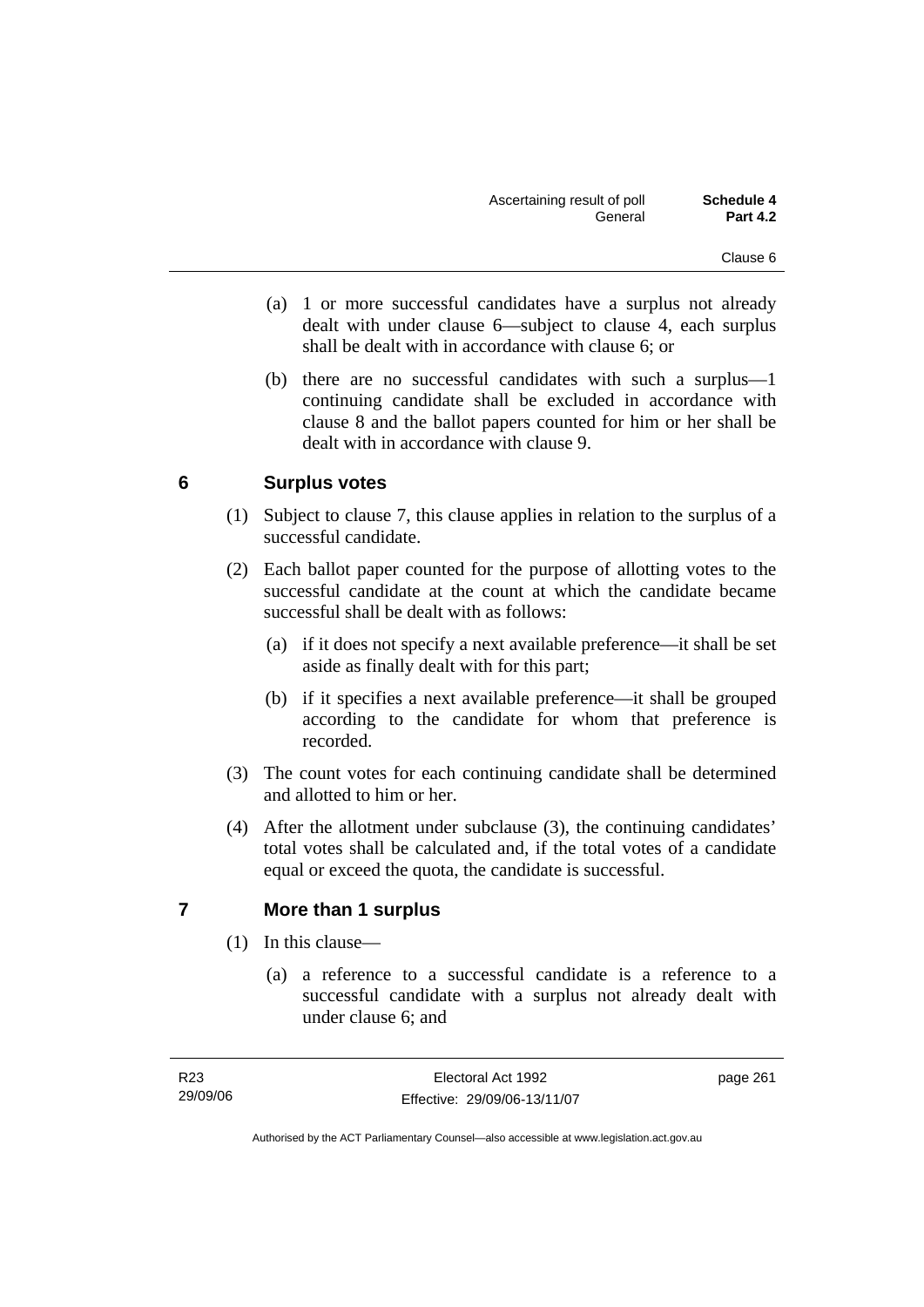- (a) 1 or more successful candidates have a surplus not already dealt with under clause 6—subject to clause 4, each surplus shall be dealt with in accordance with clause 6; or
- (b) there are no successful candidates with such a surplus—1 continuing candidate shall be excluded in accordance with clause 8 and the ballot papers counted for him or her shall be dealt with in accordance with clause 9.

### **6 Surplus votes**

- (1) Subject to clause 7, this clause applies in relation to the surplus of a successful candidate.
- (2) Each ballot paper counted for the purpose of allotting votes to the successful candidate at the count at which the candidate became successful shall be dealt with as follows:
	- (a) if it does not specify a next available preference—it shall be set aside as finally dealt with for this part;
	- (b) if it specifies a next available preference—it shall be grouped according to the candidate for whom that preference is recorded.
- (3) The count votes for each continuing candidate shall be determined and allotted to him or her.
- (4) After the allotment under subclause (3), the continuing candidates' total votes shall be calculated and, if the total votes of a candidate equal or exceed the quota, the candidate is successful.

### **7 More than 1 surplus**

- (1) In this clause—
	- (a) a reference to a successful candidate is a reference to a successful candidate with a surplus not already dealt with under clause 6; and

page 261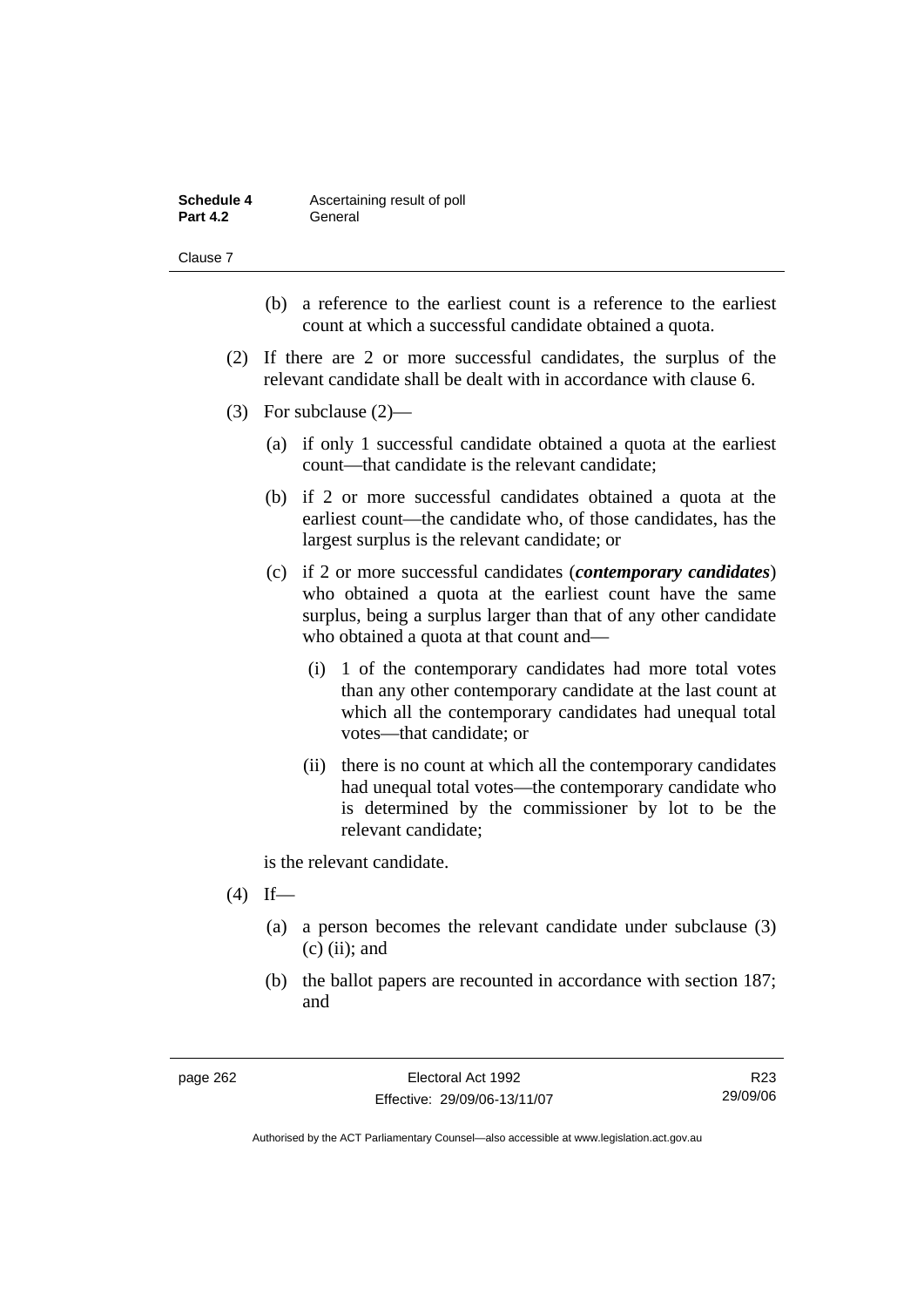| Schedule 4      | Ascertaining result of poll |
|-----------------|-----------------------------|
| <b>Part 4.2</b> | General                     |

Clause 7

- (b) a reference to the earliest count is a reference to the earliest count at which a successful candidate obtained a quota.
- (2) If there are 2 or more successful candidates, the surplus of the relevant candidate shall be dealt with in accordance with clause 6.
- (3) For subclause (2)—
	- (a) if only 1 successful candidate obtained a quota at the earliest count—that candidate is the relevant candidate;
	- (b) if 2 or more successful candidates obtained a quota at the earliest count—the candidate who, of those candidates, has the largest surplus is the relevant candidate; or
	- (c) if 2 or more successful candidates (*contemporary candidates*) who obtained a quota at the earliest count have the same surplus, being a surplus larger than that of any other candidate who obtained a quota at that count and—
		- (i) 1 of the contemporary candidates had more total votes than any other contemporary candidate at the last count at which all the contemporary candidates had unequal total votes—that candidate; or
		- (ii) there is no count at which all the contemporary candidates had unequal total votes—the contemporary candidate who is determined by the commissioner by lot to be the relevant candidate;

is the relevant candidate.

- $(4)$  If—
	- (a) a person becomes the relevant candidate under subclause (3)  $(c)$  (ii); and
	- (b) the ballot papers are recounted in accordance with section 187; and

R23 29/09/06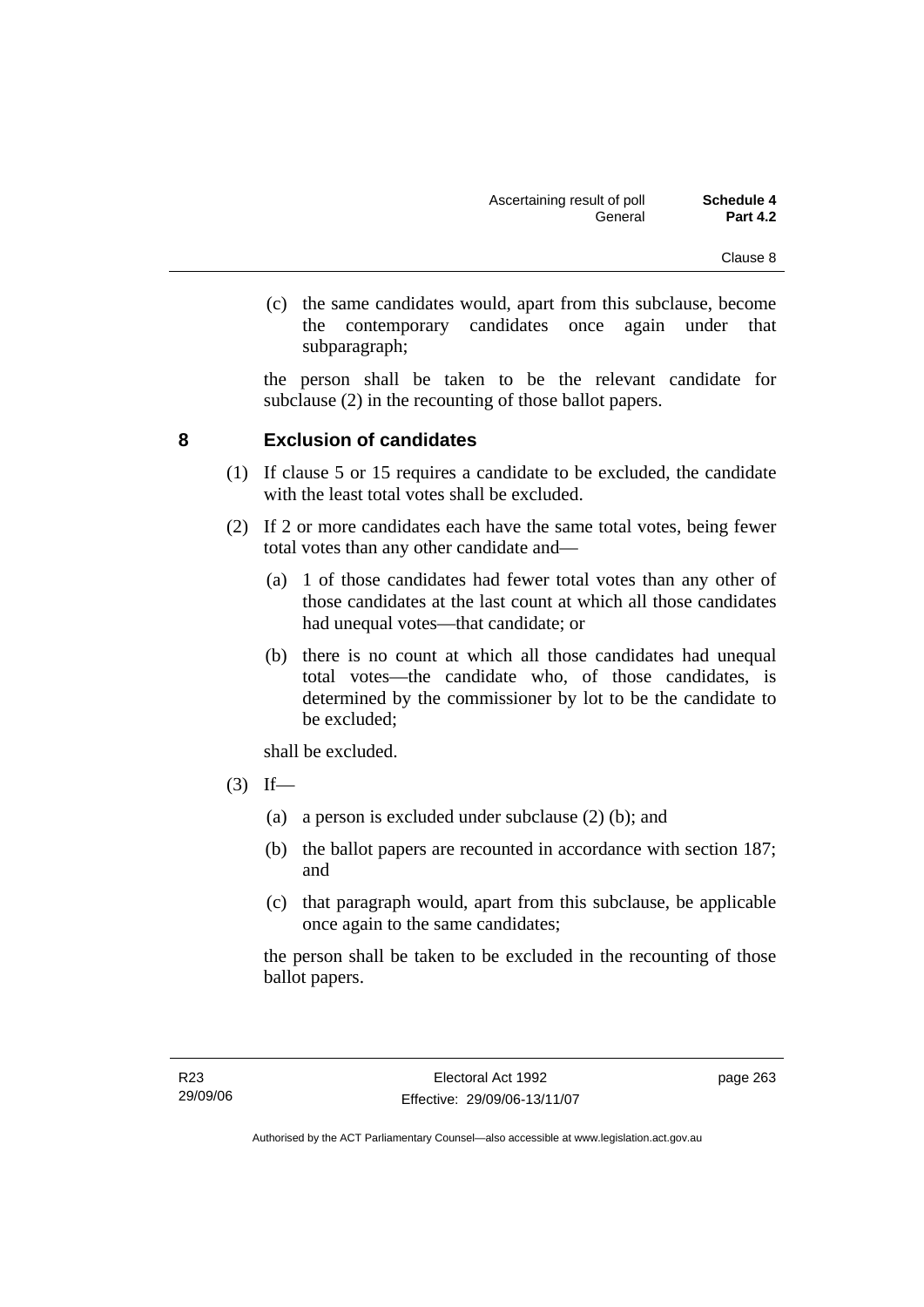(c) the same candidates would, apart from this subclause, become the contemporary candidates once again under that subparagraph;

the person shall be taken to be the relevant candidate for subclause (2) in the recounting of those ballot papers.

### **8 Exclusion of candidates**

- (1) If clause 5 or 15 requires a candidate to be excluded, the candidate with the least total votes shall be excluded.
- (2) If 2 or more candidates each have the same total votes, being fewer total votes than any other candidate and—
	- (a) 1 of those candidates had fewer total votes than any other of those candidates at the last count at which all those candidates had unequal votes—that candidate; or
	- (b) there is no count at which all those candidates had unequal total votes—the candidate who, of those candidates, is determined by the commissioner by lot to be the candidate to be excluded;

shall be excluded.

- $(3)$  If—
	- (a) a person is excluded under subclause (2) (b); and
	- (b) the ballot papers are recounted in accordance with section 187; and
	- (c) that paragraph would, apart from this subclause, be applicable once again to the same candidates;

the person shall be taken to be excluded in the recounting of those ballot papers.

page 263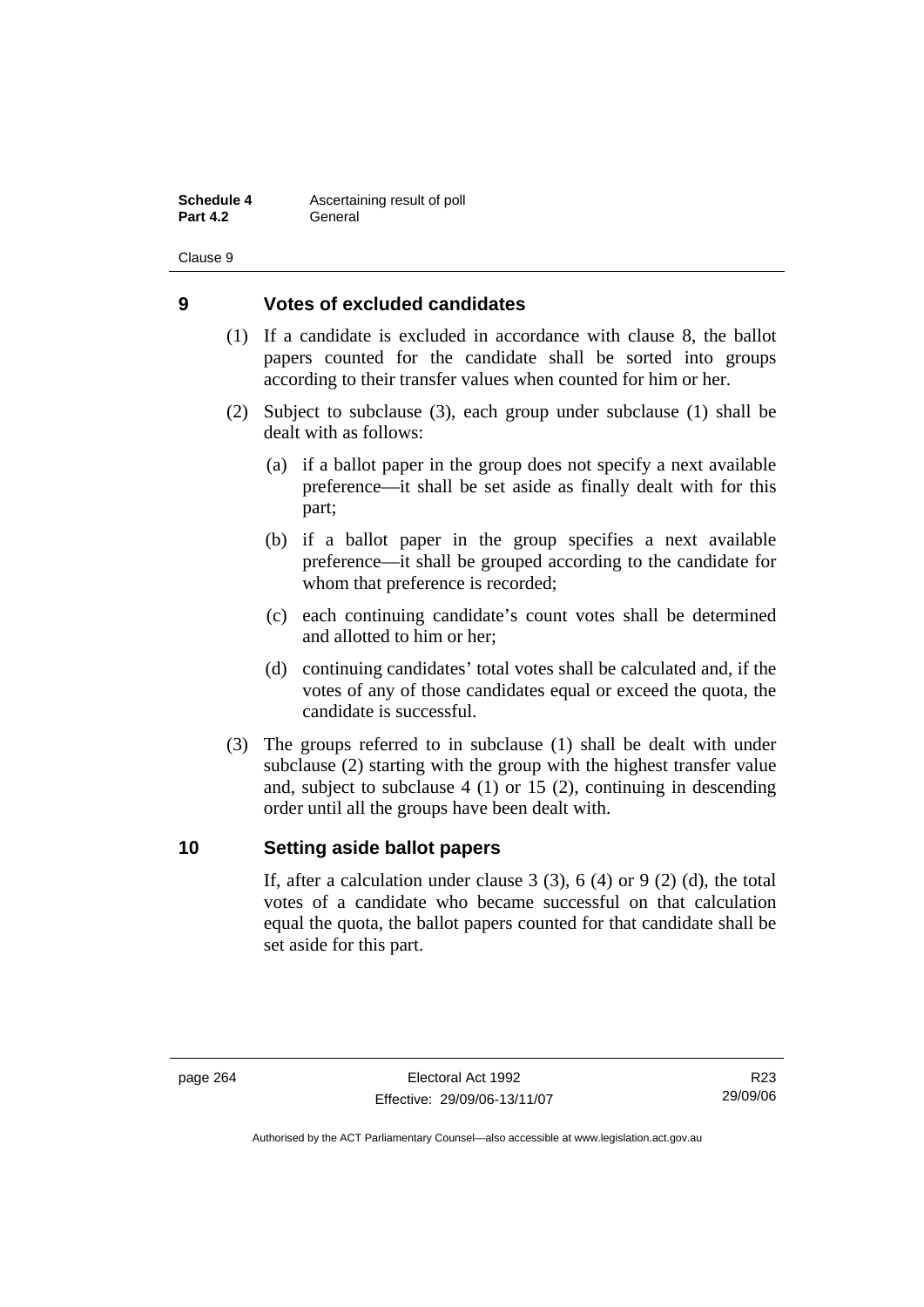**Schedule 4 Ascertaining result of poll Part 4.2** General

Clause 9

### **9 Votes of excluded candidates**

- (1) If a candidate is excluded in accordance with clause 8, the ballot papers counted for the candidate shall be sorted into groups according to their transfer values when counted for him or her.
- (2) Subject to subclause (3), each group under subclause (1) shall be dealt with as follows:
	- (a) if a ballot paper in the group does not specify a next available preference—it shall be set aside as finally dealt with for this part;
	- (b) if a ballot paper in the group specifies a next available preference—it shall be grouped according to the candidate for whom that preference is recorded;
	- (c) each continuing candidate's count votes shall be determined and allotted to him or her;
	- (d) continuing candidates' total votes shall be calculated and, if the votes of any of those candidates equal or exceed the quota, the candidate is successful.
- (3) The groups referred to in subclause (1) shall be dealt with under subclause (2) starting with the group with the highest transfer value and, subject to subclause 4 (1) or 15 (2), continuing in descending order until all the groups have been dealt with.

### **10 Setting aside ballot papers**

If, after a calculation under clause  $3(3)$ ,  $6(4)$  or  $9(2)(d)$ , the total votes of a candidate who became successful on that calculation equal the quota, the ballot papers counted for that candidate shall be set aside for this part.

R23 29/09/06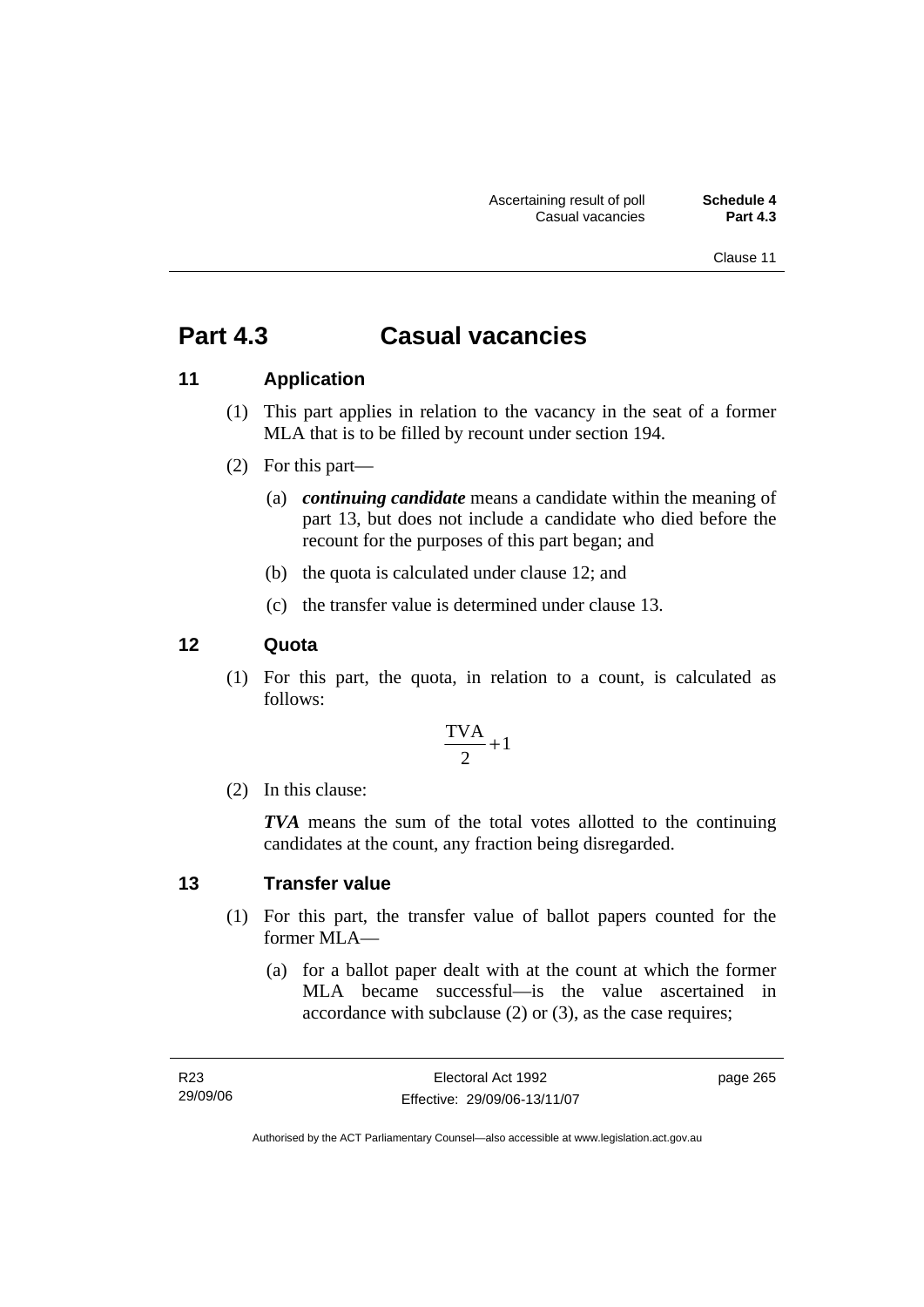Clause 11

# **Part 4.3 Casual vacancies**

### **11 Application**

- (1) This part applies in relation to the vacancy in the seat of a former MLA that is to be filled by recount under section 194.
- (2) For this part—
	- (a) *continuing candidate* means a candidate within the meaning of part 13, but does not include a candidate who died before the recount for the purposes of this part began; and
	- (b) the quota is calculated under clause 12; and
	- (c) the transfer value is determined under clause 13.

### **12 Quota**

 (1) For this part, the quota, in relation to a count, is calculated as follows:

$$
\frac{\text{TVA}}{2} + 1
$$

(2) In this clause:

*TVA* means the sum of the total votes allotted to the continuing candidates at the count, any fraction being disregarded.

#### **13 Transfer value**

- (1) For this part, the transfer value of ballot papers counted for the former MLA—
	- (a) for a ballot paper dealt with at the count at which the former MLA became successful—is the value ascertained in accordance with subclause (2) or (3), as the case requires;

page 265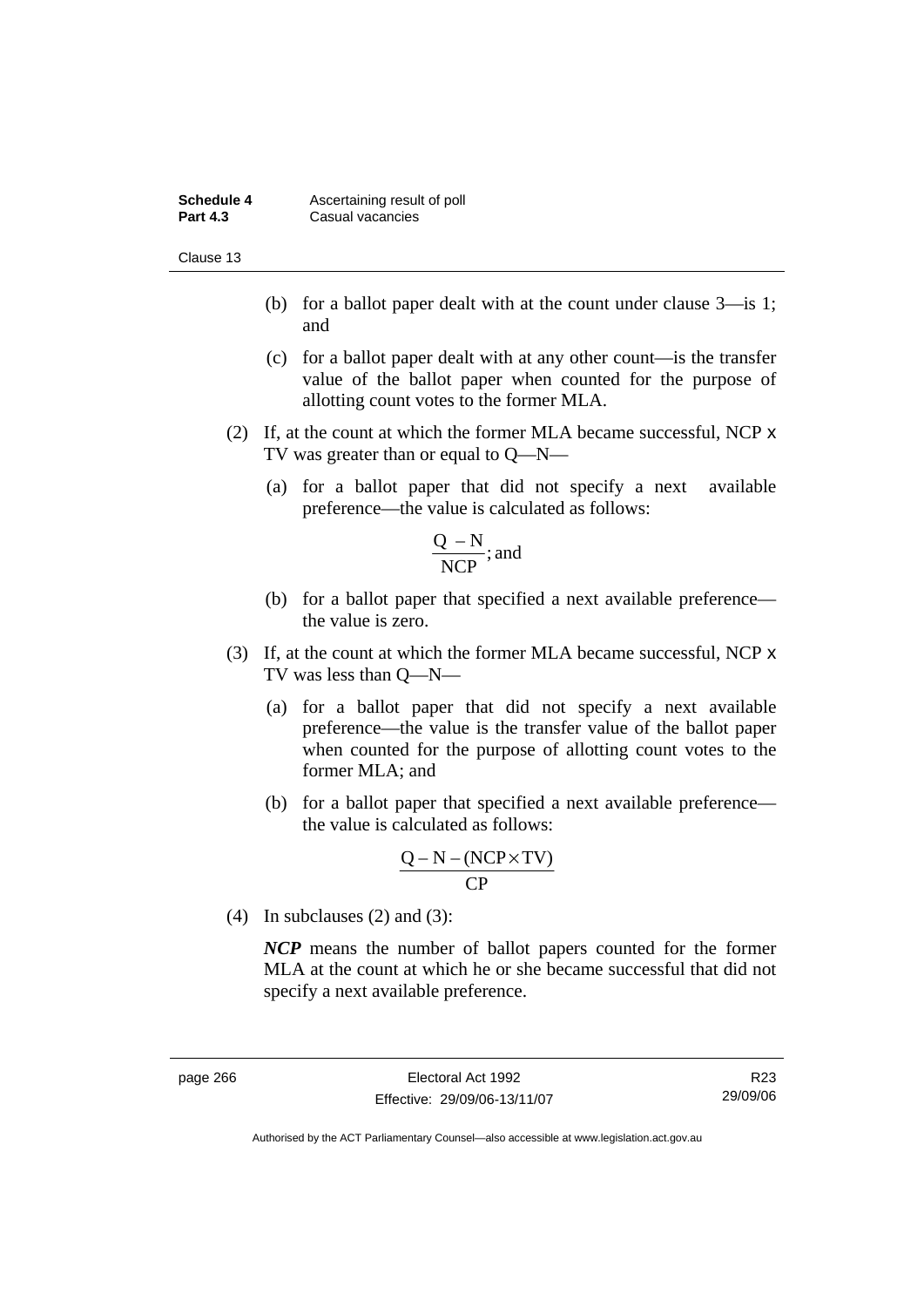| Schedule 4      | Ascertaining result of poll |
|-----------------|-----------------------------|
| <b>Part 4.3</b> | Casual vacancies            |

Clause 13

- (b) for a ballot paper dealt with at the count under clause 3—is 1; and
- (c) for a ballot paper dealt with at any other count—is the transfer value of the ballot paper when counted for the purpose of allotting count votes to the former MLA.
- (2) If, at the count at which the former MLA became successful, NCP x TV was greater than or equal to Q—N—
	- (a) for a ballot paper that did not specify a next available preference—the value is calculated as follows:

$$
\frac{Q - N}{NCP}
$$
; and

- (b) for a ballot paper that specified a next available preference the value is zero.
- (3) If, at the count at which the former MLA became successful, NCP x TV was less than Q—N—
	- (a) for a ballot paper that did not specify a next available preference—the value is the transfer value of the ballot paper when counted for the purpose of allotting count votes to the former MLA; and
	- (b) for a ballot paper that specified a next available preference the value is calculated as follows:

$$
\frac{Q-N-(NCP \times TV)}{CP}
$$

(4) In subclauses (2) and (3):

*NCP* means the number of ballot papers counted for the former MLA at the count at which he or she became successful that did not specify a next available preference.

R23 29/09/06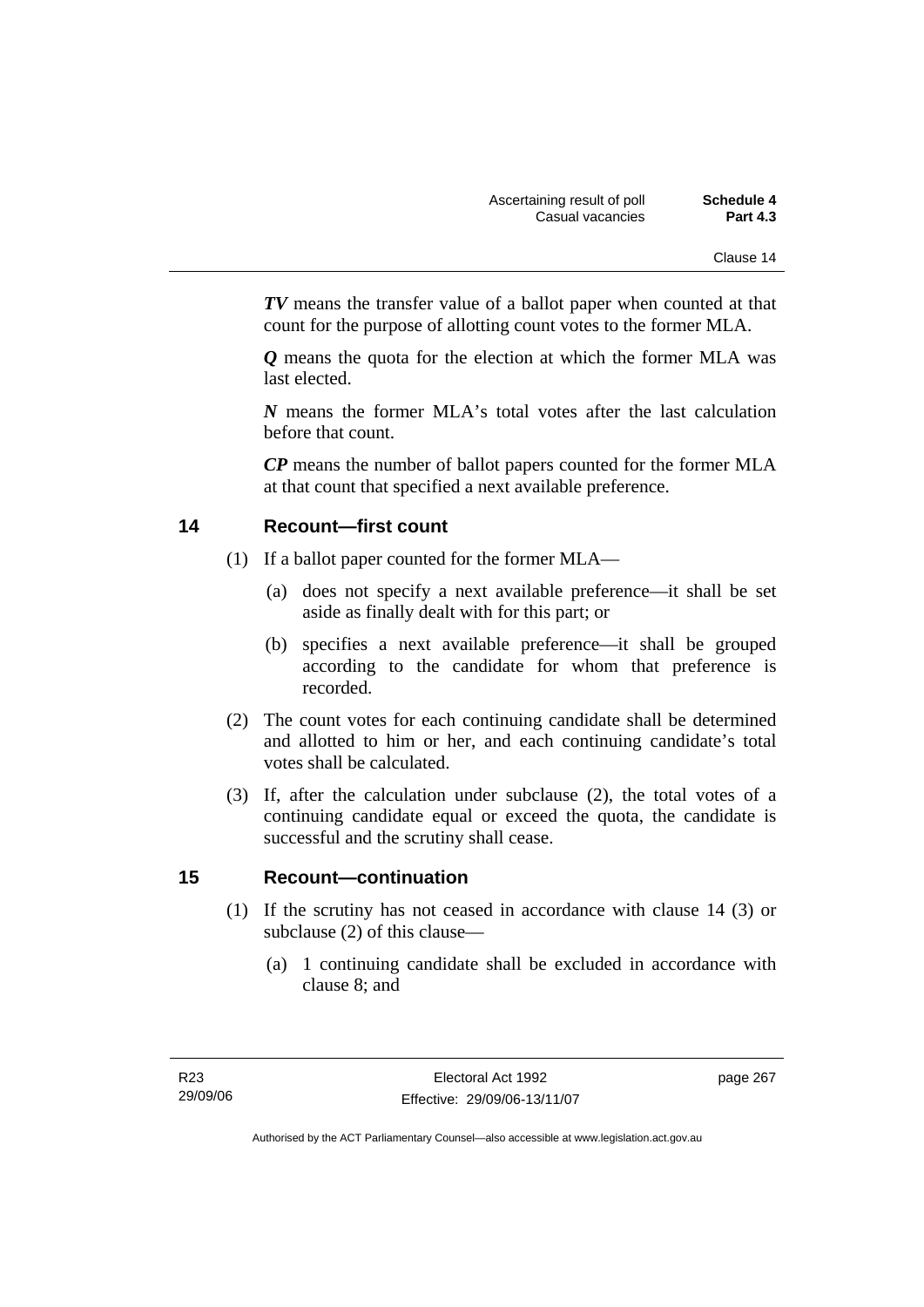*TV* means the transfer value of a ballot paper when counted at that count for the purpose of allotting count votes to the former MLA.

*Q* means the quota for the election at which the former MLA was last elected.

*N* means the former MLA's total votes after the last calculation before that count.

*CP* means the number of ballot papers counted for the former MLA at that count that specified a next available preference.

### **14 Recount—first count**

- (1) If a ballot paper counted for the former MLA—
	- (a) does not specify a next available preference—it shall be set aside as finally dealt with for this part; or
	- (b) specifies a next available preference—it shall be grouped according to the candidate for whom that preference is recorded.
- (2) The count votes for each continuing candidate shall be determined and allotted to him or her, and each continuing candidate's total votes shall be calculated.
- (3) If, after the calculation under subclause (2), the total votes of a continuing candidate equal or exceed the quota, the candidate is successful and the scrutiny shall cease.

### **15 Recount—continuation**

- (1) If the scrutiny has not ceased in accordance with clause 14 (3) or subclause (2) of this clause—
	- (a) 1 continuing candidate shall be excluded in accordance with clause 8; and

page 267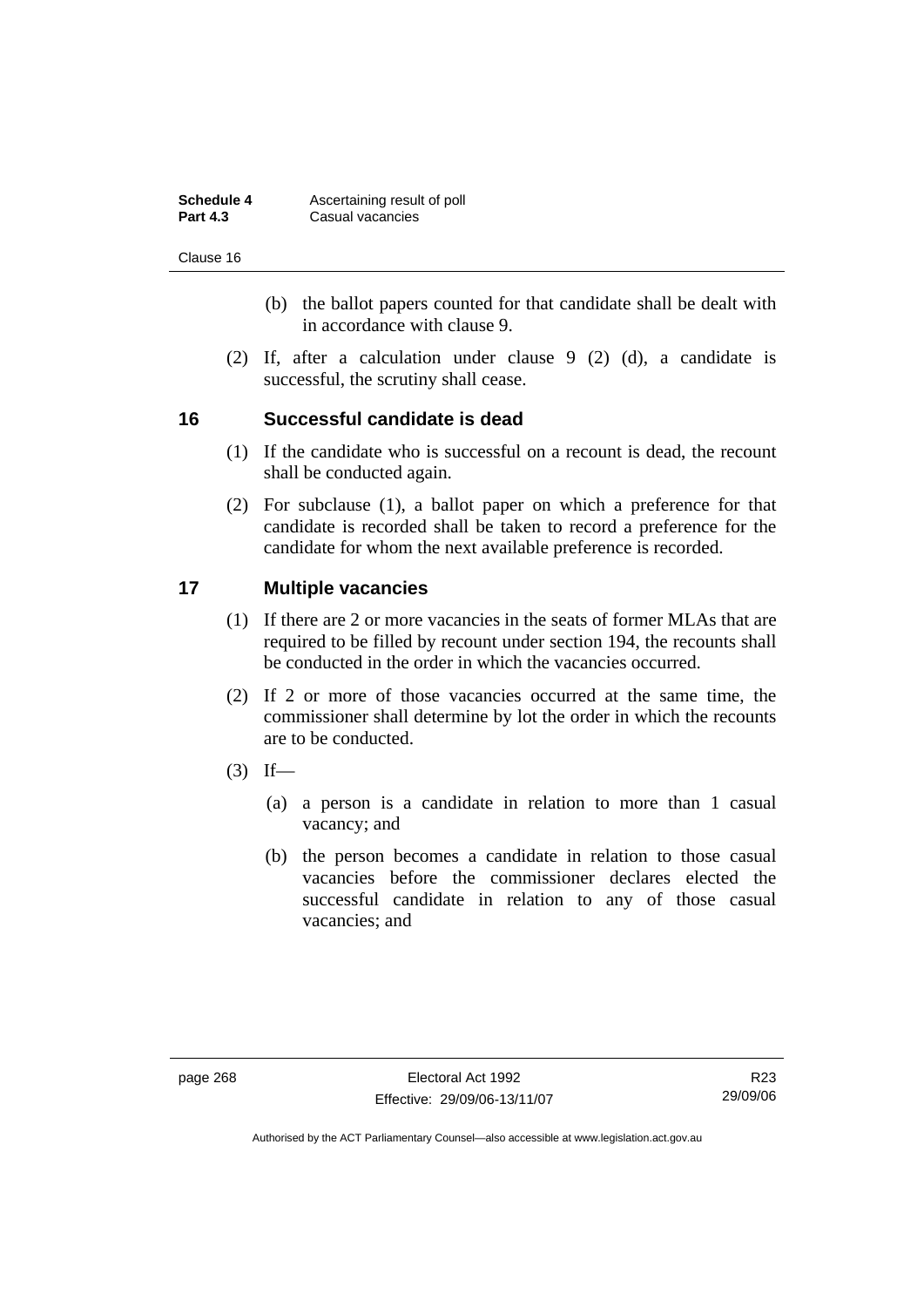| Schedule 4      | Ascertaining result of poll |
|-----------------|-----------------------------|
| <b>Part 4.3</b> | Casual vacancies            |

Clause 16

- (b) the ballot papers counted for that candidate shall be dealt with in accordance with clause 9.
- (2) If, after a calculation under clause 9 (2) (d), a candidate is successful, the scrutiny shall cease.

### **16 Successful candidate is dead**

- (1) If the candidate who is successful on a recount is dead, the recount shall be conducted again.
- (2) For subclause (1), a ballot paper on which a preference for that candidate is recorded shall be taken to record a preference for the candidate for whom the next available preference is recorded.

### **17 Multiple vacancies**

- (1) If there are 2 or more vacancies in the seats of former MLAs that are required to be filled by recount under section 194, the recounts shall be conducted in the order in which the vacancies occurred.
- (2) If 2 or more of those vacancies occurred at the same time, the commissioner shall determine by lot the order in which the recounts are to be conducted.
- $(3)$  If—
	- (a) a person is a candidate in relation to more than 1 casual vacancy; and
	- (b) the person becomes a candidate in relation to those casual vacancies before the commissioner declares elected the successful candidate in relation to any of those casual vacancies; and

R23 29/09/06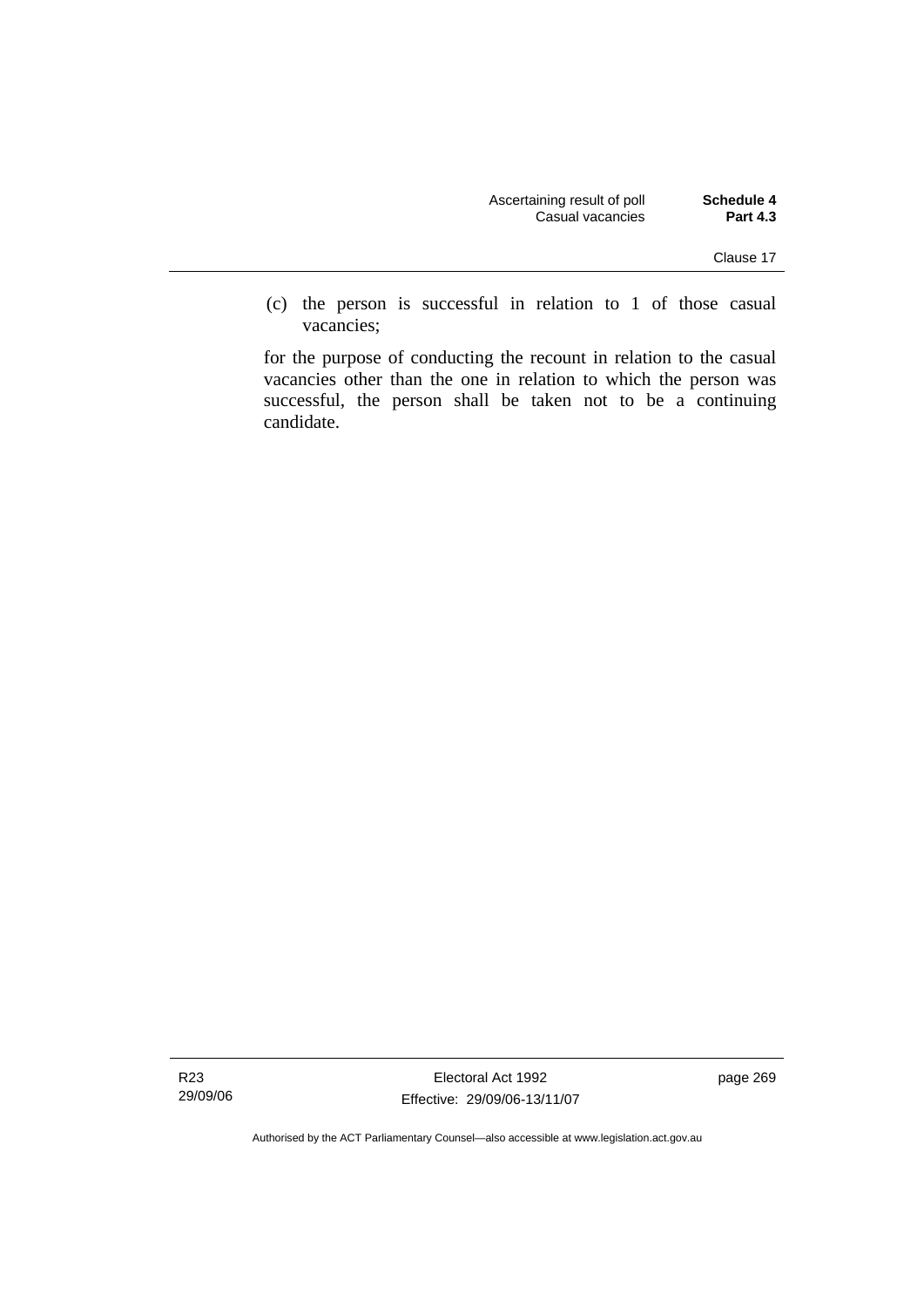| Schedule 4      | Ascertaining result of poll |
|-----------------|-----------------------------|
| <b>Part 4.3</b> | Casual vacancies            |

 (c) the person is successful in relation to 1 of those casual vacancies;

for the purpose of conducting the recount in relation to the casual vacancies other than the one in relation to which the person was successful, the person shall be taken not to be a continuing candidate.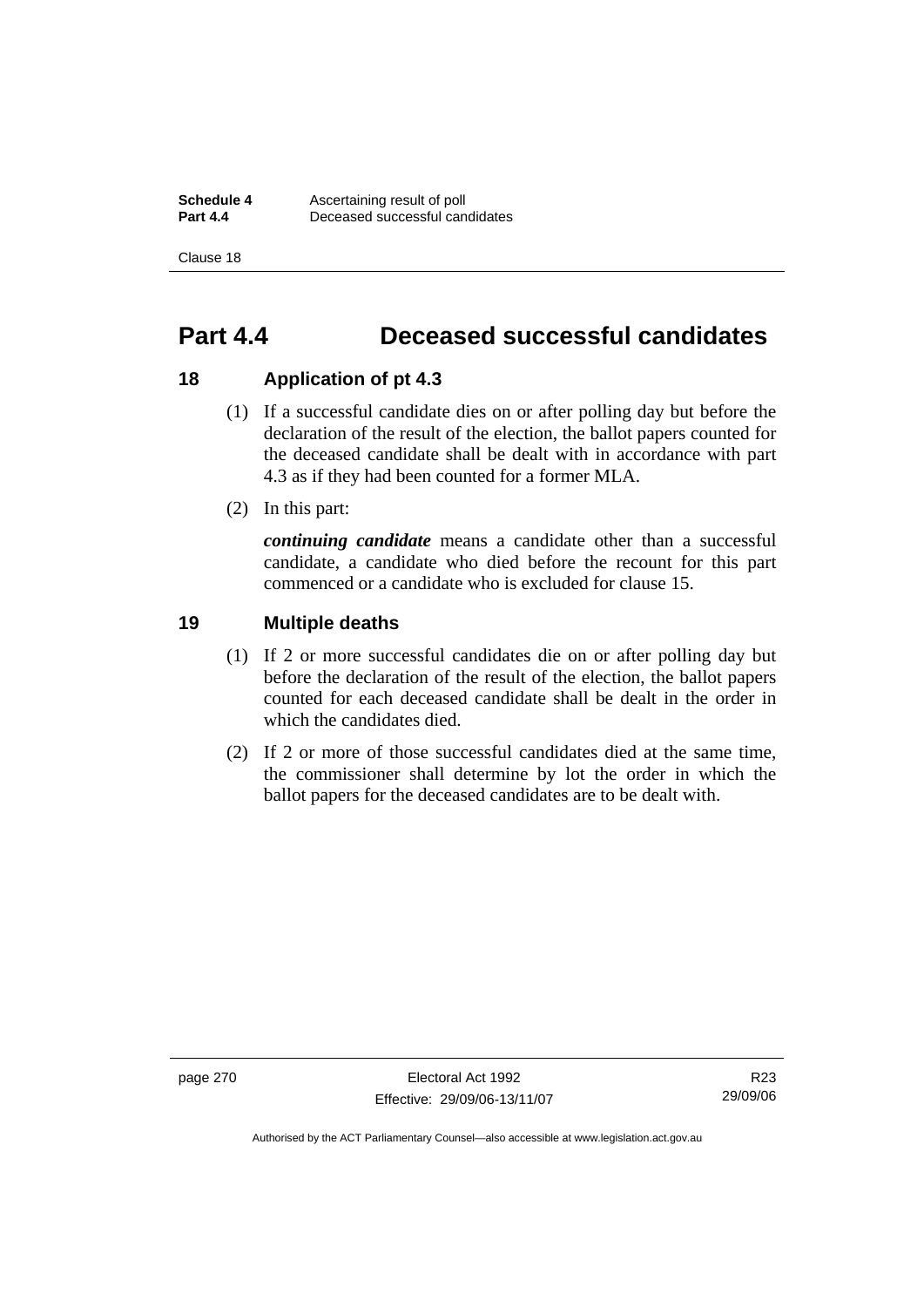**Schedule 4 Ascertaining result of poll**<br>**Part 4.4 Deceased successful can Part 4.4** Deceased successful candidates

Clause 18

## **Part 4.4 Deceased successful candidates**

### **18 Application of pt 4.3**

- (1) If a successful candidate dies on or after polling day but before the declaration of the result of the election, the ballot papers counted for the deceased candidate shall be dealt with in accordance with part 4.3 as if they had been counted for a former MLA.
- (2) In this part:

*continuing candidate* means a candidate other than a successful candidate, a candidate who died before the recount for this part commenced or a candidate who is excluded for clause 15.

### **19 Multiple deaths**

- (1) If 2 or more successful candidates die on or after polling day but before the declaration of the result of the election, the ballot papers counted for each deceased candidate shall be dealt in the order in which the candidates died.
- (2) If 2 or more of those successful candidates died at the same time, the commissioner shall determine by lot the order in which the ballot papers for the deceased candidates are to be dealt with.

page 270 Electoral Act 1992 Effective: 29/09/06-13/11/07

R23 29/09/06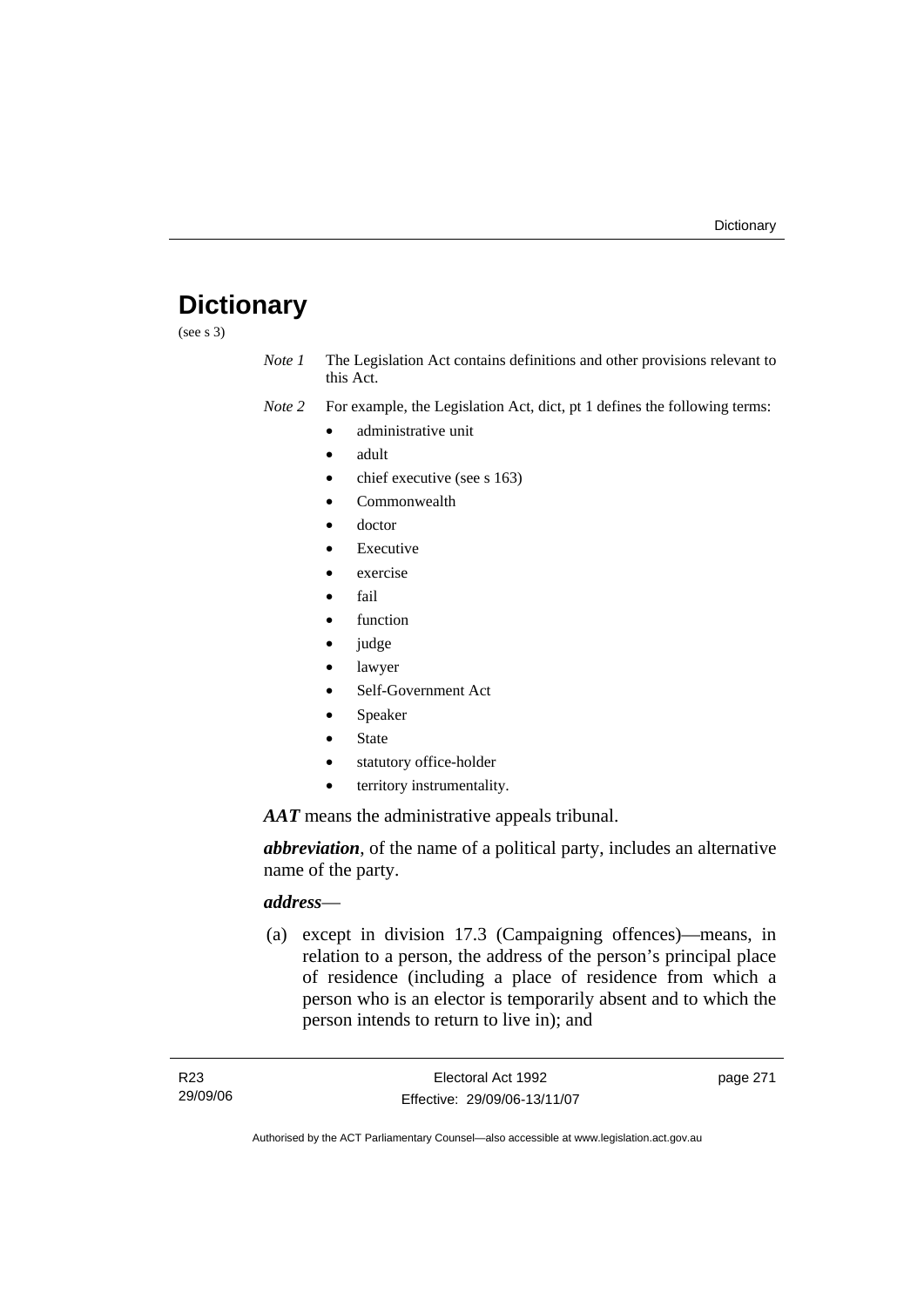# **Dictionary**

(see s 3)

*Note 1* The Legislation Act contains definitions and other provisions relevant to this Act.

*Note 2* For example, the Legislation Act, dict, pt 1 defines the following terms:

- administrative unit
	- adult
	- chief executive (see s 163)
	- Commonwealth
	- doctor
	- **Executive**
	- exercise
	- fail
	- function
	- judge
	- lawyer
	- Self-Government Act
	- Speaker
	- **State**
	- statutory office-holder
	- territory instrumentality.

*AAT* means the administrative appeals tribunal.

*abbreviation*, of the name of a political party, includes an alternative name of the party.

# *address*—

 (a) except in division 17.3 (Campaigning offences)—means, in relation to a person, the address of the person's principal place of residence (including a place of residence from which a person who is an elector is temporarily absent and to which the person intends to return to live in); and

page 271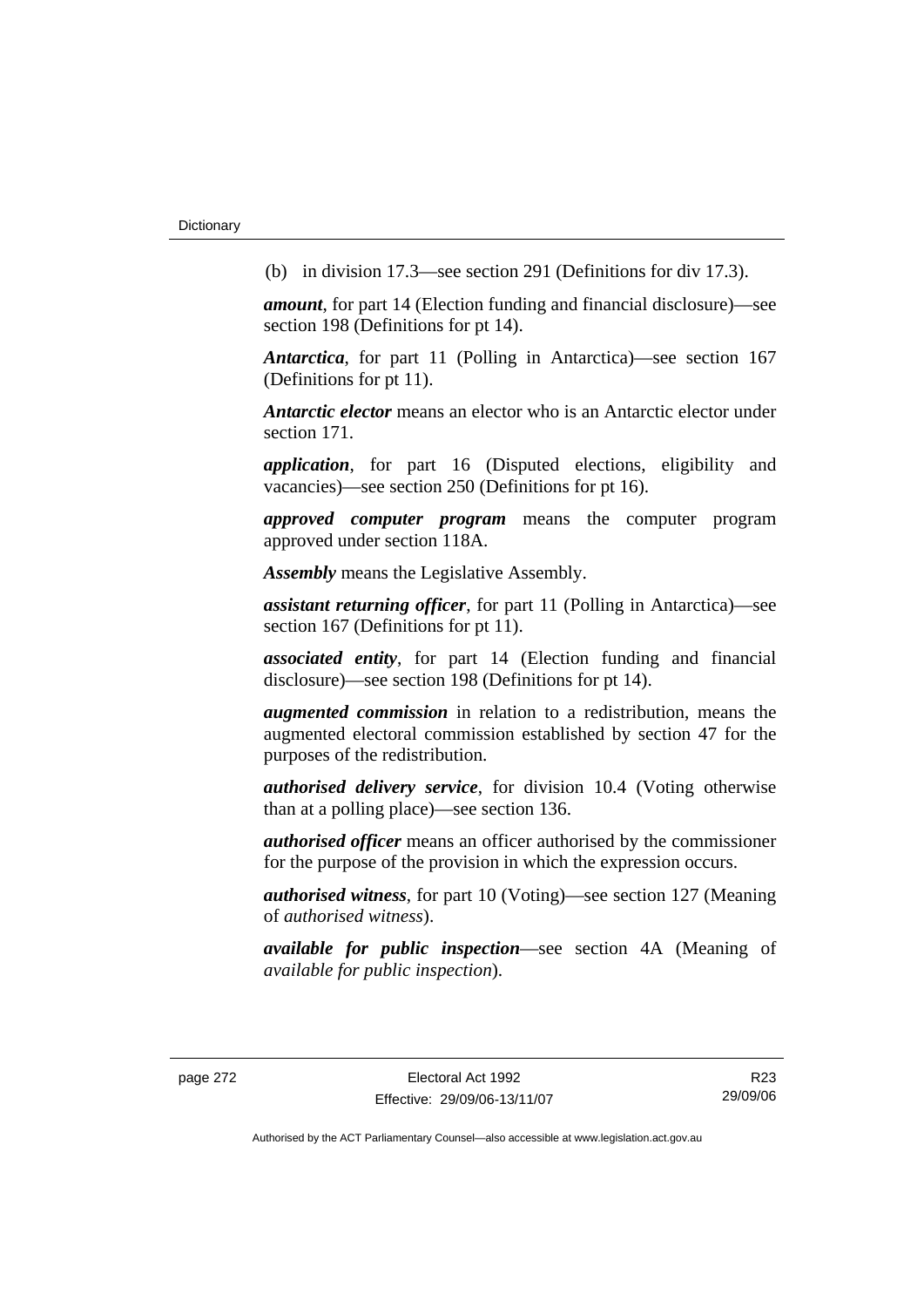(b) in division 17.3—see section 291 (Definitions for div 17.3).

*amount*, for part 14 (Election funding and financial disclosure)—see section 198 (Definitions for pt 14).

*Antarctica*, for part 11 (Polling in Antarctica)—see section 167 (Definitions for pt 11).

*Antarctic elector* means an elector who is an Antarctic elector under section 171.

*application*, for part 16 (Disputed elections, eligibility and vacancies)—see section 250 (Definitions for pt 16).

*approved computer program* means the computer program approved under section 118A.

*Assembly* means the Legislative Assembly.

*assistant returning officer*, for part 11 (Polling in Antarctica)—see section 167 (Definitions for pt 11).

*associated entity*, for part 14 (Election funding and financial disclosure)—see section 198 (Definitions for pt 14).

*augmented commission* in relation to a redistribution, means the augmented electoral commission established by section 47 for the purposes of the redistribution.

*authorised delivery service*, for division 10.4 (Voting otherwise than at a polling place)—see section 136.

*authorised officer* means an officer authorised by the commissioner for the purpose of the provision in which the expression occurs.

*authorised witness*, for part 10 (Voting)—see section 127 (Meaning of *authorised witness*).

*available for public inspection*—see section 4A (Meaning of *available for public inspection*).

R23 29/09/06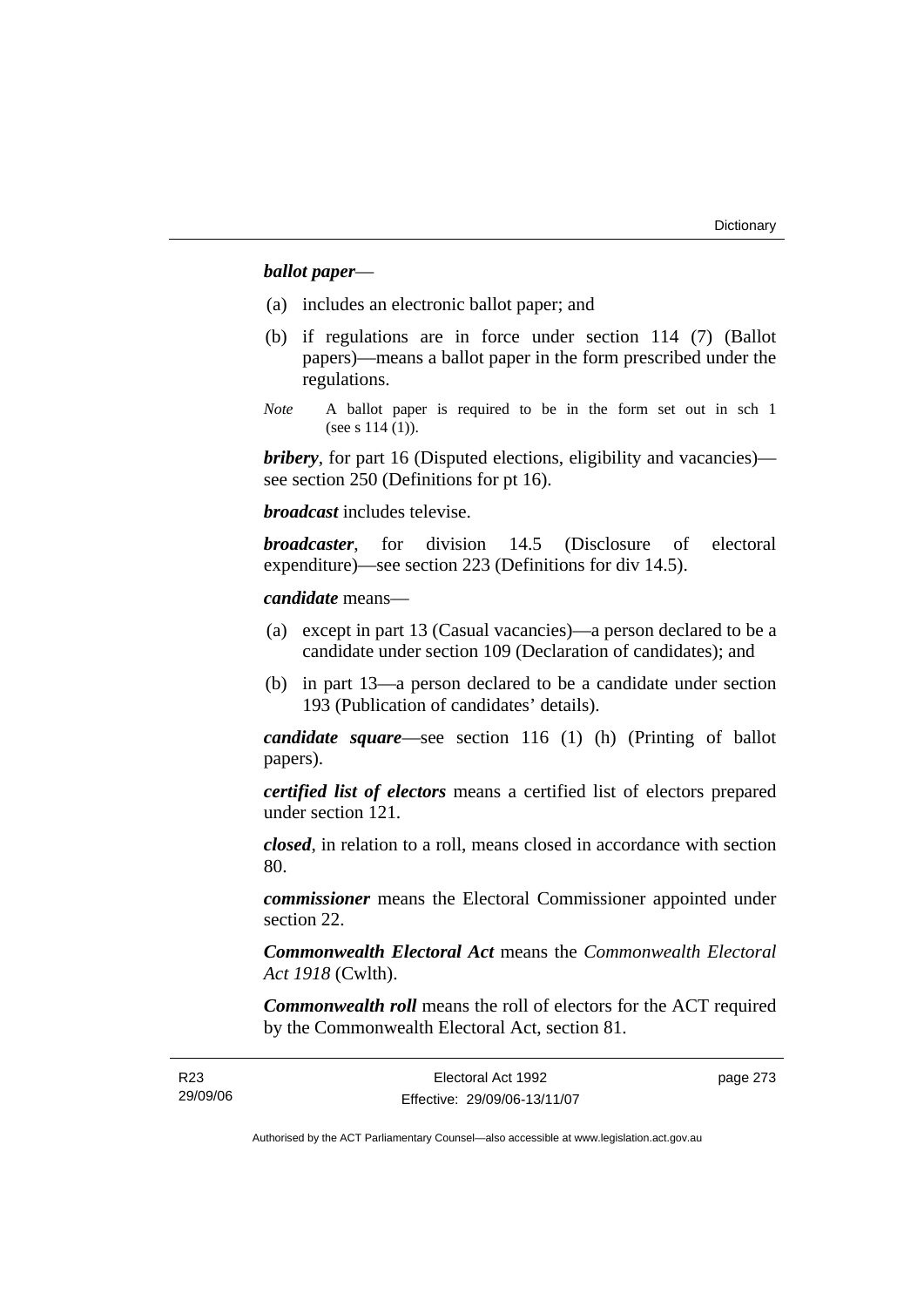# *ballot paper*—

- (a) includes an electronic ballot paper; and
- (b) if regulations are in force under section 114 (7) (Ballot papers)—means a ballot paper in the form prescribed under the regulations.
- *Note* A ballot paper is required to be in the form set out in sch 1 (see s 114 (1)).

*bribery*, for part 16 (Disputed elections, eligibility and vacancies) see section 250 (Definitions for pt 16).

*broadcast* includes televise.

*broadcaster*, for division 14.5 (Disclosure of electoral expenditure)—see section 223 (Definitions for div 14.5).

#### *candidate* means—

- (a) except in part 13 (Casual vacancies)—a person declared to be a candidate under section 109 (Declaration of candidates); and
- (b) in part 13—a person declared to be a candidate under section 193 (Publication of candidates' details).

*candidate square*—see section 116 (1) (h) (Printing of ballot papers).

*certified list of electors* means a certified list of electors prepared under section 121.

*closed*, in relation to a roll, means closed in accordance with section 80.

*commissioner* means the Electoral Commissioner appointed under section 22.

*Commonwealth Electoral Act* means the *Commonwealth Electoral Act 1918* (Cwlth).

*Commonwealth roll* means the roll of electors for the ACT required by the Commonwealth Electoral Act, section 81.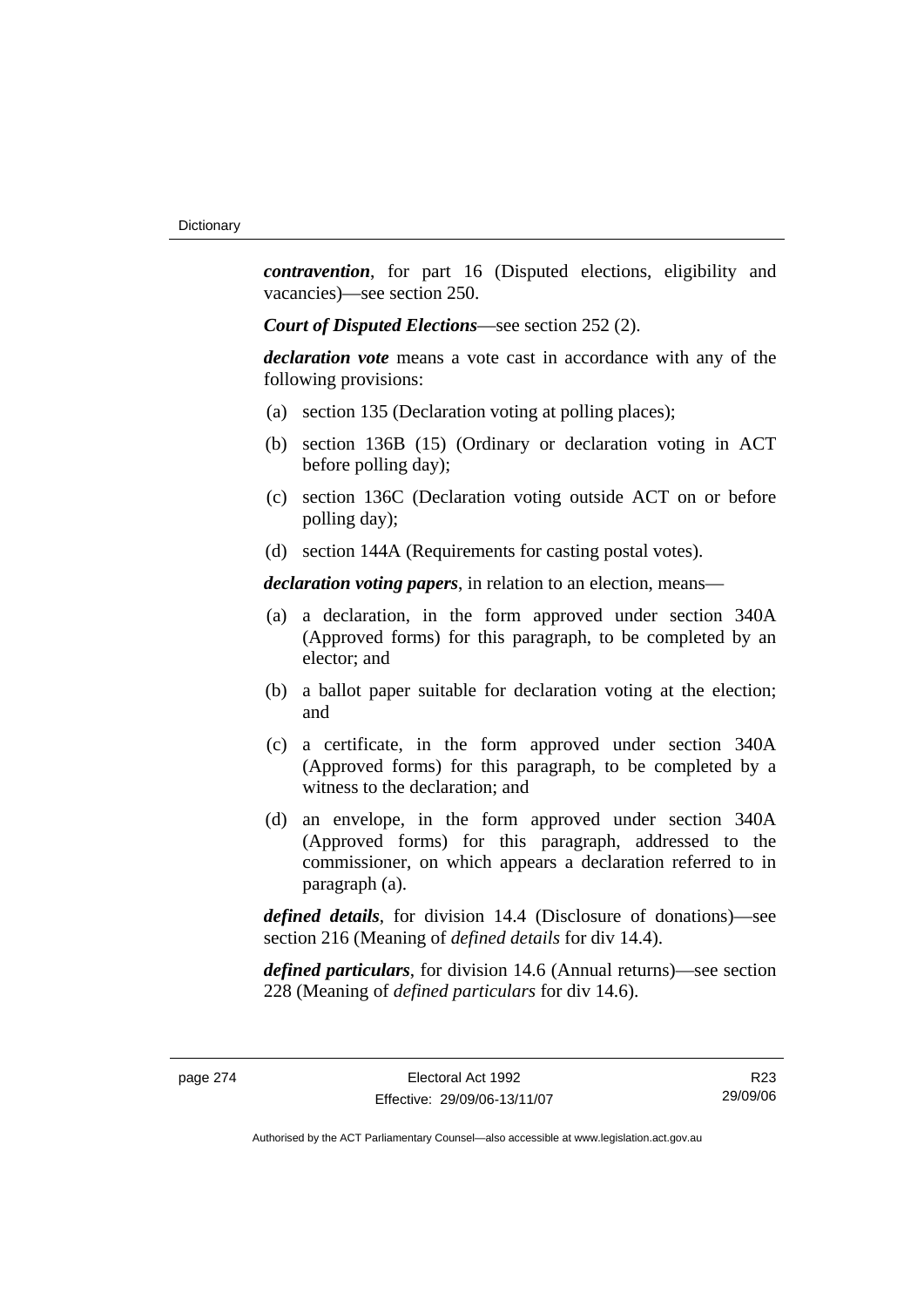*contravention*, for part 16 (Disputed elections, eligibility and vacancies)—see section 250.

*Court of Disputed Elections*—see section 252 (2).

*declaration vote* means a vote cast in accordance with any of the following provisions:

- (a) section 135 (Declaration voting at polling places);
- (b) section 136B (15) (Ordinary or declaration voting in ACT before polling day);
- (c) section 136C (Declaration voting outside ACT on or before polling day);
- (d) section 144A (Requirements for casting postal votes).

*declaration voting papers*, in relation to an election, means—

- (a) a declaration, in the form approved under section 340A (Approved forms) for this paragraph, to be completed by an elector; and
- (b) a ballot paper suitable for declaration voting at the election; and
- (c) a certificate, in the form approved under section 340A (Approved forms) for this paragraph, to be completed by a witness to the declaration; and
- (d) an envelope, in the form approved under section 340A (Approved forms) for this paragraph, addressed to the commissioner, on which appears a declaration referred to in paragraph (a).

*defined details*, for division 14.4 (Disclosure of donations)—see section 216 (Meaning of *defined details* for div 14.4).

*defined particulars*, for division 14.6 (Annual returns)—see section 228 (Meaning of *defined particulars* for div 14.6).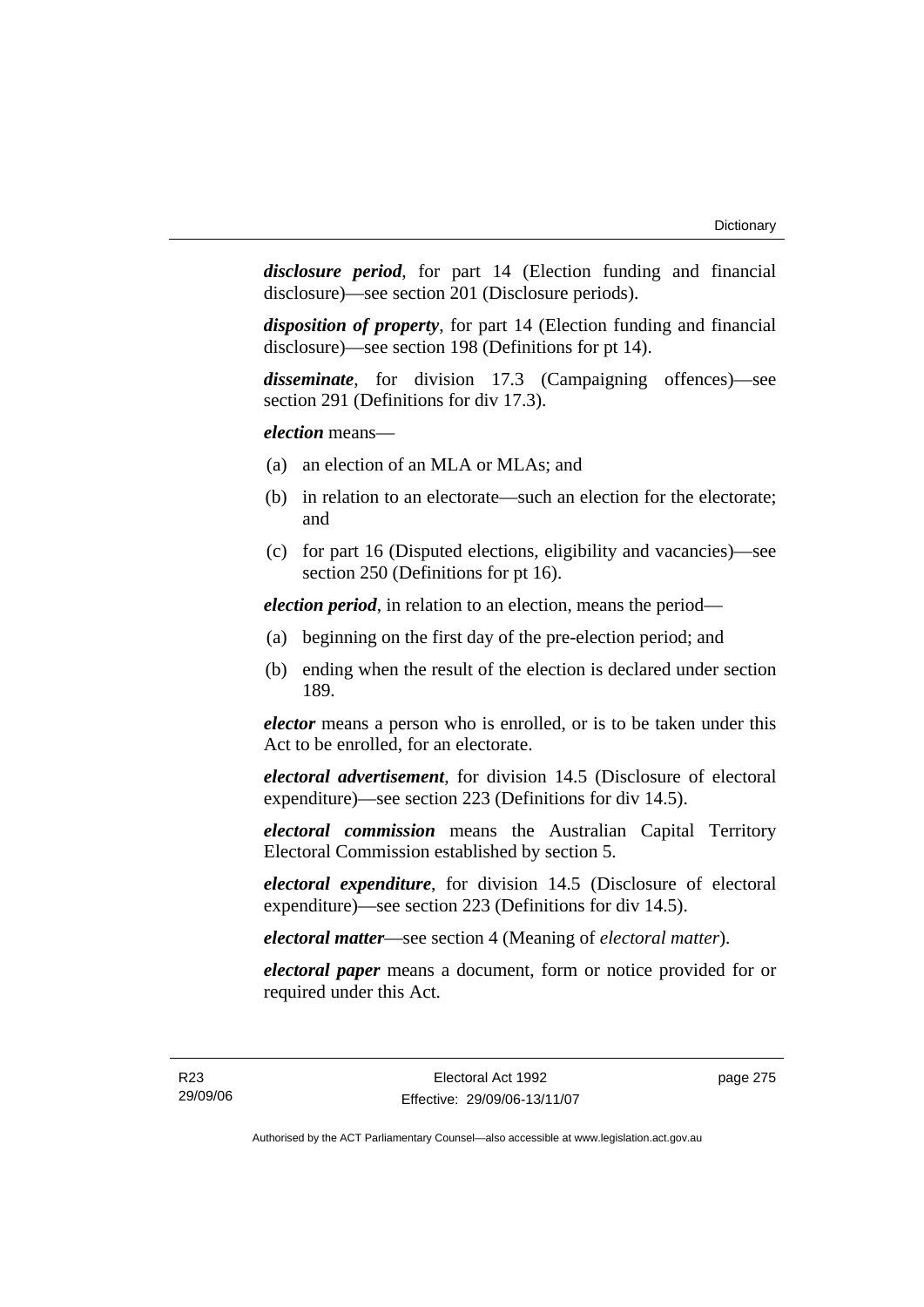*disclosure period*, for part 14 (Election funding and financial disclosure)—see section 201 (Disclosure periods).

*disposition of property*, for part 14 (Election funding and financial disclosure)—see section 198 (Definitions for pt 14).

*disseminate*, for division 17.3 (Campaigning offences)—see section 291 (Definitions for div 17.3).

*election* means—

- (a) an election of an MLA or MLAs; and
- (b) in relation to an electorate—such an election for the electorate; and
- (c) for part 16 (Disputed elections, eligibility and vacancies)—see section 250 (Definitions for pt 16).

*election period*, in relation to an election, means the period—

- (a) beginning on the first day of the pre-election period; and
- (b) ending when the result of the election is declared under section 189.

*elector* means a person who is enrolled, or is to be taken under this Act to be enrolled, for an electorate.

*electoral advertisement*, for division 14.5 (Disclosure of electoral expenditure)—see section 223 (Definitions for div 14.5).

*electoral commission* means the Australian Capital Territory Electoral Commission established by section 5.

*electoral expenditure*, for division 14.5 (Disclosure of electoral expenditure)—see section 223 (Definitions for div 14.5).

*electoral matter*—see section 4 (Meaning of *electoral matter*).

*electoral paper* means a document, form or notice provided for or required under this Act.

page 275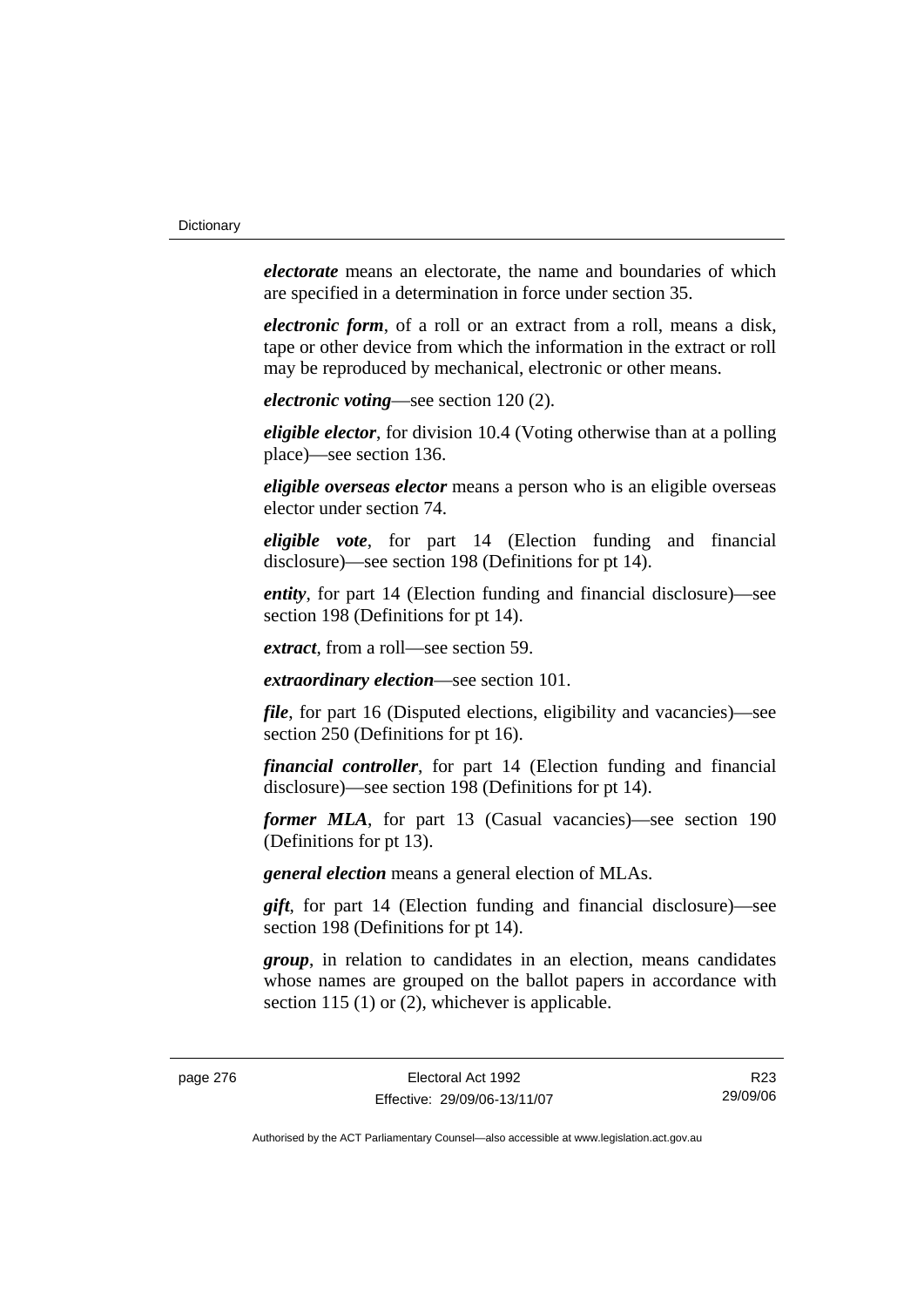*electorate* means an electorate, the name and boundaries of which are specified in a determination in force under section 35.

*electronic form*, of a roll or an extract from a roll, means a disk, tape or other device from which the information in the extract or roll may be reproduced by mechanical, electronic or other means.

*electronic voting*—see section 120 (2).

*eligible elector*, for division 10.4 (Voting otherwise than at a polling place)—see section 136.

*eligible overseas elector* means a person who is an eligible overseas elector under section 74.

*eligible vote*, for part 14 (Election funding and financial disclosure)—see section 198 (Definitions for pt 14).

*entity*, for part 14 (Election funding and financial disclosure)—see section 198 (Definitions for pt 14).

*extract*, from a roll—see section 59.

*extraordinary election*—see section 101.

*file*, for part 16 (Disputed elections, eligibility and vacancies)—see section 250 (Definitions for pt 16).

*financial controller*, for part 14 (Election funding and financial disclosure)—see section 198 (Definitions for pt 14).

*former MLA*, for part 13 (Casual vacancies)—see section 190 (Definitions for pt 13).

*general election* means a general election of MLAs.

*gift*, for part 14 (Election funding and financial disclosure)—see section 198 (Definitions for pt 14).

*group*, in relation to candidates in an election, means candidates whose names are grouped on the ballot papers in accordance with section 115 (1) or (2), whichever is applicable.

R23 29/09/06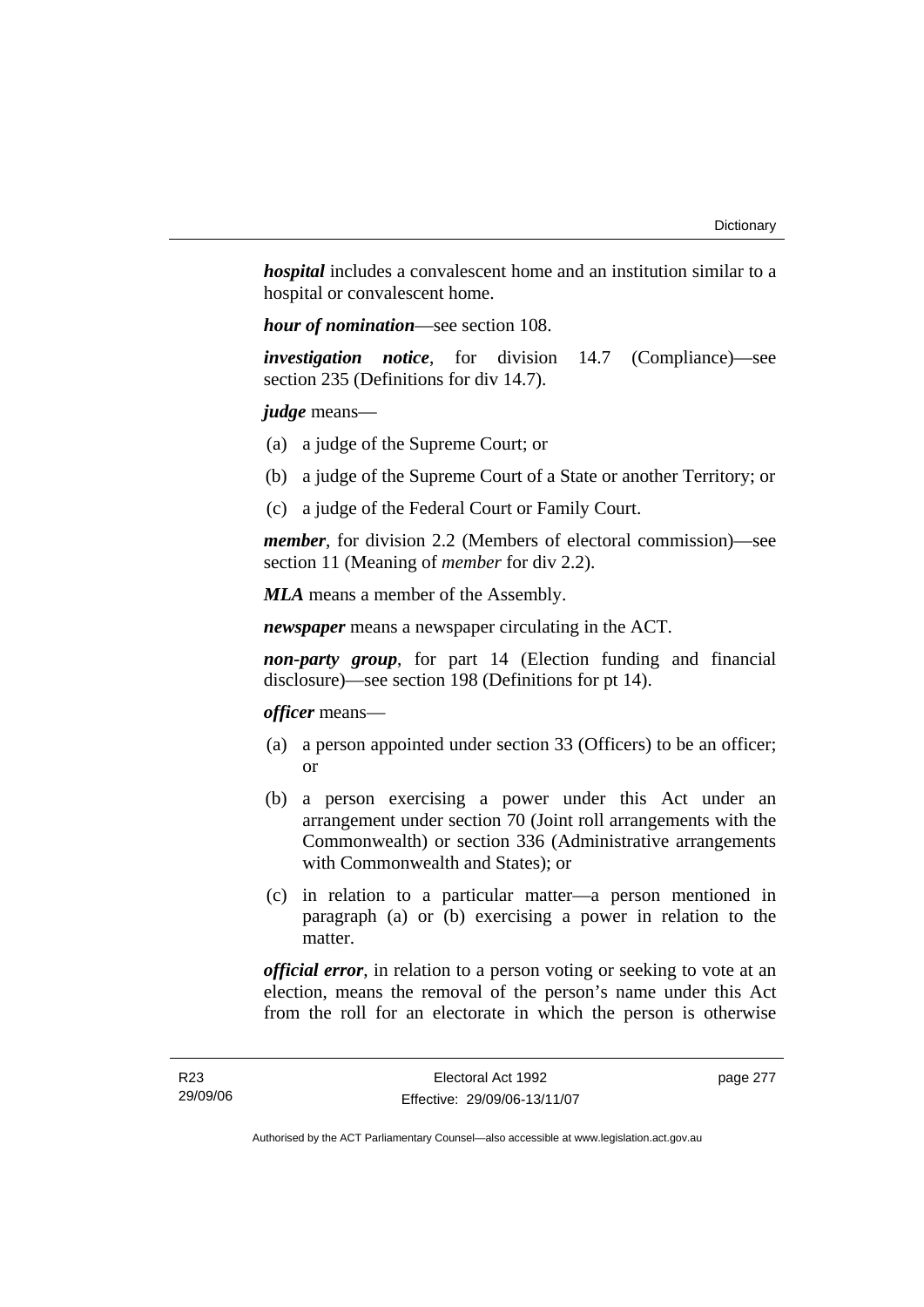*hospital* includes a convalescent home and an institution similar to a hospital or convalescent home.

*hour of nomination*—see section 108.

*investigation notice*, for division 14.7 (Compliance)—see section 235 (Definitions for div 14.7).

*judge* means—

- (a) a judge of the Supreme Court; or
- (b) a judge of the Supreme Court of a State or another Territory; or
- (c) a judge of the Federal Court or Family Court.

*member*, for division 2.2 (Members of electoral commission)—see section 11 (Meaning of *member* for div 2.2).

*MLA* means a member of the Assembly.

*newspaper* means a newspaper circulating in the ACT.

*non-party group*, for part 14 (Election funding and financial disclosure)—see section 198 (Definitions for pt 14).

*officer* means—

- (a) a person appointed under section 33 (Officers) to be an officer; or
- (b) a person exercising a power under this Act under an arrangement under section 70 (Joint roll arrangements with the Commonwealth) or section 336 (Administrative arrangements with Commonwealth and States); or
- (c) in relation to a particular matter—a person mentioned in paragraph (a) or (b) exercising a power in relation to the matter.

*official error*, in relation to a person voting or seeking to vote at an election, means the removal of the person's name under this Act from the roll for an electorate in which the person is otherwise

page 277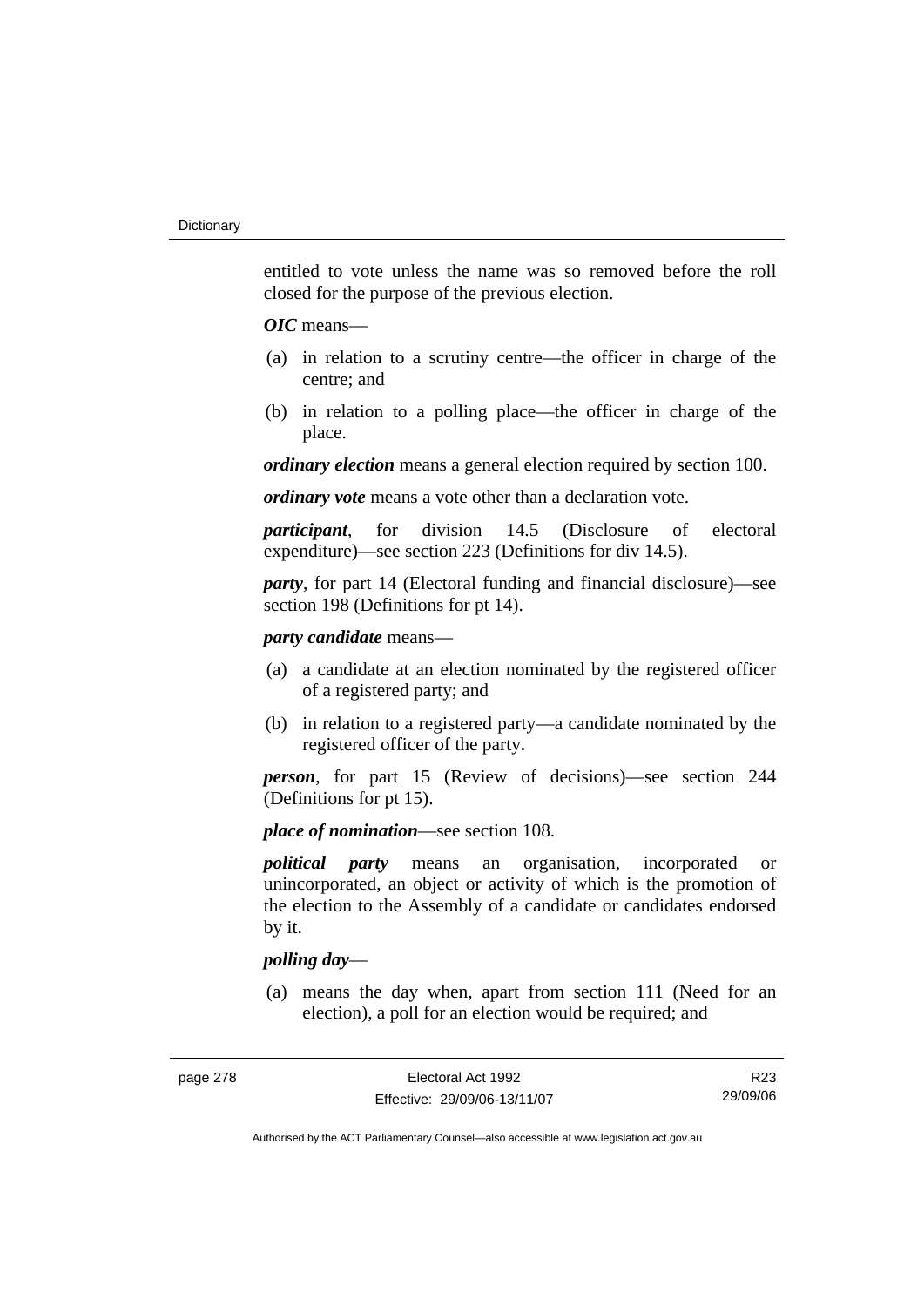entitled to vote unless the name was so removed before the roll closed for the purpose of the previous election.

#### *OIC* means—

- (a) in relation to a scrutiny centre—the officer in charge of the centre; and
- (b) in relation to a polling place—the officer in charge of the place.

*ordinary election* means a general election required by section 100.

*ordinary vote* means a vote other than a declaration vote.

*participant*, for division 14.5 (Disclosure of electoral expenditure)—see section 223 (Definitions for div 14.5).

*party*, for part 14 (Electoral funding and financial disclosure)—see section 198 (Definitions for pt 14).

# *party candidate* means—

- (a) a candidate at an election nominated by the registered officer of a registered party; and
- (b) in relation to a registered party—a candidate nominated by the registered officer of the party.

*person*, for part 15 (Review of decisions)—see section 244 (Definitions for pt 15).

*place of nomination*—see section 108.

*political party* means an organisation, incorporated or unincorporated, an object or activity of which is the promotion of the election to the Assembly of a candidate or candidates endorsed by it.

# *polling day*—

 (a) means the day when, apart from section 111 (Need for an election), a poll for an election would be required; and

R23 29/09/06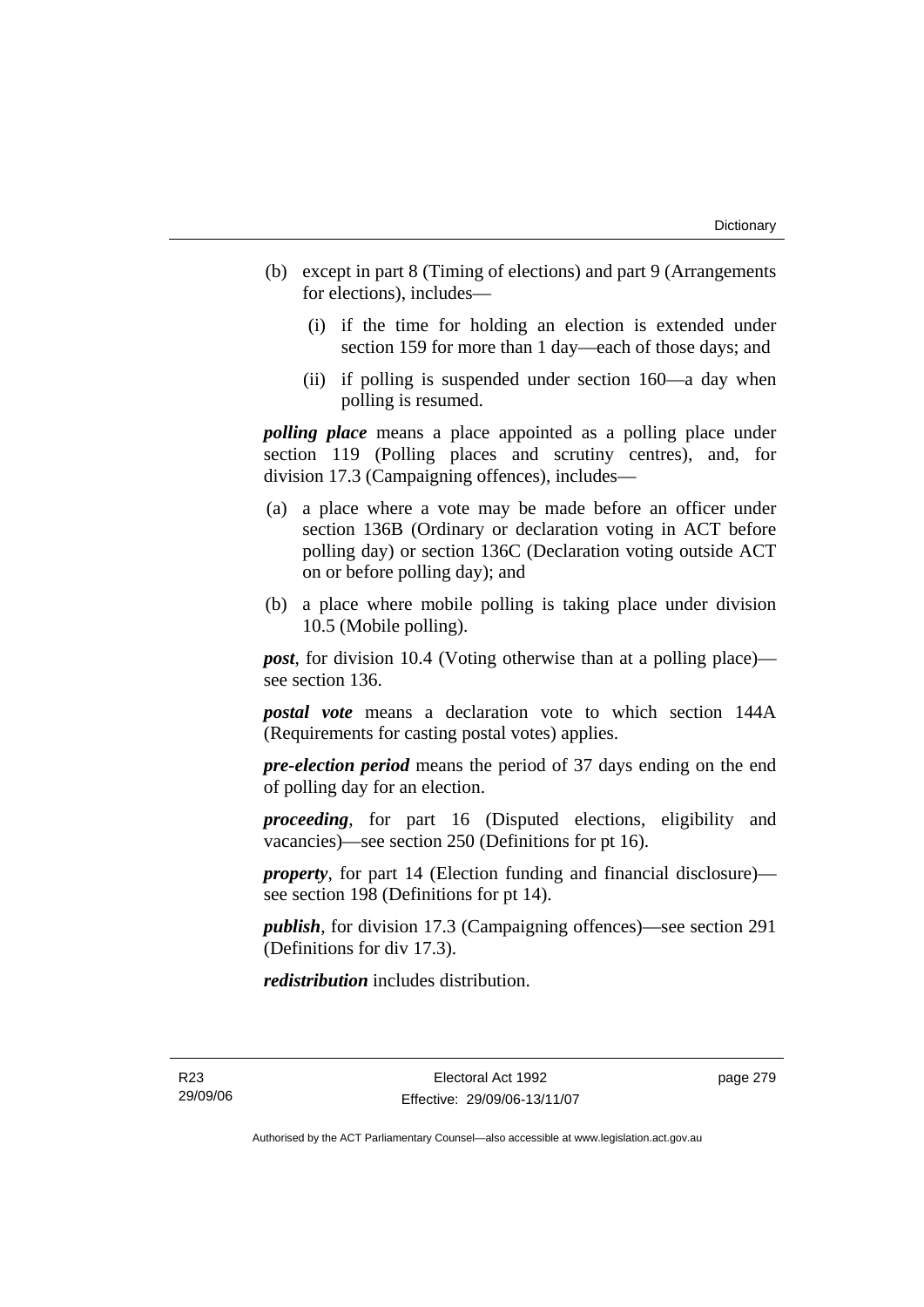- (b) except in part 8 (Timing of elections) and part 9 (Arrangements for elections), includes—
	- (i) if the time for holding an election is extended under section 159 for more than 1 day—each of those days; and
	- (ii) if polling is suspended under section 160—a day when polling is resumed.

*polling place* means a place appointed as a polling place under section 119 (Polling places and scrutiny centres), and, for division 17.3 (Campaigning offences), includes—

- (a) a place where a vote may be made before an officer under section 136B (Ordinary or declaration voting in ACT before polling day) or section 136C (Declaration voting outside ACT on or before polling day); and
- (b) a place where mobile polling is taking place under division 10.5 (Mobile polling).

*post*, for division 10.4 (Voting otherwise than at a polling place) see section 136.

*postal vote* means a declaration vote to which section 144A (Requirements for casting postal votes) applies.

*pre-election period* means the period of 37 days ending on the end of polling day for an election.

*proceeding*, for part 16 (Disputed elections, eligibility and vacancies)—see section 250 (Definitions for pt 16).

*property*, for part 14 (Election funding and financial disclosure) see section 198 (Definitions for pt 14).

*publish*, for division 17.3 (Campaigning offences)—see section 291 (Definitions for div 17.3).

*redistribution* includes distribution.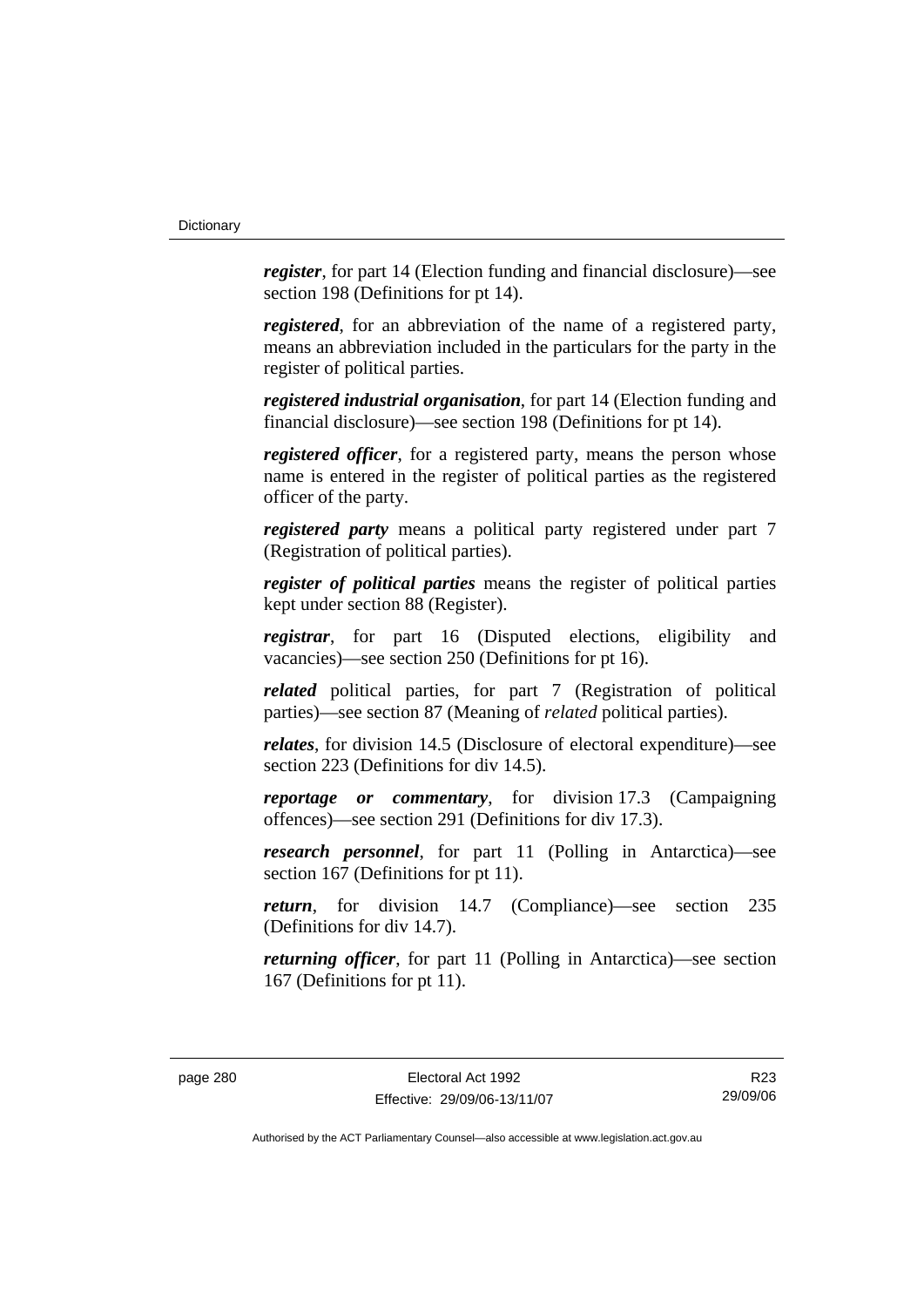*register*, for part 14 (Election funding and financial disclosure)—see section 198 (Definitions for pt 14).

*registered*, for an abbreviation of the name of a registered party, means an abbreviation included in the particulars for the party in the register of political parties.

*registered industrial organisation*, for part 14 (Election funding and financial disclosure)—see section 198 (Definitions for pt 14).

*registered officer*, for a registered party, means the person whose name is entered in the register of political parties as the registered officer of the party.

*registered party* means a political party registered under part 7 (Registration of political parties).

*register of political parties* means the register of political parties kept under section 88 (Register).

*registrar*, for part 16 (Disputed elections, eligibility and vacancies)—see section 250 (Definitions for pt 16).

*related* political parties, for part 7 (Registration of political parties)—see section 87 (Meaning of *related* political parties).

*relates*, for division 14.5 (Disclosure of electoral expenditure)—see section 223 (Definitions for div 14.5).

*reportage or commentary*, for division 17.3 (Campaigning offences)—see section 291 (Definitions for div 17.3).

*research personnel*, for part 11 (Polling in Antarctica)—see section 167 (Definitions for pt 11).

*return*, for division 14.7 (Compliance)—see section 235 (Definitions for div 14.7).

*returning officer*, for part 11 (Polling in Antarctica)—see section 167 (Definitions for pt 11).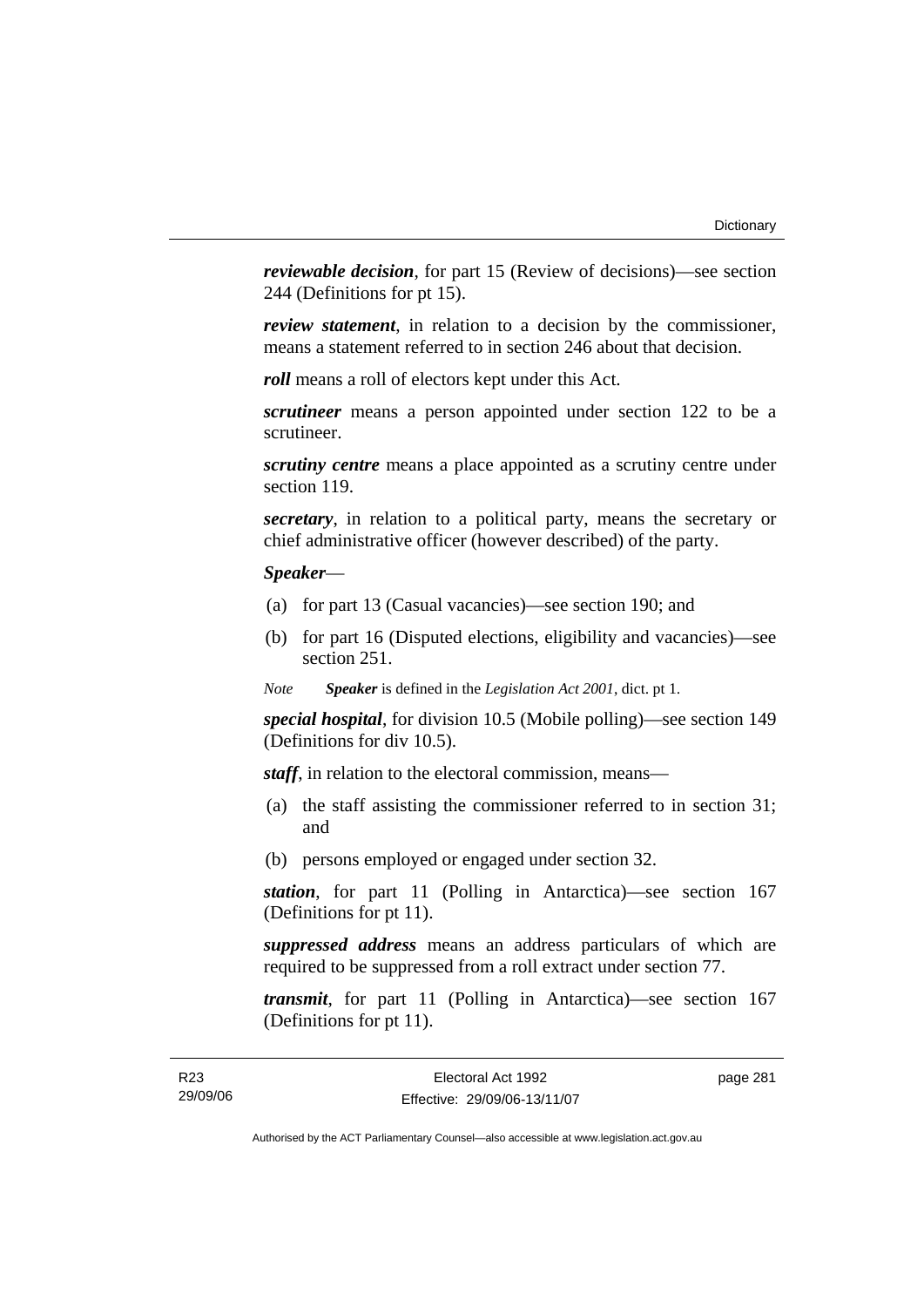*reviewable decision*, for part 15 (Review of decisions)—see section 244 (Definitions for pt 15).

*review statement*, in relation to a decision by the commissioner, means a statement referred to in section 246 about that decision.

*roll* means a roll of electors kept under this Act.

*scrutineer* means a person appointed under section 122 to be a scrutineer.

*scrutiny centre* means a place appointed as a scrutiny centre under section 119.

*secretary*, in relation to a political party, means the secretary or chief administrative officer (however described) of the party.

# *Speaker*—

- (a) for part 13 (Casual vacancies)—see section 190; and
- (b) for part 16 (Disputed elections, eligibility and vacancies)—see section 251.

*Note Speaker* is defined in the *Legislation Act 2001*, dict. pt 1.

*special hospital*, for division 10.5 (Mobile polling)—see section 149 (Definitions for div 10.5).

*staff*, in relation to the electoral commission, means—

- (a) the staff assisting the commissioner referred to in section 31; and
- (b) persons employed or engaged under section 32.

*station*, for part 11 (Polling in Antarctica)—see section 167 (Definitions for pt 11).

*suppressed address* means an address particulars of which are required to be suppressed from a roll extract under section 77.

*transmit*, for part 11 (Polling in Antarctica)—see section 167 (Definitions for pt 11).

page 281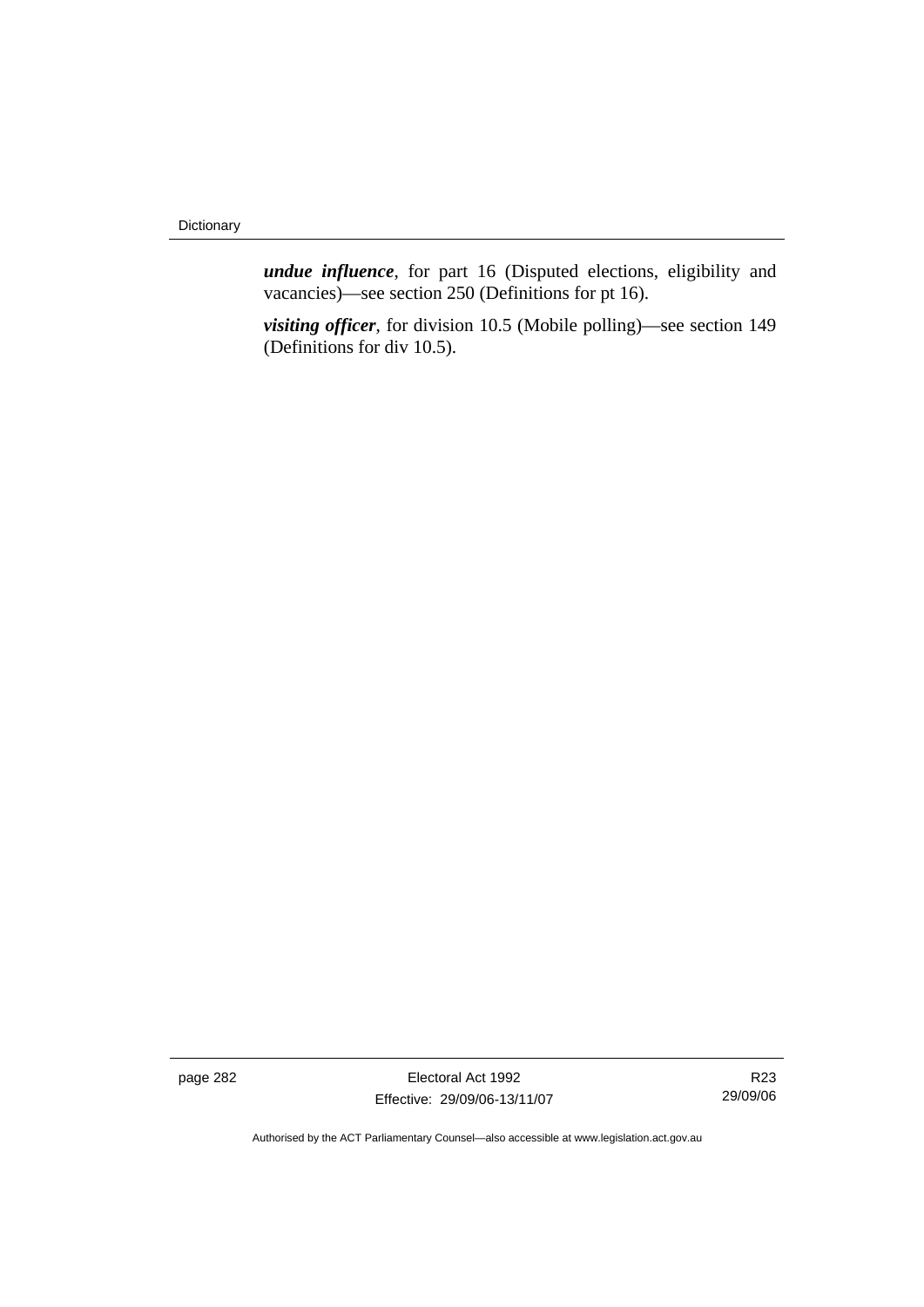*undue influence*, for part 16 (Disputed elections, eligibility and vacancies)—see section 250 (Definitions for pt 16).

*visiting officer*, for division 10.5 (Mobile polling)—see section 149 (Definitions for div 10.5).

page 282 Electoral Act 1992 Effective: 29/09/06-13/11/07

R23 29/09/06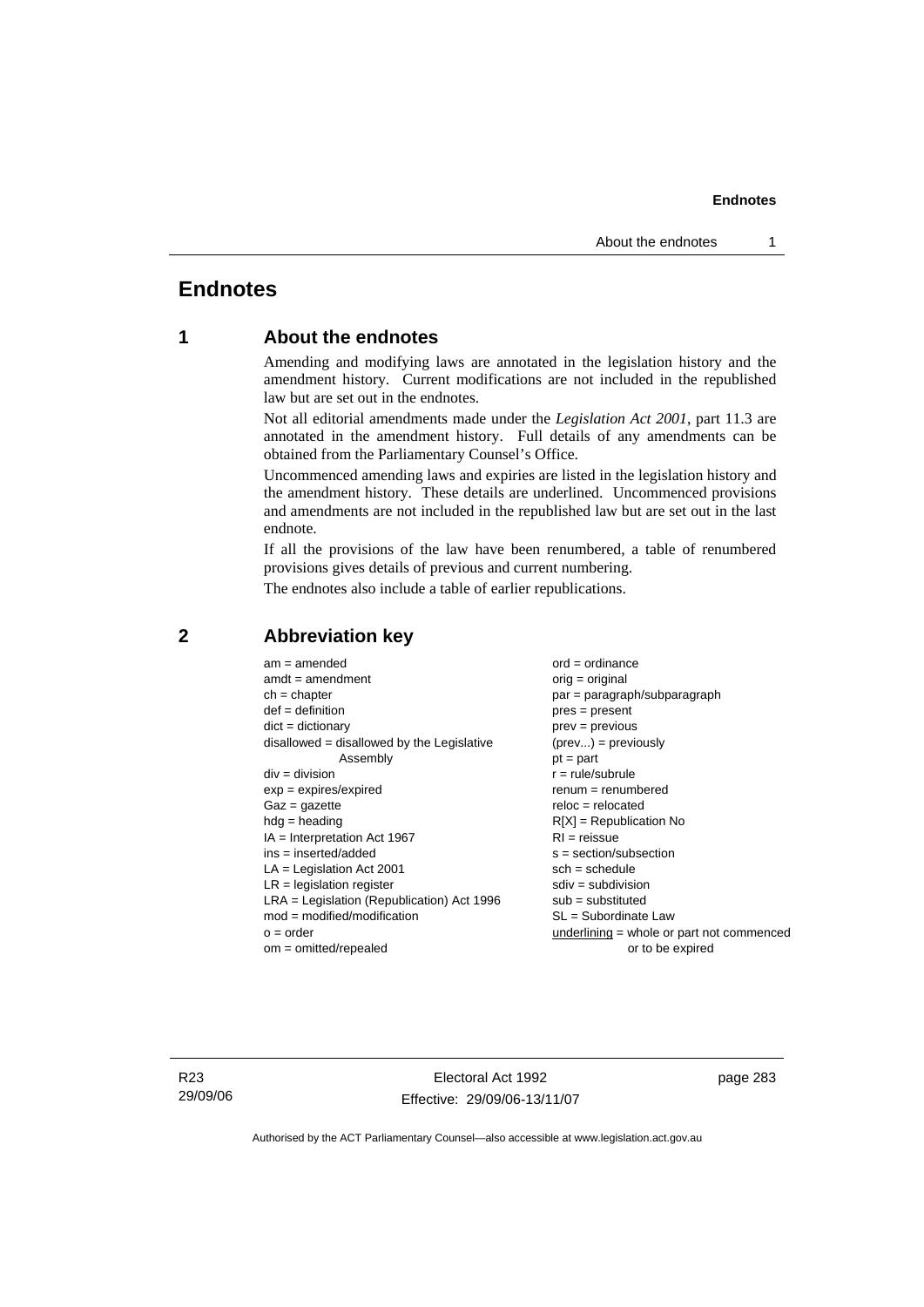# **Endnotes**

# **1 About the endnotes**

Amending and modifying laws are annotated in the legislation history and the amendment history. Current modifications are not included in the republished law but are set out in the endnotes.

Not all editorial amendments made under the *Legislation Act 2001*, part 11.3 are annotated in the amendment history. Full details of any amendments can be obtained from the Parliamentary Counsel's Office.

Uncommenced amending laws and expiries are listed in the legislation history and the amendment history. These details are underlined. Uncommenced provisions and amendments are not included in the republished law but are set out in the last endnote.

If all the provisions of the law have been renumbered, a table of renumbered provisions gives details of previous and current numbering.

The endnotes also include a table of earlier republications.

| $am = amended$                               | $ord = ordinance$                         |
|----------------------------------------------|-------------------------------------------|
| $amdt = amendment$                           | $orig = original$                         |
| $ch = chapter$                               | $par = paragraph/subparagraph$            |
| $def = definition$                           | $pres = present$                          |
| $dict = dictionary$                          | $prev = previous$                         |
| disallowed = disallowed by the Legislative   | $(\text{prev}) = \text{previously}$       |
| Assembly                                     | $pt = part$                               |
| $div = division$                             | $r = rule/subrule$                        |
| $exp = expires/expired$                      | $renum = renumbered$                      |
| $Gaz = gazette$                              | $reloc = relocated$                       |
| $hdg =$ heading                              | $R[X]$ = Republication No                 |
| $IA = Interpretation Act 1967$               | $RI = reissue$                            |
| $ins = inserted/added$                       | $s = section/subsection$                  |
| $LA =$ Legislation Act 2001                  | $sch = schedule$                          |
| $LR =$ legislation register                  | $sdiv = subdivision$                      |
| $LRA =$ Legislation (Republication) Act 1996 | $sub =$ substituted                       |
| $mod = modified/modification$                | SL = Subordinate Law                      |
| $o = order$                                  | underlining = whole or part not commenced |
| $om = omitted/repealed$                      | or to be expired                          |
|                                              |                                           |

# **2 Abbreviation key**

R23 29/09/06

Electoral Act 1992 Effective: 29/09/06-13/11/07 page 283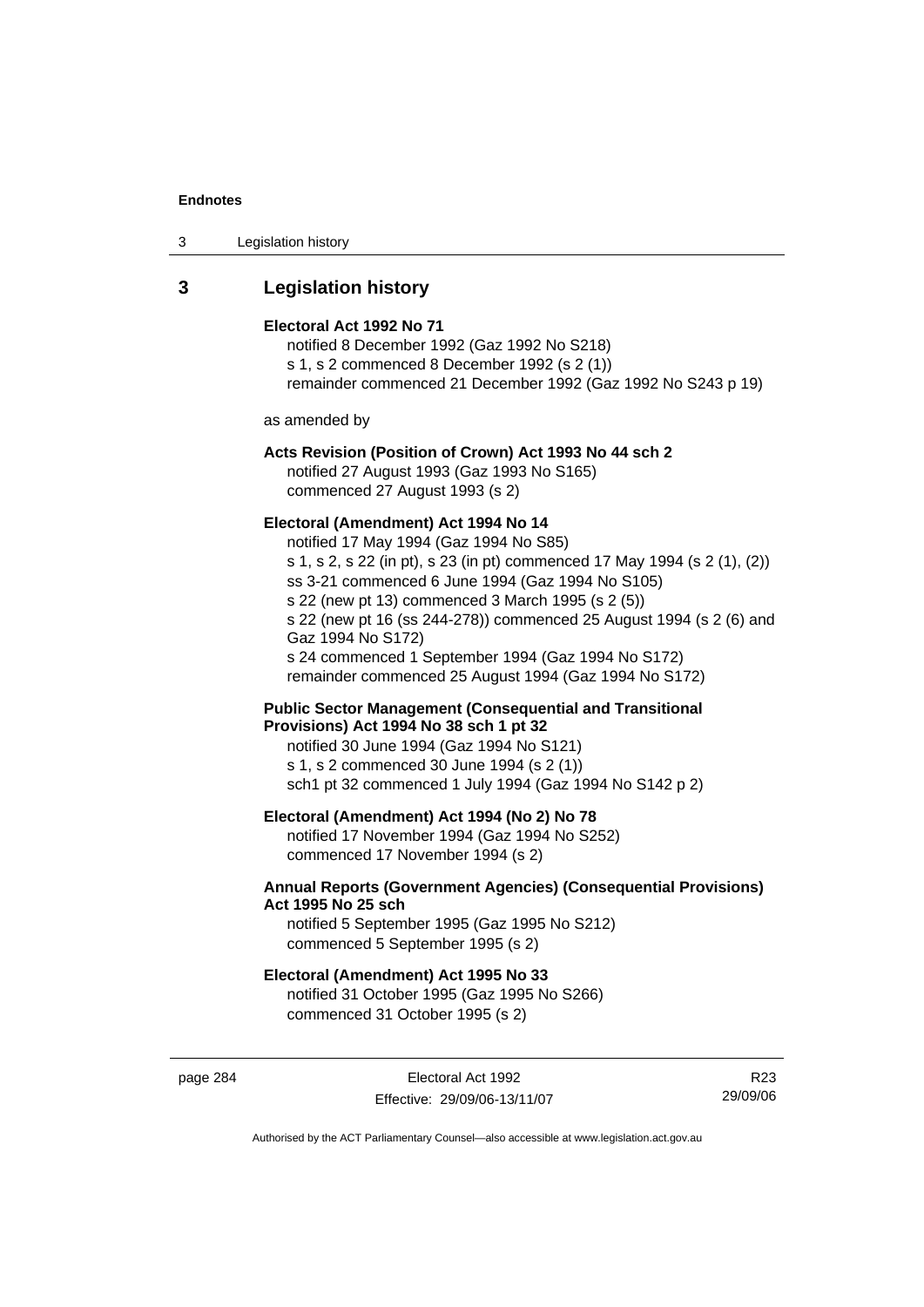| 3 | Legislation history |  |
|---|---------------------|--|
|---|---------------------|--|

# **3 Legislation history**

#### **Electoral Act 1992 No 71**

notified 8 December 1992 (Gaz 1992 No S218) s 1, s 2 commenced 8 December 1992 (s 2 (1)) remainder commenced 21 December 1992 (Gaz 1992 No S243 p 19)

as amended by

# **Acts Revision (Position of Crown) Act 1993 No 44 sch 2**

notified 27 August 1993 (Gaz 1993 No S165) commenced 27 August 1993 (s 2)

#### **Electoral (Amendment) Act 1994 No 14**

notified 17 May 1994 (Gaz 1994 No S85) s 1, s 2, s 22 (in pt), s 23 (in pt) commenced 17 May 1994 (s 2 (1), (2)) ss 3-21 commenced 6 June 1994 (Gaz 1994 No S105) s 22 (new pt 13) commenced 3 March 1995 (s 2 (5)) s 22 (new pt 16 (ss 244-278)) commenced 25 August 1994 (s 2 (6) and Gaz 1994 No S172) s 24 commenced 1 September 1994 (Gaz 1994 No S172) remainder commenced 25 August 1994 (Gaz 1994 No S172)

**Public Sector Management (Consequential and Transitional Provisions) Act 1994 No 38 sch 1 pt 32** 

notified 30 June 1994 (Gaz 1994 No S121) s 1, s 2 commenced 30 June 1994 (s 2 (1)) sch1 pt 32 commenced 1 July 1994 (Gaz 1994 No S142 p 2)

#### **Electoral (Amendment) Act 1994 (No 2) No 78**

notified 17 November 1994 (Gaz 1994 No S252) commenced 17 November 1994 (s 2)

#### **Annual Reports (Government Agencies) (Consequential Provisions) Act 1995 No 25 sch**

notified 5 September 1995 (Gaz 1995 No S212) commenced 5 September 1995 (s 2)

#### **Electoral (Amendment) Act 1995 No 33**

notified 31 October 1995 (Gaz 1995 No S266) commenced 31 October 1995 (s 2)

page 284 **Electoral Act 1992** Effective: 29/09/06-13/11/07

R23 29/09/06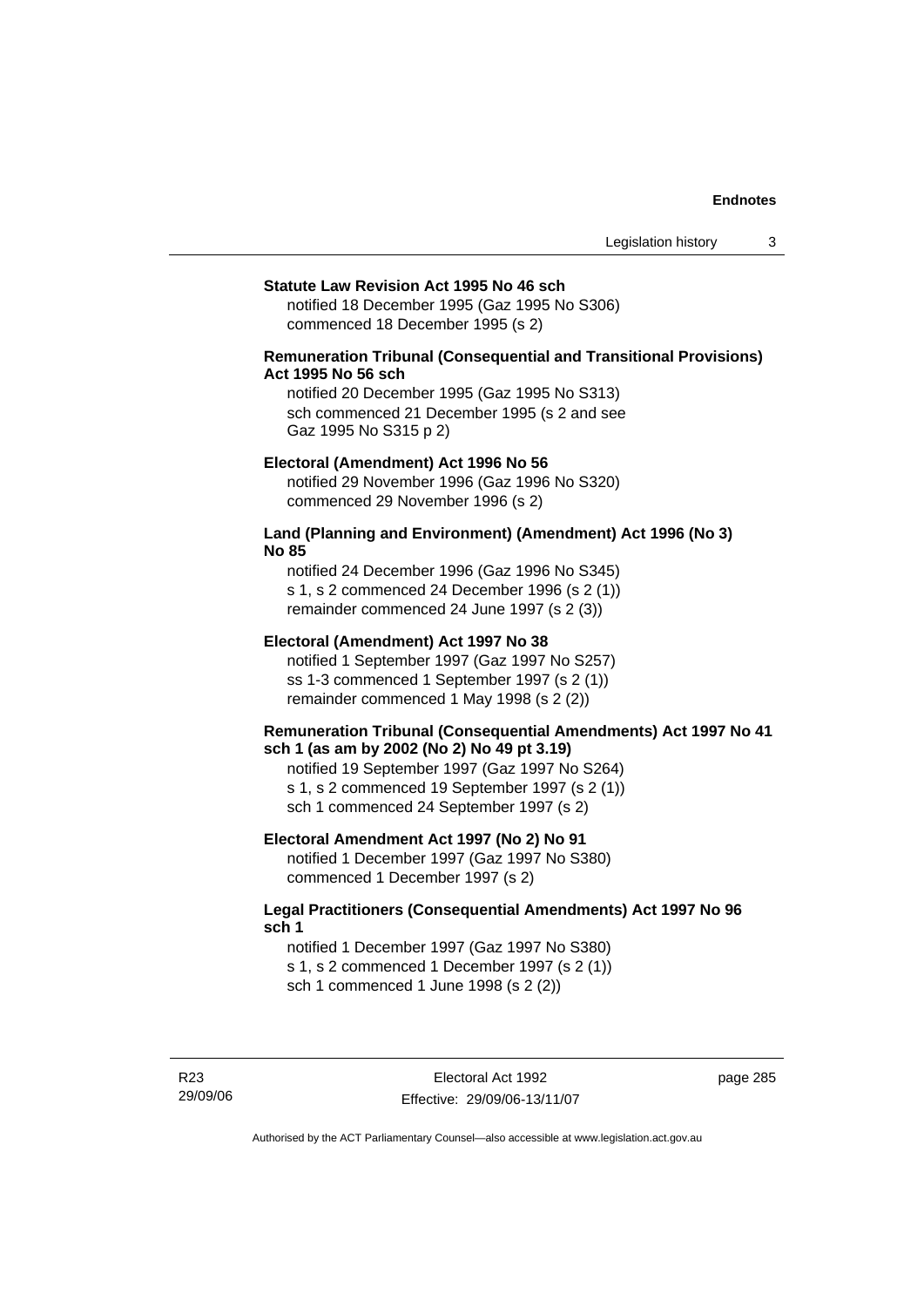#### **Statute Law Revision Act 1995 No 46 sch**

notified 18 December 1995 (Gaz 1995 No S306) commenced 18 December 1995 (s 2)

#### **Remuneration Tribunal (Consequential and Transitional Provisions) Act 1995 No 56 sch**

notified 20 December 1995 (Gaz 1995 No S313) sch commenced 21 December 1995 (s 2 and see Gaz 1995 No S315 p 2)

#### **Electoral (Amendment) Act 1996 No 56**

notified 29 November 1996 (Gaz 1996 No S320) commenced 29 November 1996 (s 2)

#### **Land (Planning and Environment) (Amendment) Act 1996 (No 3) No 85**

notified 24 December 1996 (Gaz 1996 No S345) s 1, s 2 commenced 24 December 1996 (s 2 (1)) remainder commenced 24 June 1997 (s 2 (3))

#### **Electoral (Amendment) Act 1997 No 38**

notified 1 September 1997 (Gaz 1997 No S257) ss 1-3 commenced 1 September 1997 (s 2 (1)) remainder commenced 1 May 1998 (s 2 (2))

#### **Remuneration Tribunal (Consequential Amendments) Act 1997 No 41 sch 1 (as am by 2002 (No 2) No 49 pt 3.19)**

notified 19 September 1997 (Gaz 1997 No S264) s 1, s 2 commenced 19 September 1997 (s 2 (1)) sch 1 commenced 24 September 1997 (s 2)

#### **Electoral Amendment Act 1997 (No 2) No 91**

notified 1 December 1997 (Gaz 1997 No S380) commenced 1 December 1997 (s 2)

#### **Legal Practitioners (Consequential Amendments) Act 1997 No 96 sch 1**

notified 1 December 1997 (Gaz 1997 No S380) s 1, s 2 commenced 1 December 1997 (s 2 (1)) sch 1 commenced 1 June 1998 (s 2 (2))

R23 29/09/06 page 285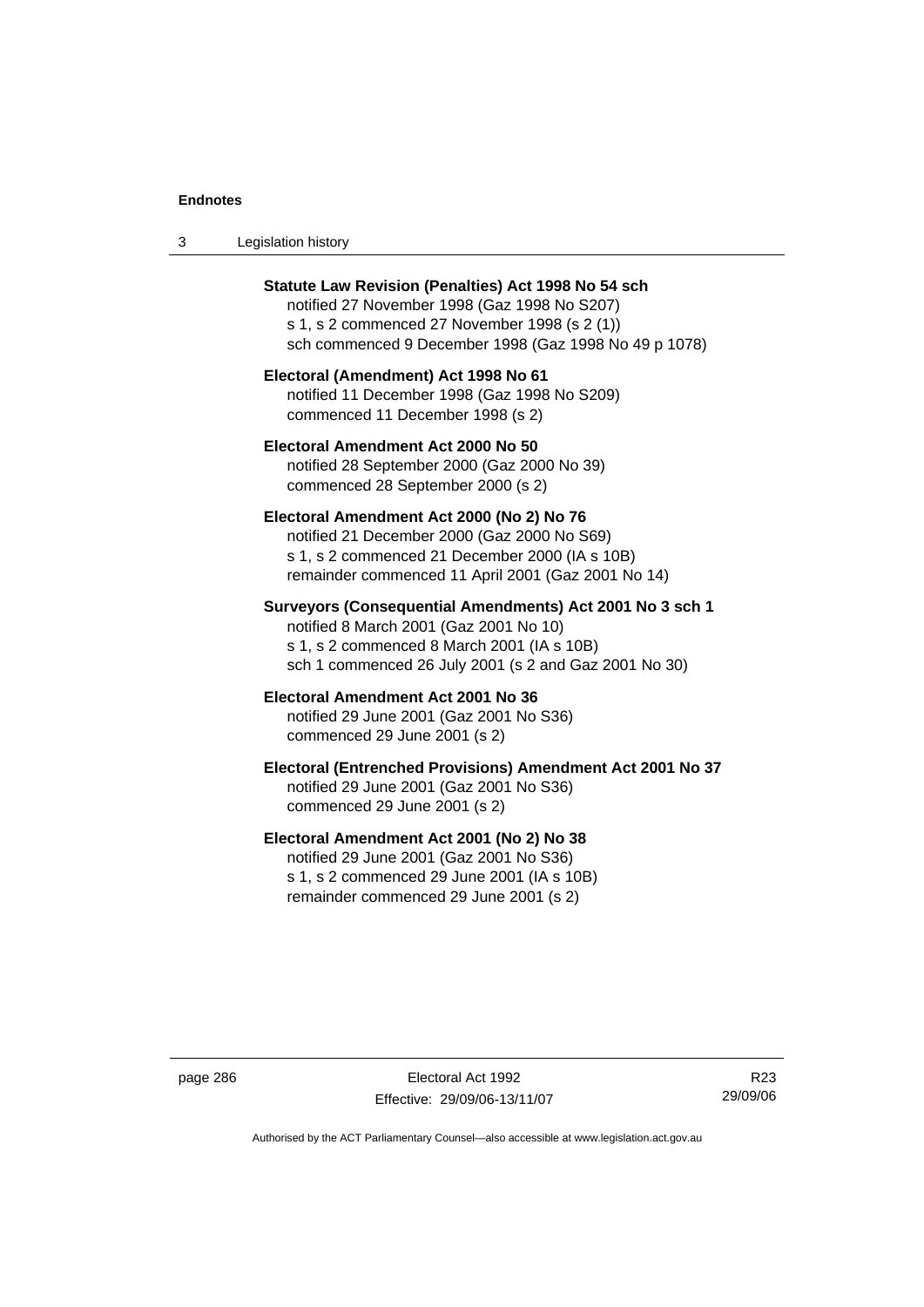| Legislation history<br>-3 |  |
|---------------------------|--|
|---------------------------|--|

| <b>Statute Law Revision (Penalties) Act 1998 No 54 sch</b><br>notified 27 November 1998 (Gaz 1998 No S207)<br>s 1, s 2 commenced 27 November 1998 (s 2 (1))<br>sch commenced 9 December 1998 (Gaz 1998 No 49 p 1078) |
|----------------------------------------------------------------------------------------------------------------------------------------------------------------------------------------------------------------------|
| Electoral (Amendment) Act 1998 No 61<br>notified 11 December 1998 (Gaz 1998 No S209)<br>commenced 11 December 1998 (s 2)                                                                                             |
| Electoral Amendment Act 2000 No 50<br>notified 28 September 2000 (Gaz 2000 No 39)<br>commenced 28 September 2000 (s 2)                                                                                               |
| Electoral Amendment Act 2000 (No 2) No 76<br>notified 21 December 2000 (Gaz 2000 No S69)<br>s 1, s 2 commenced 21 December 2000 (IA s 10B)<br>remainder commenced 11 April 2001 (Gaz 2001 No 14)                     |
| Surveyors (Consequential Amendments) Act 2001 No 3 sch 1<br>notified 8 March 2001 (Gaz 2001 No 10)<br>s 1, s 2 commenced 8 March 2001 (IA s 10B)<br>sch 1 commenced 26 July 2001 (s 2 and Gaz 2001 No 30)            |
| Electoral Amendment Act 2001 No 36<br>notified 29 June 2001 (Gaz 2001 No S36)<br>commenced 29 June 2001 (s 2)                                                                                                        |
| Electoral (Entrenched Provisions) Amendment Act 2001 No 37<br>notified 29 June 2001 (Gaz 2001 No S36)<br>commenced 29 June 2001 (s 2)                                                                                |
| Electoral Amendment Act 2001 (No 2) No 38<br>notified 29 June 2001 (Gaz 2001 No S36)<br>s 1, s 2 commenced 29 June 2001 (IA s 10B)<br>remainder commenced 29 June 2001 (s 2)                                         |

page 286 Electoral Act 1992 Effective: 29/09/06-13/11/07

R23 29/09/06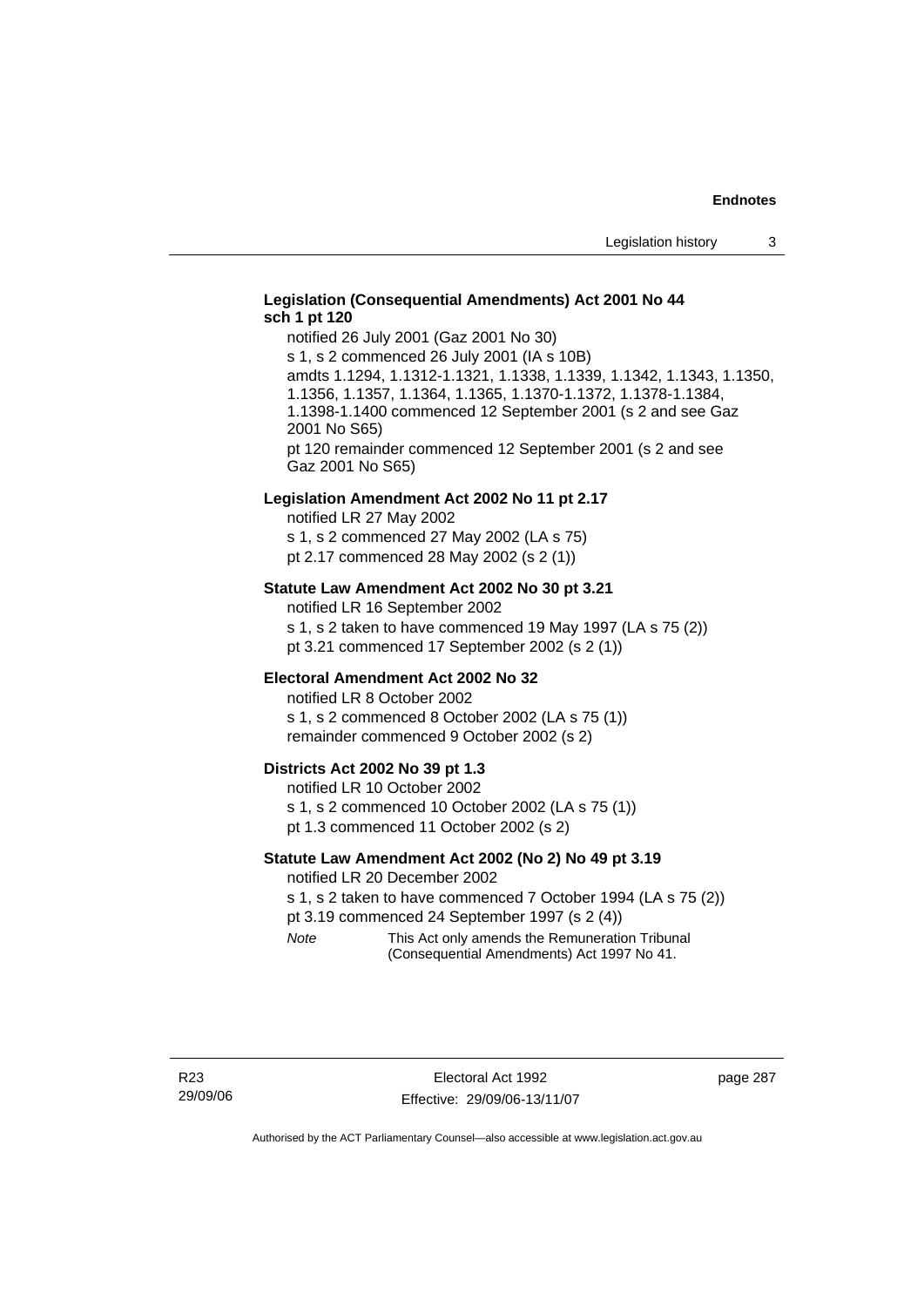#### **Legislation (Consequential Amendments) Act 2001 No 44 sch 1 pt 120**

notified 26 July 2001 (Gaz 2001 No 30) s 1, s 2 commenced 26 July 2001 (IA s 10B) amdts 1.1294, 1.1312-1.1321, 1.1338, 1.1339, 1.1342, 1.1343, 1.1350, 1.1356, 1.1357, 1.1364, 1.1365, 1.1370-1.1372, 1.1378-1.1384, 1.1398-1.1400 commenced 12 September 2001 (s 2 and see Gaz 2001 No S65) pt 120 remainder commenced 12 September 2001 (s 2 and see Gaz 2001 No S65)

#### **Legislation Amendment Act 2002 No 11 pt 2.17**

notified LR 27 May 2002 s 1, s 2 commenced 27 May 2002 (LA s 75) pt 2.17 commenced 28 May 2002 (s 2 (1))

#### **Statute Law Amendment Act 2002 No 30 pt 3.21**

notified LR 16 September 2002 s 1, s 2 taken to have commenced 19 May 1997 (LA s 75 (2)) pt 3.21 commenced 17 September 2002 (s 2 (1))

#### **Electoral Amendment Act 2002 No 32**

notified LR 8 October 2002 s 1, s 2 commenced 8 October 2002 (LA s 75 (1)) remainder commenced 9 October 2002 (s 2)

#### **Districts Act 2002 No 39 pt 1.3**

notified LR 10 October 2002 s 1, s 2 commenced 10 October 2002 (LA s 75 (1)) pt 1.3 commenced 11 October 2002 (s 2)

#### **Statute Law Amendment Act 2002 (No 2) No 49 pt 3.19**

notified LR 20 December 2002

s 1, s 2 taken to have commenced 7 October 1994 (LA s 75 (2)) pt 3.19 commenced 24 September 1997 (s 2 (4))

*Note* This Act only amends the Remuneration Tribunal (Consequential Amendments) Act 1997 No 41.

page 287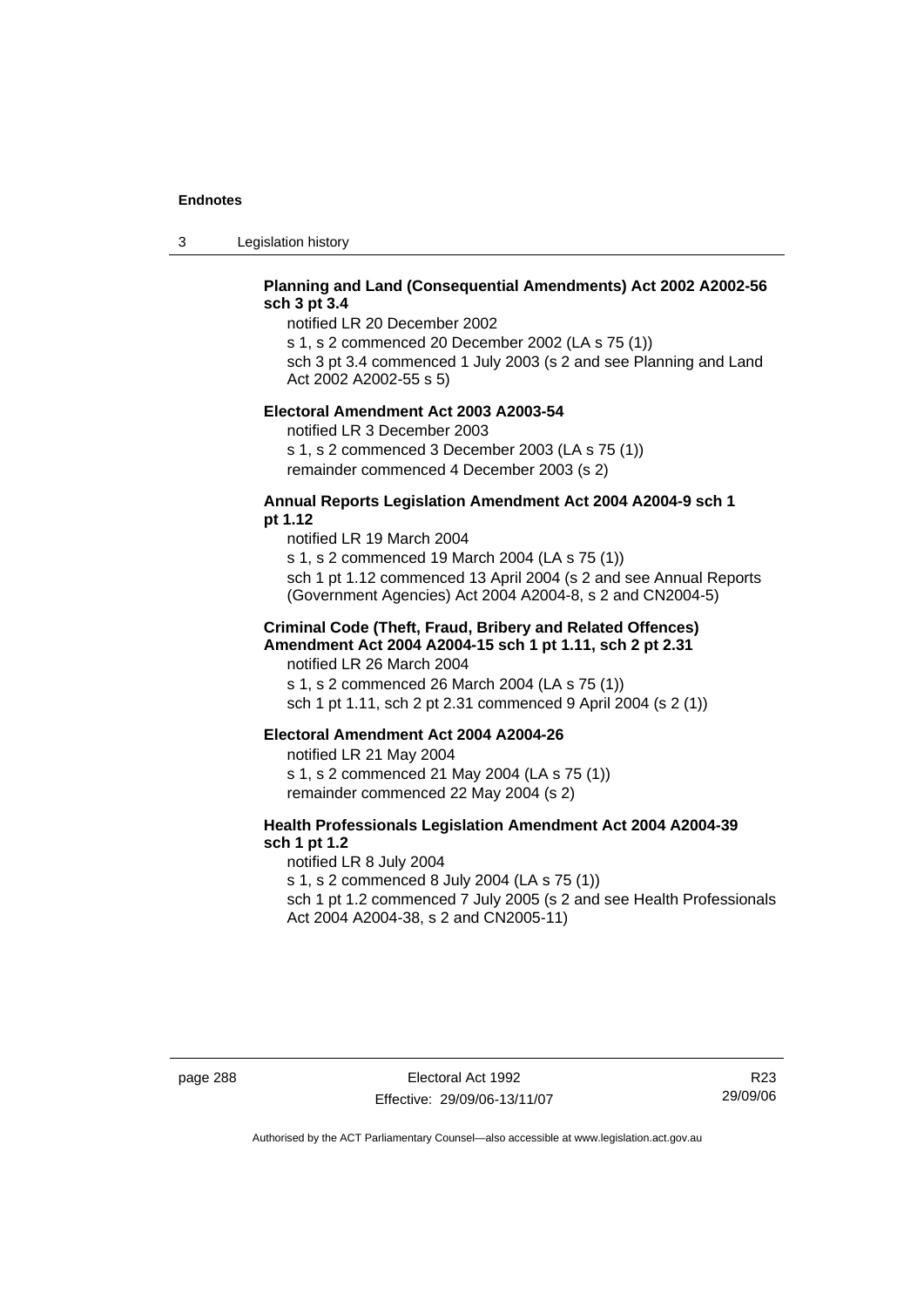3 Legislation history

# **Planning and Land (Consequential Amendments) Act 2002 A2002-56 sch 3 pt 3.4**

notified LR 20 December 2002

s 1, s 2 commenced 20 December 2002 (LA s 75 (1)) sch 3 pt 3.4 commenced 1 July 2003 (s 2 and see Planning and Land

Act 2002 A2002-55 s 5)

#### **Electoral Amendment Act 2003 A2003-54**

notified LR 3 December 2003 s 1, s 2 commenced 3 December 2003 (LA s 75 (1)) remainder commenced 4 December 2003 (s 2)

#### **Annual Reports Legislation Amendment Act 2004 A2004-9 sch 1 pt 1.12**

notified LR 19 March 2004 s 1, s 2 commenced 19 March 2004 (LA s 75 (1)) sch 1 pt 1.12 commenced 13 April 2004 (s 2 and see Annual Reports (Government Agencies) Act 2004 A2004-8, s 2 and CN2004-5)

#### **Criminal Code (Theft, Fraud, Bribery and Related Offences) Amendment Act 2004 A2004-15 sch 1 pt 1.11, sch 2 pt 2.31**

notified LR 26 March 2004 s 1, s 2 commenced 26 March 2004 (LA s 75 (1)) sch 1 pt 1.11, sch 2 pt 2.31 commenced 9 April 2004 (s 2 (1))

#### **Electoral Amendment Act 2004 A2004-26**

notified LR 21 May 2004 s 1, s 2 commenced 21 May 2004 (LA s 75 (1)) remainder commenced 22 May 2004 (s 2)

# **Health Professionals Legislation Amendment Act 2004 A2004-39 sch 1 pt 1.2**

notified LR 8 July 2004 s 1, s 2 commenced 8 July 2004 (LA s 75 (1)) sch 1 pt 1.2 commenced 7 July 2005 (s 2 and see Health Professionals Act 2004 A2004-38, s 2 and CN2005-11)

R23 29/09/06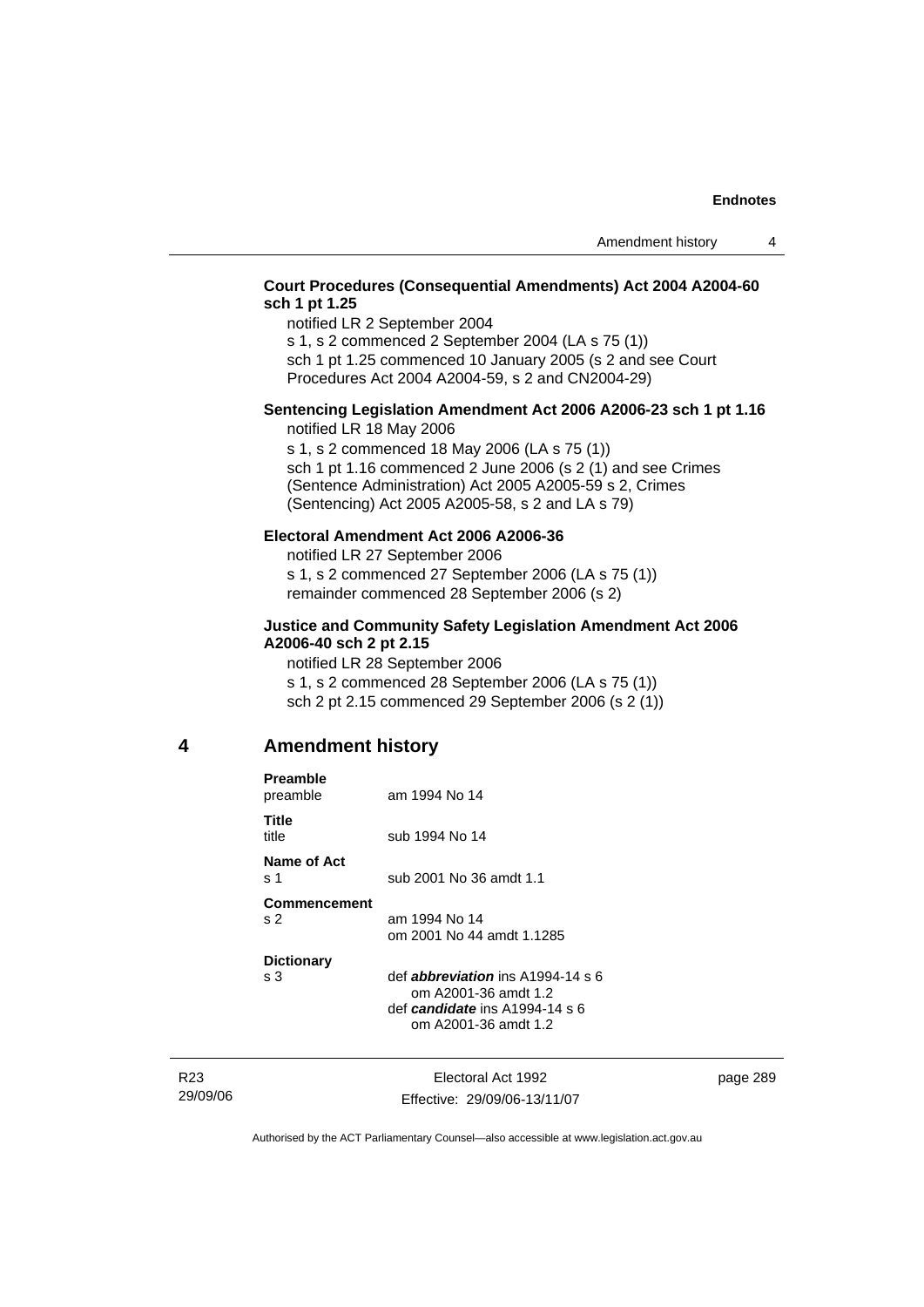# **Court Procedures (Consequential Amendments) Act 2004 A2004-60 sch 1 pt 1.25**

notified LR 2 September 2004

s 1, s 2 commenced 2 September 2004 (LA s 75 (1)) sch 1 pt 1.25 commenced 10 January 2005 (s 2 and see Court

Procedures Act 2004 A2004-59, s 2 and CN2004-29)

#### **Sentencing Legislation Amendment Act 2006 A2006-23 sch 1 pt 1.16**  notified LR 18 May 2006

s 1, s 2 commenced 18 May 2006 (LA s 75 (1)) sch 1 pt 1.16 commenced 2 June 2006 (s 2 (1) and see Crimes (Sentence Administration) Act 2005 A2005-59 s 2, Crimes (Sentencing) Act 2005 A2005-58, s 2 and LA s 79)

#### **Electoral Amendment Act 2006 A2006-36**

notified LR 27 September 2006 s 1, s 2 commenced 27 September 2006 (LA s 75 (1)) remainder commenced 28 September 2006 (s 2)

#### **Justice and Community Safety Legislation Amendment Act 2006 A2006-40 sch 2 pt 2.15**

notified LR 28 September 2006 s 1, s 2 commenced 28 September 2006 (LA s 75 (1)) sch 2 pt 2.15 commenced 29 September 2006 (s 2 (1))

# **4 Amendment history**

| Preamble<br>preamble                       | am 1994 No 14                                                                                                              |
|--------------------------------------------|----------------------------------------------------------------------------------------------------------------------------|
| Title<br>title                             | sub 1994 No 14                                                                                                             |
| Name of Act<br>$\boldsymbol{\mathsf{s}}$ 1 | sub 2001 No 36 amdt 1.1                                                                                                    |
| Commencement<br>S <sub>2</sub>             | am 1994 No 14<br>om 2001 No 44 amdt 1.1285                                                                                 |
| <b>Dictionary</b><br>s 3                   | def <i>abbreviation</i> ins A1994-14 s 6<br>om A2001-36 amdt 1.2<br>def candidate ins A1994-14 s 6<br>om A2001-36 amdt 1.2 |
|                                            |                                                                                                                            |

R23 29/09/06 Electoral Act 1992 Effective: 29/09/06-13/11/07 page 289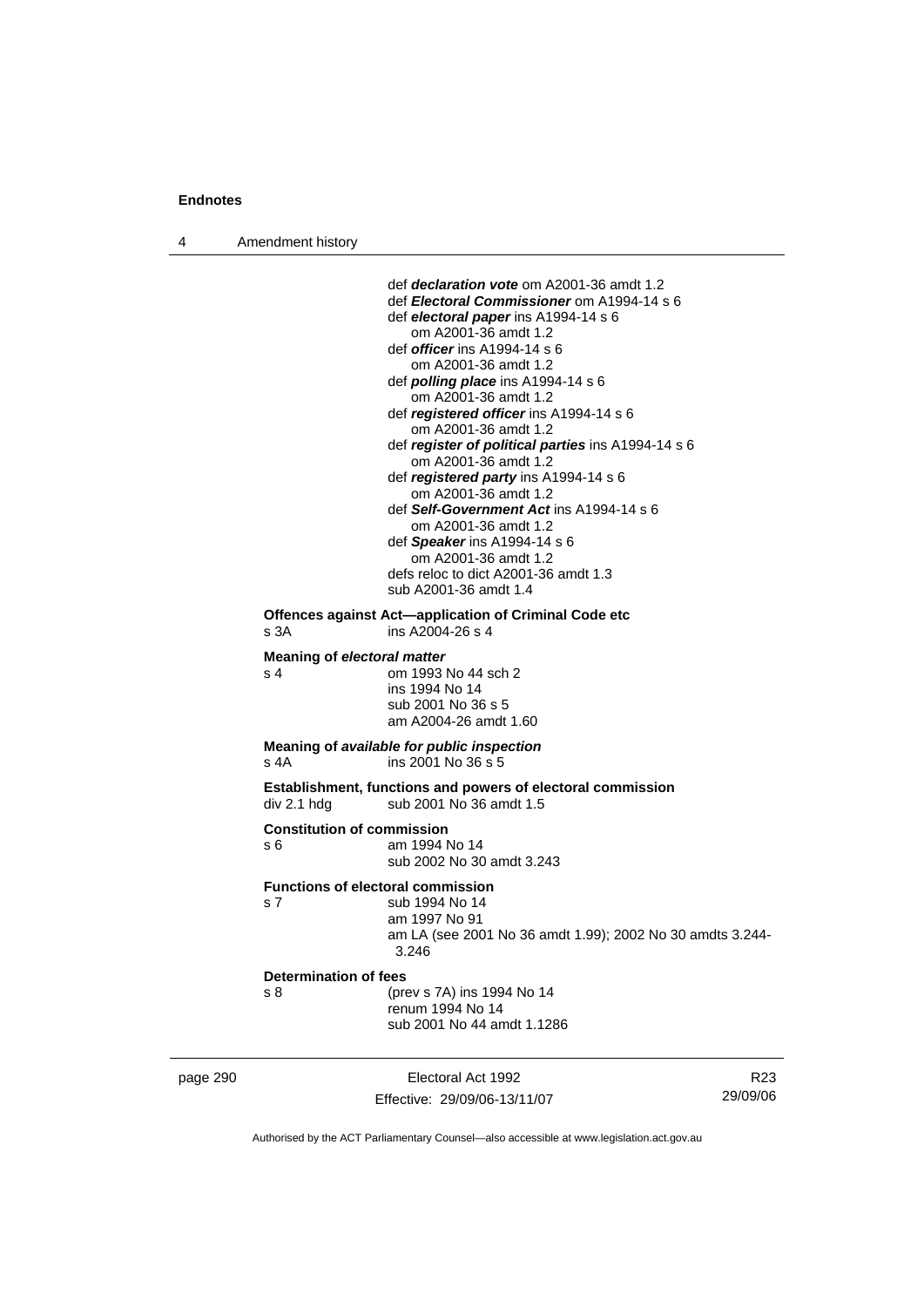4 Amendment history

| <b>Determination of fees</b><br>s 8<br>(prev s 7A) ins 1994 No 14<br>renum 1994 No 14<br>sub 2001 No 44 amdt 1.1286                                                                                                                                                                                                                                                                                                                                                                                                                                                                                                                                                                                                             |  |
|---------------------------------------------------------------------------------------------------------------------------------------------------------------------------------------------------------------------------------------------------------------------------------------------------------------------------------------------------------------------------------------------------------------------------------------------------------------------------------------------------------------------------------------------------------------------------------------------------------------------------------------------------------------------------------------------------------------------------------|--|
| <b>Functions of electoral commission</b><br>s 7<br>sub 1994 No 14<br>am 1997 No 91<br>am LA (see 2001 No 36 amdt 1.99); 2002 No 30 amdts 3.244-<br>3.246                                                                                                                                                                                                                                                                                                                                                                                                                                                                                                                                                                        |  |
| <b>Constitution of commission</b><br>am 1994 No 14<br>s 6<br>sub 2002 No 30 amdt 3.243                                                                                                                                                                                                                                                                                                                                                                                                                                                                                                                                                                                                                                          |  |
| <b>Establishment, functions and powers of electoral commission</b><br>div 2.1 hdg<br>sub 2001 No 36 amdt 1.5                                                                                                                                                                                                                                                                                                                                                                                                                                                                                                                                                                                                                    |  |
| Meaning of available for public inspection<br>ins 2001 No 36 s 5<br>s 4A                                                                                                                                                                                                                                                                                                                                                                                                                                                                                                                                                                                                                                                        |  |
| <b>Meaning of electoral matter</b><br>om 1993 No 44 sch 2<br>s 4<br>ins 1994 No 14<br>sub 2001 No 36 s 5<br>am A2004-26 amdt 1.60                                                                                                                                                                                                                                                                                                                                                                                                                                                                                                                                                                                               |  |
| Offences against Act-application of Criminal Code etc<br>s 3A<br>ins A2004-26 s 4                                                                                                                                                                                                                                                                                                                                                                                                                                                                                                                                                                                                                                               |  |
| def <i>declaration vote</i> om A2001-36 amdt 1.2<br>def <i>Electoral Commissioner</i> om A1994-14 s 6<br>def electoral paper ins A1994-14 s 6<br>om A2001-36 amdt 1.2<br>def <i>officer</i> ins A1994-14 s 6<br>om A2001-36 amdt 1.2<br>def <i>polling place</i> ins A1994-14 s 6<br>om A2001-36 amdt 1.2<br>def registered officer ins A1994-14 s 6<br>om A2001-36 amdt 1.2<br>def register of political parties ins A1994-14 s 6<br>om A2001-36 amdt 1.2<br>def registered party ins A1994-14 s 6<br>om A2001-36 amdt 1.2<br>def <b>Self-Government Act</b> ins A1994-14 s 6<br>om A2001-36 amdt 1.2<br>def Speaker ins A1994-14 s 6<br>om A2001-36 amdt 1.2<br>defs reloc to dict A2001-36 amdt 1.3<br>sub A2001-36 amdt 1.4 |  |

Effective: 29/09/06-13/11/07

R23 29/09/06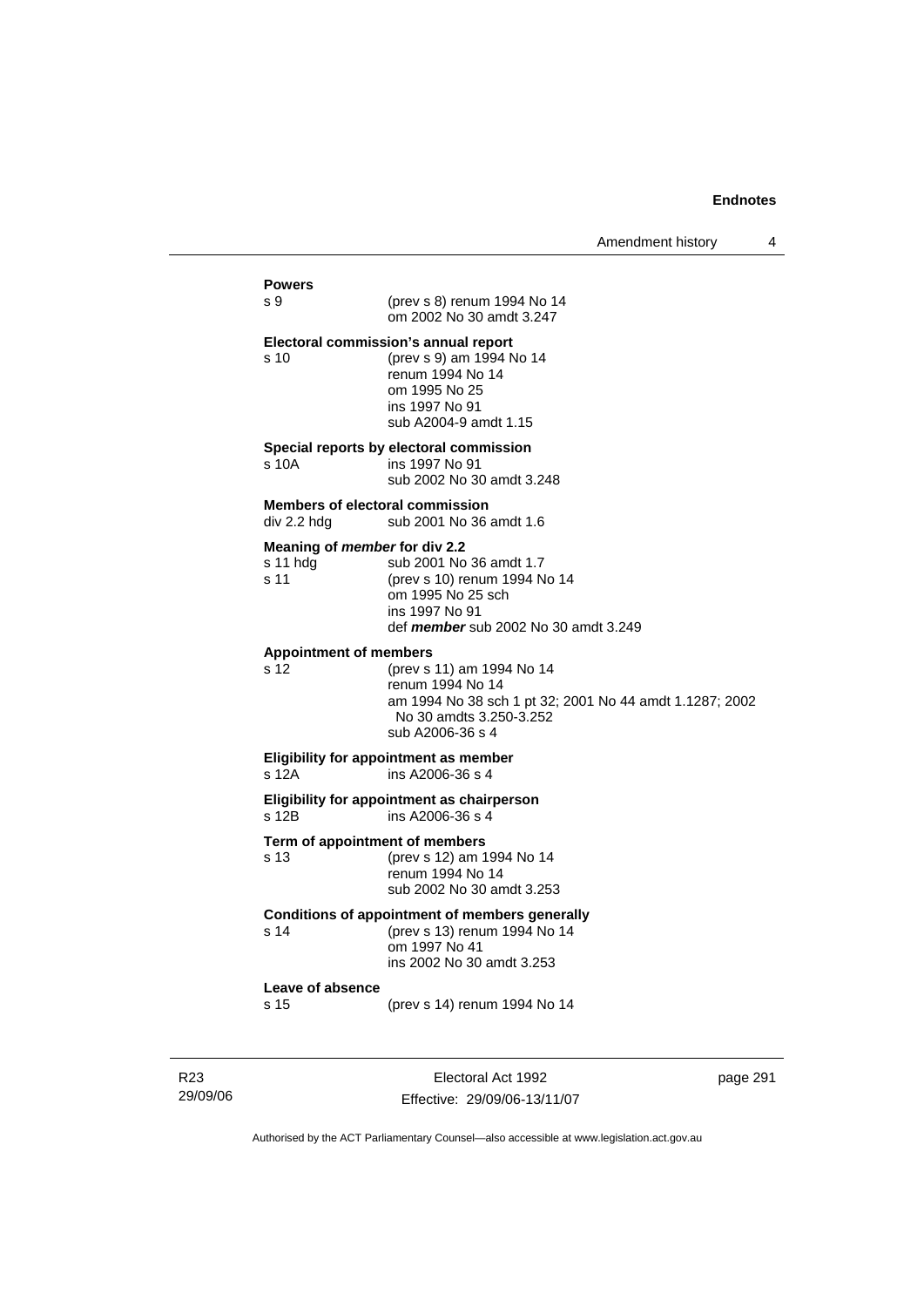| Amendment history |  |
|-------------------|--|
|-------------------|--|

# **Powers**  s 9 (prev s 8) renum 1994 No 14 om 2002 No 30 amdt 3.247 **Electoral commission's annual report**  s 10 (prev s 9) am 1994 No 14 renum 1994 No 14 om 1995 No 25 ins 1997 No 91 sub A2004-9 amdt 1.15 **Special reports by electoral commission**  s 10A ins 1997 No 91 sub 2002 No 30 amdt 3.248 **Members of electoral commission**  div 2.2 hdg sub 2001 No 36 amdt 1.6 **Meaning of** *member* **for div 2.2**  s 11 hdg sub 2001 No 36 amdt 1.7 s 11 (prev s 10) renum 1994 No 14 om 1995 No 25 sch ins 1997 No 91 def *member* sub 2002 No 30 amdt 3.249 **Appointment of members**  s 12 (prev s 11) am 1994 No 14 renum 1994 No 14 am 1994 No 38 sch 1 pt 32; 2001 No 44 amdt 1.1287; 2002 No 30 amdts 3.250-3.252 sub A2006-36 s 4 **Eligibility for appointment as member**  s 12A ins A2006-36 s 4 **Eligibility for appointment as chairperson**   $\overline{s}$  12B ins A2006-36 s 4 **Term of appointment of members**  s 13 (prev s 12) am 1994 No 14 renum 1994 No 14 sub 2002 No 30 amdt 3.253 **Conditions of appointment of members generally**  s 14 (prev s 13) renum 1994 No 14 om 1997 No 41 ins 2002 No 30 amdt 3.253 **Leave of absence**  s 15 (prev s 14) renum 1994 No 14

R23 29/09/06

Electoral Act 1992 Effective: 29/09/06-13/11/07 page 291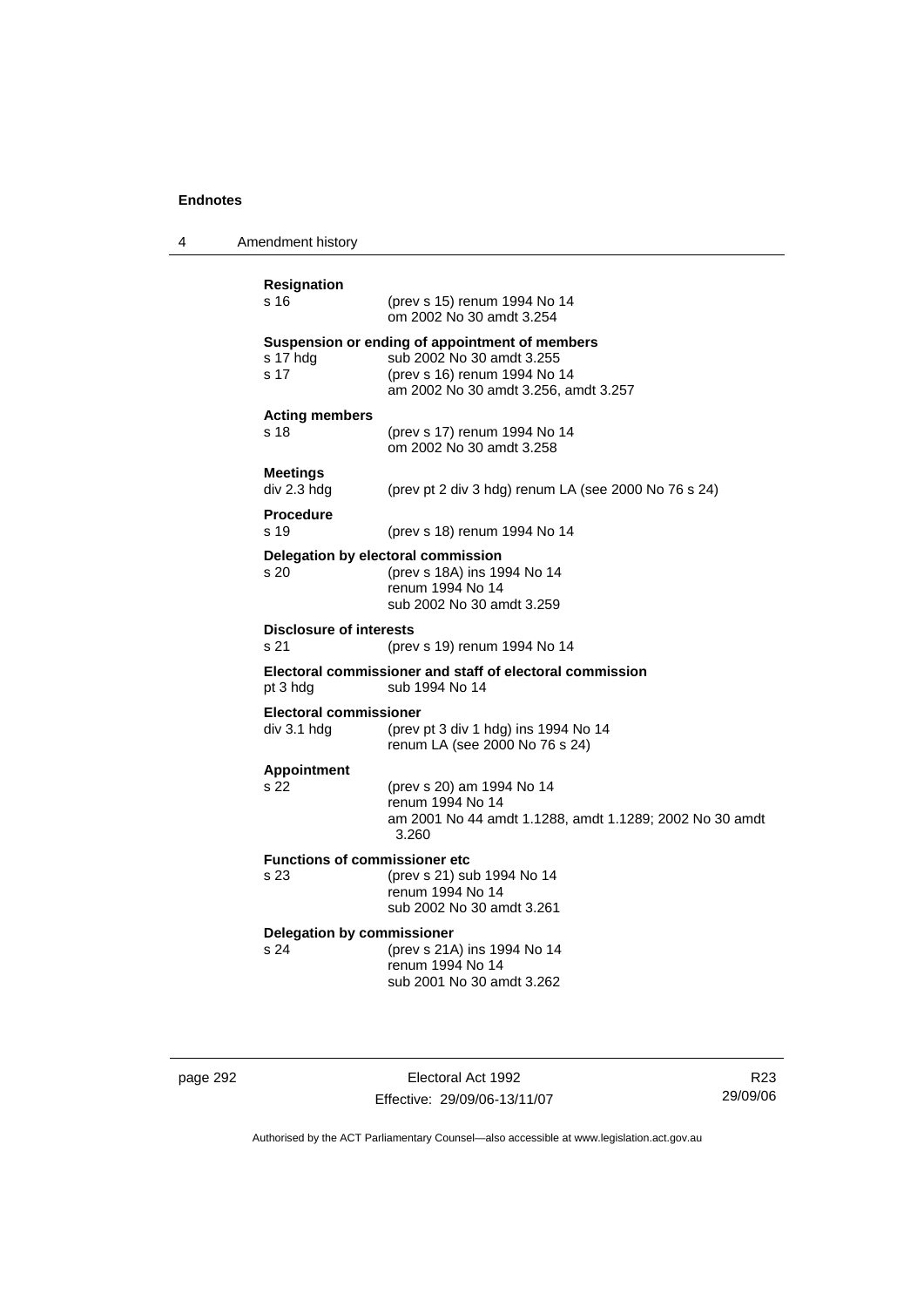4 Amendment history

| <b>Resignation</b><br>s 16                   | (prev s 15) renum 1994 No 14<br>om 2002 No 30 amdt 3.254                                                                                            |
|----------------------------------------------|-----------------------------------------------------------------------------------------------------------------------------------------------------|
| s 17 hdg<br>s 17                             | Suspension or ending of appointment of members<br>sub 2002 No 30 amdt 3.255<br>(prev s 16) renum 1994 No 14<br>am 2002 No 30 amdt 3.256, amdt 3.257 |
| <b>Acting members</b><br>s 18                | (prev s 17) renum 1994 No 14<br>om 2002 No 30 amdt 3.258                                                                                            |
| <b>Meetings</b><br>div 2.3 hdg               | (prev pt 2 div 3 hdg) renum LA (see 2000 No 76 s 24)                                                                                                |
| <b>Procedure</b><br>s 19                     | (prev s 18) renum 1994 No 14                                                                                                                        |
| Delegation by electoral commission<br>s 20   | (prev s 18A) ins 1994 No 14<br>renum 1994 No 14<br>sub 2002 No 30 amdt 3.259                                                                        |
| <b>Disclosure of interests</b><br>s 21       | (prev s 19) renum 1994 No 14                                                                                                                        |
| pt 3 hdg                                     | Electoral commissioner and staff of electoral commission<br>sub 1994 No 14                                                                          |
| <b>Electoral commissioner</b><br>div 3.1 hdg | (prev pt 3 div 1 hdg) ins 1994 No 14<br>renum LA (see 2000 No 76 s 24)                                                                              |
| <b>Appointment</b><br>s 22                   | (prev s 20) am 1994 No 14<br>renum 1994 No 14<br>am 2001 No 44 amdt 1.1288, amdt 1.1289; 2002 No 30 amdt<br>3.260                                   |
| <b>Functions of commissioner etc</b><br>s 23 | (prev s 21) sub 1994 No 14<br>renum 1994 No 14<br>sub 2002 No 30 amdt 3.261                                                                         |
| Delegation by commissioner<br>s 24           | (prev s 21A) ins 1994 No 14<br>renum 1994 No 14<br>sub 2001 No 30 amdt 3.262                                                                        |
|                                              |                                                                                                                                                     |

page 292 Electoral Act 1992 Effective: 29/09/06-13/11/07

R23 29/09/06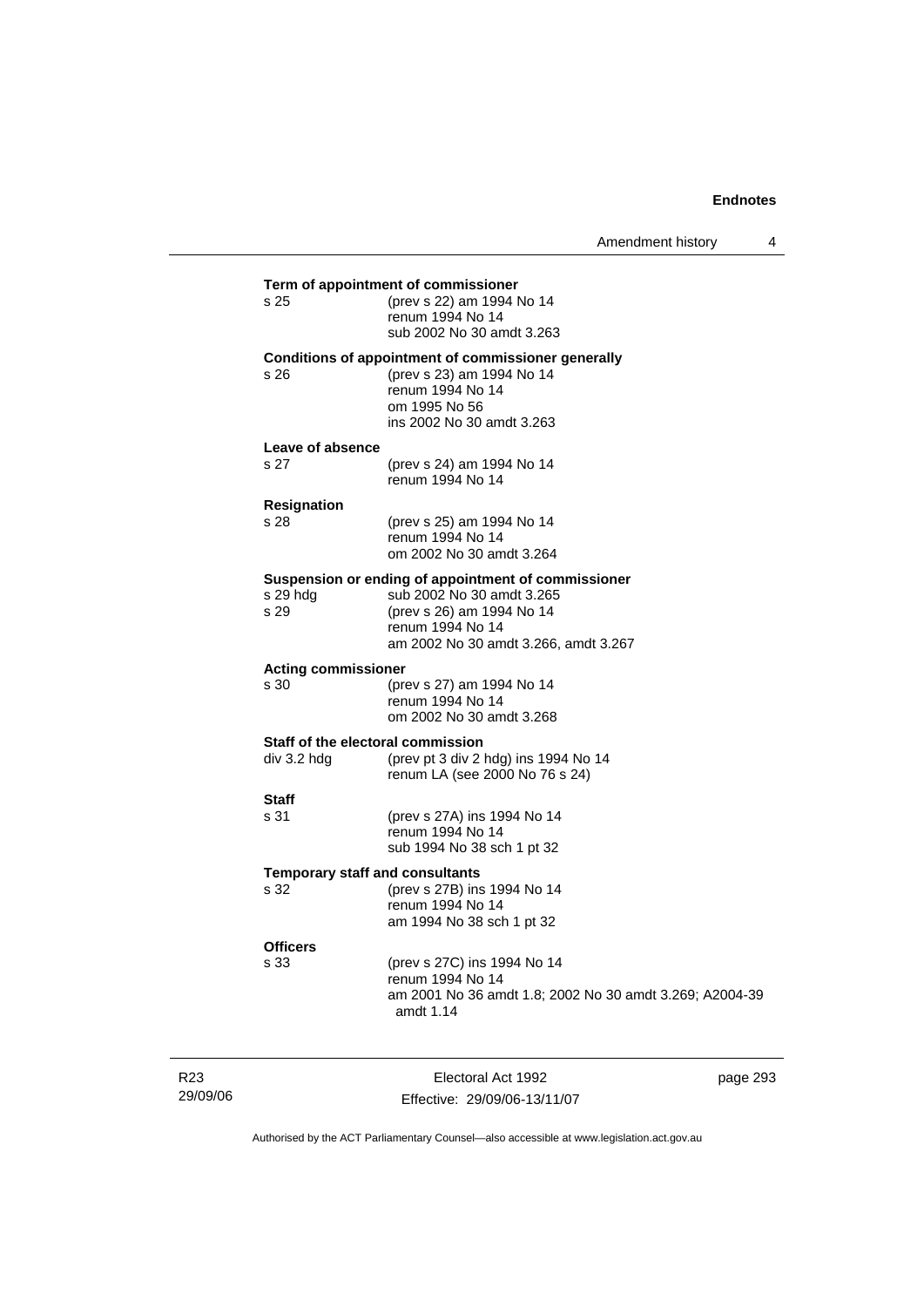| s 25                                             | Term of appointment of commissioner<br>(prev s 22) am 1994 No 14                                                                                                          |
|--------------------------------------------------|---------------------------------------------------------------------------------------------------------------------------------------------------------------------------|
|                                                  | renum 1994 No 14<br>sub 2002 No 30 amdt 3.263                                                                                                                             |
| s 26                                             | Conditions of appointment of commissioner generally<br>(prev s 23) am 1994 No 14<br>renum 1994 No 14<br>om 1995 No 56<br>ins 2002 No 30 amdt 3.263                        |
| Leave of absence<br>s 27                         | (prev s 24) am 1994 No 14<br>renum 1994 No 14                                                                                                                             |
| Resignation<br>s 28                              | (prev s 25) am 1994 No 14<br>renum 1994 No 14<br>om 2002 No 30 amdt 3.264                                                                                                 |
| s 29 hdg<br>s 29                                 | Suspension or ending of appointment of commissioner<br>sub 2002 No 30 amdt 3.265<br>(prev s 26) am 1994 No 14<br>renum 1994 No 14<br>am 2002 No 30 amdt 3.266, amdt 3.267 |
| <b>Acting commissioner</b><br>s 30               | (prev s 27) am 1994 No 14<br>renum 1994 No 14<br>om 2002 No 30 amdt 3.268                                                                                                 |
| Staff of the electoral commission<br>div 3.2 hdg | (prev pt 3 div 2 hdg) ins 1994 No 14<br>renum LA (see 2000 No 76 s 24)                                                                                                    |
| Staff<br>s 31                                    | (prev s 27A) ins 1994 No 14<br>renum 1994 No 14<br>sub 1994 No 38 sch 1 pt 32                                                                                             |
| <b>Temporary staff and consultants</b><br>s 32   | (prev s 27B) ins 1994 No 14<br>renum 1994 No 14<br>am 1994 No 38 sch 1 pt 32                                                                                              |
| <b>Officers</b><br>s 33                          | (prev s 27C) ins 1994 No 14<br>renum 1994 No 14<br>am 2001 No 36 amdt 1.8; 2002 No 30 amdt 3.269; A2004-39<br>amdt $1.14$                                                 |

R23 29/09/06

Electoral Act 1992 Effective: 29/09/06-13/11/07 page 293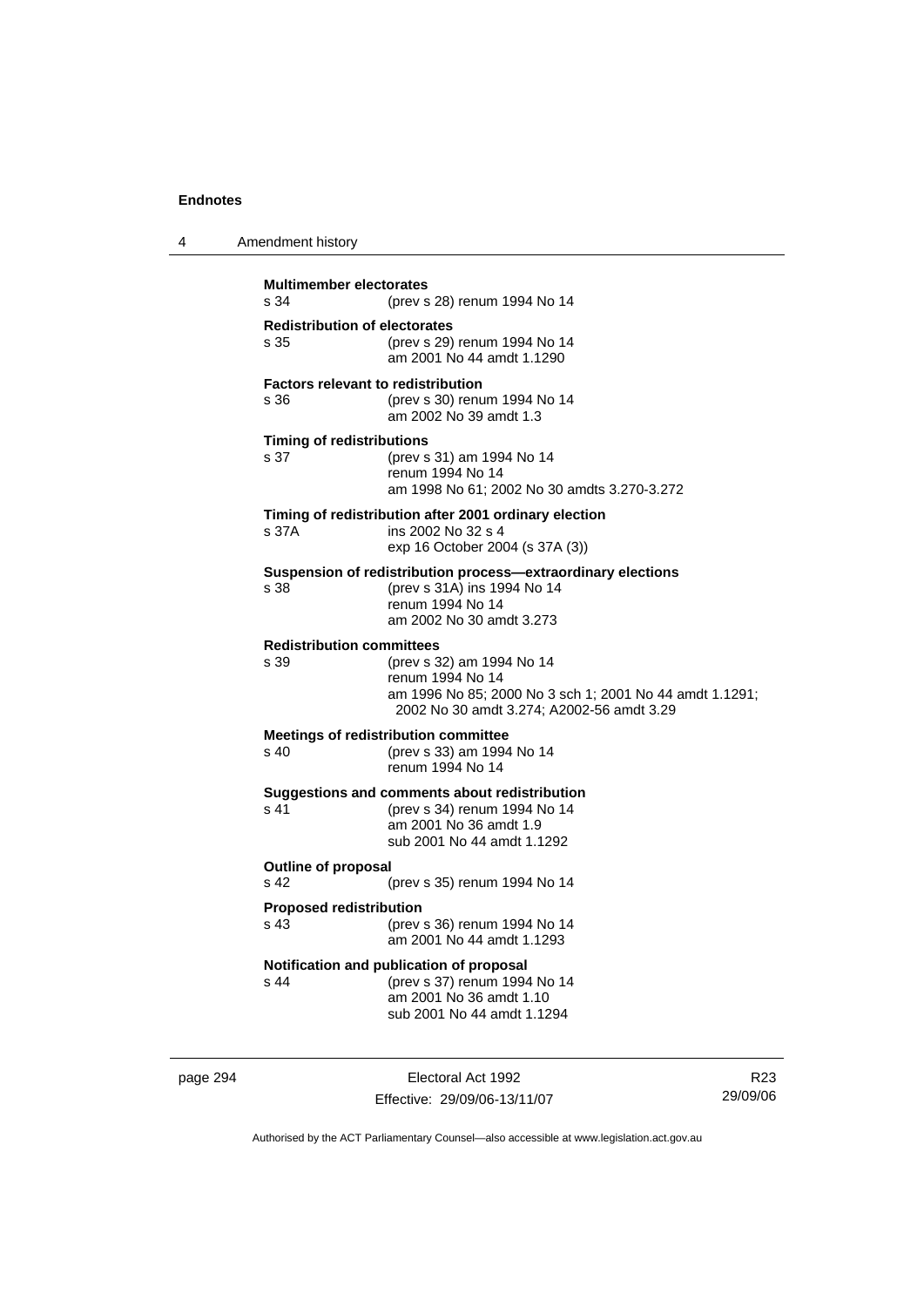| 4 | Amendment history                                 |                                                                                                                                                       |
|---|---------------------------------------------------|-------------------------------------------------------------------------------------------------------------------------------------------------------|
|   | <b>Multimember electorates</b><br>s.34            | (prev s 28) renum 1994 No 14                                                                                                                          |
|   | <b>Redistribution of electorates</b><br>s 35      | (prev s 29) renum 1994 No 14<br>am 2001 No 44 amdt 1.1290                                                                                             |
|   | <b>Factors relevant to redistribution</b><br>s 36 | (prev s 30) renum 1994 No 14<br>am 2002 No 39 amdt 1.3                                                                                                |
|   | <b>Timing of redistributions</b><br>s 37          | (prev s 31) am 1994 No 14<br>renum 1994 No 14<br>am 1998 No 61; 2002 No 30 amdts 3.270-3.272                                                          |
|   | s 37A                                             | Timing of redistribution after 2001 ordinary election<br>ins 2002 No 32 s 4<br>exp 16 October 2004 (s 37A (3))                                        |
|   | s.38                                              | Suspension of redistribution process—extraordinary elections<br>(prev s 31A) ins 1994 No 14<br>renum 1994 No 14<br>am 2002 No 30 amdt 3.273           |
|   | <b>Redistribution committees</b><br>s 39          | (prev s 32) am 1994 No 14<br>renum 1994 No 14<br>am 1996 No 85; 2000 No 3 sch 1; 2001 No 44 amdt 1.1291;<br>2002 No 30 amdt 3.274; A2002-56 amdt 3.29 |
|   | s 40                                              | <b>Meetings of redistribution committee</b><br>(prev s 33) am 1994 No 14<br>renum 1994 No 14                                                          |
|   | s 41                                              | Suggestions and comments about redistribution<br>(prev s 34) renum 1994 No 14<br>am 2001 No 36 amdt 1.9<br>sub 2001 No 44 amdt 1.1292                 |
|   | <b>Outline of proposal</b><br>s 42                | (prev s 35) renum 1994 No 14                                                                                                                          |
|   | <b>Proposed redistribution</b><br>s 43            | (prev s 36) renum 1994 No 14<br>am 2001 No 44 amdt 1.1293                                                                                             |
|   | s 44                                              | Notification and publication of proposal<br>(prev s 37) renum 1994 No 14<br>am 2001 No 36 amdt 1.10<br>sub 2001 No 44 amdt 1.1294                     |

page 294 Electoral Act 1992 Effective: 29/09/06-13/11/07

R23 29/09/06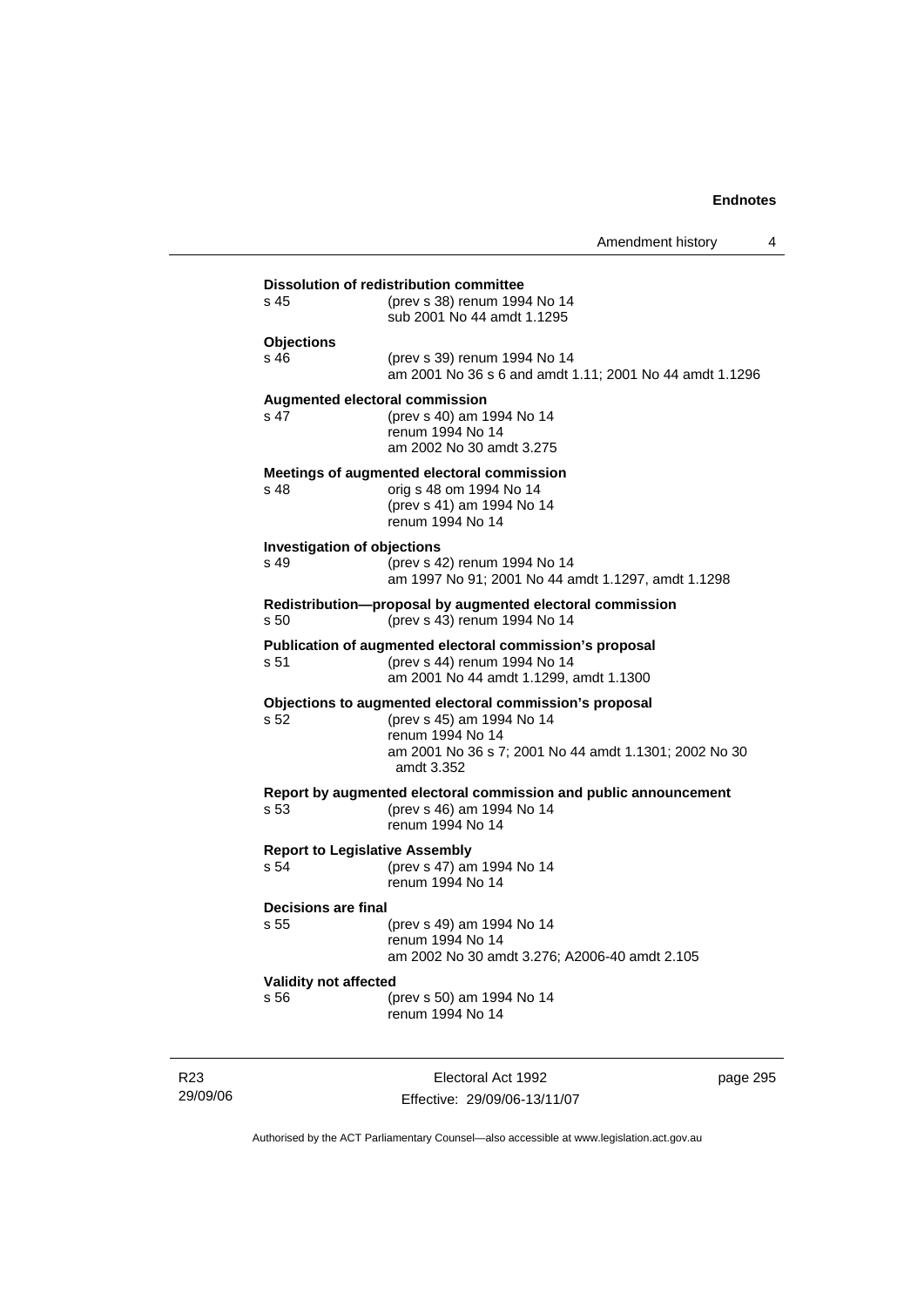|                                    | Amendment history                                                                                                  |
|------------------------------------|--------------------------------------------------------------------------------------------------------------------|
|                                    | <b>Dissolution of redistribution committee</b>                                                                     |
| s 45                               | (prev s 38) renum 1994 No 14<br>sub 2001 No 44 amdt 1.1295                                                         |
| <b>Objections</b>                  |                                                                                                                    |
| s 46                               | (prev s 39) renum 1994 No 14<br>am 2001 No 36 s 6 and amdt 1.11; 2001 No 44 amdt 1.1296                            |
| s 47                               | <b>Augmented electoral commission</b><br>(prev s 40) am 1994 No 14<br>renum 1994 No 14<br>am 2002 No 30 amdt 3.275 |
|                                    | Meetings of augmented electoral commission                                                                         |
| s 48                               | orig s 48 om 1994 No 14                                                                                            |
|                                    | (prev s 41) am 1994 No 14<br>renum 1994 No 14                                                                      |
| <b>Investigation of objections</b> |                                                                                                                    |
| s 49                               | (prev s 42) renum 1994 No 14<br>am 1997 No 91; 2001 No 44 amdt 1.1297, amdt 1.1298                                 |
|                                    |                                                                                                                    |
| s 50                               | Redistribution-proposal by augmented electoral commission<br>(prev s 43) renum 1994 No 14                          |
|                                    | Publication of augmented electoral commission's proposal                                                           |
| s 51                               | (prev s 44) renum 1994 No 14<br>am 2001 No 44 amdt 1.1299, amdt 1.1300                                             |
|                                    | Objections to augmented electoral commission's proposal                                                            |
| s 52                               | (prev s 45) am 1994 No 14<br>renum 1994 No 14                                                                      |
|                                    | am 2001 No 36 s 7; 2001 No 44 amdt 1.1301; 2002 No 30<br>amdt 3.352                                                |
|                                    | Report by augmented electoral commission and public announcement                                                   |
| s 53                               | (prev s 46) am 1994 No 14<br>renum 1994 No 14                                                                      |
|                                    | <b>Report to Legislative Assembly</b>                                                                              |
| s 54                               | (prev s 47) am 1994 No 14<br>renum 1994 No 14                                                                      |
| Decisions are final                |                                                                                                                    |
| s 55                               | (prev s 49) am 1994 No 14                                                                                          |
|                                    | renum 1994 No 14<br>am 2002 No 30 amdt 3.276; A2006-40 amdt 2.105                                                  |
| Validity not affected              |                                                                                                                    |
|                                    | (prev s 50) am 1994 No 14                                                                                          |

R23 29/09/06

Electoral Act 1992 Effective: 29/09/06-13/11/07 page 295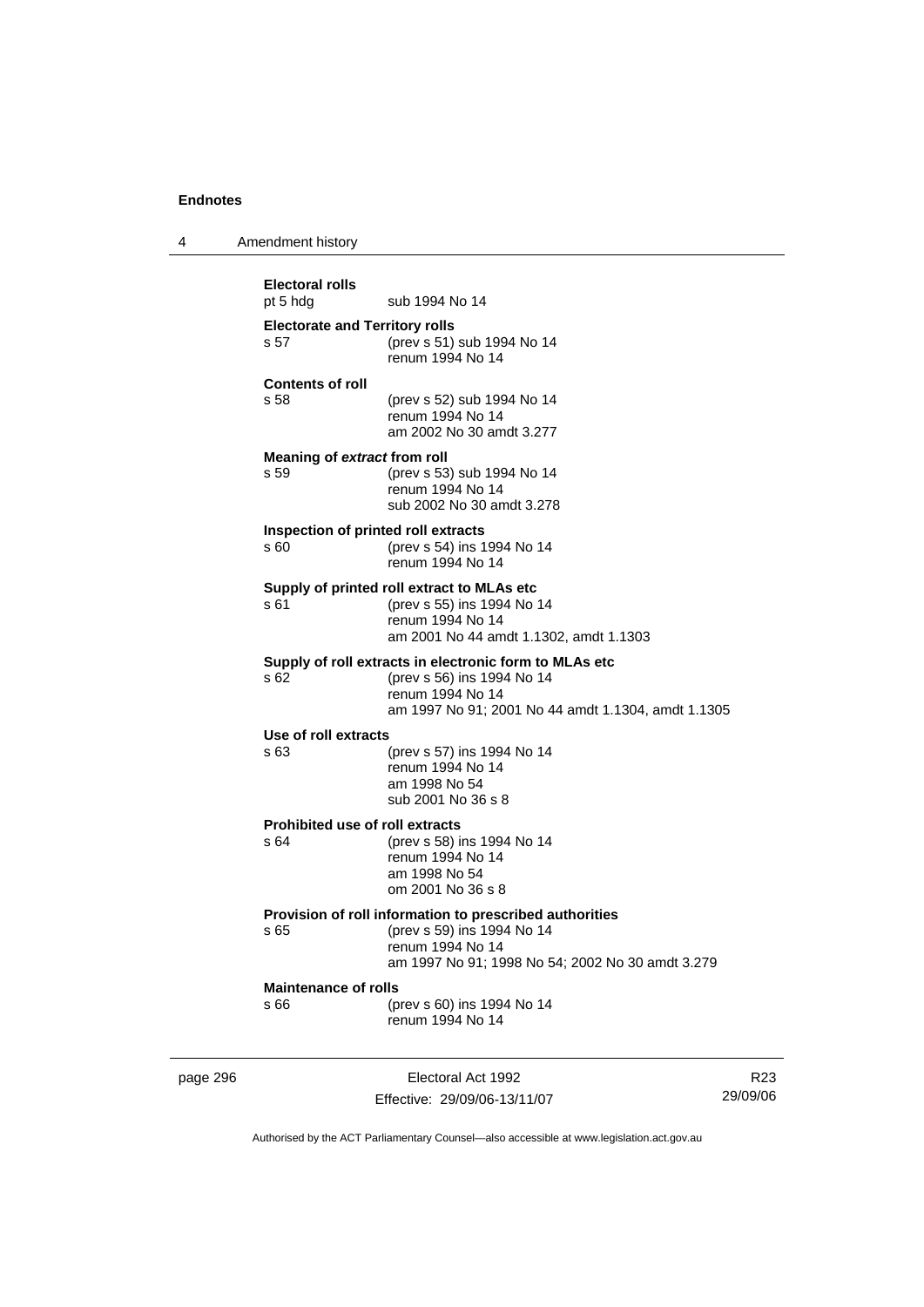4 Amendment history

page 296 **Electoral Act 1992 Electoral rolls**  pt 5 hdg sub 1994 No 14 **Electorate and Territory rolls**  s 57 (prev s 51) sub 1994 No 14 renum 1994 No 14 **Contents of roll**  s 58 (prev s 52) sub 1994 No 14 renum 1994 No 14 am 2002 No 30 amdt 3.277 **Meaning of** *extract* **from roll**  s 59 (prev s 53) sub 1994 No 14 renum 1994 No 14 sub 2002 No 30 amdt 3.278 **Inspection of printed roll extracts**  s 60 (prev s 54) ins 1994 No 14 renum 1994 No 14 **Supply of printed roll extract to MLAs etc**  s 61 (prev s 55) ins 1994 No 14 renum 1994 No 14 am 2001 No 44 amdt 1.1302, amdt 1.1303 **Supply of roll extracts in electronic form to MLAs etc**  s 62 (prev s 56) ins 1994 No 14 renum 1994 No 14 am 1997 No 91; 2001 No 44 amdt 1.1304, amdt 1.1305 **Use of roll extracts**  s 63 (prev s 57) ins 1994 No 14 renum 1994 No 14 am 1998 No 54 sub 2001 No 36 s 8 **Prohibited use of roll extracts**<br>  $\frac{64}{200}$  (prev s 58) is (prev s 58) ins 1994 No 14 renum 1994 No 14 am 1998 No 54 om 2001 No 36 s 8 **Provision of roll information to prescribed authorities**  s 65 (prev s 59) ins 1994 No 14 renum 1994 No 14 am 1997 No 91; 1998 No 54; 2002 No 30 amdt 3.279 **Maintenance of rolls**  s 66 (prev s 60) ins 1994 No 14 renum 1994 No 14

Effective: 29/09/06-13/11/07

R23 29/09/06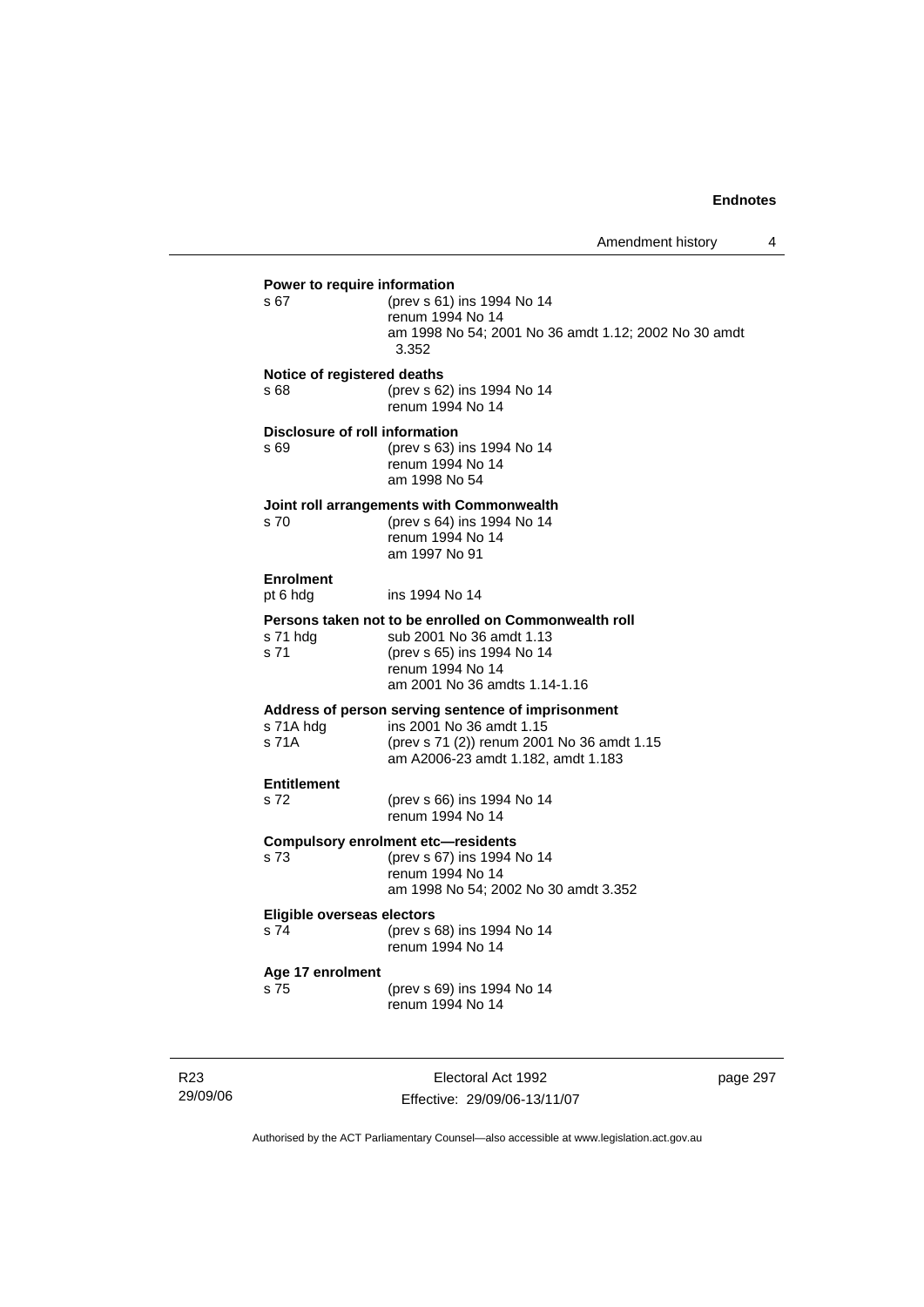| s 67                                | (prev s 61) ins 1994 No 14<br>renum 1994 No 14<br>am 1998 No 54; 2001 No 36 amdt 1.12; 2002 No 30 amdt<br>3.352                                                      |
|-------------------------------------|----------------------------------------------------------------------------------------------------------------------------------------------------------------------|
| Notice of registered deaths<br>s 68 | (prev s 62) ins 1994 No 14<br>renum 1994 No 14                                                                                                                       |
| s 69                                | <b>Disclosure of roll information</b><br>(prev s 63) ins 1994 No 14<br>renum 1994 No 14<br>am 1998 No 54                                                             |
| s 70                                | Joint roll arrangements with Commonwealth<br>(prev s 64) ins 1994 No 14<br>renum 1994 No 14<br>am 1997 No 91                                                         |
| <b>Enrolment</b><br>pt 6 hdg        | ins 1994 No 14                                                                                                                                                       |
| s 71 hdg<br>s 71                    | Persons taken not to be enrolled on Commonwealth roll<br>sub 2001 No 36 amdt 1.13<br>(prev s 65) ins 1994 No 14<br>renum 1994 No 14<br>am 2001 No 36 amdts 1.14-1.16 |
| s 71A hdg<br>s 71A                  | Address of person serving sentence of imprisonment<br>ins 2001 No 36 amdt 1.15<br>(prev s 71 (2)) renum 2001 No 36 amdt 1.15<br>am A2006-23 amdt 1.182, amdt 1.183   |
| <b>Entitlement</b><br>s 72          | (prev s 66) ins 1994 No 14<br>renum 1994 No 14                                                                                                                       |
| s 73                                | <b>Compulsory enrolment etc-residents</b><br>(prev s 67) ins 1994 No 14<br>renum 1994 No 14<br>am 1998 No 54; 2002 No 30 amdt 3.352                                  |
| Eligible overseas electors<br>s 74  | (prev s 68) ins 1994 No 14<br>renum 1994 No 14                                                                                                                       |
| Age 17 enrolment<br>s 75            | (prev s 69) ins 1994 No 14<br>renum 1994 No 14                                                                                                                       |

R23 29/09/06

Electoral Act 1992 Effective: 29/09/06-13/11/07 page 297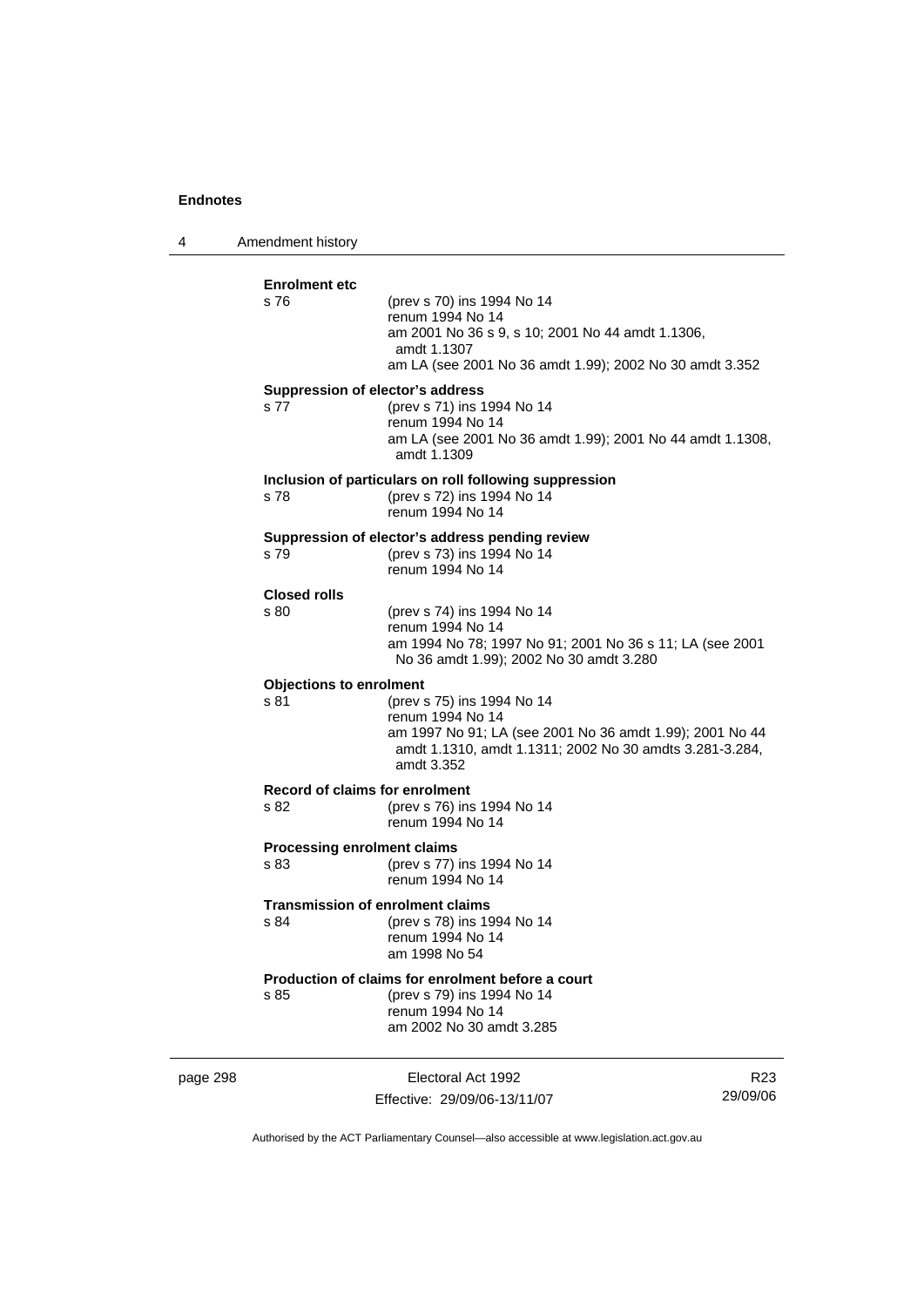4 Amendment history **Enrolment etc**  s 76 (prev s 70) ins 1994 No 14 renum 1994 No 14 am 2001 No 36 s 9, s 10; 2001 No 44 amdt 1.1306, amdt 1.1307 am LA (see 2001 No 36 amdt 1.99); 2002 No 30 amdt 3.352 **Suppression of elector's address**  s 77 (prev s 71) ins 1994 No 14 renum 1994 No 14 am LA (see 2001 No 36 amdt 1.99); 2001 No 44 amdt 1.1308, amdt 1.1309 **Inclusion of particulars on roll following suppression**  s 78 (prev s 72) ins 1994 No 14 renum 1994 No 14 **Suppression of elector's address pending review**  s 79 (prev s 73) ins 1994 No 14 renum 1994 No 14 **Closed rolls**  s 80 (prev s 74) ins 1994 No 14 renum 1994 No 14 am 1994 No 78; 1997 No 91; 2001 No 36 s 11; LA (see 2001 No 36 amdt 1.99); 2002 No 30 amdt 3.280 **Objections to enrolment**  s 81 (prev s 75) ins 1994 No 14 renum 1994 No 14 am 1997 No 91; LA (see 2001 No 36 amdt 1.99); 2001 No 44 amdt 1.1310, amdt 1.1311; 2002 No 30 amdts 3.281-3.284, amdt 3.352 **Record of claims for enrolment**  (prev s 76) ins 1994 No 14 renum 1994 No 14 **Processing enrolment claims**  s 83 (prev s 77) ins 1994 No 14 renum 1994 No 14 **Transmission of enrolment claims**  s 84 (prev s 78) ins 1994 No 14 renum 1994 No 14 am 1998 No 54 **Production of claims for enrolment before a court**<br>s 85 (prev s 79) ins 1994 No 14 (prev s 79) ins 1994 No 14 renum 1994 No 14 am 2002 No 30 amdt 3.285

page 298 Electoral Act 1992 Effective: 29/09/06-13/11/07

R23 29/09/06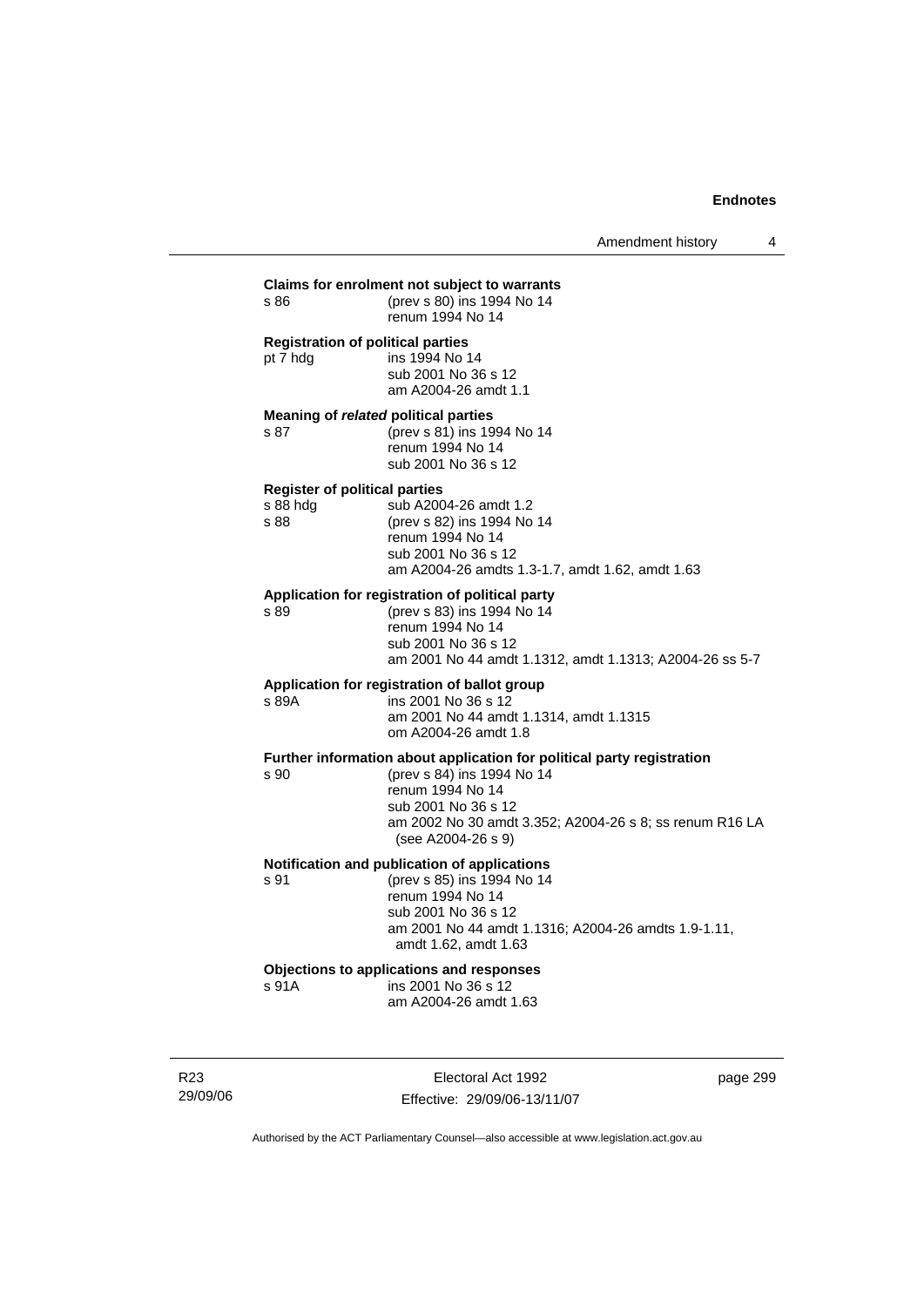| s 86                                                     | Claims for enrolment not subject to warrants<br>(prev s 80) ins 1994 No 14<br>renum 1994 No 14                                                                                                                                   |
|----------------------------------------------------------|----------------------------------------------------------------------------------------------------------------------------------------------------------------------------------------------------------------------------------|
| pt 7 hdg                                                 | <b>Registration of political parties</b><br>ins 1994 No 14<br>sub 2001 No 36 s 12<br>am A2004-26 amdt 1.1                                                                                                                        |
| s 87                                                     | Meaning of related political parties<br>(prev s 81) ins 1994 No 14<br>renum 1994 No 14<br>sub 2001 No 36 s 12                                                                                                                    |
| <b>Register of political parties</b><br>s 88 hdg<br>s 88 | sub A2004-26 amdt 1.2<br>(prev s 82) ins 1994 No 14<br>renum 1994 No 14<br>sub 2001 No 36 s 12<br>am A2004-26 amdts 1.3-1.7, amdt 1.62, amdt 1.63                                                                                |
| s 89                                                     | Application for registration of political party<br>(prev s 83) ins 1994 No 14<br>renum 1994 No 14<br>sub 2001 No 36 s 12<br>am 2001 No 44 amdt 1.1312, amdt 1.1313; A2004-26 ss 5-7                                              |
| s 89A                                                    | Application for registration of ballot group<br>ins 2001 No 36 s 12<br>am 2001 No 44 amdt 1.1314, amdt 1.1315<br>om A2004-26 amdt 1.8                                                                                            |
| s 90                                                     | Further information about application for political party registration<br>(prev s 84) ins 1994 No 14<br>renum 1994 No 14<br>sub 2001 No 36 s 12<br>am 2002 No 30 amdt 3.352; A2004-26 s 8; ss renum R16 LA<br>(see A2004-26 s 9) |
| s 91                                                     | Notification and publication of applications<br>(prev s 85) ins 1994 No 14<br>renum 1994 No 14<br>sub 2001 No 36 s 12<br>am 2001 No 44 amdt 1.1316; A2004-26 amdts 1.9-1.11,<br>amdt 1.62, amdt 1.63                             |
| s 91A                                                    | Objections to applications and responses<br>ins 2001 No 36 s 12<br>am A2004-26 amdt 1.63                                                                                                                                         |

R23 29/09/06

Electoral Act 1992 Effective: 29/09/06-13/11/07 page 299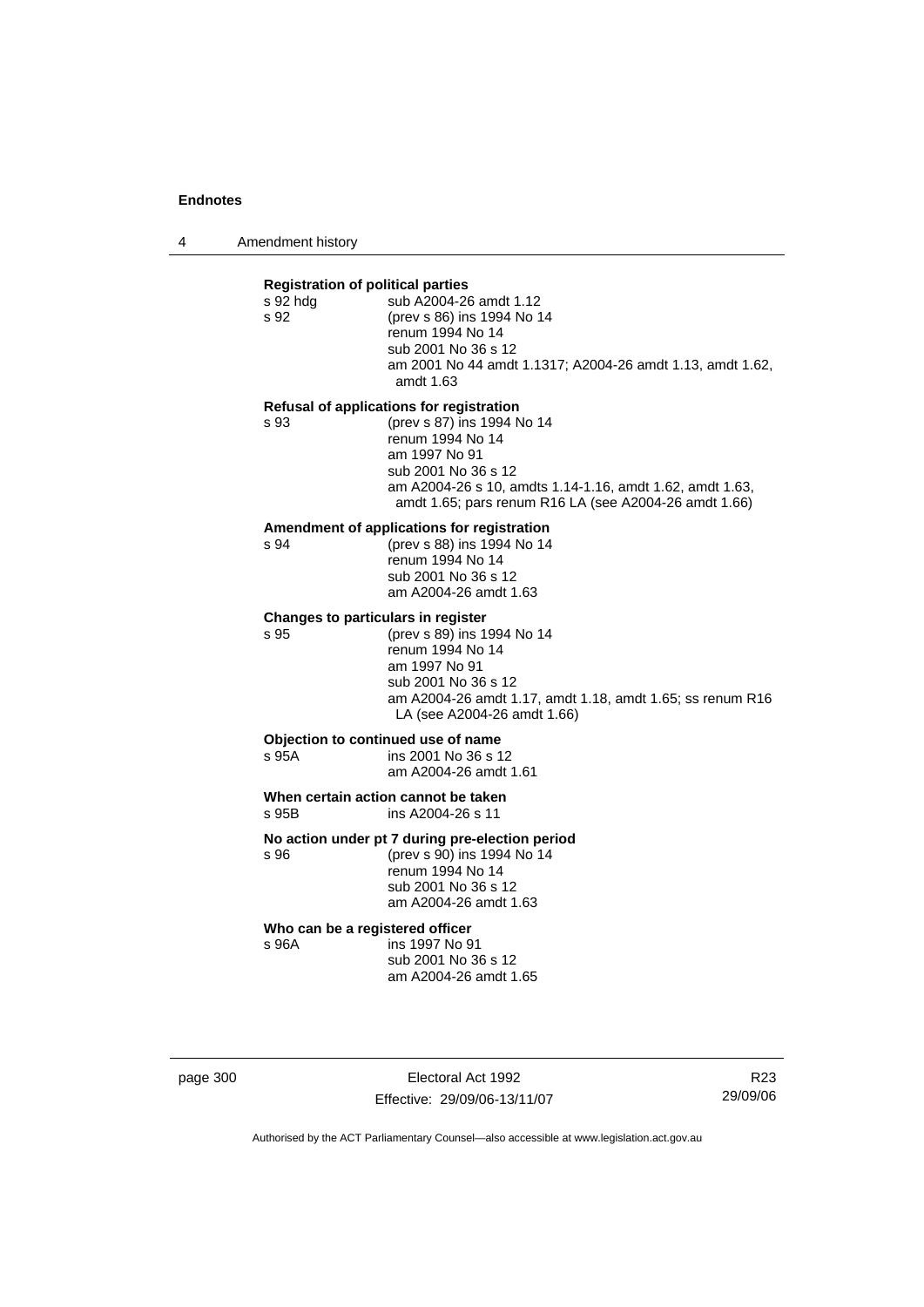4 Amendment history

| s 92 hdg<br>s 92 | <b>Registration of political parties</b><br>sub A2004-26 amdt 1.12<br>(prev s 86) ins 1994 No 14<br>renum 1994 No 14<br>sub 2001 No 36 s 12<br>am 2001 No 44 amdt 1.1317; A2004-26 amdt 1.13, amdt 1.62,<br>amdt 1.63 |
|------------------|-----------------------------------------------------------------------------------------------------------------------------------------------------------------------------------------------------------------------|
|                  | Refusal of applications for registration                                                                                                                                                                              |
| s 93             | (prev s 87) ins 1994 No 14<br>renum 1994 No 14<br>am 1997 No 91<br>sub 2001 No 36 s 12<br>am A2004-26 s 10, amdts 1.14-1.16, amdt 1.62, amdt 1.63,<br>amdt 1.65; pars renum R16 LA (see A2004-26 amdt 1.66)           |
| s 94             | Amendment of applications for registration<br>(prev s 88) ins 1994 No 14<br>renum 1994 No 14<br>sub 2001 No 36 s 12<br>am A2004-26 amdt 1.63                                                                          |
|                  | Changes to particulars in register                                                                                                                                                                                    |
| s 95             | (prev s 89) ins 1994 No 14<br>renum 1994 No 14<br>am 1997 No 91<br>sub 2001 No 36 s 12<br>am A2004-26 amdt 1.17, amdt 1.18, amdt 1.65; ss renum R16<br>LA (see A2004-26 amdt 1.66)                                    |
| s 95A            | Objection to continued use of name<br>ins 2001 No 36 s 12<br>am A2004-26 amdt 1.61                                                                                                                                    |
| s 95B            | When certain action cannot be taken<br>ins A2004-26 s 11                                                                                                                                                              |
| s 96             | No action under pt 7 during pre-election period<br>(prev s 90) ins 1994 No 14<br>renum 1994 No 14<br>sub 2001 No 36 s 12<br>am A2004-26 amdt 1.63                                                                     |

#### **Who can be a registered officer**

s 96A ins 1997 No 91 sub 2001 No 36 s 12 am A2004-26 amdt 1.65

page 300 Electoral Act 1992 Effective: 29/09/06-13/11/07

R23 29/09/06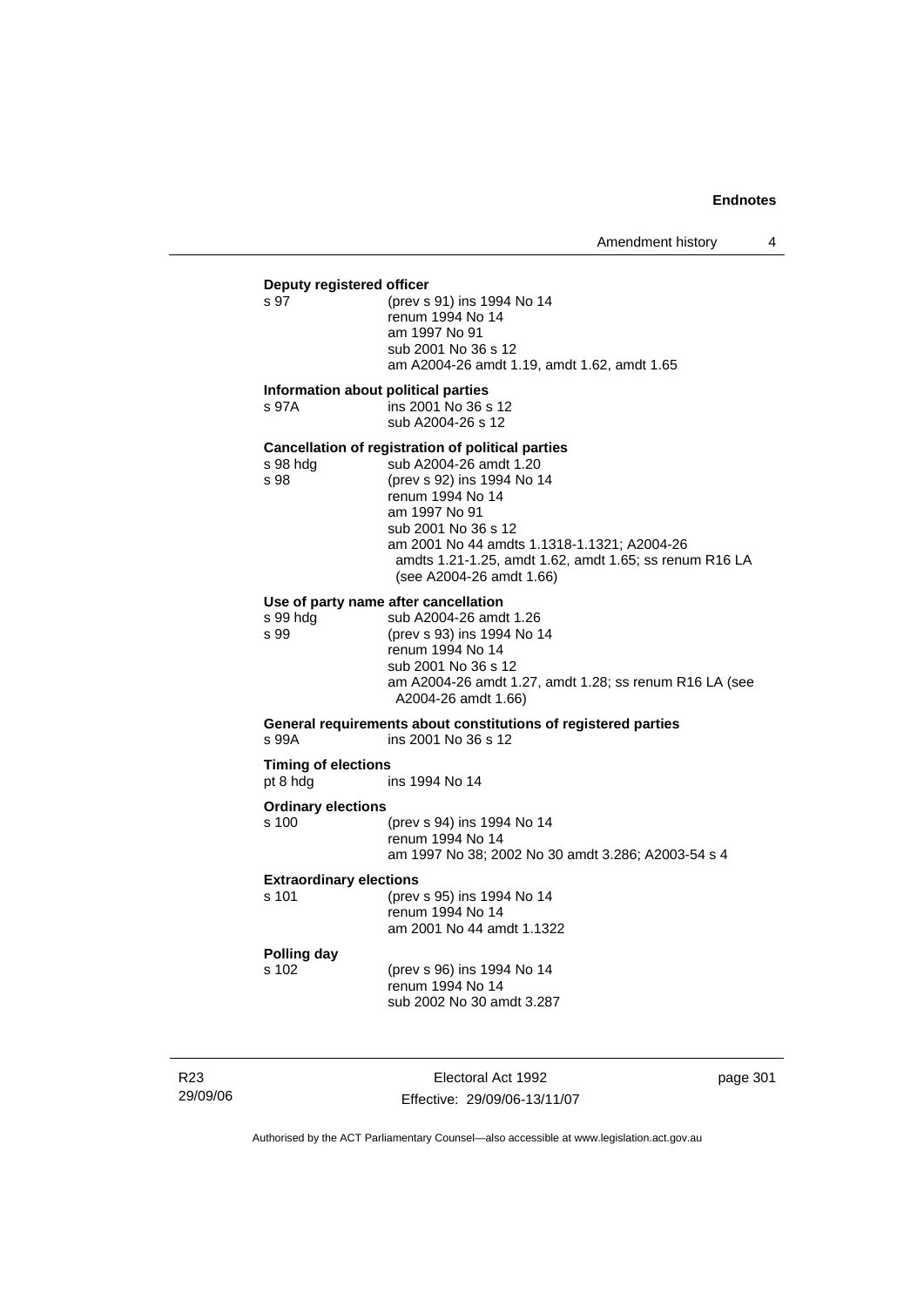# **Deputy registered officer**<br>s 97 (prev s

(prev s 91) ins 1994 No 14 renum 1994 No 14 am 1997 No 91 sub 2001 No 36 s 12 am A2004-26 amdt 1.19, amdt 1.62, amdt 1.65

#### **Information about political parties**

s 97A ins 2001 No 36 s 12 sub A2004-26 s 12

**Cancellation of registration of political parties**  s 98 hdg sub A2004-26 amdt 1.20<br>s 98 (prev s 92) ins 1994 No 1 (prev s 92) ins 1994 No 14 renum 1994 No 14 am 1997 No 91 sub 2001 No 36 s 12 am 2001 No 44 amdts 1.1318-1.1321; A2004-26 amdts 1.21-1.25, amdt 1.62, amdt 1.65; ss renum R16 LA (see A2004-26 amdt 1.66)

#### **Use of party name after cancellation**

s 99 hdg sub A2004-26 amdt 1.26<br>s 99 (prev s 93) ins 1994 No 1 (prev s 93) ins 1994 No 14 renum 1994 No 14 sub 2001 No 36 s 12 am A2004-26 amdt 1.27, amdt 1.28; ss renum R16 LA (see A2004-26 amdt 1.66)

**General requirements about constitutions of registered parties**  s 99A ins 2001 No 36 s 12

**Timing of elections**  pt 8 hdg ins 1994 No 14

#### **Ordinary elections**

| s 100 | (prev s 94) ins 1994 No 14                         |
|-------|----------------------------------------------------|
|       | renum 1994 No 14                                   |
|       | am 1997 No 38: 2002 No 30 amdt 3.286: A2003-54 s 4 |

#### **Extraordinary elections**

| s 101 | (prev s 95) ins 1994 No 14 |
|-------|----------------------------|
|       | renum 1994 No 14           |
|       | am 2001 No 44 amdt 1.1322  |

# **Polling day**

s 102 (prev s 96) ins 1994 No 14 renum 1994 No 14 sub 2002 No 30 amdt 3.287

R23 29/09/06

Electoral Act 1992 Effective: 29/09/06-13/11/07 page 301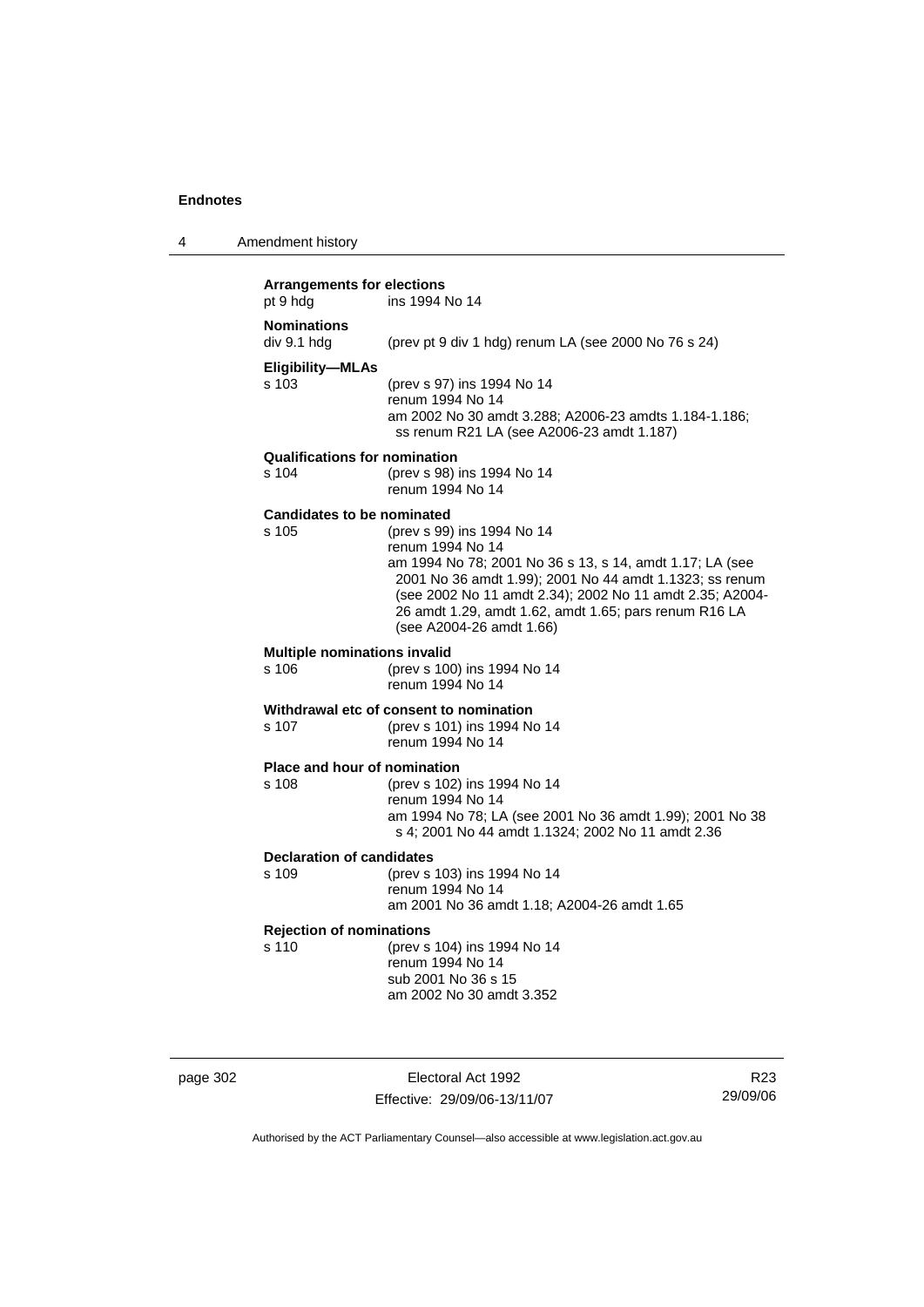4 Amendment history

| <b>Arrangements for elections</b><br>pt 9 hdg | ins 1994 No 14                                                                                                                                                                                                                                                                                                         |
|-----------------------------------------------|------------------------------------------------------------------------------------------------------------------------------------------------------------------------------------------------------------------------------------------------------------------------------------------------------------------------|
| <b>Nominations</b><br>div 9.1 hdg             | (prev pt 9 div 1 hdg) renum LA (see 2000 No 76 s 24)                                                                                                                                                                                                                                                                   |
| <b>Eligibility-MLAs</b><br>s 103              | (prev s 97) ins 1994 No 14<br>renum 1994 No 14<br>am 2002 No 30 amdt 3.288; A2006-23 amdts 1.184-1.186;<br>ss renum R21 LA (see A2006-23 amdt 1.187)                                                                                                                                                                   |
| <b>Qualifications for nomination</b><br>s 104 | (prev s 98) ins 1994 No 14<br>renum 1994 No 14                                                                                                                                                                                                                                                                         |
| <b>Candidates to be nominated</b><br>s 105    | (prev s 99) ins 1994 No 14<br>renum 1994 No 14<br>am 1994 No 78; 2001 No 36 s 13, s 14, amdt 1.17; LA (see<br>2001 No 36 amdt 1.99); 2001 No 44 amdt 1.1323; ss renum<br>(see 2002 No 11 amdt 2.34); 2002 No 11 amdt 2.35; A2004-<br>26 amdt 1.29, amdt 1.62, amdt 1.65; pars renum R16 LA<br>(see A2004-26 amdt 1.66) |
| <b>Multiple nominations invalid</b><br>s 106  | (prev s 100) ins 1994 No 14<br>renum 1994 No 14                                                                                                                                                                                                                                                                        |
| s 107                                         | Withdrawal etc of consent to nomination<br>(prev s 101) ins 1994 No 14<br>renum 1994 No 14                                                                                                                                                                                                                             |
| Place and hour of nomination<br>s 108         | (prev s 102) ins 1994 No 14<br>renum 1994 No 14<br>am 1994 No 78; LA (see 2001 No 36 amdt 1.99); 2001 No 38<br>s 4; 2001 No 44 amdt 1.1324; 2002 No 11 amdt 2.36                                                                                                                                                       |
| <b>Declaration of candidates</b><br>s 109     | (prev s 103) ins 1994 No 14<br>renum 1994 No 14<br>am 2001 No 36 amdt 1.18; A2004-26 amdt 1.65                                                                                                                                                                                                                         |
| <b>Rejection of nominations</b><br>s 110      | (prev s 104) ins 1994 No 14<br>renum 1994 No 14<br>sub 2001 No 36 s 15<br>am 2002 No 30 amdt 3.352                                                                                                                                                                                                                     |

page 302 Electoral Act 1992 Effective: 29/09/06-13/11/07

R23 29/09/06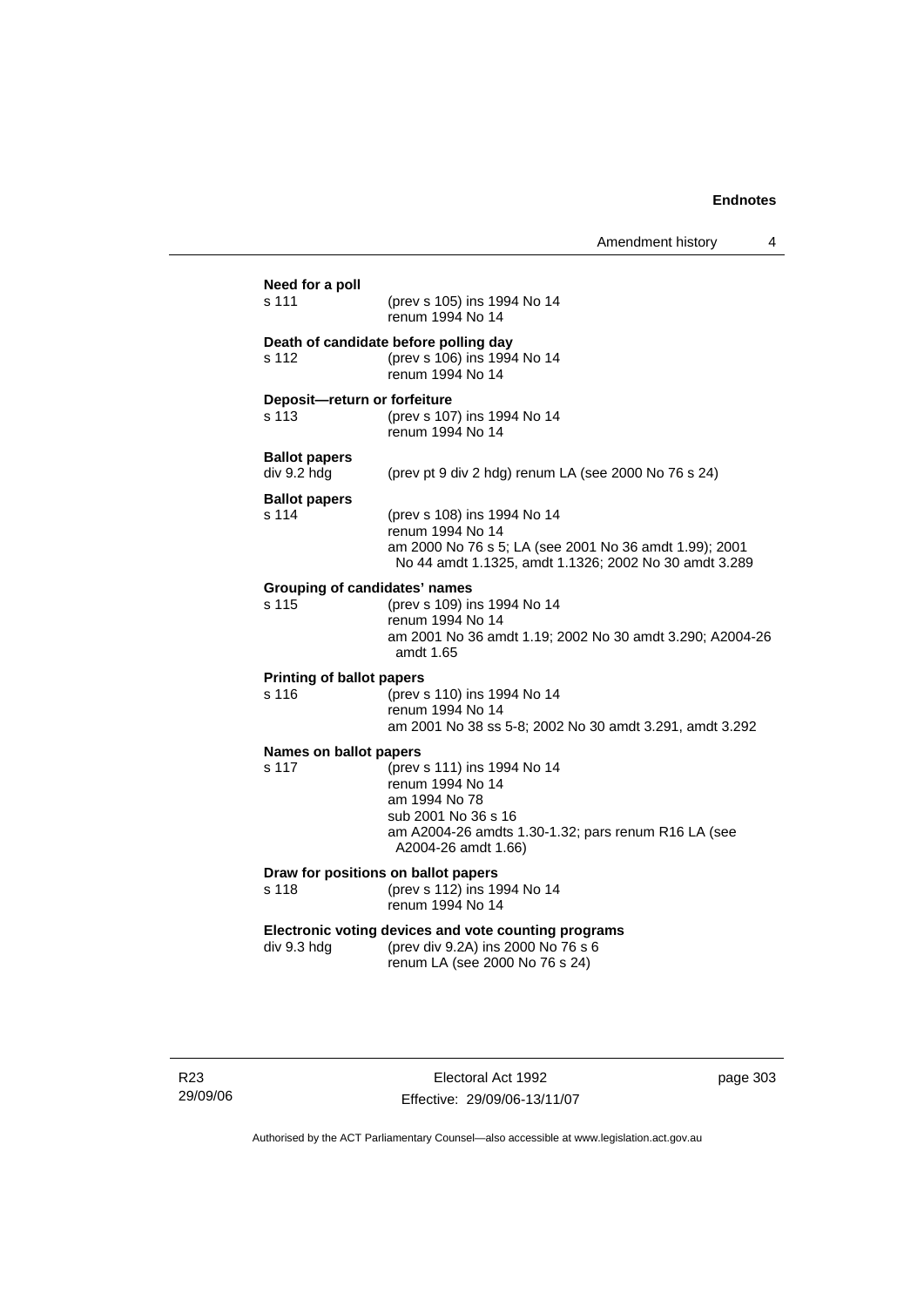| Need for a poll<br>s 111                  | (prev s 105) ins 1994 No 14<br>renum 1994 No 14                                                                                                                       |
|-------------------------------------------|-----------------------------------------------------------------------------------------------------------------------------------------------------------------------|
| s 112                                     | Death of candidate before polling day<br>(prev s 106) ins 1994 No 14<br>renum 1994 No 14                                                                              |
| Deposit-return or forfeiture<br>s 113     | (prev s 107) ins 1994 No 14<br>renum 1994 No 14                                                                                                                       |
| <b>Ballot papers</b><br>div 9.2 hdg       | (prev pt 9 div 2 hdg) renum LA (see 2000 No 76 s 24)                                                                                                                  |
| <b>Ballot papers</b><br>s 114             | (prev s 108) ins 1994 No 14<br>renum 1994 No 14<br>am 2000 No 76 s 5; LA (see 2001 No 36 amdt 1.99); 2001<br>No 44 amdt 1.1325, amdt 1.1326; 2002 No 30 amdt 3.289    |
| s 115                                     | <b>Grouping of candidates' names</b><br>(prev s 109) ins 1994 No 14<br>renum 1994 No 14<br>am 2001 No 36 amdt 1.19; 2002 No 30 amdt 3.290; A2004-26<br>amdt 1.65      |
| <b>Printing of ballot papers</b><br>s 116 | (prev s 110) ins 1994 No 14<br>renum 1994 No 14<br>am 2001 No 38 ss 5-8; 2002 No 30 amdt 3.291, amdt 3.292                                                            |
| Names on ballot papers<br>s 117           | (prev s 111) ins 1994 No 14<br>renum 1994 No 14<br>am 1994 No 78<br>sub 2001 No 36 s 16<br>am A2004-26 amdts 1.30-1.32; pars renum R16 LA (see<br>A2004-26 amdt 1.66) |
| s 118                                     | Draw for positions on ballot papers<br>(prev s 112) ins 1994 No 14<br>renum 1994 No 14                                                                                |
|                                           |                                                                                                                                                                       |

Electoral Act 1992 Effective: 29/09/06-13/11/07 page 303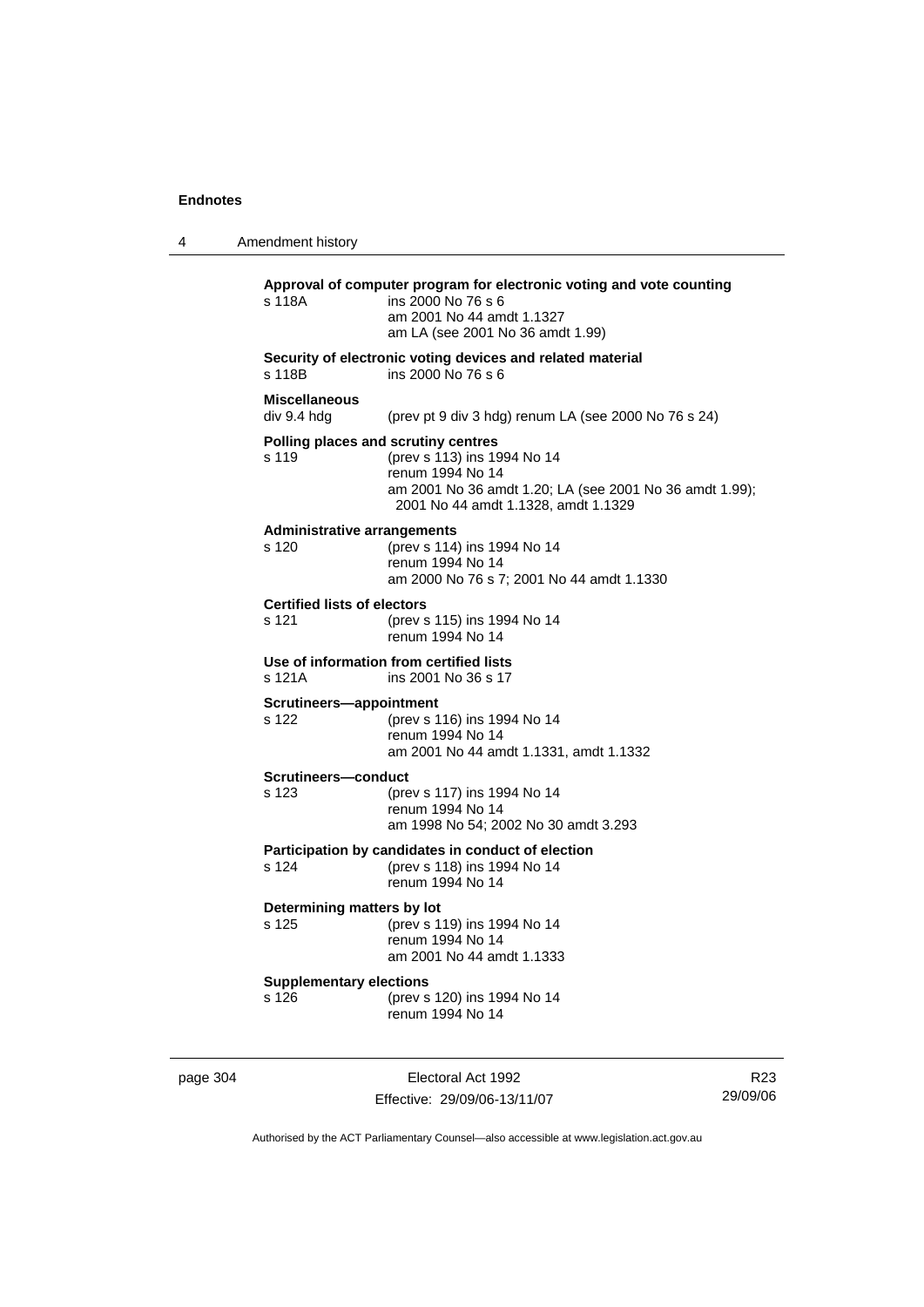| 4 | Amendment history                           |                                                                                                                                                                                          |
|---|---------------------------------------------|------------------------------------------------------------------------------------------------------------------------------------------------------------------------------------------|
|   | s 118A                                      | Approval of computer program for electronic voting and vote counting<br>ins 2000 No 76 s 6<br>am 2001 No 44 amdt 1.1327<br>am LA (see 2001 No 36 amdt 1.99)                              |
|   | s 118B                                      | Security of electronic voting devices and related material<br>ins 2000 No 76 s 6                                                                                                         |
|   | <b>Miscellaneous</b><br>div 9.4 hdg         | (prev pt 9 div 3 hdg) renum LA (see 2000 No 76 s 24)                                                                                                                                     |
|   | s 119                                       | Polling places and scrutiny centres<br>(prev s 113) ins 1994 No 14<br>renum 1994 No 14<br>am 2001 No 36 amdt 1.20; LA (see 2001 No 36 amdt 1.99);<br>2001 No 44 amdt 1.1328, amdt 1.1329 |
|   | <b>Administrative arrangements</b><br>s 120 | (prev s 114) ins 1994 No 14<br>renum 1994 No 14<br>am 2000 No 76 s 7; 2001 No 44 amdt 1.1330                                                                                             |
|   | <b>Certified lists of electors</b><br>s 121 | (prev s 115) ins 1994 No 14<br>renum 1994 No 14                                                                                                                                          |
|   | s 121A                                      | Use of information from certified lists<br>ins 2001 No 36 s 17                                                                                                                           |
|   | Scrutineers-appointment<br>s 122            | (prev s 116) ins 1994 No 14<br>renum 1994 No 14<br>am 2001 No 44 amdt 1.1331, amdt 1.1332                                                                                                |
|   | <b>Scrutineers—conduct</b><br>s 123         | (prev s 117) ins 1994 No 14<br>renum 1994 No 14<br>am 1998 No 54; 2002 No 30 amdt 3.293                                                                                                  |
|   | s 124                                       | Participation by candidates in conduct of election<br>(prev s 118) ins 1994 No 14<br>renum 1994 No 14                                                                                    |
|   | Determining matters by lot<br>s 125         | (prev s 119) ins 1994 No 14<br>renum 1994 No 14<br>am 2001 No 44 amdt 1.1333                                                                                                             |
|   | <b>Supplementary elections</b><br>s 126     | (prev s 120) ins 1994 No 14<br>renum 1994 No 14                                                                                                                                          |
|   |                                             |                                                                                                                                                                                          |

page 304 Electoral Act 1992 Effective: 29/09/06-13/11/07

R23 29/09/06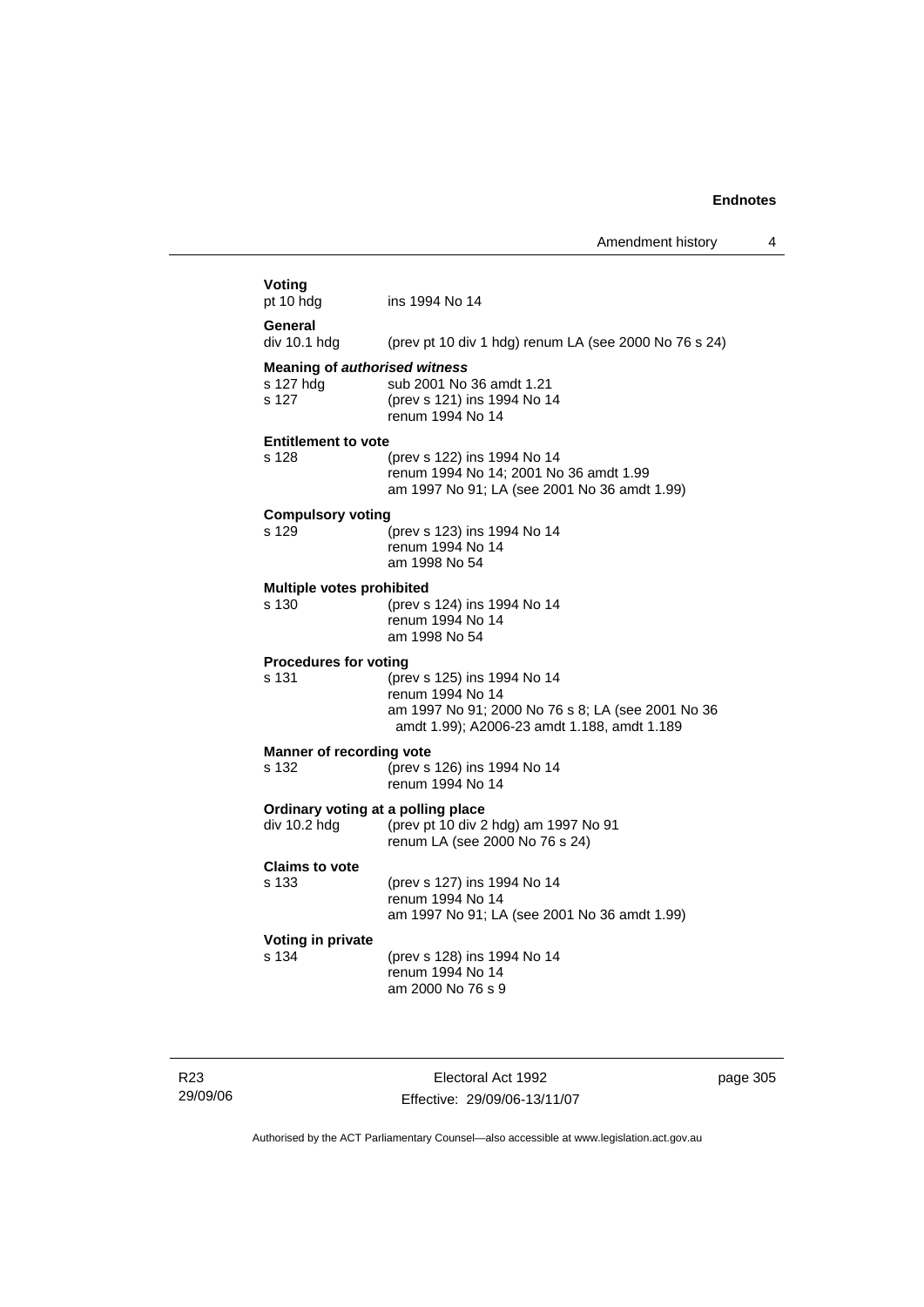| Voting<br>pt 10 hdg<br>ins 1994 No 14<br>General<br>div 10.1 hdg<br>(prev pt 10 div 1 hdg) renum LA (see 2000 No 76 s 24)<br><b>Meaning of authorised witness</b><br>s 127 hdg<br>sub 2001 No 36 amdt 1.21<br>s 127<br>(prev s 121) ins 1994 No 14<br>renum 1994 No 14<br><b>Entitlement to vote</b><br>s 128<br>(prev s 122) ins 1994 No 14<br>renum 1994 No 14; 2001 No 36 amdt 1.99<br>am 1997 No 91; LA (see 2001 No 36 amdt 1.99)<br><b>Compulsory voting</b><br>s 129<br>(prev s 123) ins 1994 No 14<br>renum 1994 No 14<br>am 1998 No 54<br>Multiple votes prohibited<br>s 130<br>(prev s 124) ins 1994 No 14<br>renum 1994 No 14<br>am 1998 No 54<br><b>Procedures for voting</b><br>s 131<br>(prev s 125) ins 1994 No 14<br>renum 1994 No 14<br>am 1997 No 91; 2000 No 76 s 8; LA (see 2001 No 36<br>amdt 1.99); A2006-23 amdt 1.188, amdt 1.189<br>Manner of recording vote<br>(prev s 126) ins 1994 No 14<br>s 132<br>renum 1994 No 14<br>Ordinary voting at a polling place<br>div 10.2 hdg<br>(prev pt 10 div 2 hdg) am 1997 No 91<br>renum LA (see 2000 No 76 s 24)<br><b>Claims to vote</b><br>s 133<br>(prev s 127) ins 1994 No 14<br>renum 1994 No 14<br>am 1997 No 91; LA (see 2001 No 36 amdt 1.99)<br>Voting in private<br>s 134<br>(prev s 128) ins 1994 No 14<br>renum 1994 No 14<br>am 2000 No 76 s 9 |  |
|------------------------------------------------------------------------------------------------------------------------------------------------------------------------------------------------------------------------------------------------------------------------------------------------------------------------------------------------------------------------------------------------------------------------------------------------------------------------------------------------------------------------------------------------------------------------------------------------------------------------------------------------------------------------------------------------------------------------------------------------------------------------------------------------------------------------------------------------------------------------------------------------------------------------------------------------------------------------------------------------------------------------------------------------------------------------------------------------------------------------------------------------------------------------------------------------------------------------------------------------------------------------------------------------------------------------------|--|
|                                                                                                                                                                                                                                                                                                                                                                                                                                                                                                                                                                                                                                                                                                                                                                                                                                                                                                                                                                                                                                                                                                                                                                                                                                                                                                                              |  |
|                                                                                                                                                                                                                                                                                                                                                                                                                                                                                                                                                                                                                                                                                                                                                                                                                                                                                                                                                                                                                                                                                                                                                                                                                                                                                                                              |  |
|                                                                                                                                                                                                                                                                                                                                                                                                                                                                                                                                                                                                                                                                                                                                                                                                                                                                                                                                                                                                                                                                                                                                                                                                                                                                                                                              |  |
|                                                                                                                                                                                                                                                                                                                                                                                                                                                                                                                                                                                                                                                                                                                                                                                                                                                                                                                                                                                                                                                                                                                                                                                                                                                                                                                              |  |
|                                                                                                                                                                                                                                                                                                                                                                                                                                                                                                                                                                                                                                                                                                                                                                                                                                                                                                                                                                                                                                                                                                                                                                                                                                                                                                                              |  |
|                                                                                                                                                                                                                                                                                                                                                                                                                                                                                                                                                                                                                                                                                                                                                                                                                                                                                                                                                                                                                                                                                                                                                                                                                                                                                                                              |  |
|                                                                                                                                                                                                                                                                                                                                                                                                                                                                                                                                                                                                                                                                                                                                                                                                                                                                                                                                                                                                                                                                                                                                                                                                                                                                                                                              |  |
|                                                                                                                                                                                                                                                                                                                                                                                                                                                                                                                                                                                                                                                                                                                                                                                                                                                                                                                                                                                                                                                                                                                                                                                                                                                                                                                              |  |
|                                                                                                                                                                                                                                                                                                                                                                                                                                                                                                                                                                                                                                                                                                                                                                                                                                                                                                                                                                                                                                                                                                                                                                                                                                                                                                                              |  |
|                                                                                                                                                                                                                                                                                                                                                                                                                                                                                                                                                                                                                                                                                                                                                                                                                                                                                                                                                                                                                                                                                                                                                                                                                                                                                                                              |  |
|                                                                                                                                                                                                                                                                                                                                                                                                                                                                                                                                                                                                                                                                                                                                                                                                                                                                                                                                                                                                                                                                                                                                                                                                                                                                                                                              |  |
|                                                                                                                                                                                                                                                                                                                                                                                                                                                                                                                                                                                                                                                                                                                                                                                                                                                                                                                                                                                                                                                                                                                                                                                                                                                                                                                              |  |
|                                                                                                                                                                                                                                                                                                                                                                                                                                                                                                                                                                                                                                                                                                                                                                                                                                                                                                                                                                                                                                                                                                                                                                                                                                                                                                                              |  |
|                                                                                                                                                                                                                                                                                                                                                                                                                                                                                                                                                                                                                                                                                                                                                                                                                                                                                                                                                                                                                                                                                                                                                                                                                                                                                                                              |  |

R23 29/09/06

Electoral Act 1992 Effective: 29/09/06-13/11/07 page 305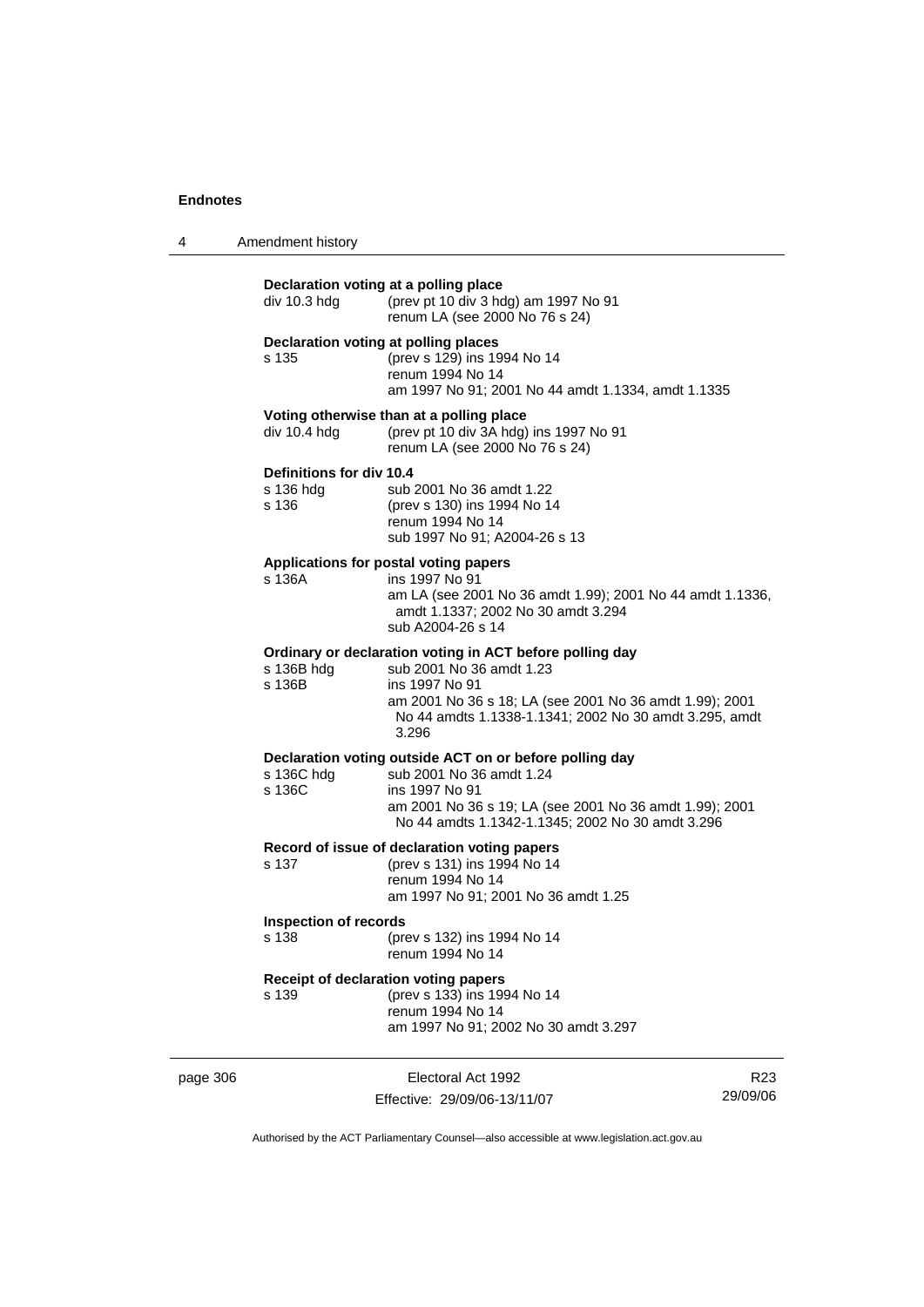| $\boldsymbol{\Lambda}$ | Amendment history |  |
|------------------------|-------------------|--|
|------------------------|-------------------|--|

|          | div 10.3 hdg                                   | Declaration voting at a polling place<br>(prev pt 10 div 3 hdg) am 1997 No 91<br>renum LA (see 2000 No 76 s 24)                                                                                                                      |                 |
|----------|------------------------------------------------|--------------------------------------------------------------------------------------------------------------------------------------------------------------------------------------------------------------------------------------|-----------------|
|          | s 135                                          | Declaration voting at polling places<br>(prev s 129) ins 1994 No 14<br>renum 1994 No 14<br>am 1997 No 91; 2001 No 44 amdt 1.1334, amdt 1.1335                                                                                        |                 |
|          | div $10.4$ hdg                                 | Voting otherwise than at a polling place<br>(prev pt 10 div 3A hdg) ins 1997 No 91<br>renum LA (see 2000 No 76 s 24)                                                                                                                 |                 |
|          | Definitions for div 10.4<br>s 136 hdg<br>s 136 | sub 2001 No 36 amdt 1.22<br>(prev s 130) ins 1994 No 14<br>renum 1994 No 14<br>sub 1997 No 91; A2004-26 s 13                                                                                                                         |                 |
|          | s 136A                                         | Applications for postal voting papers<br>ins 1997 No 91<br>am LA (see 2001 No 36 amdt 1.99); 2001 No 44 amdt 1.1336,<br>amdt 1.1337; 2002 No 30 amdt 3.294<br>sub A2004-26 s 14                                                      |                 |
|          | s 136B hdg<br>s 136B                           | Ordinary or declaration voting in ACT before polling day<br>sub 2001 No 36 amdt 1.23<br>ins 1997 No 91<br>am 2001 No 36 s 18; LA (see 2001 No 36 amdt 1.99); 2001<br>No 44 amdts 1.1338-1.1341; 2002 No 30 amdt 3.295, amdt<br>3.296 |                 |
|          | s 136C hdg<br>s 136C                           | Declaration voting outside ACT on or before polling day<br>sub 2001 No 36 amdt 1.24<br>ins 1997 No 91<br>am 2001 No 36 s 19; LA (see 2001 No 36 amdt 1.99); 2001<br>No 44 amdts 1.1342-1.1345; 2002 No 30 amdt 3.296                 |                 |
|          | s 137                                          | Record of issue of declaration voting papers<br>(prev s 131) ins 1994 No 14<br>renum 1994 No 14<br>am 1997 No 91; 2001 No 36 amdt 1.25                                                                                               |                 |
|          | <b>Inspection of records</b><br>s 138          | (prev s 132) ins 1994 No 14<br>renum 1994 No 14                                                                                                                                                                                      |                 |
|          | s 139                                          | Receipt of declaration voting papers<br>(prev s 133) ins 1994 No 14<br>renum 1994 No 14<br>am 1997 No 91; 2002 No 30 amdt 3.297                                                                                                      |                 |
| page 306 |                                                | Electoral Act 1992                                                                                                                                                                                                                   | R <sub>23</sub> |

Effective: 29/09/06-13/11/07

R23 29/09/06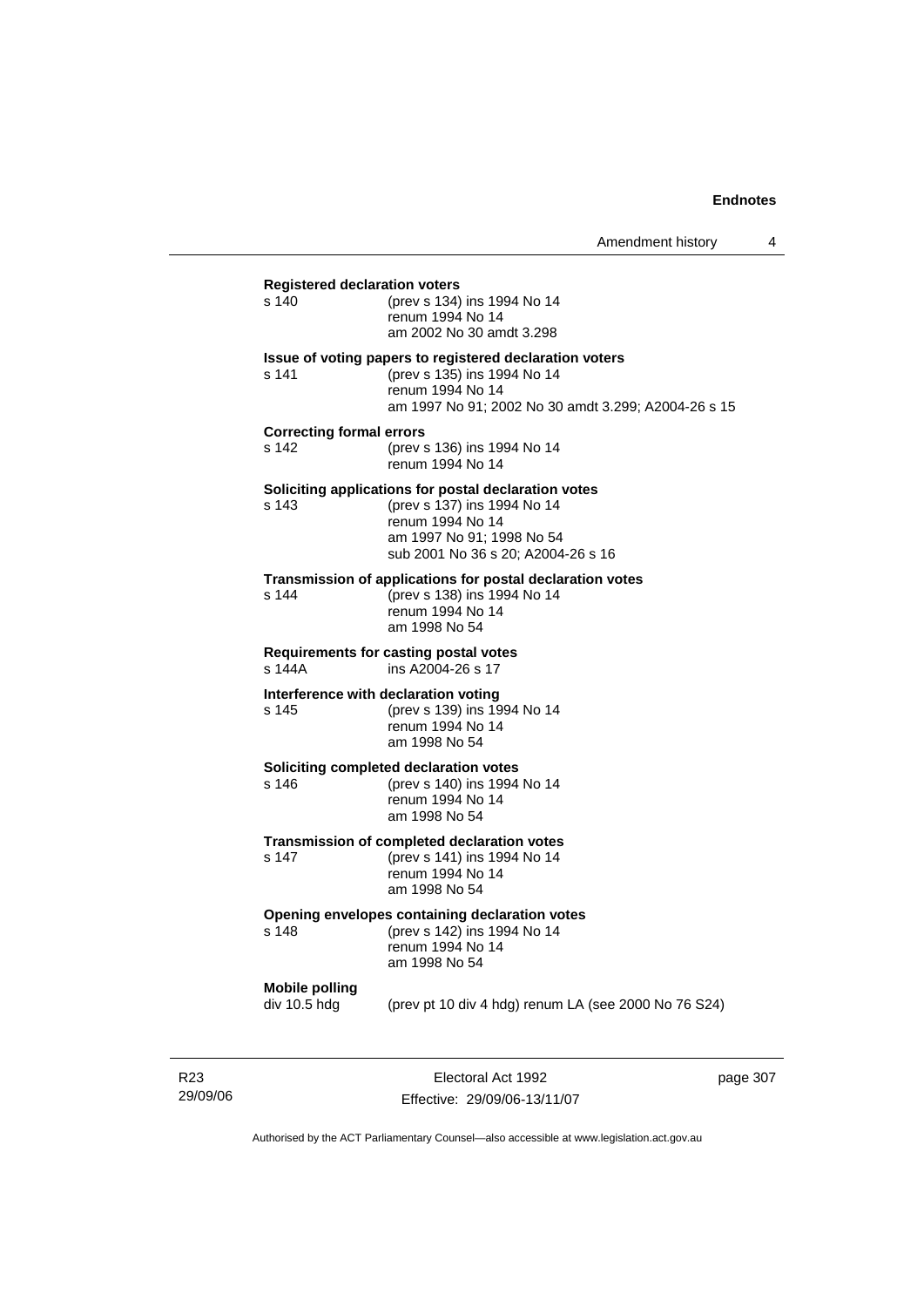| <b>Registered declaration voters</b>          |                                                                                                                                                                            |  |
|-----------------------------------------------|----------------------------------------------------------------------------------------------------------------------------------------------------------------------------|--|
| s 140                                         | (prev s 134) ins 1994 No 14<br>renum 1994 No 14<br>am 2002 No 30 amdt 3.298                                                                                                |  |
| s 141                                         | Issue of voting papers to registered declaration voters<br>(prev s 135) ins 1994 No 14<br>renum 1994 No 14<br>am 1997 No 91; 2002 No 30 amdt 3.299; A2004-26 s 15          |  |
| <b>Correcting formal errors</b><br>s 142      | (prev s 136) ins 1994 No 14<br>renum 1994 No 14                                                                                                                            |  |
| s 143                                         | Soliciting applications for postal declaration votes<br>(prev s 137) ins 1994 No 14<br>renum 1994 No 14<br>am 1997 No 91; 1998 No 54<br>sub 2001 No 36 s 20; A2004-26 s 16 |  |
| s 144                                         | Transmission of applications for postal declaration votes<br>(prev s 138) ins 1994 No 14<br>renum 1994 No 14<br>am 1998 No 54                                              |  |
| s 144A                                        | Requirements for casting postal votes<br>ins A2004-26 s 17                                                                                                                 |  |
| Interference with declaration voting<br>s 145 | (prev s 139) ins 1994 No 14<br>renum 1994 No 14<br>am 1998 No 54                                                                                                           |  |
| s 146                                         | Soliciting completed declaration votes<br>(prev s 140) ins 1994 No 14<br>renum 1994 No 14<br>am 1998 No 54                                                                 |  |
| s 147                                         | Transmission of completed declaration votes<br>(prev s 141) ins 1994 No 14<br>renum 1994 No 14<br>am 1998 No 54                                                            |  |
| s 148                                         | Opening envelopes containing declaration votes<br>(prev s 142) ins 1994 No 14<br>renum 1994 No 14<br>am 1998 No 54                                                         |  |
| <b>Mobile polling</b><br>div 10.5 hdg         | (prev pt 10 div 4 hdg) renum LA (see 2000 No 76 S24)                                                                                                                       |  |
|                                               |                                                                                                                                                                            |  |

R23 29/09/06

Electoral Act 1992 Effective: 29/09/06-13/11/07 page 307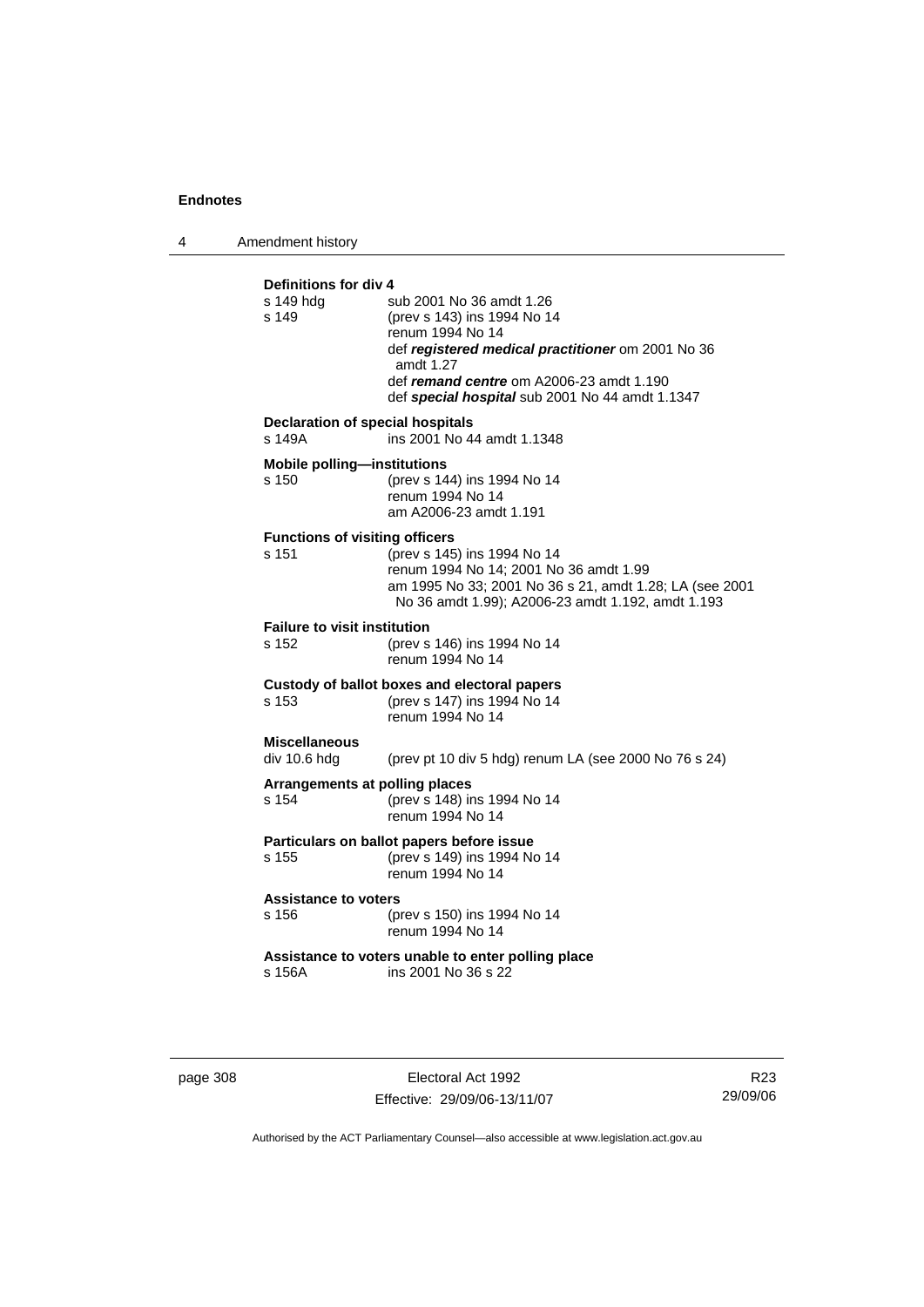4 Amendment history

| Definitions for div 4<br>s 149 hdq<br>s 149       | sub 2001 No 36 amdt 1.26<br>(prev s 143) ins 1994 No 14<br>renum 1994 No 14<br>def registered medical practitioner om 2001 No 36<br>amdt 1.27<br>def remand centre om A2006-23 amdt 1.190<br>def special hospital sub 2001 No 44 amdt 1.1347 |
|---------------------------------------------------|----------------------------------------------------------------------------------------------------------------------------------------------------------------------------------------------------------------------------------------------|
| <b>Declaration of special hospitals</b><br>s 149A | ins 2001 No 44 amdt 1.1348                                                                                                                                                                                                                   |
| <b>Mobile polling-institutions</b><br>s 150       | (prev s 144) ins 1994 No 14<br>renum 1994 No 14<br>am A2006-23 amdt 1.191                                                                                                                                                                    |
| <b>Functions of visiting officers</b><br>s 151    | (prev s 145) ins 1994 No 14<br>renum 1994 No 14; 2001 No 36 amdt 1.99<br>am 1995 No 33; 2001 No 36 s 21, amdt 1.28; LA (see 2001<br>No 36 amdt 1.99); A2006-23 amdt 1.192, amdt 1.193                                                        |
| <b>Failure to visit institution</b><br>s 152      | (prev s 146) ins 1994 No 14<br>renum 1994 No 14                                                                                                                                                                                              |
| s 153                                             | Custody of ballot boxes and electoral papers<br>(prev s 147) ins 1994 No 14<br>renum 1994 No 14                                                                                                                                              |
| <b>Miscellaneous</b><br>div 10.6 hdg              | (prev pt 10 div 5 hdg) renum LA (see 2000 No 76 s 24)                                                                                                                                                                                        |
| Arrangements at polling places<br>s 154           | (prev s 148) ins 1994 No 14<br>renum 1994 No 14                                                                                                                                                                                              |
| s 155                                             | Particulars on ballot papers before issue<br>(prev s 149) ins 1994 No 14<br>renum 1994 No 14                                                                                                                                                 |
| <b>Assistance to voters</b><br>s 156              | (prev s 150) ins 1994 No 14<br>renum 1994 No 14                                                                                                                                                                                              |
| s 156A                                            | Assistance to voters unable to enter polling place<br>ins 2001 No 36 s 22                                                                                                                                                                    |

page 308 Electoral Act 1992 Effective: 29/09/06-13/11/07

R23 29/09/06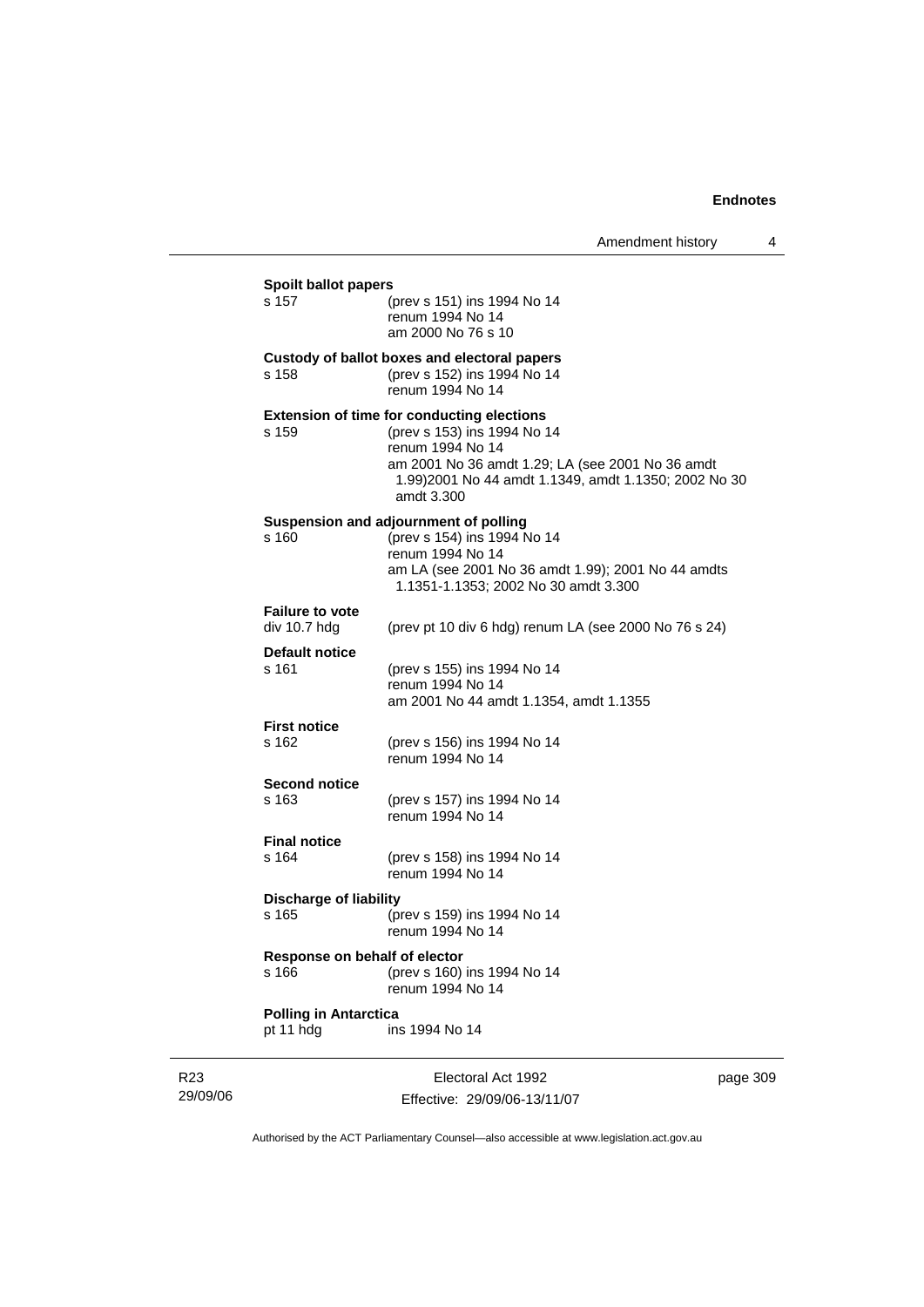| <b>Spoilt ballot papers</b>            |                                                                                                                                                                                                                                |  |
|----------------------------------------|--------------------------------------------------------------------------------------------------------------------------------------------------------------------------------------------------------------------------------|--|
| s 157                                  | (prev s 151) ins 1994 No 14<br>renum 1994 No 14<br>am 2000 No 76 s 10                                                                                                                                                          |  |
|                                        | Custody of ballot boxes and electoral papers                                                                                                                                                                                   |  |
| s 158                                  | (prev s 152) ins 1994 No 14<br>renum 1994 No 14                                                                                                                                                                                |  |
| s 159                                  | <b>Extension of time for conducting elections</b><br>(prev s 153) ins 1994 No 14<br>renum 1994 No 14<br>am 2001 No 36 amdt 1.29; LA (see 2001 No 36 amdt<br>1.99)2001 No 44 amdt 1.1349, amdt 1.1350; 2002 No 30<br>amdt 3.300 |  |
| s 160                                  | Suspension and adjournment of polling<br>(prev s 154) ins 1994 No 14                                                                                                                                                           |  |
|                                        | renum 1994 No 14<br>am LA (see 2001 No 36 amdt 1.99); 2001 No 44 amdts<br>1.1351-1.1353; 2002 No 30 amdt 3.300                                                                                                                 |  |
| <b>Failure to vote</b><br>div 10.7 hdg | (prev pt 10 div 6 hdg) renum LA (see 2000 No 76 s 24)                                                                                                                                                                          |  |
| <b>Default notice</b>                  |                                                                                                                                                                                                                                |  |
| s 161                                  | (prev s 155) ins 1994 No 14<br>renum 1994 No 14                                                                                                                                                                                |  |
|                                        | am 2001 No 44 amdt 1.1354, amdt 1.1355                                                                                                                                                                                         |  |
| <b>First notice</b>                    |                                                                                                                                                                                                                                |  |
| s 162                                  | (prev s 156) ins 1994 No 14<br>renum 1994 No 14                                                                                                                                                                                |  |
| <b>Second notice</b>                   |                                                                                                                                                                                                                                |  |
| s 163                                  | (prev s 157) ins 1994 No 14                                                                                                                                                                                                    |  |
|                                        | renum 1994 No 14                                                                                                                                                                                                               |  |
| <b>Final notice</b>                    |                                                                                                                                                                                                                                |  |
| s 164                                  | (prev s 158) ins 1994 No 14<br>renum 1994 No 14                                                                                                                                                                                |  |
| <b>Discharge of liability</b>          |                                                                                                                                                                                                                                |  |
| s 165                                  | (prev s 159) ins 1994 No 14<br>renum 1994 No 14                                                                                                                                                                                |  |
| Response on behalf of elector          |                                                                                                                                                                                                                                |  |
| s 166                                  | (prev s 160) ins 1994 No 14<br>renum 1994 No 14                                                                                                                                                                                |  |
| <b>Polling in Antarctica</b>           |                                                                                                                                                                                                                                |  |
| pt 11 hdg                              | ins 1994 No 14                                                                                                                                                                                                                 |  |

R23 29/09/06 J.

Electoral Act 1992 Effective: 29/09/06-13/11/07 page 309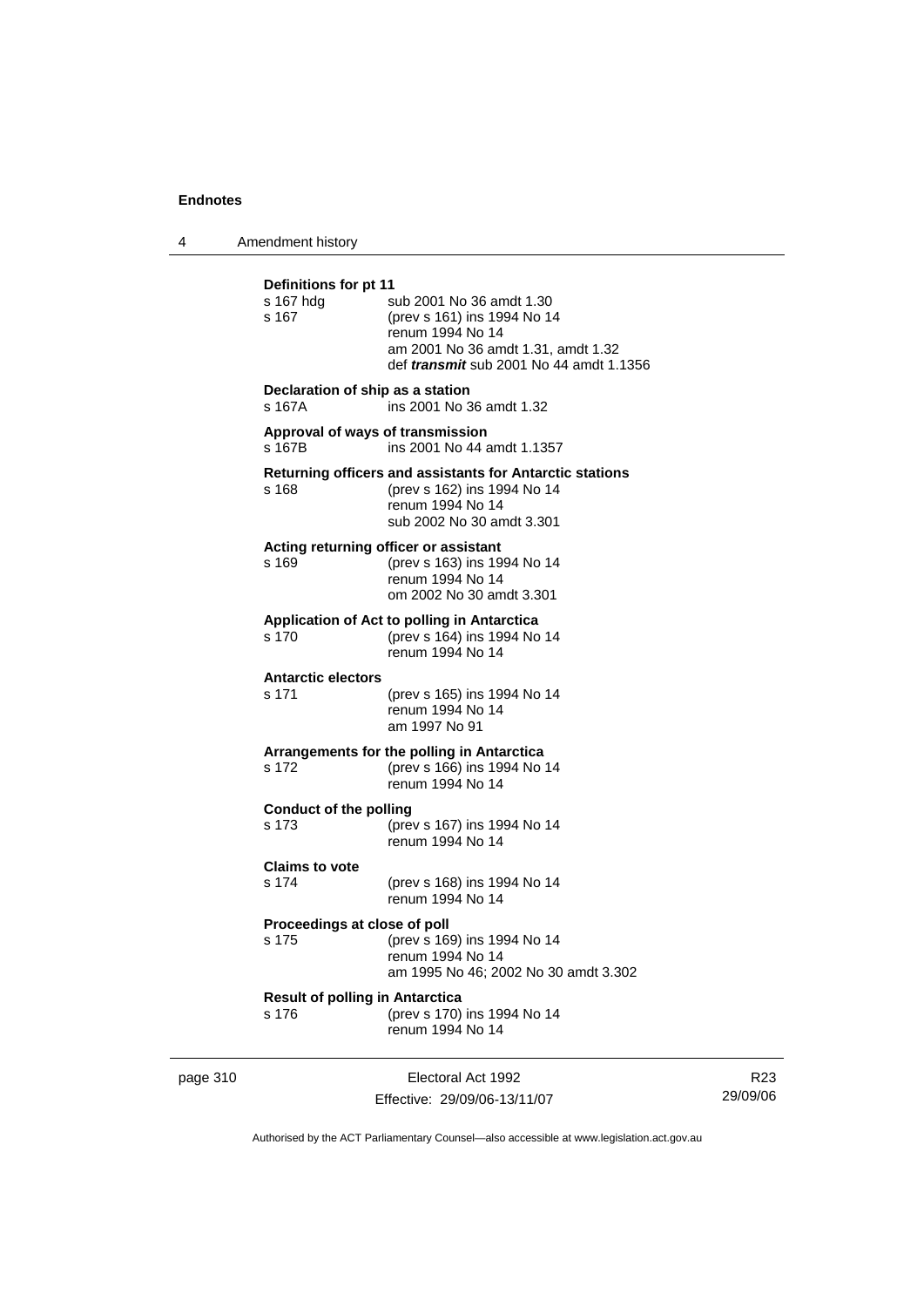4 Amendment history

| Definitions for pt 11<br>s 167 hdg<br>s 167     | sub 2001 No 36 amdt 1.30<br>(prev s 161) ins 1994 No 14<br>renum 1994 No 14<br>am 2001 No 36 amdt 1.31, amdt 1.32<br>def <i>transmit</i> sub 2001 No 44 amdt 1.1356 |
|-------------------------------------------------|---------------------------------------------------------------------------------------------------------------------------------------------------------------------|
| Declaration of ship as a station<br>s 167A      | ins 2001 No 36 amdt 1.32                                                                                                                                            |
| s 167B                                          | Approval of ways of transmission<br>ins 2001 No 44 amdt 1.1357                                                                                                      |
| s 168                                           | Returning officers and assistants for Antarctic stations<br>(prev s 162) ins 1994 No 14<br>renum 1994 No 14<br>sub 2002 No 30 amdt 3.301                            |
| s 169                                           | Acting returning officer or assistant<br>(prev s 163) ins 1994 No 14<br>renum 1994 No 14<br>om 2002 No 30 amdt 3.301                                                |
| s 170                                           | Application of Act to polling in Antarctica<br>(prev s 164) ins 1994 No 14<br>renum 1994 No 14                                                                      |
| <b>Antarctic electors</b><br>s 171              | (prev s 165) ins 1994 No 14<br>renum 1994 No 14<br>am 1997 No 91                                                                                                    |
| s 172                                           | Arrangements for the polling in Antarctica<br>(prev s 166) ins 1994 No 14<br>renum 1994 No 14                                                                       |
| Conduct of the polling<br>s 173                 | (prev s 167) ins 1994 No 14<br>renum 1994 No 14                                                                                                                     |
| <b>Claims to vote</b><br>s 174                  | (prev s 168) ins 1994 No 14<br>renum 1994 No 14                                                                                                                     |
| Proceedings at close of poll<br>s 175           | (prev s 169) ins 1994 No 14<br>renum 1994 No 14<br>am 1995 No 46; 2002 No 30 amdt 3.302                                                                             |
| <b>Result of polling in Antarctica</b><br>s 176 | (prev s 170) ins 1994 No 14<br>renum 1994 No 14                                                                                                                     |

page 310 **Electoral Act 1992** Effective: 29/09/06-13/11/07

R23 29/09/06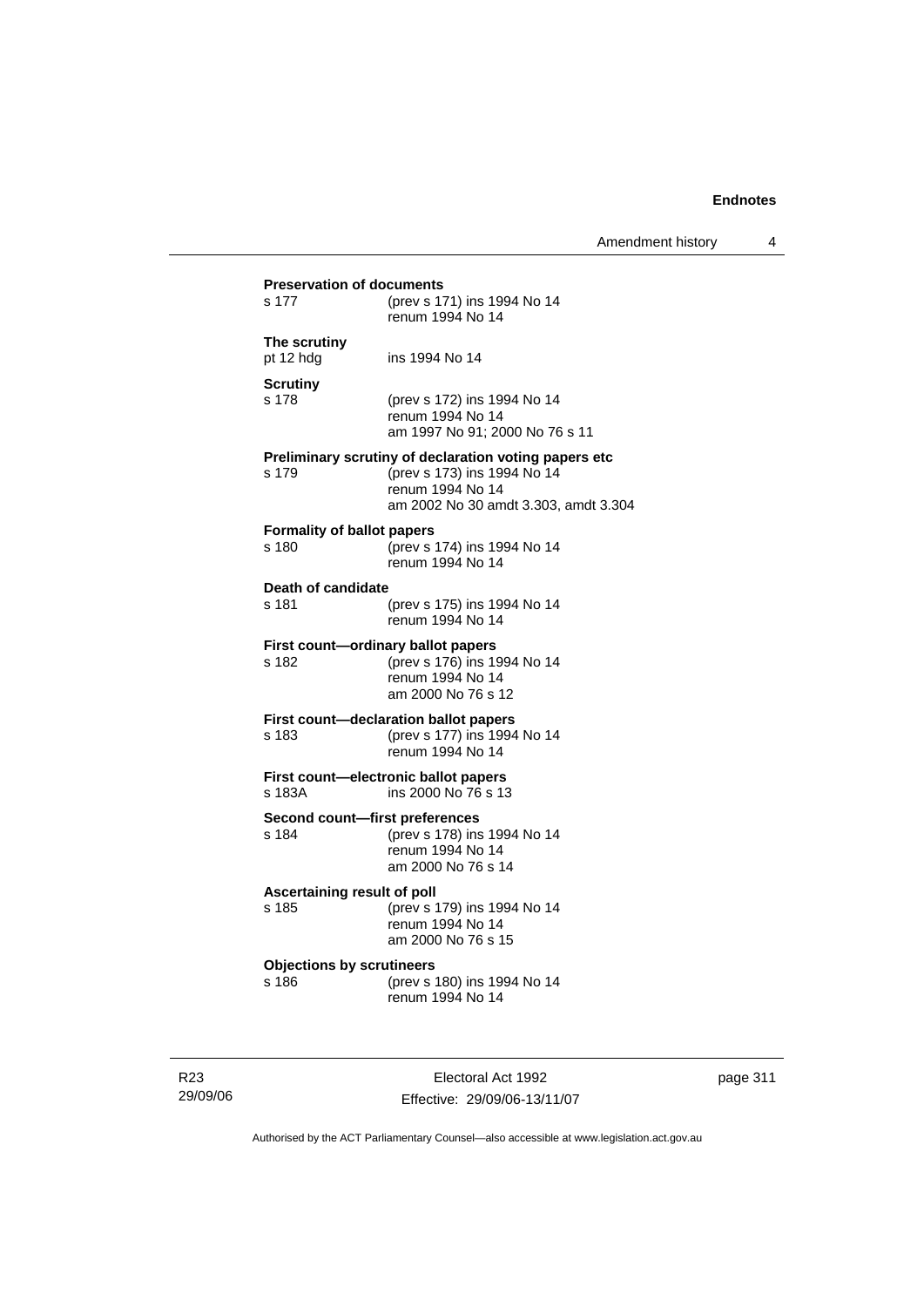| s 177                                      | (prev s 171) ins 1994 No 14<br>renum 1994 No 14                                                                                                  |
|--------------------------------------------|--------------------------------------------------------------------------------------------------------------------------------------------------|
| The scrutiny<br>pt 12 hdg                  | ins 1994 No 14                                                                                                                                   |
| <b>Scrutiny</b><br>s 178                   | (prev s 172) ins 1994 No 14<br>renum 1994 No 14<br>am 1997 No 91; 2000 No 76 s 11                                                                |
| s 179                                      | Preliminary scrutiny of declaration voting papers etc<br>(prev s 173) ins 1994 No 14<br>renum 1994 No 14<br>am 2002 No 30 amdt 3.303, amdt 3.304 |
| <b>Formality of ballot papers</b><br>s 180 | (prev s 174) ins 1994 No 14<br>renum 1994 No 14                                                                                                  |
| Death of candidate<br>s 181                | (prev s 175) ins 1994 No 14<br>renum 1994 No 14                                                                                                  |
| s 182                                      | First count-ordinary ballot papers<br>(prev s 176) ins 1994 No 14<br>renum 1994 No 14<br>am 2000 No 76 s 12                                      |
| s 183                                      | First count-declaration ballot papers<br>(prev s 177) ins 1994 No 14<br>renum 1994 No 14                                                         |
| s 183A                                     | First count-electronic ballot papers<br>ins 2000 No 76 s 13                                                                                      |
| Second count-first preferences<br>s 184    | (prev s 178) ins 1994 No 14<br>renum 1994 No 14<br>am 2000 No 76 s 14                                                                            |
| Ascertaining result of poll<br>s 185       | (prev s 179) ins 1994 No 14<br>renum 1994 No 14<br>am 2000 No 76 s 15                                                                            |
| <b>Objections by scrutineers</b><br>s 186  | (prev s 180) ins 1994 No 14<br>renum 1994 No 14                                                                                                  |

R23 29/09/06

Electoral Act 1992 Effective: 29/09/06-13/11/07 page 311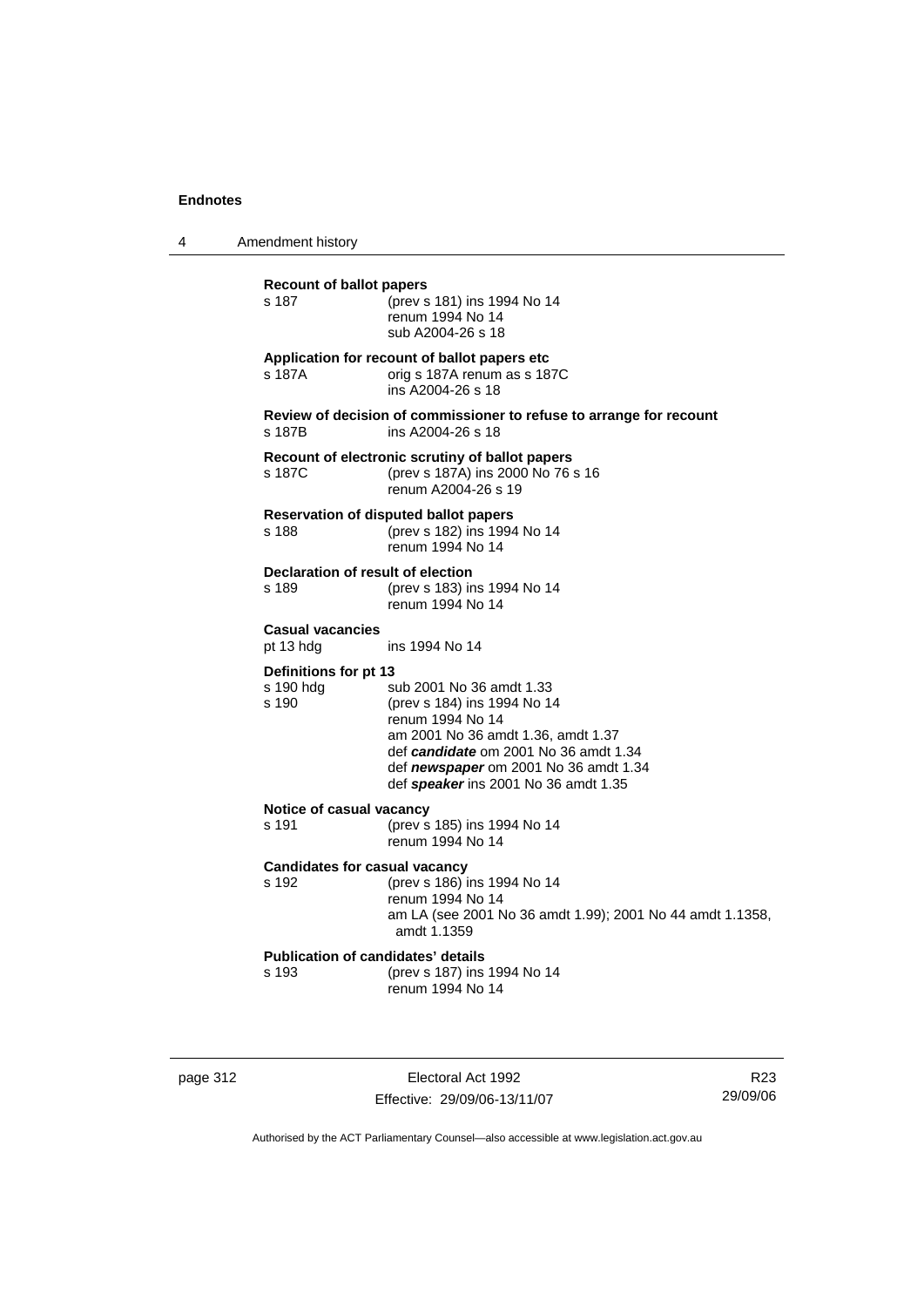4 Amendment history

| <b>Recount of ballot papers</b><br>s 187           | (prev s 181) ins 1994 No 14<br>renum 1994 No 14<br>sub A2004-26 s 18                                                                                                                                                                        |
|----------------------------------------------------|---------------------------------------------------------------------------------------------------------------------------------------------------------------------------------------------------------------------------------------------|
| s 187A                                             | Application for recount of ballot papers etc<br>orig s 187A renum as s 187C<br>ins A2004-26 s 18                                                                                                                                            |
| s 187B                                             | Review of decision of commissioner to refuse to arrange for recount<br>ins A2004-26 s 18                                                                                                                                                    |
| s 187C                                             | Recount of electronic scrutiny of ballot papers<br>(prev s 187A) ins 2000 No 76 s 16<br>renum A2004-26 s 19                                                                                                                                 |
| s 188                                              | <b>Reservation of disputed ballot papers</b><br>(prev s 182) ins 1994 No 14<br>renum 1994 No 14                                                                                                                                             |
| Declaration of result of election<br>s 189         | (prev s 183) ins 1994 No 14<br>renum 1994 No 14                                                                                                                                                                                             |
| <b>Casual vacancies</b><br>pt 13 hdg               | ins 1994 No 14                                                                                                                                                                                                                              |
| Definitions for pt 13<br>s 190 hdg<br>s 190        | sub 2001 No 36 amdt 1.33<br>(prev s 184) ins 1994 No 14<br>renum 1994 No 14<br>am 2001 No 36 amdt 1.36, amdt 1.37<br>def candidate om 2001 No 36 amdt 1.34<br>def newspaper om 2001 No 36 amdt 1.34<br>def speaker ins 2001 No 36 amdt 1.35 |
| Notice of casual vacancy<br>s 191                  | (prev s 185) ins 1994 No 14<br>renum 1994 No 14                                                                                                                                                                                             |
| <b>Candidates for casual vacancy</b><br>s 192      | (prev s 186) ins 1994 No 14<br>renum 1994 No 14<br>am LA (see 2001 No 36 amdt 1.99); 2001 No 44 amdt 1.1358,<br>amdt 1.1359                                                                                                                 |
| <b>Publication of candidates' details</b><br>s 193 | (prev s 187) ins 1994 No 14<br>renum 1994 No 14                                                                                                                                                                                             |
|                                                    |                                                                                                                                                                                                                                             |

page 312 **Electoral Act 1992** Effective: 29/09/06-13/11/07

R23 29/09/06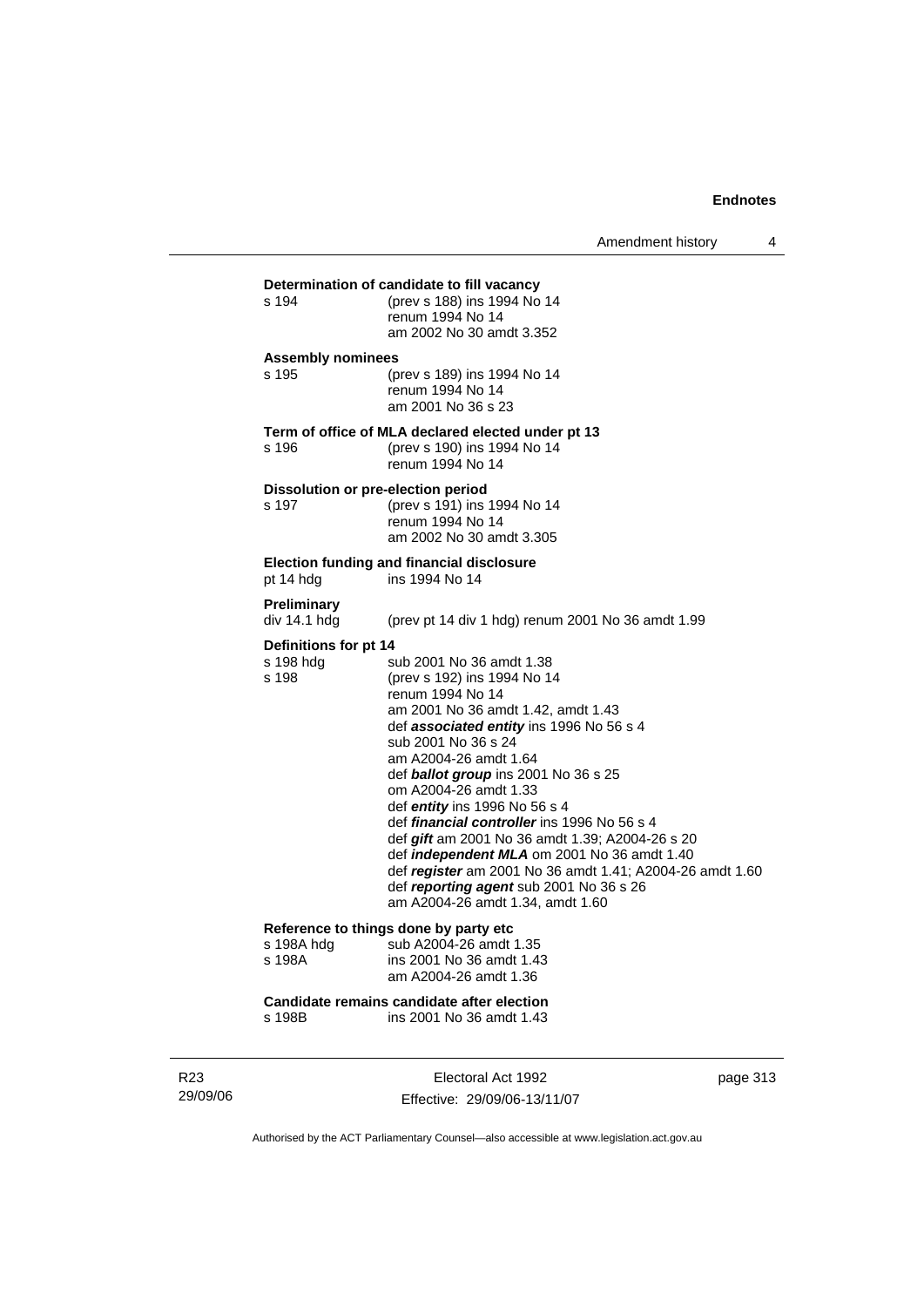| Determination of candidate to fill vacancy |                                                                                            |  |  |
|--------------------------------------------|--------------------------------------------------------------------------------------------|--|--|
| s 194                                      | (prev s 188) ins 1994 No 14                                                                |  |  |
|                                            | renum 1994 No 14                                                                           |  |  |
|                                            | am 2002 No 30 amdt 3.352                                                                   |  |  |
| <b>Assembly nominees</b>                   |                                                                                            |  |  |
| s 195                                      | (prev s 189) ins 1994 No 14                                                                |  |  |
|                                            | renum 1994 No 14<br>am 2001 No 36 s 23                                                     |  |  |
|                                            |                                                                                            |  |  |
|                                            | Term of office of MLA declared elected under pt 13                                         |  |  |
| s 196                                      | (prev s 190) ins 1994 No 14                                                                |  |  |
|                                            | renum 1994 No 14                                                                           |  |  |
| Dissolution or pre-election period         |                                                                                            |  |  |
| s 197                                      | (prev s 191) ins 1994 No 14                                                                |  |  |
|                                            | renum 1994 No 14<br>am 2002 No 30 amdt 3.305                                               |  |  |
|                                            |                                                                                            |  |  |
|                                            | <b>Election funding and financial disclosure</b>                                           |  |  |
| pt 14 hdg                                  | ins 1994 No 14                                                                             |  |  |
| Preliminary                                |                                                                                            |  |  |
| div 14.1 hdg                               | (prev pt 14 div 1 hdg) renum 2001 No 36 amdt 1.99                                          |  |  |
| Definitions for pt 14                      |                                                                                            |  |  |
| s 198 hdg                                  | sub 2001 No 36 amdt 1.38                                                                   |  |  |
| s 198                                      | (prev s 192) ins 1994 No 14                                                                |  |  |
|                                            | renum 1994 No 14                                                                           |  |  |
|                                            | am 2001 No 36 amdt 1.42, amdt 1.43<br>def associated entity ins 1996 No 56 s 4             |  |  |
|                                            | sub 2001 No 36 s 24                                                                        |  |  |
|                                            | am A2004-26 amdt 1.64                                                                      |  |  |
|                                            | def ballot group ins 2001 No 36 s 25                                                       |  |  |
|                                            | om A2004-26 amdt 1.33                                                                      |  |  |
|                                            | def <i>entity</i> ins 1996 No 56 s 4<br>def <i>financial controller</i> ins 1996 No 56 s 4 |  |  |
|                                            | def gift am 2001 No 36 amdt 1.39; A2004-26 s 20                                            |  |  |
|                                            | def <i>independent MLA</i> om 2001 No 36 amdt 1.40                                         |  |  |
|                                            | def register am 2001 No 36 amdt 1.41; A2004-26 amdt 1.60                                   |  |  |
|                                            | def reporting agent sub 2001 No 36 s 26                                                    |  |  |
|                                            | am A2004-26 amdt 1.34, amdt 1.60                                                           |  |  |
| Reference to things done by party etc      |                                                                                            |  |  |
| s 198A hdg                                 | sub A2004-26 amdt 1.35                                                                     |  |  |
| s 198A                                     | ins 2001 No 36 amdt 1.43                                                                   |  |  |
|                                            | am A2004-26 amdt 1.36                                                                      |  |  |

**Candidate remains candidate after election** s 198B ins 2001 No 36 amdt 1.43

R23 29/09/06

Electoral Act 1992 Effective: 29/09/06-13/11/07 page 313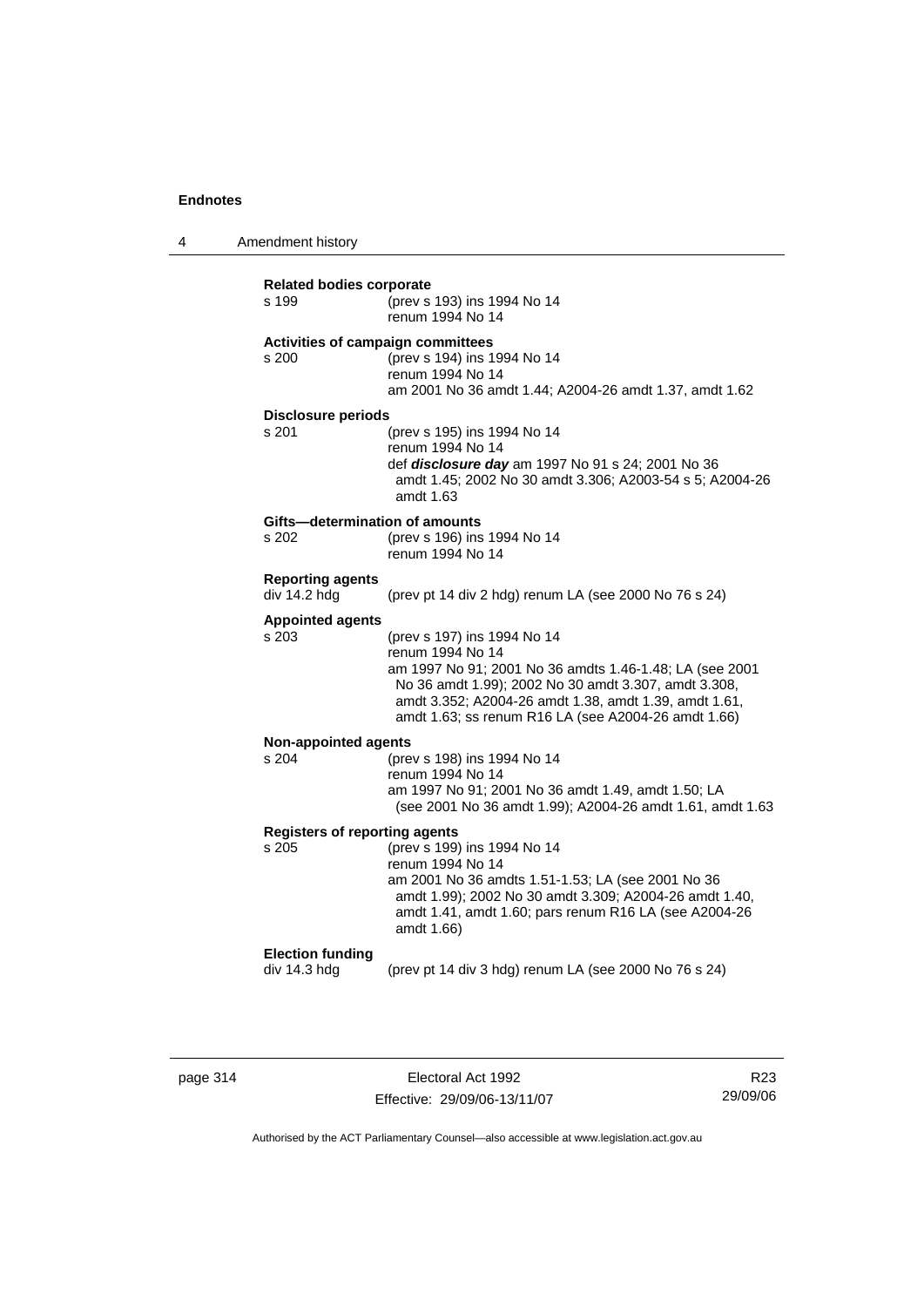4 Amendment history

| <b>Related bodies corporate</b>      |                                                           |  |  |
|--------------------------------------|-----------------------------------------------------------|--|--|
| s 199                                | (prev s 193) ins 1994 No 14                               |  |  |
|                                      | renum 1994 No 14                                          |  |  |
|                                      |                                                           |  |  |
|                                      | Activities of campaign committees                         |  |  |
| s 200                                | (prev s 194) ins 1994 No 14                               |  |  |
|                                      | renum 1994 No 14                                          |  |  |
|                                      | am 2001 No 36 amdt 1.44; A2004-26 amdt 1.37, amdt 1.62    |  |  |
|                                      |                                                           |  |  |
| <b>Disclosure periods</b>            |                                                           |  |  |
| s 201                                | (prev s 195) ins 1994 No 14                               |  |  |
|                                      | renum 1994 No 14                                          |  |  |
|                                      | def disclosure day am 1997 No 91 s 24; 2001 No 36         |  |  |
|                                      | amdt 1.45; 2002 No 30 amdt 3.306; A2003-54 s 5; A2004-26  |  |  |
|                                      | amdt 1.63                                                 |  |  |
|                                      |                                                           |  |  |
| Gifts-determination of amounts       |                                                           |  |  |
| s 202                                | (prev s 196) ins 1994 No 14                               |  |  |
|                                      | renum 1994 No 14                                          |  |  |
|                                      |                                                           |  |  |
| <b>Reporting agents</b>              |                                                           |  |  |
| div 14.2 hdg                         | (prev pt 14 div 2 hdg) renum LA (see 2000 No 76 s 24)     |  |  |
| <b>Appointed agents</b>              |                                                           |  |  |
| s 203                                | (prev s 197) ins 1994 No 14                               |  |  |
|                                      | renum 1994 No 14                                          |  |  |
|                                      |                                                           |  |  |
|                                      | am 1997 No 91; 2001 No 36 amdts 1.46-1.48; LA (see 2001   |  |  |
|                                      | No 36 amdt 1.99); 2002 No 30 amdt 3.307, amdt 3.308,      |  |  |
|                                      | amdt 3.352; A2004-26 amdt 1.38, amdt 1.39, amdt 1.61,     |  |  |
|                                      | amdt 1.63; ss renum R16 LA (see A2004-26 amdt 1.66)       |  |  |
| <b>Non-appointed agents</b>          |                                                           |  |  |
| s 204                                | (prev s 198) ins 1994 No 14                               |  |  |
|                                      | renum 1994 No 14                                          |  |  |
|                                      | am 1997 No 91; 2001 No 36 amdt 1.49, amdt 1.50; LA        |  |  |
|                                      | (see 2001 No 36 amdt 1.99); A2004-26 amdt 1.61, amdt 1.63 |  |  |
|                                      |                                                           |  |  |
| <b>Registers of reporting agents</b> |                                                           |  |  |
| s 205                                | (prev s 199) ins 1994 No 14                               |  |  |
|                                      | renum 1994 No 14                                          |  |  |
|                                      | am 2001 No 36 amdts 1.51-1.53; LA (see 2001 No 36         |  |  |
|                                      | amdt 1.99); 2002 No 30 amdt 3.309; A2004-26 amdt 1.40,    |  |  |
|                                      | amdt 1.41, amdt 1.60; pars renum R16 LA (see A2004-26     |  |  |
|                                      | amdt 1.66)                                                |  |  |
|                                      |                                                           |  |  |
| <b>Election funding</b>              |                                                           |  |  |
| div 14.3 hdg                         | (prev pt 14 div 3 hdg) renum LA (see 2000 No 76 s 24)     |  |  |
|                                      |                                                           |  |  |
|                                      |                                                           |  |  |

page 314 Electoral Act 1992 Effective: 29/09/06-13/11/07

R23 29/09/06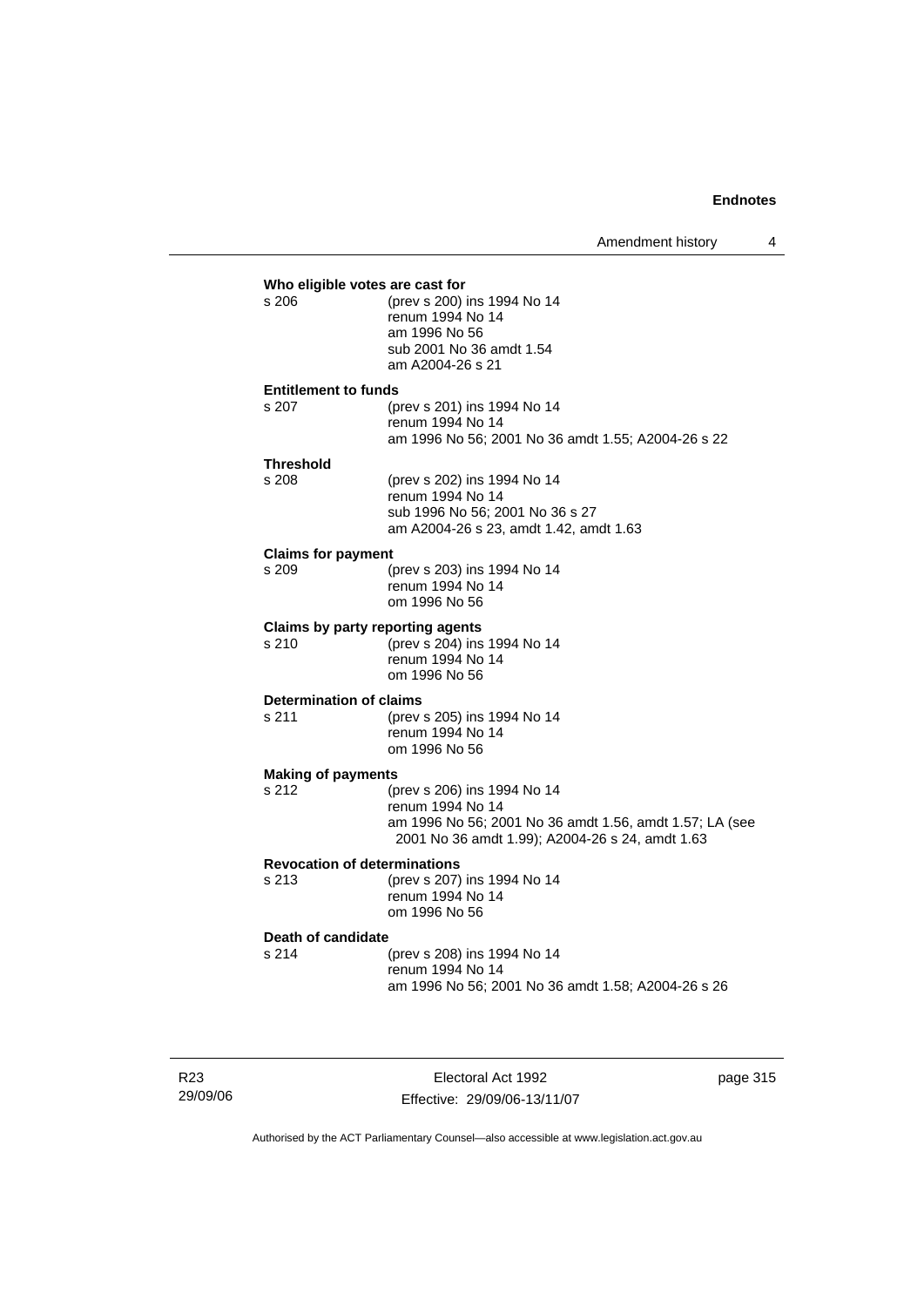|                                      | Who eligible votes are cast for                         |
|--------------------------------------|---------------------------------------------------------|
| s 206                                | (prev s 200) ins 1994 No 14                             |
|                                      | renum 1994 No 14                                        |
|                                      | am 1996 No 56                                           |
|                                      | sub 2001 No 36 amdt 1.54                                |
|                                      | am A2004-26 s 21                                        |
|                                      |                                                         |
| <b>Entitlement to funds</b><br>s.207 | (prev s 201) ins 1994 No 14                             |
|                                      | renum 1994 No 14                                        |
|                                      | am 1996 No 56; 2001 No 36 amdt 1.55; A2004-26 s 22      |
|                                      |                                                         |
| <b>Threshold</b>                     |                                                         |
| s 208                                | (prev s 202) ins 1994 No 14                             |
|                                      | renum 1994 No 14                                        |
|                                      | sub 1996 No 56; 2001 No 36 s 27                         |
|                                      | am A2004-26 s 23, amdt 1.42, amdt 1.63                  |
| <b>Claims for payment</b>            |                                                         |
| s 209                                | (prev s 203) ins 1994 No 14                             |
|                                      | renum 1994 No 14                                        |
|                                      | om 1996 No 56                                           |
|                                      | Claims by party reporting agents                        |
| s 210                                | (prev s 204) ins 1994 No 14                             |
|                                      | renum 1994 No 14                                        |
|                                      | om 1996 No 56                                           |
| Determination of claims              |                                                         |
| s 211                                | (prev s 205) ins 1994 No 14                             |
|                                      | renum 1994 No 14                                        |
|                                      | om 1996 No 56                                           |
|                                      |                                                         |
| <b>Making of payments</b><br>s.212   | (prev s 206) ins 1994 No 14                             |
|                                      | renum 1994 No 14                                        |
|                                      | am 1996 No 56; 2001 No 36 amdt 1.56, amdt 1.57; LA (see |
|                                      | 2001 No 36 amdt 1.99); A2004-26 s 24, amdt 1.63         |
|                                      |                                                         |
|                                      | <b>Revocation of determinations</b>                     |
| s 213                                | (prev s 207) ins 1994 No 14                             |
|                                      | renum 1994 No 14                                        |
|                                      | om 1996 No 56                                           |
| Death of candidate                   |                                                         |
| s 214                                | (prev s 208) ins 1994 No 14                             |
|                                      | renum 1994 No 14                                        |
|                                      | am 1996 No 56; 2001 No 36 amdt 1.58; A2004-26 s 26      |
|                                      |                                                         |
|                                      |                                                         |

R23 29/09/06

Electoral Act 1992 Effective: 29/09/06-13/11/07 page 315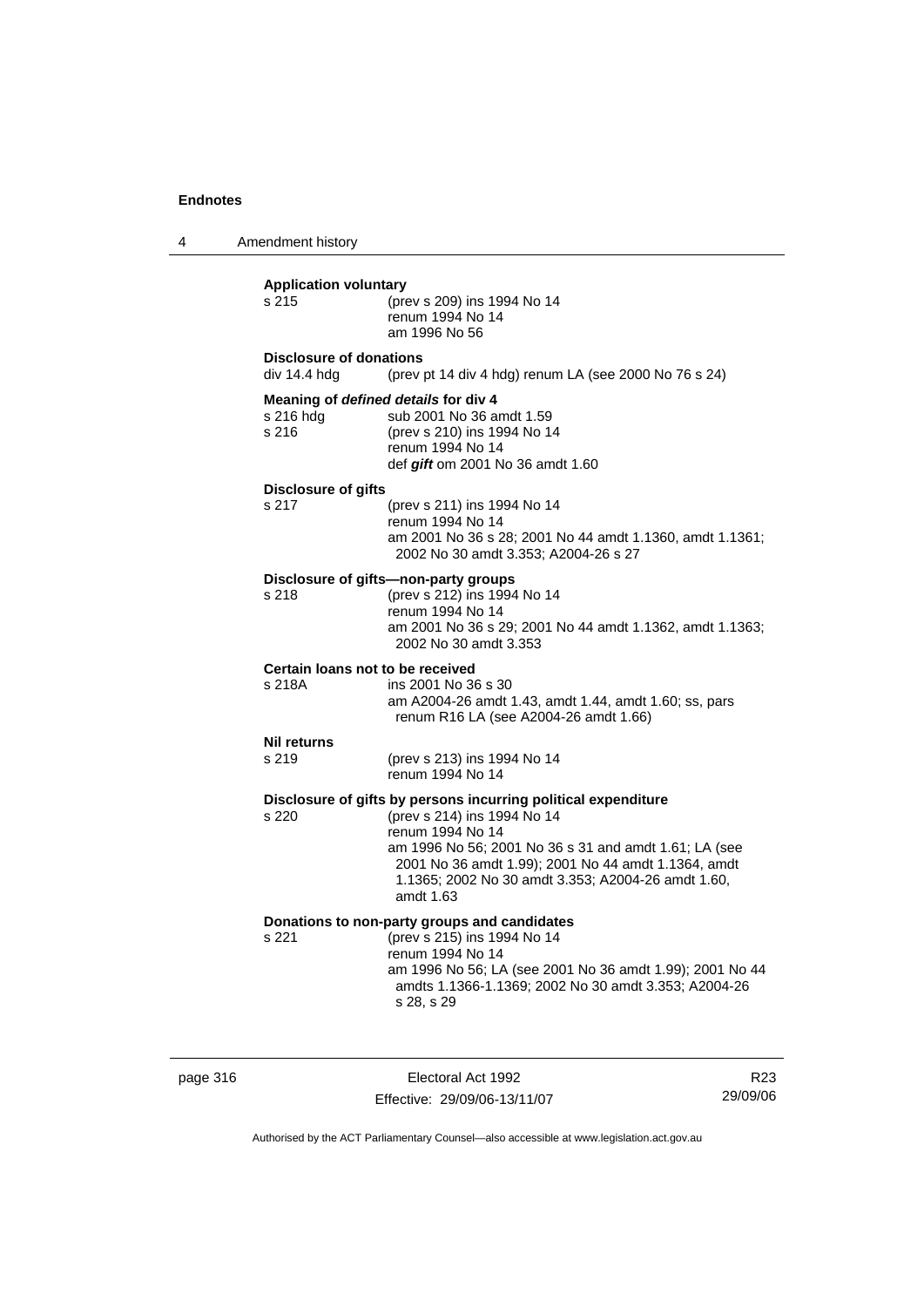4 Amendment history **Application voluntary** s 215 (prev s 209) ins 1994 No 14 renum 1994 No 14 am 1996 No 56 **Disclosure of donations**  div 14.4 hdg (prev pt 14 div 4 hdg) renum LA (see 2000 No 76 s 24) **Meaning of** *defined details* **for div 4** s 216 hdg sub 2001 No 36 amdt 1.59<br>s 216 (prev s 210) ins 1994 No 1 s 216 (prev s 210) ins 1994 No 14 renum 1994 No 14 def *gift* om 2001 No 36 amdt 1.60 **Disclosure of gifts** s 217 (prev s 211) ins 1994 No 14 renum 1994 No 14 am 2001 No 36 s 28; 2001 No 44 amdt 1.1360, amdt 1.1361; 2002 No 30 amdt 3.353; A2004-26 s 27 **Disclosure of gifts—non-party groups** s 218 (prev s 212) ins 1994 No 14 renum 1994 No 14 am 2001 No 36 s 29; 2001 No 44 amdt 1.1362, amdt 1.1363; 2002 No 30 amdt 3.353 **Certain loans not to be received** s 218A ins 2001 No 36 s 30 am A2004-26 amdt 1.43, amdt 1.44, amdt 1.60; ss, pars renum R16 LA (see A2004-26 amdt 1.66) **Nil returns** s 219 (prev s 213) ins 1994 No 14 renum 1994 No 14 **Disclosure of gifts by persons incurring political expenditure** s 220 (prev s 214) ins 1994 No 14 renum 1994 No 14 am 1996 No 56; 2001 No 36 s 31 and amdt 1.61; LA (see 2001 No 36 amdt 1.99); 2001 No 44 amdt 1.1364, amdt 1.1365; 2002 No 30 amdt 3.353; A2004-26 amdt 1.60, amdt 1.63 **Donations to non-party groups and candidates** s 221 (prev s 215) ins 1994 No 14 renum 1994 No 14 am 1996 No 56; LA (see 2001 No 36 amdt 1.99); 2001 No 44 amdts 1.1366-1.1369; 2002 No 30 amdt 3.353; A2004-26 s 28, s 29

page 316 **Electoral Act 1992** Effective: 29/09/06-13/11/07

R23 29/09/06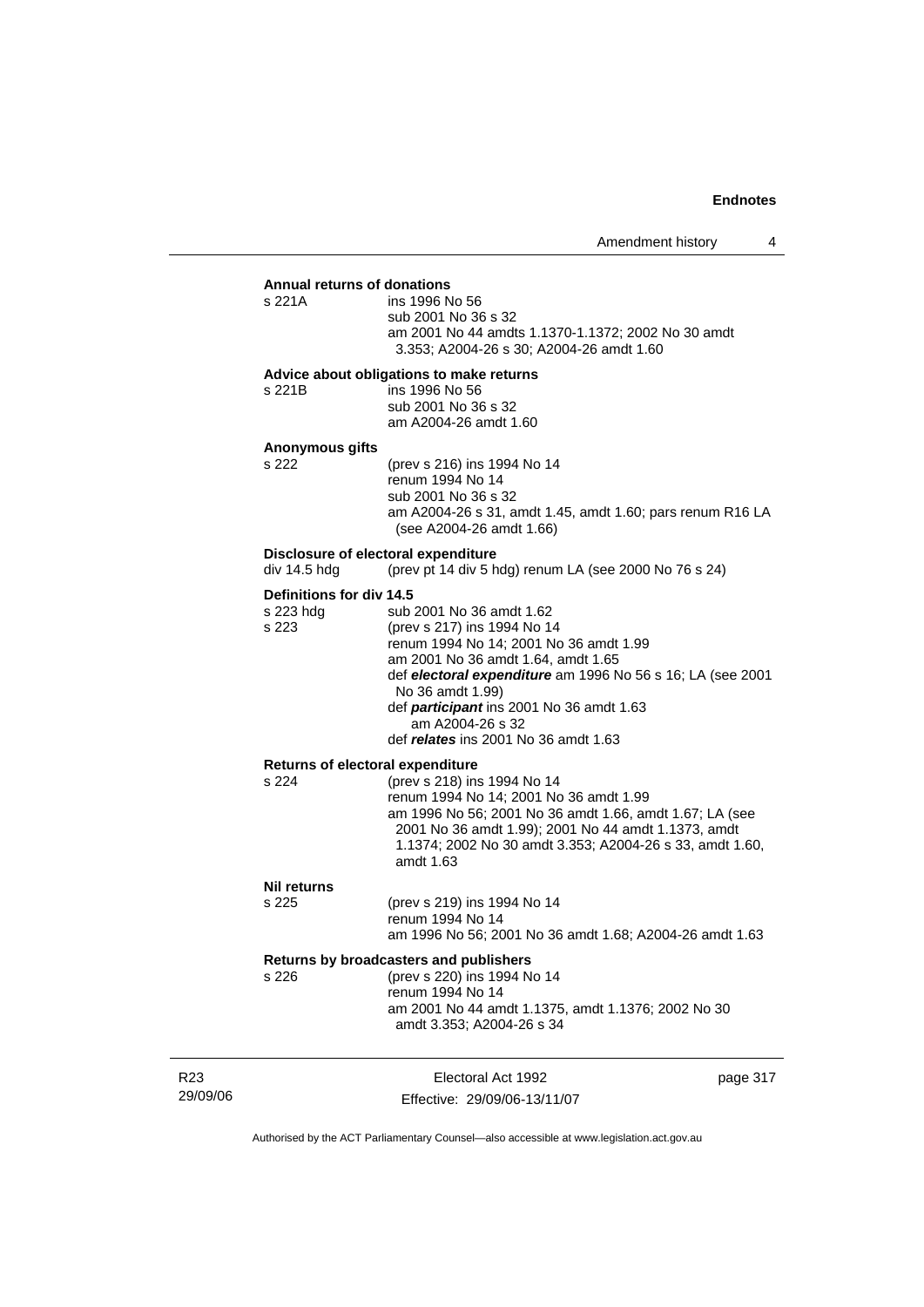#### **Annual returns of donations**

| s 221A | ins 1996 No 56                                     |
|--------|----------------------------------------------------|
|        | sub 2001 No 36 s 32                                |
|        | am 2001 No 44 amdts 1.1370-1.1372: 2002 No 30 amdt |
|        | 3.353: A2004-26 s 30: A2004-26 amdt 1.60           |

#### **Advice about obligations to make returns**

| s 221B | ins 1996 No 56        |
|--------|-----------------------|
|        | sub 2001 No 36 s 32   |
|        | am A2004-26 amdt 1.60 |

# **Anonymous gifts**

(prev s 216) ins 1994 No 14 renum 1994 No 14 sub 2001 No 36 s 32 am A2004-26 s 31, amdt 1.45, amdt 1.60; pars renum R16 LA (see A2004-26 amdt 1.66)

# **Disclosure of electoral expenditure**<br>div 14.5 hdg (prev pt 14 div 5 h

(prev pt 14 div 5 hdg) renum LA (see 2000 No 76 s 24)

#### **Definitions for div 14.5**

| s 223 hdg | sub 2001 No 36 amdt 1.62                                   |
|-----------|------------------------------------------------------------|
| s 223     | (prev s 217) ins 1994 No 14                                |
|           | renum 1994 No 14; 2001 No 36 amdt 1.99                     |
|           | am 2001 No 36 amdt 1.64, amdt 1.65                         |
|           | def electoral expenditure am 1996 No 56 s 16; LA (see 2001 |
|           | No 36 amdt 1.99)                                           |
|           | def <i>participant</i> ins 2001 No 36 amdt 1.63            |
|           | am A2004-26 s 32                                           |
|           | def relates ins 2001 No 36 amdt 1.63                       |
|           |                                                            |

#### **Returns of electoral expenditure**

| s 224 | (prev s 218) ins 1994 No 14                              |
|-------|----------------------------------------------------------|
|       | renum 1994 No 14: 2001 No 36 amdt 1.99                   |
|       | am 1996 No 56; 2001 No 36 amdt 1.66, amdt 1.67; LA (see  |
|       | 2001 No 36 amdt 1.99); 2001 No 44 amdt 1.1373, amdt      |
|       | 1.1374; 2002 No 30 amdt 3.353; A2004-26 s 33, amdt 1.60, |
|       | amdt 1.63                                                |

#### **Nil returns**

| s 225 | (prev s 219) ins 1994 No 14                             |
|-------|---------------------------------------------------------|
|       | renum 1994 No 14                                        |
|       | am 1996 No 56; 2001 No 36 amdt 1.68; A2004-26 amdt 1.63 |

| Returns by broadcasters and publishers |                                                                                 |  |
|----------------------------------------|---------------------------------------------------------------------------------|--|
| s 226                                  | (prev s 220) ins 1994 No 14                                                     |  |
|                                        | renum 1994 No 14                                                                |  |
|                                        | am 2001 No 44 amdt 1.1375, amdt 1.1376; 2002 No 30<br>amdt 3.353: A2004-26 s 34 |  |

| R23      | Electoral Act 1992           | page 317 |
|----------|------------------------------|----------|
| 29/09/06 | Effective: 29/09/06-13/11/07 |          |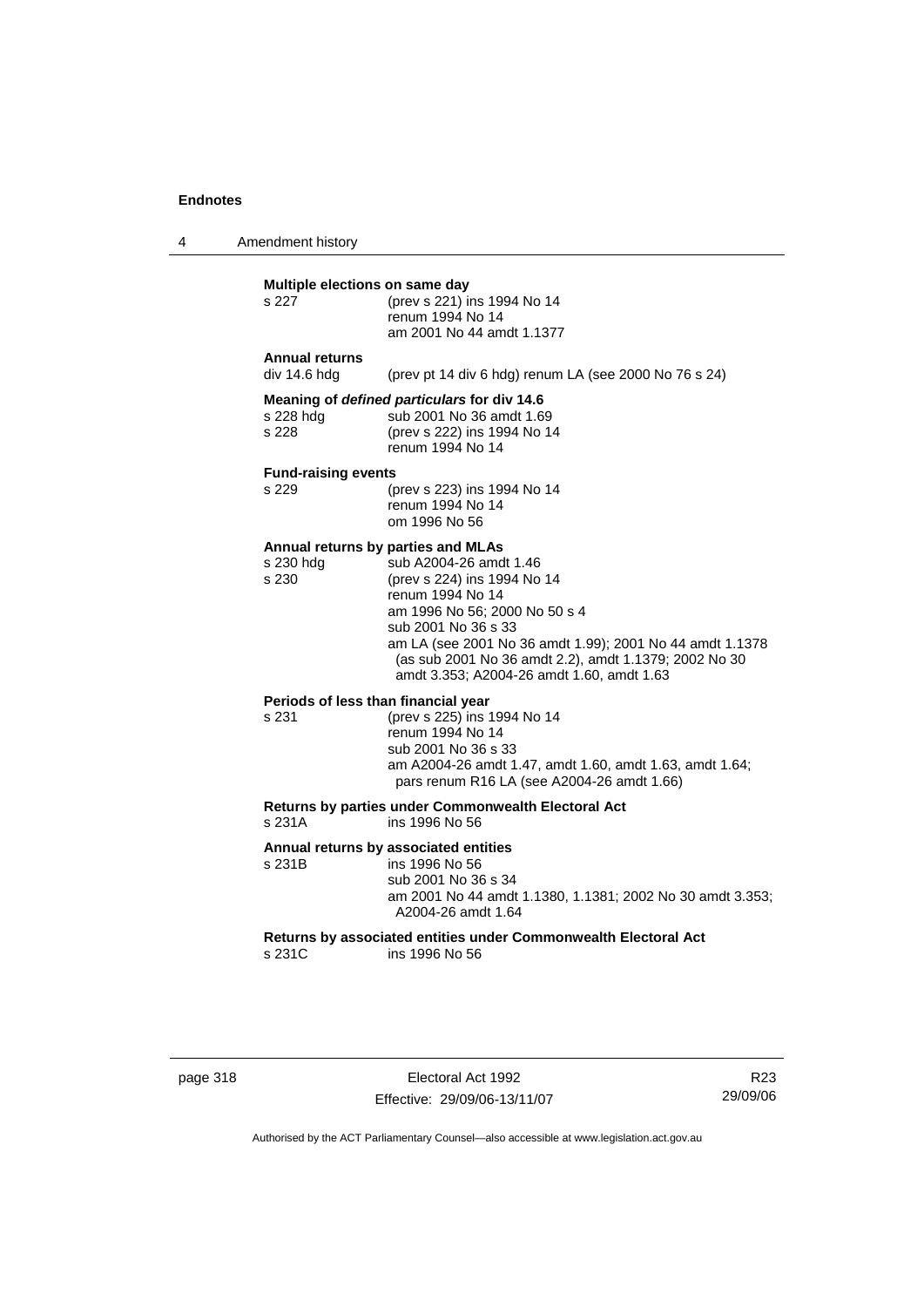4 Amendment history

## **Multiple elections on same day**

| s 227                                       | (prev s 221) ins 1994 No 14<br>renum 1994 No 14<br>am 2001 No 44 amdt 1.1377 |  |  |  |
|---------------------------------------------|------------------------------------------------------------------------------|--|--|--|
| <b>Annual returns</b><br>div 14.6 hdg       | (prev pt 14 div 6 hdg) renum LA (see 2000 No 76 s 24)                        |  |  |  |
| Meaning of defined particulars for div 14.6 |                                                                              |  |  |  |
| s 228 hdg                                   | sub 2001 No 36 amdt 1.69                                                     |  |  |  |
| s 228                                       | (prev s 222) ins 1994 No 14                                                  |  |  |  |
|                                             | renum 1994 No 14                                                             |  |  |  |

#### **Fund-raising events**

| s 229 | (prev s 223) ins 1994 No 14 |
|-------|-----------------------------|
|       | renum 1994 No 14            |
|       | om 1996 No 56               |

#### **Annual returns by parties and MLAs**

| s 230 hdg | sub A2004-26 amdt 1.46                                   |
|-----------|----------------------------------------------------------|
| s 230     | (prev s 224) ins 1994 No 14                              |
|           | renum 1994 No 14                                         |
|           | am 1996 No 56; 2000 No 50 s 4                            |
|           | sub 2001 No 36 s 33                                      |
|           | am LA (see 2001 No 36 amdt 1.99); 2001 No 44 amdt 1.1378 |
|           | (as sub 2001 No 36 amdt 2.2), amdt 1.1379; 2002 No 30    |
|           | amdt 3.353; A2004-26 amdt 1.60, amdt 1.63                |
|           |                                                          |

# **Periods of less than financial year**<br>s 231 (prev s 225) ins 1

(prev s 225) ins 1994 No 14 renum 1994 No 14 sub 2001 No 36 s 33 am A2004-26 amdt 1.47, amdt 1.60, amdt 1.63, amdt 1.64; pars renum R16 LA (see A2004-26 amdt 1.66)

# **Returns by parties under Commonwealth Electoral Act**

ins 1996 No 56

# **Annual returns by associated entities**

ins 1996 No 56 sub 2001 No 36 s 34 am 2001 No 44 amdt 1.1380, 1.1381; 2002 No 30 amdt 3.353; A2004-26 amdt 1.64

**Returns by associated entities under Commonwealth Electoral Act** s 231C ins 1996 No 56

| page 318 |  |  |
|----------|--|--|
|----------|--|--|

page 318 Electoral Act 1992 Effective: 29/09/06-13/11/07

R23 29/09/06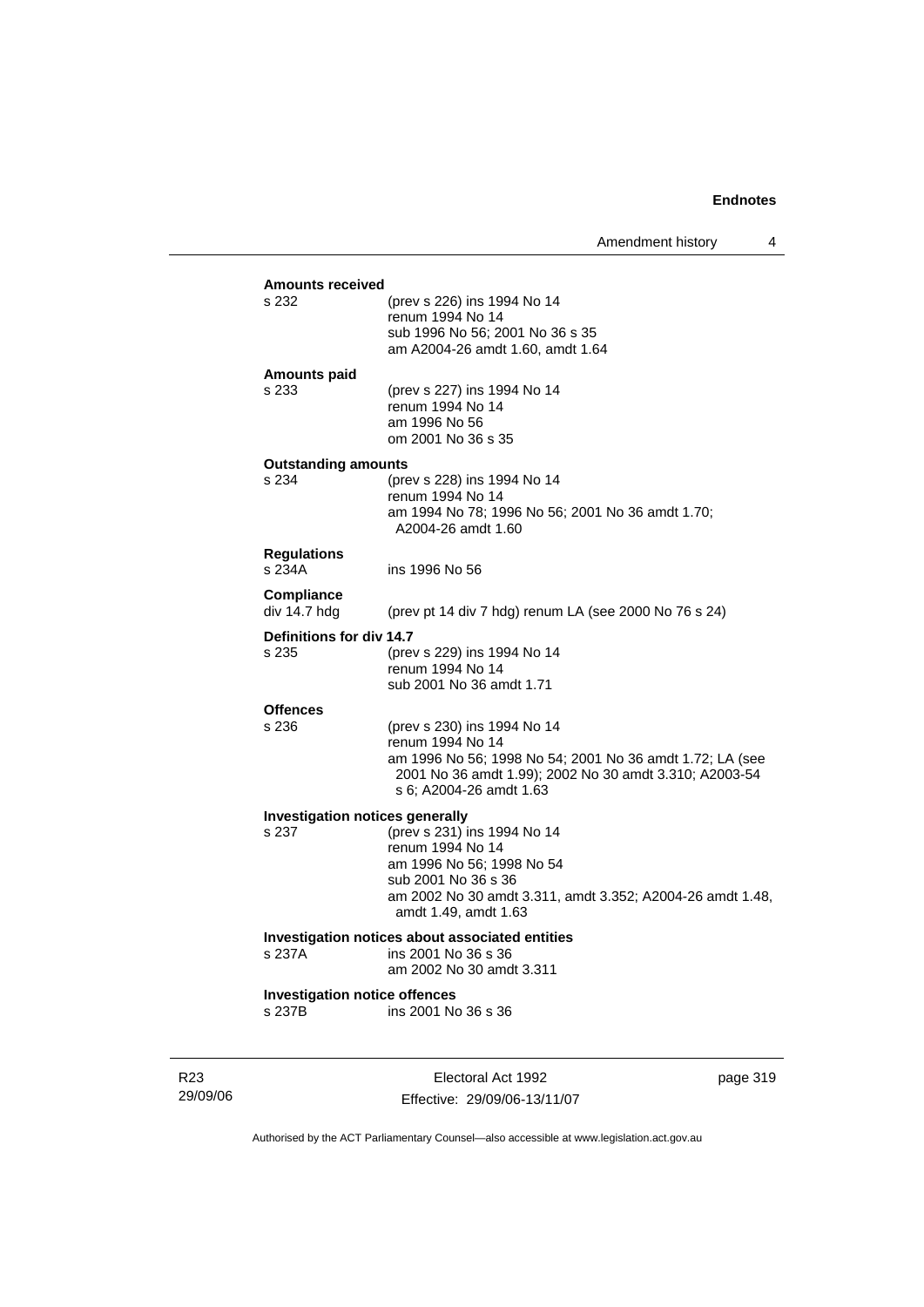Amendment history 4

| s 232                                | (prev s 226) ins 1994 No 14<br>renum 1994 No 14<br>sub 1996 No 56; 2001 No 36 s 35                                                                                |
|--------------------------------------|-------------------------------------------------------------------------------------------------------------------------------------------------------------------|
| <b>Amounts paid</b>                  | am A2004-26 amdt 1.60, amdt 1.64                                                                                                                                  |
| s 233                                | (prev s 227) ins 1994 No 14<br>renum 1994 No 14<br>am 1996 No 56<br>om 2001 No 36 s 35                                                                            |
| <b>Outstanding amounts</b>           |                                                                                                                                                                   |
| s 234                                | (prev s 228) ins 1994 No 14<br>renum 1994 No 14<br>am 1994 No 78; 1996 No 56; 2001 No 36 amdt 1.70;<br>A2004-26 amdt 1.60                                         |
| <b>Regulations</b><br>s 234A         | ins 1996 No 56                                                                                                                                                    |
| <b>Compliance</b><br>div 14.7 hdg    | (prev pt 14 div 7 hdg) renum LA (see 2000 No 76 s 24)                                                                                                             |
| Definitions for div 14.7             |                                                                                                                                                                   |
| s 235                                | (prev s 229) ins 1994 No 14<br>renum 1994 No 14<br>sub 2001 No 36 amdt 1.71                                                                                       |
| <b>Offences</b>                      |                                                                                                                                                                   |
| s 236                                | (prev s 230) ins 1994 No 14                                                                                                                                       |
|                                      | renum 1994 No 14<br>am 1996 No 56; 1998 No 54; 2001 No 36 amdt 1.72; LA (see<br>2001 No 36 amdt 1.99); 2002 No 30 amdt 3.310; A2003-54<br>s 6; A2004-26 amdt 1.63 |
|                                      | Investigation notices generally                                                                                                                                   |
| s 237                                | (prev s 231) ins 1994 No 14                                                                                                                                       |
|                                      | renum 1994 No 14<br>am 1996 No 56; 1998 No 54                                                                                                                     |
|                                      | sub 2001 No 36 s 36                                                                                                                                               |
|                                      | am 2002 No 30 amdt 3.311, amdt 3.352; A2004-26 amdt 1.48,<br>amdt 1.49, amdt 1.63                                                                                 |
|                                      | Investigation notices about associated entities                                                                                                                   |
| s 237A                               | ins 2001 No 36 s 36<br>am 2002 No 30 amdt 3.311                                                                                                                   |
| <b>Investigation notice offences</b> |                                                                                                                                                                   |
| s 237B                               | ins 2001 No 36 s 36                                                                                                                                               |

R23 29/09/06

Electoral Act 1992 Effective: 29/09/06-13/11/07 page 319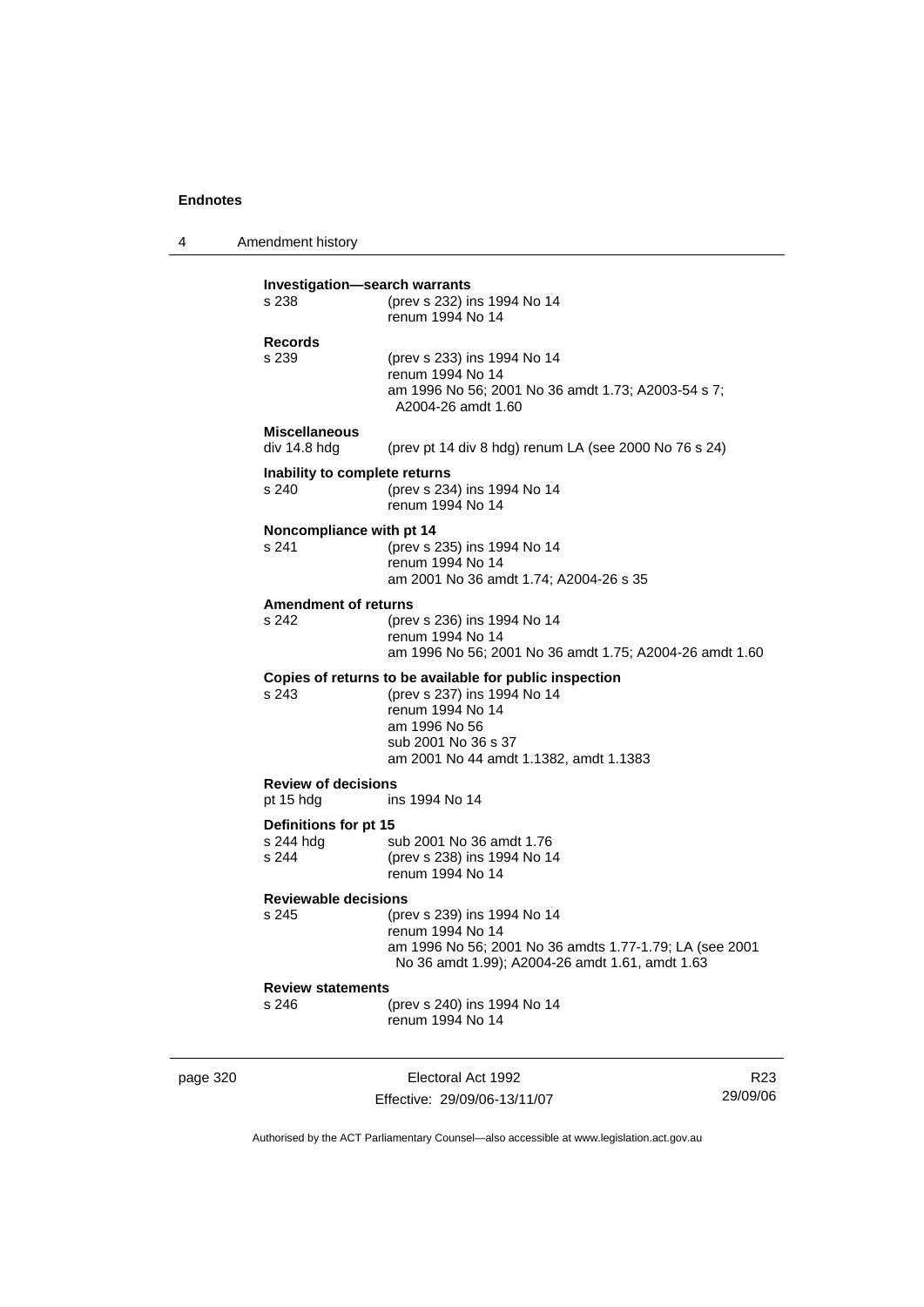4 Amendment history page 320 **Electoral Act 1992 Investigation—search warrants** s 238 (prev s 232) ins 1994 No 14 renum 1994 No 14 **Records** (prev s 233) ins 1994 No 14 renum 1994 No 14 am 1996 No 56; 2001 No 36 amdt 1.73; A2003-54 s 7; A2004-26 amdt 1.60 **Miscellaneous**  div 14.8 hdg (prev pt 14 div 8 hdg) renum LA (see 2000 No 76 s 24) **Inability to complete returns** s 240 (prev s 234) ins 1994 No 14 renum 1994 No 14 **Noncompliance with pt 14** s 241 (prev s 235) ins 1994 No 14 renum 1994 No 14 am 2001 No 36 amdt 1.74; A2004-26 s 35 **Amendment of returns**<br>s 242 (prev (prev s 236) ins 1994 No 14 renum 1994 No 14 am 1996 No 56; 2001 No 36 amdt 1.75; A2004-26 amdt 1.60 **Copies of returns to be available for public inspection** s 243 (prev s 237) ins 1994 No 14 renum 1994 No 14 am 1996 No 56 sub 2001 No 36 s 37 am 2001 No 44 amdt 1.1382, amdt 1.1383 **Review of decisions** pt 15 hdg ins 1994 No 14 **Definitions for pt 15**<br>s 244 hdg s sub 2001 No 36 amdt 1.76 s 244 (prev s 238) ins 1994 No 14 renum 1994 No 14 **Reviewable decisions** s 245 (prev s 239) ins 1994 No 14 renum 1994 No 14 am 1996 No 56; 2001 No 36 amdts 1.77-1.79; LA (see 2001 No 36 amdt 1.99); A2004-26 amdt 1.61, amdt 1.63 **Review statements** s 246 (prev s 240) ins 1994 No 14 renum 1994 No 14

Effective: 29/09/06-13/11/07

R23 29/09/06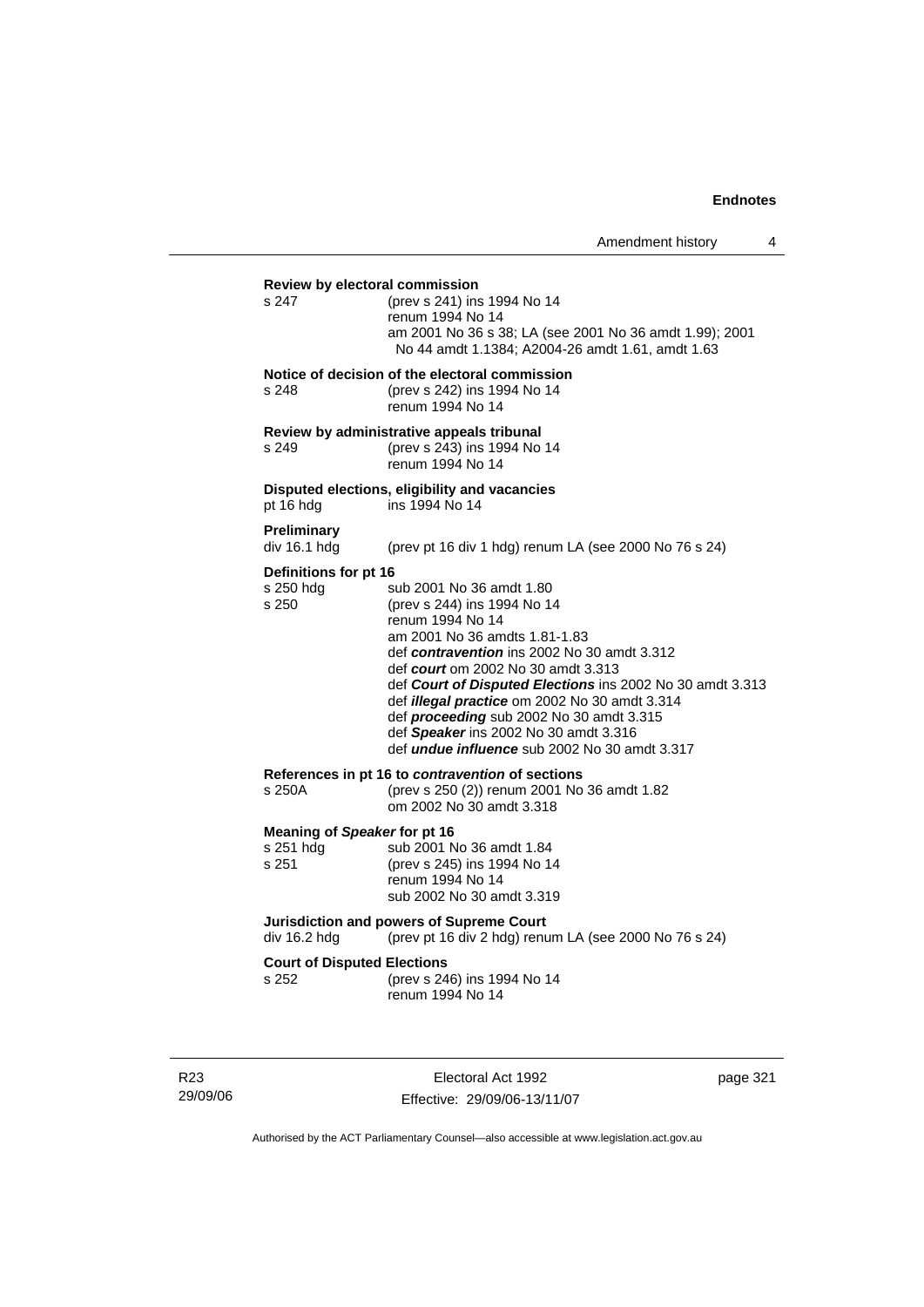# **Review by electoral commission** s 247 (prev s 241) ins 1994 No 14 renum 1994 No 14 am 2001 No 36 s 38; LA (see 2001 No 36 amdt 1.99); 2001 No 44 amdt 1.1384; A2004-26 amdt 1.61, amdt 1.63 **Notice of decision of the electoral commission** s 248 (prev s 242) ins 1994 No 14 renum 1994 No 14 **Review by administrative appeals tribunal** s 249 (prev s 243) ins 1994 No 14 renum 1994 No 14 **Disputed elections, eligibility and vacancies** pt 16 hdg ins 1994 No 14 **Preliminary**  (prev pt 16 div 1 hdg) renum LA (see 2000 No 76 s 24) **Definitions for pt 16**<br>s 250 hdg s sub 2001 No 36 amdt 1.80 s 250 (prev s 244) ins 1994 No 14 renum 1994 No 14 am 2001 No 36 amdts 1.81-1.83 def *contravention* ins 2002 No 30 amdt 3.312 def *court* om 2002 No 30 amdt 3.313 def *Court of Disputed Elections* ins 2002 No 30 amdt 3.313 def *illegal practice* om 2002 No 30 amdt 3.314 def *proceeding* sub 2002 No 30 amdt 3.315 def *Speaker* ins 2002 No 30 amdt 3.316 def *undue influence* sub 2002 No 30 amdt 3.317 **References in pt 16 to** *contravention* **of sections** s 250A (prev s 250 (2)) renum 2001 No 36 amdt 1.82 om 2002 No 30 amdt 3.318 **Meaning of** *Speaker* **for pt 16** s 251 hdg sub 2001 No 36 amdt 1.84<br>s 251 (prev s 245) ins 1994 No 1 (prev s 245) ins 1994 No 14 renum 1994 No 14 sub 2002 No 30 amdt 3.319 **Jurisdiction and powers of Supreme Court**  div 16.2 hdg (prev pt 16 div 2 hdg) renum LA (see 2000 No 76 s 24) **Court of Disputed Elections** s 252 (prev s 246) ins 1994 No 14 renum 1994 No 14

R23 29/09/06

Electoral Act 1992 Effective: 29/09/06-13/11/07 page 321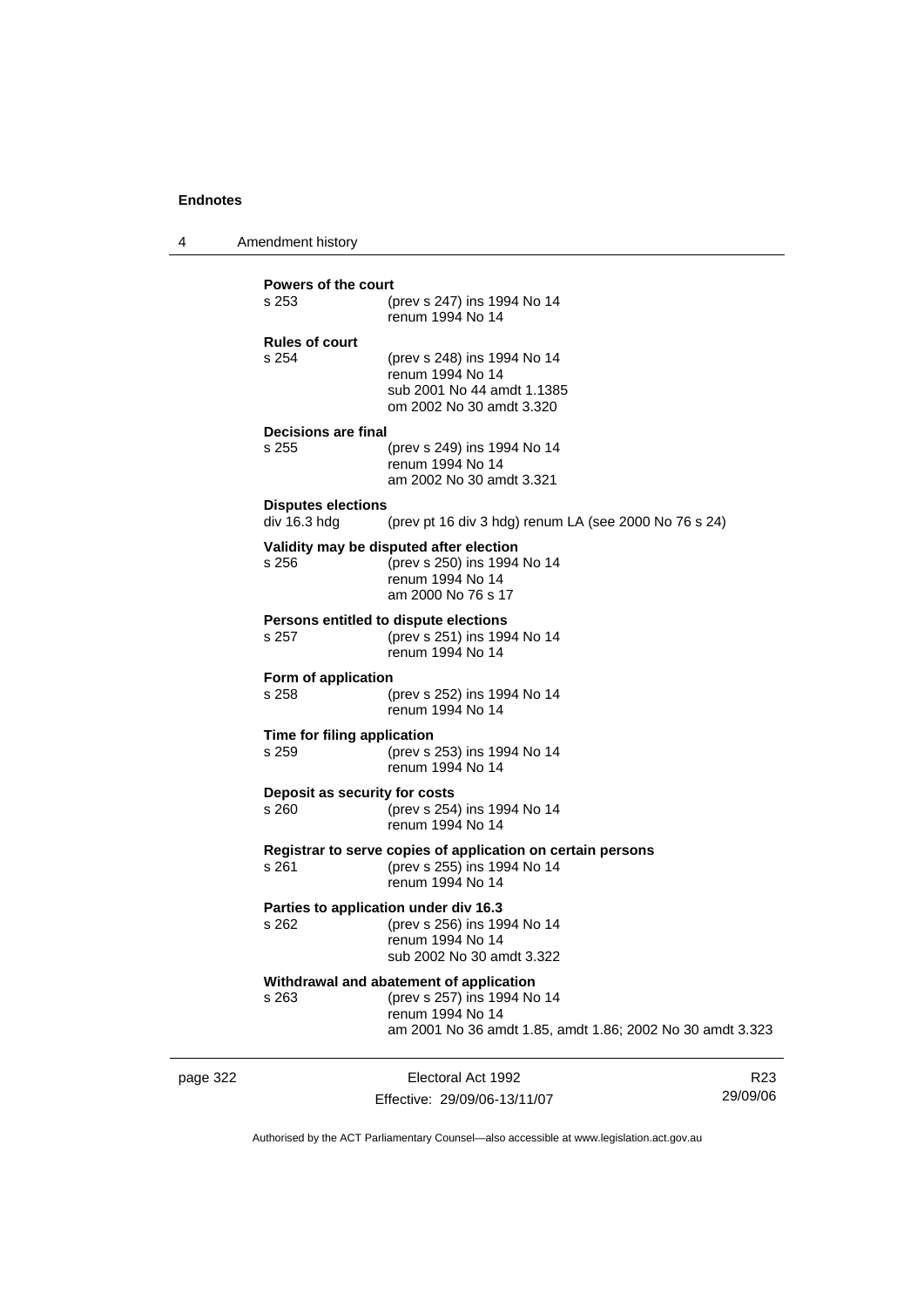4 Amendment history

| <b>Powers of the court</b>                |                                                                                                                                                         |  |
|-------------------------------------------|---------------------------------------------------------------------------------------------------------------------------------------------------------|--|
| s 253                                     | (prev s 247) ins 1994 No 14<br>renum 1994 No 14                                                                                                         |  |
| <b>Rules of court</b><br>s 254            | (prev s 248) ins 1994 No 14<br>renum 1994 No 14<br>sub 2001 No 44 amdt 1.1385<br>om 2002 No 30 amdt 3.320                                               |  |
| Decisions are final                       |                                                                                                                                                         |  |
| s 255                                     | (prev s 249) ins 1994 No 14<br>renum 1994 No 14<br>am 2002 No 30 amdt 3.321                                                                             |  |
| <b>Disputes elections</b><br>div 16.3 hdg | (prev pt 16 div 3 hdg) renum LA (see 2000 No 76 s 24)                                                                                                   |  |
| s 256                                     | Validity may be disputed after election<br>(prev s 250) ins 1994 No 14<br>renum 1994 No 14<br>am 2000 No 76 s 17                                        |  |
| s 257                                     | Persons entitled to dispute elections<br>(prev s 251) ins 1994 No 14<br>renum 1994 No 14                                                                |  |
| Form of application<br>$s$ 258            | (prev s 252) ins 1994 No 14<br>renum 1994 No 14                                                                                                         |  |
| Time for filing application<br>s 259      | (prev s 253) ins 1994 No 14<br>renum 1994 No 14                                                                                                         |  |
| Deposit as security for costs<br>s 260    | (prev s 254) ins 1994 No 14<br>renum 1994 No 14                                                                                                         |  |
| s 261                                     | Registrar to serve copies of application on certain persons<br>(prev s 255) ins 1994 No 14<br>renum 1994 No 14                                          |  |
| s 262                                     | Parties to application under div 16.3<br>(prev s 256) ins 1994 No 14<br>renum 1994 No 14<br>sub 2002 No 30 amdt 3.322                                   |  |
| s 263                                     | Withdrawal and abatement of application<br>(prev s 257) ins 1994 No 14<br>renum 1994 No 14<br>am 2001 No 36 amdt 1.85, amdt 1.86; 2002 No 30 amdt 3.323 |  |

page 322 Electoral Act 1992 Effective: 29/09/06-13/11/07

R23 29/09/06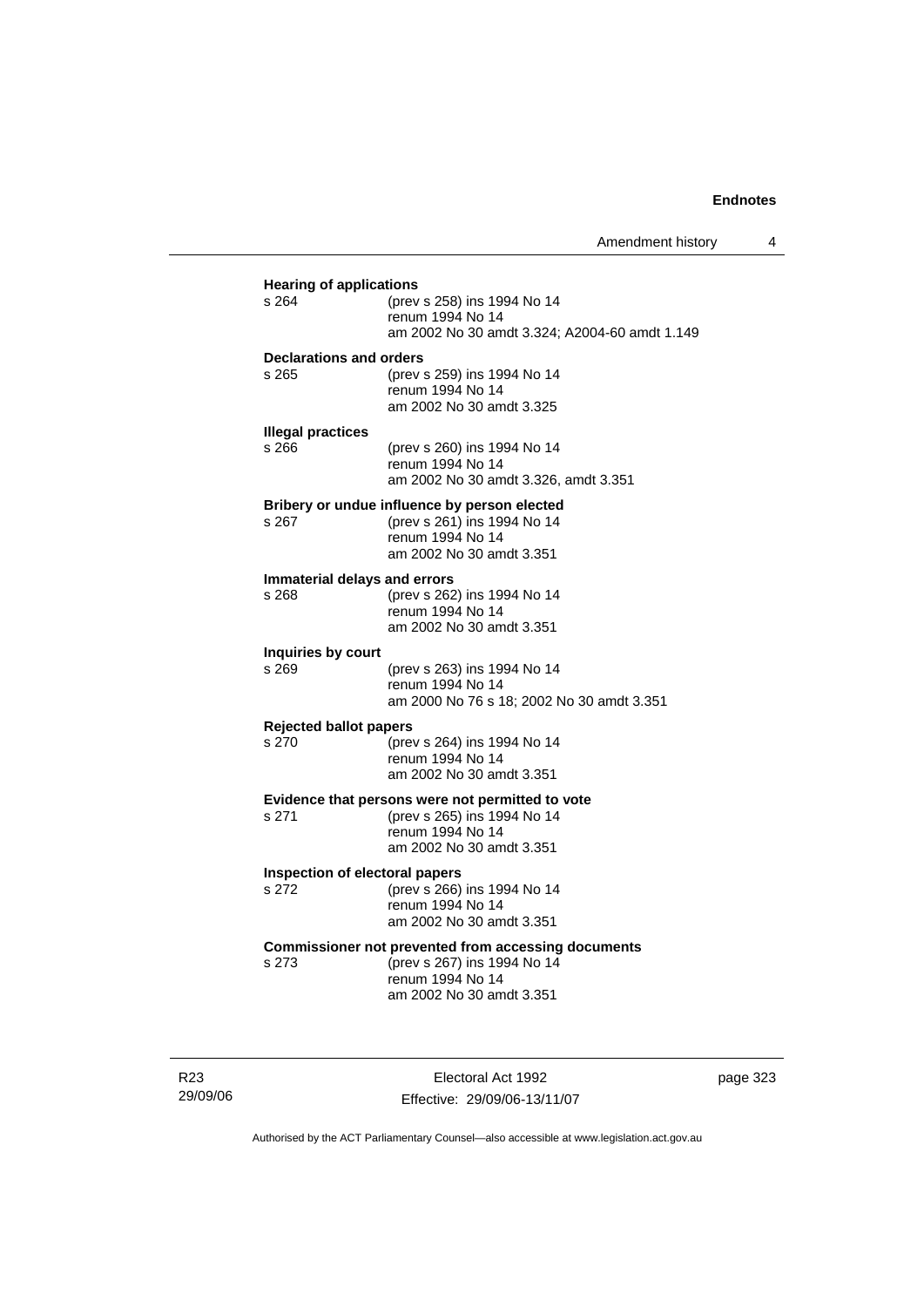| s 264                                  | (prev s 258) ins 1994 No 14<br>renum 1994 No 14<br>am 2002 No 30 amdt 3.324; A2004-60 amdt 1.149                                   |
|----------------------------------------|------------------------------------------------------------------------------------------------------------------------------------|
| Declarations and orders<br>s 265       | (prev s 259) ins 1994 No 14<br>renum 1994 No 14<br>am 2002 No 30 amdt 3.325                                                        |
| <b>Illegal practices</b><br>s 266      | (prev s 260) ins 1994 No 14<br>renum 1994 No 14<br>am 2002 No 30 amdt 3.326, amdt 3.351                                            |
| s 267                                  | Bribery or undue influence by person elected<br>(prev s 261) ins 1994 No 14<br>renum 1994 No 14<br>am 2002 No 30 amdt 3.351        |
| Immaterial delays and errors<br>s 268  | (prev s 262) ins 1994 No 14<br>renum 1994 No 14<br>am 2002 No 30 amdt 3.351                                                        |
| Inquiries by court<br>s 269            | (prev s 263) ins 1994 No 14<br>renum 1994 No 14<br>am 2000 No 76 s 18; 2002 No 30 amdt 3.351                                       |
| <b>Rejected ballot papers</b><br>s 270 | (prev s 264) ins 1994 No 14<br>renum 1994 No 14<br>am 2002 No 30 amdt 3.351                                                        |
| s 271                                  | Evidence that persons were not permitted to vote<br>(prev s 265) ins 1994 No 14<br>renum 1994 No 14<br>am 2002 No 30 amdt 3.351    |
| s 272                                  | Inspection of electoral papers<br>(prev s 266) ins 1994 No 14<br>renum 1994 No 14<br>am 2002 No 30 amdt 3.351                      |
| s 273                                  | Commissioner not prevented from accessing documents<br>(prev s 267) ins 1994 No 14<br>renum 1994 No 14<br>am 2002 No 30 amdt 3.351 |

R23 29/09/06

Electoral Act 1992 Effective: 29/09/06-13/11/07 page 323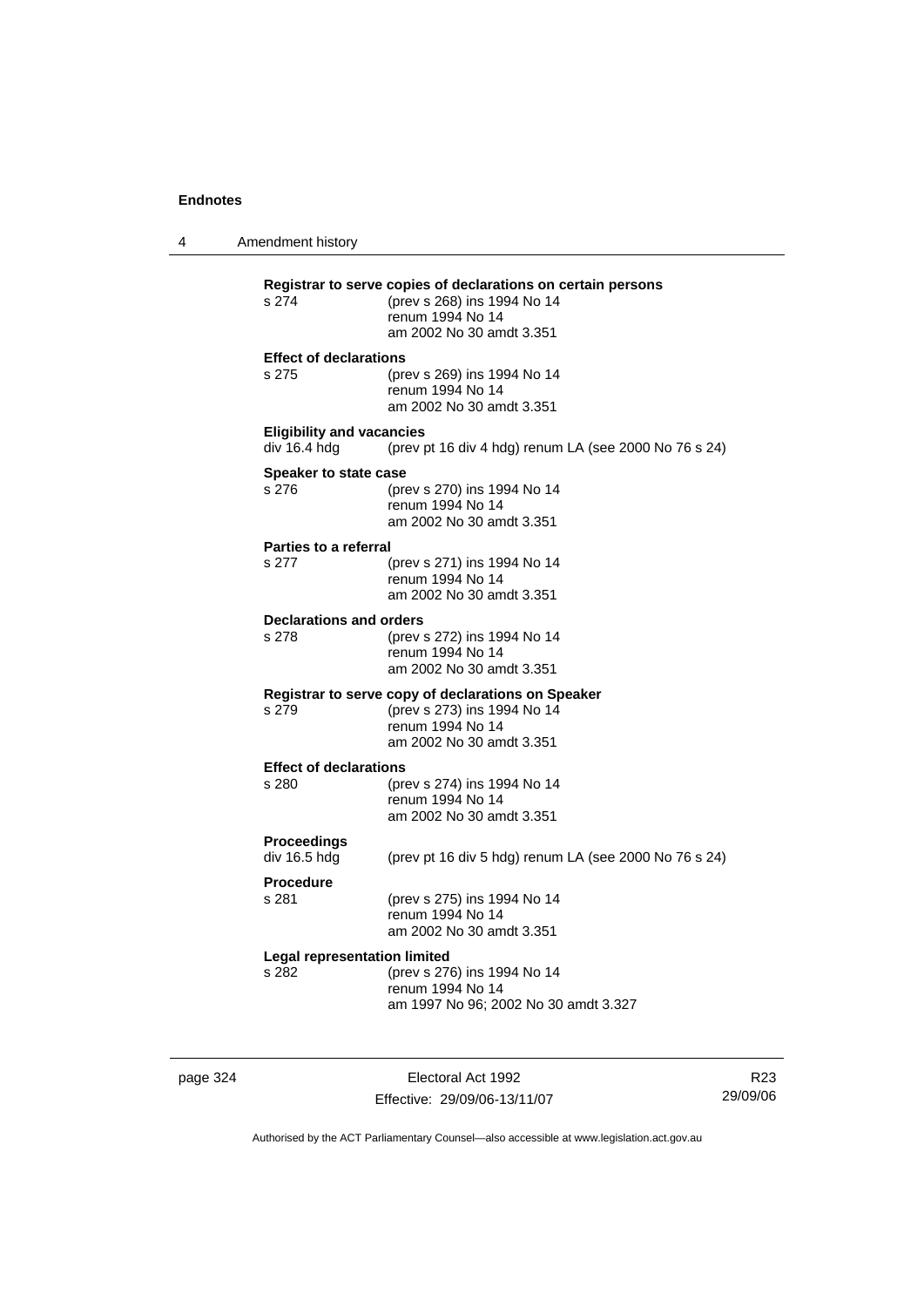4 Amendment history **Registrar to serve copies of declarations on certain persons** (prev s 268) ins 1994 No 14 renum 1994 No 14 am 2002 No 30 amdt 3.351 **Effect of declarations** s 275 (prev s 269) ins 1994 No 14 renum 1994 No 14 am 2002 No 30 amdt 3.351 **Eligibility and vacancies**  div 16.4 hdg (prev pt 16 div 4 hdg) renum LA (see 2000 No 76 s 24) **Speaker to state case** s 276 (prev s 270) ins 1994 No 14 renum 1994 No 14 am 2002 No 30 amdt 3.351 **Parties to a referral** s 277 (prev s 271) ins 1994 No 14 renum 1994 No 14 am 2002 No 30 amdt 3.351 **Declarations and orders**<br>s 278 (prev) s 278 (prev s 272) ins 1994 No 14 renum 1994 No 14 am 2002 No 30 amdt 3.351 **Registrar to serve copy of declarations on Speaker** s 279 (prev s 273) ins 1994 No 14 renum 1994 No 14 am 2002 No 30 amdt 3.351 **Effect of declarations** s 280 (prev s 274) ins 1994 No 14 renum 1994 No 14 am 2002 No 30 amdt 3.351 **Proceedings**  (prev pt 16 div 5 hdg) renum LA (see 2000 No 76 s 24) **Procedure** s 281 (prev s 275) ins 1994 No 14 renum 1994 No 14 am 2002 No 30 amdt 3.351 **Legal representation limited** s 282 (prev s 276) ins 1994 No 14 renum 1994 No 14 am 1997 No 96; 2002 No 30 amdt 3.327

page 324 Electoral Act 1992 Effective: 29/09/06-13/11/07

R23 29/09/06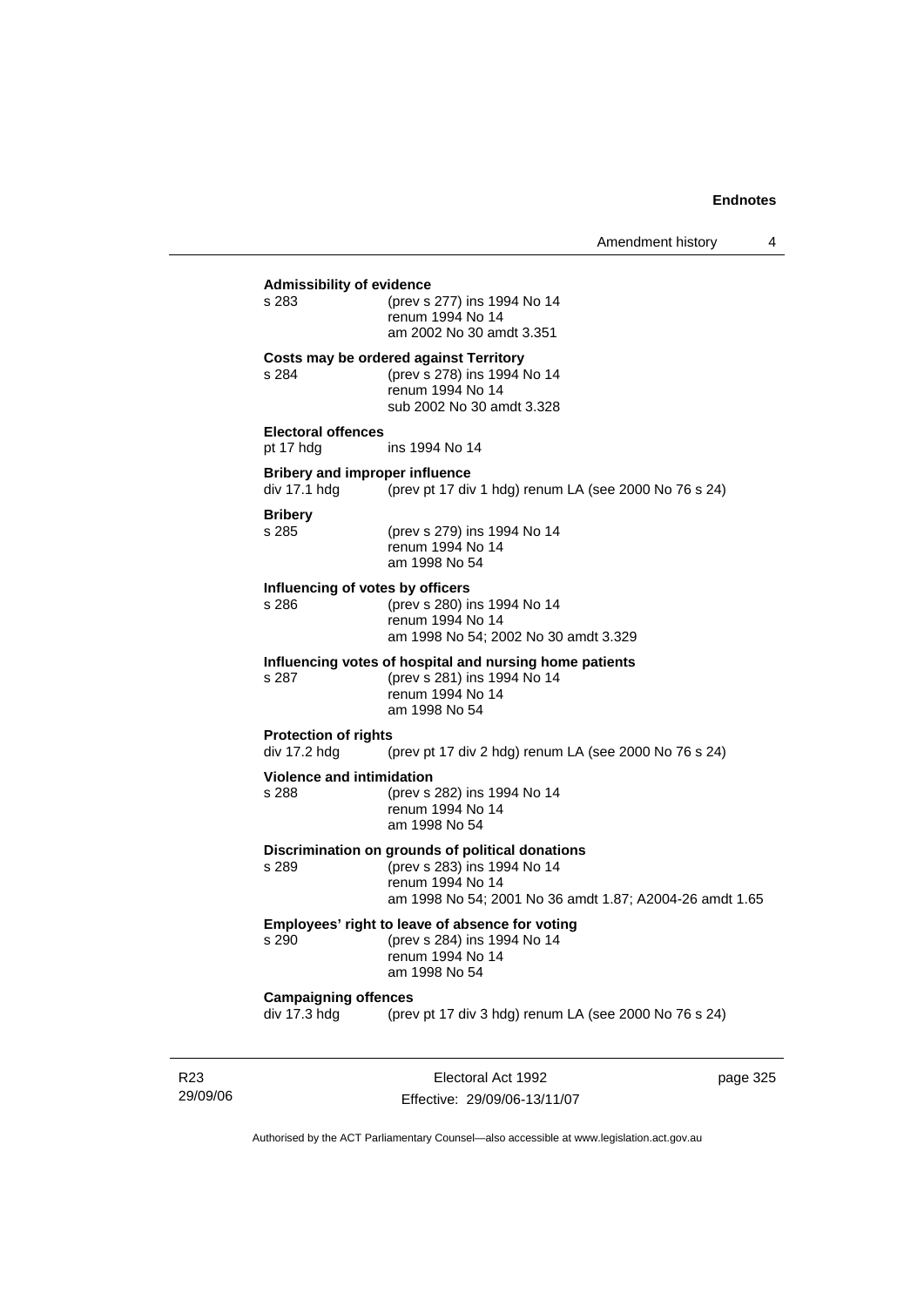# **Admissibility of evidence** s 283 (prev s 277) ins 1994 No 14 renum 1994 No 14 am 2002 No 30 amdt 3.351 **Costs may be ordered against Territory** s 284 (prev s 278) ins 1994 No 14 renum 1994 No 14 sub 2002 No 30 amdt 3.328 **Electoral offences** pt 17 hdg ins 1994 No 14 **Bribery and improper influence**<br>div 17.1 hdg (prev pt 17 div (prev pt 17 div 1 hdg) renum LA (see 2000 No 76 s 24) **Bribery** s 285 (prev s 279) ins 1994 No 14 renum 1994 No 14 am 1998 No 54 **Influencing of votes by officers** s 286 (prev s 280) ins 1994 No 14 renum 1994 No 14 am 1998 No 54; 2002 No 30 amdt 3.329 **Influencing votes of hospital and nursing home patients** s 287 (prev s 281) ins 1994 No 14 renum 1994 No 14 am 1998 No 54 **Protection of rights**  div 17.2 hdg (prev pt 17 div 2 hdg) renum LA (see 2000 No 76 s 24) **Violence and intimidation**<br>s 288 (prev s (prev s 282) ins 1994 No 14 renum 1994 No 14 am 1998 No 54 **Discrimination on grounds of political donations** s 289 (prev s 283) ins 1994 No 14 renum 1994 No 14 am 1998 No 54; 2001 No 36 amdt 1.87; A2004-26 amdt 1.65 **Employees' right to leave of absence for voting** s 290 (prev s 284) ins 1994 No 14 renum 1994 No 14 am 1998 No 54

#### **Campaigning offences**

div 17.3 hdg (prev pt 17 div 3 hdg) renum LA (see 2000 No 76 s 24)

R23 29/09/06

Electoral Act 1992 Effective: 29/09/06-13/11/07 page 325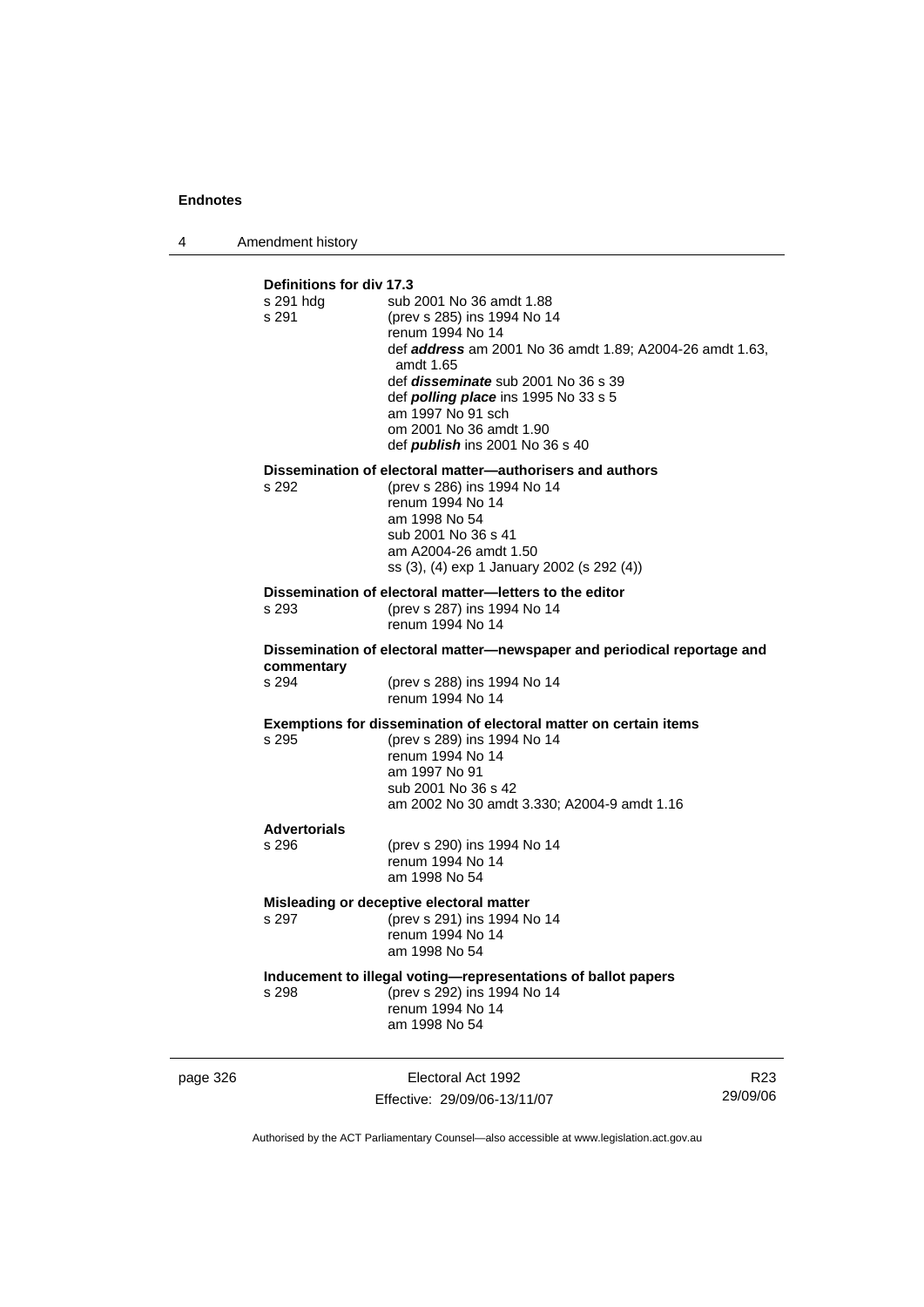4 Amendment history

| Definitions for div 17.3<br>s 291 hdg<br>s 291 | sub 2001 No 36 amdt 1.88<br>(prev s 285) ins 1994 No 14<br>renum 1994 No 14<br>def <b>address</b> am 2001 No 36 amdt 1.89; A2004-26 amdt 1.63,<br>amdt 1.65<br>def <i>disseminate</i> sub 2001 No 36 s 39<br>def <i>polling place</i> ins 1995 No 33 s 5<br>am 1997 No 91 sch<br>om 2001 No 36 amdt 1.90<br>def publish ins 2001 No 36 s 40 |  |
|------------------------------------------------|---------------------------------------------------------------------------------------------------------------------------------------------------------------------------------------------------------------------------------------------------------------------------------------------------------------------------------------------|--|
| s 292                                          | Dissemination of electoral matter-authorisers and authors<br>(prev s 286) ins 1994 No 14                                                                                                                                                                                                                                                    |  |
|                                                | renum 1994 No 14                                                                                                                                                                                                                                                                                                                            |  |
|                                                | am 1998 No 54<br>sub 2001 No 36 s 41                                                                                                                                                                                                                                                                                                        |  |
|                                                | am A2004-26 amdt 1.50                                                                                                                                                                                                                                                                                                                       |  |
|                                                | ss (3), (4) exp 1 January 2002 (s 292 (4))                                                                                                                                                                                                                                                                                                  |  |
| s 293                                          | Dissemination of electoral matter-letters to the editor<br>(prev s 287) ins 1994 No 14                                                                                                                                                                                                                                                      |  |
|                                                | renum 1994 No 14                                                                                                                                                                                                                                                                                                                            |  |
| commentary                                     | Dissemination of electoral matter-newspaper and periodical reportage and                                                                                                                                                                                                                                                                    |  |
| s 294                                          | (prev s 288) ins 1994 No 14<br>renum 1994 No 14                                                                                                                                                                                                                                                                                             |  |
|                                                | Exemptions for dissemination of electoral matter on certain items                                                                                                                                                                                                                                                                           |  |
| s 295                                          | (prev s 289) ins 1994 No 14<br>renum 1994 No 14                                                                                                                                                                                                                                                                                             |  |
|                                                | am 1997 No 91                                                                                                                                                                                                                                                                                                                               |  |
|                                                | sub 2001 No 36 s 42<br>am 2002 No 30 amdt 3.330; A2004-9 amdt 1.16                                                                                                                                                                                                                                                                          |  |
| <b>Advertorials</b>                            |                                                                                                                                                                                                                                                                                                                                             |  |
| s 296                                          | (prev s 290) ins 1994 No 14<br>renum 1994 No 14                                                                                                                                                                                                                                                                                             |  |
|                                                | am 1998 No 54                                                                                                                                                                                                                                                                                                                               |  |
|                                                | Misleading or deceptive electoral matter                                                                                                                                                                                                                                                                                                    |  |
| s 297                                          | (prev s 291) ins 1994 No 14<br>renum 1994 No 14                                                                                                                                                                                                                                                                                             |  |
|                                                | am 1998 No 54                                                                                                                                                                                                                                                                                                                               |  |
|                                                | Inducement to illegal voting-representations of ballot papers                                                                                                                                                                                                                                                                               |  |
| s 298                                          | (prev s 292) ins 1994 No 14<br>renum 1994 No 14                                                                                                                                                                                                                                                                                             |  |
|                                                | am 1998 No 54                                                                                                                                                                                                                                                                                                                               |  |
|                                                |                                                                                                                                                                                                                                                                                                                                             |  |

page 326 Electoral Act 1992 Effective: 29/09/06-13/11/07

R23 29/09/06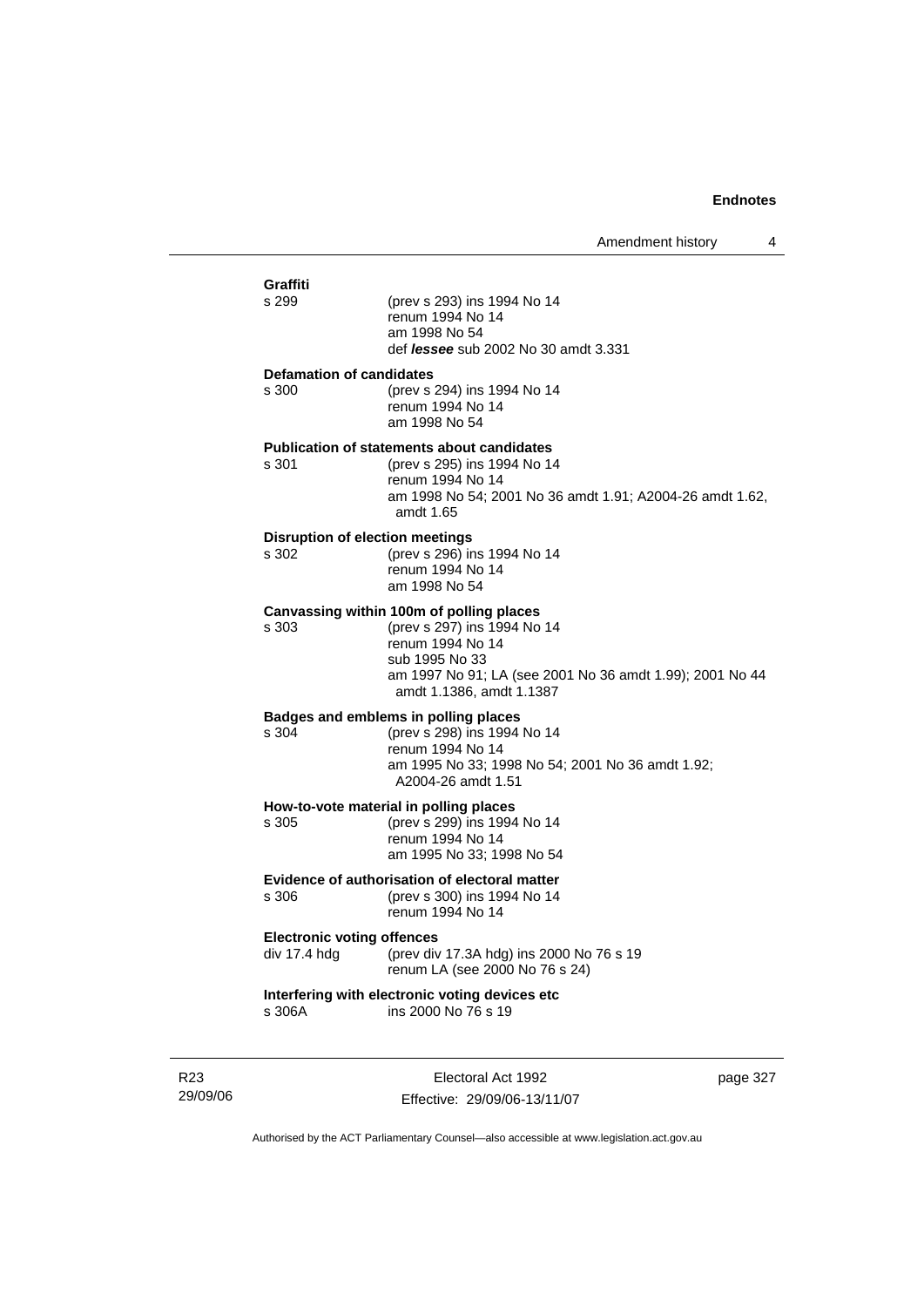| Graffiti                                      |                                                                                                                                                           |  |  |
|-----------------------------------------------|-----------------------------------------------------------------------------------------------------------------------------------------------------------|--|--|
| s 299                                         | (prev s 293) ins 1994 No 14<br>renum 1994 No 14<br>am 1998 No 54<br>def <i>lessee</i> sub 2002 No 30 amdt 3.331                                           |  |  |
| <b>Defamation of candidates</b>               |                                                                                                                                                           |  |  |
| s 300                                         | (prev s 294) ins 1994 No 14<br>renum 1994 No 14<br>am 1998 No 54                                                                                          |  |  |
|                                               | <b>Publication of statements about candidates</b>                                                                                                         |  |  |
| s 301                                         | (prev s 295) ins 1994 No 14<br>renum 1994 No 14<br>am 1998 No 54; 2001 No 36 amdt 1.91; A2004-26 amdt 1.62,<br>amdt 1.65                                  |  |  |
| <b>Disruption of election meetings</b>        |                                                                                                                                                           |  |  |
| s 302                                         | (prev s 296) ins 1994 No 14<br>renum 1994 No 14<br>am 1998 No 54                                                                                          |  |  |
|                                               | Canvassing within 100m of polling places                                                                                                                  |  |  |
| s 303                                         | (prev s 297) ins 1994 No 14<br>renum 1994 No 14<br>sub 1995 No 33<br>am 1997 No 91; LA (see 2001 No 36 amdt 1.99); 2001 No 44<br>amdt 1.1386, amdt 1.1387 |  |  |
|                                               | Badges and emblems in polling places                                                                                                                      |  |  |
| s 304                                         | (prev s 298) ins 1994 No 14                                                                                                                               |  |  |
|                                               | renum 1994 No 14<br>am 1995 No 33; 1998 No 54; 2001 No 36 amdt 1.92;<br>A2004-26 amdt 1.51                                                                |  |  |
|                                               | How-to-vote material in polling places                                                                                                                    |  |  |
| s 305                                         | (prev s 299) ins 1994 No 14                                                                                                                               |  |  |
|                                               | renum 1994 No 14<br>am 1995 No 33; 1998 No 54                                                                                                             |  |  |
| Evidence of authorisation of electoral matter |                                                                                                                                                           |  |  |
| s 306                                         | (prev s 300) ins 1994 No 14<br>renum 1994 No 14                                                                                                           |  |  |
|                                               | <b>Electronic voting offences</b>                                                                                                                         |  |  |
| div 17.4 hdg                                  | (prev div 17.3A hdg) ins 2000 No 76 s 19<br>renum LA (see 2000 No 76 s 24)                                                                                |  |  |
| s 306A                                        | Interfering with electronic voting devices etc<br>ins 2000 No 76 s 19                                                                                     |  |  |
|                                               |                                                                                                                                                           |  |  |

R23 29/09/06

Electoral Act 1992 Effective: 29/09/06-13/11/07 page 327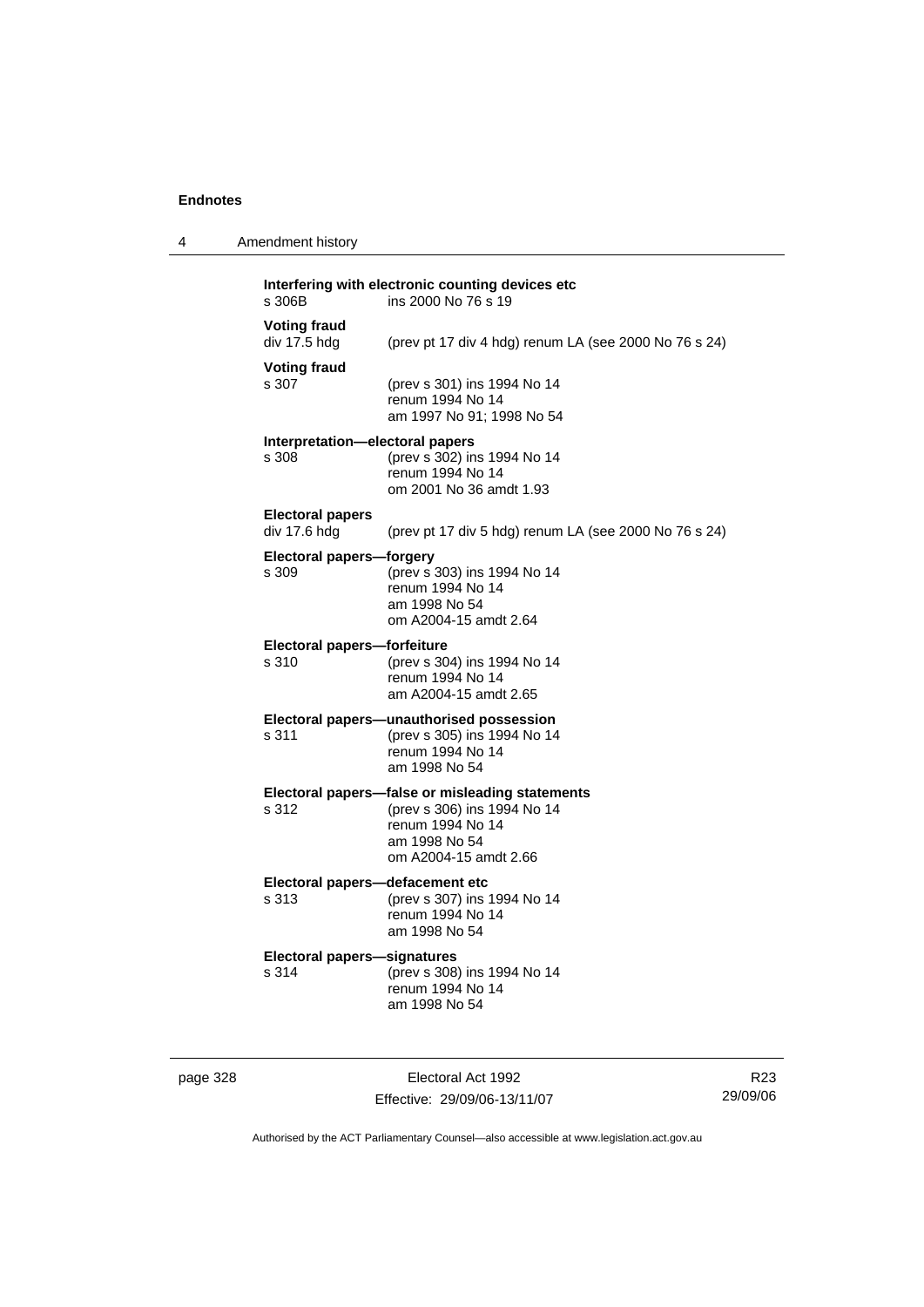4 Amendment history

| <b>Voting fraud</b><br>div 17.5 hdg      | (prev pt 17 div 4 hdg) renum LA (see 2000 No 76 s 24)                                                                                        |
|------------------------------------------|----------------------------------------------------------------------------------------------------------------------------------------------|
| <b>Voting fraud</b><br>s 307             | (prev s 301) ins 1994 No 14<br>renum 1994 No 14<br>am 1997 No 91; 1998 No 54                                                                 |
| Interpretation-electoral papers<br>s 308 | (prev s 302) ins 1994 No 14<br>renum 1994 No 14<br>om 2001 No 36 amdt 1.93                                                                   |
| <b>Electoral papers</b><br>div 17.6 hdg  | (prev pt 17 div 5 hdg) renum LA (see 2000 No 76 s 24)                                                                                        |
| <b>Electoral papers-forgery</b><br>s 309 | (prev s 303) ins 1994 No 14<br>renum 1994 No 14<br>am 1998 No 54<br>om A2004-15 amdt 2.64                                                    |
| Electoral papers-forfeiture<br>s 310     | (prev s 304) ins 1994 No 14<br>renum 1994 No 14<br>am A2004-15 amdt 2.65                                                                     |
| s 311                                    | Electoral papers-unauthorised possession<br>(prev s 305) ins 1994 No 14<br>renum 1994 No 14<br>am 1998 No 54                                 |
| s 312                                    | Electoral papers-false or misleading statements<br>(prev s 306) ins 1994 No 14<br>renum 1994 No 14<br>am 1998 No 54<br>om A2004-15 amdt 2.66 |

# **Electoral papers—defacement etc**<br>s 313 (prev s 307) ins

s 313 (prev s 307) ins 1994 No 14 renum 1994 No 14 am 1998 No 54

# **Electoral papers—signatures**

(prev s 308) ins 1994 No 14 renum 1994 No 14 am 1998 No 54

page 328 Electoral Act 1992 Effective: 29/09/06-13/11/07

R23 29/09/06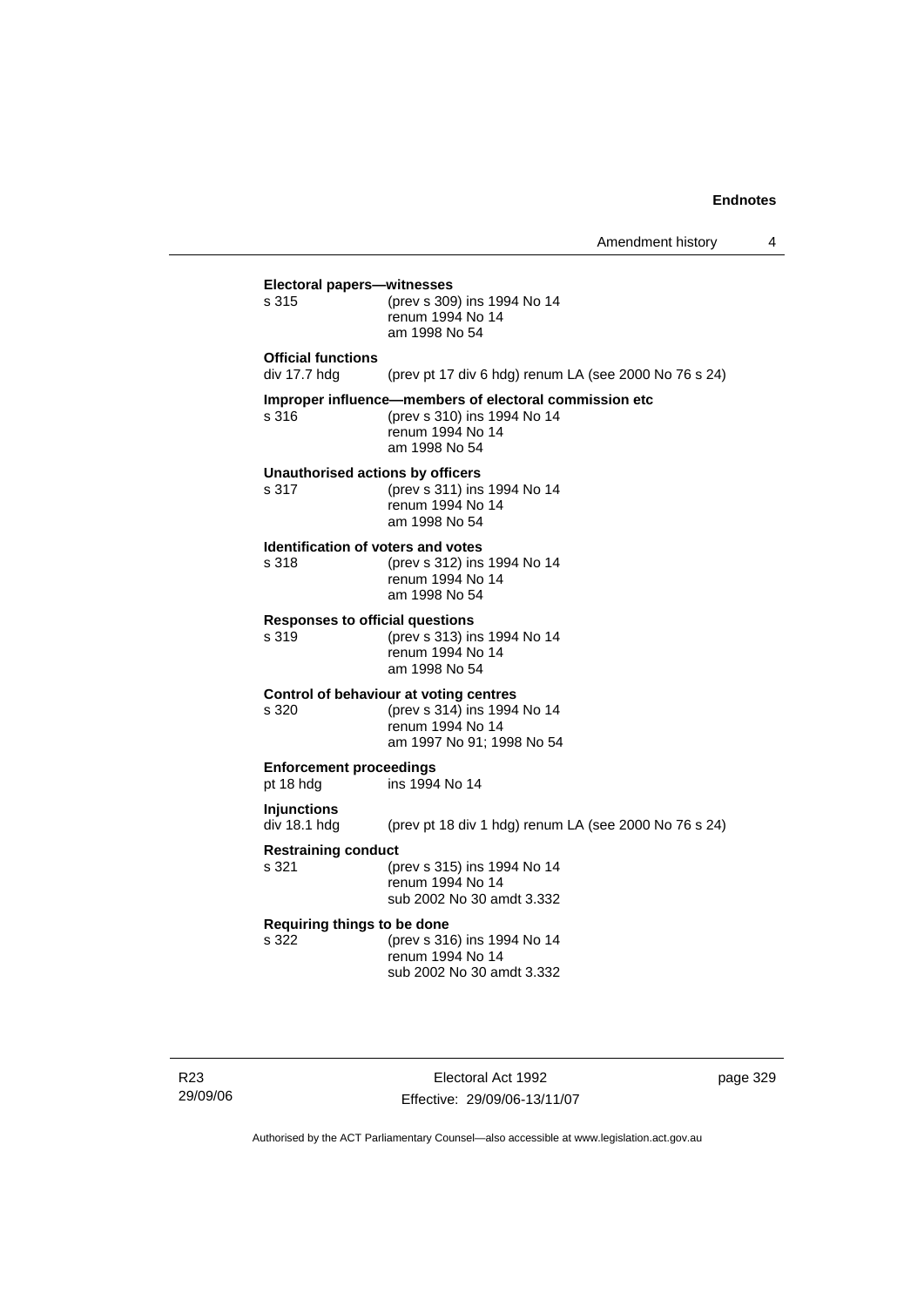|                                                    |                                                                                                                            | Amendment history | 4 |
|----------------------------------------------------|----------------------------------------------------------------------------------------------------------------------------|-------------------|---|
| <b>Electoral papers-witnesses</b><br>s 315         | (prev s 309) ins 1994 No 14<br>renum 1994 No 14<br>am 1998 No 54                                                           |                   |   |
| <b>Official functions</b><br>div 17.7 hdg          | (prev pt 17 div 6 hdg) renum LA (see 2000 No 76 s 24)                                                                      |                   |   |
| s 316                                              | Improper influence-members of electoral commission etc<br>(prev s 310) ins 1994 No 14<br>renum 1994 No 14<br>am 1998 No 54 |                   |   |
| Unauthorised actions by officers<br>s 317          | (prev s 311) ins 1994 No 14<br>renum 1994 No 14<br>am 1998 No 54                                                           |                   |   |
| <b>Identification of voters and votes</b><br>s 318 | (prev s 312) ins 1994 No 14<br>renum 1994 No 14<br>am 1998 No 54                                                           |                   |   |
| <b>Responses to official questions</b><br>s 319    | (prev s 313) ins 1994 No 14<br>renum 1994 No 14<br>am 1998 No 54                                                           |                   |   |
| s 320                                              | Control of behaviour at voting centres<br>(prev s 314) ins 1994 No 14<br>renum 1994 No 14<br>am 1997 No 91; 1998 No 54     |                   |   |
| <b>Enforcement proceedings</b><br>pt 18 hdg        | ins 1994 No 14                                                                                                             |                   |   |
| <b>Injunctions</b><br>div 18.1 hdg                 | (prev pt 18 div 1 hdg) renum LA (see 2000 No 76 s 24)                                                                      |                   |   |
| <b>Restraining conduct</b><br>s 321                | (prev s 315) ins 1994 No 14<br>renum 1994 No 14<br>sub 2002 No 30 amdt 3.332                                               |                   |   |
| Requiring things to be done<br>s 322               | (prev s 316) ins 1994 No 14<br>renum 1994 No 14<br>sub 2002 No 30 amdt 3.332                                               |                   |   |
|                                                    |                                                                                                                            |                   |   |

Electoral Act 1992 Effective: 29/09/06-13/11/07 page 329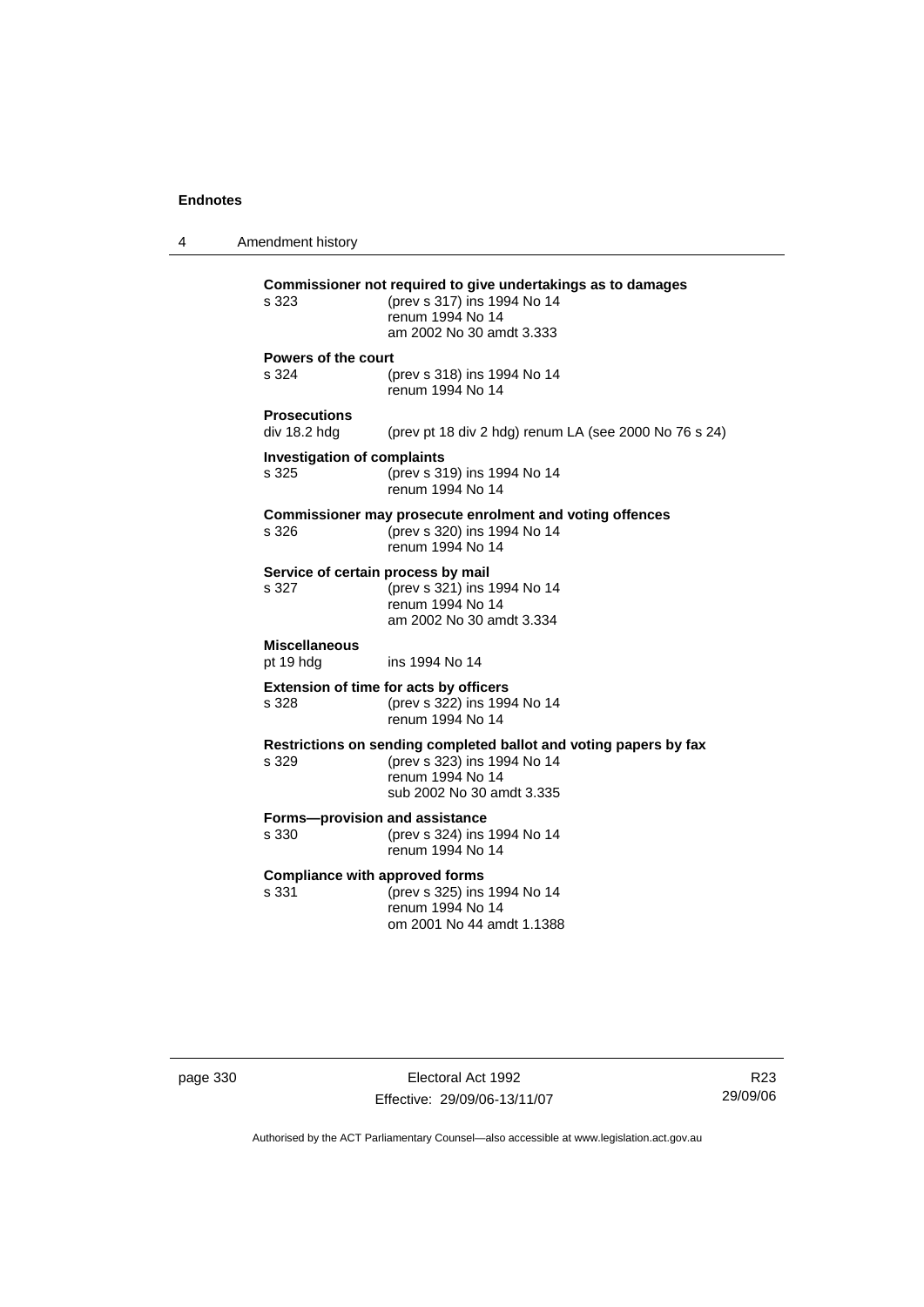4 Amendment history **Commissioner not required to give undertakings as to damages** s 323 (prev s 317) ins 1994 No 14 renum 1994 No 14 am 2002 No 30 amdt 3.333 **Powers of the court** s 324 (prev s 318) ins 1994 No 14 renum 1994 No 14 **Prosecutions**  (prev pt 18 div 2 hdg) renum LA (see 2000 No 76 s 24) **Investigation of complaints** s 325 (prev s 319) ins 1994 No 14 renum 1994 No 14 **Commissioner may prosecute enrolment and voting offences** s 326 (prev s 320) ins 1994 No 14 renum 1994 No 14 **Service of certain process by mail**<br>s 327 (prev s 321) ins 1 s 327 (prev s 321) ins 1994 No 14 renum 1994 No 14 am 2002 No 30 amdt 3.334 **Miscellaneous** pt 19 hdg ins 1994 No 14 **Extension of time for acts by officers** s 328 (prev s 322) ins 1994 No 14 renum 1994 No 14 **Restrictions on sending completed ballot and voting papers by fax** s 329 (prev s 323) ins 1994 No 14 renum 1994 No 14 sub 2002 No 30 amdt 3.335 **Forms—provision and assistance**<br>s 330 (prev s 324) ins (prev s 324) ins 1994 No 14 renum 1994 No 14 **Compliance with approved forms** s 331 (prev s 325) ins 1994 No 14 renum 1994 No 14 om 2001 No 44 amdt 1.1388

page 330 Electoral Act 1992 Effective: 29/09/06-13/11/07

R23 29/09/06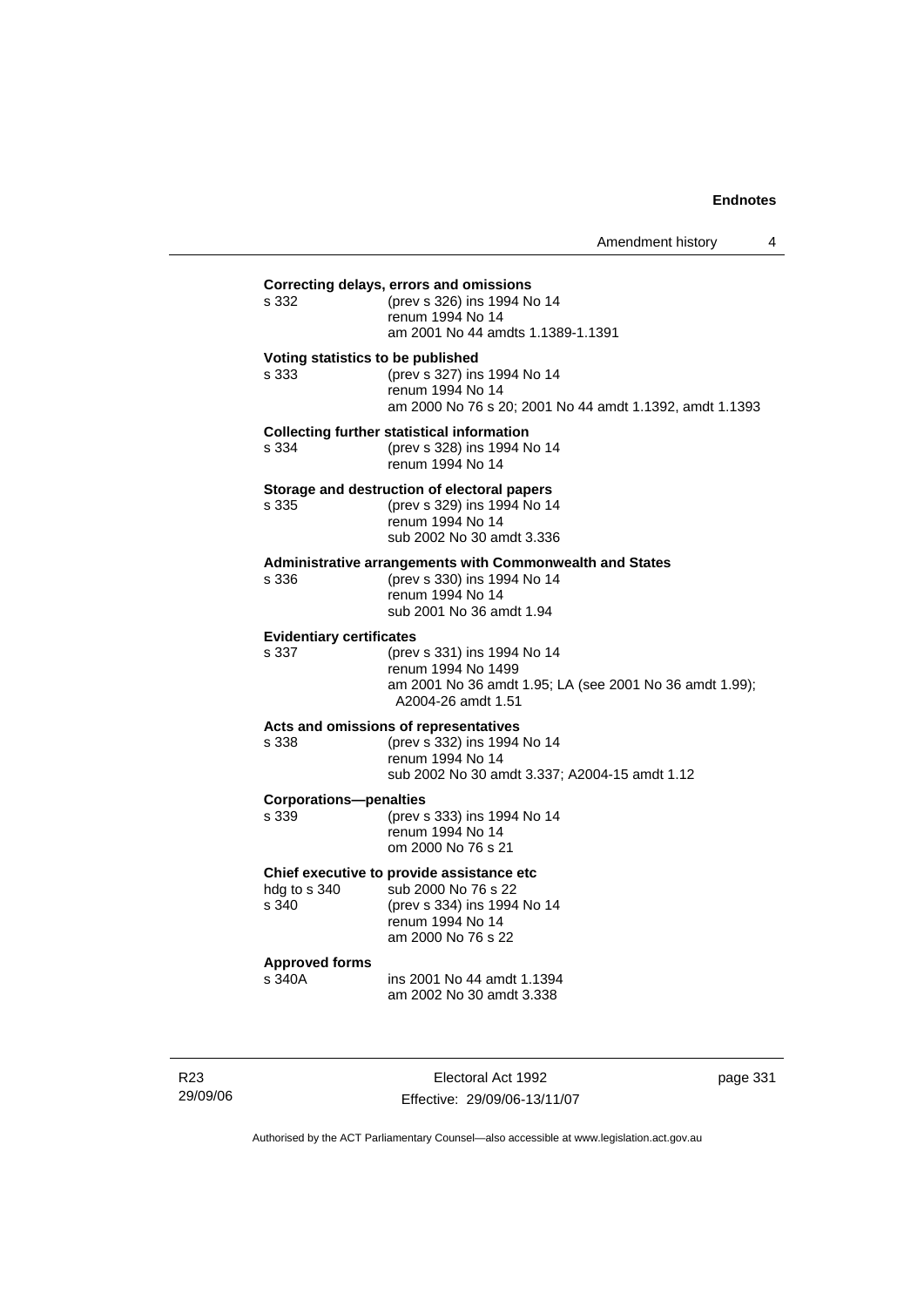| s 332                                    | Correcting delays, errors and omissions<br>(prev s 326) ins 1994 No 14<br>renum 1994 No 14<br>am 2001 No 44 amdts 1.1389-1.1391                 |
|------------------------------------------|-------------------------------------------------------------------------------------------------------------------------------------------------|
| s 333                                    | Voting statistics to be published<br>(prev s 327) ins 1994 No 14<br>renum 1994 No 14<br>am 2000 No 76 s 20; 2001 No 44 amdt 1.1392, amdt 1.1393 |
| s 334                                    | <b>Collecting further statistical information</b><br>(prev s 328) ins 1994 No 14<br>renum 1994 No 14                                            |
| s 335                                    | Storage and destruction of electoral papers<br>(prev s 329) ins 1994 No 14<br>renum 1994 No 14<br>sub 2002 No 30 amdt 3.336                     |
| s 336                                    | <b>Administrative arrangements with Commonwealth and States</b><br>(prev s 330) ins 1994 No 14<br>renum 1994 No 14<br>sub 2001 No 36 amdt 1.94  |
| <b>Evidentiary certificates</b><br>s.337 | (prev s 331) ins 1994 No 14<br>renum 1994 No 1499<br>am 2001 No 36 amdt 1.95; LA (see 2001 No 36 amdt 1.99);<br>A2004-26 amdt 1.51              |
| s 338                                    | Acts and omissions of representatives<br>(prev s 332) ins 1994 No 14<br>renum 1994 No 14<br>sub 2002 No 30 amdt 3.337; A2004-15 amdt 1.12       |
| <b>Corporations-penalties</b><br>s 339   | (prev s 333) ins 1994 No 14<br>renum 1994 No 14<br>om 2000 No 76 s 21                                                                           |
| hdg to s 340<br>s 340                    | Chief executive to provide assistance etc<br>sub 2000 No 76 s 22<br>(prev s 334) ins 1994 No 14<br>renum 1994 No 14<br>am 2000 No 76 s 22       |
| <b>Approved forms</b><br>s 340A          | ins 2001 No 44 amdt 1.1394<br>am 2002 No 30 amdt 3.338                                                                                          |

R23 29/09/06

Electoral Act 1992 Effective: 29/09/06-13/11/07 page 331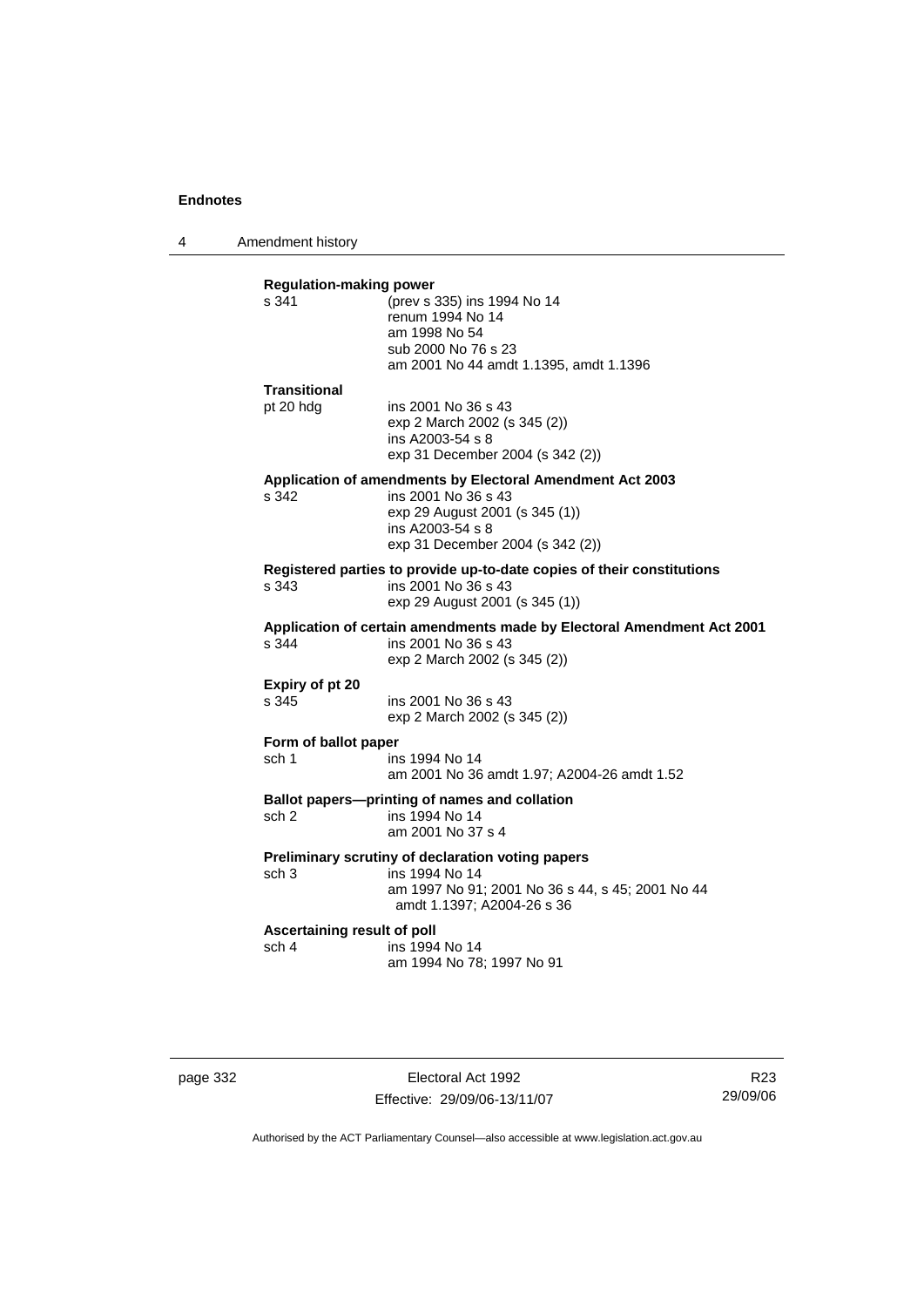4 Amendment history

| s 341                       | <b>Regulation-making power</b><br>(prev s 335) ins 1994 No 14                  |
|-----------------------------|--------------------------------------------------------------------------------|
|                             | renum 1994 No 14                                                               |
|                             | am 1998 No 54                                                                  |
|                             | sub 2000 No 76 s 23                                                            |
|                             | am 2001 No 44 amdt 1.1395, amdt 1.1396                                         |
| Transitional                |                                                                                |
| pt 20 hdg                   | ins 2001 No 36 s 43                                                            |
|                             | exp 2 March 2002 (s 345 (2))                                                   |
|                             | ins A2003-54 s 8                                                               |
|                             | exp 31 December 2004 (s 342 (2))                                               |
|                             | Application of amendments by Electoral Amendment Act 2003                      |
| s 342                       | ins 2001 No 36 s 43<br>exp 29 August 2001 (s 345 (1))                          |
|                             | ins A2003-54 s 8                                                               |
|                             | exp 31 December 2004 (s 342 (2))                                               |
|                             | Registered parties to provide up-to-date copies of their constitutions         |
| s 343                       | ins 2001 No 36 s 43                                                            |
|                             | exp 29 August 2001 (s 345 (1))                                                 |
|                             | Application of certain amendments made by Electoral Amendment Act 2001         |
| s.344                       | ins 2001 No 36 s 43                                                            |
|                             | exp 2 March 2002 (s 345 (2))                                                   |
| Expiry of pt 20             |                                                                                |
| s 345                       | ins 2001 No 36 s 43                                                            |
|                             | exp 2 March 2002 (s 345 (2))                                                   |
| Form of ballot paper        |                                                                                |
| sch 1                       | ins 1994 No 14                                                                 |
|                             | am 2001 No 36 amdt 1.97; A2004-26 amdt 1.52                                    |
|                             | Ballot papers--printing of names and collation                                 |
| sch 2                       | ins 1994 No 14                                                                 |
|                             | am 2001 No 37 s 4                                                              |
|                             | Preliminary scrutiny of declaration voting papers                              |
| sch <sub>3</sub>            | ins 1994 No 14                                                                 |
|                             | am 1997 No 91; 2001 No 36 s 44, s 45; 2001 No 44<br>amdt 1.1397; A2004-26 s 36 |
| Ascertaining result of poll |                                                                                |
|                             |                                                                                |
| sch 4                       | ins 1994 No 14                                                                 |

page 332 Electoral Act 1992 Effective: 29/09/06-13/11/07

R23 29/09/06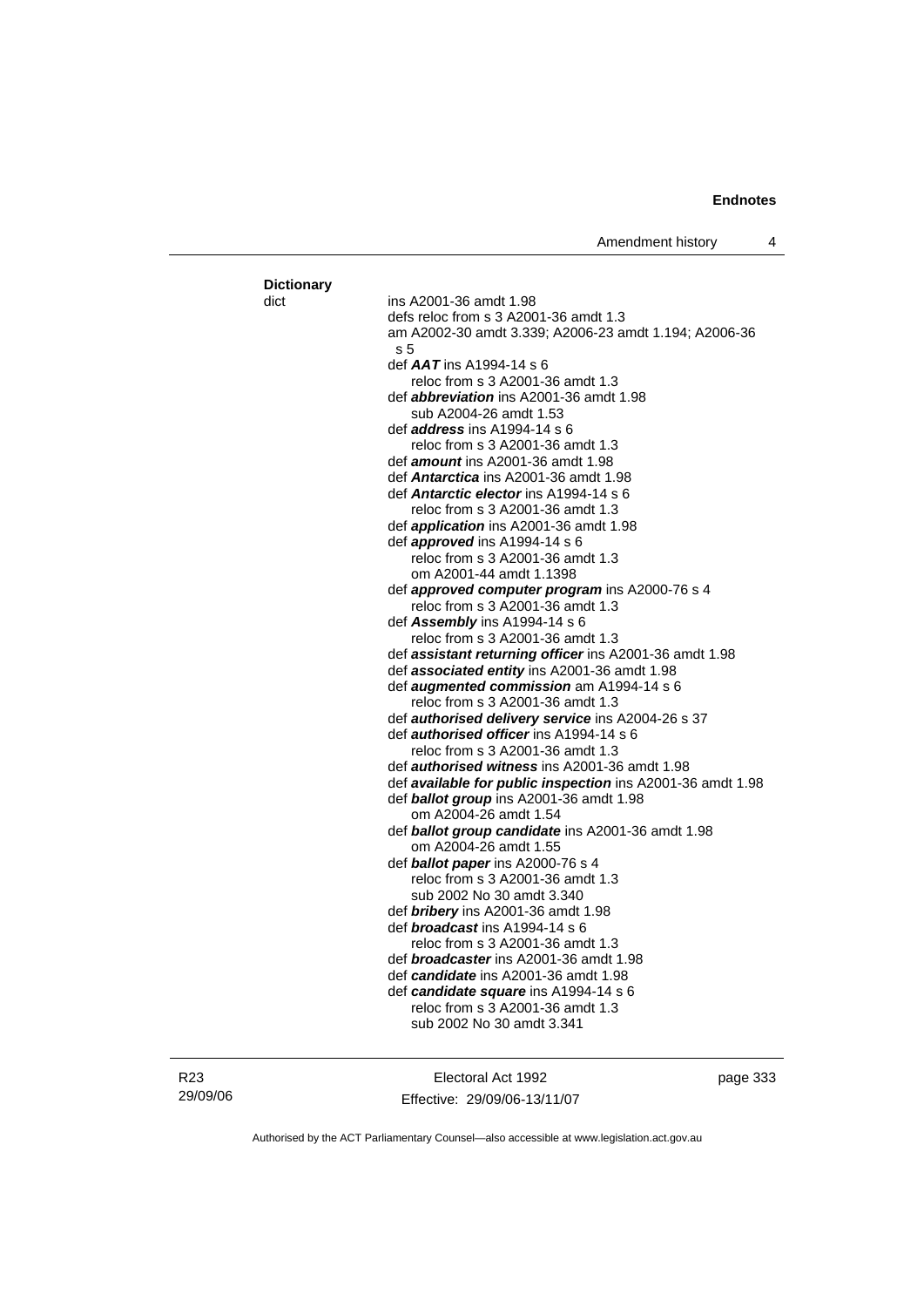| <b>Dictionary</b> |                                                               |
|-------------------|---------------------------------------------------------------|
| dict              | ins A2001-36 amdt 1.98                                        |
|                   | defs reloc from s 3 A2001-36 amdt 1.3                         |
|                   | am A2002-30 amdt 3.339; A2006-23 amdt 1.194; A2006-36         |
|                   | s <sub>5</sub>                                                |
|                   | def $AAT$ ins A1994-14 s 6                                    |
|                   | reloc from s 3 A2001-36 amdt 1.3                              |
|                   | def <i>abbreviation</i> ins A2001-36 amdt 1.98                |
|                   | sub A2004-26 amdt 1.53                                        |
|                   | def <i>address</i> ins A1994-14 s 6                           |
|                   | reloc from s 3 A2001-36 amdt 1.3                              |
|                   | def <b>amount</b> ins A2001-36 amdt 1.98                      |
|                   | def Antarctica ins A2001-36 amdt 1.98                         |
|                   | def Antarctic elector ins A1994-14 s 6                        |
|                   | reloc from s 3 A2001-36 amdt 1.3                              |
|                   | def <i>application</i> ins A2001-36 amdt 1.98                 |
|                   | def <i>approved</i> ins A1994-14 s 6                          |
|                   | reloc from s 3 A2001-36 amdt 1.3                              |
|                   | om A2001-44 amdt 1.1398                                       |
|                   | def <b>approved computer program</b> ins A2000-76 s 4         |
|                   | reloc from s 3 A2001-36 amdt 1.3                              |
|                   | def Assembly ins A1994-14 s 6                                 |
|                   | reloc from s 3 A2001-36 amdt 1.3                              |
|                   | def <b>assistant returning officer</b> ins A2001-36 amdt 1.98 |
|                   | def associated entity ins A2001-36 amdt 1.98                  |
|                   | def <b>augmented commission</b> am A1994-14 s 6               |
|                   | reloc from s 3 A2001-36 amdt 1.3                              |
|                   | def <b>authorised delivery service</b> ins A2004-26 s 37      |
|                   | def <i>authorised officer</i> ins A1994-14 s 6                |
|                   | reloc from s 3 A2001-36 amdt 1.3                              |
|                   | def <i>authorised witness</i> ins A2001-36 amdt 1.98          |
|                   | def available for public inspection ins A2001-36 amdt 1.98    |
|                   | def <b>ballot group</b> ins A2001-36 amdt 1.98                |
|                   | om A2004-26 amdt 1.54                                         |
|                   | def ballot group candidate ins A2001-36 amdt 1.98             |
|                   | om A2004-26 amdt 1.55                                         |
|                   | def <i>ballot paper</i> ins A2000-76 s 4                      |
|                   | reloc from s 3 A2001-36 amdt 1.3                              |
|                   | sub 2002 No 30 amdt 3.340                                     |
|                   | def <b>bribery</b> ins A2001-36 amdt 1.98                     |
|                   | def <i><b>broadcast</b></i> ins A1994-14 s 6                  |
|                   | reloc from s 3 A2001-36 amdt 1.3                              |
|                   | def <i>broadcaster</i> ins A2001-36 amdt 1.98                 |
|                   | def candidate ins A2001-36 amdt 1.98                          |
|                   | def candidate square ins A1994-14 s 6                         |
|                   | reloc from s 3 A2001-36 amdt 1.3                              |
|                   | sub 2002 No 30 amdt 3.341                                     |
|                   |                                                               |

Electoral Act 1992 Effective: 29/09/06-13/11/07 page 333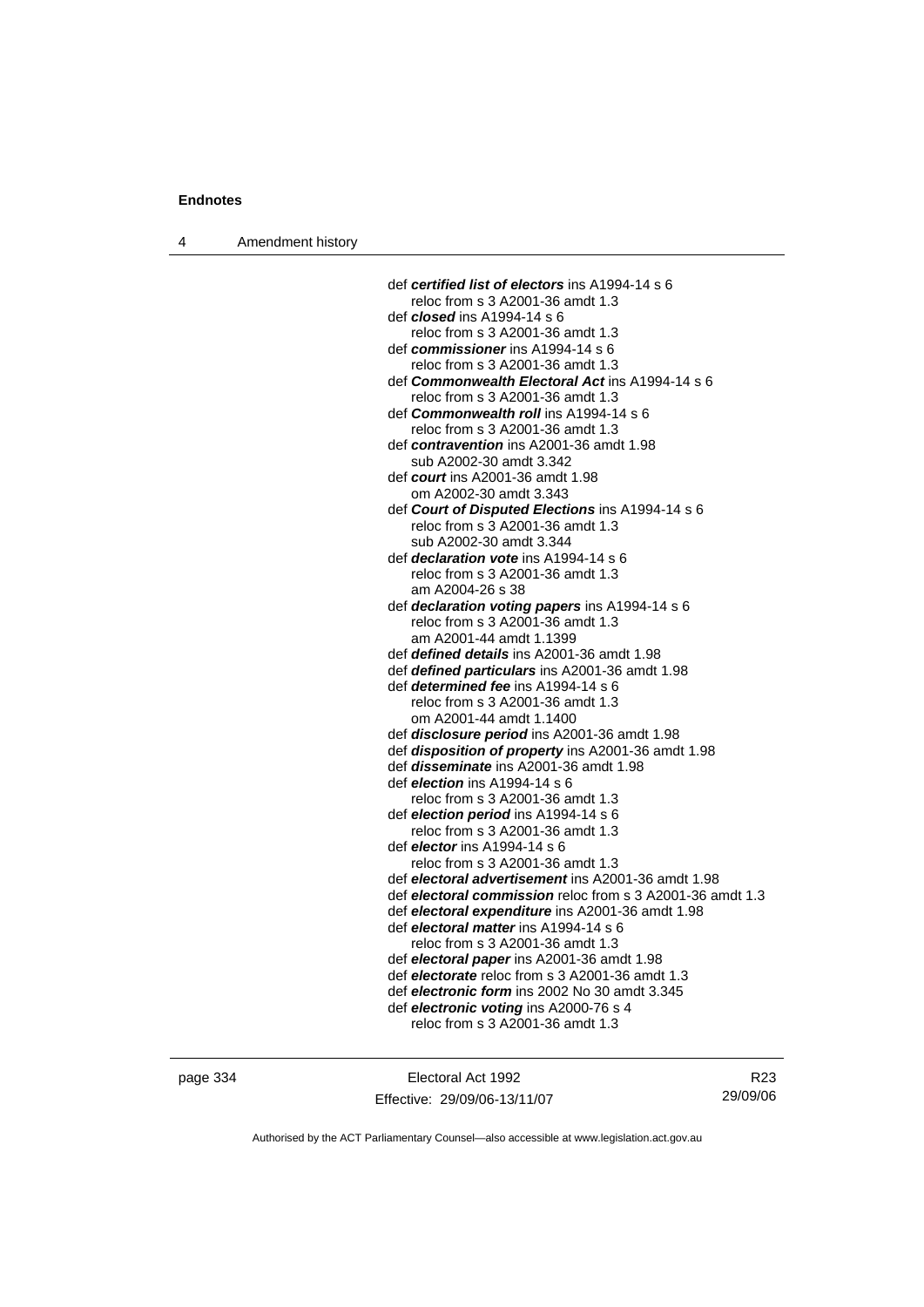| Amendment history<br>4 |  |
|------------------------|--|
|------------------------|--|

| def certified list of electors ins A1994-14 s 6           |
|-----------------------------------------------------------|
| reloc from s 3 A2001-36 amdt 1.3                          |
| def <i>closed</i> ins A1994-14 s 6                        |
| reloc from s 3 A2001-36 amdt 1.3                          |
| def commissioner ins A1994-14 s 6                         |
| reloc from s 3 A2001-36 amdt 1.3                          |
| def Commonwealth Electoral Act ins A1994-14 s 6           |
| reloc from s 3 A2001-36 amdt 1.3                          |
| def Commonwealth roll ins A1994-14 s 6                    |
| reloc from s 3 A2001-36 amdt 1.3                          |
| def contravention ins A2001-36 amdt 1.98                  |
| sub A2002-30 amdt 3.342                                   |
| def court ins A2001-36 amdt 1.98                          |
| om A2002-30 amdt 3.343                                    |
| def Court of Disputed Elections ins A1994-14 s 6          |
| reloc from s 3 A2001-36 amdt 1.3                          |
| sub A2002-30 amdt 3.344                                   |
| def <i>declaration vote</i> ins A1994-14 s 6              |
| reloc from s 3 A2001-36 amdt 1.3                          |
| am A2004-26 s 38                                          |
| def declaration voting papers ins A1994-14 s 6            |
| reloc from s 3 A2001-36 amdt 1.3                          |
| am A2001-44 amdt 1.1399                                   |
| def defined details ins A2001-36 amdt 1.98                |
| def defined particulars ins A2001-36 amdt 1.98            |
| def <i>determined fee</i> ins A1994-14 s 6                |
| reloc from s 3 A2001-36 amdt 1.3                          |
| om A2001-44 amdt 1.1400                                   |
| def disclosure period ins A2001-36 amdt 1.98              |
| def disposition of property ins A2001-36 amdt 1.98        |
| def <i>disseminate</i> ins A2001-36 amdt 1.98             |
| def <i>election</i> ins A1994-14 s 6                      |
| reloc from s 3 A2001-36 amdt 1.3                          |
| def election period ins A1994-14 s 6                      |
| reloc from s 3 A2001-36 amdt 1.3                          |
| def <i>elector</i> ins A1994-14 s 6                       |
| reloc from s 3 A2001-36 amdt 1.3                          |
| def electoral advertisement ins A2001-36 amdt 1.98        |
| def electoral commission reloc from s 3 A2001-36 amdt 1.3 |
| def electoral expenditure ins A2001-36 amdt 1.98          |
| def electoral matter ins A1994-14 s 6                     |
| reloc from s 3 A2001-36 amdt 1.3                          |
| def electoral paper ins A2001-36 amdt 1.98                |
| def electorate reloc from s 3 A2001-36 amdt 1.3           |
| def electronic form ins 2002 No 30 amdt 3.345             |
| def electronic voting ins A2000-76 s 4                    |
| reloc from s 3 A2001-36 amdt 1.3                          |

page 334 Electoral Act 1992 Effective: 29/09/06-13/11/07

R23 29/09/06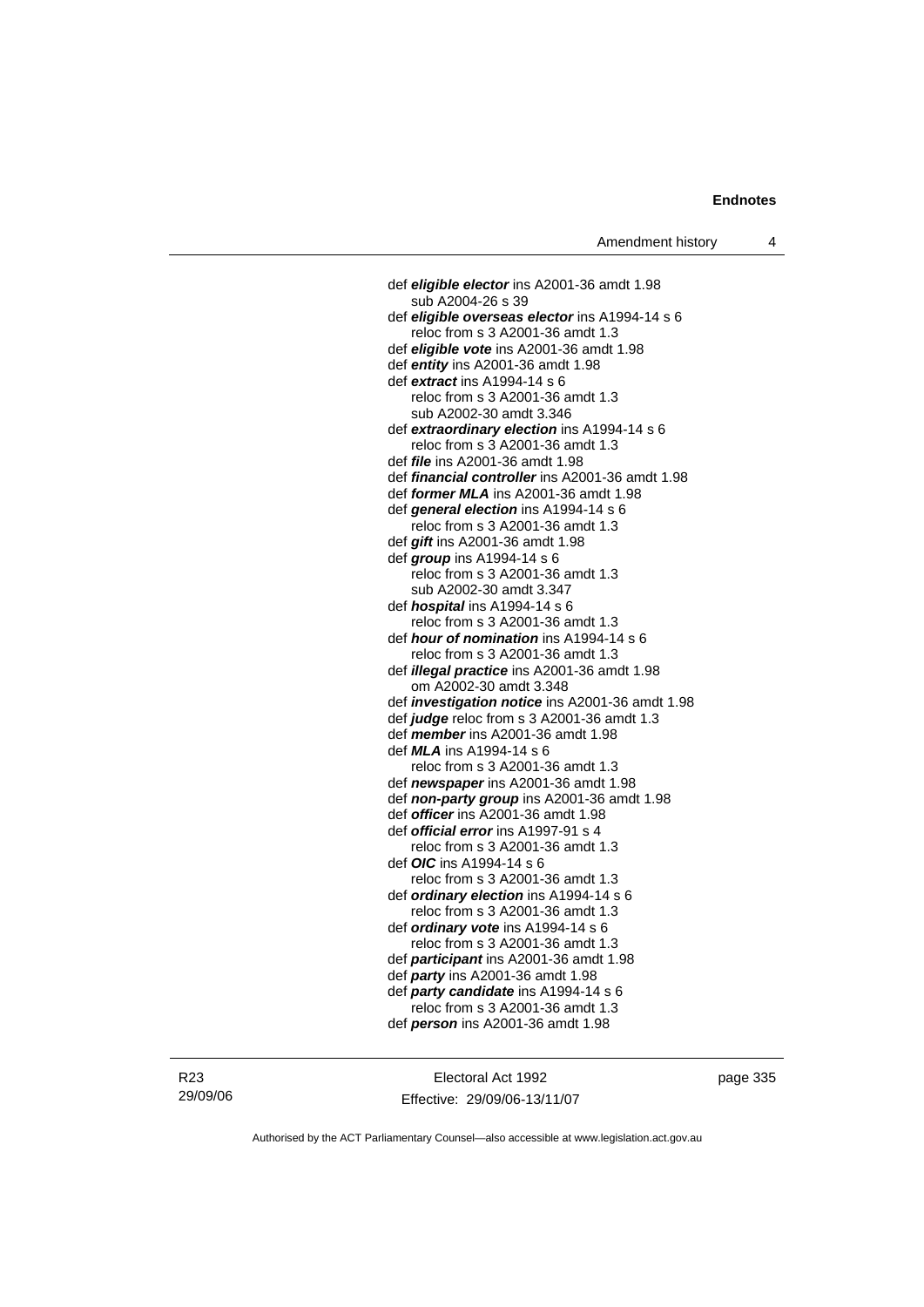def *eligible elector* ins A2001-36 amdt 1.98 sub A2004-26 s 39 def *eligible overseas elector* ins A1994-14 s 6 reloc from s 3 A2001-36 amdt 1.3 def *eligible vote* ins A2001-36 amdt 1.98 def *entity* ins A2001-36 amdt 1.98 def *extract* ins A1994-14 s 6 reloc from s 3 A2001-36 amdt 1.3 sub A2002-30 amdt 3.346 def *extraordinary election* ins A1994-14 s 6 reloc from s 3 A2001-36 amdt 1.3 def *file* ins A2001-36 amdt 1.98 def *financial controller* ins A2001-36 amdt 1.98 def *former MLA* ins A2001-36 amdt 1.98 def *general election* ins A1994-14 s 6 reloc from s 3 A2001-36 amdt 1.3 def *gift* ins A2001-36 amdt 1.98 def *group* ins A1994-14 s 6 reloc from s 3 A2001-36 amdt 1.3 sub A2002-30 amdt 3.347 def *hospital* ins A1994-14 s 6 reloc from s 3 A2001-36 amdt 1.3 def *hour of nomination* ins A1994-14 s 6 reloc from s 3 A2001-36 amdt 1.3 def *illegal practice* ins A2001-36 amdt 1.98 om A2002-30 amdt 3.348 def *investigation notice* ins A2001-36 amdt 1.98 def *judge* reloc from s 3 A2001-36 amdt 1.3 def *member* ins A2001-36 amdt 1.98 def *MLA* ins A1994-14 s 6 reloc from s 3 A2001-36 amdt 1.3 def *newspaper* ins A2001-36 amdt 1.98 def *non-party group* ins A2001-36 amdt 1.98 def *officer* ins A2001-36 amdt 1.98 def *official error* ins A1997-91 s 4 reloc from s 3 A2001-36 amdt 1.3 def *OIC* ins A1994-14 s 6 reloc from s 3 A2001-36 amdt 1.3 def *ordinary election* ins A1994-14 s 6 reloc from s 3 A2001-36 amdt 1.3 def *ordinary vote* ins A1994-14 s 6 reloc from s 3 A2001-36 amdt 1.3 def *participant* ins A2001-36 amdt 1.98 def *party* ins A2001-36 amdt 1.98 def *party candidate* ins A1994-14 s 6 reloc from s 3 A2001-36 amdt 1.3 def *person* ins A2001-36 amdt 1.98

Electoral Act 1992 Effective: 29/09/06-13/11/07 page 335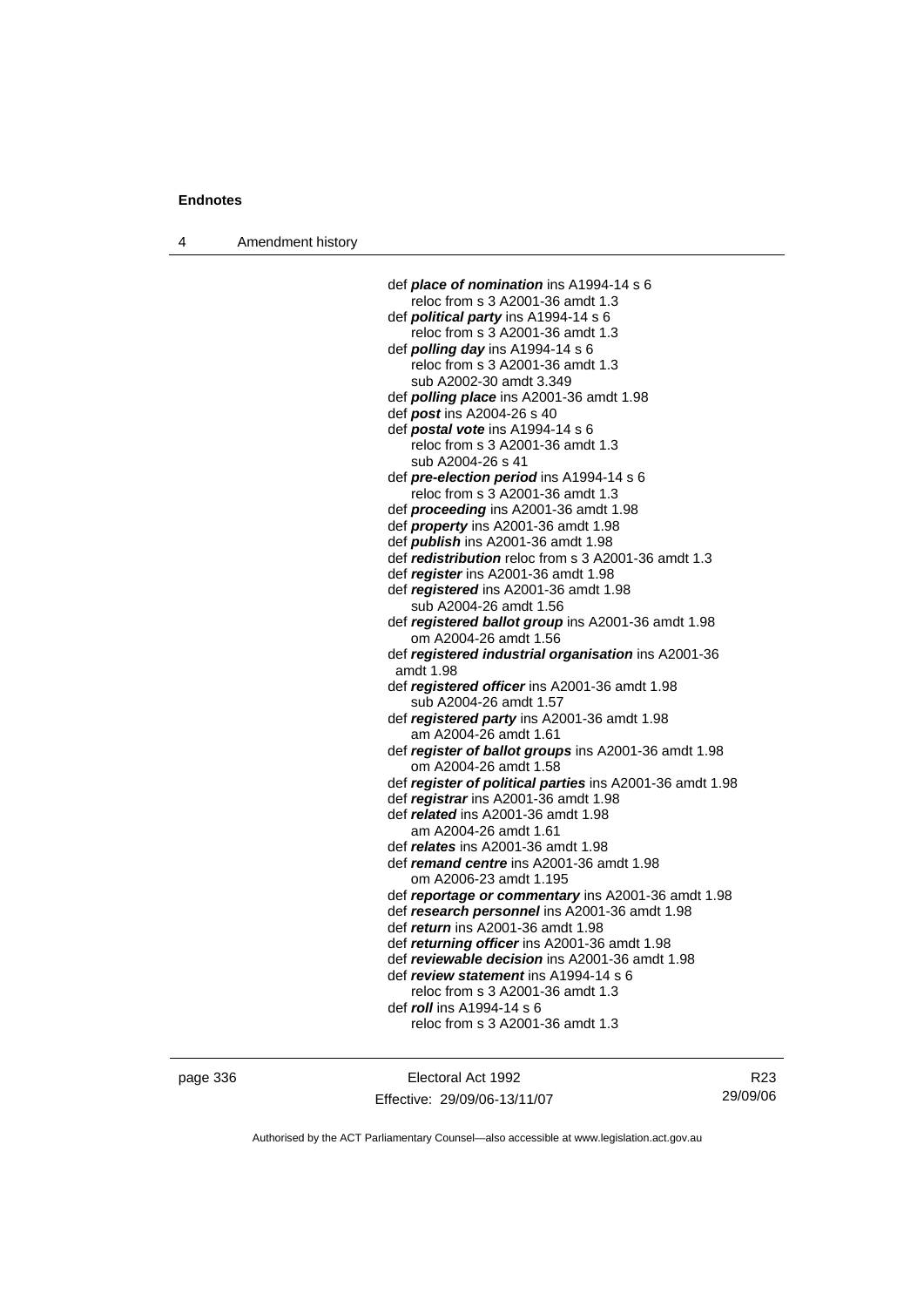4 Amendment history

| def <b>place of nomination</b> ins A1994-14 s 6          |
|----------------------------------------------------------|
| reloc from s 3 A2001-36 amdt 1.3                         |
| def <i>political party</i> ins A1994-14 s 6              |
| reloc from s 3 A2001-36 amdt 1.3                         |
| def <i>polling day</i> ins A1994-14 s 6                  |
| reloc from s 3 A2001-36 amdt 1.3                         |
| sub A2002-30 amdt 3.349                                  |
| def <i>polling place</i> ins A2001-36 amdt 1.98          |
| def post ins A2004-26 s 40                               |
| def postal vote ins A1994-14 s 6                         |
| reloc from s 3 A2001-36 amdt 1.3                         |
| sub A2004-26 s 41                                        |
| def pre-election period ins A1994-14 s 6                 |
| reloc from s 3 A2001-36 amdt 1.3                         |
| def <i>proceeding</i> ins A2001-36 amdt 1.98             |
|                                                          |
| def <i>property</i> ins A2001-36 amdt 1.98               |
| def <b>publish</b> ins A2001-36 amdt 1.98                |
| def redistribution reloc from s 3 A2001-36 amdt 1.3      |
| def register ins A2001-36 amdt 1.98                      |
| def registered ins A2001-36 amdt 1.98                    |
| sub A2004-26 amdt 1.56                                   |
| def registered ballot group ins A2001-36 amdt 1.98       |
| om A2004-26 amdt 1.56                                    |
| def registered industrial organisation ins A2001-36      |
| amdt 1.98                                                |
| def registered officer ins A2001-36 amdt 1.98            |
| sub A2004-26 amdt 1.57                                   |
| def registered party ins A2001-36 amdt 1.98              |
| am A2004-26 amdt 1.61                                    |
| def register of ballot groups ins A2001-36 amdt 1.98     |
| om A2004-26 amdt 1.58                                    |
| def register of political parties ins A2001-36 amdt 1.98 |
| def registrar ins A2001-36 amdt 1.98                     |
| def related ins A2001-36 amdt 1.98                       |
| am A2004-26 amdt 1.61                                    |
| def <i>relates</i> ins A2001-36 amdt 1.98                |
| def <i>remand centre</i> ins A2001-36 amdt 1.98          |
| om A2006-23 amdt 1.195                                   |
| def reportage or commentary ins A2001-36 amdt 1.98       |
| def research personnel ins A2001-36 amdt 1.98            |
| def <i>return</i> ins A2001-36 amdt 1.98                 |
| def returning officer ins A2001-36 amdt 1.98             |
| def reviewable decision ins A2001-36 amdt 1.98           |
| def review statement ins A1994-14 s 6                    |
| reloc from s 3 A2001-36 amdt 1.3                         |
| def roll ins A1994-14 s 6                                |
| reloc from s 3 A2001-36 amdt 1.3                         |
|                                                          |
|                                                          |

page 336 Electoral Act 1992 Effective: 29/09/06-13/11/07

R23 29/09/06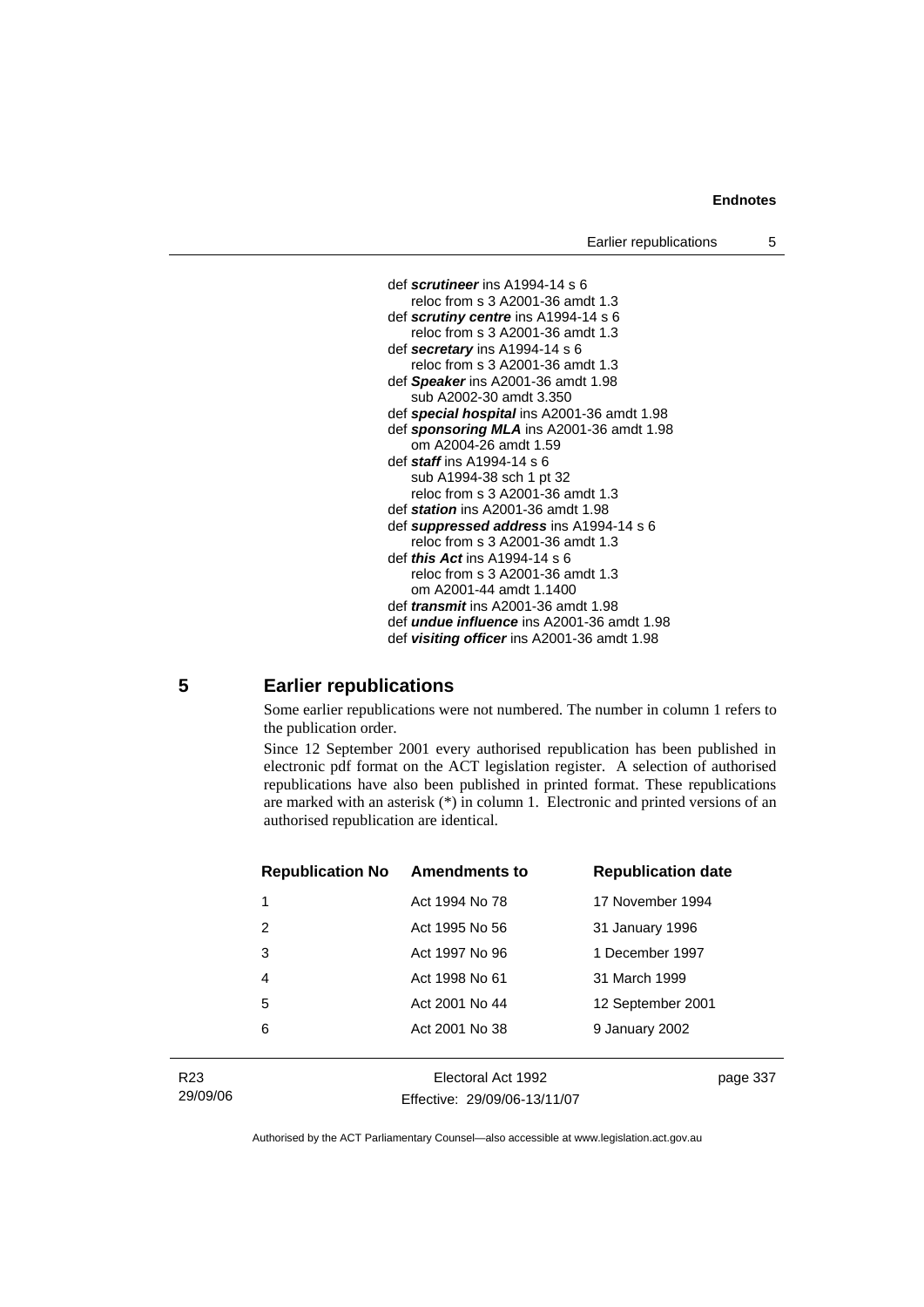

#### **5 Earlier republications**

Some earlier republications were not numbered. The number in column 1 refers to the publication order.

Since 12 September 2001 every authorised republication has been published in electronic pdf format on the ACT legislation register. A selection of authorised republications have also been published in printed format. These republications are marked with an asterisk (\*) in column 1. Electronic and printed versions of an authorised republication are identical.

| <b>Republication No</b> | <b>Amendments to</b> | <b>Republication date</b> |
|-------------------------|----------------------|---------------------------|
| 1                       | Act 1994 No 78       | 17 November 1994          |
| 2                       | Act 1995 No 56       | 31 January 1996           |
| 3                       | Act 1997 No 96       | 1 December 1997           |
| 4                       | Act 1998 No 61       | 31 March 1999             |
| 5                       | Act 2001 No 44       | 12 September 2001         |
| 6                       | Act 2001 No 38       | 9 January 2002            |
|                         |                      |                           |

R23 29/09/06

Electoral Act 1992 Effective: 29/09/06-13/11/07 page 337